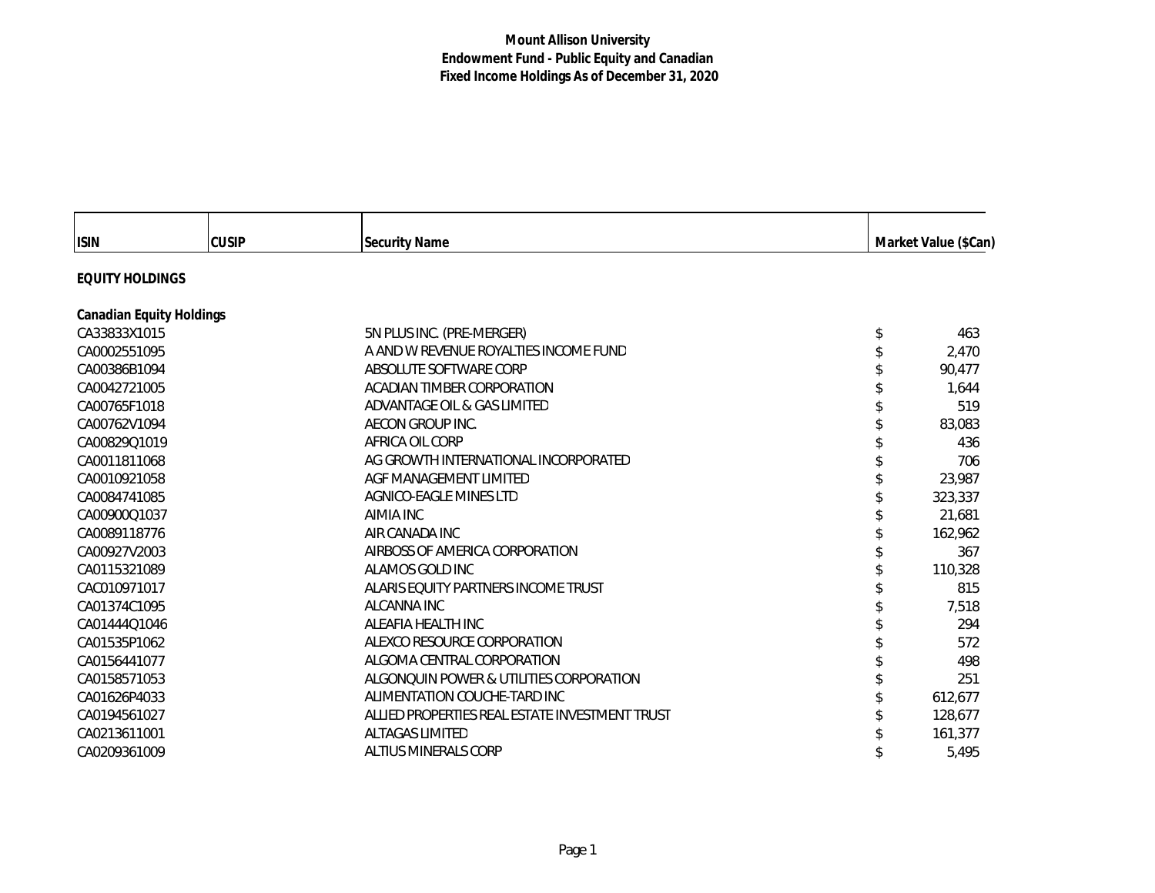| <b>ISIN</b>                     | <b>CUSIP</b> | <b>Security Name</b>                           | Market Value (\$Can) |  |
|---------------------------------|--------------|------------------------------------------------|----------------------|--|
| <b>EQUITY HOLDINGS</b>          |              |                                                |                      |  |
| <b>Canadian Equity Holdings</b> |              |                                                |                      |  |
| CA33833X1015                    |              | 5N PLUS INC. (PRE-MERGER)                      | 463                  |  |
| CA0002551095                    |              | A AND W REVENUE ROYALTIES INCOME FUND          | 2,470                |  |
| CA00386B1094                    |              | ABSOLUTE SOFTWARE CORP                         | 90,477               |  |
| CA0042721005                    |              | ACADIAN TIMBER CORPORATION                     | 1,644                |  |
| CA00765F1018                    |              | ADVANTAGE OIL & GAS LIMITED                    | 519                  |  |
| CA00762V1094                    |              | AECON GROUP INC.                               | 83,083               |  |
| CA00829Q1019                    |              | AFRICA OIL CORP                                | 436                  |  |
| CA0011811068                    |              | AG GROWTH INTERNATIONAL INCORPORATED           | 706                  |  |
| CA0010921058                    |              | AGF MANAGEMENT LIMITED                         | 23,987               |  |
| CA0084741085                    |              | AGNICO-EAGLE MINES LTD                         | 323,337              |  |
| CA00900Q1037                    |              | AIMIA INC                                      | 21.681               |  |
| CA0089118776                    |              | AIR CANADA INC                                 | 162,962              |  |
| CA00927V2003                    |              | AIRBOSS OF AMERICA CORPORATION                 | 367                  |  |
| CA0115321089                    |              | ALAMOS GOLD INC                                | 110,328              |  |
| CAC010971017                    |              | ALARIS EQUITY PARTNERS INCOME TRUST            | 815                  |  |
| CA01374C1095                    |              | ALCANNA INC                                    | 7,518                |  |
| CA01444Q1046                    |              | ALEAFIA HEALTH INC                             | 294                  |  |
| CA01535P1062                    |              | ALEXCO RESOURCE CORPORATION                    | 572                  |  |
| CA0156441077                    |              | ALGOMA CENTRAL CORPORATION                     | 498                  |  |
| CA0158571053                    |              | ALGONQUIN POWER & UTILITIES CORPORATION        | 251                  |  |
| CA01626P4033                    |              | ALIMENTATION COUCHE-TARD INC                   | 612,677              |  |
| CA0194561027                    |              | ALLIED PROPERTIES REAL ESTATE INVESTMENT TRUST | 128,677              |  |
| CA0213611001                    |              | <b>ALTAGAS LIMITED</b>                         | 161,377              |  |
| CA0209361009                    |              | <b>ALTIUS MINERALS CORP</b>                    | 5,495                |  |

г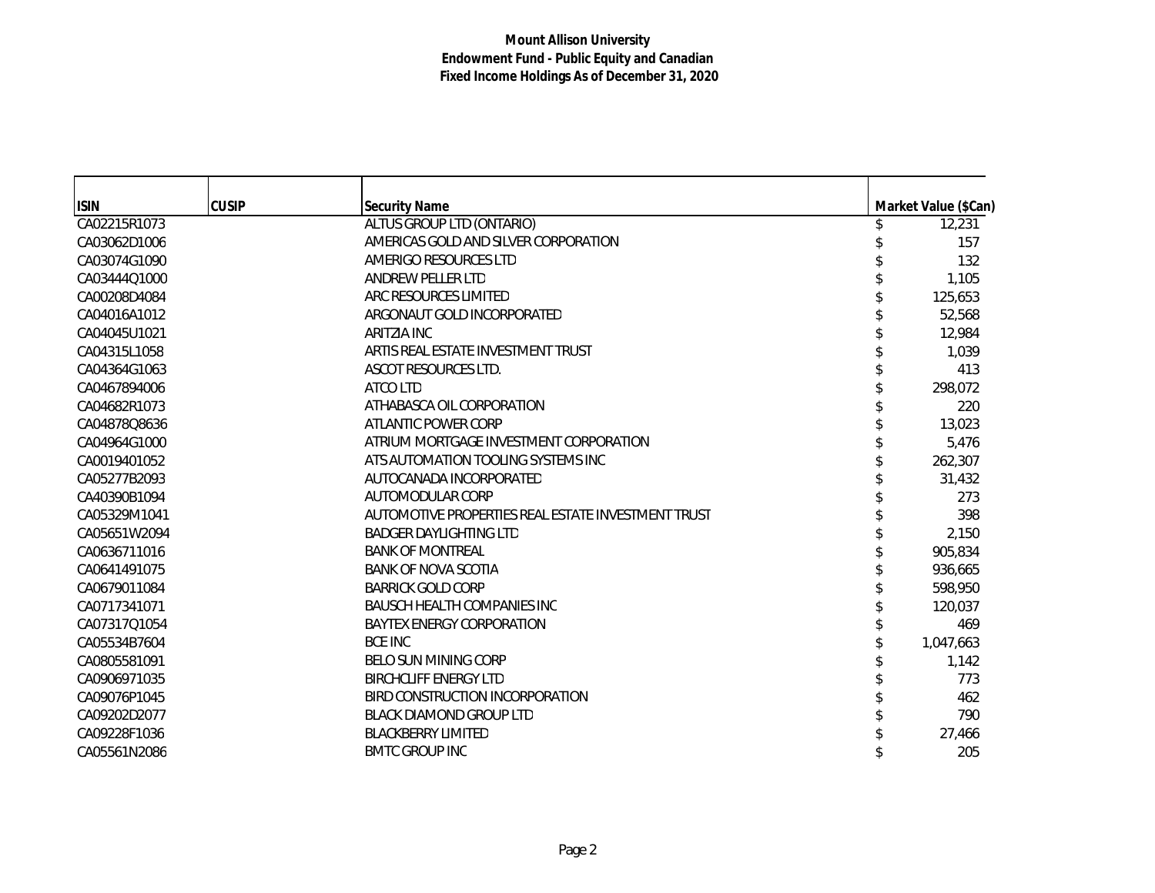| <b>ISIN</b>  | <b>CUSIP</b> | <b>Security Name</b>                               | Market Value (\$Can) |
|--------------|--------------|----------------------------------------------------|----------------------|
| CA02215R1073 |              | ALTUS GROUP LTD (ONTARIO)                          | 12,231               |
| CA03062D1006 |              | AMERICAS GOLD AND SILVER CORPORATION               | 157                  |
| CA03074G1090 |              | AMERIGO RESOURCES LTD                              | 132                  |
| CA03444Q1000 |              | <b>ANDREW PELLER LTD</b>                           | 1,105                |
| CA00208D4084 |              | ARC RESOURCES LIMITED                              | 125,653              |
| CA04016A1012 |              | ARGONAUT GOLD INCORPORATED                         | 52,568               |
| CA04045U1021 |              | ARITZIA INC                                        | 12,984               |
| CA04315L1058 |              | ARTIS REAL ESTATE INVESTMENT TRUST                 | 1,039                |
| CA04364G1063 |              | ASCOT RESOURCES LTD.                               | 413                  |
| CA0467894006 |              | ATCO LTD                                           | 298,072              |
| CA04682R1073 |              | ATHABASCA OIL CORPORATION                          | 220                  |
| CA04878Q8636 |              | ATLANTIC POWER CORP                                | 13,023               |
| CA04964G1000 |              | ATRIUM MORTGAGE INVESTMENT CORPORATION             | 5,476                |
| CA0019401052 |              | ATS AUTOMATION TOOLING SYSTEMS INC                 | 262,307              |
| CA05277B2093 |              | AUTOCANADA INCORPORATED                            | 31,432               |
| CA40390B1094 |              | AUTOMODULAR CORP                                   | 273                  |
| CA05329M1041 |              | AUTOMOTIVE PROPERTIES REAL ESTATE INVESTMENT TRUST | 398                  |
| CA05651W2094 |              | <b>BADGER DAYLIGHTING LTD</b>                      | 2,150                |
| CA0636711016 |              | <b>BANK OF MONTREAL</b>                            | 905,834              |
| CA0641491075 |              | <b>BANK OF NOVA SCOTIA</b>                         | 936,665              |
| CA0679011084 |              | <b>BARRICK GOLD CORP</b>                           | 598,950              |
| CA0717341071 |              | <b>BAUSCH HEALTH COMPANIES INC</b>                 | 120,037              |
| CA07317Q1054 |              | <b>BAYTEX ENERGY CORPORATION</b>                   | 469                  |
| CA05534B7604 |              | <b>BCE INC</b>                                     | 1,047,663            |
| CA0805581091 |              | <b>BELO SUN MINING CORP</b>                        | 1,142                |
| CA0906971035 |              | <b>BIRCHCLIFF ENERGY LTD</b>                       | 773                  |
| CA09076P1045 |              | BIRD CONSTRUCTION INCORPORATION                    | 462                  |
| CA09202D2077 |              | <b>BLACK DIAMOND GROUP LTD</b>                     | 790                  |
| CA09228F1036 |              | <b>BLACKBERRY LIMITED</b>                          | 27,466               |
| CA05561N2086 |              | <b>BMTC GROUP INC</b>                              | 205                  |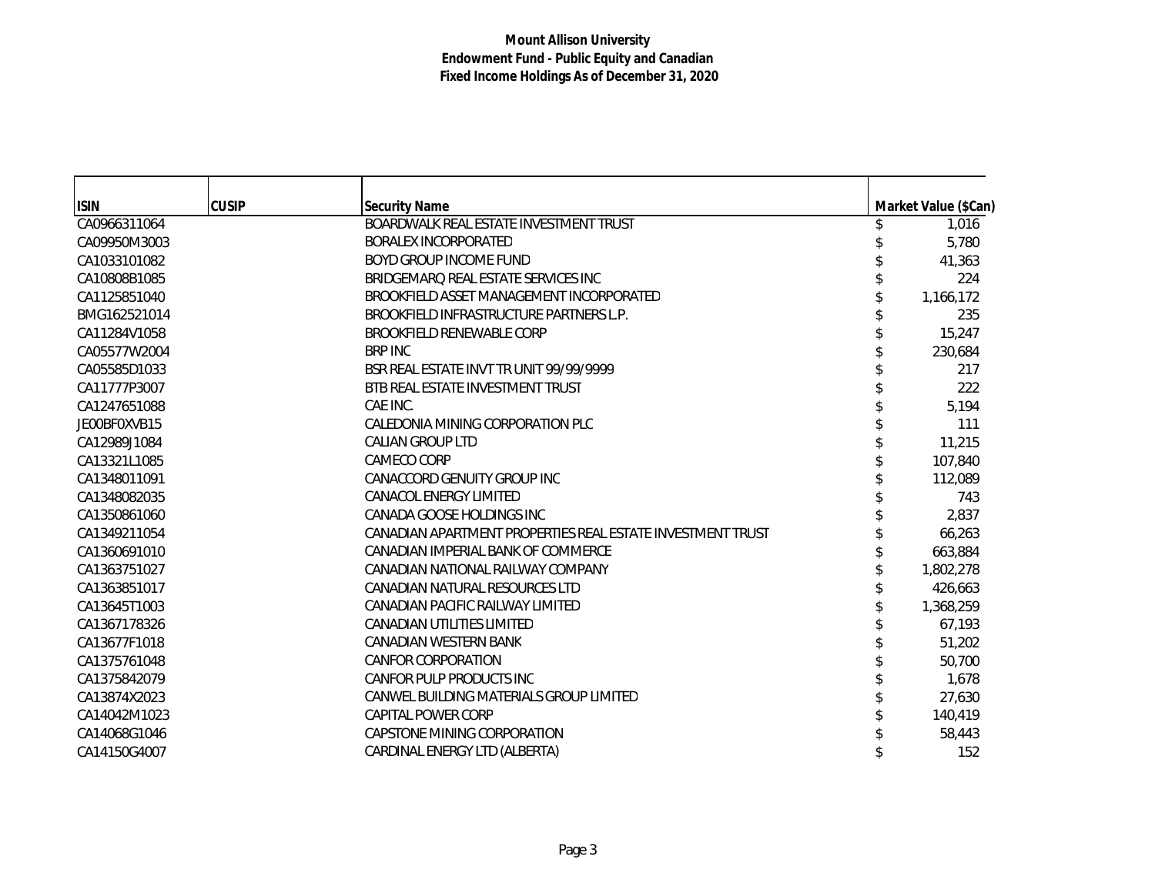| <b>ISIN</b>  | <b>CUSIP</b> | <b>Security Name</b>                                       | Market Value (\$Can) |
|--------------|--------------|------------------------------------------------------------|----------------------|
| CA0966311064 |              | BOARDWALK REAL ESTATE INVESTMENT TRUST                     | 1,016                |
| CA09950M3003 |              | <b>BORALEX INCORPORATED</b>                                | 5,780                |
| CA1033101082 |              | BOYD GROUP INCOME FUND                                     | 41,363               |
| CA10808B1085 |              | BRIDGEMARQ REAL ESTATE SERVICES INC                        | 224                  |
| CA1125851040 |              | BROOKFIELD ASSET MANAGEMENT INCORPORATED                   | 1,166,172            |
| BMG162521014 |              | BROOKFIELD INFRASTRUCTURE PARTNERS L.P.                    | 235                  |
| CA11284V1058 |              | BROOKFIELD RENEWABLE CORP                                  | 15,247               |
| CA05577W2004 |              | <b>BRP INC</b>                                             | 230,684              |
| CA05585D1033 |              | BSR REAL ESTATE INVT TR UNIT 99/99/9999                    | 217                  |
| CA11777P3007 |              | BTB REAL ESTATE INVESTMENT TRUST                           | 222                  |
| CA1247651088 |              | CAE INC.                                                   | 5,194                |
| JE00BF0XVB15 |              | CALEDONIA MINING CORPORATION PLC                           | 111                  |
| CA12989J1084 |              | <b>CALIAN GROUP LTD</b>                                    | 11,215               |
| CA13321L1085 |              | CAMECO CORP                                                | 107,840              |
| CA1348011091 |              | CANACCORD GENUITY GROUP INC                                | 112,089              |
| CA1348082035 |              | <b>CANACOL ENERGY LIMITED</b>                              | 743                  |
| CA1350861060 |              | CANADA GOOSE HOLDINGS INC                                  | 2,837                |
| CA1349211054 |              | CANADIAN APARTMENT PROPERTIES REAL ESTATE INVESTMENT TRUST | 66,263               |
| CA1360691010 |              | CANADIAN IMPERIAL BANK OF COMMERCE                         | 663,884              |
| CA1363751027 |              | CANADIAN NATIONAL RAILWAY COMPANY                          | 1,802,278            |
| CA1363851017 |              | CANADIAN NATURAL RESOURCES LTD                             | 426,663              |
| CA13645T1003 |              | CANADIAN PACIFIC RAILWAY LIMITED                           | 1,368,259            |
| CA1367178326 |              | CANADIAN UTILITIES LIMITED                                 | 67,193               |
| CA13677F1018 |              | CANADIAN WESTERN BANK                                      | 51,202               |
| CA1375761048 |              | <b>CANFOR CORPORATION</b>                                  | 50,700               |
| CA1375842079 |              | CANFOR PULP PRODUCTS INC                                   | 1,678                |
| CA13874X2023 |              | CANWEL BUILDING MATERIALS GROUP LIMITED                    | 27,630               |
| CA14042M1023 |              | CAPITAL POWER CORP                                         | 140,419              |
| CA14068G1046 |              | CAPSTONE MINING CORPORATION                                | 58,443               |
| CA14150G4007 |              | CARDINAL ENERGY LTD (ALBERTA)                              | 152                  |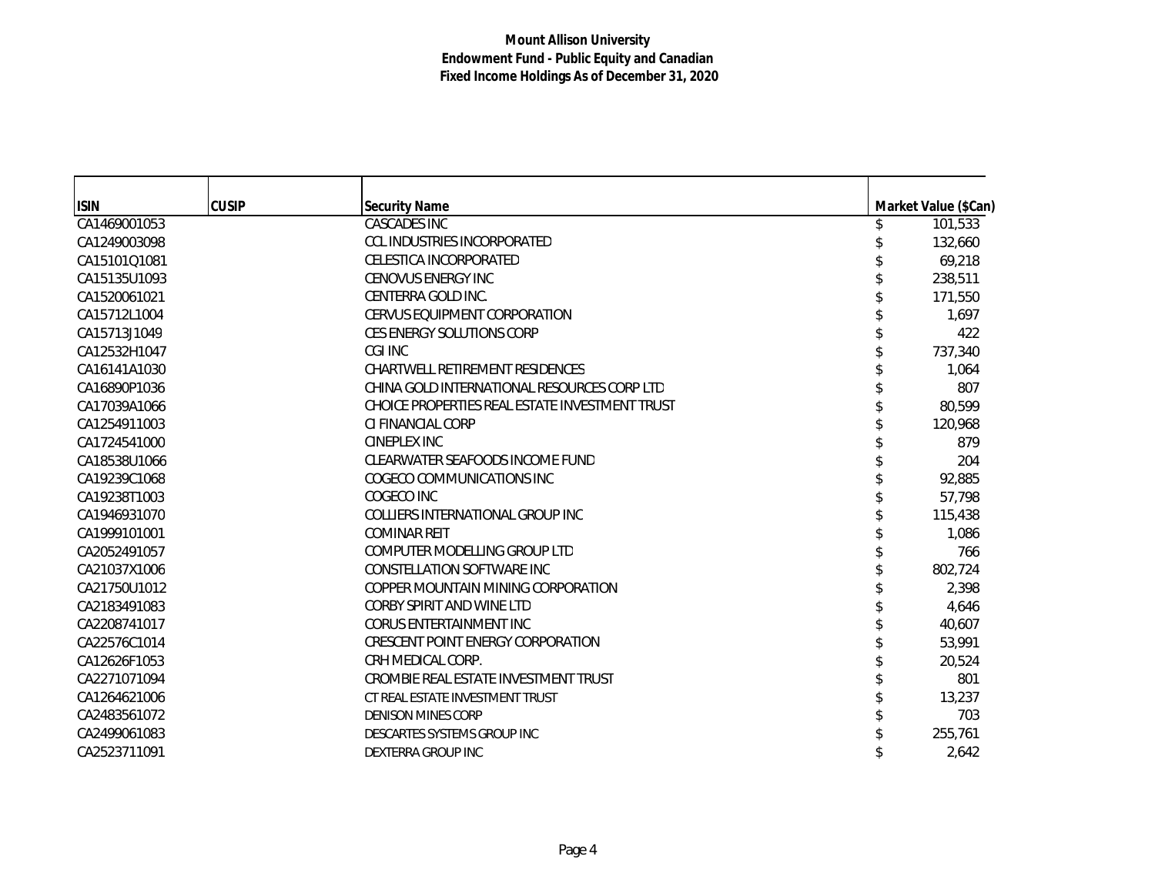| <b>ISIN</b>  | <b>CUSIP</b> | <b>Security Name</b>                           | Market Value (\$Can) |
|--------------|--------------|------------------------------------------------|----------------------|
| CA1469001053 |              | <b>CASCADES INC</b>                            | 101,533              |
| CA1249003098 |              | <b>CCL INDUSTRIES INCORPORATED</b>             | 132,660              |
| CA15101Q1081 |              | CELESTICA INCORPORATED                         | 69,218               |
| CA15135U1093 |              | <b>CENOVUS ENERGY INC</b>                      | 238,511              |
| CA1520061021 |              | CENTERRA GOLD INC.                             | 171,550              |
| CA15712L1004 |              | <b>CERVUS EQUIPMENT CORPORATION</b>            | 1,697                |
| CA15713J1049 |              | <b>CES ENERGY SOLUTIONS CORP</b>               | 422                  |
| CA12532H1047 |              | CGI INC                                        | 737,340              |
| CA16141A1030 |              | CHARTWELL RETIREMENT RESIDENCES                | 1,064                |
| CA16890P1036 |              | CHINA GOLD INTERNATIONAL RESOURCES CORP LTD    | 807                  |
| CA17039A1066 |              | CHOICE PROPERTIES REAL ESTATE INVESTMENT TRUST | 80,599               |
| CA1254911003 |              | CLEINANCIAL CORP                               | 120,968              |
| CA1724541000 |              | CINEPLEX INC                                   | 879                  |
| CA18538U1066 |              | CLEARWATER SEAFOODS INCOME FUND                | 204                  |
| CA19239C1068 |              | COGECO COMMUNICATIONS INC                      | 92,885               |
| CA19238T1003 |              | COGECO INC                                     | 57,798               |
| CA1946931070 |              | COLLIERS INTERNATIONAL GROUP INC               | 115,438              |
| CA1999101001 |              | <b>COMINAR REIT</b>                            | 1,086                |
| CA2052491057 |              | COMPUTER MODELLING GROUP LTD                   | 766                  |
| CA21037X1006 |              | CONSTELLATION SOFTWARE INC                     | 802,724              |
| CA21750U1012 |              | COPPER MOUNTAIN MINING CORPORATION             | 2,398                |
| CA2183491083 |              | CORBY SPIRIT AND WINE LTD                      | 4,646                |
| CA2208741017 |              | CORUS ENTERTAINMENT INC                        | 40,607               |
| CA22576C1014 |              | CRESCENT POINT ENERGY CORPORATION              | 53,991               |
| CA12626F1053 |              | CRH MEDICAL CORP.                              | 20,524               |
| CA2271071094 |              | CROMBIE REAL ESTATE INVESTMENT TRUST           | 801                  |
| CA1264621006 |              | CT REAL ESTATE INVESTMENT TRUST                | 13,237               |
| CA2483561072 |              | <b>DENISON MINES CORP</b>                      | 703                  |
| CA2499061083 |              | DESCARTES SYSTEMS GROUP INC                    | 255,761              |
| CA2523711091 |              | DEXTERRA GROUP INC                             | 2.642                |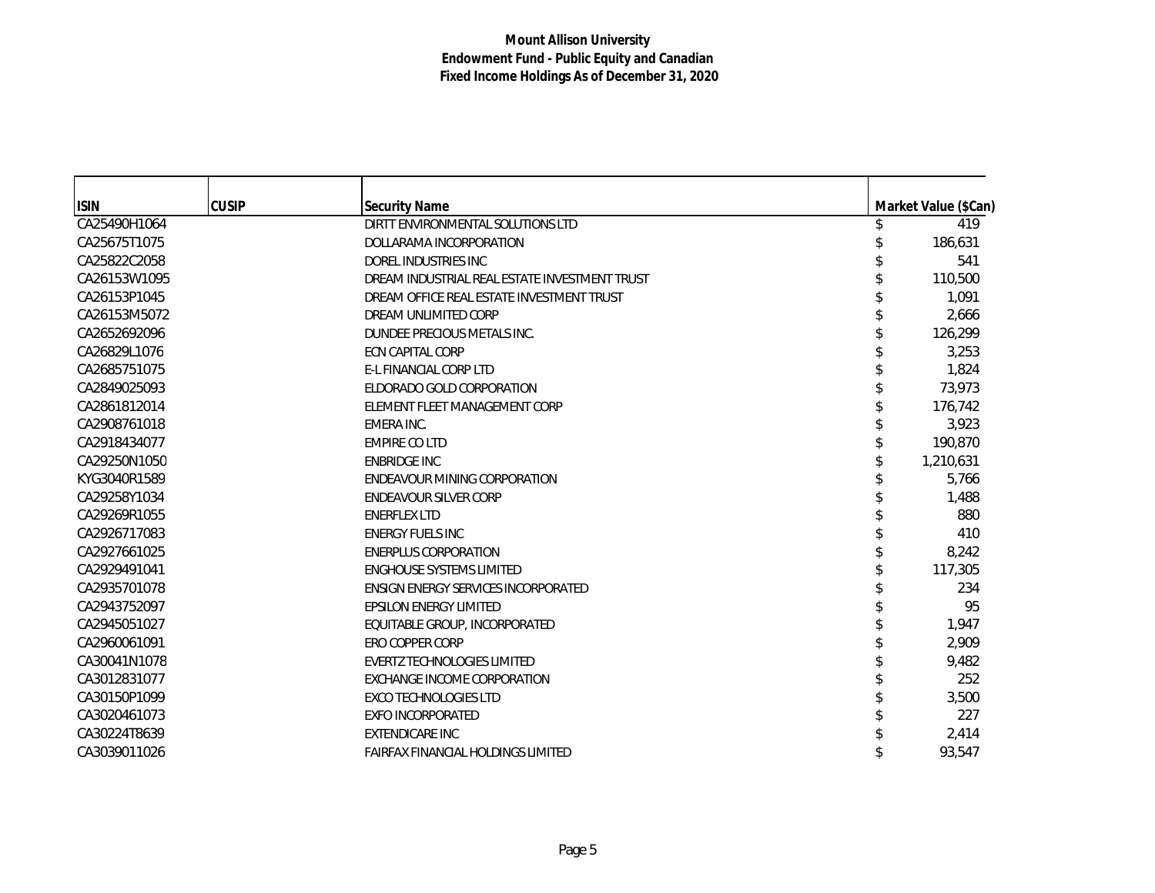| <b>ISIN</b>  | <b>CUSIP</b> | <b>Security Name</b>                          | Market Value (\$Can) |
|--------------|--------------|-----------------------------------------------|----------------------|
| CA25490H1064 |              | DIRTT ENVIRONMENTAL SOLUTIONS LTD             | 419                  |
| CA25675T1075 |              | DOLLARAMA INCORPORATION                       | 186,631              |
| CA25822C2058 |              | DOREL INDUSTRIES INC                          | 541                  |
| CA26153W1095 |              | DREAM INDUSTRIAL REAL ESTATE INVESTMENT TRUST | 110,500              |
| CA26153P1045 |              | DREAM OFFICE REAL ESTATE INVESTMENT TRUST     | 1,091                |
| CA26153M5072 |              | DREAM UNLIMITED CORP                          | 2,666                |
| CA2652692096 |              | DUNDEE PRECIOUS METALS INC.                   | 126,299              |
| CA26829L1076 |              | <b>ECN CAPITAL CORP</b>                       | 3,253                |
| CA2685751075 |              | <b>E-L FINANCIAL CORP LTD</b>                 | 1,824                |
| CA2849025093 |              | ELDORADO GOLD CORPORATION                     | 73,973               |
| CA2861812014 |              | ELEMENT FLEET MANAGEMENT CORP                 | 176,742              |
| CA2908761018 |              | EMERA INC.                                    | 3,923                |
| CA2918434077 |              | <b>EMPIRE CO LTD</b>                          | 190,870              |
| CA29250N1050 |              | <b>ENBRIDGE INC</b>                           | 1,210,631            |
| KYG3040R1589 |              | ENDEAVOUR MINING CORPORATION                  | 5,766                |
| CA29258Y1034 |              | ENDEAVOUR SILVER CORP                         | 1,488                |
| CA29269R1055 |              | <b>ENERFLEX LTD</b>                           | 880                  |
| CA2926717083 |              | <b>ENERGY FUELS INC</b>                       | 410                  |
| CA2927661025 |              | <b>ENERPLUS CORPORATION</b>                   | 8,242                |
| CA2929491041 |              | <b>ENGHOUSE SYSTEMS LIMITED</b>               | 117,305              |
| CA2935701078 |              | <b>ENSIGN ENERGY SERVICES INCORPORATED</b>    | 234                  |
| CA2943752097 |              | <b>EPSILON ENERGY LIMITED</b>                 | 95                   |
| CA2945051027 |              | EQUITABLE GROUP, INCORPORATED                 | 1,947                |
| CA2960061091 |              | <b>ERO COPPER CORP</b>                        | 2,909                |
| CA30041N1078 |              | <b>EVERTZ TECHNOLOGIES LIMITED</b>            | 9,482                |
| CA3012831077 |              | EXCHANGE INCOME CORPORATION                   | 252                  |
| CA30150P1099 |              | <b>EXCO TECHNOLOGIES LTD</b>                  | 3,500                |
| CA3020461073 |              | <b>EXFO INCORPORATED</b>                      | 227                  |
| CA30224T8639 |              | <b>EXTENDICARE INC</b>                        | 2,414                |
| CA3039011026 |              | <b>FAIRFAX FINANCIAL HOLDINGS LIMITED</b>     | 93,547               |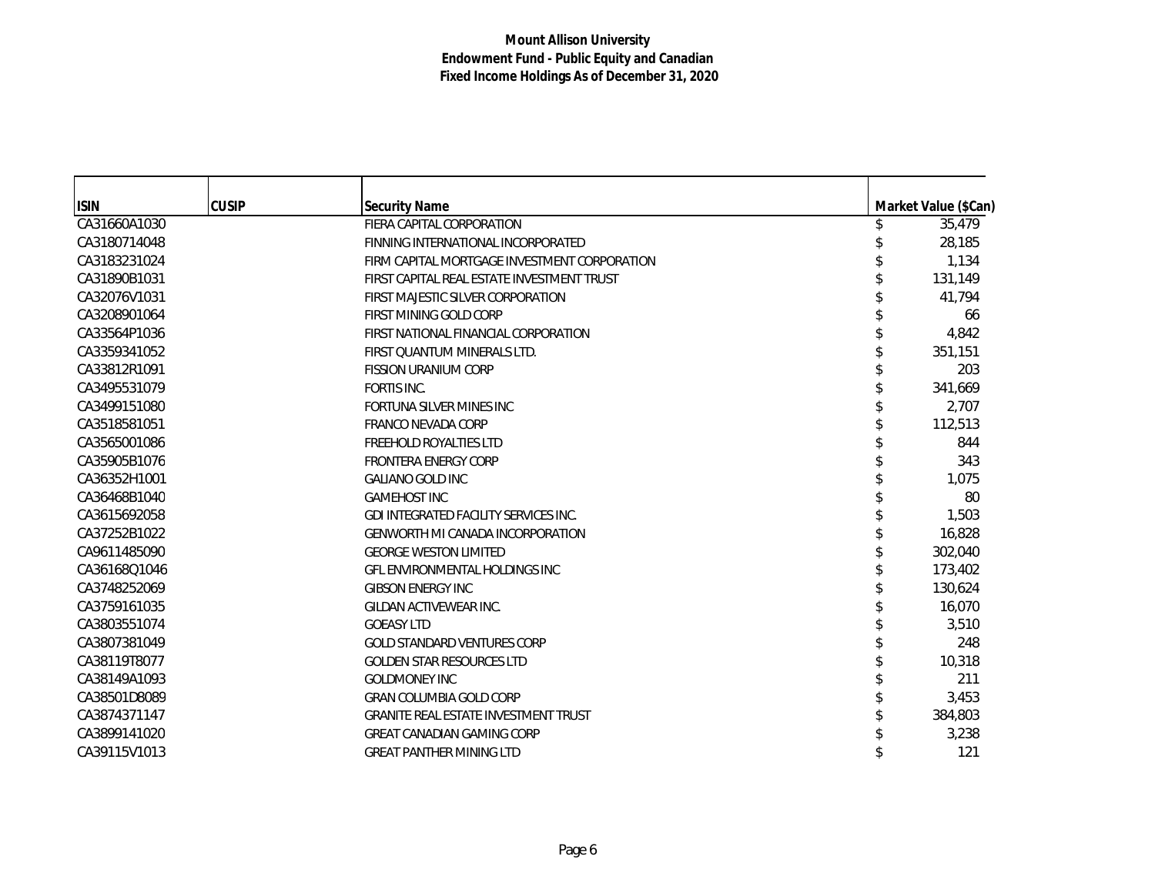| <b>ISIN</b>  | <b>CUSIP</b> | <b>Security Name</b>                         | Market Value (\$Can) |
|--------------|--------------|----------------------------------------------|----------------------|
| CA31660A1030 |              | FIERA CAPITAL CORPORATION                    | 35,479               |
| CA3180714048 |              | FINNING INTERNATIONAL INCORPORATED           | 28,185               |
| CA3183231024 |              | FIRM CAPITAL MORTGAGE INVESTMENT CORPORATION | 1,134                |
| CA31890B1031 |              | FIRST CAPITAL REAL ESTATE INVESTMENT TRUST   | 131,149              |
| CA32076V1031 |              | FIRST MAJESTIC SILVER CORPORATION            | 41,794               |
| CA3208901064 |              | FIRST MINING GOLD CORP                       | 66                   |
| CA33564P1036 |              | FIRST NATIONAL FINANCIAL CORPORATION         | 4,842                |
| CA3359341052 |              | FIRST QUANTUM MINERALS LTD.                  | 351,151              |
| CA33812R1091 |              | <b>FISSION URANIUM CORP</b>                  | 203                  |
| CA3495531079 |              | FORTIS INC.                                  | 341,669              |
| CA3499151080 |              | FORTUNA SILVER MINES INC                     | 2,707                |
| CA3518581051 |              | <b>FRANCO NEVADA CORP</b>                    | 112,513              |
| CA3565001086 |              | <b>FREEHOLD ROYALTIES LTD</b>                | 844                  |
| CA35905B1076 |              | <b>FRONTERA ENERGY CORP</b>                  | 343                  |
| CA36352H1001 |              | <b>GALIANO GOLD INC</b>                      | 1,075                |
| CA36468B1040 |              | <b>GAMEHOST INC</b>                          | 80                   |
| CA3615692058 |              | <b>GDI INTEGRATED FACILITY SERVICES INC.</b> | 1,503                |
| CA37252B1022 |              | <b>GENWORTH MI CANADA INCORPORATION</b>      | 16,828               |
| CA9611485090 |              | <b>GEORGE WESTON LIMITED</b>                 | 302,040              |
| CA36168Q1046 |              | <b>GFL ENVIRONMENTAL HOLDINGS INC</b>        | 173,402              |
| CA3748252069 |              | <b>GIBSON ENERGY INC</b>                     | 130,624              |
| CA3759161035 |              | GILDAN ACTIVEWEAR INC.                       | 16,070               |
| CA3803551074 |              | <b>GOEASY LTD</b>                            | 3,510                |
| CA3807381049 |              | <b>GOLD STANDARD VENTURES CORP</b>           | 248                  |
| CA38119T8077 |              | <b>GOLDEN STAR RESOURCES LTD</b>             | 10,318               |
| CA38149A1093 |              | <b>GOLDMONEY INC</b>                         | 211                  |
| CA38501D8089 |              | <b>GRAN COLUMBIA GOLD CORP</b>               | 3,453                |
| CA3874371147 |              | <b>GRANITE REAL ESTATE INVESTMENT TRUST</b>  | 384,803              |
| CA3899141020 |              | <b>GREAT CANADIAN GAMING CORP</b>            | 3,238                |
| CA39115V1013 |              | <b>GREAT PANTHER MINING LTD</b>              | 121                  |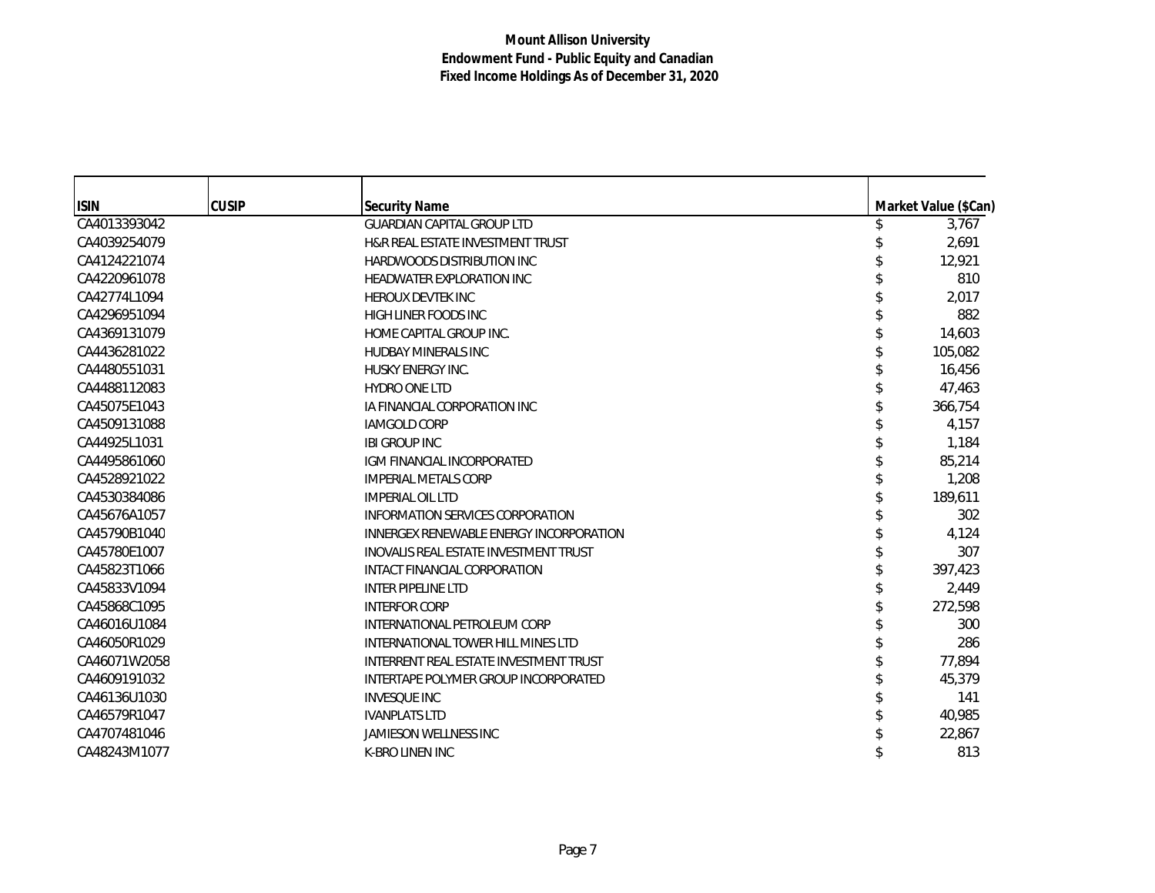| <b>ISIN</b>  | <b>CUSIP</b> | <b>Security Name</b>                         | Market Value (\$Can) |
|--------------|--------------|----------------------------------------------|----------------------|
| CA4013393042 |              | <b>GUARDIAN CAPITAL GROUP LTD</b>            | 3,767                |
| CA4039254079 |              | H&R REAL ESTATE INVESTMENT TRUST             | 2,691                |
| CA4124221074 |              | <b>HARDWOODS DISTRIBUTION INC</b>            | 12,921               |
| CA4220961078 |              | <b>HEADWATER EXPLORATION INC</b>             | 810                  |
| CA42774L1094 |              | <b>HEROUX DEVTEK INC</b>                     | 2,017                |
| CA4296951094 |              | <b>HIGH LINER FOODS INC</b>                  | 882                  |
| CA4369131079 |              | HOME CAPITAL GROUP INC.                      | 14,603               |
| CA4436281022 |              | <b>HUDBAY MINERALS INC</b>                   | 105,082              |
| CA4480551031 |              | HUSKY ENERGY INC.                            | 16,456               |
| CA4488112083 |              | <b>HYDRO ONE LTD</b>                         | 47,463               |
| CA45075E1043 |              | IA FINANCIAL CORPORATION INC                 | 366,754              |
| CA4509131088 |              | <b>IAMGOLD CORP</b>                          | 4,157                |
| CA44925L1031 |              | <b>IBI GROUP INC</b>                         | 1,184                |
| CA4495861060 |              | IGM FINANCIAL INCORPORATED                   | 85,214               |
| CA4528921022 |              | <b>IMPERIAL METALS CORP</b>                  | 1,208                |
| CA4530384086 |              | <b>IMPERIAL OIL LTD</b>                      | 189.611              |
| CA45676A1057 |              | INFORMATION SERVICES CORPORATION             | 302                  |
| CA45790B1040 |              | INNERGEX RENEWABLE ENERGY INCORPORATION      | 4,124                |
| CA45780E1007 |              | <b>INOVALIS REAL ESTATE INVESTMENT TRUST</b> | 307                  |
| CA45823T1066 |              | INTACT FINANCIAL CORPORATION                 | 397,423              |
| CA45833V1094 |              | <b>INTER PIPELINE LTD</b>                    | 2,449                |
| CA45868C1095 |              | <b>INTERFOR CORP</b>                         | 272,598              |
| CA46016U1084 |              | INTERNATIONAL PETROLEUM CORP                 | 300                  |
| CA46050R1029 |              | INTERNATIONAL TOWER HILL MINES LTD           | 286                  |
| CA46071W2058 |              | INTERRENT REAL ESTATE INVESTMENT TRUST       | 77,894               |
| CA4609191032 |              | INTERTAPE POLYMER GROUP INCORPORATED         | 45,379               |
| CA46136U1030 |              | <b>INVESQUE INC</b>                          | 141                  |
| CA46579R1047 |              | <b>IVANPLATS LTD</b>                         | 40,985               |
| CA4707481046 |              | <b>JAMIESON WELLNESS INC</b>                 | 22,867               |
| CA48243M1077 |              | <b>K-BRO LINEN INC</b>                       | 813                  |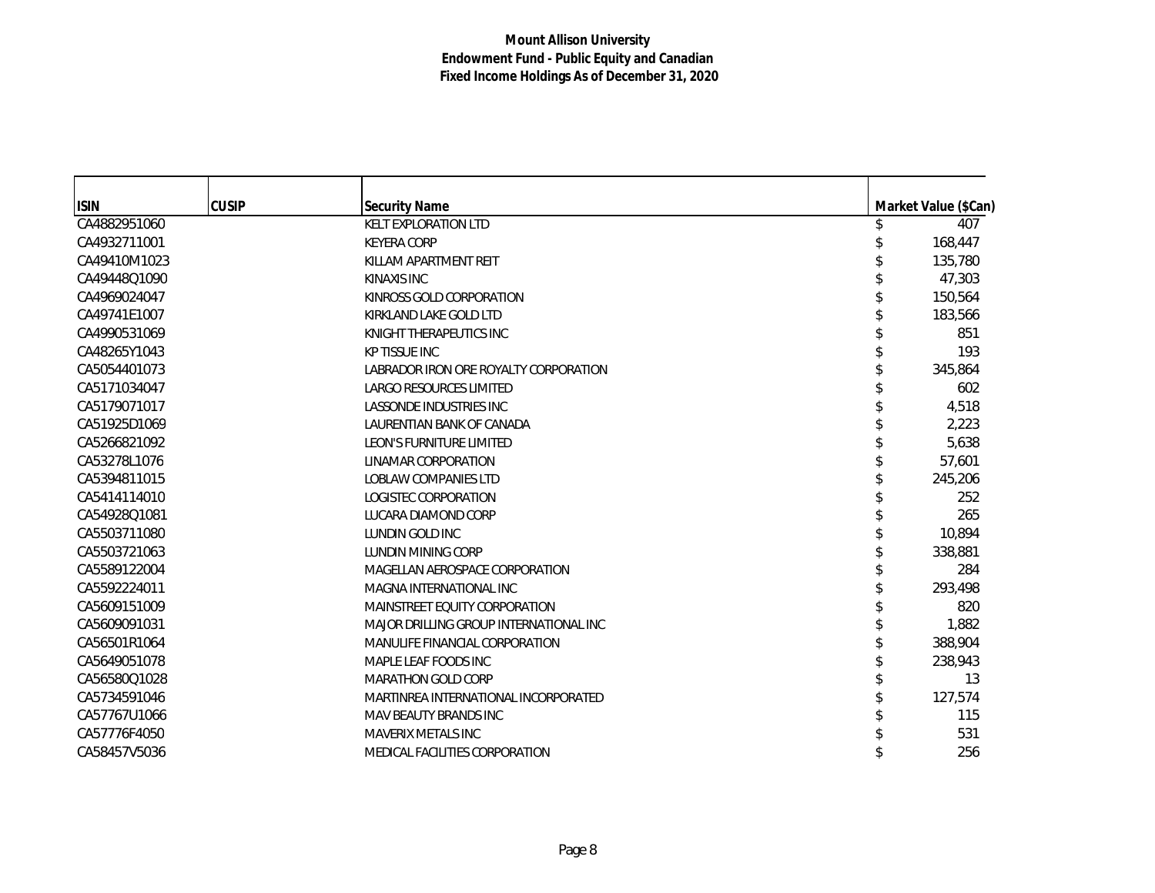| <b>ISIN</b>  | <b>CUSIP</b> | <b>Security Name</b>                   | Market Value (\$Can) |
|--------------|--------------|----------------------------------------|----------------------|
| CA4882951060 |              | <b>KELT EXPLORATION LTD</b>            | 407                  |
| CA4932711001 |              | <b>KEYERA CORP</b>                     | 168,447              |
| CA49410M1023 |              | KILLAM APARTMENT REIT                  | 135,780              |
| CA49448Q1090 |              | KINAXIS INC                            | 47,303               |
| CA4969024047 |              | KINROSS GOLD CORPORATION               | 150,564              |
| CA49741E1007 |              | KIRKLAND LAKE GOLD LTD                 | 183,566              |
| CA4990531069 |              | KNIGHT THERAPEUTICS INC                | 851                  |
| CA48265Y1043 |              | <b>KP TISSUE INC</b>                   | 193                  |
| CA5054401073 |              | LABRADOR IRON ORE ROYALTY CORPORATION  | 345,864              |
| CA5171034047 |              | LARGO RESOURCES LIMITED                | 602                  |
| CA5179071017 |              | LASSONDE INDUSTRIES INC                | 4,518                |
| CA51925D1069 |              | LAURENTIAN BANK OF CANADA              | 2,223                |
| CA5266821092 |              | <b>LEON'S FURNITURE LIMITED</b>        | 5,638                |
| CA53278L1076 |              | LINAMAR CORPORATION                    | 57,601               |
| CA5394811015 |              | <b>LOBLAW COMPANIES LTD</b>            | 245,206              |
| CA5414114010 |              | LOGISTEC CORPORATION                   | 252                  |
| CA54928Q1081 |              | LUCARA DIAMOND CORP                    | 265                  |
| CA5503711080 |              | LUNDIN GOLD INC                        | 10,894               |
| CA5503721063 |              | <b>LUNDIN MINING CORP</b>              | 338,881              |
| CA5589122004 |              | MAGELLAN AEROSPACE CORPORATION         | 284                  |
| CA5592224011 |              | MAGNA INTERNATIONAL INC                | 293,498              |
| CA5609151009 |              | MAINSTREET EQUITY CORPORATION          | 820                  |
| CA5609091031 |              | MAJOR DRILLING GROUP INTERNATIONAL INC | 1,882                |
| CA56501R1064 |              | MANULIFE FINANCIAL CORPORATION         | 388,904              |
| CA5649051078 |              | MAPLE LEAF FOODS INC                   | 238,943              |
| CA56580Q1028 |              | <b>MARATHON GOLD CORP</b>              | 13                   |
| CA5734591046 |              | MARTINREA INTERNATIONAL INCORPORATED   | 127,574              |
| CA57767U1066 |              | MAV BEAUTY BRANDS INC                  | 115                  |
| CA57776F4050 |              | <b>MAVERIX METALS INC</b>              | 531                  |
| CA58457V5036 |              | <b>MEDICAL FACILITIES CORPORATION</b>  | 256                  |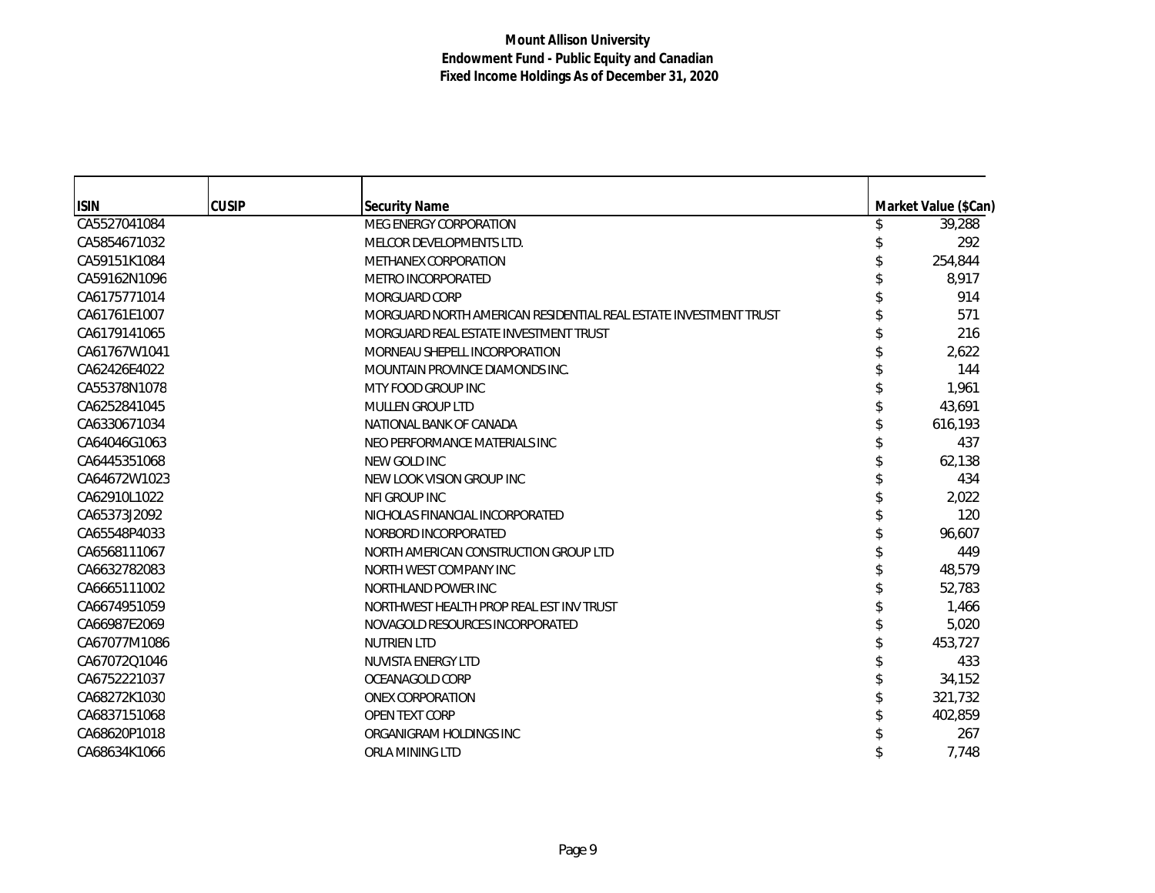| <b>ISIN</b>  | <b>CUSIP</b> | <b>Security Name</b>                                             | Market Value (\$Can) |
|--------------|--------------|------------------------------------------------------------------|----------------------|
| CA5527041084 |              | <b>MEG ENERGY CORPORATION</b>                                    | 39,288               |
| CA5854671032 |              | MELCOR DEVELOPMENTS LTD.                                         | 292                  |
| CA59151K1084 |              | METHANEX CORPORATION                                             | 254,844              |
| CA59162N1096 |              | <b>METRO INCORPORATED</b>                                        | 8,917                |
| CA6175771014 |              | MORGUARD CORP                                                    | 914                  |
| CA61761E1007 |              | MORGUARD NORTH AMERICAN RESIDENTIAL REAL ESTATE INVESTMENT TRUST | 571                  |
| CA6179141065 |              | MORGUARD REAL ESTATE INVESTMENT TRUST                            | 216                  |
| CA61767W1041 |              | MORNEAU SHEPELL INCORPORATION                                    | 2,622                |
| CA62426E4022 |              | MOUNTAIN PROVINCE DIAMONDS INC.                                  | 144                  |
| CA55378N1078 |              | MTY FOOD GROUP INC                                               | 1,961                |
| CA6252841045 |              | <b>MULLEN GROUP LTD</b>                                          | 43,691               |
| CA6330671034 |              | NATIONAL BANK OF CANADA                                          | 616,193              |
| CA64046G1063 |              | NEO PERFORMANCE MATERIALS INC                                    | 437                  |
| CA6445351068 |              | NEW GOLD INC                                                     | 62,138               |
| CA64672W1023 |              | NEW LOOK VISION GROUP INC                                        | 434                  |
| CA62910L1022 |              | NFI GROUP INC                                                    | 2,022                |
| CA65373J2092 |              | NICHOLAS FINANCIAL INCORPORATED                                  | 120                  |
| CA65548P4033 |              | NORBORD INCORPORATED                                             | 96,607               |
| CA6568111067 |              | NORTH AMERICAN CONSTRUCTION GROUP LTD                            | 449                  |
| CA6632782083 |              | NORTH WEST COMPANY INC                                           | 48,579               |
| CA6665111002 |              | NORTHLAND POWER INC                                              | 52,783               |
| CA6674951059 |              | NORTHWEST HEALTH PROP REAL EST INV TRUST                         | 1,466                |
| CA66987E2069 |              | NOVAGOLD RESOURCES INCORPORATED                                  | 5,020                |
| CA67077M1086 |              | <b>NUTRIEN LTD</b>                                               | 453,727              |
| CA67072Q1046 |              | NUVISTA ENERGY LTD                                               | 433                  |
| CA6752221037 |              | OCEANAGOLD CORP                                                  | 34,152               |
| CA68272K1030 |              | <b>ONEX CORPORATION</b>                                          | 321,732              |
| CA6837151068 |              | <b>OPEN TEXT CORP</b>                                            | 402,859              |
| CA68620P1018 |              | ORGANIGRAM HOLDINGS INC                                          | 267                  |
| CA68634K1066 |              | ORLA MINING LTD                                                  | 7,748                |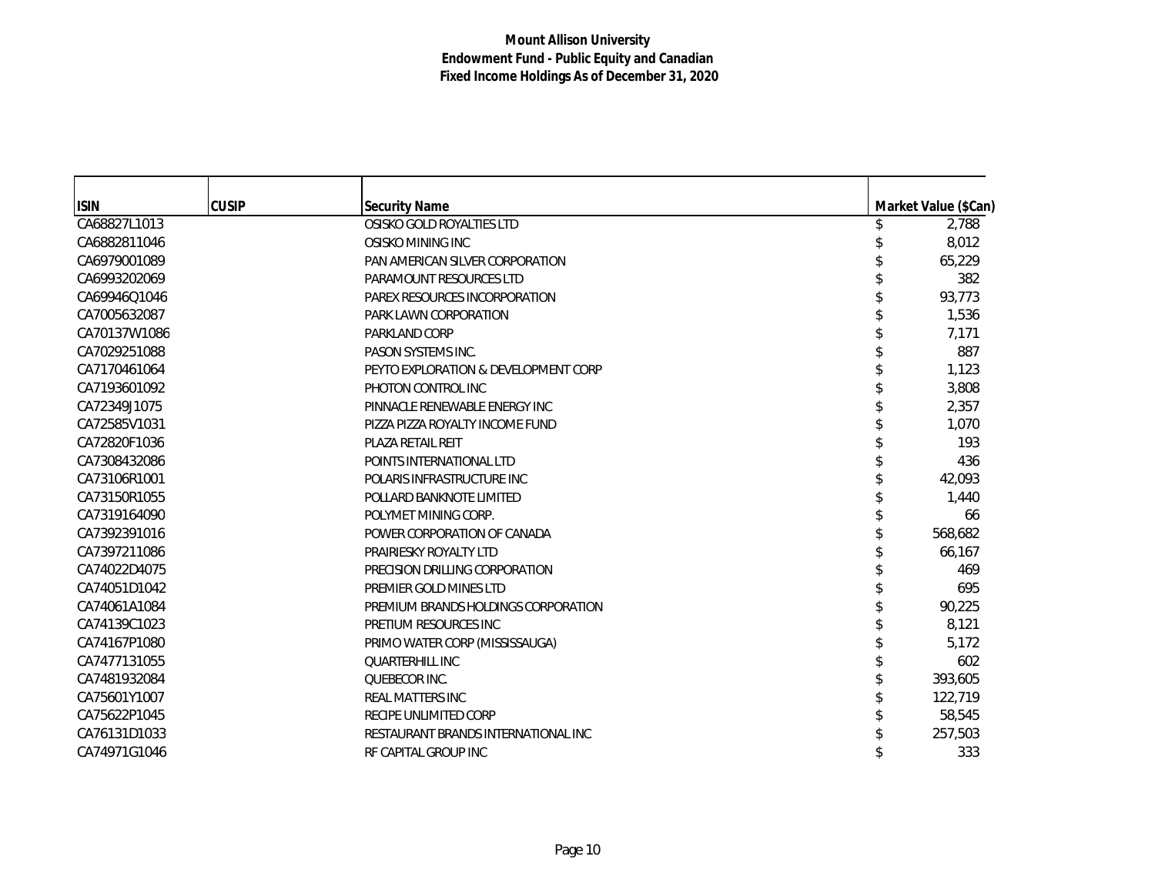| <b>ISIN</b>  | <b>CUSIP</b> | <b>Security Name</b>                 | Market Value (\$Can) |
|--------------|--------------|--------------------------------------|----------------------|
| CA68827L1013 |              | OSISKO GOLD ROYALTIES LTD            | 2,788                |
| CA6882811046 |              | OSISKO MINING INC                    | 8,012                |
| CA6979001089 |              | PAN AMERICAN SILVER CORPORATION      | 65,229               |
| CA6993202069 |              | PARAMOUNT RESOURCES LTD              | 382                  |
| CA69946Q1046 |              | PAREX RESOURCES INCORPORATION        | 93,773               |
| CA7005632087 |              | PARK LAWN CORPORATION                | 1,536                |
| CA70137W1086 |              | PARKLAND CORP                        | 7,171                |
| CA7029251088 |              | PASON SYSTEMS INC.                   | 887                  |
| CA7170461064 |              | PEYTO EXPLORATION & DEVELOPMENT CORP | 1,123                |
| CA7193601092 |              | PHOTON CONTROL INC                   | 3,808                |
| CA72349J1075 |              | PINNACLE RENEWABLE ENERGY INC        | 2,357                |
| CA72585V1031 |              | PIZZA PIZZA ROYALTY INCOME FUND      | 1,070                |
| CA72820F1036 |              | PLAZA RETAIL REIT                    | 193                  |
| CA7308432086 |              | POINTS INTERNATIONAL LTD             | 436                  |
| CA73106R1001 |              | POLARIS INFRASTRUCTURE INC           | 42,093               |
| CA73150R1055 |              | POLLARD BANKNOTE LIMITED             | 1,440                |
| CA7319164090 |              | POLYMET MINING CORP.                 | 66                   |
| CA7392391016 |              | POWER CORPORATION OF CANADA          | 568,682              |
| CA7397211086 |              | PRAIRIESKY ROYALTY LTD               | 66,167               |
| CA74022D4075 |              | PRECISION DRILLING CORPORATION       | 469                  |
| CA74051D1042 |              | PREMIER GOLD MINES LTD               | 695                  |
| CA74061A1084 |              | PREMIUM BRANDS HOLDINGS CORPORATION  | 90,225               |
| CA74139C1023 |              | PRETIUM RESOURCES INC                | 8,121                |
| CA74167P1080 |              | PRIMO WATER CORP (MISSISSAUGA)       | 5,172                |
| CA7477131055 |              | <b>QUARTERHILL INC</b>               | 602                  |
| CA7481932084 |              | QUEBECOR INC.                        | 393,605              |
| CA75601Y1007 |              | REAL MATTERS INC                     | 122,719              |
| CA75622P1045 |              | RECIPE UNLIMITED CORP                | 58,545               |
| CA76131D1033 |              | RESTAURANT BRANDS INTERNATIONAL INC  | 257,503              |
| CA74971G1046 |              | RF CAPITAL GROUP INC                 | 333                  |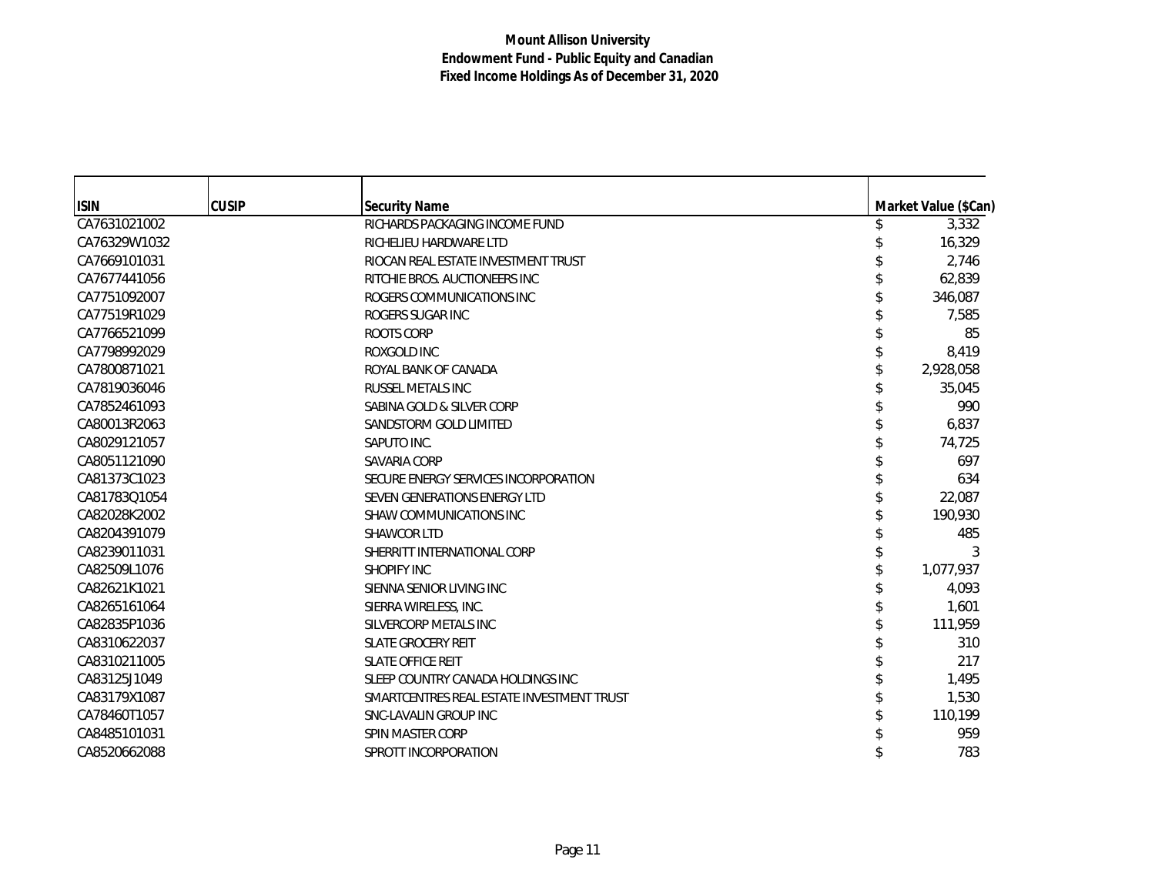| <b>ISIN</b>  | <b>CUSIP</b> | <b>Security Name</b>                      | Market Value (\$Can) |
|--------------|--------------|-------------------------------------------|----------------------|
| CA7631021002 |              | RICHARDS PACKAGING INCOME FUND            | 3,332                |
| CA76329W1032 |              | RICHELIEU HARDWARE LTD                    | 16,329               |
| CA7669101031 |              | RIOCAN REAL ESTATE INVESTMENT TRUST       | 2,746                |
| CA7677441056 |              | RITCHIE BROS. AUCTIONEERS INC             | 62,839               |
| CA7751092007 |              | ROGERS COMMUNICATIONS INC                 | 346,087              |
| CA77519R1029 |              | ROGERS SUGAR INC                          | 7,585                |
| CA7766521099 |              | <b>ROOTS CORP</b>                         | 85                   |
| CA7798992029 |              | ROXGOLD INC                               | 8,419                |
| CA7800871021 |              | ROYAL BANK OF CANADA                      | 2,928,058            |
| CA7819036046 |              | RUSSEL METALS INC                         | 35,045               |
| CA7852461093 |              | SABINA GOLD & SILVER CORP                 | 990                  |
| CA80013R2063 |              | SANDSTORM GOLD LIMITED                    | 6,837                |
| CA8029121057 |              | SAPUTO INC.                               | 74,725               |
| CA8051121090 |              | <b>SAVARIA CORP</b>                       | 697                  |
| CA81373C1023 |              | SECURE ENERGY SERVICES INCORPORATION      | 634                  |
| CA81783Q1054 |              | SEVEN GENERATIONS ENERGY LTD              | 22,087               |
|              |              |                                           |                      |
| CA82028K2002 |              | <b>SHAW COMMUNICATIONS INC</b>            | 190,930              |
| CA8204391079 |              | SHAWCOR LTD                               | 485                  |
| CA8239011031 |              | SHERRITT INTERNATIONAL CORP               | 3                    |
| CA82509L1076 |              | <b>SHOPIFY INC</b>                        | 1,077,937            |
| CA82621K1021 |              | SIENNA SENIOR LIVING INC                  | 4,093                |
| CA8265161064 |              | SIERRA WIRELESS, INC.                     | 1,601                |
| CA82835P1036 |              | SILVERCORP METALS INC                     | 111,959              |
| CA8310622037 |              | <b>SLATE GROCERY REIT</b>                 | 310                  |
| CA8310211005 |              | <b>SLATE OFFICE REIT</b>                  | 217                  |
| CA83125J1049 |              | SLEEP COUNTRY CANADA HOLDINGS INC         | 1,495                |
| CA83179X1087 |              | SMARTCENTRES REAL ESTATE INVESTMENT TRUST | 1,530                |
| CA78460T1057 |              | SNC-LAVALIN GROUP INC                     | 110,199              |
| CA8485101031 |              | SPIN MASTER CORP                          | 959                  |
| CA8520662088 |              | SPROTT INCORPORATION                      | 783                  |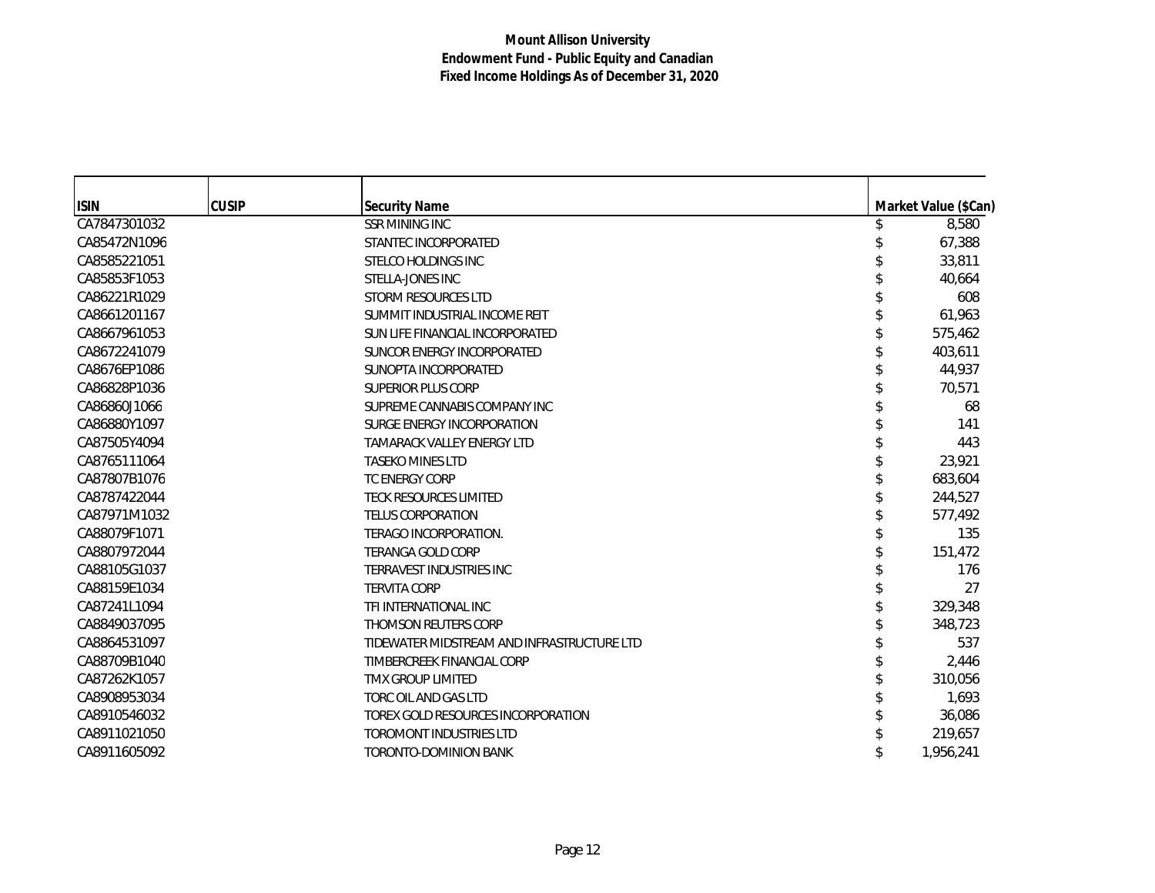| <b>ISIN</b>  | <b>CUSIP</b> | <b>Security Name</b>                       |   | Market Value (\$Can) |
|--------------|--------------|--------------------------------------------|---|----------------------|
| CA7847301032 |              | <b>SSR MINING INC</b>                      | S | 8,580                |
| CA85472N1096 |              | STANTEC INCORPORATED                       |   | 67,388               |
| CA8585221051 |              | STELCO HOLDINGS INC                        |   | 33,811               |
| CA85853F1053 |              | STELLA-JONES INC                           |   | 40,664               |
| CA86221R1029 |              | <b>STORM RESOURCES LTD</b>                 |   | 608                  |
| CA8661201167 |              | SUMMIT INDUSTRIAL INCOME REIT              |   | 61,963               |
| CA8667961053 |              | SUN LIFE FINANCIAL INCORPORATED            |   | 575,462              |
| CA8672241079 |              | SUNCOR ENERGY INCORPORATED                 |   | 403,611              |
| CA8676EP1086 |              | SUNOPTA INCORPORATED                       |   | 44,937               |
| CA86828P1036 |              | <b>SUPERIOR PLUS CORP</b>                  |   | 70,571               |
| CA86860J1066 |              | SUPREME CANNABIS COMPANY INC               |   | 68                   |
| CA86880Y1097 |              | SURGE ENERGY INCORPORATION                 |   | 141                  |
| CA87505Y4094 |              | TAMARACK VALLEY ENERGY LTD                 |   | 443                  |
| CA8765111064 |              | <b>TASEKO MINES LTD</b>                    |   | 23,921               |
| CA87807B1076 |              | <b>TC ENERGY CORP</b>                      |   | 683,604              |
| CA8787422044 |              | <b>TECK RESOURCES LIMITED</b>              |   | 244,527              |
| CA87971M1032 |              | <b>TELUS CORPORATION</b>                   |   | 577,492              |
| CA88079F1071 |              | TERAGO INCORPORATION.                      |   | 135                  |
| CA8807972044 |              | <b>TERANGA GOLD CORP</b>                   |   | 151,472              |
| CA88105G1037 |              | TERRAVEST INDUSTRIES INC                   |   | 176                  |
| CA88159E1034 |              | <b>TERVITA CORP</b>                        |   | 27                   |
| CA87241L1094 |              | TFI INTERNATIONAL INC                      |   | 329,348              |
| CA8849037095 |              | THOMSON REUTERS CORP                       |   | 348,723              |
| CA8864531097 |              | TIDEWATER MIDSTREAM AND INFRASTRUCTURE LTD |   | 537                  |
| CA88709B1040 |              | TIMBERCREEK FINANCIAL CORP                 |   | 2,446                |
| CA87262K1057 |              | <b>TMX GROUP LIMITED</b>                   |   | 310.056              |
| CA8908953034 |              | TORC OIL AND GAS LTD                       |   | 1,693                |
| CA8910546032 |              | TOREX GOLD RESOURCES INCORPORATION         |   | 36,086               |
| CA8911021050 |              | <b>TOROMONT INDUSTRIES LTD</b>             |   | 219,657              |
| CA8911605092 |              | TORONTO-DOMINION BANK                      |   | 1,956,241            |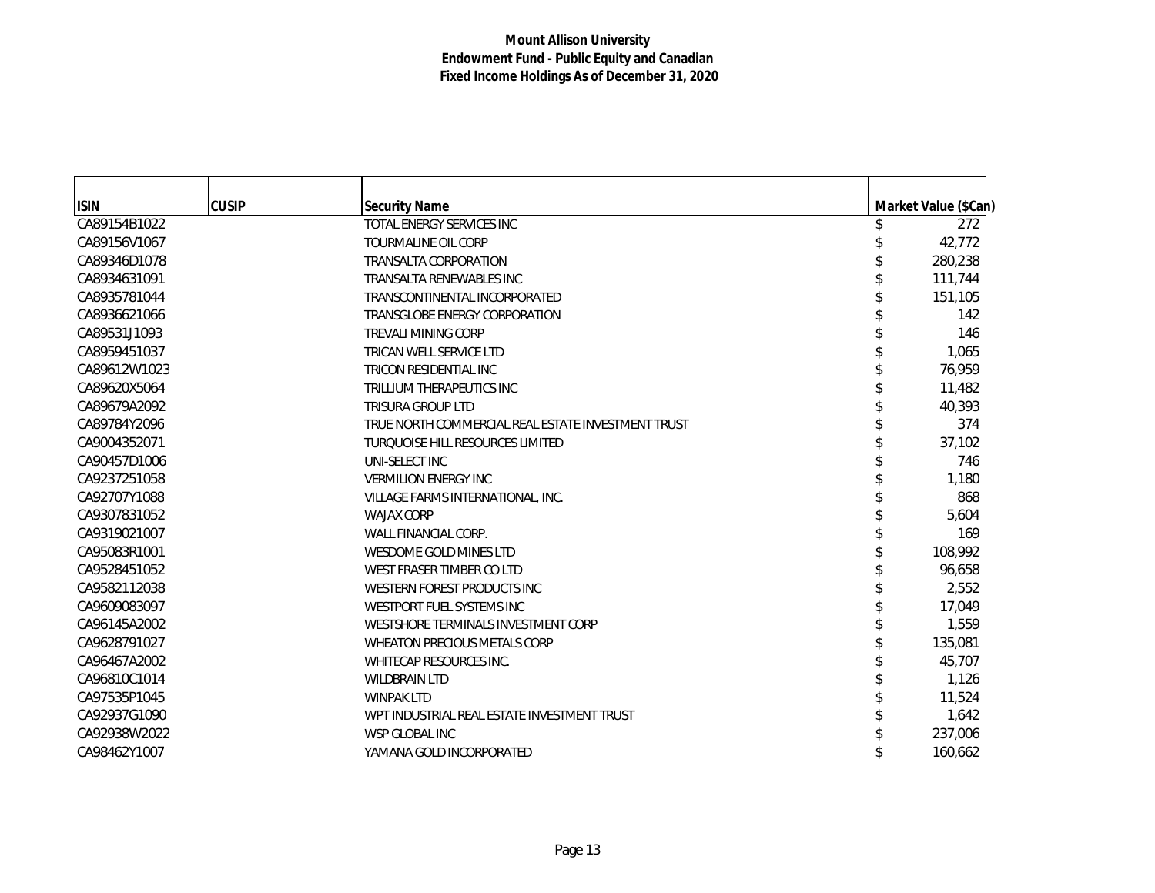| <b>ISIN</b>  | <b>CUSIP</b> | <b>Security Name</b>                               | Market Value (\$Can) |
|--------------|--------------|----------------------------------------------------|----------------------|
| CA89154B1022 |              | TOTAL ENERGY SERVICES INC                          | 272                  |
| CA89156V1067 |              | <b>TOURMALINE OIL CORP</b>                         | 42,772               |
| CA89346D1078 |              | <b>TRANSALTA CORPORATION</b>                       | 280,238              |
| CA8934631091 |              | TRANSALTA RENEWABLES INC                           | 111,744              |
| CA8935781044 |              | TRANSCONTINENTAL INCORPORATED                      | 151,105              |
| CA8936621066 |              | TRANSGLOBE ENERGY CORPORATION                      | 142                  |
| CA89531J1093 |              | <b>TREVALI MINING CORP</b>                         | 146                  |
| CA8959451037 |              | TRICAN WELL SERVICE LTD                            | 1,065                |
| CA89612W1023 |              | TRICON RESIDENTIAL INC                             | 76,959               |
| CA89620X5064 |              | TRILLIUM THERAPEUTICS INC                          | 11,482               |
| CA89679A2092 |              | <b>TRISURA GROUP LTD</b>                           | 40,393               |
| CA89784Y2096 |              | TRUE NORTH COMMERCIAL REAL ESTATE INVESTMENT TRUST | 374                  |
| CA9004352071 |              | <b>TURQUOISE HILL RESOURCES LIMITED</b>            | 37,102               |
| CA90457D1006 |              | UNI-SELECT INC                                     | 746                  |
| CA9237251058 |              | <b>VERMILION ENERGY INC</b>                        | 1,180                |
| CA92707Y1088 |              | VILLAGE FARMS INTERNATIONAL, INC.                  | 868                  |
| CA9307831052 |              | <b>WAJAX CORP</b>                                  | 5,604                |
| CA9319021007 |              | WALL FINANCIAL CORP.                               | 169                  |
| CA95083R1001 |              | WESDOME GOLD MINES LTD                             | 108,992              |
| CA9528451052 |              | WEST FRASER TIMBER CO LTD                          | 96,658               |
| CA9582112038 |              | WESTERN FOREST PRODUCTS INC                        | 2,552                |
| CA9609083097 |              | WESTPORT FUEL SYSTEMS INC                          | 17,049               |
| CA96145A2002 |              | WESTSHORE TERMINALS INVESTMENT CORP                | 1,559                |
| CA9628791027 |              | WHEATON PRECIOUS METALS CORP                       | 135,081              |
| CA96467A2002 |              | WHITECAP RESOURCES INC.                            | 45,707               |
| CA96810C1014 |              | <b>WILDBRAIN LTD</b>                               | 1,126                |
| CA97535P1045 |              | <b>WINPAK LTD</b>                                  | 11,524               |
| CA92937G1090 |              | WPT INDUSTRIAL REAL ESTATE INVESTMENT TRUST        | 1,642                |
| CA92938W2022 |              | <b>WSP GLOBAL INC</b>                              | 237,006              |
| CA98462Y1007 |              | YAMANA GOLD INCORPORATED                           | 160.662              |
|              |              |                                                    |                      |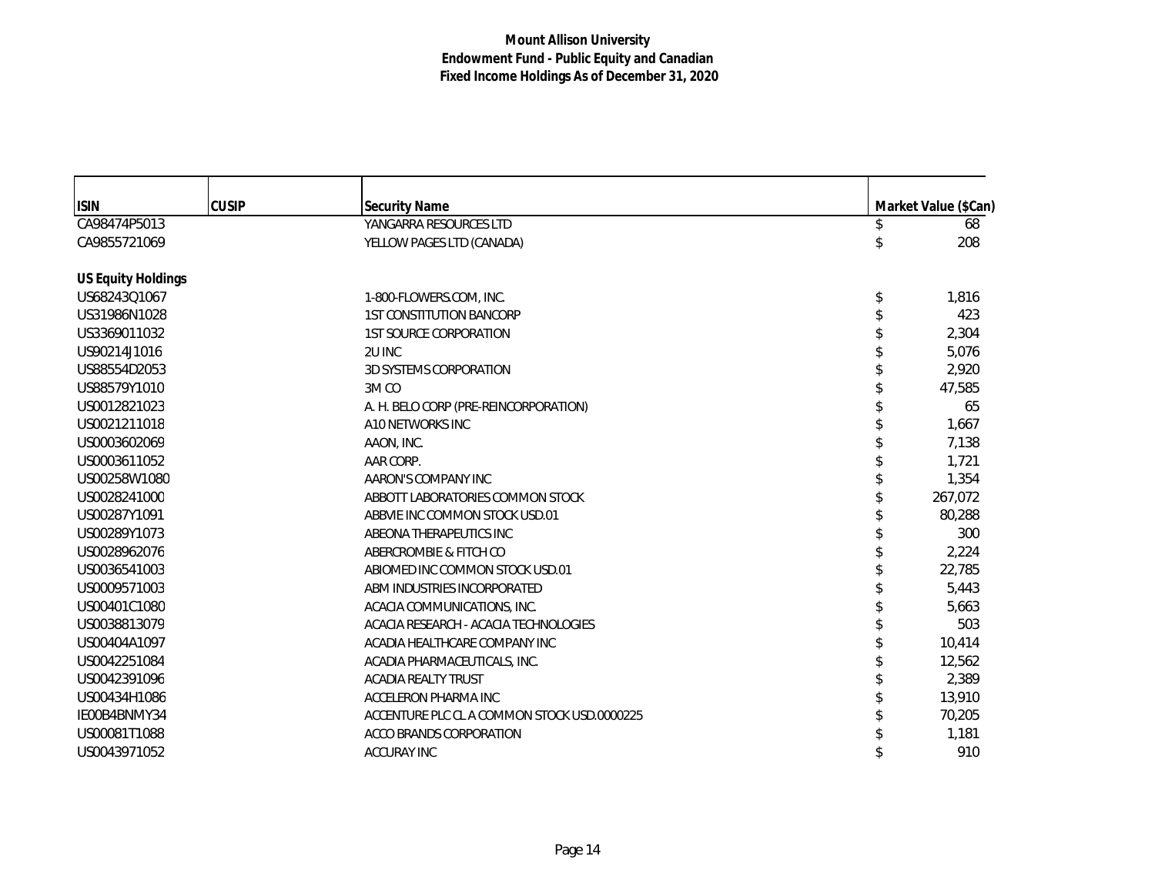| <b>ISIN</b>               | <b>CUSIP</b> | <b>Security Name</b>                        | Market Value (\$Can) |
|---------------------------|--------------|---------------------------------------------|----------------------|
| CA98474P5013              |              | YANGARRA RESOURCES LTD                      | 68                   |
| CA9855721069              |              | YELLOW PAGES LTD (CANADA)                   | 208                  |
| <b>US Equity Holdings</b> |              |                                             |                      |
| US68243Q1067              |              | 1-800-FLOWERS.COM, INC.                     | \$<br>1,816          |
| US31986N1028              |              | <b>1ST CONSTITUTION BANCORP</b>             | 423                  |
| US3369011032              |              | <b>1ST SOURCE CORPORATION</b>               | 2,304                |
| US90214J1016              |              | 2U INC                                      | 5,076                |
| US88554D2053              |              | 3D SYSTEMS CORPORATION                      | 2,920                |
| US88579Y1010              |              | 3M <sub>CO</sub>                            | 47,585               |
| US0012821023              |              | A. H. BELO CORP (PRE-REINCORPORATION)       | 65                   |
| US0021211018              |              | A10 NETWORKS INC                            | 1,667                |
| US0003602069              |              | AAON, INC.                                  | 7,138                |
| US0003611052              |              | AAR CORP.                                   | 1,721                |
| US00258W1080              |              | AARON'S COMPANY INC                         | 1,354                |
| US0028241000              |              | ABBOTT LABORATORIES COMMON STOCK            | 267,072              |
| US00287Y1091              |              | ABBVIE INC COMMON STOCK USD.01              | 80,288               |
| US00289Y1073              |              | ABEONA THERAPEUTICS INC                     | 300                  |
| US0028962076              |              | ABERCROMBIE & FITCH CO                      | 2,224                |
| US0036541003              |              | ABIOMED INC COMMON STOCK USD.01             | 22,785               |
| US0009571003              |              | ABM INDUSTRIES INCORPORATED                 | 5,443                |
| US00401C1080              |              | ACACIA COMMUNICATIONS, INC.                 | 5,663                |
| US0038813079              |              | ACACIA RESEARCH - ACACIA TECHNOLOGIES       | 503                  |
| US00404A1097              |              | ACADIA HEALTHCARE COMPANY INC               | 10,414               |
| US0042251084              |              | ACADIA PHARMACEUTICALS, INC.                | 12,562               |
| US0042391096              |              | <b>ACADIA REALTY TRUST</b>                  | 2,389                |
| US00434H1086              |              | ACCELERON PHARMA INC                        | 13,910               |
| IE00B4BNMY34              |              | ACCENTURE PLC CL A COMMON STOCK USD.0000225 | 70,205               |
| US00081T1088              |              | <b>ACCO BRANDS CORPORATION</b>              | 1,181                |
| US0043971052              |              | <b>ACCURAY INC</b>                          | 910                  |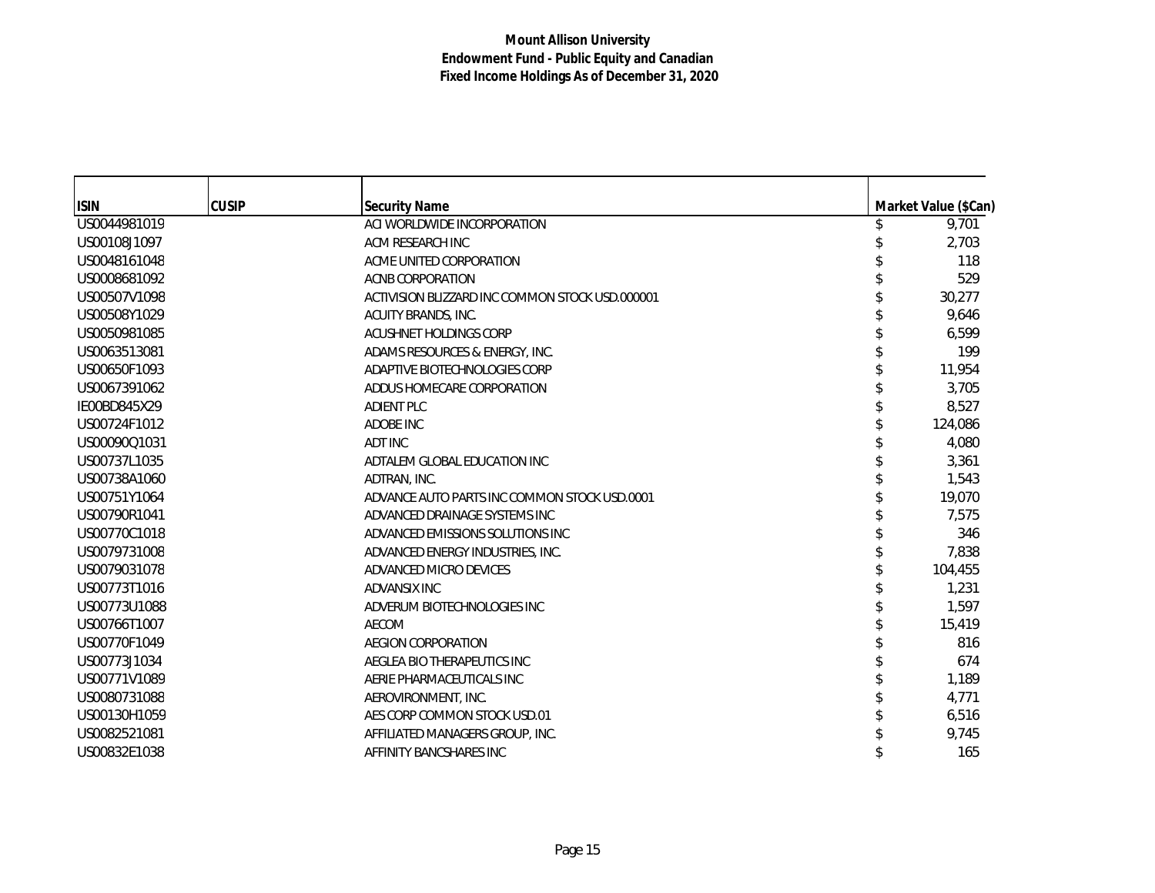| <b>ISIN</b>  | <b>CUSIP</b> | Security Name                                   | Market Value (\$Can) |
|--------------|--------------|-------------------------------------------------|----------------------|
| US0044981019 |              | ACI WORLDWIDE INCORPORATION                     | 9,701                |
| US00108J1097 |              | ACM RESEARCH INC                                | 2,703                |
| US0048161048 |              | ACME UNITED CORPORATION                         | 118                  |
| US0008681092 |              | ACNB CORPORATION                                | 529                  |
| US00507V1098 |              | ACTIVISION BLIZZARD INC COMMON STOCK USD.000001 | 30,277               |
| US00508Y1029 |              | ACUITY BRANDS, INC.                             | 9,646                |
| US0050981085 |              | ACUSHNET HOLDINGS CORP                          | 6,599                |
| US0063513081 |              | ADAMS RESOURCES & ENERGY, INC.                  | 199                  |
| US00650F1093 |              | ADAPTIVE BIOTECHNOLOGIES CORP                   | 11,954               |
| US0067391062 |              | ADDUS HOMECARE CORPORATION                      | 3,705                |
| IE00BD845X29 |              | <b>ADIENT PLC</b>                               | 8,527                |
| US00724F1012 |              | ADOBE INC                                       | 124,086              |
| US00090Q1031 |              | <b>ADT INC</b>                                  | 4,080                |
| US00737L1035 |              | ADTALEM GLOBAL EDUCATION INC                    | 3,361                |
| US00738A1060 |              | ADTRAN, INC.                                    | 1,543                |
| US00751Y1064 |              | ADVANCE AUTO PARTS INC COMMON STOCK USD.0001    | 19,070               |
| US00790R1041 |              | ADVANCED DRAINAGE SYSTEMS INC                   | 7.575                |
| US00770C1018 |              | ADVANCED EMISSIONS SOLUTIONS INC                | 346                  |
| US0079731008 |              | ADVANCED ENERGY INDUSTRIES, INC.                | 7,838                |
| US0079031078 |              | ADVANCED MICRO DEVICES                          | 104,455              |
| US00773T1016 |              | ADVANSIX INC                                    | 1,231                |
| US00773U1088 |              | ADVERUM BIOTECHNOLOGIES INC                     | 1,597                |
| US00766T1007 |              | AECOM                                           | 15,419               |
| US00770F1049 |              | <b>AEGION CORPORATION</b>                       | 816                  |
| US00773J1034 |              | AEGLEA BIO THERAPEUTICS INC                     | 674                  |
| US00771V1089 |              | AERIE PHARMACEUTICALS INC                       | 1,189                |
| US0080731088 |              | AEROVIRONMENT, INC.                             | 4,771                |
| US00130H1059 |              | AES CORP COMMON STOCK USD.01                    | 6,516                |
| US0082521081 |              | AFFILIATED MANAGERS GROUP, INC.                 | 9,745                |
| US00832E1038 |              | AFFINITY BANCSHARES INC                         | 165                  |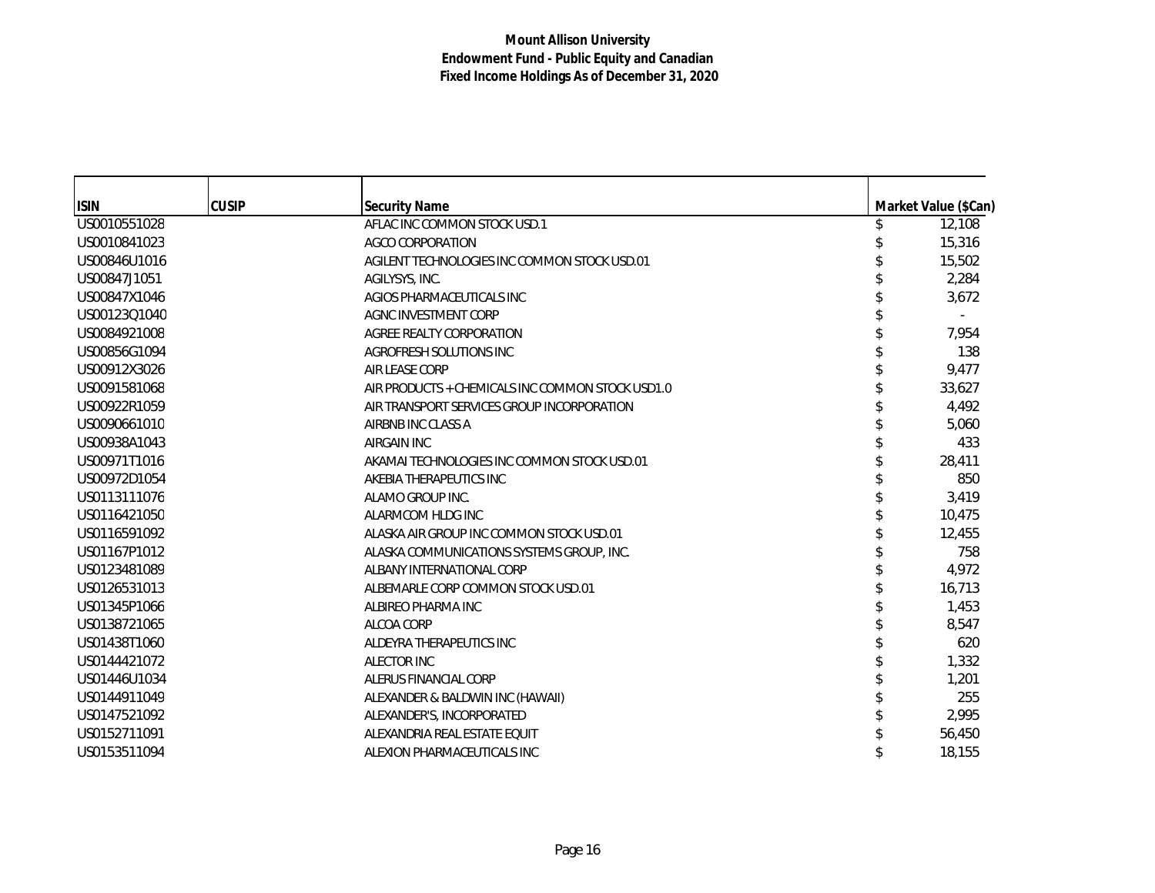| <b>ISIN</b>  | <b>CUSIP</b> | <b>Security Name</b>                             | Market Value (\$Can) |
|--------------|--------------|--------------------------------------------------|----------------------|
| US0010551028 |              | AFLAC INC COMMON STOCK USD.1                     | 12,108               |
| US0010841023 |              | AGCO CORPORATION                                 | 15,316               |
| US00846U1016 |              | AGILENT TECHNOLOGIES INC COMMON STOCK USD.01     | 15,502               |
| US00847J1051 |              | AGILYSYS, INC.                                   | 2,284                |
| US00847X1046 |              | AGIOS PHARMACEUTICALS INC                        | 3,672                |
| US00123Q1040 |              | AGNC INVESTMENT CORP                             |                      |
| US0084921008 |              | AGREE REALTY CORPORATION                         | 7,954                |
| US00856G1094 |              | AGROFRESH SOLUTIONS INC                          | 138                  |
| US00912X3026 |              | <b>AIR LEASE CORP</b>                            | 9,477                |
| US0091581068 |              | AIR PRODUCTS + CHEMICALS INC COMMON STOCK USD1.0 | 33,627               |
| US00922R1059 |              | AIR TRANSPORT SERVICES GROUP INCORPORATION       | 4,492                |
| US0090661010 |              | AIRBNB INC CLASS A                               | 5,060                |
| US00938A1043 |              | <b>AIRGAIN INC</b>                               | 433                  |
| US00971T1016 |              | AKAMAI TECHNOLOGIES INC COMMON STOCK USD.01      | 28,411               |
| US00972D1054 |              | AKEBIA THERAPEUTICS INC                          | 850                  |
| US0113111076 |              | ALAMO GROUP INC.                                 | 3,419                |
| US0116421050 |              | ALARMCOM HLDG INC                                | 10,475               |
| US0116591092 |              | ALASKA AIR GROUP INC COMMON STOCK USD.01         | 12,455               |
| US01167P1012 |              | ALASKA COMMUNICATIONS SYSTEMS GROUP, INC.        | 758                  |
| US0123481089 |              | ALBANY INTERNATIONAL CORP                        | 4,972                |
| US0126531013 |              | ALBEMARLE CORP COMMON STOCK USD.01               | 16,713               |
| US01345P1066 |              | ALBIREO PHARMA INC                               | 1,453                |
| US0138721065 |              | ALCOA CORP                                       | 8,547                |
| US01438T1060 |              | ALDEYRA THERAPEUTICS INC                         | 620                  |
| US0144421072 |              | <b>ALECTOR INC</b>                               | 1,332                |
| US01446U1034 |              | ALERUS FINANCIAL CORP                            | 1,201                |
| US0144911049 |              | ALEXANDER & BALDWIN INC (HAWAII)                 | 255                  |
| US0147521092 |              | ALEXANDER'S, INCORPORATED                        | 2,995                |
| US0152711091 |              | ALEXANDRIA REAL ESTATE EQUIT                     | 56,450               |
| US0153511094 |              | ALEXION PHARMACEUTICALS INC                      | 18,155               |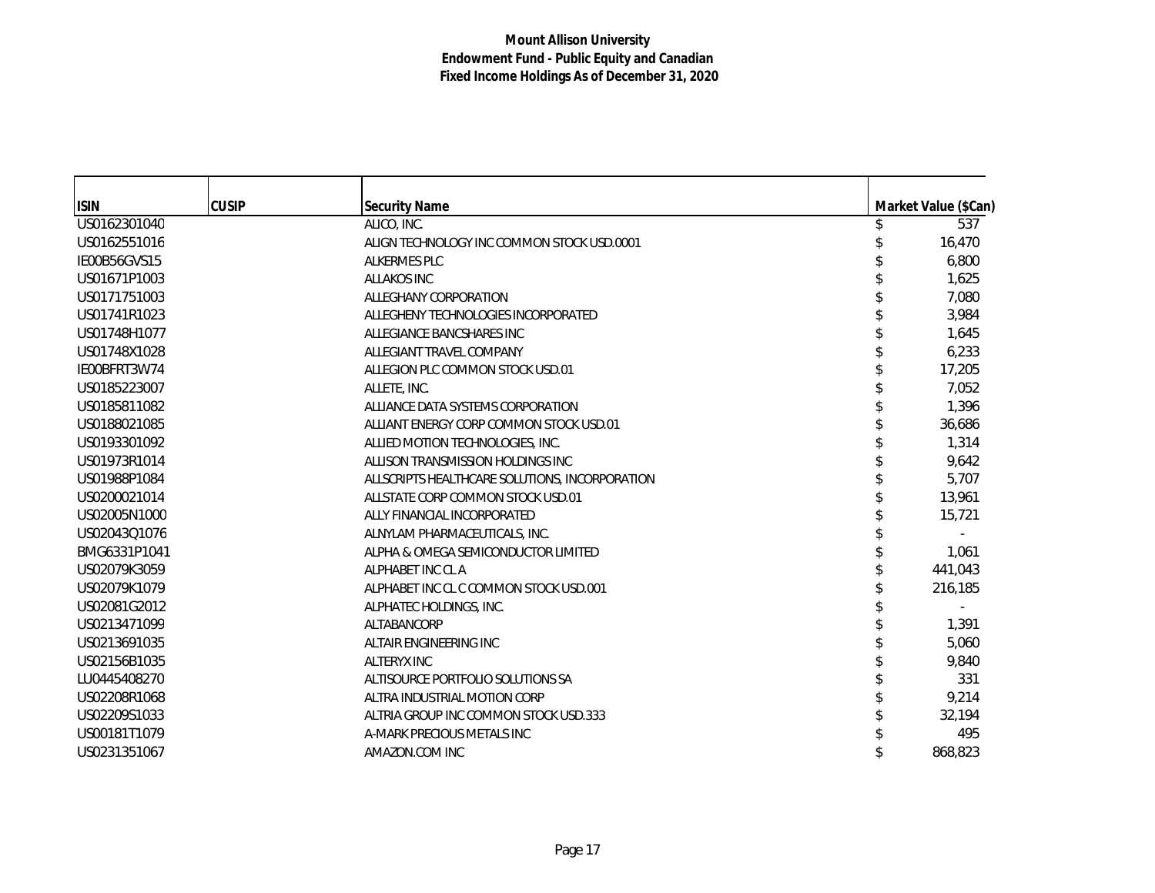| <b>ISIN</b>  | <b>CUSIP</b> | <b>Security Name</b>                           | Market Value (\$Can) |
|--------------|--------------|------------------------------------------------|----------------------|
| US0162301040 |              | ALICO, INC.                                    | 537                  |
| US0162551016 |              | ALIGN TECHNOLOGY INC COMMON STOCK USD.0001     | 16,470               |
| IE00B56GVS15 |              | ALKERMES PLC                                   | 6,800                |
| US01671P1003 |              | <b>ALLAKOS INC</b>                             | 1,625                |
| US0171751003 |              | ALLEGHANY CORPORATION                          | 7,080                |
| US01741R1023 |              | ALLEGHENY TECHNOLOGIES INCORPORATED            | 3,984                |
| US01748H1077 |              | ALLEGIANCE BANCSHARES INC                      | 1,645                |
| US01748X1028 |              | ALLEGIANT TRAVEL COMPANY                       | 6,233                |
| IE00BFRT3W74 |              | ALLEGION PLC COMMON STOCK USD.01               | 17,205               |
| US0185223007 |              | ALLETE, INC.                                   | 7,052                |
| US0185811082 |              | ALLIANCE DATA SYSTEMS CORPORATION              | 1,396                |
| US0188021085 |              | ALLIANT ENERGY CORP COMMON STOCK USD.01        | 36,686               |
| US0193301092 |              | ALLIED MOTION TECHNOLOGIES, INC.               | 1,314                |
| US01973R1014 |              | ALLISON TRANSMISSION HOLDINGS INC              | 9,642                |
| US01988P1084 |              | ALLSCRIPTS HEALTHCARE SOLUTIONS, INCORPORATION | 5,707                |
| US0200021014 |              | ALLSTATE CORP COMMON STOCK USD.01              | 13,961               |
| US02005N1000 |              | ALLY FINANCIAL INCORPORATED                    | 15,721               |
| US02043Q1076 |              | ALNYLAM PHARMACEUTICALS, INC.                  |                      |
| BMG6331P1041 |              | ALPHA & OMEGA SEMICONDUCTOR LIMITED            | 1,061                |
| US02079K3059 |              | ALPHABET INC CL A                              | 441,043              |
| US02079K1079 |              | ALPHABET INC CL C COMMON STOCK USD.001         | 216,185              |
| US02081G2012 |              | ALPHATEC HOLDINGS, INC.                        |                      |
| US0213471099 |              | ALTABANCORP                                    | 1,391                |
| US0213691035 |              | ALTAIR ENGINEERING INC                         | 5,060                |
| US02156B1035 |              | <b>ALTERYX INC</b>                             | 9,840                |
| LU0445408270 |              | ALTISOURCE PORTFOLIO SOLUTIONS SA              | 331                  |
| US02208R1068 |              | ALTRA INDUSTRIAL MOTION CORP                   | 9,214                |
| US02209S1033 |              | ALTRIA GROUP INC COMMON STOCK USD.333          | 32,194               |
| US00181T1079 |              | A-MARK PRECIOUS METALS INC                     | 495                  |
| US0231351067 |              | AMAZON.COM INC                                 | 868,823              |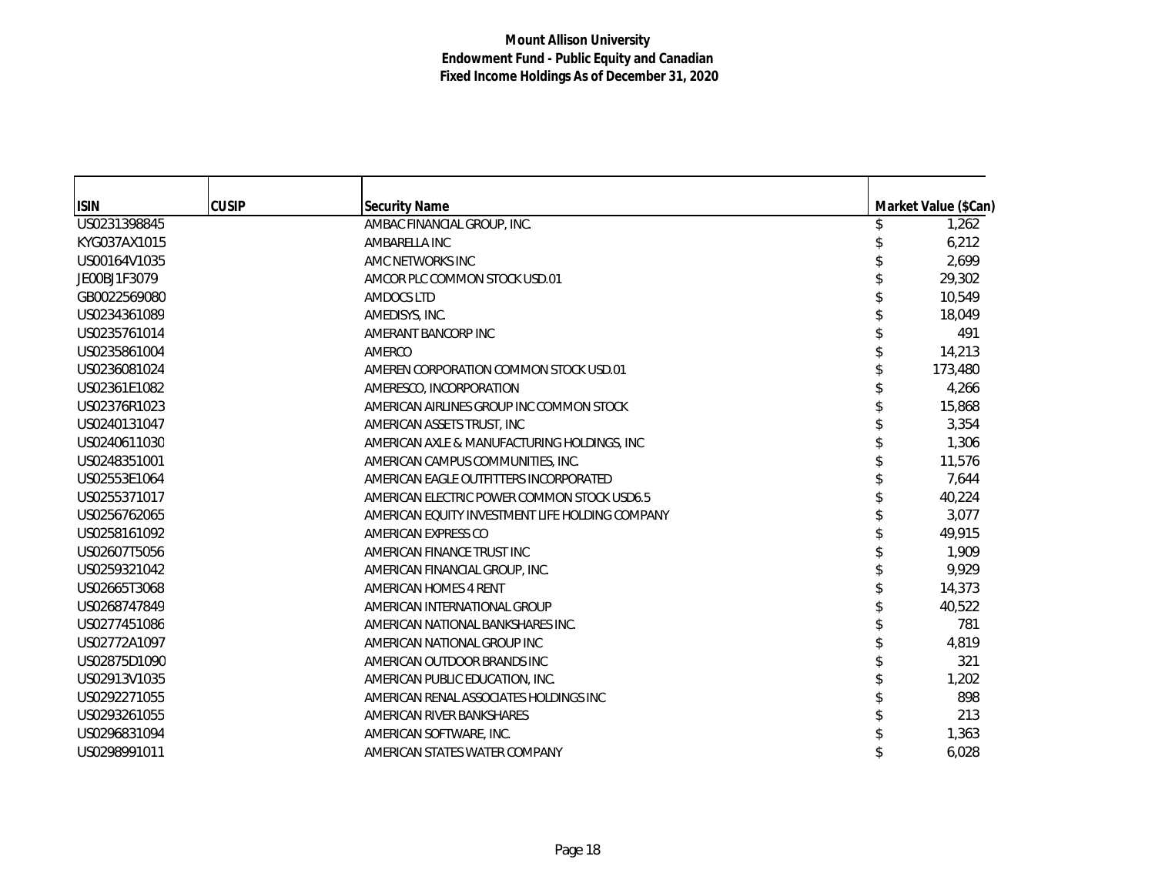| <b>ISIN</b>  | <b>CUSIP</b> | <b>Security Name</b>                            | Market Value (\$Can) |
|--------------|--------------|-------------------------------------------------|----------------------|
| US0231398845 |              | AMBAC FINANCIAL GROUP, INC.                     | 1,262                |
| KYG037AX1015 |              | AMBARELLA INC                                   | 6,212                |
| US00164V1035 |              | AMC NETWORKS INC                                | 2,699                |
| JE00BJ1F3079 |              | AMCOR PLC COMMON STOCK USD.01                   | 29,302               |
| GB0022569080 |              | AMDOCS LTD                                      | 10,549               |
| US0234361089 |              | AMEDISYS, INC.                                  | 18,049               |
| US0235761014 |              | AMERANT BANCORP INC                             | 491                  |
| US0235861004 |              | AMERCO                                          | 14,213               |
| US0236081024 |              | AMEREN CORPORATION COMMON STOCK USD.01          | 173,480              |
| US02361E1082 |              | AMERESCO, INCORPORATION                         | 4,266                |
| US02376R1023 |              | AMERICAN AIRLINES GROUP INC COMMON STOCK        | 15,868               |
| US0240131047 |              | AMERICAN ASSETS TRUST, INC                      | 3,354                |
| US0240611030 |              | AMERICAN AXLE & MANUFACTURING HOLDINGS, INC     | 1,306                |
| US0248351001 |              | AMERICAN CAMPUS COMMUNITIES, INC.               | 11,576               |
| US02553E1064 |              | AMERICAN EAGLE OUTFITTERS INCORPORATED          | 7,644                |
| US0255371017 |              | AMERICAN ELECTRIC POWER COMMON STOCK USD6.5     | 40,224               |
| US0256762065 |              | AMERICAN EQUITY INVESTMENT LIFE HOLDING COMPANY | 3,077                |
| US0258161092 |              | AMERICAN EXPRESS CO                             | 49,915               |
| US02607T5056 |              | AMERICAN FINANCE TRUST INC                      | 1,909                |
| US0259321042 |              | AMERICAN FINANCIAL GROUP, INC.                  | 9,929                |
| US02665T3068 |              | AMERICAN HOMES 4 RENT                           | 14,373               |
| US0268747849 |              | AMERICAN INTERNATIONAL GROUP                    | 40,522               |
| US0277451086 |              | AMERICAN NATIONAL BANKSHARES INC.               | 781                  |
| US02772A1097 |              | AMERICAN NATIONAL GROUP INC                     | 4,819                |
| US02875D1090 |              | AMERICAN OUTDOOR BRANDS INC                     | 321                  |
| US02913V1035 |              | AMERICAN PUBLIC EDUCATION, INC.                 | 1,202                |
| US0292271055 |              | AMERICAN RENAL ASSOCIATES HOLDINGS INC          | 898                  |
| US0293261055 |              | AMERICAN RIVER BANKSHARES                       | 213                  |
| US0296831094 |              | AMERICAN SOFTWARE, INC.                         | 1,363                |
| US0298991011 |              | AMERICAN STATES WATER COMPANY                   | 6,028                |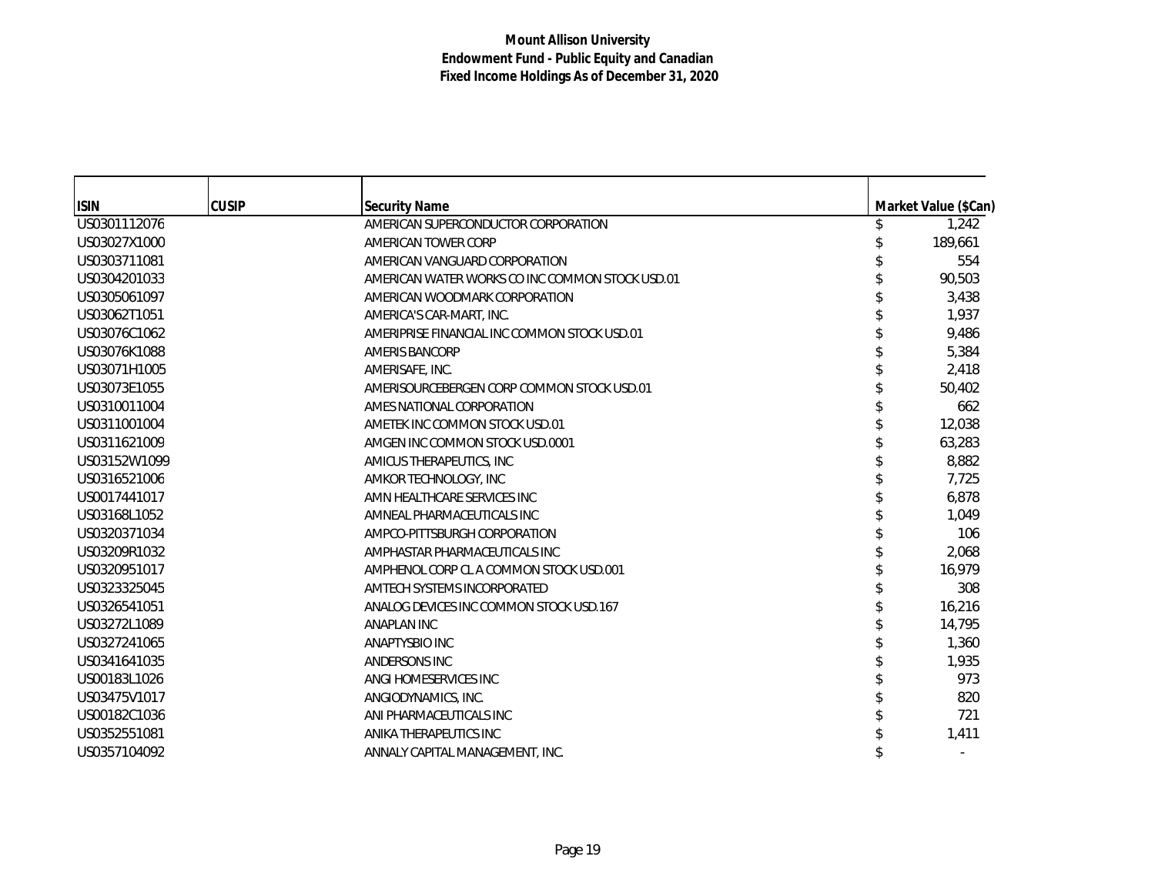| <b>ISIN</b>  | <b>CUSIP</b> | <b>Security Name</b>                            | Market Value (\$Can) |
|--------------|--------------|-------------------------------------------------|----------------------|
| US0301112076 |              | AMERICAN SUPERCONDUCTOR CORPORATION             | 1,242                |
| US03027X1000 |              | AMERICAN TOWER CORP                             | 189,661              |
| US0303711081 |              | AMERICAN VANGUARD CORPORATION                   | 554                  |
| US0304201033 |              | AMERICAN WATER WORKS CO INC COMMON STOCK USD.01 | 90,503               |
| US0305061097 |              | AMERICAN WOODMARK CORPORATION                   | 3,438                |
| US03062T1051 |              | AMERICA'S CAR-MART, INC.                        | 1,937                |
| US03076C1062 |              | AMERIPRISE FINANCIAL INC COMMON STOCK USD.01    | 9,486                |
| US03076K1088 |              | <b>AMERIS BANCORP</b>                           | 5,384                |
| US03071H1005 |              | AMERISAFE, INC.                                 | 2,418                |
| US03073E1055 |              | AMERISOURCEBERGEN CORP COMMON STOCK USD.01      | 50,402               |
| US0310011004 |              | AMES NATIONAL CORPORATION                       | 662                  |
| US0311001004 |              | AMETEK INC COMMON STOCK USD.01                  | 12,038               |
| US0311621009 |              | AMGEN INC COMMON STOCK USD.0001                 | 63,283               |
| US03152W1099 |              | AMICUS THERAPEUTICS, INC                        | 8,882                |
| US0316521006 |              | AMKOR TECHNOLOGY, INC                           | 7,725                |
| US0017441017 |              | AMN HEALTHCARE SERVICES INC                     | 6,878                |
| US03168L1052 |              | AMNEAL PHARMACEUTICALS INC                      | 1,049                |
| US0320371034 |              | AMPCO-PITTSBURGH CORPORATION                    | 106                  |
| US03209R1032 |              | AMPHASTAR PHARMACEUTICALS INC                   | 2,068                |
| US0320951017 |              | AMPHENOL CORP CL A COMMON STOCK USD.001         | 16,979               |
| US0323325045 |              | AMTECH SYSTEMS INCORPORATED                     | 308                  |
| US0326541051 |              | ANALOG DEVICES INC COMMON STOCK USD.167         | 16,216               |
| US03272L1089 |              | ANAPLAN INC                                     | 14,795               |
| US0327241065 |              | <b>ANAPTYSBIO INC</b>                           | 1,360                |
| US0341641035 |              | ANDERSONS INC                                   | 1,935                |
| US00183L1026 |              | ANGI HOMESERVICES INC                           | 973                  |
| US03475V1017 |              | ANGIODYNAMICS, INC.                             | 820                  |
| US00182C1036 |              | ANI PHARMACEUTICALS INC                         | 721                  |
| US0352551081 |              | ANIKA THERAPEUTICS INC                          | 1,411                |
| US0357104092 |              | ANNALY CAPITAL MANAGEMENT, INC.                 |                      |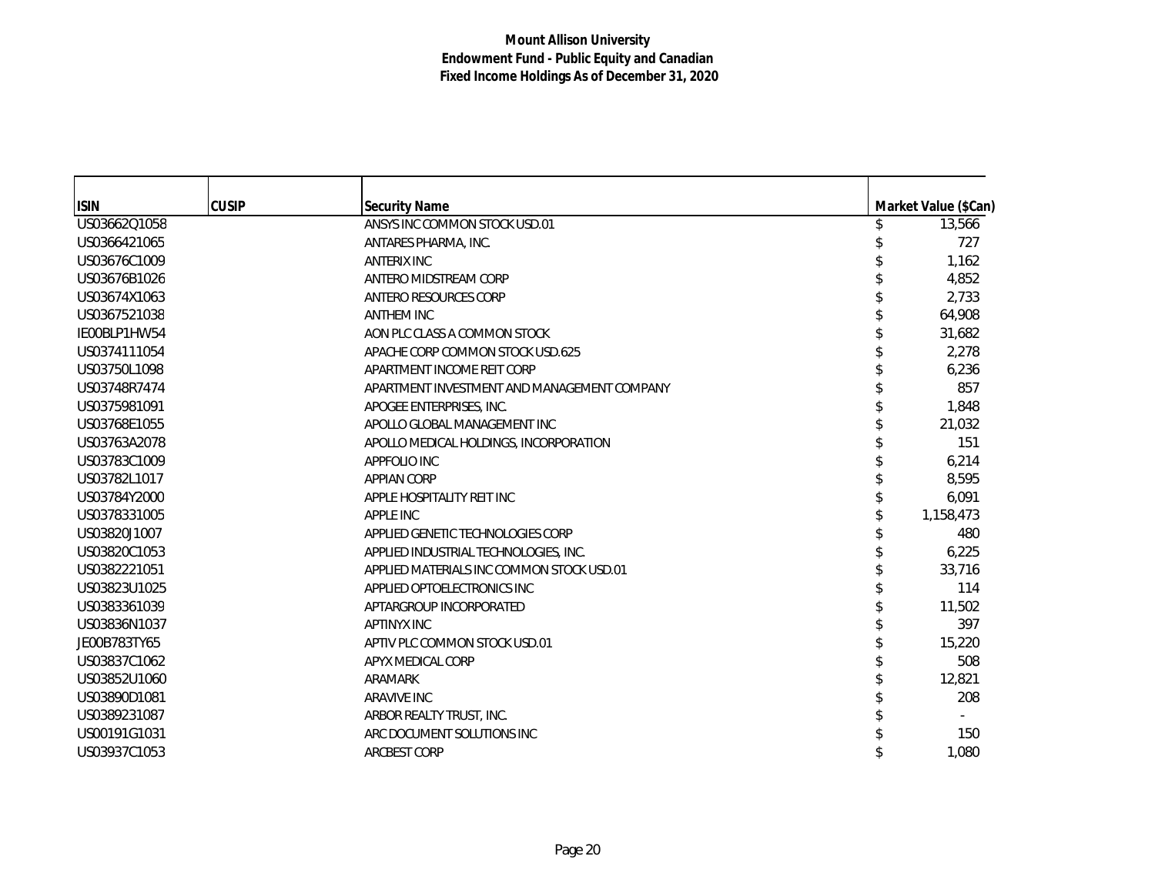| <b>ISIN</b>  | <b>CUSIP</b> | <b>Security Name</b>                        | Market Value (\$Can) |
|--------------|--------------|---------------------------------------------|----------------------|
| US03662Q1058 |              | ANSYS INC COMMON STOCK USD.01               | 13,566               |
| US0366421065 |              | ANTARES PHARMA, INC.                        | 727                  |
| US03676C1009 |              | <b>ANTERIX INC</b>                          | 1,162                |
| US03676B1026 |              | ANTERO MIDSTREAM CORP                       | 4,852                |
| US03674X1063 |              | ANTERO RESOURCES CORP                       | 2,733                |
| US0367521038 |              | <b>ANTHEM INC</b>                           | 64,908               |
| IE00BLP1HW54 |              | AON PLC CLASS A COMMON STOCK                | 31,682               |
| US0374111054 |              | APACHE CORP COMMON STOCK USD.625            | 2,278                |
| US03750L1098 |              | APARTMENT INCOME REIT CORP                  | 6,236                |
| US03748R7474 |              | APARTMENT INVESTMENT AND MANAGEMENT COMPANY | 857                  |
| US0375981091 |              | APOGEE ENTERPRISES, INC.                    | 1,848                |
| US03768E1055 |              | APOLLO GLOBAL MANAGEMENT INC                | 21,032               |
| US03763A2078 |              | APOLLO MEDICAL HOLDINGS, INCORPORATION      | 151                  |
| US03783C1009 |              | APPFOLIO INC                                | 6,214                |
| US03782L1017 |              | <b>APPIAN CORP</b>                          | 8,595                |
| US03784Y2000 |              | APPLE HOSPITALITY REIT INC                  | 6,091                |
| US0378331005 |              | APPLE INC                                   | 1,158,473            |
| US03820J1007 |              | APPLIED GENETIC TECHNOLOGIES CORP           | 480                  |
| US03820C1053 |              | APPLIED INDUSTRIAL TECHNOLOGIES, INC.       | 6,225                |
| US0382221051 |              | APPLIED MATERIALS INC COMMON STOCK USD.01   | 33,716               |
| US03823U1025 |              | APPLIED OPTOELECTRONICS INC                 | 114                  |
| US0383361039 |              | APTARGROUP INCORPORATED                     | 11,502               |
| US03836N1037 |              | <b>APTINYX INC</b>                          | 397                  |
| JE00B783TY65 |              | APTIV PLC COMMON STOCK USD.01               | 15,220               |
| US03837C1062 |              | APYX MEDICAL CORP                           | 508                  |
| US03852U1060 |              | ARAMARK                                     | 12,821               |
| US03890D1081 |              | <b>ARAVIVE INC</b>                          | 208                  |
| US0389231087 |              | ARBOR REALTY TRUST, INC.                    |                      |
| US00191G1031 |              | ARC DOCUMENT SOLUTIONS INC                  | 150                  |
| US03937C1053 |              | <b>ARCBEST CORP</b>                         | 1.080                |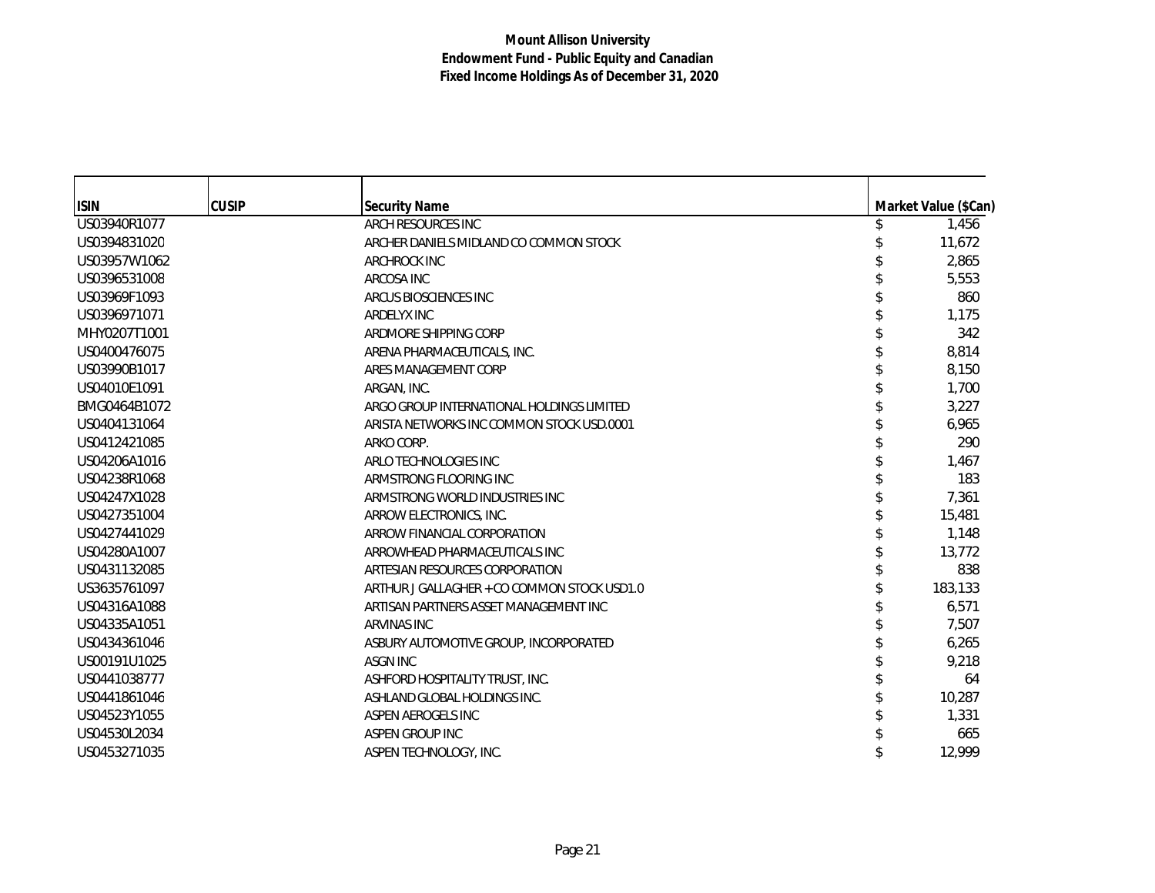| <b>ISIN</b>  | <b>CUSIP</b> | <b>Security Name</b>                        | Market Value (\$Can) |
|--------------|--------------|---------------------------------------------|----------------------|
| US03940R1077 |              | ARCH RESOURCES INC                          | 1,456                |
| US0394831020 |              | ARCHER DANIELS MIDLAND CO COMMON STOCK      | 11,672               |
| US03957W1062 |              | <b>ARCHROCK INC</b>                         | 2,865                |
| US0396531008 |              | ARCOSA INC                                  | 5,553                |
| US03969F1093 |              | ARCUS BIOSCIENCES INC                       | 860                  |
| US0396971071 |              | <b>ARDELYX INC</b>                          | 1,175                |
| MHY0207T1001 |              | ARDMORE SHIPPING CORP                       | 342                  |
| US0400476075 |              | ARENA PHARMACEUTICALS, INC.                 | 8,814                |
| US03990B1017 |              | ARES MANAGEMENT CORP                        | 8,150                |
| US04010E1091 |              | ARGAN, INC.                                 | 1,700                |
| BMG0464B1072 |              | ARGO GROUP INTERNATIONAL HOLDINGS LIMITED   | 3,227                |
| US0404131064 |              | ARISTA NETWORKS INC COMMON STOCK USD.0001   | 6,965                |
| US0412421085 |              | ARKO CORP.                                  | 290                  |
| US04206A1016 |              | ARLO TECHNOLOGIES INC                       | 1,467                |
| US04238R1068 |              | ARMSTRONG FLOORING INC                      | 183                  |
| US04247X1028 |              | ARMSTRONG WORLD INDUSTRIES INC              | 7,361                |
| US0427351004 |              | ARROW ELECTRONICS, INC.                     | 15,481               |
| US0427441029 |              | ARROW FINANCIAL CORPORATION                 | 1,148                |
| US04280A1007 |              | ARROWHEAD PHARMACEUTICALS INC               | 13,772               |
| US0431132085 |              | ARTESIAN RESOURCES CORPORATION              | 838                  |
| US3635761097 |              | ARTHUR J GALLAGHER + CO COMMON STOCK USD1.0 | 183,133              |
| US04316A1088 |              | ARTISAN PARTNERS ASSET MANAGEMENT INC       | 6,571                |
| US04335A1051 |              | ARVINAS INC                                 | 7,507                |
| US0434361046 |              | ASBURY AUTOMOTIVE GROUP, INCORPORATED       | 6,265                |
| US00191U1025 |              | <b>ASGN INC</b>                             | 9,218                |
| US0441038777 |              | ASHFORD HOSPITALITY TRUST, INC.             | 64                   |
| US0441861046 |              | ASHLAND GLOBAL HOLDINGS INC.                | 10,287               |
| US04523Y1055 |              | ASPEN AEROGELS INC                          | 1,331                |
| US04530L2034 |              | ASPEN GROUP INC                             | 665                  |
| US0453271035 |              | ASPEN TECHNOLOGY, INC.                      | 12,999               |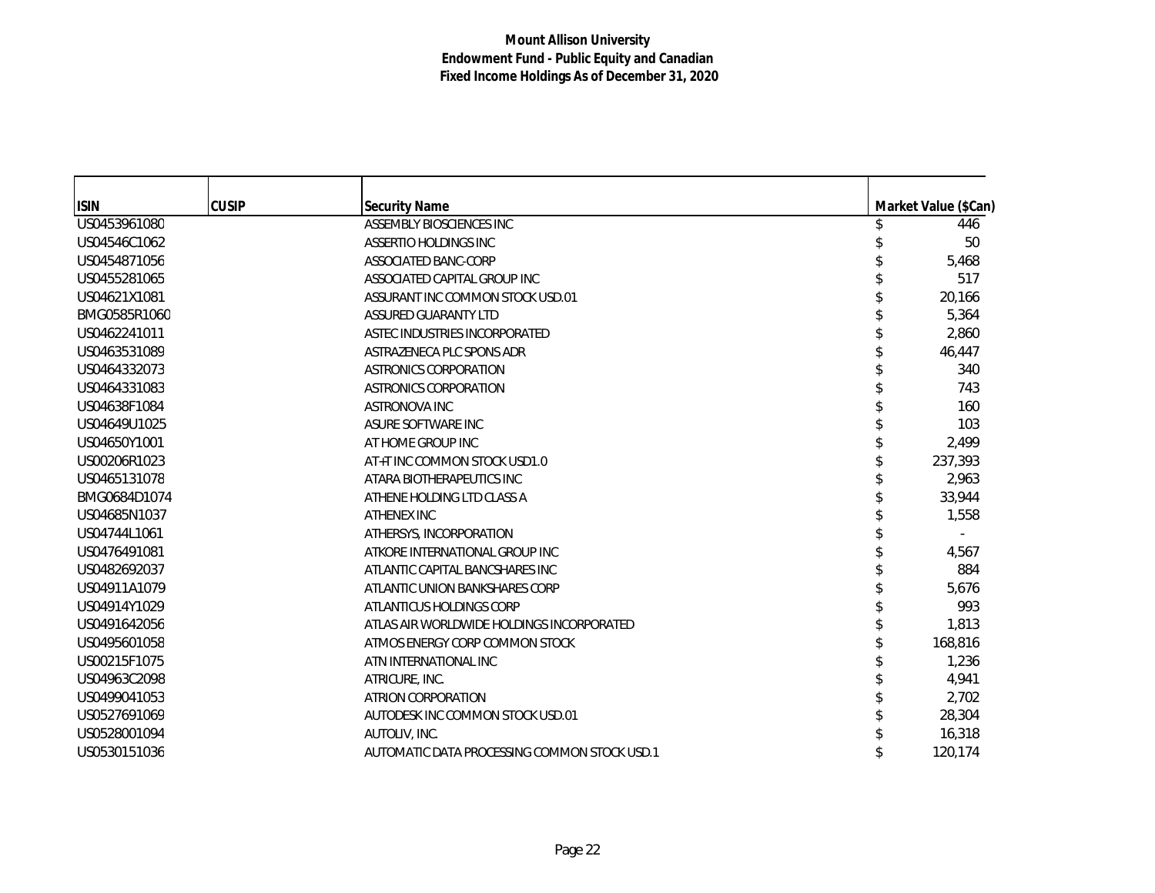| <b>ISIN</b>  | <b>CUSIP</b> | <b>Security Name</b>                         | Market Value (\$Can) |
|--------------|--------------|----------------------------------------------|----------------------|
| US0453961080 |              | ASSEMBLY BIOSCIENCES INC                     | 446                  |
| US04546C1062 |              | ASSERTIO HOLDINGS INC                        | 50                   |
| US0454871056 |              | ASSOCIATED BANC-CORP                         | 5,468                |
| US0455281065 |              | ASSOCIATED CAPITAL GROUP INC                 | 517                  |
| US04621X1081 |              | ASSURANT INC COMMON STOCK USD.01             | 20,166               |
| BMG0585R1060 |              | ASSURED GUARANTY LTD                         | 5,364                |
| US0462241011 |              | ASTEC INDUSTRIES INCORPORATED                | 2,860                |
| US0463531089 |              | ASTRAZENECA PLC SPONS ADR                    | 46,447               |
| US0464332073 |              | ASTRONICS CORPORATION                        | 340                  |
| US0464331083 |              | ASTRONICS CORPORATION                        | 743                  |
| US04638F1084 |              | ASTRONOVA INC                                | 160                  |
| US04649U1025 |              | ASURE SOFTWARE INC                           | 103                  |
| US04650Y1001 |              | AT HOME GROUP INC                            | 2,499                |
| US00206R1023 |              | AT+T INC COMMON STOCK USD1.0                 | 237,393              |
| US0465131078 |              | ATARA BIOTHERAPEUTICS INC                    | 2,963                |
| BMG0684D1074 |              | ATHENE HOLDING LTD CLASS A                   | 33,944               |
| US04685N1037 |              | ATHENEX INC                                  | 1,558                |
| US04744L1061 |              | ATHERSYS, INCORPORATION                      |                      |
| US0476491081 |              | ATKORE INTERNATIONAL GROUP INC               | 4,567                |
| US0482692037 |              | ATLANTIC CAPITAL BANCSHARES INC              | 884                  |
| US04911A1079 |              | ATLANTIC UNION BANKSHARES CORP               | 5,676                |
| US04914Y1029 |              | ATLANTICUS HOLDINGS CORP                     | 993                  |
| US0491642056 |              | ATLAS AIR WORLDWIDE HOLDINGS INCORPORATED    | 1,813                |
| US0495601058 |              | ATMOS ENERGY CORP COMMON STOCK               | 168,816              |
| US00215F1075 |              | ATN INTERNATIONAL INC                        | 1,236                |
| US04963C2098 |              | ATRICURE, INC.                               | 4,941                |
| US0499041053 |              | ATRION CORPORATION                           | 2,702                |
| US0527691069 |              | AUTODESK INC COMMON STOCK USD.01             | 28,304               |
| US0528001094 |              | AUTOLIV, INC.                                | 16,318               |
| US0530151036 |              | AUTOMATIC DATA PROCESSING COMMON STOCK USD.1 | 120,174              |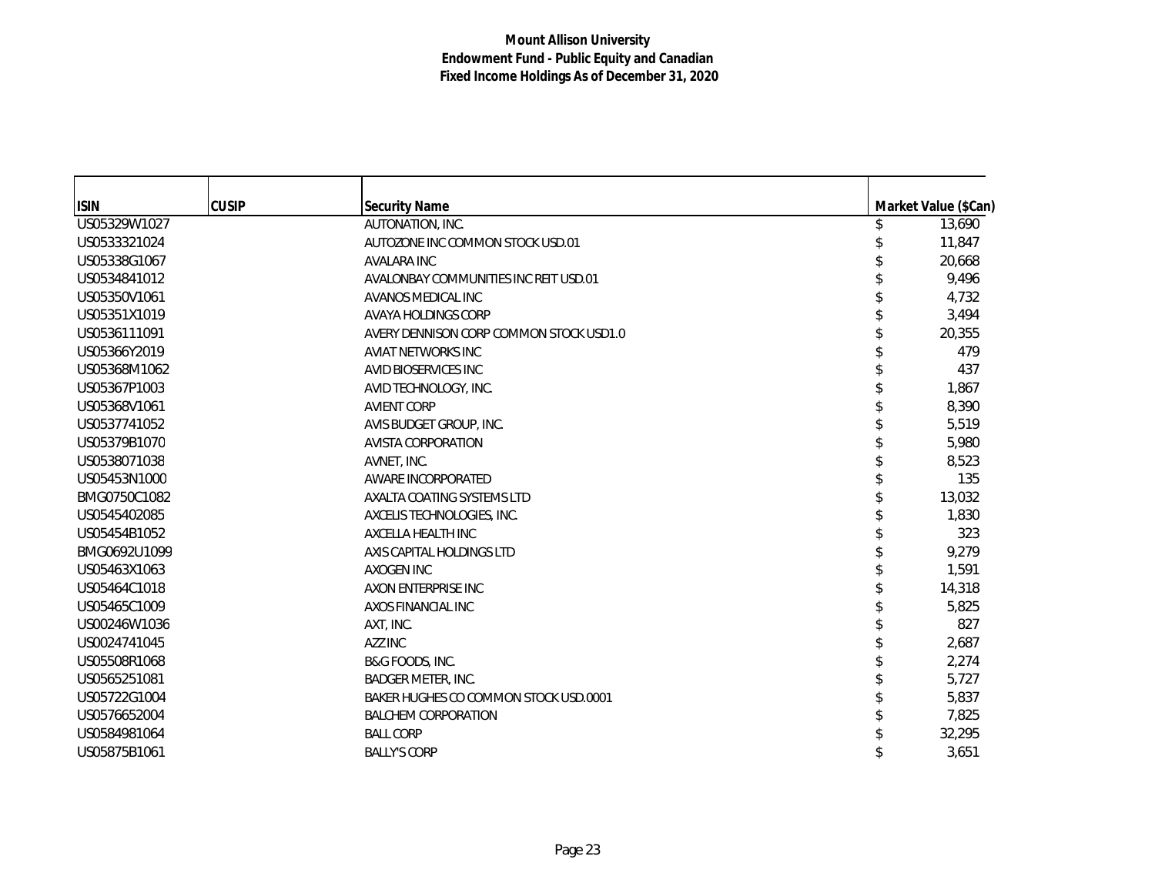| <b>ISIN</b>  | <b>CUSIP</b> | <b>Security Name</b>                    | Market Value (\$Can) |
|--------------|--------------|-----------------------------------------|----------------------|
| US05329W1027 |              | AUTONATION, INC.                        | 13,690               |
| US0533321024 |              | AUTOZONE INC COMMON STOCK USD.01        | 11,847               |
| US05338G1067 |              | <b>AVALARA INC</b>                      | 20,668               |
| US0534841012 |              | AVALONBAY COMMUNITIES INC REIT USD.01   | 9,496                |
| US05350V1061 |              | AVANOS MEDICAL INC                      | 4,732                |
| US05351X1019 |              | AVAYA HOLDINGS CORP                     | 3,494                |
| US0536111091 |              | AVERY DENNISON CORP COMMON STOCK USD1.0 | 20,355               |
| US05366Y2019 |              | AVIAT NETWORKS INC                      | 479                  |
| US05368M1062 |              | AVID BIOSERVICES INC                    | 437                  |
| US05367P1003 |              | AVID TECHNOLOGY, INC.                   | 1,867                |
| US05368V1061 |              | <b>AVIENT CORP</b>                      | 8,390                |
| US0537741052 |              | AVIS BUDGET GROUP, INC.                 | 5,519                |
| US05379B1070 |              | <b>AVISTA CORPORATION</b>               | 5,980                |
| US0538071038 |              | AVNET, INC.                             | 8,523                |
| US05453N1000 |              | AWARE INCORPORATED                      | 135                  |
| BMG0750C1082 |              | AXALTA COATING SYSTEMS LTD              | 13,032               |
| US0545402085 |              | AXCELIS TECHNOLOGIES, INC.              | 1,830                |
| US05454B1052 |              | AXCELLA HEALTH INC                      | 323                  |
| BMG0692U1099 |              | AXIS CAPITAL HOLDINGS LTD               | 9,279                |
| US05463X1063 |              | <b>AXOGEN INC</b>                       | 1,591                |
| US05464C1018 |              | AXON ENTERPRISE INC                     | 14,318               |
| US05465C1009 |              | AXOS FINANCIAL INC                      | 5,825                |
| US00246W1036 |              | AXT, INC.                               | 827                  |
| US0024741045 |              | AZZ INC                                 | 2,687                |
| US05508R1068 |              | B&G FOODS, INC.                         | 2,274                |
| US0565251081 |              | <b>BADGER METER, INC.</b>               | 5,727                |
| US05722G1004 |              | BAKER HUGHES CO COMMON STOCK USD.0001   | 5,837                |
| US0576652004 |              | <b>BALCHEM CORPORATION</b>              | 7,825                |
| US0584981064 |              | <b>BALL CORP</b>                        | 32,295               |
| US05875B1061 |              | <b>BALLY'S CORP</b>                     | 3,651                |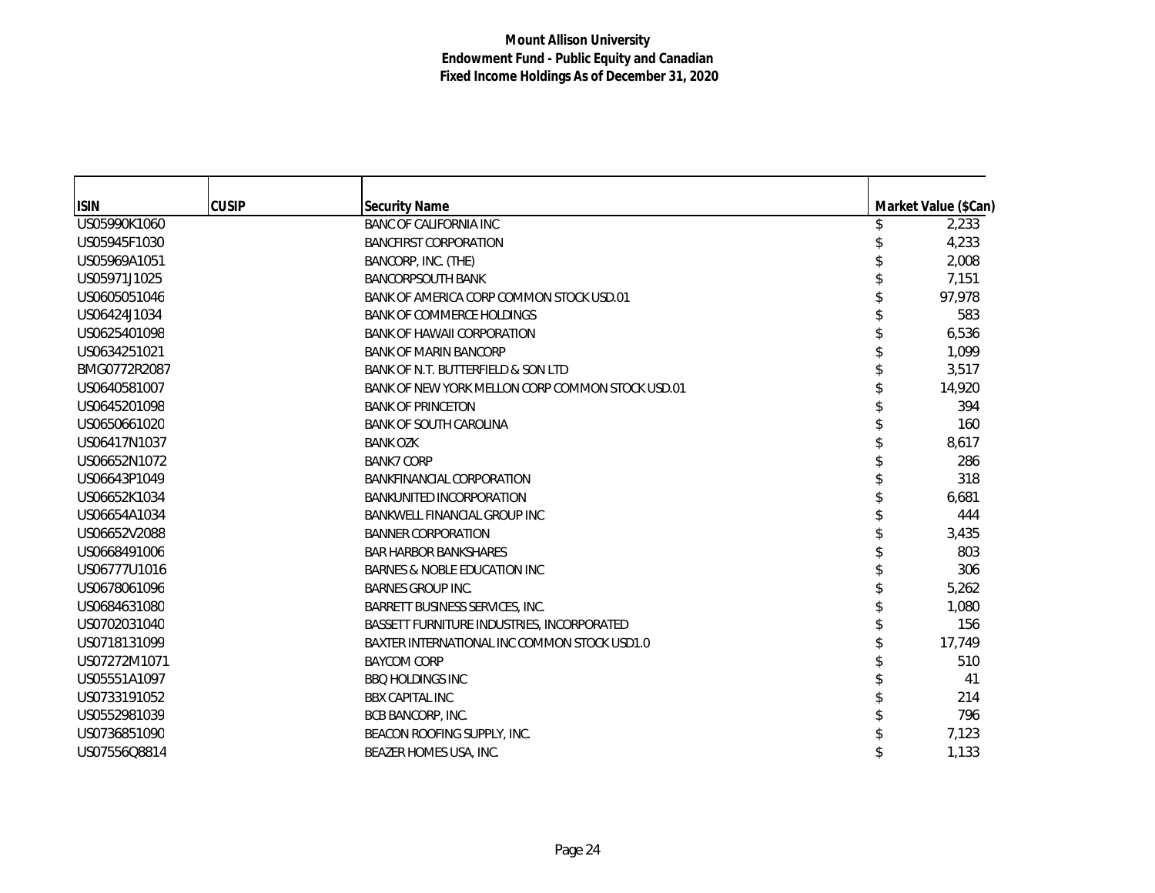| <b>ISIN</b>  | <b>CUSIP</b> | <b>Security Name</b>                             | Market Value (\$Can) |
|--------------|--------------|--------------------------------------------------|----------------------|
| US05990K1060 |              | <b>BANC OF CALIFORNIA INC</b>                    | 2,233                |
| US05945F1030 |              | <b>BANCFIRST CORPORATION</b>                     | 4,233                |
| US05969A1051 |              | BANCORP, INC. (THE)                              | 2,008                |
| US05971J1025 |              | <b>BANCORPSOUTH BANK</b>                         | 7,151                |
| US0605051046 |              | BANK OF AMERICA CORP COMMON STOCK USD.01         | 97,978               |
| US06424J1034 |              | <b>BANK OF COMMERCE HOLDINGS</b>                 | 583                  |
| US0625401098 |              | <b>BANK OF HAWAII CORPORATION</b>                | 6,536                |
| US0634251021 |              | <b>BANK OF MARIN BANCORP</b>                     | 1,099                |
| BMG0772R2087 |              | BANK OF N.T. BUTTERFIELD & SON LTD               | 3,517                |
| US0640581007 |              | BANK OF NEW YORK MELLON CORP COMMON STOCK USD.01 | 14,920               |
| US0645201098 |              | <b>BANK OF PRINCETON</b>                         | 394                  |
| US0650661020 |              | <b>BANK OF SOUTH CAROLINA</b>                    | 160                  |
| US06417N1037 |              | <b>BANK OZK</b>                                  | 8,617                |
| US06652N1072 |              | <b>BANK7 CORP</b>                                | 286                  |
| US06643P1049 |              | <b>BANKFINANCIAL CORPORATION</b>                 | 318                  |
| US06652K1034 |              | <b>BANKUNITED INCORPORATION</b>                  | 6,681                |
| US06654A1034 |              | <b>BANKWELL FINANCIAL GROUP INC</b>              | 444                  |
| US06652V2088 |              | <b>BANNER CORPORATION</b>                        | 3,435                |
| US0668491006 |              | <b>BAR HARBOR BANKSHARES</b>                     | 803                  |
| US06777U1016 |              | BARNES & NOBLE EDUCATION INC                     | 306                  |
| US0678061096 |              | <b>BARNES GROUP INC.</b>                         | 5,262                |
| US0684631080 |              | BARRETT BUSINESS SERVICES, INC.                  | 1,080                |
| US0702031040 |              | BASSETT FURNITURE INDUSTRIES, INCORPORATED       | 156                  |
| US0718131099 |              | BAXTER INTERNATIONAL INC COMMON STOCK USD1.0     | 17,749               |
| US07272M1071 |              | <b>BAYCOM CORP</b>                               | 510                  |
| US05551A1097 |              | <b>BBQ HOLDINGS INC</b>                          | 41                   |
| US0733191052 |              | <b>BBX CAPITAL INC</b>                           | 214                  |
| US0552981039 |              | BCB BANCORP, INC.                                | 796                  |
| US0736851090 |              | BEACON ROOFING SUPPLY, INC.                      | 7,123                |
| US07556Q8814 |              | BEAZER HOMES USA, INC.                           | 1,133                |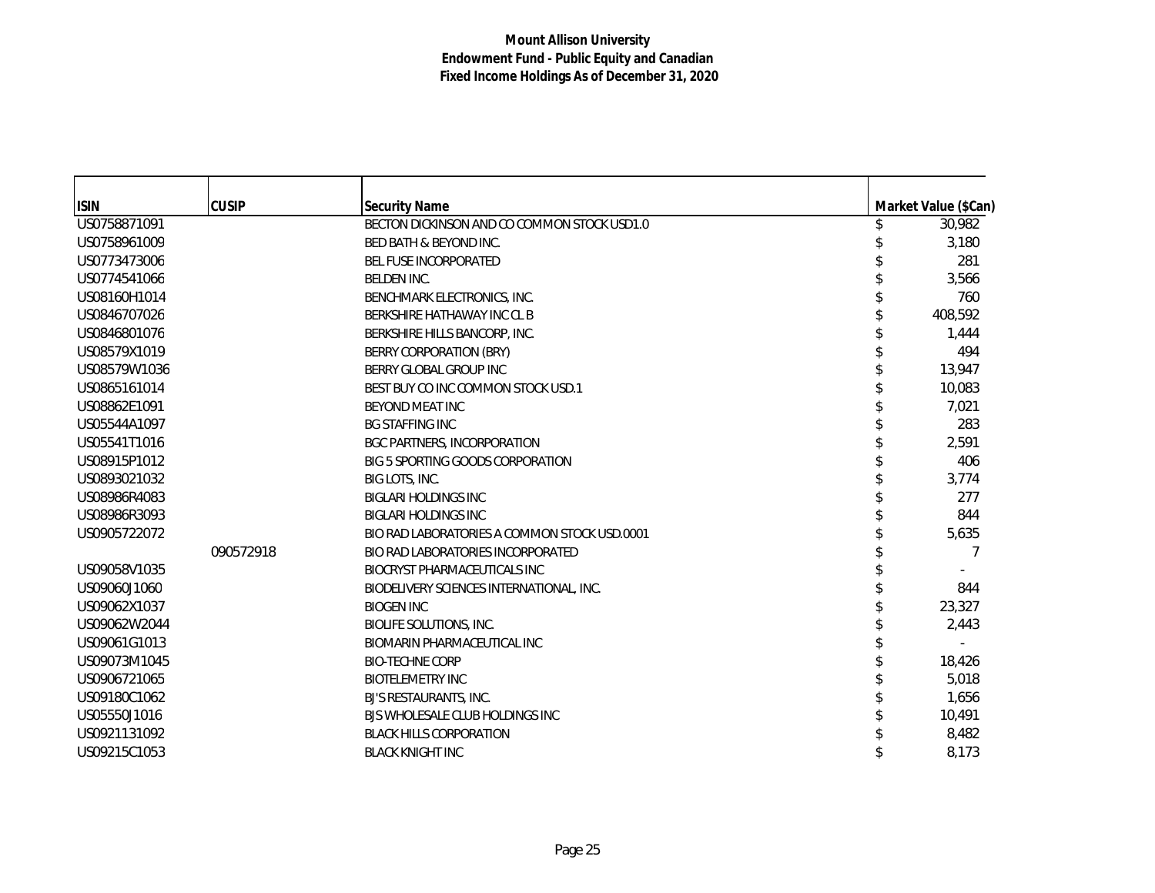| <b>ISIN</b>  | <b>CUSIP</b> | <b>Security Name</b>                         | Market Value (\$Can) |
|--------------|--------------|----------------------------------------------|----------------------|
| US0758871091 |              | BECTON DICKINSON AND CO COMMON STOCK USD1.0  | 30,982               |
| US0758961009 |              | <b>BED BATH &amp; BEYOND INC.</b>            | 3,180                |
| US0773473006 |              | <b>BEL FUSE INCORPORATED</b>                 | 281                  |
| US0774541066 |              | <b>BELDEN INC.</b>                           | 3,566                |
| US08160H1014 |              | BENCHMARK ELECTRONICS, INC.                  | 760                  |
| US0846707026 |              | BERKSHIRE HATHAWAY INC CL B                  | 408,592              |
| US0846801076 |              | BERKSHIRE HILLS BANCORP, INC.                | 1,444                |
| US08579X1019 |              | BERRY CORPORATION (BRY)                      | 494                  |
| US08579W1036 |              | BERRY GLOBAL GROUP INC                       | 13,947               |
| US0865161014 |              | BEST BUY CO INC COMMON STOCK USD.1           | 10,083               |
| US08862E1091 |              | BEYOND MEAT INC                              | 7,021                |
| US05544A1097 |              | <b>BG STAFFING INC</b>                       | 283                  |
| US05541T1016 |              | <b>BGC PARTNERS, INCORPORATION</b>           | 2,591                |
| US08915P1012 |              | BIG 5 SPORTING GOODS CORPORATION             | 406                  |
| US0893021032 |              | BIG LOTS, INC.                               | 3,774                |
| US08986R4083 |              | <b>BIGLARI HOLDINGS INC</b>                  | 277                  |
| US08986R3093 |              | <b>BIGLARI HOLDINGS INC</b>                  | 844                  |
| US0905722072 |              | BIO RAD LABORATORIES A COMMON STOCK USD.0001 | 5,635                |
|              | 090572918    | BIO RAD LABORATORIES INCORPORATED            | 7                    |
| US09058V1035 |              | BIOCRYST PHARMACEUTICALS INC                 |                      |
| US09060J1060 |              | BIODELIVERY SCIENCES INTERNATIONAL, INC.     | 844                  |
| US09062X1037 |              | <b>BIOGEN INC</b>                            | 23,327               |
| US09062W2044 |              | <b>BIOLIFE SOLUTIONS, INC.</b>               | 2,443                |
| US09061G1013 |              | BIOMARIN PHARMACEUTICAL INC                  |                      |
| US09073M1045 |              | <b>BIO-TECHNE CORP</b>                       | 18,426               |
| US0906721065 |              | <b>BIOTELEMETRY INC</b>                      | 5,018                |
| US09180C1062 |              | BJ'S RESTAURANTS, INC.                       | 1,656                |
| US05550J1016 |              | BJS WHOLESALE CLUB HOLDINGS INC              | 10,491               |
| US0921131092 |              | <b>BLACK HILLS CORPORATION</b>               | 8,482                |
| US09215C1053 |              | <b>BLACK KNIGHT INC</b>                      | 8,173                |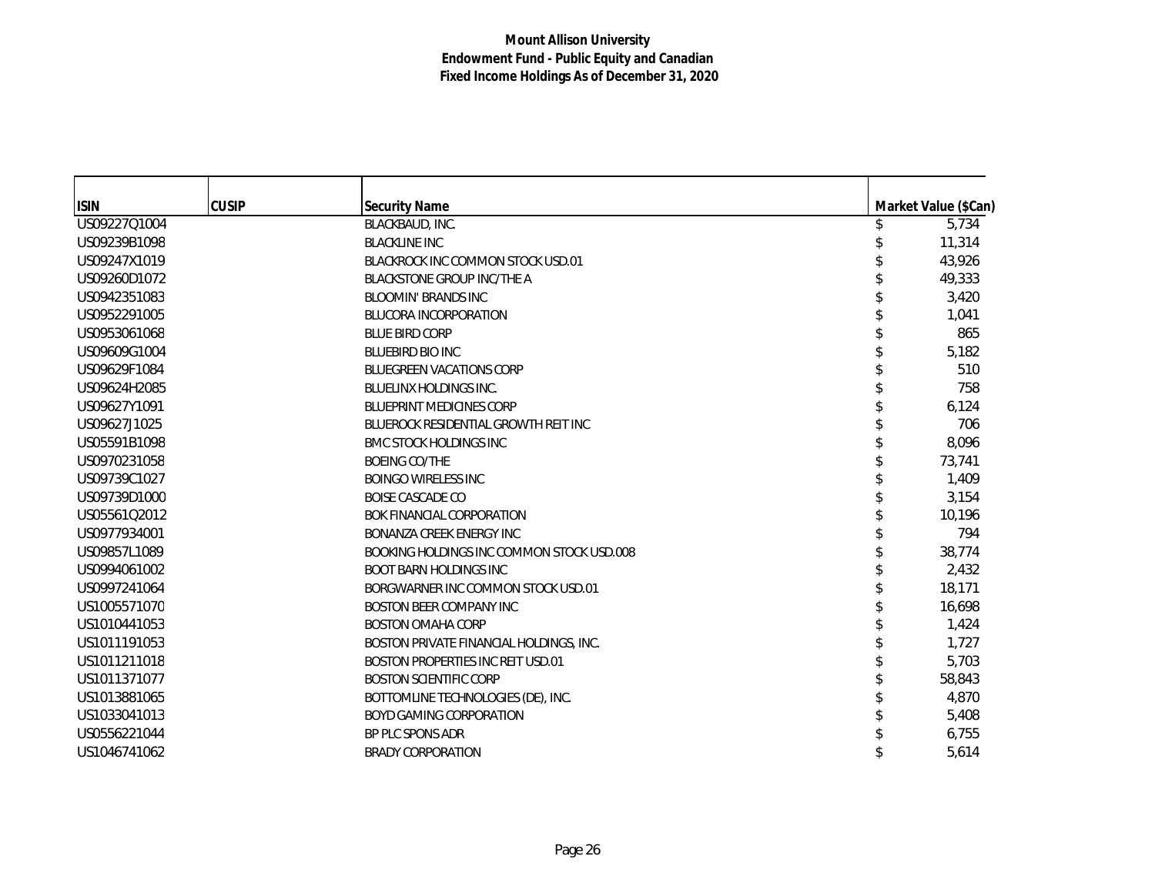| <b>ISIN</b>  | <b>CUSIP</b> | <b>Security Name</b>                      | Market Value (\$Can) |
|--------------|--------------|-------------------------------------------|----------------------|
| US09227Q1004 |              | BLACKBAUD, INC.                           | \$<br>5,734          |
| US09239B1098 |              | <b>BLACKLINE INC</b>                      | 11,314               |
| US09247X1019 |              | BLACKROCK INC COMMON STOCK USD.01         | 43,926               |
| US09260D1072 |              | <b>BLACKSTONE GROUP INC/THE A</b>         | 49,333               |
| US0942351083 |              | <b>BLOOMIN' BRANDS INC</b>                | 3,420                |
| US0952291005 |              | <b>BLUCORA INCORPORATION</b>              | 1,041                |
| US0953061068 |              | <b>BLUE BIRD CORP</b>                     | 865                  |
| US09609G1004 |              | <b>BLUEBIRD BIO INC</b>                   | 5,182                |
| US09629F1084 |              | <b>BLUEGREEN VACATIONS CORP</b>           | 510                  |
| US09624H2085 |              | <b>BLUELINX HOLDINGS INC.</b>             | 758                  |
| US09627Y1091 |              | <b>BLUEPRINT MEDICINES CORP</b>           | 6,124                |
| US09627J1025 |              | BLUEROCK RESIDENTIAL GROWTH REIT INC      | 706                  |
| US05591B1098 |              | <b>BMC STOCK HOLDINGS INC</b>             | 8,096                |
| US0970231058 |              | <b>BOEING CO/THE</b>                      | 73,741               |
| US09739C1027 |              | <b>BOINGO WIRELESS INC</b>                | 1,409                |
| US09739D1000 |              | <b>BOISE CASCADE CO</b>                   | 3,154                |
| US05561Q2012 |              | <b>BOK FINANCIAL CORPORATION</b>          | 10,196               |
| US0977934001 |              | BONANZA CREEK ENERGY INC                  | 794                  |
| US09857L1089 |              | BOOKING HOLDINGS INC COMMON STOCK USD.008 | 38,774               |
| US0994061002 |              | <b>BOOT BARN HOLDINGS INC</b>             | 2,432                |
| US0997241064 |              | BORGWARNER INC COMMON STOCK USD.01        | 18,171               |
| US1005571070 |              | <b>BOSTON BEER COMPANY INC</b>            | 16,698               |
| US1010441053 |              | <b>BOSTON OMAHA CORP</b>                  | 1,424                |
| US1011191053 |              | BOSTON PRIVATE FINANCIAL HOLDINGS, INC.   | 1,727                |
| US1011211018 |              | BOSTON PROPERTIES INC REIT USD.01         | 5,703                |
| US1011371077 |              | <b>BOSTON SCIENTIFIC CORP</b>             | 58,843               |
| US1013881065 |              | BOTTOMLINE TECHNOLOGIES (DE), INC.        | 4,870                |
| US1033041013 |              | <b>BOYD GAMING CORPORATION</b>            | 5,408                |
| US0556221044 |              | BP PLC SPONS ADR                          | 6,755                |
| US1046741062 |              | <b>BRADY CORPORATION</b>                  | 5,614                |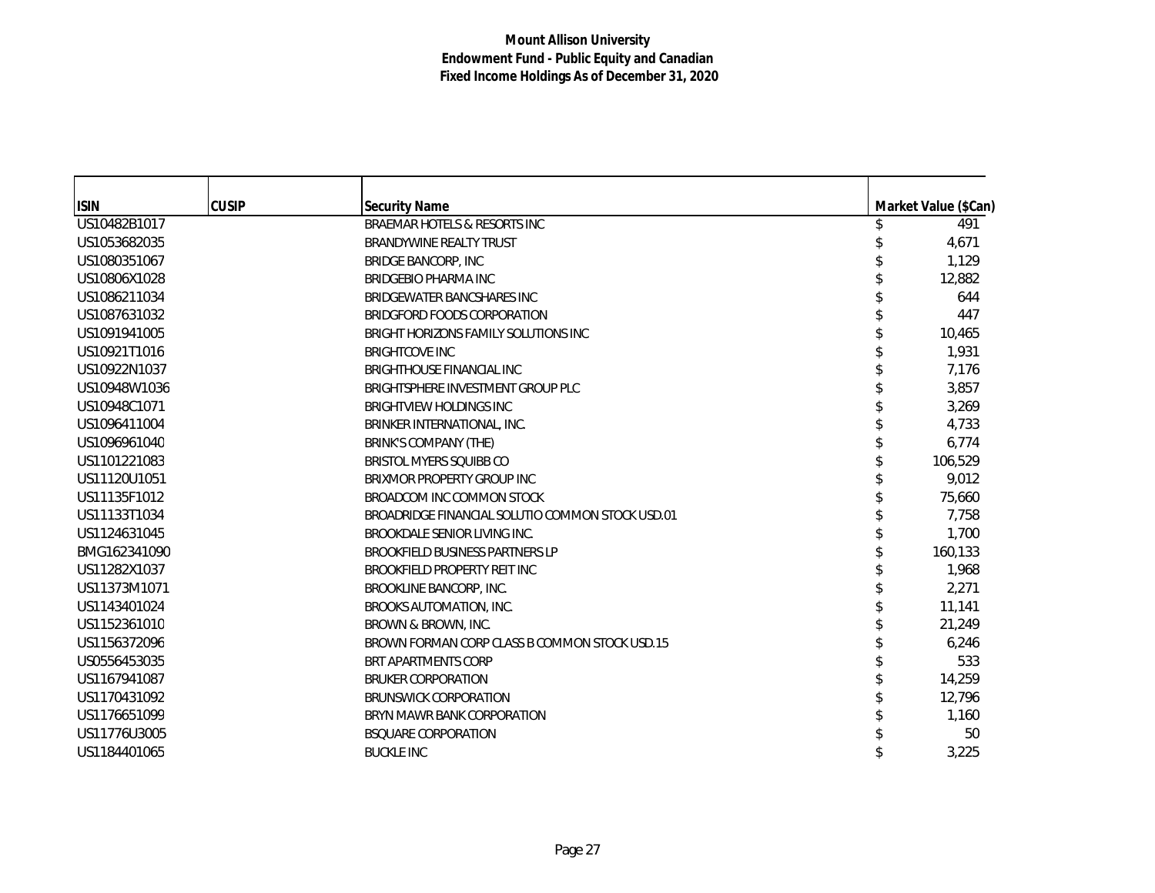| <b>ISIN</b>  | <b>CUSIP</b> | <b>Security Name</b>                             | Market Value (\$Can) |
|--------------|--------------|--------------------------------------------------|----------------------|
| US10482B1017 |              | BRAEMAR HOTELS & RESORTS INC                     | 491                  |
| US1053682035 |              | <b>BRANDYWINE REALTY TRUST</b>                   | 4,671                |
| US1080351067 |              | <b>BRIDGE BANCORP, INC</b>                       | 1,129                |
| US10806X1028 |              | <b>BRIDGEBIO PHARMA INC</b>                      | 12,882               |
| US1086211034 |              | BRIDGEWATER BANCSHARES INC                       | 644                  |
| US1087631032 |              | BRIDGFORD FOODS CORPORATION                      | 447                  |
| US1091941005 |              | BRIGHT HORIZONS FAMILY SOLUTIONS INC             | 10,465               |
| US10921T1016 |              | <b>BRIGHTCOVE INC</b>                            | 1,931                |
| US10922N1037 |              | <b>BRIGHTHOUSE FINANCIAL INC</b>                 | 7,176                |
| US10948W1036 |              | BRIGHTSPHERE INVESTMENT GROUP PLC                | 3,857                |
| US10948C1071 |              | <b>BRIGHTVIEW HOLDINGS INC</b>                   | 3,269                |
| US1096411004 |              | BRINKER INTERNATIONAL, INC.                      | 4,733                |
| US1096961040 |              | BRINK'S COMPANY (THE)                            | 6,774                |
| US1101221083 |              | <b>BRISTOL MYERS SQUIBB CO</b>                   | 106,529              |
| US11120U1051 |              | BRIXMOR PROPERTY GROUP INC                       | 9,012                |
| US11135F1012 |              | BROADCOM INC COMMON STOCK                        | 75,660               |
| US11133T1034 |              | BROADRIDGE FINANCIAL SOLUTIO COMMON STOCK USD.01 | 7,758                |
| US1124631045 |              | BROOKDALE SENIOR LIVING INC.                     | 1,700                |
| BMG162341090 |              | BROOKFIELD BUSINESS PARTNERS LP                  | 160,133              |
| US11282X1037 |              | BROOKFIELD PROPERTY REIT INC                     | 1,968                |
| US11373M1071 |              | BROOKLINE BANCORP, INC.                          | 2,271                |
| US1143401024 |              | BROOKS AUTOMATION, INC.                          | 11,141               |
| US1152361010 |              | BROWN & BROWN, INC.                              | 21,249               |
| US1156372096 |              | BROWN FORMAN CORP CLASS B COMMON STOCK USD.15    | 6,246                |
| US0556453035 |              | BRT APARTMENTS CORP                              | 533                  |
| US1167941087 |              | <b>BRUKER CORPORATION</b>                        | 14,259               |
| US1170431092 |              | <b>BRUNSWICK CORPORATION</b>                     | 12,796               |
| US1176651099 |              | BRYN MAWR BANK CORPORATION                       | 1,160                |
| US11776U3005 |              | <b>BSQUARE CORPORATION</b>                       | 50                   |
| US1184401065 |              | <b>BUCKLE INC</b>                                | 3,225                |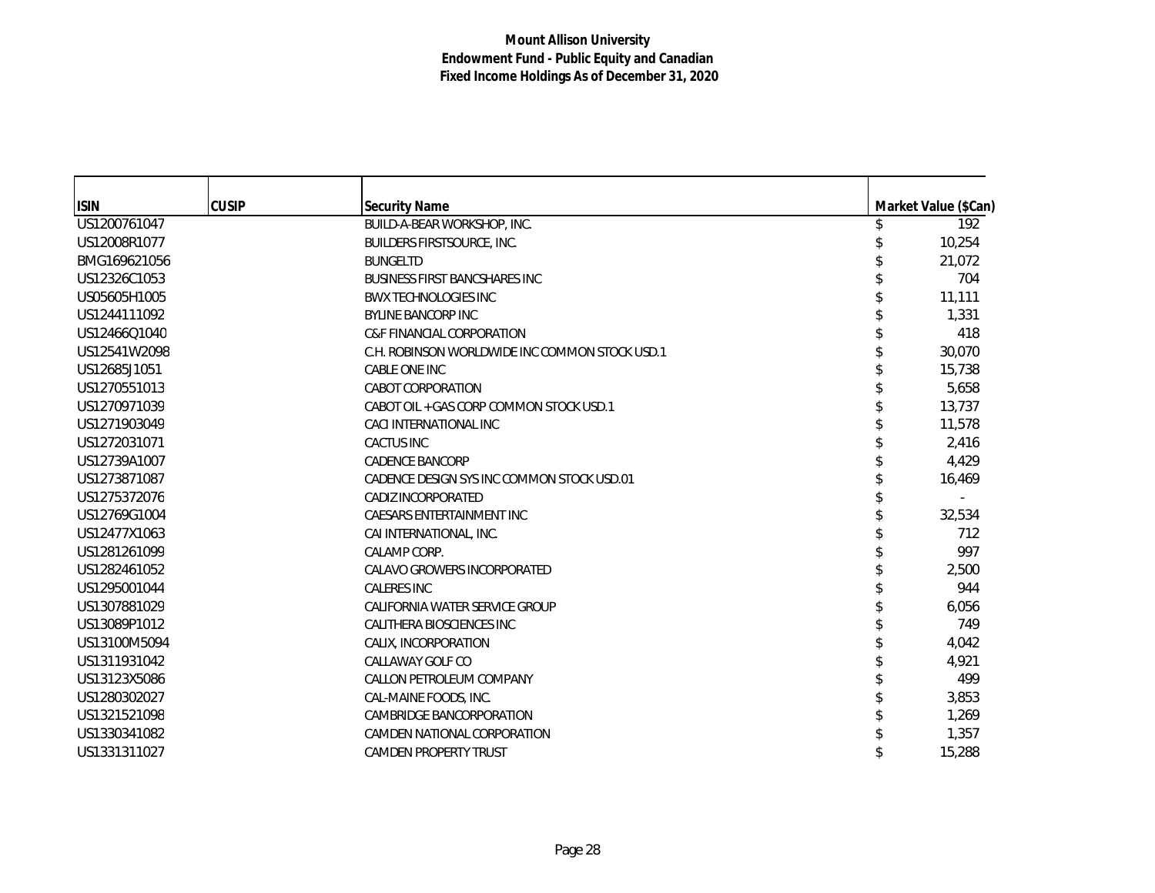| <b>ISIN</b>  | <b>CUSIP</b> | <b>Security Name</b>                           | Market Value (\$Can) |
|--------------|--------------|------------------------------------------------|----------------------|
| US1200761047 |              | BUILD-A-BEAR WORKSHOP, INC.                    | 192                  |
| US12008R1077 |              | <b>BUILDERS FIRSTSOURCE, INC.</b>              | 10,254               |
| BMG169621056 |              | <b>BUNGELTD</b>                                | 21,072               |
| US12326C1053 |              | <b>BUSINESS FIRST BANCSHARES INC</b>           | 704                  |
| US05605H1005 |              | <b>BWX TECHNOLOGIES INC</b>                    | 11,111               |
| US1244111092 |              | <b>BYLINE BANCORP INC</b>                      | 1,331                |
| US12466Q1040 |              | <b>C&amp;F FINANCIAL CORPORATION</b>           | 418                  |
| US12541W2098 |              | C.H. ROBINSON WORLDWIDE INC COMMON STOCK USD.1 | 30,070               |
| US12685J1051 |              | CABLE ONE INC                                  | 15,738               |
| US1270551013 |              | <b>CABOT CORPORATION</b>                       | 5,658                |
| US1270971039 |              | CABOT OIL + GAS CORP COMMON STOCK USD.1        | 13,737               |
| US1271903049 |              | CACI INTERNATIONAL INC                         | 11,578               |
| US1272031071 |              | <b>CACTUS INC</b>                              | 2,416                |
| US12739A1007 |              | <b>CADENCE BANCORP</b>                         | 4,429                |
| US1273871087 |              | CADENCE DESIGN SYS INC COMMON STOCK USD.01     | 16,469               |
| US1275372076 |              | CADIZ INCORPORATED                             |                      |
| US12769G1004 |              | CAESARS ENTERTAINMENT INC                      | 32,534               |
| US12477X1063 |              | CAI INTERNATIONAL, INC.                        | 712                  |
| US1281261099 |              | CALAMP CORP.                                   | 997                  |
| US1282461052 |              | CALAVO GROWERS INCORPORATED                    | 2,500                |
| US1295001044 |              | <b>CALERES INC</b>                             | 944                  |
| US1307881029 |              | CALIFORNIA WATER SERVICE GROUP                 | 6,056                |
| US13089P1012 |              | CALITHERA BIOSCIENCES INC                      | 749                  |
| US13100M5094 |              | CALIX, INCORPORATION                           | 4,042                |
| US1311931042 |              | CALLAWAY GOLF CO                               | 4,921                |
| US13123X5086 |              | CALLON PETROLEUM COMPANY                       | 499                  |
| US1280302027 |              | CAL-MAINE FOODS, INC.                          | 3,853                |
| US1321521098 |              | <b>CAMBRIDGE BANCORPORATION</b>                | 1,269                |
| US1330341082 |              | CAMDEN NATIONAL CORPORATION                    | 1,357                |
| US1331311027 |              | <b>CAMDEN PROPERTY TRUST</b>                   | 15,288               |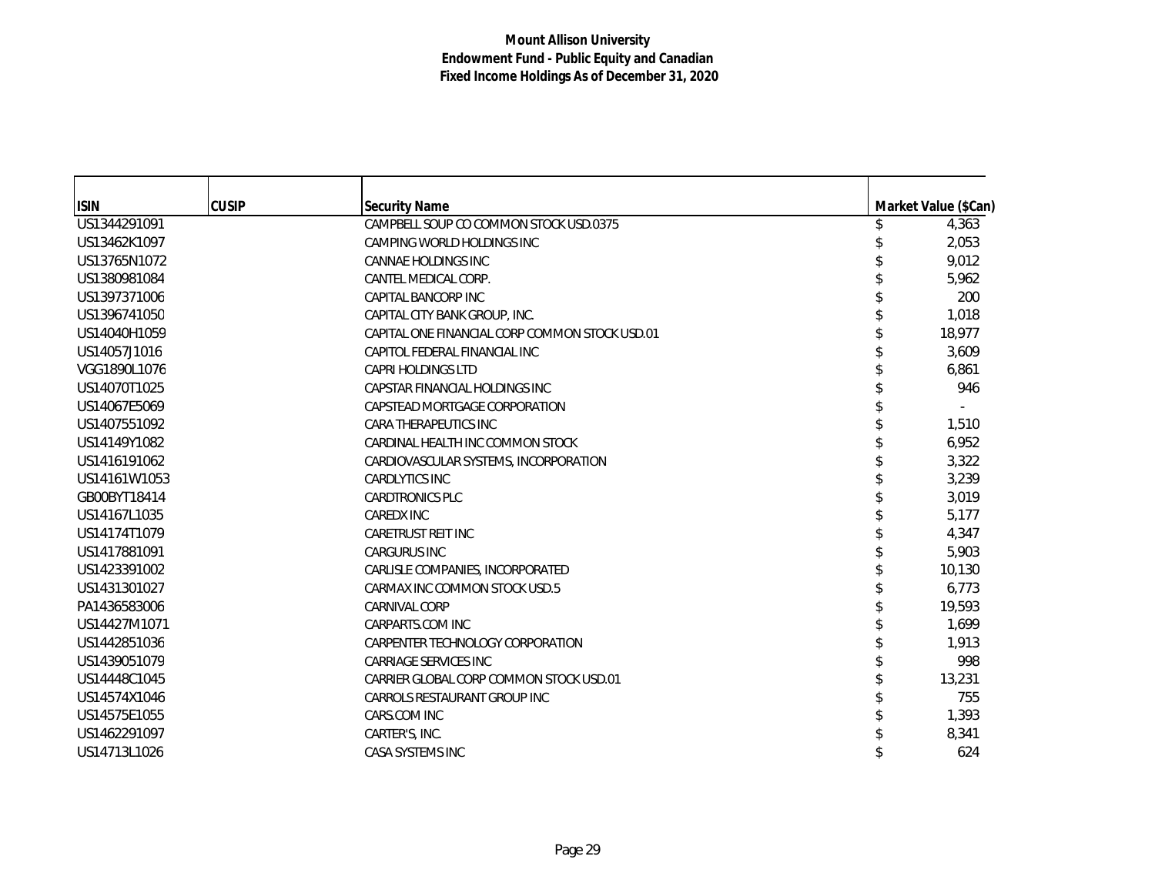| <b>ISIN</b>  | <b>CUSIP</b> | <b>Security Name</b>                           | Market Value (\$Can) |        |
|--------------|--------------|------------------------------------------------|----------------------|--------|
| US1344291091 |              | CAMPBELL SOUP CO COMMON STOCK USD.0375         |                      | 4,363  |
| US13462K1097 |              | CAMPING WORLD HOLDINGS INC                     |                      | 2,053  |
| US13765N1072 |              | CANNAE HOLDINGS INC                            |                      | 9,012  |
| US1380981084 |              | CANTEL MEDICAL CORP.                           |                      | 5,962  |
| US1397371006 |              | CAPITAL BANCORP INC                            |                      | 200    |
| US1396741050 |              | CAPITAL CITY BANK GROUP, INC.                  |                      | 1,018  |
| US14040H1059 |              | CAPITAL ONE FINANCIAL CORP COMMON STOCK USD.01 |                      | 18,977 |
| US14057J1016 |              | CAPITOL FEDERAL FINANCIAL INC                  |                      | 3,609  |
| VGG1890L1076 |              | <b>CAPRI HOLDINGS LTD</b>                      |                      | 6,861  |
| US14070T1025 |              | CAPSTAR FINANCIAL HOLDINGS INC                 |                      | 946    |
| US14067E5069 |              | CAPSTEAD MORTGAGE CORPORATION                  |                      |        |
| US1407551092 |              | CARA THERAPEUTICS INC                          |                      | 1,510  |
| US14149Y1082 |              | CARDINAL HEALTH INC COMMON STOCK               |                      | 6,952  |
| US1416191062 |              | CARDIOVASCULAR SYSTEMS, INCORPORATION          |                      | 3,322  |
| US14161W1053 |              | <b>CARDLYTICS INC</b>                          |                      | 3,239  |
| GB00BYT18414 |              | <b>CARDTRONICS PLC</b>                         |                      | 3,019  |
| US14167L1035 |              | <b>CAREDX INC</b>                              |                      | 5.177  |
| US14174T1079 |              | <b>CARETRUST REIT INC</b>                      |                      | 4,347  |
| US1417881091 |              | <b>CARGURUS INC</b>                            |                      | 5,903  |
| US1423391002 |              | CARLISLE COMPANIES, INCORPORATED               |                      | 10,130 |
| US1431301027 |              | CARMAX INC COMMON STOCK USD.5                  |                      | 6,773  |
| PA1436583006 |              | <b>CARNIVAL CORP</b>                           |                      | 19,593 |
| US14427M1071 |              | CARPARTS.COM INC                               |                      | 1,699  |
| US1442851036 |              | CARPENTER TECHNOLOGY CORPORATION               |                      | 1,913  |
| US1439051079 |              | <b>CARRIAGE SERVICES INC</b>                   |                      | 998    |
| US14448C1045 |              | CARRIER GLOBAL CORP COMMON STOCK USD.01        |                      | 13,231 |
| US14574X1046 |              | CARROLS RESTAURANT GROUP INC                   |                      | 755    |
| US14575E1055 |              | CARS.COM INC                                   |                      | 1,393  |
| US1462291097 |              | CARTER'S, INC.                                 |                      | 8,341  |
| US14713L1026 |              | CASA SYSTEMS INC                               |                      | 624    |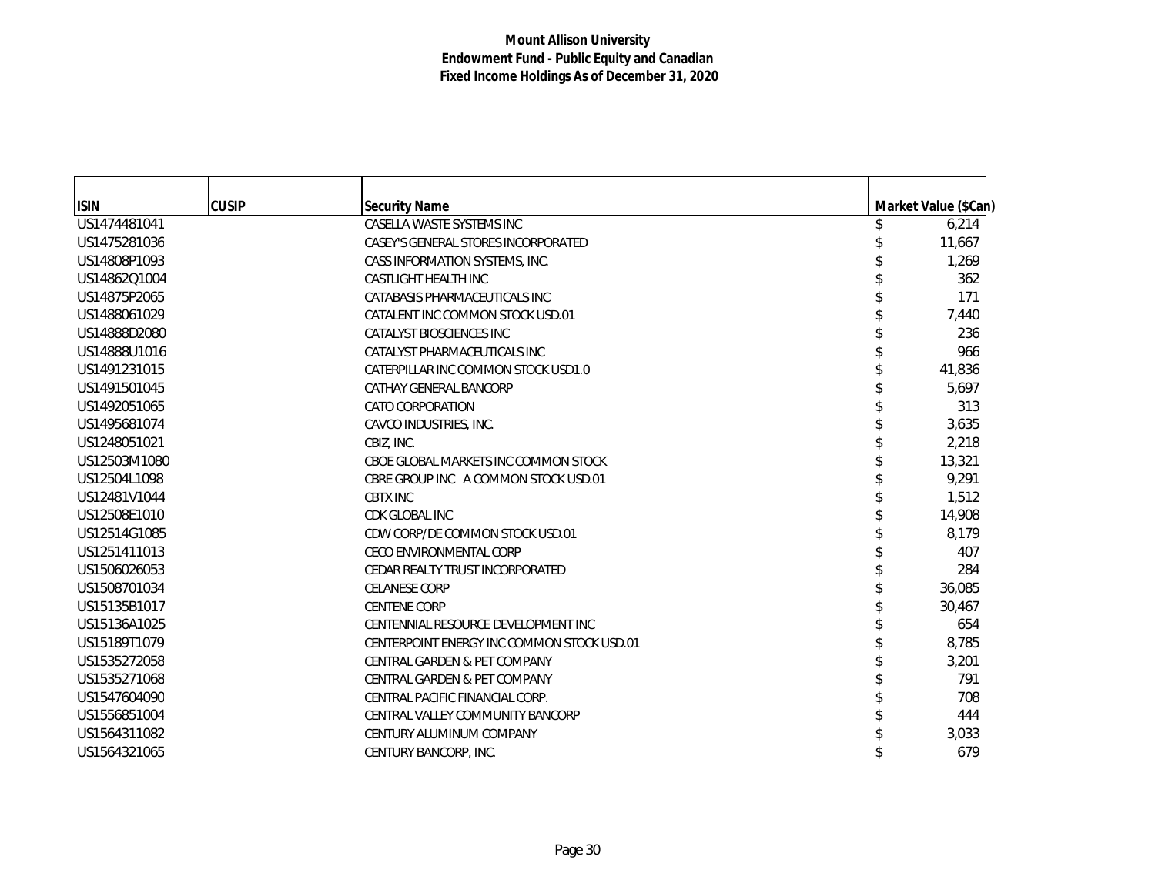| <b>ISIN</b>  | <b>CUSIP</b> | <b>Security Name</b>                       | Market Value (\$Can) |
|--------------|--------------|--------------------------------------------|----------------------|
| US1474481041 |              | CASELLA WASTE SYSTEMS INC                  | 6,214                |
| US1475281036 |              | CASEY'S GENERAL STORES INCORPORATED        | 11,667               |
| US14808P1093 |              | CASS INFORMATION SYSTEMS. INC.             | 1,269                |
| US14862Q1004 |              | <b>CASTLIGHT HEALTH INC</b>                | 362                  |
| US14875P2065 |              | CATABASIS PHARMACEUTICALS INC              | 171                  |
| US1488061029 |              | CATALENT INC COMMON STOCK USD.01           | 7,440                |
| US14888D2080 |              | CATALYST BIOSCIENCES INC                   | 236                  |
| US14888U1016 |              | CATALYST PHARMACEUTICALS INC               | 966                  |
| US1491231015 |              | CATERPILLAR INC COMMON STOCK USD1.0        | 41,836               |
| US1491501045 |              | CATHAY GENERAL BANCORP                     | 5,697                |
| US1492051065 |              | <b>CATO CORPORATION</b>                    | 313                  |
| US1495681074 |              | CAVCO INDUSTRIES, INC.                     | 3,635                |
| US1248051021 |              | CBIZ, INC.                                 | 2,218                |
| US12503M1080 |              | CBOE GLOBAL MARKETS INC COMMON STOCK       | 13,321               |
| US12504L1098 |              | CBRE GROUP INC A COMMON STOCK USD.01       | 9,291                |
| US12481V1044 |              | <b>CBTX INC</b>                            | 1,512                |
| US12508E1010 |              | CDK GLOBAL INC                             | 14,908               |
| US12514G1085 |              | CDW CORP/DE COMMON STOCK USD.01            | 8,179                |
| US1251411013 |              | <b>CECO ENVIRONMENTAL CORP</b>             | 407                  |
| US1506026053 |              | CEDAR REALTY TRUST INCORPORATED            | 284                  |
| US1508701034 |              | <b>CELANESE CORP</b>                       | 36,085               |
| US15135B1017 |              | <b>CENTENE CORP</b>                        | 30,467               |
| US15136A1025 |              | CENTENNIAL RESOURCE DEVELOPMENT INC        | 654                  |
| US15189T1079 |              | CENTERPOINT ENERGY INC COMMON STOCK USD.01 | 8,785                |
| US1535272058 |              | <b>CENTRAL GARDEN &amp; PET COMPANY</b>    | 3,201                |
| US1535271068 |              | <b>CENTRAL GARDEN &amp; PET COMPANY</b>    | 791                  |
| US1547604090 |              | CENTRAL PACIFIC FINANCIAL CORP.            | 708                  |
| US1556851004 |              | CENTRAL VALLEY COMMUNITY BANCORP           | 444                  |
| US1564311082 |              | CENTURY ALUMINUM COMPANY                   | 3,033                |
| US1564321065 |              | CENTURY BANCORP, INC.                      | 679                  |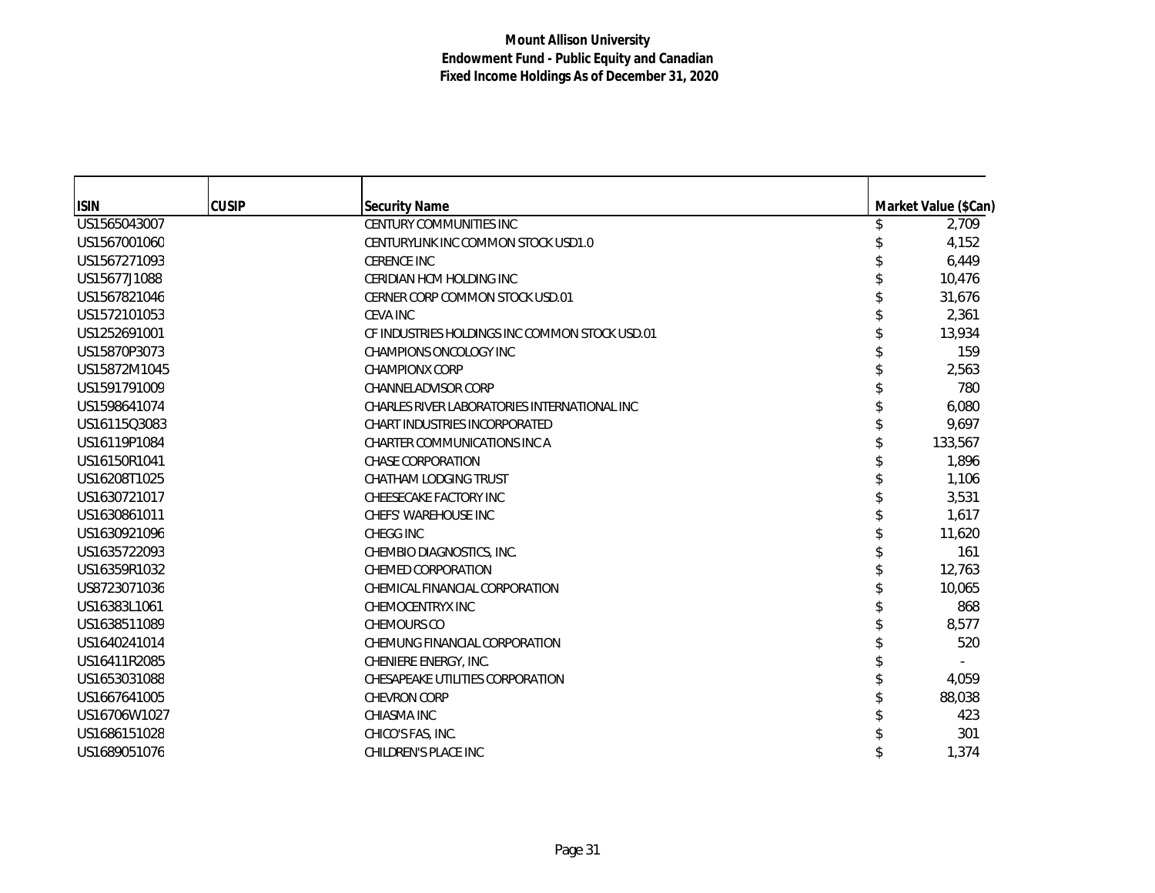| <b>ISIN</b>  | <b>CUSIP</b> | <b>Security Name</b>                           | Market Value (\$Can) |
|--------------|--------------|------------------------------------------------|----------------------|
| US1565043007 |              | <b>CENTURY COMMUNITIES INC</b>                 | 2,709                |
| US1567001060 |              | CENTURYLINK INC COMMON STOCK USD1.0            | 4,152                |
| US1567271093 |              | <b>CERENCE INC</b>                             | 6,449                |
| US15677J1088 |              | CERIDIAN HCM HOLDING INC                       | 10,476               |
| US1567821046 |              | CERNER CORP COMMON STOCK USD.01                | 31,676               |
| US1572101053 |              | <b>CEVA INC</b>                                | 2,361                |
| US1252691001 |              | CF INDUSTRIES HOLDINGS INC COMMON STOCK USD.01 | 13,934               |
| US15870P3073 |              | CHAMPIONS ONCOLOGY INC                         | 159                  |
| US15872M1045 |              | <b>CHAMPIONX CORP</b>                          | 2,563                |
| US1591791009 |              | <b>CHANNELADVISOR CORP</b>                     | 780                  |
| US1598641074 |              | CHARLES RIVER LABORATORIES INTERNATIONAL INC   | 6,080                |
| US16115Q3083 |              | <b>CHART INDUSTRIES INCORPORATED</b>           | 9,697                |
| US16119P1084 |              | <b>CHARTER COMMUNICATIONS INC A</b>            | 133,567              |
| US16150R1041 |              | <b>CHASE CORPORATION</b>                       | 1,896                |
| US16208T1025 |              | <b>CHATHAM LODGING TRUST</b>                   | 1,106                |
| US1630721017 |              | CHEESECAKE FACTORY INC                         | 3,531                |
| US1630861011 |              | <b>CHEFS' WAREHOUSE INC</b>                    | 1.617                |
| US1630921096 |              | CHEGG INC                                      | 11,620               |
| US1635722093 |              | CHEMBIO DIAGNOSTICS, INC.                      | 161                  |
| US16359R1032 |              | CHEMED CORPORATION                             | 12,763               |
| US8723071036 |              | CHEMICAL FINANCIAL CORPORATION                 | 10,065               |
| US16383L1061 |              | <b>CHEMOCENTRYX INC</b>                        | 868                  |
| US1638511089 |              | CHEMOURS CO                                    | 8.577                |
| US1640241014 |              | CHEMUNG FINANCIAL CORPORATION                  | 520                  |
| US16411R2085 |              | CHENIERE ENERGY, INC.                          |                      |
| US1653031088 |              | CHESAPEAKE UTILITIES CORPORATION               | 4,059                |
| US1667641005 |              | <b>CHEVRON CORP</b>                            | 88,038               |
| US16706W1027 |              | CHIASMA INC                                    | 423                  |
| US1686151028 |              | CHICO'S FAS, INC.                              | 301                  |
| US1689051076 |              | CHILDREN'S PLACE INC                           | 1,374                |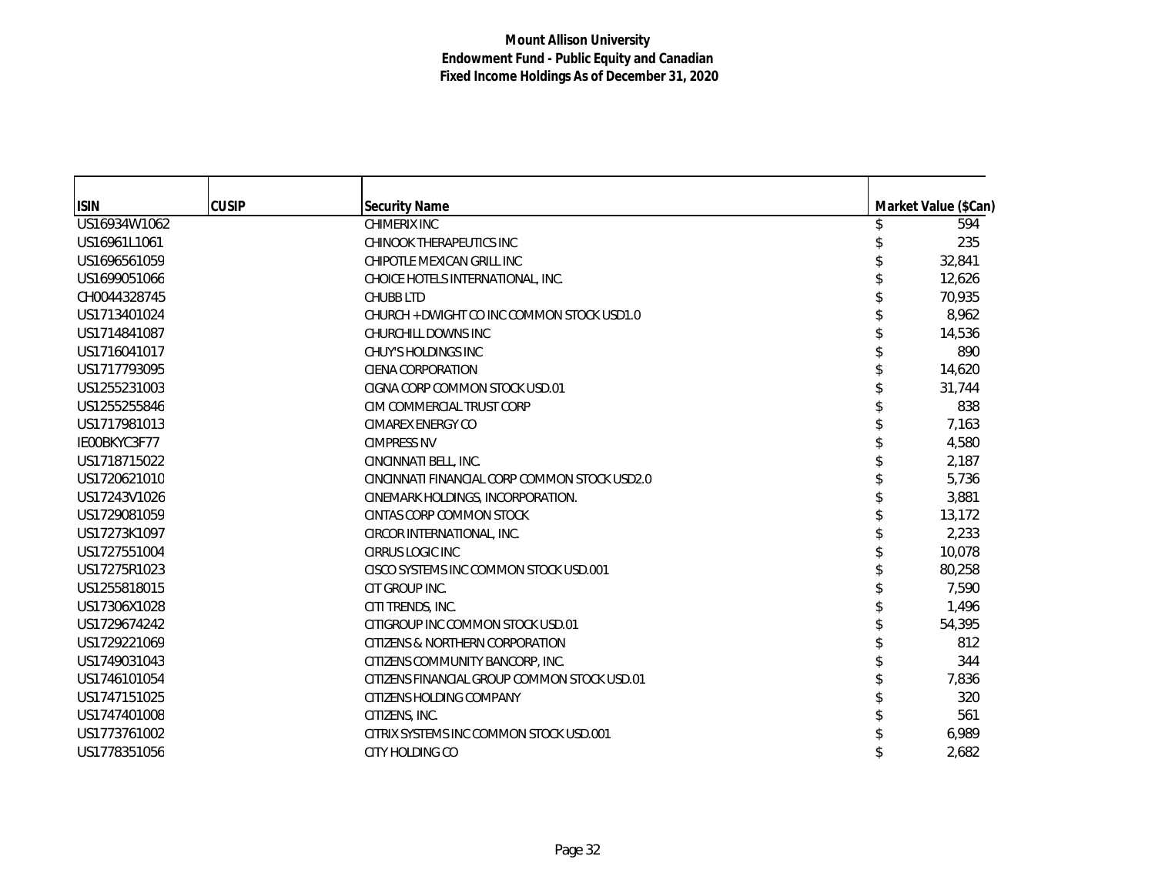| <b>ISIN</b>  | <b>CUSIP</b> | <b>Security Name</b>                          | Market Value (\$Can) |
|--------------|--------------|-----------------------------------------------|----------------------|
| US16934W1062 |              | <b>CHIMERIX INC</b>                           | 594                  |
| US16961L1061 |              | CHINOOK THERAPEUTICS INC                      | 235                  |
| US1696561059 |              | CHIPOTLE MEXICAN GRILL INC                    | 32,841               |
| US1699051066 |              | CHOICE HOTELS INTERNATIONAL, INC.             | 12,626               |
| CH0044328745 |              | <b>CHUBB LTD</b>                              | 70,935               |
| US1713401024 |              | CHURCH + DWIGHT CO INC COMMON STOCK USD1.0    | 8,962                |
| US1714841087 |              | CHURCHILL DOWNS INC                           | 14,536               |
| US1716041017 |              | <b>CHUY'S HOLDINGS INC</b>                    | 890                  |
| US1717793095 |              | <b>CIENA CORPORATION</b>                      | 14,620               |
| US1255231003 |              | CIGNA CORP COMMON STOCK USD.01                | 31,744               |
| US1255255846 |              | CIM COMMERCIAL TRUST CORP                     | 838                  |
| US1717981013 |              | <b>CIMAREX ENERGY CO</b>                      | 7,163                |
| IE00BKYC3F77 |              | <b>CIMPRESS NV</b>                            | 4,580                |
| US1718715022 |              | CINCINNATI BELL, INC.                         | 2,187                |
| US1720621010 |              | CINCINNATI FINANCIAL CORP COMMON STOCK USD2.0 | 5,736                |
| US17243V1026 |              | CINEMARK HOLDINGS, INCORPORATION.             | 3,881                |
| US1729081059 |              | CINTAS CORP COMMON STOCK                      | 13,172               |
| US17273K1097 |              | CIRCOR INTERNATIONAL, INC.                    | 2,233                |
| US1727551004 |              | <b>CIRRUS LOGIC INC</b>                       | 10,078               |
| US17275R1023 |              | CISCO SYSTEMS INC COMMON STOCK USD.001        | 80,258               |
| US1255818015 |              | CIT GROUP INC.                                | 7,590                |
| US17306X1028 |              | CITI TRENDS, INC.                             | 1,496                |
| US1729674242 |              | CITIGROUP INC COMMON STOCK USD.01             | 54,395               |
| US1729221069 |              | CITIZENS & NORTHERN CORPORATION               | 812                  |
| US1749031043 |              | CITIZENS COMMUNITY BANCORP. INC.              | 344                  |
| US1746101054 |              | CITIZENS FINANCIAL GROUP COMMON STOCK USD.01  | 7,836                |
| US1747151025 |              | CITIZENS HOLDING COMPANY                      | 320                  |
| US1747401008 |              | CITIZENS, INC.                                | 561                  |
| US1773761002 |              | CITRIX SYSTEMS INC COMMON STOCK USD.001       | 6,989                |
| US1778351056 |              | CITY HOLDING CO                               | 2,682                |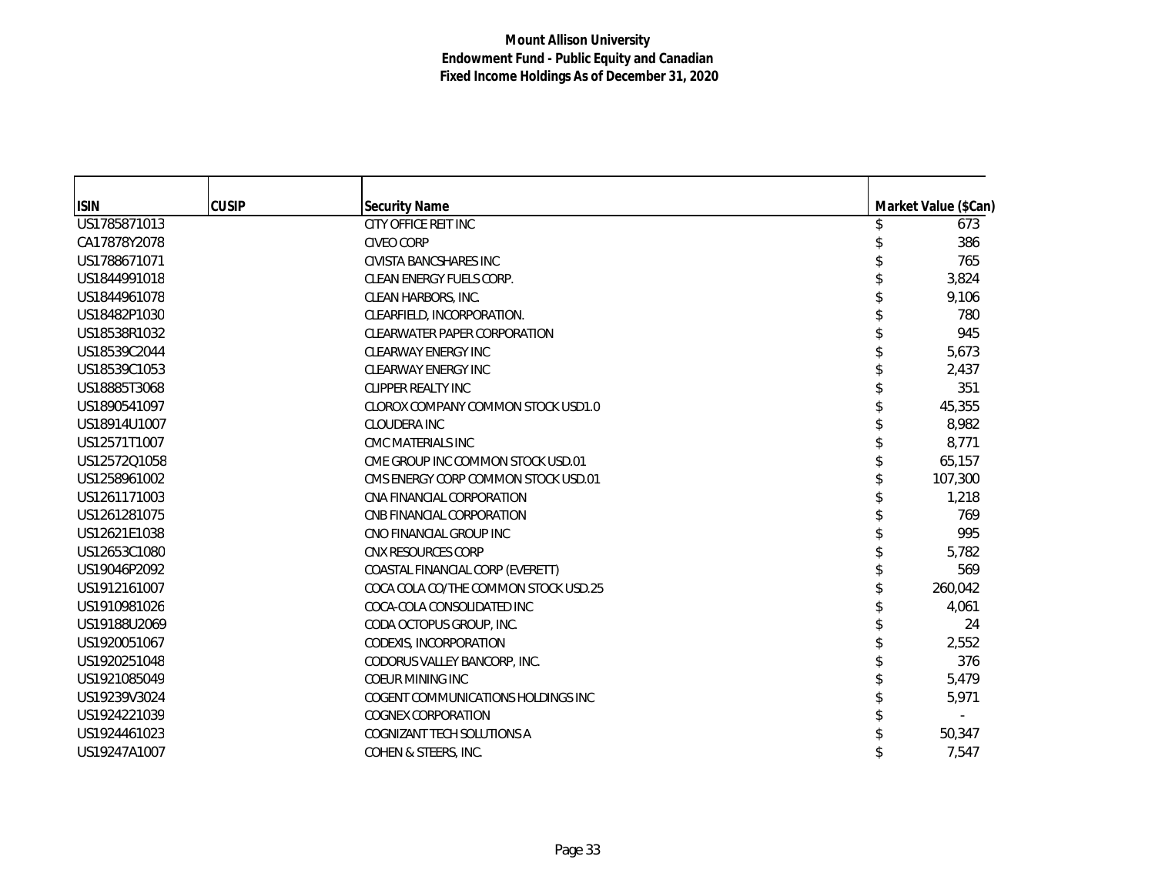| <b>ISIN</b>  | <b>CUSIP</b> | <b>Security Name</b>                 | Market Value (\$Can) |
|--------------|--------------|--------------------------------------|----------------------|
| US1785871013 |              | CITY OFFICE REIT INC                 | 673                  |
| CA17878Y2078 |              | <b>CIVEO CORP</b>                    | 386                  |
| US1788671071 |              | CIVISTA BANCSHARES INC               | 765                  |
| US1844991018 |              | <b>CLEAN ENERGY FUELS CORP.</b>      | 3,824                |
| US1844961078 |              | CLEAN HARBORS, INC.                  | 9,106                |
| US18482P1030 |              | CLEARFIELD, INCORPORATION.           | 780                  |
| US18538R1032 |              | <b>CLEARWATER PAPER CORPORATION</b>  | 945                  |
| US18539C2044 |              | <b>CLEARWAY ENERGY INC</b>           | 5,673                |
| US18539C1053 |              | <b>CLEARWAY ENERGY INC</b>           | 2,437                |
| US18885T3068 |              | <b>CLIPPER REALTY INC</b>            | 351                  |
| US1890541097 |              | CLOROX COMPANY COMMON STOCK USD1.0   | 45,355               |
| US18914U1007 |              | CLOUDERA INC                         | 8,982                |
| US12571T1007 |              | CMC MATERIALS INC                    | 8,771                |
| US12572Q1058 |              | CME GROUP INC COMMON STOCK USD.01    | 65,157               |
| US1258961002 |              | CMS ENERGY CORP COMMON STOCK USD.01  | 107,300              |
| US1261171003 |              | CNA FINANCIAL CORPORATION            | 1,218                |
| US1261281075 |              | CNB FINANCIAL CORPORATION            | 769                  |
| US12621E1038 |              | CNO FINANCIAL GROUP INC              | 995                  |
| US12653C1080 |              | CNX RESOURCES CORP                   | 5,782                |
| US19046P2092 |              | COASTAL FINANCIAL CORP (EVERETT)     | 569                  |
| US1912161007 |              | COCA COLA CO/THE COMMON STOCK USD.25 | 260,042              |
| US1910981026 |              | COCA-COLA CONSOLIDATED INC           | 4,061                |
| US19188U2069 |              | CODA OCTOPUS GROUP, INC.             | 24                   |
| US1920051067 |              | CODEXIS, INCORPORATION               | 2,552                |
| US1920251048 |              | CODORUS VALLEY BANCORP, INC.         | 376                  |
| US1921085049 |              | <b>COEUR MINING INC</b>              | 5,479                |
| US19239V3024 |              | COGENT COMMUNICATIONS HOLDINGS INC   | 5,971                |
| US1924221039 |              | <b>COGNEX CORPORATION</b>            |                      |
| US1924461023 |              | COGNIZANT TECH SOLUTIONS A           | 50,347               |
| US19247A1007 |              | COHEN & STEERS, INC.                 | 7,547                |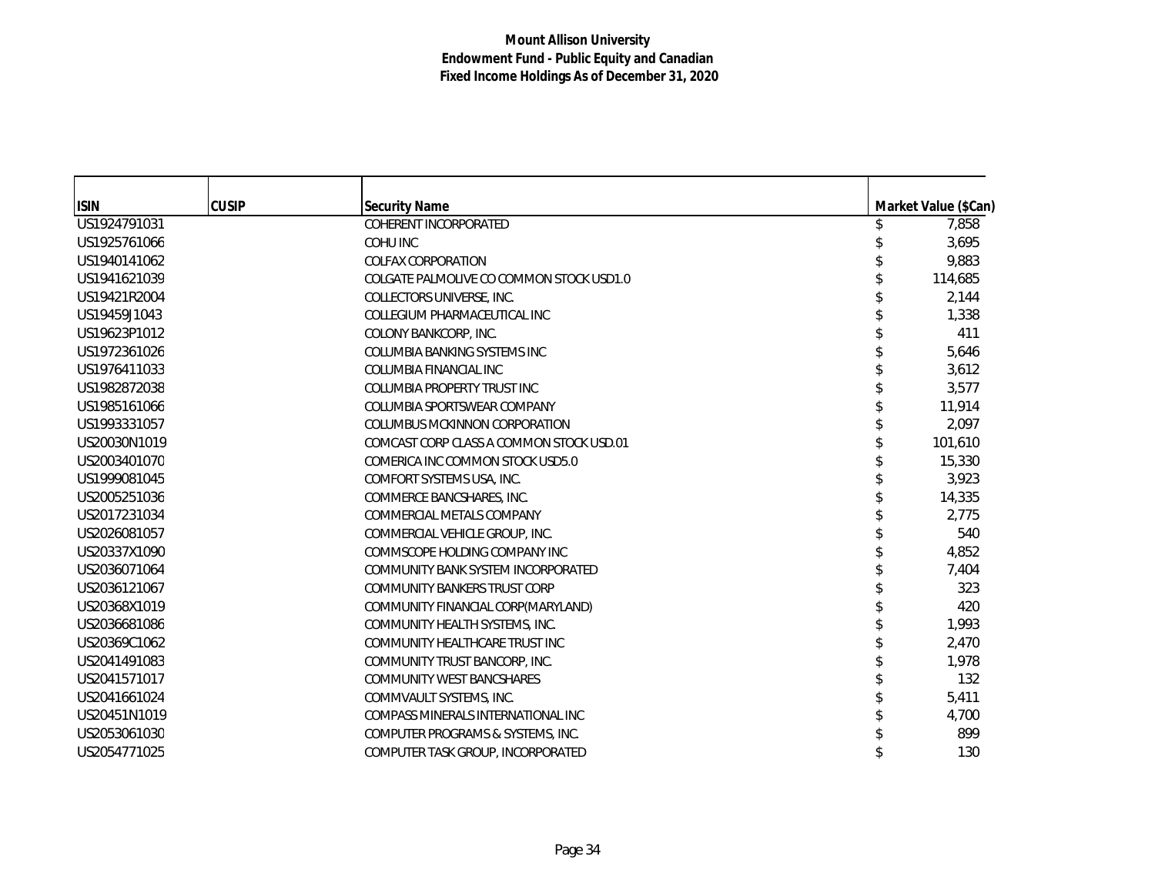| <b>ISIN</b>  | <b>CUSIP</b> | <b>Security Name</b>                     | Market Value (\$Can) |
|--------------|--------------|------------------------------------------|----------------------|
| US1924791031 |              | COHERENT INCORPORATED                    | 7,858                |
| US1925761066 |              | <b>COHU INC</b>                          | 3,695                |
| US1940141062 |              | <b>COLFAX CORPORATION</b>                | 9,883                |
| US1941621039 |              | COLGATE PALMOLIVE CO COMMON STOCK USD1.0 | 114,685              |
| US19421R2004 |              | COLLECTORS UNIVERSE, INC.                | 2,144                |
| US19459J1043 |              | COLLEGIUM PHARMACEUTICAL INC             | 1,338                |
| US19623P1012 |              | COLONY BANKCORP, INC.                    | 411                  |
| US1972361026 |              | COLUMBIA BANKING SYSTEMS INC             | 5,646                |
| US1976411033 |              | COLUMBIA FINANCIAL INC                   | 3,612                |
| US1982872038 |              | <b>COLUMBIA PROPERTY TRUST INC</b>       | 3,577                |
| US1985161066 |              | COLUMBIA SPORTSWEAR COMPANY              | 11,914               |
| US1993331057 |              | <b>COLUMBUS MCKINNON CORPORATION</b>     | 2,097                |
| US20030N1019 |              | COMCAST CORP CLASS A COMMON STOCK USD.01 | 101,610              |
| US2003401070 |              | COMERICA INC COMMON STOCK USD5.0         | 15,330               |
| US1999081045 |              | COMFORT SYSTEMS USA, INC.                | 3,923                |
| US2005251036 |              | COMMERCE BANCSHARES, INC.                | 14,335               |
| US2017231034 |              | COMMERCIAL METALS COMPANY                | 2,775                |
| US2026081057 |              | COMMERCIAL VEHICLE GROUP. INC.           | 540                  |
| US20337X1090 |              | COMMSCOPE HOLDING COMPANY INC            | 4,852                |
| US2036071064 |              | COMMUNITY BANK SYSTEM INCORPORATED       | 7,404                |
| US2036121067 |              | COMMUNITY BANKERS TRUST CORP             | 323                  |
| US20368X1019 |              | COMMUNITY FINANCIAL CORP(MARYLAND)       | 420                  |
| US2036681086 |              | COMMUNITY HEALTH SYSTEMS, INC.           | 1,993                |
| US20369C1062 |              | COMMUNITY HEALTHCARE TRUST INC           | 2,470                |
| US2041491083 |              | COMMUNITY TRUST BANCORP, INC.            | 1,978                |
| US2041571017 |              | COMMUNITY WEST BANCSHARES                | 132                  |
| US2041661024 |              | COMMVAULT SYSTEMS, INC.                  | 5,411                |
| US20451N1019 |              | COMPASS MINERALS INTERNATIONAL INC       | 4,700                |
| US2053061030 |              | COMPUTER PROGRAMS & SYSTEMS, INC.        | 899                  |
| US2054771025 |              | COMPUTER TASK GROUP, INCORPORATED        | 130                  |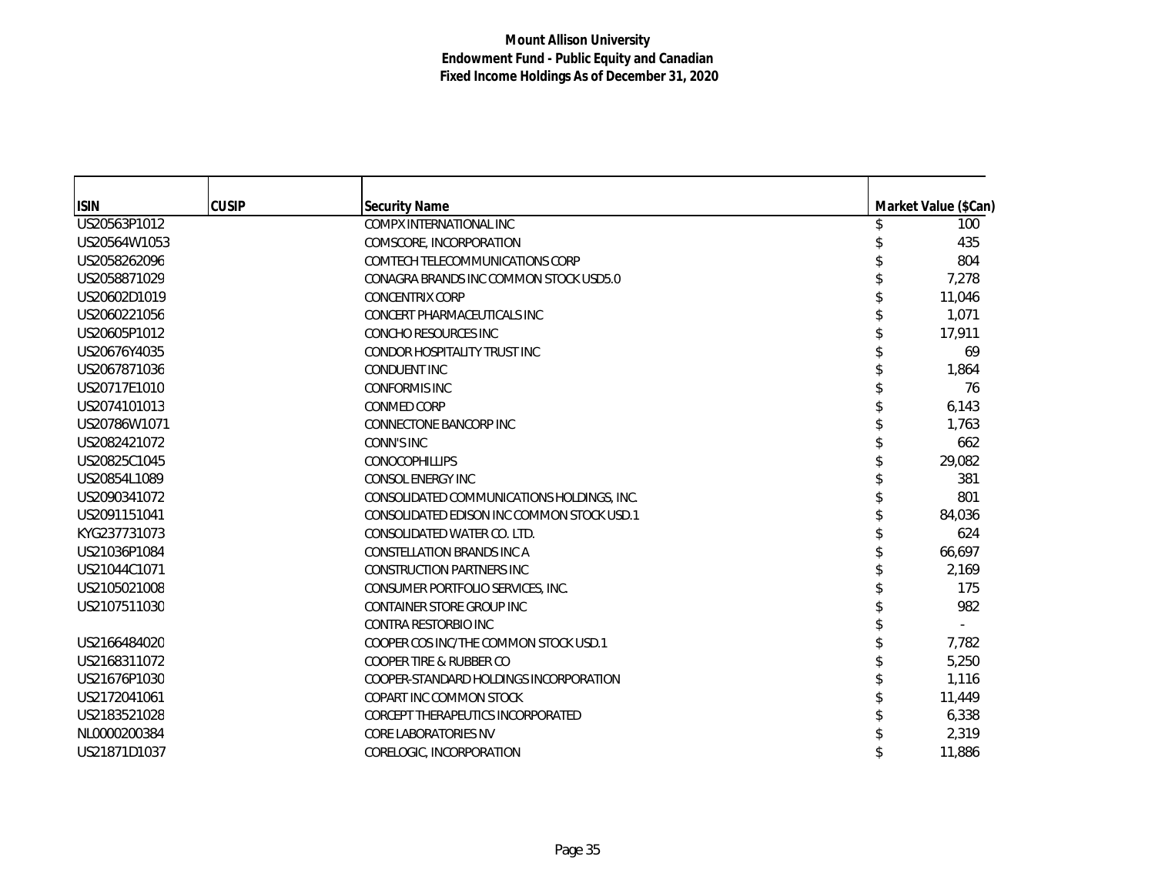| <b>ISIN</b>  | <b>CUSIP</b> | <b>Security Name</b>                       | Market Value (\$Can) |
|--------------|--------------|--------------------------------------------|----------------------|
| US20563P1012 |              | COMPX INTERNATIONAL INC                    | 100                  |
| US20564W1053 |              | COMSCORE, INCORPORATION                    | 435                  |
| US2058262096 |              | <b>COMTECH TELECOMMUNICATIONS CORP</b>     | 804                  |
| US2058871029 |              | CONAGRA BRANDS INC COMMON STOCK USD5.0     | 7,278                |
| US20602D1019 |              | <b>CONCENTRIX CORP</b>                     | 11,046               |
| US2060221056 |              | CONCERT PHARMACEUTICALS INC                | 1,071                |
| US20605P1012 |              | CONCHO RESOURCES INC                       | 17,911               |
| US20676Y4035 |              | <b>CONDOR HOSPITALITY TRUST INC</b>        | 69                   |
| US2067871036 |              | <b>CONDUENT INC</b>                        | 1,864                |
| US20717E1010 |              | <b>CONFORMIS INC</b>                       | 76                   |
| US2074101013 |              | <b>CONMED CORP</b>                         | 6,143                |
| US20786W1071 |              | <b>CONNECTONE BANCORP INC</b>              | 1,763                |
| US2082421072 |              | <b>CONN'S INC</b>                          | 662                  |
| US20825C1045 |              | <b>CONOCOPHILLIPS</b>                      | 29,082               |
| US20854L1089 |              | <b>CONSOL ENERGY INC</b>                   | 381                  |
| US2090341072 |              | CONSOLIDATED COMMUNICATIONS HOLDINGS, INC. | 801                  |
| US2091151041 |              | CONSOLIDATED EDISON INC COMMON STOCK USD.1 | 84,036               |
| KYG237731073 |              | CONSOLIDATED WATER CO. LTD.                | 624                  |
| US21036P1084 |              | <b>CONSTELLATION BRANDS INC A</b>          | 66,697               |
| US21044C1071 |              | <b>CONSTRUCTION PARTNERS INC</b>           | 2,169                |
| US2105021008 |              | CONSUMER PORTFOLIO SERVICES, INC.          | 175                  |
| US2107511030 |              | CONTAINER STORE GROUP INC                  | 982                  |
|              |              | <b>CONTRA RESTORBIO INC</b>                |                      |
| US2166484020 |              | COOPER COS INC/THE COMMON STOCK USD.1      | 7,782                |
| US2168311072 |              | <b>COOPER TIRE &amp; RUBBER CO</b>         | 5,250                |
| US21676P1030 |              | COOPER-STANDARD HOLDINGS INCORPORATION     | 1,116                |
| US2172041061 |              | COPART INC COMMON STOCK                    | 11,449               |
| US2183521028 |              | <b>CORCEPT THERAPEUTICS INCORPORATED</b>   | 6,338                |
| NL0000200384 |              | <b>CORE LABORATORIES NV</b>                | 2,319                |
| US21871D1037 |              | CORELOGIC, INCORPORATION                   | 11,886               |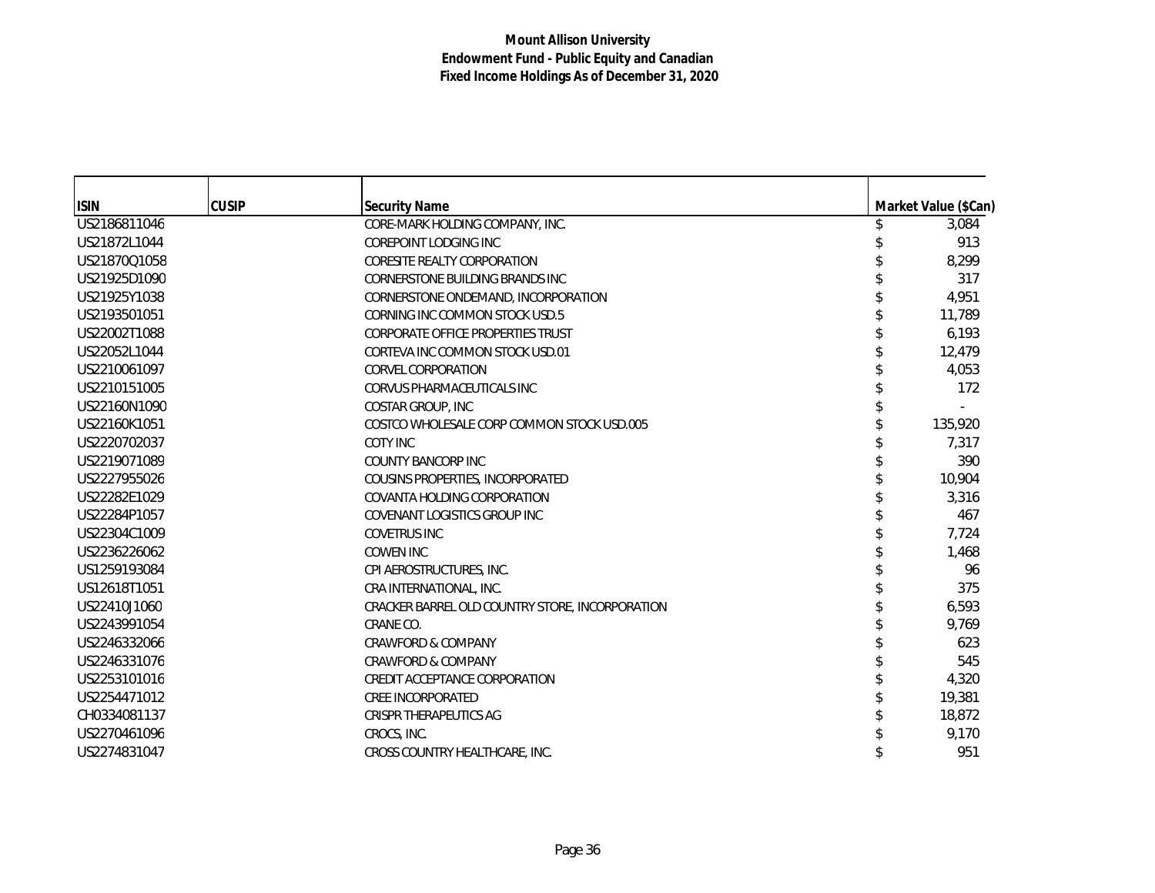| <b>ISIN</b>  | <b>CUSIP</b> | <b>Security Name</b>                            | Market Value (\$Can) |
|--------------|--------------|-------------------------------------------------|----------------------|
| US2186811046 |              | CORE-MARK HOLDING COMPANY, INC.                 | 3,084                |
| US21872L1044 |              | <b>COREPOINT LODGING INC</b>                    | 913                  |
| US21870Q1058 |              | CORESITE REALTY CORPORATION                     | 8,299                |
| US21925D1090 |              | <b>CORNERSTONE BUILDING BRANDS INC</b>          | 317                  |
| US21925Y1038 |              | CORNERSTONE ONDEMAND, INCORPORATION             | 4,951                |
| US2193501051 |              | CORNING INC COMMON STOCK USD.5                  | 11,789               |
| US22002T1088 |              | <b>CORPORATE OFFICE PROPERTIES TRUST</b>        | 6,193                |
| US22052L1044 |              | CORTEVA INC COMMON STOCK USD.01                 | 12,479               |
| US2210061097 |              | <b>CORVEL CORPORATION</b>                       | 4,053                |
| US2210151005 |              | CORVUS PHARMACEUTICALS INC                      | 172                  |
| US22160N1090 |              | <b>COSTAR GROUP, INC</b>                        |                      |
| US22160K1051 |              | COSTCO WHOLESALE CORP COMMON STOCK USD.005      | 135,920              |
| US2220702037 |              | COTY INC                                        | 7,317                |
| US2219071089 |              | <b>COUNTY BANCORP INC</b>                       | 390                  |
| US2227955026 |              | COUSINS PROPERTIES, INCORPORATED                | 10,904               |
| US22282E1029 |              | COVANTA HOLDING CORPORATION                     | 3,316                |
| US22284P1057 |              | COVENANT LOGISTICS GROUP INC                    | 467                  |
| US22304C1009 |              | <b>COVETRUS INC</b>                             | 7,724                |
| US2236226062 |              | <b>COWEN INC</b>                                | 1,468                |
| US1259193084 |              | CPI AEROSTRUCTURES, INC.                        | 96                   |
| US12618T1051 |              | CRA INTERNATIONAL, INC.                         | 375                  |
| US22410J1060 |              | CRACKER BARREL OLD COUNTRY STORE, INCORPORATION | 6,593                |
| US2243991054 |              | CRANE CO.                                       | 9,769                |
| US2246332066 |              | <b>CRAWFORD &amp; COMPANY</b>                   | 623                  |
| US2246331076 |              | <b>CRAWFORD &amp; COMPANY</b>                   | 545                  |
| US2253101016 |              | CREDIT ACCEPTANCE CORPORATION                   | 4,320                |
| US2254471012 |              | <b>CREE INCORPORATED</b>                        | 19,381               |
| CH0334081137 |              | CRISPR THERAPEUTICS AG                          | 18,872               |
| US2270461096 |              | CROCS, INC.                                     | 9,170                |
| US2274831047 |              | CROSS COUNTRY HEALTHCARE, INC.                  | 951                  |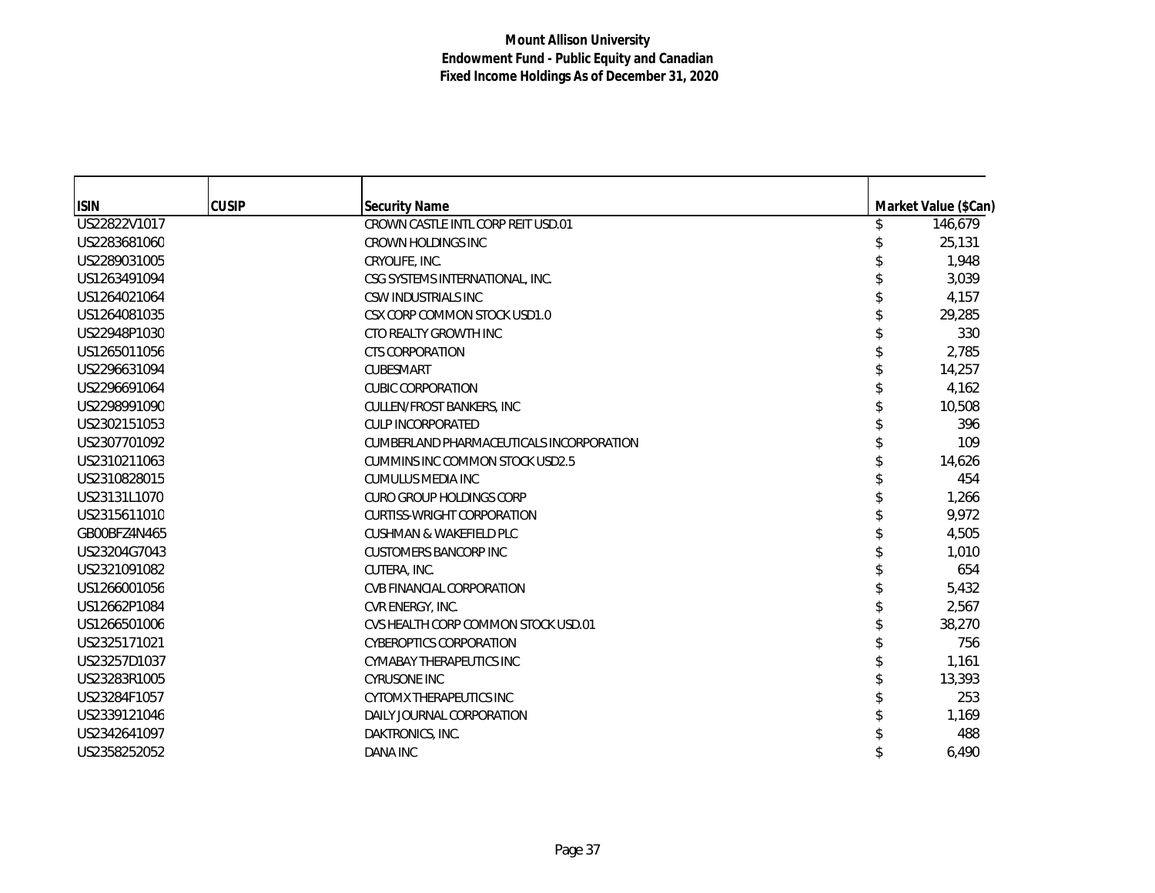| <b>ISIN</b>  | <b>CUSIP</b> | <b>Security Name</b>                     | Market Value (\$Can) |
|--------------|--------------|------------------------------------------|----------------------|
| US22822V1017 |              | CROWN CASTLE INTL CORP REIT USD.01       | 146,679              |
| US2283681060 |              | CROWN HOLDINGS INC                       | 25,131               |
| US2289031005 |              | CRYOLIFE, INC.                           | 1,948                |
| US1263491094 |              | CSG SYSTEMS INTERNATIONAL, INC.          | 3,039                |
| US1264021064 |              | CSW INDUSTRIALS INC                      | 4,157                |
| US1264081035 |              | CSX CORP COMMON STOCK USD1.0             | 29,285               |
| US22948P1030 |              | CTO REALTY GROWTH INC                    | 330                  |
| US1265011056 |              | <b>CTS CORPORATION</b>                   | 2,785                |
| US2296631094 |              | <b>CUBESMART</b>                         | 14,257               |
| US2296691064 |              | <b>CUBIC CORPORATION</b>                 | 4,162                |
| US2298991090 |              | CULLEN/FROST BANKERS, INC                | 10,508               |
| US2302151053 |              | <b>CULP INCORPORATED</b>                 | 396                  |
| US2307701092 |              | CUMBERLAND PHARMACEUTICALS INCORPORATION | 109                  |
| US2310211063 |              | <b>CUMMINS INC COMMON STOCK USD2.5</b>   | 14,626               |
| US2310828015 |              | <b>CUMULUS MEDIA INC</b>                 | 454                  |
| US23131L1070 |              | <b>CURO GROUP HOLDINGS CORP</b>          | 1,266                |
| US2315611010 |              | <b>CURTISS-WRIGHT CORPORATION</b>        | 9,972                |
| GB00BFZ4N465 |              | <b>CUSHMAN &amp; WAKEFIELD PLC</b>       | 4,505                |
| US23204G7043 |              | <b>CUSTOMERS BANCORP INC</b>             | 1,010                |
| US2321091082 |              | CUTERA, INC.                             | 654                  |
| US1266001056 |              | CVB FINANCIAL CORPORATION                | 5,432                |
| US12662P1084 |              | CVR ENERGY, INC.                         | 2,567                |
| US1266501006 |              | CVS HEALTH CORP COMMON STOCK USD.01      | 38,270               |
| US2325171021 |              | <b>CYBEROPTICS CORPORATION</b>           | 756                  |
| US23257D1037 |              | <b>CYMABAY THERAPEUTICS INC</b>          | 1,161                |
| US23283R1005 |              | <b>CYRUSONE INC</b>                      | 13,393               |
| US23284F1057 |              | <b>CYTOMX THERAPEUTICS INC</b>           | 253                  |
| US2339121046 |              | DAILY JOURNAL CORPORATION                | 1,169                |
| US2342641097 |              | DAKTRONICS, INC.                         | 488                  |
| US2358252052 |              | <b>DANA INC</b>                          | 6,490                |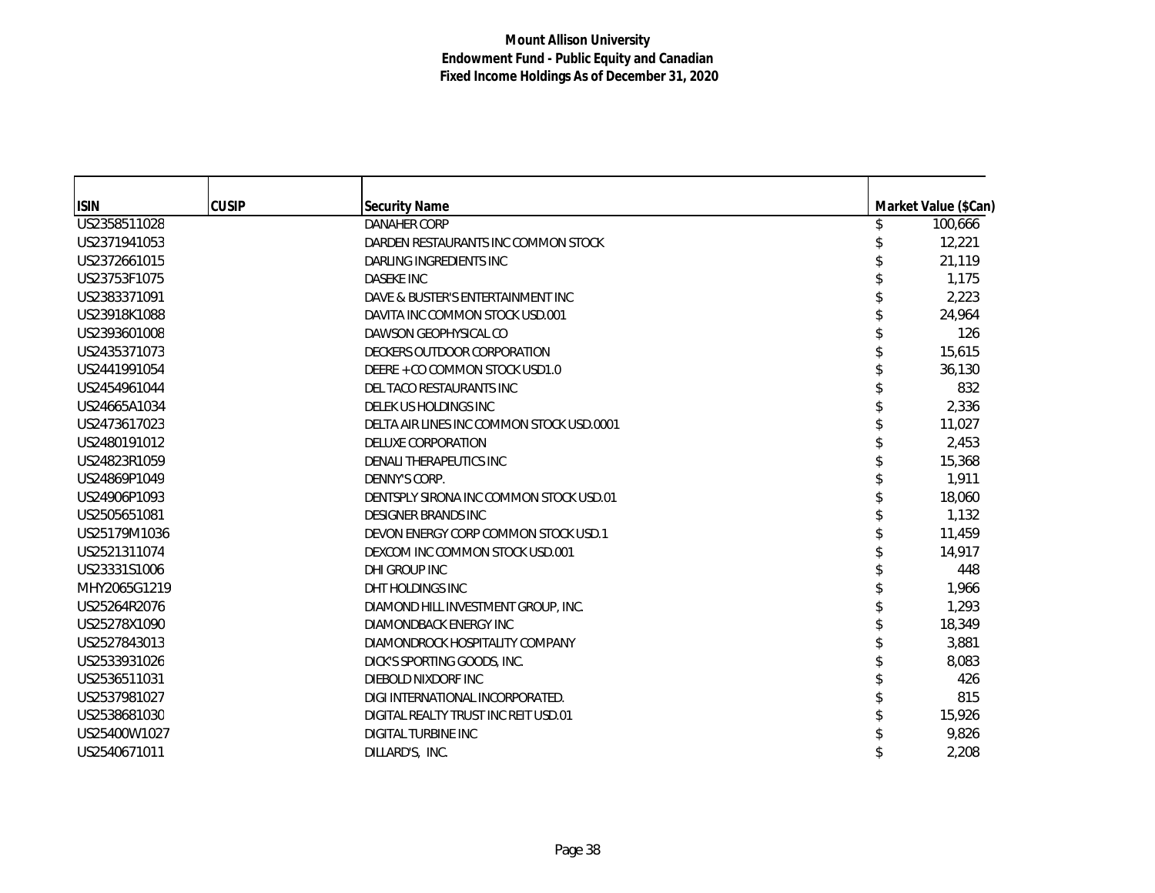| <b>ISIN</b>  | <b>CUSIP</b> | <b>Security Name</b>                      | Market Value (\$Can) |
|--------------|--------------|-------------------------------------------|----------------------|
| US2358511028 |              | <b>DANAHER CORP</b>                       | 100,666              |
| US2371941053 |              | DARDEN RESTAURANTS INC COMMON STOCK       | 12,221               |
| US2372661015 |              | DARLING INGREDIENTS INC                   | 21,119               |
| US23753F1075 |              | <b>DASEKE INC</b>                         | 1,175                |
| US2383371091 |              | DAVE & BUSTER'S ENTERTAINMENT INC         | 2,223                |
| US23918K1088 |              | DAVITA INC COMMON STOCK USD.001           | 24.964               |
| US2393601008 |              | DAWSON GEOPHYSICAL CO                     | 126                  |
| US2435371073 |              | DECKERS OUTDOOR CORPORATION               | 15,615               |
| US2441991054 |              | DEERE + CO COMMON STOCK USD1.0            | 36,130               |
| US2454961044 |              | DEL TACO RESTAURANTS INC                  | 832                  |
| US24665A1034 |              | DELEK US HOLDINGS INC                     | 2,336                |
| US2473617023 |              | DELTA AIR LINES INC COMMON STOCK USD.0001 | 11,027               |
| US2480191012 |              | DELUXE CORPORATION                        | 2,453                |
| US24823R1059 |              | DENALI THERAPEUTICS INC                   | 15,368               |
| US24869P1049 |              | DENNY'S CORP.                             | 1,911                |
| US24906P1093 |              | DENTSPLY SIRONA INC COMMON STOCK USD.01   | 18,060               |
| US2505651081 |              | <b>DESIGNER BRANDS INC</b>                | 1,132                |
| US25179M1036 |              | DEVON ENERGY CORP COMMON STOCK USD.1      | 11,459               |
| US2521311074 |              | DEXCOM INC COMMON STOCK USD.001           | 14,917               |
| US23331S1006 |              | DHI GROUP INC                             | 448                  |
| MHY2065G1219 |              | DHT HOLDINGS INC                          | 1,966                |
| US25264R2076 |              | DIAMOND HILL INVESTMENT GROUP, INC.       | 1,293                |
| US25278X1090 |              | DIAMONDBACK ENERGY INC                    | 18,349               |
| US2527843013 |              | DIAMONDROCK HOSPITALITY COMPANY           | 3,881                |
| US2533931026 |              | DICK'S SPORTING GOODS, INC.               | 8,083                |
| US2536511031 |              | DIEBOLD NIXDORF INC                       | 426                  |
| US2537981027 |              | DIGI INTERNATIONAL INCORPORATED.          | 815                  |
| US2538681030 |              | DIGITAL REALTY TRUST INC REIT USD.01      | 15,926               |
| US25400W1027 |              | <b>DIGITAL TURBINE INC</b>                | 9,826                |
| US2540671011 |              | DILLARD'S, INC.                           | 2,208                |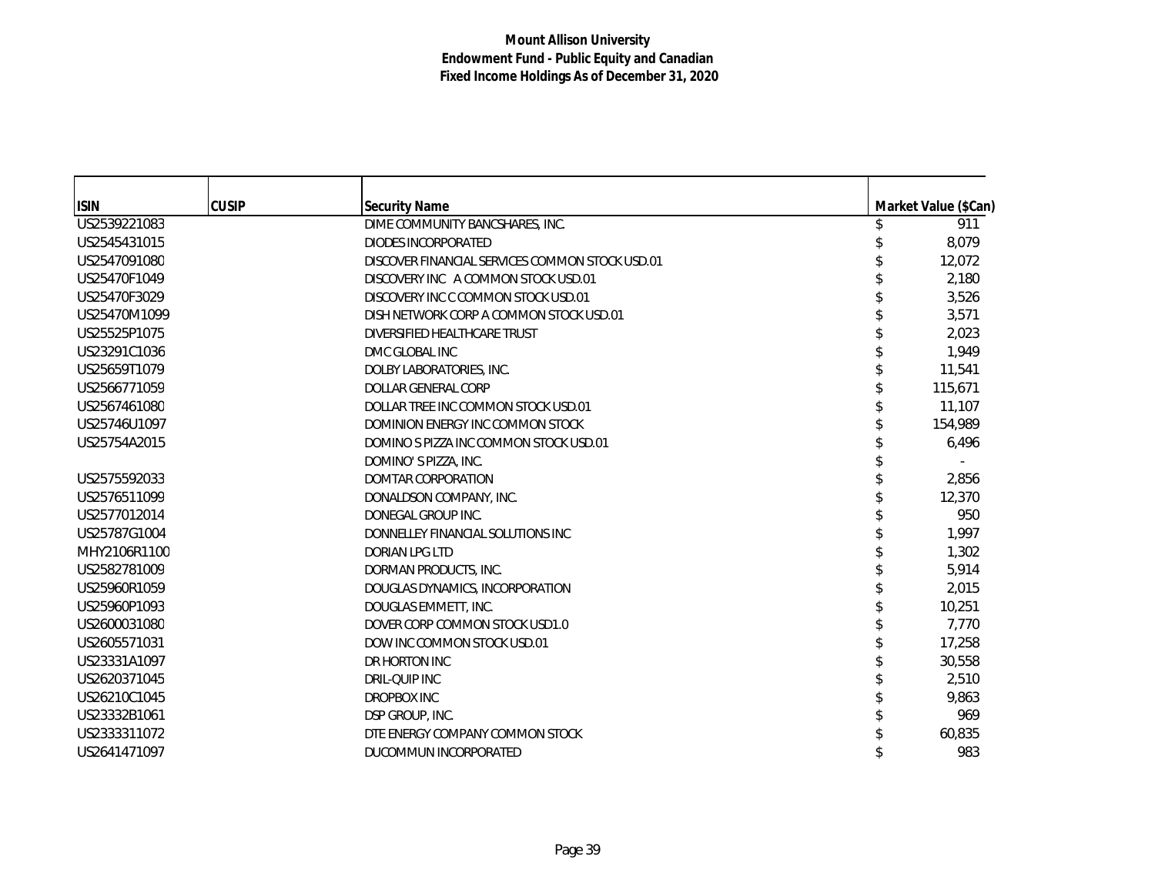| <b>ISIN</b>  | <b>CUSIP</b> | <b>Security Name</b>                            | Market Value (\$Can) |
|--------------|--------------|-------------------------------------------------|----------------------|
| US2539221083 |              | DIME COMMUNITY BANCSHARES, INC.                 | 911                  |
| US2545431015 |              | <b>DIODES INCORPORATED</b>                      | 8,079                |
| US2547091080 |              | DISCOVER FINANCIAL SERVICES COMMON STOCK USD.01 | 12,072               |
| US25470F1049 |              | DISCOVERY INC A COMMON STOCK USD.01             | 2,180                |
| US25470F3029 |              | DISCOVERY INC C COMMON STOCK USD.01             | 3,526                |
| US25470M1099 |              | DISH NETWORK CORP A COMMON STOCK USD.01         | 3,571                |
| US25525P1075 |              | DIVERSIFIED HEALTHCARE TRUST                    | 2,023                |
| US23291C1036 |              | DMC GLOBAL INC                                  | 1,949                |
| US25659T1079 |              | DOLBY LABORATORIES, INC.                        | 11,541               |
| US2566771059 |              | DOLLAR GENERAL CORP                             | 115,671              |
| US2567461080 |              | DOLLAR TREE INC COMMON STOCK USD.01             | 11,107               |
| US25746U1097 |              | DOMINION ENERGY INC COMMON STOCK                | 154,989              |
| US25754A2015 |              | DOMINO S PIZZA INC COMMON STOCK USD.01          | 6,496                |
|              |              | DOMINO'S PIZZA, INC.                            |                      |
| US2575592033 |              | <b>DOMTAR CORPORATION</b>                       | 2,856                |
| US2576511099 |              | DONALDSON COMPANY, INC.                         | 12,370               |
| US2577012014 |              | DONEGAL GROUP INC.                              | 950                  |
| US25787G1004 |              | DONNELLEY FINANCIAL SOLUTIONS INC               | 1,997                |
| MHY2106R1100 |              | <b>DORIAN LPG LTD</b>                           | 1,302                |
| US2582781009 |              | DORMAN PRODUCTS, INC.                           | 5,914                |
| US25960R1059 |              | DOUGLAS DYNAMICS, INCORPORATION                 | 2,015                |
| US25960P1093 |              | DOUGLAS EMMETT, INC.                            | 10,251               |
| US2600031080 |              | DOVER CORP COMMON STOCK USD1.0                  | 7,770                |
| US2605571031 |              | DOW INC COMMON STOCK USD.01                     | 17,258               |
| US23331A1097 |              | DR HORTON INC                                   | 30,558               |
| US2620371045 |              | DRIL-QUIP INC                                   | 2,510                |
| US26210C1045 |              | <b>DROPBOX INC</b>                              | 9,863                |
| US23332B1061 |              | DSP GROUP, INC.                                 | 969                  |
| US2333311072 |              | DTE ENERGY COMPANY COMMON STOCK                 | 60,835               |
| US2641471097 |              | DUCOMMUN INCORPORATED                           | 983                  |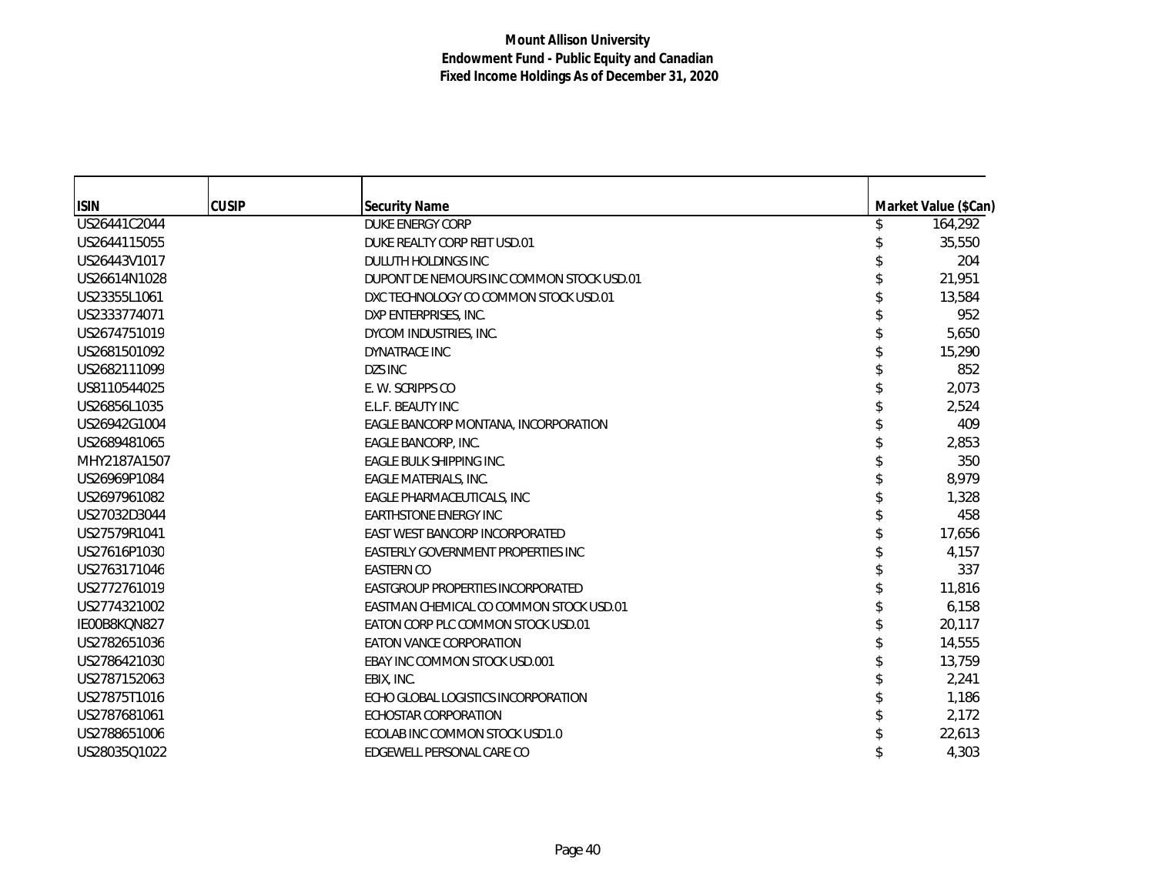| <b>ISIN</b>  | <b>CUSIP</b> | <b>Security Name</b>                      | Market Value (\$Can) |
|--------------|--------------|-------------------------------------------|----------------------|
| US26441C2044 |              | <b>DUKE ENERGY CORP</b>                   | 164,292              |
| US2644115055 |              | DUKE REALTY CORP REIT USD.01              | 35,550               |
| US26443V1017 |              | DULUTH HOLDINGS INC                       | 204                  |
| US26614N1028 |              | DUPONT DE NEMOURS INC COMMON STOCK USD.01 | 21,951               |
| US23355L1061 |              | DXC TECHNOLOGY CO COMMON STOCK USD.01     | 13,584               |
| US2333774071 |              | DXP ENTERPRISES, INC.                     | 952                  |
| US2674751019 |              | DYCOM INDUSTRIES, INC.                    | 5,650                |
| US2681501092 |              | DYNATRACE INC                             | 15,290               |
| US2682111099 |              | DZS INC                                   | 852                  |
| US8110544025 |              | E. W. SCRIPPS CO                          | 2,073                |
| US26856L1035 |              | E.L.F. BEAUTY INC                         | 2.524                |
| US26942G1004 |              | EAGLE BANCORP MONTANA, INCORPORATION      | 409                  |
| US2689481065 |              | EAGLE BANCORP, INC.                       | 2,853                |
| MHY2187A1507 |              | <b>EAGLE BULK SHIPPING INC.</b>           | 350                  |
| US26969P1084 |              | EAGLE MATERIALS, INC.                     | 8,979                |
| US2697961082 |              | EAGLE PHARMACEUTICALS, INC                | 1,328                |
| US27032D3044 |              | <b>EARTHSTONE ENERGY INC</b>              | 458                  |
| US27579R1041 |              | EAST WEST BANCORP INCORPORATED            | 17,656               |
| US27616P1030 |              | EASTERLY GOVERNMENT PROPERTIES INC        | 4,157                |
| US2763171046 |              | <b>EASTERN CO</b>                         | 337                  |
| US2772761019 |              | EASTGROUP PROPERTIES INCORPORATED         | 11,816               |
| US2774321002 |              | EASTMAN CHEMICAL CO COMMON STOCK USD.01   | 6,158                |
| IE00B8KQN827 |              | EATON CORP PLC COMMON STOCK USD.01        | 20,117               |
| US2782651036 |              | EATON VANCE CORPORATION                   | 14,555               |
| US2786421030 |              | EBAY INC COMMON STOCK USD.001             | 13,759               |
| US2787152063 |              | EBIX, INC.                                | 2,241                |
| US27875T1016 |              | ECHO GLOBAL LOGISTICS INCORPORATION       | 1,186                |
| US2787681061 |              | ECHOSTAR CORPORATION                      | 2,172                |
| US2788651006 |              | ECOLAB INC COMMON STOCK USD1.0            | 22,613               |
| US28035Q1022 |              | EDGEWELL PERSONAL CARE CO                 | 4,303                |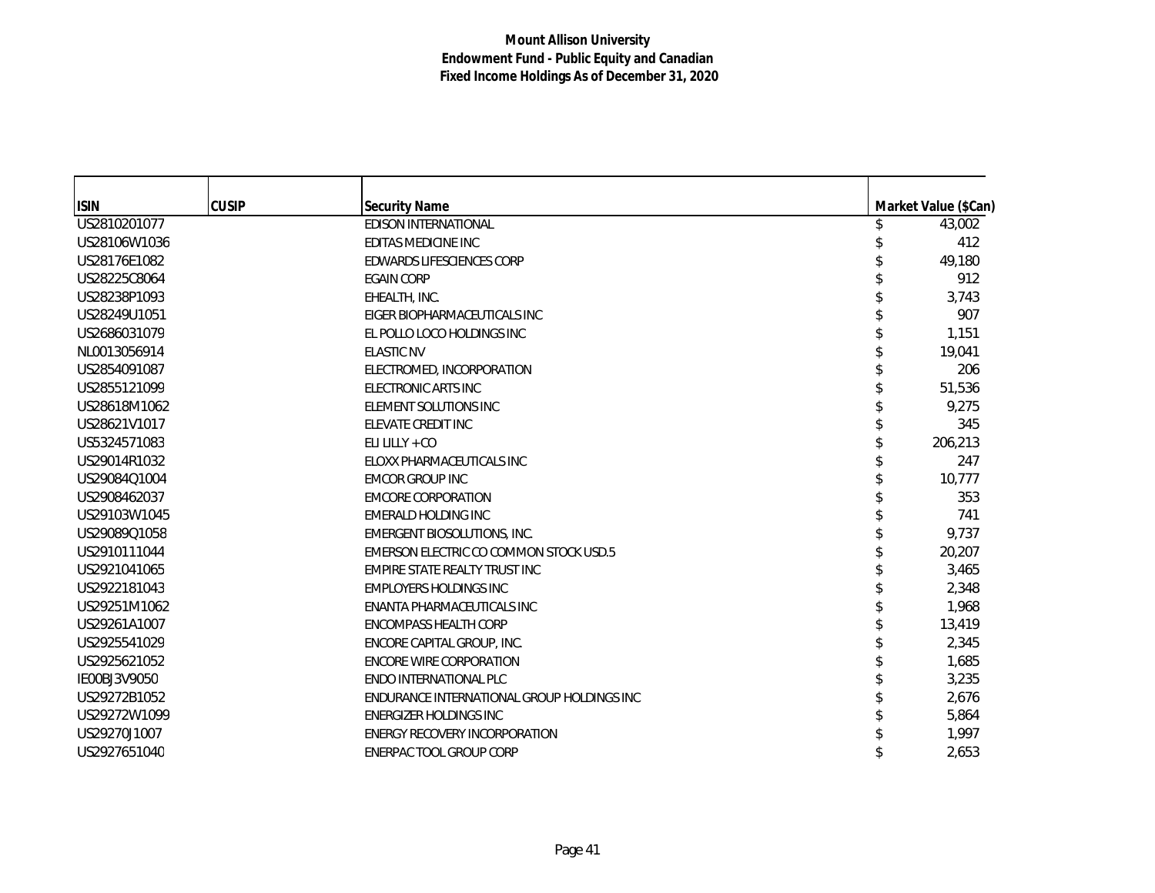| <b>ISIN</b>  | <b>CUSIP</b> | <b>Security Name</b>                       | Market Value (\$Can) |
|--------------|--------------|--------------------------------------------|----------------------|
| US2810201077 |              | <b>EDISON INTERNATIONAL</b>                | 43,002               |
| US28106W1036 |              | EDITAS MEDICINE INC                        | 412                  |
| US28176E1082 |              | EDWARDS LIFESCIENCES CORP                  | 49,180               |
| US28225C8064 |              | <b>EGAIN CORP</b>                          | 912                  |
| US28238P1093 |              | EHEALTH, INC.                              | 3,743                |
| US28249U1051 |              | EIGER BIOPHARMACEUTICALS INC               | 907                  |
| US2686031079 |              | EL POLLO LOCO HOLDINGS INC                 | 1,151                |
| NL0013056914 |              | <b>ELASTIC NV</b>                          | 19,041               |
| US2854091087 |              | ELECTROMED, INCORPORATION                  | 206                  |
| US2855121099 |              | ELECTRONIC ARTS INC                        | 51,536               |
| US28618M1062 |              | ELEMENT SOLUTIONS INC                      | 9,275                |
| US28621V1017 |              | ELEVATE CREDIT INC                         | 345                  |
| US5324571083 |              | ELI LILLY + $CO$                           | 206,213              |
| US29014R1032 |              | ELOXX PHARMACEUTICALS INC                  | 247                  |
| US29084Q1004 |              | <b>EMCOR GROUP INC</b>                     | 10,777               |
| US2908462037 |              | <b>EMCORE CORPORATION</b>                  | 353                  |
| US29103W1045 |              | <b>EMERALD HOLDING INC</b>                 | 741                  |
| US29089Q1058 |              | EMERGENT BIOSOLUTIONS, INC.                | 9,737                |
| US2910111044 |              | EMERSON ELECTRIC CO COMMON STOCK USD.5     | 20,207               |
| US2921041065 |              | EMPIRE STATE REALTY TRUST INC              | 3,465                |
| US2922181043 |              | <b>EMPLOYERS HOLDINGS INC</b>              | 2,348                |
| US29251M1062 |              | ENANTA PHARMACEUTICALS INC                 | 1,968                |
| US29261A1007 |              | ENCOMPASS HEALTH CORP                      | 13,419               |
| US2925541029 |              | ENCORE CAPITAL GROUP, INC.                 | 2,345                |
| US2925621052 |              | <b>ENCORE WIRE CORPORATION</b>             | 1,685                |
| IE00BJ3V9050 |              | <b>ENDO INTERNATIONAL PLC</b>              | 3,235                |
| US29272B1052 |              | ENDURANCE INTERNATIONAL GROUP HOLDINGS INC | 2,676                |
| US29272W1099 |              | <b>ENERGIZER HOLDINGS INC</b>              | 5,864                |
| US29270J1007 |              | <b>ENERGY RECOVERY INCORPORATION</b>       | 1,997                |
| US2927651040 |              | ENERPAC TOOL GROUP CORP                    | 2,653                |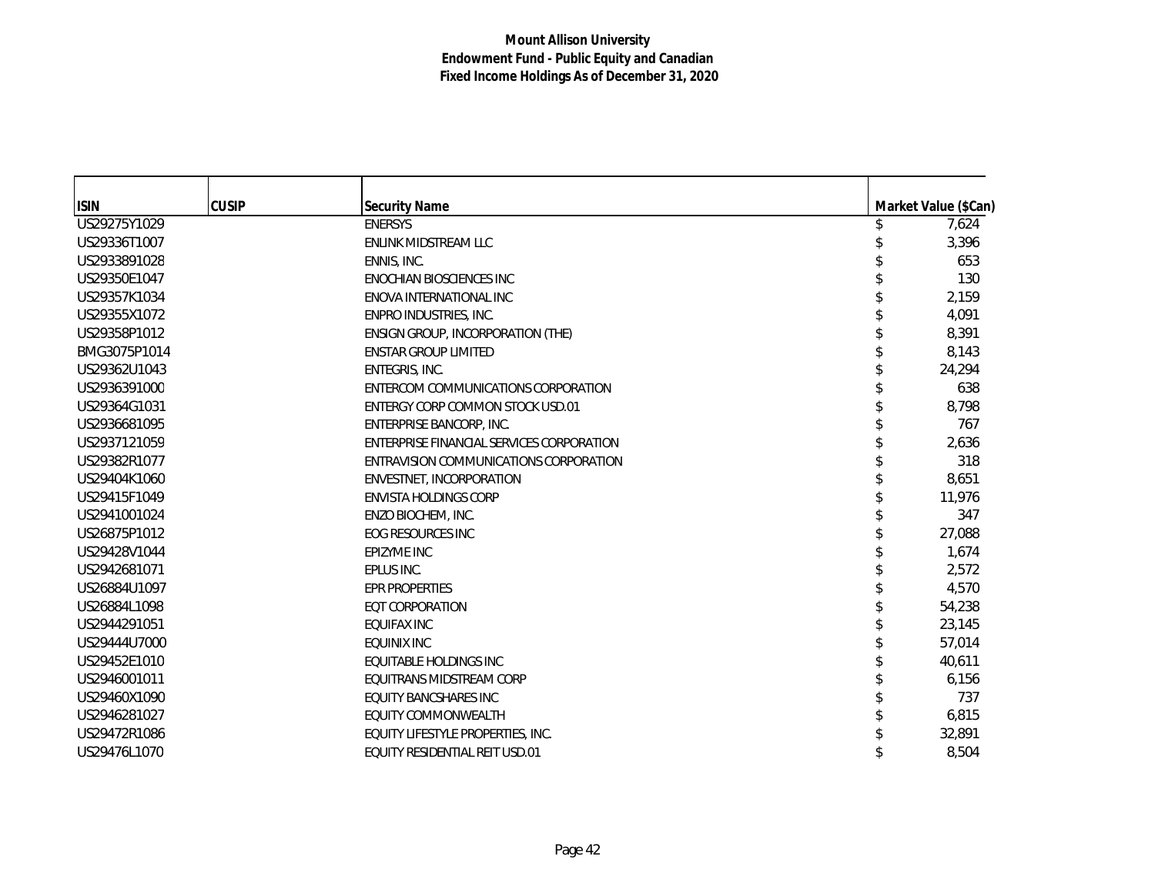| <b>ISIN</b>  | <b>CUSIP</b> | <b>Security Name</b>                      | Market Value (\$Can) |
|--------------|--------------|-------------------------------------------|----------------------|
| US29275Y1029 |              | <b>ENERSYS</b>                            | 7,624                |
| US29336T1007 |              | ENLINK MIDSTREAM LLC                      | 3,396                |
| US2933891028 |              | ENNIS, INC.                               | 653                  |
| US29350E1047 |              | <b>ENOCHIAN BIOSCIENCES INC</b>           | 130                  |
| US29357K1034 |              | ENOVA INTERNATIONAL INC                   | 2,159                |
| US29355X1072 |              | ENPRO INDUSTRIES, INC.                    | 4,091                |
| US29358P1012 |              | ENSIGN GROUP, INCORPORATION (THE)         | 8,391                |
| BMG3075P1014 |              | <b>ENSTAR GROUP LIMITED</b>               | 8,143                |
| US29362U1043 |              | ENTEGRIS, INC.                            | 24,294               |
| US2936391000 |              | ENTERCOM COMMUNICATIONS CORPORATION       | 638                  |
| US29364G1031 |              | ENTERGY CORP COMMON STOCK USD.01          | 8,798                |
| US2936681095 |              | ENTERPRISE BANCORP, INC.                  | 767                  |
| US2937121059 |              | ENTERPRISE FINANCIAL SERVICES CORPORATION | 2,636                |
| US29382R1077 |              | ENTRAVISION COMMUNICATIONS CORPORATION    | 318                  |
| US29404K1060 |              | ENVESTNET, INCORPORATION                  | 8,651                |
| US29415F1049 |              | <b>ENVISTA HOLDINGS CORP</b>              | 11,976               |
| US2941001024 |              | ENZO BIOCHEM, INC.                        | 347                  |
| US26875P1012 |              | <b>EOG RESOURCES INC</b>                  | 27,088               |
| US29428V1044 |              | EPIZYME INC                               | 1,674                |
| US2942681071 |              | EPLUS INC.                                | 2,572                |
| US26884U1097 |              | <b>EPR PROPERTIES</b>                     | 4,570                |
| US26884L1098 |              | <b>EQT CORPORATION</b>                    | 54,238               |
| US2944291051 |              | <b>EQUIFAX INC</b>                        | 23,145               |
| US29444U7000 |              | <b>EQUINIX INC</b>                        | 57,014               |
| US29452E1010 |              | EQUITABLE HOLDINGS INC                    | 40,611               |
| US2946001011 |              | EQUITRANS MIDSTREAM CORP                  | 6,156                |
| US29460X1090 |              | <b>EQUITY BANCSHARES INC</b>              | 737                  |
| US2946281027 |              | EQUITY COMMONWEALTH                       | 6,815                |
| US29472R1086 |              | EQUITY LIFESTYLE PROPERTIES, INC.         | 32,891               |
| US29476L1070 |              | EQUITY RESIDENTIAL REIT USD.01            | 8,504                |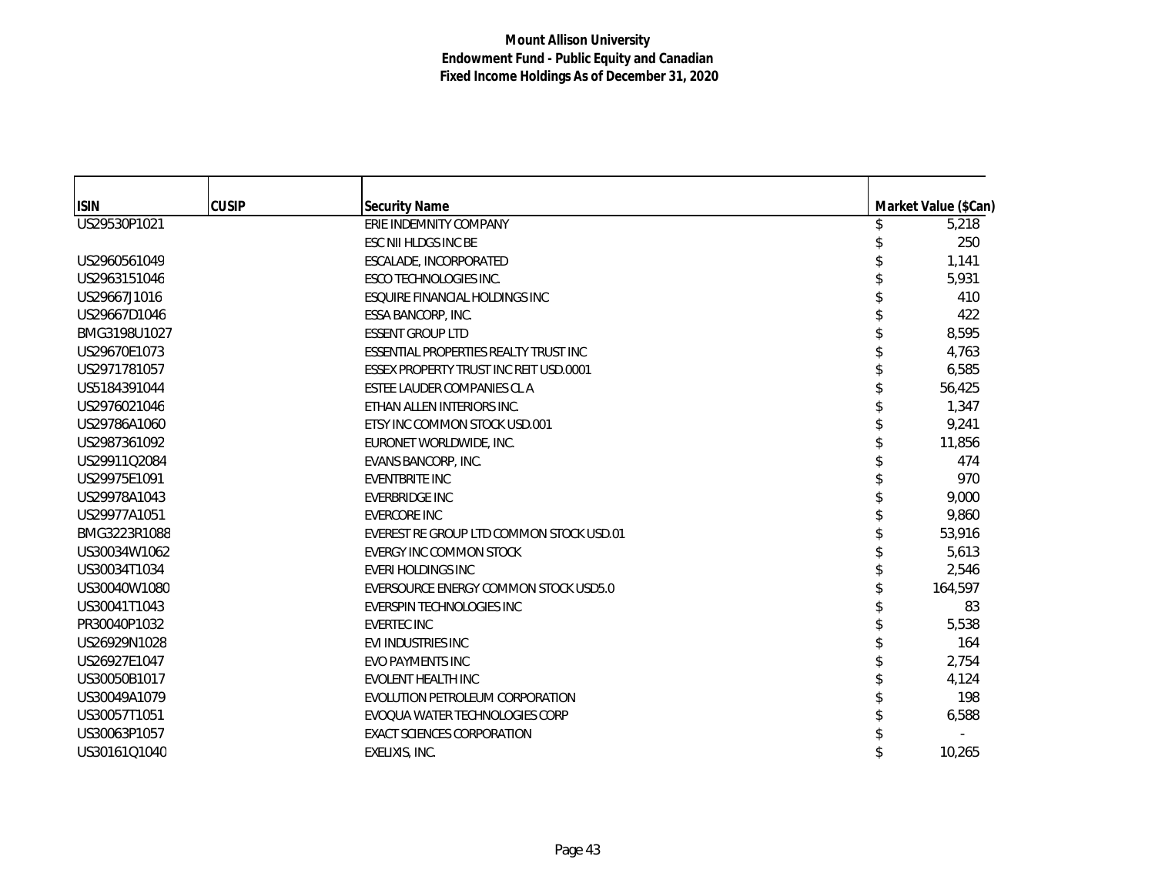| <b>ISIN</b>  | <b>CUSIP</b> | <b>Security Name</b>                          | Market Value (\$Can) |
|--------------|--------------|-----------------------------------------------|----------------------|
| US29530P1021 |              | ERIE INDEMNITY COMPANY                        | 5,218                |
|              |              | ESC NII HLDGS INC BE                          | 250                  |
| US2960561049 |              | ESCALADE, INCORPORATED                        | 1,141                |
| US2963151046 |              | ESCO TECHNOLOGIES INC.                        | 5,931                |
| US29667J1016 |              | ESQUIRE FINANCIAL HOLDINGS INC                | 410                  |
| US29667D1046 |              | ESSA BANCORP, INC.                            | 422                  |
| BMG3198U1027 |              | <b>ESSENT GROUP LTD</b>                       | 8,595                |
| US29670E1073 |              | <b>ESSENTIAL PROPERTIES REALTY TRUST INC</b>  | 4,763                |
| US2971781057 |              | <b>ESSEX PROPERTY TRUST INC REIT USD.0001</b> | 6,585                |
| US5184391044 |              | ESTEE LAUDER COMPANIES CL A                   | 56,425               |
| US2976021046 |              | ETHAN ALLEN INTERIORS INC.                    | 1,347                |
| US29786A1060 |              | ETSY INC COMMON STOCK USD.001                 | 9,241                |
| US2987361092 |              | EURONET WORLDWIDE, INC.                       | 11,856               |
| US29911Q2084 |              | EVANS BANCORP, INC.                           | 474                  |
| US29975E1091 |              | <b>EVENTBRITE INC</b>                         | 970                  |
| US29978A1043 |              | EVERBRIDGE INC                                | 9,000                |
| US29977A1051 |              | <b>EVERCORE INC</b>                           | 9,860                |
| BMG3223R1088 |              | EVEREST RE GROUP LTD COMMON STOCK USD.01      | 53,916               |
| US30034W1062 |              | EVERGY INC COMMON STOCK                       | 5,613                |
| US30034T1034 |              | <b>EVERI HOLDINGS INC</b>                     | 2,546                |
| US30040W1080 |              | EVERSOURCE ENERGY COMMON STOCK USD5.0         | 164,597              |
| US30041T1043 |              | EVERSPIN TECHNOLOGIES INC                     | 83                   |
| PR30040P1032 |              | <b>EVERTEC INC</b>                            | 5,538                |
| US26929N1028 |              | <b>EVI INDUSTRIES INC</b>                     | 164                  |
| US26927E1047 |              | <b>EVO PAYMENTS INC</b>                       | 2,754                |
| US30050B1017 |              | <b>EVOLENT HEALTH INC</b>                     | 4,124                |
| US30049A1079 |              | EVOLUTION PETROLEUM CORPORATION               | 198                  |
| US30057T1051 |              | EVOQUA WATER TECHNOLOGIES CORP                | 6,588                |
| US30063P1057 |              | <b>EXACT SCIENCES CORPORATION</b>             |                      |
| US30161Q1040 |              | EXELIXIS, INC.                                | 10,265               |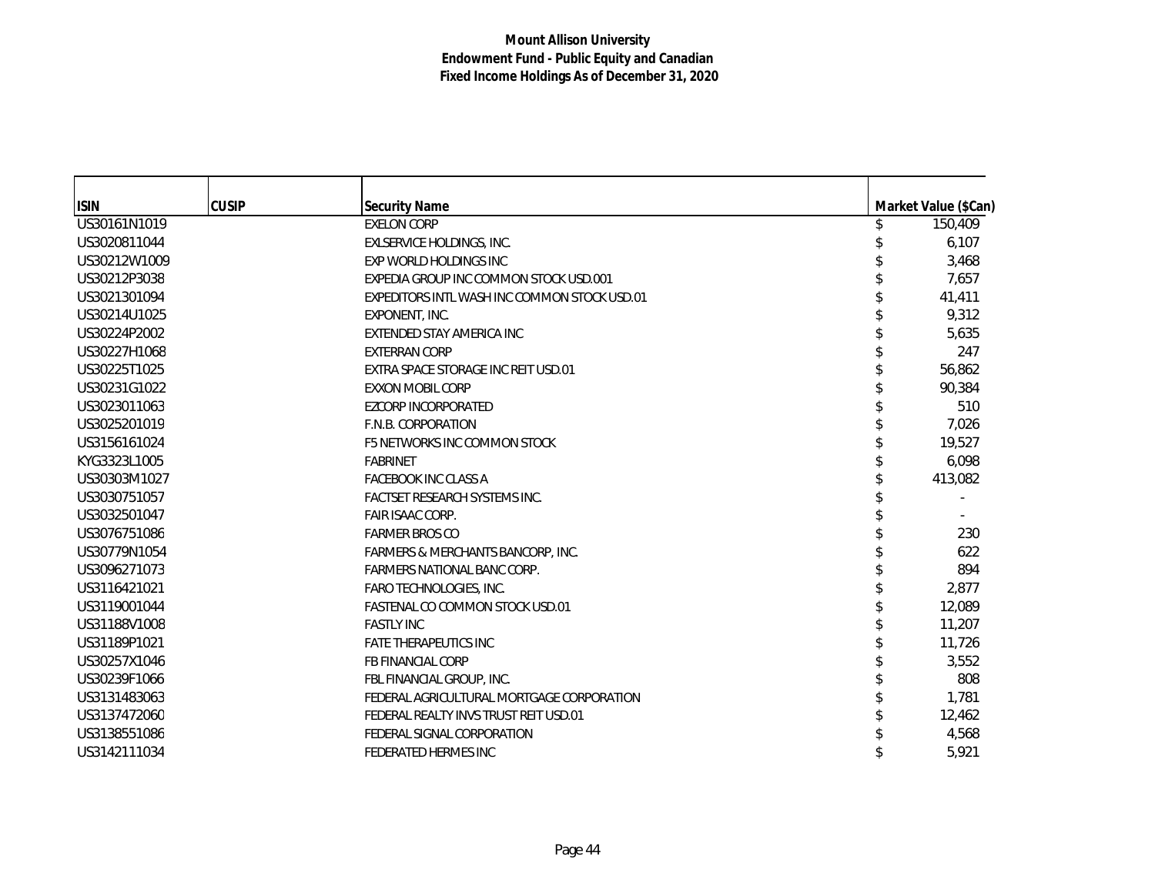| <b>ISIN</b>  | <b>CUSIP</b> | <b>Security Name</b>                         | Market Value (\$Can) |
|--------------|--------------|----------------------------------------------|----------------------|
| US30161N1019 |              | <b>EXELON CORP</b>                           | 150,409              |
| US3020811044 |              | EXLSERVICE HOLDINGS, INC.                    | 6,107                |
| US30212W1009 |              | <b>EXP WORLD HOLDINGS INC</b>                | 3,468                |
| US30212P3038 |              | EXPEDIA GROUP INC COMMON STOCK USD.001       | 7,657                |
| US3021301094 |              | EXPEDITORS INTL WASH INC COMMON STOCK USD.01 | 41,411               |
| US30214U1025 |              | EXPONENT, INC.                               | 9,312                |
| US30224P2002 |              | EXTENDED STAY AMERICA INC                    | 5,635                |
| US30227H1068 |              | <b>EXTERRAN CORP</b>                         | 247                  |
| US30225T1025 |              | EXTRA SPACE STORAGE INC REIT USD.01          | 56,862               |
| US30231G1022 |              | <b>EXXON MOBIL CORP</b>                      | 90,384               |
| US3023011063 |              | <b>EZCORP INCORPORATED</b>                   | 510                  |
| US3025201019 |              | F.N.B. CORPORATION                           | 7,026                |
| US3156161024 |              | F5 NETWORKS INC COMMON STOCK                 | 19,527               |
| KYG3323L1005 |              | <b>FABRINET</b>                              | 6,098                |
| US30303M1027 |              | <b>FACEBOOK INC CLASS A</b>                  | 413,082              |
| US3030751057 |              | <b>FACTSET RESEARCH SYSTEMS INC.</b>         |                      |
| US3032501047 |              | <b>FAIR ISAAC CORP.</b>                      |                      |
| US3076751086 |              | <b>FARMER BROS CO</b>                        | 230                  |
| US30779N1054 |              | FARMERS & MERCHANTS BANCORP, INC.            | 622                  |
| US3096271073 |              | <b>FARMERS NATIONAL BANC CORP.</b>           | 894                  |
| US3116421021 |              | FARO TECHNOLOGIES, INC.                      | 2,877                |
| US3119001044 |              | <b>FASTENAL CO COMMON STOCK USD.01</b>       | 12,089               |
| US31188V1008 |              | <b>FASTLY INC</b>                            | 11,207               |
| US31189P1021 |              | <b>FATE THERAPEUTICS INC</b>                 | 11,726               |
| US30257X1046 |              | FB FINANCIAL CORP                            | 3,552                |
| US30239F1066 |              | FBL FINANCIAL GROUP, INC.                    | 808                  |
| US3131483063 |              | FEDERAL AGRICULTURAL MORTGAGE CORPORATION    | 1,781                |
| US3137472060 |              | FEDERAL REALTY INVS TRUST REIT USD.01        | 12,462               |
| US3138551086 |              | FEDERAL SIGNAL CORPORATION                   | 4,568                |
| US3142111034 |              | FEDERATED HERMES INC                         | 5,921                |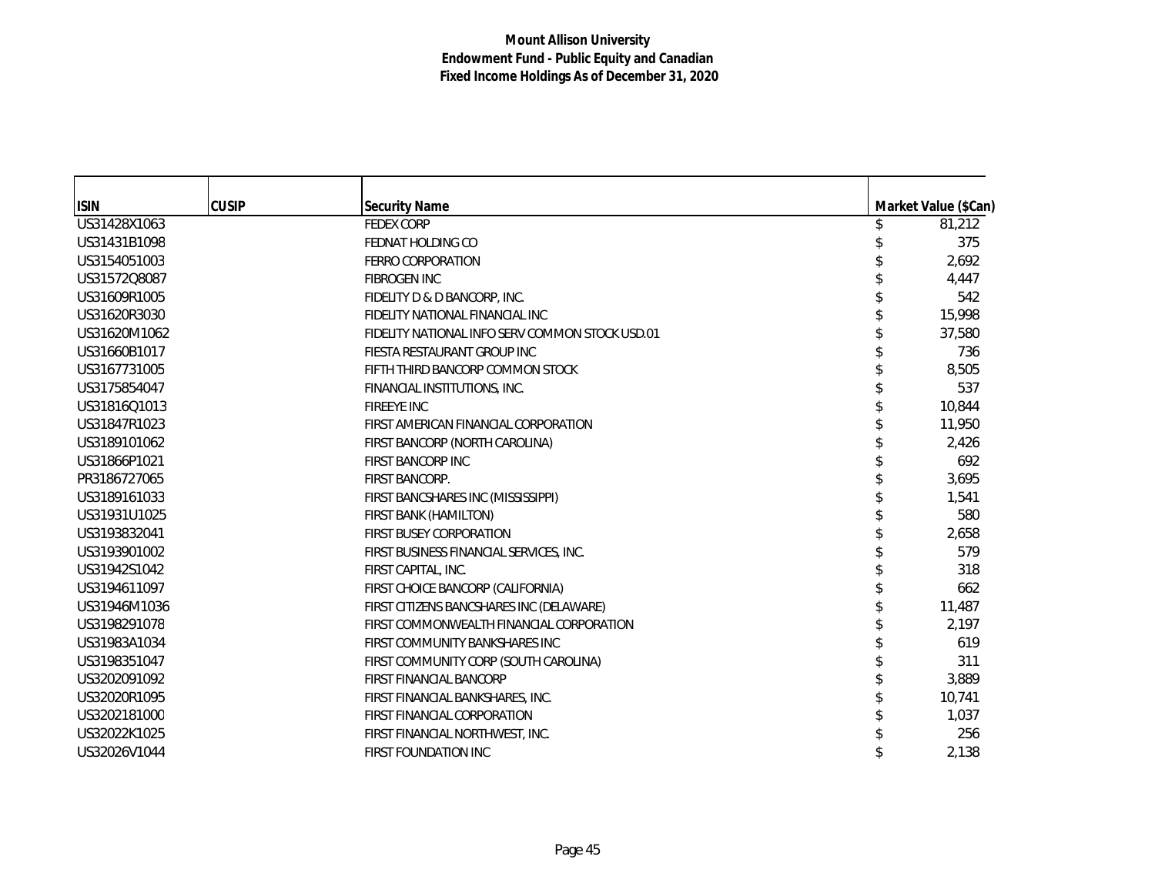| <b>ISIN</b>  | <b>CUSIP</b> | <b>Security Name</b>                            |  | Market Value (\$Can) |
|--------------|--------------|-------------------------------------------------|--|----------------------|
| US31428X1063 |              | <b>FEDEX CORP</b>                               |  | 81,212               |
| US31431B1098 |              | FEDNAT HOLDING CO                               |  | 375                  |
| US3154051003 |              | <b>FERRO CORPORATION</b>                        |  | 2,692                |
| US31572Q8087 |              | <b>FIBROGEN INC</b>                             |  | 4,447                |
| US31609R1005 |              | FIDELITY D & D BANCORP, INC.                    |  | 542                  |
| US31620R3030 |              | FIDELITY NATIONAL FINANCIAL INC                 |  | 15,998               |
| US31620M1062 |              | FIDELITY NATIONAL INFO SERV COMMON STOCK USD.01 |  | 37,580               |
| US31660B1017 |              | FIESTA RESTAURANT GROUP INC                     |  | 736                  |
| US3167731005 |              | FIFTH THIRD BANCORP COMMON STOCK                |  | 8,505                |
| US3175854047 |              | FINANCIAL INSTITUTIONS, INC.                    |  | 537                  |
| US31816Q1013 |              | <b>FIREEYE INC</b>                              |  | 10,844               |
| US31847R1023 |              | FIRST AMERICAN FINANCIAL CORPORATION            |  | 11,950               |
| US3189101062 |              | FIRST BANCORP (NORTH CAROLINA)                  |  | 2,426                |
| US31866P1021 |              | FIRST BANCORP INC                               |  | 692                  |
| PR3186727065 |              | FIRST BANCORP.                                  |  | 3,695                |
| US3189161033 |              | FIRST BANCSHARES INC (MISSISSIPPI)              |  | 1,541                |
| US31931U1025 |              | FIRST BANK (HAMILTON)                           |  | 580                  |
| US3193832041 |              | <b>FIRST BUSEY CORPORATION</b>                  |  | 2,658                |
| US3193901002 |              | FIRST BUSINESS FINANCIAL SERVICES, INC.         |  | 579                  |
| US31942S1042 |              | FIRST CAPITAL, INC.                             |  | 318                  |
| US3194611097 |              | FIRST CHOICE BANCORP (CALIFORNIA)               |  | 662                  |
| US31946M1036 |              | FIRST CITIZENS BANCSHARES INC (DELAWARE)        |  | 11,487               |
| US3198291078 |              | FIRST COMMONWEALTH FINANCIAL CORPORATION        |  | 2,197                |
| US31983A1034 |              | FIRST COMMUNITY BANKSHARES INC                  |  | 619                  |
| US3198351047 |              | FIRST COMMUNITY CORP (SOUTH CAROLINA)           |  | 311                  |
| US3202091092 |              | <b>FIRST FINANCIAL BANCORP</b>                  |  | 3,889                |
| US32020R1095 |              | FIRST FINANCIAL BANKSHARES, INC.                |  | 10,741               |
| US3202181000 |              | <b>FIRST FINANCIAL CORPORATION</b>              |  | 1,037                |
| US32022K1025 |              | FIRST FINANCIAL NORTHWEST, INC.                 |  | 256                  |
| US32026V1044 |              | <b>FIRST FOUNDATION INC</b>                     |  | 2,138                |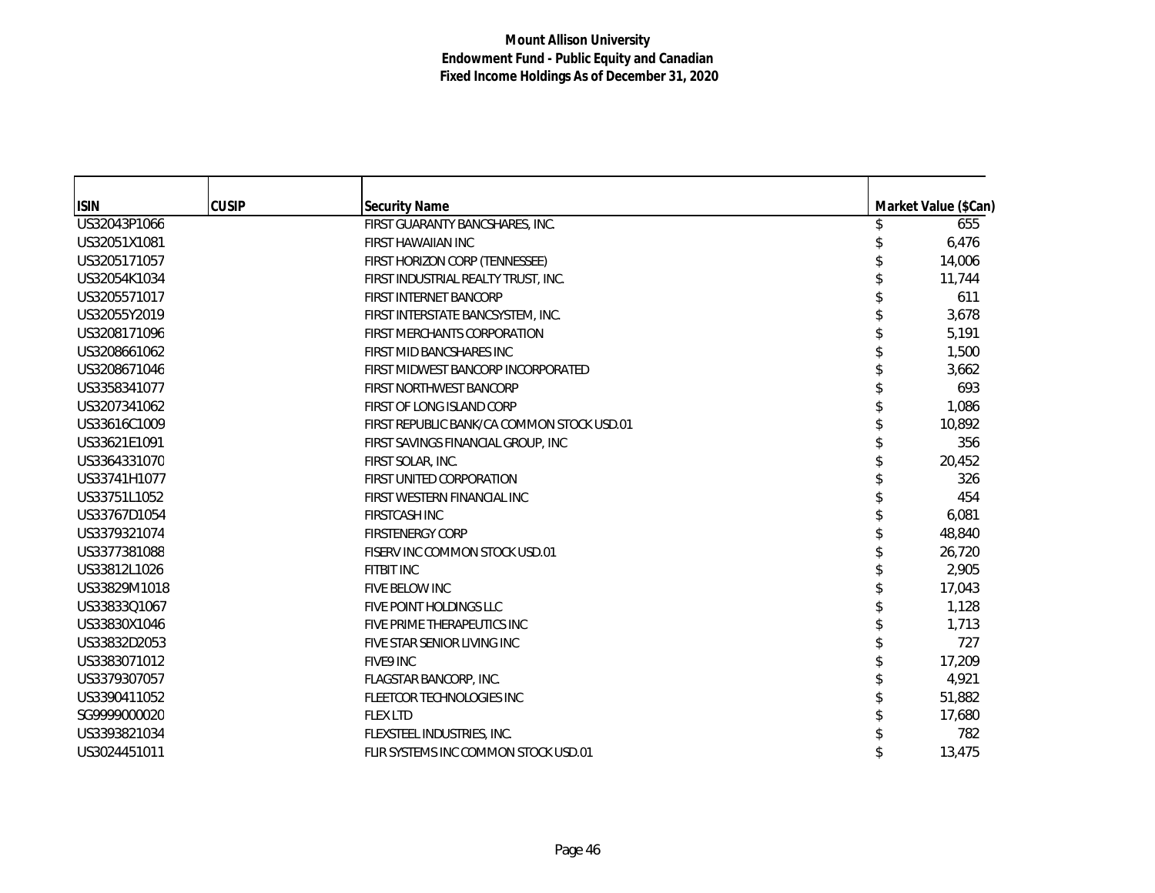| <b>ISIN</b>  | <b>CUSIP</b> | <b>Security Name</b>                       | Market Value (\$Can) |
|--------------|--------------|--------------------------------------------|----------------------|
| US32043P1066 |              | FIRST GUARANTY BANCSHARES, INC.            | 655                  |
| US32051X1081 |              | <b>FIRST HAWAIIAN INC</b>                  | 6,476                |
| US3205171057 |              | FIRST HORIZON CORP (TENNESSEE)             | 14,006               |
| US32054K1034 |              | FIRST INDUSTRIAL REALTY TRUST, INC.        | 11,744               |
| US3205571017 |              | FIRST INTERNET BANCORP                     | 611                  |
| US32055Y2019 |              | FIRST INTERSTATE BANCSYSTEM, INC.          | 3,678                |
| US3208171096 |              | <b>FIRST MERCHANTS CORPORATION</b>         | 5,191                |
| US3208661062 |              | FIRST MID BANCSHARES INC                   | 1,500                |
| US3208671046 |              | FIRST MIDWEST BANCORP INCORPORATED         | 3,662                |
| US3358341077 |              | FIRST NORTHWEST BANCORP                    | 693                  |
| US3207341062 |              | FIRST OF LONG ISLAND CORP                  | 1,086                |
| US33616C1009 |              | FIRST REPUBLIC BANK/CA COMMON STOCK USD.01 | 10,892               |
| US33621E1091 |              | FIRST SAVINGS FINANCIAL GROUP, INC         | 356                  |
| US3364331070 |              | FIRST SOLAR, INC.                          | 20,452               |
| US33741H1077 |              | FIRST UNITED CORPORATION                   | 326                  |
| US33751L1052 |              | FIRST WESTERN FINANCIAL INC                | 454                  |
| US33767D1054 |              | <b>FIRSTCASH INC</b>                       | 6,081                |
| US3379321074 |              | <b>FIRSTENERGY CORP</b>                    | 48,840               |
| US3377381088 |              | FISERV INC COMMON STOCK USD.01             | 26,720               |
| US33812L1026 |              | <b>FITBIT INC</b>                          | 2,905                |
| US33829M1018 |              | FIVE BELOW INC                             | 17,043               |
| US33833Q1067 |              | FIVE POINT HOLDINGS LLC                    | 1,128                |
| US33830X1046 |              | FIVE PRIME THERAPEUTICS INC                | 1,713                |
| US33832D2053 |              | FIVE STAR SENIOR LIVING INC                | 727                  |
| US3383071012 |              | FIVE9 INC                                  | 17,209               |
| US3379307057 |              | FLAGSTAR BANCORP, INC.                     | 4,921                |
| US3390411052 |              | <b>FLEETCOR TECHNOLOGIES INC</b>           | 51,882               |
| SG9999000020 |              | <b>FLEX LTD</b>                            | 17,680               |
| US3393821034 |              | FLEXSTEEL INDUSTRIES, INC.                 | 782                  |
| US3024451011 |              | FLIR SYSTEMS INC COMMON STOCK USD.01       | 13,475               |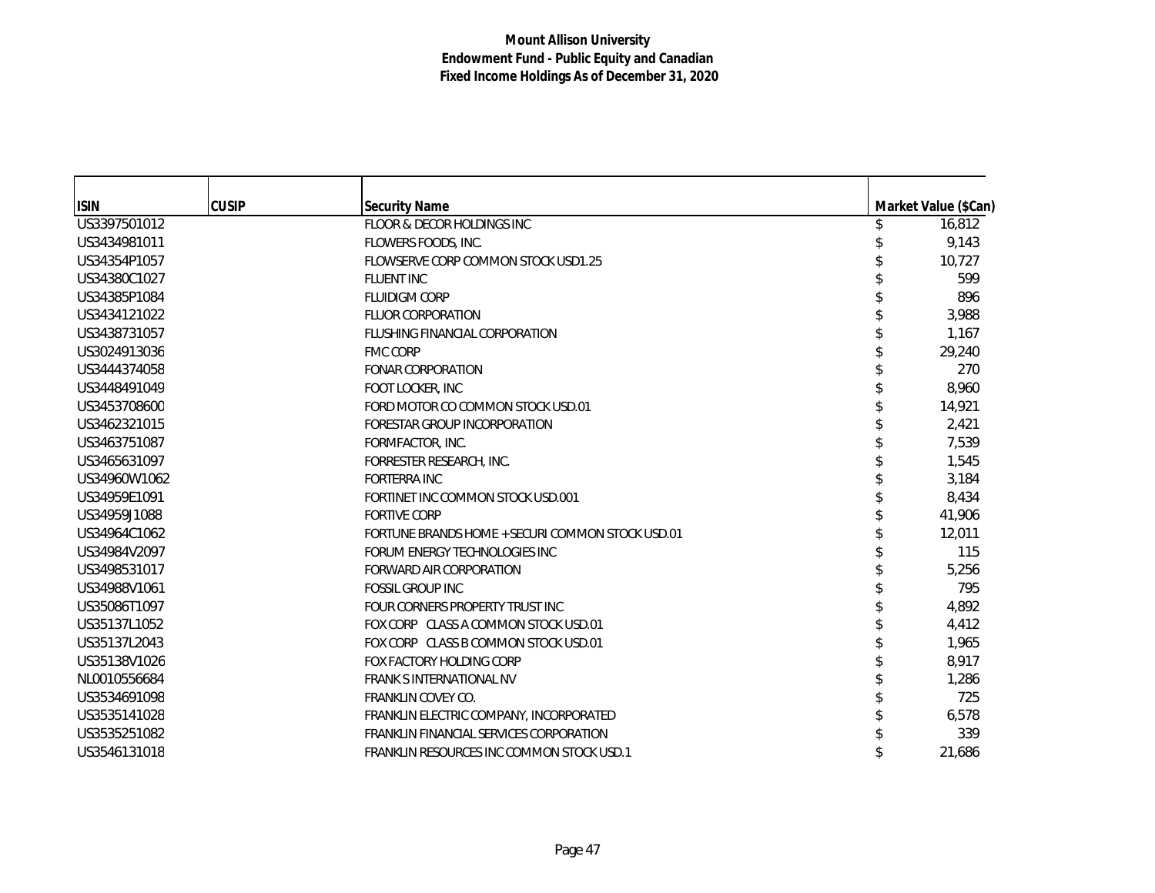| <b>ISIN</b>  | <b>CUSIP</b> | <b>Security Name</b>                             | Market Value (\$Can) |
|--------------|--------------|--------------------------------------------------|----------------------|
| US3397501012 |              | FLOOR & DECOR HOLDINGS INC                       | 16,812               |
| US3434981011 |              | FLOWERS FOODS, INC.                              | 9,143                |
| US34354P1057 |              | FLOWSERVE CORP COMMON STOCK USD1.25              | 10,727               |
| US34380C1027 |              | <b>FLUENT INC</b>                                | 599                  |
| US34385P1084 |              | <b>FLUIDIGM CORP</b>                             | 896                  |
| US3434121022 |              | <b>FLUOR CORPORATION</b>                         | 3,988                |
| US3438731057 |              | <b>FLUSHING FINANCIAL CORPORATION</b>            | 1,167                |
| US3024913036 |              | <b>FMC CORP</b>                                  | 29,240               |
| US3444374058 |              | <b>FONAR CORPORATION</b>                         | 270                  |
| US3448491049 |              | FOOT LOCKER, INC                                 | 8,960                |
| US3453708600 |              | FORD MOTOR CO COMMON STOCK USD.01                | 14,921               |
| US3462321015 |              | FORESTAR GROUP INCORPORATION                     | 2,421                |
| US3463751087 |              | FORMFACTOR, INC.                                 | 7,539                |
| US3465631097 |              | FORRESTER RESEARCH, INC.                         | 1,545                |
| US34960W1062 |              | <b>FORTERRA INC</b>                              | 3,184                |
| US34959E1091 |              | FORTINET INC COMMON STOCK USD.001                | 8,434                |
| US34959J1088 |              | <b>FORTIVE CORP</b>                              | 41,906               |
| US34964C1062 |              | FORTUNE BRANDS HOME + SECURI COMMON STOCK USD.01 | 12,011               |
| US34984V2097 |              | FORUM ENERGY TECHNOLOGIES INC                    | 115                  |
| US3498531017 |              | FORWARD AIR CORPORATION                          | 5,256                |
| US34988V1061 |              | <b>FOSSIL GROUP INC</b>                          | 795                  |
| US35086T1097 |              | FOUR CORNERS PROPERTY TRUST INC                  | 4,892                |
| US35137L1052 |              | FOX CORP CLASS A COMMON STOCK USD.01             | 4,412                |
| US35137L2043 |              | FOX CORP CLASS B COMMON STOCK USD.01             | 1,965                |
| US35138V1026 |              | FOX FACTORY HOLDING CORP                         | 8,917                |
| NL0010556684 |              | <b>FRANK SINTERNATIONAL NV</b>                   | 1,286                |
| US3534691098 |              | <b>FRANKLIN COVEY CO.</b>                        | 725                  |
| US3535141028 |              | FRANKLIN ELECTRIC COMPANY, INCORPORATED          | 6,578                |
| US3535251082 |              | FRANKLIN FINANCIAL SERVICES CORPORATION          | 339                  |
| US3546131018 |              | <b>FRANKLIN RESOURCES INC COMMON STOCK USD.1</b> | 21,686               |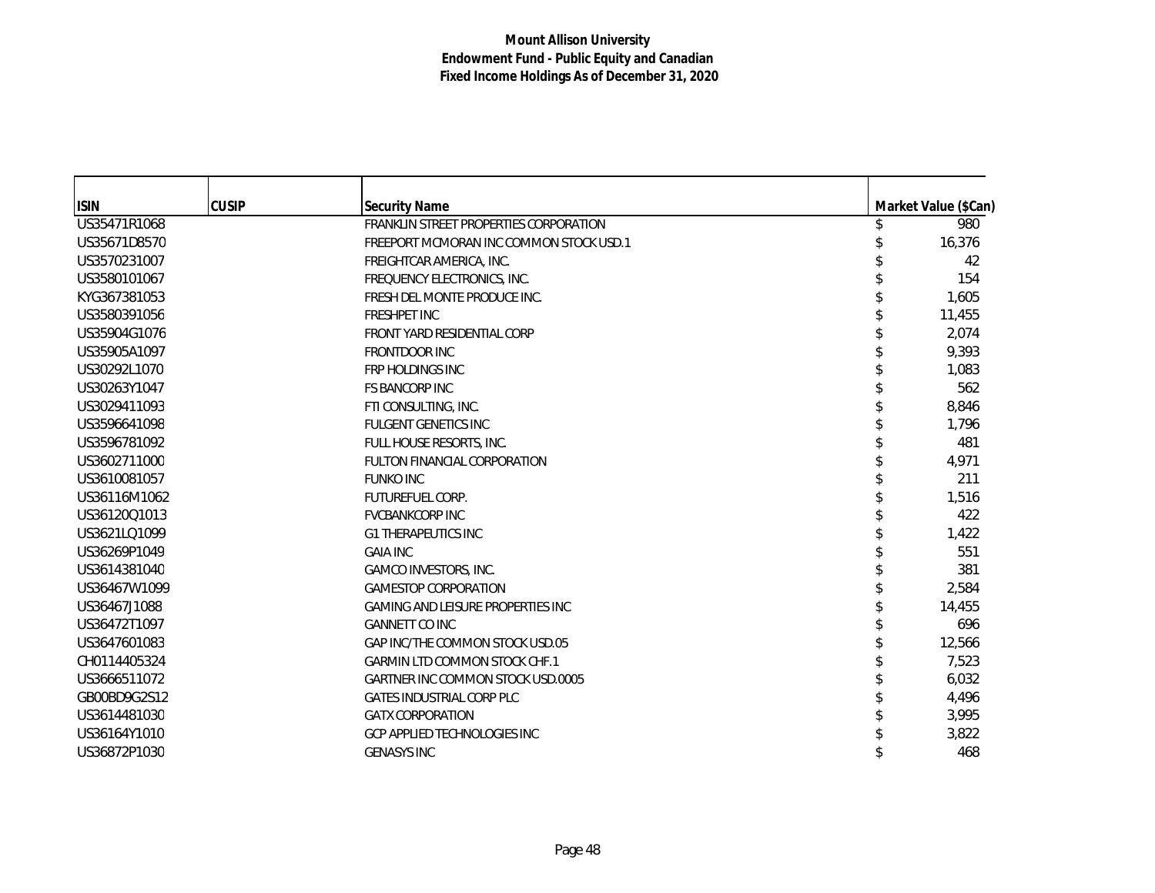| <b>ISIN</b>  | <b>CUSIP</b> | <b>Security Name</b>                     | Market Value (\$Can) |
|--------------|--------------|------------------------------------------|----------------------|
| US35471R1068 |              | FRANKLIN STREET PROPERTIES CORPORATION   | 980                  |
| US35671D8570 |              | FREEPORT MCMORAN INC COMMON STOCK USD.1  | 16,376               |
| US3570231007 |              | FREIGHTCAR AMERICA, INC.                 | 42                   |
| US3580101067 |              | FREQUENCY ELECTRONICS, INC.              | 154                  |
| KYG367381053 |              | FRESH DEL MONTE PRODUCE INC.             | 1,605                |
| US3580391056 |              | <b>FRESHPET INC</b>                      | 11,455               |
| US35904G1076 |              | FRONT YARD RESIDENTIAL CORP              | 2.074                |
| US35905A1097 |              | <b>FRONTDOOR INC</b>                     | 9,393                |
| US30292L1070 |              | FRP HOLDINGS INC                         | 1,083                |
| US30263Y1047 |              | <b>FS BANCORP INC</b>                    | 562                  |
| US3029411093 |              | FTI CONSULTING, INC.                     | 8,846                |
| US3596641098 |              | <b>FULGENT GENETICS INC</b>              | 1,796                |
| US3596781092 |              | FULL HOUSE RESORTS, INC.                 | 481                  |
| US3602711000 |              | FULTON FINANCIAL CORPORATION             | 4,971                |
| US3610081057 |              | <b>FUNKO INC</b>                         | 211                  |
| US36116M1062 |              | <b>FUTUREFUEL CORP.</b>                  | 1,516                |
| US36120Q1013 |              | <b>FVCBANKCORP INC</b>                   | 422                  |
| US3621LQ1099 |              | <b>G1 THERAPEUTICS INC</b>               | 1,422                |
| US36269P1049 |              | <b>GAIA INC</b>                          | 551                  |
| US3614381040 |              | <b>GAMCO INVESTORS, INC.</b>             | 381                  |
| US36467W1099 |              | <b>GAMESTOP CORPORATION</b>              | 2,584                |
| US36467J1088 |              | <b>GAMING AND LEISURE PROPERTIES INC</b> | 14,455               |
| US36472T1097 |              | <b>GANNETT CO INC</b>                    | 696                  |
| US3647601083 |              | GAP INC/THE COMMON STOCK USD.05          | 12,566               |
| CH0114405324 |              | <b>GARMIN LTD COMMON STOCK CHF.1</b>     | 7,523                |
| US3666511072 |              | <b>GARTNER INC COMMON STOCK USD.0005</b> | 6,032                |
| GB00BD9G2S12 |              | <b>GATES INDUSTRIAL CORP PLC</b>         | 4,496                |
| US3614481030 |              | <b>GATX CORPORATION</b>                  | 3,995                |
| US36164Y1010 |              | <b>GCP APPLIED TECHNOLOGIES INC</b>      | 3,822                |
| US36872P1030 |              | <b>GENASYS INC</b>                       | 468                  |
|              |              |                                          |                      |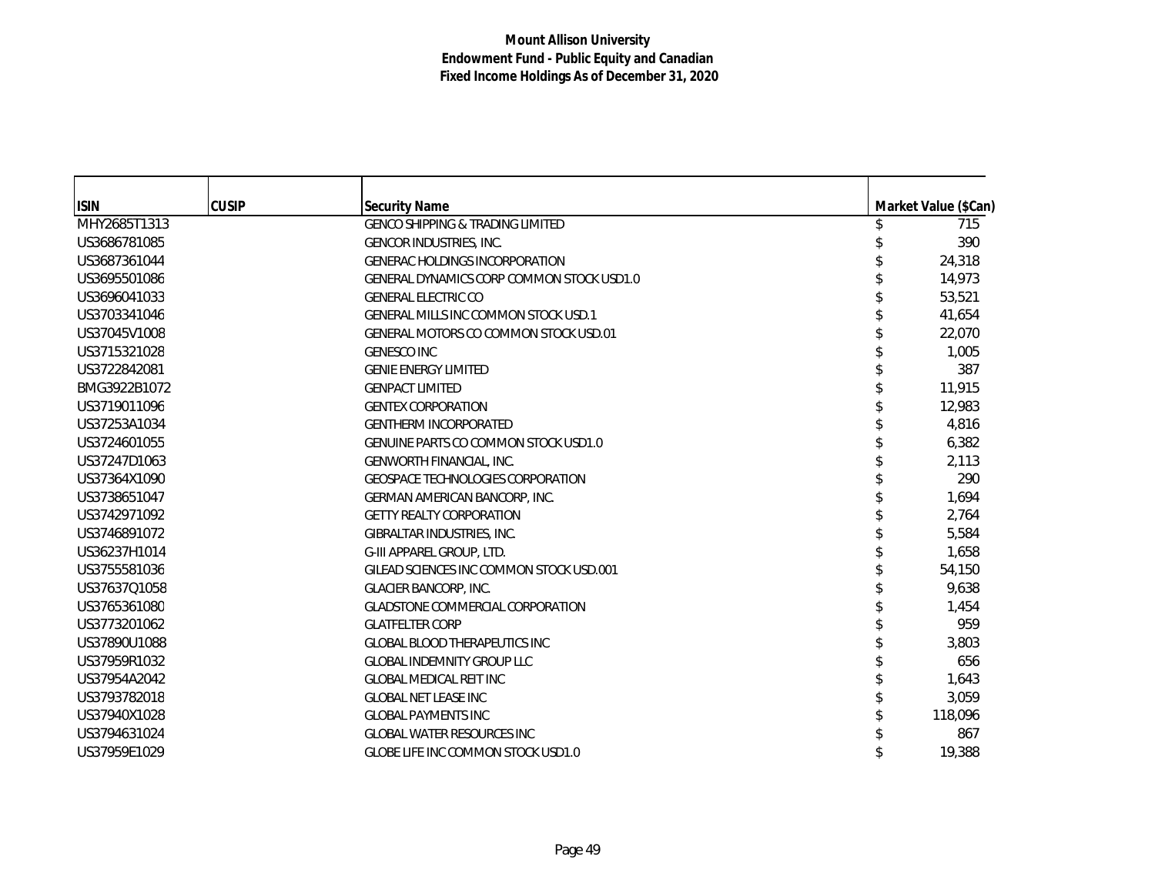| <b>ISIN</b>  | <b>CUSIP</b> | Security Name                                    | Market Value (\$Can) |
|--------------|--------------|--------------------------------------------------|----------------------|
| MHY2685T1313 |              | <b>GENCO SHIPPING &amp; TRADING LIMITED</b>      | 715                  |
| US3686781085 |              | <b>GENCOR INDUSTRIES, INC.</b>                   | 390                  |
| US3687361044 |              | <b>GENERAC HOLDINGS INCORPORATION</b>            | 24,318               |
| US3695501086 |              | <b>GENERAL DYNAMICS CORP COMMON STOCK USD1.0</b> | 14,973               |
| US3696041033 |              | <b>GENERAL ELECTRIC CO</b>                       | 53,521               |
| US3703341046 |              | <b>GENERAL MILLS INC COMMON STOCK USD.1</b>      | 41,654               |
| US37045V1008 |              | <b>GENERAL MOTORS CO COMMON STOCK USD.01</b>     | 22,070               |
| US3715321028 |              | <b>GENESCO INC</b>                               | 1,005                |
| US3722842081 |              | <b>GENIE ENERGY LIMITED</b>                      | 387                  |
| BMG3922B1072 |              | <b>GENPACT LIMITED</b>                           | 11,915               |
| US3719011096 |              | <b>GENTEX CORPORATION</b>                        | 12,983               |
| US37253A1034 |              | <b>GENTHERM INCORPORATED</b>                     | 4,816                |
| US3724601055 |              | <b>GENUINE PARTS CO COMMON STOCK USD1.0</b>      | 6,382                |
| US37247D1063 |              | GENWORTH FINANCIAL, INC.                         | 2,113                |
| US37364X1090 |              | <b>GEOSPACE TECHNOLOGIES CORPORATION</b>         | 290                  |
| US3738651047 |              | <b>GERMAN AMERICAN BANCORP, INC.</b>             | 1,694                |
| US3742971092 |              | <b>GETTY REALTY CORPORATION</b>                  | 2,764                |
| US3746891072 |              | GIBRALTAR INDUSTRIES, INC.                       | 5,584                |
| US36237H1014 |              | G-III APPAREL GROUP, LTD.                        | 1,658                |
| US3755581036 |              | GILEAD SCIENCES INC COMMON STOCK USD.001         | 54,150               |
| US37637Q1058 |              | <b>GLACIER BANCORP, INC.</b>                     | 9,638                |
| US3765361080 |              | <b>GLADSTONE COMMERCIAL CORPORATION</b>          | 1,454                |
| US3773201062 |              | <b>GLATFELTER CORP</b>                           | 959                  |
| US37890U1088 |              | <b>GLOBAL BLOOD THERAPEUTICS INC</b>             | 3,803                |
| US37959R1032 |              | <b>GLOBAL INDEMNITY GROUP LLC</b>                | 656                  |
| US37954A2042 |              | <b>GLOBAL MEDICAL REIT INC</b>                   | 1,643                |
| US3793782018 |              | <b>GLOBAL NET LEASE INC</b>                      | 3,059                |
| US37940X1028 |              | <b>GLOBAL PAYMENTS INC</b>                       | 118,096              |
| US3794631024 |              | <b>GLOBAL WATER RESOURCES INC</b>                | 867                  |
| US37959E1029 |              | <b>GLOBE LIFE INC COMMON STOCK USD1.0</b>        | 19,388               |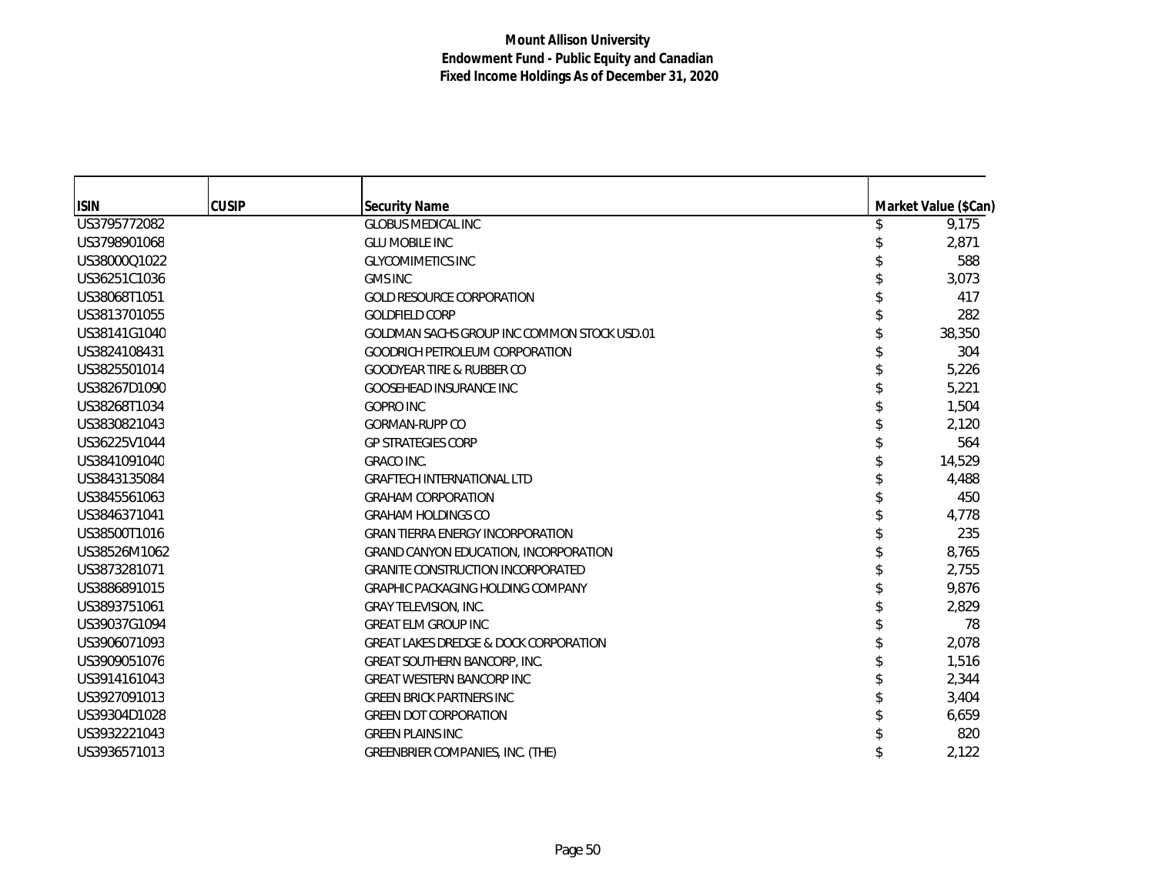| <b>ISIN</b>  | <b>CUSIP</b> | <b>Security Name</b>                             | Market Value (\$Can) |
|--------------|--------------|--------------------------------------------------|----------------------|
| US3795772082 |              | <b>GLOBUS MEDICAL INC</b>                        | 9,175                |
| US3798901068 |              | <b>GLU MOBILE INC</b>                            | 2,871                |
| US38000Q1022 |              | <b>GLYCOMIMETICS INC</b>                         | 588                  |
| US36251C1036 |              | <b>GMS INC</b>                                   | 3,073                |
| US38068T1051 |              | <b>GOLD RESOURCE CORPORATION</b>                 | 417                  |
| US3813701055 |              | <b>GOLDFIELD CORP</b>                            | 282                  |
| US38141G1040 |              | GOLDMAN SACHS GROUP INC COMMON STOCK USD.01      | 38,350               |
| US3824108431 |              | <b>GOODRICH PETROLEUM CORPORATION</b>            | 304                  |
| US3825501014 |              | <b>GOODYEAR TIRE &amp; RUBBER CO</b>             | 5,226                |
| US38267D1090 |              | <b>GOOSEHEAD INSURANCE INC</b>                   | 5,221                |
| US38268T1034 |              | <b>GOPRO INC</b>                                 | 1,504                |
| US3830821043 |              | <b>GORMAN-RUPP CO</b>                            | 2,120                |
| US36225V1044 |              | <b>GP STRATEGIES CORP</b>                        | 564                  |
| US3841091040 |              | <b>GRACO INC.</b>                                | 14,529               |
| US3843135084 |              | <b>GRAFTECH INTERNATIONAL LTD</b>                | 4,488                |
| US3845561063 |              | <b>GRAHAM CORPORATION</b>                        | 450                  |
| US3846371041 |              | <b>GRAHAM HOLDINGS CO</b>                        | 4,778                |
| US38500T1016 |              | <b>GRAN TIERRA ENERGY INCORPORATION</b>          | 235                  |
| US38526M1062 |              | <b>GRAND CANYON EDUCATION, INCORPORATION</b>     | 8,765                |
| US3873281071 |              | <b>GRANITE CONSTRUCTION INCORPORATED</b>         | 2,755                |
| US3886891015 |              | GRAPHIC PACKAGING HOLDING COMPANY                | 9.876                |
| US3893751061 |              | <b>GRAY TELEVISION, INC.</b>                     | 2,829                |
| US39037G1094 |              | <b>GREAT ELM GROUP INC</b>                       | 78                   |
| US3906071093 |              | <b>GREAT LAKES DREDGE &amp; DOCK CORPORATION</b> | 2,078                |
| US3909051076 |              | <b>GREAT SOUTHERN BANCORP, INC.</b>              | 1,516                |
| US3914161043 |              | <b>GREAT WESTERN BANCORP INC</b>                 | 2,344                |
| US3927091013 |              | <b>GREEN BRICK PARTNERS INC</b>                  | 3,404                |
| US39304D1028 |              | <b>GREEN DOT CORPORATION</b>                     | 6,659                |
| US3932221043 |              | <b>GREEN PLAINS INC</b>                          | 820                  |
| US3936571013 |              | GREENBRIER COMPANIES, INC. (THE)                 | 2,122                |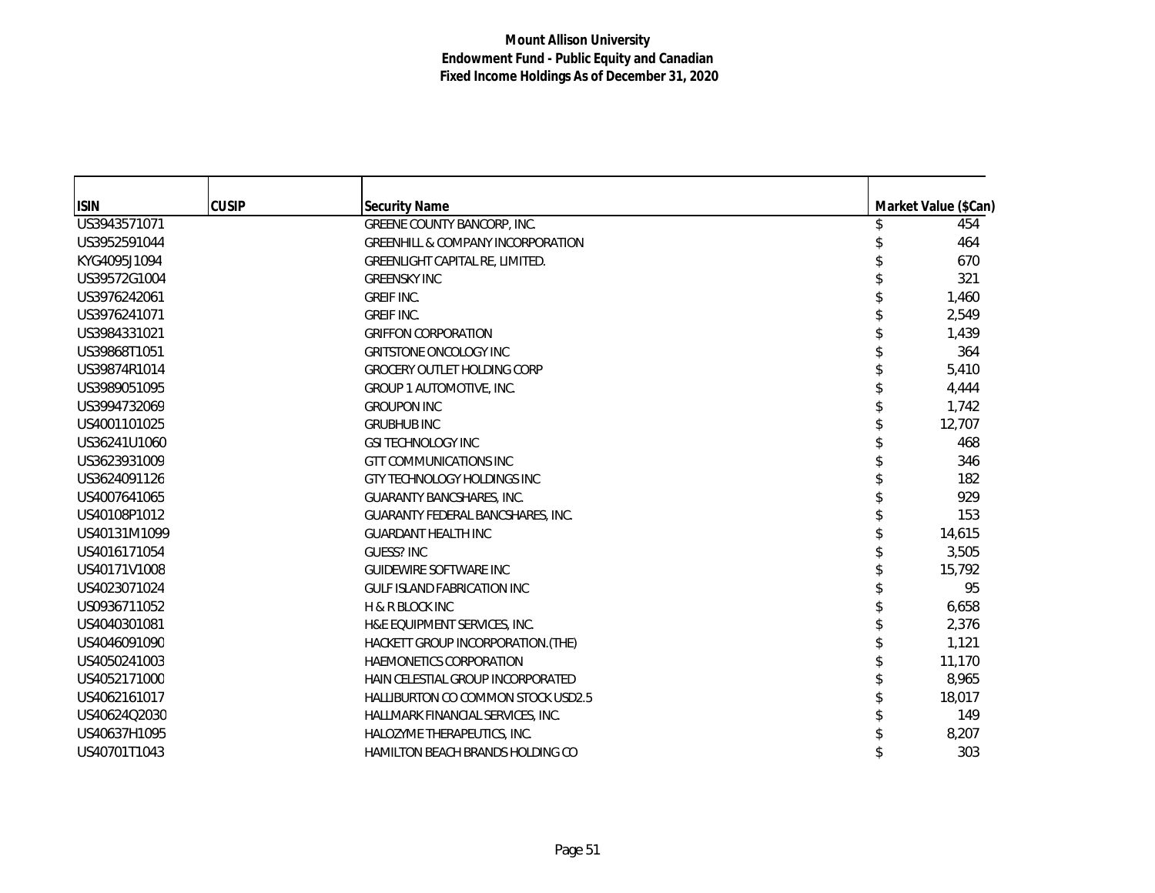| <b>ISIN</b>  | <b>CUSIP</b> | <b>Security Name</b>                         | Market Value (\$Can) |
|--------------|--------------|----------------------------------------------|----------------------|
| US3943571071 |              | <b>GREENE COUNTY BANCORP, INC.</b>           | 454                  |
| US3952591044 |              | <b>GREENHILL &amp; COMPANY INCORPORATION</b> | 464                  |
| KYG4095J1094 |              | GREENLIGHT CAPITAL RE, LIMITED.              | 670                  |
| US39572G1004 |              | <b>GREENSKY INC</b>                          | 321                  |
| US3976242061 |              | <b>GREIF INC.</b>                            | 1,460                |
| US3976241071 |              | <b>GREIF INC.</b>                            | 2,549                |
| US3984331021 |              | <b>GRIFFON CORPORATION</b>                   | 1,439                |
| US39868T1051 |              | <b>GRITSTONE ONCOLOGY INC</b>                | 364                  |
| US39874R1014 |              | <b>GROCERY OUTLET HOLDING CORP</b>           | 5,410                |
| US3989051095 |              | GROUP 1 AUTOMOTIVE, INC.                     | 4,444                |
| US3994732069 |              | <b>GROUPON INC</b>                           | 1,742                |
| US4001101025 |              | <b>GRUBHUB INC</b>                           | 12,707               |
| US36241U1060 |              | <b>GSI TECHNOLOGY INC</b>                    | 468                  |
| US3623931009 |              | <b>GTT COMMUNICATIONS INC</b>                | 346                  |
| US3624091126 |              | GTY TECHNOLOGY HOLDINGS INC                  | 182                  |
| US4007641065 |              | <b>GUARANTY BANCSHARES, INC.</b>             | 929                  |
| US40108P1012 |              | GUARANTY FEDERAL BANCSHARES, INC.            | 153                  |
| US40131M1099 |              | <b>GUARDANT HEALTH INC</b>                   | 14,615               |
| US4016171054 |              | <b>GUESS? INC</b>                            | 3,505                |
| US40171V1008 |              | <b>GUIDEWIRE SOFTWARE INC</b>                | 15,792               |
| US4023071024 |              | <b>GULF ISLAND FABRICATION INC</b>           | 95                   |
| US0936711052 |              | <b>H &amp; R BLOCK INC</b>                   | 6,658                |
| US4040301081 |              | H&E EQUIPMENT SERVICES, INC.                 | 2,376                |
| US4046091090 |              | HACKETT GROUP INCORPORATION. (THE)           | 1,121                |
| US4050241003 |              | <b>HAEMONETICS CORPORATION</b>               | 11,170               |
| US4052171000 |              | HAIN CELESTIAL GROUP INCORPORATED            | 8,965                |
| US4062161017 |              | <b>HALLIBURTON CO COMMON STOCK USD2.5</b>    | 18,017               |
| US40624Q2030 |              | HALLMARK FINANCIAL SERVICES, INC.            | 149                  |
| US40637H1095 |              | HALOZYME THERAPEUTICS, INC.                  | 8,207                |
| US40701T1043 |              | <b>HAMILTON BEACH BRANDS HOLDING CO</b>      | 303                  |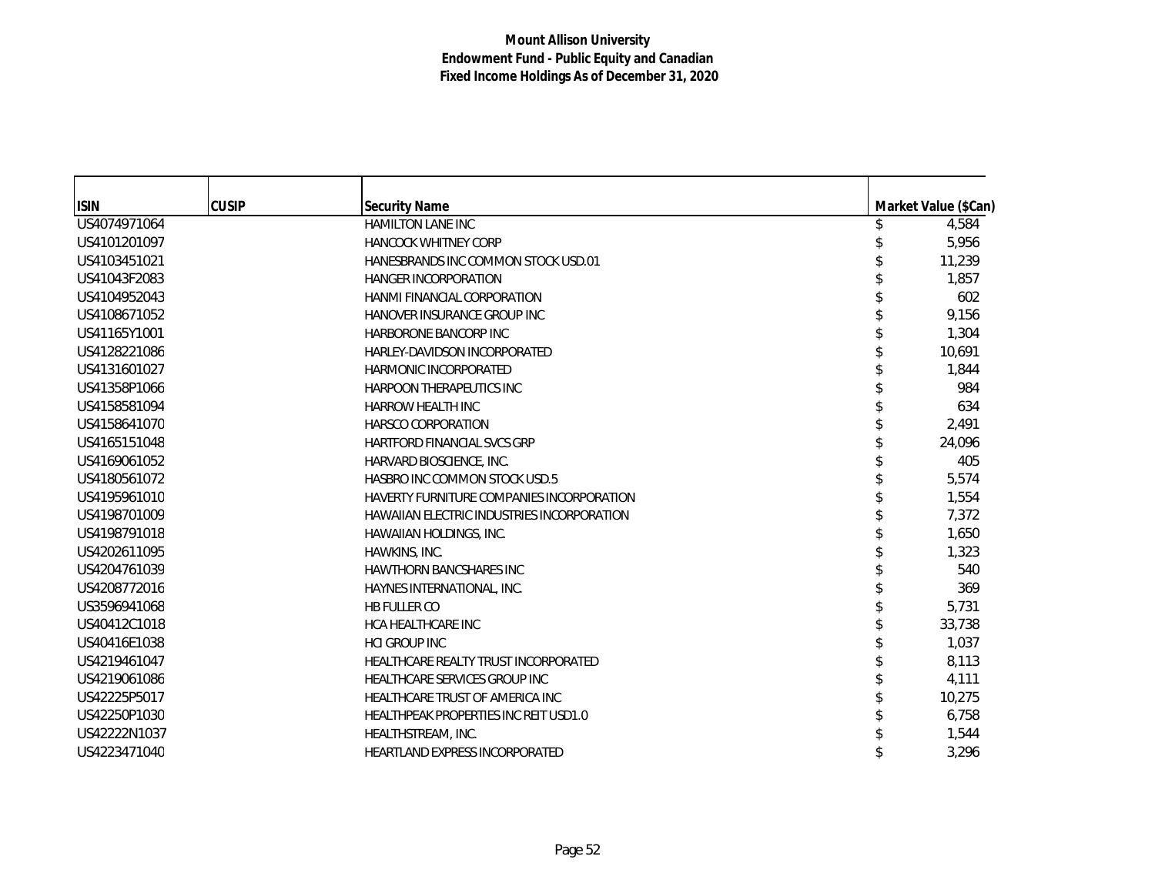| <b>ISIN</b>  | <b>CUSIP</b> | <b>Security Name</b>                              | Market Value (\$Can) |
|--------------|--------------|---------------------------------------------------|----------------------|
| US4074971064 |              | HAMILTON LANE INC                                 | 4,584                |
| US4101201097 |              | <b>HANCOCK WHITNEY CORP</b>                       | 5,956                |
| US4103451021 |              | HANESBRANDS INC COMMON STOCK USD.01               | 11,239               |
| US41043F2083 |              | <b>HANGER INCORPORATION</b>                       | 1,857                |
| US4104952043 |              | <b>HANMI FINANCIAL CORPORATION</b>                | 602                  |
| US4108671052 |              | HANOVER INSURANCE GROUP INC                       | 9,156                |
| US41165Y1001 |              | <b>HARBORONE BANCORP INC</b>                      | 1,304                |
| US4128221086 |              | HARLEY-DAVIDSON INCORPORATED                      | 10,691               |
| US4131601027 |              | HARMONIC INCORPORATED                             | 1,844                |
| US41358P1066 |              | HARPOON THERAPEUTICS INC                          | 984                  |
| US4158581094 |              | <b>HARROW HEALTH INC</b>                          | 634                  |
| US4158641070 |              | <b>HARSCO CORPORATION</b>                         | 2,491                |
| US4165151048 |              | <b>HARTFORD FINANCIAL SVCS GRP</b>                | 24,096               |
| US4169061052 |              | HARVARD BIOSCIENCE, INC.                          | 405                  |
| US4180561072 |              | <b>HASBRO INC COMMON STOCK USD.5</b>              | 5,574                |
| US4195961010 |              | HAVERTY FURNITURE COMPANIES INCORPORATION         | 1,554                |
| US4198701009 |              | <b>HAWAIIAN ELECTRIC INDUSTRIES INCORPORATION</b> | 7,372                |
| US4198791018 |              | HAWAIIAN HOLDINGS, INC.                           | 1,650                |
| US4202611095 |              | HAWKINS, INC.                                     | 1,323                |
| US4204761039 |              | <b>HAWTHORN BANCSHARES INC</b>                    | 540                  |
| US4208772016 |              | HAYNES INTERNATIONAL, INC.                        | 369                  |
| US3596941068 |              | HB FULLER CO                                      | 5,731                |
| US40412C1018 |              | <b>HCA HEALTHCARE INC</b>                         | 33,738               |
| US40416E1038 |              | <b>HCI GROUP INC</b>                              | 1,037                |
| US4219461047 |              | HEALTHCARE REALTY TRUST INCORPORATED              | 8,113                |
| US4219061086 |              | <b>HEALTHCARE SERVICES GROUP INC</b>              | 4,111                |
| US42225P5017 |              | HEALTHCARE TRUST OF AMERICA INC                   | 10,275               |
| US42250P1030 |              | HEALTHPEAK PROPERTIES INC REIT USD1.0             | 6,758                |
| US42222N1037 |              | HEALTHSTREAM, INC.                                | 1,544                |
| US4223471040 |              | <b>HEARTLAND EXPRESS INCORPORATED</b>             | 3,296                |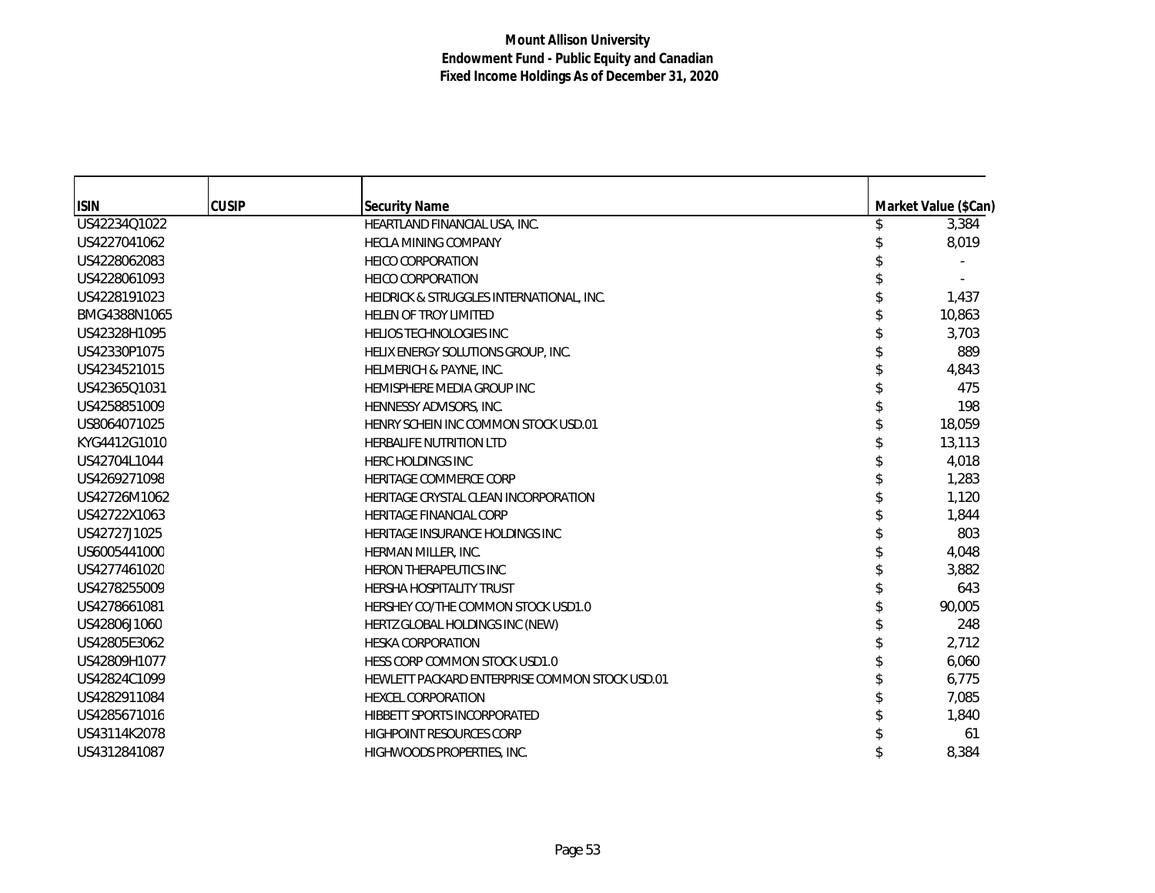| <b>CUSIP</b><br><b>ISIN</b><br><b>Security Name</b><br>Market Value (\$Can)<br>US42234Q1022<br>HEARTLAND FINANCIAL USA, INC.<br>3,384<br>US4227041062<br>8,019<br><b>HECLA MINING COMPANY</b><br>US4228062083<br><b>HEICO CORPORATION</b><br>US4228061093<br><b>HEICO CORPORATION</b><br>US4228191023<br>1,437<br>HEIDRICK & STRUGGLES INTERNATIONAL, INC.<br>BMG4388N1065<br>10,863<br><b>HELEN OF TROY LIMITED</b><br>US42328H1095<br><b>HELIOS TECHNOLOGIES INC</b><br>3,703<br>US42330P1075<br>889<br>HELIX ENERGY SOLUTIONS GROUP, INC.<br>US4234521015<br>4,843<br>HELMERICH & PAYNE, INC.<br>US4236501031<br>475<br>HEMISPHERE MEDIA GROUP INC<br>198<br>US4258851009<br>HENNESSY ADVISORS, INC.<br>US8064071025<br>18,059<br>HENRY SCHEIN INC COMMON STOCK USD.01<br>KYG4412G1010<br>13,113<br><b>HERBALIFE NUTRITION LTD</b><br>US42704L1044<br>4,018<br><b>HERC HOLDINGS INC</b><br>US4269271098<br>1,283<br><b>HERITAGE COMMERCE CORP</b><br>1,120<br>US42726M1062<br>HERITAGE CRYSTAL CLEAN INCORPORATION<br>US42722X1063<br><b>HERITAGE FINANCIAL CORP</b><br>1,844<br>US42727J1025<br>803<br><b>HERITAGE INSURANCE HOLDINGS INC</b><br>US6005441000<br>4,048<br>HERMAN MILLER, INC.<br>US4277461020<br>3,882<br><b>HERON THERAPEUTICS INC</b><br>643<br>US4278255009<br><b>HERSHA HOSPITALITY TRUST</b><br>US4278661081<br>90,005<br>HERSHEY CO/THE COMMON STOCK USD1.0<br>US42806J1060<br>248<br>HERTZ GLOBAL HOLDINGS INC (NEW)<br>2,712<br>US42805E3062<br><b>HESKA CORPORATION</b><br>US42809H1077<br>6,060<br>HESS CORP COMMON STOCK USD1.0<br>US42824C1099<br>HEWLETT PACKARD ENTERPRISE COMMON STOCK USD.01<br>6,775<br>US4282911084<br>7,085<br><b>HEXCEL CORPORATION</b><br>US4285671016<br>1,840<br>HIBBETT SPORTS INCORPORATED<br>US43114K2078<br><b>HIGHPOINT RESOURCES CORP</b><br>61 |              |                            |       |
|------------------------------------------------------------------------------------------------------------------------------------------------------------------------------------------------------------------------------------------------------------------------------------------------------------------------------------------------------------------------------------------------------------------------------------------------------------------------------------------------------------------------------------------------------------------------------------------------------------------------------------------------------------------------------------------------------------------------------------------------------------------------------------------------------------------------------------------------------------------------------------------------------------------------------------------------------------------------------------------------------------------------------------------------------------------------------------------------------------------------------------------------------------------------------------------------------------------------------------------------------------------------------------------------------------------------------------------------------------------------------------------------------------------------------------------------------------------------------------------------------------------------------------------------------------------------------------------------------------------------------------------------------------------------------------------------------------------------------------------------------------------------------------------------------------------|--------------|----------------------------|-------|
|                                                                                                                                                                                                                                                                                                                                                                                                                                                                                                                                                                                                                                                                                                                                                                                                                                                                                                                                                                                                                                                                                                                                                                                                                                                                                                                                                                                                                                                                                                                                                                                                                                                                                                                                                                                                                  |              |                            |       |
|                                                                                                                                                                                                                                                                                                                                                                                                                                                                                                                                                                                                                                                                                                                                                                                                                                                                                                                                                                                                                                                                                                                                                                                                                                                                                                                                                                                                                                                                                                                                                                                                                                                                                                                                                                                                                  |              |                            |       |
|                                                                                                                                                                                                                                                                                                                                                                                                                                                                                                                                                                                                                                                                                                                                                                                                                                                                                                                                                                                                                                                                                                                                                                                                                                                                                                                                                                                                                                                                                                                                                                                                                                                                                                                                                                                                                  |              |                            |       |
|                                                                                                                                                                                                                                                                                                                                                                                                                                                                                                                                                                                                                                                                                                                                                                                                                                                                                                                                                                                                                                                                                                                                                                                                                                                                                                                                                                                                                                                                                                                                                                                                                                                                                                                                                                                                                  |              |                            |       |
|                                                                                                                                                                                                                                                                                                                                                                                                                                                                                                                                                                                                                                                                                                                                                                                                                                                                                                                                                                                                                                                                                                                                                                                                                                                                                                                                                                                                                                                                                                                                                                                                                                                                                                                                                                                                                  |              |                            |       |
|                                                                                                                                                                                                                                                                                                                                                                                                                                                                                                                                                                                                                                                                                                                                                                                                                                                                                                                                                                                                                                                                                                                                                                                                                                                                                                                                                                                                                                                                                                                                                                                                                                                                                                                                                                                                                  |              |                            |       |
|                                                                                                                                                                                                                                                                                                                                                                                                                                                                                                                                                                                                                                                                                                                                                                                                                                                                                                                                                                                                                                                                                                                                                                                                                                                                                                                                                                                                                                                                                                                                                                                                                                                                                                                                                                                                                  |              |                            |       |
|                                                                                                                                                                                                                                                                                                                                                                                                                                                                                                                                                                                                                                                                                                                                                                                                                                                                                                                                                                                                                                                                                                                                                                                                                                                                                                                                                                                                                                                                                                                                                                                                                                                                                                                                                                                                                  |              |                            |       |
|                                                                                                                                                                                                                                                                                                                                                                                                                                                                                                                                                                                                                                                                                                                                                                                                                                                                                                                                                                                                                                                                                                                                                                                                                                                                                                                                                                                                                                                                                                                                                                                                                                                                                                                                                                                                                  |              |                            |       |
|                                                                                                                                                                                                                                                                                                                                                                                                                                                                                                                                                                                                                                                                                                                                                                                                                                                                                                                                                                                                                                                                                                                                                                                                                                                                                                                                                                                                                                                                                                                                                                                                                                                                                                                                                                                                                  |              |                            |       |
|                                                                                                                                                                                                                                                                                                                                                                                                                                                                                                                                                                                                                                                                                                                                                                                                                                                                                                                                                                                                                                                                                                                                                                                                                                                                                                                                                                                                                                                                                                                                                                                                                                                                                                                                                                                                                  |              |                            |       |
|                                                                                                                                                                                                                                                                                                                                                                                                                                                                                                                                                                                                                                                                                                                                                                                                                                                                                                                                                                                                                                                                                                                                                                                                                                                                                                                                                                                                                                                                                                                                                                                                                                                                                                                                                                                                                  |              |                            |       |
|                                                                                                                                                                                                                                                                                                                                                                                                                                                                                                                                                                                                                                                                                                                                                                                                                                                                                                                                                                                                                                                                                                                                                                                                                                                                                                                                                                                                                                                                                                                                                                                                                                                                                                                                                                                                                  |              |                            |       |
|                                                                                                                                                                                                                                                                                                                                                                                                                                                                                                                                                                                                                                                                                                                                                                                                                                                                                                                                                                                                                                                                                                                                                                                                                                                                                                                                                                                                                                                                                                                                                                                                                                                                                                                                                                                                                  |              |                            |       |
|                                                                                                                                                                                                                                                                                                                                                                                                                                                                                                                                                                                                                                                                                                                                                                                                                                                                                                                                                                                                                                                                                                                                                                                                                                                                                                                                                                                                                                                                                                                                                                                                                                                                                                                                                                                                                  |              |                            |       |
|                                                                                                                                                                                                                                                                                                                                                                                                                                                                                                                                                                                                                                                                                                                                                                                                                                                                                                                                                                                                                                                                                                                                                                                                                                                                                                                                                                                                                                                                                                                                                                                                                                                                                                                                                                                                                  |              |                            |       |
|                                                                                                                                                                                                                                                                                                                                                                                                                                                                                                                                                                                                                                                                                                                                                                                                                                                                                                                                                                                                                                                                                                                                                                                                                                                                                                                                                                                                                                                                                                                                                                                                                                                                                                                                                                                                                  |              |                            |       |
|                                                                                                                                                                                                                                                                                                                                                                                                                                                                                                                                                                                                                                                                                                                                                                                                                                                                                                                                                                                                                                                                                                                                                                                                                                                                                                                                                                                                                                                                                                                                                                                                                                                                                                                                                                                                                  |              |                            |       |
|                                                                                                                                                                                                                                                                                                                                                                                                                                                                                                                                                                                                                                                                                                                                                                                                                                                                                                                                                                                                                                                                                                                                                                                                                                                                                                                                                                                                                                                                                                                                                                                                                                                                                                                                                                                                                  |              |                            |       |
|                                                                                                                                                                                                                                                                                                                                                                                                                                                                                                                                                                                                                                                                                                                                                                                                                                                                                                                                                                                                                                                                                                                                                                                                                                                                                                                                                                                                                                                                                                                                                                                                                                                                                                                                                                                                                  |              |                            |       |
|                                                                                                                                                                                                                                                                                                                                                                                                                                                                                                                                                                                                                                                                                                                                                                                                                                                                                                                                                                                                                                                                                                                                                                                                                                                                                                                                                                                                                                                                                                                                                                                                                                                                                                                                                                                                                  |              |                            |       |
|                                                                                                                                                                                                                                                                                                                                                                                                                                                                                                                                                                                                                                                                                                                                                                                                                                                                                                                                                                                                                                                                                                                                                                                                                                                                                                                                                                                                                                                                                                                                                                                                                                                                                                                                                                                                                  |              |                            |       |
|                                                                                                                                                                                                                                                                                                                                                                                                                                                                                                                                                                                                                                                                                                                                                                                                                                                                                                                                                                                                                                                                                                                                                                                                                                                                                                                                                                                                                                                                                                                                                                                                                                                                                                                                                                                                                  |              |                            |       |
|                                                                                                                                                                                                                                                                                                                                                                                                                                                                                                                                                                                                                                                                                                                                                                                                                                                                                                                                                                                                                                                                                                                                                                                                                                                                                                                                                                                                                                                                                                                                                                                                                                                                                                                                                                                                                  |              |                            |       |
|                                                                                                                                                                                                                                                                                                                                                                                                                                                                                                                                                                                                                                                                                                                                                                                                                                                                                                                                                                                                                                                                                                                                                                                                                                                                                                                                                                                                                                                                                                                                                                                                                                                                                                                                                                                                                  |              |                            |       |
|                                                                                                                                                                                                                                                                                                                                                                                                                                                                                                                                                                                                                                                                                                                                                                                                                                                                                                                                                                                                                                                                                                                                                                                                                                                                                                                                                                                                                                                                                                                                                                                                                                                                                                                                                                                                                  |              |                            |       |
|                                                                                                                                                                                                                                                                                                                                                                                                                                                                                                                                                                                                                                                                                                                                                                                                                                                                                                                                                                                                                                                                                                                                                                                                                                                                                                                                                                                                                                                                                                                                                                                                                                                                                                                                                                                                                  |              |                            |       |
|                                                                                                                                                                                                                                                                                                                                                                                                                                                                                                                                                                                                                                                                                                                                                                                                                                                                                                                                                                                                                                                                                                                                                                                                                                                                                                                                                                                                                                                                                                                                                                                                                                                                                                                                                                                                                  |              |                            |       |
|                                                                                                                                                                                                                                                                                                                                                                                                                                                                                                                                                                                                                                                                                                                                                                                                                                                                                                                                                                                                                                                                                                                                                                                                                                                                                                                                                                                                                                                                                                                                                                                                                                                                                                                                                                                                                  |              |                            |       |
|                                                                                                                                                                                                                                                                                                                                                                                                                                                                                                                                                                                                                                                                                                                                                                                                                                                                                                                                                                                                                                                                                                                                                                                                                                                                                                                                                                                                                                                                                                                                                                                                                                                                                                                                                                                                                  |              |                            |       |
|                                                                                                                                                                                                                                                                                                                                                                                                                                                                                                                                                                                                                                                                                                                                                                                                                                                                                                                                                                                                                                                                                                                                                                                                                                                                                                                                                                                                                                                                                                                                                                                                                                                                                                                                                                                                                  | US4312841087 | HIGHWOODS PROPERTIES, INC. | 8,384 |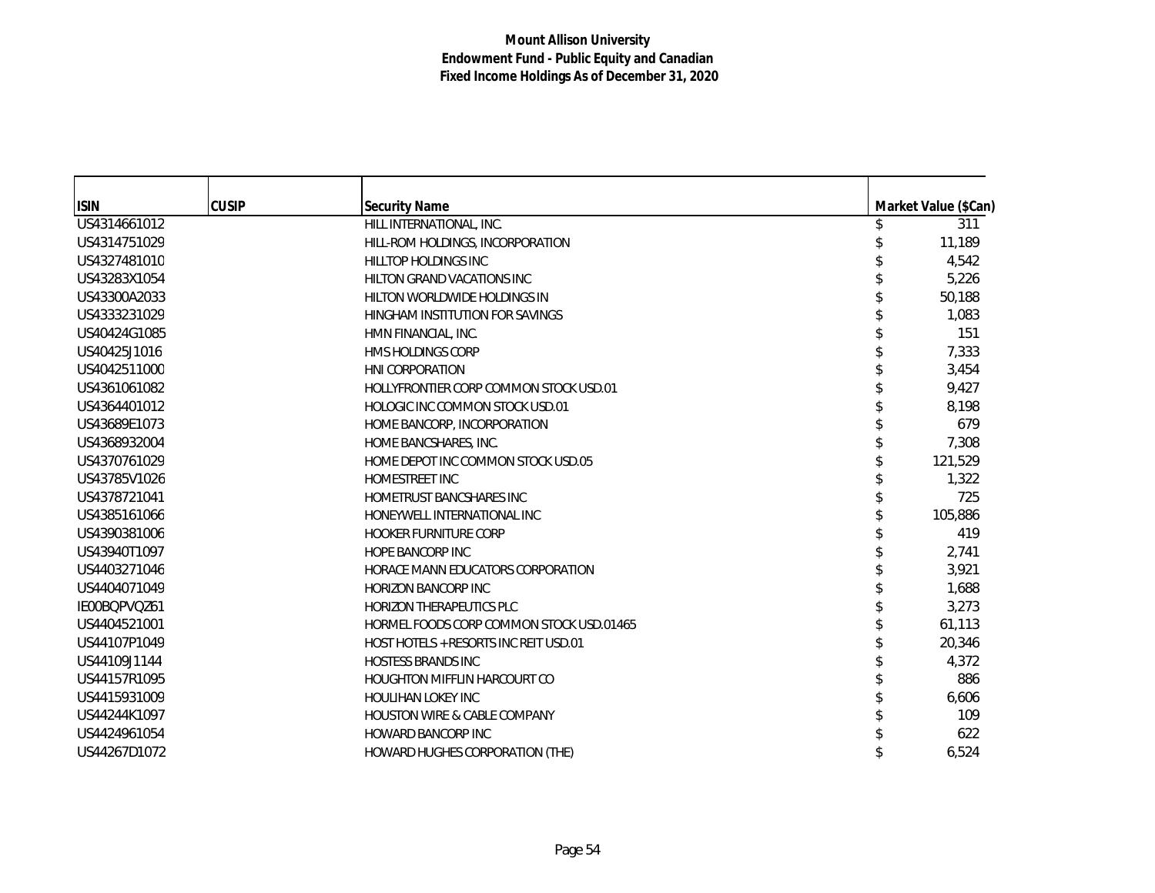| <b>ISIN</b>  | <b>CUSIP</b> | <b>Security Name</b>                     | Market Value (\$Can) |
|--------------|--------------|------------------------------------------|----------------------|
| US4314661012 |              | HILL INTERNATIONAL, INC.                 | 311                  |
| US4314751029 |              | HILL-ROM HOLDINGS, INCORPORATION         | 11,189               |
| US4327481010 |              | HILLTOP HOLDINGS INC                     | 4,542                |
| US43283X1054 |              | <b>HILTON GRAND VACATIONS INC</b>        | 5,226                |
| US43300A2033 |              | HILTON WORLDWIDE HOLDINGS IN             | 50,188               |
| US4333231029 |              | HINGHAM INSTITUTION FOR SAVINGS          | 1,083                |
| US40424G1085 |              | HMN FINANCIAL, INC.                      | 151                  |
| US40425J1016 |              | <b>HMS HOLDINGS CORP</b>                 | 7,333                |
| US4042511000 |              | <b>HNI CORPORATION</b>                   | 3,454                |
| US4361061082 |              | HOLLYFRONTIER CORP COMMON STOCK USD.01   | 9,427                |
| US4364401012 |              | HOLOGIC INC COMMON STOCK USD.01          | 8.198                |
| US43689E1073 |              | HOME BANCORP, INCORPORATION              | 679                  |
| US4368932004 |              | HOME BANCSHARES, INC.                    | 7,308                |
| US4370761029 |              | HOME DEPOT INC COMMON STOCK USD.05       | 121,529              |
| US43785V1026 |              | HOMESTREET INC                           | 1,322                |
| US4378721041 |              | HOMETRUST BANCSHARES INC                 | 725                  |
| US4385161066 |              | HONEYWELL INTERNATIONAL INC              | 105,886              |
| US4390381006 |              | <b>HOOKER FURNITURE CORP</b>             | 419                  |
| US43940T1097 |              | <b>HOPE BANCORP INC</b>                  | 2,741                |
| US4403271046 |              | HORACE MANN EDUCATORS CORPORATION        | 3,921                |
| US4404071049 |              | <b>HORIZON BANCORP INC</b>               | 1,688                |
| IE00BQPVQZ61 |              | <b>HORIZON THERAPEUTICS PLC</b>          | 3,273                |
| US4404521001 |              | HORMEL FOODS CORP COMMON STOCK USD.01465 | 61,113               |
| US44107P1049 |              | HOST HOTELS + RESORTS INC REIT USD.01    | 20,346               |
| US44109J1144 |              | <b>HOSTESS BRANDS INC</b>                | 4,372                |
| US44157R1095 |              | <b>HOUGHTON MIFFLIN HARCOURT CO</b>      | 886                  |
| US4415931009 |              | <b>HOULIHAN LOKEY INC</b>                | 6,606                |
| US44244K1097 |              | <b>HOUSTON WIRE &amp; CABLE COMPANY</b>  | 109                  |
| US4424961054 |              | <b>HOWARD BANCORP INC</b>                | 622                  |
| US44267D1072 |              | HOWARD HUGHES CORPORATION (THE)          | 6,524                |
|              |              |                                          |                      |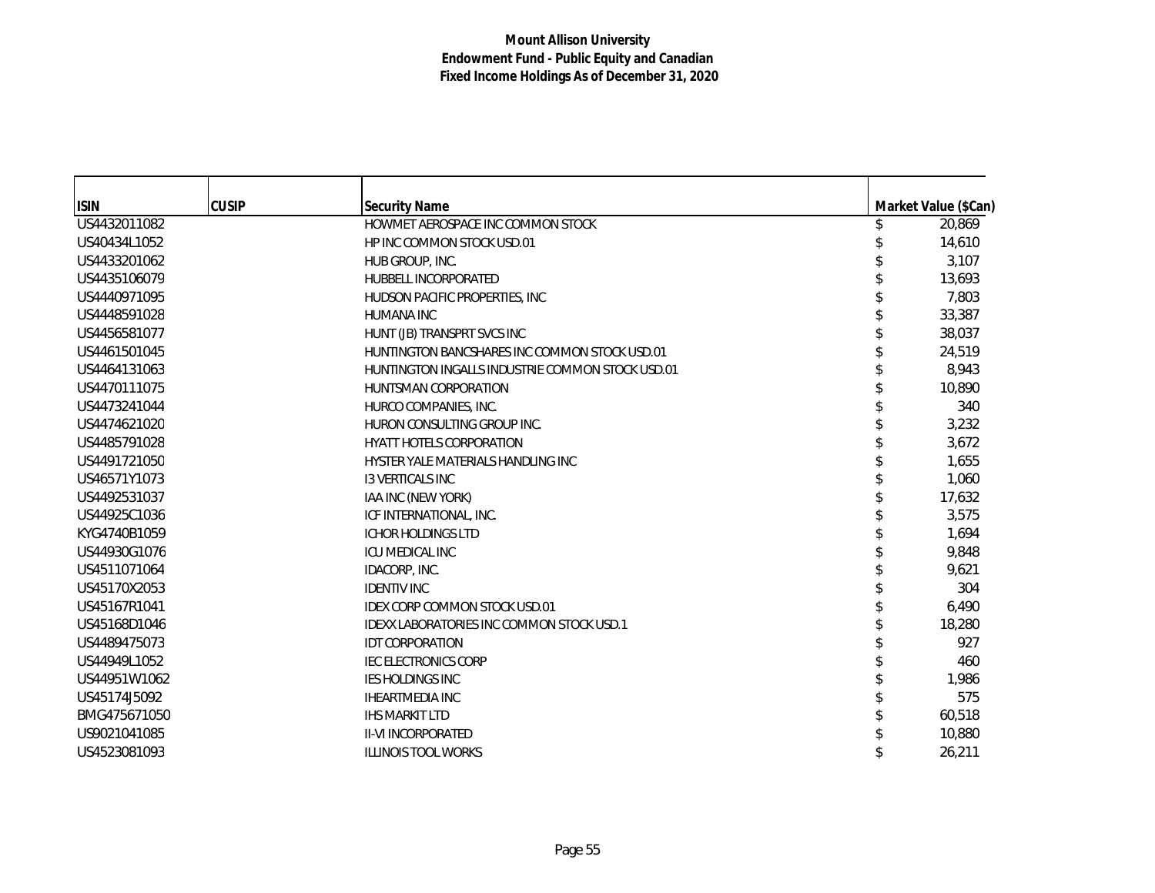| <b>ISIN</b>  | <b>CUSIP</b> | <b>Security Name</b>                             | Market Value (\$Can) |
|--------------|--------------|--------------------------------------------------|----------------------|
| US4432011082 |              | HOWMET AEROSPACE INC COMMON STOCK                | 20,869               |
| US40434L1052 |              | HP INC COMMON STOCK USD.01                       | 14,610               |
| US4433201062 |              | HUB GROUP, INC.                                  | 3,107                |
| US4435106079 |              | <b>HUBBELL INCORPORATED</b>                      | 13,693               |
| US4440971095 |              | HUDSON PACIFIC PROPERTIES, INC                   | 7,803                |
| US4448591028 |              | <b>HUMANA INC</b>                                | 33,387               |
| US4456581077 |              | HUNT (JB) TRANSPRT SVCS INC                      | 38,037               |
| US4461501045 |              | HUNTINGTON BANCSHARES INC COMMON STOCK USD.01    | 24,519               |
| US4464131063 |              | HUNTINGTON INGALLS INDUSTRIE COMMON STOCK USD.01 | 8,943                |
| US4470111075 |              | HUNTSMAN CORPORATION                             | 10,890               |
| US4473241044 |              | HURCO COMPANIES, INC.                            | 340                  |
| US4474621020 |              | HURON CONSULTING GROUP INC.                      | 3,232                |
| US4485791028 |              | <b>HYATT HOTELS CORPORATION</b>                  | 3,672                |
| US4491721050 |              | HYSTER YALE MATERIALS HANDLING INC               | 1,655                |
| US46571Y1073 |              | <b>13 VERTICALS INC</b>                          | 1,060                |
| US4492531037 |              | IAA INC (NEW YORK)                               | 17,632               |
| US44925C1036 |              | ICF INTERNATIONAL, INC.                          | 3,575                |
| KYG4740B1059 |              | <b>ICHOR HOLDINGS LTD</b>                        | 1,694                |
| US44930G1076 |              | <b>ICU MEDICAL INC</b>                           | 9,848                |
| US4511071064 |              | IDACORP, INC.                                    | 9,621                |
| US45170X2053 |              | <b>IDENTIV INC</b>                               | 304                  |
| US45167R1041 |              | <b>IDEX CORP COMMON STOCK USD.01</b>             | 6,490                |
| US45168D1046 |              | <b>IDEXX LABORATORIES INC COMMON STOCK USD.1</b> | 18,280               |
| US4489475073 |              | <b>IDT CORPORATION</b>                           | 927                  |
| US44949L1052 |              | <b>IEC ELECTRONICS CORP</b>                      | 460                  |
| US44951W1062 |              | <b>IES HOLDINGS INC</b>                          | 1,986                |
| US45174J5092 |              | <b>IHEARTMEDIA INC</b>                           | 575                  |
| BMG475671050 |              | <b>IHS MARKIT LTD</b>                            | 60,518               |
| US9021041085 |              | <b>II-VI INCORPORATED</b>                        | 10,880               |
| US4523081093 |              | <b>ILLINOIS TOOL WORKS</b>                       | 26,211               |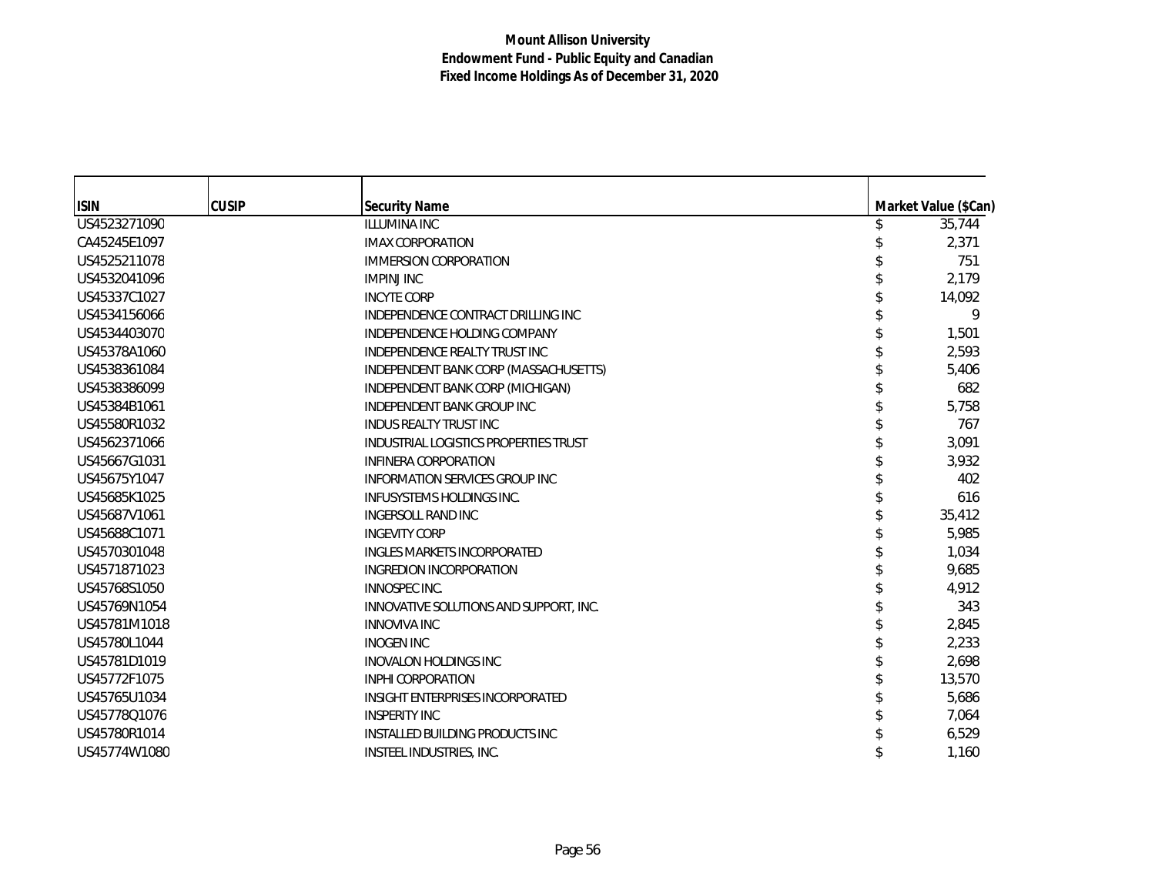| <b>ISIN</b>  | <b>CUSIP</b> | <b>Security Name</b>                    | Market Value (\$Can) |
|--------------|--------------|-----------------------------------------|----------------------|
| US4523271090 |              | <b>ILLUMINA INC</b>                     | 35,744               |
| CA45245E1097 |              | <b>IMAX CORPORATION</b>                 | 2,371                |
| US4525211078 |              | <b>IMMERSION CORPORATION</b>            | 751                  |
| US4532041096 |              | <b>IMPINJ INC</b>                       | 2,179                |
| US45337C1027 |              | <b>INCYTE CORP</b>                      | 14,092               |
| US4534156066 |              | INDEPENDENCE CONTRACT DRILLING INC      | 9                    |
| US4534403070 |              | INDEPENDENCE HOLDING COMPANY            | 1,501                |
| US45378A1060 |              | INDEPENDENCE REALTY TRUST INC           | 2.593                |
| US4538361084 |              | INDEPENDENT BANK CORP (MASSACHUSETTS)   | 5,406                |
| US4538386099 |              | INDEPENDENT BANK CORP (MICHIGAN)        | 682                  |
| US45384B1061 |              | <b>INDEPENDENT BANK GROUP INC</b>       | 5,758                |
| US45580R1032 |              | <b>INDUS REALTY TRUST INC</b>           | 767                  |
| US4562371066 |              | INDUSTRIAL LOGISTICS PROPERTIES TRUST   | 3.091                |
| US45667G1031 |              | <b>INFINERA CORPORATION</b>             | 3,932                |
| US45675Y1047 |              | <b>INFORMATION SERVICES GROUP INC</b>   | 402                  |
| US45685K1025 |              | <b>INFUSYSTEMS HOLDINGS INC.</b>        | 616                  |
| US45687V1061 |              | INGERSOLL RAND INC                      | 35,412               |
| US45688C1071 |              | <b>INGEVITY CORP</b>                    | 5,985                |
| US4570301048 |              | <b>INGLES MARKETS INCORPORATED</b>      | 1,034                |
| US4571871023 |              | INGREDION INCORPORATION                 | 9,685                |
| US45768S1050 |              | INNOSPEC INC.                           | 4,912                |
| US45769N1054 |              | INNOVATIVE SOLUTIONS AND SUPPORT, INC.  | 343                  |
| US45781M1018 |              | <b>INNOVIVA INC</b>                     | 2,845                |
| US45780L1044 |              | <b>INOGEN INC</b>                       | 2,233                |
| US45781D1019 |              | <b>INOVALON HOLDINGS INC</b>            | 2,698                |
| US45772F1075 |              | <b>INPHI CORPORATION</b>                | 13,570               |
| US45765U1034 |              | <b>INSIGHT ENTERPRISES INCORPORATED</b> | 5,686                |
| US45778Q1076 |              | <b>INSPERITY INC</b>                    | 7,064                |
| US45780R1014 |              | <b>INSTALLED BUILDING PRODUCTS INC</b>  | 6,529                |
| US45774W1080 |              | INSTEEL INDUSTRIES, INC.                | 1,160                |
|              |              |                                         |                      |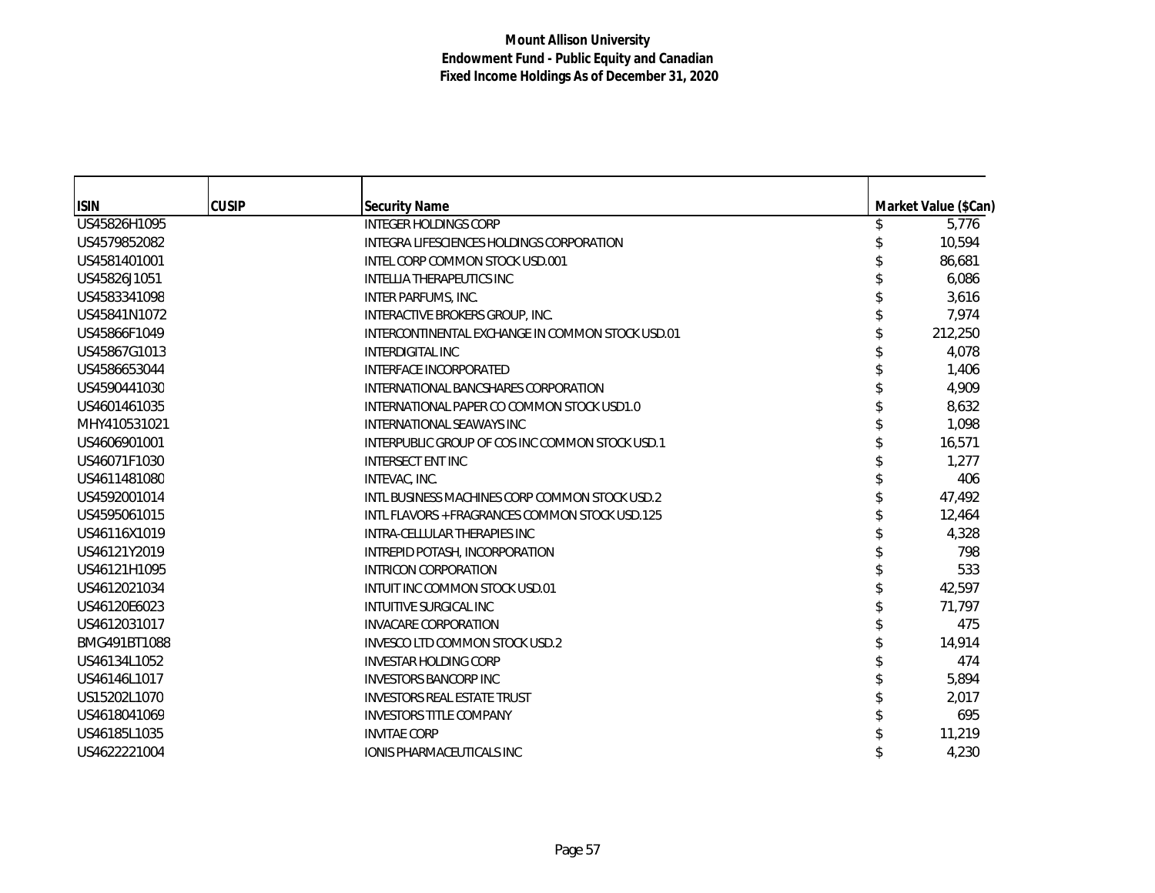| <b>ISIN</b>  | <b>CUSIP</b> | <b>Security Name</b>                             | Market Value (\$Can) |
|--------------|--------------|--------------------------------------------------|----------------------|
| US45826H1095 |              | <b>INTEGER HOLDINGS CORP</b>                     | 5,776                |
| US4579852082 |              | INTEGRA LIFESCIENCES HOLDINGS CORPORATION        | 10,594               |
| US4581401001 |              | INTEL CORP COMMON STOCK USD.001                  | 86,681               |
| US45826J1051 |              | <b>INTELLIA THERAPEUTICS INC</b>                 | 6,086                |
| US4583341098 |              | INTER PARFUMS, INC.                              | 3,616                |
| US45841N1072 |              | INTERACTIVE BROKERS GROUP, INC.                  | 7,974                |
| US45866F1049 |              | INTERCONTINENTAL EXCHANGE IN COMMON STOCK USD.01 | 212,250              |
| US45867G1013 |              | <b>INTERDIGITAL INC</b>                          | 4,078                |
| US4586653044 |              | <b>INTERFACE INCORPORATED</b>                    | 1,406                |
| US4590441030 |              | INTERNATIONAL BANCSHARES CORPORATION             | 4,909                |
| US4601461035 |              | INTERNATIONAL PAPER CO COMMON STOCK USD1.0       | 8,632                |
| MHY410531021 |              | INTERNATIONAL SEAWAYS INC                        | 1,098                |
| US4606901001 |              | INTERPUBLIC GROUP OF COS INC COMMON STOCK USD.1  | 16,571               |
| US46071F1030 |              | <b>INTERSECT ENT INC</b>                         | 1,277                |
| US4611481080 |              | INTEVAC, INC.                                    | 406                  |
| US4592001014 |              | INTL BUSINESS MACHINES CORP COMMON STOCK USD.2   | 47,492               |
| US4595061015 |              | INTL FLAVORS + FRAGRANCES COMMON STOCK USD.125   | 12,464               |
| US46116X1019 |              | INTRA-CELLULAR THERAPIES INC                     | 4,328                |
| US46121Y2019 |              | INTREPID POTASH, INCORPORATION                   | 798                  |
| US46121H1095 |              | <b>INTRICON CORPORATION</b>                      | 533                  |
| US4612021034 |              | INTUIT INC COMMON STOCK USD.01                   | 42,597               |
| US46120E6023 |              | <b>INTUITIVE SURGICAL INC</b>                    | 71,797               |
| US4612031017 |              | <b>INVACARE CORPORATION</b>                      | 475                  |
| BMG491BT1088 |              | INVESCO LTD COMMON STOCK USD.2                   | 14,914               |
| US46134L1052 |              | <b>INVESTAR HOLDING CORP</b>                     | 474                  |
| US46146L1017 |              | <b>INVESTORS BANCORP INC</b>                     | 5,894                |
| US15202L1070 |              | <b>INVESTORS REAL ESTATE TRUST</b>               | 2,017                |
| US4618041069 |              | <b>INVESTORS TITLE COMPANY</b>                   | 695                  |
| US46185L1035 |              | <b>INVITAE CORP</b>                              | 11,219               |
| US4622221004 |              | <b>IONIS PHARMACEUTICALS INC</b>                 | 4,230                |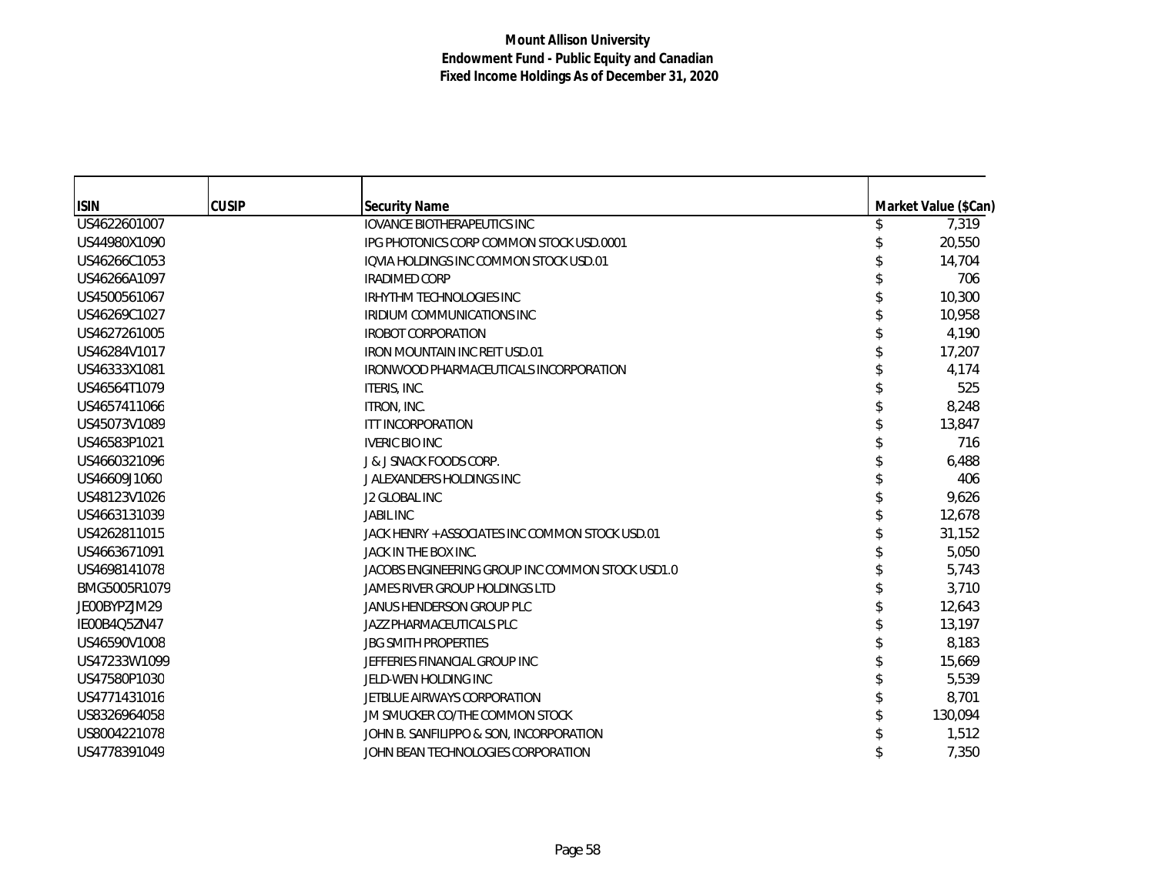| <b>ISIN</b>  | <b>CUSIP</b> | <b>Security Name</b>                             | Market Value (\$Can) |
|--------------|--------------|--------------------------------------------------|----------------------|
| US4622601007 |              | <b>IOVANCE BIOTHERAPEUTICS INC</b>               | 7,319                |
| US44980X1090 |              | IPG PHOTONICS CORP COMMON STOCK USD.0001         | 20,550               |
| US46266C1053 |              | <b>IQVIA HOLDINGS INC COMMON STOCK USD.01</b>    | 14,704               |
| US46266A1097 |              | <b>IRADIMED CORP</b>                             | 706                  |
| US4500561067 |              | <b>IRHYTHM TECHNOLOGIES INC</b>                  | 10,300               |
| US46269C1027 |              | <b>IRIDIUM COMMUNICATIONS INC</b>                | 10,958               |
| US4627261005 |              | <b>IROBOT CORPORATION</b>                        | 4,190                |
| US46284V1017 |              | <b>IRON MOUNTAIN INC REIT USD.01</b>             | 17,207               |
| US46333X1081 |              | IRONWOOD PHARMACEUTICALS INCORPORATION           | 4,174                |
| US46564T1079 |              | ITERIS, INC.                                     | 525                  |
| US4657411066 |              | ITRON, INC.                                      | 8,248                |
| US45073V1089 |              | ITT INCORPORATION                                | 13,847               |
| US46583P1021 |              | <b>IVERIC BIO INC</b>                            | 716                  |
| US4660321096 |              | <b>J &amp; J SNACK FOODS CORP.</b>               | 6,488                |
| US46609J1060 |              | J ALEXANDERS HOLDINGS INC                        | 406                  |
| US48123V1026 |              | <b>J2 GLOBAL INC</b>                             | 9,626                |
| US4663131039 |              | <b>JABIL INC</b>                                 | 12,678               |
| US4262811015 |              | JACK HENRY + ASSOCIATES INC COMMON STOCK USD.01  | 31,152               |
| US4663671091 |              | JACK IN THE BOX INC.                             | 5,050                |
| US4698141078 |              | JACOBS ENGINEERING GROUP INC COMMON STOCK USD1.0 | 5,743                |
| BMG5005R1079 |              | JAMES RIVER GROUP HOLDINGS LTD                   | 3,710                |
| JE00BYPZJM29 |              | JANUS HENDERSON GROUP PLC                        | 12,643               |
| IE00B4Q5ZN47 |              | JAZZ PHARMACEUTICALS PLC                         | 13,197               |
| US46590V1008 |              | <b>JBG SMITH PROPERTIES</b>                      | 8,183                |
| US47233W1099 |              | JEFFERIES FINANCIAL GROUP INC                    | 15,669               |
| US47580P1030 |              | JELD-WEN HOLDING INC                             | 5,539                |
| US4771431016 |              | JETBLUE AIRWAYS CORPORATION                      | 8,701                |
| US8326964058 |              | JM SMUCKER CO/THE COMMON STOCK                   | 130,094              |
| US8004221078 |              | JOHN B. SANFILIPPO & SON, INCORPORATION          | 1,512                |
| US4778391049 |              | JOHN BEAN TECHNOLOGIES CORPORATION               | 7,350                |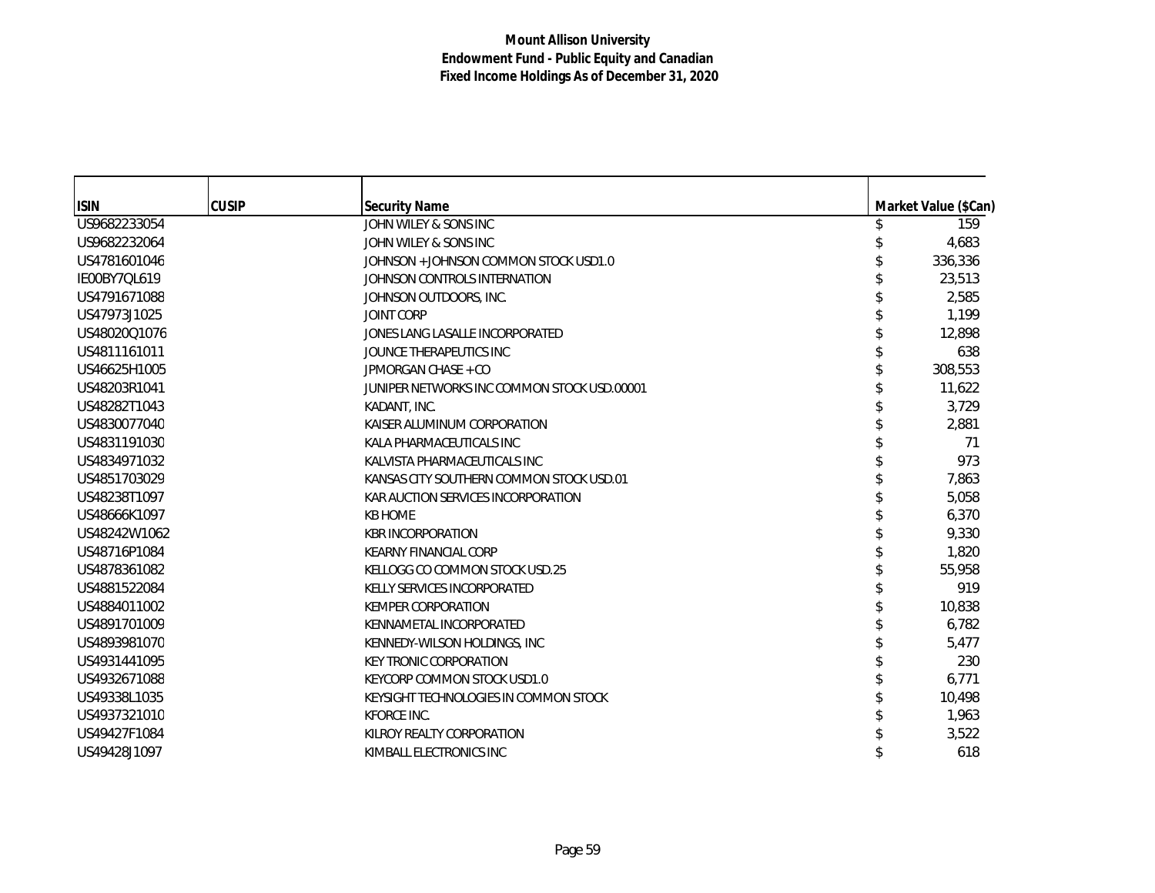| <b>ISIN</b>  | <b>CUSIP</b> | <b>Security Name</b>                        | Market Value (\$Can) |
|--------------|--------------|---------------------------------------------|----------------------|
| US9682233054 |              | JOHN WILEY & SONS INC                       | 159                  |
| US9682232064 |              | JOHN WILEY & SONS INC                       | 4,683                |
| US4781601046 |              | JOHNSON + JOHNSON COMMON STOCK USD1.0       | 336,336              |
| IE00BY7QL619 |              | JOHNSON CONTROLS INTERNATION                | 23,513               |
| US4791671088 |              | JOHNSON OUTDOORS, INC.                      | 2,585                |
| US47973J1025 |              | <b>JOINT CORP</b>                           | 1,199                |
| US48020Q1076 |              | JONES LANG LASALLE INCORPORATED             | 12,898               |
| US4811161011 |              | JOUNCE THERAPEUTICS INC                     | 638                  |
| US46625H1005 |              | JPMORGAN CHASE + CO                         | 308,553              |
| US48203R1041 |              | JUNIPER NETWORKS INC COMMON STOCK USD.00001 | 11,622               |
| US48282T1043 |              | KADANT, INC.                                | 3,729                |
| US4830077040 |              | KAISER ALUMINUM CORPORATION                 | 2,881                |
| US4831191030 |              | KALA PHARMACEUTICALS INC                    | 71                   |
| US4834971032 |              | KALVISTA PHARMACEUTICALS INC                | 973                  |
| US4851703029 |              | KANSAS CITY SOUTHERN COMMON STOCK USD.01    | 7,863                |
| US48238T1097 |              | KAR AUCTION SERVICES INCORPORATION          | 5,058                |
| US48666K1097 |              | <b>KB HOME</b>                              | 6,370                |
| US48242W1062 |              | <b>KBR INCORPORATION</b>                    | 9,330                |
| US48716P1084 |              | <b>KEARNY FINANCIAL CORP</b>                | 1,820                |
| US4878361082 |              | KELLOGG CO COMMON STOCK USD.25              | 55,958               |
| US4881522084 |              | KELLY SERVICES INCORPORATED                 | 919                  |
| US4884011002 |              | <b>KEMPER CORPORATION</b>                   | 10,838               |
| US4891701009 |              | KENNAMETAL INCORPORATED                     | 6,782                |
| US4893981070 |              | KENNEDY-WILSON HOLDINGS, INC                | 5,477                |
| US4931441095 |              | <b>KEY TRONIC CORPORATION</b>               | 230                  |
| US4932671088 |              | KEYCORP COMMON STOCK USD1.0                 | 6,771                |
| US49338L1035 |              | KEYSIGHT TECHNOLOGIES IN COMMON STOCK       | 10,498               |
| US4937321010 |              | <b>KFORCE INC.</b>                          | 1,963                |
| US49427F1084 |              | KILROY REALTY CORPORATION                   | 3,522                |
| US49428J1097 |              | KIMBALL ELECTRONICS INC                     | 618                  |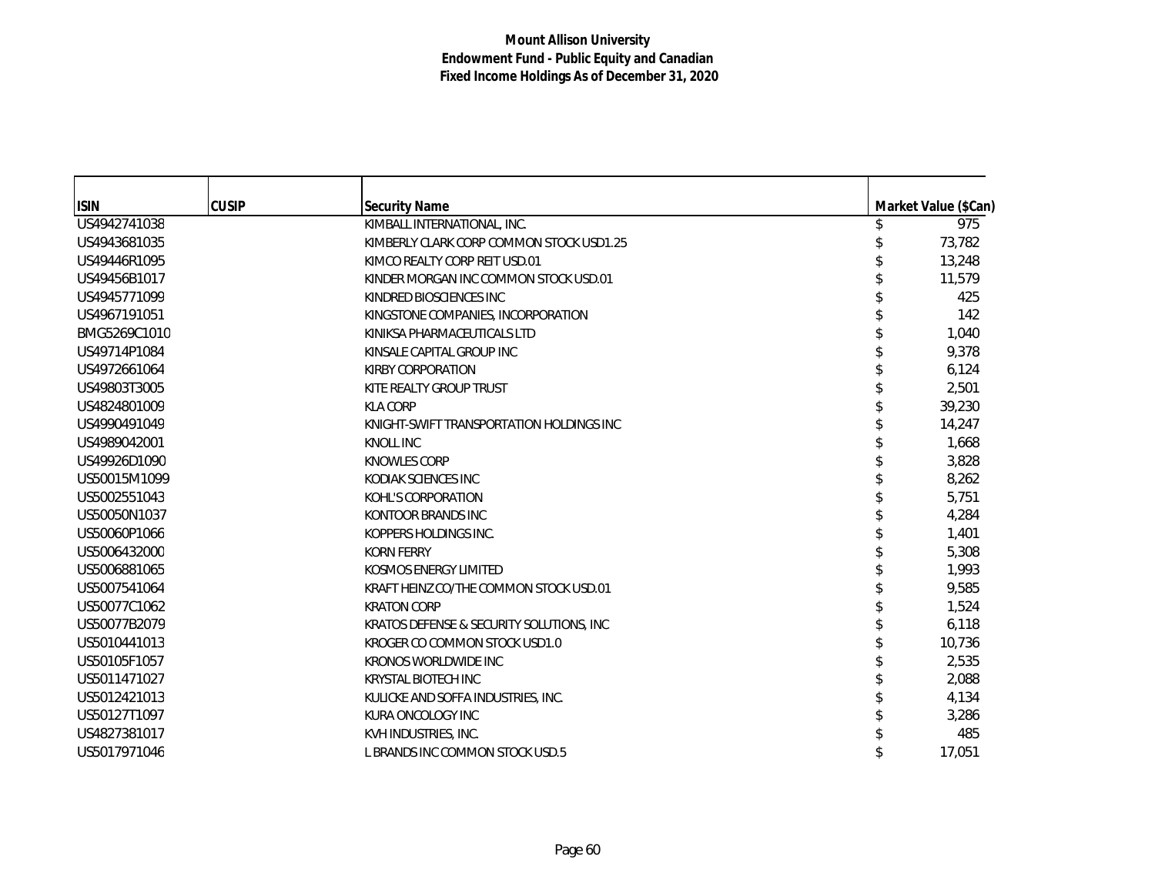| <b>ISIN</b>  | <b>CUSIP</b> | Security Name                            | Market Value (\$Can) |
|--------------|--------------|------------------------------------------|----------------------|
| US4942741038 |              | KIMBALL INTERNATIONAL, INC.              | 975                  |
| US4943681035 |              | KIMBERLY CLARK CORP COMMON STOCK USD1.25 | 73,782               |
| US49446R1095 |              | KIMCO REALTY CORP REIT USD.01            | 13,248               |
| US49456B1017 |              | KINDER MORGAN INC COMMON STOCK USD.01    | 11.579               |
| US4945771099 |              | KINDRED BIOSCIENCES INC                  | 425                  |
| US4967191051 |              | KINGSTONE COMPANIES, INCORPORATION       | 142                  |
| BMG5269C1010 |              | KINIKSA PHARMACEUTICALS LTD              | 1,040                |
| US49714P1084 |              | KINSALE CAPITAL GROUP INC                | 9,378                |
| US4972661064 |              | <b>KIRBY CORPORATION</b>                 | 6,124                |
| US49803T3005 |              | KITE REALTY GROUP TRUST                  | 2,501                |
| US4824801009 |              | <b>KLA CORP</b>                          | 39,230               |
| US4990491049 |              | KNIGHT-SWIFT TRANSPORTATION HOLDINGS INC | 14,247               |
| US4989042001 |              | <b>KNOLL INC</b>                         | 1,668                |
| US49926D1090 |              | <b>KNOWLES CORP</b>                      | 3,828                |
| US50015M1099 |              | KODIAK SCIENCES INC                      | 8,262                |
| US5002551043 |              | KOHL'S CORPORATION                       | 5,751                |
| US50050N1037 |              | KONTOOR BRANDS INC                       | 4,284                |
| US50060P1066 |              | KOPPERS HOLDINGS INC.                    | 1,401                |
| US5006432000 |              | <b>KORN FERRY</b>                        | 5,308                |
| US5006881065 |              | KOSMOS ENERGY LIMITED                    | 1,993                |
| US5007541064 |              | KRAFT HEINZ CO/THE COMMON STOCK USD.01   | 9,585                |
| US50077C1062 |              | <b>KRATON CORP</b>                       | 1,524                |
| US50077B2079 |              | KRATOS DEFENSE & SECURITY SOLUTIONS, INC | 6,118                |
| US5010441013 |              | KROGER CO COMMON STOCK USD1.0            | 10,736               |
| US50105F1057 |              | <b>KRONOS WORLDWIDE INC</b>              | 2,535                |
| US5011471027 |              | KRYSTAL BIOTECH INC                      | 2,088                |
| US5012421013 |              | KULICKE AND SOFFA INDUSTRIES, INC.       | 4,134                |
| US50127T1097 |              | KURA ONCOLOGY INC                        | 3,286                |
| US4827381017 |              | KVH INDUSTRIES, INC.                     | 485                  |
| US5017971046 |              | L BRANDS INC COMMON STOCK USD.5          | 17,051               |
|              |              |                                          |                      |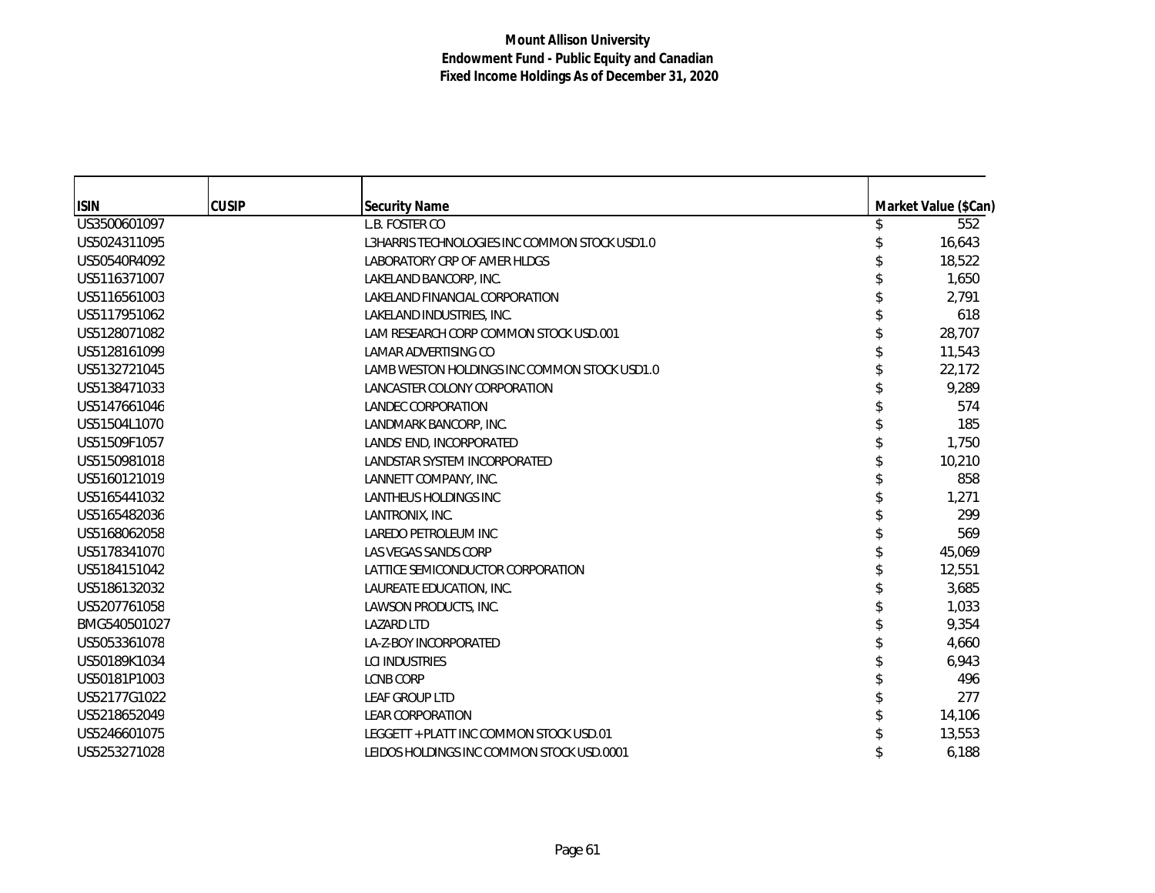| <b>ISIN</b>  | <b>CUSIP</b> | <b>Security Name</b>                          | Market Value (\$Can) |
|--------------|--------------|-----------------------------------------------|----------------------|
| US3500601097 |              | L.B. FOSTER CO                                | 552                  |
| US5024311095 |              | L3HARRIS TECHNOLOGIES INC COMMON STOCK USD1.0 | 16,643               |
| US50540R4092 |              | LABORATORY CRP OF AMER HLDGS                  | 18,522               |
| US5116371007 |              | LAKELAND BANCORP, INC.                        | 1,650                |
| US5116561003 |              | LAKELAND FINANCIAL CORPORATION                | 2,791                |
| US5117951062 |              | LAKELAND INDUSTRIES, INC.                     | 618                  |
| US5128071082 |              | LAM RESEARCH CORP COMMON STOCK USD.001        | 28,707               |
| US5128161099 |              | LAMAR ADVERTISING CO                          | 11,543               |
| US5132721045 |              | LAMB WESTON HOLDINGS INC COMMON STOCK USD1.0  | 22,172               |
| US5138471033 |              | LANCASTER COLONY CORPORATION                  | 9,289                |
| US5147661046 |              | <b>LANDEC CORPORATION</b>                     | 574                  |
| US51504L1070 |              | LANDMARK BANCORP, INC.                        | 185                  |
| US51509F1057 |              | LANDS' END, INCORPORATED                      | 1,750                |
| US5150981018 |              | LANDSTAR SYSTEM INCORPORATED                  | 10,210               |
| US5160121019 |              | LANNETT COMPANY, INC.                         | 858                  |
| US5165441032 |              | <b>LANTHEUS HOLDINGS INC</b>                  | 1,271                |
| US5165482036 |              | LANTRONIX, INC.                               | 299                  |
| US5168062058 |              | LAREDO PETROLEUM INC                          | 569                  |
| US5178341070 |              | LAS VEGAS SANDS CORP                          | 45,069               |
| US5184151042 |              | LATTICE SEMICONDUCTOR CORPORATION             | 12,551               |
| US5186132032 |              | LAUREATE EDUCATION, INC.                      | 3,685                |
| US5207761058 |              | LAWSON PRODUCTS, INC.                         | 1,033                |
| BMG540501027 |              | <b>LAZARD LTD</b>                             | 9,354                |
| US5053361078 |              | LA-Z-BOY INCORPORATED                         | 4,660                |
| US50189K1034 |              | <b>LCI INDUSTRIES</b>                         | 6,943                |
| US50181P1003 |              | <b>LCNB CORP</b>                              | 496                  |
| US52177G1022 |              | LEAF GROUP LTD                                | 277                  |
| US5218652049 |              | <b>LEAR CORPORATION</b>                       | 14,106               |
| US5246601075 |              | LEGGETT + PLATT INC COMMON STOCK USD.01       | 13,553               |
| US5253271028 |              | LEIDOS HOLDINGS INC COMMON STOCK USD.0001     | 6,188                |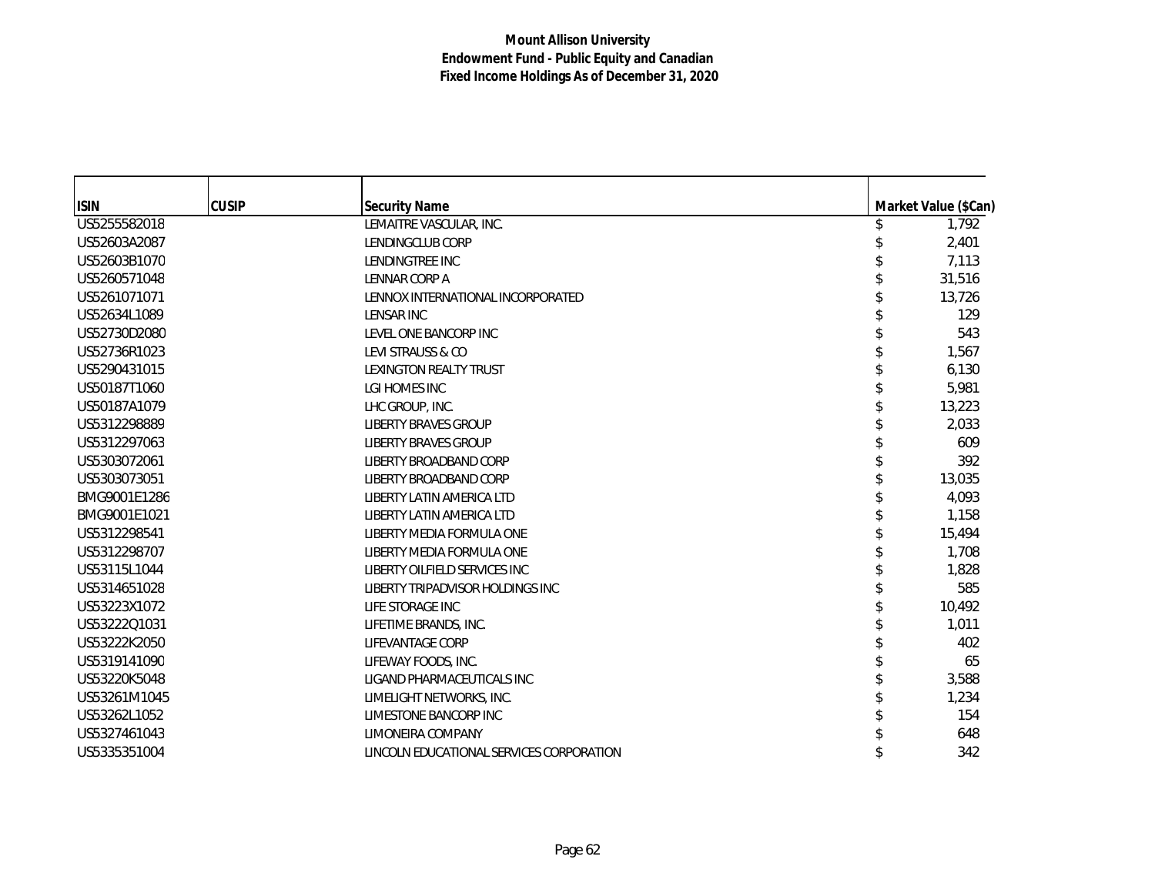| <b>ISIN</b>  | <b>CUSIP</b> | <b>Security Name</b>                     | Market Value (\$Can) |
|--------------|--------------|------------------------------------------|----------------------|
| US5255582018 |              | LEMAITRE VASCULAR, INC.                  | 1,792                |
| US52603A2087 |              | LENDINGCLUB CORP                         | 2,401                |
| US52603B1070 |              | LENDINGTREE INC                          | 7,113                |
| US5260571048 |              | LENNAR CORP A                            | 31,516               |
| US5261071071 |              | LENNOX INTERNATIONAL INCORPORATED        | 13,726               |
| US52634L1089 |              | LENSAR INC                               | 129                  |
| US52730D2080 |              | LEVEL ONE BANCORP INC                    | 543                  |
| US52736R1023 |              | LEVI STRAUSS & CO                        | 1,567                |
| US5290431015 |              | LEXINGTON REALTY TRUST                   | 6,130                |
| US50187T1060 |              | LGI HOMES INC                            | 5,981                |
| US50187A1079 |              | LHC GROUP, INC.                          | 13,223               |
| US5312298889 |              | <b>LIBERTY BRAVES GROUP</b>              | 2,033                |
| US5312297063 |              | <b>LIBERTY BRAVES GROUP</b>              | 609                  |
| US5303072061 |              | LIBERTY BROADBAND CORP                   | 392                  |
| US5303073051 |              | LIBERTY BROADBAND CORP                   | 13,035               |
| BMG9001E1286 |              | <b>LIBERTY LATIN AMERICA LTD</b>         | 4,093                |
| BMG9001E1021 |              | <b>LIBERTY LATIN AMERICA LTD</b>         | 1,158                |
| US5312298541 |              | LIBERTY MEDIA FORMULA ONE                | 15,494               |
| US5312298707 |              | LIBERTY MEDIA FORMULA ONE                | 1,708                |
| US53115L1044 |              | LIBERTY OILFIELD SERVICES INC            | 1,828                |
| US5314651028 |              | LIBERTY TRIPADVISOR HOLDINGS INC         | 585                  |
| US53223X1072 |              | LIFE STORAGE INC                         | 10,492               |
| US53222Q1031 |              | LIFETIME BRANDS, INC.                    | 1,011                |
| US53222K2050 |              | LIFEVANTAGE CORP                         | 402                  |
| US5319141090 |              | LIFEWAY FOODS, INC.                      | 65                   |
| US53220K5048 |              | LIGAND PHARMACEUTICALS INC               | 3,588                |
| US53261M1045 |              | LIMELIGHT NETWORKS, INC.                 | 1,234                |
| US53262L1052 |              | <b>LIMESTONE BANCORP INC</b>             | 154                  |
| US5327461043 |              | LIMONEIRA COMPANY                        | 648                  |
| US5335351004 |              | LINCOLN EDUCATIONAL SERVICES CORPORATION | 342                  |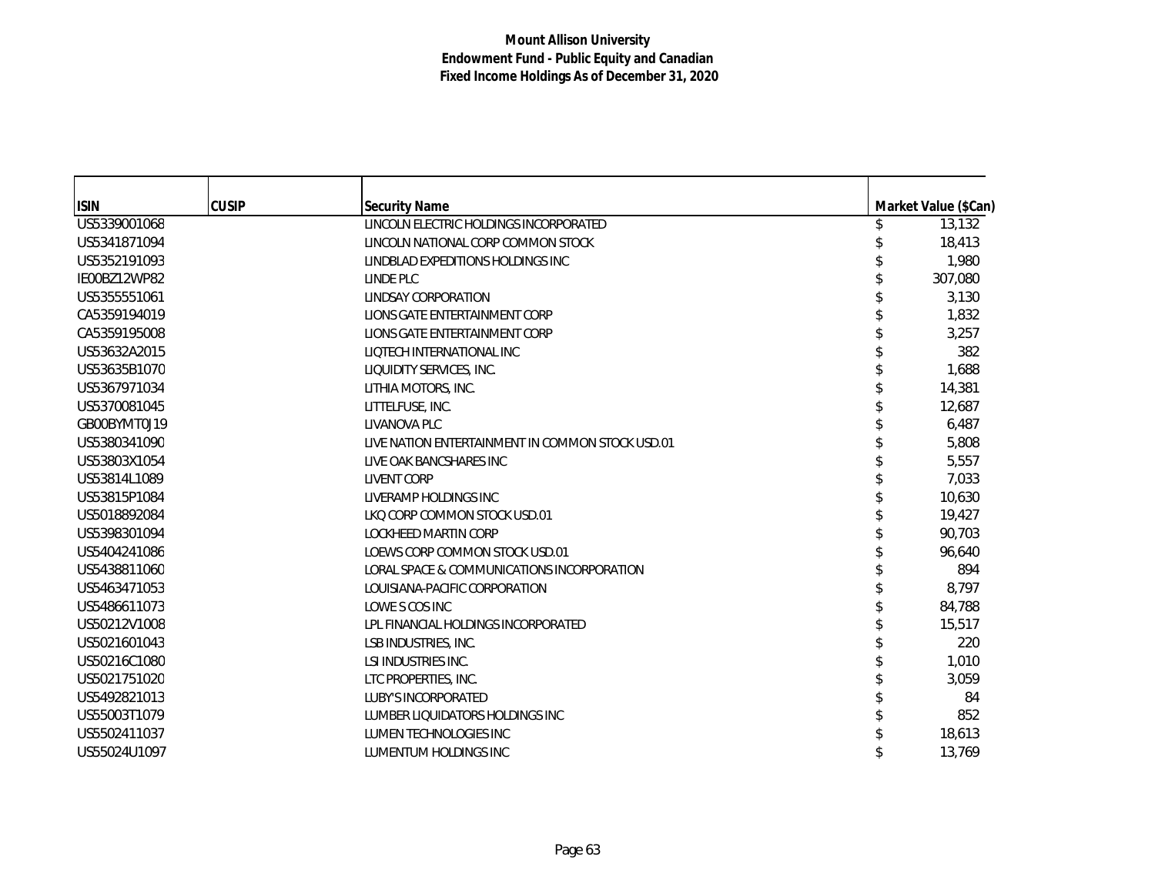| <b>ISIN</b>  | <b>CUSIP</b> | <b>Security Name</b>                             | Market Value (\$Can) |
|--------------|--------------|--------------------------------------------------|----------------------|
| US5339001068 |              | LINCOLN ELECTRIC HOLDINGS INCORPORATED           | 13,132               |
| US5341871094 |              | LINCOLN NATIONAL CORP COMMON STOCK               | 18,413               |
| US5352191093 |              | LINDBLAD EXPEDITIONS HOLDINGS INC                | 1,980                |
| IE00BZ12WP82 |              | LINDE PLC                                        | 307,080              |
| US5355551061 |              | <b>LINDSAY CORPORATION</b>                       | 3,130                |
| CA5359194019 |              | LIONS GATE ENTERTAINMENT CORP                    | 1,832                |
| CA5359195008 |              | LIONS GATE ENTERTAINMENT CORP                    | 3,257                |
| US53632A2015 |              | LIQTECH INTERNATIONAL INC                        | 382                  |
| US53635B1070 |              | LIQUIDITY SERVICES, INC.                         | 1,688                |
| US5367971034 |              | LITHIA MOTORS, INC.                              | 14,381               |
| US5370081045 |              | LITTELFUSE, INC.                                 | 12,687               |
| GB00BYMT0J19 |              | LIVANOVA PLC                                     | 6,487                |
| US5380341090 |              | LIVE NATION ENTERTAINMENT IN COMMON STOCK USD.01 | 5,808                |
| US53803X1054 |              | LIVE OAK BANCSHARES INC                          | 5,557                |
| US53814L1089 |              | <b>LIVENT CORP</b>                               | 7,033                |
| US53815P1084 |              | LIVERAMP HOLDINGS INC                            | 10,630               |
| US5018892084 |              | LKQ CORP COMMON STOCK USD.01                     | 19,427               |
| US5398301094 |              | <b>LOCKHEED MARTIN CORP</b>                      | 90,703               |
| US5404241086 |              | LOEWS CORP COMMON STOCK USD.01                   | 96,640               |
| US5438811060 |              | LORAL SPACE & COMMUNICATIONS INCORPORATION       | 894                  |
| US5463471053 |              | LOUISIANA-PACIFIC CORPORATION                    | 8,797                |
| US5486611073 |              | LOWE S COS INC                                   | 84,788               |
| US50212V1008 |              | LPL FINANCIAL HOLDINGS INCORPORATED              | 15,517               |
| US5021601043 |              | LSB INDUSTRIES, INC.                             | 220                  |
| US50216C1080 |              | LSI INDUSTRIES INC.                              | 1,010                |
| US5021751020 |              | LTC PROPERTIES, INC.                             | 3,059                |
| US5492821013 |              | <b>LUBY'S INCORPORATED</b>                       | 84                   |
| US55003T1079 |              | LUMBER LIQUIDATORS HOLDINGS INC                  | 852                  |
| US5502411037 |              | LUMEN TECHNOLOGIES INC                           | 18,613               |
| US55024U1097 |              | LUMENTUM HOLDINGS INC                            | 13,769               |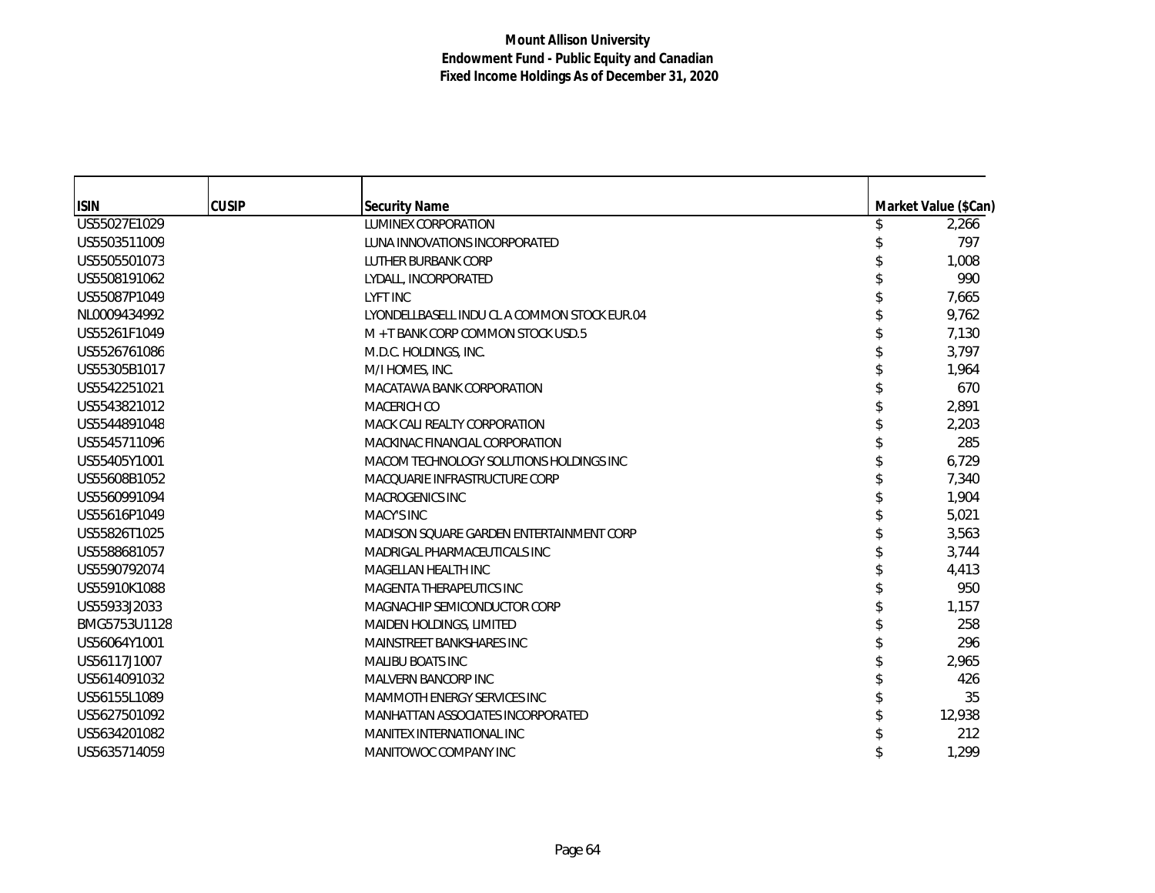| <b>ISIN</b>  | <b>CUSIP</b> | <b>Security Name</b>                         | Market Value (\$Can) |
|--------------|--------------|----------------------------------------------|----------------------|
| US55027E1029 |              | <b>LUMINEX CORPORATION</b>                   | 2,266                |
| US5503511009 |              | LUNA INNOVATIONS INCORPORATED                | 797                  |
| US5505501073 |              | LUTHER BURBANK CORP                          | 1,008                |
| US5508191062 |              | LYDALL, INCORPORATED                         | 990                  |
| US55087P1049 |              | <b>LYFT INC</b>                              | 7,665                |
| NL0009434992 |              | LYONDELLBASELL INDU CL A COMMON STOCK EUR.04 | 9,762                |
| US55261F1049 |              | M + T BANK CORP COMMON STOCK USD.5           | 7,130                |
| US5526761086 |              | M.D.C. HOLDINGS, INC.                        | 3,797                |
| US55305B1017 |              | M/I HOMES, INC.                              | 1,964                |
| US5542251021 |              | MACATAWA BANK CORPORATION                    | 670                  |
| US5543821012 |              | <b>MACERICH CO</b>                           | 2,891                |
| US5544891048 |              | MACK CALI REALTY CORPORATION                 | 2,203                |
| US5545711096 |              | MACKINAC FINANCIAL CORPORATION               | 285                  |
| US55405Y1001 |              | MACOM TECHNOLOGY SOLUTIONS HOLDINGS INC      | 6,729                |
| US55608B1052 |              | MACOUARIE INFRASTRUCTURE CORP                | 7,340                |
| US5560991094 |              | MACROGENICS INC                              | 1,904                |
| US55616P1049 |              | MACY'S INC                                   | 5,021                |
| US55826T1025 |              | MADISON SQUARE GARDEN ENTERTAINMENT CORP     | 3,563                |
| US5588681057 |              | MADRIGAL PHARMACEUTICALS INC                 | 3,744                |
| US5590792074 |              | MAGELLAN HEALTH INC                          | 4,413                |
| US55910K1088 |              | MAGENTA THERAPEUTICS INC                     | 950                  |
| US55933J2033 |              | MAGNACHIP SEMICONDUCTOR CORP                 | 1,157                |
| BMG5753U1128 |              | MAIDEN HOLDINGS, LIMITED                     | 258                  |
| US56064Y1001 |              | MAINSTREET BANKSHARES INC                    | 296                  |
| US56117J1007 |              | <b>MALIBU BOATS INC</b>                      | 2,965                |
| US5614091032 |              | <b>MALVERN BANCORP INC</b>                   | 426                  |
| US56155L1089 |              | MAMMOTH ENERGY SERVICES INC                  | 35                   |
| US5627501092 |              | MANHATTAN ASSOCIATES INCORPORATED            | 12,938               |
| US5634201082 |              | MANITEX INTERNATIONAL INC                    | 212                  |
| US5635714059 |              | MANITOWOC COMPANY INC                        | 1.299                |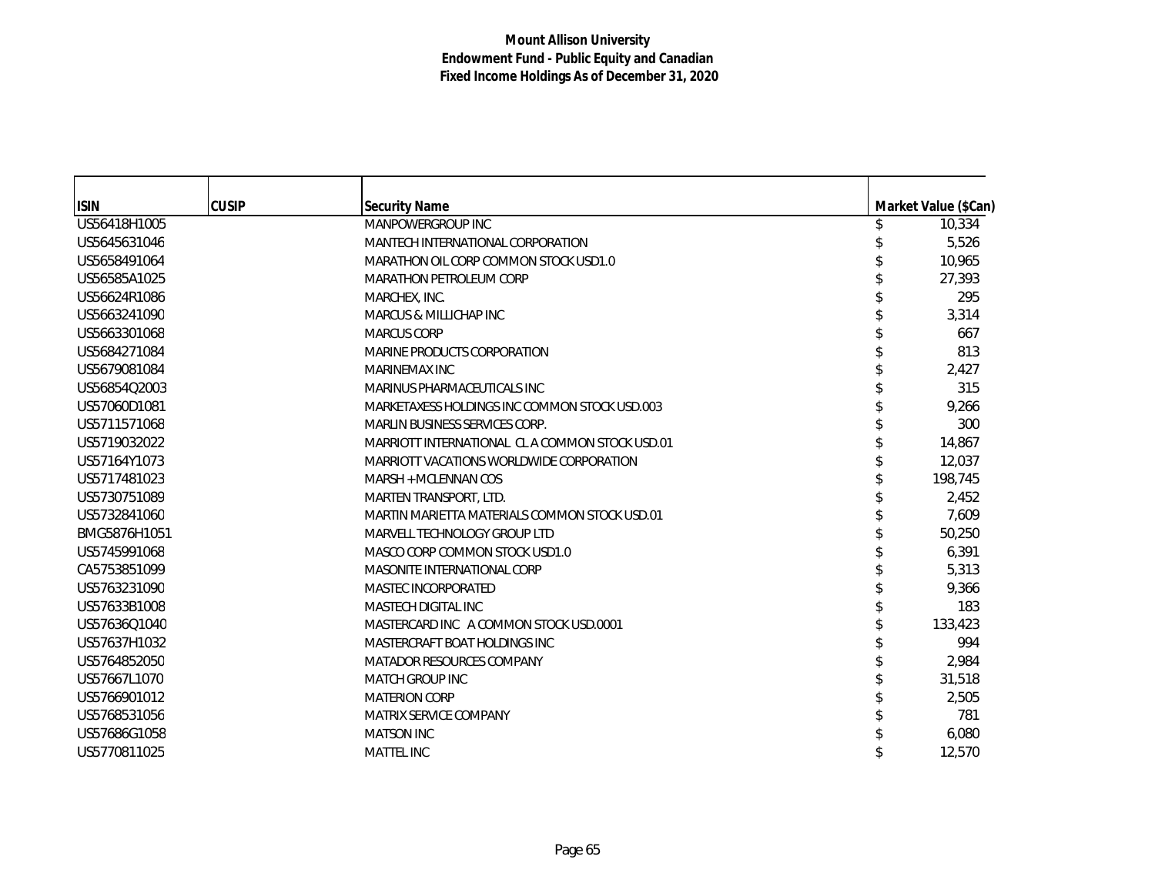| <b>ISIN</b>  | <b>CUSIP</b> | <b>Security Name</b>                           | Market Value (\$Can) |
|--------------|--------------|------------------------------------------------|----------------------|
| US56418H1005 |              | MANPOWERGROUP INC                              | 10,334               |
| US5645631046 |              | MANTECH INTERNATIONAL CORPORATION              | 5,526                |
| US5658491064 |              | MARATHON OIL CORP COMMON STOCK USD1.0          | 10,965               |
| US56585A1025 |              | <b>MARATHON PETROLEUM CORP</b>                 | 27.393               |
| US56624R1086 |              | MARCHEX, INC.                                  | 295                  |
| US5663241090 |              | MARCUS & MILLICHAP INC                         | 3,314                |
| US5663301068 |              | <b>MARCUS CORP</b>                             | 667                  |
| US5684271084 |              | MARINE PRODUCTS CORPORATION                    | 813                  |
| US5679081084 |              | MARINEMAX INC                                  | 2,427                |
| US56854Q2003 |              | MARINUS PHARMACEUTICALS INC                    | 315                  |
| US57060D1081 |              | MARKETAXESS HOLDINGS INC COMMON STOCK USD.003  | 9,266                |
| US5711571068 |              | <b>MARLIN BUSINESS SERVICES CORP.</b>          | 300                  |
| US5719032022 |              | MARRIOTT INTERNATIONAL CLA COMMON STOCK USD.01 | 14,867               |
| US57164Y1073 |              | MARRIOTT VACATIONS WORLDWIDE CORPORATION       | 12.037               |
| US5717481023 |              | MARSH + MCLENNAN COS                           | 198,745              |
| US5730751089 |              | <b>MARTEN TRANSPORT, LTD.</b>                  | 2,452                |
| US5732841060 |              | MARTIN MARIETTA MATERIALS COMMON STOCK USD.01  | 7,609                |
| BMG5876H1051 |              | MARVELL TECHNOLOGY GROUP LTD                   | 50,250               |
| US5745991068 |              | MASCO CORP COMMON STOCK USD1.0                 | 6,391                |
| CA5753851099 |              | MASONITE INTERNATIONAL CORP                    | 5,313                |
| US5763231090 |              | MASTEC INCORPORATED                            | 9,366                |
| US57633B1008 |              | <b>MASTECH DIGITAL INC</b>                     | 183                  |
| US57636Q1040 |              | MASTERCARD INC A COMMON STOCK USD.0001         | 133,423              |
| US57637H1032 |              | MASTERCRAFT BOAT HOLDINGS INC                  | 994                  |
| US5764852050 |              | MATADOR RESOURCES COMPANY                      | 2,984                |
| US57667L1070 |              | <b>MATCH GROUP INC</b>                         | 31,518               |
| US5766901012 |              | <b>MATERION CORP</b>                           | 2,505                |
| US5768531056 |              | MATRIX SERVICE COMPANY                         | 781                  |
| US57686G1058 |              | <b>MATSON INC</b>                              | 6,080                |
| US5770811025 |              | <b>MATTEL INC</b>                              | 12,570               |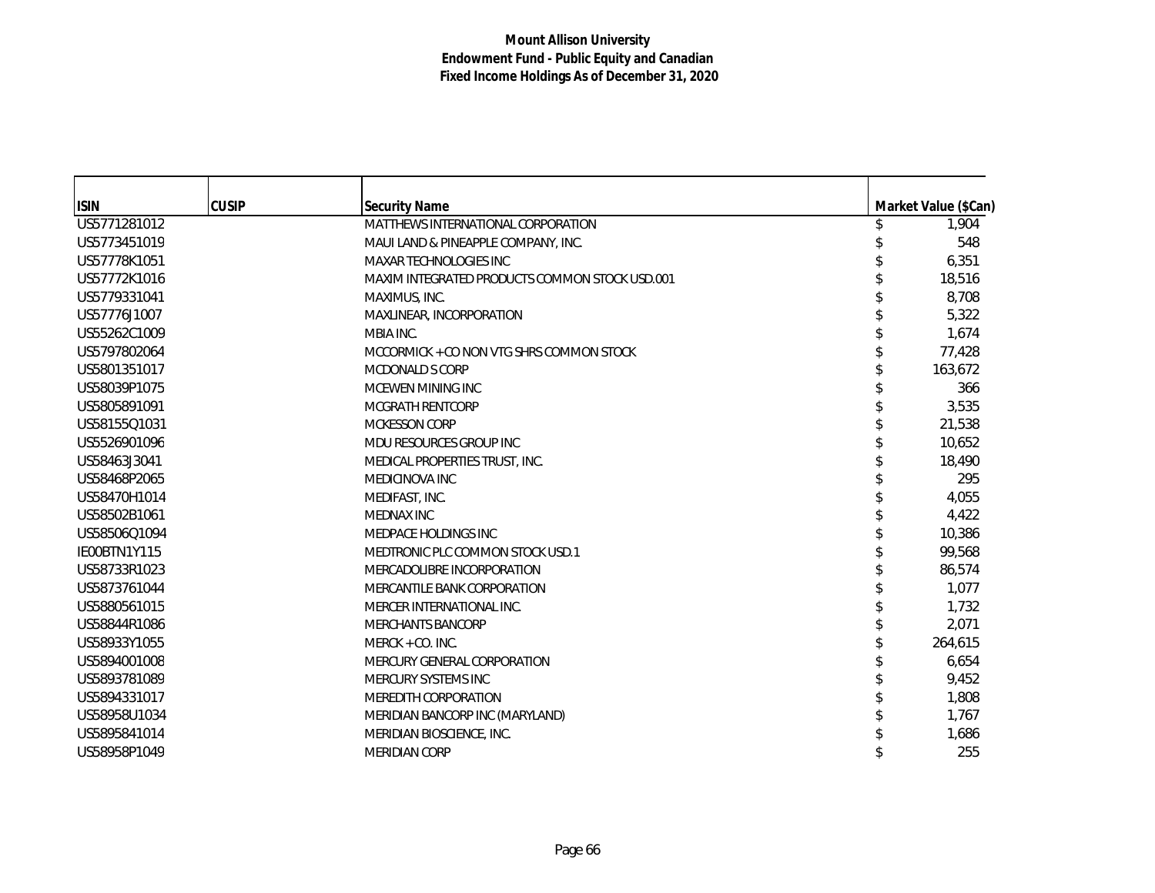| <b>ISIN</b>  | <b>CUSIP</b> | <b>Security Name</b>                           | Market Value (\$Can) |
|--------------|--------------|------------------------------------------------|----------------------|
| US5771281012 |              | MATTHEWS INTERNATIONAL CORPORATION             | 1,904                |
| US5773451019 |              | MAUI LAND & PINEAPPLE COMPANY, INC.            | 548                  |
| US57778K1051 |              | MAXAR TECHNOLOGIES INC                         | 6,351                |
| US57772K1016 |              | MAXIM INTEGRATED PRODUCTS COMMON STOCK USD.001 | 18,516               |
| US5779331041 |              | MAXIMUS, INC.                                  | 8,708                |
| US57776J1007 |              | MAXLINEAR, INCORPORATION                       | 5,322                |
| US55262C1009 |              | MBIA INC.                                      | 1,674                |
| US5797802064 |              | MCCORMICK + CO NON VTG SHRS COMMON STOCK       | 77,428               |
| US5801351017 |              | <b>MCDONALD S CORP</b>                         | 163,672              |
| US58039P1075 |              | MCEWEN MINING INC                              | 366                  |
| US5805891091 |              | <b>MCGRATH RENTCORP</b>                        | 3,535                |
| US58155Q1031 |              | <b>MCKESSON CORP</b>                           | 21,538               |
| US5526901096 |              | MDU RESOURCES GROUP INC                        | 10,652               |
| US58463J3041 |              | MEDICAL PROPERTIES TRUST, INC.                 | 18,490               |
| US58468P2065 |              | MEDICINOVA INC                                 | 295                  |
| US58470H1014 |              | MEDIFAST, INC.                                 | 4,055                |
| US58502B1061 |              | <b>MEDNAX INC</b>                              | 4,422                |
| US58506Q1094 |              | MEDPACE HOLDINGS INC                           | 10,386               |
| IE00BTN1Y115 |              | MEDTRONIC PLC COMMON STOCK USD.1               | 99,568               |
| US58733R1023 |              | MERCADOLIBRE INCORPORATION                     | 86,574               |
| US5873761044 |              | MERCANTILE BANK CORPORATION                    | 1,077                |
| US5880561015 |              | MERCER INTERNATIONAL INC.                      | 1.732                |
| US58844R1086 |              | <b>MERCHANTS BANCORP</b>                       | 2,071                |
| US58933Y1055 |              | MERCK + CO. INC.                               | 264,615              |
| US5894001008 |              | MERCURY GENERAL CORPORATION                    | 6,654                |
| US5893781089 |              | MERCURY SYSTEMS INC                            | 9,452                |
| US5894331017 |              | MEREDITH CORPORATION                           | 1,808                |
| US58958U1034 |              | MERIDIAN BANCORP INC (MARYLAND)                | 1,767                |
| US5895841014 |              | MERIDIAN BIOSCIENCE, INC.                      | 1,686                |
| US58958P1049 |              | MERIDIAN CORP                                  | 255                  |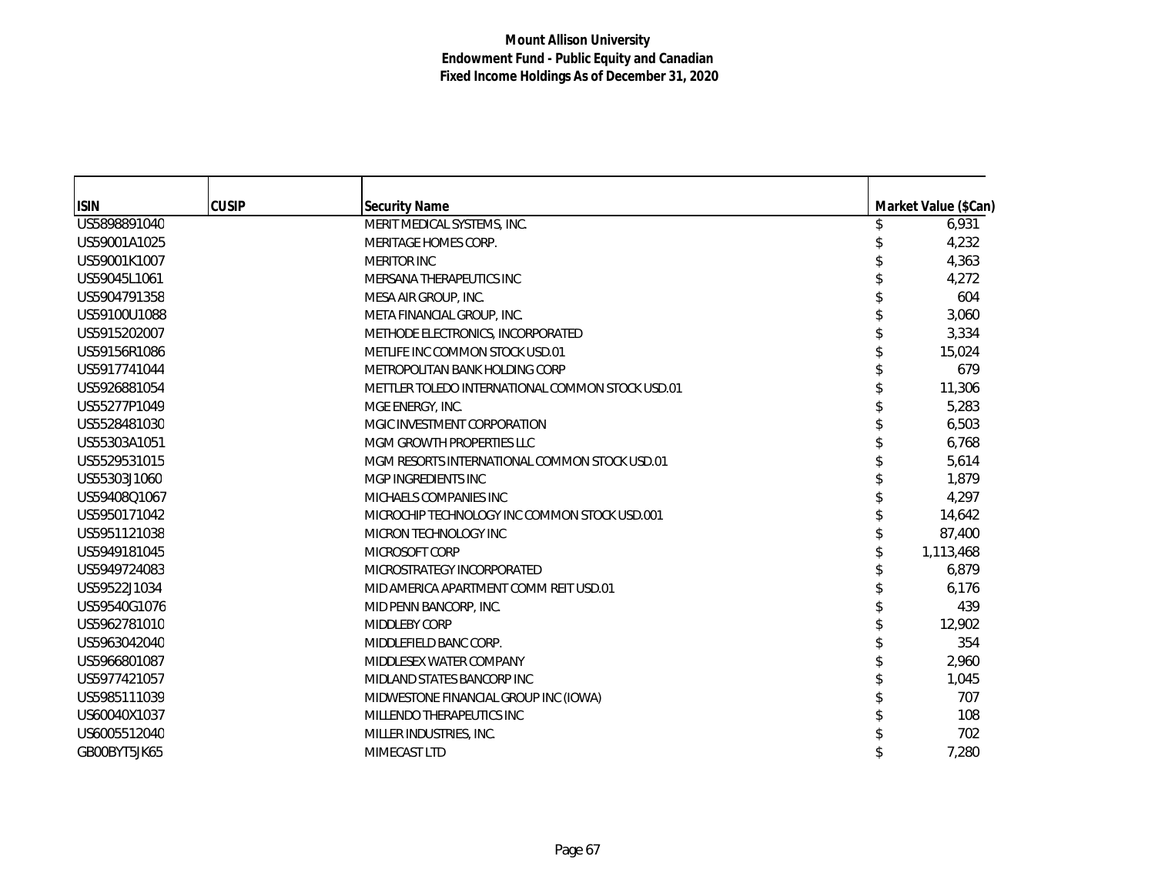| <b>ISIN</b>  | <b>CUSIP</b> | <b>Security Name</b>                             | Market Value (\$Can) |
|--------------|--------------|--------------------------------------------------|----------------------|
| US5898891040 |              | MERIT MEDICAL SYSTEMS, INC.                      | 6,931                |
| US59001A1025 |              | <b>MERITAGE HOMES CORP.</b>                      | 4,232                |
| US59001K1007 |              | <b>MERITOR INC</b>                               | 4,363                |
| US59045L1061 |              | MERSANA THERAPEUTICS INC                         | 4,272                |
| US5904791358 |              | MESA AIR GROUP, INC.                             | 604                  |
| US59100U1088 |              | META FINANCIAL GROUP, INC.                       | 3,060                |
| US5915202007 |              | METHODE ELECTRONICS, INCORPORATED                | 3,334                |
| US59156R1086 |              | METLIFE INC COMMON STOCK USD.01                  | 15,024               |
| US5917741044 |              | METROPOLITAN BANK HOLDING CORP                   | 679                  |
| US5926881054 |              | METTLER TOLEDO INTERNATIONAL COMMON STOCK USD.01 | 11,306               |
| US55277P1049 |              | MGE ENERGY, INC.                                 | 5,283                |
| US5528481030 |              | MGIC INVESTMENT CORPORATION                      | 6,503                |
| US55303A1051 |              | MGM GROWTH PROPERTIES LLC                        | 6,768                |
| US5529531015 |              | MGM RESORTS INTERNATIONAL COMMON STOCK USD.01    | 5,614                |
| US55303J1060 |              | MGP INGREDIENTS INC                              | 1,879                |
| US59408Q1067 |              | MICHAELS COMPANIES INC                           | 4,297                |
| US5950171042 |              | MICROCHIP TECHNOLOGY INC COMMON STOCK USD.001    | 14,642               |
| US5951121038 |              | MICRON TECHNOLOGY INC                            | 87,400               |
| US5949181045 |              | MICROSOFT CORP                                   | 1,113,468            |
| US5949724083 |              | MICROSTRATEGY INCORPORATED                       | 6,879                |
| US59522J1034 |              | MID AMERICA APARTMENT COMM REIT USD.01           | 6,176                |
| US59540G1076 |              | MID PENN BANCORP, INC.                           | 439                  |
| US5962781010 |              | <b>MIDDLEBY CORP</b>                             | 12,902               |
| US5963042040 |              | MIDDLEFIELD BANC CORP.                           | 354                  |
| US5966801087 |              | MIDDLESEX WATER COMPANY                          | 2,960                |
| US5977421057 |              | MIDLAND STATES BANCORP INC                       | 1,045                |
| US5985111039 |              | MIDWESTONE FINANCIAL GROUP INC (IOWA)            | 707                  |
| US60040X1037 |              | MILLENDO THERAPEUTICS INC                        | 108                  |
| US6005512040 |              | MILLER INDUSTRIES, INC.                          | 702                  |
| GB00BYT5JK65 |              | MIMECAST LTD                                     | 7,280                |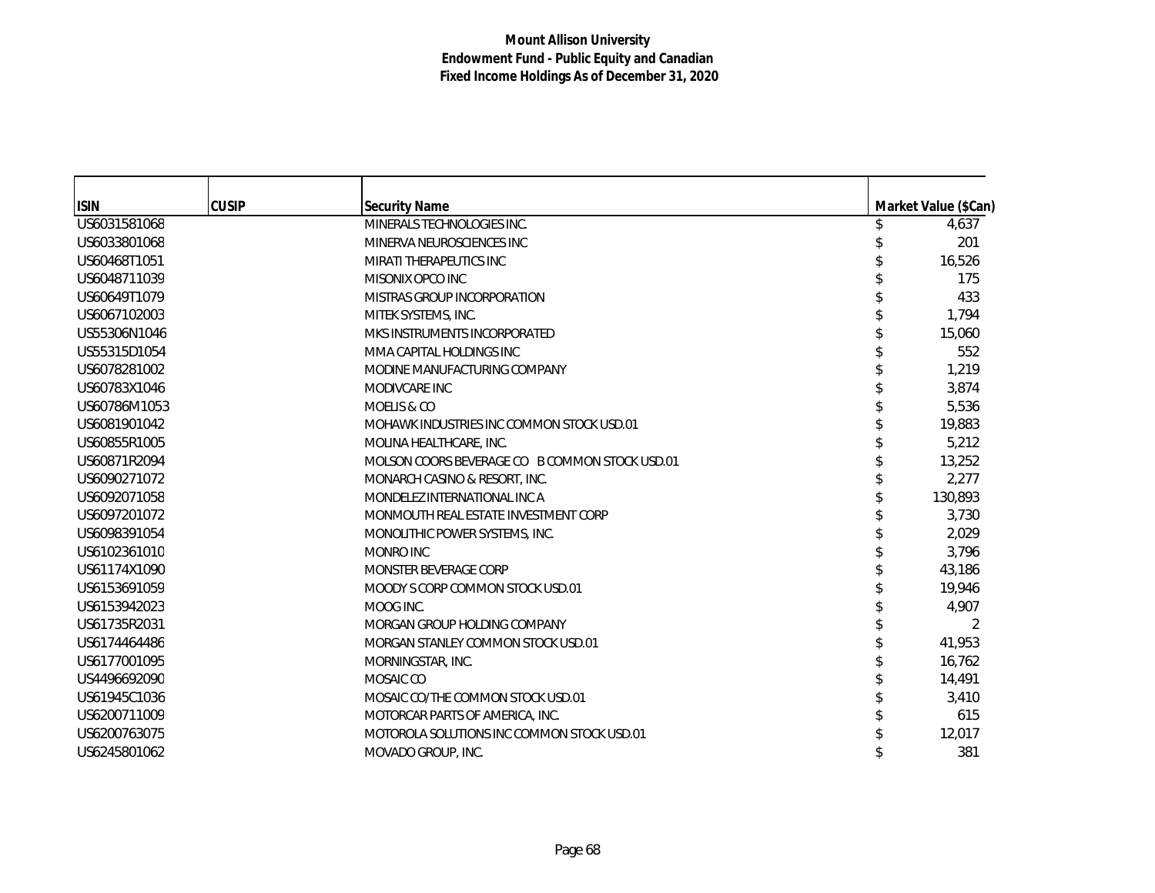| <b>ISIN</b>  | <b>CUSIP</b> | <b>Security Name</b>                           | Market Value (\$Can) |
|--------------|--------------|------------------------------------------------|----------------------|
| US6031581068 |              | MINERALS TECHNOLOGIES INC.                     | 4,637                |
| US6033801068 |              | MINERVA NEUROSCIENCES INC                      | 201                  |
| US60468T1051 |              | MIRATI THERAPEUTICS INC                        | 16,526               |
| US6048711039 |              | MISONIX OPCO INC                               | 175                  |
| US60649T1079 |              | MISTRAS GROUP INCORPORATION                    | 433                  |
| US6067102003 |              | MITEK SYSTEMS, INC.                            | 1,794                |
| US55306N1046 |              | MKS INSTRUMENTS INCORPORATED                   | 15,060               |
| US55315D1054 |              | MMA CAPITAL HOLDINGS INC                       | 552                  |
| US6078281002 |              | MODINE MANUFACTURING COMPANY                   | 1,219                |
| US60783X1046 |              | MODIVCARE INC                                  | 3,874                |
| US60786M1053 |              | MOELIS & CO                                    | 5,536                |
| US6081901042 |              | MOHAWK INDUSTRIES INC COMMON STOCK USD.01      | 19,883               |
| US60855R1005 |              | MOLINA HEALTHCARE, INC.                        | 5,212                |
| US60871R2094 |              | MOLSON COORS BEVERAGE CO B COMMON STOCK USD.01 | 13,252               |
| US6090271072 |              | MONARCH CASINO & RESORT, INC.                  | 2,277                |
| US6092071058 |              | MONDELEZ INTERNATIONAL INC A                   | 130,893              |
| US6097201072 |              | MONMOUTH REAL ESTATE INVESTMENT CORP           | 3,730                |
| US6098391054 |              | MONOLITHIC POWER SYSTEMS, INC.                 | 2,029                |
| US6102361010 |              | MONRO INC                                      | 3,796                |
| US61174X1090 |              | MONSTER BEVERAGE CORP                          | 43,186               |
| US6153691059 |              | MOODY S CORP COMMON STOCK USD.01               | 19.946               |
| US6153942023 |              | MOOG INC.                                      | 4,907                |
| US61735R2031 |              | MORGAN GROUP HOLDING COMPANY                   | 2                    |
| US6174464486 |              | MORGAN STANLEY COMMON STOCK USD.01             | 41,953               |
| US6177001095 |              | MORNINGSTAR, INC.                              | 16,762               |
| US4496692090 |              | MOSAIC CO                                      | 14,491               |
| US61945C1036 |              | MOSAIC CO/THE COMMON STOCK USD.01              | 3,410                |
| US6200711009 |              | MOTORCAR PARTS OF AMERICA, INC.                | 615                  |
| US6200763075 |              | MOTOROLA SOLUTIONS INC COMMON STOCK USD.01     | 12,017               |
| US6245801062 |              | MOVADO GROUP, INC.                             | 381                  |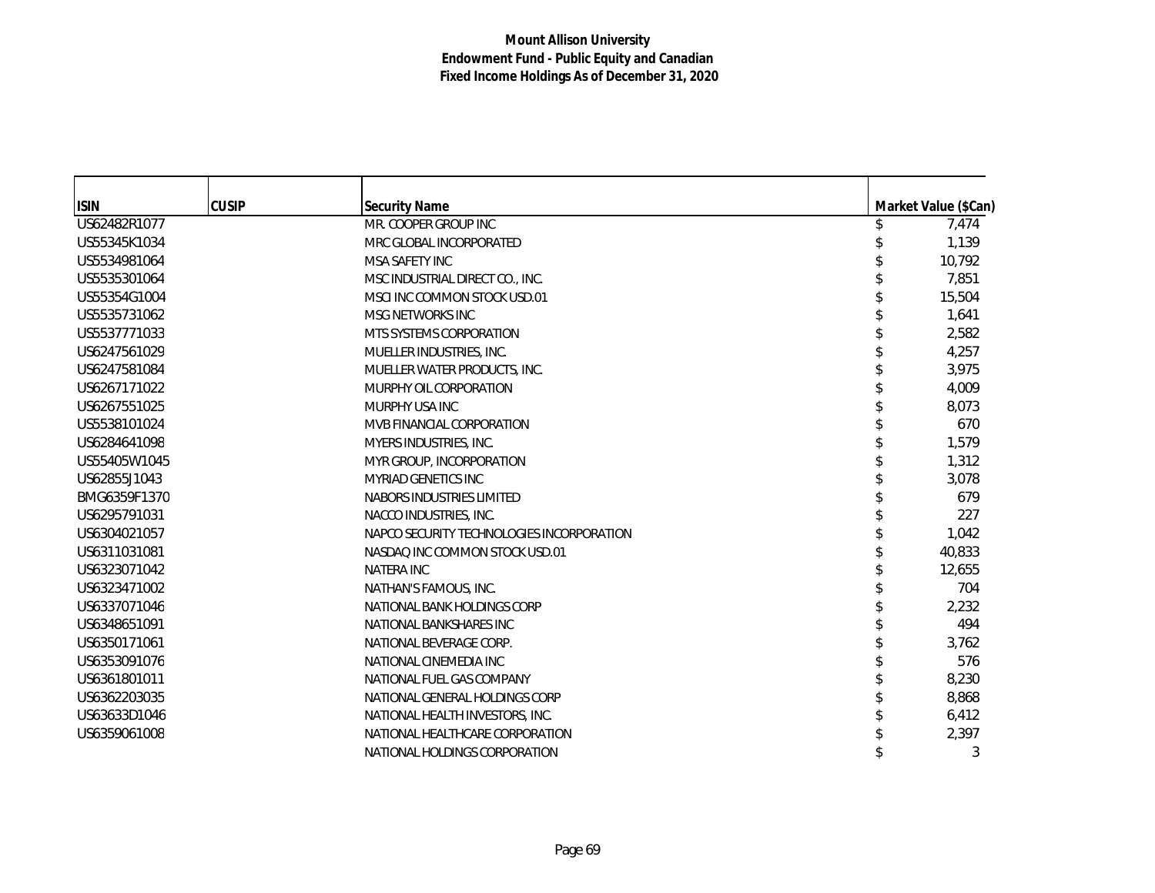| <b>ISIN</b>  | <b>CUSIP</b> | <b>Security Name</b>                      | Market Value (\$Can) |
|--------------|--------------|-------------------------------------------|----------------------|
| US62482R1077 |              | MR. COOPER GROUP INC                      | 7,474                |
| US55345K1034 |              | MRC GLOBAL INCORPORATED                   | 1,139                |
| US5534981064 |              | <b>MSA SAFETY INC</b>                     | 10,792               |
| US5535301064 |              | MSC INDUSTRIAL DIRECT CO., INC.           | 7,851                |
| US55354G1004 |              | MSCI INC COMMON STOCK USD.01              | 15,504               |
| US5535731062 |              | <b>MSG NETWORKS INC</b>                   | 1,641                |
| US5537771033 |              | MTS SYSTEMS CORPORATION                   | 2,582                |
| US6247561029 |              | MUELLER INDUSTRIES, INC.                  | 4,257                |
| US6247581084 |              | MUELLER WATER PRODUCTS, INC.              | 3,975                |
| US6267171022 |              | MURPHY OIL CORPORATION                    | 4,009                |
| US6267551025 |              | MURPHY USA INC                            | 8,073                |
| US5538101024 |              | MVB FINANCIAL CORPORATION                 | 670                  |
| US6284641098 |              | MYERS INDUSTRIES, INC.                    | 1,579                |
| US55405W1045 |              | MYR GROUP, INCORPORATION                  | 1,312                |
| US62855J1043 |              | <b>MYRIAD GENETICS INC</b>                | 3,078                |
| BMG6359F1370 |              | NABORS INDUSTRIES LIMITED                 | 679                  |
| US6295791031 |              | NACCO INDUSTRIES, INC.                    | 227                  |
| US6304021057 |              | NAPCO SECURITY TECHNOLOGIES INCORPORATION | 1,042                |
| US6311031081 |              | NASDAQ INC COMMON STOCK USD.01            | 40,833               |
| US6323071042 |              | <b>NATERA INC</b>                         | 12,655               |
| US6323471002 |              | NATHAN'S FAMOUS, INC.                     | 704                  |
| US6337071046 |              | NATIONAL BANK HOLDINGS CORP               | 2,232                |
| US6348651091 |              | NATIONAL BANKSHARES INC                   | 494                  |
| US6350171061 |              | NATIONAL BEVERAGE CORP.                   | 3,762                |
| US6353091076 |              | NATIONAL CINEMEDIA INC                    | 576                  |
| US6361801011 |              | NATIONAL FUEL GAS COMPANY                 | 8,230                |
| US6362203035 |              | NATIONAL GENERAL HOLDINGS CORP            | 8,868                |
| US63633D1046 |              | NATIONAL HEALTH INVESTORS, INC.           | 6,412                |
| US6359061008 |              | NATIONAL HEALTHCARE CORPORATION           | 2,397                |
|              |              | NATIONAL HOLDINGS CORPORATION             | 3                    |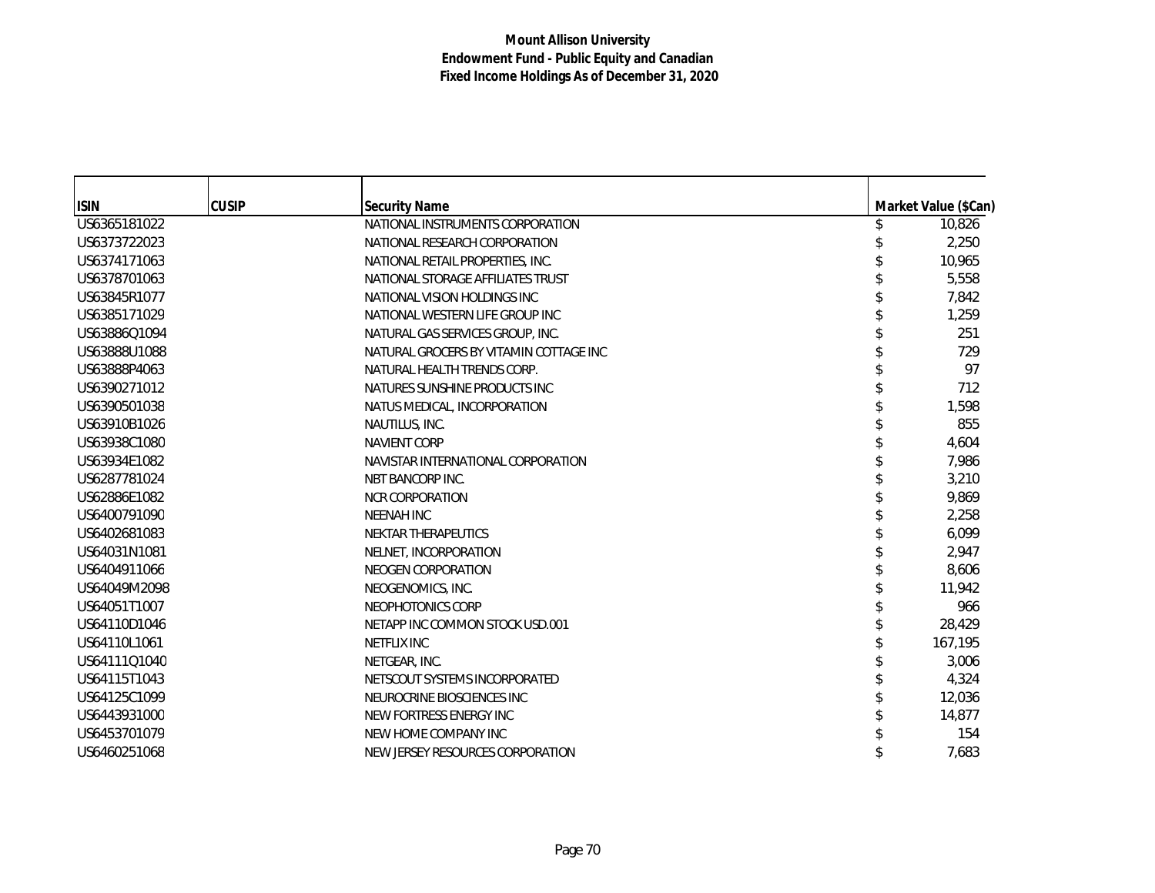| <b>ISIN</b>  | <b>CUSIP</b> | <b>Security Name</b>                   | Market Value (\$Can) |
|--------------|--------------|----------------------------------------|----------------------|
| US6365181022 |              | NATIONAL INSTRUMENTS CORPORATION       | 10,826               |
| US6373722023 |              | NATIONAL RESEARCH CORPORATION          | 2,250                |
| US6374171063 |              | NATIONAL RETAIL PROPERTIES, INC.       | 10,965               |
| US6378701063 |              | NATIONAL STORAGE AFFILIATES TRUST      | 5,558                |
| US63845R1077 |              | NATIONAL VISION HOLDINGS INC           | 7,842                |
| US6385171029 |              | NATIONAL WESTERN LIFE GROUP INC        | 1,259                |
| US63886Q1094 |              | NATURAL GAS SERVICES GROUP, INC.       | 251                  |
| US63888U1088 |              | NATURAL GROCERS BY VITAMIN COTTAGE INC | 729                  |
| US63888P4063 |              | NATURAL HEALTH TRENDS CORP.            | 97                   |
| US6390271012 |              | NATURES SUNSHINE PRODUCTS INC          | 712                  |
| US6390501038 |              | NATUS MEDICAL, INCORPORATION           | 1,598                |
| US63910B1026 |              | NAUTILUS, INC.                         | 855                  |
| US63938C1080 |              | <b>NAVIENT CORP</b>                    | 4,604                |
| US63934E1082 |              | NAVISTAR INTERNATIONAL CORPORATION     | 7,986                |
| US6287781024 |              | <b>NBT BANCORP INC.</b>                | 3,210                |
| US62886E1082 |              | <b>NCR CORPORATION</b>                 | 9,869                |
| US6400791090 |              | <b>NEENAH INC</b>                      | 2,258                |
| US6402681083 |              | <b>NEKTAR THERAPEUTICS</b>             | 6,099                |
| US64031N1081 |              | NELNET, INCORPORATION                  | 2,947                |
| US6404911066 |              | NEOGEN CORPORATION                     | 8,606                |
| US64049M2098 |              | NEOGENOMICS, INC.                      | 11,942               |
| US64051T1007 |              | NEOPHOTONICS CORP                      | 966                  |
| US64110D1046 |              | NETAPP INC COMMON STOCK USD.001        | 28,429               |
| US64110L1061 |              | <b>NETFLIX INC</b>                     | 167,195              |
| US64111Q1040 |              | NETGEAR, INC.                          | 3,006                |
| US64115T1043 |              | NETSCOUT SYSTEMS INCORPORATED          | 4,324                |
| US64125C1099 |              | NEUROCRINE BIOSCIENCES INC             | 12,036               |
| US6443931000 |              | NEW FORTRESS ENERGY INC                | 14,877               |
| US6453701079 |              | NEW HOME COMPANY INC                   | 154                  |
| US6460251068 |              | NEW JERSEY RESOURCES CORPORATION       | 7,683                |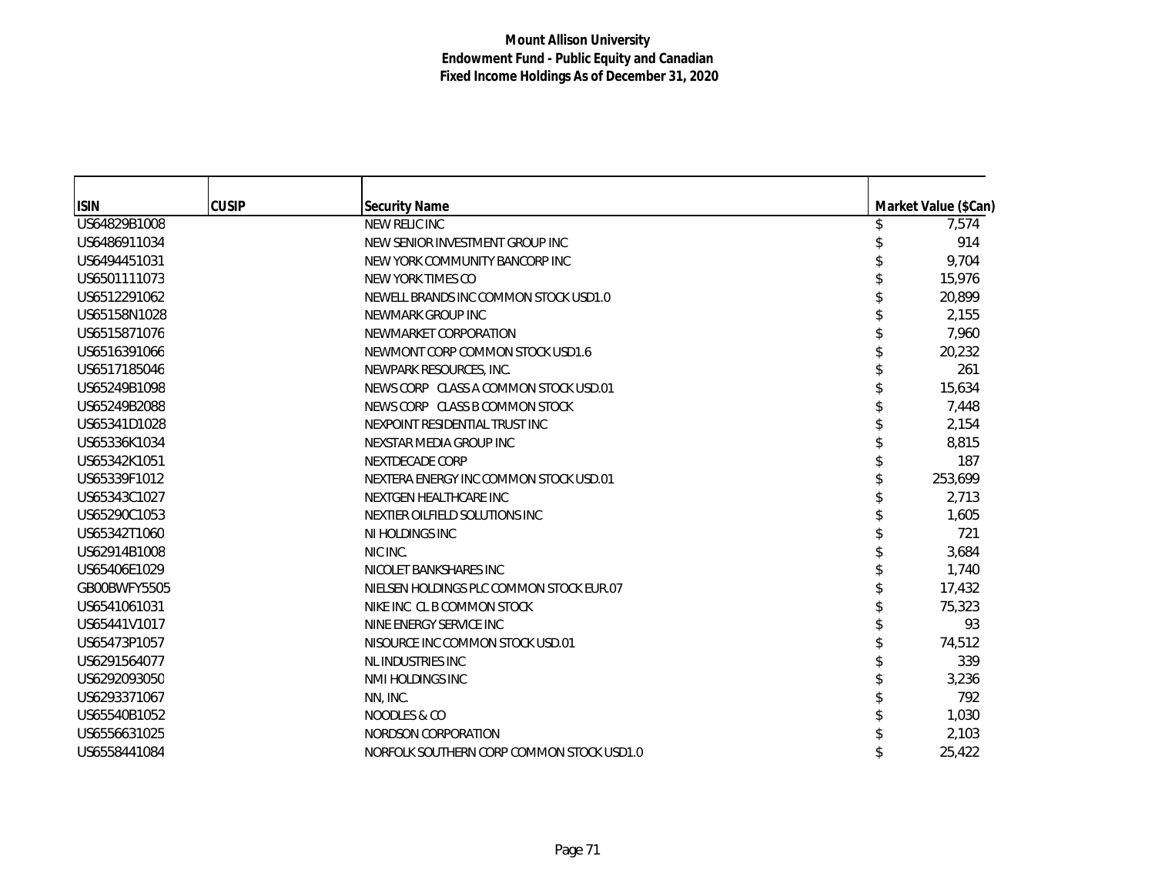| <b>ISIN</b>  | <b>CUSIP</b> | <b>Security Name</b>                      | Market Value (\$Can) |
|--------------|--------------|-------------------------------------------|----------------------|
| US64829B1008 |              | NEW RELIC INC                             | 7,574                |
| US6486911034 |              | NEW SENIOR INVESTMENT GROUP INC           | 914                  |
| US6494451031 |              | NEW YORK COMMUNITY BANCORP INC            | 9,704                |
| US6501111073 |              | NEW YORK TIMES CO                         | 15,976               |
| US6512291062 |              | NEWELL BRANDS INC COMMON STOCK USD1.0     | 20,899               |
| US65158N1028 |              | NEWMARK GROUP INC                         | 2,155                |
| US6515871076 |              | NEWMARKET CORPORATION                     | 7,960                |
| US6516391066 |              | NEWMONT CORP COMMON STOCK USD1.6          | 20,232               |
| US6517185046 |              | NEWPARK RESOURCES, INC.                   | 261                  |
| US65249B1098 |              | NEWS CORP CLASS A COMMON STOCK USD.01     | 15,634               |
| US65249B2088 |              | NEWS CORP CLASS B COMMON STOCK            | 7,448                |
| US65341D1028 |              | NEXPOINT RESIDENTIAL TRUST INC            | 2,154                |
| US65336K1034 |              | NEXSTAR MEDIA GROUP INC                   | 8,815                |
| US65342K1051 |              | <b>NEXTDECADE CORP</b>                    | 187                  |
| US65339F1012 |              | NEXTERA ENERGY INC COMMON STOCK USD.01    | 253,699              |
| US65343C1027 |              | NEXTGEN HEALTHCARE INC                    | 2,713                |
| US65290C1053 |              | NEXTIER OILFIELD SOLUTIONS INC            | 1,605                |
| US65342T1060 |              | NI HOLDINGS INC                           | 721                  |
| US62914B1008 |              | NIC INC.                                  | 3,684                |
| US65406E1029 |              | NICOLET BANKSHARES INC                    | 1,740                |
| GB00BWFY5505 |              | NIELSEN HOLDINGS PLC COMMON STOCK EUR.07  | 17,432               |
| US6541061031 |              | NIKE INC CL B COMMON STOCK                | 75,323               |
| US65441V1017 |              | NINE ENERGY SERVICE INC                   | 93                   |
| US65473P1057 |              | NISOURCE INC COMMON STOCK USD.01          | 74,512               |
| US6291564077 |              | NL INDUSTRIES INC                         | 339                  |
| US6292093050 |              | NMI HOLDINGS INC                          | 3,236                |
| US6293371067 |              | NN, INC.                                  | 792                  |
| US65540B1052 |              | NOODLES & CO                              | 1,030                |
| US6556631025 |              | NORDSON CORPORATION                       | 2,103                |
| US6558441084 |              | NORFOLK SOUTHERN CORP COMMON STOCK USD1.0 | 25,422               |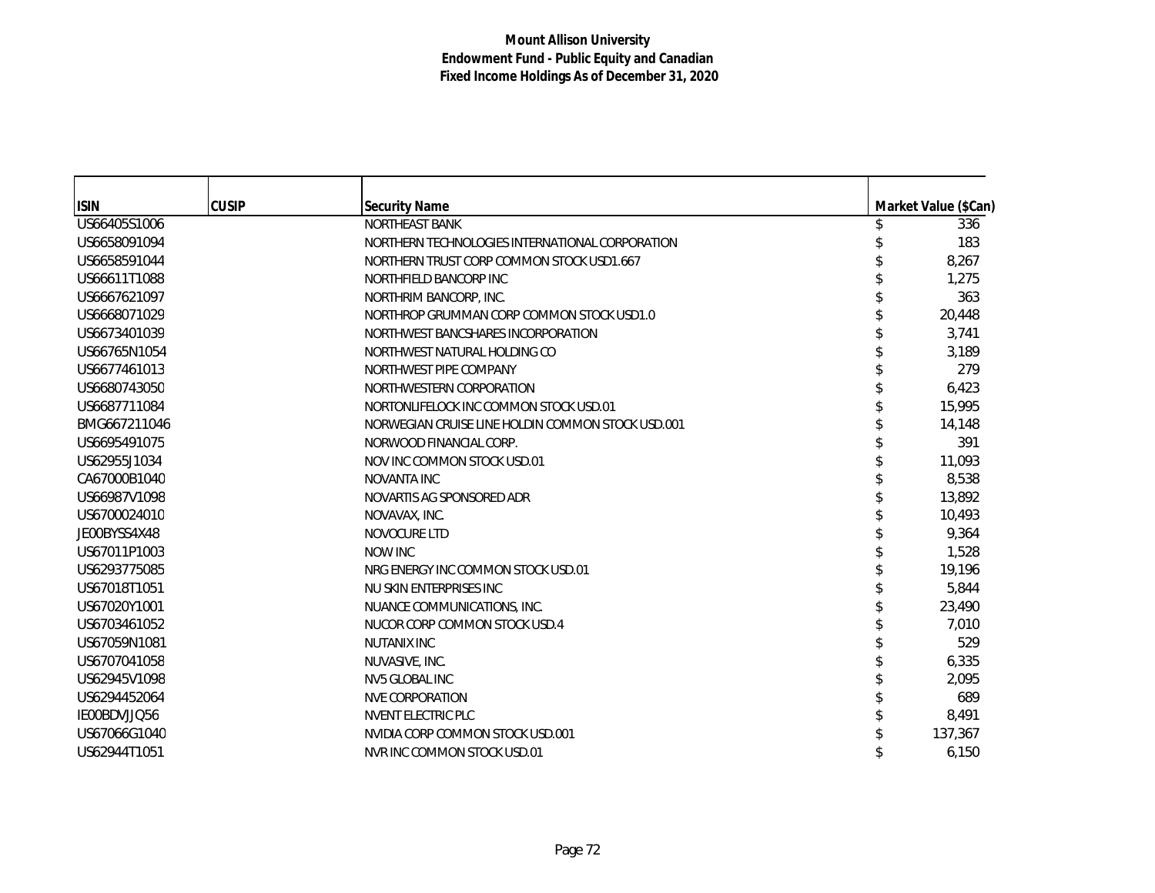| <b>ISIN</b>  | <b>CUSIP</b> | <b>Security Name</b>                              | Market Value (\$Can) |
|--------------|--------------|---------------------------------------------------|----------------------|
| US66405S1006 |              | <b>NORTHEAST BANK</b>                             | 336                  |
| US6658091094 |              | NORTHERN TECHNOLOGIES INTERNATIONAL CORPORATION   | 183                  |
| US6658591044 |              | NORTHERN TRUST CORP COMMON STOCK USD1.667         | 8,267                |
| US66611T1088 |              | NORTHFIELD BANCORP INC                            | 1,275                |
| US6667621097 |              | NORTHRIM BANCORP, INC.                            | 363                  |
| US6668071029 |              | NORTHROP GRUMMAN CORP COMMON STOCK USD1.0         | 20,448               |
| US6673401039 |              | NORTHWEST BANCSHARES INCORPORATION                | 3,741                |
| US66765N1054 |              | NORTHWEST NATURAL HOLDING CO                      | 3,189                |
| US6677461013 |              | NORTHWEST PIPE COMPANY                            | 279                  |
| US6680743050 |              | NORTHWESTERN CORPORATION                          | 6,423                |
| US6687711084 |              | NORTONLIFELOCK INC COMMON STOCK USD.01            | 15,995               |
| BMG667211046 |              | NORWEGIAN CRUISE LINE HOLDIN COMMON STOCK USD.001 | 14,148               |
| US6695491075 |              | NORWOOD FINANCIAL CORP.                           | 391                  |
| US62955J1034 |              | NOV INC COMMON STOCK USD.01                       | 11,093               |
| CA67000B1040 |              | <b>NOVANTA INC</b>                                | 8,538                |
| US66987V1098 |              | NOVARTIS AG SPONSORED ADR                         | 13,892               |
| US6700024010 |              | NOVAVAX, INC.                                     | 10,493               |
| JE00BYSS4X48 |              | NOVOCURE LTD                                      | 9,364                |
| US67011P1003 |              | <b>NOW INC</b>                                    | 1,528                |
| US6293775085 |              | NRG ENERGY INC COMMON STOCK USD.01                | 19,196               |
| US67018T1051 |              | NU SKIN ENTERPRISES INC                           | 5,844                |
| US67020Y1001 |              | NUANCE COMMUNICATIONS, INC.                       | 23,490               |
| US6703461052 |              | NUCOR CORP COMMON STOCK USD.4                     | 7.010                |
| US67059N1081 |              | <b>NUTANIX INC</b>                                | 529                  |
| US6707041058 |              | NUVASIVE, INC.                                    | 6,335                |
| US62945V1098 |              | NV5 GLOBAL INC                                    | 2,095                |
| US6294452064 |              | <b>NVE CORPORATION</b>                            | 689                  |
| IE00BDVJJQ56 |              | <b>NVENT ELECTRIC PLC</b>                         | 8,491                |
| US67066G1040 |              | NVIDIA CORP COMMON STOCK USD.001                  | 137,367              |
| US62944T1051 |              | NVR INC COMMON STOCK USD.01                       | 6,150                |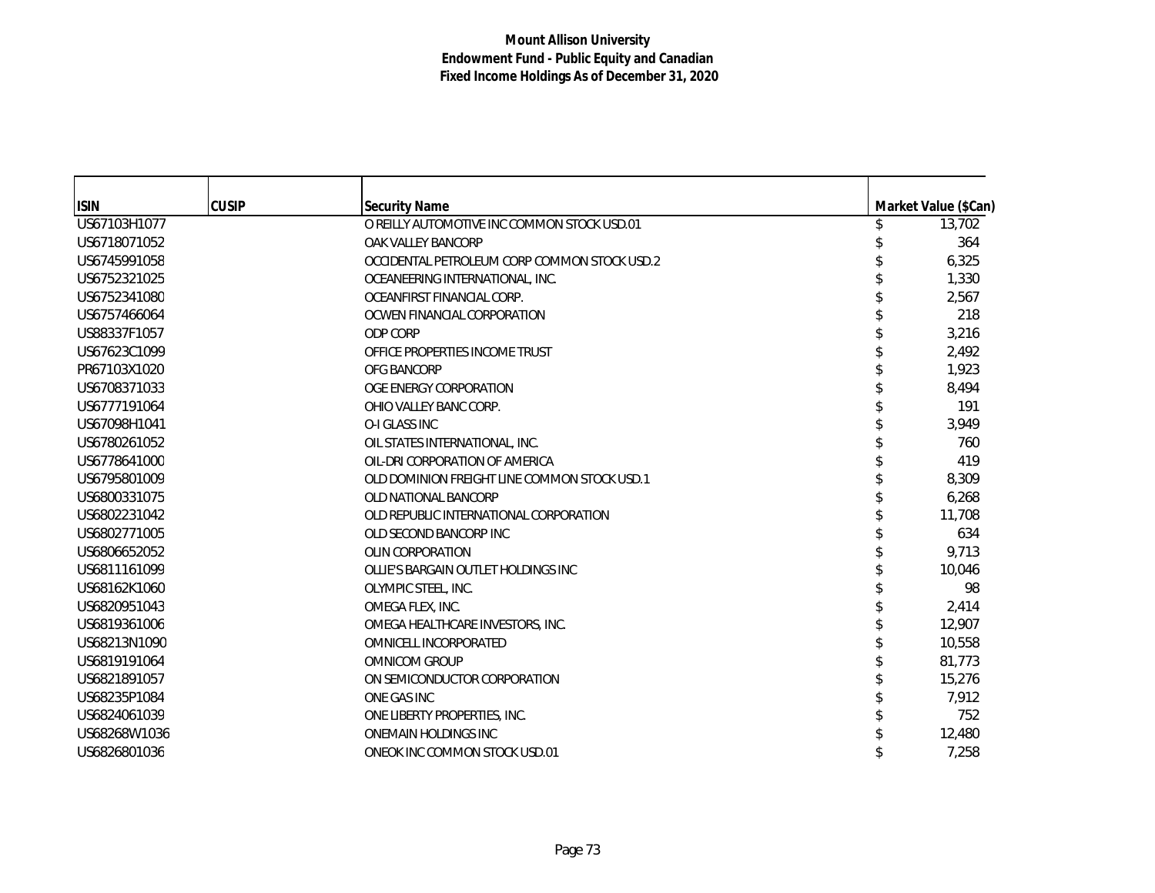| <b>ISIN</b>  | <b>CUSIP</b> | <b>Security Name</b>                         | Market Value (\$Can) |
|--------------|--------------|----------------------------------------------|----------------------|
| US67103H1077 |              | O REILLY AUTOMOTIVE INC COMMON STOCK USD.01  | 13,702               |
| US6718071052 |              | OAK VALLEY BANCORP                           | 364                  |
| US6745991058 |              | OCCIDENTAL PETROLEUM CORP COMMON STOCK USD.2 | 6,325                |
| US6752321025 |              | OCEANEERING INTERNATIONAL, INC.              | 1,330                |
| US6752341080 |              | OCEANFIRST FINANCIAL CORP.                   | 2,567                |
| US6757466064 |              | OCWEN FINANCIAL CORPORATION                  | 218                  |
| US88337F1057 |              | ODP CORP                                     | 3,216                |
| US67623C1099 |              | OFFICE PROPERTIES INCOME TRUST               | 2,492                |
| PR67103X1020 |              | <b>OFG BANCORP</b>                           | 1,923                |
| US6708371033 |              | OGE ENERGY CORPORATION                       | 8,494                |
| US6777191064 |              | OHIO VALLEY BANC CORP.                       | 191                  |
| US67098H1041 |              | O-I GLASS INC                                | 3,949                |
| US6780261052 |              | OIL STATES INTERNATIONAL, INC.               | 760                  |
| US6778641000 |              | OIL-DRI CORPORATION OF AMERICA               | 419                  |
| US6795801009 |              | OLD DOMINION FREIGHT LINE COMMON STOCK USD.1 | 8,309                |
| US6800331075 |              | OLD NATIONAL BANCORP                         | 6,268                |
| US6802231042 |              | OLD REPUBLIC INTERNATIONAL CORPORATION       | 11,708               |
| US6802771005 |              | OLD SECOND BANCORP INC                       | 634                  |
| US6806652052 |              | OLIN CORPORATION                             | 9,713                |
| US6811161099 |              | OLLIE'S BARGAIN OUTLET HOLDINGS INC          | 10.046               |
| US68162K1060 |              | OLYMPIC STEEL, INC.                          | 98                   |
| US6820951043 |              | OMEGA FLEX, INC.                             | 2,414                |
| US6819361006 |              | OMEGA HEALTHCARE INVESTORS, INC.             | 12,907               |
| US68213N1090 |              | OMNICELL INCORPORATED                        | 10,558               |
| US6819191064 |              | <b>OMNICOM GROUP</b>                         | 81,773               |
| US6821891057 |              | ON SEMICONDUCTOR CORPORATION                 | 15,276               |
| US68235P1084 |              | ONE GAS INC                                  | 7,912                |
| US6824061039 |              | ONE LIBERTY PROPERTIES, INC.                 | 752                  |
| US68268W1036 |              | <b>ONEMAIN HOLDINGS INC</b>                  | 12,480               |
| US6826801036 |              | ONEOK INC COMMON STOCK USD.01                | 7,258                |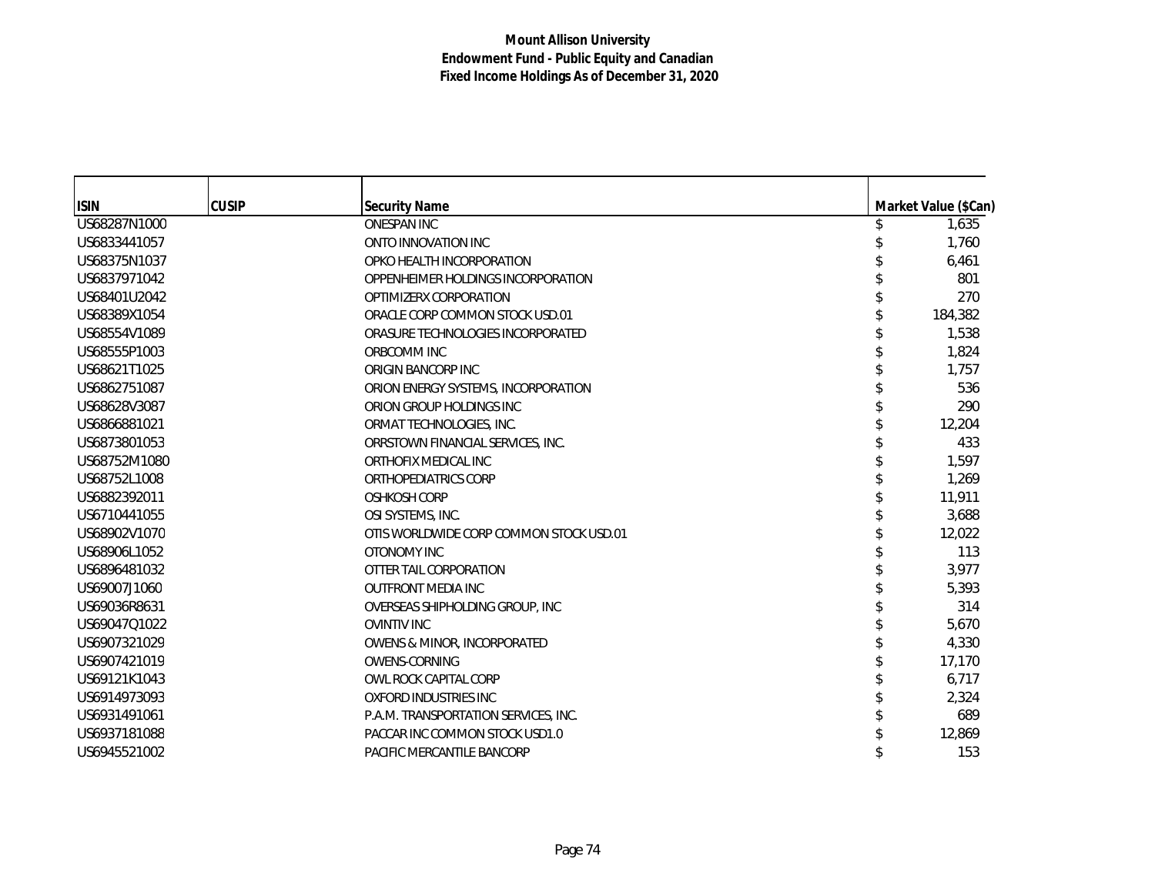| <b>ISIN</b>  | <b>CUSIP</b> | <b>Security Name</b>                    | Market Value (\$Can) |
|--------------|--------------|-----------------------------------------|----------------------|
| US68287N1000 |              | <b>ONESPAN INC</b>                      | 1,635                |
| US6833441057 |              | ONTO INNOVATION INC                     | 1,760                |
| US68375N1037 |              | OPKO HEALTH INCORPORATION               | 6,461                |
| US6837971042 |              | OPPENHEIMER HOLDINGS INCORPORATION      | 801                  |
| US68401U2042 |              | OPTIMIZERX CORPORATION                  | 270                  |
| US68389X1054 |              | ORACLE CORP COMMON STOCK USD.01         | 184,382              |
| US68554V1089 |              | ORASURE TECHNOLOGIES INCORPORATED       | 1,538                |
| US68555P1003 |              | ORBCOMM INC                             | 1,824                |
| US68621T1025 |              | ORIGIN BANCORP INC                      | 1,757                |
| US6862751087 |              | ORION ENERGY SYSTEMS, INCORPORATION     | 536                  |
| US68628V3087 |              | ORION GROUP HOLDINGS INC                | 290                  |
| US6866881021 |              | ORMAT TECHNOLOGIES, INC.                | 12,204               |
| US6873801053 |              | ORRSTOWN FINANCIAL SERVICES. INC.       | 433                  |
| US68752M1080 |              | ORTHOFIX MEDICAL INC                    | 1,597                |
| US68752L1008 |              | ORTHOPEDIATRICS CORP                    | 1,269                |
| US6882392011 |              | <b>OSHKOSH CORP</b>                     | 11,911               |
| US6710441055 |              | OSI SYSTEMS, INC.                       | 3,688                |
| US68902V1070 |              | OTIS WORLDWIDE CORP COMMON STOCK USD.01 | 12,022               |
| US68906L1052 |              | OTONOMY INC                             | 113                  |
| US6896481032 |              | OTTER TAIL CORPORATION                  | 3,977                |
| US69007J1060 |              | <b>OUTFRONT MEDIA INC</b>               | 5,393                |
| US69036R8631 |              | OVERSEAS SHIPHOLDING GROUP, INC         | 314                  |
| US69047Q1022 |              | <b>OVINTIV INC</b>                      | 5,670                |
| US6907321029 |              | OWENS & MINOR, INCORPORATED             | 4,330                |
| US6907421019 |              | <b>OWENS-CORNING</b>                    | 17,170               |
| US69121K1043 |              | OWL ROCK CAPITAL CORP                   | 6,717                |
| US6914973093 |              | OXFORD INDUSTRIES INC                   | 2,324                |
| US6931491061 |              | P.A.M. TRANSPORTATION SERVICES, INC.    | 689                  |
| US6937181088 |              | PACCAR INC COMMON STOCK USD1.0          | 12,869               |
| US6945521002 |              | PACIFIC MERCANTILE BANCORP              | 153                  |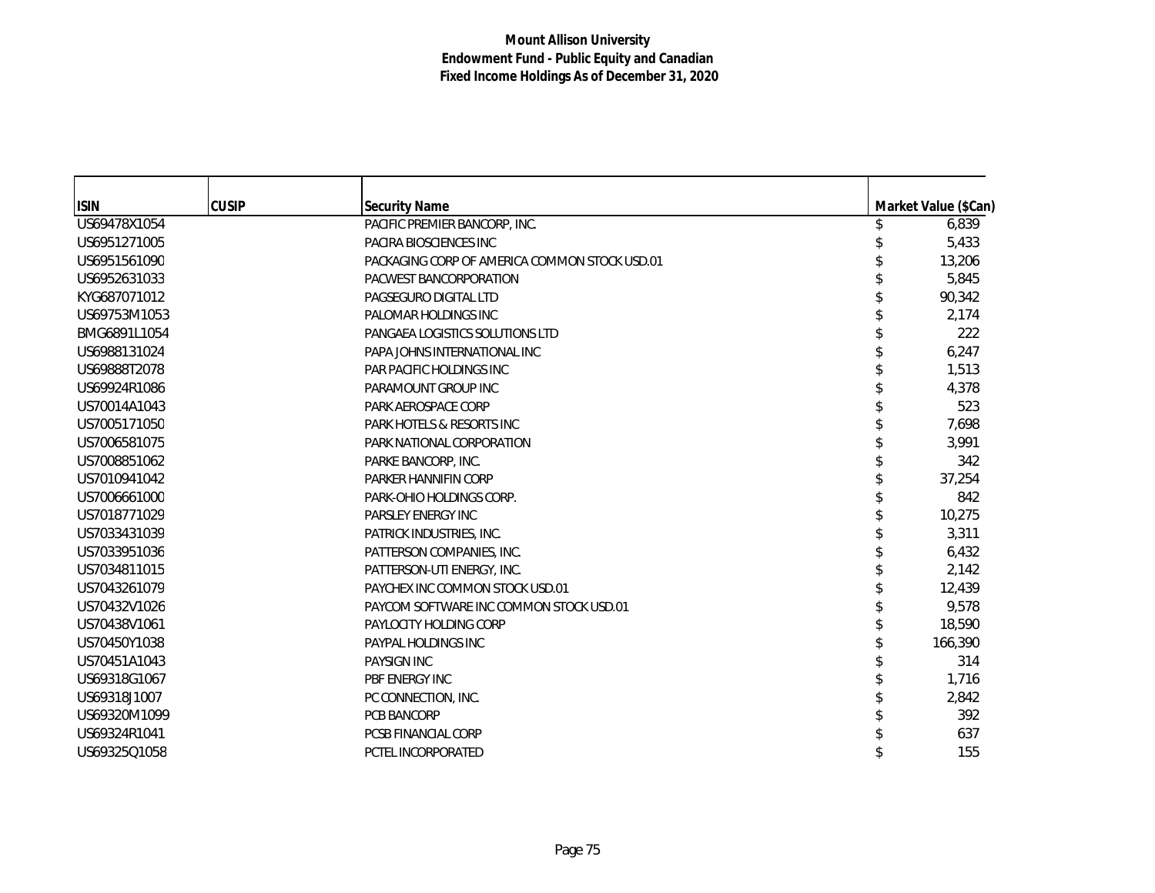| <b>ISIN</b>  | <b>CUSIP</b> | <b>Security Name</b>                          | Market Value (\$Can) |
|--------------|--------------|-----------------------------------------------|----------------------|
| US69478X1054 |              | PACIFIC PREMIER BANCORP, INC.                 | 6,839                |
| US6951271005 |              | PACIRA BIOSCIENCES INC                        | 5,433                |
| US6951561090 |              | PACKAGING CORP OF AMERICA COMMON STOCK USD.01 | 13,206               |
| US6952631033 |              | PACWEST BANCORPORATION                        | 5,845                |
| KYG687071012 |              | PAGSEGURO DIGITAL LTD                         | 90,342               |
| US69753M1053 |              | PALOMAR HOLDINGS INC                          | 2,174                |
| BMG6891L1054 |              | PANGAEA LOGISTICS SOLUTIONS LTD               | 222                  |
| US6988131024 |              | PAPA JOHNS INTERNATIONAL INC                  | 6,247                |
| US69888T2078 |              | PAR PACIFIC HOLDINGS INC                      | 1,513                |
| US69924R1086 |              | PARAMOUNT GROUP INC                           | 4,378                |
| US70014A1043 |              | PARK AEROSPACE CORP                           | 523                  |
| US7005171050 |              | PARK HOTELS & RESORTS INC                     | 7,698                |
| US7006581075 |              | PARK NATIONAL CORPORATION                     | 3,991                |
| US7008851062 |              | PARKE BANCORP, INC.                           | 342                  |
| US7010941042 |              | PARKER HANNIFIN CORP                          | 37,254               |
| US7006661000 |              | PARK-OHIO HOLDINGS CORP.                      | 842                  |
| US7018771029 |              | PARSLEY ENERGY INC                            | 10,275               |
| US7033431039 |              | PATRICK INDUSTRIES, INC.                      | 3,311                |
| US7033951036 |              | PATTERSON COMPANIES, INC.                     | 6,432                |
| US7034811015 |              | PATTERSON-UTI ENERGY, INC.                    | 2,142                |
| US7043261079 |              | PAYCHEX INC COMMON STOCK USD.01               | 12,439               |
| US70432V1026 |              | PAYCOM SOFTWARE INC COMMON STOCK USD.01       | 9,578                |
| US70438V1061 |              | PAYLOCITY HOLDING CORP                        | 18,590               |
| US70450Y1038 |              | PAYPAL HOLDINGS INC                           | 166,390              |
| US70451A1043 |              | <b>PAYSIGN INC</b>                            | 314                  |
| US69318G1067 |              | PBF ENERGY INC                                | 1,716                |
| US69318J1007 |              | PC CONNECTION, INC.                           | 2,842                |
| US69320M1099 |              | PCB BANCORP                                   | 392                  |
| US69324R1041 |              | <b>PCSB FINANCIAL CORP</b>                    | 637                  |
| US69325Q1058 |              | PCTEL INCORPORATED                            | 155                  |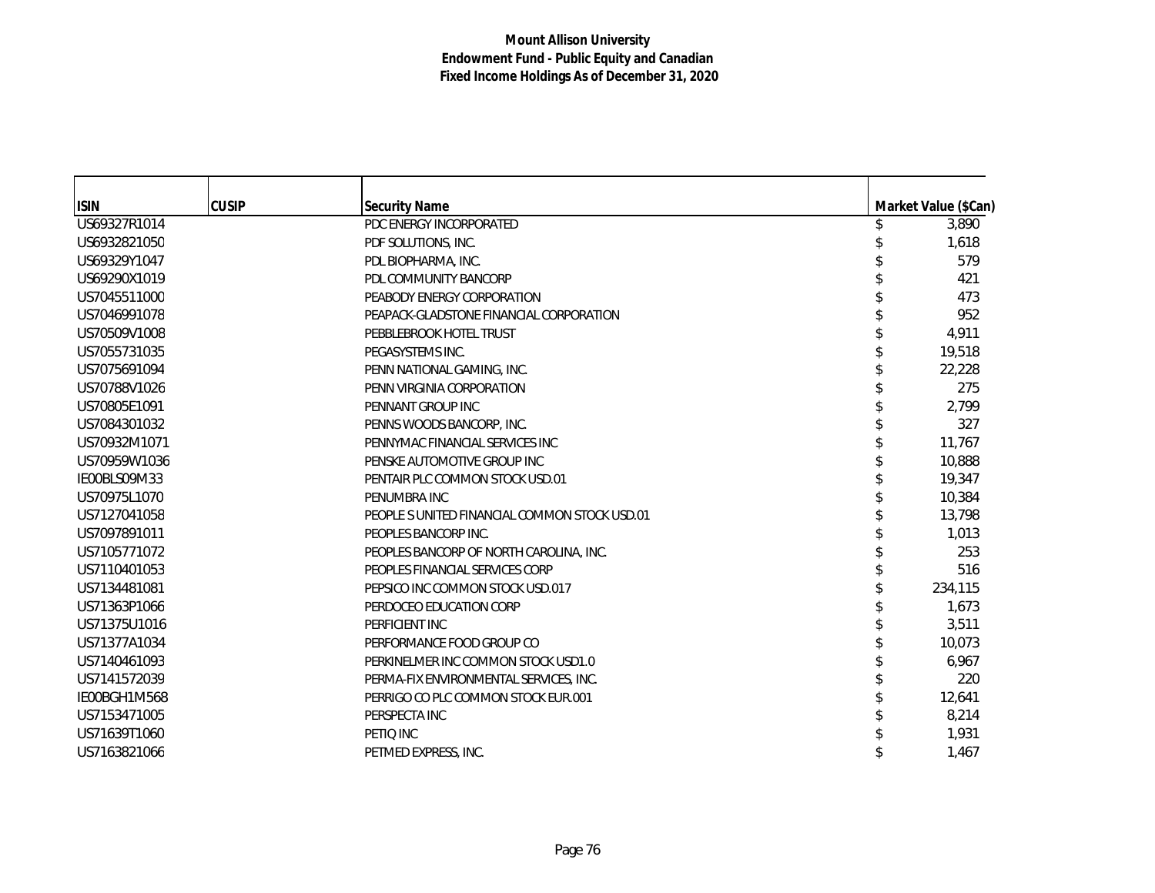| <b>ISIN</b>  | <b>CUSIP</b> | <b>Security Name</b>                         | Market Value (\$Can) |
|--------------|--------------|----------------------------------------------|----------------------|
| US69327R1014 |              | PDC ENERGY INCORPORATED                      | 3,890                |
| US6932821050 |              | PDF SOLUTIONS, INC.                          | 1,618                |
| US69329Y1047 |              | PDL BIOPHARMA, INC.                          | 579                  |
| US69290X1019 |              | PDL COMMUNITY BANCORP                        | 421                  |
| US7045511000 |              | PEABODY ENERGY CORPORATION                   | 473                  |
| US7046991078 |              | PEAPACK-GLADSTONE FINANCIAL CORPORATION      | 952                  |
| US70509V1008 |              | PEBBLEBROOK HOTEL TRUST                      | 4,911                |
| US7055731035 |              | PEGASYSTEMS INC.                             | 19,518               |
| US7075691094 |              | PENN NATIONAL GAMING, INC.                   | 22,228               |
| US70788V1026 |              | PENN VIRGINIA CORPORATION                    | 275                  |
| US70805E1091 |              | PENNANT GROUP INC                            | 2,799                |
| US7084301032 |              | PENNS WOODS BANCORP, INC.                    | 327                  |
| US70932M1071 |              | PENNYMAC FINANCIAL SERVICES INC              | 11,767               |
| US70959W1036 |              | PENSKE AUTOMOTIVE GROUP INC                  | 10,888               |
| IE00BLS09M33 |              | PENTAIR PLC COMMON STOCK USD.01              | 19,347               |
| US70975L1070 |              | PENUMBRA INC                                 | 10,384               |
| US7127041058 |              | PEOPLE SUNITED FINANCIAL COMMON STOCK USD.01 | 13,798               |
| US7097891011 |              | PEOPLES BANCORP INC.                         | 1,013                |
| US7105771072 |              | PEOPLES BANCORP OF NORTH CAROLINA, INC.      | 253                  |
| US7110401053 |              | PEOPLES FINANCIAL SERVICES CORP              | 516                  |
| US7134481081 |              | PEPSICO INC COMMON STOCK USD.017             | 234,115              |
| US71363P1066 |              | PERDOCEO EDUCATION CORP                      | 1,673                |
| US71375U1016 |              | PERFICIENT INC                               | 3,511                |
| US71377A1034 |              | PERFORMANCE FOOD GROUP CO                    | 10.073               |
| US7140461093 |              | PERKINELMER INC COMMON STOCK USD1.0          | 6,967                |
| US7141572039 |              | PERMA-FIX ENVIRONMENTAL SERVICES, INC.       | 220                  |
| IE00BGH1M568 |              | PERRIGO CO PLC COMMON STOCK EUR.001          | 12,641               |
| US7153471005 |              | PERSPECTA INC                                | 8,214                |
| US71639T1060 |              | PETIO INC                                    | 1,931                |
| US7163821066 |              | PETMED EXPRESS, INC.                         | 1,467                |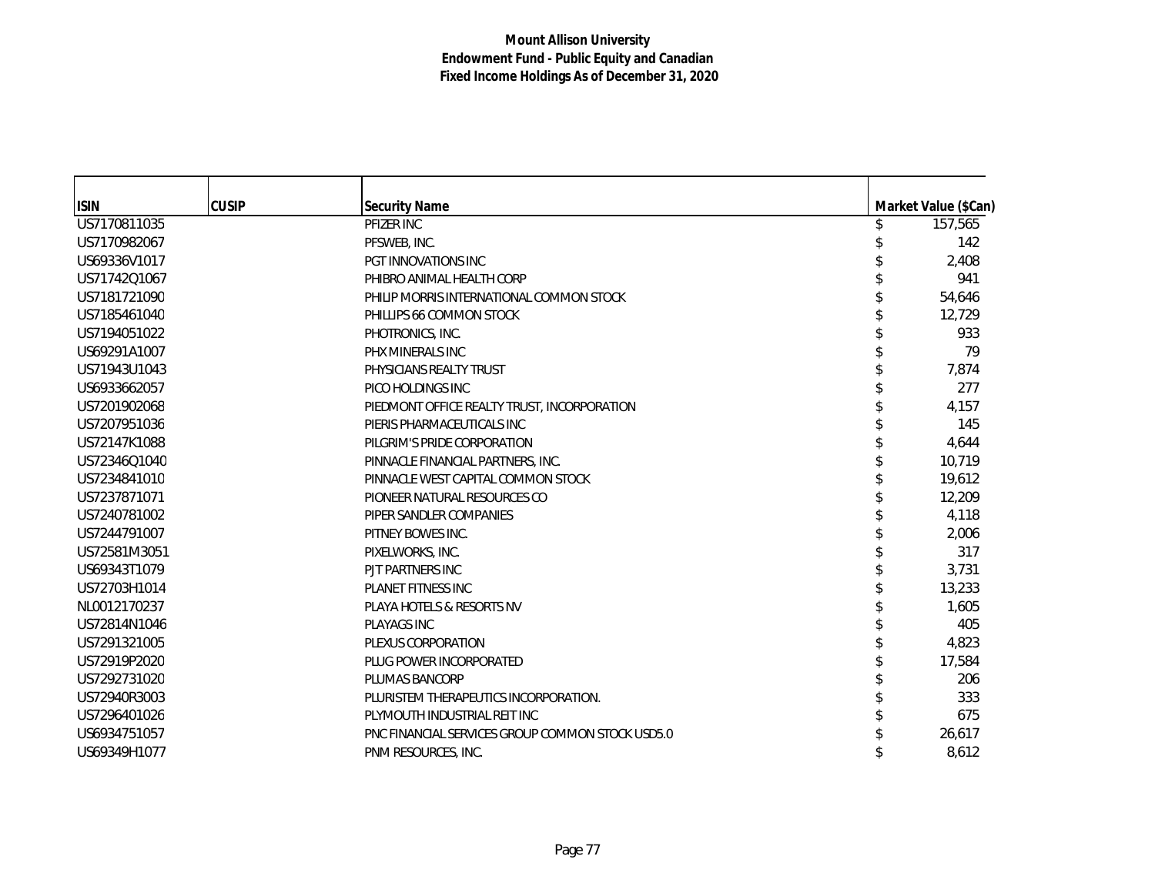| <b>ISIN</b>  | <b>CUSIP</b> | <b>Security Name</b>                             | Market Value (\$Can) |
|--------------|--------------|--------------------------------------------------|----------------------|
| US7170811035 |              | PFIZER INC                                       | 157,565              |
| US7170982067 |              | PFSWEB, INC.                                     | 142                  |
| US69336V1017 |              | PGT INNOVATIONS INC                              | 2,408                |
| US71742Q1067 |              | PHIBRO ANIMAL HEALTH CORP                        | 941                  |
| US7181721090 |              | PHILIP MORRIS INTERNATIONAL COMMON STOCK         | 54,646               |
| US7185461040 |              | PHILLIPS 66 COMMON STOCK                         | 12,729               |
| US7194051022 |              | PHOTRONICS, INC.                                 | 933                  |
| US69291A1007 |              | PHX MINERALS INC                                 | 79                   |
| US71943U1043 |              | PHYSICIANS REALTY TRUST                          | 7,874                |
| US6933662057 |              | PICO HOLDINGS INC                                | 277                  |
| US7201902068 |              | PIEDMONT OFFICE REALTY TRUST. INCORPORATION      | 4,157                |
| US7207951036 |              | PIERIS PHARMACEUTICALS INC                       | 145                  |
| US72147K1088 |              | PILGRIM'S PRIDE CORPORATION                      | 4,644                |
| US72346Q1040 |              | PINNACLE FINANCIAL PARTNERS, INC.                | 10,719               |
| US7234841010 |              | PINNACLE WEST CAPITAL COMMON STOCK               | 19,612               |
| US7237871071 |              | PIONEER NATURAL RESOURCES CO                     | 12,209               |
| US7240781002 |              | PIPER SANDLER COMPANIES                          | 4,118                |
| US7244791007 |              | PITNEY BOWES INC.                                | 2,006                |
| US72581M3051 |              | PIXELWORKS, INC.                                 | 317                  |
| US69343T1079 |              | PJT PARTNERS INC                                 | 3,731                |
| US72703H1014 |              | <b>PLANET FITNESS INC</b>                        | 13,233               |
| NL0012170237 |              | PLAYA HOTELS & RESORTS NV                        | 1,605                |
| US72814N1046 |              | <b>PLAYAGS INC</b>                               | 405                  |
| US7291321005 |              | PLEXUS CORPORATION                               | 4,823                |
| US72919P2020 |              | PLUG POWER INCORPORATED                          | 17,584               |
| US7292731020 |              | PLUMAS BANCORP                                   | 206                  |
| US72940R3003 |              | PLURISTEM THERAPEUTICS INCORPORATION.            | 333                  |
| US7296401026 |              | PLYMOUTH INDUSTRIAL REIT INC                     | 675                  |
| US6934751057 |              | PNC FINANCIAL SERVICES GROUP COMMON STOCK USD5.0 | 26,617               |
| US69349H1077 |              | PNM RESOURCES. INC.                              | 8,612                |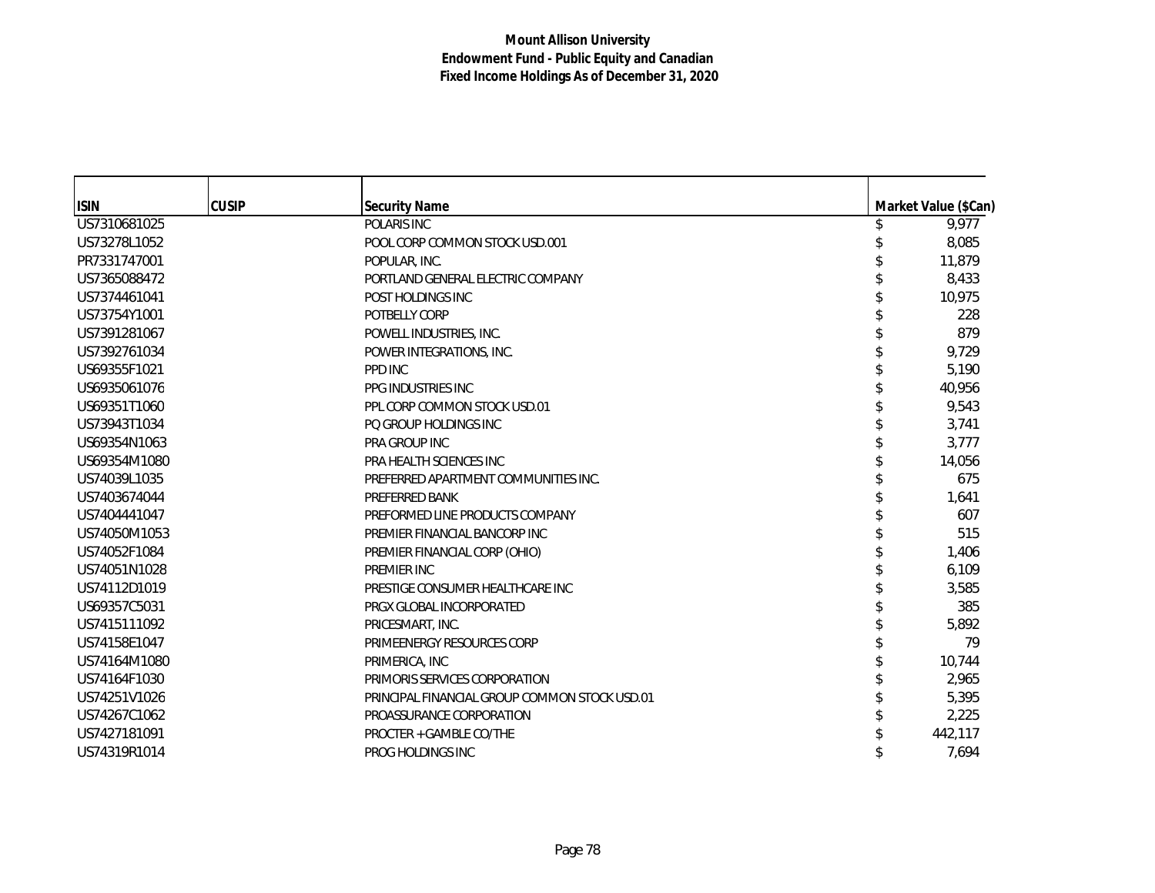| <b>ISIN</b>  | <b>CUSIP</b> | <b>Security Name</b>                          | Market Value (\$Can) |
|--------------|--------------|-----------------------------------------------|----------------------|
| US7310681025 |              | POLARIS INC                                   | \$<br>9,977          |
| US73278L1052 |              | POOL CORP COMMON STOCK USD.001                | 8,085                |
| PR7331747001 |              | POPULAR, INC.                                 | 11.879               |
| US7365088472 |              | PORTLAND GENERAL ELECTRIC COMPANY             | 8,433                |
| US7374461041 |              | POST HOLDINGS INC                             | 10,975               |
| US73754Y1001 |              | POTBELLY CORP                                 | 228                  |
| US7391281067 |              | POWELL INDUSTRIES, INC.                       | 879                  |
| US7392761034 |              | POWER INTEGRATIONS, INC.                      | 9,729                |
| US69355F1021 |              | PPD INC                                       | 5,190                |
| US6935061076 |              | PPG INDUSTRIES INC                            | 40,956               |
| US69351T1060 |              | PPL CORP COMMON STOCK USD.01                  | 9,543                |
| US73943T1034 |              | PO GROUP HOLDINGS INC                         | 3,741                |
| US69354N1063 |              | PRA GROUP INC                                 | 3.777                |
| US69354M1080 |              | PRA HEALTH SCIENCES INC                       | 14,056               |
| US74039L1035 |              | PREFERRED APARTMENT COMMUNITIES INC.          | 675                  |
| US7403674044 |              | PREFERRED BANK                                | 1.641                |
| US7404441047 |              | PREFORMED LINE PRODUCTS COMPANY               | 607                  |
| US74050M1053 |              | PREMIER FINANCIAL BANCORP INC                 | 515                  |
| US74052F1084 |              | PREMIER FINANCIAL CORP (OHIO)                 | 1,406                |
| US74051N1028 |              | PREMIER INC                                   | 6,109                |
| US74112D1019 |              | PRESTIGE CONSUMER HEALTHCARE INC              | 3,585                |
| US69357C5031 |              | PRGX GLOBAL INCORPORATED                      | 385                  |
| US7415111092 |              | PRICESMART, INC.                              | 5,892                |
| US74158E1047 |              | PRIMEENERGY RESOURCES CORP                    | 79                   |
| US74164M1080 |              | PRIMERICA, INC                                | 10,744               |
| US74164F1030 |              | PRIMORIS SERVICES CORPORATION                 | 2,965                |
| US74251V1026 |              | PRINCIPAL FINANCIAL GROUP COMMON STOCK USD.01 | 5,395                |
| US74267C1062 |              | PROASSURANCE CORPORATION                      | 2,225                |
| US7427181091 |              | PROCTER + GAMBLE CO/THE                       | 442,117              |
| US74319R1014 |              | PROG HOLDINGS INC                             | 7,694                |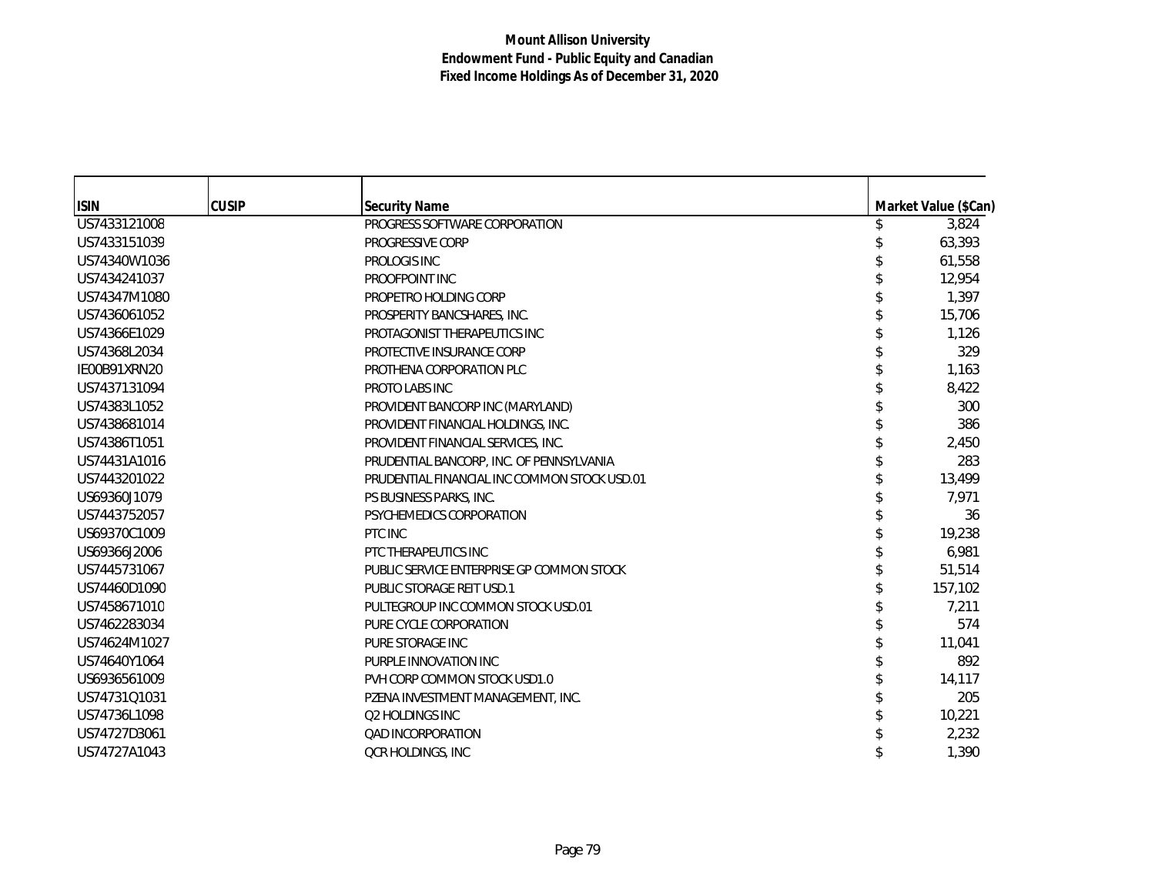| <b>ISIN</b>  | <b>CUSIP</b> | <b>Security Name</b>                         | Market Value (\$Can) |
|--------------|--------------|----------------------------------------------|----------------------|
| US7433121008 |              | PROGRESS SOFTWARE CORPORATION                | 3,824                |
| US7433151039 |              | PROGRESSIVE CORP                             | 63,393               |
| US74340W1036 |              | PROLOGIS INC                                 | 61,558               |
| US7434241037 |              | PROOFPOINT INC                               | 12,954               |
| US74347M1080 |              | PROPETRO HOLDING CORP                        | 1,397                |
| US7436061052 |              | PROSPERITY BANCSHARES, INC.                  | 15,706               |
| US74366E1029 |              | PROTAGONIST THERAPEUTICS INC                 | 1,126                |
| US74368L2034 |              | PROTECTIVE INSURANCE CORP                    | 329                  |
| IE00B91XRN20 |              | PROTHENA CORPORATION PLC                     | 1,163                |
| US7437131094 |              | PROTO LABS INC                               | 8,422                |
| US74383L1052 |              | PROVIDENT BANCORP INC (MARYLAND)             | 300                  |
| US7438681014 |              | PROVIDENT FINANCIAL HOLDINGS, INC.           | 386                  |
| US74386T1051 |              | PROVIDENT FINANCIAL SERVICES, INC.           | 2,450                |
| US74431A1016 |              | PRUDENTIAL BANCORP, INC. OF PENNSYLVANIA     | 283                  |
| US7443201022 |              | PRUDENTIAL FINANCIAL INC COMMON STOCK USD.01 | 13,499               |
| US69360J1079 |              | PS BUSINESS PARKS, INC.                      | 7,971                |
| US7443752057 |              | PSYCHEMEDICS CORPORATION                     | 36                   |
| US69370C1009 |              | PTC INC                                      | 19,238               |
| US69366J2006 |              | PTC THERAPEUTICS INC                         | 6,981                |
| US7445731067 |              | PUBLIC SERVICE ENTERPRISE GP COMMON STOCK    | 51,514               |
| US74460D1090 |              | PUBLIC STORAGE REIT USD.1                    | 157,102              |
| US7458671010 |              | PULTEGROUP INC COMMON STOCK USD.01           | 7,211                |
| US7462283034 |              | PURE CYCLE CORPORATION                       | 574                  |
| US74624M1027 |              | PURE STORAGE INC                             | 11,041               |
| US74640Y1064 |              | PURPLE INNOVATION INC                        | 892                  |
| US6936561009 |              | PVH CORP COMMON STOCK USD1.0                 | 14,117               |
| US74731Q1031 |              | PZENA INVESTMENT MANAGEMENT, INC.            | 205                  |
| US74736L1098 |              | Q2 HOLDINGS INC                              | 10,221               |
| US74727D3061 |              | <b>QAD INCORPORATION</b>                     | 2,232                |
| US74727A1043 |              | <b>QCR HOLDINGS, INC</b>                     | 1,390                |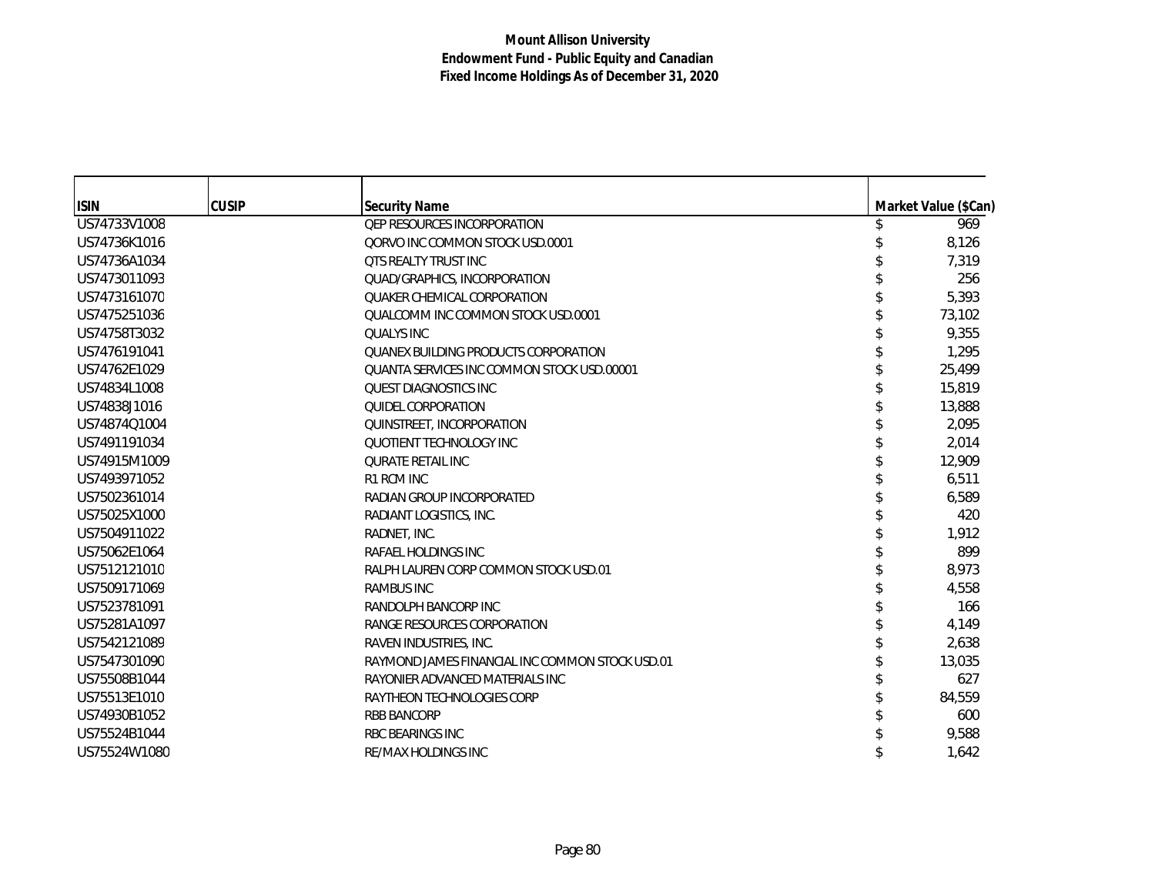| <b>ISIN</b>  | <b>CUSIP</b> | <b>Security Name</b>                            | Market Value (\$Can) |
|--------------|--------------|-------------------------------------------------|----------------------|
| US74733V1008 |              | <b>QEP RESOURCES INCORPORATION</b>              | 969                  |
| US74736K1016 |              | QORVO INC COMMON STOCK USD.0001                 | 8,126                |
| US74736A1034 |              | <b>QTS REALTY TRUST INC</b>                     | 7,319                |
| US7473011093 |              | QUAD/GRAPHICS, INCORPORATION                    | 256                  |
| US7473161070 |              | QUAKER CHEMICAL CORPORATION                     | 5,393                |
| US7475251036 |              | QUALCOMM INC COMMON STOCK USD.0001              | 73,102               |
| US74758T3032 |              | <b>QUALYS INC</b>                               | 9,355                |
| US7476191041 |              | QUANEX BUILDING PRODUCTS CORPORATION            | 1,295                |
| US74762E1029 |              | QUANTA SERVICES INC COMMON STOCK USD.00001      | 25,499               |
| US74834L1008 |              | <b>OUEST DIAGNOSTICS INC.</b>                   | 15,819               |
| US74838J1016 |              | <b>QUIDEL CORPORATION</b>                       | 13,888               |
| US74874Q1004 |              | QUINSTREET, INCORPORATION                       | 2,095                |
| US7491191034 |              | QUOTIENT TECHNOLOGY INC                         | 2,014                |
| US74915M1009 |              | <b>QURATE RETAIL INC</b>                        | 12,909               |
| US7493971052 |              | R1 RCM INC                                      | 6,511                |
| US7502361014 |              | RADIAN GROUP INCORPORATED                       | 6,589                |
| US75025X1000 |              | RADIANT LOGISTICS, INC.                         | 420                  |
| US7504911022 |              | RADNET, INC.                                    | 1,912                |
| US75062E1064 |              | RAFAEL HOLDINGS INC                             | 899                  |
| US7512121010 |              | RALPH LAUREN CORP COMMON STOCK USD.01           | 8,973                |
| US7509171069 |              | <b>RAMBUS INC</b>                               | 4,558                |
| US7523781091 |              | RANDOLPH BANCORP INC                            | 166                  |
| US75281A1097 |              | RANGE RESOURCES CORPORATION                     | 4,149                |
| US7542121089 |              | RAVEN INDUSTRIES, INC.                          | 2,638                |
| US7547301090 |              | RAYMOND JAMES FINANCIAL INC COMMON STOCK USD.01 | 13,035               |
| US75508B1044 |              | RAYONIER ADVANCED MATERIALS INC                 | 627                  |
| US75513E1010 |              | RAYTHEON TECHNOLOGIES CORP                      | 84,559               |
| US74930B1052 |              | <b>RBB BANCORP</b>                              | 600                  |
| US75524B1044 |              | <b>RBC BEARINGS INC</b>                         | 9,588                |
| US75524W1080 |              | RE/MAX HOLDINGS INC                             | 1,642                |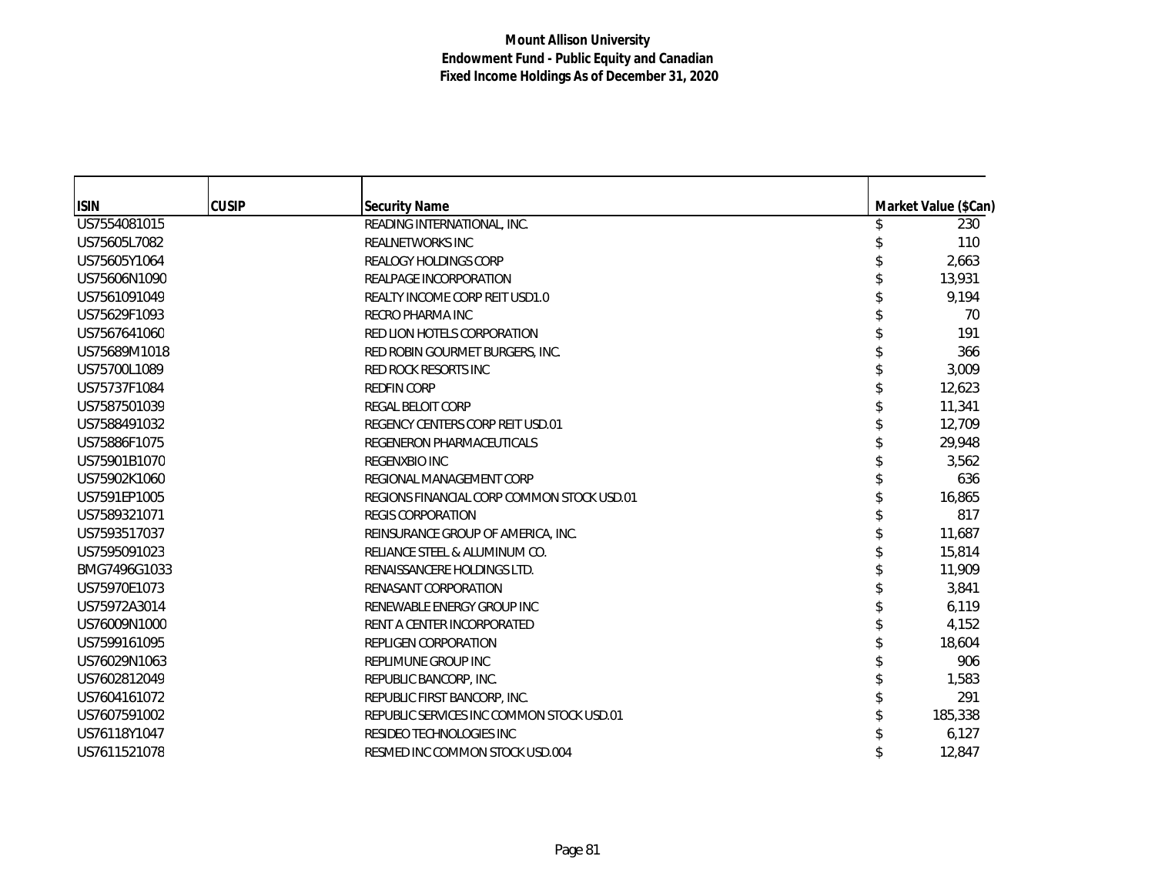| <b>ISIN</b>  | <b>CUSIP</b> | <b>Security Name</b>                       | Market Value (\$Can) |
|--------------|--------------|--------------------------------------------|----------------------|
| US7554081015 |              | READING INTERNATIONAL, INC.                | 230                  |
| US75605L7082 |              | <b>REALNETWORKS INC</b>                    | 110                  |
| US75605Y1064 |              | <b>REALOGY HOLDINGS CORP</b>               | 2,663                |
| US75606N1090 |              | REALPAGE INCORPORATION                     | 13,931               |
| US7561091049 |              | <b>REALTY INCOME CORP REIT USD1.0</b>      | 9,194                |
| US75629F1093 |              | <b>RECRO PHARMA INC</b>                    | 70                   |
| US7567641060 |              | RED LION HOTELS CORPORATION                | 191                  |
| US75689M1018 |              | RED ROBIN GOURMET BURGERS, INC.            | 366                  |
| US75700L1089 |              | RED ROCK RESORTS INC                       | 3,009                |
| US75737F1084 |              | <b>REDFIN CORP</b>                         | 12,623               |
| US7587501039 |              | <b>REGAL BELOIT CORP</b>                   | 11,341               |
| US7588491032 |              | REGENCY CENTERS CORP REIT USD.01           | 12,709               |
| US75886F1075 |              | REGENERON PHARMACEUTICALS                  | 29,948               |
| US75901B1070 |              | <b>REGENXBIO INC</b>                       | 3,562                |
| US75902K1060 |              | REGIONAL MANAGEMENT CORP                   | 636                  |
| US7591EP1005 |              | REGIONS FINANCIAL CORP COMMON STOCK USD.01 | 16,865               |
| US7589321071 |              | <b>REGIS CORPORATION</b>                   | 817                  |
| US7593517037 |              | REINSURANCE GROUP OF AMERICA, INC.         | 11,687               |
| US7595091023 |              | RELIANCE STEEL & ALUMINUM CO.              | 15,814               |
| BMG7496G1033 |              | RENAISSANCERE HOLDINGS LTD.                | 11,909               |
| US75970E1073 |              | RENASANT CORPORATION                       | 3,841                |
| US75972A3014 |              | RENEWABLE ENERGY GROUP INC                 | 6,119                |
| US76009N1000 |              | RENT A CENTER INCORPORATED                 | 4,152                |
| US7599161095 |              | <b>REPLIGEN CORPORATION</b>                | 18,604               |
| US76029N1063 |              | REPLIMUNE GROUP INC                        | 906                  |
| US7602812049 |              | REPUBLIC BANCORP, INC.                     | 1,583                |
| US7604161072 |              | REPUBLIC FIRST BANCORP, INC.               | 291                  |
| US7607591002 |              | REPUBLIC SERVICES INC COMMON STOCK USD.01  | 185,338              |
| US76118Y1047 |              | RESIDEO TECHNOLOGIES INC                   | 6,127                |
| US7611521078 |              | RESMED INC COMMON STOCK USD.004            | 12,847               |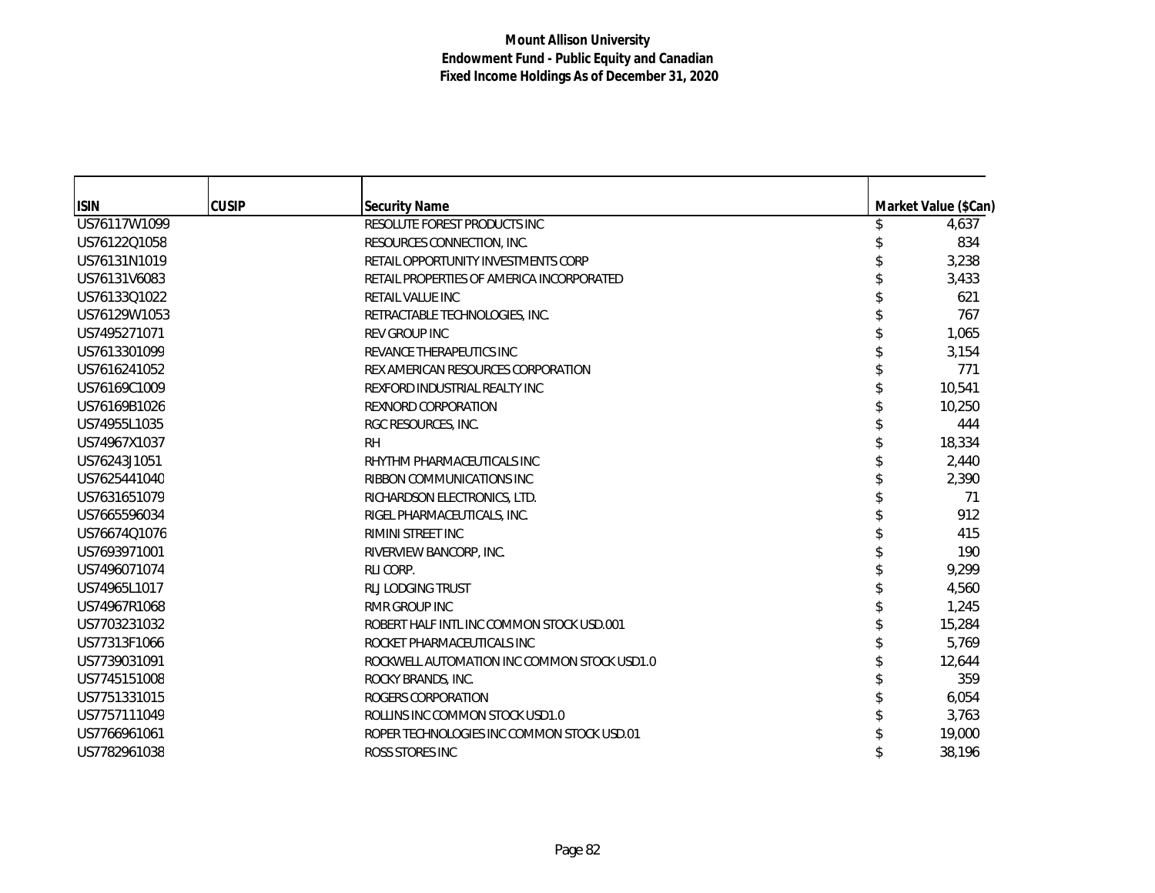| <b>ISIN</b>  | <b>CUSIP</b> | <b>Security Name</b>                        | Market Value (\$Can) |
|--------------|--------------|---------------------------------------------|----------------------|
| US76117W1099 |              | RESOLUTE FOREST PRODUCTS INC                | 4,637                |
| US76122Q1058 |              | RESOURCES CONNECTION, INC.                  | 834                  |
| US76131N1019 |              | RETAIL OPPORTUNITY INVESTMENTS CORP         | 3,238                |
| US76131V6083 |              | RETAIL PROPERTIES OF AMERICA INCORPORATED   | 3,433                |
| US76133Q1022 |              | <b>RETAIL VALUE INC</b>                     | 621                  |
| US76129W1053 |              | RETRACTABLE TECHNOLOGIES, INC.              | 767                  |
| US7495271071 |              | <b>REV GROUP INC</b>                        | 1,065                |
| US7613301099 |              | REVANCE THERAPEUTICS INC                    | 3,154                |
| US7616241052 |              | REX AMERICAN RESOURCES CORPORATION          | 771                  |
| US76169C1009 |              | REXFORD INDUSTRIAL REALTY INC               | 10,541               |
| US76169B1026 |              | <b>REXNORD CORPORATION</b>                  | 10,250               |
| US74955L1035 |              | RGC RESOURCES, INC.                         | 444                  |
| US74967X1037 |              | <b>RH</b>                                   | 18,334               |
| US76243J1051 |              | RHYTHM PHARMACEUTICALS INC                  | 2,440                |
| US7625441040 |              | RIBBON COMMUNICATIONS INC                   | 2,390                |
| US7631651079 |              | RICHARDSON ELECTRONICS, LTD.                | 71                   |
| US7665596034 |              | RIGEL PHARMACEUTICALS, INC.                 | 912                  |
| US76674Q1076 |              | RIMINI STREET INC                           | 415                  |
| US7693971001 |              | RIVERVIEW BANCORP, INC.                     | 190                  |
| US7496071074 |              | RLI CORP.                                   | 9,299                |
| US74965L1017 |              | <b>RLJ LODGING TRUST</b>                    | 4,560                |
| US74967R1068 |              | <b>RMR GROUP INC</b>                        | 1,245                |
| US7703231032 |              | ROBERT HALF INTL INC COMMON STOCK USD.001   | 15,284               |
| US77313F1066 |              | ROCKET PHARMACEUTICALS INC                  | 5,769                |
| US7739031091 |              | ROCKWELL AUTOMATION INC COMMON STOCK USD1.0 | 12,644               |
| US7745151008 |              | ROCKY BRANDS, INC.                          | 359                  |
| US7751331015 |              | ROGERS CORPORATION                          | 6,054                |
| US7757111049 |              | ROLLINS INC COMMON STOCK USD1.0             | 3,763                |
| US7766961061 |              | ROPER TECHNOLOGIES INC COMMON STOCK USD.01  | 19,000               |
| US7782961038 |              | ROSS STORES INC                             | 38,196               |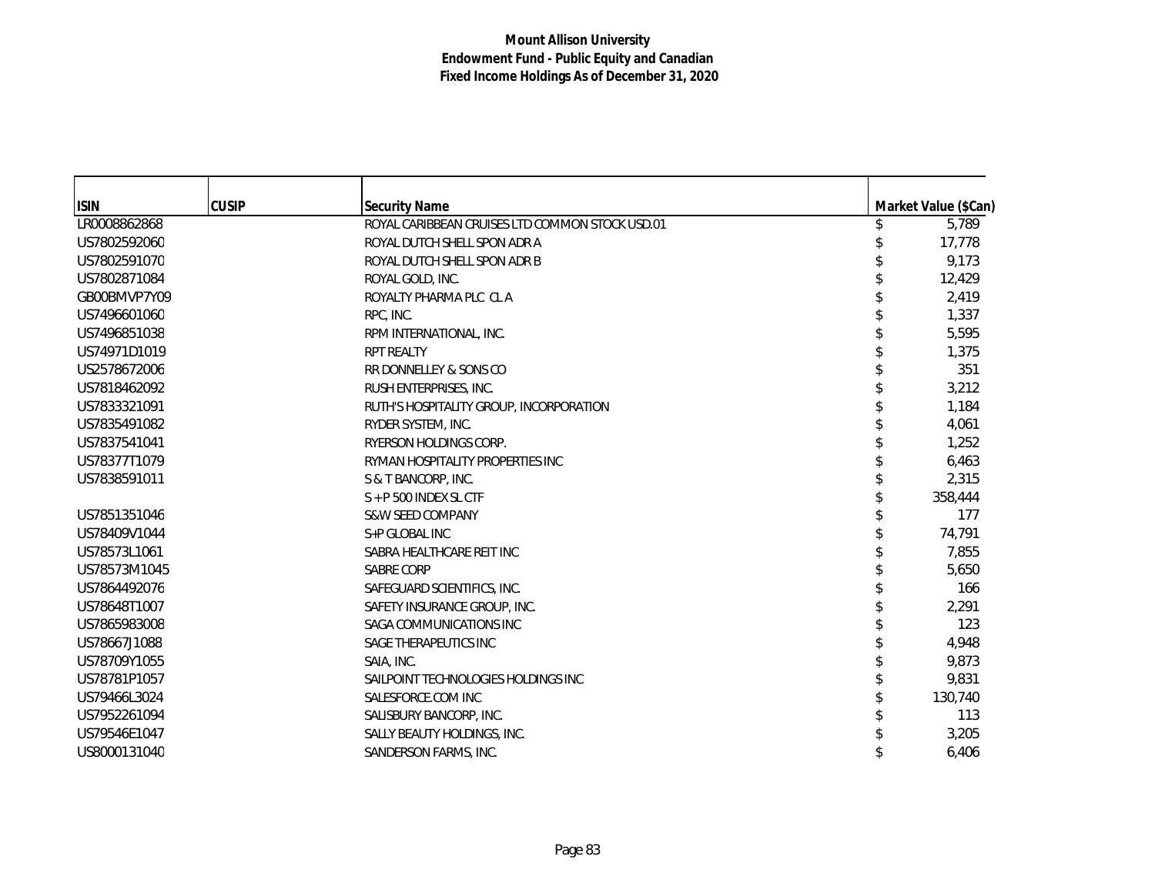| <b>ISIN</b>  | <b>CUSIP</b> | <b>Security Name</b>                            | Market Value (\$Can) |
|--------------|--------------|-------------------------------------------------|----------------------|
| LR0008862868 |              | ROYAL CARIBBEAN CRUISES LTD COMMON STOCK USD.01 | 5,789                |
| US7802592060 |              | ROYAL DUTCH SHELL SPON ADR A                    | 17,778               |
| US7802591070 |              | ROYAL DUTCH SHELL SPON ADR B                    | 9,173                |
| US7802871084 |              | ROYAL GOLD, INC.                                | 12,429               |
| GB00BMVP7Y09 |              | ROYALTY PHARMA PLC CL A                         | 2,419                |
| US7496601060 |              | RPC, INC.                                       | 1,337                |
| US7496851038 |              | RPM INTERNATIONAL, INC.                         | 5,595                |
| US74971D1019 |              | <b>RPT REALTY</b>                               | 1,375                |
| US2578672006 |              | RR DONNELLEY & SONS CO                          | 351                  |
| US7818462092 |              | RUSH ENTERPRISES, INC.                          | 3,212                |
| US7833321091 |              | RUTH'S HOSPITALITY GROUP, INCORPORATION         | 1,184                |
| US7835491082 |              | RYDER SYSTEM, INC.                              | 4,061                |
| US7837541041 |              | RYERSON HOLDINGS CORP.                          | 1,252                |
| US78377T1079 |              | RYMAN HOSPITALITY PROPERTIES INC                | 6,463                |
| US7838591011 |              | S & T BANCORP, INC.                             | 2,315                |
|              |              | $S + P$ 500 INDEX SL CTF                        | 358,444              |
| US7851351046 |              | <b>S&amp;W SEED COMPANY</b>                     | 177                  |
| US78409V1044 |              | S+P GLOBAL INC                                  | 74,791               |
| US78573L1061 |              | SABRA HEALTHCARE REIT INC                       | 7,855                |
| US78573M1045 |              | <b>SABRE CORP</b>                               | 5,650                |
| US7864492076 |              | SAFEGUARD SCIENTIFICS, INC.                     | 166                  |
| US78648T1007 |              | SAFETY INSURANCE GROUP, INC.                    | 2,291                |
| US7865983008 |              | SAGA COMMUNICATIONS INC                         | 123                  |
| US78667J1088 |              | SAGE THERAPEUTICS INC                           | 4,948                |
| US78709Y1055 |              | SAIA, INC.                                      | 9,873                |
| US78781P1057 |              | SAILPOINT TECHNOLOGIES HOLDINGS INC             | 9,831                |
| US79466L3024 |              | SALESFORCE.COM INC                              | 130,740              |
| US7952261094 |              | SALISBURY BANCORP, INC.                         | 113                  |
| US79546E1047 |              | SALLY BEAUTY HOLDINGS, INC.                     | 3,205                |
| US8000131040 |              | SANDERSON FARMS, INC.                           | 6,406                |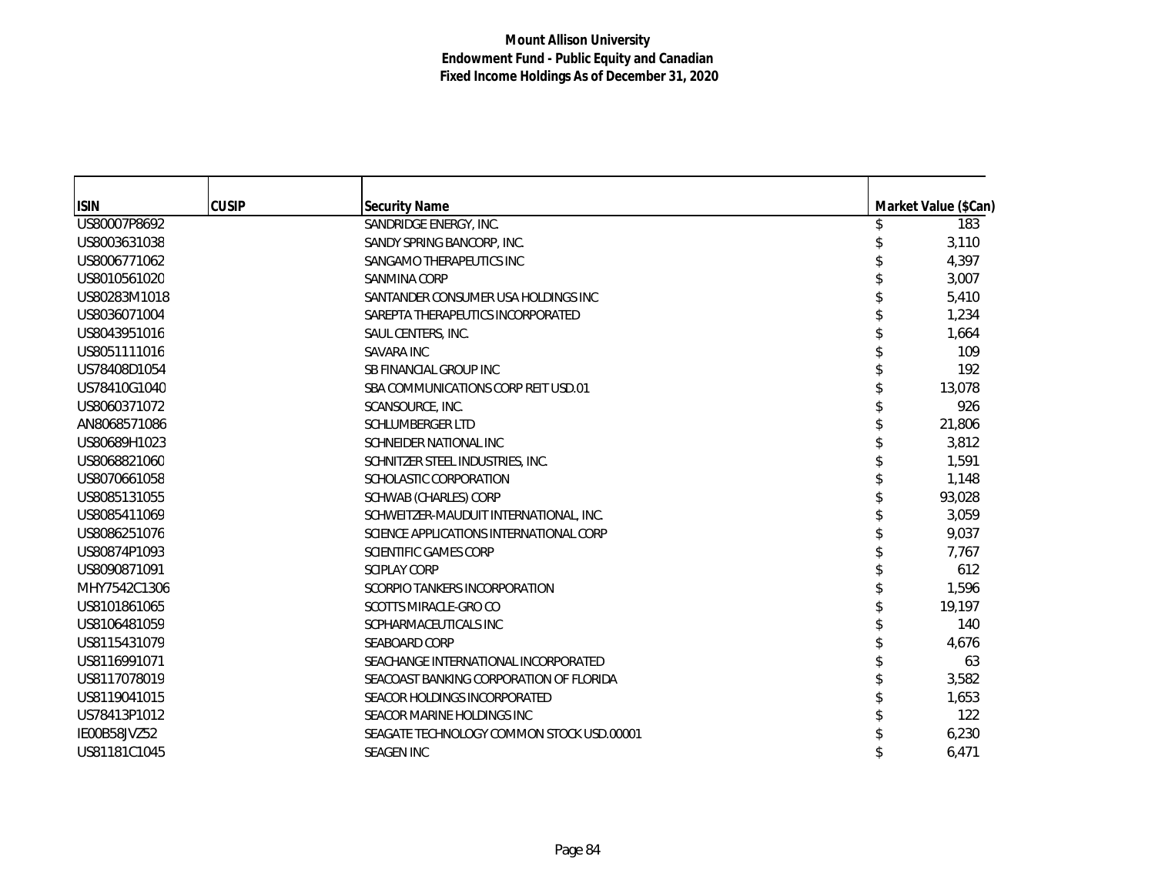| <b>ISIN</b>  | <b>CUSIP</b> | <b>Security Name</b>                      | Market Value (\$Can) |
|--------------|--------------|-------------------------------------------|----------------------|
| US80007P8692 |              | SANDRIDGE ENERGY, INC.                    | 183                  |
| US8003631038 |              | SANDY SPRING BANCORP, INC.                | 3,110                |
| US8006771062 |              | SANGAMO THERAPEUTICS INC                  | 4,397                |
| US8010561020 |              | SANMINA CORP                              | 3,007                |
| US80283M1018 |              | SANTANDER CONSUMER USA HOLDINGS INC       | 5,410                |
| US8036071004 |              | SAREPTA THERAPEUTICS INCORPORATED         | 1,234                |
| US8043951016 |              | SAUL CENTERS, INC.                        | 1,664                |
| US8051111016 |              | <b>SAVARA INC</b>                         | 109                  |
| US78408D1054 |              | SB FINANCIAL GROUP INC                    | 192                  |
| US78410G1040 |              | SBA COMMUNICATIONS CORP REIT USD.01       | 13,078               |
| US8060371072 |              | SCANSOURCE, INC.                          | 926                  |
| AN8068571086 |              | <b>SCHLUMBERGER LTD</b>                   | 21,806               |
| US80689H1023 |              | SCHNEIDER NATIONAL INC                    | 3,812                |
| US8068821060 |              | SCHNITZER STEEL INDUSTRIES, INC.          | 1,591                |
| US8070661058 |              | SCHOLASTIC CORPORATION                    | 1,148                |
| US8085131055 |              | SCHWAB (CHARLES) CORP                     | 93,028               |
| US8085411069 |              | SCHWEITZER-MAUDUIT INTERNATIONAL, INC.    | 3,059                |
| US8086251076 |              | SCIENCE APPLICATIONS INTERNATIONAL CORP   | 9,037                |
| US80874P1093 |              | <b>SCIENTIFIC GAMES CORP</b>              | 7,767                |
| US8090871091 |              | <b>SCIPLAY CORP</b>                       | 612                  |
| MHY7542C1306 |              | SCORPIO TANKERS INCORPORATION             | 1,596                |
| US8101861065 |              | SCOTTS MIRACLE-GRO CO                     | 19,197               |
| US8106481059 |              | SCPHARMACEUTICALS INC                     | 140                  |
| US8115431079 |              | <b>SEABOARD CORP</b>                      | 4,676                |
| US8116991071 |              | SEACHANGE INTERNATIONAL INCORPORATED      | 63                   |
| US8117078019 |              | SEACOAST BANKING CORPORATION OF FLORIDA   | 3,582                |
| US8119041015 |              | SEACOR HOLDINGS INCORPORATED              | 1,653                |
| US78413P1012 |              | SEACOR MARINE HOLDINGS INC                | 122                  |
| IE00B58JVZ52 |              | SEAGATE TECHNOLOGY COMMON STOCK USD.00001 | 6,230                |
| US81181C1045 |              | <b>SEAGEN INC</b>                         | 6,471                |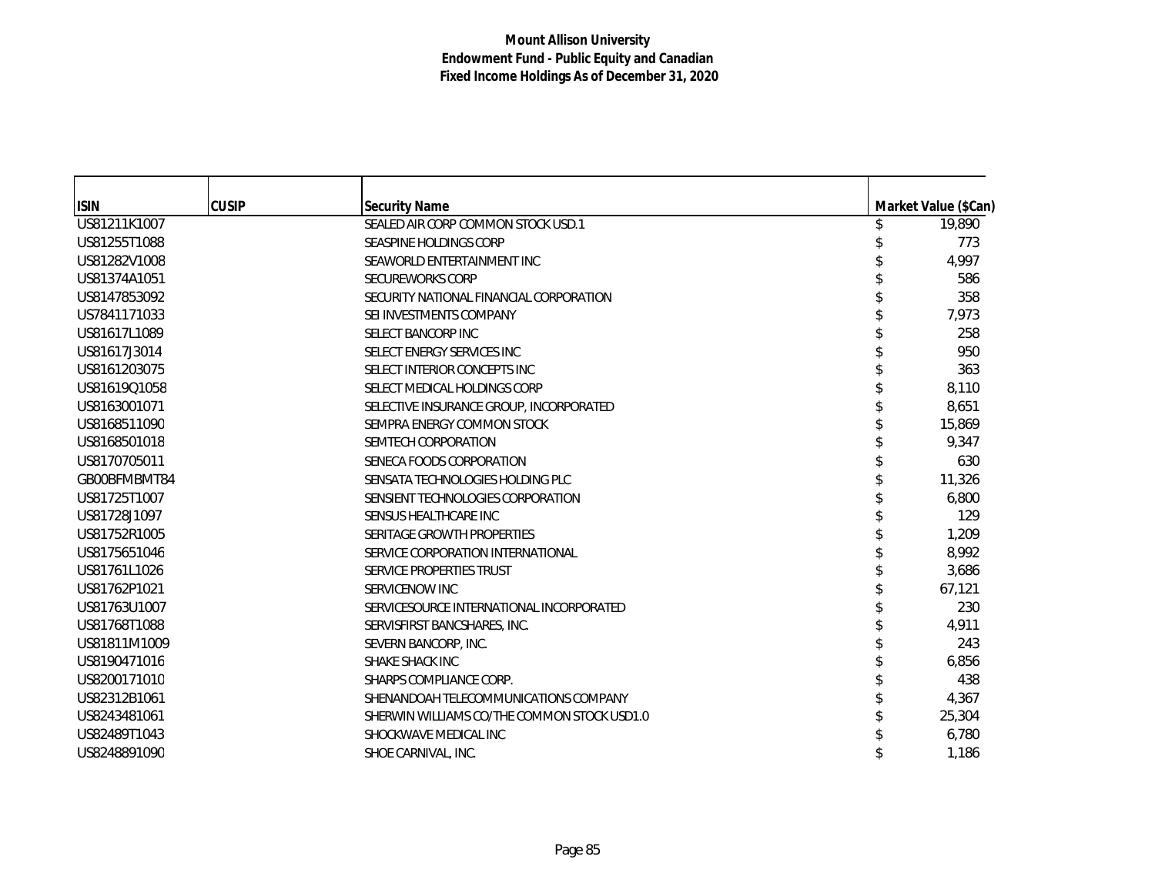| <b>ISIN</b>  | <b>CUSIP</b> | <b>Security Name</b>                        |  | Market Value (\$Can) |
|--------------|--------------|---------------------------------------------|--|----------------------|
| US81211K1007 |              | SEALED AIR CORP COMMON STOCK USD.1          |  | 19,890               |
| US81255T1088 |              | SEASPINE HOLDINGS CORP                      |  | 773                  |
| US81282V1008 |              | SEAWORLD ENTERTAINMENT INC                  |  | 4,997                |
| US81374A1051 |              | <b>SECUREWORKS CORP</b>                     |  | 586                  |
| US8147853092 |              | SECURITY NATIONAL FINANCIAL CORPORATION     |  | 358                  |
| US7841171033 |              | SEI INVESTMENTS COMPANY                     |  | 7,973                |
| US81617L1089 |              | SELECT BANCORP INC                          |  | 258                  |
| US81617J3014 |              | SELECT ENERGY SERVICES INC                  |  | 950                  |
| US8161203075 |              | SELECT INTERIOR CONCEPTS INC                |  | 363                  |
| US81619Q1058 |              | SELECT MEDICAL HOLDINGS CORP                |  | 8,110                |
| US8163001071 |              | SELECTIVE INSURANCE GROUP, INCORPORATED     |  | 8,651                |
| US8168511090 |              | SEMPRA ENERGY COMMON STOCK                  |  | 15,869               |
| US8168501018 |              | SEMTECH CORPORATION                         |  | 9,347                |
| US8170705011 |              | SENECA FOODS CORPORATION                    |  | 630                  |
| GB00BFMBMT84 |              | SENSATA TECHNOLOGIES HOLDING PLC            |  | 11,326               |
| US81725T1007 |              | SENSIENT TECHNOLOGIES CORPORATION           |  | 6,800                |
| US81728J1097 |              | SENSUS HEALTHCARE INC                       |  | 129                  |
| US81752R1005 |              | SERITAGE GROWTH PROPERTIES                  |  | 1,209                |
| US8175651046 |              | SERVICE CORPORATION INTERNATIONAL           |  | 8,992                |
| US81761L1026 |              | SERVICE PROPERTIES TRUST                    |  | 3,686                |
| US81762P1021 |              | SERVICENOW INC                              |  | 67,121               |
| US81763U1007 |              | SERVICESOURCE INTERNATIONAL INCORPORATED    |  | 230                  |
| US81768T1088 |              | SERVISFIRST BANCSHARES, INC.                |  | 4,911                |
| US81811M1009 |              | SEVERN BANCORP, INC.                        |  | 243                  |
| US8190471016 |              | SHAKE SHACK INC                             |  | 6,856                |
| US8200171010 |              | SHARPS COMPLIANCE CORP.                     |  | 438                  |
| US82312B1061 |              | SHENANDOAH TELECOMMUNICATIONS COMPANY       |  | 4,367                |
| US8243481061 |              | SHERWIN WILLIAMS CO/THE COMMON STOCK USD1.0 |  | 25,304               |
| US82489T1043 |              | SHOCKWAVE MEDICAL INC                       |  | 6,780                |
| US8248891090 |              | SHOE CARNIVAL, INC.                         |  | 1,186                |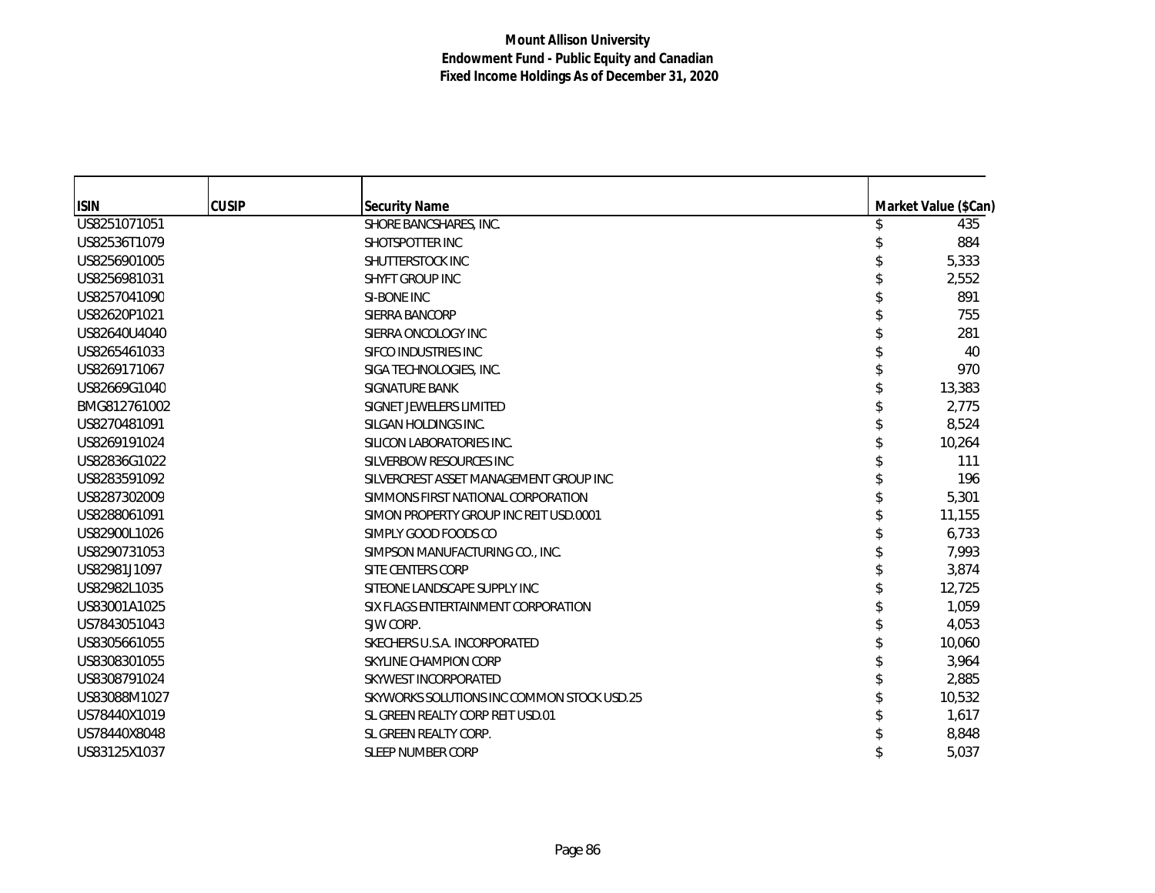| <b>ISIN</b>  | <b>CUSIP</b> | <b>Security Name</b>                       | Market Value (\$Can) |
|--------------|--------------|--------------------------------------------|----------------------|
| US8251071051 |              | SHORE BANCSHARES, INC.                     | 435                  |
| US82536T1079 |              | SHOTSPOTTER INC                            | 884                  |
| US8256901005 |              | SHUTTERSTOCK INC                           | 5,333                |
| US8256981031 |              | <b>SHYFT GROUP INC</b>                     | 2,552                |
| US8257041090 |              | SI-BONE INC                                | 891                  |
| US82620P1021 |              | SIERRA BANCORP                             | 755                  |
| US82640U4040 |              | SIERRA ONCOLOGY INC                        | 281                  |
| US8265461033 |              | SIFCO INDUSTRIES INC                       | 40                   |
| US8269171067 |              | SIGA TECHNOLOGIES, INC.                    | 970                  |
| US82669G1040 |              | SIGNATURE BANK                             | 13,383               |
| BMG812761002 |              | SIGNET JEWELERS LIMITED                    | 2,775                |
| US8270481091 |              | SILGAN HOLDINGS INC.                       | 8,524                |
| US8269191024 |              | SILICON LABORATORIES INC.                  | 10,264               |
| US82836G1022 |              | SILVERBOW RESOURCES INC                    | 111                  |
| US8283591092 |              | SILVERCREST ASSET MANAGEMENT GROUP INC     | 196                  |
| US8287302009 |              | SIMMONS FIRST NATIONAL CORPORATION         | 5,301                |
| US8288061091 |              | SIMON PROPERTY GROUP INC REIT USD.0001     | 11,155               |
| US82900L1026 |              | SIMPLY GOOD FOODS CO                       | 6,733                |
| US8290731053 |              | SIMPSON MANUFACTURING CO., INC.            | 7,993                |
| US82981J1097 |              | SITE CENTERS CORP                          | 3,874                |
| US82982L1035 |              | SITEONE LANDSCAPE SUPPLY INC               | 12,725               |
| US83001A1025 |              | SIX FLAGS ENTERTAINMENT CORPORATION        | 1,059                |
| US7843051043 |              | SJW CORP.                                  | 4,053                |
| US8305661055 |              | SKECHERS U.S.A. INCORPORATED               | 10,060               |
| US8308301055 |              | SKYLINE CHAMPION CORP                      | 3,964                |
| US8308791024 |              | SKYWEST INCORPORATED                       | 2,885                |
| US83088M1027 |              | SKYWORKS SOLUTIONS INC COMMON STOCK USD.25 | 10,532               |
| US78440X1019 |              | SL GREEN REALTY CORP REIT USD.01           | 1,617                |
| US78440X8048 |              | SL GREEN REALTY CORP.                      | 8,848                |
| US83125X1037 |              | SLEEP NUMBER CORP                          | 5,037                |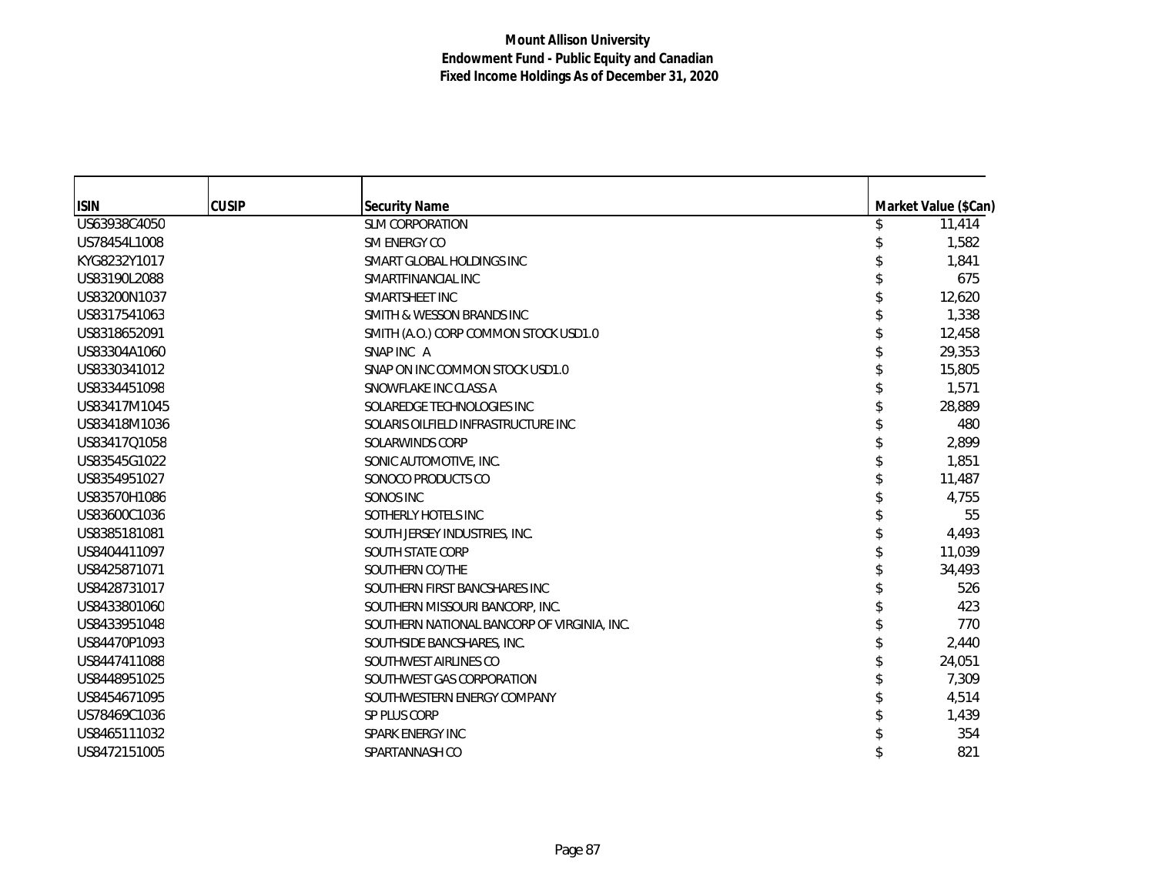| <b>ISIN</b>  | <b>CUSIP</b> | <b>Security Name</b>                        | Market Value (\$Can) |
|--------------|--------------|---------------------------------------------|----------------------|
| US63938C4050 |              | <b>SLM CORPORATION</b>                      | 11,414               |
| US78454L1008 |              | SM ENERGY CO                                | 1,582                |
| KYG8232Y1017 |              | SMART GLOBAL HOLDINGS INC                   | 1.841                |
| US83190L2088 |              | SMARTFINANCIAL INC                          | 675                  |
| US83200N1037 |              | SMARTSHEET INC                              | 12,620               |
| US8317541063 |              | SMITH & WESSON BRANDS INC                   | 1,338                |
| US8318652091 |              | SMITH (A.O.) CORP COMMON STOCK USD1.0       | 12,458               |
| US83304A1060 |              | SNAP INC A                                  | 29,353               |
| US8330341012 |              | SNAP ON INC COMMON STOCK USD1.0             | 15,805               |
| US8334451098 |              | SNOWFLAKE INC CLASS A                       | 1,571                |
| US83417M1045 |              | SOLAREDGE TECHNOLOGIES INC                  | 28,889               |
| US83418M1036 |              | SOLARIS OILFIELD INFRASTRUCTURE INC         | 480                  |
| US83417Q1058 |              | SOLARWINDS CORP                             | 2,899                |
| US83545G1022 |              | SONIC AUTOMOTIVE, INC.                      | 1,851                |
| US8354951027 |              | SONOCO PRODUCTS CO                          | 11,487               |
| US83570H1086 |              | SONOS INC                                   | 4,755                |
| US83600C1036 |              | SOTHERLY HOTELS INC                         | 55                   |
| US8385181081 |              | SOUTH JERSEY INDUSTRIES, INC.               | 4,493                |
| US8404411097 |              | SOUTH STATE CORP                            | 11,039               |
| US8425871071 |              | SOUTHERN CO/THE                             | 34,493               |
| US8428731017 |              | SOUTHERN FIRST BANCSHARES INC               | 526                  |
| US8433801060 |              | SOUTHERN MISSOURI BANCORP, INC.             | 423                  |
| US8433951048 |              | SOUTHERN NATIONAL BANCORP OF VIRGINIA, INC. | 770                  |
| US84470P1093 |              | SOUTHSIDE BANCSHARES, INC.                  | 2,440                |
| US8447411088 |              | SOUTHWEST AIRLINES CO                       | 24,051               |
| US8448951025 |              | SOUTHWEST GAS CORPORATION                   | 7,309                |
| US8454671095 |              | SOUTHWESTERN ENERGY COMPANY                 | 4,514                |
| US78469C1036 |              | SP PLUS CORP                                | 1,439                |
| US8465111032 |              | SPARK ENERGY INC                            | 354                  |
| US8472151005 |              | SPARTANNASH CO                              | 821                  |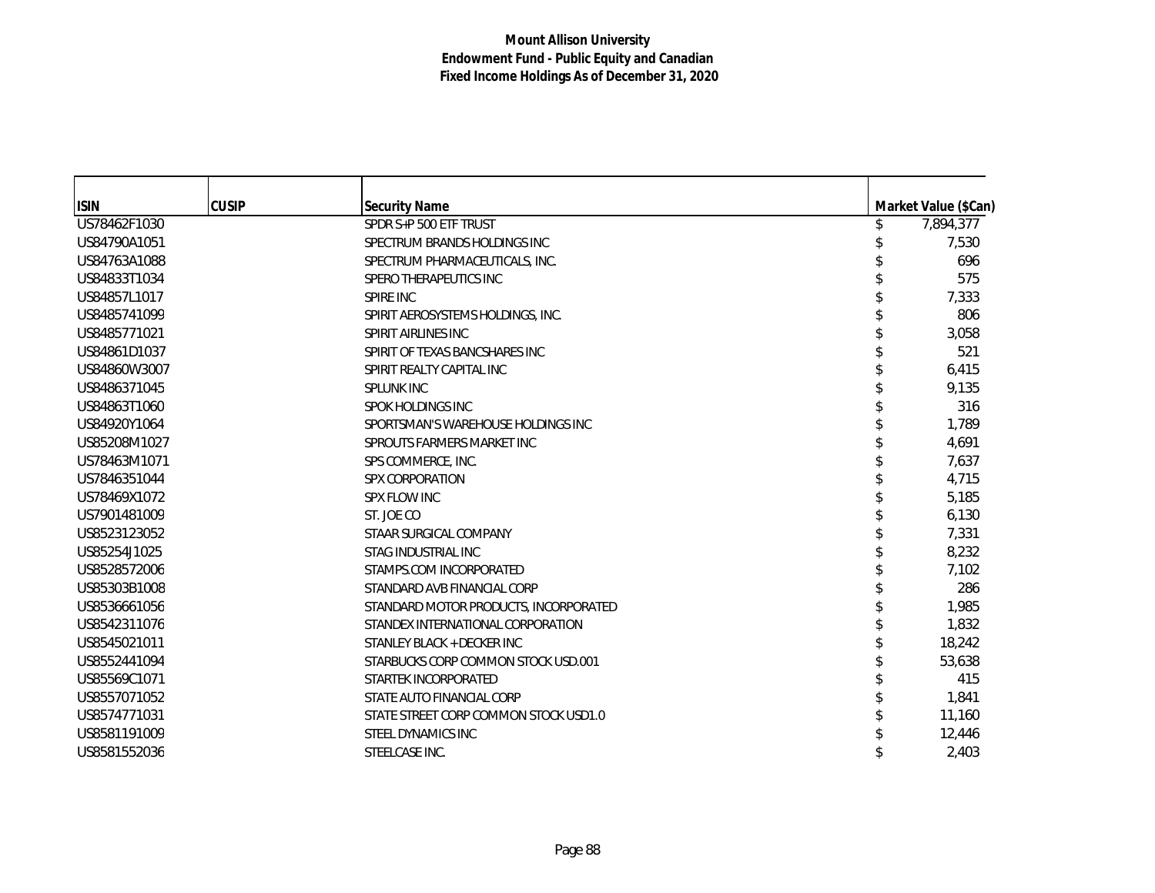| <b>ISIN</b>  | <b>CUSIP</b> | <b>Security Name</b>                  | Market Value (\$Can) |
|--------------|--------------|---------------------------------------|----------------------|
| US78462F1030 |              | SPDR S+P 500 ETF TRUST                | \$<br>7,894,377      |
| US84790A1051 |              | SPECTRUM BRANDS HOLDINGS INC          | 7,530                |
| US84763A1088 |              | SPECTRUM PHARMACEUTICALS, INC.        | 696                  |
| US84833T1034 |              | SPERO THERAPEUTICS INC                | 575                  |
| US84857L1017 |              | SPIRE INC                             | 7,333                |
| US8485741099 |              | SPIRIT AEROSYSTEMS HOLDINGS, INC.     | 806                  |
| US8485771021 |              | SPIRIT AIRLINES INC                   | 3,058                |
| US84861D1037 |              | SPIRIT OF TEXAS BANCSHARES INC        | 521                  |
| US84860W3007 |              | SPIRIT REALTY CAPITAL INC             | 6,415                |
| US8486371045 |              | <b>SPLUNK INC</b>                     | 9,135                |
| US84863T1060 |              | <b>SPOK HOLDINGS INC</b>              | 316                  |
| US84920Y1064 |              | SPORTSMAN'S WAREHOUSE HOLDINGS INC    | 1,789                |
| US85208M1027 |              | SPROUTS FARMERS MARKET INC            | 4,691                |
| US78463M1071 |              | SPS COMMERCE, INC.                    | 7,637                |
| US7846351044 |              | <b>SPX CORPORATION</b>                | 4,715                |
| US78469X1072 |              | <b>SPX FLOW INC</b>                   | 5,185                |
| US7901481009 |              | ST. JOE CO                            | 6,130                |
| US8523123052 |              | STAAR SURGICAL COMPANY                | 7,331                |
| US85254J1025 |              | STAG INDUSTRIAL INC                   | 8,232                |
| US8528572006 |              | STAMPS.COM INCORPORATED               | 7,102                |
| US85303B1008 |              | STANDARD AVB FINANCIAL CORP           | 286                  |
| US8536661056 |              | STANDARD MOTOR PRODUCTS, INCORPORATED | 1,985                |
| US8542311076 |              | STANDEX INTERNATIONAL CORPORATION     | 1,832                |
| US8545021011 |              | STANLEY BLACK + DECKER INC            | 18,242               |
| US8552441094 |              | STARBUCKS CORP COMMON STOCK USD.001   | 53,638               |
| US85569C1071 |              | STARTEK INCORPORATED                  | 415                  |
| US8557071052 |              | STATE AUTO FINANCIAL CORP             | 1,841                |
| US8574771031 |              | STATE STREET CORP COMMON STOCK USD1.0 | 11,160               |
| US8581191009 |              | STEEL DYNAMICS INC                    | 12,446               |
| US8581552036 |              | STEELCASE INC.                        | 2,403                |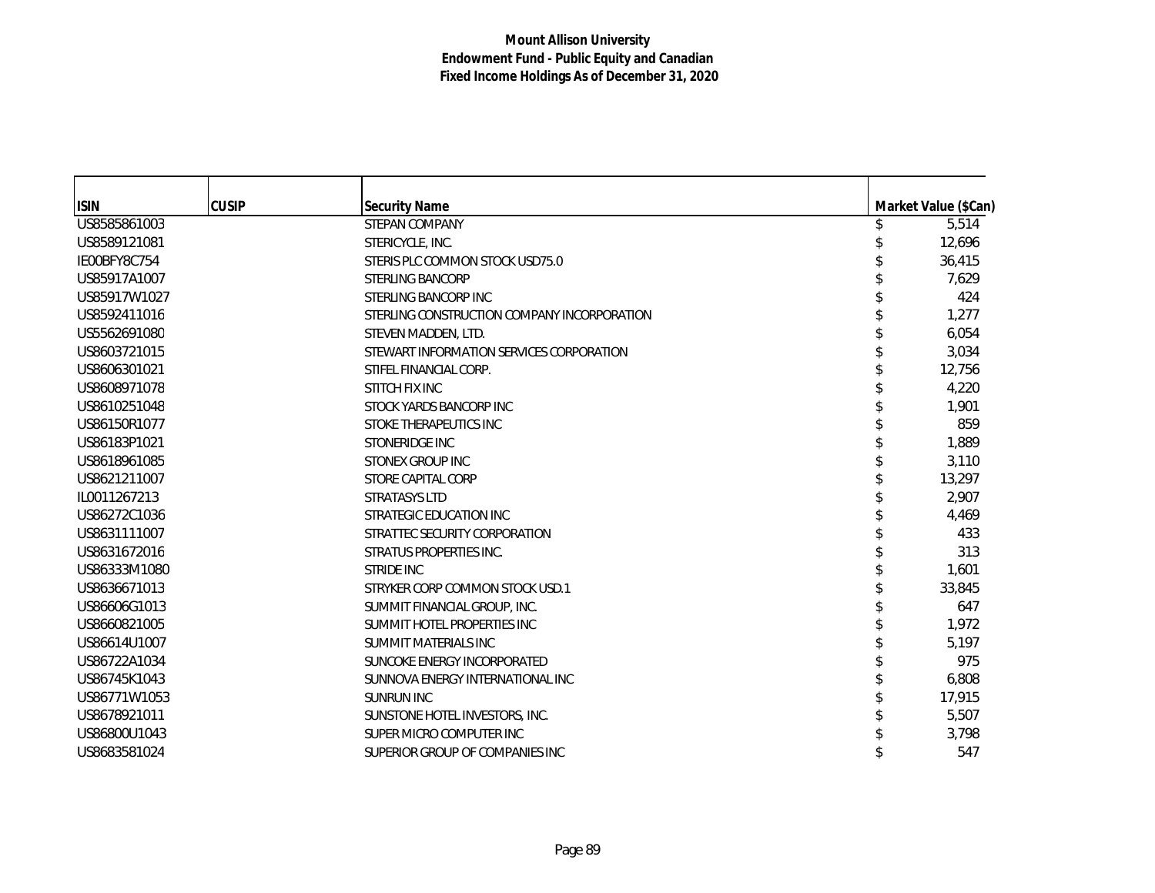| <b>ISIN</b>  | <b>CUSIP</b> | <b>Security Name</b>                        | Market Value (\$Can) |
|--------------|--------------|---------------------------------------------|----------------------|
| US8585861003 |              | <b>STEPAN COMPANY</b>                       | 5,514                |
| US8589121081 |              | STERICYCLE, INC.                            | 12,696               |
| IE00BFY8C754 |              | STERIS PLC COMMON STOCK USD75.0             | 36,415               |
| US85917A1007 |              | <b>STERLING BANCORP</b>                     | 7,629                |
| US85917W1027 |              | STERLING BANCORP INC                        | 424                  |
| US8592411016 |              | STERLING CONSTRUCTION COMPANY INCORPORATION | 1,277                |
| US5562691080 |              | STEVEN MADDEN, LTD.                         | 6,054                |
| US8603721015 |              | STEWART INFORMATION SERVICES CORPORATION    | 3,034                |
| US8606301021 |              | STIFEL FINANCIAL CORP.                      | 12,756               |
| US8608971078 |              | STITCH FIX INC                              | 4,220                |
| US8610251048 |              | STOCK YARDS BANCORP INC                     | 1,901                |
| US86150R1077 |              | STOKE THERAPEUTICS INC                      | 859                  |
| US86183P1021 |              | STONERIDGE INC                              | 1,889                |
| US8618961085 |              | <b>STONEX GROUP INC</b>                     | 3,110                |
| US8621211007 |              | STORE CAPITAL CORP                          | 13,297               |
| IL0011267213 |              | STRATASYS LTD                               | 2,907                |
| US86272C1036 |              | STRATEGIC EDUCATION INC                     | 4.469                |
| US8631111007 |              | STRATTEC SECURITY CORPORATION               | 433                  |
| US8631672016 |              | STRATUS PROPERTIES INC.                     | 313                  |
| US86333M1080 |              | <b>STRIDE INC</b>                           | 1,601                |
| US8636671013 |              | STRYKER CORP COMMON STOCK USD.1             | 33,845               |
| US86606G1013 |              | SUMMIT FINANCIAL GROUP, INC.                | 647                  |
| US8660821005 |              | SUMMIT HOTEL PROPERTIES INC                 | 1,972                |
| US86614U1007 |              | <b>SUMMIT MATERIALS INC</b>                 | 5,197                |
| US86722A1034 |              | SUNCOKE ENERGY INCORPORATED                 | 975                  |
| US86745K1043 |              | SUNNOVA ENERGY INTERNATIONAL INC            | 6,808                |
| US86771W1053 |              | <b>SUNRUN INC</b>                           | 17,915               |
| US8678921011 |              | SUNSTONE HOTEL INVESTORS, INC.              | 5,507                |
| US86800U1043 |              | SUPER MICRO COMPUTER INC                    | 3,798                |
| US8683581024 |              | SUPERIOR GROUP OF COMPANIES INC             | 547                  |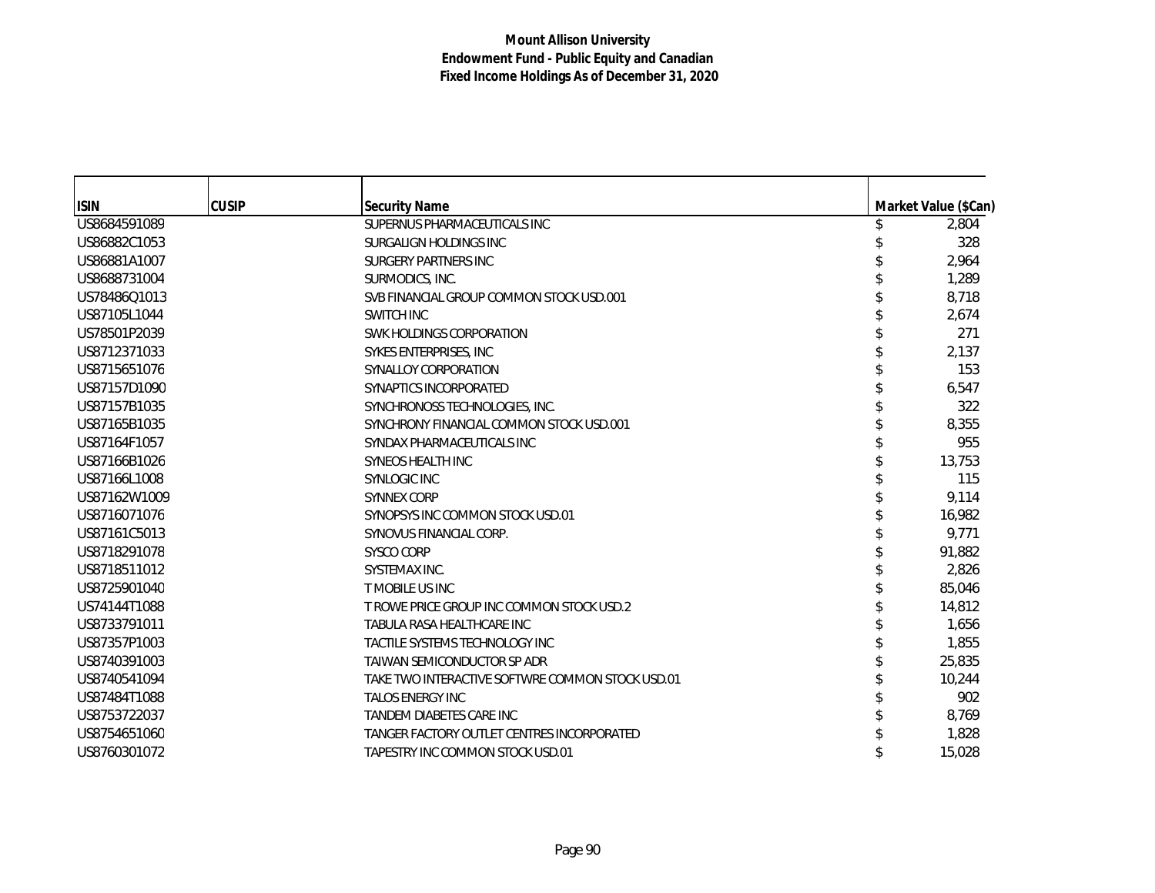| <b>ISIN</b>  | <b>CUSIP</b> | <b>Security Name</b>                             | Market Value (\$Can) |
|--------------|--------------|--------------------------------------------------|----------------------|
| US8684591089 |              | SUPERNUS PHARMACEUTICALS INC                     | 2,804                |
| US86882C1053 |              | SURGALIGN HOLDINGS INC                           | 328                  |
| US86881A1007 |              | SURGERY PARTNERS INC                             | 2,964                |
| US8688731004 |              | SURMODICS, INC.                                  | 1,289                |
| US78486Q1013 |              | SVB FINANCIAL GROUP COMMON STOCK USD.001         | 8,718                |
| US87105L1044 |              | SWITCH INC                                       | 2,674                |
| US78501P2039 |              | SWK HOLDINGS CORPORATION                         | 271                  |
| US8712371033 |              | SYKES ENTERPRISES, INC                           | 2,137                |
| US8715651076 |              | SYNALLOY CORPORATION                             | 153                  |
| US87157D1090 |              | SYNAPTICS INCORPORATED                           | 6,547                |
| US87157B1035 |              | SYNCHRONOSS TECHNOLOGIES, INC.                   | 322                  |
| US87165B1035 |              | SYNCHRONY FINANCIAL COMMON STOCK USD.001         | 8,355                |
| US87164F1057 |              | SYNDAX PHARMACEUTICALS INC                       | 955                  |
| US87166B1026 |              | <b>SYNEOS HEALTH INC</b>                         | 13,753               |
| US87166L1008 |              | <b>SYNLOGIC INC</b>                              | 115                  |
| US87162W1009 |              | <b>SYNNEX CORP</b>                               | 9,114                |
| US8716071076 |              | SYNOPSYS INC COMMON STOCK USD.01                 | 16,982               |
| US87161C5013 |              | SYNOVUS FINANCIAL CORP.                          | 9,771                |
| US8718291078 |              | <b>SYSCO CORP</b>                                | 91,882               |
| US8718511012 |              | SYSTEMAX INC.                                    | 2,826                |
| US8725901040 |              | T MOBILE US INC                                  | 85,046               |
| US74144T1088 |              | T ROWE PRICE GROUP INC COMMON STOCK USD.2        | 14,812               |
| US8733791011 |              | TABULA RASA HEALTHCARE INC                       | 1,656                |
| US87357P1003 |              | TACTILE SYSTEMS TECHNOLOGY INC                   | 1,855                |
| US8740391003 |              | TAIWAN SEMICONDUCTOR SP ADR                      | 25,835               |
| US8740541094 |              | TAKE TWO INTERACTIVE SOFTWRE COMMON STOCK USD.01 | 10,244               |
| US87484T1088 |              | <b>TALOS ENERGY INC</b>                          | 902                  |
| US8753722037 |              | TANDEM DIABETES CARE INC                         | 8,769                |
| US8754651060 |              | TANGER FACTORY OUTLET CENTRES INCORPORATED       | 1,828                |
| US8760301072 |              | TAPESTRY INC COMMON STOCK USD.01                 | 15,028               |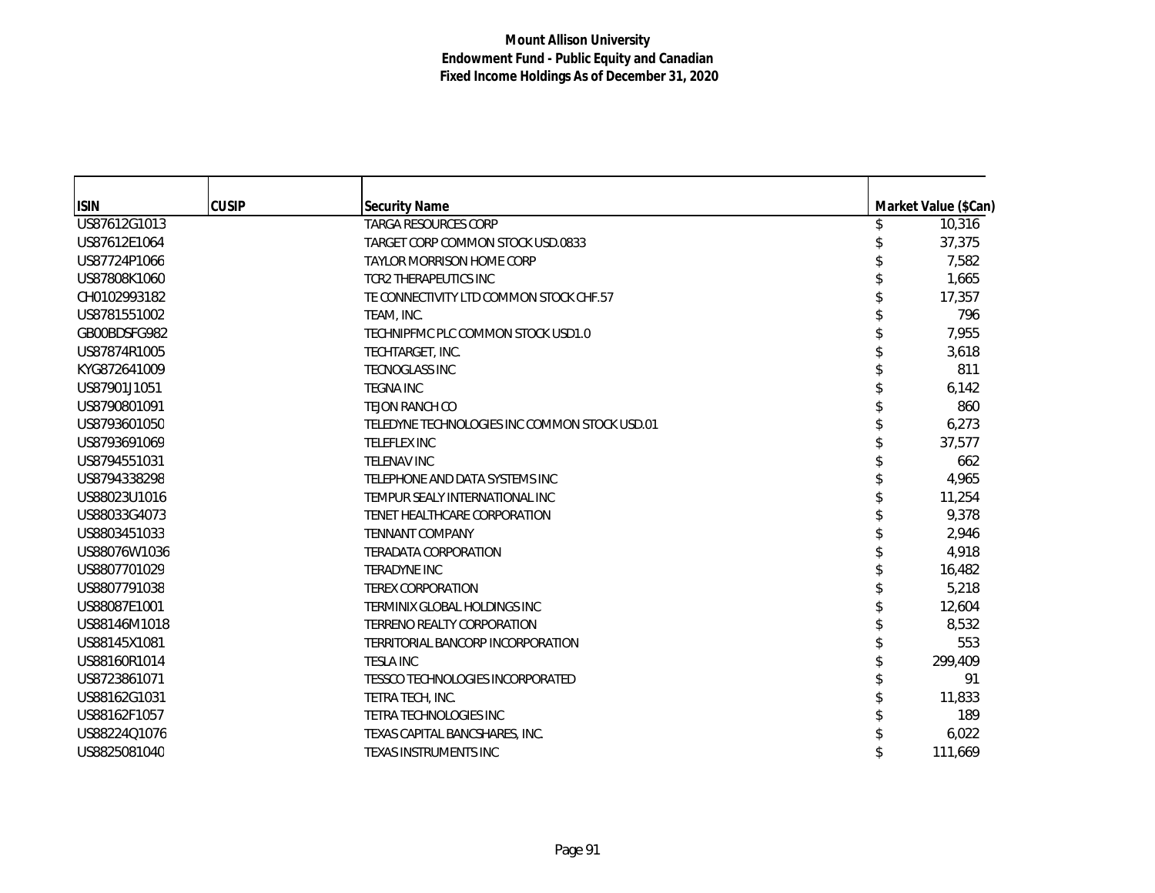| <b>ISIN</b>  | <b>CUSIP</b> | <b>Security Name</b>                          | Market Value (\$Can) |
|--------------|--------------|-----------------------------------------------|----------------------|
| US87612G1013 |              | <b>TARGA RESOURCES CORP</b>                   | 10,316               |
| US87612E1064 |              | TARGET CORP COMMON STOCK USD.0833             | 37,375               |
| US87724P1066 |              | <b>TAYLOR MORRISON HOME CORP</b>              | 7,582                |
| US87808K1060 |              | <b>TCR2 THERAPEUTICS INC</b>                  | 1,665                |
| CH0102993182 |              | TE CONNECTIVITY LTD COMMON STOCK CHF.57       | 17,357               |
| US8781551002 |              | TEAM, INC.                                    | 796                  |
| GB00BDSFG982 |              | TECHNIPFMC PLC COMMON STOCK USD1.0            | 7,955                |
| US87874R1005 |              | TECHTARGET, INC.                              | 3,618                |
| KYG872641009 |              | <b>TECNOGLASS INC</b>                         | 811                  |
| US87901J1051 |              | <b>TEGNA INC</b>                              | 6,142                |
| US8790801091 |              | TEJON RANCH CO                                | 860                  |
| US8793601050 |              | TELEDYNE TECHNOLOGIES INC COMMON STOCK USD.01 | 6,273                |
| US8793691069 |              | <b>TELEFLEX INC</b>                           | 37,577               |
| US8794551031 |              | <b>TELENAV INC</b>                            | 662                  |
| US8794338298 |              | TELEPHONE AND DATA SYSTEMS INC                | 4,965                |
| US88023U1016 |              | TEMPUR SEALY INTERNATIONAL INC                | 11,254               |
| US88033G4073 |              | TENET HEALTHCARE CORPORATION                  | 9,378                |
| US8803451033 |              | <b>TENNANT COMPANY</b>                        | 2,946                |
| US88076W1036 |              | <b>TERADATA CORPORATION</b>                   | 4,918                |
| US8807701029 |              | <b>TERADYNE INC</b>                           | 16,482               |
| US8807791038 |              | <b>TEREX CORPORATION</b>                      | 5,218                |
| US88087E1001 |              | TERMINIX GLOBAL HOLDINGS INC                  | 12,604               |
| US88146M1018 |              | <b>TERRENO REALTY CORPORATION</b>             | 8,532                |
| US88145X1081 |              | TERRITORIAL BANCORP INCORPORATION             | 553                  |
| US88160R1014 |              | <b>TESLA INC</b>                              | 299,409              |
| US8723861071 |              | TESSCO TECHNOLOGIES INCORPORATED              | 91                   |
| US88162G1031 |              | TETRA TECH, INC.                              | 11,833               |
| US88162F1057 |              | <b>TETRA TECHNOLOGIES INC</b>                 | 189                  |
| US88224Q1076 |              | TEXAS CAPITAL BANCSHARES, INC.                | 6,022                |
| US8825081040 |              | <b>TEXAS INSTRUMENTS INC</b>                  | 111,669              |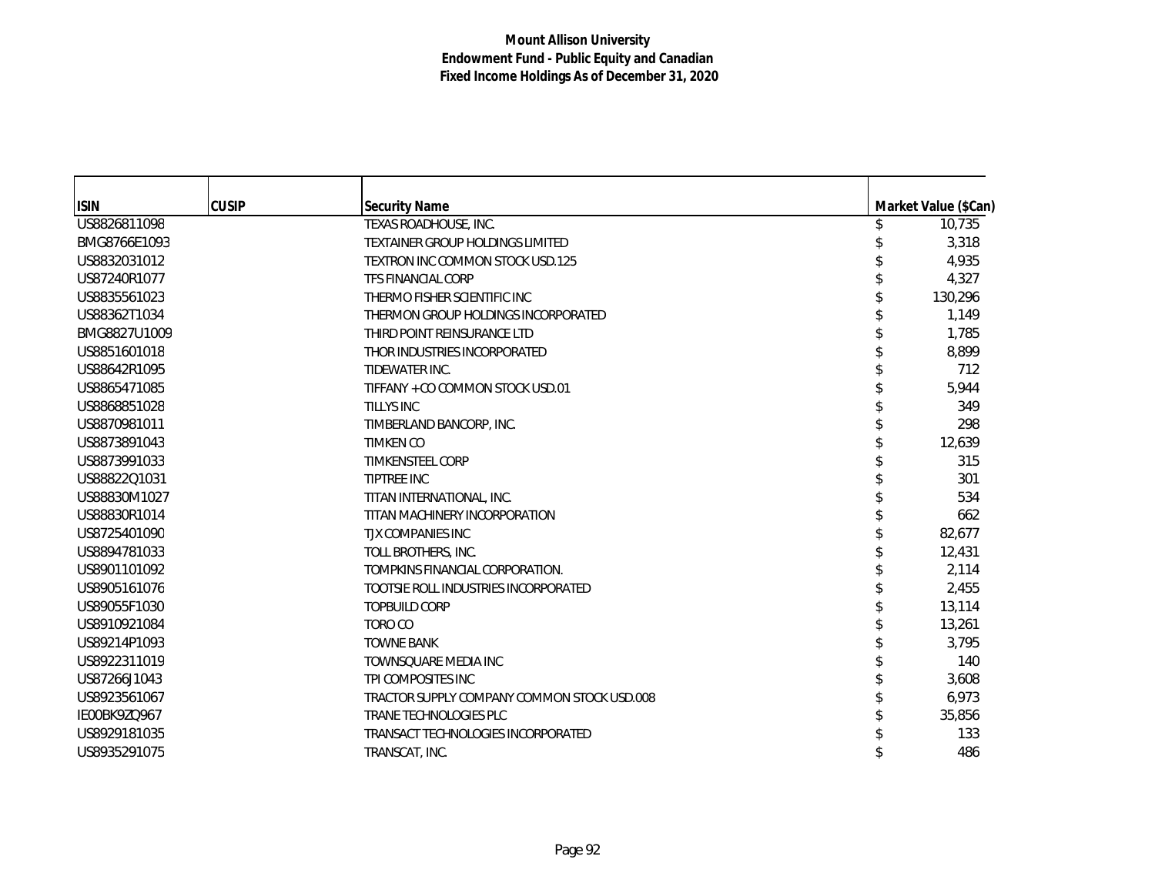| <b>ISIN</b>  | <b>CUSIP</b> | <b>Security Name</b>                        | Market Value (\$Can) |
|--------------|--------------|---------------------------------------------|----------------------|
| US8826811098 |              | TEXAS ROADHOUSE, INC.                       | 10,735               |
| BMG8766E1093 |              | <b>TEXTAINER GROUP HOLDINGS LIMITED</b>     | 3,318                |
| US8832031012 |              | <b>TEXTRON INC COMMON STOCK USD.125</b>     | 4,935                |
| US87240R1077 |              | <b>TFS FINANCIAL CORP</b>                   | 4,327                |
| US8835561023 |              | THERMO FISHER SCIENTIFIC INC                | 130,296              |
| US88362T1034 |              | THERMON GROUP HOLDINGS INCORPORATED         | 1,149                |
| BMG8827U1009 |              | THIRD POINT REINSURANCE LTD                 | 1,785                |
| US8851601018 |              | THOR INDUSTRIES INCORPORATED                | 8,899                |
| US88642R1095 |              | TIDEWATER INC.                              | 712                  |
| US8865471085 |              | TIFFANY + CO COMMON STOCK USD.01            | 5,944                |
| US8868851028 |              | <b>TILLYS INC</b>                           | 349                  |
| US8870981011 |              | TIMBERLAND BANCORP, INC.                    | 298                  |
| US8873891043 |              | <b>TIMKEN CO</b>                            | 12,639               |
| US8873991033 |              | <b>TIMKENSTEEL CORP</b>                     | 315                  |
| US88822Q1031 |              | <b>TIPTREE INC</b>                          | 301                  |
| US88830M1027 |              | TITAN INTERNATIONAL, INC.                   | 534                  |
| US88830R1014 |              | TITAN MACHINERY INCORPORATION               | 662                  |
| US8725401090 |              | <b>TJX COMPANIES INC</b>                    | 82,677               |
| US8894781033 |              | TOLL BROTHERS, INC.                         | 12,431               |
| US8901101092 |              | TOMPKINS FINANCIAL CORPORATION.             | 2,114                |
| US8905161076 |              | TOOTSIE ROLL INDUSTRIES INCORPORATED        | 2,455                |
| US89055F1030 |              | <b>TOPBUILD CORP</b>                        | 13,114               |
| US8910921084 |              | TORO CO                                     | 13,261               |
| US89214P1093 |              | <b>TOWNE BANK</b>                           | 3,795                |
| US8922311019 |              | TOWNSQUARE MEDIA INC                        | 140                  |
| US87266J1043 |              | TPI COMPOSITES INC                          | 3,608                |
| US8923561067 |              | TRACTOR SUPPLY COMPANY COMMON STOCK USD.008 | 6,973                |
| IE00BK9ZQ967 |              | <b>TRANE TECHNOLOGIES PLC</b>               | 35,856               |
| US8929181035 |              | TRANSACT TECHNOLOGIES INCORPORATED          | 133                  |
| US8935291075 |              | TRANSCAT, INC.                              | 486                  |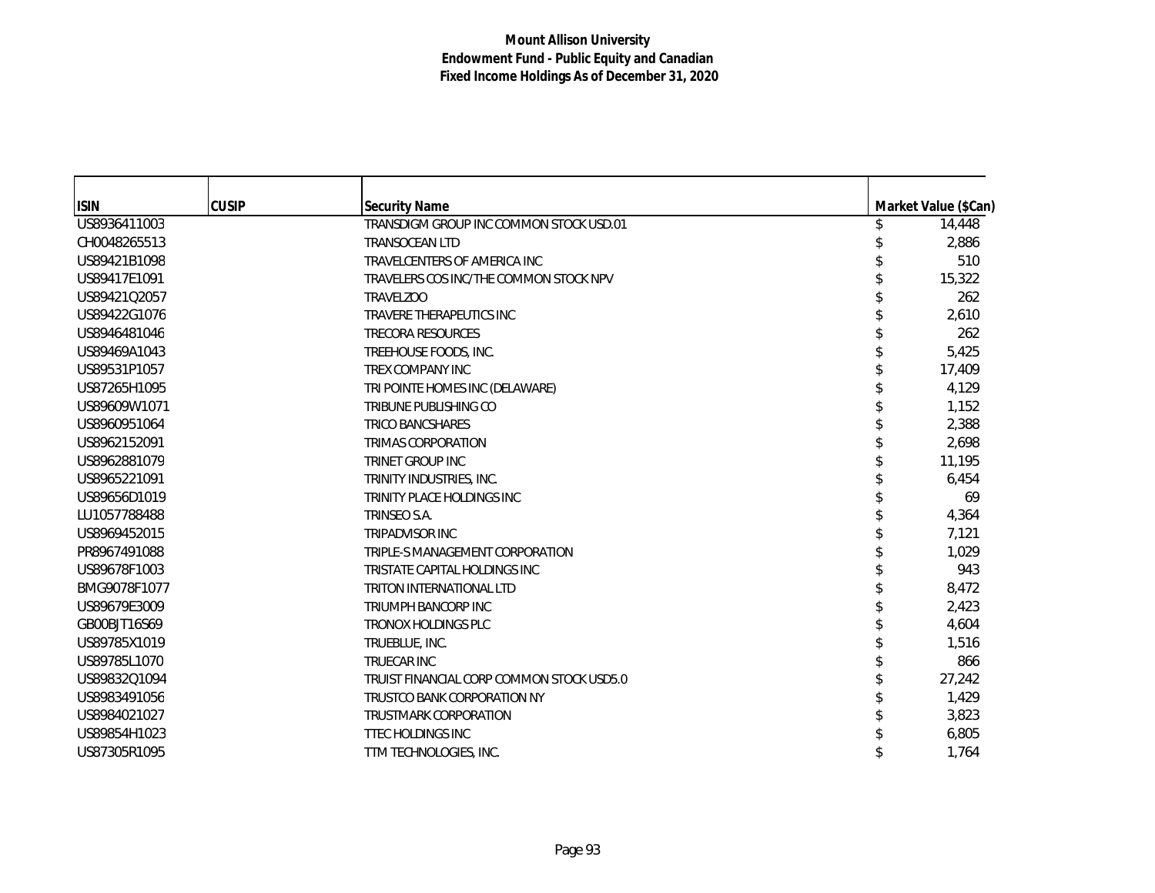| <b>ISIN</b><br><b>CUSIP</b><br><b>Security Name</b><br>Market Value (\$Can)<br>US8936411003<br>14,448<br>TRANSDIGM GROUP INC COMMON STOCK USD.01<br>2,886<br>CH0048265513<br><b>TRANSOCEAN LTD</b><br>US89421B1098<br>510<br>TRAVELCENTERS OF AMERICA INC<br>US89417E1091<br>15,322<br>TRAVELERS COS INC/THE COMMON STOCK NPV<br>US89421Q2057<br>262<br><b>TRAVELZOO</b><br>US89422G1076<br>2,610<br>TRAVERE THERAPEUTICS INC<br>US8946481046<br>262<br><b>TRECORA RESOURCES</b><br>5,425<br>US89469A1043<br>TREEHOUSE FOODS, INC.<br>US89531P1057<br>TREX COMPANY INC<br>17,409<br>4,129<br>US87265H1095<br>TRI POINTE HOMES INC (DELAWARE)<br>US89609W1071<br>1,152<br><b>TRIBUNE PUBLISHING CO</b><br>US8960951064<br>2,388<br><b>TRICO BANCSHARES</b><br>2,698<br>US8962152091<br><b>TRIMAS CORPORATION</b><br>US8962881079<br>11,195<br>TRINET GROUP INC<br>US8965221091<br>6,454<br>TRINITY INDUSTRIES, INC.<br>US89656D1019<br>TRINITY PLACE HOLDINGS INC<br>69<br>LU1057788488<br>4,364<br>TRINSEO S.A.<br>7,121<br>US8969452015<br><b>TRIPADVISOR INC</b><br>PR8967491088<br>1,029<br>TRIPLE-S MANAGEMENT CORPORATION<br>US89678F1003<br>943<br>TRISTATE CAPITAL HOLDINGS INC<br>8,472<br>BMG9078F1077<br>TRITON INTERNATIONAL LTD<br>2,423<br>US89679E3009<br><b>TRIUMPH BANCORP INC</b><br>4,604<br>GB00BJT16S69<br><b>TRONOX HOLDINGS PLC</b><br>US89785X1019<br>1,516<br>TRUEBLUE, INC.<br>US89785L1070<br>866<br><b>TRUECAR INC</b><br>27,242<br>US89832Q1094<br>TRUIST FINANCIAL CORP COMMON STOCK USD5.0<br>1,429<br>US8983491056<br>TRUSTCO BANK CORPORATION NY<br>US8984021027<br>3,823<br><b>TRUSTMARK CORPORATION</b><br>US89854H1023<br><b>TTEC HOLDINGS INC</b><br>6,805<br>US87305R1095<br>1,764<br>TTM TECHNOLOGIES, INC. |  |  |  |
|---------------------------------------------------------------------------------------------------------------------------------------------------------------------------------------------------------------------------------------------------------------------------------------------------------------------------------------------------------------------------------------------------------------------------------------------------------------------------------------------------------------------------------------------------------------------------------------------------------------------------------------------------------------------------------------------------------------------------------------------------------------------------------------------------------------------------------------------------------------------------------------------------------------------------------------------------------------------------------------------------------------------------------------------------------------------------------------------------------------------------------------------------------------------------------------------------------------------------------------------------------------------------------------------------------------------------------------------------------------------------------------------------------------------------------------------------------------------------------------------------------------------------------------------------------------------------------------------------------------------------------------------------------------------------------------------------------------------------------------------------|--|--|--|
|                                                                                                                                                                                                                                                                                                                                                                                                                                                                                                                                                                                                                                                                                                                                                                                                                                                                                                                                                                                                                                                                                                                                                                                                                                                                                                                                                                                                                                                                                                                                                                                                                                                                                                                                                   |  |  |  |
|                                                                                                                                                                                                                                                                                                                                                                                                                                                                                                                                                                                                                                                                                                                                                                                                                                                                                                                                                                                                                                                                                                                                                                                                                                                                                                                                                                                                                                                                                                                                                                                                                                                                                                                                                   |  |  |  |
|                                                                                                                                                                                                                                                                                                                                                                                                                                                                                                                                                                                                                                                                                                                                                                                                                                                                                                                                                                                                                                                                                                                                                                                                                                                                                                                                                                                                                                                                                                                                                                                                                                                                                                                                                   |  |  |  |
|                                                                                                                                                                                                                                                                                                                                                                                                                                                                                                                                                                                                                                                                                                                                                                                                                                                                                                                                                                                                                                                                                                                                                                                                                                                                                                                                                                                                                                                                                                                                                                                                                                                                                                                                                   |  |  |  |
|                                                                                                                                                                                                                                                                                                                                                                                                                                                                                                                                                                                                                                                                                                                                                                                                                                                                                                                                                                                                                                                                                                                                                                                                                                                                                                                                                                                                                                                                                                                                                                                                                                                                                                                                                   |  |  |  |
|                                                                                                                                                                                                                                                                                                                                                                                                                                                                                                                                                                                                                                                                                                                                                                                                                                                                                                                                                                                                                                                                                                                                                                                                                                                                                                                                                                                                                                                                                                                                                                                                                                                                                                                                                   |  |  |  |
|                                                                                                                                                                                                                                                                                                                                                                                                                                                                                                                                                                                                                                                                                                                                                                                                                                                                                                                                                                                                                                                                                                                                                                                                                                                                                                                                                                                                                                                                                                                                                                                                                                                                                                                                                   |  |  |  |
|                                                                                                                                                                                                                                                                                                                                                                                                                                                                                                                                                                                                                                                                                                                                                                                                                                                                                                                                                                                                                                                                                                                                                                                                                                                                                                                                                                                                                                                                                                                                                                                                                                                                                                                                                   |  |  |  |
|                                                                                                                                                                                                                                                                                                                                                                                                                                                                                                                                                                                                                                                                                                                                                                                                                                                                                                                                                                                                                                                                                                                                                                                                                                                                                                                                                                                                                                                                                                                                                                                                                                                                                                                                                   |  |  |  |
|                                                                                                                                                                                                                                                                                                                                                                                                                                                                                                                                                                                                                                                                                                                                                                                                                                                                                                                                                                                                                                                                                                                                                                                                                                                                                                                                                                                                                                                                                                                                                                                                                                                                                                                                                   |  |  |  |
|                                                                                                                                                                                                                                                                                                                                                                                                                                                                                                                                                                                                                                                                                                                                                                                                                                                                                                                                                                                                                                                                                                                                                                                                                                                                                                                                                                                                                                                                                                                                                                                                                                                                                                                                                   |  |  |  |
|                                                                                                                                                                                                                                                                                                                                                                                                                                                                                                                                                                                                                                                                                                                                                                                                                                                                                                                                                                                                                                                                                                                                                                                                                                                                                                                                                                                                                                                                                                                                                                                                                                                                                                                                                   |  |  |  |
|                                                                                                                                                                                                                                                                                                                                                                                                                                                                                                                                                                                                                                                                                                                                                                                                                                                                                                                                                                                                                                                                                                                                                                                                                                                                                                                                                                                                                                                                                                                                                                                                                                                                                                                                                   |  |  |  |
|                                                                                                                                                                                                                                                                                                                                                                                                                                                                                                                                                                                                                                                                                                                                                                                                                                                                                                                                                                                                                                                                                                                                                                                                                                                                                                                                                                                                                                                                                                                                                                                                                                                                                                                                                   |  |  |  |
|                                                                                                                                                                                                                                                                                                                                                                                                                                                                                                                                                                                                                                                                                                                                                                                                                                                                                                                                                                                                                                                                                                                                                                                                                                                                                                                                                                                                                                                                                                                                                                                                                                                                                                                                                   |  |  |  |
|                                                                                                                                                                                                                                                                                                                                                                                                                                                                                                                                                                                                                                                                                                                                                                                                                                                                                                                                                                                                                                                                                                                                                                                                                                                                                                                                                                                                                                                                                                                                                                                                                                                                                                                                                   |  |  |  |
|                                                                                                                                                                                                                                                                                                                                                                                                                                                                                                                                                                                                                                                                                                                                                                                                                                                                                                                                                                                                                                                                                                                                                                                                                                                                                                                                                                                                                                                                                                                                                                                                                                                                                                                                                   |  |  |  |
|                                                                                                                                                                                                                                                                                                                                                                                                                                                                                                                                                                                                                                                                                                                                                                                                                                                                                                                                                                                                                                                                                                                                                                                                                                                                                                                                                                                                                                                                                                                                                                                                                                                                                                                                                   |  |  |  |
|                                                                                                                                                                                                                                                                                                                                                                                                                                                                                                                                                                                                                                                                                                                                                                                                                                                                                                                                                                                                                                                                                                                                                                                                                                                                                                                                                                                                                                                                                                                                                                                                                                                                                                                                                   |  |  |  |
|                                                                                                                                                                                                                                                                                                                                                                                                                                                                                                                                                                                                                                                                                                                                                                                                                                                                                                                                                                                                                                                                                                                                                                                                                                                                                                                                                                                                                                                                                                                                                                                                                                                                                                                                                   |  |  |  |
|                                                                                                                                                                                                                                                                                                                                                                                                                                                                                                                                                                                                                                                                                                                                                                                                                                                                                                                                                                                                                                                                                                                                                                                                                                                                                                                                                                                                                                                                                                                                                                                                                                                                                                                                                   |  |  |  |
|                                                                                                                                                                                                                                                                                                                                                                                                                                                                                                                                                                                                                                                                                                                                                                                                                                                                                                                                                                                                                                                                                                                                                                                                                                                                                                                                                                                                                                                                                                                                                                                                                                                                                                                                                   |  |  |  |
|                                                                                                                                                                                                                                                                                                                                                                                                                                                                                                                                                                                                                                                                                                                                                                                                                                                                                                                                                                                                                                                                                                                                                                                                                                                                                                                                                                                                                                                                                                                                                                                                                                                                                                                                                   |  |  |  |
|                                                                                                                                                                                                                                                                                                                                                                                                                                                                                                                                                                                                                                                                                                                                                                                                                                                                                                                                                                                                                                                                                                                                                                                                                                                                                                                                                                                                                                                                                                                                                                                                                                                                                                                                                   |  |  |  |
|                                                                                                                                                                                                                                                                                                                                                                                                                                                                                                                                                                                                                                                                                                                                                                                                                                                                                                                                                                                                                                                                                                                                                                                                                                                                                                                                                                                                                                                                                                                                                                                                                                                                                                                                                   |  |  |  |
|                                                                                                                                                                                                                                                                                                                                                                                                                                                                                                                                                                                                                                                                                                                                                                                                                                                                                                                                                                                                                                                                                                                                                                                                                                                                                                                                                                                                                                                                                                                                                                                                                                                                                                                                                   |  |  |  |
|                                                                                                                                                                                                                                                                                                                                                                                                                                                                                                                                                                                                                                                                                                                                                                                                                                                                                                                                                                                                                                                                                                                                                                                                                                                                                                                                                                                                                                                                                                                                                                                                                                                                                                                                                   |  |  |  |
|                                                                                                                                                                                                                                                                                                                                                                                                                                                                                                                                                                                                                                                                                                                                                                                                                                                                                                                                                                                                                                                                                                                                                                                                                                                                                                                                                                                                                                                                                                                                                                                                                                                                                                                                                   |  |  |  |
|                                                                                                                                                                                                                                                                                                                                                                                                                                                                                                                                                                                                                                                                                                                                                                                                                                                                                                                                                                                                                                                                                                                                                                                                                                                                                                                                                                                                                                                                                                                                                                                                                                                                                                                                                   |  |  |  |
|                                                                                                                                                                                                                                                                                                                                                                                                                                                                                                                                                                                                                                                                                                                                                                                                                                                                                                                                                                                                                                                                                                                                                                                                                                                                                                                                                                                                                                                                                                                                                                                                                                                                                                                                                   |  |  |  |
|                                                                                                                                                                                                                                                                                                                                                                                                                                                                                                                                                                                                                                                                                                                                                                                                                                                                                                                                                                                                                                                                                                                                                                                                                                                                                                                                                                                                                                                                                                                                                                                                                                                                                                                                                   |  |  |  |
|                                                                                                                                                                                                                                                                                                                                                                                                                                                                                                                                                                                                                                                                                                                                                                                                                                                                                                                                                                                                                                                                                                                                                                                                                                                                                                                                                                                                                                                                                                                                                                                                                                                                                                                                                   |  |  |  |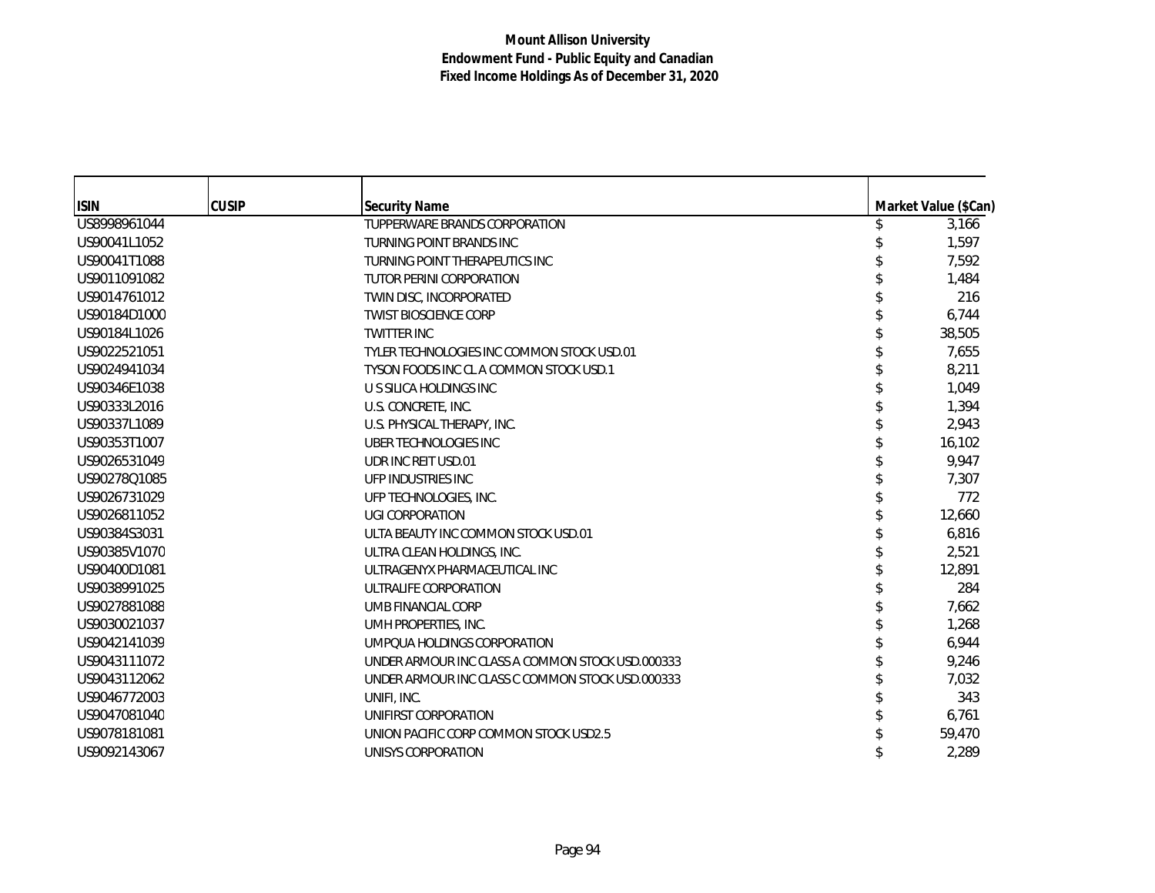| <b>ISIN</b>  | <b>CUSIP</b> | <b>Security Name</b>                             | Market Value (\$Can) |
|--------------|--------------|--------------------------------------------------|----------------------|
| US8998961044 |              | TUPPERWARE BRANDS CORPORATION                    | 3,166                |
| US90041L1052 |              | TURNING POINT BRANDS INC                         | 1,597                |
| US90041T1088 |              | TURNING POINT THERAPEUTICS INC                   | 7,592                |
| US9011091082 |              | TUTOR PERINI CORPORATION                         | 1,484                |
| US9014761012 |              | TWIN DISC, INCORPORATED                          | 216                  |
| US90184D1000 |              | <b>TWIST BIOSCIENCE CORP</b>                     | 6,744                |
| US90184L1026 |              | <b>TWITTER INC</b>                               | 38,505               |
| US9022521051 |              | TYLER TECHNOLOGIES INC COMMON STOCK USD.01       | 7,655                |
| US9024941034 |              | TYSON FOODS INC CL A COMMON STOCK USD.1          | 8,211                |
| US90346E1038 |              | U S SILICA HOLDINGS INC                          | 1.049                |
| US90333L2016 |              | U.S. CONCRETE, INC.                              | 1.394                |
| US90337L1089 |              | U.S. PHYSICAL THERAPY, INC.                      | 2,943                |
| US90353T1007 |              | UBER TECHNOLOGIES INC                            | 16,102               |
| US9026531049 |              | UDR INC REIT USD.01                              | 9,947                |
| US90278Q1085 |              | UFP INDUSTRIES INC                               | 7,307                |
| US9026731029 |              | UFP TECHNOLOGIES, INC.                           | 772                  |
| US9026811052 |              | <b>UGI CORPORATION</b>                           | 12,660               |
| US90384S3031 |              | ULTA BEAUTY INC COMMON STOCK USD.01              | 6,816                |
| US90385V1070 |              | ULTRA CLEAN HOLDINGS, INC.                       | 2,521                |
| US90400D1081 |              | ULTRAGENYX PHARMACEUTICAL INC                    | 12,891               |
| US9038991025 |              | ULTRALIFE CORPORATION                            | 284                  |
| US9027881088 |              | UMB FINANCIAL CORP                               | 7,662                |
| US9030021037 |              | UMH PROPERTIES, INC.                             | 1,268                |
| US9042141039 |              | UMPOUA HOLDINGS CORPORATION                      | 6,944                |
| US9043111072 |              | UNDER ARMOUR INC CLASS A COMMON STOCK USD.000333 | 9,246                |
| US9043112062 |              | UNDER ARMOUR INC CLASS C COMMON STOCK USD.000333 | 7,032                |
| US9046772003 |              | UNIFI, INC.                                      | 343                  |
| US9047081040 |              | UNIFIRST CORPORATION                             | 6,761                |
| US9078181081 |              | UNION PACIFIC CORP COMMON STOCK USD2.5           | 59,470               |
| US9092143067 |              | UNISYS CORPORATION                               | 2,289                |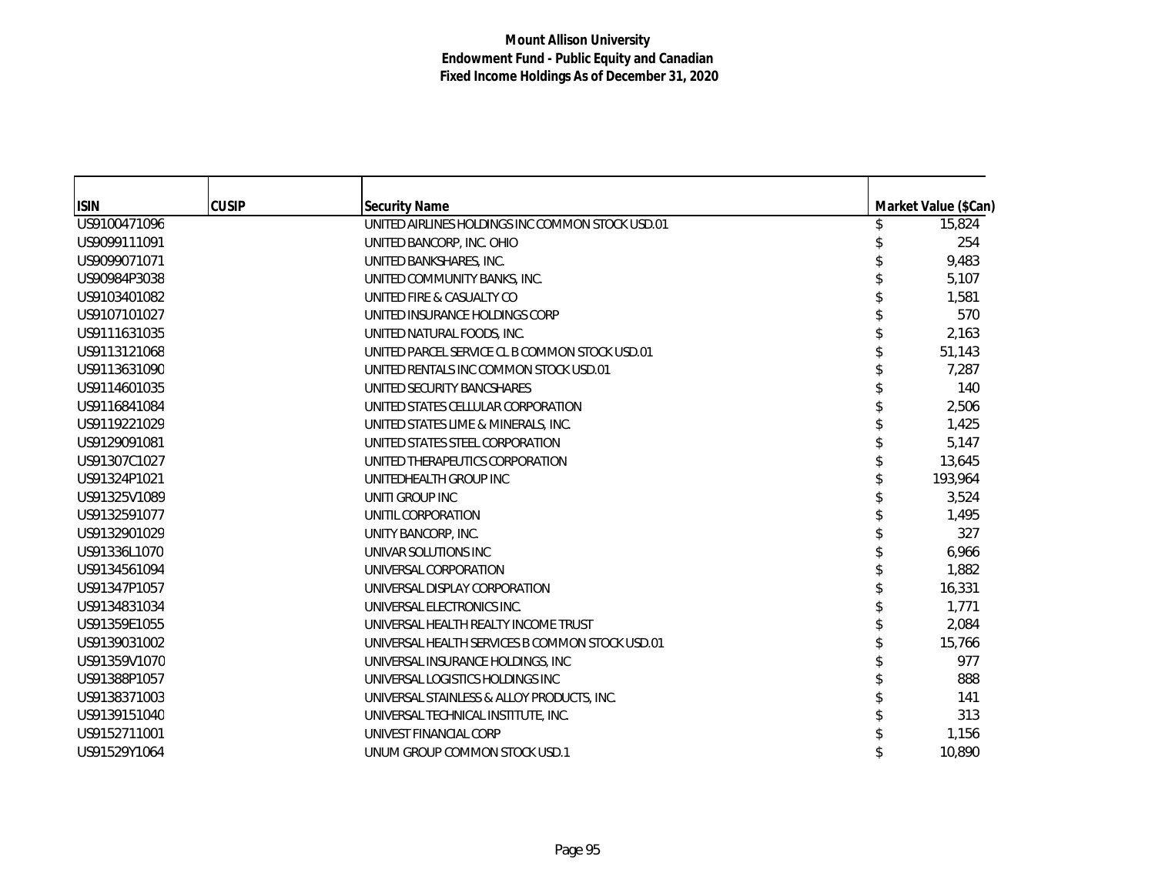| <b>ISIN</b>  | <b>CUSIP</b> | <b>Security Name</b>                             | Market Value (\$Can) |
|--------------|--------------|--------------------------------------------------|----------------------|
| US9100471096 |              | UNITED AIRLINES HOLDINGS INC COMMON STOCK USD.01 | 15,824               |
| US9099111091 |              | UNITED BANCORP, INC. OHIO                        | 254                  |
| US9099071071 |              | UNITED BANKSHARES, INC.                          | 9,483                |
| US90984P3038 |              | UNITED COMMUNITY BANKS, INC.                     | 5,107                |
| US9103401082 |              | UNITED FIRE & CASUALTY CO                        | 1,581                |
| US9107101027 |              | UNITED INSURANCE HOLDINGS CORP                   | 570                  |
| US9111631035 |              | UNITED NATURAL FOODS, INC.                       | 2,163                |
| US9113121068 |              | UNITED PARCEL SERVICE CL B COMMON STOCK USD.01   | 51,143               |
| US9113631090 |              | UNITED RENTALS INC COMMON STOCK USD.01           | 7,287                |
| US9114601035 |              | UNITED SECURITY BANCSHARES                       | 140                  |
| US9116841084 |              | UNITED STATES CELLULAR CORPORATION               | 2,506                |
| US9119221029 |              | UNITED STATES LIME & MINERALS, INC.              | 1,425                |
| US9129091081 |              | UNITED STATES STEEL CORPORATION                  | 5,147                |
| US91307C1027 |              | UNITED THERAPEUTICS CORPORATION                  | 13,645               |
| US91324P1021 |              | UNITEDHEALTH GROUP INC                           | 193,964              |
| US91325V1089 |              | UNITI GROUP INC                                  | 3,524                |
| US9132591077 |              | UNITIL CORPORATION                               | 1,495                |
| US9132901029 |              | UNITY BANCORP, INC.                              | 327                  |
| US91336L1070 |              | UNIVAR SOLUTIONS INC                             | 6,966                |
| US9134561094 |              | UNIVERSAL CORPORATION                            | 1,882                |
| US91347P1057 |              | UNIVERSAL DISPLAY CORPORATION                    | 16,331               |
| US9134831034 |              | UNIVERSAL ELECTRONICS INC.                       | 1,771                |
| US91359E1055 |              | UNIVERSAL HEALTH REALTY INCOME TRUST             | 2,084                |
| US9139031002 |              | UNIVERSAL HEALTH SERVICES B COMMON STOCK USD.01  | 15,766               |
| US91359V1070 |              | UNIVERSAL INSURANCE HOLDINGS, INC.               | 977                  |
| US91388P1057 |              | UNIVERSAL LOGISTICS HOLDINGS INC                 | 888                  |
| US9138371003 |              | UNIVERSAL STAINLESS & ALLOY PRODUCTS, INC.       | 141                  |
| US9139151040 |              | UNIVERSAL TECHNICAL INSTITUTE, INC.              | 313                  |
| US9152711001 |              | UNIVEST FINANCIAL CORP                           | 1,156                |
| US91529Y1064 |              | UNUM GROUP COMMON STOCK USD.1                    | 10,890               |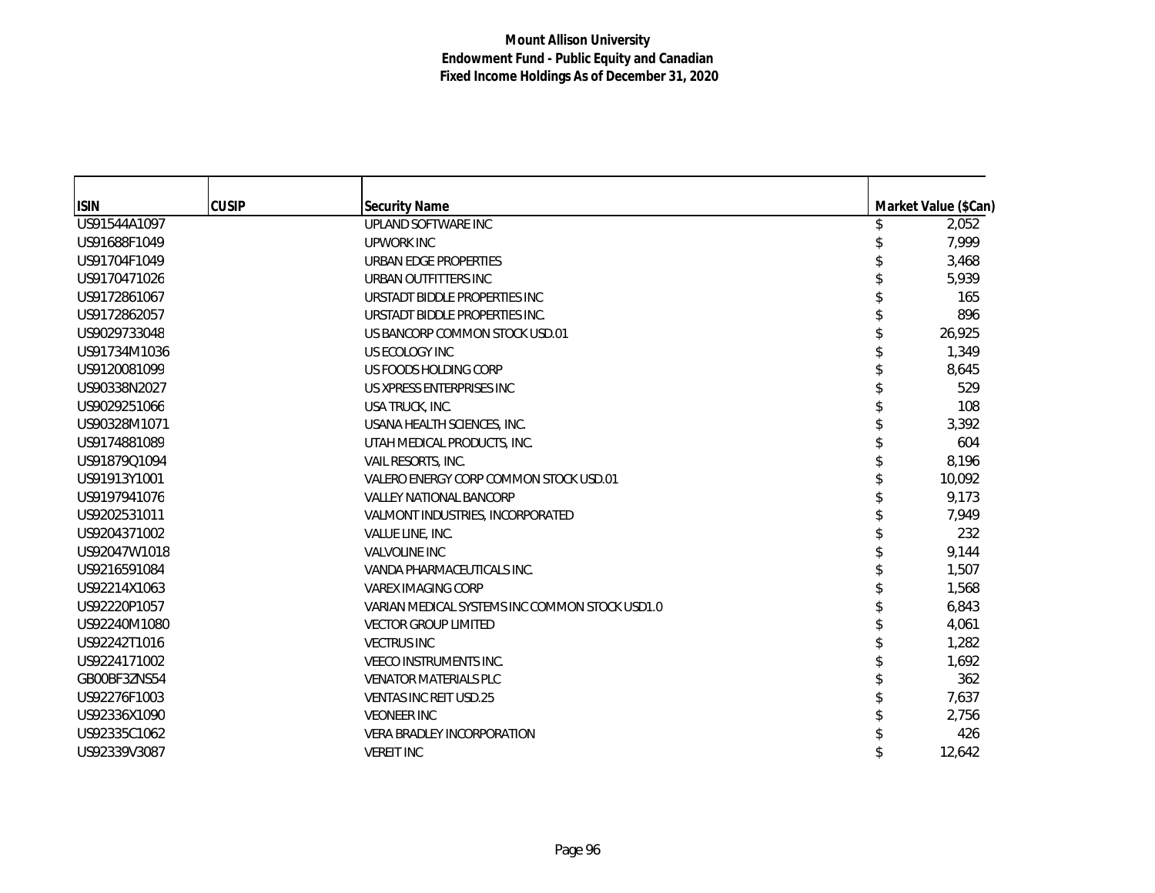| <b>ISIN</b>  | <b>CUSIP</b> | <b>Security Name</b>                           | Market Value (\$Can) |
|--------------|--------------|------------------------------------------------|----------------------|
| US91544A1097 |              | UPLAND SOFTWARE INC                            | 2,052                |
| US91688F1049 |              | <b>UPWORK INC</b>                              | 7,999                |
| US91704F1049 |              | URBAN EDGE PROPERTIES                          | 3,468                |
| US9170471026 |              | URBAN OUTFITTERS INC                           | 5,939                |
| US9172861067 |              | URSTADT BIDDLE PROPERTIES INC                  | 165                  |
| US9172862057 |              | URSTADT BIDDLE PROPERTIES INC.                 | 896                  |
| US9029733048 |              | US BANCORP COMMON STOCK USD.01                 | 26,925               |
| US91734M1036 |              | US ECOLOGY INC                                 | 1,349                |
| US9120081099 |              | US FOODS HOLDING CORP                          | 8,645                |
| US90338N2027 |              | US XPRESS ENTERPRISES INC                      | 529                  |
| US9029251066 |              | USA TRUCK, INC.                                | 108                  |
| US90328M1071 |              | USANA HEALTH SCIENCES, INC.                    | 3,392                |
| US9174881089 |              | UTAH MEDICAL PRODUCTS, INC.                    | 604                  |
| US91879Q1094 |              | VAIL RESORTS, INC.                             | 8,196                |
| US91913Y1001 |              | VALERO ENERGY CORP COMMON STOCK USD.01         | 10,092               |
| US9197941076 |              | <b>VALLEY NATIONAL BANCORP</b>                 | 9,173                |
| US9202531011 |              | VALMONT INDUSTRIES, INCORPORATED               | 7,949                |
| US9204371002 |              | VALUE LINE, INC.                               | 232                  |
| US92047W1018 |              | <b>VALVOLINE INC</b>                           | 9,144                |
| US9216591084 |              | VANDA PHARMACEUTICALS INC.                     | 1,507                |
| US92214X1063 |              | <b>VAREX IMAGING CORP</b>                      | 1,568                |
| US92220P1057 |              | VARIAN MEDICAL SYSTEMS INC COMMON STOCK USD1.0 | 6,843                |
| US92240M1080 |              | <b>VECTOR GROUP LIMITED</b>                    | 4,061                |
| US92242T1016 |              | <b>VECTRUS INC</b>                             | 1,282                |
| US9224171002 |              | <b>VEECO INSTRUMENTS INC.</b>                  | 1,692                |
| GB00BF3ZNS54 |              | <b>VENATOR MATERIALS PLC</b>                   | 362                  |
| US92276F1003 |              | <b>VENTAS INC REIT USD.25</b>                  | 7,637                |
| US92336X1090 |              | <b>VEONEER INC</b>                             | 2,756                |
| US92335C1062 |              | <b>VERA BRADLEY INCORPORATION</b>              | 426                  |
| US92339V3087 |              | <b>VEREIT INC</b>                              | 12,642               |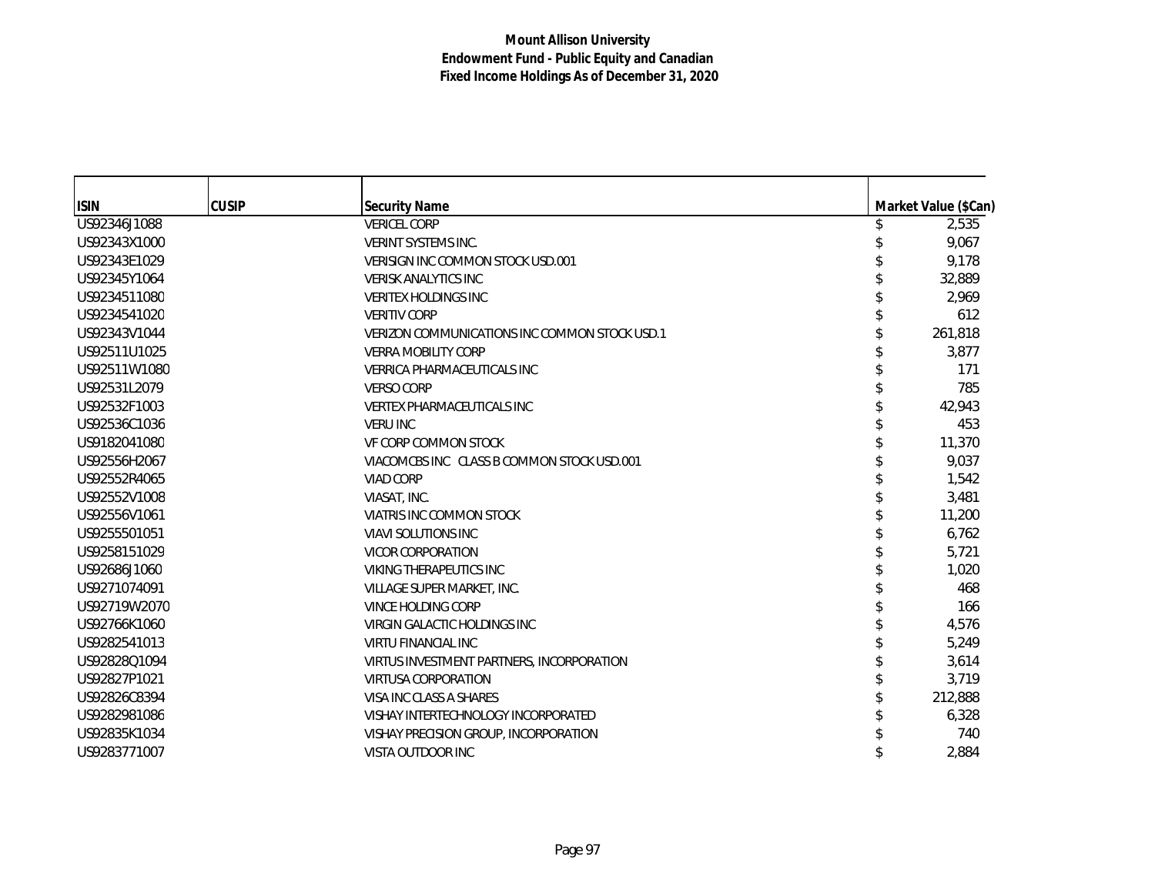| <b>ISIN</b>  | <b>CUSIP</b> | <b>Security Name</b>                          | Market Value (\$Can) |
|--------------|--------------|-----------------------------------------------|----------------------|
| US92346J1088 |              | <b>VERICEL CORP</b>                           | 2,535                |
| US92343X1000 |              | <b>VERINT SYSTEMS INC.</b>                    | 9,067                |
| US92343E1029 |              | VERISIGN INC COMMON STOCK USD.001             | 9,178                |
| US92345Y1064 |              | <b>VERISK ANALYTICS INC.</b>                  | 32,889               |
| US9234511080 |              | <b>VERITEX HOLDINGS INC</b>                   | 2,969                |
| US9234541020 |              | <b>VERITIV CORP</b>                           | 612                  |
| US92343V1044 |              | VERIZON COMMUNICATIONS INC COMMON STOCK USD.1 | 261,818              |
| US92511U1025 |              | <b>VERRA MOBILITY CORP</b>                    | 3,877                |
| US92511W1080 |              | <b>VERRICA PHARMACEUTICALS INC</b>            | 171                  |
| US92531L2079 |              | <b>VERSO CORP</b>                             | 785                  |
| US92532F1003 |              | <b>VERTEX PHARMACEUTICALS INC</b>             | 42.943               |
| US92536C1036 |              | <b>VERU INC</b>                               | 453                  |
| US9182041080 |              | VF CORP COMMON STOCK                          | 11,370               |
| US92556H2067 |              | VIACOMCBS INC CLASS B COMMON STOCK USD.001    | 9,037                |
| US92552R4065 |              | <b>VIAD CORP</b>                              | 1,542                |
| US92552V1008 |              | VIASAT, INC.                                  | 3,481                |
| US92556V1061 |              | VIATRIS INC COMMON STOCK                      | 11,200               |
| US9255501051 |              | <b>VIAVI SOLUTIONS INC</b>                    | 6,762                |
| US9258151029 |              | <b>VICOR CORPORATION</b>                      | 5,721                |
| US92686J1060 |              | <b>VIKING THERAPEUTICS INC</b>                | 1,020                |
| US9271074091 |              | VILLAGE SUPER MARKET, INC.                    | 468                  |
| US92719W2070 |              | <b>VINCE HOLDING CORP</b>                     | 166                  |
| US92766K1060 |              | VIRGIN GALACTIC HOLDINGS INC                  | 4,576                |
| US9282541013 |              | <b>VIRTU FINANCIAL INC</b>                    | 5,249                |
| US92828Q1094 |              | VIRTUS INVESTMENT PARTNERS, INCORPORATION     | 3,614                |
| US92827P1021 |              | <b>VIRTUSA CORPORATION</b>                    | 3,719                |
| US92826C8394 |              | VISA INC CLASS A SHARES                       | 212,888              |
| US9282981086 |              | VISHAY INTERTECHNOLOGY INCORPORATED           | 6,328                |
| US92835K1034 |              | VISHAY PRECISION GROUP, INCORPORATION         | 740                  |
| US9283771007 |              | VISTA OUTDOOR INC                             | 2,884                |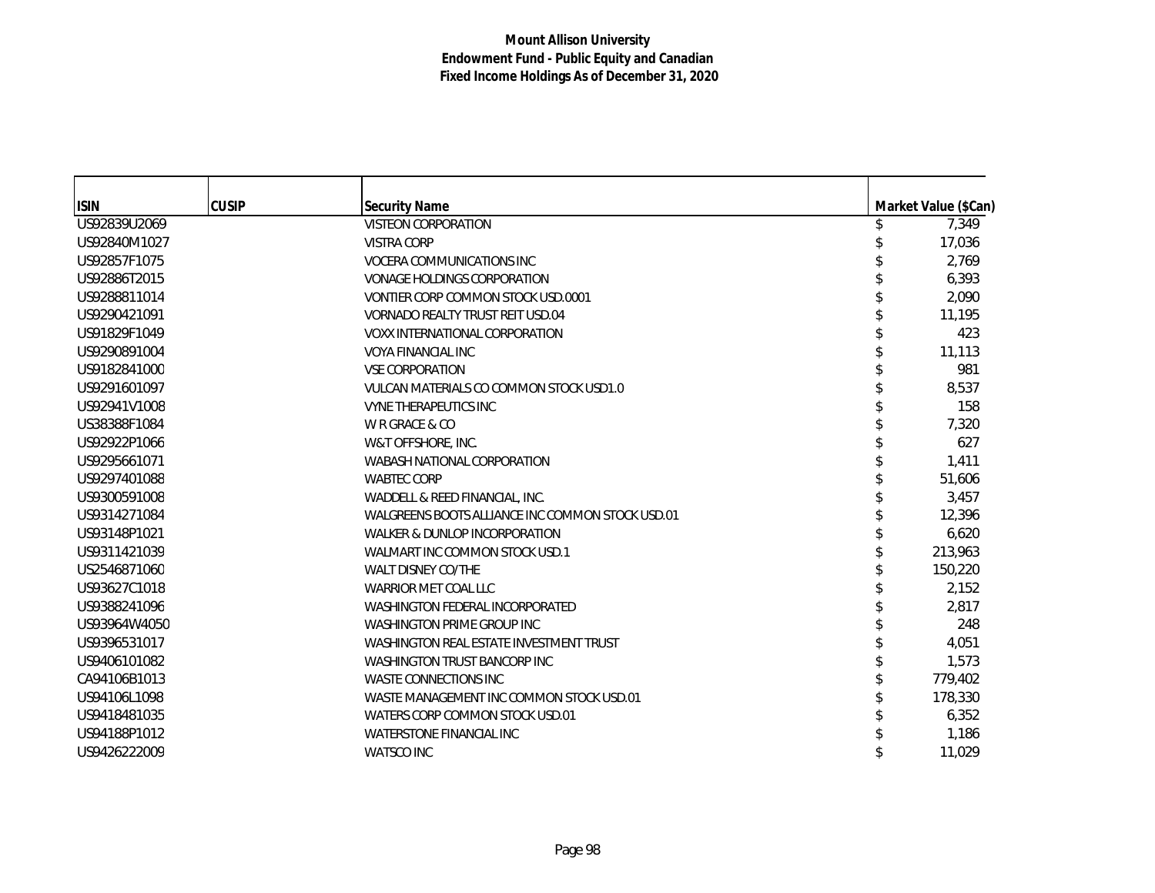| <b>ISIN</b>  | <b>CUSIP</b> | <b>Security Name</b>                             | Market Value (\$Can) |
|--------------|--------------|--------------------------------------------------|----------------------|
| US92839U2069 |              | <b>VISTEON CORPORATION</b>                       | 7,349                |
| US92840M1027 |              | <b>VISTRA CORP</b>                               | 17,036               |
| US92857F1075 |              | <b>VOCERA COMMUNICATIONS INC</b>                 | 2,769                |
| US92886T2015 |              | <b>VONAGE HOLDINGS CORPORATION</b>               | 6,393                |
| US9288811014 |              | VONTIER CORP COMMON STOCK USD.0001               | 2,090                |
| US9290421091 |              | VORNADO REALTY TRUST REIT USD.04                 | 11,195               |
| US91829F1049 |              | <b>VOXX INTERNATIONAL CORPORATION</b>            | 423                  |
| US9290891004 |              | <b>VOYA FINANCIAL INC</b>                        | 11,113               |
| US9182841000 |              | <b>VSE CORPORATION</b>                           | 981                  |
| US9291601097 |              | VULCAN MATERIALS CO COMMON STOCK USD1.0          | 8,537                |
| US92941V1008 |              | <b>VYNE THERAPEUTICS INC</b>                     | 158                  |
| US38388F1084 |              | W R GRACE & CO                                   | 7,320                |
| US92922P1066 |              | W&T OFFSHORE, INC.                               | 627                  |
| US9295661071 |              | WABASH NATIONAL CORPORATION                      | 1,411                |
| US9297401088 |              | <b>WABTEC CORP</b>                               | 51,606               |
| US9300591008 |              | WADDELL & REED FINANCIAL, INC.                   | 3,457                |
| US9314271084 |              | WALGREENS BOOTS ALLIANCE INC COMMON STOCK USD.01 | 12,396               |
| US93148P1021 |              | WALKER & DUNLOP INCORPORATION                    | 6,620                |
| US9311421039 |              | WALMART INC COMMON STOCK USD.1                   | 213,963              |
| US2546871060 |              | <b>WALT DISNEY CO/THE</b>                        | 150,220              |
| US93627C1018 |              | WARRIOR MET COAL LLC                             | 2,152                |
| US9388241096 |              | <b>WASHINGTON FEDERAL INCORPORATED</b>           | 2.817                |
| US93964W4050 |              | <b>WASHINGTON PRIME GROUP INC</b>                | 248                  |
| US9396531017 |              | WASHINGTON REAL ESTATE INVESTMENT TRUST          | 4,051                |
| US9406101082 |              | <b>WASHINGTON TRUST BANCORP INC</b>              | 1,573                |
| CA94106B1013 |              | <b>WASTE CONNECTIONS INC</b>                     | 779,402              |
| US94106L1098 |              | WASTE MANAGEMENT INC COMMON STOCK USD.01         | 178,330              |
| US9418481035 |              | WATERS CORP COMMON STOCK USD.01                  | 6,352                |
| US94188P1012 |              | <b>WATERSTONE FINANCIAL INC.</b>                 | 1,186                |
| US9426222009 |              | <b>WATSCO INC</b>                                | 11,029               |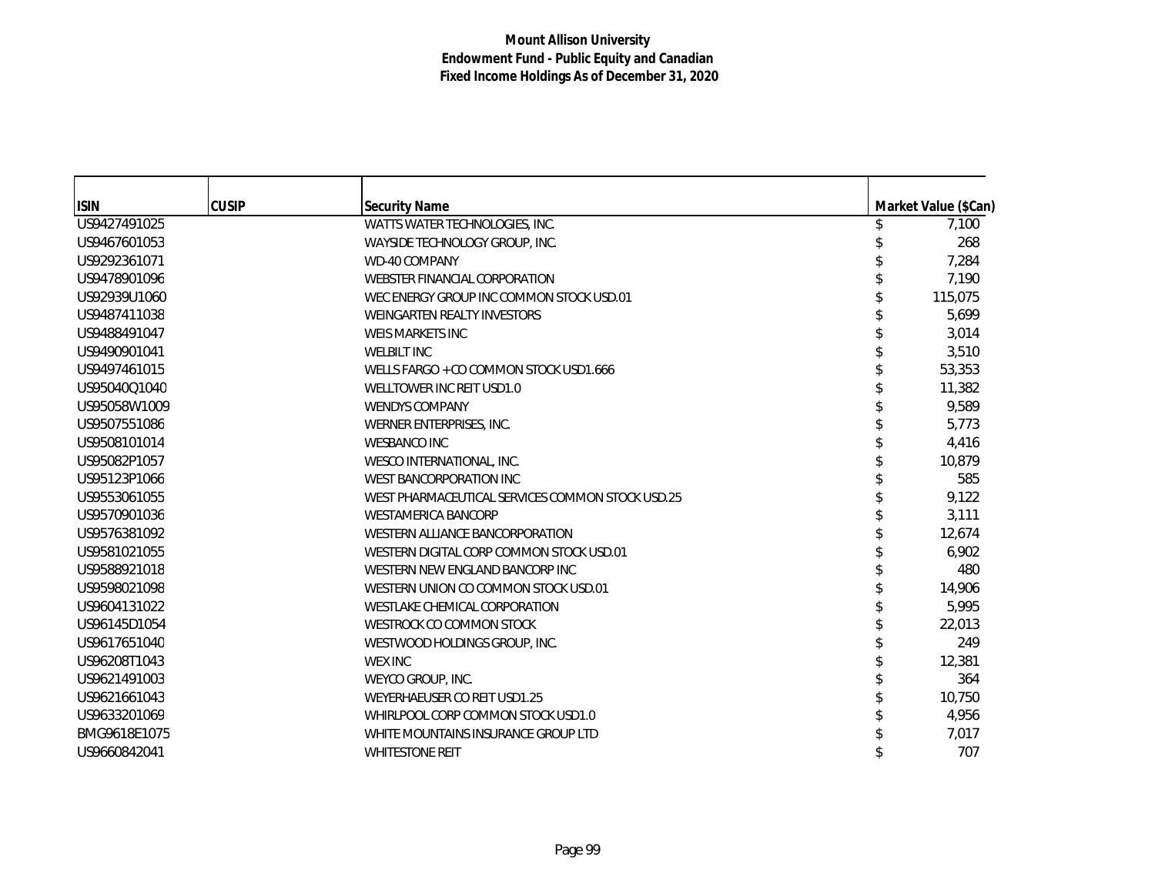| <b>ISIN</b>  | <b>CUSIP</b> | Security Name                                    | Market Value (\$Can) |
|--------------|--------------|--------------------------------------------------|----------------------|
| US9427491025 |              | WATTS WATER TECHNOLOGIES, INC.                   | 7,100                |
| US9467601053 |              | WAYSIDE TECHNOLOGY GROUP, INC.                   | 268                  |
| US9292361071 |              | WD-40 COMPANY                                    | 7,284                |
| US9478901096 |              | WEBSTER FINANCIAL CORPORATION                    | 7.190                |
| US92939U1060 |              | WEC ENERGY GROUP INC COMMON STOCK USD.01         | 115,075              |
| US9487411038 |              | WEINGARTEN REALTY INVESTORS                      | 5,699                |
| US9488491047 |              | <b>WEIS MARKETS INC</b>                          | 3,014                |
| US9490901041 |              | <b>WELBILT INC</b>                               | 3,510                |
| US9497461015 |              | WELLS FARGO + CO COMMON STOCK USD1.666           | 53,353               |
| US95040Q1040 |              | WELLTOWER INC REIT USD1.0                        | 11,382               |
| US95058W1009 |              | <b>WENDYS COMPANY</b>                            | 9,589                |
| US9507551086 |              | WERNER ENTERPRISES, INC.                         | 5.773                |
| US9508101014 |              | <b>WESBANCO INC</b>                              | 4,416                |
| US95082P1057 |              | WESCO INTERNATIONAL, INC.                        | 10,879               |
| US95123P1066 |              | WEST BANCORPORATION INC                          | 585                  |
| US9553061055 |              | WEST PHARMACEUTICAL SERVICES COMMON STOCK USD.25 | 9,122                |
| US9570901036 |              | <b>WESTAMERICA BANCORP</b>                       | 3,111                |
| US9576381092 |              | WESTERN ALLIANCE BANCORPORATION                  | 12,674               |
| US9581021055 |              | WESTERN DIGITAL CORP COMMON STOCK USD.01         | 6,902                |
| US9588921018 |              | WESTERN NEW ENGLAND BANCORP INC                  | 480                  |
| US9598021098 |              | WESTERN UNION CO COMMON STOCK USD.01             | 14,906               |
| US9604131022 |              | WESTLAKE CHEMICAL CORPORATION                    | 5,995                |
| US96145D1054 |              | WESTROCK CO COMMON STOCK                         | 22,013               |
| US9617651040 |              | WESTWOOD HOLDINGS GROUP, INC.                    | 249                  |
| US96208T1043 |              | <b>WEX INC</b>                                   | 12,381               |
| US9621491003 |              | WEYCO GROUP, INC.                                | 364                  |
| US9621661043 |              | WEYERHAEUSER CO REIT USD1.25                     | 10,750               |
| US9633201069 |              | WHIRLPOOL CORP COMMON STOCK USD1.0               | 4,956                |
| BMG9618E1075 |              | WHITE MOUNTAINS INSURANCE GROUP LTD              | 7,017                |
| US9660842041 |              | <b>WHITESTONE REIT</b>                           | 707                  |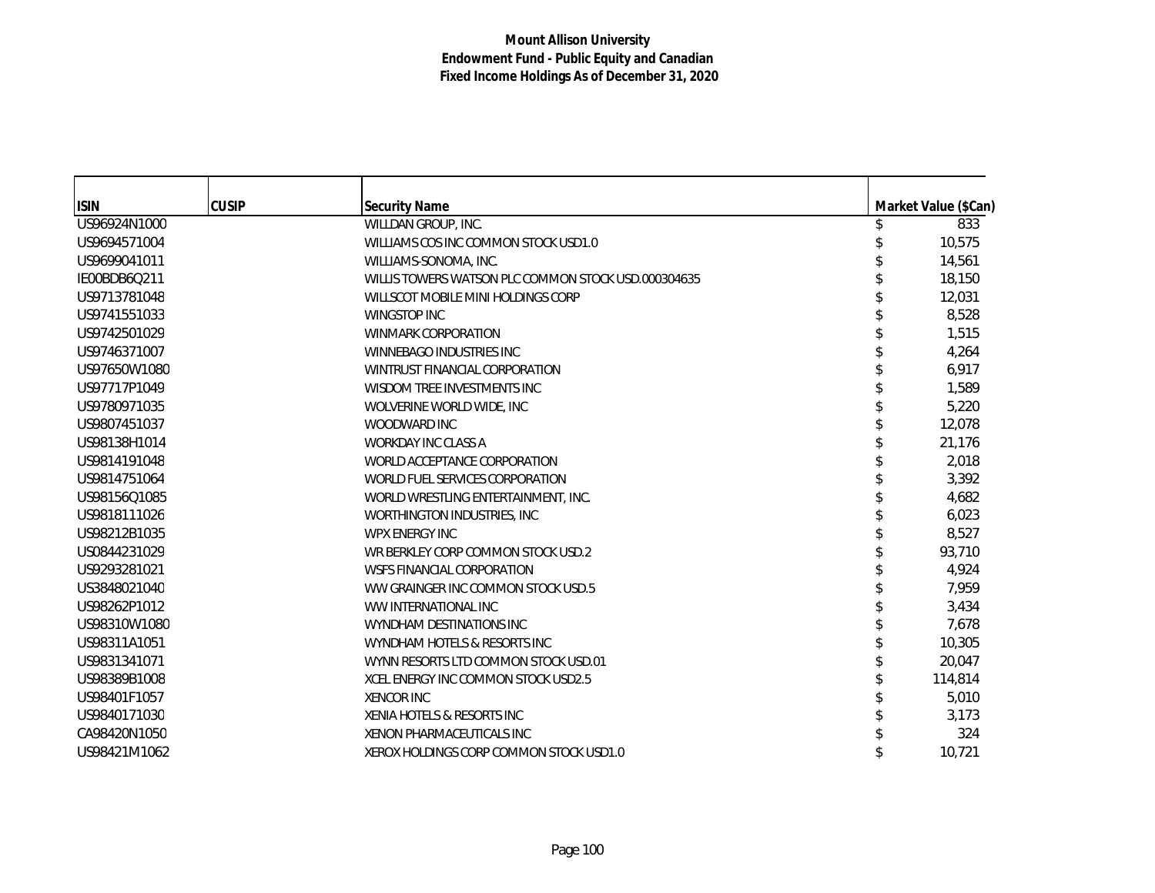| <b>ISIN</b>  | <b>CUSIP</b> | <b>Security Name</b>                                | Market Value (\$Can) |
|--------------|--------------|-----------------------------------------------------|----------------------|
| US96924N1000 |              | WILLDAN GROUP, INC.                                 | 833                  |
| US9694571004 |              | WILLIAMS COS INC COMMON STOCK USD1.0                | 10,575               |
| US9699041011 |              | WILLIAMS-SONOMA, INC.                               | 14,561               |
| IE00BDB6Q211 |              | WILLIS TOWERS WATSON PLC COMMON STOCK USD.000304635 | 18,150               |
| US9713781048 |              | WILLSCOT MOBILE MINI HOLDINGS CORP                  | 12,031               |
| US9741551033 |              | <b>WINGSTOP INC</b>                                 | 8,528                |
| US9742501029 |              | <b>WINMARK CORPORATION</b>                          | 1,515                |
| US9746371007 |              | WINNEBAGO INDUSTRIES INC                            | 4,264                |
| US97650W1080 |              | WINTRUST FINANCIAL CORPORATION                      | 6,917                |
| US97717P1049 |              | WISDOM TREE INVESTMENTS INC                         | 1,589                |
| US9780971035 |              | WOLVERINE WORLD WIDE, INC.                          | 5,220                |
| US9807451037 |              | WOODWARD INC                                        | 12,078               |
| US98138H1014 |              | <b>WORKDAY INC CLASS A</b>                          | 21,176               |
| US9814191048 |              | WORLD ACCEPTANCE CORPORATION                        | 2,018                |
| US9814751064 |              | WORLD FUEL SERVICES CORPORATION                     | 3,392                |
| US98156Q1085 |              | WORLD WRESTLING ENTERTAINMENT, INC.                 | 4,682                |
| US9818111026 |              | WORTHINGTON INDUSTRIES, INC                         | 6,023                |
| US98212B1035 |              | <b>WPX ENERGY INC</b>                               | 8,527                |
| US0844231029 |              | WR BERKLEY CORP COMMON STOCK USD.2                  | 93,710               |
| US9293281021 |              | WSFS FINANCIAL CORPORATION                          | 4,924                |
| US3848021040 |              | WW GRAINGER INC COMMON STOCK USD.5                  | 7,959                |
| US98262P1012 |              | WW INTERNATIONAL INC                                | 3,434                |
| US98310W1080 |              | WYNDHAM DESTINATIONS INC                            | 7,678                |
| US98311A1051 |              | WYNDHAM HOTELS & RESORTS INC                        | 10,305               |
| US9831341071 |              | WYNN RESORTS LTD COMMON STOCK USD.01                | 20.047               |
| US98389B1008 |              | XCEL ENERGY INC COMMON STOCK USD2.5                 | 114,814              |
| US98401F1057 |              | <b>XENCOR INC</b>                                   | 5,010                |
| US9840171030 |              | XENIA HOTELS & RESORTS INC                          | 3,173                |
| CA98420N1050 |              | XENON PHARMACEUTICALS INC                           | 324                  |
| US98421M1062 |              | XEROX HOLDINGS CORP COMMON STOCK USD1.0             | 10,721               |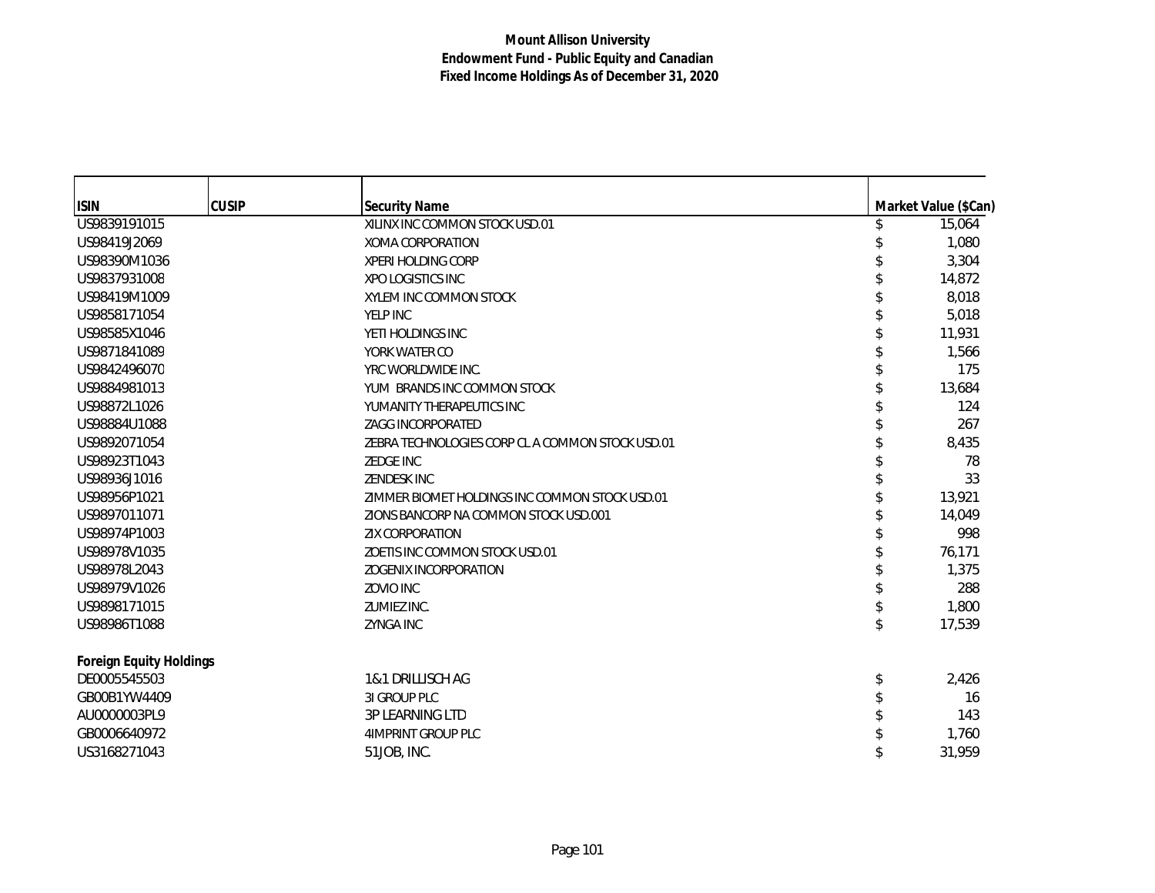| <b>ISIN</b>                    | <b>CUSIP</b> | <b>Security Name</b>                             | Market Value (\$Can) |
|--------------------------------|--------------|--------------------------------------------------|----------------------|
| US9839191015                   |              | XILINX INC COMMON STOCK USD.01                   | \$<br>15,064         |
| US98419J2069                   |              | XOMA CORPORATION                                 | 1,080                |
| US98390M1036                   |              | <b>XPERI HOLDING CORP</b>                        | 3,304                |
| US9837931008                   |              | XPO LOGISTICS INC                                | 14,872               |
| US98419M1009                   |              | XYLEM INC COMMON STOCK                           | 8,018                |
| US9858171054                   |              | YELP INC                                         | 5,018                |
| US98585X1046                   |              | YETI HOLDINGS INC                                | 11.931               |
| US9871841089                   |              | YORK WATER CO                                    | 1,566                |
| US9842496070                   |              | YRC WORLDWIDE INC.                               | 175                  |
| US9884981013                   |              | YUM BRANDS INC COMMON STOCK                      | 13,684               |
| US98872L1026                   |              | YUMANITY THERAPEUTICS INC                        | 124                  |
| US98884U1088                   |              | <b>ZAGG INCORPORATED</b>                         | 267                  |
| US9892071054                   |              | ZEBRA TECHNOLOGIES CORP CL A COMMON STOCK USD.01 | 8,435                |
| US98923T1043                   |              | <b>ZEDGE INC</b>                                 | 78                   |
| US98936J1016                   |              | <b>ZENDESK INC</b>                               | 33                   |
| US98956P1021                   |              | ZIMMER BIOMET HOLDINGS INC COMMON STOCK USD.01   | 13,921               |
| US9897011071                   |              | ZIONS BANCORP NA COMMON STOCK USD.001            | 14,049               |
| US98974P1003                   |              | <b>ZIX CORPORATION</b>                           | 998                  |
| US98978V1035                   |              | ZOETIS INC COMMON STOCK USD.01                   | 76,171               |
| US98978L2043                   |              | <b>ZOGENIX INCORPORATION</b>                     | 1,375                |
| US98979V1026                   |              | <b>ZOVIO INC</b>                                 | 288                  |
| US9898171015                   |              | ZUMIEZ INC.                                      | 1,800                |
| US98986T1088                   |              | <b>ZYNGA INC</b>                                 | 17,539               |
| <b>Foreign Equity Holdings</b> |              |                                                  |                      |
| DE0005545503                   |              | 1&1 DRILLISCH AG                                 | \$<br>2,426          |
| GB00B1YW4409                   |              | 31 GROUP PLC                                     | 16                   |
| AU0000003PL9                   |              | 3P LEARNING LTD                                  | 143                  |
| GB0006640972                   |              | 4IMPRINT GROUP PLC                               | 1,760                |
| US3168271043                   |              | 51JOB, INC.                                      | 31,959               |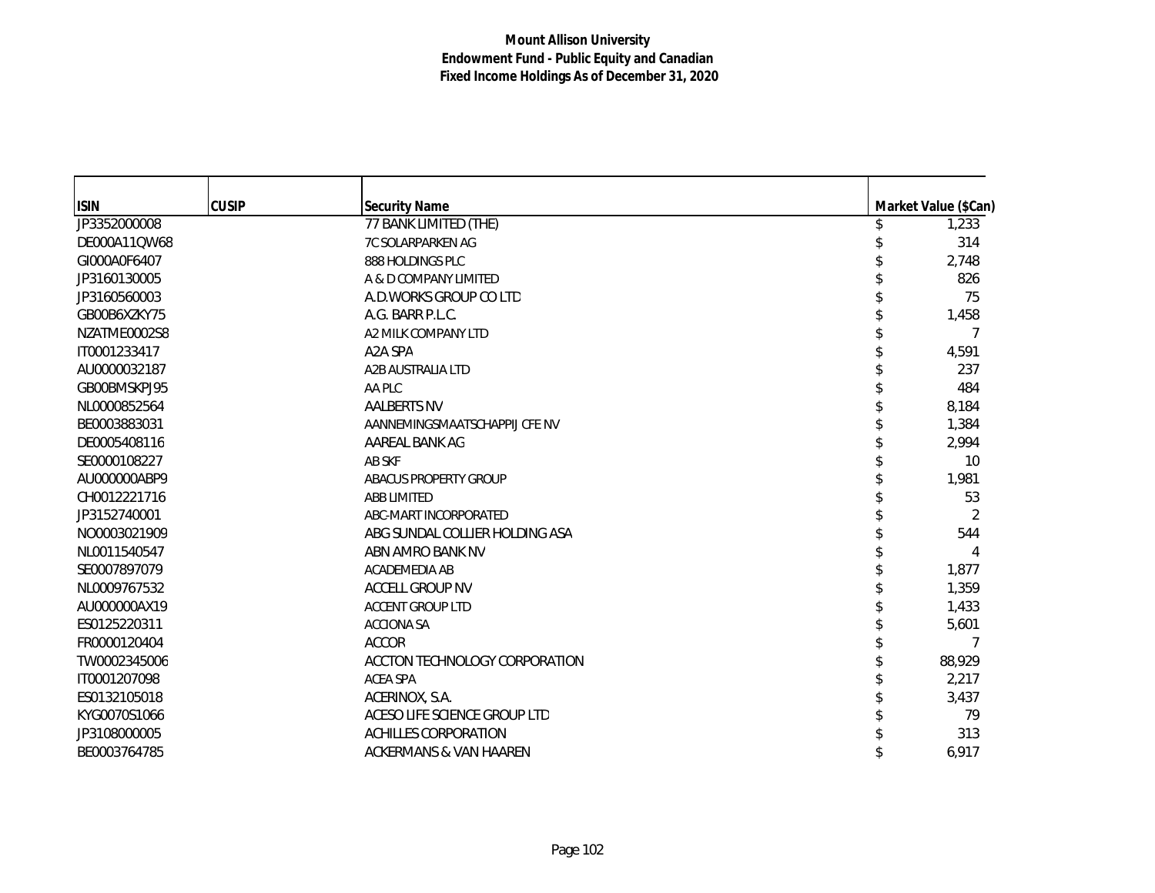| <b>ISIN</b>  | <b>CUSIP</b> | <b>Security Name</b>           | Market Value (\$Can) |
|--------------|--------------|--------------------------------|----------------------|
| JP3352000008 |              | 77 BANK LIMITED (THE)          | 1,233                |
| DE000A11QW68 |              | 7C SOLARPARKEN AG              | 314                  |
| GI000A0F6407 |              | 888 HOLDINGS PLC               | 2,748                |
| JP3160130005 |              | A & D COMPANY LIMITED          | 826                  |
| JP3160560003 |              | A.D. WORKS GROUP COLTD         | 75                   |
| GB00B6XZKY75 |              | A.G. BARR P.L.C.               | 1,458                |
| NZATME0002S8 |              | A2 MILK COMPANY LTD            |                      |
| IT0001233417 |              | A2A SPA                        | 4,591                |
| AU0000032187 |              | A2B AUSTRALIA LTD              | 237                  |
| GB00BMSKPJ95 |              | AA PLC                         | 484                  |
| NL0000852564 |              | <b>AALBERTS NV</b>             | 8,184                |
| BE0003883031 |              | AANNEMINGSMAATSCHAPPIJ CFE NV  | 1,384                |
| DE0005408116 |              | AAREAL BANK AG                 | 2,994                |
| SE0000108227 |              | AB SKF                         | 10                   |
| AU000000ABP9 |              | ABACUS PROPERTY GROUP          | 1,981                |
| CH0012221716 |              | <b>ABB LIMITED</b>             | 53                   |
| JP3152740001 |              | ABC-MART INCORPORATED          | $\mathfrak{D}$       |
| NO0003021909 |              | ABG SUNDAL COLLIER HOLDING ASA | 544                  |
| NL0011540547 |              | ABN AMRO BANK NV               |                      |
| SE0007897079 |              | ACADEMEDIA AB                  | 1,877                |
| NL0009767532 |              | <b>ACCELL GROUP NV</b>         | 1,359                |
| AU000000AX19 |              | <b>ACCENT GROUP LTD</b>        | 1,433                |
| ES0125220311 |              | <b>ACCIONA SA</b>              | 5,601                |
| FR0000120404 |              | <b>ACCOR</b>                   | 7                    |
| TW0002345006 |              | ACCTON TECHNOLOGY CORPORATION  | 88,929               |
| IT0001207098 |              | <b>ACEA SPA</b>                | 2,217                |
| ES0132105018 |              | ACERINOX, S.A.                 | 3,437                |
| KYG0070S1066 |              | ACESO LIFE SCIENCE GROUP LTD   | 79                   |
| JP3108000005 |              | <b>ACHILLES CORPORATION</b>    | 313                  |
| BE0003764785 |              | ACKERMANS & VAN HAAREN         | 6,917                |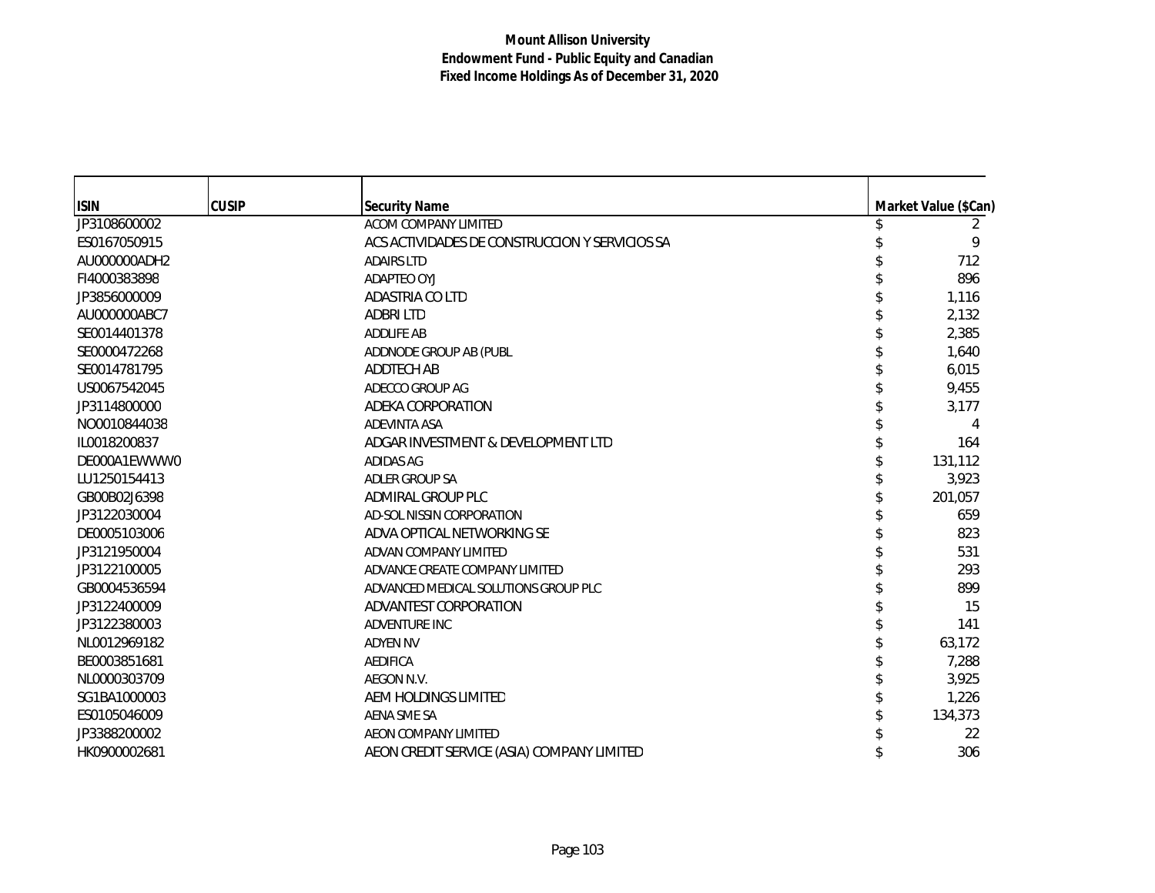| <b>ISIN</b>  | <b>CUSIP</b> | <b>Security Name</b>                           | Market Value (\$Can) |
|--------------|--------------|------------------------------------------------|----------------------|
| JP3108600002 |              | ACOM COMPANY LIMITED                           | 2                    |
| ES0167050915 |              | ACS ACTIVIDADES DE CONSTRUCCION Y SERVICIOS SA | 9                    |
| AU000000ADH2 |              | <b>ADAIRS LTD</b>                              | 712                  |
| FI4000383898 |              | <b>ADAPTEO OYJ</b>                             | 896                  |
| JP3856000009 |              | ADASTRIA CO LTD                                | 1,116                |
| AU000000ABC7 |              | <b>ADBRILTD</b>                                | 2,132                |
| SE0014401378 |              | <b>ADDLIFE AB</b>                              | 2,385                |
| SE0000472268 |              | ADDNODE GROUP AB (PUBL                         | 1,640                |
| SE0014781795 |              | ADDTECH AB                                     | 6,015                |
| US0067542045 |              | ADECCO GROUP AG                                | 9,455                |
| JP3114800000 |              | ADEKA CORPORATION                              | 3,177                |
| NO0010844038 |              | <b>ADEVINTA ASA</b>                            | 4                    |
| IL0018200837 |              | ADGAR INVESTMENT & DEVELOPMENT LTD             | 164                  |
| DE000A1EWWW0 |              | <b>ADIDAS AG</b>                               | 131,112              |
| LU1250154413 |              | <b>ADLER GROUP SA</b>                          | 3,923                |
| GB00B02J6398 |              | ADMIRAL GROUP PLC                              | 201,057              |
| JP3122030004 |              | AD-SOL NISSIN CORPORATION                      | 659                  |
| DE0005103006 |              | ADVA OPTICAL NETWORKING SE                     | 823                  |
| JP3121950004 |              | ADVAN COMPANY LIMITED                          | 531                  |
| JP3122100005 |              | ADVANCE CREATE COMPANY LIMITED                 | 293                  |
| GB0004536594 |              | ADVANCED MEDICAL SOLUTIONS GROUP PLC           | 899                  |
| JP3122400009 |              | ADVANTEST CORPORATION                          | 15                   |
| JP3122380003 |              | <b>ADVENTURE INC</b>                           | 141                  |
| NL0012969182 |              | <b>ADYEN NV</b>                                | 63,172               |
| BE0003851681 |              | <b>AEDIFICA</b>                                | 7,288                |
| NL0000303709 |              | AEGON N.V.                                     | 3,925                |
| SG1BA1000003 |              | AEM HOLDINGS LIMITED                           | 1,226                |
| ES0105046009 |              | AENA SME SA                                    | 134,373              |
| JP3388200002 |              | <b>AEON COMPANY LIMITED</b>                    | 22                   |
| HK0900002681 |              | AEON CREDIT SERVICE (ASIA) COMPANY LIMITED     | 306                  |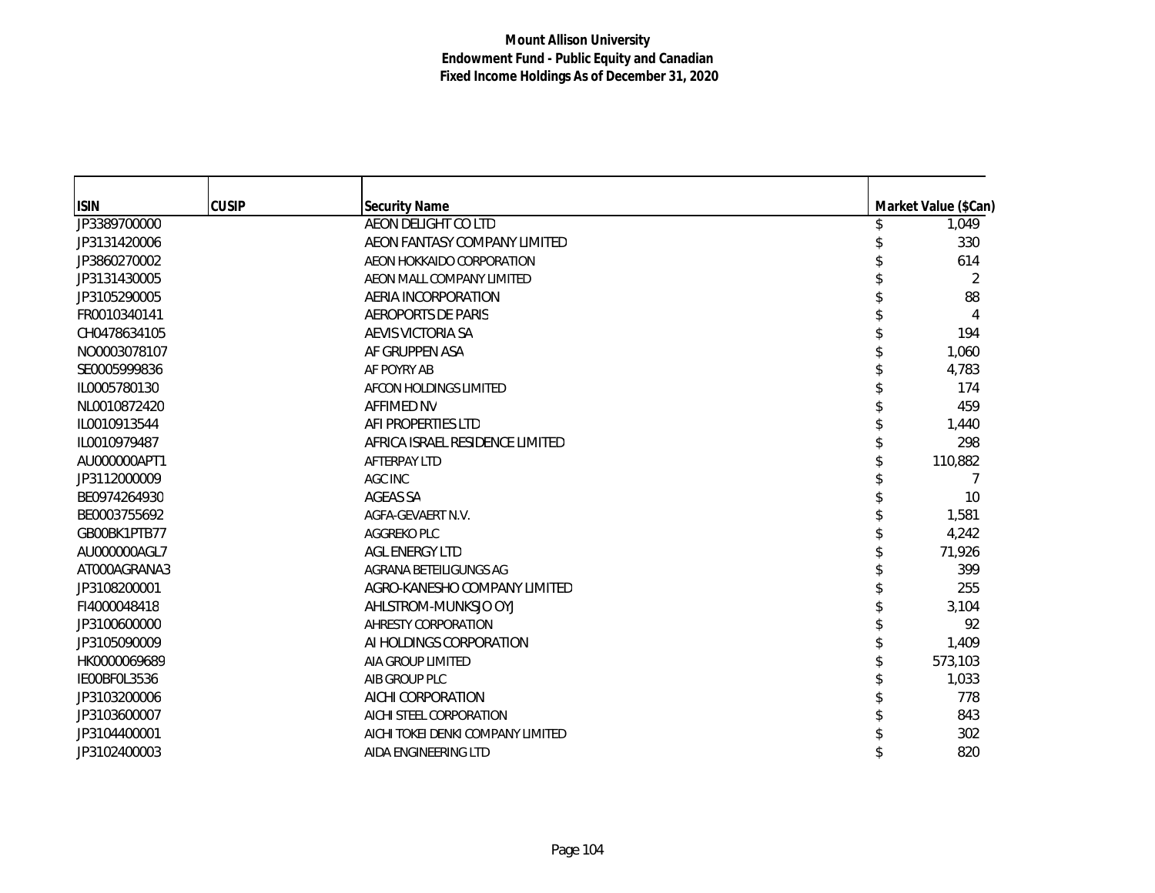| <b>ISIN</b>                  | <b>CUSIP</b> | <b>Security Name</b>               | Market Value (\$Can) |
|------------------------------|--------------|------------------------------------|----------------------|
| JP3389700000                 |              | AEON DELIGHT CO LTD                | 1,049                |
| JP3131420006                 |              | AEON FANTASY COMPANY LIMITED       | 330                  |
| JP3860270002                 |              | AEON HOKKAIDO CORPORATION          | 614                  |
| JP3131430005                 |              | AEON MALL COMPANY LIMITED          | 2                    |
| JP3105290005                 |              | AERIA INCORPORATION                | 88                   |
| FR0010340141                 |              | <b>AEROPORTS DE PARIS</b>          | 4                    |
| CH0478634105                 |              | AEVIS VICTORIA SA                  | 194                  |
| NO0003078107                 |              | AF GRUPPEN ASA                     | 1,060                |
| SE0005999836                 |              | AF POYRY AB                        | 4,783                |
| IL0005780130                 |              | AFCON HOLDINGS LIMITED             | 174                  |
| NL0010872420                 |              | <b>AFFIMED NV</b>                  | 459                  |
| IL0010913544                 |              | AFI PROPERTIES LTD                 | 1,440                |
| IL0010979487                 |              | AFRICA ISRAEL RESIDENCE LIMITED    | 298                  |
| AU000000APT1                 |              | <b>AFTERPAY LTD</b>                | 110,882              |
| JP3112000009                 |              | <b>AGC INC</b>                     |                      |
| BE0974264930                 |              | AGEAS SA                           | 10                   |
| BE0003755692                 |              | AGFA-GEVAERT N.V.                  | 1,581                |
| GB00BK1PTB77                 |              | AGGREKO PLC                        | 4,242                |
| AU000000AGL7                 |              | <b>AGL ENERGY LTD</b>              | 71,926               |
| AT000AGRANA3                 |              | AGRANA BETEILIGUNGS AG             | 399                  |
| JP3108200001                 |              | AGRO-KANESHO COMPANY LIMITED       | 255                  |
| FI4000048418                 |              | AHLSTROM-MUNKSJO OYJ               | 3,104                |
| JP3100600000                 |              | AHRESTY CORPORATION                | 92                   |
| JP3105090009                 |              | AI HOLDINGS CORPORATION            | 1,409                |
|                              |              | AIA GROUP LIMITED                  |                      |
| HK0000069689<br>IE00BF0L3536 |              |                                    | 573,103              |
| JP3103200006                 |              | AIB GROUP PLC<br>AICHI CORPORATION | 1,033<br>778         |
|                              |              |                                    |                      |
| JP3103600007                 |              | AICHI STEEL CORPORATION            | 843                  |
| JP3104400001                 |              | AICHI TOKEI DENKI COMPANY LIMITED  | 302                  |
| JP3102400003                 |              | AIDA ENGINEERING LTD               | 820                  |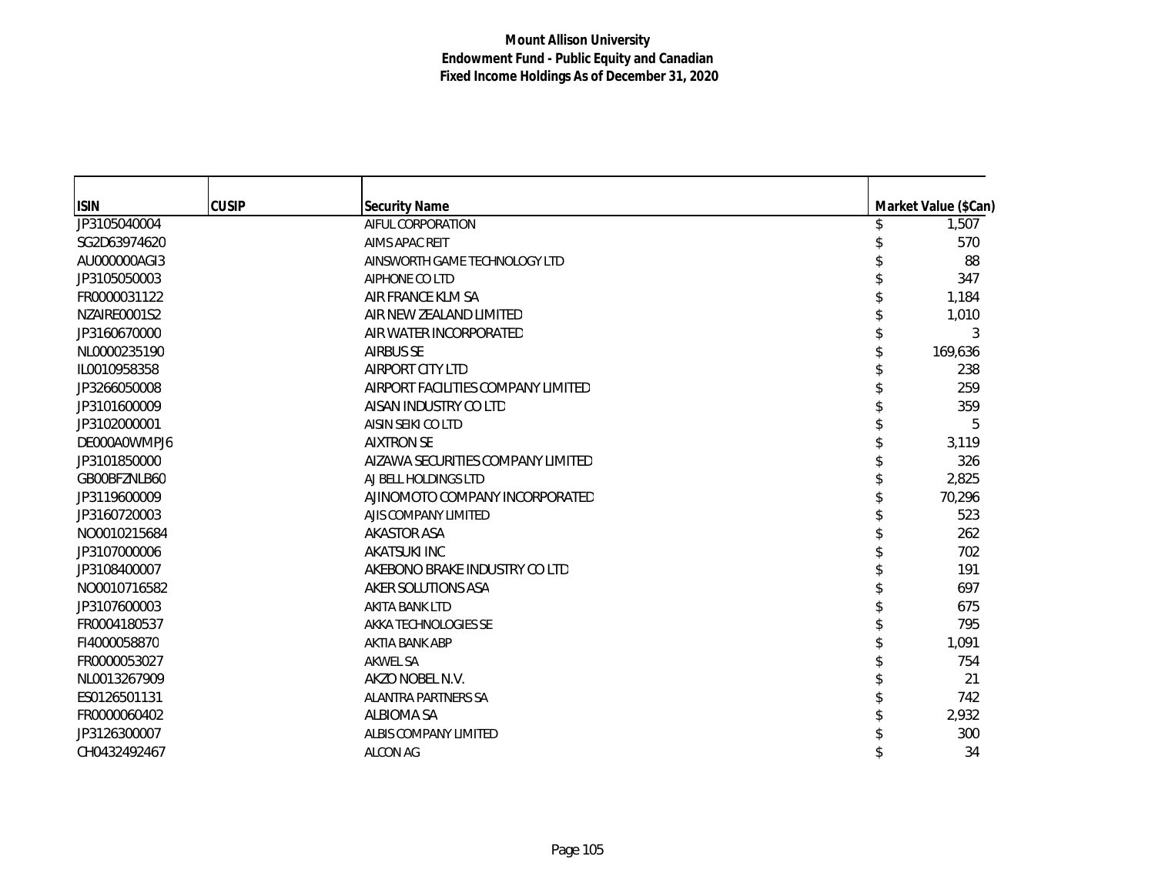| <b>ISIN</b>  | CUSIP | <b>Security Name</b>               | Market Value (\$Can) |
|--------------|-------|------------------------------------|----------------------|
| JP3105040004 |       | AIFUL CORPORATION                  | 1,507                |
| SG2D63974620 |       | <b>AIMS APAC REIT</b>              | 570                  |
| AU000000AGI3 |       | AINSWORTH GAME TECHNOLOGY LTD      | 88                   |
| JP3105050003 |       | AIPHONE CO LTD                     | 347                  |
| FR0000031122 |       | AIR FRANCE KLM SA                  | 1,184                |
| NZAIRE0001S2 |       | AIR NEW ZEALAND LIMITED            | 1,010                |
| JP3160670000 |       | AIR WATER INCORPORATED             | 3                    |
| NL0000235190 |       | <b>AIRBUS SE</b>                   | 169,636              |
| IL0010958358 |       | AIRPORT CITY LTD                   | 238                  |
| JP3266050008 |       | AIRPORT FACILITIES COMPANY LIMITED | 259                  |
| JP3101600009 |       | AISAN INDUSTRY CO LTD              | 359                  |
| JP3102000001 |       | AISIN SEIKI CO LTD                 | 5                    |
| DE000A0WMPJ6 |       | <b>AIXTRON SE</b>                  | 3,119                |
| JP3101850000 |       | AIZAWA SECURITIES COMPANY LIMITED  | 326                  |
| GB00BFZNLB60 |       | AJ BELL HOLDINGS LTD               | 2,825                |
| JP3119600009 |       | AJINOMOTO COMPANY INCORPORATED     | 70,296               |
| JP3160720003 |       | AJIS COMPANY LIMITED               | 523                  |
| NO0010215684 |       | <b>AKASTOR ASA</b>                 | 262                  |
| JP3107000006 |       | AKATSUKI INC                       | 702                  |
| JP3108400007 |       | AKEBONO BRAKE INDUSTRY CO LTD      | 191                  |
| NO0010716582 |       | AKER SOLUTIONS ASA                 | 697                  |
| JP3107600003 |       | <b>AKITA BANK LTD</b>              | 675                  |
| FR0004180537 |       | AKKA TECHNOLOGIES SE               | 795                  |
| FI4000058870 |       | <b>AKTIA BANK ABP</b>              | 1,091                |
| FR0000053027 |       | <b>AKWEL SA</b>                    | 754                  |
| NL0013267909 |       | AKZO NOBEL N.V.                    | 21                   |
| ES0126501131 |       | <b>ALANTRA PARTNERS SA</b>         | 742                  |
| FR0000060402 |       | <b>ALBIOMA SA</b>                  | 2,932                |
| JP3126300007 |       | ALBIS COMPANY LIMITED              | 300                  |
| CH0432492467 |       | <b>ALCON AG</b>                    | 34                   |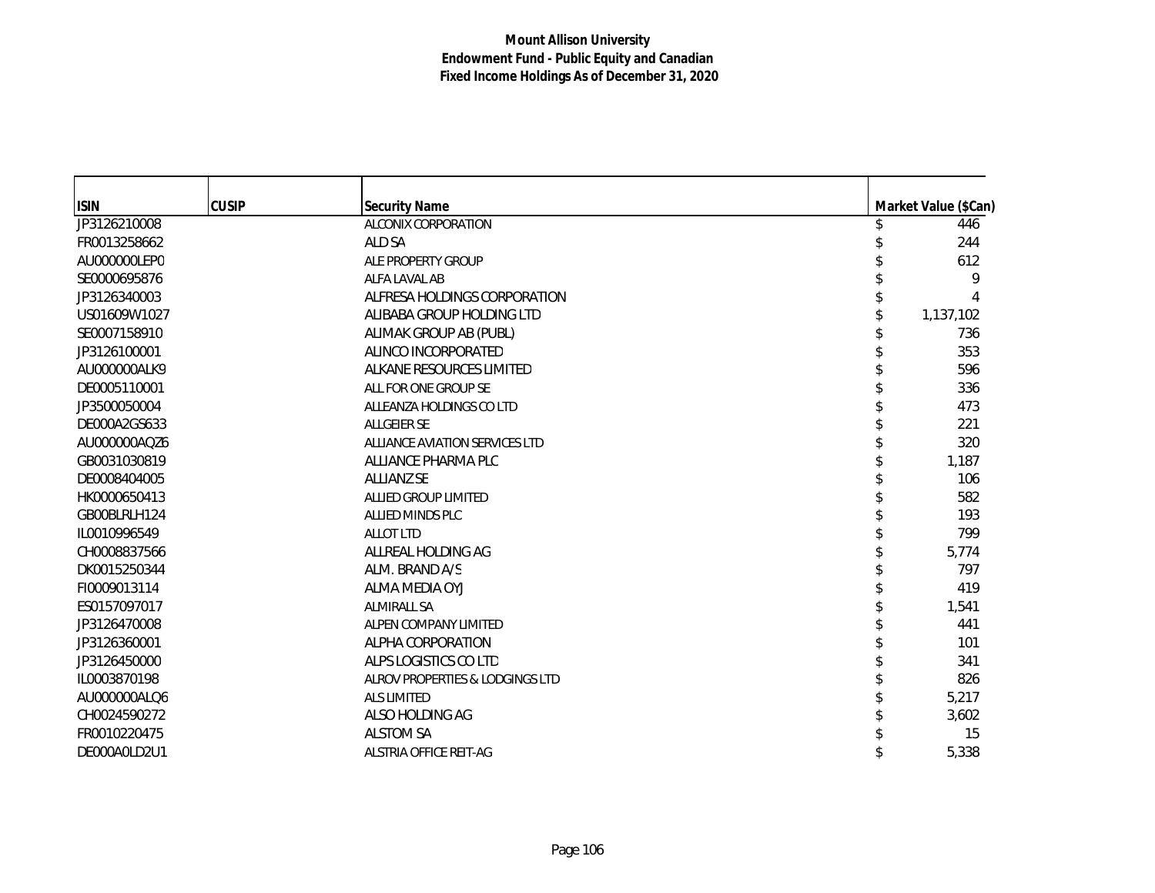| <b>ISIN</b>  | <b>CUSIP</b> | <b>Security Name</b>            | Market Value (\$Can) |
|--------------|--------------|---------------------------------|----------------------|
| JP3126210008 |              | ALCONIX CORPORATION             | 446                  |
| FR0013258662 |              | ALD SA                          | 244                  |
| AU000000LEP0 |              | ALE PROPERTY GROUP              | 612                  |
| SE0000695876 |              | ALFA LAVAL AB                   | 9                    |
| JP3126340003 |              | ALFRESA HOLDINGS CORPORATION    |                      |
| US01609W1027 |              | ALIBABA GROUP HOLDING LTD       | 1,137,102            |
| SE0007158910 |              | ALIMAK GROUP AB (PUBL)          | 736                  |
| JP3126100001 |              | ALINCO INCORPORATED             | 353                  |
| AU000000ALK9 |              | ALKANE RESOURCES LIMITED        | 596                  |
| DE0005110001 |              | ALL FOR ONE GROUP SE            | 336                  |
| JP3500050004 |              | ALLEANZA HOLDINGS CO LTD        | 473                  |
| DE000A2GS633 |              | <b>ALLGEIER SE</b>              | 221                  |
| AU000000AQZ6 |              | ALLIANCE AVIATION SERVICES LTD  | 320                  |
| GB0031030819 |              | ALLIANCE PHARMA PLC             | 1,187                |
| DE0008404005 |              | <b>ALLIANZ SE</b>               | 106                  |
| HK0000650413 |              | ALLIED GROUP LIMITED            | 582                  |
| GB00BLRLH124 |              | <b>ALLIED MINDS PLC</b>         | 193                  |
| IL0010996549 |              | <b>ALLOT LTD</b>                | 799                  |
| CH0008837566 |              | ALLREAL HOLDING AG              | 5,774                |
| DK0015250344 |              | ALM. BRAND A/S                  | 797                  |
| FI0009013114 |              | ALMA MEDIA OYJ                  | 419                  |
| ES0157097017 |              | <b>ALMIRALL SA</b>              | 1,541                |
| JP3126470008 |              | ALPEN COMPANY LIMITED           | 441                  |
| JP3126360001 |              | ALPHA CORPORATION               | 101                  |
| JP3126450000 |              | ALPS LOGISTICS CO LTD           | 341                  |
| IL0003870198 |              | ALROV PROPERTIES & LODGINGS LTD | 826                  |
| AU000000ALQ6 |              | <b>ALS LIMITED</b>              | 5,217                |
| CH0024590272 |              | ALSO HOLDING AG                 | 3,602                |
| FR0010220475 |              | <b>ALSTOM SA</b>                | 15                   |
| DE000A0LD2U1 |              | <b>ALSTRIA OFFICE REIT-AG</b>   | 5,338                |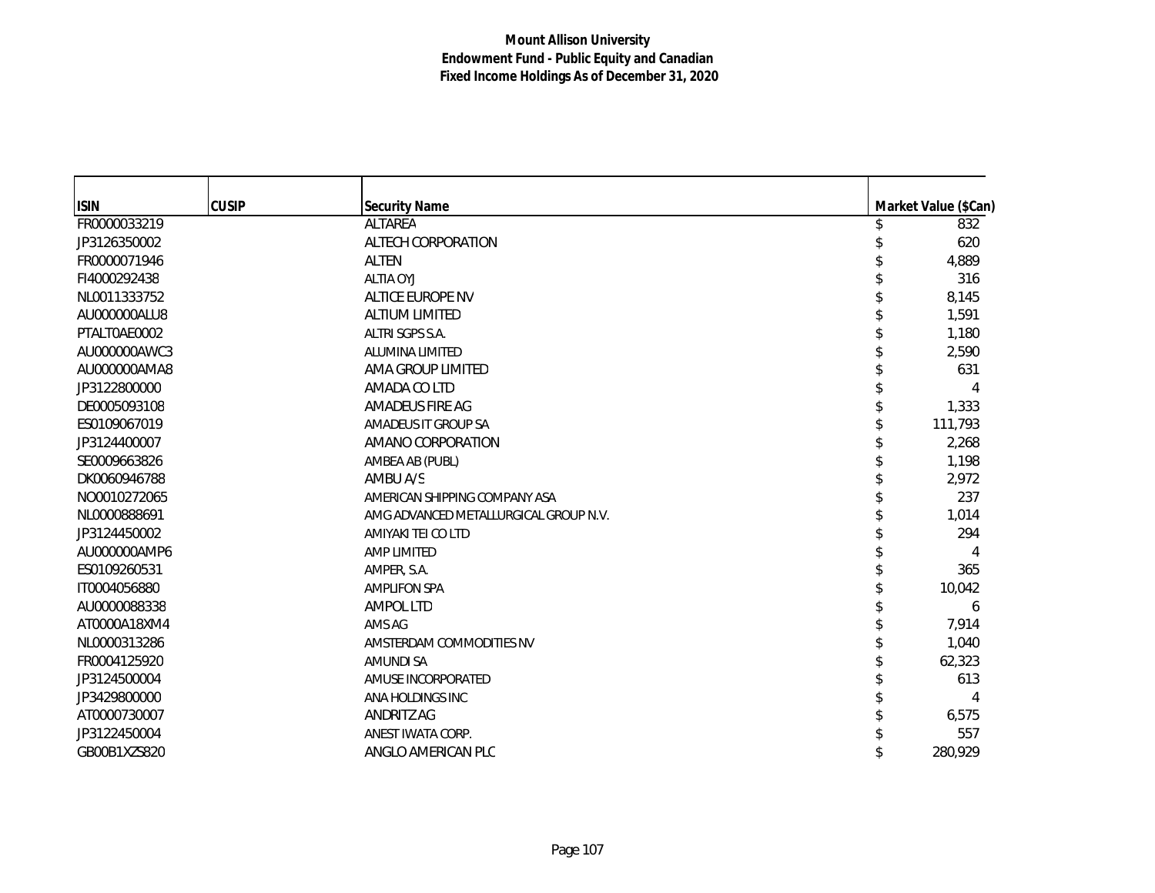| <b>ISIN</b>  | <b>CUSIP</b> | <b>Security Name</b>                  | Market Value (\$Can) |
|--------------|--------------|---------------------------------------|----------------------|
| FR0000033219 |              | ALTAREA                               | 832                  |
| JP3126350002 |              | ALTECH CORPORATION                    | 620                  |
| FR0000071946 |              | <b>ALTEN</b>                          | 4,889                |
| FI4000292438 |              | <b>ALTIA OYJ</b>                      | 316                  |
| NL0011333752 |              | ALTICE EUROPE NV                      | 8,145                |
| AU000000ALU8 |              | <b>ALTIUM LIMITED</b>                 | 1,591                |
| PTALT0AE0002 |              | ALTRI SGPS S.A.                       | 1,180                |
| AU000000AWC3 |              | <b>ALUMINA LIMITED</b>                | 2,590                |
| AU000000AMA8 |              | AMA GROUP LIMITED                     | 631                  |
| JP3122800000 |              | AMADA CO LTD                          |                      |
| DE0005093108 |              | AMADEUS FIRE AG                       | 1,333                |
| ES0109067019 |              | AMADEUS IT GROUP SA                   | 111,793              |
| JP3124400007 |              | AMANO CORPORATION                     | 2,268                |
| SE0009663826 |              | AMBEA AB (PUBL)                       | 1,198                |
| DK0060946788 |              | AMBU A/S                              | 2,972                |
| NO0010272065 |              | AMERICAN SHIPPING COMPANY ASA         | 237                  |
| NL0000888691 |              | AMG ADVANCED METALLURGICAL GROUP N.V. | 1,014                |
| JP3124450002 |              | AMIYAKI TEI CO LTD                    | 294                  |
| AU000000AMP6 |              | <b>AMP LIMITED</b>                    | 4                    |
| ES0109260531 |              | AMPER, S.A.                           | 365                  |
| IT0004056880 |              | <b>AMPLIFON SPA</b>                   | 10,042               |
| AU0000088338 |              | <b>AMPOL LTD</b>                      | 6                    |
| AT0000A18XM4 |              | AMS AG                                | 7,914                |
| NL0000313286 |              | AMSTERDAM COMMODITIES NV              | 1,040                |
| FR0004125920 |              | <b>AMUNDI SA</b>                      | 62,323               |
| JP3124500004 |              | AMUSE INCORPORATED                    | 613                  |
| JP3429800000 |              | ANA HOLDINGS INC                      |                      |
| AT0000730007 |              | ANDRITZ AG                            | 6,575                |
| JP3122450004 |              | ANEST IWATA CORP.                     | 557                  |
| GB00B1XZS820 |              | ANGLO AMERICAN PLC                    | 280,929              |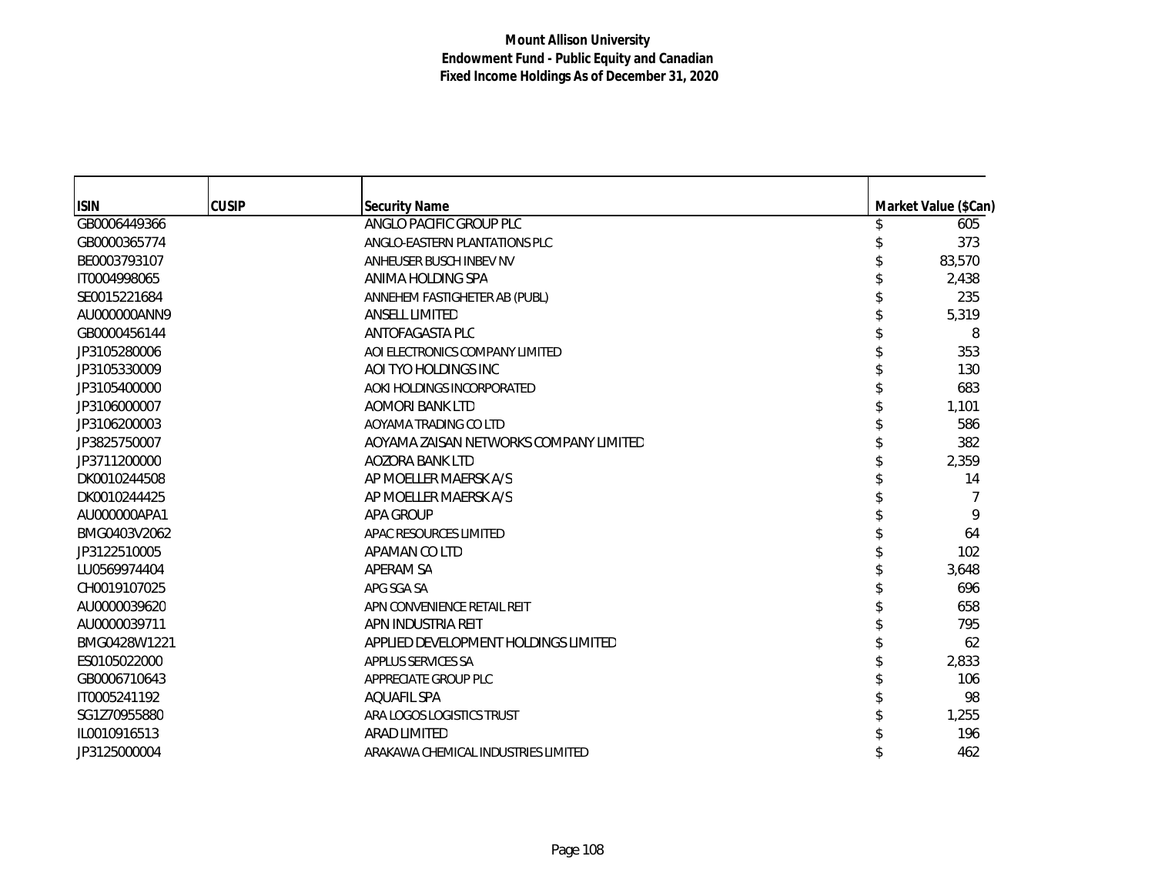| <b>ISIN</b>  | <b>CUSIP</b> | <b>Security Name</b>                   | Market Value (\$Can) |
|--------------|--------------|----------------------------------------|----------------------|
| GB0006449366 |              | ANGLO PACIFIC GROUP PLC                | 605                  |
| GB0000365774 |              | ANGLO-EASTERN PLANTATIONS PLC          | 373                  |
| BE0003793107 |              | ANHEUSER BUSCH INBEV NV                | 83,570               |
| IT0004998065 |              | ANIMA HOLDING SPA                      | 2,438                |
| SE0015221684 |              | ANNEHEM FASTIGHETER AB (PUBL)          | 235                  |
| AU000000ANN9 |              | <b>ANSELL LIMITED</b>                  | 5,319                |
| GB0000456144 |              | ANTOFAGASTA PLC                        | 8                    |
| JP3105280006 |              | AOI ELECTRONICS COMPANY LIMITED        | 353                  |
| JP3105330009 |              | AOI TYO HOLDINGS INC                   | 130                  |
| JP3105400000 |              | AOKI HOLDINGS INCORPORATED             | 683                  |
| JP3106000007 |              | AOMORI BANK LTD                        | 1,101                |
| JP3106200003 |              | AOYAMA TRADING CO LTD                  | 586                  |
| JP3825750007 |              | AOYAMA ZAISAN NETWORKS COMPANY LIMITED | 382                  |
| JP3711200000 |              | <b>AOZORA BANK LTD</b>                 | 2,359                |
| DK0010244508 |              | AP MOELLER MAERSK A/S                  | 14                   |
| DK0010244425 |              | AP MOELLER MAERSK A/S                  |                      |
| AU000000APA1 |              | APA GROUP                              | 9                    |
| BMG0403V2062 |              | APAC RESOURCES LIMITED                 | 64                   |
| JP3122510005 |              | APAMAN CO LTD                          | 102                  |
| LU0569974404 |              | APERAM SA                              | 3,648                |
| CH0019107025 |              | APG SGA SA                             | 696                  |
| AU0000039620 |              | APN CONVENIENCE RETAIL REIT            | 658                  |
| AU0000039711 |              | APN INDUSTRIA REIT                     | 795                  |
| BMG0428W1221 |              | APPLIED DEVELOPMENT HOLDINGS LIMITED   | 62                   |
| ES0105022000 |              | APPLUS SERVICES SA                     | 2,833                |
| GB0006710643 |              | APPRECIATE GROUP PLC                   | 106                  |
| IT0005241192 |              | <b>AOUAFIL SPA</b>                     | 98                   |
| SG1Z70955880 |              | ARA LOGOS LOGISTICS TRUST              | 1,255                |
| IL0010916513 |              | <b>ARAD LIMITED</b>                    | 196                  |
| JP3125000004 |              | ARAKAWA CHEMICAL INDUSTRIES LIMITED    | 462                  |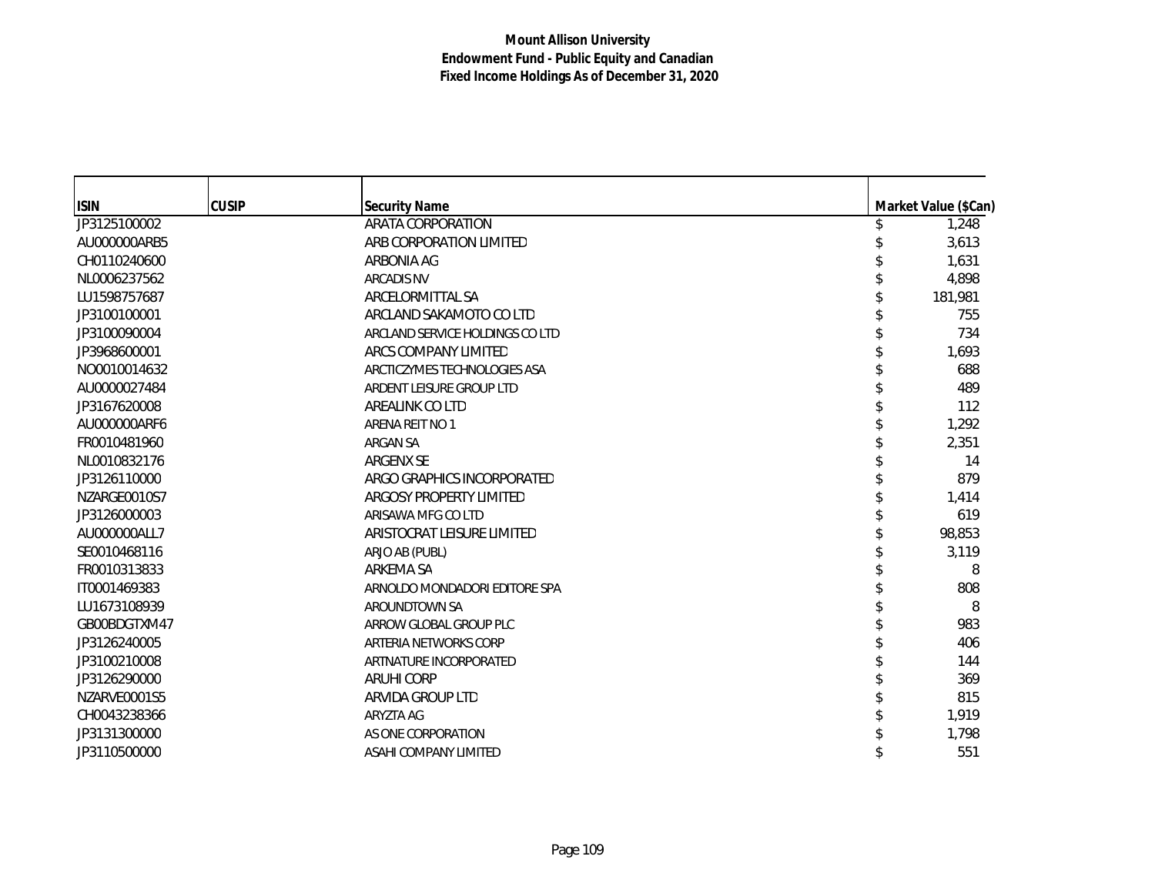| <b>ISIN</b>  | <b>CUSIP</b> | <b>Security Name</b>            | Market Value (\$Can) |
|--------------|--------------|---------------------------------|----------------------|
| JP3125100002 |              | ARATA CORPORATION               | 1,248                |
| AU000000ARB5 |              | ARB CORPORATION LIMITED         | 3,613                |
| CH0110240600 |              | ARBONIA AG                      | 1,631                |
| NL0006237562 |              | <b>ARCADIS NV</b>               | 4,898                |
| LU1598757687 |              | ARCELORMITTAL SA                | 181,981              |
| JP3100100001 |              | ARCLAND SAKAMOTO CO LTD         | 755                  |
| JP3100090004 |              | ARCLAND SERVICE HOLDINGS CO LTD | 734                  |
| JP3968600001 |              | ARCS COMPANY LIMITED            | 1,693                |
| NO0010014632 |              | ARCTICZYMES TECHNOLOGIES ASA    | 688                  |
| AU0000027484 |              | ARDENT LEISURE GROUP LTD        | 489                  |
| JP3167620008 |              | AREALINK CO LTD                 | 112                  |
| AU000000ARF6 |              | ARENA REIT NO 1                 | 1,292                |
| FR0010481960 |              | <b>ARGAN SA</b>                 | 2,351                |
| NL0010832176 |              | ARGENX SE                       | 14                   |
| JP3126110000 |              | ARGO GRAPHICS INCORPORATED      | 879                  |
| NZARGE0010S7 |              | ARGOSY PROPERTY LIMITED         | 1,414                |
| JP3126000003 |              | ARISAWA MFG CO LTD              | 619                  |
| AU000000ALL7 |              | ARISTOCRAT LEISURE LIMITED      | 98,853               |
| SE0010468116 |              | ARJO AB (PUBL)                  | 3,119                |
| FR0010313833 |              | ARKEMA SA                       | 8                    |
| IT0001469383 |              | ARNOLDO MONDADORI EDITORE SPA   | 808                  |
| LU1673108939 |              | AROUNDTOWN SA                   | 8                    |
| GB00BDGTXM47 |              | ARROW GLOBAL GROUP PLC          | 983                  |
| JP3126240005 |              | ARTERIA NETWORKS CORP           | 406                  |
| JP3100210008 |              | ARTNATURE INCORPORATED          | 144                  |
| JP3126290000 |              | <b>ARUHI CORP</b>               | 369                  |
| NZARVE0001S5 |              | ARVIDA GROUP LTD                | 815                  |
| CH0043238366 |              | ARYZTA AG                       | 1,919                |
| JP3131300000 |              | AS ONE CORPORATION              | 1,798                |
| JP3110500000 |              | ASAHI COMPANY LIMITED           | 551                  |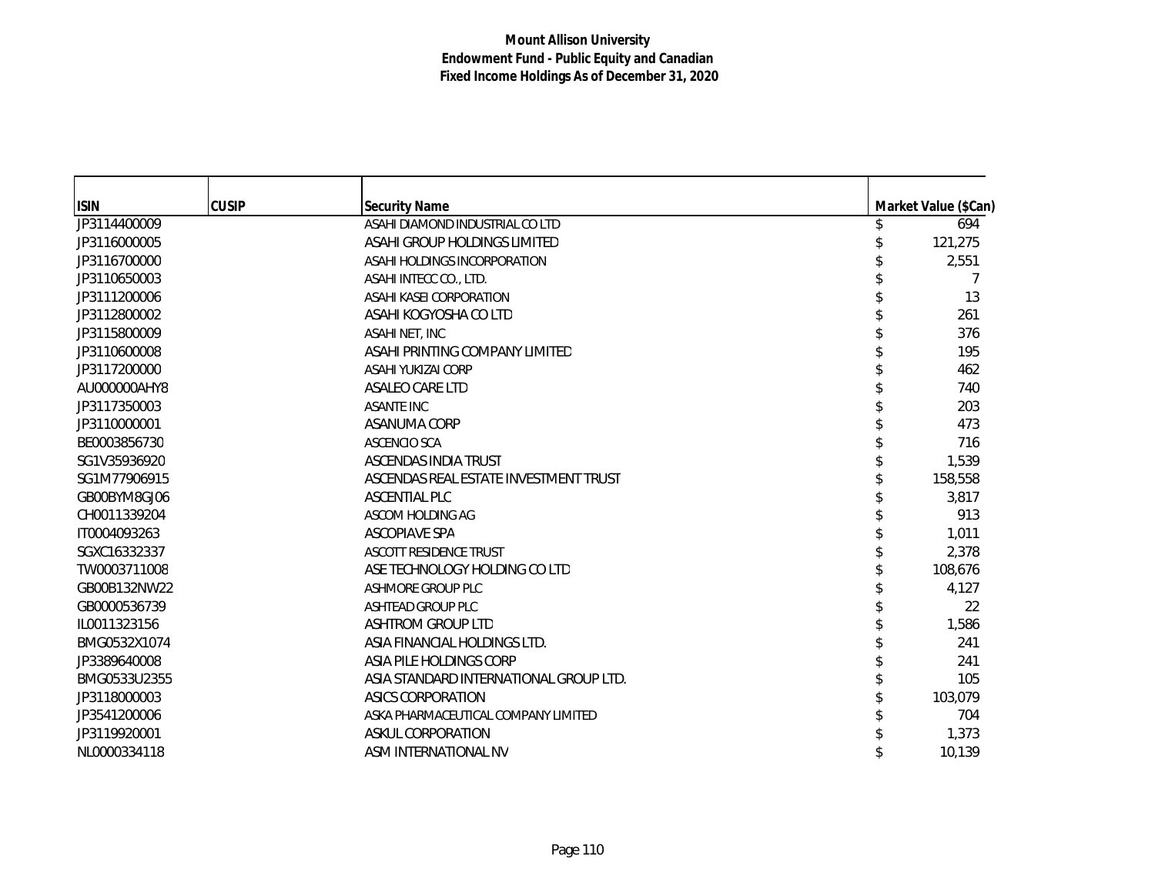| <b>ISIN</b>  | <b>CUSIP</b> | <b>Security Name</b>                   | Market Value (\$Can) |
|--------------|--------------|----------------------------------------|----------------------|
| JP3114400009 |              | ASAHI DIAMOND INDUSTRIAL CO LTD        | 694                  |
| JP3116000005 |              | ASAHI GROUP HOLDINGS LIMITED           | 121,275              |
| JP3116700000 |              | ASAHI HOLDINGS INCORPORATION           | 2,551                |
| JP3110650003 |              | ASAHI INTECC CO., LTD.                 |                      |
| JP3111200006 |              | ASAHI KASEI CORPORATION                | 13                   |
| JP3112800002 |              | ASAHI KOGYOSHA CO LTD                  | 261                  |
| JP3115800009 |              | ASAHI NET, INC                         | 376                  |
| JP3110600008 |              | ASAHI PRINTING COMPANY LIMITED         | 195                  |
| JP3117200000 |              | ASAHI YUKIZAI CORP                     | 462                  |
| AU000000AHY8 |              | ASALEO CARE LTD                        | 740                  |
| JP3117350003 |              | <b>ASANTE INC</b>                      | 203                  |
| JP3110000001 |              | ASANUMA CORP                           | 473                  |
| BE0003856730 |              | <b>ASCENCIO SCA</b>                    | 716                  |
| SG1V35936920 |              | ASCENDAS INDIA TRUST                   | 1,539                |
| SG1M77906915 |              | ASCENDAS REAL ESTATE INVESTMENT TRUST  | 158,558              |
| GB00BYM8GJ06 |              | ASCENTIAL PLC                          | 3,817                |
| CH0011339204 |              | ASCOM HOLDING AG                       | 913                  |
| IT0004093263 |              | <b>ASCOPIAVE SPA</b>                   | 1,011                |
| SGXC16332337 |              | <b>ASCOTT RESIDENCE TRUST</b>          | 2,378                |
| TW0003711008 |              | ASE TECHNOLOGY HOLDING CO LTD          | 108,676              |
| GB00B132NW22 |              | ASHMORE GROUP PLC                      | 4,127                |
| GB0000536739 |              | <b>ASHTEAD GROUP PLC</b>               | 22                   |
| IL0011323156 |              | <b>ASHTROM GROUP LTD</b>               | 1,586                |
| BMG0532X1074 |              | ASIA FINANCIAL HOLDINGS LTD.           | 241                  |
| JP3389640008 |              | ASIA PILE HOLDINGS CORP                | 241                  |
| BMG0533U2355 |              | ASIA STANDARD INTERNATIONAL GROUP LTD. | 105                  |
| JP3118000003 |              | ASICS CORPORATION                      | 103,079              |
| JP3541200006 |              | ASKA PHARMACEUTICAL COMPANY LIMITED    | 704                  |
| JP3119920001 |              | ASKUL CORPORATION                      | 1,373                |
| NL0000334118 |              | ASM INTERNATIONAL NV                   | 10,139               |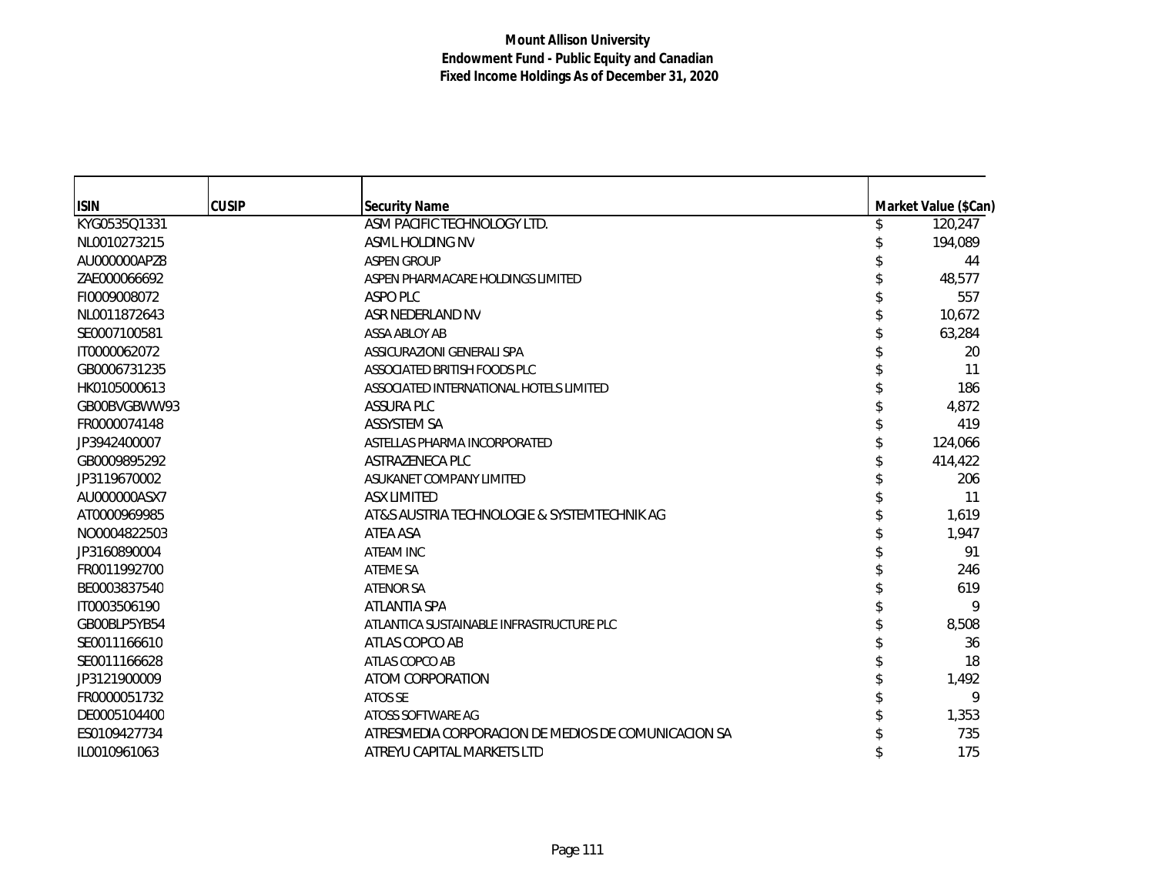| <b>ISIN</b>  | <b>CUSIP</b> |                                                     |                                       |
|--------------|--------------|-----------------------------------------------------|---------------------------------------|
| KYG0535Q1331 |              | <b>Security Name</b><br>ASM PACIFIC TECHNOLOGY LTD. | \$<br>Market Value (\$Can)<br>120,247 |
| NL0010273215 |              | ASML HOLDING NV                                     | 194,089                               |
| AU000000APZ8 |              | <b>ASPEN GROUP</b>                                  | 44                                    |
| ZAE000066692 |              | ASPEN PHARMACARE HOLDINGS LIMITED                   | 48,577                                |
|              |              | ASPO PLC                                            |                                       |
| FI0009008072 |              |                                                     | 557                                   |
| NL0011872643 |              | ASR NEDERLAND NV                                    | 10,672                                |
| SE0007100581 |              | ASSA ABLOY AB                                       | 63,284                                |
| IT0000062072 |              | ASSICURAZIONI GENERALI SPA                          | 20                                    |
| GB0006731235 |              | ASSOCIATED BRITISH FOODS PLC                        | 11                                    |
| HK0105000613 |              | ASSOCIATED INTERNATIONAL HOTELS LIMITED             | 186                                   |
| GB00BVGBWW93 |              | <b>ASSURA PLC</b>                                   | 4,872                                 |
| FR0000074148 |              | ASSYSTEM SA                                         | 419                                   |
| JP3942400007 |              | ASTELLAS PHARMA INCORPORATED                        | 124,066                               |
| GB0009895292 |              | ASTRAZENECA PLC                                     | 414,422                               |
| JP3119670002 |              | ASUKANET COMPANY LIMITED                            | 206                                   |
| AU000000ASX7 |              | <b>ASX LIMITED</b>                                  | 11                                    |
| AT0000969985 |              | AT&S AUSTRIA TECHNOLOGIE & SYSTEMTECHNIK AG         | 1,619                                 |
| NO0004822503 |              | ATEA ASA                                            | 1,947                                 |
| JP3160890004 |              | <b>ATEAM INC</b>                                    | 91                                    |
| FR0011992700 |              | <b>ATEME SA</b>                                     | 246                                   |
| BE0003837540 |              | <b>ATENOR SA</b>                                    | 619                                   |
| IT0003506190 |              | <b>ATLANTIA SPA</b>                                 | 9                                     |
| GB00BLP5YB54 |              | ATLANTICA SUSTAINABLE INFRASTRUCTURE PLC            | 8,508                                 |
| SE0011166610 |              | ATLAS COPCO AB                                      | 36                                    |
| SE0011166628 |              | ATLAS COPCO AB                                      | 18                                    |
| JP3121900009 |              | ATOM CORPORATION                                    | 1,492                                 |
| FR0000051732 |              | ATOS SE                                             | 9                                     |
| DE0005104400 |              | ATOSS SOFTWARE AG                                   | 1,353                                 |
| ES0109427734 |              | ATRESMEDIA CORPORACION DE MEDIOS DE COMUNICACION SA | 735                                   |
| IL0010961063 |              | ATREYU CAPITAL MARKETS LTD                          | 175                                   |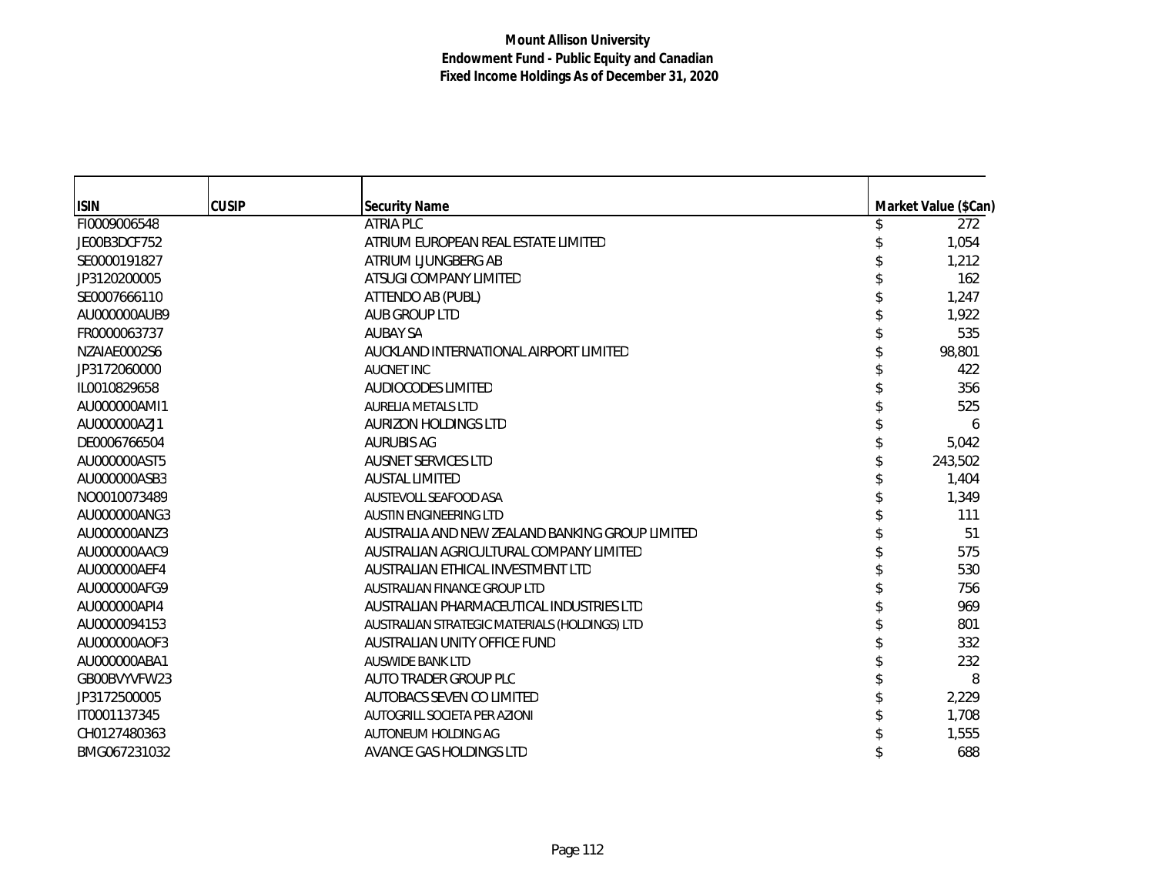| <b>ISIN</b>  | <b>CUSIP</b> | <b>Security Name</b>                            | Market Value (\$Can) |
|--------------|--------------|-------------------------------------------------|----------------------|
| FI0009006548 |              | <b>ATRIA PLC</b>                                | 272                  |
| JE00B3DCF752 |              | ATRIUM EUROPEAN REAL ESTATE LIMITED             | 1,054                |
| SE0000191827 |              | ATRIUM LJUNGBERG AB                             | 1,212                |
| JP3120200005 |              | ATSUGI COMPANY LIMITED                          | 162                  |
| SE0007666110 |              | ATTENDO AB (PUBL)                               | 1,247                |
| AU000000AUB9 |              | AUB GROUP LTD                                   | 1,922                |
| FR0000063737 |              | <b>AUBAY SA</b>                                 | 535                  |
| NZAIAE0002S6 |              | AUCKLAND INTERNATIONAL AIRPORT LIMITED          | 98,801               |
| JP3172060000 |              | <b>AUCNET INC</b>                               | 422                  |
| IL0010829658 |              | <b>AUDIOCODES LIMITED</b>                       | 356                  |
| AU000000AMI1 |              | <b>AURELIA METALS LTD</b>                       | 525                  |
| AU000000AZJ1 |              | AURIZON HOLDINGS LTD                            | 6                    |
| DE0006766504 |              | <b>AURUBIS AG</b>                               | 5,042                |
| AU000000AST5 |              | <b>AUSNET SERVICES LTD</b>                      | 243,502              |
| AU000000ASB3 |              | <b>AUSTAL LIMITED</b>                           | 1,404                |
| NO0010073489 |              | AUSTEVOLL SEAFOOD ASA                           | 1,349                |
| AU000000ANG3 |              | <b>AUSTIN ENGINEERING LTD</b>                   | 111                  |
| AU000000ANZ3 |              | AUSTRALIA AND NEW ZEALAND BANKING GROUP LIMITED | 51                   |
| AU000000AAC9 |              | AUSTRALIAN AGRICULTURAL COMPANY LIMITED         | 575                  |
| AU000000AEF4 |              | AUSTRALIAN ETHICAL INVESTMENT LTD               | 530                  |
| AU000000AFG9 |              | AUSTRALIAN FINANCE GROUP LTD                    | 756                  |
| AU000000API4 |              | AUSTRALIAN PHARMACEUTICAL INDUSTRIES LTD        | 969                  |
| AU0000094153 |              | AUSTRALIAN STRATEGIC MATERIALS (HOLDINGS) LTD   | 801                  |
| AU000000AOF3 |              | AUSTRALIAN UNITY OFFICE FUND                    | 332                  |
| AU000000ABA1 |              | <b>AUSWIDE BANK LTD</b>                         | 232                  |
| GB00BVYVFW23 |              | AUTO TRADER GROUP PLC                           | 8                    |
| JP3172500005 |              | AUTOBACS SEVEN CO LIMITED                       | 2,229                |
| IT0001137345 |              | AUTOGRILL SOCIETA PER AZIONI                    | 1,708                |
| CH0127480363 |              | AUTONEUM HOLDING AG                             | 1,555                |
| BMG067231032 |              | AVANCE GAS HOLDINGS LTD                         | 688                  |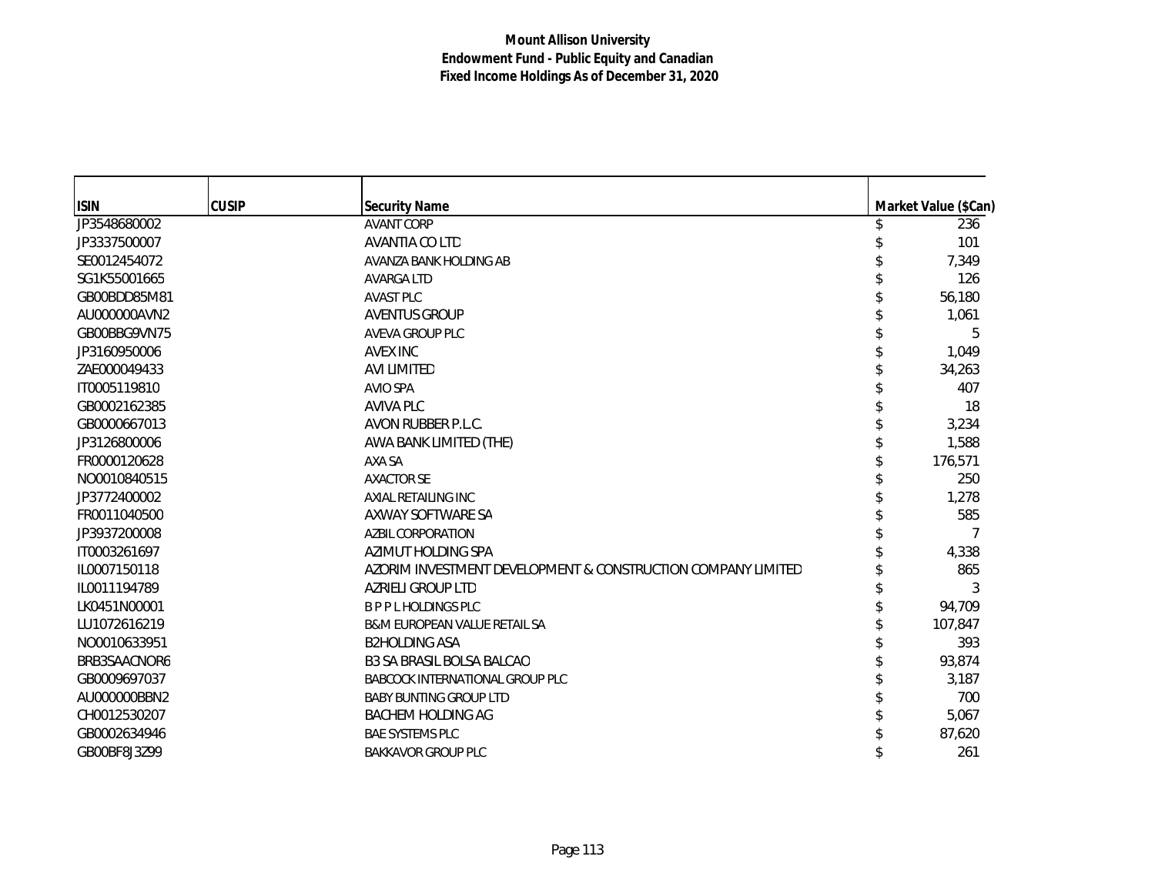| <b>ISIN</b>  | <b>CUSIP</b> | <b>Security Name</b>                                         | Market Value (\$Can) |
|--------------|--------------|--------------------------------------------------------------|----------------------|
| JP3548680002 |              | <b>AVANT CORP</b>                                            | 236                  |
| JP3337500007 |              | AVANTIA CO LTD                                               | 101                  |
| SE0012454072 |              | AVANZA BANK HOLDING AB                                       | 7,349                |
| SG1K55001665 |              | <b>AVARGA LTD</b>                                            | 126                  |
| GB00BDD85M81 |              | <b>AVAST PLC</b>                                             | 56,180               |
| AU000000AVN2 |              | <b>AVENTUS GROUP</b>                                         | 1,061                |
| GB00BBG9VN75 |              | AVEVA GROUP PLC                                              | 5                    |
| JP3160950006 |              | AVEX INC                                                     | 1,049                |
| ZAE000049433 |              | <b>AVI LIMITED</b>                                           | 34,263               |
| IT0005119810 |              | <b>AVIO SPA</b>                                              | 407                  |
| GB0002162385 |              | <b>AVIVA PLC</b>                                             | 18                   |
| GB0000667013 |              | AVON RUBBER P.L.C.                                           | 3,234                |
| JP3126800006 |              | AWA BANK LIMITED (THE)                                       | 1,588                |
| FR0000120628 |              | AXA SA                                                       | 176,571              |
| NO0010840515 |              | <b>AXACTOR SE</b>                                            | 250                  |
| JP3772400002 |              | AXIAL RETAILING INC                                          | 1,278                |
| FR0011040500 |              | AXWAY SOFTWARE SA                                            | 585                  |
| JP3937200008 |              | <b>AZBIL CORPORATION</b>                                     | 7                    |
| IT0003261697 |              | AZIMUT HOLDING SPA                                           | 4,338                |
| IL0007150118 |              | AZORIM INVESTMENT DEVELOPMENT & CONSTRUCTION COMPANY LIMITED | 865                  |
| IL0011194789 |              | <b>AZRIELI GROUP LTD</b>                                     | 3                    |
| LK0451N00001 |              | <b>BPPL HOLDINGS PLC</b>                                     | 94,709               |
| LU1072616219 |              | B&M EUROPEAN VALUE RETAIL SA                                 | 107,847              |
| NO0010633951 |              | <b>B2HOLDING ASA</b>                                         | 393                  |
| BRB3SAACNOR6 |              | <b>B3 SA BRASIL BOLSA BALCAO</b>                             | 93,874               |
| GB0009697037 |              | BABCOCK INTERNATIONAL GROUP PLC                              | 3,187                |
| AU000000BBN2 |              | <b>BABY BUNTING GROUP LTD</b>                                | 700                  |
| CH0012530207 |              | <b>BACHEM HOLDING AG</b>                                     | 5,067                |
| GB0002634946 |              | <b>BAE SYSTEMS PLC</b>                                       | 87,620               |
| GB00BF8J3Z99 |              | <b>BAKKAVOR GROUP PLC</b>                                    | 261                  |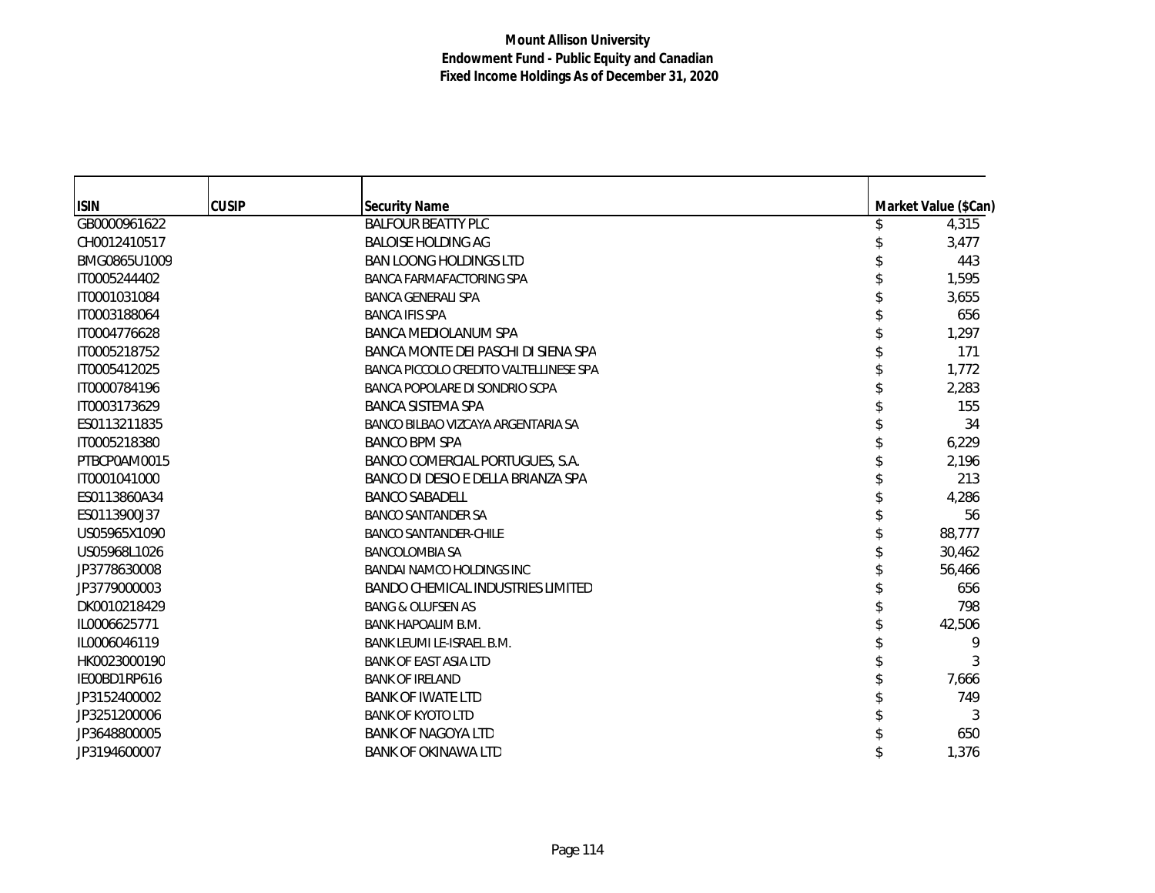| <b>ISIN</b>  | <b>CUSIP</b> | <b>Security Name</b>                     | Market Value (\$Can) |
|--------------|--------------|------------------------------------------|----------------------|
| GB0000961622 |              | <b>BALFOUR BEATTY PLC</b>                | 4,315                |
| CH0012410517 |              | <b>BALOISE HOLDING AG</b>                | 3,477                |
| BMG0865U1009 |              | <b>BAN LOONG HOLDINGS LTD</b>            | 443                  |
| IT0005244402 |              | BANCA FARMAFACTORING SPA                 | 1,595                |
| IT0001031084 |              | <b>BANCA GENERALI SPA</b>                | 3,655                |
| IT0003188064 |              | <b>BANCA IFIS SPA</b>                    | 656                  |
| IT0004776628 |              | <b>BANCA MEDIOLANUM SPA</b>              | 1,297                |
| IT0005218752 |              | BANCA MONTE DEI PASCHI DI SIENA SPA      | 171                  |
| IT0005412025 |              | BANCA PICCOLO CREDITO VALTELLINESE SPA   | 1,772                |
| IT0000784196 |              | BANCA POPOLARE DI SONDRIO SCPA           | 2,283                |
| IT0003173629 |              | <b>BANCA SISTEMA SPA</b>                 | 155                  |
| ES0113211835 |              | BANCO BILBAO VIZCAYA ARGENTARIA SA       | 34                   |
| IT0005218380 |              | <b>BANCO BPM SPA</b>                     | 6,229                |
| PTBCP0AM0015 |              | BANCO COMERCIAL PORTUGUES, S.A.          | 2,196                |
| IT0001041000 |              | BANCO DI DESIO E DELLA BRIANZA SPA       | 213                  |
| ES0113860A34 |              | <b>BANCO SABADELL</b>                    | 4,286                |
| ES0113900J37 |              | <b>BANCO SANTANDER SA</b>                | 56                   |
| US05965X1090 |              | <b>BANCO SANTANDER-CHILE</b>             | 88,777               |
| US05968L1026 |              | <b>BANCOLOMBIA SA</b>                    | 30,462               |
| JP3778630008 |              | <b>BANDAI NAMCO HOLDINGS INC</b>         | 56,466               |
| JP3779000003 |              | <b>BANDO CHEMICAL INDUSTRIES LIMITED</b> | 656                  |
| DK0010218429 |              | <b>BANG &amp; OLUFSEN AS</b>             | 798                  |
| IL0006625771 |              | <b>BANK HAPOALIM B.M.</b>                | 42,506               |
| IL0006046119 |              | BANK LEUMI LE-ISRAEL B.M.                | 9                    |
| HK0023000190 |              | <b>BANK OF EAST ASIA LTD</b>             | 3                    |
| IE00BD1RP616 |              | <b>BANK OF IRELAND</b>                   | 7,666                |
| JP3152400002 |              | <b>BANK OF IWATE LTD</b>                 | 749                  |
| JP3251200006 |              | <b>BANK OF KYOTO LTD</b>                 | 3                    |
| JP3648800005 |              | <b>BANK OF NAGOYA LTD</b>                | 650                  |
| JP3194600007 |              | <b>BANK OF OKINAWA LTD</b>               | 1,376                |
|              |              |                                          |                      |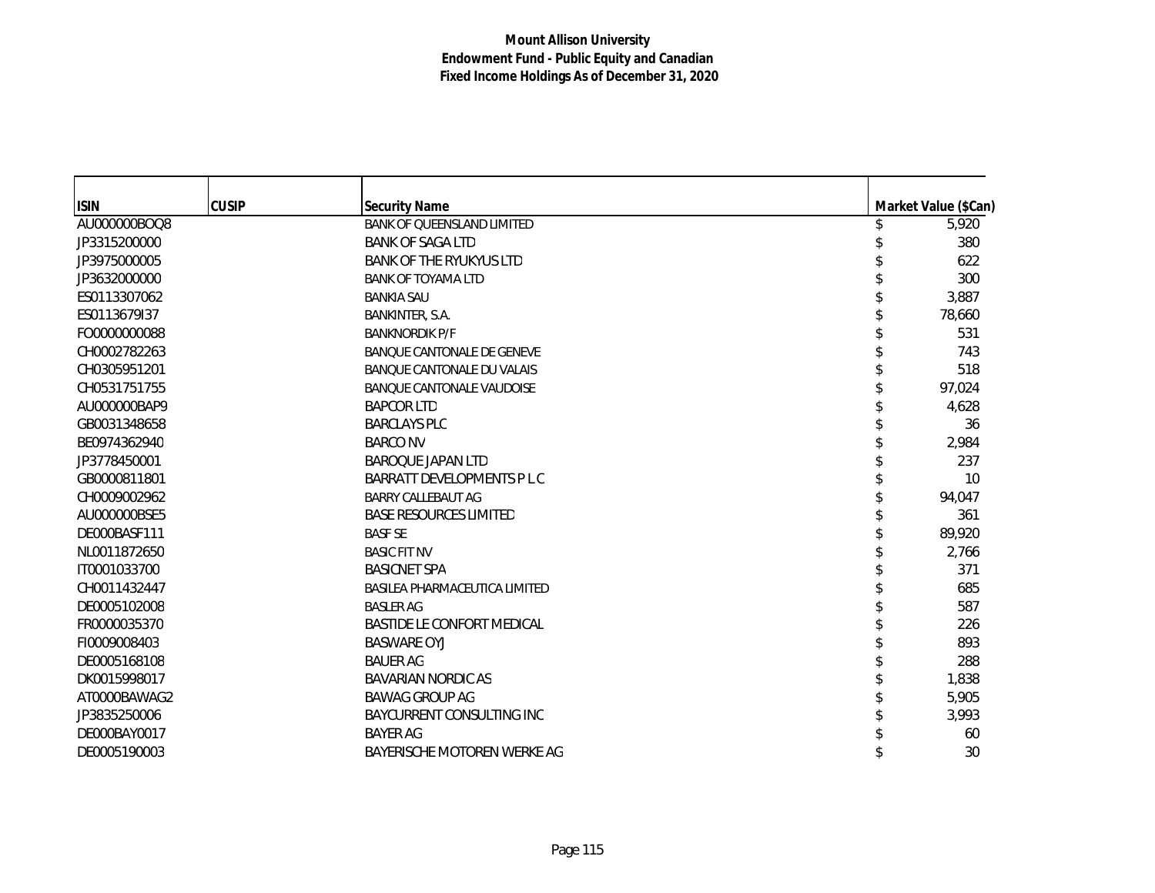| <b>ISIN</b>  | <b>CUSIP</b> | <b>Security Name</b>              | Market Value (\$Can) |
|--------------|--------------|-----------------------------------|----------------------|
| AU000000BOQ8 |              | <b>BANK OF QUEENSLAND LIMITED</b> | 5,920                |
| JP3315200000 |              | <b>BANK OF SAGA LTD</b>           | 380                  |
| JP3975000005 |              | <b>BANK OF THE RYUKYUS LTD</b>    | 622                  |
| JP3632000000 |              | <b>BANK OF TOYAMA LTD</b>         | 300                  |
| ES0113307062 |              | <b>BANKIA SAU</b>                 | 3,887                |
| ES0113679I37 |              | BANKINTER, S.A.                   | 78,660               |
| FO0000000088 |              | <b>BANKNORDIK P/F</b>             | 531                  |
| CH0002782263 |              | <b>BANQUE CANTONALE DE GENEVE</b> | 743                  |
| CH0305951201 |              | BANQUE CANTONALE DU VALAIS        | 518                  |
| CH0531751755 |              | <b>BANQUE CANTONALE VAUDOISE</b>  | 97,024               |
| AU000000BAP9 |              | <b>BAPCOR LTD</b>                 | 4,628                |
| GB0031348658 |              | <b>BARCLAYS PLC</b>               | 36                   |
| BE0974362940 |              | <b>BARCO NV</b>                   | 2,984                |
| JP3778450001 |              | <b>BAROQUE JAPAN LTD</b>          | 237                  |
| GB0000811801 |              | BARRATT DEVELOPMENTS P L C        | 10                   |
| CH0009002962 |              | <b>BARRY CALLEBAUT AG</b>         | 94,047               |
| AU000000BSE5 |              | <b>BASE RESOURCES LIMITED</b>     | 361                  |
| DE000BASF111 |              | <b>BASF SE</b>                    | 89,920               |
| NL0011872650 |              | <b>BASIC FIT NV</b>               | 2,766                |
| IT0001033700 |              | <b>BASICNET SPA</b>               | 371                  |
| CH0011432447 |              | BASILEA PHARMACEUTICA LIMITED     | 685                  |
| DE0005102008 |              | <b>BASLER AG</b>                  | 587                  |
| FR0000035370 |              | <b>BASTIDE LE CONFORT MEDICAL</b> | 226                  |
| FI0009008403 |              | <b>BASWARE OYJ</b>                | 893                  |
| DE0005168108 |              | <b>BAUER AG</b>                   | 288                  |
| DK0015998017 |              | <b>BAVARIAN NORDIC AS</b>         | 1,838                |
| AT0000BAWAG2 |              | <b>BAWAG GROUP AG</b>             | 5,905                |
| JP3835250006 |              | BAYCURRENT CONSULTING INC         | 3,993                |
| DE000BAY0017 |              | <b>BAYER AG</b>                   | 60                   |
| DE0005190003 |              | BAYERISCHE MOTOREN WERKE AG       | 30                   |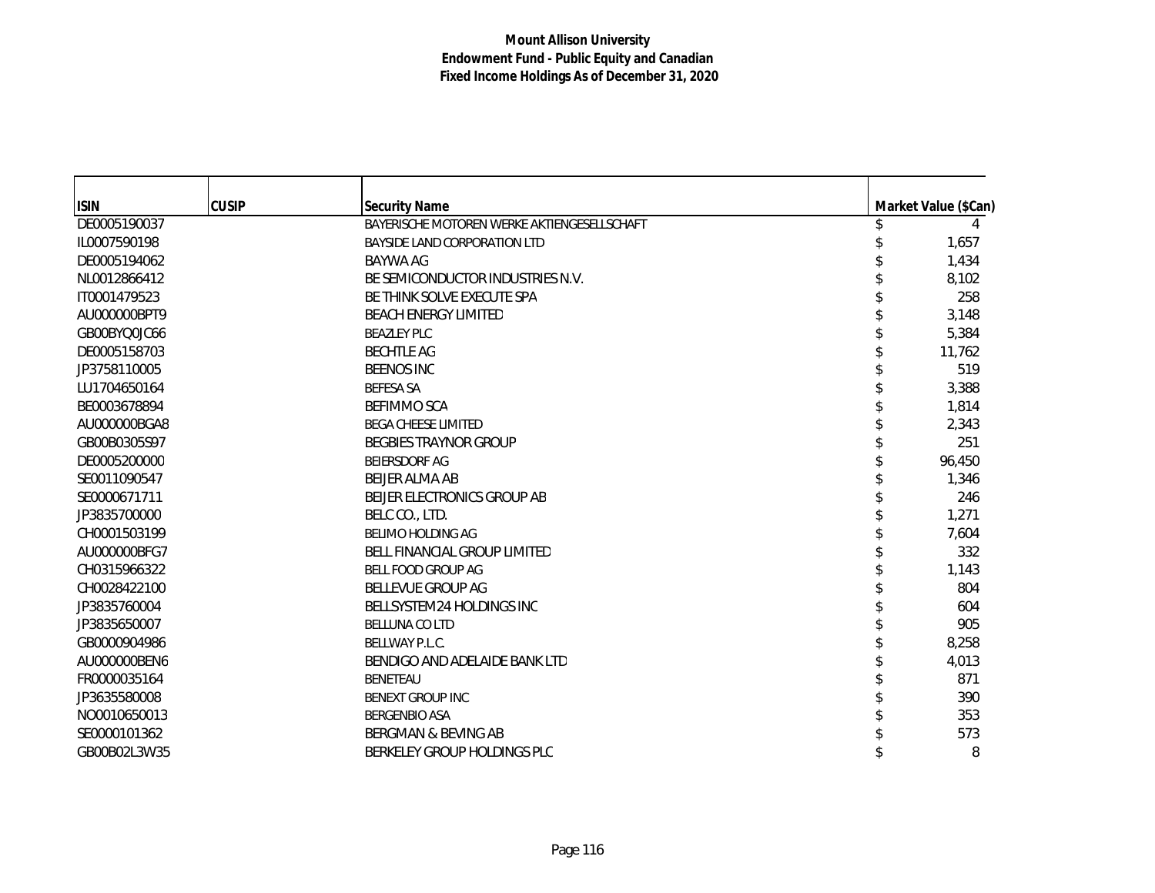| <b>ISIN</b>  | <b>CUSIP</b> | <b>Security Name</b>                        | Market Value (\$Can) |
|--------------|--------------|---------------------------------------------|----------------------|
| DE0005190037 |              | BAYERISCHE MOTOREN WERKE AKTIENGESELLSCHAFT |                      |
| IL0007590198 |              | BAYSIDE LAND CORPORATION LTD                | 1,657                |
| DE0005194062 |              | <b>BAYWA AG</b>                             | 1,434                |
| NL0012866412 |              | BE SEMICONDUCTOR INDUSTRIES N.V.            | 8,102                |
| IT0001479523 |              | BE THINK SOLVE EXECUTE SPA                  | 258                  |
| AU000000BPT9 |              | <b>BEACH ENERGY LIMITED</b>                 | 3,148                |
| GB00BYQ0JC66 |              | <b>BEAZLEY PLC</b>                          | 5,384                |
| DE0005158703 |              | <b>BECHTLE AG</b>                           | 11,762               |
| JP3758110005 |              | <b>BEENOS INC</b>                           | 519                  |
| LU1704650164 |              | <b>BEFESA SA</b>                            | 3,388                |
| BE0003678894 |              | <b>BEFIMMO SCA</b>                          | 1,814                |
| AU000000BGA8 |              | <b>BEGA CHEESE LIMITED</b>                  | 2,343                |
| GB00B0305S97 |              | <b>BEGBIES TRAYNOR GROUP</b>                | 251                  |
| DE0005200000 |              | <b>BEIERSDORF AG</b>                        | 96,450               |
| SE0011090547 |              | <b>BELIER ALMA AB</b>                       | 1,346                |
| SE0000671711 |              | BEIJER ELECTRONICS GROUP AB                 | 246                  |
| JP3835700000 |              | BELC CO., LTD.                              | 1,271                |
| CH0001503199 |              | <b>BELIMO HOLDING AG</b>                    | 7,604                |
| AU000000BFG7 |              | <b>BELL FINANCIAL GROUP LIMITED</b>         | 332                  |
| CH0315966322 |              | BELL FOOD GROUP AG                          | 1,143                |
| CH0028422100 |              | <b>BELLEVUE GROUP AG</b>                    | 804                  |
| JP3835760004 |              | BELLSYSTEM24 HOLDINGS INC                   | 604                  |
| JP3835650007 |              | <b>BELLUNA CO LTD</b>                       | 905                  |
| GB0000904986 |              | BELLWAY P.L.C.                              | 8,258                |
| AU000000BEN6 |              | BENDIGO AND ADELAIDE BANK LTD               | 4,013                |
| FR0000035164 |              | <b>BENETEAU</b>                             | 871                  |
| JP3635580008 |              | <b>BENEXT GROUP INC</b>                     | 390                  |
| NO0010650013 |              | <b>BERGENBIO ASA</b>                        | 353                  |
| SE0000101362 |              | <b>BERGMAN &amp; BEVING AB</b>              | 573                  |
| GB00B02L3W35 |              | BERKELEY GROUP HOLDINGS PLC                 | 8                    |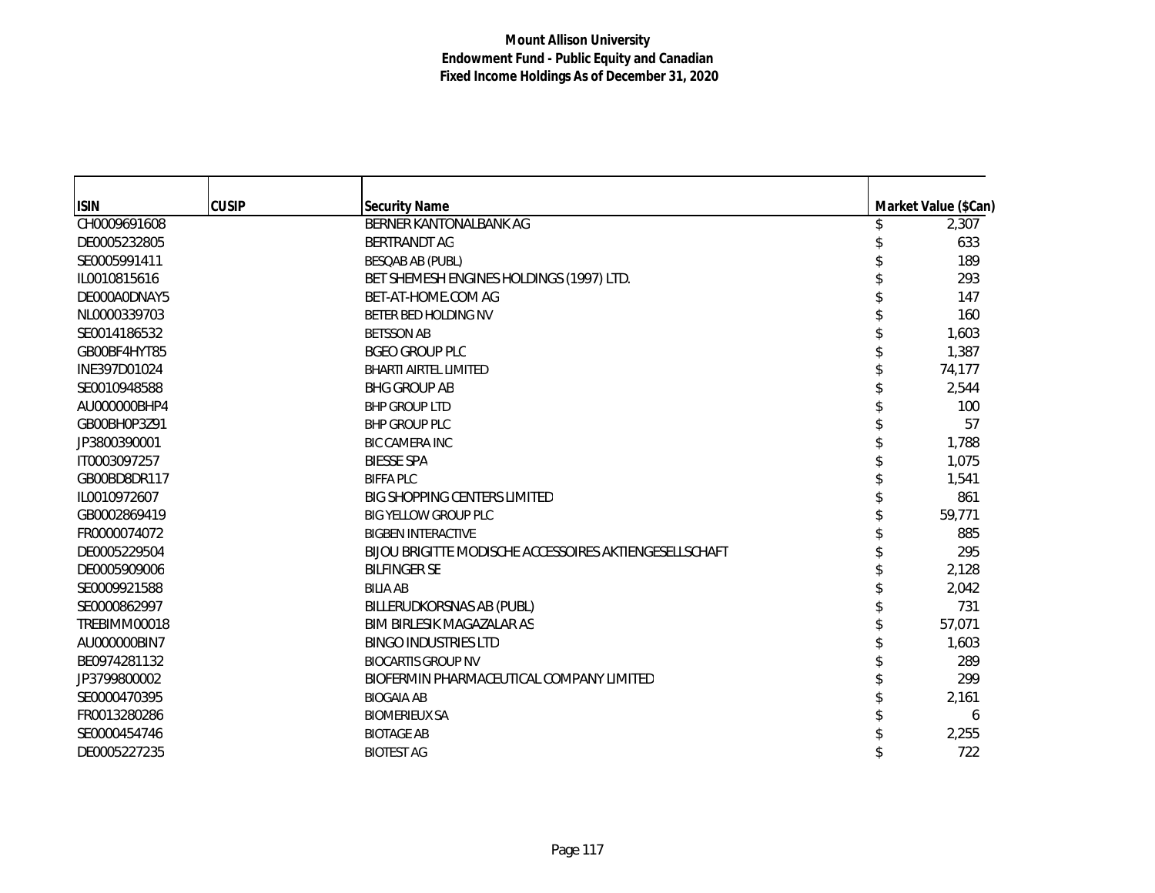| <b>ISIN</b>  | <b>CUSIP</b> | <b>Security Name</b>                                   | Market Value (\$Can) |
|--------------|--------------|--------------------------------------------------------|----------------------|
| CH0009691608 |              | BERNER KANTONALBANK AG                                 | 2,307                |
| DE0005232805 |              | <b>BERTRANDT AG</b>                                    | 633                  |
| SE0005991411 |              | <b>BESQAB AB (PUBL)</b>                                | 189                  |
| IL0010815616 |              | BET SHEMESH ENGINES HOLDINGS (1997) LTD.               | 293                  |
| DE000A0DNAY5 |              | BET-AT-HOME.COM AG                                     | 147                  |
| NL0000339703 |              | BETER BED HOLDING NV                                   | 160                  |
| SE0014186532 |              | <b>BETSSON AB</b>                                      | 1,603                |
| GB00BF4HYT85 |              | <b>BGEO GROUP PLC</b>                                  | 1,387                |
| INE397D01024 |              | <b>BHARTI AIRTEL LIMITED</b>                           | 74,177               |
| SE0010948588 |              | <b>BHG GROUP AB</b>                                    | 2,544                |
| AU000000BHP4 |              | <b>BHP GROUP LTD</b>                                   | 100                  |
| GB00BH0P3Z91 |              | <b>BHP GROUP PLC</b>                                   | 57                   |
| JP3800390001 |              | <b>BIC CAMERA INC</b>                                  | 1,788                |
| IT0003097257 |              | <b>BIESSE SPA</b>                                      | 1,075                |
| GB00BD8DR117 |              | <b>BIFFA PLC</b>                                       | 1,541                |
| IL0010972607 |              | <b>BIG SHOPPING CENTERS LIMITED</b>                    | 861                  |
| GB0002869419 |              | <b>BIG YELLOW GROUP PLC</b>                            | 59,771               |
| FR0000074072 |              | <b>BIGBEN INTERACTIVE</b>                              | 885                  |
| DE0005229504 |              | BIJOU BRIGITTE MODISCHE ACCESSOIRES AKTIENGESELLSCHAFT | 295                  |
| DE0005909006 |              | <b>BILFINGER SE</b>                                    | 2,128                |
| SE0009921588 |              | <b>BILIA AB</b>                                        | 2,042                |
| SE0000862997 |              | BILLERUDKORSNAS AB (PUBL)                              | 731                  |
| TREBIMM00018 |              | BIM BIRLESIK MAGAZALAR AS                              | 57,071               |
| AU000000BIN7 |              | <b>BINGO INDUSTRIES LTD</b>                            | 1,603                |
| BE0974281132 |              | <b>BIOCARTIS GROUP NV</b>                              | 289                  |
| JP3799800002 |              | BIOFERMIN PHARMACEUTICAL COMPANY LIMITED               | 299                  |
| SE0000470395 |              | <b>BIOGAIA AB</b>                                      | 2,161                |
| FR0013280286 |              | <b>BIOMERIEUX SA</b>                                   | 6                    |
| SE0000454746 |              | <b>BIOTAGE AB</b>                                      | 2,255                |
| DE0005227235 |              | <b>BIOTEST AG</b>                                      | 722                  |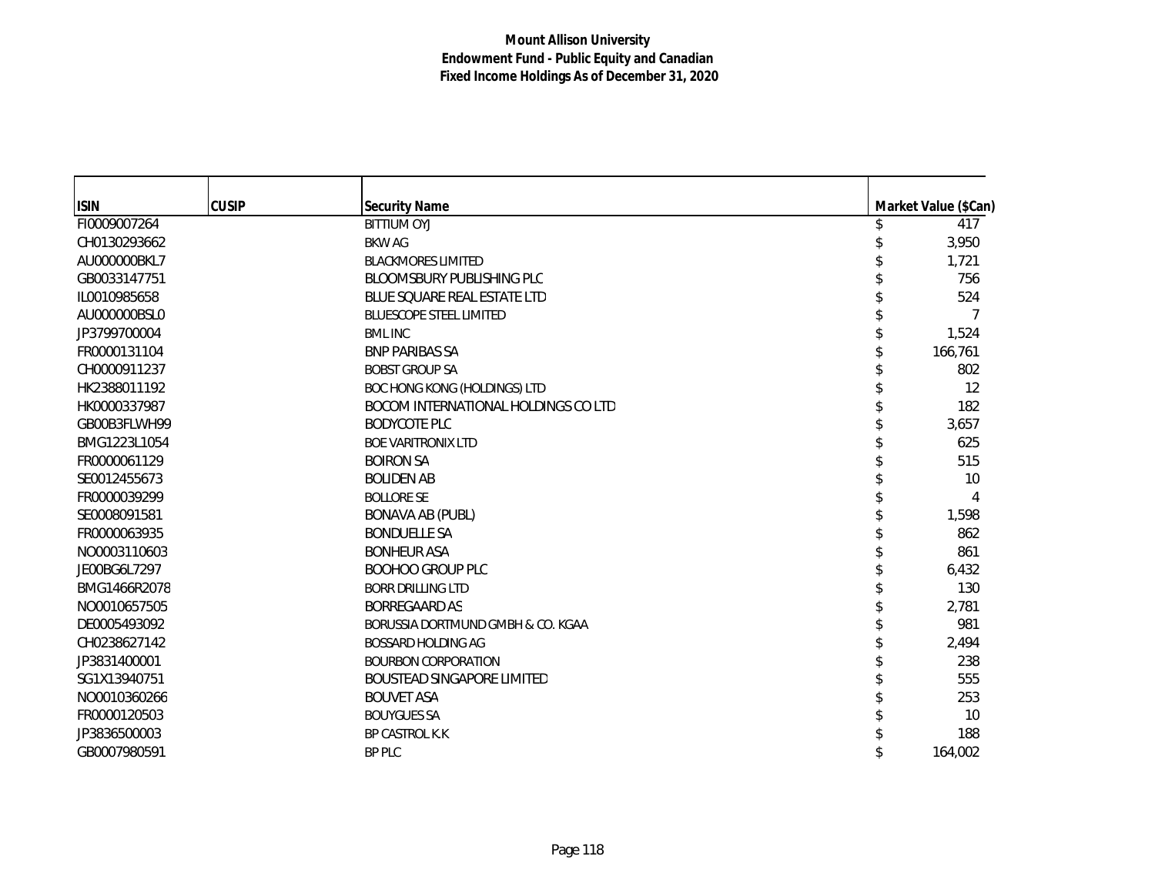| <b>ISIN</b>  | <b>CUSIP</b> | <b>Security Name</b>                | Market Value (\$Can) |
|--------------|--------------|-------------------------------------|----------------------|
| FI0009007264 |              | <b>BITTIUM OYJ</b>                  | 417                  |
| CH0130293662 |              | <b>BKW AG</b>                       | 3,950                |
| AU000000BKL7 |              | <b>BLACKMORES LIMITED</b>           | 1,721                |
| GB0033147751 |              | <b>BLOOMSBURY PUBLISHING PLC</b>    | 756                  |
| IL0010985658 |              | BLUE SQUARE REAL ESTATE LTD         | 524                  |
| AU000000BSL0 |              | <b>BLUESCOPE STEEL LIMITED</b>      |                      |
| JP3799700004 |              | <b>BML INC</b>                      | 1,524                |
| FR0000131104 |              | <b>BNP PARIBAS SA</b>               | 166,761              |
| CH0000911237 |              | <b>BOBST GROUP SA</b>               | 802                  |
| HK2388011192 |              | <b>BOC HONG KONG (HOLDINGS) LTD</b> | 12                   |
| HK0000337987 |              | BOCOM INTERNATIONAL HOLDINGS CO LTD | 182                  |
| GB00B3FLWH99 |              | <b>BODYCOTE PLC</b>                 | 3,657                |
| BMG1223L1054 |              | <b>BOE VARITRONIX LTD</b>           | 625                  |
| FR0000061129 |              | <b>BOIRON SA</b>                    | 515                  |
| SE0012455673 |              | <b>BOLIDEN AB</b>                   | 10                   |
| FR0000039299 |              | <b>BOLLORE SE</b>                   |                      |
| SE0008091581 |              | <b>BONAVA AB (PUBL)</b>             | 1,598                |
| FR0000063935 |              | <b>BONDUELLE SA</b>                 | 862                  |
| NO0003110603 |              | <b>BONHEUR ASA</b>                  | 861                  |
| JE00BG6L7297 |              | <b>BOOHOO GROUP PLC</b>             | 6,432                |
| BMG1466R2078 |              | <b>BORR DRILLING LTD</b>            | 130                  |
| NO0010657505 |              | <b>BORREGAARD AS</b>                | 2,781                |
| DE0005493092 |              | BORUSSIA DORTMUND GMBH & CO. KGAA   | 981                  |
| CH0238627142 |              | <b>BOSSARD HOLDING AG</b>           | 2,494                |
| JP3831400001 |              | <b>BOURBON CORPORATION</b>          | 238                  |
| SG1X13940751 |              | <b>BOUSTEAD SINGAPORE LIMITED</b>   | 555                  |
| NO0010360266 |              | <b>BOUVET ASA</b>                   | 253                  |
| FR0000120503 |              | <b>BOUYGUES SA</b>                  | 10                   |
| JP3836500003 |              | <b>BP CASTROL K.K</b>               | 188                  |
| GB0007980591 |              | <b>BP PLC</b>                       | 164,002              |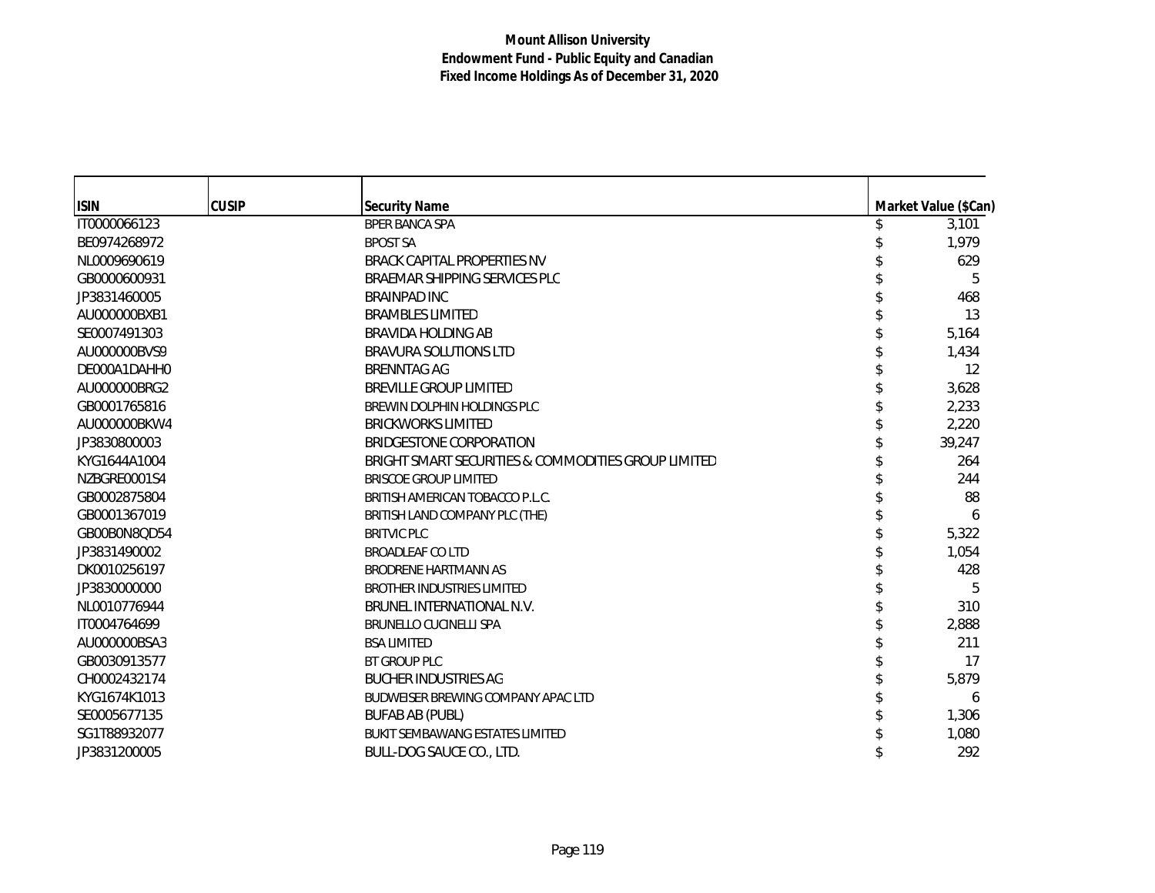| <b>ISIN</b>  | <b>CUSIP</b> | <b>Security Name</b>                                | Market Value (\$Can) |
|--------------|--------------|-----------------------------------------------------|----------------------|
| IT0000066123 |              | <b>BPER BANCA SPA</b>                               | 3,101                |
| BE0974268972 |              | <b>BPOST SA</b>                                     | 1,979                |
| NL0009690619 |              | <b>BRACK CAPITAL PROPERTIES NV</b>                  | 629                  |
| GB0000600931 |              | BRAEMAR SHIPPING SERVICES PLC                       | 5                    |
| JP3831460005 |              | <b>BRAINPAD INC</b>                                 | 468                  |
| AU000000BXB1 |              | <b>BRAMBLES LIMITED</b>                             | 13                   |
| SE0007491303 |              | <b>BRAVIDA HOLDING AB</b>                           | 5,164                |
| AU000000BVS9 |              | <b>BRAVURA SOLUTIONS LTD</b>                        | 1,434                |
| DE000A1DAHH0 |              | <b>BRENNTAG AG</b>                                  | 12                   |
| AU000000BRG2 |              | <b>BREVILLE GROUP LIMITED</b>                       | 3,628                |
| GB0001765816 |              | BREWIN DOLPHIN HOLDINGS PLC                         | 2,233                |
| AU000000BKW4 |              | <b>BRICKWORKS LIMITED</b>                           | 2,220                |
| JP3830800003 |              | BRIDGESTONE CORPORATION                             | 39,247               |
| KYG1644A1004 |              | BRIGHT SMART SECURITIES & COMMODITIES GROUP LIMITED | 264                  |
| NZBGRE0001S4 |              | <b>BRISCOE GROUP LIMITED</b>                        | 244                  |
| GB0002875804 |              | BRITISH AMERICAN TOBACCO P.L.C.                     | 88                   |
| GB0001367019 |              | BRITISH LAND COMPANY PLC (THE)                      | 6                    |
| GB00B0N8QD54 |              | <b>BRITVIC PLC</b>                                  | 5,322                |
| JP3831490002 |              | <b>BROADLEAF CO LTD</b>                             | 1,054                |
| DK0010256197 |              | BRODRENE HARTMANN AS                                | 428                  |
| JP3830000000 |              | <b>BROTHER INDUSTRIES LIMITED</b>                   | 5                    |
| NL0010776944 |              | BRUNEL INTERNATIONAL N.V.                           | 310                  |
| IT0004764699 |              | <b>BRUNELLO CUCINELLI SPA</b>                       | 2,888                |
| AU000000BSA3 |              | <b>BSA LIMITED</b>                                  | 211                  |
| GB0030913577 |              | <b>BT GROUP PLC</b>                                 | 17                   |
| CH0002432174 |              | <b>BUCHER INDUSTRIES AG</b>                         | 5,879                |
| KYG1674K1013 |              | BUDWEISER BREWING COMPANY APAC LTD                  | 6                    |
| SE0005677135 |              | <b>BUFAB AB (PUBL)</b>                              | 1,306                |
| SG1T88932077 |              | <b>BUKIT SEMBAWANG ESTATES LIMITED</b>              | 1,080                |
| JP3831200005 |              | BULL-DOG SAUCE CO., LTD.                            | 292                  |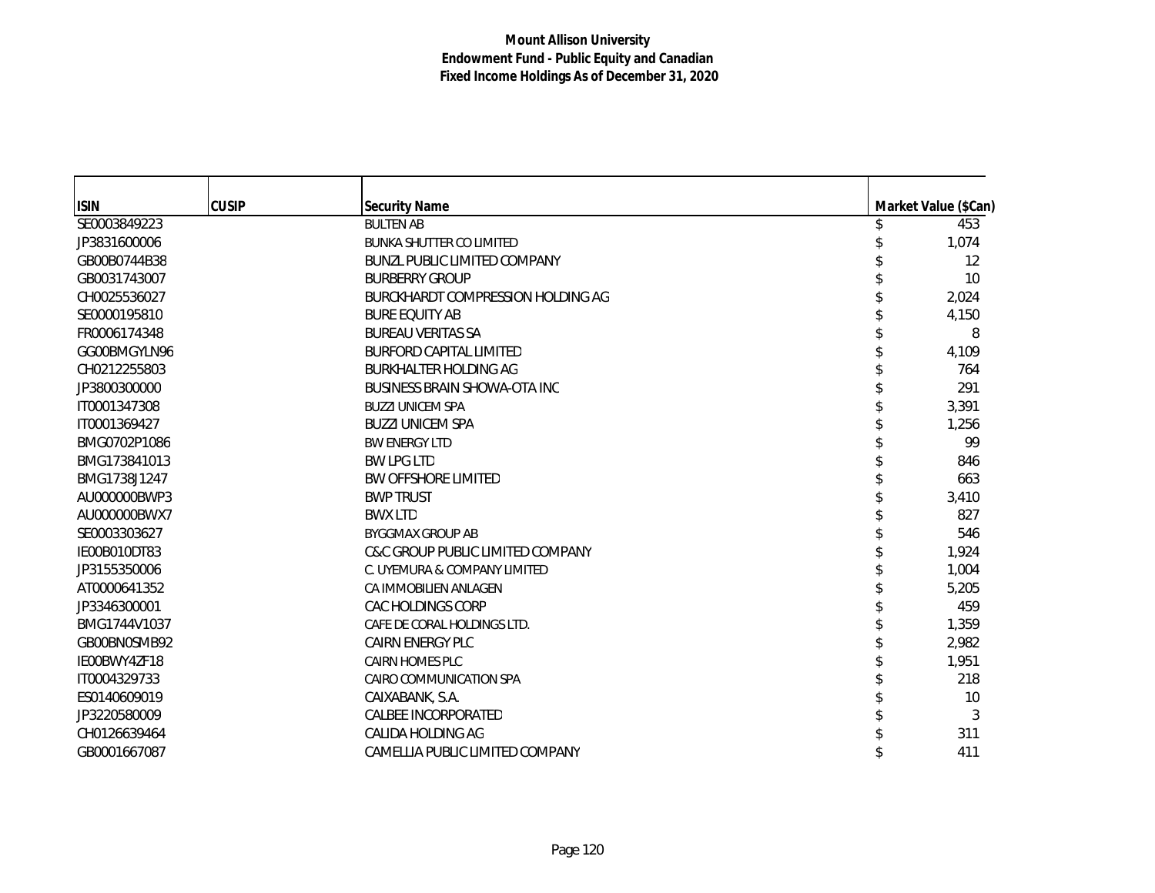| <b>ISIN</b>  | <b>CUSIP</b> | <b>Security Name</b>                | Market Value (\$Can) |
|--------------|--------------|-------------------------------------|----------------------|
| SE0003849223 |              | <b>BULTEN AB</b>                    | 453                  |
| JP3831600006 |              | <b>BUNKA SHUTTER CO LIMITED</b>     | 1,074                |
| GB00B0744B38 |              | <b>BUNZL PUBLIC LIMITED COMPANY</b> | 12                   |
| GB0031743007 |              | <b>BURBERRY GROUP</b>               | 10                   |
| CH0025536027 |              | BURCKHARDT COMPRESSION HOLDING AG   | 2,024                |
| SE0000195810 |              | <b>BURE EQUITY AB</b>               | 4,150                |
| FR0006174348 |              | <b>BUREAU VERITAS SA</b>            | 8                    |
| GG00BMGYLN96 |              | <b>BURFORD CAPITAL LIMITED</b>      | 4,109                |
| CH0212255803 |              | <b>BURKHALTER HOLDING AG</b>        | 764                  |
| JP3800300000 |              | <b>BUSINESS BRAIN SHOWA-OTA INC</b> | 291                  |
| IT0001347308 |              | <b>BUZZI UNICEM SPA</b>             | 3,391                |
| IT0001369427 |              | <b>BUZZI UNICEM SPA</b>             | 1,256                |
| BMG0702P1086 |              | <b>BW ENERGY LTD</b>                | 99                   |
| BMG173841013 |              | <b>BW LPG LTD</b>                   | 846                  |
| BMG1738J1247 |              | <b>BW OFFSHORE LIMITED</b>          | 663                  |
| AU000000BWP3 |              | <b>BWP TRUST</b>                    | 3,410                |
| AU000000BWX7 |              | <b>BWX LTD</b>                      | 827                  |
| SE0003303627 |              | <b>BYGGMAX GROUP AB</b>             | 546                  |
| IE00B010DT83 |              | C&C GROUP PUBLIC LIMITED COMPANY    | 1,924                |
| JP3155350006 |              | C. UYEMURA & COMPANY LIMITED        | 1,004                |
| AT0000641352 |              | CA IMMOBILIEN ANLAGEN               | 5,205                |
| JP3346300001 |              | CAC HOLDINGS CORP                   | 459                  |
| BMG1744V1037 |              | CAFE DE CORAL HOLDINGS LTD.         | 1,359                |
| GB00BN0SMB92 |              | <b>CAIRN ENERGY PLC</b>             | 2,982                |
| IE00BWY4ZF18 |              | <b>CAIRN HOMES PLC</b>              | 1,951                |
| IT0004329733 |              | CAIRO COMMUNICATION SPA             | 218                  |
| ES0140609019 |              | CAIXABANK, S.A.                     | 10                   |
| JP3220580009 |              | CALBEE INCORPORATED                 | 3                    |
| CH0126639464 |              | CALIDA HOLDING AG                   | 311                  |
| GB0001667087 |              | CAMELLIA PUBLIC LIMITED COMPANY     | 411                  |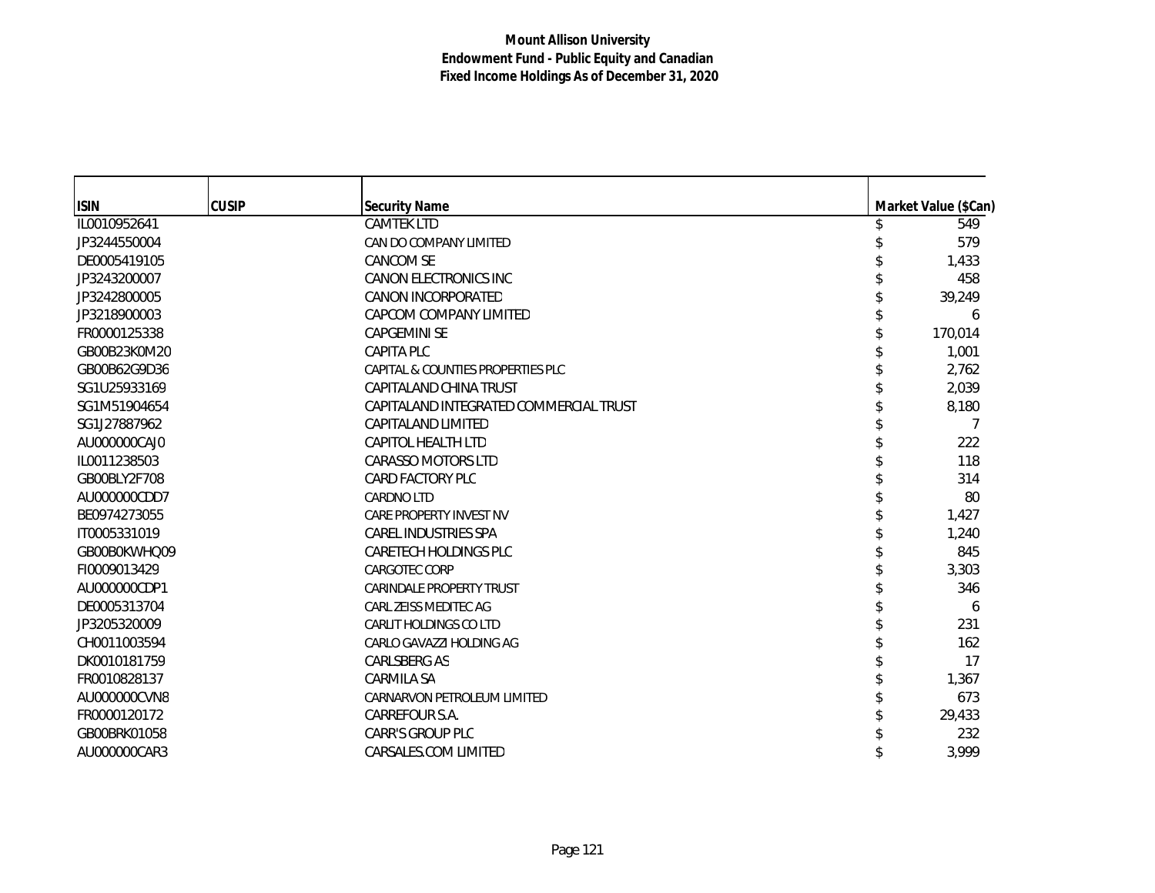| <b>ISIN</b>  | <b>CUSIP</b> | <b>Security Name</b>                   | Market Value (\$Can) |
|--------------|--------------|----------------------------------------|----------------------|
| IL0010952641 |              | <b>CAMTEK LTD</b>                      | 549                  |
| JP3244550004 |              | CAN DO COMPANY LIMITED                 | 579                  |
| DE0005419105 |              | <b>CANCOM SE</b>                       | 1,433                |
| JP3243200007 |              | <b>CANON ELECTRONICS INC</b>           | 458                  |
| JP3242800005 |              | CANON INCORPORATED                     | 39,249               |
| JP3218900003 |              | CAPCOM COMPANY LIMITED                 | 6                    |
| FR0000125338 |              | <b>CAPGEMINI SE</b>                    | 170,014              |
| GB00B23K0M20 |              | <b>CAPITA PLC</b>                      | 1,001                |
| GB00B62G9D36 |              | CAPITAL & COUNTIES PROPERTIES PLC      | 2,762                |
| SG1U25933169 |              | CAPITALAND CHINA TRUST                 | 2,039                |
| SG1M51904654 |              | CAPITALAND INTEGRATED COMMERCIAL TRUST | 8,180                |
| SG1J27887962 |              | CAPITALAND LIMITED                     | 7                    |
| AU000000CAJ0 |              | <b>CAPITOL HEALTH LTD</b>              | 222                  |
| IL0011238503 |              | <b>CARASSO MOTORS LTD</b>              | 118                  |
| GB00BLY2F708 |              | <b>CARD FACTORY PLC</b>                | 314                  |
| AU000000CDD7 |              | <b>CARDNO LTD</b>                      | 80                   |
| BE0974273055 |              | <b>CARE PROPERTY INVEST NV</b>         | 1,427                |
| IT0005331019 |              | <b>CAREL INDUSTRIES SPA</b>            | 1,240                |
| GB00B0KWHQ09 |              | CARETECH HOLDINGS PLC                  | 845                  |
| FI0009013429 |              | CARGOTEC CORP                          | 3,303                |
| AU000000CDP1 |              | <b>CARINDALE PROPERTY TRUST</b>        | 346                  |
| DE0005313704 |              | CARL ZEISS MEDITEC AG                  | 6                    |
| JP3205320009 |              | <b>CARLIT HOLDINGS CO LTD</b>          | 231                  |
| CH0011003594 |              | CARLO GAVAZZI HOLDING AG               | 162                  |
| DK0010181759 |              | <b>CARLSBERG AS</b>                    | 17                   |
| FR0010828137 |              | CARMILA SA                             | 1,367                |
| AU000000CVN8 |              | CARNARVON PETROLEUM LIMITED            | 673                  |
| FR0000120172 |              | CARREFOUR S.A.                         | 29,433               |
| GB00BRK01058 |              | <b>CARR'S GROUP PLC</b>                | 232                  |
| AU000000CAR3 |              | CARSALES.COM LIMITED                   | 3,999                |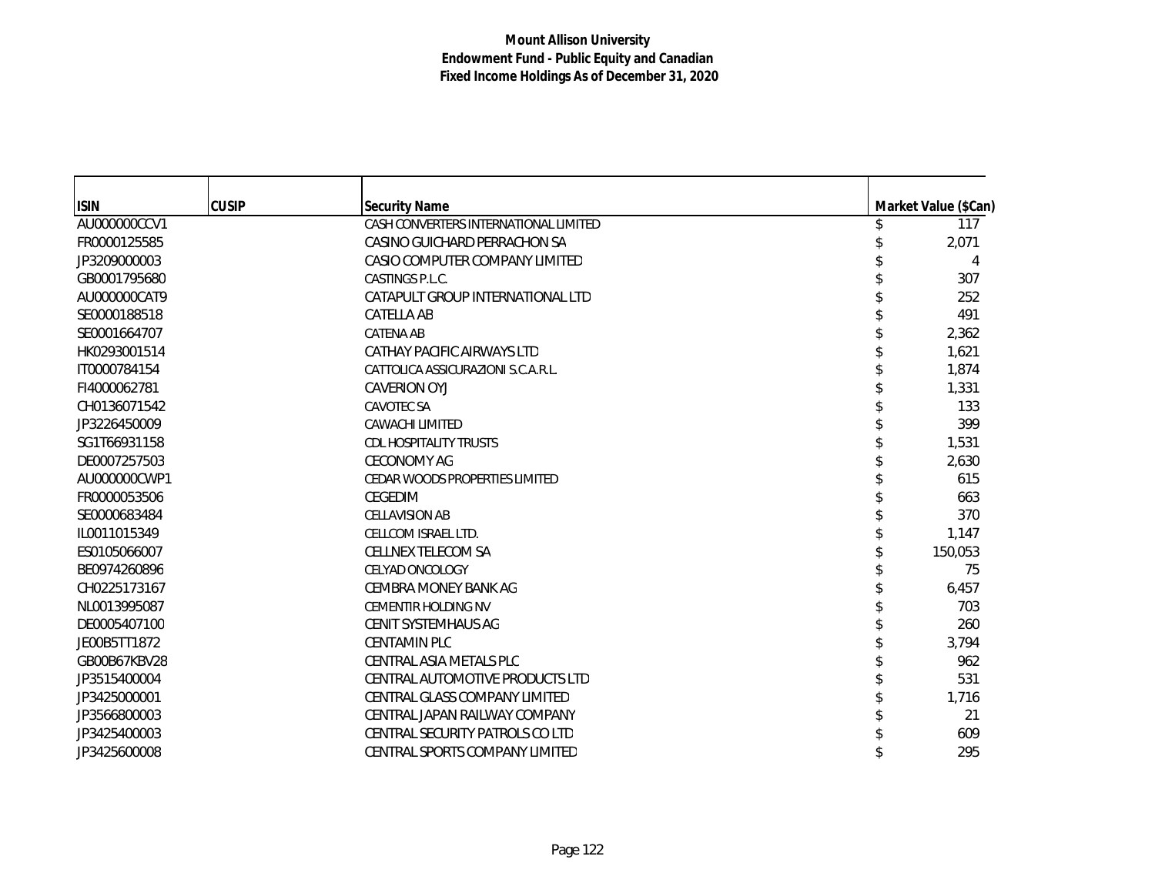| <b>ISIN</b>  | <b>CUSIP</b> | <b>Security Name</b>                  | Market Value (\$Can) |
|--------------|--------------|---------------------------------------|----------------------|
| AU000000CCV1 |              | CASH CONVERTERS INTERNATIONAL LIMITED | 117                  |
| FR0000125585 |              | CASINO GUICHARD PERRACHON SA          | 2,071                |
| JP3209000003 |              | CASIO COMPUTER COMPANY LIMITED        | 4                    |
| GB0001795680 |              | CASTINGS P.L.C.                       | 307                  |
| AU000000CAT9 |              | CATAPULT GROUP INTERNATIONAL LTD      | 252                  |
| SE0000188518 |              | <b>CATELLA AB</b>                     | 491                  |
| SE0001664707 |              | <b>CATENA AB</b>                      | 2,362                |
| HK0293001514 |              | CATHAY PACIFIC AIRWAYS LTD            | 1,621                |
| IT0000784154 |              | CATTOLICA ASSICURAZIONI S.C.A.R.L.    | 1,874                |
| FI4000062781 |              | CAVERION OYJ                          | 1,331                |
| CH0136071542 |              | <b>CAVOTEC SA</b>                     | 133                  |
| JP3226450009 |              | <b>CAWACHI LIMITED</b>                | 399                  |
| SG1T66931158 |              | <b>CDL HOSPITALITY TRUSTS</b>         | 1,531                |
| DE0007257503 |              | <b>CECONOMY AG</b>                    | 2,630                |
| AU000000CWP1 |              | CEDAR WOODS PROPERTIES LIMITED        | 615                  |
| FR0000053506 |              | CEGEDIM                               | 663                  |
| SE0000683484 |              | <b>CELLAVISION AB</b>                 | 370                  |
| IL0011015349 |              | CELLCOM ISRAEL LTD.                   | 1,147                |
| ES0105066007 |              | <b>CELLNEX TELECOM SA</b>             | 150,053              |
| BE0974260896 |              | <b>CELYAD ONCOLOGY</b>                | 75                   |
| CH0225173167 |              | <b>CEMBRA MONEY BANK AG</b>           | 6,457                |
| NL0013995087 |              | <b>CEMENTIR HOLDING NV</b>            | 703                  |
| DE0005407100 |              | CENIT SYSTEMHAUS AG                   | 260                  |
| JE00B5TT1872 |              | <b>CENTAMIN PLC</b>                   | 3,794                |
| GB00B67KBV28 |              | CENTRAL ASIA METALS PLC               | 962                  |
| JP3515400004 |              | CENTRAL AUTOMOTIVE PRODUCTS LTD       | 531                  |
| JP3425000001 |              | CENTRAL GLASS COMPANY LIMITED         | 1,716                |
| JP3566800003 |              | CENTRAL JAPAN RAILWAY COMPANY         | 21                   |
| JP3425400003 |              | CENTRAL SECURITY PATROLS CO LTD       | 609                  |
| JP3425600008 |              | CENTRAL SPORTS COMPANY LIMITED        | 295                  |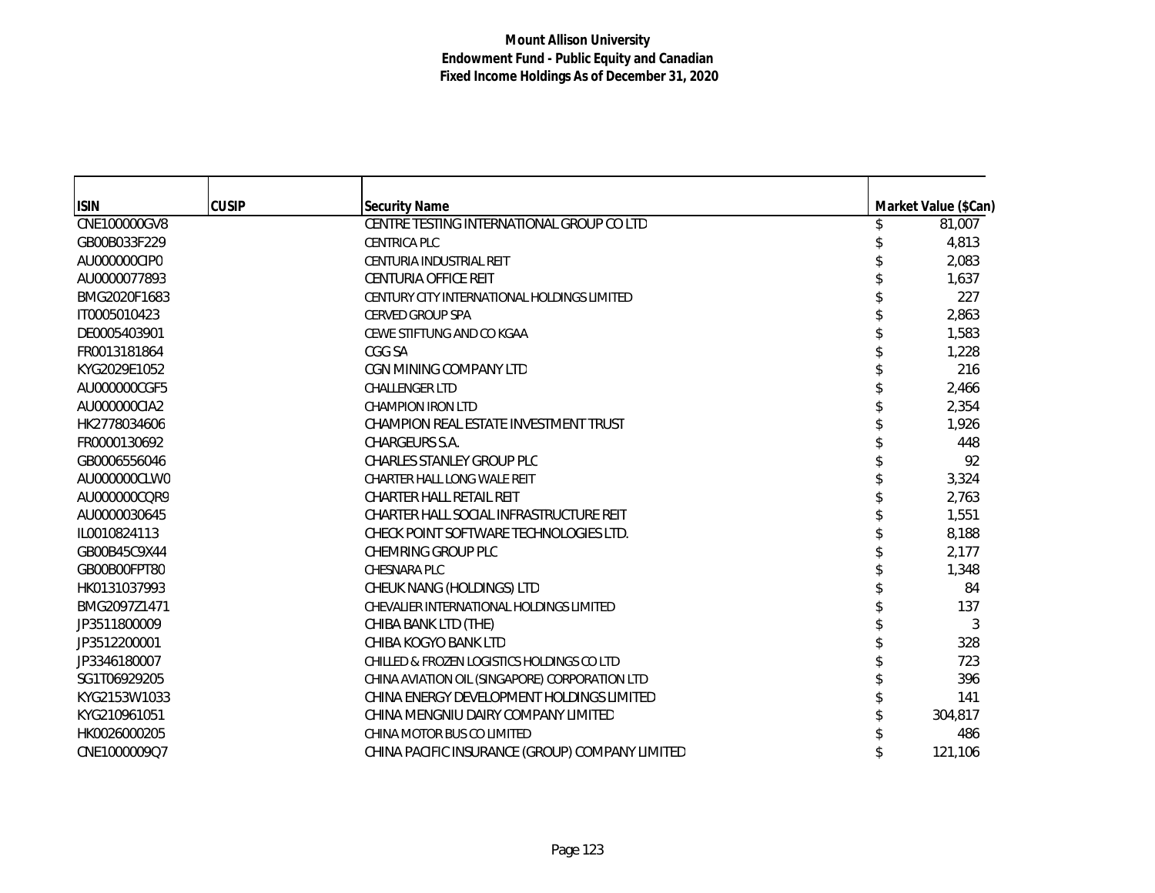| <b>ISIN</b>  | <b>CUSIP</b> | <b>Security Name</b>                            | Market Value (\$Can) |
|--------------|--------------|-------------------------------------------------|----------------------|
| CNE100000GV8 |              | CENTRE TESTING INTERNATIONAL GROUP CO LTD       | 81,007               |
| GB00B033F229 |              | <b>CENTRICA PLC</b>                             | 4,813                |
| AU000000CIP0 |              | CENTURIA INDUSTRIAL REIT                        | 2,083                |
| AU0000077893 |              | CENTURIA OFFICE REIT                            | 1,637                |
| BMG2020F1683 |              | CENTURY CITY INTERNATIONAL HOLDINGS LIMITED     | 227                  |
| IT0005010423 |              | <b>CERVED GROUP SPA</b>                         | 2,863                |
| DE0005403901 |              | CEWE STIFTUNG AND CO KGAA                       | 1,583                |
| FR0013181864 |              | CGG SA                                          | 1,228                |
| KYG2029E1052 |              | CGN MINING COMPANY LTD                          | 216                  |
| AU000000CGF5 |              | <b>CHALLENGER LTD</b>                           | 2,466                |
| AU000000CIA2 |              | <b>CHAMPION IRON LTD</b>                        | 2,354                |
| HK2778034606 |              | CHAMPION REAL ESTATE INVESTMENT TRUST           | 1,926                |
| FR0000130692 |              | CHARGEURS S.A.                                  | 448                  |
| GB0006556046 |              | <b>CHARLES STANLEY GROUP PLC</b>                | 92                   |
| AU000000CLW0 |              | CHARTER HALL LONG WALE REIT                     | 3,324                |
| AU000000CQR9 |              | CHARTER HALL RETAIL REIT                        | 2,763                |
| AU0000030645 |              | CHARTER HALL SOCIAL INFRASTRUCTURE REIT         | 1,551                |
| IL0010824113 |              | CHECK POINT SOFTWARE TECHNOLOGIES LTD.          | 8,188                |
| GB00B45C9X44 |              | CHEMRING GROUP PLC                              | 2,177                |
| GB00B00FPT80 |              | <b>CHESNARA PLC</b>                             | 1,348                |
| HK0131037993 |              | CHEUK NANG (HOLDINGS) LTD                       | 84                   |
| BMG2097Z1471 |              | CHEVALIER INTERNATIONAL HOLDINGS LIMITED        | 137                  |
| JP3511800009 |              | CHIBA BANK LTD (THE)                            | 3                    |
| JP3512200001 |              | CHIBA KOGYO BANK LTD                            | 328                  |
| JP3346180007 |              | CHILLED & FROZEN LOGISTICS HOLDINGS CO LTD      | 723                  |
| SG1T06929205 |              | CHINA AVIATION OIL (SINGAPORE) CORPORATION LTD  | 396                  |
| KYG2153W1033 |              | CHINA ENERGY DEVELOPMENT HOLDINGS LIMITED       | 141                  |
| KYG210961051 |              | CHINA MENGNIU DAIRY COMPANY LIMITED             | 304,817              |
| HK0026000205 |              | CHINA MOTOR BUS CO LIMITED                      | 486                  |
| CNE1000009Q7 |              | CHINA PACIFIC INSURANCE (GROUP) COMPANY LIMITED | 121,106              |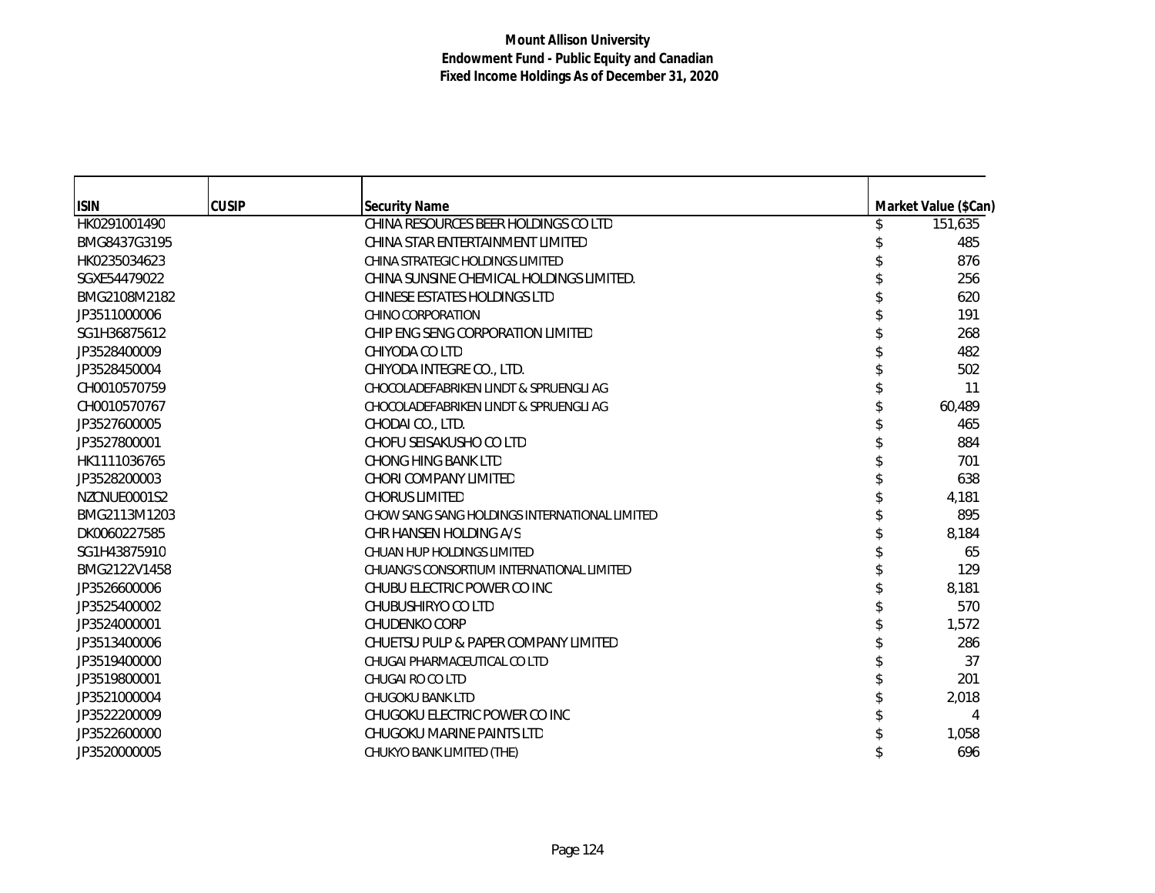| <b>ISIN</b>  | <b>CUSIP</b> | <b>Security Name</b>                          | Market Value (\$Can) |
|--------------|--------------|-----------------------------------------------|----------------------|
| HK0291001490 |              | CHINA RESOURCES BEER HOLDINGS CO LTD          | 151,635              |
| BMG8437G3195 |              | CHINA STAR ENTERTAINMENT LIMITED              | 485                  |
| HK0235034623 |              | CHINA STRATEGIC HOLDINGS LIMITED              | 876                  |
| SGXE54479022 |              | CHINA SUNSINE CHEMICAL HOLDINGS LIMITED.      | 256                  |
| BMG2108M2182 |              | <b>CHINESE ESTATES HOLDINGS LTD</b>           | 620                  |
| JP3511000006 |              | <b>CHINO CORPORATION</b>                      | 191                  |
| SG1H36875612 |              | CHIP ENG SENG CORPORATION LIMITED             | 268                  |
| JP3528400009 |              | CHIYODA CO LTD                                | 482                  |
| JP3528450004 |              | CHIYODA INTEGRE CO., LTD.                     | 502                  |
| CH0010570759 |              | CHOCOLADEFABRIKEN LINDT & SPRUENGLI AG        | 11                   |
| CH0010570767 |              | CHOCOLADEFABRIKEN LINDT & SPRUENGLI AG        | 60,489               |
| JP3527600005 |              | CHODAI CO., LTD.                              | 465                  |
| JP3527800001 |              | CHOFU SEISAKUSHO CO LTD                       | 884                  |
| HK1111036765 |              | <b>CHONG HING BANK LTD</b>                    | 701                  |
| JP3528200003 |              | CHORI COMPANY LIMITED                         | 638                  |
| NZCNUE0001S2 |              | <b>CHORUS LIMITED</b>                         | 4,181                |
| BMG2113M1203 |              | CHOW SANG SANG HOLDINGS INTERNATIONAL LIMITED | 895                  |
| DK0060227585 |              | CHR HANSEN HOLDING A/S                        | 8,184                |
| SG1H43875910 |              | CHUAN HUP HOLDINGS LIMITED                    | 65                   |
| BMG2122V1458 |              | CHUANG'S CONSORTIUM INTERNATIONAL LIMITED     | 129                  |
| JP3526600006 |              | CHUBU ELECTRIC POWER CO INC                   | 8,181                |
| JP3525400002 |              | CHUBUSHIRYO CO LTD                            | 570                  |
| JP3524000001 |              | <b>CHUDENKO CORP</b>                          | 1,572                |
| JP3513400006 |              | CHUETSU PULP & PAPER COMPANY LIMITED          | 286                  |
| JP3519400000 |              | CHUGAI PHARMACEUTICAL CO LTD                  | 37                   |
| JP3519800001 |              | CHUGAI RO CO LTD                              | 201                  |
| JP3521000004 |              | <b>CHUGOKU BANK LTD</b>                       | 2,018                |
| JP3522200009 |              | CHUGOKU ELECTRIC POWER CO INC                 | 4                    |
| JP3522600000 |              | CHUGOKU MARINE PAINTS LTD                     | 1,058                |
| JP3520000005 |              | CHUKYO BANK LIMITED (THE)                     | 696                  |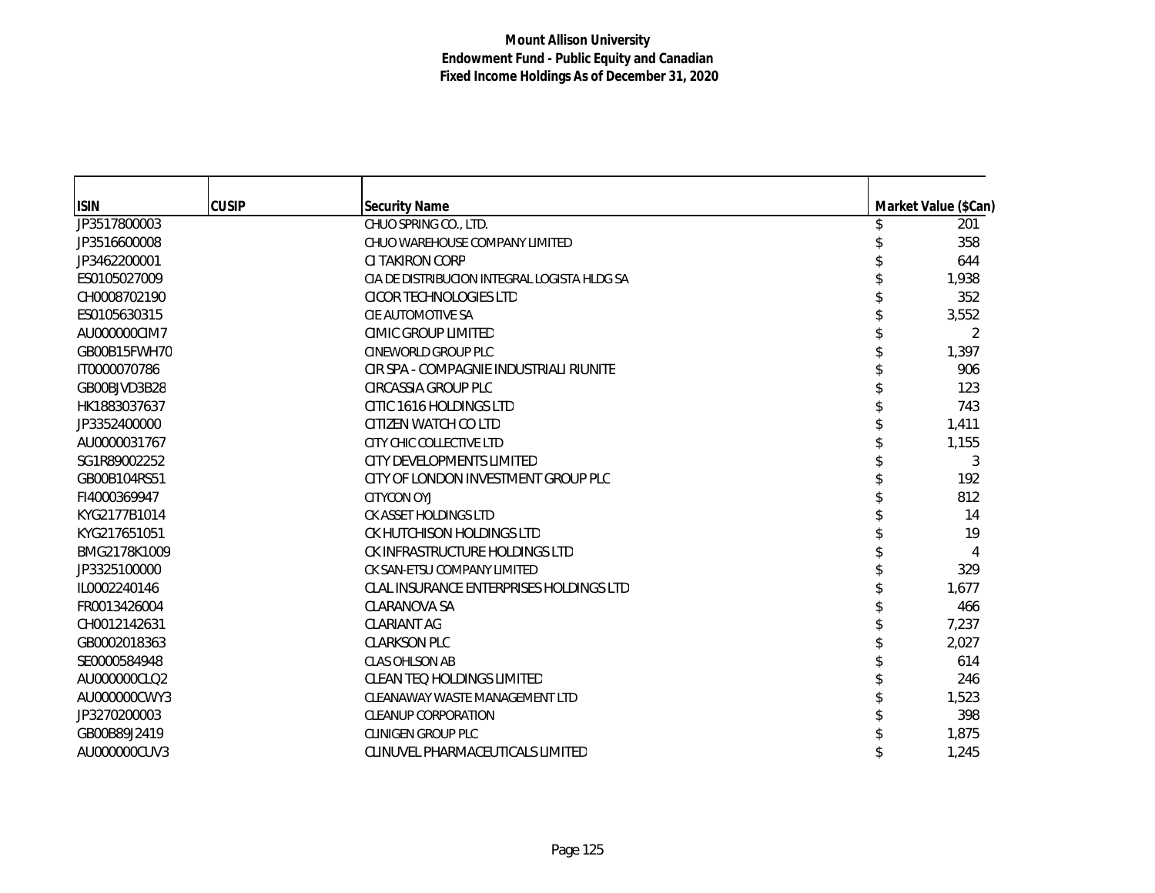| <b>ISIN</b>  | <b>CUSIP</b> | <b>Security Name</b>                         | Market Value (\$Can) |
|--------------|--------------|----------------------------------------------|----------------------|
| JP3517800003 |              | CHUO SPRING CO., LTD.                        | 201                  |
| JP3516600008 |              | CHUO WAREHOUSE COMPANY LIMITED               | 358                  |
| JP3462200001 |              | CI TAKIRON CORP                              | 644                  |
| ES0105027009 |              | CIA DE DISTRIBUCION INTEGRAL LOGISTA HLDG SA | 1,938                |
| CH0008702190 |              | CICOR TECHNOLOGIES LTD                       | 352                  |
| ES0105630315 |              | CIE AUTOMOTIVE SA                            | 3,552                |
| AU000000CIM7 |              | CIMIC GROUP LIMITED                          | 2                    |
| GB00B15FWH70 |              | <b>CINEWORLD GROUP PLC</b>                   | 1,397                |
| IT0000070786 |              | CIR SPA - COMPAGNIE INDUSTRIALI RIUNITE      | 906                  |
| GB00BJVD3B28 |              | CIRCASSIA GROUP PLC                          | 123                  |
| HK1883037637 |              | CITIC 1616 HOLDINGS LTD                      | 743                  |
| JP3352400000 |              | CITIZEN WATCH CO LTD                         | 1,411                |
| AU0000031767 |              | CITY CHIC COLLECTIVE LTD                     | 1,155                |
| SG1R89002252 |              | CITY DEVELOPMENTS LIMITED                    | 3                    |
| GB00B104RS51 |              | CITY OF LONDON INVESTMENT GROUP PLC          | 192                  |
| FI4000369947 |              | <b>CITYCON OYJ</b>                           | 812                  |
| KYG2177B1014 |              | CK ASSET HOLDINGS LTD                        | 14                   |
| KYG217651051 |              | CK HUTCHISON HOLDINGS LTD                    | 19                   |
| BMG2178K1009 |              | CK INFRASTRUCTURE HOLDINGS LTD               | 4                    |
| JP3325100000 |              | CK SAN-ETSU COMPANY LIMITED                  | 329                  |
| IL0002240146 |              | CLAL INSURANCE ENTERPRISES HOLDINGS LTD      | 1,677                |
| FR0013426004 |              | CLARANOVA SA                                 | 466                  |
| CH0012142631 |              | <b>CLARIANT AG</b>                           | 7,237                |
| GB0002018363 |              | <b>CLARKSON PLC</b>                          | 2,027                |
| SE0000584948 |              | CLAS OHLSON AB                               | 614                  |
| AU000000CLQ2 |              | <b>CLEAN TEQ HOLDINGS LIMITED</b>            | 246                  |
| AU000000CWY3 |              | CLEANAWAY WASTE MANAGEMENT LTD               | 1,523                |
| JP3270200003 |              | <b>CLEANUP CORPORATION</b>                   | 398                  |
| GB00B89J2419 |              | <b>CLINIGEN GROUP PLC</b>                    | 1,875                |
| AU000000CUV3 |              | CLINUVEL PHARMACEUTICALS LIMITED             | 1,245                |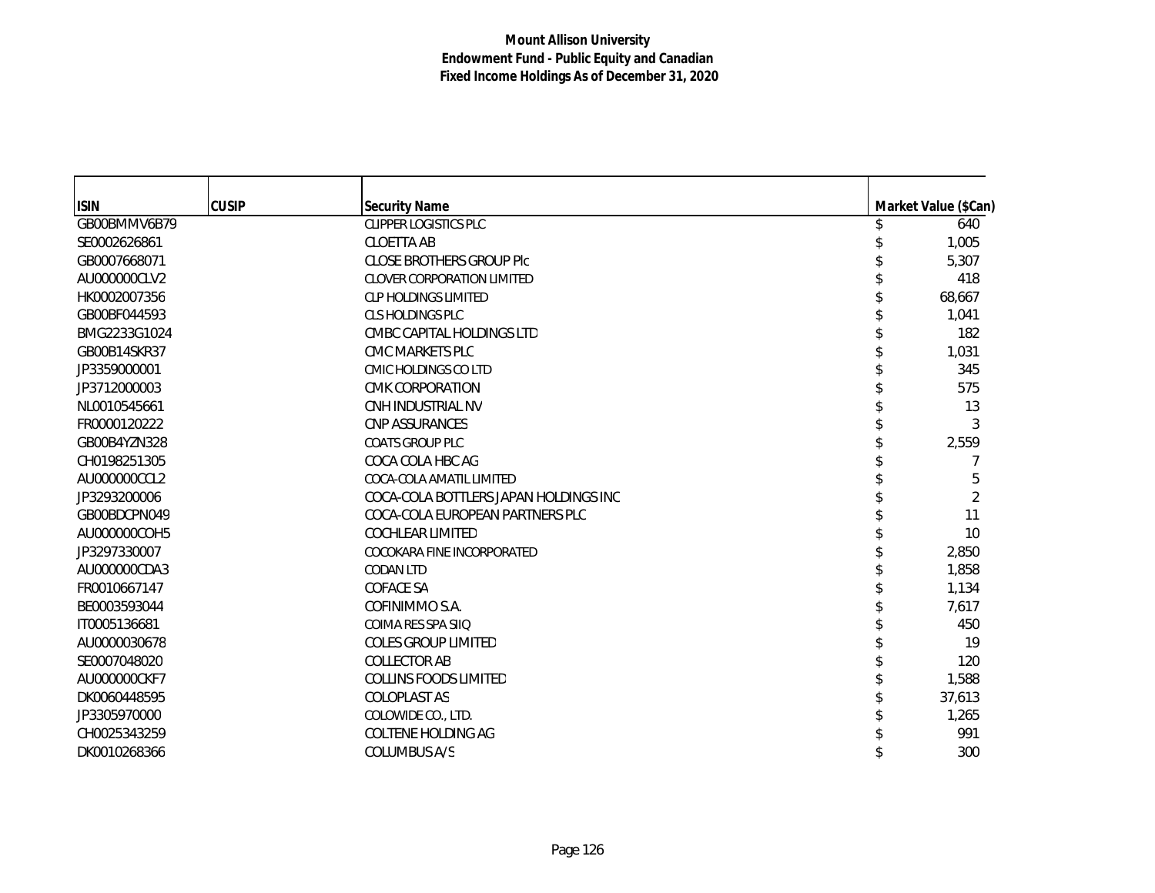| <b>ISIN</b>  | <b>CUSIP</b> | <b>Security Name</b>                  | Market Value (\$Can) |
|--------------|--------------|---------------------------------------|----------------------|
| GB00BMMV6B79 |              | <b>CLIPPER LOGISTICS PLC</b>          | 640                  |
| SE0002626861 |              | <b>CLOETTA AB</b>                     | 1,005                |
| GB0007668071 |              | <b>CLOSE BROTHERS GROUP PIC</b>       | 5,307                |
| AU000000CLV2 |              | <b>CLOVER CORPORATION LIMITED</b>     | 418                  |
| HK0002007356 |              | <b>CLP HOLDINGS LIMITED</b>           | 68,667               |
| GB00BF044593 |              | <b>CLS HOLDINGS PLC</b>               | 1,041                |
| BMG2233G1024 |              | CMBC CAPITAL HOLDINGS LTD             | 182                  |
| GB00B14SKR37 |              | CMC MARKETS PLC                       | 1,031                |
| JP3359000001 |              | CMIC HOLDINGS CO LTD                  | 345                  |
| JP3712000003 |              | <b>CMK CORPORATION</b>                | 575                  |
| NL0010545661 |              | CNH INDUSTRIAL NV                     | 13                   |
| FR0000120222 |              | <b>CNP ASSURANCES</b>                 | 3                    |
| GB00B4YZN328 |              | <b>COATS GROUP PLC</b>                | 2,559                |
| CH0198251305 |              | COCA COLA HBC AG                      |                      |
| AU000000CCL2 |              | COCA-COLA AMATIL LIMITED              | 5                    |
| JP3293200006 |              | COCA-COLA BOTTLERS JAPAN HOLDINGS INC | 2                    |
| GB00BDCPN049 |              | COCA-COLA EUROPEAN PARTNERS PLC       | 11                   |
| AU000000COH5 |              | <b>COCHLEAR LIMITED</b>               | 10                   |
| JP3297330007 |              | COCOKARA FINE INCORPORATED            | 2,850                |
| AU000000CDA3 |              | <b>CODAN LTD</b>                      | 1,858                |
| FR0010667147 |              | <b>COFACE SA</b>                      | 1,134                |
| BE0003593044 |              | COFINIMMO S.A.                        | 7,617                |
| IT0005136681 |              | COIMA RES SPA SIIO                    | 450                  |
| AU0000030678 |              | <b>COLES GROUP LIMITED</b>            | 19                   |
| SE0007048020 |              | <b>COLLECTOR AB</b>                   | 120                  |
| AU000000CKF7 |              | <b>COLLINS FOODS LIMITED</b>          | 1,588                |
| DK0060448595 |              | <b>COLOPLAST AS</b>                   | 37,613               |
| JP3305970000 |              | COLOWIDE CO., LTD.                    | 1,265                |
| CH0025343259 |              | COLTENE HOLDING AG                    | 991                  |
| DK0010268366 |              | <b>COLUMBUS A/S</b>                   | 300                  |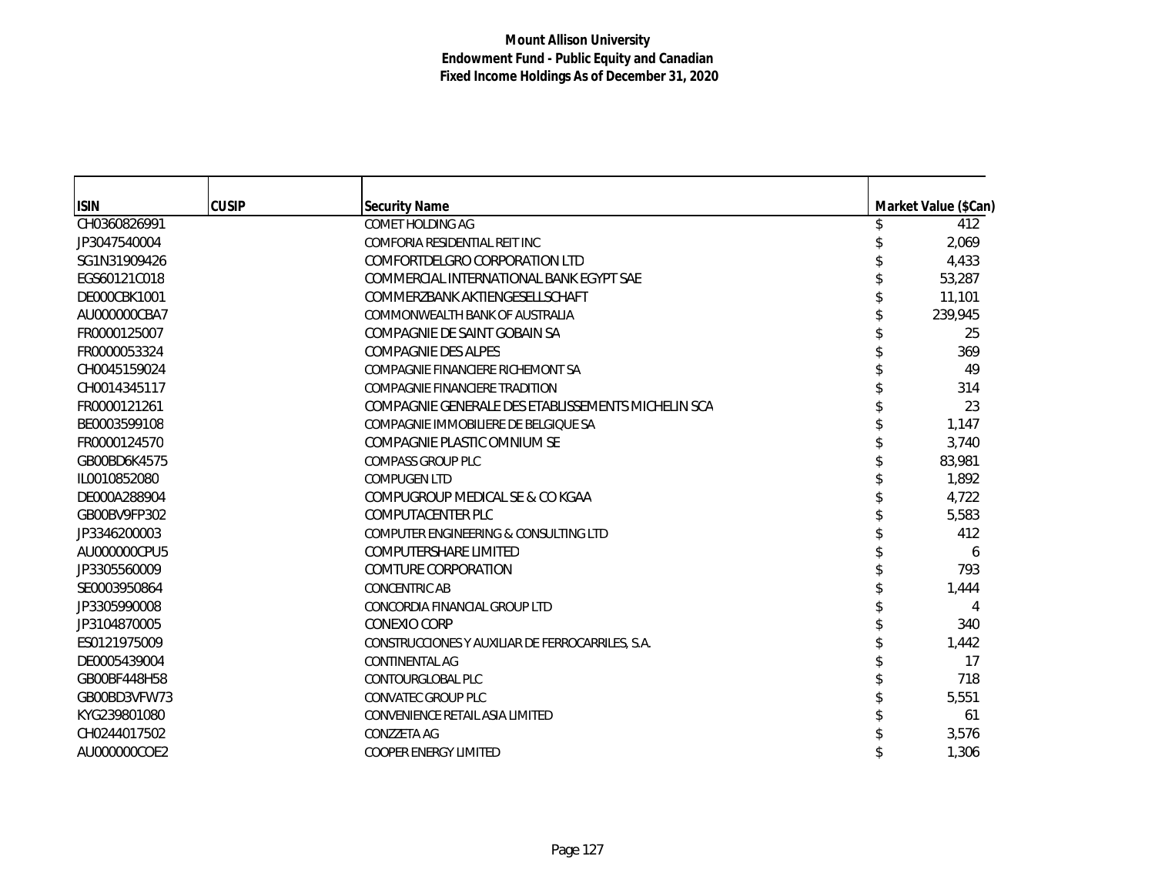| <b>ISIN</b>  | <b>CUSIP</b> | <b>Security Name</b>                               | Market Value (\$Can) |
|--------------|--------------|----------------------------------------------------|----------------------|
| CH0360826991 |              | COMET HOLDING AG                                   | 412                  |
| JP3047540004 |              | COMFORIA RESIDENTIAL REIT INC                      | 2,069                |
| SG1N31909426 |              | COMFORTDELGRO CORPORATION LTD                      | 4,433                |
| EGS60121C018 |              | COMMERCIAL INTERNATIONAL BANK EGYPT SAE            | 53,287               |
| DE000CBK1001 |              | COMMERZBANK AKTIENGESELLSCHAFT                     | 11,101               |
| AU000000CBA7 |              | COMMONWEALTH BANK OF AUSTRALIA                     | 239,945              |
| FR0000125007 |              | COMPAGNIE DE SAINT GOBAIN SA                       | 25                   |
| FR0000053324 |              | <b>COMPAGNIE DES ALPES</b>                         | 369                  |
| CH0045159024 |              | COMPAGNIE FINANCIERE RICHEMONT SA                  | 49                   |
| CH0014345117 |              | COMPAGNIE FINANCIERE TRADITION                     | 314                  |
| FR0000121261 |              | COMPAGNIE GENERALE DES ETABLISSEMENTS MICHELIN SCA | 23                   |
| BE0003599108 |              | COMPAGNIE IMMOBILIERE DE BELGIOUE SA               | 1,147                |
| FR0000124570 |              | COMPAGNIE PLASTIC OMNIUM SE                        | 3,740                |
| GB00BD6K4575 |              | <b>COMPASS GROUP PLC</b>                           | 83,981               |
| IL0010852080 |              | <b>COMPUGEN LTD</b>                                | 1,892                |
| DE000A288904 |              | COMPUGROUP MEDICAL SE & CO KGAA                    | 4,722                |
| GB00BV9FP302 |              | COMPUTACENTER PLC                                  | 5,583                |
| JP3346200003 |              | COMPUTER ENGINEERING & CONSULTING LTD              | 412                  |
| AU000000CPU5 |              | <b>COMPUTERSHARE LIMITED</b>                       | 6                    |
| JP3305560009 |              | COMTURE CORPORATION                                | 793                  |
| SE0003950864 |              | <b>CONCENTRIC AB</b>                               | 1,444                |
| JP3305990008 |              | CONCORDIA FINANCIAL GROUP LTD                      |                      |
| JP3104870005 |              | CONEXIO CORP                                       | 340                  |
| ES0121975009 |              | CONSTRUCCIONES Y AUXILIAR DE FERROCARRILES, S.A.   | 1,442                |
| DE0005439004 |              | <b>CONTINENTAL AG</b>                              | 17                   |
| GB00BF448H58 |              | CONTOURGLOBAL PLC                                  | 718                  |
| GB00BD3VFW73 |              | <b>CONVATEC GROUP PLC</b>                          | 5,551                |
| KYG239801080 |              | CONVENIENCE RETAIL ASIA LIMITED                    | 61                   |
| CH0244017502 |              | CONZZETA AG                                        | 3,576                |
| AU000000COE2 |              | <b>COOPER ENERGY LIMITED</b>                       | 1,306                |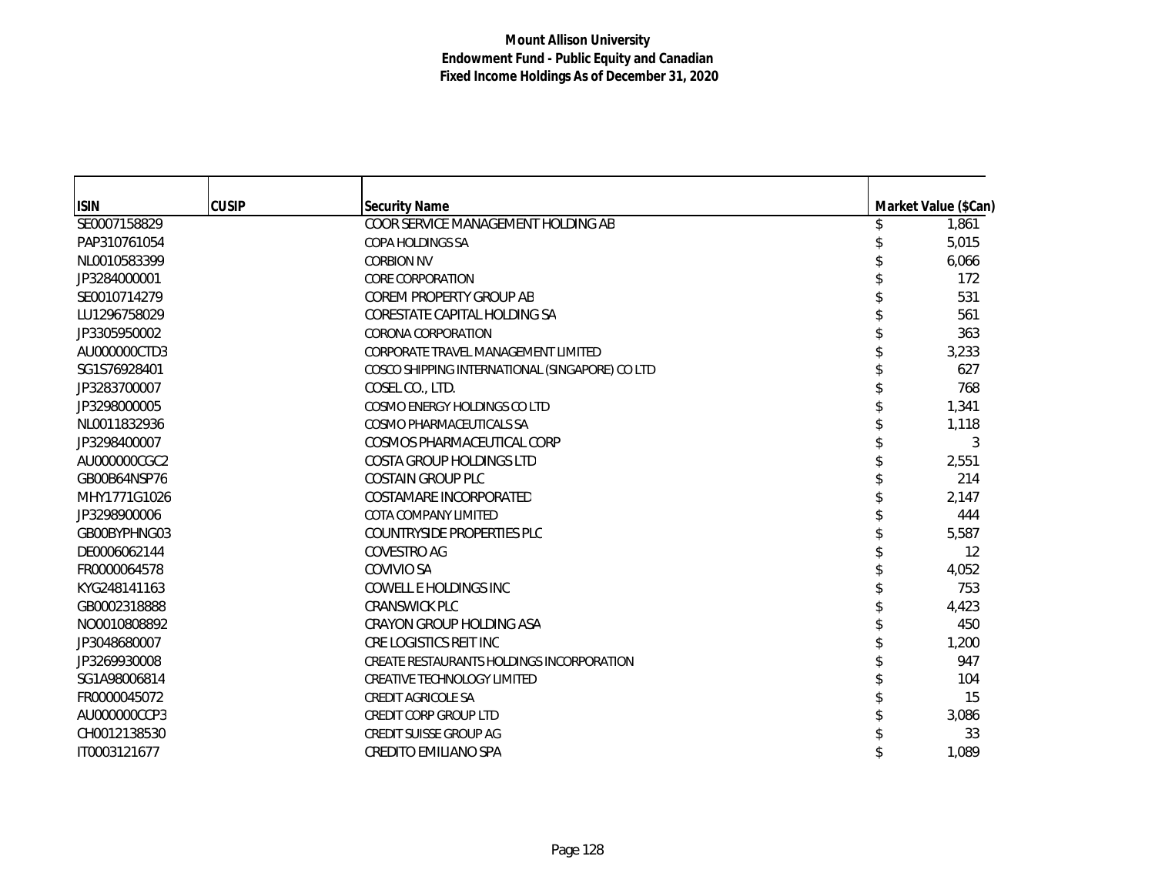| <b>ISIN</b>  | <b>CUSIP</b> | <b>Security Name</b>                            | Market Value (\$Can) |
|--------------|--------------|-------------------------------------------------|----------------------|
| SE0007158829 |              | COOR SERVICE MANAGEMENT HOLDING AB              | 1,861                |
| PAP310761054 |              | <b>COPA HOLDINGS SA</b>                         | 5,015                |
| NL0010583399 |              | <b>CORBION NV</b>                               | 6,066                |
| JP3284000001 |              | <b>CORE CORPORATION</b>                         | 172                  |
| SE0010714279 |              | COREM PROPERTY GROUP AB                         | 531                  |
| LU1296758029 |              | CORESTATE CAPITAL HOLDING SA                    | 561                  |
| JP3305950002 |              | CORONA CORPORATION                              | 363                  |
| AU000000CTD3 |              | CORPORATE TRAVEL MANAGEMENT LIMITED             | 3,233                |
| SG1S76928401 |              | COSCO SHIPPING INTERNATIONAL (SINGAPORE) CO LTD | 627                  |
| JP3283700007 |              | COSEL CO., LTD.                                 | 768                  |
| JP3298000005 |              | COSMO ENERGY HOLDINGS CO LTD                    | 1,341                |
| NL0011832936 |              | COSMO PHARMACEUTICALS SA                        | 1,118                |
| JP3298400007 |              | COSMOS PHARMACEUTICAL CORP                      | 3                    |
| AU000000CGC2 |              | <b>COSTA GROUP HOLDINGS LTD</b>                 | 2,551                |
| GB00B64NSP76 |              | <b>COSTAIN GROUP PLC</b>                        | 214                  |
| MHY1771G1026 |              | COSTAMARE INCORPORATED                          | 2,147                |
| JP3298900006 |              | COTA COMPANY LIMITED                            | 444                  |
| GB00BYPHNG03 |              | COUNTRYSIDE PROPERTIES PLC                      | 5,587                |
| DE0006062144 |              | COVESTRO AG                                     | 12                   |
| FR0000064578 |              | COVIVIO SA                                      | 4,052                |
| KYG248141163 |              | COWELL E HOLDINGS INC                           | 753                  |
| GB0002318888 |              | <b>CRANSWICK PLC</b>                            | 4,423                |
| NO0010808892 |              | CRAYON GROUP HOLDING ASA                        | 450                  |
| JP3048680007 |              | CRE LOGISTICS REIT INC                          | 1,200                |
| JP3269930008 |              | CREATE RESTAURANTS HOLDINGS INCORPORATION       | 947                  |
| SG1A98006814 |              | <b>CREATIVE TECHNOLOGY LIMITED</b>              | 104                  |
| FR0000045072 |              | <b>CREDIT AGRICOLE SA</b>                       | 15                   |
| AU000000CCP3 |              | <b>CREDIT CORP GROUP LTD</b>                    | 3,086                |
| CH0012138530 |              | CREDIT SUISSE GROUP AG                          | 33                   |
| IT0003121677 |              | <b>CREDITO EMILIANO SPA</b>                     | 1,089                |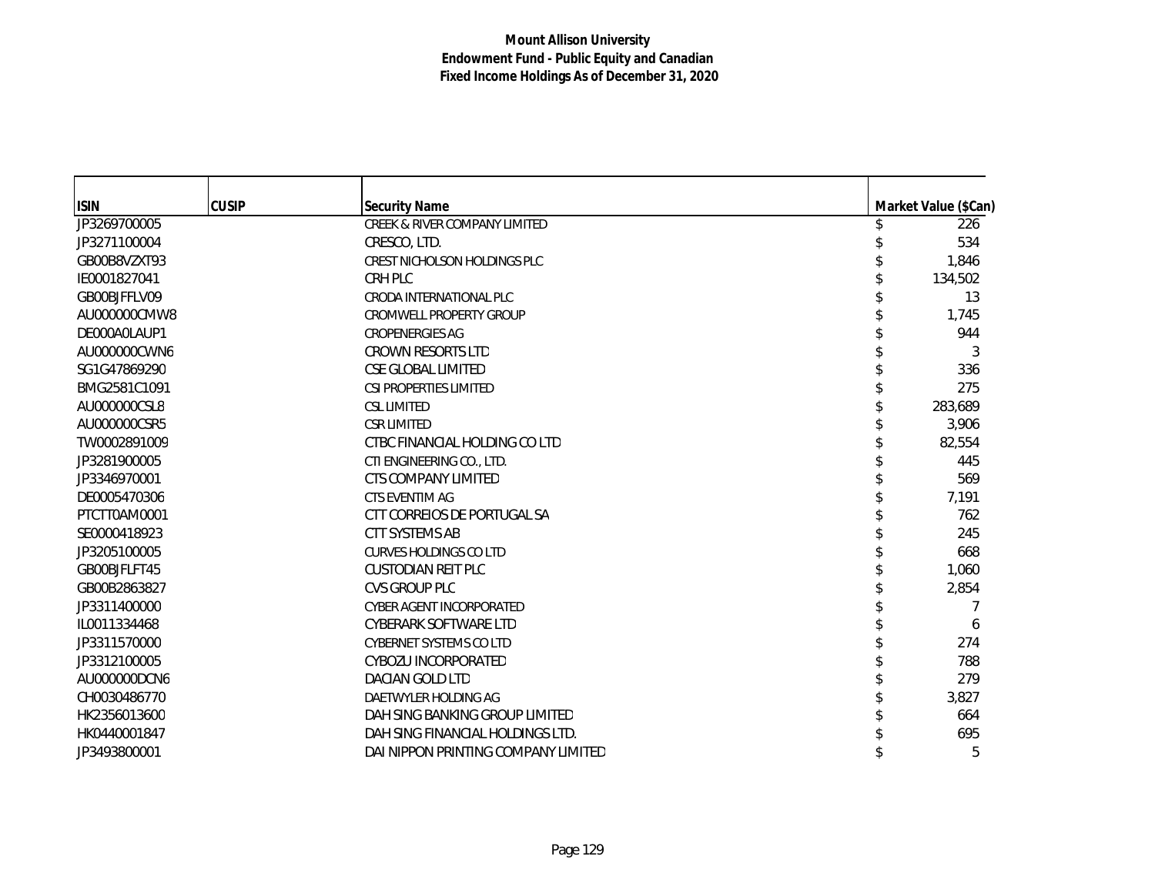| <b>ISIN</b>  | <b>CUSIP</b> | <b>Security Name</b>                     | Market Value (\$Can) |
|--------------|--------------|------------------------------------------|----------------------|
| JP3269700005 |              | <b>CREEK &amp; RIVER COMPANY LIMITED</b> | 226                  |
| JP3271100004 |              | CRESCO, LTD.                             | 534                  |
| GB00B8VZXT93 |              | <b>CREST NICHOLSON HOLDINGS PLC</b>      | 1,846                |
| IE0001827041 |              | CRH PLC                                  | 134,502              |
| GB00BJFFLV09 |              | CRODA INTERNATIONAL PLC                  | 13                   |
| AU000000CMW8 |              | <b>CROMWELL PROPERTY GROUP</b>           | 1,745                |
| DE000A0LAUP1 |              | <b>CROPENERGIES AG</b>                   | 944                  |
| AU000000CWN6 |              | <b>CROWN RESORTS LTD</b>                 | 3                    |
| SG1G47869290 |              | <b>CSE GLOBAL LIMITED</b>                | 336                  |
| BMG2581C1091 |              | <b>CSI PROPERTIES LIMITED</b>            | 275                  |
| AU000000CSL8 |              | <b>CSL LIMITED</b>                       | 283,689              |
| AU000000CSR5 |              | <b>CSR LIMITED</b>                       | 3,906                |
| TW0002891009 |              | CTBC FINANCIAL HOLDING CO LTD            | 82,554               |
| JP3281900005 |              | CTI ENGINEERING CO., LTD.                | 445                  |
| JP3346970001 |              | CTS COMPANY LIMITED                      | 569                  |
| DE0005470306 |              | <b>CTS EVENTIM AG</b>                    | 7,191                |
| PTCTT0AM0001 |              | CTT CORREIOS DE PORTUGAL SA              | 762                  |
| SE0000418923 |              | CTT SYSTEMS AB                           | 245                  |
| JP3205100005 |              | <b>CURVES HOLDINGS CO LTD</b>            | 668                  |
| GB00BJFLFT45 |              | <b>CUSTODIAN REIT PLC</b>                | 1,060                |
| GB00B2863827 |              | <b>CVS GROUP PLC</b>                     | 2,854                |
| JP3311400000 |              | <b>CYBER AGENT INCORPORATED</b>          |                      |
| IL0011334468 |              | CYBERARK SOFTWARE LTD                    | 6                    |
| JP3311570000 |              | <b>CYBERNET SYSTEMS CO LTD</b>           | 274                  |
| JP3312100005 |              | CYBOZU INCORPORATED                      | 788                  |
| AU000000DCN6 |              | DACIAN GOLD LTD                          | 279                  |
| CH0030486770 |              | DAETWYLER HOLDING AG                     | 3,827                |
| HK2356013600 |              | DAH SING BANKING GROUP LIMITED           | 664                  |
| HK0440001847 |              | DAH SING FINANCIAL HOLDINGS LTD.         | 695                  |
| JP3493800001 |              | DAI NIPPON PRINTING COMPANY LIMITED      | 5                    |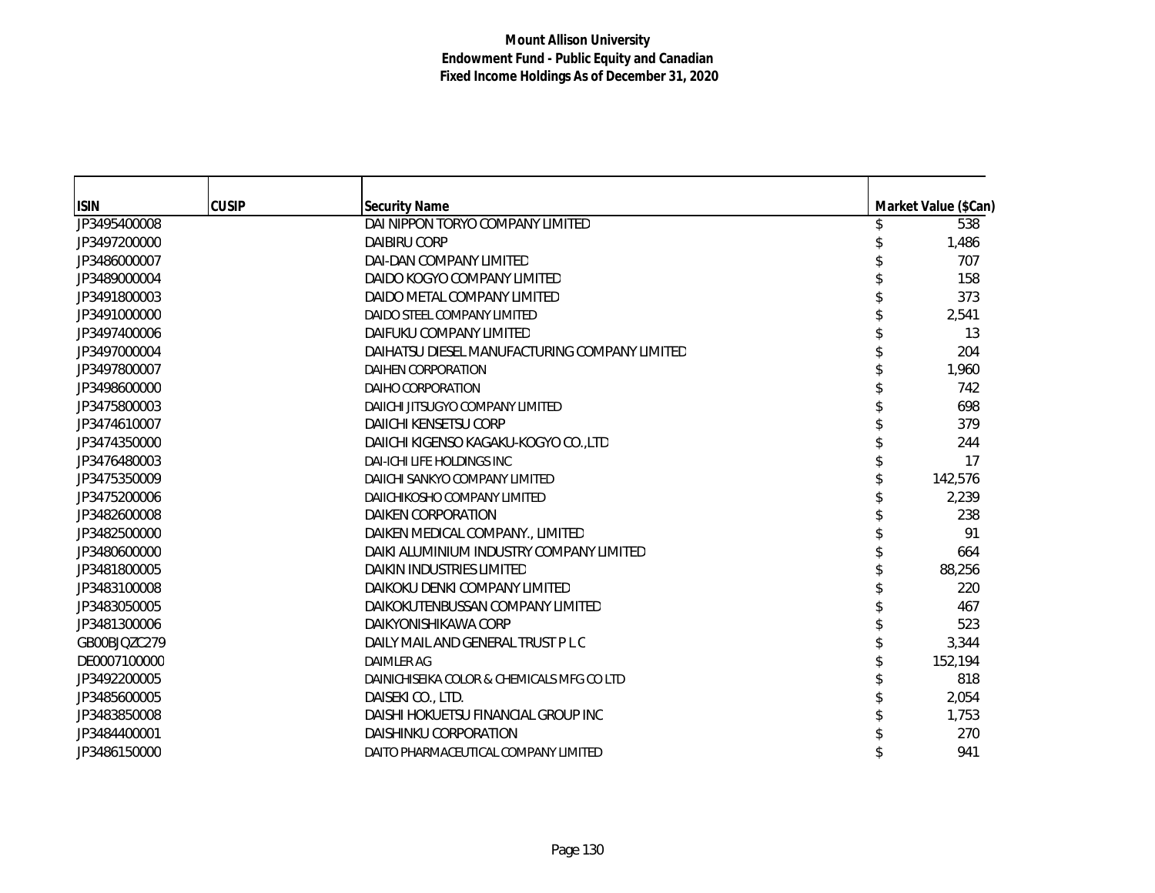| <b>ISIN</b>  | <b>CUSIP</b> | <b>Security Name</b>                          | Market Value (\$Can) |
|--------------|--------------|-----------------------------------------------|----------------------|
| JP3495400008 |              | DAI NIPPON TORYO COMPANY LIMITED              | 538                  |
| JP3497200000 |              | <b>DAIBIRU CORP</b>                           | 1,486                |
| JP3486000007 |              | DAI-DAN COMPANY LIMITED                       | 707                  |
| JP3489000004 |              | DAIDO KOGYO COMPANY LIMITED                   | 158                  |
| JP3491800003 |              | DAIDO METAL COMPANY LIMITED                   | 373                  |
| JP3491000000 |              | DAIDO STEEL COMPANY LIMITED                   | 2,541                |
| JP3497400006 |              | DAIFUKU COMPANY LIMITED                       | 13                   |
| JP3497000004 |              | DAIHATSU DIESEL MANUFACTURING COMPANY LIMITED | 204                  |
| JP3497800007 |              | DAIHEN CORPORATION                            | 1,960                |
| JP3498600000 |              | DAIHO CORPORATION                             | 742                  |
| JP3475800003 |              | DAIICHI JITSUGYO COMPANY LIMITED              | 698                  |
| JP3474610007 |              | DAIICHI KENSETSU CORP                         | 379                  |
| JP3474350000 |              | DAIICHI KIGENSO KAGAKU-KOGYO CO.,LTD          | 244                  |
| JP3476480003 |              | DAI-ICHI LIFE HOLDINGS INC                    | 17                   |
| JP3475350009 |              | DAIICHI SANKYO COMPANY LIMITED                | 142,576              |
| JP3475200006 |              | DAIICHIKOSHO COMPANY LIMITED                  | 2,239                |
| JP3482600008 |              | DAIKEN CORPORATION                            | 238                  |
| JP3482500000 |              | DAIKEN MEDICAL COMPANY., LIMITED              | 91                   |
| JP3480600000 |              | DAIKI ALUMINIUM INDUSTRY COMPANY LIMITED      | 664                  |
| JP3481800005 |              | <b>DAIKIN INDUSTRIES LIMITED</b>              | 88,256               |
| JP3483100008 |              | DAIKOKU DENKI COMPANY LIMITED                 | 220                  |
| JP3483050005 |              | DAIKOKUTENBUSSAN COMPANY LIMITED              | 467                  |
| JP3481300006 |              | DAIKYONISHIKAWA CORP                          | 523                  |
| GB00BJQZC279 |              | DAILY MAIL AND GENERAL TRUST P L C            | 3,344                |
| DE0007100000 |              | <b>DAIMLER AG</b>                             | 152,194              |
| JP3492200005 |              | DAINICHISEIKA COLOR & CHEMICALS MFG CO LTD    | 818                  |
| JP3485600005 |              | DAISEKI CO., LTD.                             | 2,054                |
| JP3483850008 |              | DAISHI HOKUETSU FINANCIAL GROUP INC           | 1,753                |
| JP3484400001 |              | DAISHINKU CORPORATION                         | 270                  |
| JP3486150000 |              | DAITO PHARMACEUTICAL COMPANY LIMITED          | 941                  |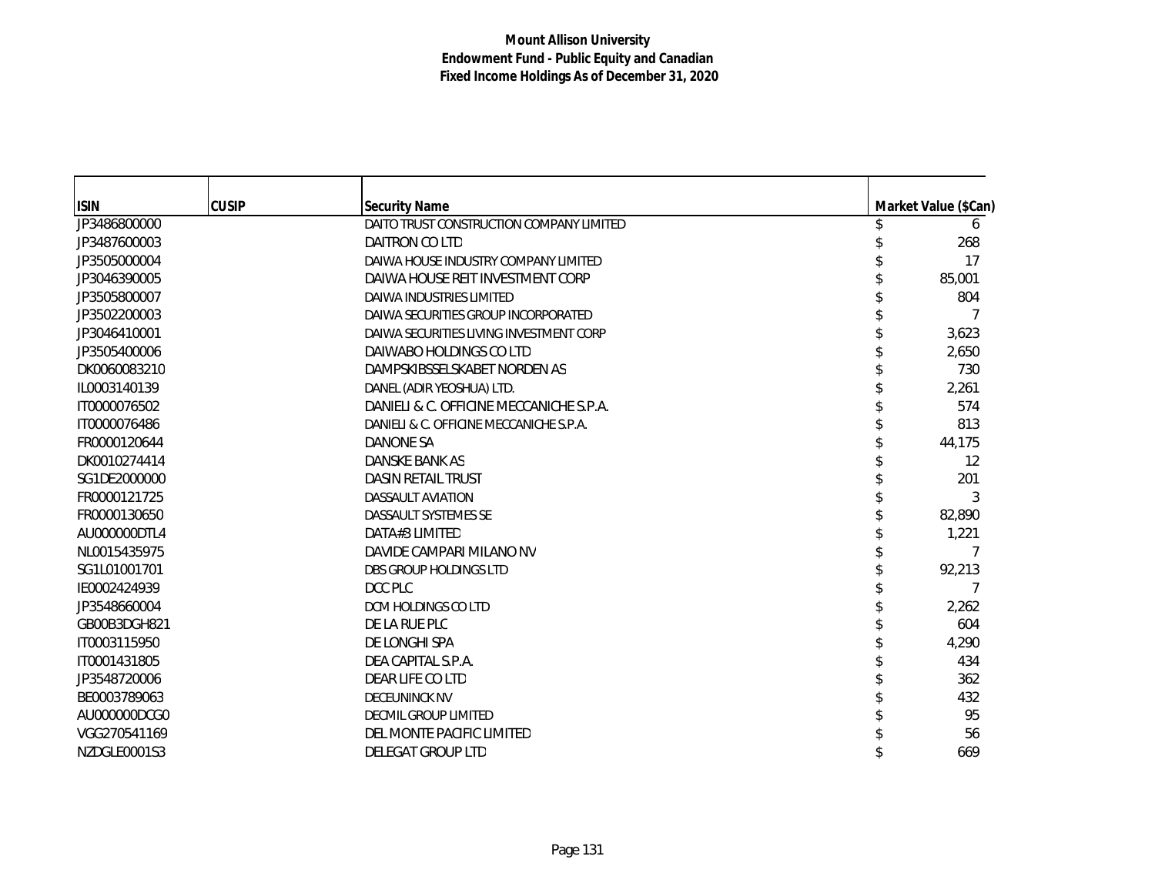| <b>ISIN</b><br>JP3486800000 | <b>CUSIP</b> | <b>Security Name</b><br>DAITO TRUST CONSTRUCTION COMPANY LIMITED | Market Value (\$Can) |
|-----------------------------|--------------|------------------------------------------------------------------|----------------------|
|                             |              | DAITRON CO LTD                                                   | 268                  |
| JP3487600003                |              |                                                                  |                      |
| JP3505000004                |              | DAIWA HOUSE INDUSTRY COMPANY LIMITED                             | 17                   |
| JP3046390005                |              | DAIWA HOUSE REIT INVESTMENT CORP                                 | 85,001               |
| JP3505800007                |              | DAIWA INDUSTRIES LIMITED                                         | 804                  |
| JP3502200003                |              | DAIWA SECURITIES GROUP INCORPORATED                              |                      |
| JP3046410001                |              | DAIWA SECURITIES LIVING INVESTMENT CORP                          | 3,623                |
| JP3505400006                |              | DAIWABO HOLDINGS CO LTD                                          | 2,650                |
| DK0060083210                |              | DAMPSKIBSSELSKABET NORDEN AS                                     | 730                  |
| IL0003140139                |              | DANEL (ADIR YEOSHUA) LTD.                                        | 2,261                |
| IT0000076502                |              | DANIELI & C. OFFICINE MECCANICHE S.P.A.                          | 574                  |
| IT0000076486                |              | DANIELI & C. OFFICINE MECCANICHE S.P.A.                          | 813                  |
| FR0000120644                |              | <b>DANONE SA</b>                                                 | 44,175               |
| DK0010274414                |              | DANSKE BANK AS                                                   | 12                   |
| SG1DE2000000                |              | <b>DASIN RETAIL TRUST</b>                                        | 201                  |
| FR0000121725                |              | <b>DASSAULT AVIATION</b>                                         | 3                    |
| FR0000130650                |              | DASSAULT SYSTEMES SE                                             | 82,890               |
| AU000000DTL4                |              | DATA#3 LIMITED                                                   | 1,221                |
| NL0015435975                |              | DAVIDE CAMPARI MILANO NV                                         |                      |
| SG1L01001701                |              | <b>DBS GROUP HOLDINGS LTD</b>                                    | 92,213               |
| IE0002424939                |              | DCC PLC                                                          |                      |
| JP3548660004                |              | DCM HOLDINGS CO LTD                                              | 2,262                |
| GB00B3DGH821                |              | DE LA RUE PLC                                                    | 604                  |
| IT0003115950                |              | DE LONGHI SPA                                                    | 4,290                |
| IT0001431805                |              | DEA CAPITAL S.P.A.                                               | 434                  |
| JP3548720006                |              | DEAR LIFE CO LTD                                                 | 362                  |
| BE0003789063                |              | <b>DECEUNINCK NV</b>                                             | 432                  |
| AU000000DCG0                |              | <b>DECMIL GROUP LIMITED</b>                                      | 95                   |
| VGG270541169                |              | DEL MONTE PACIFIC LIMITED                                        | 56                   |
| NZDGLE0001S3                |              | <b>DELEGAT GROUP LTD</b>                                         | 669                  |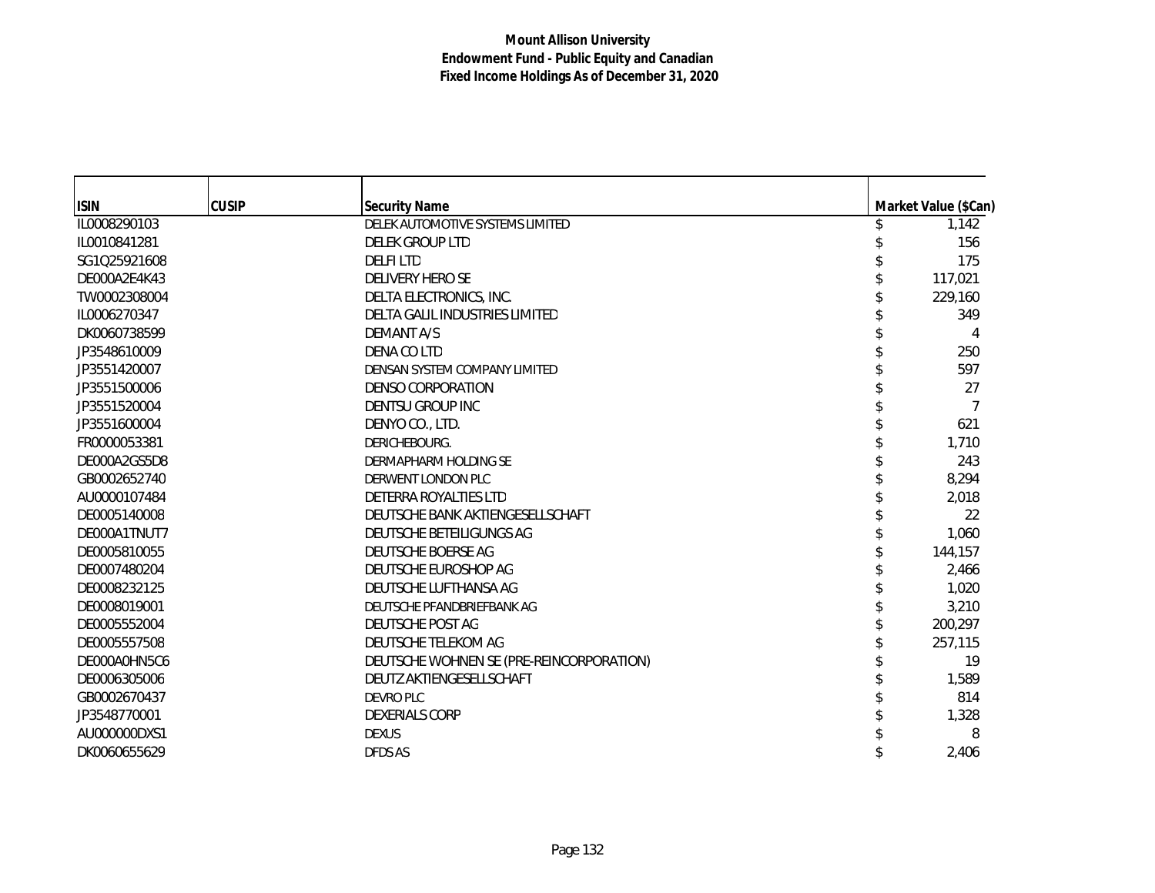| <b>ISIN</b>  | <b>CUSIP</b> | <b>Security Name</b>                     | Market Value (\$Can) |
|--------------|--------------|------------------------------------------|----------------------|
| IL0008290103 |              | DELEK AUTOMOTIVE SYSTEMS LIMITED         | 1,142                |
| IL0010841281 |              | <b>DELEK GROUP LTD</b>                   | 156                  |
| SG1Q25921608 |              | <b>DELFILTD</b>                          | 175                  |
| DE000A2E4K43 |              | <b>DELIVERY HERO SE</b>                  | 117,021              |
| TW0002308004 |              | DELTA ELECTRONICS, INC.                  | 229,160              |
| IL0006270347 |              | DELTA GALIL INDUSTRIES LIMITED           | 349                  |
| DK0060738599 |              | <b>DEMANT A/S</b>                        |                      |
| JP3548610009 |              | DENA CO LTD                              | 250                  |
| JP3551420007 |              | DENSAN SYSTEM COMPANY LIMITED            | 597                  |
| JP3551500006 |              | DENSO CORPORATION                        | 27                   |
| JP3551520004 |              | DENTSU GROUP INC                         |                      |
| JP3551600004 |              | DENYO CO., LTD.                          | 621                  |
| FR0000053381 |              | DERICHEBOURG.                            | 1,710                |
| DE000A2GS5D8 |              | DERMAPHARM HOLDING SE                    | 243                  |
| GB0002652740 |              | DERWENT LONDON PLC                       | 8,294                |
| AU0000107484 |              | DETERRA ROYALTIES LTD                    | 2,018                |
| DE0005140008 |              | DEUTSCHE BANK AKTIENGESELLSCHAFT         | 22                   |
| DE000A1TNUT7 |              | DEUTSCHE BETEILIGUNGS AG                 | 1,060                |
| DE0005810055 |              | DEUTSCHE BOERSE AG                       | 144,157              |
| DE0007480204 |              | DEUTSCHE EUROSHOP AG                     | 2,466                |
| DE0008232125 |              | DEUTSCHE LUFTHANSA AG                    | 1,020                |
| DE0008019001 |              | DEUTSCHE PFANDBRIEFBANK AG               | 3,210                |
| DE0005552004 |              | DEUTSCHE POST AG                         | 200,297              |
| DE0005557508 |              | DEUTSCHE TELEKOM AG                      | 257,115              |
| DE000A0HN5C6 |              | DEUTSCHE WOHNEN SE (PRE-REINCORPORATION) | 19                   |
| DE0006305006 |              | DEUTZ AKTIENGESELLSCHAFT                 | 1,589                |
| GB0002670437 |              | <b>DEVRO PLC</b>                         | 814                  |
| JP3548770001 |              | <b>DEXERIALS CORP</b>                    | 1,328                |
| AU000000DXS1 |              | <b>DEXUS</b>                             | 8                    |
| DK0060655629 |              | <b>DFDS AS</b>                           | 2,406                |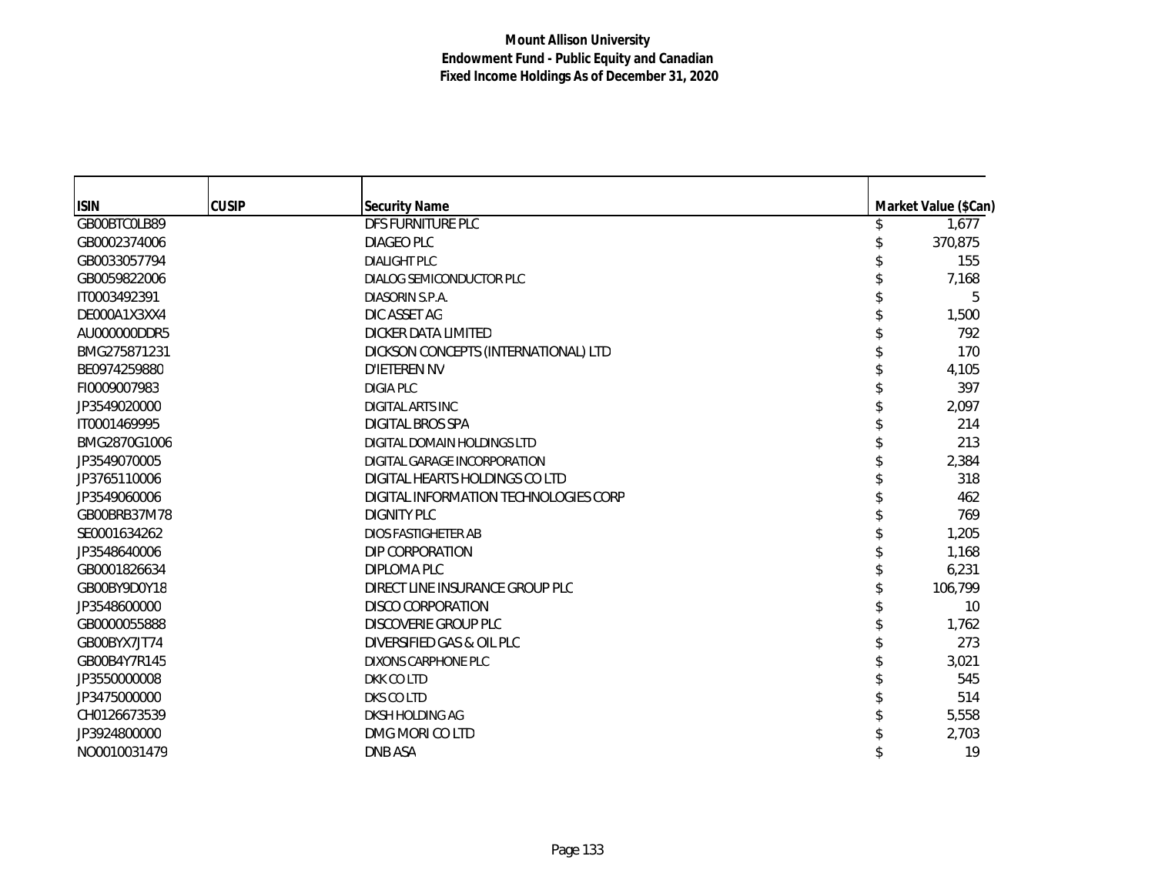| <b>ISIN</b>  | <b>CUSIP</b> | <b>Security Name</b>                  | Market Value (\$Can) |
|--------------|--------------|---------------------------------------|----------------------|
| GB00BTC0LB89 |              | DFS FURNITURE PLC                     | 1,677                |
| GB0002374006 |              | DIAGEO PLC                            | 370,875              |
| GB0033057794 |              | <b>DIALIGHT PLC</b>                   | 155                  |
| GB0059822006 |              | DIALOG SEMICONDUCTOR PLC              | 7,168                |
| IT0003492391 |              | DIASORIN S.P.A.                       | 5                    |
| DE000A1X3XX4 |              | DIC ASSET AG                          | 1,500                |
| AU000000DDR5 |              | DICKER DATA LIMITED                   | 792                  |
| BMG275871231 |              | DICKSON CONCEPTS (INTERNATIONAL) LTD  | 170                  |
| BE0974259880 |              | D'IETEREN NV                          | 4,105                |
| FI0009007983 |              | DIGIA PLC                             | 397                  |
| JP3549020000 |              | <b>DIGITAL ARTS INC</b>               | 2.097                |
| IT0001469995 |              | DIGITAL BROS SPA                      | 214                  |
| BMG2870G1006 |              | DIGITAL DOMAIN HOLDINGS LTD           | 213                  |
| JP3549070005 |              | DIGITAL GARAGE INCORPORATION          | 2,384                |
| JP3765110006 |              | DIGITAL HEARTS HOLDINGS CO LTD        | 318                  |
| JP3549060006 |              | DIGITAL INFORMATION TECHNOLOGIES CORP | 462                  |
| GB00BRB37M78 |              | <b>DIGNITY PLC</b>                    | 769                  |
| SE0001634262 |              | <b>DIOS FASTIGHETER AB</b>            | 1,205                |
| JP3548640006 |              | DIP CORPORATION                       | 1,168                |
| GB0001826634 |              | DIPLOMA PLC                           | 6,231                |
| GB00BY9D0Y18 |              | DIRECT LINE INSURANCE GROUP PLC       | 106,799              |
| JP3548600000 |              | <b>DISCO CORPORATION</b>              | 10                   |
| GB0000055888 |              | <b>DISCOVERIE GROUP PLC</b>           | 1,762                |
| GB00BYX7JT74 |              | DIVERSIFIED GAS & OIL PLC             | 273                  |
| GB00B4Y7R145 |              | DIXONS CARPHONE PLC                   | 3,021                |
| JP3550000008 |              | DKK CO LTD                            | 545                  |
| JP3475000000 |              | DKS CO LTD                            | 514                  |
| CH0126673539 |              | DKSH HOLDING AG                       | 5,558                |
| JP3924800000 |              | DMG MORI CO LTD                       | 2,703                |
| NO0010031479 |              | <b>DNB ASA</b>                        | 19                   |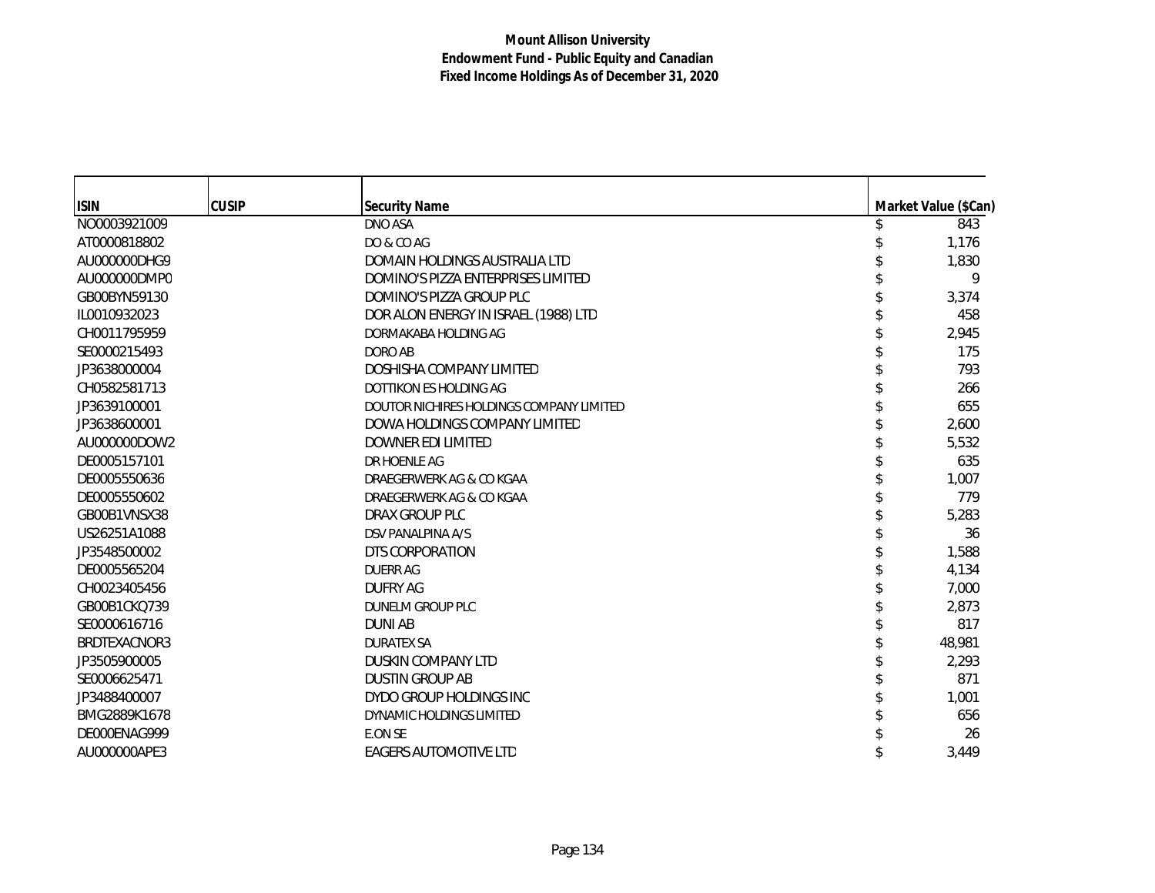| <b>ISIN</b>  | <b>CUSIP</b> | Security Name                            | Market Value (\$Can) |
|--------------|--------------|------------------------------------------|----------------------|
| NO0003921009 |              | DNO ASA                                  | 843                  |
| AT0000818802 |              | DO & CO AG                               | 1,176                |
| AU000000DHG9 |              | DOMAIN HOLDINGS AUSTRALIA LTD            | 1,830                |
| AU000000DMP0 |              | DOMINO'S PIZZA ENTERPRISES LIMITED       | 9                    |
| GB00BYN59130 |              | DOMINO'S PIZZA GROUP PLC                 | 3,374                |
| IL0010932023 |              | DOR ALON ENERGY IN ISRAEL (1988) LTD     | 458                  |
| CH0011795959 |              | DORMAKABA HOLDING AG                     | 2,945                |
| SE0000215493 |              | DORO AB                                  | 175                  |
| JP3638000004 |              | DOSHISHA COMPANY LIMITED                 | 793                  |
| CH0582581713 |              | DOTTIKON ES HOLDING AG                   | 266                  |
| JP3639100001 |              | DOUTOR NICHIRES HOLDINGS COMPANY LIMITED | 655                  |
| JP3638600001 |              | DOWA HOLDINGS COMPANY LIMITED            | 2,600                |
| AU000000DOW2 |              | DOWNER EDI LIMITED                       | 5,532                |
| DE0005157101 |              | DR HOENLE AG                             | 635                  |
| DE0005550636 |              | DRAEGERWERK AG & CO KGAA                 | 1,007                |
| DE0005550602 |              | DRAEGERWERK AG & CO KGAA                 | 779                  |
| GB00B1VNSX38 |              | DRAX GROUP PLC                           | 5,283                |
| US26251A1088 |              | DSV PANALPINA A/S                        | 36                   |
| JP3548500002 |              | DTS CORPORATION                          | 1,588                |
| DE0005565204 |              | <b>DUERR AG</b>                          | 4,134                |
| CH0023405456 |              | <b>DUFRY AG</b>                          | 7,000                |
| GB00B1CKQ739 |              | DUNELM GROUP PLC                         | 2,873                |
| SE0000616716 |              | <b>DUNI AB</b>                           | 817                  |
| BRDTEXACNOR3 |              | <b>DURATEX SA</b>                        | 48,981               |
| JP3505900005 |              | <b>DUSKIN COMPANY LTD</b>                | 2,293                |
| SE0006625471 |              | <b>DUSTIN GROUP AB</b>                   | 871                  |
| JP3488400007 |              | DYDO GROUP HOLDINGS INC                  | 1,001                |
| BMG2889K1678 |              | DYNAMIC HOLDINGS LIMITED                 | 656                  |
| DE000ENAG999 |              | E.ON SE                                  | 26                   |
| AU000000APE3 |              | <b>EAGERS AUTOMOTIVE LTD</b>             | 3,449                |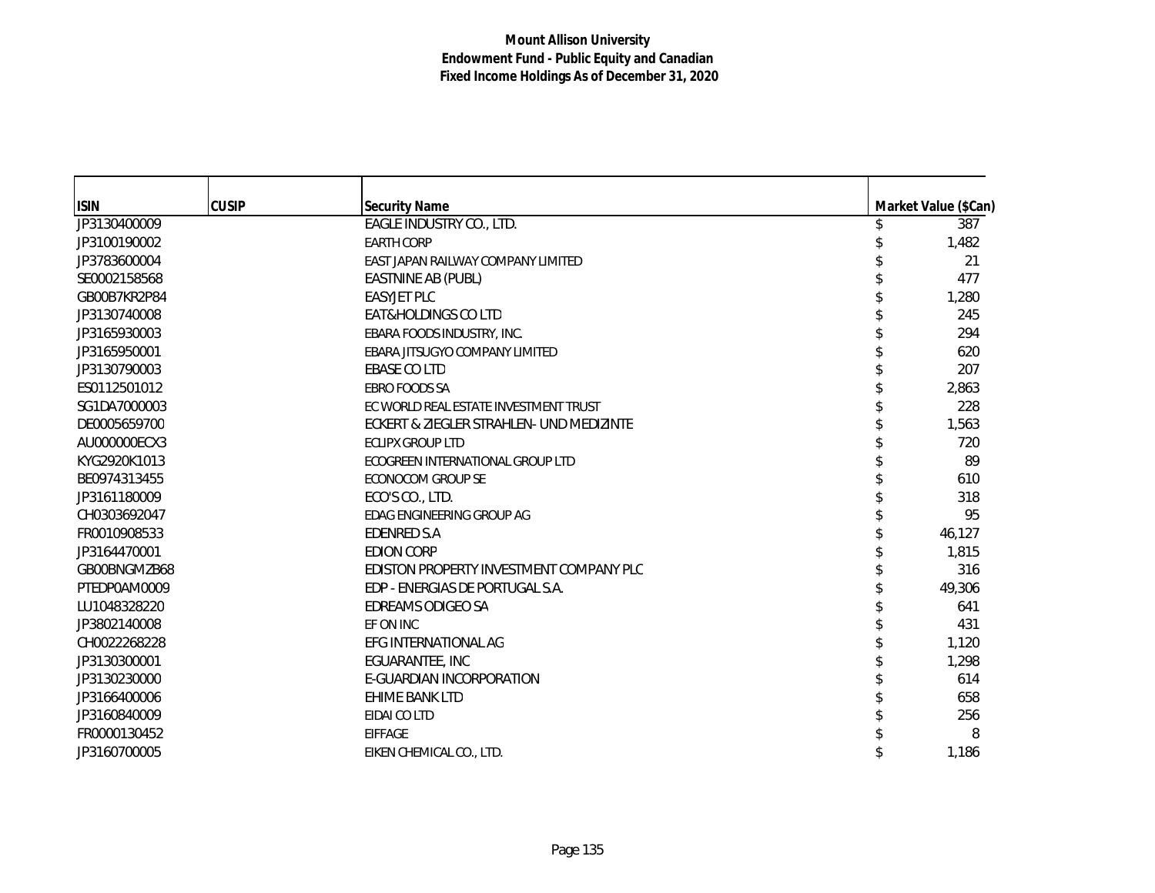| <b>ISIN</b>  | <b>CUSIP</b> | <b>Security Name</b>                     | Market Value (\$Can) |
|--------------|--------------|------------------------------------------|----------------------|
| JP3130400009 |              | EAGLE INDUSTRY CO., LTD.                 | 387                  |
| JP3100190002 |              | <b>EARTH CORP</b>                        | 1,482                |
| JP3783600004 |              | EAST JAPAN RAILWAY COMPANY LIMITED       | 21                   |
| SE0002158568 |              | EASTNINE AB (PUBL)                       | 477                  |
| GB00B7KR2P84 |              | <b>EASYJET PLC</b>                       | 1,280                |
| JP3130740008 |              | EAT&HOLDINGS CO LTD                      | 245                  |
| JP3165930003 |              | EBARA FOODS INDUSTRY, INC.               | 294                  |
| JP3165950001 |              | EBARA JITSUGYO COMPANY LIMITED           | 620                  |
| JP3130790003 |              | <b>EBASE CO LTD</b>                      | 207                  |
| ES0112501012 |              | <b>EBRO FOODS SA</b>                     | 2,863                |
| SG1DA7000003 |              | EC WORLD REAL ESTATE INVESTMENT TRUST    | 228                  |
| DE0005659700 |              | ECKERT & ZIEGLER STRAHLEN- UND MEDIZINTE | 1,563                |
| AU000000ECX3 |              | <b>ECLIPX GROUP LTD</b>                  | 720                  |
| KYG2920K1013 |              | ECOGREEN INTERNATIONAL GROUP LTD         | 89                   |
| BE0974313455 |              | <b>ECONOCOM GROUP SE</b>                 | 610                  |
| JP3161180009 |              | ECO'S CO., LTD.                          | 318                  |
| CH0303692047 |              | EDAG ENGINEERING GROUP AG                | 95                   |
| FR0010908533 |              | <b>EDENRED S.A</b>                       | 46,127               |
| JP3164470001 |              | <b>EDION CORP</b>                        | 1,815                |
| GB00BNGMZB68 |              | EDISTON PROPERTY INVESTMENT COMPANY PLC  | 316                  |
| PTEDP0AM0009 |              | EDP - ENERGIAS DE PORTUGAL S.A.          | 49,306               |
| LU1048328220 |              | <b>EDREAMS ODIGEO SA</b>                 | 641                  |
| JP3802140008 |              | EF ON INC                                | 431                  |
| CH0022268228 |              | EFG INTERNATIONAL AG                     | 1,120                |
| JP3130300001 |              | EGUARANTEE, INC                          | 1,298                |
| JP3130230000 |              | E-GUARDIAN INCORPORATION                 | 614                  |
| JP3166400006 |              | <b>EHIME BANK LTD</b>                    | 658                  |
| JP3160840009 |              | EIDAI CO LTD                             | 256                  |
| FR0000130452 |              | <b>EIFFAGE</b>                           | 8                    |
| JP3160700005 |              | EIKEN CHEMICAL CO., LTD.                 | 1,186                |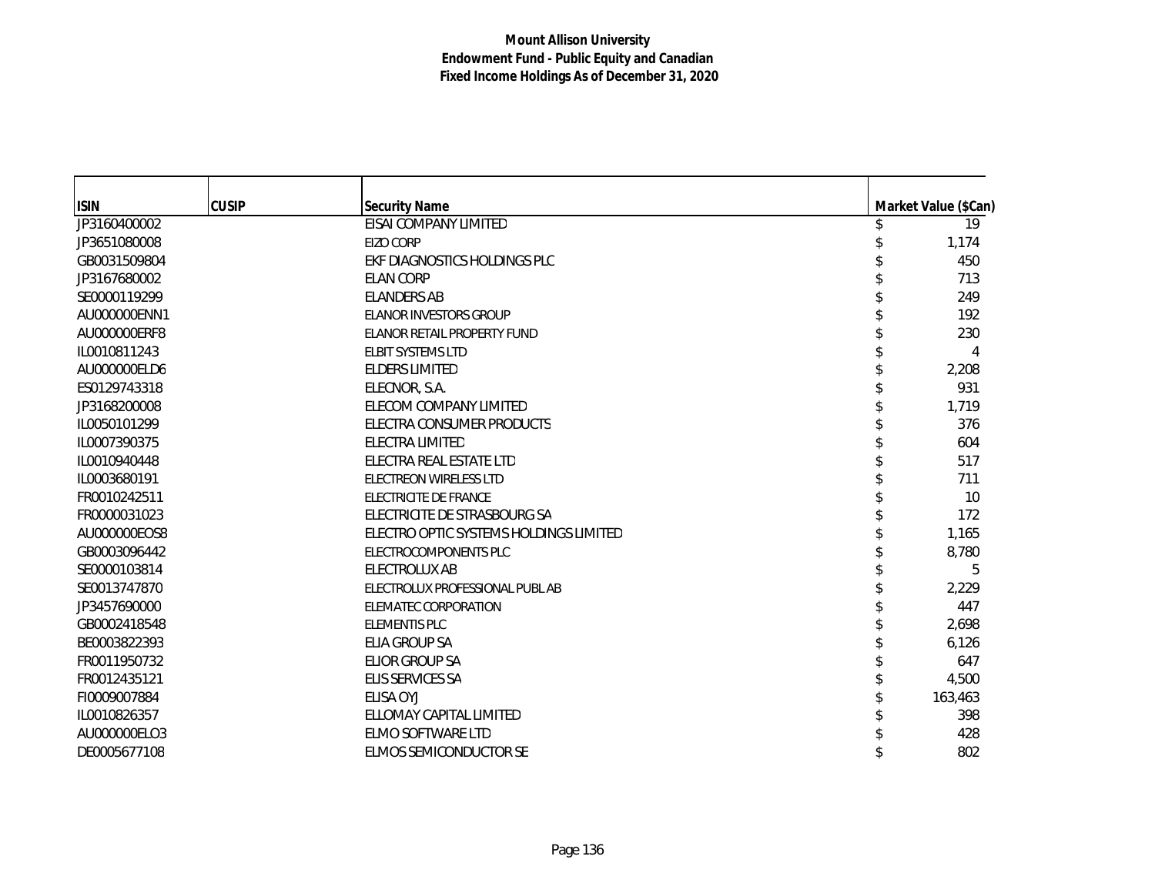| <b>ISIN</b>  | <b>CUSIP</b> | <b>Security Name</b>                   | Market Value (\$Can) |
|--------------|--------------|----------------------------------------|----------------------|
| JP3160400002 |              | EISAI COMPANY LIMITED                  | 19                   |
| JP3651080008 |              | EIZO CORP                              | 1,174                |
| GB0031509804 |              | EKF DIAGNOSTICS HOLDINGS PLC           | 450                  |
| JP3167680002 |              | <b>ELAN CORP</b>                       | 713                  |
| SE0000119299 |              | <b>ELANDERS AB</b>                     | 249                  |
| AU000000ENN1 |              | ELANOR INVESTORS GROUP                 | 192                  |
| AU000000ERF8 |              | ELANOR RETAIL PROPERTY FUND            | 230                  |
| IL0010811243 |              | <b>ELBIT SYSTEMS LTD</b>               | 4                    |
| AU000000ELD6 |              | <b>ELDERS LIMITED</b>                  | 2,208                |
| ES0129743318 |              | ELECNOR, S.A.                          | 931                  |
| JP3168200008 |              | ELECOM COMPANY LIMITED                 | 1,719                |
| IL0050101299 |              | ELECTRA CONSUMER PRODUCTS              | 376                  |
| IL0007390375 |              | ELECTRA LIMITED                        | 604                  |
| IL0010940448 |              | ELECTRA REAL ESTATE LTD                | 517                  |
| IL0003680191 |              | ELECTREON WIRELESS LTD                 | 711                  |
| FR0010242511 |              | ELECTRICITE DE FRANCE                  | 10                   |
| FR0000031023 |              | ELECTRICITE DE STRASBOURG SA           | 172                  |
| AU000000EOS8 |              | ELECTRO OPTIC SYSTEMS HOLDINGS LIMITED | 1,165                |
| GB0003096442 |              | ELECTROCOMPONENTS PLC                  | 8,780                |
| SE0000103814 |              | ELECTROLUX AB                          | 5                    |
| SE0013747870 |              | ELECTROLUX PROFESSIONAL PUBL AB        | 2,229                |
| JP3457690000 |              | <b>ELEMATEC CORPORATION</b>            | 447                  |
| GB0002418548 |              | <b>ELEMENTIS PLC</b>                   | 2,698                |
| BE0003822393 |              | ELIA GROUP SA                          | 6,126                |
| FR0011950732 |              | ELIOR GROUP SA                         | 647                  |
| FR0012435121 |              | ELIS SERVICES SA                       | 4,500                |
| FI0009007884 |              | ELISA OYJ                              | 163,463              |
| IL0010826357 |              | ELLOMAY CAPITAL LIMITED                | 398                  |
| AU000000ELO3 |              | ELMO SOFTWARE LTD                      | 428                  |
| DE0005677108 |              | ELMOS SEMICONDUCTOR SE                 | 802                  |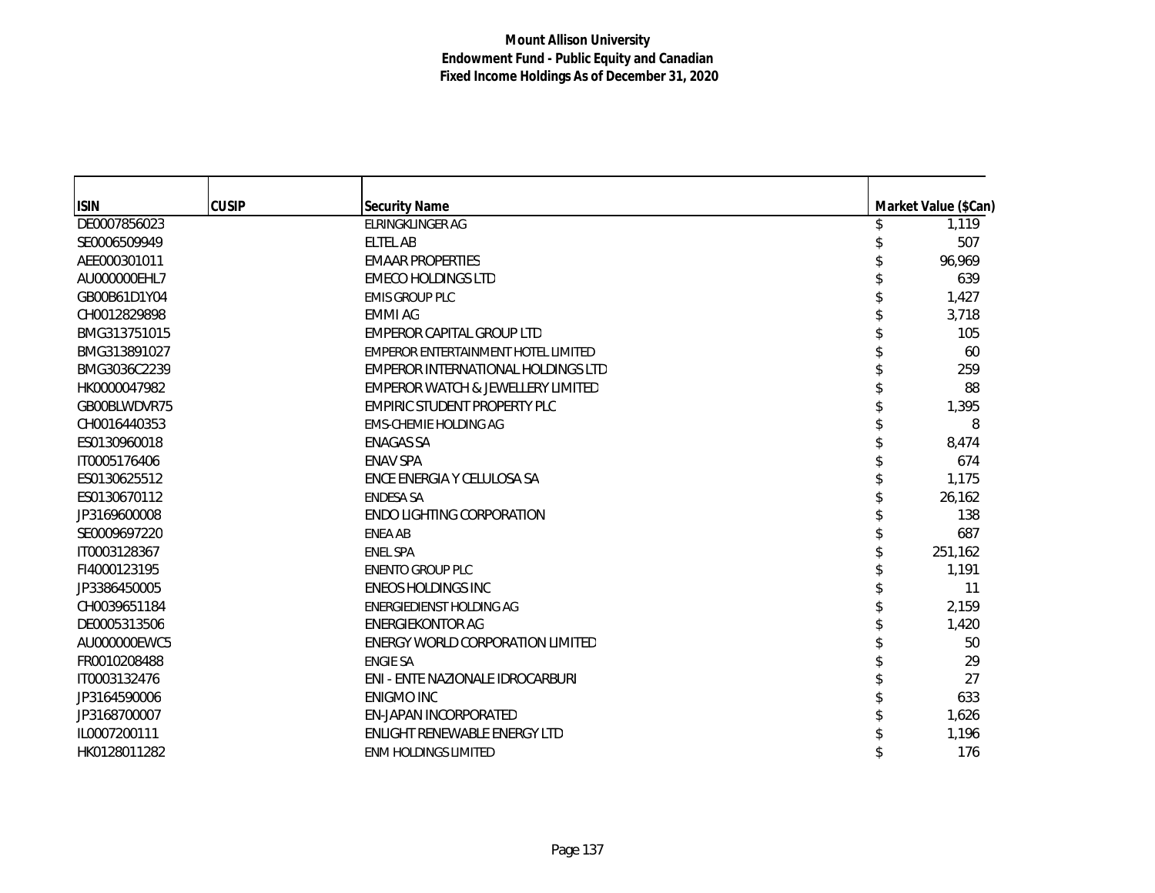| <b>ISIN</b>  | <b>CUSIP</b> | <b>Security Name</b>                | Market Value (\$Can) |
|--------------|--------------|-------------------------------------|----------------------|
| DE0007856023 |              | <b>ELRINGKLINGER AG</b>             | 1,119                |
| SE0006509949 |              | ELTEL AB                            | 507                  |
| AEE000301011 |              | <b>EMAAR PROPERTIES</b>             | 96,969               |
| AU000000EHL7 |              | <b>EMECO HOLDINGS LTD</b>           | 639                  |
| GB00B61D1Y04 |              | <b>EMIS GROUP PLC</b>               | 1,427                |
| CH0012829898 |              | <b>EMMI AG</b>                      | 3,718                |
| BMG313751015 |              | EMPEROR CAPITAL GROUP LTD           | 105                  |
| BMG313891027 |              | EMPEROR ENTERTAINMENT HOTEL LIMITED | 60                   |
| BMG3036C2239 |              | EMPEROR INTERNATIONAL HOLDINGS LTD  | 259                  |
| HK0000047982 |              | EMPEROR WATCH & JEWELLERY LIMITED   | 88                   |
| GB00BLWDVR75 |              | EMPIRIC STUDENT PROPERTY PLC        | 1,395                |
| CH0016440353 |              | <b>EMS-CHEMIE HOLDING AG</b>        | 8                    |
| ES0130960018 |              | <b>ENAGAS SA</b>                    | 8,474                |
| IT0005176406 |              | <b>ENAV SPA</b>                     | 674                  |
| ES0130625512 |              | ENCE ENERGIA Y CELULOSA SA          | 1,175                |
| ES0130670112 |              | <b>ENDESA SA</b>                    | 26,162               |
| JP3169600008 |              | <b>ENDO LIGHTING CORPORATION</b>    | 138                  |
| SE0009697220 |              | <b>ENEA AB</b>                      | 687                  |
| IT0003128367 |              | <b>ENEL SPA</b>                     | 251,162              |
| FI4000123195 |              | <b>ENENTO GROUP PLC</b>             | 1,191                |
| JP3386450005 |              | <b>ENEOS HOLDINGS INC</b>           | 11                   |
| CH0039651184 |              | ENERGIEDIENST HOLDING AG            | 2,159                |
| DE0005313506 |              | <b>ENERGIEKONTOR AG</b>             | 1,420                |
| AU000000EWC5 |              | ENERGY WORLD CORPORATION LIMITED    | 50                   |
| FR0010208488 |              | <b>ENGIE SA</b>                     | 29                   |
| IT0003132476 |              | ENI - ENTE NAZIONALE IDROCARBURI    | 27                   |
| JP3164590006 |              | <b>ENIGMO INC</b>                   | 633                  |
| JP3168700007 |              | EN-JAPAN INCORPORATED               | 1,626                |
| IL0007200111 |              | ENLIGHT RENEWABLE ENERGY LTD        | 1,196                |
| HK0128011282 |              | <b>ENM HOLDINGS LIMITED</b>         | 176                  |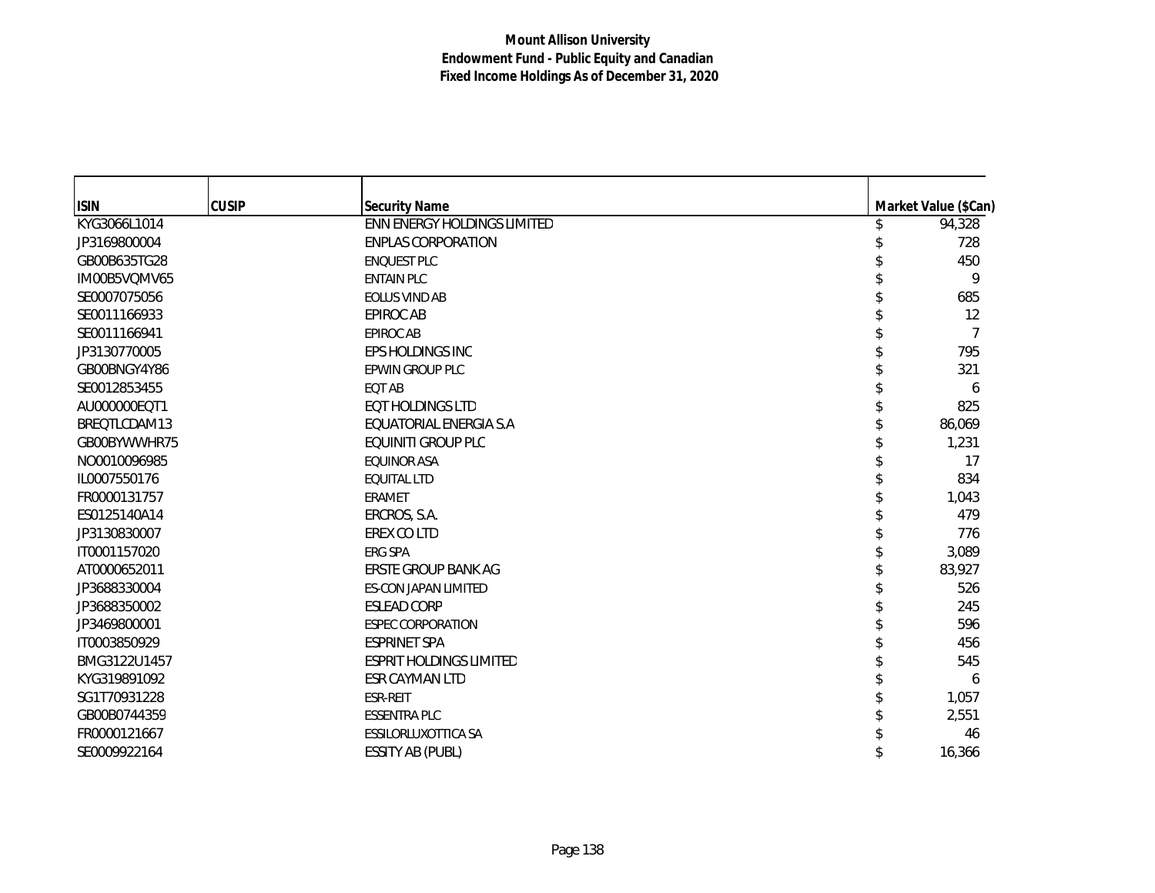| <b>ISIN</b>  | <b>CUSIP</b> | <b>Security Name</b>               | Market Value (\$Can) |
|--------------|--------------|------------------------------------|----------------------|
| KYG3066L1014 |              | <b>ENN ENERGY HOLDINGS LIMITED</b> | 94,328               |
| JP3169800004 |              | <b>ENPLAS CORPORATION</b>          | 728                  |
| GB00B635TG28 |              | <b>ENQUEST PLC</b>                 | 450                  |
| IM00B5VQMV65 |              | <b>ENTAIN PLC</b>                  | 9                    |
| SE0007075056 |              | <b>EOLUS VIND AB</b>               | 685                  |
| SE0011166933 |              | <b>EPIROC AB</b>                   | 12                   |
| SE0011166941 |              | <b>EPIROC AB</b>                   | 7                    |
| JP3130770005 |              | EPS HOLDINGS INC                   | 795                  |
| GB00BNGY4Y86 |              | EPWIN GROUP PLC                    | 321                  |
| SE0012853455 |              | EQT AB                             | 6                    |
| AU000000EQT1 |              | <b>EQT HOLDINGS LTD</b>            | 825                  |
| BREQTLCDAM13 |              | EQUATORIAL ENERGIA S.A             | 86,069               |
| GB00BYWWHR75 |              | <b>EQUINITI GROUP PLC</b>          | 1,231                |
| NO0010096985 |              | <b>EQUINOR ASA</b>                 | 17                   |
| IL0007550176 |              | <b>EOUITAL LTD</b>                 | 834                  |
| FR0000131757 |              | <b>ERAMET</b>                      | 1,043                |
| ES0125140A14 |              | ERCROS, S.A.                       | 479                  |
| JP3130830007 |              | EREX CO LTD                        | 776                  |
| IT0001157020 |              | ERG SPA                            | 3,089                |
| AT0000652011 |              | ERSTE GROUP BANK AG                | 83,927               |
| JP3688330004 |              | <b>ES-CON JAPAN LIMITED</b>        | 526                  |
| JP3688350002 |              | <b>ESLEAD CORP</b>                 | 245                  |
| JP3469800001 |              | <b>ESPEC CORPORATION</b>           | 596                  |
| IT0003850929 |              | <b>ESPRINET SPA</b>                | 456                  |
| BMG3122U1457 |              | <b>ESPRIT HOLDINGS LIMITED</b>     | 545                  |
| KYG319891092 |              | ESR CAYMAN LTD                     | 6                    |
| SG1T70931228 |              | ESR-REIT                           | 1,057                |
| GB00B0744359 |              | <b>ESSENTRA PLC</b>                | 2,551                |
| FR0000121667 |              | ESSILORLUXOTTICA SA                | 46                   |
| SE0009922164 |              | <b>ESSITY AB (PUBL)</b>            | 16,366               |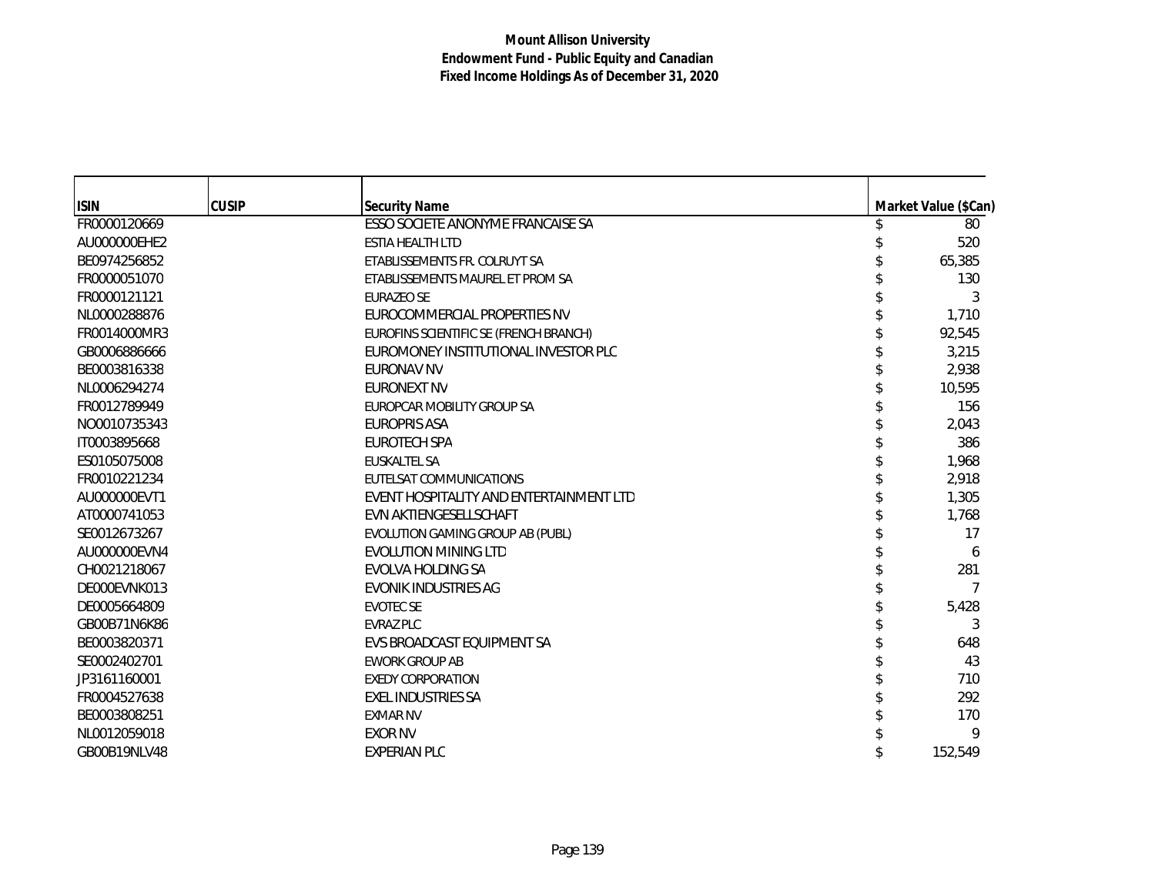| <b>ISIN</b>  | <b>CUSIP</b> | <b>Security Name</b>                    | Market Value (\$Can) |
|--------------|--------------|-----------------------------------------|----------------------|
| FR0000120669 |              | ESSO SOCIETE ANONYME FRANCAISE SA       | 80                   |
| AU000000EHE2 |              | <b>ESTIA HEALTH LTD</b>                 | 520                  |
| BE0974256852 |              | ETABLISSEMENTS FR. COLRUYT SA           | 65,385               |
| FR0000051070 |              | ETABLISSEMENTS MAUREL ET PROM SA        | 130                  |
| FR0000121121 |              | <b>EURAZEO SE</b>                       | 3                    |
| NL0000288876 |              | EUROCOMMERCIAL PROPERTIES NV            | 1,710                |
| FR0014000MR3 |              | EUROFINS SCIENTIFIC SE (FRENCH BRANCH)  | 92,545               |
| GB0006886666 |              | EUROMONEY INSTITUTIONAL INVESTOR PLC    | 3,215                |
| BE0003816338 |              | <b>EURONAV NV</b>                       | 2,938                |
| NL0006294274 |              | <b>EURONEXT NV</b>                      | 10,595               |
| FR0012789949 |              | EUROPCAR MOBILITY GROUP SA              | 156                  |
| NO0010735343 |              | <b>EUROPRIS ASA</b>                     | 2,043                |
| IT0003895668 |              | <b>EUROTECH SPA</b>                     | 386                  |
| ES0105075008 |              | <b>EUSKALTEL SA</b>                     | 1,968                |
| FR0010221234 |              | EUTELSAT COMMUNICATIONS                 | 2,918                |
| AU000000EVT1 |              | EVENT HOSPITALITY AND ENTERTAINMENT LTD | 1,305                |
| AT0000741053 |              | EVN AKTIENGESELLSCHAFT                  | 1,768                |
| SE0012673267 |              | EVOLUTION GAMING GROUP AB (PUBL)        | 17                   |
| AU000000EVN4 |              | <b>EVOLUTION MINING LTD</b>             | 6                    |
| CH0021218067 |              | <b>EVOLVA HOLDING SA</b>                | 281                  |
| DE000EVNK013 |              | <b>EVONIK INDUSTRIES AG</b>             | 7                    |
| DE0005664809 |              | <b>EVOTEC SE</b>                        | 5,428                |
| GB00B71N6K86 |              | <b>EVRAZ PLC</b>                        | 3                    |
| BE0003820371 |              | EVS BROADCAST EOUIPMENT SA              | 648                  |
| SE0002402701 |              | <b>EWORK GROUP AB</b>                   | 43                   |
| JP3161160001 |              | <b>EXEDY CORPORATION</b>                | 710                  |
| FR0004527638 |              | <b>EXEL INDUSTRIES SA</b>               | 292                  |
| BE0003808251 |              | <b>EXMAR NV</b>                         | 170                  |
| NL0012059018 |              | <b>EXOR NV</b>                          | 9                    |
| GB00B19NLV48 |              | <b>EXPERIAN PLC</b>                     | 152,549              |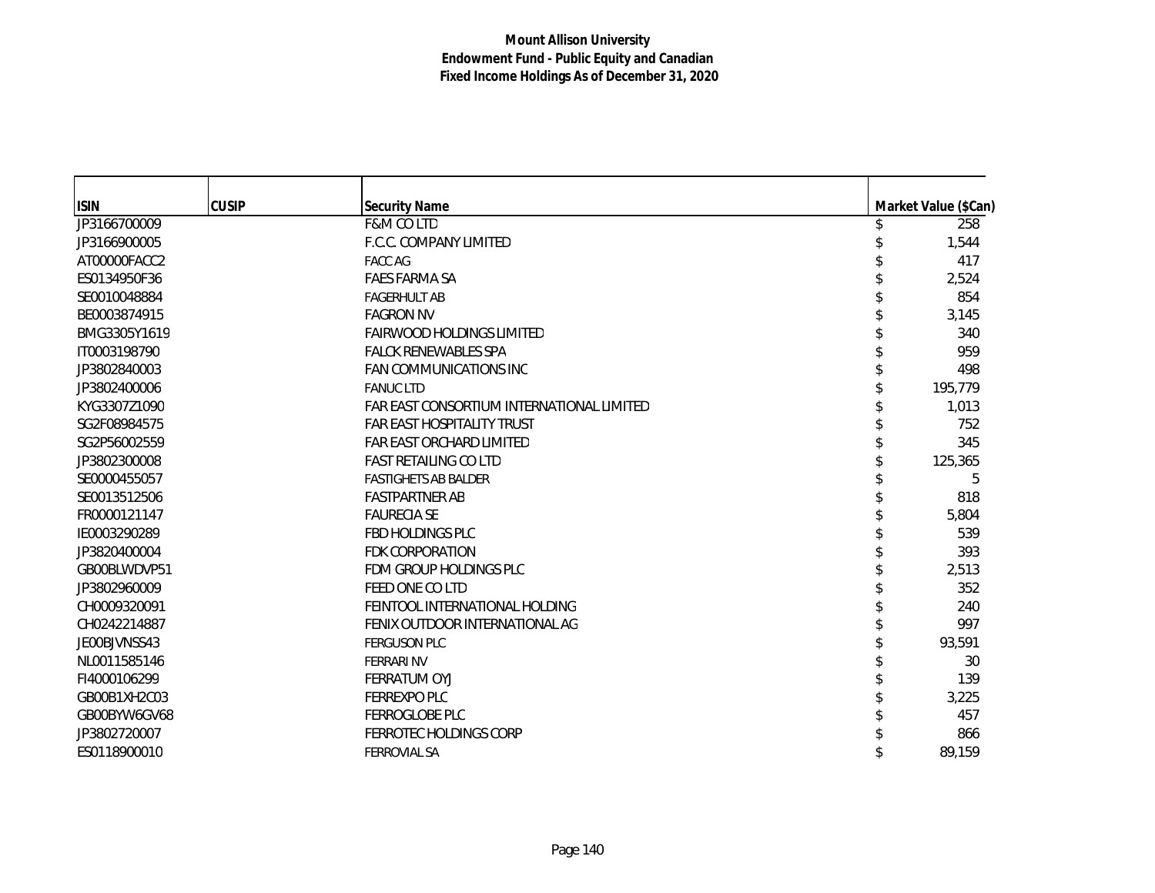| <b>ISIN</b>  | <b>CUSIP</b> | <b>Security Name</b>                      | Market Value (\$Can) |
|--------------|--------------|-------------------------------------------|----------------------|
| JP3166700009 |              | <b>F&amp;M CO LTD</b>                     | 258                  |
| JP3166900005 |              | F.C.C. COMPANY LIMITED                    | 1,544                |
| AT00000FACC2 |              | <b>FACC AG</b>                            | 417                  |
| ES0134950F36 |              | <b>FAES FARMA SA</b>                      | 2,524                |
| SE0010048884 |              | <b>FAGERHULT AB</b>                       | 854                  |
| BE0003874915 |              | <b>FAGRON NV</b>                          | 3,145                |
| BMG3305Y1619 |              | <b>FAIRWOOD HOLDINGS LIMITED</b>          | 340                  |
| IT0003198790 |              | <b>FALCK RENEWABLES SPA</b>               | 959                  |
| JP3802840003 |              | <b>FAN COMMUNICATIONS INC</b>             | 498                  |
| JP3802400006 |              | <b>FANUC LTD</b>                          | 195,779              |
| KYG3307Z1090 |              | FAR EAST CONSORTIUM INTERNATIONAL LIMITED | 1,013                |
| SG2F08984575 |              | <b>FAR EAST HOSPITALITY TRUST</b>         | 752                  |
| SG2P56002559 |              | FAR EAST ORCHARD LIMITED                  | 345                  |
| JP3802300008 |              | <b>FAST RETAILING CO LTD</b>              | 125,365              |
| SE0000455057 |              | <b>FASTIGHETS AB BALDER</b>               | 5                    |
| SE0013512506 |              | <b>FASTPARTNER AB</b>                     | 818                  |
| FR0000121147 |              | <b>FAURECIA SE</b>                        | 5,804                |
| IE0003290289 |              | FBD HOLDINGS PLC                          | 539                  |
| JP3820400004 |              | <b>FDK CORPORATION</b>                    | 393                  |
| GB00BLWDVP51 |              | FDM GROUP HOLDINGS PLC                    | 2,513                |
| JP3802960009 |              | FEED ONE CO LTD                           | 352                  |
| CH0009320091 |              | FEINTOOL INTERNATIONAL HOLDING            | 240                  |
| CH0242214887 |              | FENIX OUTDOOR INTERNATIONAL AG            | 997                  |
| JE00BJVNSS43 |              | <b>FERGUSON PLC</b>                       | 93,591               |
| NL0011585146 |              | <b>FERRARI NV</b>                         | 30                   |
| FI4000106299 |              | FERRATUM OYJ                              | 139                  |
| GB00B1XH2C03 |              | <b>FERREXPO PLC</b>                       | 3,225                |
| GB00BYW6GV68 |              | FERROGLOBE PLC                            | 457                  |
| JP3802720007 |              | FERROTEC HOLDINGS CORP                    | 866                  |
| ES0118900010 |              | <b>FERROVIAL SA</b>                       | 89,159               |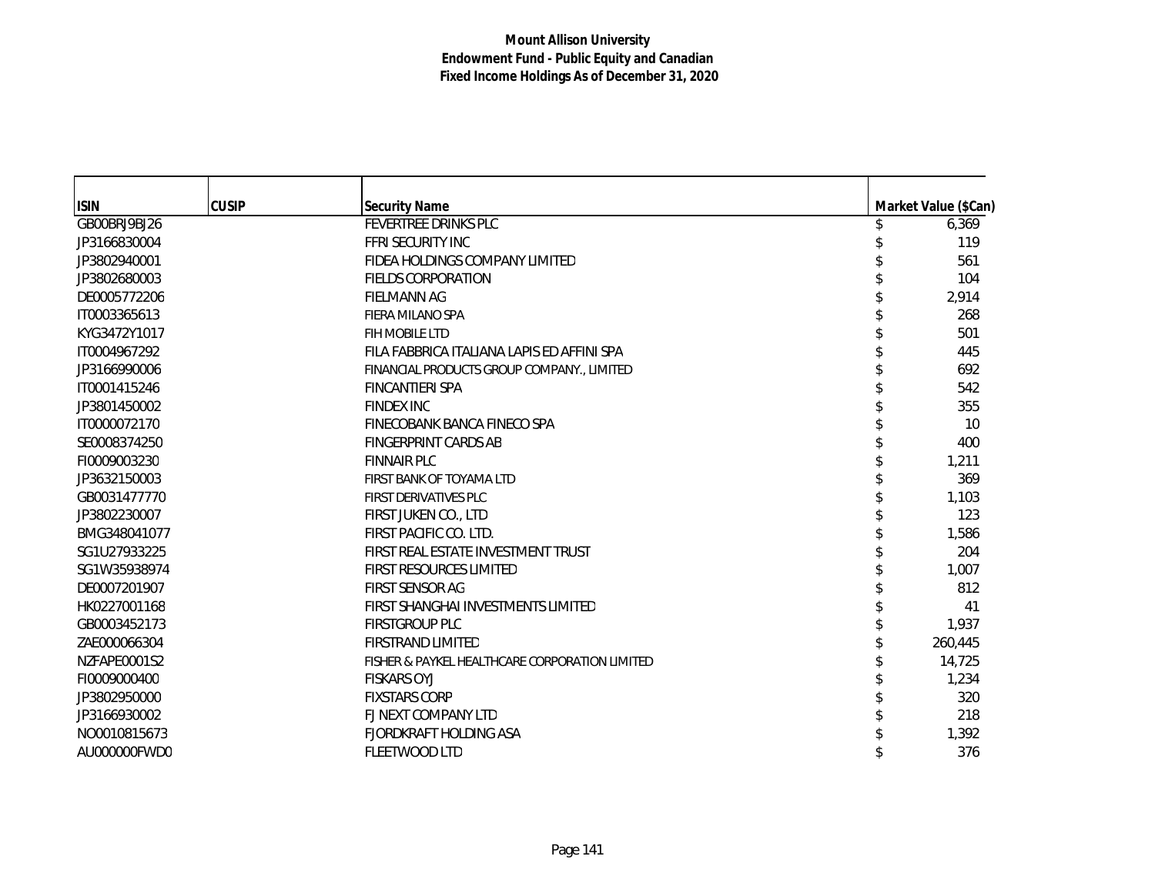| <b>ISIN</b>  | <b>CUSIP</b> | <b>Security Name</b>                           | Market Value (\$Can) |
|--------------|--------------|------------------------------------------------|----------------------|
| GB00BRJ9BJ26 |              | FEVERTREE DRINKS PLC                           | 6,369                |
| JP3166830004 |              | FFRI SECURITY INC                              | 119                  |
| JP3802940001 |              | FIDEA HOLDINGS COMPANY LIMITED                 | 561                  |
| JP3802680003 |              | <b>FIELDS CORPORATION</b>                      | 104                  |
| DE0005772206 |              | <b>FIELMANN AG</b>                             | 2,914                |
| IT0003365613 |              | FIERA MILANO SPA                               | 268                  |
| KYG3472Y1017 |              | FIH MOBILE LTD                                 | 501                  |
| IT0004967292 |              | FILA FABBRICA ITALIANA LAPIS ED AFFINI SPA     | 445                  |
| JP3166990006 |              | FINANCIAL PRODUCTS GROUP COMPANY., LIMITED     | 692                  |
| IT0001415246 |              | <b>FINCANTIERI SPA</b>                         | 542                  |
| JP3801450002 |              | <b>FINDEX INC</b>                              | 355                  |
| IT0000072170 |              | FINECOBANK BANCA FINECO SPA                    | 10                   |
| SE0008374250 |              | <b>FINGERPRINT CARDS AB</b>                    | 400                  |
| FI0009003230 |              | <b>FINNAIR PLC</b>                             | 1,211                |
| JP3632150003 |              | FIRST BANK OF TOYAMA LTD                       | 369                  |
| GB0031477770 |              | <b>FIRST DERIVATIVES PLC</b>                   | 1,103                |
| JP3802230007 |              | FIRST JUKEN CO., LTD                           | 123                  |
| BMG348041077 |              | FIRST PACIFIC CO. LTD.                         | 1,586                |
| SG1U27933225 |              | FIRST REAL ESTATE INVESTMENT TRUST             | 204                  |
| SG1W35938974 |              | FIRST RESOURCES LIMITED                        | 1,007                |
| DE0007201907 |              | <b>FIRST SENSOR AG</b>                         | 812                  |
| HK0227001168 |              | FIRST SHANGHAI INVESTMENTS LIMITED             | 41                   |
| GB0003452173 |              | FIRSTGROUP PLC                                 | 1,937                |
| ZAE000066304 |              | <b>FIRSTRAND LIMITED</b>                       | 260,445              |
| NZFAPE0001S2 |              | FISHER & PAYKEL HEALTHCARE CORPORATION LIMITED | 14,725               |
| FI0009000400 |              | <b>FISKARS OYJ</b>                             | 1,234                |
| JP3802950000 |              | <b>FIXSTARS CORP</b>                           | 320                  |
| JP3166930002 |              | FJ NEXT COMPANY LTD                            | 218                  |
| NO0010815673 |              | <b>FJORDKRAFT HOLDING ASA</b>                  | 1,392                |
| AU000000FWD0 |              | FLEETWOOD LTD                                  | 376                  |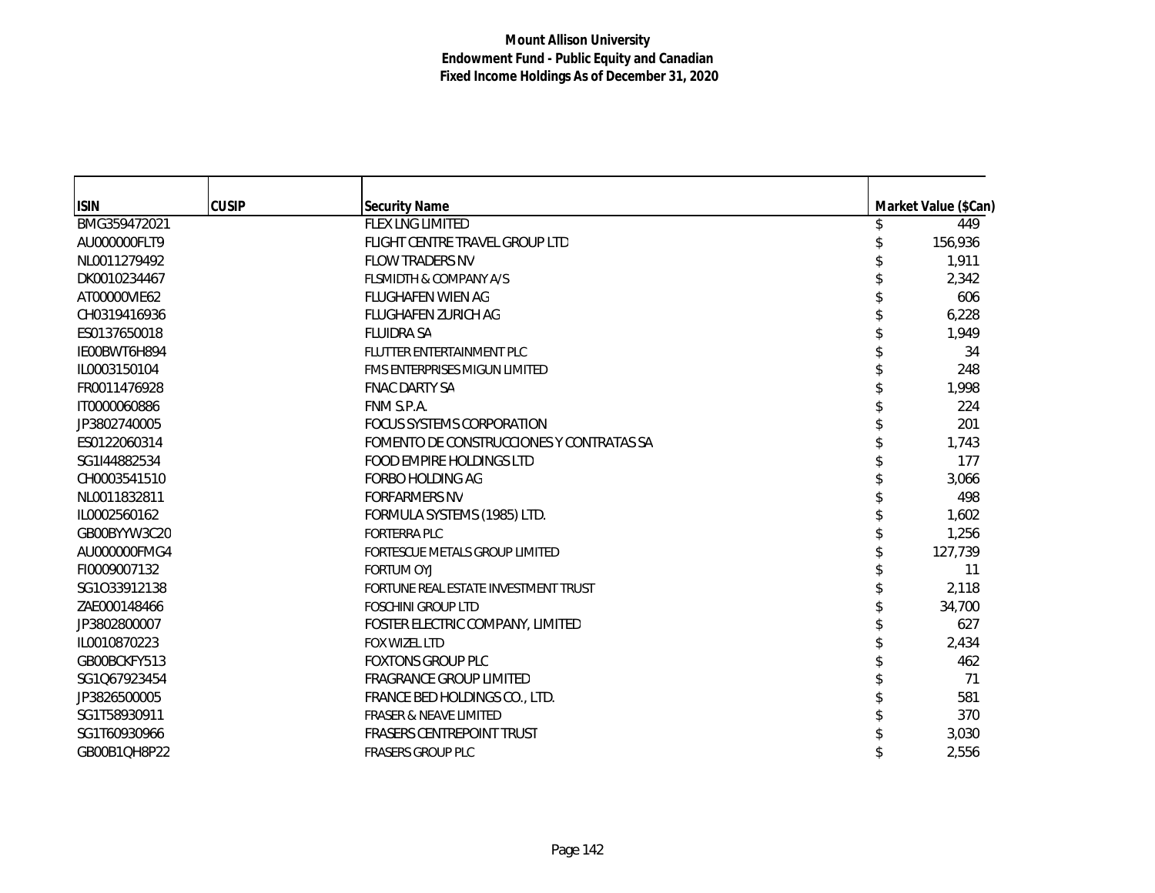| <b>ISIN</b>  | <b>CUSIP</b> | <b>Security Name</b>                     | Market Value (\$Can) |
|--------------|--------------|------------------------------------------|----------------------|
| BMG359472021 |              | FLEX LNG LIMITED                         | 449                  |
| AU000000FLT9 |              | FLIGHT CENTRE TRAVEL GROUP LTD           | 156,936              |
| NL0011279492 |              | <b>FLOW TRADERS NV</b>                   | 1,911                |
| DK0010234467 |              | <b>FLSMIDTH &amp; COMPANY A/S</b>        | 2,342                |
| AT00000VIE62 |              | <b>FLUGHAFEN WIEN AG</b>                 | 606                  |
| CH0319416936 |              | <b>FLUGHAFEN ZURICH AG</b>               | 6,228                |
| ES0137650018 |              | <b>FLUIDRA SA</b>                        | 1,949                |
| IE00BWT6H894 |              | FLUTTER ENTERTAINMENT PLC                | 34                   |
| IL0003150104 |              | <b>FMS ENTERPRISES MIGUN LIMITED</b>     | 248                  |
| FR0011476928 |              | <b>FNAC DARTY SA</b>                     | 1,998                |
| IT0000060886 |              | FNM S.P.A.                               | 224                  |
| JP3802740005 |              | FOCUS SYSTEMS CORPORATION                | 201                  |
| ES0122060314 |              | FOMENTO DE CONSTRUCCIONES Y CONTRATAS SA | 1,743                |
| SG1I44882534 |              | FOOD EMPIRE HOLDINGS LTD                 | 177                  |
| CH0003541510 |              | <b>FORBO HOLDING AG</b>                  | 3,066                |
| NL0011832811 |              | <b>FORFARMERS NV</b>                     | 498                  |
| IL0002560162 |              | FORMULA SYSTEMS (1985) LTD.              | 1,602                |
| GB00BYYW3C20 |              | <b>FORTERRA PLC</b>                      | 1,256                |
| AU000000FMG4 |              | FORTESCUE METALS GROUP LIMITED           | 127,739              |
| FI0009007132 |              | <b>FORTUM OYJ</b>                        | 11                   |
| SG1033912138 |              | FORTUNE REAL ESTATE INVESTMENT TRUST     | 2,118                |
| ZAE000148466 |              | <b>FOSCHINI GROUP LTD</b>                | 34,700               |
| JP3802800007 |              | FOSTER ELECTRIC COMPANY, LIMITED         | 627                  |
| IL0010870223 |              | FOX WIZEL LTD                            | 2,434                |
| GB00BCKFY513 |              | <b>FOXTONS GROUP PLC</b>                 | 462                  |
| SG1Q67923454 |              | <b>FRAGRANCE GROUP LIMITED</b>           | 71                   |
| JP3826500005 |              | FRANCE BED HOLDINGS CO., LTD.            | 581                  |
| SG1T58930911 |              | <b>FRASER &amp; NEAVE LIMITED</b>        | 370                  |
| SG1T60930966 |              | <b>FRASERS CENTREPOINT TRUST</b>         | 3,030                |
| GB00B1QH8P22 |              | <b>FRASERS GROUP PLC</b>                 | 2,556                |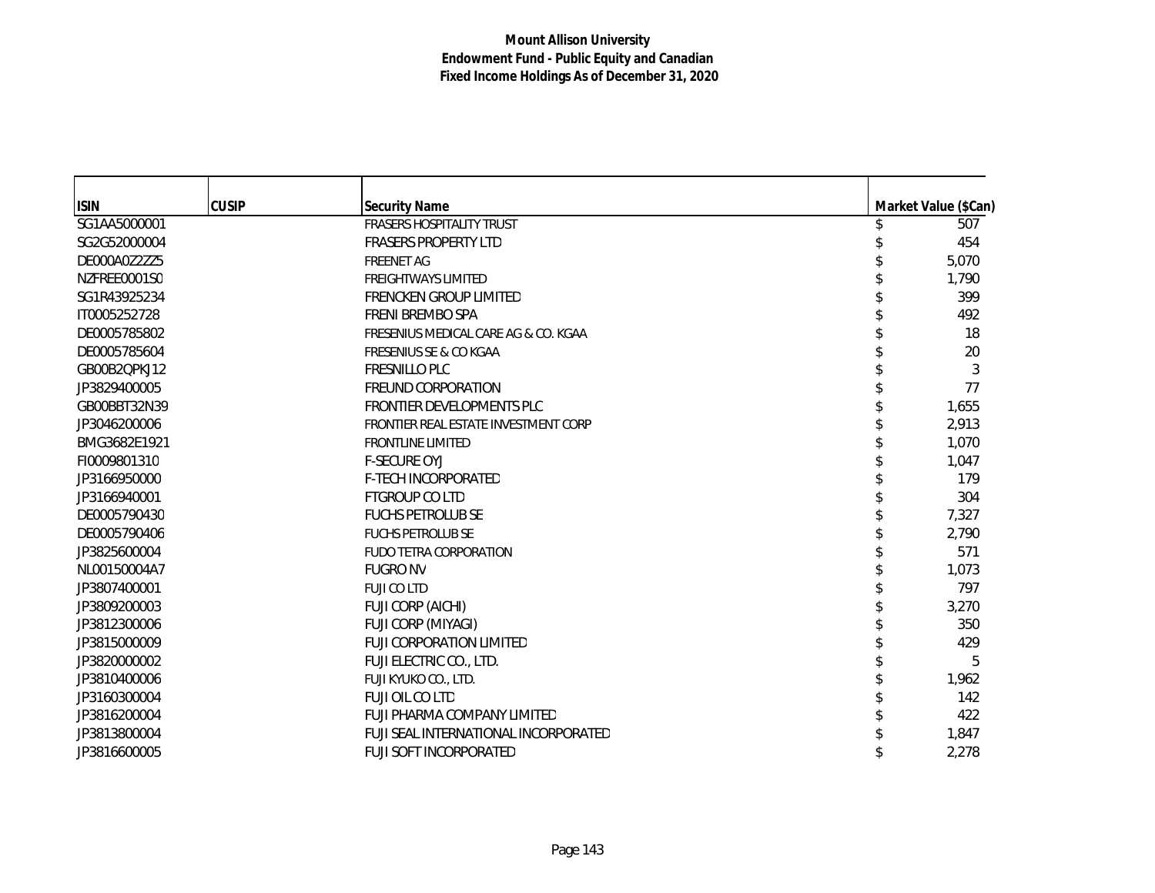| <b>ISIN</b>  | <b>CUSIP</b> | <b>Security Name</b>                 | Market Value (\$Can) |
|--------------|--------------|--------------------------------------|----------------------|
| SG1AA5000001 |              | <b>FRASERS HOSPITALITY TRUST</b>     | 507                  |
| SG2G52000004 |              | <b>FRASERS PROPERTY LTD</b>          | 454                  |
| DE000A0Z2ZZ5 |              | <b>FREENET AG</b>                    | 5,070                |
| NZFREE0001S0 |              | <b>FREIGHTWAYS LIMITED</b>           | 1,790                |
| SG1R43925234 |              | <b>FRENCKEN GROUP LIMITED</b>        | 399                  |
| IT0005252728 |              | FRENI BREMBO SPA                     | 492                  |
| DE0005785802 |              | FRESENIUS MEDICAL CARE AG & CO. KGAA | 18                   |
| DE0005785604 |              | <b>FRESENIUS SE &amp; CO KGAA</b>    | 20                   |
| GB00B2QPKJ12 |              | <b>FRESNILLO PLC</b>                 | 3                    |
| JP3829400005 |              | FREUND CORPORATION                   | 77                   |
| GB00BBT32N39 |              | FRONTIER DEVELOPMENTS PLC            | 1,655                |
| JP3046200006 |              | FRONTIER REAL ESTATE INVESTMENT CORP | 2,913                |
| BMG3682E1921 |              | <b>FRONTLINE LIMITED</b>             | 1,070                |
| FI0009801310 |              | <b>F-SECURE OYJ</b>                  | 1,047                |
| JP3166950000 |              | <b>F-TECH INCORPORATED</b>           | 179                  |
| JP3166940001 |              | FTGROUP CO LTD                       | 304                  |
| DE0005790430 |              | <b>FUCHS PETROLUB SE</b>             | 7,327                |
| DE0005790406 |              | <b>FUCHS PETROLUB SE</b>             | 2,790                |
| JP3825600004 |              | FUDO TETRA CORPORATION               | 571                  |
| NL00150004A7 |              | <b>FUGRO NV</b>                      | 1,073                |
| JP3807400001 |              | <b>FUJI CO LTD</b>                   | 797                  |
| JP3809200003 |              | FUJI CORP (AICHI)                    | 3,270                |
| JP3812300006 |              | FUJI CORP (MIYAGI)                   | 350                  |
| JP3815000009 |              | <b>FUJI CORPORATION LIMITED</b>      | 429                  |
| JP3820000002 |              | FUJI ELECTRIC CO., LTD.              | 5                    |
| JP3810400006 |              | FUJI KYUKO CO., LTD.                 | 1,962                |
| JP3160300004 |              | FUJI OIL CO LTD                      | 142                  |
| JP3816200004 |              | FUJI PHARMA COMPANY LIMITED          | 422                  |
| JP3813800004 |              | FUJI SEAL INTERNATIONAL INCORPORATED | 1,847                |
| JP3816600005 |              | <b>FUJI SOFT INCORPORATED</b>        | 2,278                |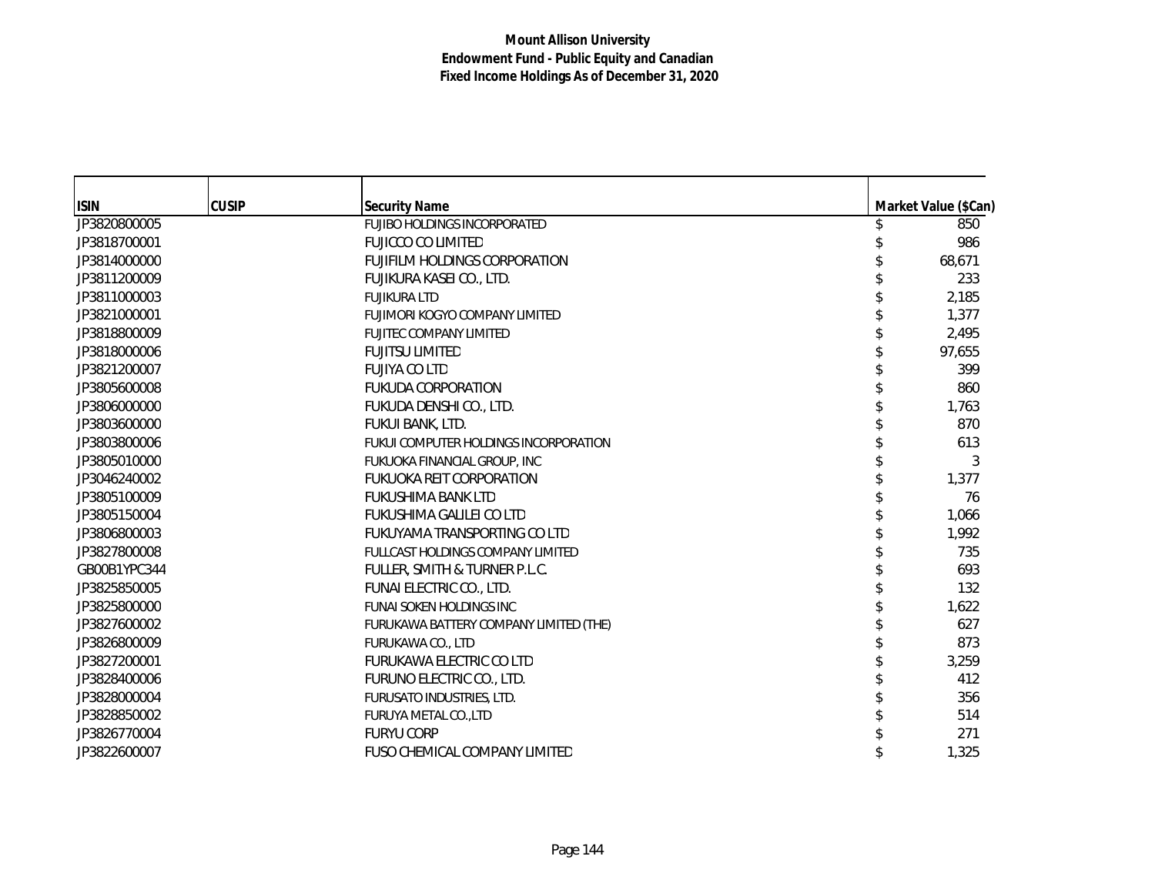| <b>ISIN</b>  | <b>CUSIP</b> | <b>Security Name</b>                   | Market Value (\$Can) |
|--------------|--------------|----------------------------------------|----------------------|
| JP3820800005 |              | <b>FUJIBO HOLDINGS INCORPORATED</b>    | 850                  |
| JP3818700001 |              | <b>FUJICCO CO LIMITED</b>              | 986                  |
| JP3814000000 |              | <b>FUJIFILM HOLDINGS CORPORATION</b>   | 68,671               |
| JP3811200009 |              | FUJIKURA KASEI CO., LTD.               | 233                  |
| JP3811000003 |              | <b>FUJIKURA LTD</b>                    | 2,185                |
| JP3821000001 |              | FUJIMORI KOGYO COMPANY LIMITED         | 1,377                |
| JP3818800009 |              | FUJITEC COMPANY LIMITED                | 2,495                |
| JP3818000006 |              | <b>FUJITSU LIMITED</b>                 | 97,655               |
| JP3821200007 |              | <b>FUJIYA CO LTD</b>                   | 399                  |
| JP3805600008 |              | <b>FUKUDA CORPORATION</b>              | 860                  |
| JP3806000000 |              | FUKUDA DENSHI CO., LTD.                | 1,763                |
| JP3803600000 |              | FUKUI BANK, LTD.                       | 870                  |
| JP3803800006 |              | FUKUI COMPUTER HOLDINGS INCORPORATION  | 613                  |
| JP3805010000 |              | FUKUOKA FINANCIAL GROUP, INC           | 3                    |
| JP3046240002 |              | <b>FUKUOKA REIT CORPORATION</b>        | 1,377                |
| JP3805100009 |              | FUKUSHIMA BANK LTD                     | 76                   |
| JP3805150004 |              | FUKUSHIMA GALILEI CO LTD               | 1,066                |
| JP3806800003 |              | FUKUYAMA TRANSPORTING CO LTD           | 1,992                |
| JP3827800008 |              | FULLCAST HOLDINGS COMPANY LIMITED      | 735                  |
| GB00B1YPC344 |              | FULLER, SMITH & TURNER P.L.C.          | 693                  |
| JP3825850005 |              | FUNAI ELECTRIC CO., LTD.               | 132                  |
| JP3825800000 |              | <b>FUNAI SOKEN HOLDINGS INC</b>        | 1,622                |
| JP3827600002 |              | FURUKAWA BATTERY COMPANY LIMITED (THE) | 627                  |
| JP3826800009 |              | <b>FURUKAWA CO., LTD</b>               | 873                  |
| JP3827200001 |              | FURUKAWA ELECTRIC CO LTD               | 3,259                |
| JP3828400006 |              | FURUNO ELECTRIC CO., LTD.              | 412                  |
| JP3828000004 |              | FURUSATO INDUSTRIES, LTD.              | 356                  |
| JP3828850002 |              | FURUYA METAL CO., LTD                  | 514                  |
| JP3826770004 |              | <b>FURYU CORP</b>                      | 271                  |
| JP3822600007 |              | FUSO CHEMICAL COMPANY LIMITED          | 1,325                |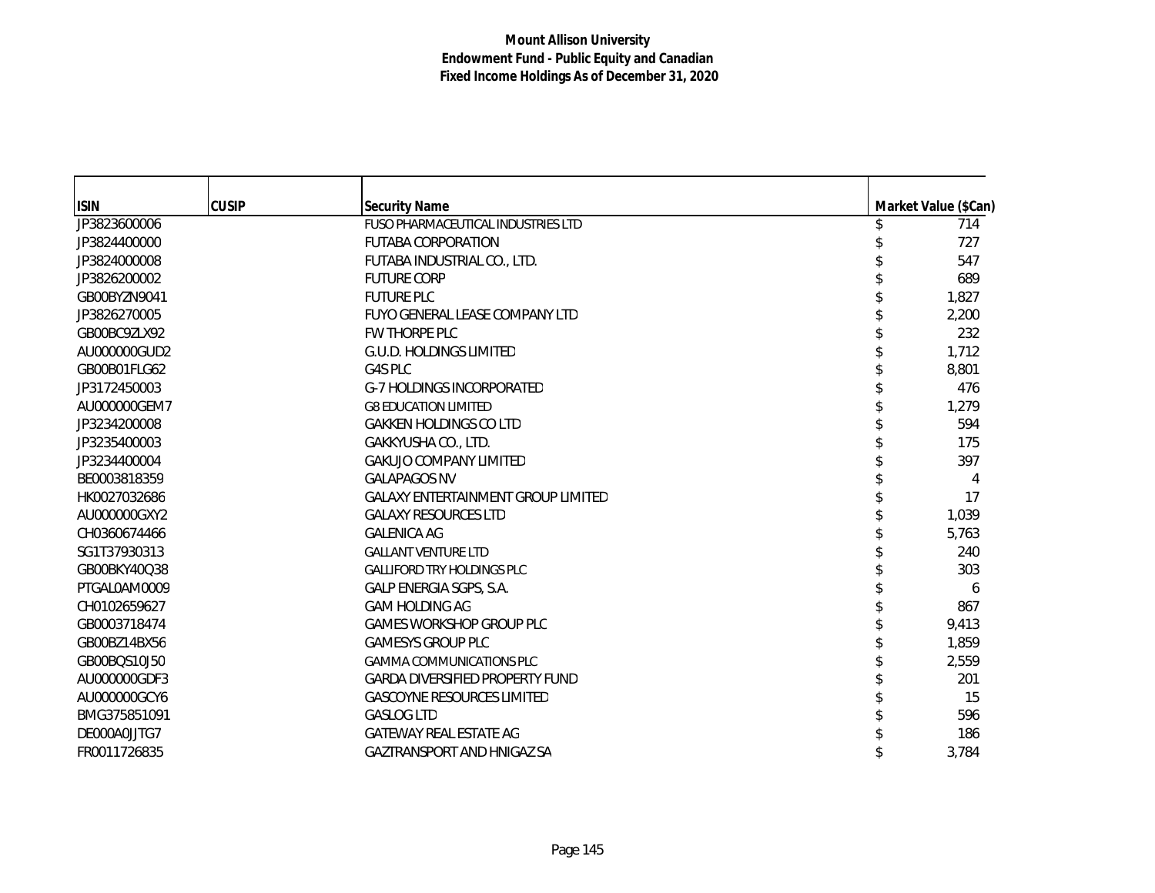| <b>ISIN</b>  | <b>CUSIP</b> | <b>Security Name</b>                      |  | Market Value (\$Can) |
|--------------|--------------|-------------------------------------------|--|----------------------|
| JP3823600006 |              | <b>FUSO PHARMACEUTICAL INDUSTRIES LTD</b> |  | 714                  |
| JP3824400000 |              | <b>FUTABA CORPORATION</b>                 |  | 727                  |
| JP3824000008 |              | FUTABA INDUSTRIAL CO., LTD.               |  | 547                  |
| JP3826200002 |              | <b>FUTURE CORP</b>                        |  | 689                  |
| GB00BYZN9041 |              | <b>FUTURE PLC</b>                         |  | 1,827                |
| JP3826270005 |              | FUYO GENERAL LEASE COMPANY LTD            |  | 2,200                |
| GB00BC9ZLX92 |              | FW THORPE PLC                             |  | 232                  |
| AU000000GUD2 |              | G.U.D. HOLDINGS LIMITED                   |  | 1,712                |
| GB00B01FLG62 |              | G4S PLC                                   |  | 8,801                |
| JP3172450003 |              | <b>G-7 HOLDINGS INCORPORATED</b>          |  | 476                  |
| AU000000GEM7 |              | <b>G8 EDUCATION LIMITED</b>               |  | 1,279                |
| JP3234200008 |              | <b>GAKKEN HOLDINGS CO LTD</b>             |  | 594                  |
| JP3235400003 |              | GAKKYUSHA CO., LTD.                       |  | 175                  |
| JP3234400004 |              | <b>GAKUJO COMPANY LIMITED</b>             |  | 397                  |
| BE0003818359 |              | <b>GALAPAGOS NV</b>                       |  | 4                    |
| HK0027032686 |              | <b>GALAXY ENTERTAINMENT GROUP LIMITED</b> |  | 17                   |
| AU000000GXY2 |              | <b>GALAXY RESOURCES LTD</b>               |  | 1,039                |
| CH0360674466 |              | <b>GALENICA AG</b>                        |  | 5,763                |
| SG1T37930313 |              | <b>GALLANT VENTURE LTD</b>                |  | 240                  |
| GB00BKY40Q38 |              | <b>GALLIFORD TRY HOLDINGS PLC</b>         |  | 303                  |
| PTGAL0AM0009 |              | GALP ENERGIA SGPS, S.A.                   |  | 6                    |
| CH0102659627 |              | <b>GAM HOLDING AG</b>                     |  | 867                  |
| GB0003718474 |              | <b>GAMES WORKSHOP GROUP PLC</b>           |  | 9,413                |
| GB00BZ14BX56 |              | <b>GAMESYS GROUP PLC</b>                  |  | 1,859                |
| GB00BQS10J50 |              | <b>GAMMA COMMUNICATIONS PLC</b>           |  | 2,559                |
| AU000000GDF3 |              | <b>GARDA DIVERSIFIED PROPERTY FUND</b>    |  | 201                  |
| AU000000GCY6 |              | <b>GASCOYNE RESOURCES LIMITED</b>         |  | 15                   |
| BMG375851091 |              | <b>GASLOG LTD</b>                         |  | 596                  |
| DE000A0JJTG7 |              | <b>GATEWAY REAL ESTATE AG</b>             |  | 186                  |
| FR0011726835 |              | <b>GAZTRANSPORT AND HNIGAZ SA</b>         |  | 3,784                |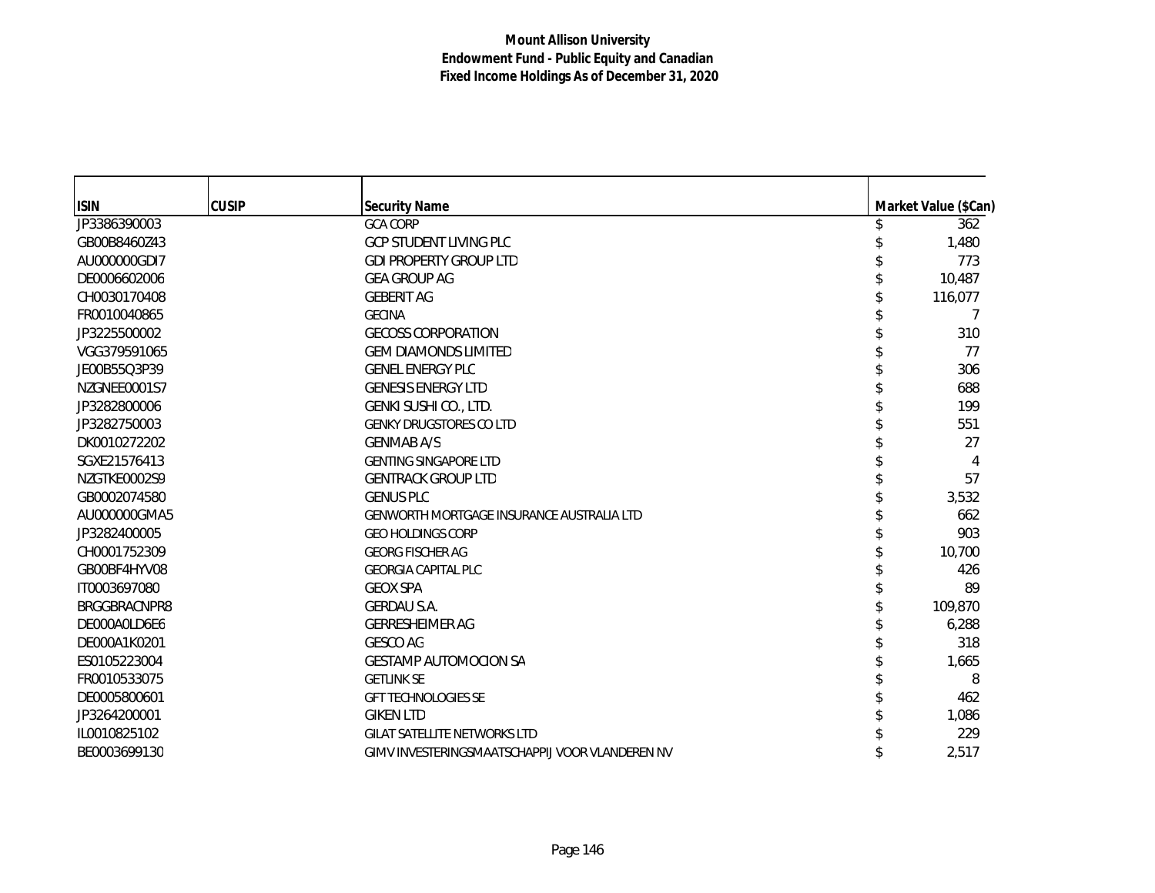| <b>ISIN</b><br><b>CUSIP</b><br><b>Security Name</b><br>JP3386390003<br><b>GCA CORP</b><br><b>GCP STUDENT LIVING PLC</b><br>GB00B8460Z43<br>AU000000GDI7<br><b>GDI PROPERTY GROUP LTD</b> | Market Value (\$Can)<br>362<br>1,480<br>773<br>10,487<br>116,077 |
|------------------------------------------------------------------------------------------------------------------------------------------------------------------------------------------|------------------------------------------------------------------|
|                                                                                                                                                                                          |                                                                  |
|                                                                                                                                                                                          |                                                                  |
|                                                                                                                                                                                          |                                                                  |
|                                                                                                                                                                                          |                                                                  |
|                                                                                                                                                                                          |                                                                  |
| DE0006602006<br><b>GEA GROUP AG</b>                                                                                                                                                      |                                                                  |
| <b>GEBERIT AG</b><br>CH0030170408                                                                                                                                                        |                                                                  |
| FR0010040865<br><b>GECINA</b>                                                                                                                                                            |                                                                  |
| JP3225500002<br><b>GECOSS CORPORATION</b>                                                                                                                                                | 310                                                              |
| VGG379591065<br><b>GEM DIAMONDS LIMITED</b>                                                                                                                                              | 77                                                               |
| <b>GENEL ENERGY PLC</b><br>JE00B55Q3P39                                                                                                                                                  | 306                                                              |
| <b>GENESIS ENERGY LTD</b><br>NZGNEE0001S7                                                                                                                                                | 688                                                              |
| GENKI SUSHI CO., LTD.<br>JP3282800006                                                                                                                                                    | 199                                                              |
| JP3282750003<br><b>GENKY DRUGSTORES CO LTD</b>                                                                                                                                           | 551                                                              |
| DK0010272202<br><b>GENMAB A/S</b>                                                                                                                                                        | 27                                                               |
| SGXE21576413<br><b>GENTING SINGAPORE LTD</b>                                                                                                                                             | 4                                                                |
| NZGTKE0002S9<br><b>GENTRACK GROUP LTD</b>                                                                                                                                                | 57                                                               |
| GB0002074580<br><b>GENUS PLC</b>                                                                                                                                                         | 3,532                                                            |
| AU000000GMA5<br><b>GENWORTH MORTGAGE INSURANCE AUSTRALIA LTD</b>                                                                                                                         | 662                                                              |
| JP3282400005<br><b>GEO HOLDINGS CORP</b>                                                                                                                                                 | 903                                                              |
| CH0001752309<br><b>GEORG FISCHER AG</b>                                                                                                                                                  | 10,700                                                           |
| GB00BF4HYV08<br><b>GEORGIA CAPITAL PLC</b>                                                                                                                                               | 426                                                              |
| <b>GEOX SPA</b><br>IT0003697080                                                                                                                                                          | 89                                                               |
| <b>GERDAU S.A.</b><br>BRGGBRACNPR8                                                                                                                                                       | 109,870                                                          |
| DE000A0LD6E6<br><b>GERRESHEIMER AG</b>                                                                                                                                                   | 6,288                                                            |
| <b>GESCO AG</b><br>DE000A1K0201                                                                                                                                                          | 318                                                              |
| ES0105223004<br><b>GESTAMP AUTOMOCION SA</b>                                                                                                                                             | 1,665                                                            |
| FR0010533075<br><b>GETLINK SE</b>                                                                                                                                                        | 8                                                                |
| DE0005800601<br><b>GFT TECHNOLOGIES SE</b>                                                                                                                                               | 462                                                              |
| JP3264200001<br><b>GIKEN LTD</b>                                                                                                                                                         | 1,086                                                            |
| IL0010825102<br><b>GILAT SATELLITE NETWORKS LTD</b>                                                                                                                                      | 229                                                              |
| BE0003699130<br>GIMV INVESTERINGSMAATSCHAPPIJ VOOR VLANDEREN NV                                                                                                                          | 2,517                                                            |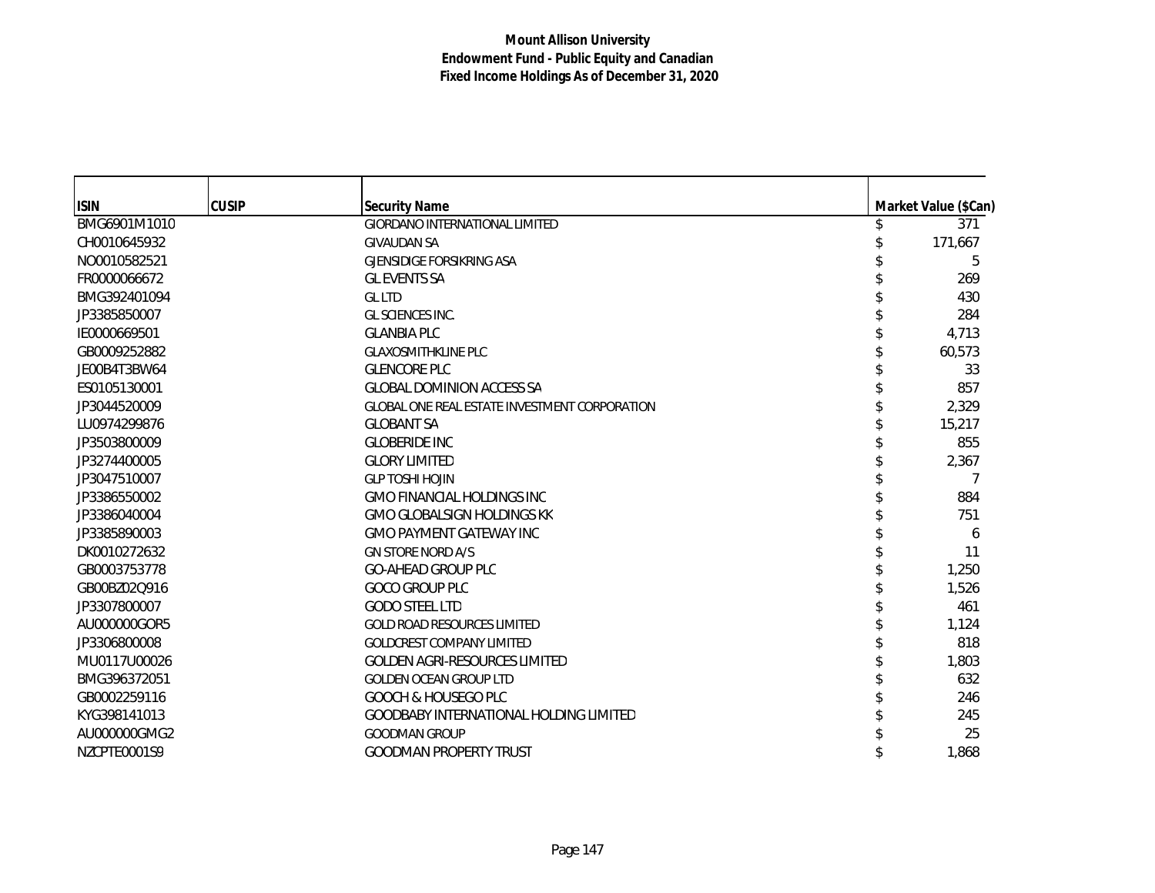| <b>ISIN</b>  | <b>CUSIP</b> | <b>Security Name</b>                                 | Market Value (\$Can) |
|--------------|--------------|------------------------------------------------------|----------------------|
| BMG6901M1010 |              | <b>GIORDANO INTERNATIONAL LIMITED</b>                | 371                  |
| CH0010645932 |              | <b>GIVAUDAN SA</b>                                   | 171,667              |
| NO0010582521 |              | <b>GJENSIDIGE FORSIKRING ASA</b>                     | 5                    |
| FR0000066672 |              | <b>GL EVENTS SA</b>                                  | 269                  |
| BMG392401094 |              | <b>GLLTD</b>                                         | 430                  |
| JP3385850007 |              | <b>GL SCIENCES INC.</b>                              | 284                  |
| IE0000669501 |              | <b>GLANBIA PLC</b>                                   | 4,713                |
| GB0009252882 |              | <b>GLAXOSMITHKLINE PLC</b>                           | 60,573               |
| JE00B4T3BW64 |              | <b>GLENCORE PLC</b>                                  | 33                   |
| ES0105130001 |              | <b>GLOBAL DOMINION ACCESS SA</b>                     | 857                  |
| JP3044520009 |              | <b>GLOBAL ONE REAL ESTATE INVESTMENT CORPORATION</b> | 2,329                |
| LU0974299876 |              | <b>GLOBANT SA</b>                                    | 15,217               |
| JP3503800009 |              | <b>GLOBERIDE INC</b>                                 | 855                  |
| JP3274400005 |              | <b>GLORY LIMITED</b>                                 | 2,367                |
| JP3047510007 |              | <b>GLP TOSHI HOJIN</b>                               | 7                    |
| JP3386550002 |              | <b>GMO FINANCIAL HOLDINGS INC</b>                    | 884                  |
| JP3386040004 |              | <b>GMO GLOBALSIGN HOLDINGS KK</b>                    | 751                  |
| JP3385890003 |              | <b>GMO PAYMENT GATEWAY INC</b>                       | 6                    |
| DK0010272632 |              | <b>GN STORE NORD A/S</b>                             | 11                   |
| GB0003753778 |              | <b>GO-AHEAD GROUP PLC</b>                            | 1,250                |
| GB00BZ02Q916 |              | <b>GOCO GROUP PLC</b>                                | 1,526                |
| JP3307800007 |              | <b>GODO STEEL LTD</b>                                | 461                  |
| AU000000GOR5 |              | <b>GOLD ROAD RESOURCES LIMITED</b>                   | 1,124                |
| JP3306800008 |              | <b>GOLDCREST COMPANY LIMITED</b>                     | 818                  |
| MU0117U00026 |              | <b>GOLDEN AGRI-RESOURCES LIMITED</b>                 | 1,803                |
| BMG396372051 |              | <b>GOLDEN OCEAN GROUP LTD</b>                        | 632                  |
| GB0002259116 |              | <b>GOOCH &amp; HOUSEGO PLC</b>                       | 246                  |
| KYG398141013 |              | <b>GOODBABY INTERNATIONAL HOLDING LIMITED</b>        | 245                  |
| AU000000GMG2 |              | <b>GOODMAN GROUP</b>                                 | 25                   |
| NZCPTE0001S9 |              | <b>GOODMAN PROPERTY TRUST</b>                        | 1,868                |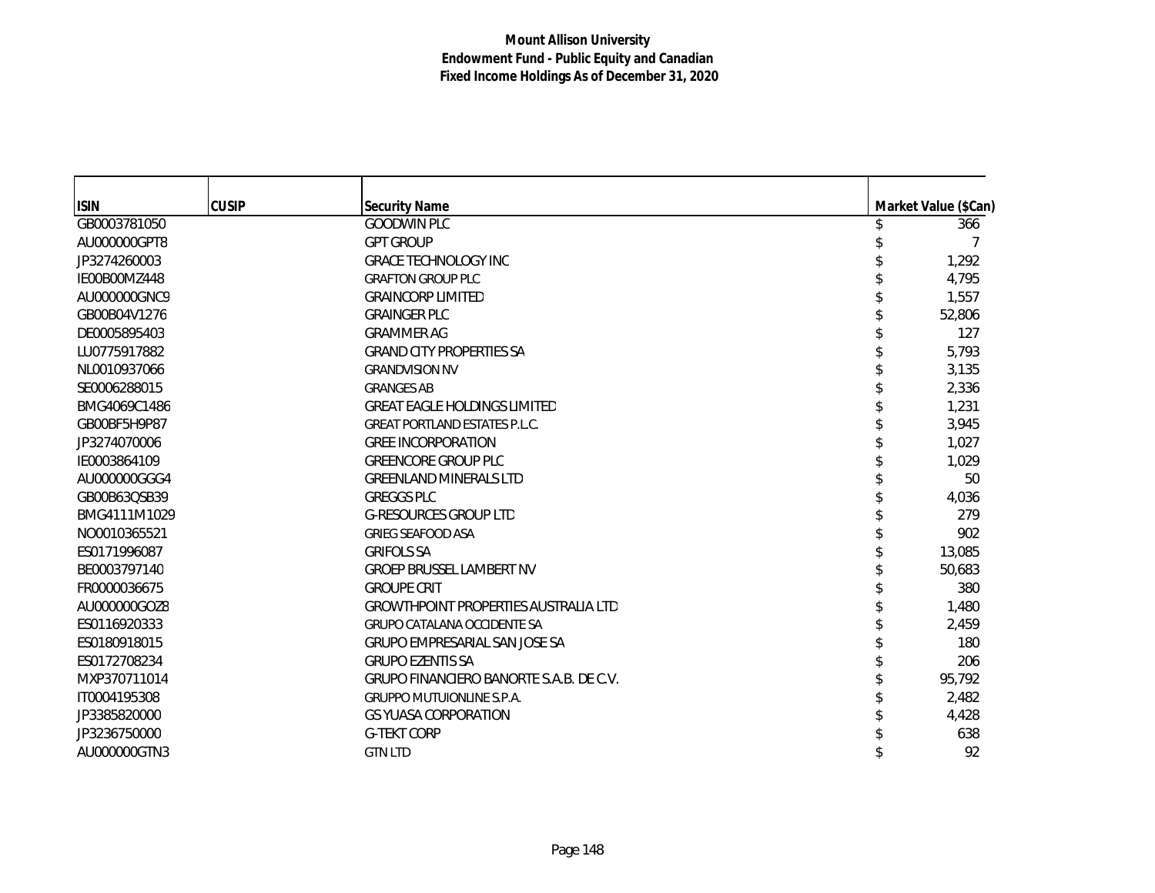| <b>ISIN</b>  | <b>CUSIP</b> | <b>Security Name</b>                        | Market Value (\$Can) |
|--------------|--------------|---------------------------------------------|----------------------|
| GB0003781050 |              | <b>GOODWIN PLC</b>                          | 366                  |
| AU000000GPT8 |              | <b>GPT GROUP</b>                            |                      |
| JP3274260003 |              | <b>GRACE TECHNOLOGY INC</b>                 | 1,292                |
| IE00B00MZ448 |              | <b>GRAFTON GROUP PLC</b>                    | 4,795                |
| AU000000GNC9 |              | <b>GRAINCORP LIMITED</b>                    | 1,557                |
| GB00B04V1276 |              | <b>GRAINGER PLC</b>                         | 52,806               |
| DE0005895403 |              | <b>GRAMMER AG</b>                           | 127                  |
| LU0775917882 |              | <b>GRAND CITY PROPERTIES SA</b>             | 5,793                |
| NL0010937066 |              | <b>GRANDVISION NV</b>                       | 3,135                |
| SE0006288015 |              | <b>GRANGES AB</b>                           | 2,336                |
| BMG4069C1486 |              | <b>GREAT EAGLE HOLDINGS LIMITED</b>         | 1,231                |
| GB00BF5H9P87 |              | <b>GREAT PORTLAND ESTATES P.L.C.</b>        | 3,945                |
| JP3274070006 |              | <b>GREE INCORPORATION</b>                   | 1,027                |
| IE0003864109 |              | <b>GREENCORE GROUP PLC</b>                  | 1,029                |
| AU000000GGG4 |              | <b>GREENLAND MINERALS LTD</b>               | 50                   |
| GB00B63QSB39 |              | <b>GREGGS PLC</b>                           | 4,036                |
| BMG4111M1029 |              | <b>G-RESOURCES GROUP LTD</b>                | 279                  |
| NO0010365521 |              | <b>GRIEG SEAFOOD ASA</b>                    | 902                  |
| ES0171996087 |              | <b>GRIFOLS SA</b>                           | 13,085               |
| BE0003797140 |              | <b>GROEP BRUSSEL LAMBERT NV</b>             | 50,683               |
| FR0000036675 |              | <b>GROUPE CRIT</b>                          | 380                  |
| AU000000GOZ8 |              | <b>GROWTHPOINT PROPERTIES AUSTRALIA LTD</b> | 1,480                |
| ES0116920333 |              | <b>GRUPO CATALANA OCCIDENTE SA</b>          | 2,459                |
| ES0180918015 |              | <b>GRUPO EMPRESARIAL SAN JOSE SA</b>        | 180                  |
| ES0172708234 |              | <b>GRUPO EZENTIS SA</b>                     | 206                  |
| MXP370711014 |              | GRUPO FINANCIERO BANORTE S.A.B. DE C.V.     | 95,792               |
| IT0004195308 |              | <b>GRUPPO MUTUIONLINE S.P.A.</b>            | 2,482                |
| JP3385820000 |              | <b>GS YUASA CORPORATION</b>                 | 4,428                |
| JP3236750000 |              | <b>G-TEKT CORP</b>                          | 638                  |
| AU000000GTN3 |              | <b>GTN LTD</b>                              | 92                   |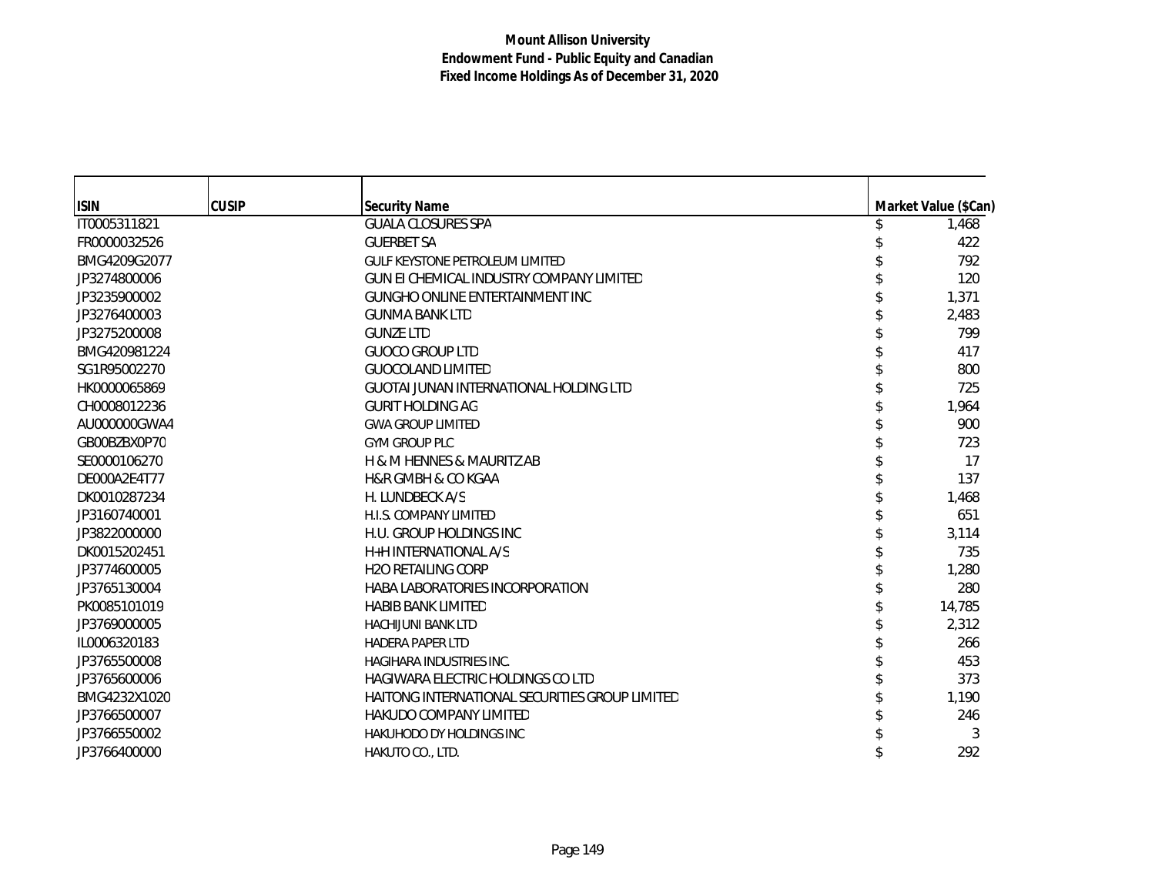| <b>ISIN</b>  | <b>CUSIP</b> | <b>Security Name</b>                           | Market Value (\$Can) |
|--------------|--------------|------------------------------------------------|----------------------|
| IT0005311821 |              | <b>GUALA CLOSURES SPA</b>                      | 1,468                |
| FR0000032526 |              | <b>GUERBET SA</b>                              | 422                  |
| BMG4209G2077 |              | <b>GULF KEYSTONE PETROLEUM LIMITED</b>         | 792                  |
| JP3274800006 |              | GUN EI CHEMICAL INDUSTRY COMPANY LIMITED       | 120                  |
| JP3235900002 |              | <b>GUNGHO ONLINE ENTERTAINMENT INC</b>         | 1,371                |
| JP3276400003 |              | <b>GUNMA BANK LTD</b>                          | 2,483                |
| JP3275200008 |              | <b>GUNZE LTD</b>                               | 799                  |
| BMG420981224 |              | <b>GUOCO GROUP LTD</b>                         | 417                  |
| SG1R95002270 |              | <b>GUOCOLAND LIMITED</b>                       | 800                  |
| HK0000065869 |              | <b>GUOTAI JUNAN INTERNATIONAL HOLDING LTD</b>  | 725                  |
| CH0008012236 |              | GURIT HOLDING AG                               | 1,964                |
| AU000000GWA4 |              | <b>GWA GROUP LIMITED</b>                       | 900                  |
| GB00BZBX0P70 |              | <b>GYM GROUP PLC</b>                           | 723                  |
| SE0000106270 |              | H & M HENNES & MAURITZ AB                      | 17                   |
| DE000A2E4T77 |              | <b>H&amp;R GMBH &amp; CO KGAA</b>              | 137                  |
| DK0010287234 |              | H. LUNDBECK A/S                                | 1,468                |
| JP3160740001 |              | H.I.S. COMPANY LIMITED                         | 651                  |
| JP3822000000 |              | H.U. GROUP HOLDINGS INC                        | 3,114                |
| DK0015202451 |              | H+H INTERNATIONAL A/S                          | 735                  |
| JP3774600005 |              | <b>H2O RETAILING CORP</b>                      | 1,280                |
| JP3765130004 |              | HABA LABORATORIES INCORPORATION                | 280                  |
| PK0085101019 |              | <b>HABIB BANK LIMITED</b>                      | 14,785               |
| JP3769000005 |              | <b>HACHIJUNI BANK LTD</b>                      | 2,312                |
| IL0006320183 |              | <b>HADERA PAPER LTD</b>                        | 266                  |
| JP3765500008 |              | HAGIHARA INDUSTRIES INC.                       | 453                  |
| JP3765600006 |              | HAGIWARA ELECTRIC HOLDINGS CO LTD              | 373                  |
| BMG4232X1020 |              | HAITONG INTERNATIONAL SECURITIES GROUP LIMITED | 1,190                |
| JP3766500007 |              | <b>HAKUDO COMPANY LIMITED</b>                  | 246                  |
| JP3766550002 |              | <b>HAKUHODO DY HOLDINGS INC</b>                | 3                    |
| JP3766400000 |              | HAKUTO CO., LTD.                               | 292                  |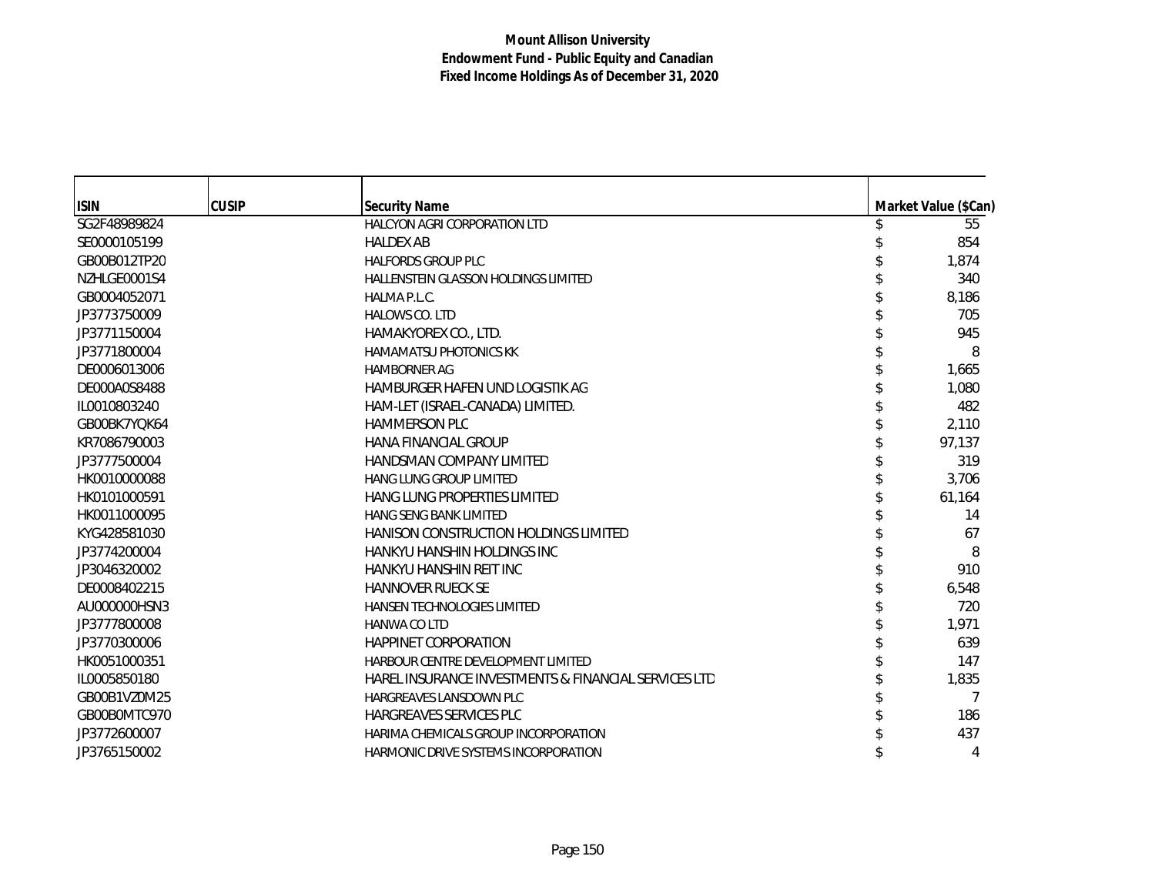| <b>ISIN</b>  | <b>CUSIP</b> | <b>Security Name</b>                                 | Market Value (\$Can) |
|--------------|--------------|------------------------------------------------------|----------------------|
| SG2F48989824 |              | HALCYON AGRI CORPORATION LTD                         | 55                   |
| SE0000105199 |              | <b>HALDEX AB</b>                                     | 854                  |
| GB00B012TP20 |              | <b>HALFORDS GROUP PLC</b>                            | 1,874                |
| NZHLGE0001S4 |              | HALLENSTEIN GLASSON HOLDINGS LIMITED                 | 340                  |
| GB0004052071 |              | HALMA P.L.C.                                         | 8,186                |
| JP3773750009 |              | <b>HALOWS CO. LTD</b>                                | 705                  |
| JP3771150004 |              | HAMAKYOREX CO., LTD.                                 | 945                  |
| JP3771800004 |              | <b>HAMAMATSU PHOTONICS KK</b>                        | 8                    |
| DE0006013006 |              | <b>HAMBORNER AG</b>                                  | 1,665                |
| DE000A0S8488 |              | HAMBURGER HAFEN UND LOGISTIK AG                      | 1,080                |
| IL0010803240 |              | HAM-LET (ISRAEL-CANADA) LIMITED.                     | 482                  |
| GB00BK7YQK64 |              | <b>HAMMERSON PLC</b>                                 | 2,110                |
| KR7086790003 |              | HANA FINANCIAL GROUP                                 | 97,137               |
| JP3777500004 |              | <b>HANDSMAN COMPANY LIMITED</b>                      | 319                  |
| HK0010000088 |              | <b>HANG LUNG GROUP LIMITED</b>                       | 3,706                |
| HK0101000591 |              | <b>HANG LUNG PROPERTIES LIMITED</b>                  | 61,164               |
| HK0011000095 |              | <b>HANG SENG BANK LIMITED</b>                        | 14                   |
| KYG428581030 |              | <b>HANISON CONSTRUCTION HOLDINGS LIMITED</b>         | 67                   |
| JP3774200004 |              | HANKYU HANSHIN HOLDINGS INC                          | 8                    |
| JP3046320002 |              | HANKYU HANSHIN REIT INC                              | 910                  |
| DE0008402215 |              | <b>HANNOVER RUECK SE</b>                             | 6,548                |
| AU000000HSN3 |              | <b>HANSEN TECHNOLOGIES LIMITED</b>                   | 720                  |
| JP3777800008 |              | <b>HANWA CO LTD</b>                                  | 1,971                |
| JP3770300006 |              | <b>HAPPINET CORPORATION</b>                          | 639                  |
| HK0051000351 |              | HARBOUR CENTRE DEVELOPMENT LIMITED                   | 147                  |
| IL0005850180 |              | HAREL INSURANCE INVESTMENTS & FINANCIAL SERVICES LTD | 1,835                |
| GB00B1VZ0M25 |              | <b>HARGREAVES LANSDOWN PLC</b>                       | 7                    |
| GB00B0MTC970 |              | HARGREAVES SERVICES PLC                              | 186                  |
| JP3772600007 |              | HARIMA CHEMICALS GROUP INCORPORATION                 | 437                  |
| JP3765150002 |              | HARMONIC DRIVE SYSTEMS INCORPORATION                 | 4                    |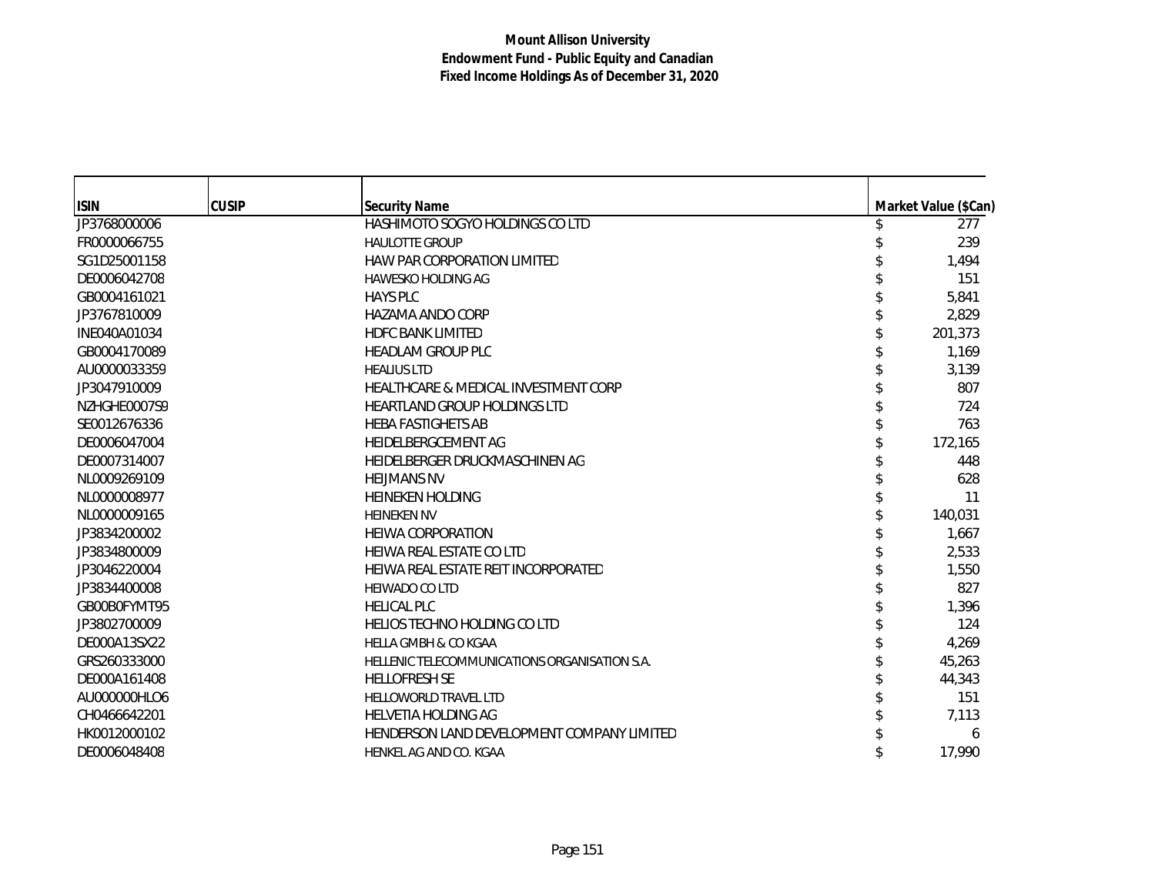| <b>ISIN</b>  | <b>CUSIP</b> | <b>Security Name</b>                          | Market Value (\$Can) |
|--------------|--------------|-----------------------------------------------|----------------------|
| JP3768000006 |              | HASHIMOTO SOGYO HOLDINGS CO LTD               | 277                  |
| FR0000066755 |              | <b>HAULOTTE GROUP</b>                         | 239                  |
| SG1D25001158 |              | <b>HAW PAR CORPORATION LIMITED</b>            | 1,494                |
| DE0006042708 |              | <b>HAWESKO HOLDING AG</b>                     | 151                  |
| GB0004161021 |              | <b>HAYS PLC</b>                               | 5,841                |
| JP3767810009 |              | <b>HAZAMA ANDO CORP</b>                       | 2,829                |
| INE040A01034 |              | <b>HDFC BANK LIMITED</b>                      | 201,373              |
| GB0004170089 |              | <b>HEADLAM GROUP PLC</b>                      | 1,169                |
| AU0000033359 |              | <b>HEALIUS LTD</b>                            | 3,139                |
| JP3047910009 |              | HEALTHCARE & MEDICAL INVESTMENT CORP          | 807                  |
| NZHGHE0007S9 |              | <b>HEARTLAND GROUP HOLDINGS LTD</b>           | 724                  |
| SE0012676336 |              | <b>HEBA FASTIGHETS AB</b>                     | 763                  |
| DE0006047004 |              | HEIDELBERGCEMENT AG                           | 172,165              |
| DE0007314007 |              | HEIDELBERGER DRUCKMASCHINEN AG                | 448                  |
| NL0009269109 |              | <b>HELIMANS NV</b>                            | 628                  |
| NL0000008977 |              | <b>HEINEKEN HOLDING</b>                       | 11                   |
| NL0000009165 |              | <b>HEINEKEN NV</b>                            | 140.031              |
| JP3834200002 |              | <b>HEIWA CORPORATION</b>                      | 1,667                |
| JP3834800009 |              | HEIWA REAL ESTATE CO LTD                      | 2,533                |
| JP3046220004 |              | HEIWA REAL ESTATE REIT INCORPORATED           | 1,550                |
| JP3834400008 |              | <b>HEIWADO CO LTD</b>                         | 827                  |
| GB00B0FYMT95 |              | <b>HELICAL PLC</b>                            | 1,396                |
| JP3802700009 |              | HELIOS TECHNO HOLDING CO LTD                  | 124                  |
| DE000A13SX22 |              | <b>HELLA GMBH &amp; CO KGAA</b>               | 4,269                |
| GRS260333000 |              | HELLENIC TELECOMMUNICATIONS ORGANISATION S.A. | 45,263               |
| DE000A161408 |              | <b>HELLOFRESH SE</b>                          | 44,343               |
| AU000000HLO6 |              | HELLOWORLD TRAVEL LTD                         | 151                  |
| CH0466642201 |              | HELVETIA HOLDING AG                           | 7,113                |
| HK0012000102 |              | HENDERSON LAND DEVELOPMENT COMPANY LIMITED    | 6                    |
| DE0006048408 |              | HENKEL AG AND CO. KGAA                        | 17,990               |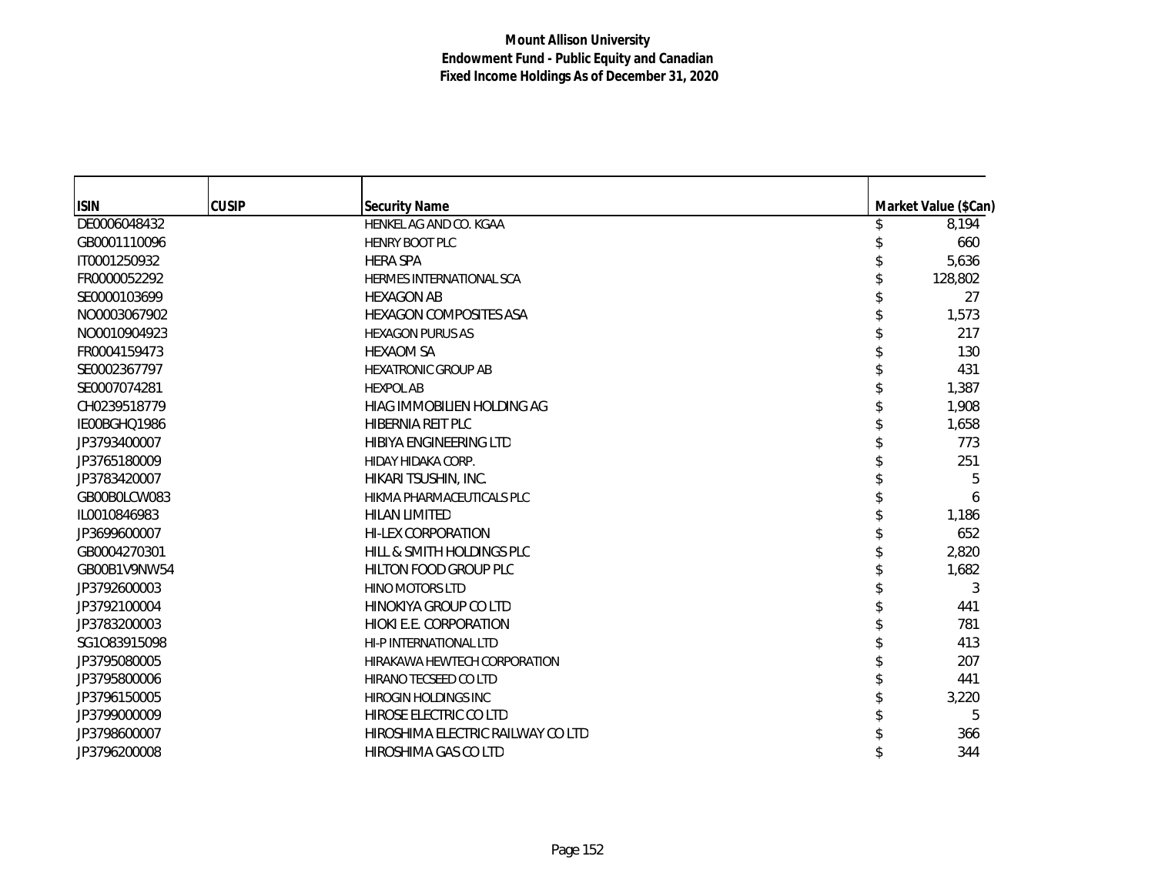| <b>ISIN</b>  | <b>CUSIP</b> | <b>Security Name</b>              | Market Value (\$Can) |
|--------------|--------------|-----------------------------------|----------------------|
| DE0006048432 |              | HENKEL AG AND CO. KGAA            | 8,194                |
| GB0001110096 |              | <b>HENRY BOOT PLC</b>             | 660                  |
| IT0001250932 |              | <b>HERA SPA</b>                   | 5,636                |
| FR0000052292 |              | HERMES INTERNATIONAL SCA          | 128,802              |
| SE0000103699 |              | <b>HEXAGON AB</b>                 | 27                   |
| NO0003067902 |              | <b>HEXAGON COMPOSITES ASA</b>     | 1,573                |
| NO0010904923 |              | <b>HEXAGON PURUS AS</b>           | 217                  |
| FR0004159473 |              | <b>HEXAOM SA</b>                  | 130                  |
| SE0002367797 |              | <b>HEXATRONIC GROUP AB</b>        | 431                  |
| SE0007074281 |              | <b>HEXPOL AB</b>                  | 1,387                |
| CH0239518779 |              | HIAG IMMOBILIEN HOLDING AG        | 1,908                |
| IE00BGHQ1986 |              | HIBERNIA REIT PLC                 | 1,658                |
| JP3793400007 |              | HIBIYA ENGINEERING LTD            | 773                  |
| JP3765180009 |              | HIDAY HIDAKA CORP.                | 251                  |
| JP3783420007 |              | HIKARI TSUSHIN, INC.              | 5                    |
| GB00B0LCW083 |              | HIKMA PHARMACEUTICALS PLC         | 6                    |
| IL0010846983 |              | <b>HILAN LIMITED</b>              | 1,186                |
| JP3699600007 |              | <b>HI-LEX CORPORATION</b>         | 652                  |
| GB0004270301 |              | HILL & SMITH HOLDINGS PLC         | 2,820                |
| GB00B1V9NW54 |              | HILTON FOOD GROUP PLC             | 1,682                |
| JP3792600003 |              | HINO MOTORS LTD                   | 3                    |
| JP3792100004 |              | HINOKIYA GROUP CO LTD             | 441                  |
| JP3783200003 |              | HIOKI E.E. CORPORATION            | 781                  |
| SG1083915098 |              | HI-P INTERNATIONAL LTD            | 413                  |
| JP3795080005 |              | HIRAKAWA HEWTECH CORPORATION      | 207                  |
| JP3795800006 |              | HIRANO TECSEED CO LTD             | 441                  |
| JP3796150005 |              | <b>HIROGIN HOLDINGS INC</b>       | 3,220                |
| JP3799000009 |              | HIROSE ELECTRIC CO LTD            | 5                    |
| JP3798600007 |              | HIROSHIMA ELECTRIC RAILWAY CO LTD | 366                  |
| JP3796200008 |              | HIROSHIMA GAS CO LTD              | 344                  |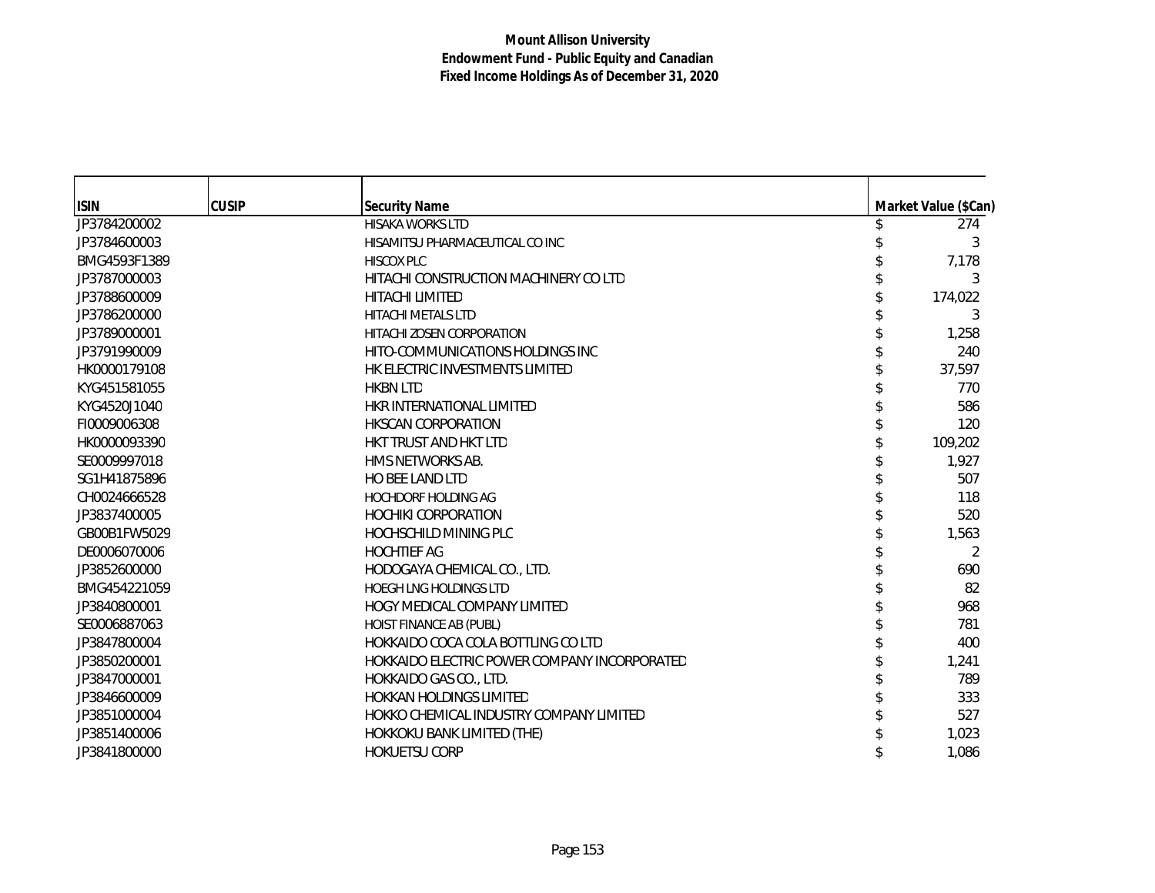| <b>ISIN</b>  | <b>CUSIP</b> | <b>Security Name</b>                         | Market Value (\$Can) |
|--------------|--------------|----------------------------------------------|----------------------|
| JP3784200002 |              | HISAKA WORKS LTD                             | 274                  |
| JP3784600003 |              | HISAMITSU PHARMACEUTICAL CO INC              | 3                    |
| BMG4593F1389 |              | <b>HISCOX PLC</b>                            | 7,178                |
| JP3787000003 |              | HITACHI CONSTRUCTION MACHINERY CO LTD        | 3                    |
| JP3788600009 |              | <b>HITACHI LIMITED</b>                       | 174,022              |
| JP3786200000 |              | <b>HITACHI METALS LTD</b>                    | 3                    |
| JP3789000001 |              | <b>HITACHI ZOSEN CORPORATION</b>             | 1,258                |
| JP3791990009 |              | HITO-COMMUNICATIONS HOLDINGS INC             | 240                  |
| HK0000179108 |              | HK ELECTRIC INVESTMENTS LIMITED              | 37,597               |
| KYG451581055 |              | <b>HKBN LTD</b>                              | 770                  |
| KYG4520J1040 |              | HKR INTERNATIONAL LIMITED                    | 586                  |
| FI0009006308 |              | <b>HKSCAN CORPORATION</b>                    | 120                  |
| HK0000093390 |              | HKT TRUST AND HKT LTD                        | 109,202              |
| SE0009997018 |              | HMS NETWORKS AB.                             | 1,927                |
| SG1H41875896 |              | HO BEE LAND LTD                              | 507                  |
| CH0024666528 |              | <b>HOCHDORF HOLDING AG</b>                   | 118                  |
| JP3837400005 |              | <b>HOCHIKI CORPORATION</b>                   | 520                  |
| GB00B1FW5029 |              | <b>HOCHSCHILD MINING PLC</b>                 | 1,563                |
| DE0006070006 |              | <b>HOCHTIEF AG</b>                           | 2                    |
| JP3852600000 |              | HODOGAYA CHEMICAL CO., LTD.                  | 690                  |
| BMG454221059 |              | HOEGH LNG HOLDINGS LTD                       | 82                   |
| JP3840800001 |              | HOGY MEDICAL COMPANY LIMITED                 | 968                  |
| SE0006887063 |              | HOIST FINANCE AB (PUBL)                      | 781                  |
| JP3847800004 |              | HOKKAIDO COCA COLA BOTTLING CO LTD           | 400                  |
| JP3850200001 |              | HOKKAIDO ELECTRIC POWER COMPANY INCORPORATED | 1,241                |
| JP3847000001 |              | HOKKAIDO GAS CO., LTD.                       | 789                  |
| JP3846600009 |              | <b>HOKKAN HOLDINGS LIMITED</b>               | 333                  |
| JP3851000004 |              | HOKKO CHEMICAL INDUSTRY COMPANY LIMITED      | 527                  |
| JP3851400006 |              | HOKKOKU BANK LIMITED (THE)                   | 1,023                |
| JP3841800000 |              | <b>HOKUETSU CORP</b>                         | 1,086                |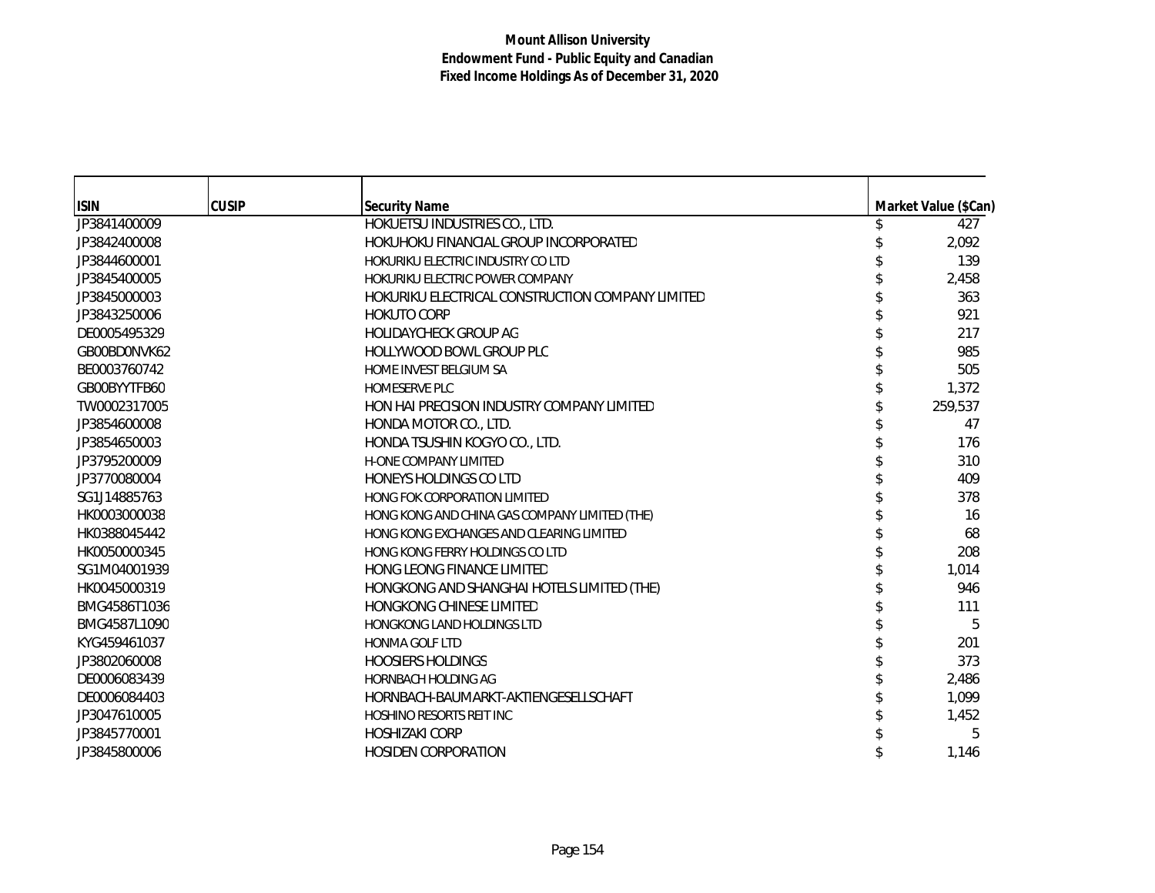| <b>ISIN</b>  | <b>CUSIP</b> | <b>Security Name</b>                             | Market Value (\$Can) |
|--------------|--------------|--------------------------------------------------|----------------------|
| JP3841400009 |              | HOKUETSU INDUSTRIES CO., LTD.                    | 427                  |
| JP3842400008 |              | HOKUHOKU FINANCIAL GROUP INCORPORATED            | 2,092                |
| JP3844600001 |              | HOKURIKU ELECTRIC INDUSTRY CO LTD                | 139                  |
| JP3845400005 |              | HOKURIKU ELECTRIC POWER COMPANY                  | 2,458                |
| JP3845000003 |              | HOKURIKU ELECTRICAL CONSTRUCTION COMPANY LIMITED | 363                  |
| JP3843250006 |              | <b>HOKUTO CORP</b>                               | 921                  |
| DE0005495329 |              | <b>HOLIDAYCHECK GROUP AG</b>                     | 217                  |
| GB00BD0NVK62 |              | HOLLYWOOD BOWL GROUP PLC                         | 985                  |
| BE0003760742 |              | <b>HOME INVEST BELGIUM SA</b>                    | 505                  |
| GB00BYYTFB60 |              | <b>HOMESERVE PLC</b>                             | 1,372                |
| TW0002317005 |              | HON HAI PRECISION INDUSTRY COMPANY LIMITED       | 259,537              |
| JP3854600008 |              | HONDA MOTOR CO., LTD.                            | 47                   |
| JP3854650003 |              | HONDA TSUSHIN KOGYO CO., LTD.                    | 176                  |
| JP3795200009 |              | <b>H-ONE COMPANY LIMITED</b>                     | 310                  |
| JP3770080004 |              | HONEYS HOLDINGS CO LTD                           | 409                  |
| SG1J14885763 |              | <b>HONG FOK CORPORATION LIMITED</b>              | 378                  |
| HK0003000038 |              | HONG KONG AND CHINA GAS COMPANY LIMITED (THE)    | 16                   |
| HK0388045442 |              | HONG KONG EXCHANGES AND CLEARING LIMITED         | 68                   |
| HK0050000345 |              | HONG KONG FERRY HOLDINGS CO LTD                  | 208                  |
| SG1M04001939 |              | HONG LEONG FINANCE LIMITED                       | 1,014                |
| HK0045000319 |              | HONGKONG AND SHANGHAI HOTELS LIMITED (THE)       | 946                  |
| BMG4586T1036 |              | <b>HONGKONG CHINESE LIMITED</b>                  | 111                  |
| BMG4587L1090 |              | <b>HONGKONG LAND HOLDINGS LTD</b>                | 5                    |
| KYG459461037 |              | <b>HONMA GOLF LTD</b>                            | 201                  |
| JP3802060008 |              | <b>HOOSIERS HOLDINGS</b>                         | 373                  |
| DE0006083439 |              | <b>HORNBACH HOLDING AG</b>                       | 2,486                |
| DE0006084403 |              | HORNBACH-BAUMARKT-AKTIENGESELLSCHAFT             | 1,099                |
| JP3047610005 |              | <b>HOSHINO RESORTS REIT INC</b>                  | 1,452                |
| JP3845770001 |              | <b>HOSHIZAKI CORP</b>                            | 5                    |
| JP3845800006 |              | <b>HOSIDEN CORPORATION</b>                       | 1,146                |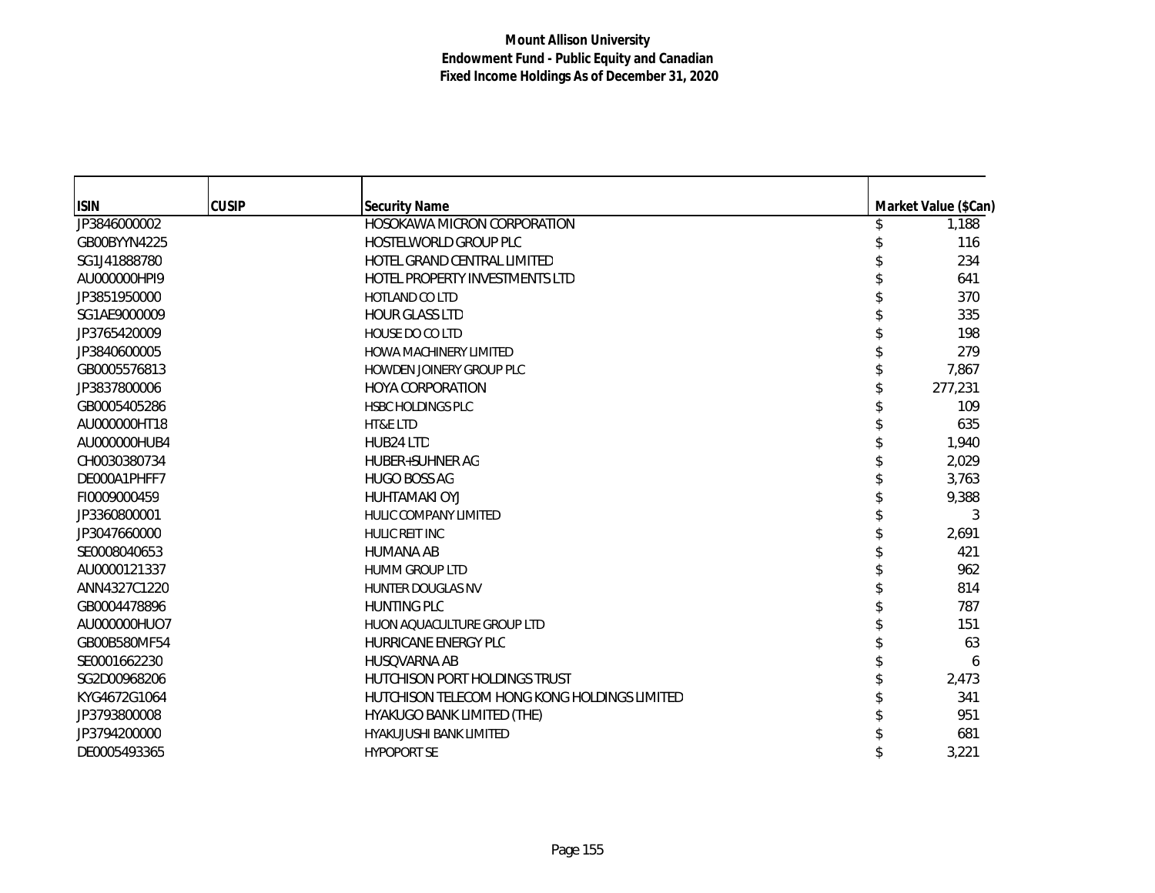| <b>ISIN</b>  | <b>CUSIP</b> | <b>Security Name</b>                         | Market Value (\$Can) |
|--------------|--------------|----------------------------------------------|----------------------|
| JP3846000002 |              | HOSOKAWA MICRON CORPORATION                  | 1,188                |
| GB00BYYN4225 |              | HOSTELWORLD GROUP PLC                        | 116                  |
| SG1J41888780 |              | HOTEL GRAND CENTRAL LIMITED                  | 234                  |
| AU000000HPI9 |              | HOTEL PROPERTY INVESTMENTS LTD               | 641                  |
| JP3851950000 |              | <b>HOTLAND CO LTD</b>                        | 370                  |
| SG1AE9000009 |              | <b>HOUR GLASS LTD</b>                        | 335                  |
| JP3765420009 |              | <b>HOUSE DO CO LTD</b>                       | 198                  |
| JP3840600005 |              | HOWA MACHINERY LIMITED                       | 279                  |
| GB0005576813 |              | HOWDEN JOINERY GROUP PLC                     | 7,867                |
| JP3837800006 |              | <b>HOYA CORPORATION</b>                      | 277,231              |
| GB0005405286 |              | <b>HSBC HOLDINGS PLC</b>                     | 109                  |
| AU000000HT18 |              | HT&E LTD                                     | 635                  |
| AU000000HUB4 |              | HUB24 LTD                                    | 1,940                |
| CH0030380734 |              | <b>HUBER+SUHNER AG</b>                       | 2,029                |
| DE000A1PHFF7 |              | <b>HUGO BOSS AG</b>                          | 3,763                |
| FI0009000459 |              | <b>HUHTAMAKI OYJ</b>                         | 9,388                |
| JP3360800001 |              | <b>HULIC COMPANY LIMITED</b>                 | 3                    |
| JP3047660000 |              | <b>HULIC REIT INC</b>                        | 2,691                |
| SE0008040653 |              | <b>HUMANA AB</b>                             | 421                  |
| AU0000121337 |              | <b>HUMM GROUP LTD</b>                        | 962                  |
| ANN4327C1220 |              | <b>HUNTER DOUGLAS NV</b>                     | 814                  |
| GB0004478896 |              | <b>HUNTING PLC</b>                           | 787                  |
| AU000000HUO7 |              | HUON AQUACULTURE GROUP LTD                   | 151                  |
| GB00B580MF54 |              | HURRICANE ENERGY PLC                         | 63                   |
| SE0001662230 |              | <b>HUSQVARNA AB</b>                          | 6                    |
| SG2D00968206 |              | <b>HUTCHISON PORT HOLDINGS TRUST</b>         | 2,473                |
| KYG4672G1064 |              | HUTCHISON TELECOM HONG KONG HOLDINGS LIMITED | 341                  |
| JP3793800008 |              | HYAKUGO BANK LIMITED (THE)                   | 951                  |
| JP3794200000 |              | <b>HYAKUJUSHI BANK LIMITED</b>               | 681                  |
| DE0005493365 |              | <b>HYPOPORT SE</b>                           | 3,221                |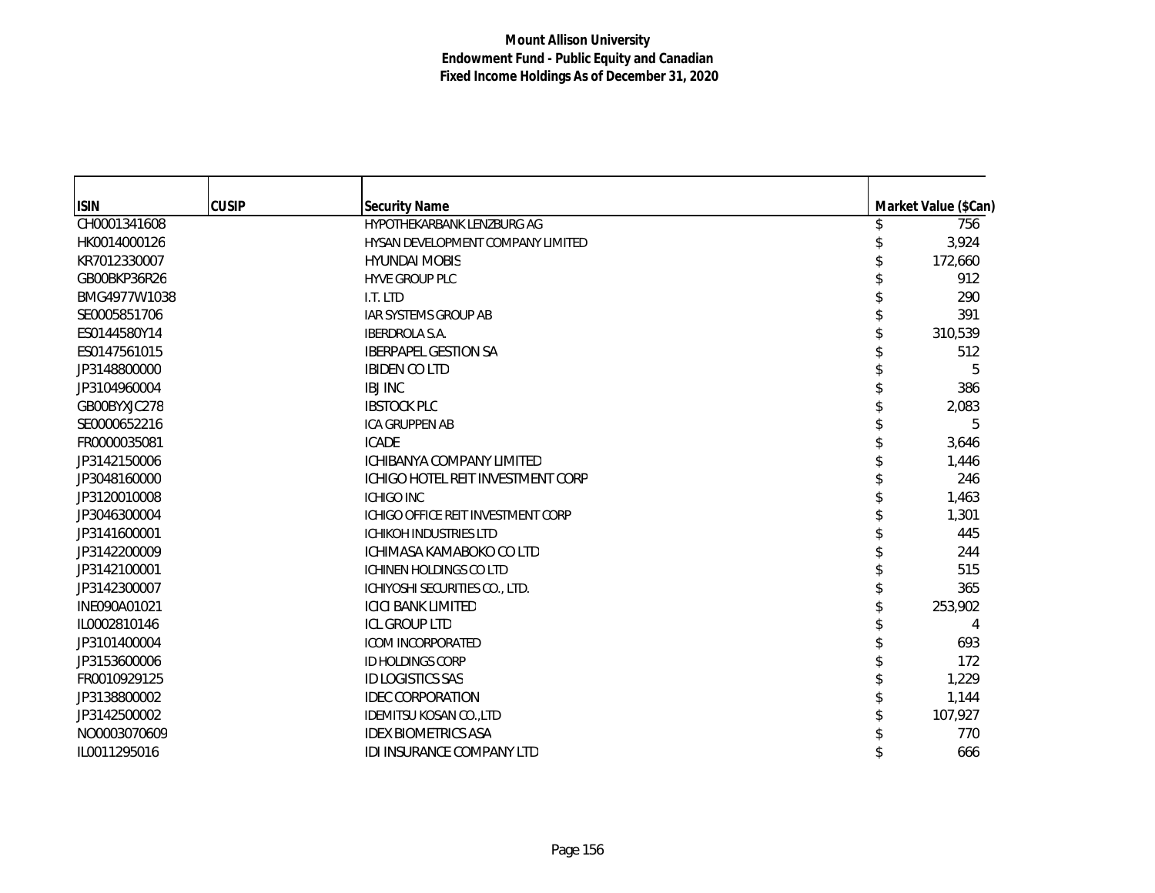| <b>ISIN</b>  | <b>CUSIP</b> | <b>Security Name</b>               | Market Value (\$Can) |
|--------------|--------------|------------------------------------|----------------------|
| CH0001341608 |              | HYPOTHEKARBANK LENZBURG AG         | 756                  |
| HK0014000126 |              | HYSAN DEVELOPMENT COMPANY LIMITED  | 3,924                |
| KR7012330007 |              | <b>HYUNDAI MOBIS</b>               | 172,660              |
| GB00BKP36R26 |              | <b>HYVE GROUP PLC</b>              | 912                  |
| BMG4977W1038 |              | I.T. LTD                           | 290                  |
| SE0005851706 |              | <b>IAR SYSTEMS GROUP AB</b>        | 391                  |
| ES0144580Y14 |              | <b>IBERDROLA S.A.</b>              | 310,539              |
| ES0147561015 |              | <b>IBERPAPEL GESTION SA</b>        | 512                  |
| JP3148800000 |              | <b>IBIDEN CO LTD</b>               | 5                    |
|              |              |                                    |                      |
| JP3104960004 |              | <b>IBJ INC</b>                     | 386                  |
| GB00BYXJC278 |              | <b>IBSTOCK PLC</b>                 | 2,083                |
| SE0000652216 |              | <b>ICA GRUPPEN AB</b>              | 5                    |
| FR0000035081 |              | <b>ICADE</b>                       | 3,646                |
| JP3142150006 |              | <b>ICHIBANYA COMPANY LIMITED</b>   | 1,446                |
| JP3048160000 |              | ICHIGO HOTEL REIT INVESTMENT CORP  | 246                  |
| JP3120010008 |              | <b>ICHIGO INC</b>                  | 1,463                |
| JP3046300004 |              | ICHIGO OFFICE REIT INVESTMENT CORP | 1,301                |
| JP3141600001 |              | <b>ICHIKOH INDUSTRIES LTD</b>      | 445                  |
| JP3142200009 |              | ICHIMASA KAMABOKO CO LTD           | 244                  |
| JP3142100001 |              | <b>ICHINEN HOLDINGS CO LTD</b>     | 515                  |
| JP3142300007 |              | ICHIYOSHI SECURITIES CO., LTD.     | 365                  |
| INE090A01021 |              | <b>ICICI BANK LIMITED</b>          | 253,902              |
| IL0002810146 |              | <b>ICL GROUP LTD</b>               | 4                    |
| JP3101400004 |              | <b>ICOM INCORPORATED</b>           | 693                  |
| JP3153600006 |              | ID HOLDINGS CORP                   | 172                  |
| FR0010929125 |              | <b>ID LOGISTICS SAS</b>            | 1,229                |
| JP3138800002 |              | <b>IDEC CORPORATION</b>            | 1,144                |
| JP3142500002 |              | <b>IDEMITSU KOSAN CO., LTD</b>     | 107,927              |
| NO0003070609 |              | <b>IDEX BIOMETRICS ASA</b>         | 770                  |
| IL0011295016 |              | <b>IDI INSURANCE COMPANY LTD</b>   | 666                  |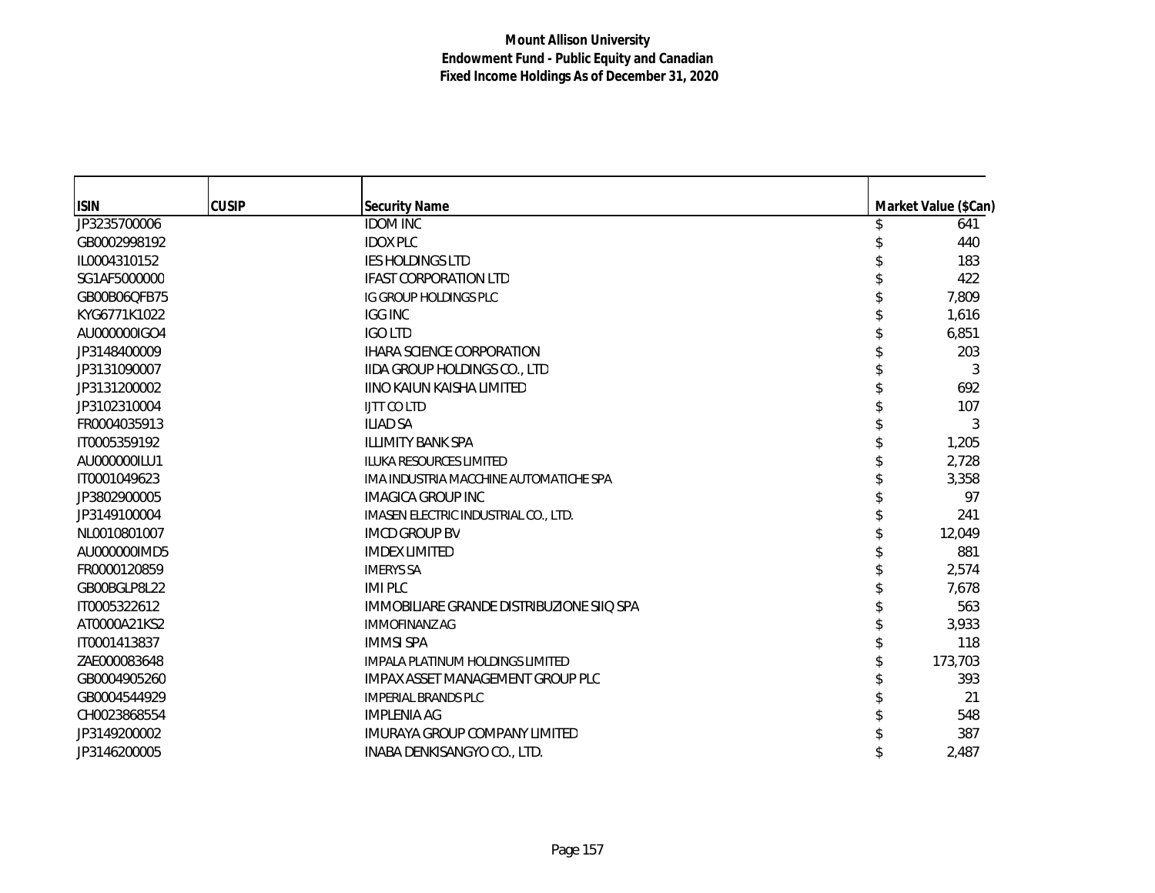| <b>ISIN</b>  | <b>CUSIP</b> | <b>Security Name</b>                      | Market Value (\$Can) |
|--------------|--------------|-------------------------------------------|----------------------|
| JP3235700006 |              | <b>IDOM INC</b>                           | 641                  |
| GB0002998192 |              | <b>IDOX PLC</b>                           | 440                  |
| IL0004310152 |              | IES HOLDINGS LTD                          | 183                  |
| SG1AF5000000 |              | <b>IFAST CORPORATION LTD</b>              | 422                  |
| GB00B06QFB75 |              | IG GROUP HOLDINGS PLC                     | 7,809                |
| KYG6771K1022 |              | <b>IGG INC</b>                            | 1,616                |
| AU000000IGO4 |              | <b>IGO LTD</b>                            | 6,851                |
| JP3148400009 |              | <b>IHARA SCIENCE CORPORATION</b>          | 203                  |
| JP3131090007 |              | <b>IIDA GROUP HOLDINGS CO., LTD</b>       | 3                    |
| JP3131200002 |              | <b>IINO KAIUN KAISHA LIMITED</b>          | 692                  |
| JP3102310004 |              | <b>LITT CO LTD</b>                        | 107                  |
| FR0004035913 |              | <b>ILIAD SA</b>                           | 3                    |
| IT0005359192 |              | <b>ILLIMITY BANK SPA</b>                  | 1,205                |
| AU000000ILU1 |              | <b>ILUKA RESOURCES LIMITED</b>            | 2,728                |
| IT0001049623 |              | IMA INDUSTRIA MACCHINE AUTOMATICHE SPA    | 3,358                |
| JP3802900005 |              | <b>IMAGICA GROUP INC</b>                  | 97                   |
| JP3149100004 |              | IMASEN ELECTRIC INDUSTRIAL CO., LTD.      | 241                  |
| NL0010801007 |              | <b>IMCD GROUP BV</b>                      | 12,049               |
| AU000000IMD5 |              | <b>IMDEX LIMITED</b>                      | 881                  |
| FR0000120859 |              | <b>IMERYS SA</b>                          | 2,574                |
| GB00BGLP8L22 |              | <b>IMIPLC</b>                             | 7,678                |
| IT0005322612 |              | IMMOBILIARE GRANDE DISTRIBUZIONE SIIQ SPA | 563                  |
| AT0000A21KS2 |              | <b>IMMOFINANZ AG</b>                      | 3,933                |
| IT0001413837 |              | <b>IMMSI SPA</b>                          | 118                  |
| ZAE000083648 |              | IMPALA PLATINUM HOLDINGS LIMITED          | 173,703              |
| GB0004905260 |              | <b>IMPAX ASSET MANAGEMENT GROUP PLC</b>   | 393                  |
| GB0004544929 |              | <b>IMPERIAL BRANDS PLC</b>                | 21                   |
| CH0023868554 |              | <b>IMPLENIA AG</b>                        | 548                  |
| JP3149200002 |              | <b>IMURAYA GROUP COMPANY LIMITED</b>      | 387                  |
| JP3146200005 |              | INABA DENKISANGYO CO., LTD.               | 2,487                |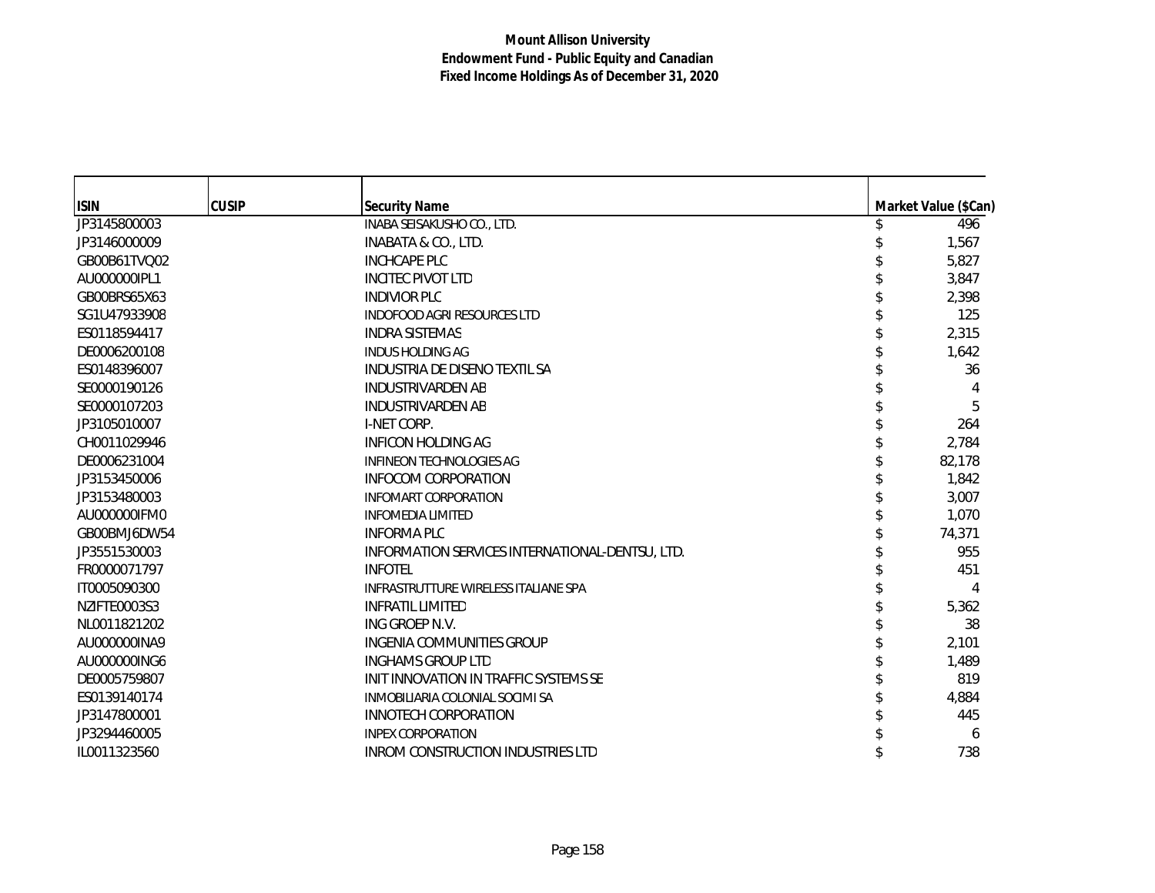| <b>ISIN</b>  | <b>CUSIP</b> | <b>Security Name</b>                            | Market Value (\$Can) |
|--------------|--------------|-------------------------------------------------|----------------------|
| JP3145800003 |              | INABA SEISAKUSHO CO., LTD.                      | 496                  |
| JP3146000009 |              | INABATA & CO., LTD.                             | 1,567                |
| GB00B61TVQ02 |              | <b>INCHCAPE PLC</b>                             | 5,827                |
| AU000000IPL1 |              | <b>INCITEC PIVOT LTD</b>                        | 3,847                |
| GB00BRS65X63 |              | <b>INDIVIOR PLC</b>                             | 2,398                |
| SG1U47933908 |              | <b>INDOFOOD AGRI RESOURCES LTD</b>              | 125                  |
| ES0118594417 |              | <b>INDRA SISTEMAS</b>                           | 2,315                |
| DE0006200108 |              | <b>INDUS HOLDING AG</b>                         | 1,642                |
| ES0148396007 |              | INDUSTRIA DE DISENO TEXTIL SA                   | 36                   |
| SE0000190126 |              | <b>INDUSTRIVARDEN AB</b>                        |                      |
| SE0000107203 |              | <b>INDUSTRIVARDEN AB</b>                        | 5                    |
| JP3105010007 |              | I-NET CORP.                                     | 264                  |
| CH0011029946 |              | <b>INFICON HOLDING AG</b>                       | 2,784                |
| DE0006231004 |              | <b>INFINEON TECHNOLOGIES AG</b>                 | 82,178               |
| JP3153450006 |              | <b>INFOCOM CORPORATION</b>                      | 1,842                |
| JP3153480003 |              | <b>INFOMART CORPORATION</b>                     | 3,007                |
| AU000000IFM0 |              | <b>INFOMEDIA LIMITED</b>                        | 1,070                |
| GB00BMJ6DW54 |              | <b>INFORMA PLC</b>                              | 74,371               |
| JP3551530003 |              | INFORMATION SERVICES INTERNATIONAL-DENTSU, LTD. | 955                  |
| FR0000071797 |              | <b>INFOTEL</b>                                  | 451                  |
| IT0005090300 |              | INFRASTRUTTURE WIRELESS ITALIANE SPA            |                      |
| NZIFTE0003S3 |              | <b>INFRATIL LIMITED</b>                         | 5,362                |
| NL0011821202 |              | ING GROEP N.V.                                  | 38                   |
| AU000000INA9 |              | INGENIA COMMUNITIES GROUP                       | 2,101                |
| AU000000ING6 |              | <b>INGHAMS GROUP LTD</b>                        | 1,489                |
| DE0005759807 |              | INIT INNOVATION IN TRAFFIC SYSTEMS SE           | 819                  |
| ES0139140174 |              | INMOBILIARIA COLONIAL SOCIMI SA                 | 4,884                |
| JP3147800001 |              | INNOTECH CORPORATION                            | 445                  |
| JP3294460005 |              | <b>INPEX CORPORATION</b>                        | 6                    |
| IL0011323560 |              | <b>INROM CONSTRUCTION INDUSTRIES LTD</b>        | 738                  |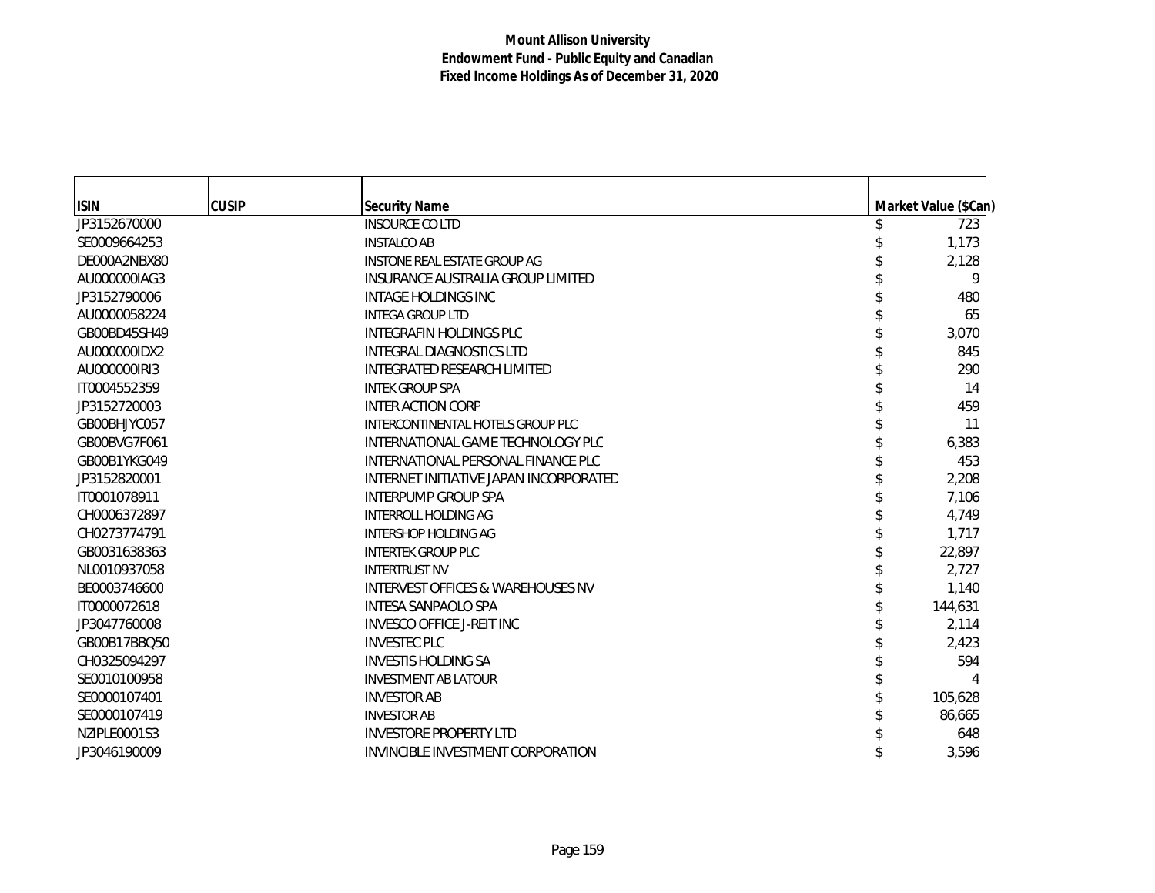| <b>ISIN</b>  | <b>CUSIP</b> | <b>Security Name</b>                   | Market Value (\$Can) |
|--------------|--------------|----------------------------------------|----------------------|
| JP3152670000 |              | <b>INSOURCE COLTD</b>                  | 723                  |
| SE0009664253 |              | <b>INSTALCO AB</b>                     | 1,173                |
| DE000A2NBX80 |              | <b>INSTONE REAL ESTATE GROUP AG</b>    | 2,128                |
| AU000000IAG3 |              | INSURANCE AUSTRALIA GROUP LIMITED      | 9                    |
| JP3152790006 |              | INTAGE HOLDINGS INC                    | 480                  |
| AU0000058224 |              | <b>INTEGA GROUP LTD</b>                | 65                   |
| GB00BD45SH49 |              | <b>INTEGRAFIN HOLDINGS PLC</b>         | 3,070                |
| AU000000IDX2 |              | <b>INTEGRAL DIAGNOSTICS LTD</b>        | 845                  |
| AU000000IRI3 |              | INTEGRATED RESEARCH LIMITED            | 290                  |
| IT0004552359 |              | <b>INTEK GROUP SPA</b>                 | 14                   |
| JP3152720003 |              | <b>INTER ACTION CORP</b>               | 459                  |
| GB00BHJYC057 |              | INTERCONTINENTAL HOTELS GROUP PLC      | 11                   |
| GB00BVG7F061 |              | INTERNATIONAL GAME TECHNOLOGY PLC      | 6,383                |
| GB00B1YKG049 |              | INTERNATIONAL PERSONAL FINANCE PLC     | 453                  |
| JP3152820001 |              | INTERNET INITIATIVE JAPAN INCORPORATED | 2,208                |
| IT0001078911 |              | INTERPUMP GROUP SPA                    | 7,106                |
| CH0006372897 |              | <b>INTERROLL HOLDING AG</b>            | 4,749                |
| CH0273774791 |              | <b>INTERSHOP HOLDING AG</b>            | 1,717                |
| GB0031638363 |              | <b>INTERTEK GROUP PLC</b>              | 22,897               |
| NL0010937058 |              | <b>INTERTRUST NV</b>                   | 2.727                |
| BE0003746600 |              | INTERVEST OFFICES & WAREHOUSES NV      | 1,140                |
| IT0000072618 |              | <b>INTESA SANPAOLO SPA</b>             | 144,631              |
| JP3047760008 |              | <b>INVESCO OFFICE J-REIT INC</b>       | 2,114                |
| GB00B17BBQ50 |              | <b>INVESTEC PLC</b>                    | 2,423                |
| CH0325094297 |              | <b>INVESTIS HOLDING SA</b>             | 594                  |
| SE0010100958 |              | <b>INVESTMENT AB LATOUR</b>            |                      |
| SE0000107401 |              | <b>INVESTOR AB</b>                     | 105,628              |
| SE0000107419 |              | <b>INVESTOR AB</b>                     | 86,665               |
| NZIPLE0001S3 |              | <b>INVESTORE PROPERTY LTD</b>          | 648                  |
| JP3046190009 |              | INVINCIBLE INVESTMENT CORPORATION      | 3,596                |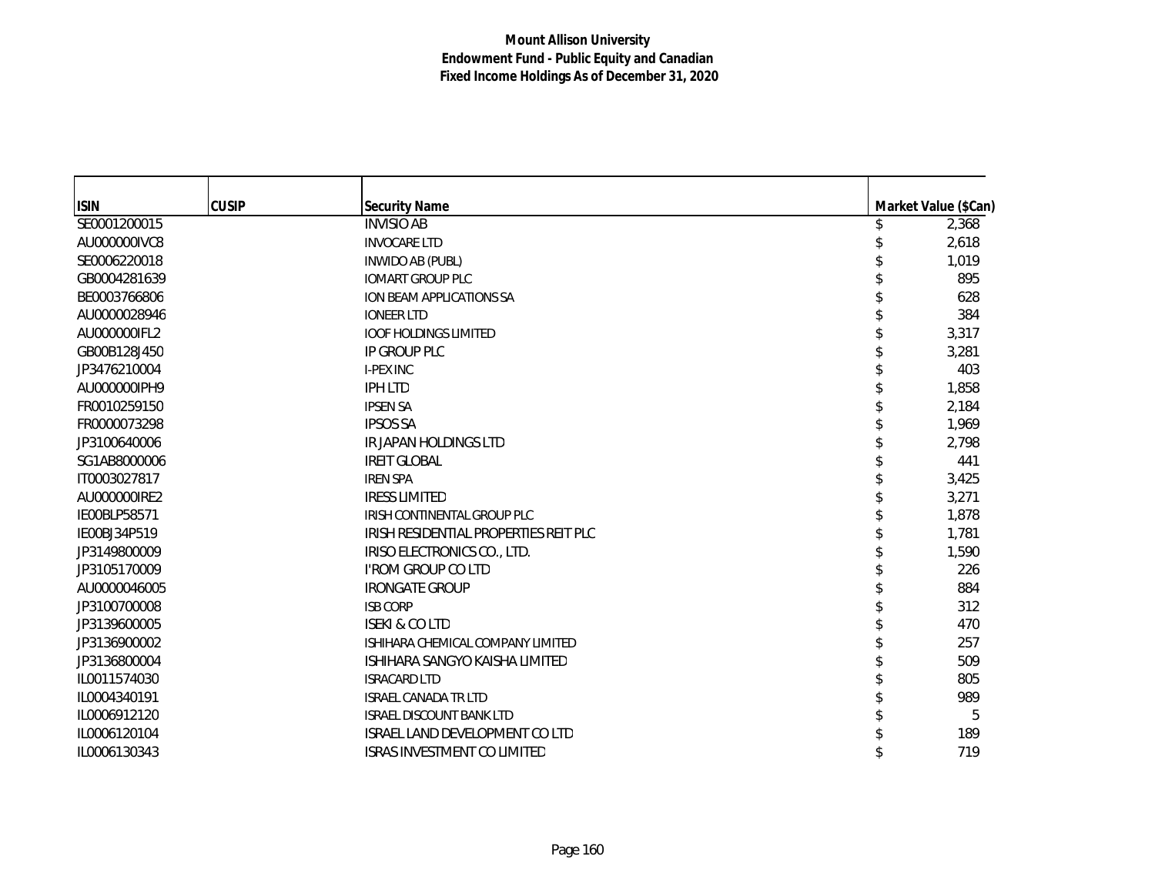| <b>ISIN</b>  | <b>CUSIP</b> | <b>Security Name</b>                               | Market Value (\$Can) |
|--------------|--------------|----------------------------------------------------|----------------------|
| SE0001200015 |              | <b>INVISIO AB</b>                                  | 2,368                |
| AU000000IVC8 |              | <b>INVOCARE LTD</b>                                | 2,618                |
| SE0006220018 |              |                                                    |                      |
| GB0004281639 |              | <b>INWIDO AB (PUBL)</b><br><b>IOMART GROUP PLC</b> | 1,019<br>895         |
| BE0003766806 |              |                                                    | 628                  |
|              |              | ION BEAM APPLICATIONS SA                           |                      |
| AU0000028946 |              | <b>IONEER LTD</b>                                  | 384                  |
| AU000000IFL2 |              | <b>IOOF HOLDINGS LIMITED</b>                       | 3,317                |
| GB00B128J450 |              | IP GROUP PLC                                       | 3,281                |
| JP3476210004 |              | <b>I-PEX INC</b>                                   | 403                  |
| AU000000IPH9 |              | <b>IPH LTD</b>                                     | 1,858                |
| FR0010259150 |              | <b>IPSEN SA</b>                                    | 2,184                |
| FR0000073298 |              | <b>IPSOS SA</b>                                    | 1,969                |
| JP3100640006 |              | IR JAPAN HOLDINGS LTD                              | 2,798                |
| SG1AB8000006 |              | <b>IREIT GLOBAL</b>                                | 441                  |
| IT0003027817 |              | <b>IREN SPA</b>                                    | 3,425                |
| AU000000IRE2 |              | <b>IRESS LIMITED</b>                               | 3,271                |
| IE00BLP58571 |              | IRISH CONTINENTAL GROUP PLC                        | 1,878                |
| IE00BJ34P519 |              | IRISH RESIDENTIAL PROPERTIES REIT PLC              | 1,781                |
| JP3149800009 |              | IRISO ELECTRONICS CO., LTD.                        | 1,590                |
| JP3105170009 |              | I'ROM GROUP CO LTD                                 | 226                  |
| AU0000046005 |              | <b>IRONGATE GROUP</b>                              | 884                  |
| JP3100700008 |              | <b>ISB CORP</b>                                    | 312                  |
| JP3139600005 |              | <b>ISEKI &amp; CO LTD</b>                          | 470                  |
| JP3136900002 |              | ISHIHARA CHEMICAL COMPANY LIMITED                  | 257                  |
| JP3136800004 |              | ISHIHARA SANGYO KAISHA LIMITED                     | 509                  |
| IL0011574030 |              | <b>ISRACARD LTD</b>                                | 805                  |
| IL0004340191 |              | <b>ISRAEL CANADA TR LTD</b>                        | 989                  |
| IL0006912120 |              | <b>ISRAEL DISCOUNT BANK LTD</b>                    | 5                    |
| IL0006120104 |              | <b>ISRAEL LAND DEVELOPMENT CO LTD</b>              | 189                  |
| IL0006130343 |              | <b>ISRAS INVESTMENT CO LIMITED</b>                 | 719                  |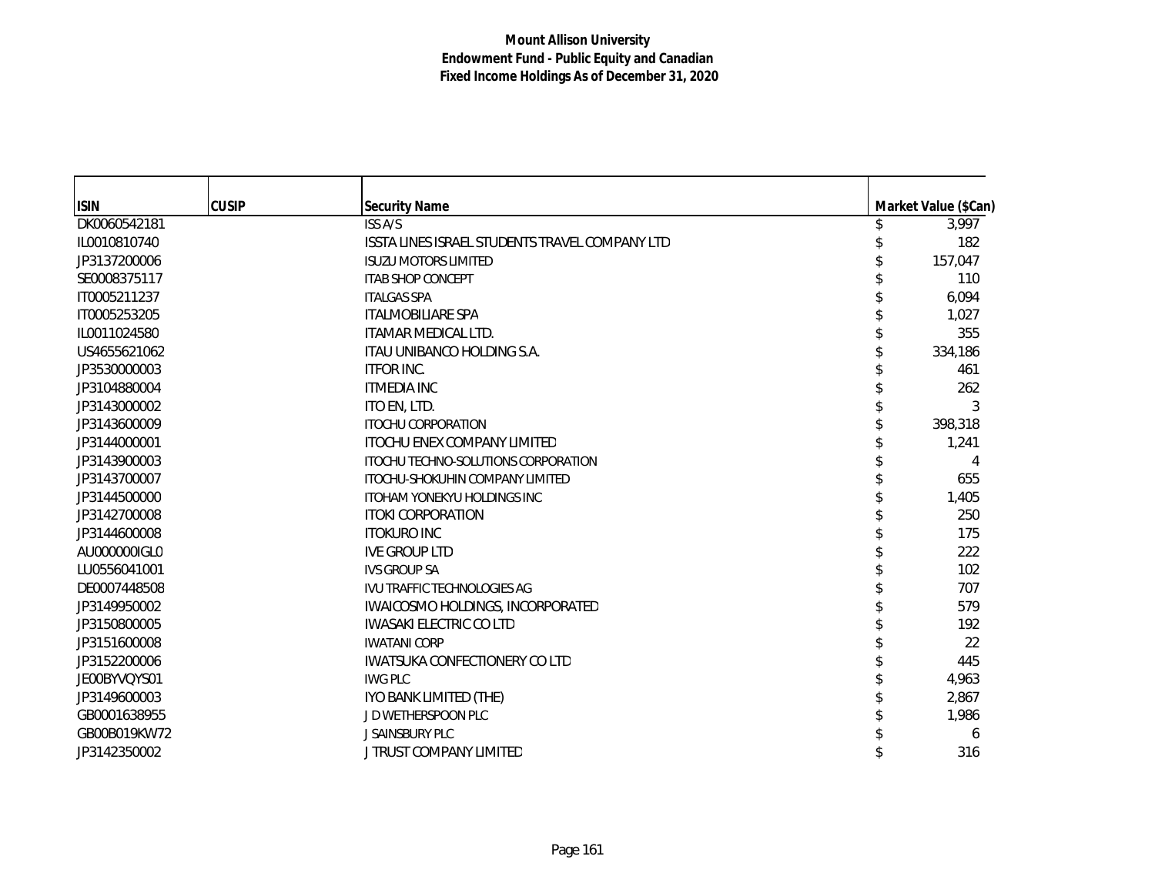| <b>ISIN</b>  | <b>CUSIP</b> | <b>Security Name</b>                           | Market Value (\$Can) |
|--------------|--------------|------------------------------------------------|----------------------|
| DK0060542181 |              | <b>ISS A/S</b>                                 | 3,997                |
| IL0010810740 |              | ISSTA LINES ISRAEL STUDENTS TRAVEL COMPANY LTD | 182                  |
| JP3137200006 |              | <b>ISUZU MOTORS LIMITED</b>                    | 157,047              |
| SE0008375117 |              | <b>ITAB SHOP CONCEPT</b>                       | 110                  |
| IT0005211237 |              | <b>ITALGAS SPA</b>                             | 6,094                |
| IT0005253205 |              | <b>ITALMOBILIARE SPA</b>                       | 1,027                |
| IL0011024580 |              | <b>ITAMAR MEDICAL LTD.</b>                     | 355                  |
| US4655621062 |              | ITAU UNIBANCO HOLDING S.A.                     | 334,186              |
| JP3530000003 |              | <b>ITFOR INC.</b>                              | 461                  |
| JP3104880004 |              | <b>ITMEDIA INC</b>                             | 262                  |
| JP3143000002 |              | ITO EN, LTD.                                   | 3                    |
| JP3143600009 |              | <b>ITOCHU CORPORATION</b>                      | 398,318              |
| JP3144000001 |              | <b>ITOCHU ENEX COMPANY LIMITED</b>             | 1,241                |
| JP3143900003 |              | ITOCHU TECHNO-SOLUTIONS CORPORATION            | 4                    |
| JP3143700007 |              | <b>ITOCHU-SHOKUHIN COMPANY LIMITED</b>         | 655                  |
| JP3144500000 |              | <b>ITOHAM YONEKYU HOLDINGS INC</b>             | 1,405                |
| JP3142700008 |              | <b>ITOKI CORPORATION</b>                       | 250                  |
| JP3144600008 |              | <b>ITOKURO INC</b>                             | 175                  |
| AU000000IGL0 |              | <b>IVE GROUP LTD</b>                           | 222                  |
| LU0556041001 |              | <b>IVS GROUP SA</b>                            | 102                  |
| DE0007448508 |              | IVU TRAFFIC TECHNOLOGIES AG                    | 707                  |
| JP3149950002 |              | IWAICOSMO HOLDINGS, INCORPORATED               | 579                  |
| JP3150800005 |              | <b>IWASAKI ELECTRIC CO LTD</b>                 | 192                  |
| JP3151600008 |              | <b>IWATANI CORP</b>                            | 22                   |
| JP3152200006 |              | <b>IWATSUKA CONFECTIONERY COLTD</b>            | 445                  |
| JE00BYVQYS01 |              | <b>IWG PLC</b>                                 | 4,963                |
| JP3149600003 |              | IYO BANK LIMITED (THE)                         | 2,867                |
| GB0001638955 |              | JD WETHERSPOON PLC                             | 1,986                |
| GB00B019KW72 |              | J SAINSBURY PLC                                | 6                    |
| JP3142350002 |              | J TRUST COMPANY LIMITED                        | 316                  |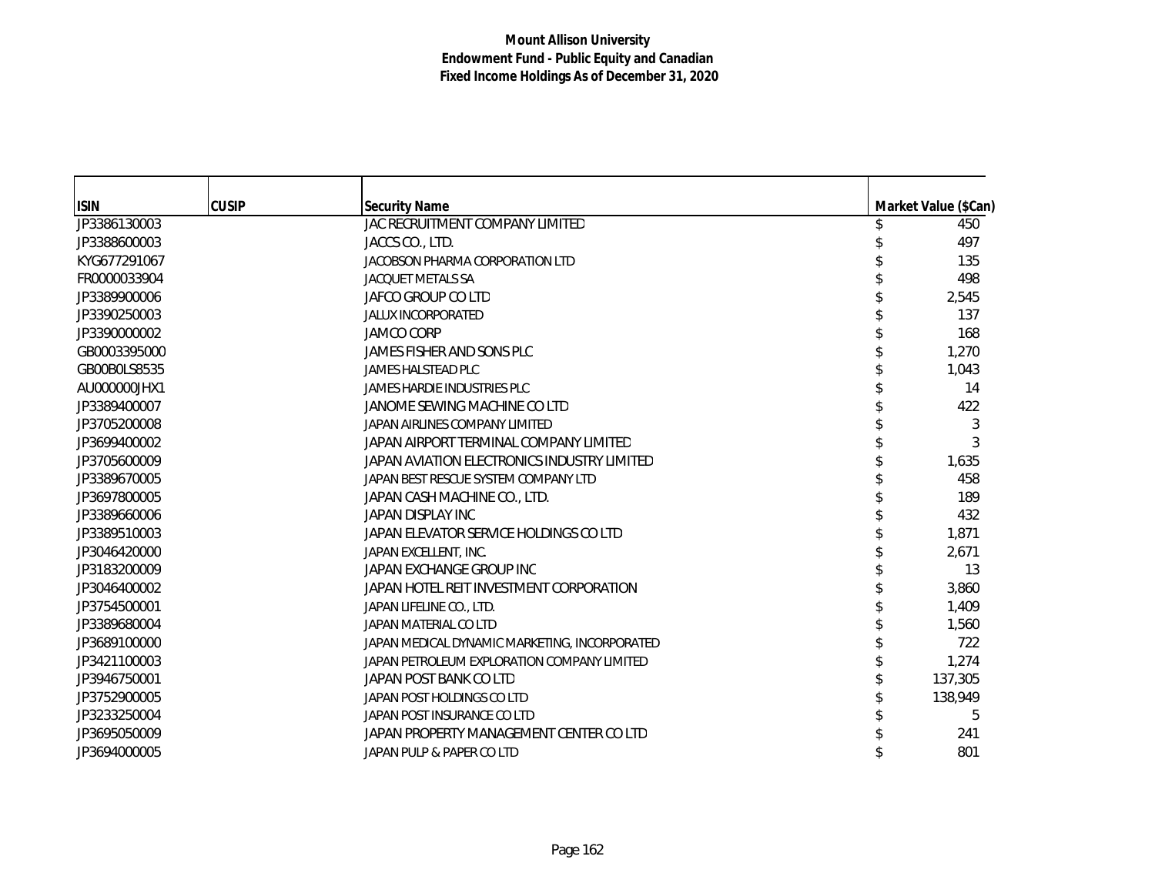| <b>ISIN</b>  | <b>CUSIP</b> | <b>Security Name</b>                          | Market Value (\$Can) |
|--------------|--------------|-----------------------------------------------|----------------------|
| JP3386130003 |              | JAC RECRUITMENT COMPANY LIMITED               | 450                  |
| JP3388600003 |              | JACCS CO., LTD.                               | 497                  |
| KYG677291067 |              | JACOBSON PHARMA CORPORATION LTD               | 135                  |
| FR0000033904 |              | <b>JACQUET METALS SA</b>                      | 498                  |
| JP3389900006 |              | JAFCO GROUP CO LTD                            | 2,545                |
| JP3390250003 |              | <b>JALUX INCORPORATED</b>                     | 137                  |
| JP3390000002 |              | <b>JAMCO CORP</b>                             | 168                  |
| GB0003395000 |              | JAMES FISHER AND SONS PLC                     | 1,270                |
| GB00B0LS8535 |              | <b>JAMES HALSTEAD PLC</b>                     | 1,043                |
| AU000000JHX1 |              | JAMES HARDIE INDUSTRIES PLC                   | 14                   |
| JP3389400007 |              | JANOME SEWING MACHINE CO LTD                  | 422                  |
| JP3705200008 |              | JAPAN AIRLINES COMPANY LIMITED                | 3                    |
| JP3699400002 |              | JAPAN AIRPORT TERMINAL COMPANY LIMITED        | 3                    |
| JP3705600009 |              | JAPAN AVIATION ELECTRONICS INDUSTRY LIMITED   | 1,635                |
| JP3389670005 |              | JAPAN BEST RESCUE SYSTEM COMPANY LTD          | 458                  |
| JP3697800005 |              | JAPAN CASH MACHINE CO., LTD.                  | 189                  |
| JP3389660006 |              | JAPAN DISPLAY INC                             | 432                  |
| JP3389510003 |              | JAPAN ELEVATOR SERVICE HOLDINGS CO LTD        | 1,871                |
| JP3046420000 |              | JAPAN EXCELLENT, INC.                         | 2,671                |
| JP3183200009 |              | JAPAN EXCHANGE GROUP INC                      | 13                   |
| JP3046400002 |              | JAPAN HOTEL REIT INVESTMENT CORPORATION       | 3,860                |
| JP3754500001 |              | JAPAN LIFELINE CO., LTD.                      | 1,409                |
| JP3389680004 |              | JAPAN MATERIAL CO LTD                         | 1,560                |
| JP3689100000 |              | JAPAN MEDICAL DYNAMIC MARKETING, INCORPORATED | 722                  |
| JP3421100003 |              | JAPAN PETROLEUM EXPLORATION COMPANY LIMITED   | 1,274                |
| JP3946750001 |              | JAPAN POST BANK CO LTD                        | 137,305              |
| JP3752900005 |              | JAPAN POST HOLDINGS CO LTD                    | 138,949              |
| JP3233250004 |              | JAPAN POST INSURANCE CO LTD                   | 5                    |
| JP3695050009 |              | JAPAN PROPERTY MANAGEMENT CENTER CO LTD       | 241                  |
| JP3694000005 |              | JAPAN PULP & PAPER CO LTD                     | 801                  |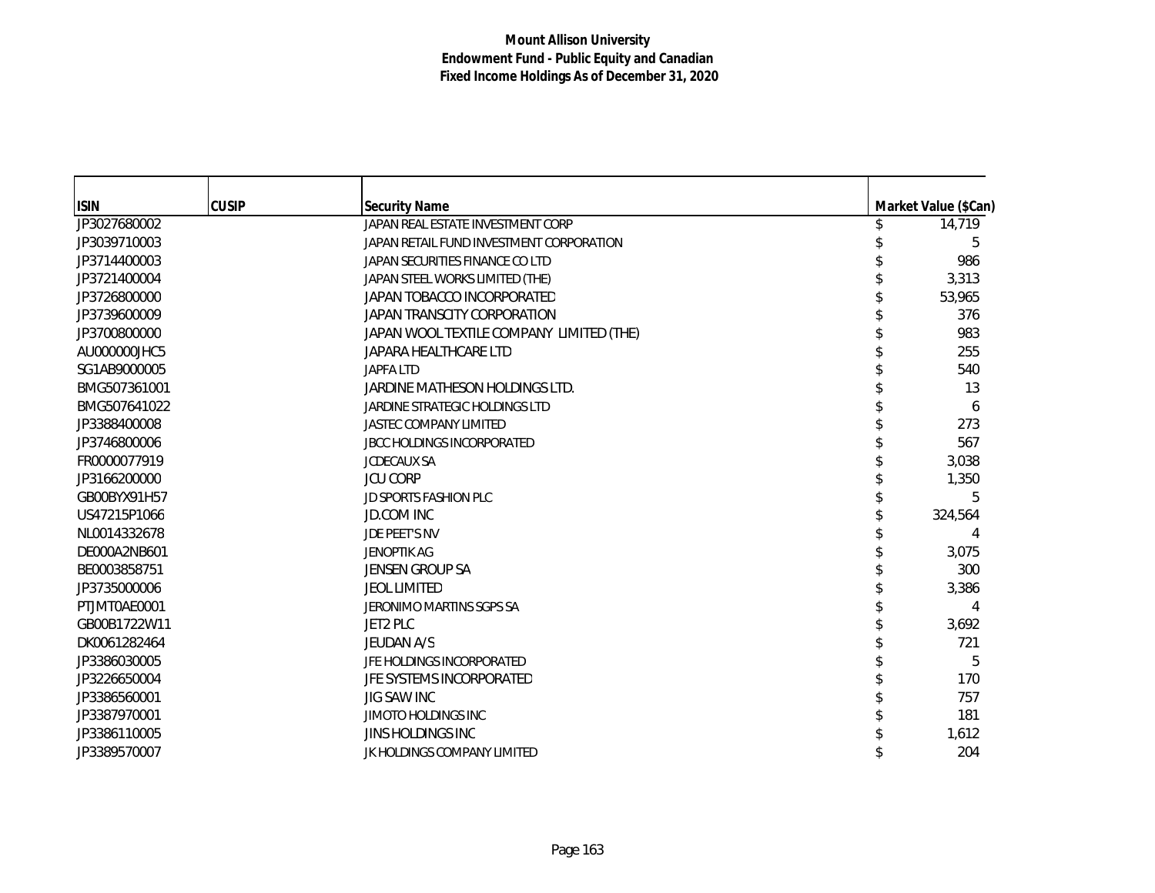| <b>ISIN</b>  | <b>CUSIP</b> | <b>Security Name</b>                     | Market Value (\$Can) |
|--------------|--------------|------------------------------------------|----------------------|
| JP3027680002 |              | JAPAN REAL ESTATE INVESTMENT CORP        | 14,719               |
| JP3039710003 |              | JAPAN RETAIL FUND INVESTMENT CORPORATION | 5                    |
| JP3714400003 |              | JAPAN SECURITIES FINANCE CO LTD          | 986                  |
| JP3721400004 |              | JAPAN STEEL WORKS LIMITED (THE)          | 3,313                |
| JP3726800000 |              | JAPAN TOBACCO INCORPORATED               | 53,965               |
|              |              |                                          |                      |
| JP3739600009 |              | JAPAN TRANSCITY CORPORATION              | 376                  |
| JP3700800000 |              | JAPAN WOOL TEXTILE COMPANY LIMITED (THE) | 983                  |
| AU000000JHC5 |              | JAPARA HEALTHCARE LTD                    | 255                  |
| SG1AB9000005 |              | <b>JAPFA LTD</b>                         | 540                  |
| BMG507361001 |              | JARDINE MATHESON HOLDINGS LTD.           | 13                   |
| BMG507641022 |              | JARDINE STRATEGIC HOLDINGS LTD           | 6                    |
| JP3388400008 |              | <b>JASTEC COMPANY LIMITED</b>            | 273                  |
| JP3746800006 |              | <b>JBCC HOLDINGS INCORPORATED</b>        | 567                  |
| FR0000077919 |              | <b>JCDECAUX SA</b>                       | 3,038                |
| JP3166200000 |              | <b>JCU CORP</b>                          | 1,350                |
| GB00BYX91H57 |              | <b>JD SPORTS FASHION PLC</b>             | 5                    |
| US47215P1066 |              | <b>JD.COM INC</b>                        | 324,564              |
| NL0014332678 |              | <b>JDE PEET'S NV</b>                     | 4                    |
| DE000A2NB601 |              | <b>JENOPTIK AG</b>                       | 3,075                |
| BE0003858751 |              | <b>JENSEN GROUP SA</b>                   | 300                  |
| JP3735000006 |              | <b>JEOL LIMITED</b>                      | 3,386                |
| PTJMT0AE0001 |              | JERONIMO MARTINS SGPS SA                 | 4                    |
| GB00B1722W11 |              | <b>JET2 PLC</b>                          | 3,692                |
| DK0061282464 |              | JEUDAN A/S                               | 721                  |
| JP3386030005 |              | JFE HOLDINGS INCORPORATED                | 5                    |
| JP3226650004 |              | JFE SYSTEMS INCORPORATED                 | 170                  |
| JP3386560001 |              | <b>JIG SAW INC</b>                       | 757                  |
| JP3387970001 |              | <b>JIMOTO HOLDINGS INC</b>               | 181                  |
| JP3386110005 |              | JINS HOLDINGS INC                        | 1,612                |
| JP3389570007 |              | JK HOLDINGS COMPANY LIMITED              | 204                  |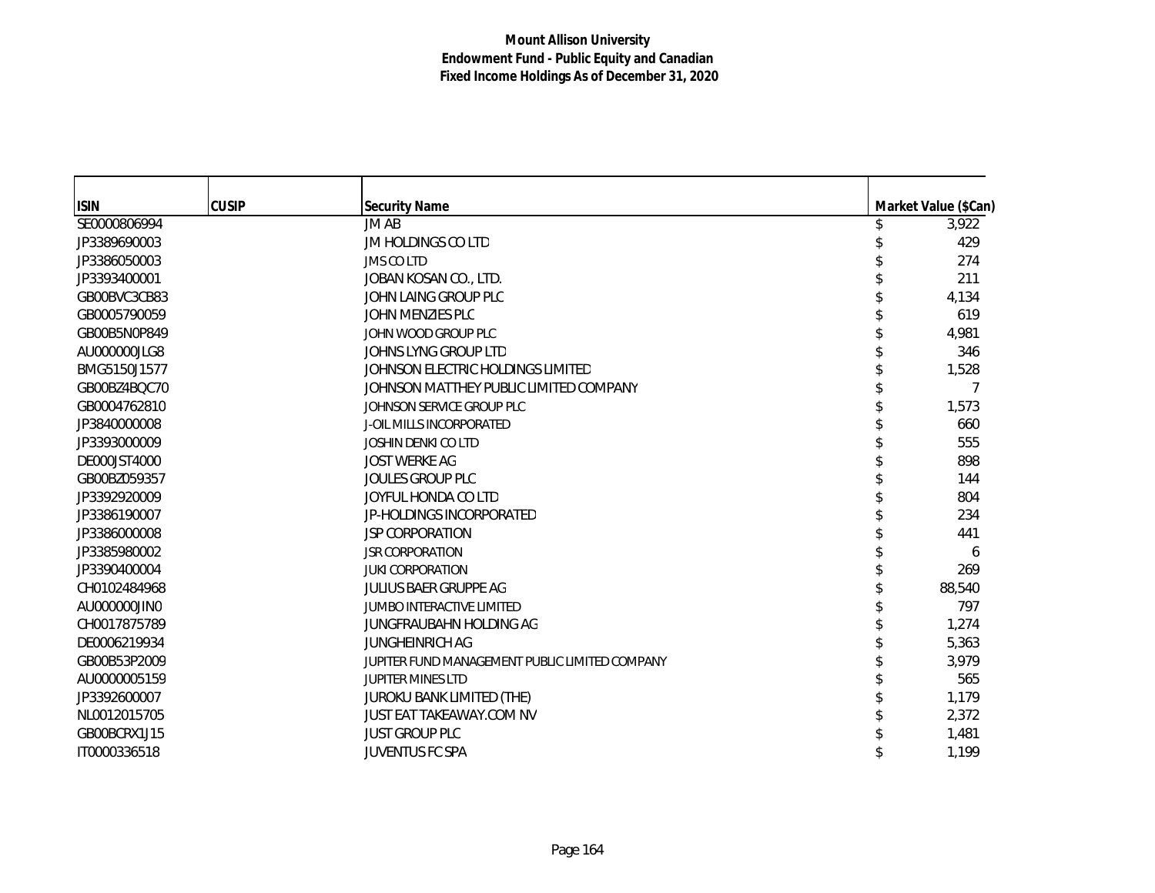| <b>ISIN</b>  | <b>CUSIP</b> | <b>Security Name</b>                           | Market Value (\$Can) |
|--------------|--------------|------------------------------------------------|----------------------|
| SE0000806994 |              | JM AB                                          | 3,922                |
| JP3389690003 |              | JM HOLDINGS CO LTD                             | 429                  |
| JP3386050003 |              | JMS CO LTD                                     | 274                  |
| JP3393400001 |              | JOBAN KOSAN CO., LTD.                          | 211                  |
| GB00BVC3CB83 |              | JOHN LAING GROUP PLC                           | 4,134                |
| GB0005790059 |              | JOHN MENZIES PLC                               | 619                  |
| GB00B5N0P849 |              | JOHN WOOD GROUP PLC                            | 4,981                |
| AU000000JLG8 |              | JOHNS LYNG GROUP LTD                           | 346                  |
| BMG5150J1577 |              | JOHNSON ELECTRIC HOLDINGS LIMITED              | 1,528                |
| GB00BZ4BQC70 |              | JOHNSON MATTHEY PUBLIC LIMITED COMPANY         |                      |
| GB0004762810 |              | JOHNSON SERVICE GROUP PLC                      | 1,573                |
| JP3840000008 |              | <b>J-OIL MILLS INCORPORATED</b>                | 660                  |
| JP3393000009 |              | <b>JOSHIN DENKI CO LTD</b>                     | 555                  |
| DE000JST4000 |              | <b>JOST WERKE AG</b>                           | 898                  |
| GB00BZ059357 |              | <b>JOULES GROUP PLC</b>                        | 144                  |
| JP3392920009 |              | JOYFUL HONDA CO LTD                            | 804                  |
| JP3386190007 |              | JP-HOLDINGS INCORPORATED                       | 234                  |
| JP3386000008 |              | <b>JSP CORPORATION</b>                         | 441                  |
| JP3385980002 |              | <b>JSR CORPORATION</b>                         | 6                    |
| JP3390400004 |              | <b>JUKI CORPORATION</b>                        | 269                  |
| CH0102484968 |              | <b>JULIUS BAER GRUPPE AG</b>                   | 88,540               |
| AU000000JIN0 |              | <b>JUMBO INTERACTIVE LIMITED</b>               | 797                  |
| CH0017875789 |              | JUNGFRAUBAHN HOLDING AG                        | 1,274                |
| DE0006219934 |              | <b>JUNGHEINRICH AG</b>                         | 5,363                |
| GB00B53P2009 |              | JUPITER FUND MANAGEMENT PUBLIC LIMITED COMPANY | 3,979                |
| AU0000005159 |              | <b>JUPITER MINES LTD</b>                       | 565                  |
| JP3392600007 |              | JUROKU BANK LIMITED (THE)                      | 1,179                |
| NL0012015705 |              | JUST EAT TAKEAWAY.COM NV                       | 2,372                |
| GB00BCRX1J15 |              | <b>JUST GROUP PLC</b>                          | 1,481                |
| IT0000336518 |              | <b>JUVENTUS FC SPA</b>                         | 1,199                |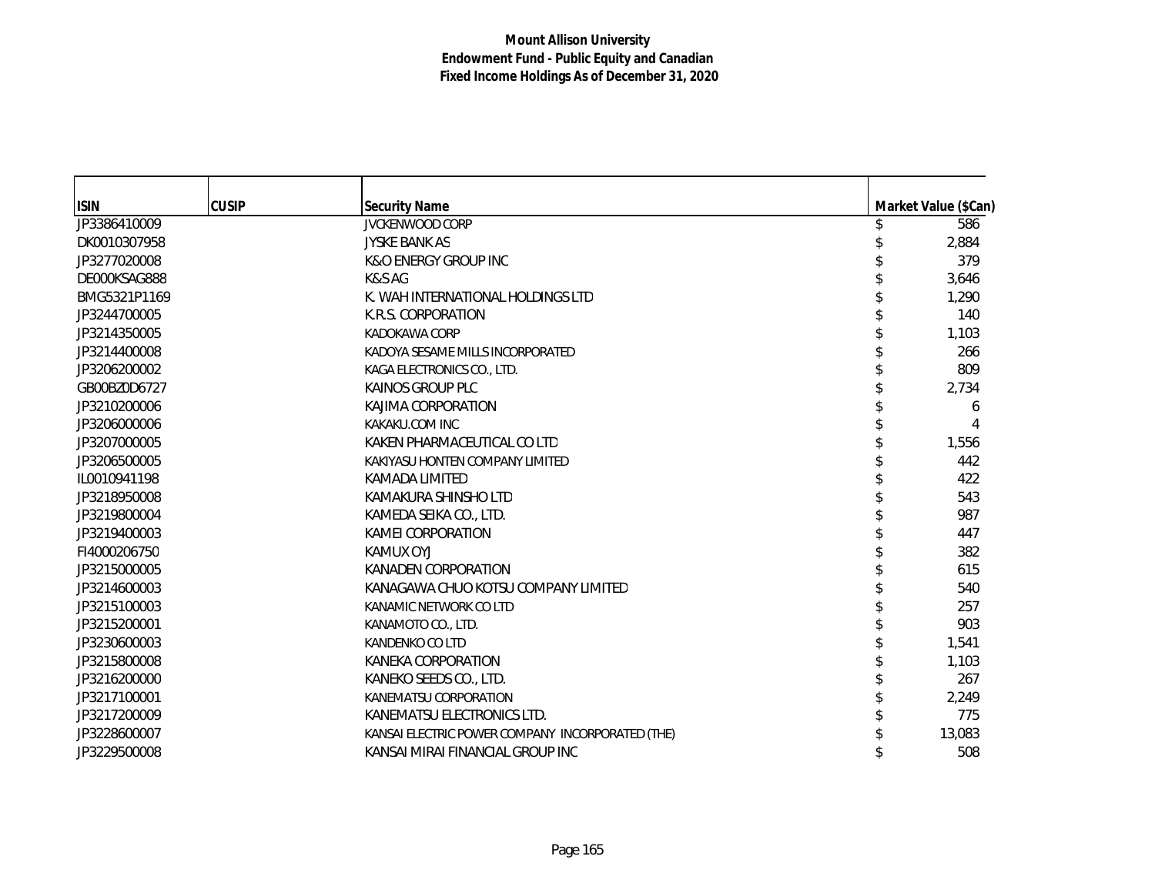| <b>ISIN</b>  | <b>CUSIP</b> | <b>Security Name</b>                             | Market Value (\$Can) |
|--------------|--------------|--------------------------------------------------|----------------------|
| JP3386410009 |              | <b>JVCKENWOOD CORP</b>                           | 586                  |
| DK0010307958 |              | <b>JYSKE BANK AS</b>                             | 2,884                |
| JP3277020008 |              | <b>K&amp;O ENERGY GROUP INC</b>                  | 379                  |
| DE000KSAG888 |              | K&S AG                                           | 3,646                |
| BMG5321P1169 |              | K. WAH INTERNATIONAL HOLDINGS LTD                | 1,290                |
| JP3244700005 |              | K.R.S. CORPORATION                               | 140                  |
| JP3214350005 |              | KADOKAWA CORP                                    | 1,103                |
| JP3214400008 |              | KADOYA SESAME MILLS INCORPORATED                 | 266                  |
| JP3206200002 |              | KAGA ELECTRONICS CO., LTD.                       | 809                  |
| GB00BZ0D6727 |              | KAINOS GROUP PLC                                 | 2,734                |
| JP3210200006 |              | KAJIMA CORPORATION                               | 6                    |
| JP3206000006 |              | KAKAKU.COM INC                                   |                      |
| JP3207000005 |              | KAKEN PHARMACEUTICAL CO LTD                      | 1,556                |
| JP3206500005 |              | KAKIYASU HONTEN COMPANY LIMITED                  | 442                  |
| IL0010941198 |              | KAMADA LIMITED                                   | 422                  |
| JP3218950008 |              | KAMAKURA SHINSHO LTD                             | 543                  |
| JP3219800004 |              | KAMEDA SEIKA CO., LTD.                           | 987                  |
| JP3219400003 |              | KAMEI CORPORATION                                | 447                  |
| FI4000206750 |              | KAMUX OYJ                                        | 382                  |
| JP3215000005 |              | KANADEN CORPORATION                              | 615                  |
| JP3214600003 |              | KANAGAWA CHUO KOTSU COMPANY LIMITED              | 540                  |
| JP3215100003 |              | KANAMIC NETWORK CO LTD                           | 257                  |
| JP3215200001 |              | KANAMOTO CO., LTD.                               | 903                  |
| JP3230600003 |              | <b>KANDENKO CO LTD</b>                           | 1,541                |
| JP3215800008 |              | KANEKA CORPORATION                               | 1,103                |
| JP3216200000 |              | KANEKO SEEDS CO., LTD.                           | 267                  |
| JP3217100001 |              | KANEMATSU CORPORATION                            | 2,249                |
| JP3217200009 |              | KANEMATSU ELECTRONICS LTD.                       | 775                  |
| JP3228600007 |              | KANSAI ELECTRIC POWER COMPANY INCORPORATED (THE) | 13,083               |
| JP3229500008 |              | KANSAI MIRAI FINANCIAL GROUP INC                 | 508                  |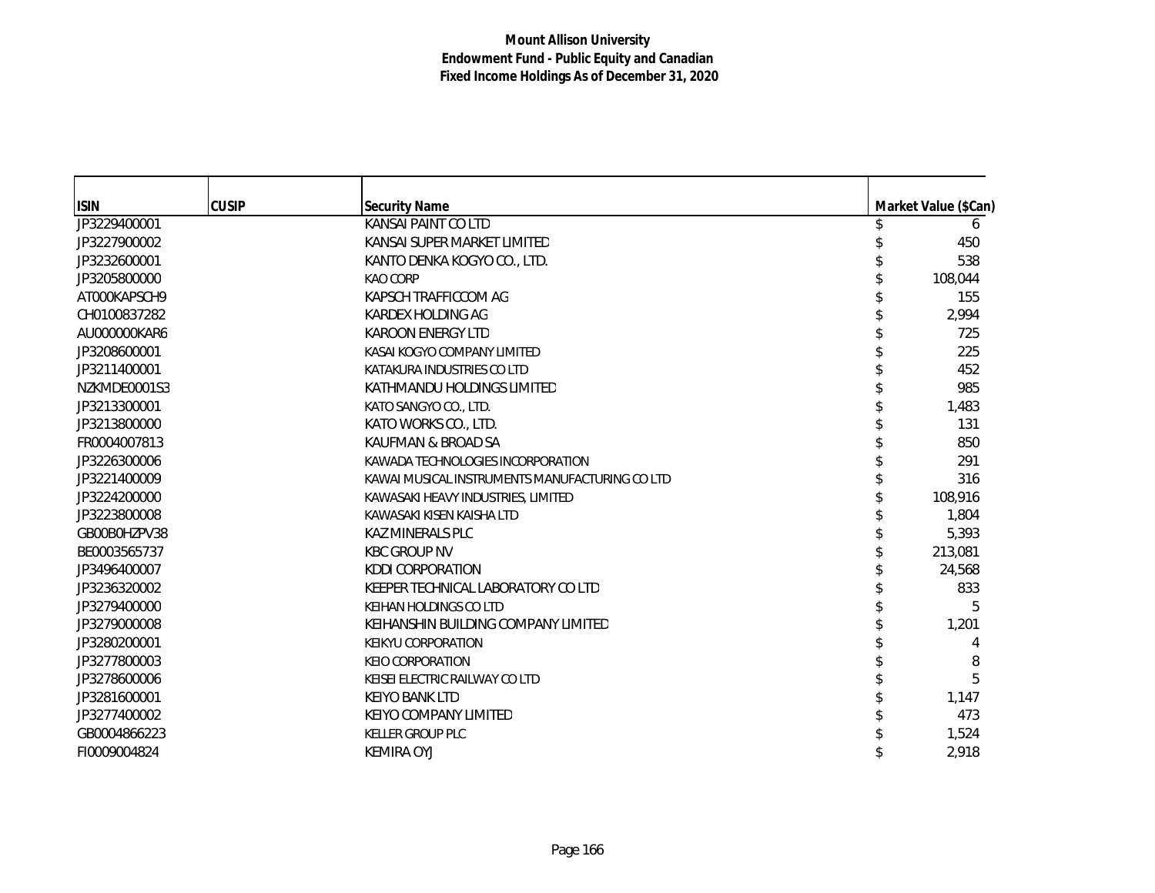| <b>ISIN</b>  | <b>CUSIP</b> | <b>Security Name</b>                          | Market Value (\$Can) |
|--------------|--------------|-----------------------------------------------|----------------------|
| JP3229400001 |              | <b>KANSAI PAINT CO LTD</b>                    | 6                    |
| JP3227900002 |              | KANSAI SUPER MARKET LIMITED                   | 450                  |
| JP3232600001 |              | KANTO DENKA KOGYO CO., LTD.                   | 538                  |
| JP3205800000 |              | KAO CORP                                      | 108,044              |
| AT000KAPSCH9 |              | KAPSCH TRAFFICCOM AG                          | 155                  |
| CH0100837282 |              | KARDEX HOLDING AG                             | 2,994                |
| AU000000KAR6 |              | <b>KAROON ENERGY LTD</b>                      | 725                  |
| JP3208600001 |              | KASAI KOGYO COMPANY LIMITED                   | 225                  |
| JP3211400001 |              | KATAKURA INDUSTRIES CO LTD                    | 452                  |
| NZKMDE0001S3 |              | KATHMANDU HOLDINGS LIMITED                    | 985                  |
| JP3213300001 |              | KATO SANGYO CO., LTD.                         | 1,483                |
| JP3213800000 |              | KATO WORKS CO., LTD.                          | 131                  |
| FR0004007813 |              | KAUFMAN & BROAD SA                            | 850                  |
| JP3226300006 |              | KAWADA TECHNOLOGIES INCORPORATION             | 291                  |
| JP3221400009 |              | KAWAI MUSICAL INSTRUMENTS MANUFACTURING COLTD | 316                  |
| JP3224200000 |              | KAWASAKI HEAVY INDUSTRIES, LIMITED            | 108,916              |
| JP3223800008 |              | KAWASAKI KISEN KAISHA LTD                     | 1,804                |
| GB00B0HZPV38 |              | <b>KAZ MINERALS PLC</b>                       | 5,393                |
| BE0003565737 |              | <b>KBC GROUP NV</b>                           | 213,081              |
| JP3496400007 |              | <b>KDDI CORPORATION</b>                       | 24,568               |
| JP3236320002 |              | KEEPER TECHNICAL LABORATORY CO LTD            | 833                  |
| JP3279400000 |              | KEIHAN HOLDINGS CO LTD                        | 5                    |
| JP3279000008 |              | KEIHANSHIN BUILDING COMPANY LIMITED           | 1,201                |
| JP3280200001 |              | <b>KEIKYU CORPORATION</b>                     | 4                    |
| JP3277800003 |              | <b>KEIO CORPORATION</b>                       | 8                    |
| JP3278600006 |              | KEISEI ELECTRIC RAILWAY CO LTD                | 5                    |
| JP3281600001 |              | <b>KEIYO BANK LTD</b>                         | 1,147                |
| JP3277400002 |              | KEIYO COMPANY LIMITED                         | 473                  |
| GB0004866223 |              | <b>KELLER GROUP PLC</b>                       | 1,524                |
| FI0009004824 |              | <b>KEMIRA OYJ</b>                             | 2,918                |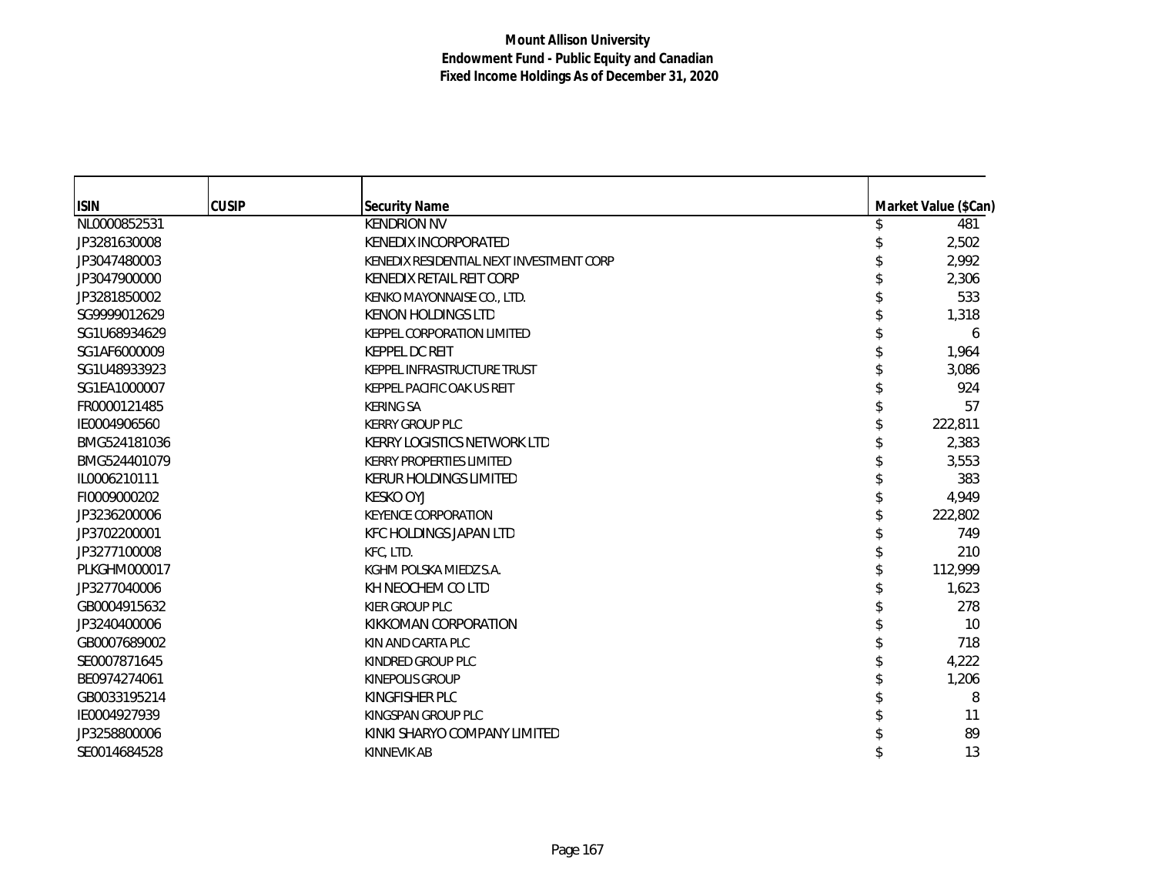| <b>ISIN</b>         | <b>CUSIP</b> | <b>Security Name</b>                     | Market Value (\$Can) |
|---------------------|--------------|------------------------------------------|----------------------|
| NL0000852531        |              | <b>KENDRION NV</b>                       | 481                  |
| JP3281630008        |              | KENEDIX INCORPORATED                     | 2,502                |
| JP3047480003        |              | KENEDIX RESIDENTIAL NEXT INVESTMENT CORP | 2,992                |
| JP3047900000        |              | KENEDIX RETAIL REIT CORP                 | 2,306                |
| JP3281850002        |              | KENKO MAYONNAISE CO., LTD.               | 533                  |
| SG9999012629        |              | <b>KENON HOLDINGS LTD</b>                | 1,318                |
| SG1U68934629        |              | <b>KEPPEL CORPORATION LIMITED</b>        | 6                    |
| SG1AF6000009        |              | <b>KEPPEL DC REIT</b>                    | 1,964                |
| SG1U48933923        |              | KEPPEL INFRASTRUCTURE TRUST              | 3,086                |
| SG1EA1000007        |              | KEPPEL PACIFIC OAK US REIT               | 924                  |
| FR0000121485        |              | <b>KERING SA</b>                         | 57                   |
| IE0004906560        |              | <b>KERRY GROUP PLC</b>                   | 222,811              |
| BMG524181036        |              | KERRY LOGISTICS NETWORK LTD              | 2,383                |
| BMG524401079        |              | <b>KERRY PROPERTIES LIMITED</b>          | 3,553                |
| IL0006210111        |              | <b>KERUR HOLDINGS LIMITED</b>            | 383                  |
| FI0009000202        |              | <b>KESKO OYJ</b>                         | 4,949                |
| JP3236200006        |              | <b>KEYENCE CORPORATION</b>               | 222,802              |
| JP3702200001        |              | <b>KFC HOLDINGS JAPAN LTD</b>            | 749                  |
| JP3277100008        |              | KFC, LTD.                                | 210                  |
| <b>PLKGHM000017</b> |              | KGHM POLSKA MIEDZ S.A.                   | 112,999              |
| JP3277040006        |              | KH NEOCHEM CO LTD                        | 1,623                |
| GB0004915632        |              | <b>KIER GROUP PLC</b>                    | 278                  |
| JP3240400006        |              | KIKKOMAN CORPORATION                     | 10                   |
| GB0007689002        |              | KIN AND CARTA PLC                        | 718                  |
| SE0007871645        |              | KINDRED GROUP PLC                        | 4,222                |
| BE0974274061        |              | <b>KINEPOLIS GROUP</b>                   | 1,206                |
| GB0033195214        |              | KINGFISHER PLC                           | 8                    |
| IE0004927939        |              | KINGSPAN GROUP PLC                       | 11                   |
| JP3258800006        |              | KINKI SHARYO COMPANY LIMITED             | 89                   |
| SE0014684528        |              | <b>KINNEVIK AB</b>                       | 13                   |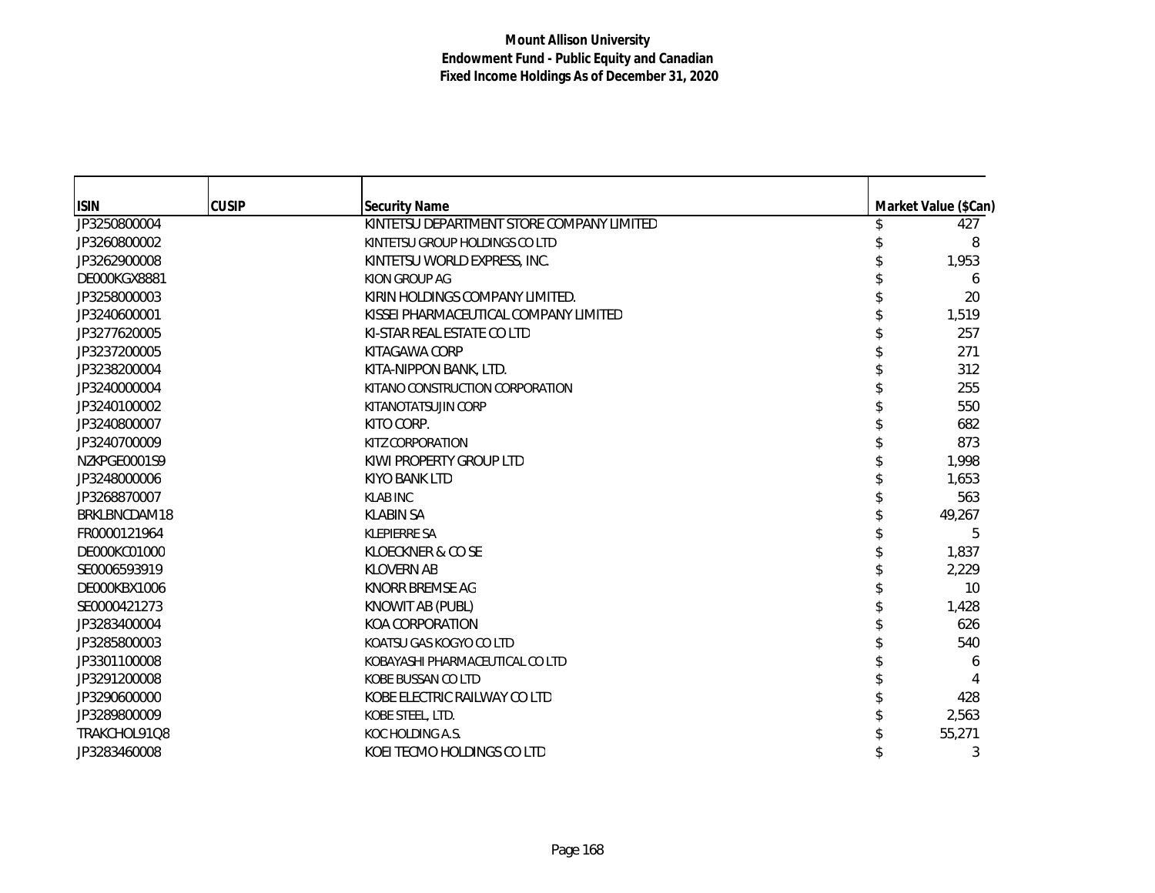| <b>ISIN</b>  | <b>CUSIP</b> | <b>Security Name</b>                      |  | Market Value (\$Can) |
|--------------|--------------|-------------------------------------------|--|----------------------|
| JP3250800004 |              | KINTETSU DEPARTMENT STORE COMPANY LIMITED |  | 427                  |
| JP3260800002 |              | KINTETSU GROUP HOLDINGS CO LTD            |  | 8                    |
| JP3262900008 |              | KINTETSU WORLD EXPRESS, INC.              |  | 1,953                |
| DE000KGX8881 |              | KION GROUP AG                             |  | 6                    |
| JP3258000003 |              | KIRIN HOLDINGS COMPANY LIMITED.           |  | 20                   |
| JP3240600001 |              | KISSEI PHARMACEUTICAL COMPANY LIMITED     |  | 1,519                |
| JP3277620005 |              | KI-STAR REAL ESTATE CO LTD                |  | 257                  |
| JP3237200005 |              | KITAGAWA CORP                             |  | 271                  |
| JP3238200004 |              | KITA-NIPPON BANK, LTD.                    |  | 312                  |
| JP3240000004 |              | KITANO CONSTRUCTION CORPORATION           |  | 255                  |
| JP3240100002 |              | KITANOTATSUJIN CORP                       |  | 550                  |
| JP3240800007 |              | KITO CORP.                                |  | 682                  |
| JP3240700009 |              | KITZ CORPORATION                          |  | 873                  |
| NZKPGE0001S9 |              | KIWI PROPERTY GROUP LTD                   |  | 1,998                |
| JP3248000006 |              | <b>KIYO BANK LTD</b>                      |  | 1,653                |
| JP3268870007 |              | <b>KLAB INC</b>                           |  | 563                  |
| BRKLBNCDAM18 |              | <b>KLABIN SA</b>                          |  | 49,267               |
| FR0000121964 |              | <b>KLEPIERRE SA</b>                       |  | 5                    |
| DE000KC01000 |              | KLOECKNER & CO SE                         |  | 1,837                |
| SE0006593919 |              | <b>KLOVERN AB</b>                         |  | 2,229                |
| DE000KBX1006 |              | <b>KNORR BREMSE AG</b>                    |  | 10                   |
| SE0000421273 |              | KNOWIT AB (PUBL)                          |  | 1,428                |
| JP3283400004 |              | KOA CORPORATION                           |  | 626                  |
| JP3285800003 |              | KOATSU GAS KOGYO CO LTD                   |  | 540                  |
| JP3301100008 |              | KOBAYASHI PHARMACEUTICAL CO LTD           |  | 6                    |
| JP3291200008 |              | KOBE BUSSAN CO LTD                        |  |                      |
| JP3290600000 |              | KOBE ELECTRIC RAILWAY CO LTD              |  | 428                  |
| JP3289800009 |              | KOBE STEEL, LTD.                          |  | 2,563                |
| TRAKCHOL91Q8 |              | KOC HOLDING A.S.                          |  | 55,271               |
| JP3283460008 |              | KOEI TECMO HOLDINGS CO LTD                |  | 3                    |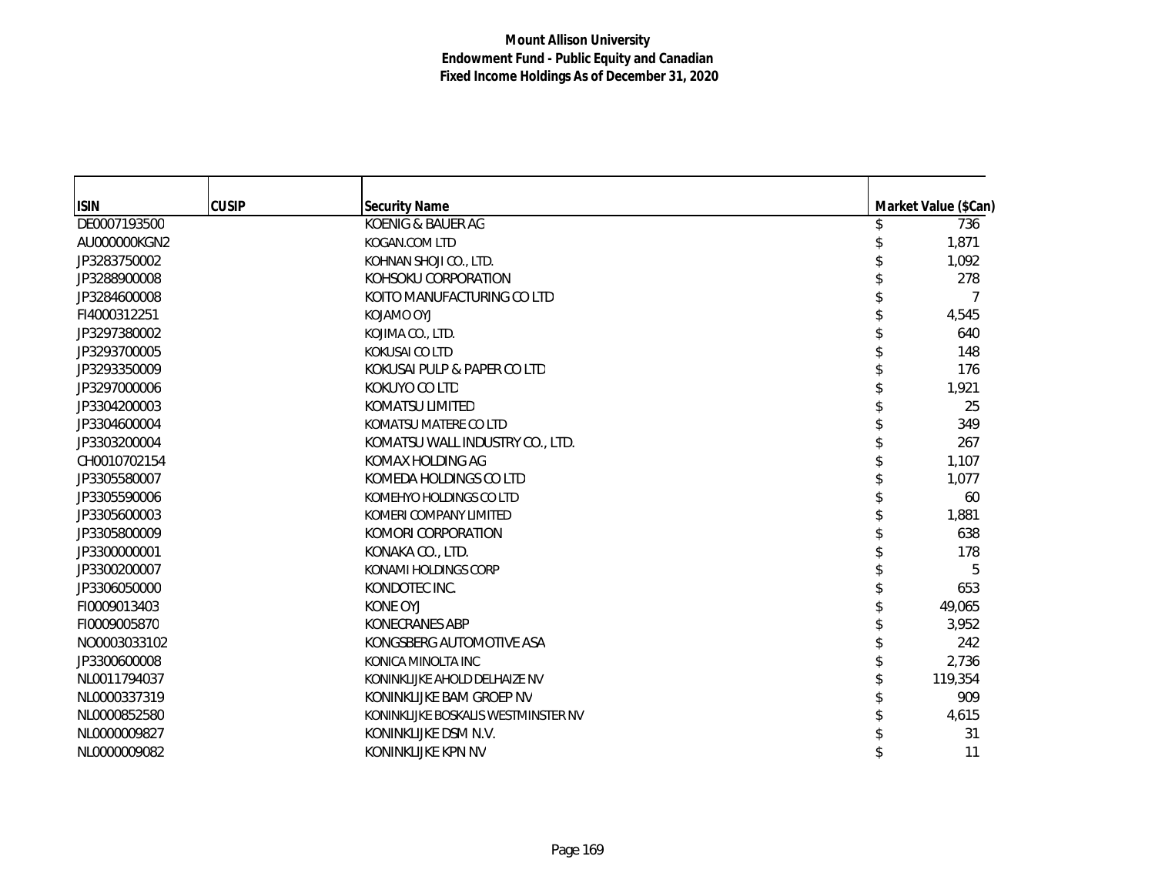| <b>ISIN</b>  | <b>CUSIP</b> | <b>Security Name</b>                | Market Value (\$Can) |
|--------------|--------------|-------------------------------------|----------------------|
| DE0007193500 |              | KOENIG & BAUER AG                   | 736                  |
| AU000000KGN2 |              | KOGAN.COM LTD                       | 1,871                |
| JP3283750002 |              | KOHNAN SHOJI CO., LTD.              | 1,092                |
| JP3288900008 |              | KOHSOKU CORPORATION                 | 278                  |
| JP3284600008 |              | KOITO MANUFACTURING CO LTD          | 7                    |
| FI4000312251 |              | KOJAMO OYJ                          | 4,545                |
| JP3297380002 |              | KOJIMA CO., LTD.                    | 640                  |
| JP3293700005 |              | <b>KOKUSAI CO LTD</b>               | 148                  |
| JP3293350009 |              | KOKUSAI PULP & PAPER CO LTD         | 176                  |
| JP3297000006 |              | KOKUYO CO LTD                       | 1,921                |
| JP3304200003 |              | <b>KOMATSU LIMITED</b>              | 25                   |
| JP3304600004 |              | KOMATSU MATERE CO LTD               | 349                  |
| JP3303200004 |              | KOMATSU WALL INDUSTRY CO., LTD.     | 267                  |
| CH0010702154 |              | KOMAX HOLDING AG                    | 1,107                |
| JP3305580007 |              | KOMEDA HOLDINGS CO LTD              | 1,077                |
| JP3305590006 |              | KOMEHYO HOLDINGS CO LTD             | 60                   |
| JP3305600003 |              | KOMERI COMPANY LIMITED              | 1,881                |
| JP3305800009 |              | KOMORI CORPORATION                  | 638                  |
| JP3300000001 |              | KONAKA CO., LTD.                    | 178                  |
| JP3300200007 |              | KONAMI HOLDINGS CORP                | 5                    |
| JP3306050000 |              | KONDOTEC INC.                       | 653                  |
| FI0009013403 |              | KONE OYJ                            | 49,065               |
| FI0009005870 |              | KONECRANES ABP                      | 3,952                |
| NO0003033102 |              | KONGSBERG AUTOMOTIVE ASA            | 242                  |
| JP3300600008 |              | KONICA MINOLTA INC                  | 2,736                |
| NL0011794037 |              | KONINKLIJKE AHOLD DELHAIZE NV       | 119,354              |
| NL0000337319 |              | KONINKLIJKE BAM GROEP NV            | 909                  |
| NL0000852580 |              | KONINKLIJKE BOSKALIS WESTMINSTER NV | 4,615                |
| NL0000009827 |              | KONINKLIJKE DSM N.V.                | 31                   |
| NL0000009082 |              | KONINKLIJKE KPN NV                  | 11                   |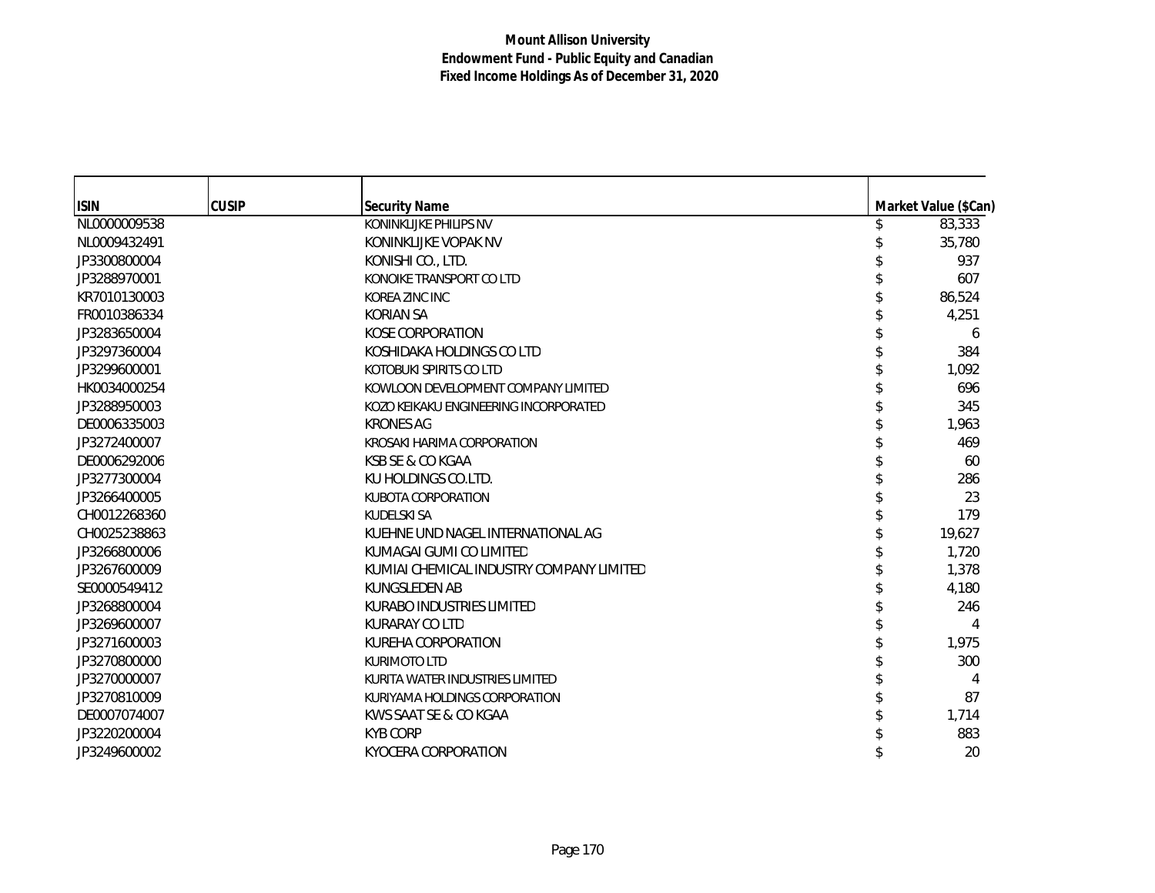| <b>ISIN</b>  | <b>CUSIP</b> | <b>Security Name</b>                     | Market Value (\$Can) |
|--------------|--------------|------------------------------------------|----------------------|
| NL0000009538 |              | KONINKLIJKE PHILIPS NV                   | 83,333               |
| NL0009432491 |              | KONINKLIJKE VOPAK NV                     | 35,780               |
| JP3300800004 |              | KONISHI CO., LTD.                        | 937                  |
| JP3288970001 |              | KONOIKE TRANSPORT CO LTD                 | 607                  |
| KR7010130003 |              | KOREA ZINC INC                           | 86,524               |
| FR0010386334 |              | <b>KORIAN SA</b>                         | 4,251                |
| JP3283650004 |              | KOSE CORPORATION                         | 6                    |
| JP3297360004 |              | KOSHIDAKA HOLDINGS CO LTD                | 384                  |
| JP3299600001 |              | KOTOBUKI SPIRITS CO LTD                  | 1,092                |
| HK0034000254 |              | KOWLOON DEVELOPMENT COMPANY LIMITED      | 696                  |
| JP3288950003 |              | KOZO KEIKAKU ENGINEERING INCORPORATED    | 345                  |
| DE0006335003 |              | <b>KRONES AG</b>                         | 1,963                |
| JP3272400007 |              | KROSAKI HARIMA CORPORATION               | 469                  |
| DE0006292006 |              | KSB SE & CO KGAA                         | 60                   |
| JP3277300004 |              | KU HOLDINGS CO.LTD.                      | 286                  |
| JP3266400005 |              | <b>KUBOTA CORPORATION</b>                | 23                   |
| CH0012268360 |              | KUDELSKI SA                              | 179                  |
| CH0025238863 |              | KUEHNE UND NAGEL INTERNATIONAL AG        | 19,627               |
| JP3266800006 |              | KUMAGAI GUMI CO LIMITED                  | 1,720                |
| JP3267600009 |              | KUMIAI CHEMICAL INDUSTRY COMPANY LIMITED | 1,378                |
| SE0000549412 |              | <b>KUNGSLEDEN AB</b>                     | 4,180                |
| JP3268800004 |              | KURABO INDUSTRIES LIMITED                | 246                  |
| JP3269600007 |              | KURARAY CO LTD                           |                      |
| JP3271600003 |              | KUREHA CORPORATION                       | 1,975                |
| JP3270800000 |              | <b>KURIMOTO LTD</b>                      | 300                  |
| JP3270000007 |              | KURITA WATER INDUSTRIES LIMITED          | 4                    |
| JP3270810009 |              | KURIYAMA HOLDINGS CORPORATION            | 87                   |
| DE0007074007 |              | KWS SAAT SE & CO KGAA                    | 1,714                |
| JP3220200004 |              | <b>KYB CORP</b>                          | 883                  |
| JP3249600002 |              | KYOCERA CORPORATION                      | 20                   |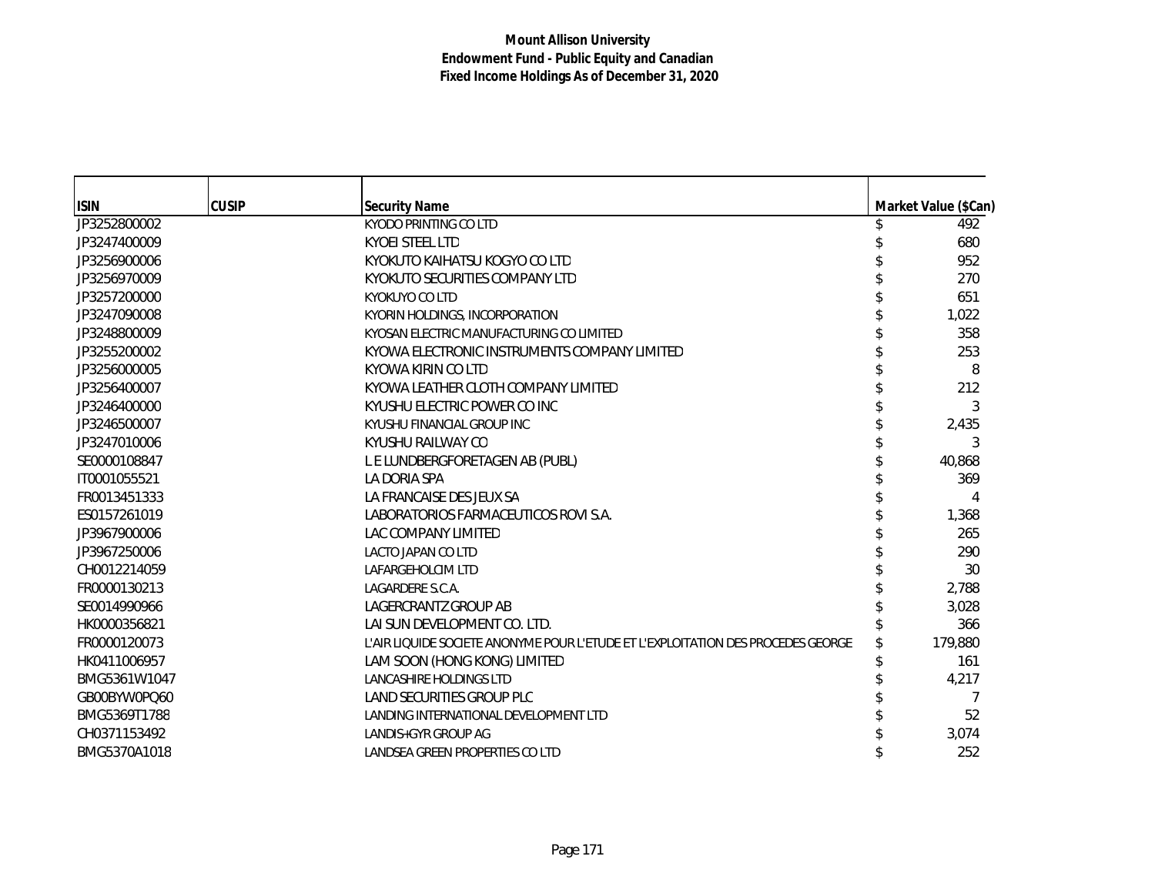| <b>ISIN</b>  | <b>CUSIP</b> | <b>Security Name</b>                                                             | Market Value (\$Can) |
|--------------|--------------|----------------------------------------------------------------------------------|----------------------|
| JP3252800002 |              | KYODO PRINTING CO LTD                                                            | 492                  |
| JP3247400009 |              | <b>KYOEI STEEL LTD</b>                                                           | 680                  |
| JP3256900006 |              | KYOKUTO KAIHATSU KOGYO CO LTD                                                    | 952                  |
| JP3256970009 |              | KYOKUTO SECURITIES COMPANY LTD                                                   | 270                  |
| JP3257200000 |              | <b>KYOKUYO CO LTD</b>                                                            | 651                  |
| JP3247090008 |              | KYORIN HOLDINGS, INCORPORATION                                                   | 1,022                |
| JP3248800009 |              | KYOSAN ELECTRIC MANUFACTURING CO LIMITED                                         | 358                  |
| JP3255200002 |              | KYOWA ELECTRONIC INSTRUMENTS COMPANY LIMITED                                     | 253                  |
| JP3256000005 |              | KYOWA KIRIN CO LTD                                                               | 8                    |
| JP3256400007 |              | KYOWA LEATHER CLOTH COMPANY LIMITED                                              | 212                  |
| JP3246400000 |              | KYUSHU ELECTRIC POWER CO INC                                                     | 3                    |
| JP3246500007 |              | KYUSHU FINANCIAL GROUP INC                                                       | 2,435                |
| JP3247010006 |              | KYUSHU RAILWAY CO                                                                | 3                    |
| SE0000108847 |              | L E LUNDBERGFORETAGEN AB (PUBL)                                                  | 40,868               |
| IT0001055521 |              | LA DORIA SPA                                                                     | 369                  |
| FR0013451333 |              | LA FRANCAISE DES JEUX SA                                                         | 4                    |
| ES0157261019 |              | LABORATORIOS FARMACEUTICOS ROVI S.A.                                             | 1,368                |
| JP3967900006 |              | LAC COMPANY LIMITED                                                              | 265                  |
| JP3967250006 |              | LACTO JAPAN CO LTD                                                               | 290                  |
| CH0012214059 |              | LAFARGEHOLCIM LTD                                                                | 30                   |
| FR0000130213 |              | LAGARDERE S.C.A.                                                                 | 2,788                |
| SE0014990966 |              | LAGERCRANTZ GROUP AB                                                             | 3,028                |
| HK0000356821 |              | LAI SUN DEVELOPMENT CO. LTD.                                                     | 366                  |
| FR0000120073 |              | L'AIR LIQUIDE SOCIETE ANONYME POUR L'ETUDE ET L'EXPLOITATION DES PROCEDES GEORGE | 179,880              |
| HK0411006957 |              | LAM SOON (HONG KONG) LIMITED                                                     | 161                  |
| BMG5361W1047 |              | LANCASHIRE HOLDINGS LTD                                                          | 4,217                |
| GB00BYW0PQ60 |              | LAND SECURITIES GROUP PLC                                                        | 7                    |
| BMG5369T1788 |              | LANDING INTERNATIONAL DEVELOPMENT LTD                                            | 52                   |
| CH0371153492 |              | LANDIS+GYR GROUP AG                                                              | 3,074                |
| BMG5370A1018 |              | LANDSEA GREEN PROPERTIES CO LTD                                                  | 252                  |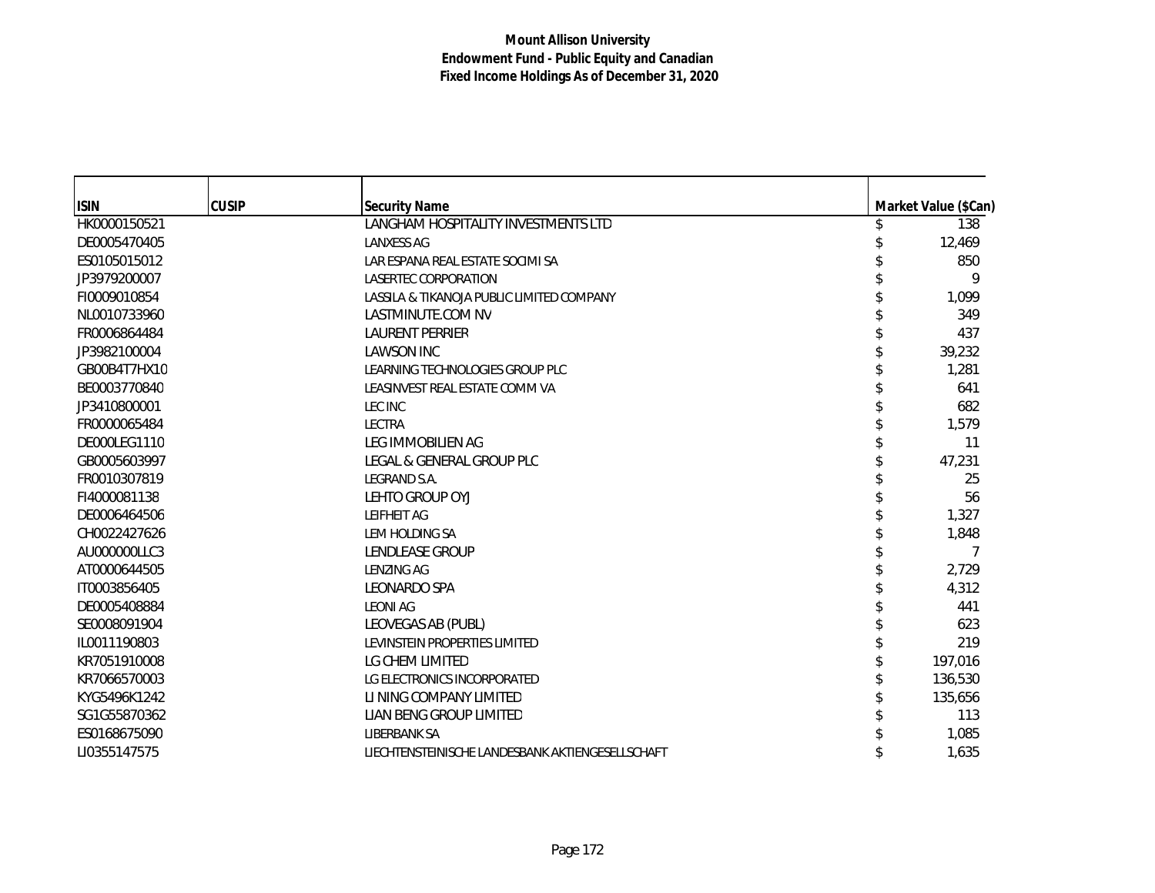| <b>ISIN</b>  | <b>CUSIP</b> |                                                             |                      |
|--------------|--------------|-------------------------------------------------------------|----------------------|
|              |              | <b>Security Name</b><br>LANGHAM HOSPITALITY INVESTMENTS LTD | Market Value (\$Can) |
| HK0000150521 |              |                                                             | 138                  |
| DE0005470405 |              | <b>LANXESS AG</b>                                           | 12,469               |
| ES0105015012 |              | LAR ESPANA REAL ESTATE SOCIMI SA                            | 850                  |
| JP3979200007 |              | LASERTEC CORPORATION                                        | 9                    |
| FI0009010854 |              | LASSILA & TIKANOJA PUBLIC LIMITED COMPANY                   | 1,099                |
| NL0010733960 |              | LASTMINUTE.COM NV                                           | 349                  |
| FR0006864484 |              | <b>LAURENT PERRIER</b>                                      | 437                  |
| JP3982100004 |              | <b>LAWSON INC</b>                                           | 39,232               |
| GB00B4T7HX10 |              | LEARNING TECHNOLOGIES GROUP PLC                             | 1,281                |
| BE0003770840 |              | LEASINVEST REAL ESTATE COMM VA                              | 641                  |
| JP3410800001 |              | LEC INC                                                     | 682                  |
| FR0000065484 |              | LECTRA                                                      | 1,579                |
| DE000LEG1110 |              | LEG IMMOBILIEN AG                                           | 11                   |
| GB0005603997 |              | LEGAL & GENERAL GROUP PLC                                   | 47,231               |
| FR0010307819 |              | LEGRAND S.A.                                                | 25                   |
| FI4000081138 |              | LEHTO GROUP OYJ                                             | 56                   |
| DE0006464506 |              | LEIFHEIT AG                                                 | 1,327                |
| CH0022427626 |              | LEM HOLDING SA                                              | 1,848                |
| AU000000LLC3 |              | LENDLEASE GROUP                                             | 7                    |
| AT0000644505 |              | <b>LENZING AG</b>                                           | 2,729                |
| IT0003856405 |              | LEONARDO SPA                                                | 4,312                |
| DE0005408884 |              | <b>LEONI AG</b>                                             | 441                  |
| SE0008091904 |              | LEOVEGAS AB (PUBL)                                          | 623                  |
| IL0011190803 |              | LEVINSTEIN PROPERTIES LIMITED                               | 219                  |
| KR7051910008 |              | LG CHEM LIMITED                                             | 197,016              |
| KR7066570003 |              | LG ELECTRONICS INCORPORATED                                 | 136,530              |
| KYG5496K1242 |              | LI NING COMPANY LIMITED                                     | 135,656              |
| SG1G55870362 |              | LIAN BENG GROUP LIMITED                                     | 113                  |
| ES0168675090 |              | <b>LIBERBANK SA</b>                                         | 1,085                |
| LI0355147575 |              | LIECHTENSTEINISCHE LANDESBANK AKTIENGESELLSCHAFT            | 1,635                |
|              |              |                                                             |                      |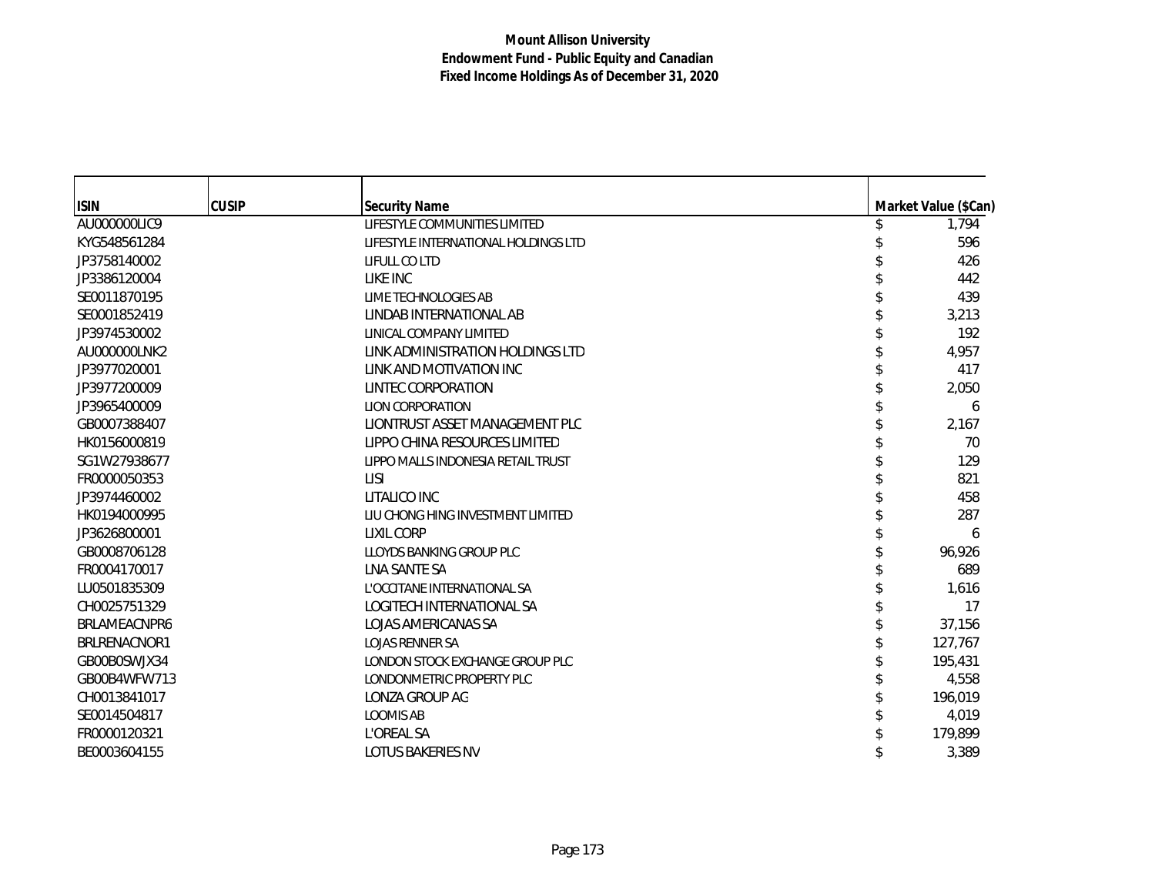| <b>ISIN</b>  | <b>CUSIP</b> | <b>Security Name</b>                 | Market Value (\$Can) |
|--------------|--------------|--------------------------------------|----------------------|
| AU000000LIC9 |              | LIFESTYLE COMMUNITIES LIMITED        | 1,794                |
| KYG548561284 |              | LIFESTYLE INTERNATIONAL HOLDINGS LTD | 596                  |
| JP3758140002 |              | LIFULL CO LTD                        | 426                  |
| JP3386120004 |              | LIKE INC                             | 442                  |
| SE0011870195 |              | LIME TECHNOLOGIES AB                 | 439                  |
| SE0001852419 |              | LINDAB INTERNATIONAL AB              | 3,213                |
| JP3974530002 |              | LINICAL COMPANY LIMITED              | 192                  |
| AU000000LNK2 |              | LINK ADMINISTRATION HOLDINGS LTD     | 4,957                |
| JP3977020001 |              | LINK AND MOTIVATION INC              | 417                  |
| JP3977200009 |              | LINTEC CORPORATION                   | 2,050                |
| JP3965400009 |              | <b>LION CORPORATION</b>              | 6                    |
| GB0007388407 |              | LIONTRUST ASSET MANAGEMENT PLC       | 2,167                |
| HK0156000819 |              | LIPPO CHINA RESOURCES LIMITED        | 70                   |
| SG1W27938677 |              | LIPPO MALLS INDONESIA RETAIL TRUST   | 129                  |
| FR0000050353 |              | <b>LISI</b>                          | 821                  |
| JP3974460002 |              | LITALICO INC                         | 458                  |
| HK0194000995 |              | LIU CHONG HING INVESTMENT LIMITED    | 287                  |
| JP3626800001 |              | LIXIL CORP                           | 6                    |
| GB0008706128 |              | LLOYDS BANKING GROUP PLC             | 96,926               |
| FR0004170017 |              | LNA SANTE SA                         | 689                  |
| LU0501835309 |              | L'OCCITANE INTERNATIONAL SA          | 1,616                |
| CH0025751329 |              | LOGITECH INTERNATIONAL SA            | 17                   |
| BRLAMEACNPR6 |              | LOJAS AMERICANAS SA                  | 37,156               |
| BRLRENACNOR1 |              | <b>LOJAS RENNER SA</b>               | 127,767              |
| GB00B0SWJX34 |              | LONDON STOCK EXCHANGE GROUP PLC      | 195,431              |
| GB00B4WFW713 |              | LONDONMETRIC PROPERTY PLC            | 4,558                |
| CH0013841017 |              | LONZA GROUP AG                       | 196,019              |
| SE0014504817 |              | <b>LOOMIS AB</b>                     | 4,019                |
| FR0000120321 |              | L'OREAL SA                           | 179,899              |
| BE0003604155 |              | <b>LOTUS BAKERIES NV</b>             | 3,389                |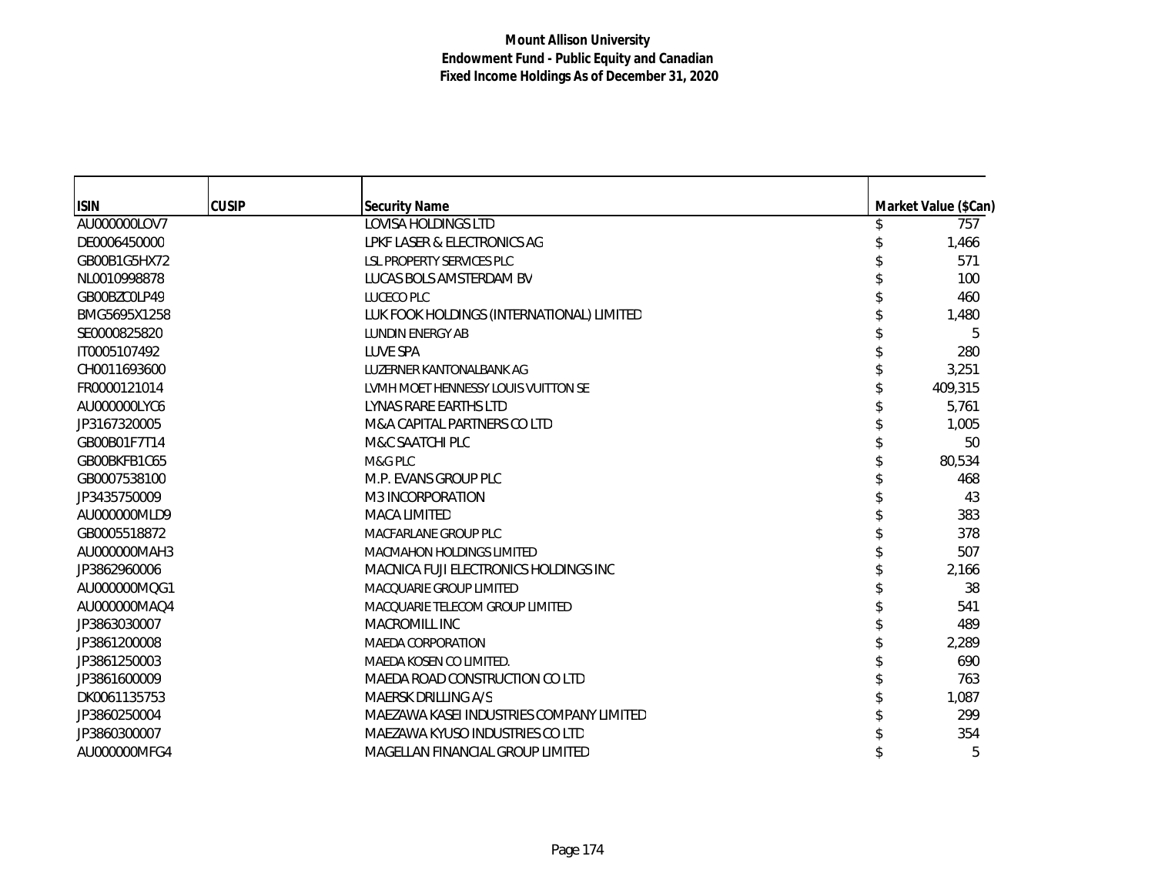| <b>ISIN</b>  | <b>CUSIP</b> | <b>Security Name</b>                                                        | Market Value (\$Can) |
|--------------|--------------|-----------------------------------------------------------------------------|----------------------|
| AU000000LOV7 |              | <b>LOVISA HOLDINGS LTD</b>                                                  | 757                  |
| DE0006450000 |              | LPKF LASER & ELECTRONICS AG                                                 | 1,466                |
| GB00B1G5HX72 |              | <b>LSL PROPERTY SERVICES PLC</b>                                            | 571                  |
| NL0010998878 |              | LUCAS BOLS AMSTERDAM BV                                                     | 100                  |
| GB00BZC0LP49 |              | LUCECO PLC                                                                  | 460                  |
| BMG5695X1258 |              | LUK FOOK HOLDINGS (INTERNATIONAL) LIMITED                                   | 1,480                |
| SE0000825820 |              | <b>LUNDIN ENERGY AB</b>                                                     | 5                    |
| IT0005107492 |              | LUVE SPA                                                                    | 280                  |
| CH0011693600 |              | LUZERNER KANTONALBANK AG                                                    | 3,251                |
| FR0000121014 |              | LVMH MOET HENNESSY LOUIS VUITTON SE                                         | 409,315              |
| AU000000LYC6 |              | LYNAS RARE EARTHS LTD                                                       | 5,761                |
| JP3167320005 |              | M&A CAPITAL PARTNERS CO LTD                                                 | 1,005                |
| GB00B01F7T14 |              | M&C SAATCHI PLC                                                             | 50                   |
| GB00BKFB1C65 |              | M&G PLC                                                                     | 80,534               |
| GB0007538100 |              | M.P. EVANS GROUP PLC                                                        | 468                  |
| JP3435750009 |              | M3 INCORPORATION                                                            | 43                   |
| AU000000MLD9 |              | <b>MACA LIMITED</b>                                                         | 383                  |
| GB0005518872 |              | MACFARLANE GROUP PLC                                                        | 378                  |
| AU000000MAH3 |              | <b>MACMAHON HOLDINGS LIMITED</b>                                            | 507                  |
| JP3862960006 |              | MACNICA FUJI ELECTRONICS HOLDINGS INC                                       | 2,166                |
| AU000000MQG1 |              | MACOUARIE GROUP LIMITED                                                     | 38                   |
| AU000000MAQ4 |              | MACQUARIE TELECOM GROUP LIMITED                                             | 541                  |
| JP3863030007 |              | MACROMILL INC                                                               | 489                  |
| JP3861200008 |              | <b>MAEDA CORPORATION</b>                                                    | 2,289                |
| JP3861250003 |              | MAEDA KOSEN CO LIMITED.                                                     | 690                  |
|              |              | MAEDA ROAD CONSTRUCTION CO LTD                                              | 763                  |
| JP3861600009 |              | MAERSK DRILLING A/S                                                         | 1,087                |
| DK0061135753 |              |                                                                             |                      |
| JP3860250004 |              | MAEZAWA KASEI INDUSTRIES COMPANY LIMITED<br>MAEZAWA KYUSO INDUSTRIES CO LTD | 299                  |
| JP3860300007 |              |                                                                             | 354                  |
| AU000000MFG4 |              | MAGELLAN FINANCIAL GROUP LIMITED                                            | 5                    |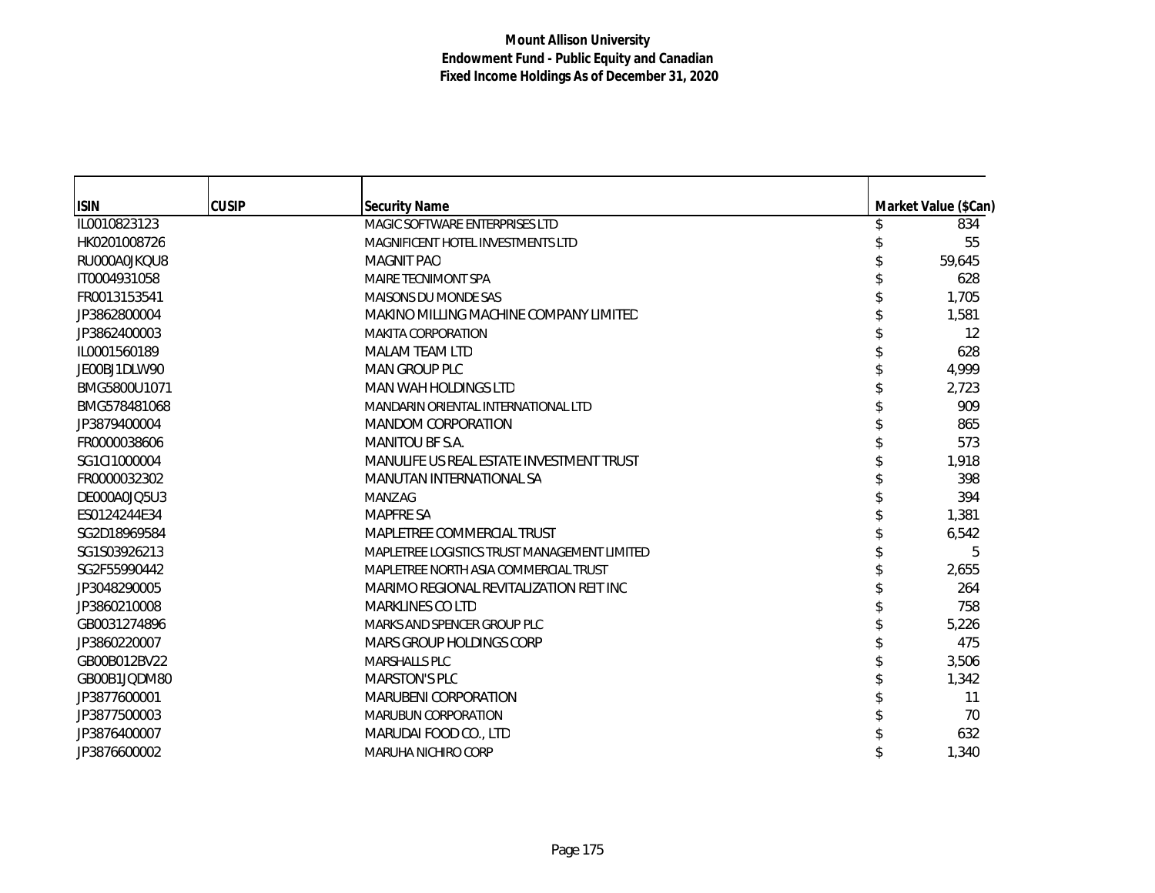| <b>ISIN</b>  | <b>CUSIP</b> | <b>Security Name</b>                         | Market Value (\$Can) |
|--------------|--------------|----------------------------------------------|----------------------|
| IL0010823123 |              | MAGIC SOFTWARE ENTERPRISES LTD               | 834                  |
| HK0201008726 |              | MAGNIFICENT HOTEL INVESTMENTS LTD            | 55                   |
| RU000A0JKQU8 |              | <b>MAGNIT PAO</b>                            | 59,645               |
| IT0004931058 |              | MAIRE TECNIMONT SPA                          | 628                  |
| FR0013153541 |              | <b>MAISONS DU MONDE SAS</b>                  | 1,705                |
| JP3862800004 |              | MAKINO MILLING MACHINE COMPANY LIMITED       | 1,581                |
| JP3862400003 |              | <b>MAKITA CORPORATION</b>                    | 12                   |
| IL0001560189 |              | <b>MALAM TEAM LTD</b>                        | 628                  |
| JE00BJ1DLW90 |              | <b>MAN GROUP PLC</b>                         | 4,999                |
| BMG5800U1071 |              | MAN WAH HOLDINGS LTD                         | 2,723                |
| BMG578481068 |              | MANDARIN ORIENTAL INTERNATIONAL LTD          | 909                  |
| JP3879400004 |              | <b>MANDOM CORPORATION</b>                    | 865                  |
| FR0000038606 |              | MANITOU BF S.A.                              | 573                  |
| SG1CI1000004 |              | MANULIFE US REAL ESTATE INVESTMENT TRUST     | 1,918                |
| FR0000032302 |              | MANUTAN INTERNATIONAL SA                     | 398                  |
| DE000A0JQ5U3 |              | MANZ AG                                      | 394                  |
| ES0124244E34 |              | <b>MAPFRE SA</b>                             | 1,381                |
| SG2D18969584 |              | MAPLETREE COMMERCIAL TRUST                   | 6,542                |
| SG1S03926213 |              | MAPLETREE LOGISTICS TRUST MANAGEMENT LIMITED | 5                    |
| SG2F55990442 |              | MAPLETREE NORTH ASIA COMMERCIAL TRUST        | 2,655                |
| JP3048290005 |              | MARIMO REGIONAL REVITALIZATION REIT INC      | 264                  |
| JP3860210008 |              | <b>MARKLINES CO LTD</b>                      | 758                  |
| GB0031274896 |              | MARKS AND SPENCER GROUP PLC                  | 5,226                |
| JP3860220007 |              | <b>MARS GROUP HOLDINGS CORP</b>              | 475                  |
| GB00B012BV22 |              | <b>MARSHALLS PLC</b>                         | 3,506                |
| GB00B1JQDM80 |              | <b>MARSTON'S PLC</b>                         | 1,342                |
| JP3877600001 |              | MARUBENI CORPORATION                         | 11                   |
| JP3877500003 |              | <b>MARUBUN CORPORATION</b>                   | 70                   |
| JP3876400007 |              | MARUDAI FOOD CO., LTD                        | 632                  |
| JP3876600002 |              | MARUHA NICHIRO CORP                          | 1,340                |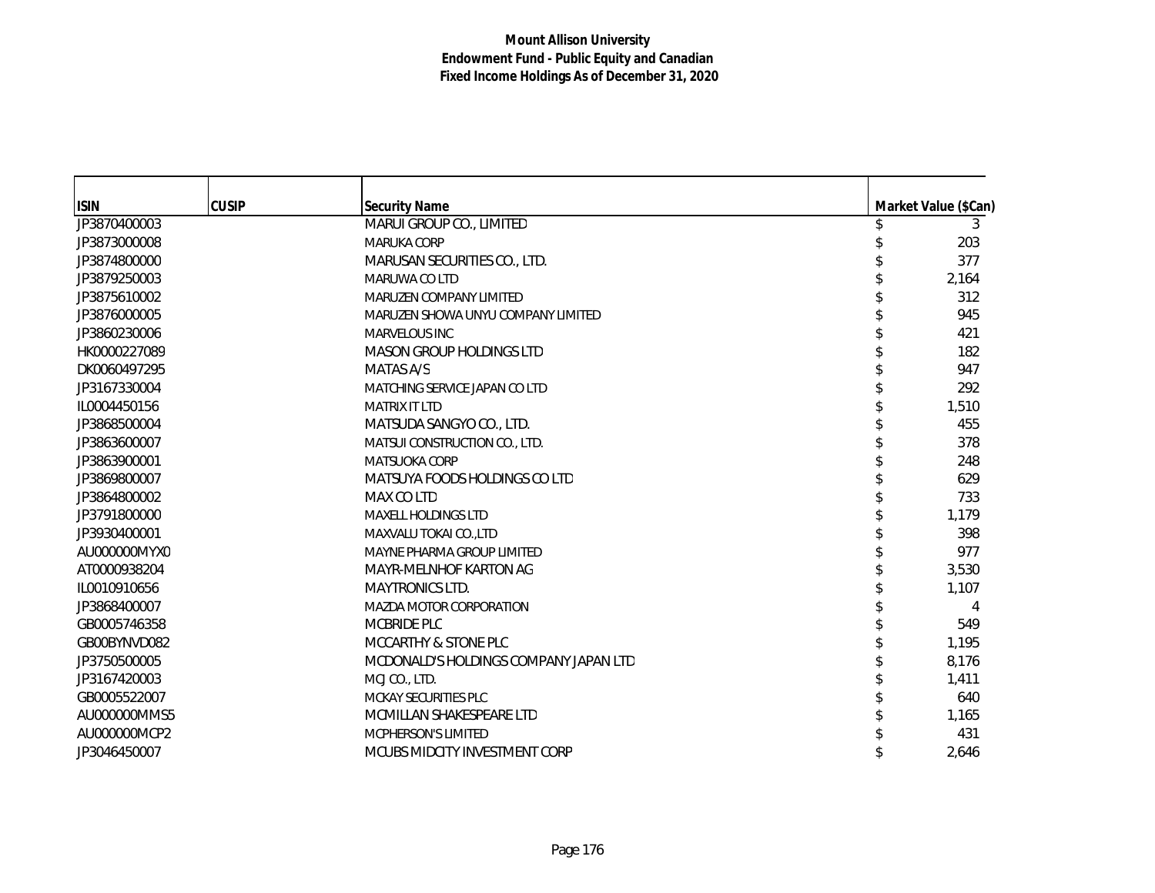| <b>ISIN</b>  | <b>CUSIP</b> | <b>Security Name</b>                  | Market Value (\$Can) |
|--------------|--------------|---------------------------------------|----------------------|
| JP3870400003 |              | MARUI GROUP CO., LIMITED              | 3                    |
| JP3873000008 |              | <b>MARUKA CORP</b>                    | 203                  |
| JP3874800000 |              | MARUSAN SECURITIES CO., LTD.          | 377                  |
| JP3879250003 |              | MARUWA CO LTD                         | 2,164                |
| JP3875610002 |              | MARUZEN COMPANY LIMITED               | 312                  |
| JP3876000005 |              | MARUZEN SHOWA UNYU COMPANY LIMITED    | 945                  |
| JP3860230006 |              | <b>MARVELOUS INC</b>                  | 421                  |
| HK0000227089 |              | <b>MASON GROUP HOLDINGS LTD</b>       | 182                  |
| DK0060497295 |              | MATAS A/S                             | 947                  |
| JP3167330004 |              | MATCHING SERVICE JAPAN CO LTD         | 292                  |
| IL0004450156 |              | <b>MATRIX IT LTD</b>                  | 1,510                |
| JP3868500004 |              | MATSUDA SANGYO CO., LTD.              | 455                  |
| JP3863600007 |              | MATSUI CONSTRUCTION CO., LTD.         | 378                  |
| JP3863900001 |              | <b>MATSUOKA CORP</b>                  | 248                  |
| JP3869800007 |              | MATSUYA FOODS HOLDINGS CO LTD         | 629                  |
| JP3864800002 |              | MAX CO LTD                            | 733                  |
| JP3791800000 |              | <b>MAXELL HOLDINGS LTD</b>            | 1,179                |
| JP3930400001 |              | <b>MAXVALU TOKAI CO.,LTD</b>          | 398                  |
| AU000000MYX0 |              | MAYNE PHARMA GROUP LIMITED            | 977                  |
| AT0000938204 |              | MAYR-MELNHOF KARTON AG                | 3,530                |
| IL0010910656 |              | <b>MAYTRONICS LTD.</b>                | 1,107                |
| JP3868400007 |              | <b>MAZDA MOTOR CORPORATION</b>        |                      |
| GB0005746358 |              | MCBRIDE PLC                           | 549                  |
| GB00BYNVD082 |              | MCCARTHY & STONE PLC                  | 1,195                |
| JP3750500005 |              | MCDONALD'S HOLDINGS COMPANY JAPAN LTD | 8,176                |
| JP3167420003 |              | MCJ CO., LTD.                         | 1,411                |
| GB0005522007 |              | MCKAY SECURITIES PLC                  | 640                  |
| AU000000MMS5 |              | MCMILLAN SHAKESPEARE LTD              | 1,165                |
| AU000000MCP2 |              | <b>MCPHERSON'S LIMITED</b>            | 431                  |
| JP3046450007 |              | MCUBS MIDCITY INVESTMENT CORP         | 2,646                |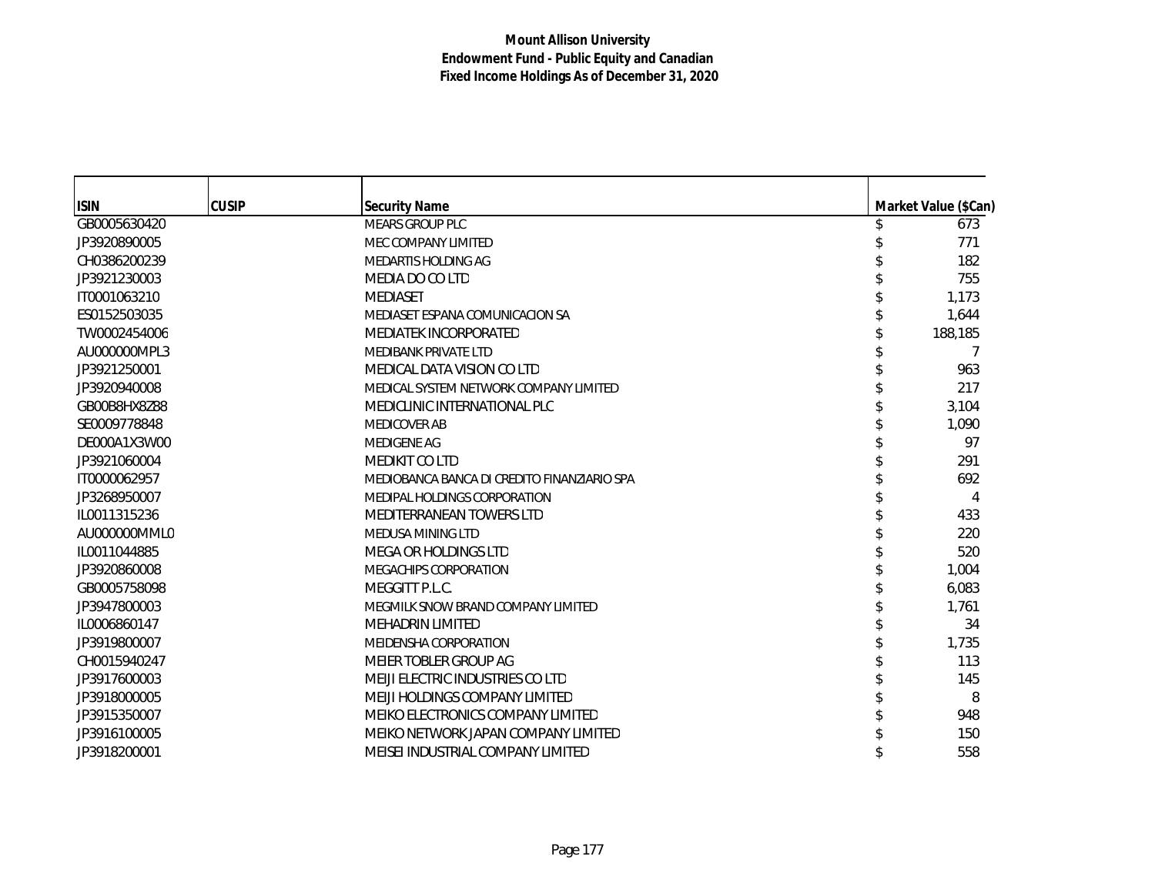| <b>ISIN</b>  | <b>CUSIP</b> | <b>Security Name</b>                        | Market Value (\$Can) |
|--------------|--------------|---------------------------------------------|----------------------|
| GB0005630420 |              | <b>MEARS GROUP PLC</b>                      | 673                  |
| JP3920890005 |              | MEC COMPANY LIMITED                         | 771                  |
| CH0386200239 |              | MEDARTIS HOLDING AG                         | 182                  |
| JP3921230003 |              | MEDIA DO CO LTD                             | 755                  |
| IT0001063210 |              | MEDIASET                                    | 1,173                |
| ES0152503035 |              | MEDIASET ESPANA COMUNICACION SA             | 1,644                |
| TW0002454006 |              | MEDIATEK INCORPORATED                       | 188,185              |
| AU000000MPL3 |              | <b>MEDIBANK PRIVATE LTD</b>                 | 7                    |
| JP3921250001 |              | MEDICAL DATA VISION CO LTD                  | 963                  |
| JP3920940008 |              | MEDICAL SYSTEM NETWORK COMPANY LIMITED      | 217                  |
| GB00B8HX8Z88 |              | MEDICLINIC INTERNATIONAL PLC                | 3,104                |
| SE0009778848 |              | <b>MEDICOVER AB</b>                         | 1,090                |
| DE000A1X3W00 |              | <b>MEDIGENE AG</b>                          | 97                   |
| JP3921060004 |              | <b>MEDIKIT CO LTD</b>                       | 291                  |
| IT0000062957 |              | MEDIOBANCA BANCA DI CREDITO FINANZIARIO SPA | 692                  |
| JP3268950007 |              | MEDIPAL HOLDINGS CORPORATION                | 4                    |
| IL0011315236 |              | MEDITERRANEAN TOWERS LTD                    | 433                  |
| AU000000MML0 |              | MEDUSA MINING LTD                           | 220                  |
| IL0011044885 |              | MEGA OR HOLDINGS LTD                        | 520                  |
| JP3920860008 |              | MEGACHIPS CORPORATION                       | 1,004                |
| GB0005758098 |              | MEGGITT P.L.C.                              | 6,083                |
| JP3947800003 |              | MEGMILK SNOW BRAND COMPANY LIMITED          | 1,761                |
| IL0006860147 |              | <b>MEHADRIN LIMITED</b>                     | 34                   |
| JP3919800007 |              | MEIDENSHA CORPORATION                       | 1,735                |
| CH0015940247 |              | MEIER TOBLER GROUP AG                       | 113                  |
| JP3917600003 |              | MEIJI ELECTRIC INDUSTRIES CO LTD            | 145                  |
| JP3918000005 |              | MEIJI HOLDINGS COMPANY LIMITED              | 8                    |
| JP3915350007 |              | MEIKO ELECTRONICS COMPANY LIMITED           | 948                  |
| JP3916100005 |              | MEIKO NETWORK JAPAN COMPANY LIMITED         | 150                  |
| JP3918200001 |              | MEISEI INDUSTRIAL COMPANY LIMITED           | 558                  |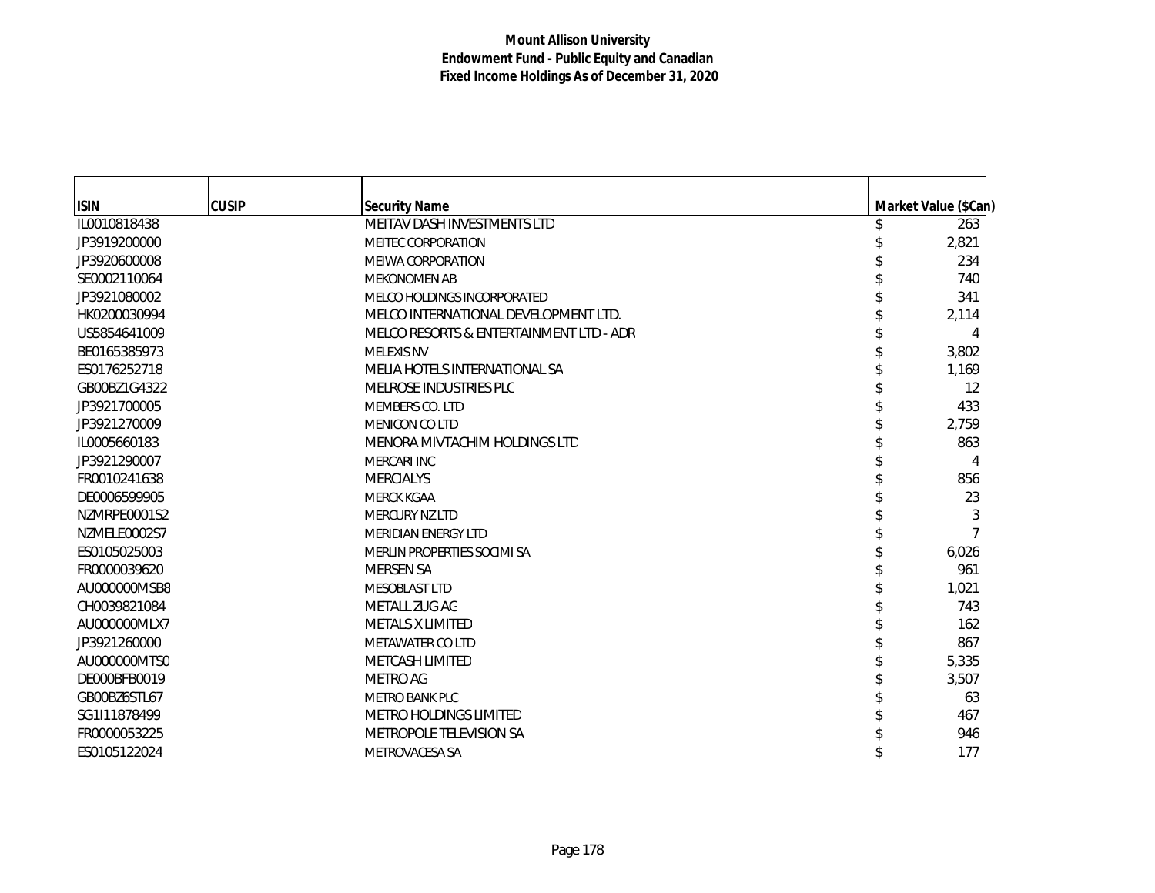| <b>ISIN</b>  | <b>CUSIP</b> | <b>Security Name</b>                    | Market Value (\$Can) |
|--------------|--------------|-----------------------------------------|----------------------|
| IL0010818438 |              | MEITAV DASH INVESTMENTS LTD             | 263                  |
| JP3919200000 |              | <b>MEITEC CORPORATION</b>               | 2,821                |
| JP3920600008 |              | <b>MEIWA CORPORATION</b>                | 234                  |
| SE0002110064 |              | <b>MEKONOMEN AB</b>                     | 740                  |
| JP3921080002 |              | MELCO HOLDINGS INCORPORATED             | 341                  |
| HK0200030994 |              | MELCO INTERNATIONAL DEVELOPMENT LTD.    | 2,114                |
| US5854641009 |              | MELCO RESORTS & ENTERTAINMENT LTD - ADR |                      |
| BE0165385973 |              | <b>MELEXIS NV</b>                       | 3,802                |
| ES0176252718 |              | MELIA HOTELS INTERNATIONAL SA           | 1,169                |
| GB00BZ1G4322 |              | MELROSE INDUSTRIES PLC                  | 12                   |
| JP3921700005 |              | MEMBERS CO. LTD                         | 433                  |
| JP3921270009 |              | MENICON CO LTD                          | 2,759                |
| IL0005660183 |              | MENORA MIVTACHIM HOLDINGS LTD           | 863                  |
| JP3921290007 |              | <b>MERCARI INC</b>                      | 4                    |
| FR0010241638 |              | <b>MERCIALYS</b>                        | 856                  |
| DE0006599905 |              | <b>MERCK KGAA</b>                       | 23                   |
| NZMRPE0001S2 |              | <b>MERCURY NZ LTD</b>                   | 3                    |
| NZMELE0002S7 |              | <b>MERIDIAN ENERGY LTD</b>              |                      |
| ES0105025003 |              | MERLIN PROPERTIES SOCIMI SA             | 6,026                |
| FR0000039620 |              | <b>MERSEN SA</b>                        | 961                  |
| AU000000MSB8 |              | <b>MESOBLAST LTD</b>                    | 1,021                |
| CH0039821084 |              | METALL ZUG AG                           | 743                  |
| AU000000MLX7 |              | <b>METALS X LIMITED</b>                 | 162                  |
| JP3921260000 |              | <b>METAWATER CO LTD</b>                 | 867                  |
| AU000000MTS0 |              | METCASH LIMITED                         | 5,335                |
| DE000BFB0019 |              | <b>METRO AG</b>                         | 3,507                |
| GB00BZ6STL67 |              | <b>METRO BANK PLC</b>                   | 63                   |
| SG1I11878499 |              | <b>METRO HOLDINGS LIMITED</b>           | 467                  |
| FR0000053225 |              | METROPOLE TELEVISION SA                 | 946                  |
| ES0105122024 |              | METROVACESA SA                          | 177                  |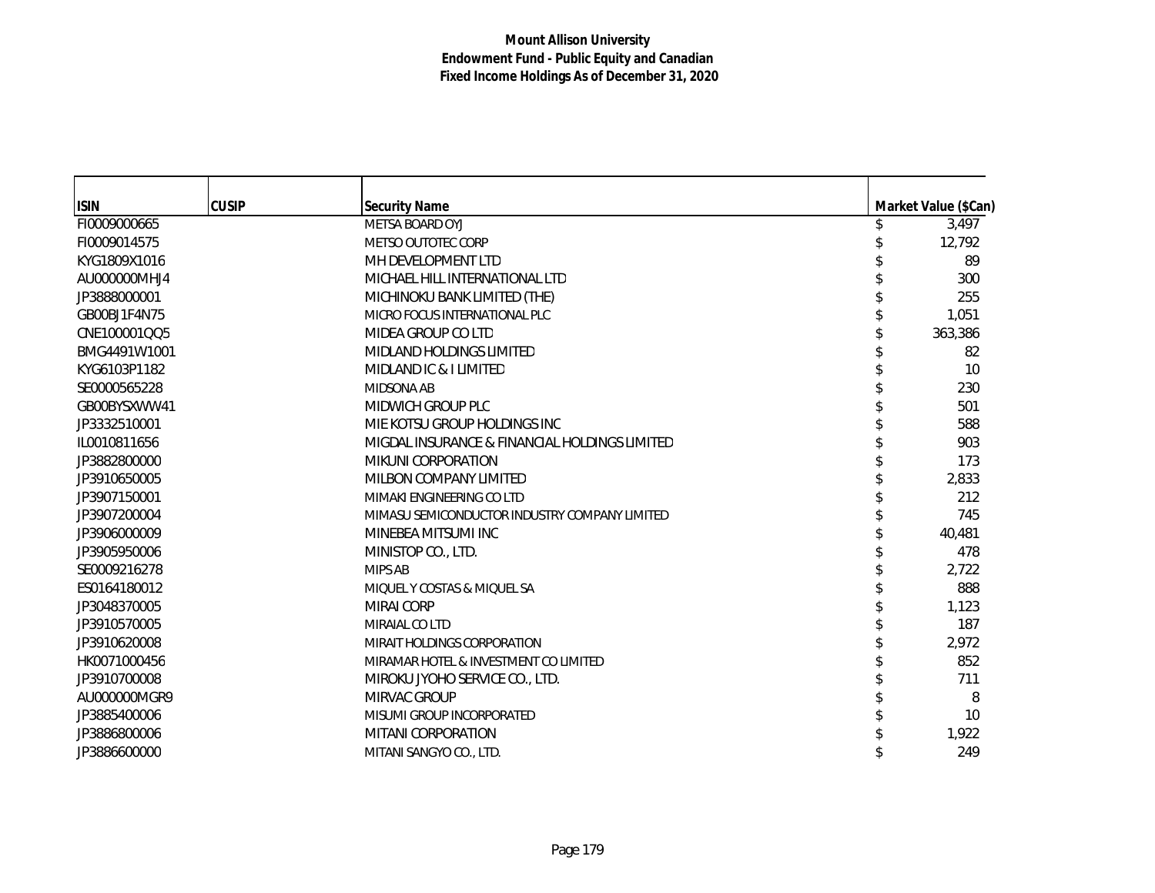| <b>ISIN</b>  | <b>CUSIP</b> | <b>Security Name</b>                          | Market Value (\$Can) |
|--------------|--------------|-----------------------------------------------|----------------------|
| FI0009000665 |              | METSA BOARD OYJ                               | 3,497                |
| FI0009014575 |              | METSO OUTOTEC CORP                            | 12,792               |
| KYG1809X1016 |              | MH DEVELOPMENT LTD                            | 89                   |
| AU000000MHJ4 |              | MICHAEL HILL INTERNATIONAL LTD                | 300                  |
| JP3888000001 |              | MICHINOKU BANK LIMITED (THE)                  | 255                  |
| GB00BJ1F4N75 |              | MICRO FOCUS INTERNATIONAL PLC                 | 1,051                |
| CNE100001QQ5 |              | MIDEA GROUP CO LTD                            | 363,386              |
| BMG4491W1001 |              | MIDLAND HOLDINGS LIMITED                      | 82                   |
| KYG6103P1182 |              | MIDLAND IC & I LIMITED                        | 10                   |
| SE0000565228 |              | <b>MIDSONA AB</b>                             | 230                  |
| GB00BYSXWW41 |              | MIDWICH GROUP PLC                             | 501                  |
| JP3332510001 |              | MIE KOTSU GROUP HOLDINGS INC                  | 588                  |
| IL0010811656 |              | MIGDAL INSURANCE & FINANCIAL HOLDINGS LIMITED | 903                  |
| JP3882800000 |              | MIKUNI CORPORATION                            | 173                  |
| JP3910650005 |              | MILBON COMPANY LIMITED                        | 2,833                |
| JP3907150001 |              | MIMAKI ENGINEERING CO LTD                     | 212                  |
| JP3907200004 |              | MIMASU SEMICONDUCTOR INDUSTRY COMPANY LIMITED | 745                  |
| JP3906000009 |              | MINEBEA MITSUMI INC                           | 40,481               |
| JP3905950006 |              | MINISTOP CO., LTD.                            | 478                  |
| SE0009216278 |              | <b>MIPS AB</b>                                | 2,722                |
| ES0164180012 |              | MIQUEL Y COSTAS & MIQUEL SA                   | 888                  |
| JP3048370005 |              | <b>MIRAI CORP</b>                             | 1,123                |
| JP3910570005 |              | MIRAIAL CO LTD                                | 187                  |
| JP3910620008 |              | MIRAIT HOLDINGS CORPORATION                   | 2,972                |
| HK0071000456 |              | MIRAMAR HOTEL & INVESTMENT CO LIMITED         | 852                  |
| JP3910700008 |              | MIROKU JYOHO SERVICE CO., LTD.                | 711                  |
| AU000000MGR9 |              | MIRVAC GROUP                                  | 8                    |
| JP3885400006 |              | MISUMI GROUP INCORPORATED                     | 10                   |
| JP3886800006 |              | MITANI CORPORATION                            | 1,922                |
| JP3886600000 |              | MITANI SANGYO CO., LTD.                       | 249                  |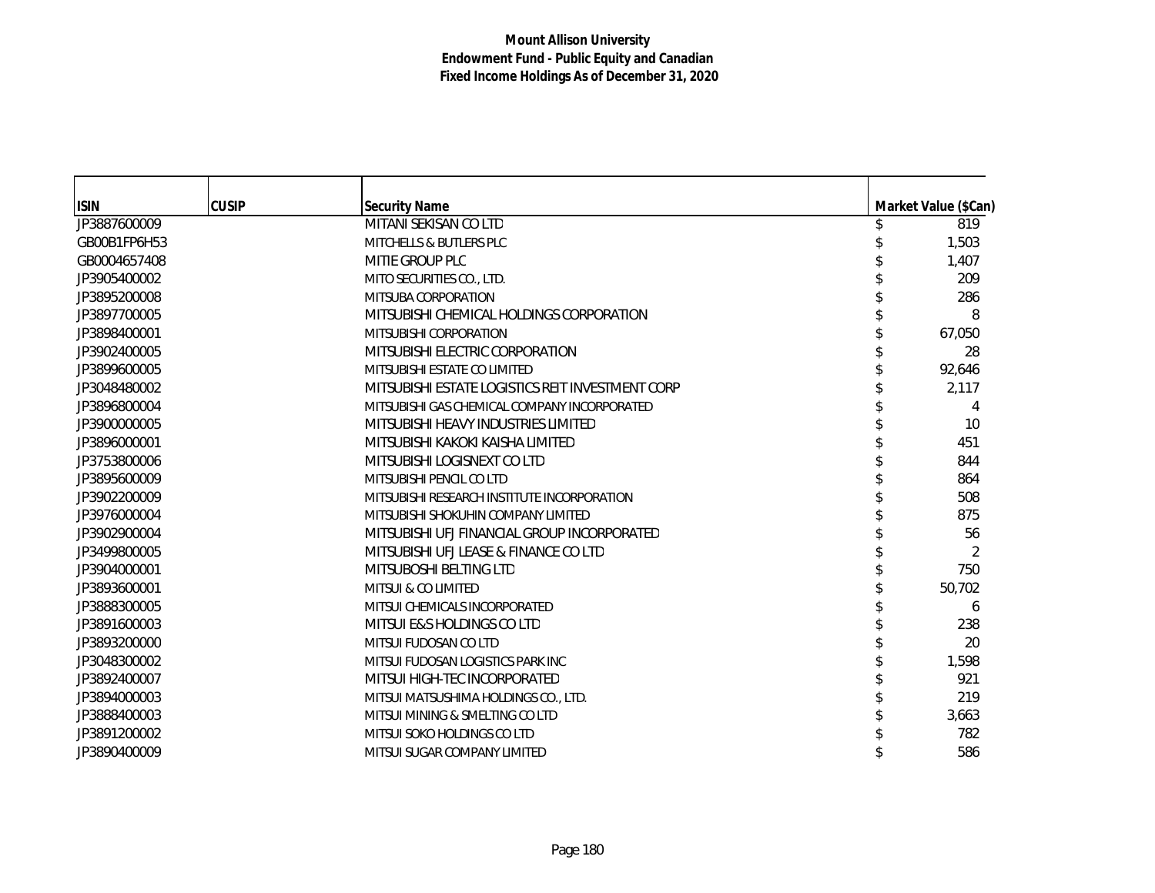| <b>ISIN</b>  | <b>CUSIP</b> | <b>Security Name</b>                             | Market Value (\$Can) |
|--------------|--------------|--------------------------------------------------|----------------------|
| JP3887600009 |              | MITANI SEKISAN CO LTD                            | 819                  |
| GB00B1FP6H53 |              | <b>MITCHELLS &amp; BUTLERS PLC</b>               | 1,503                |
| GB0004657408 |              | MITIE GROUP PLC                                  | 1,407                |
| JP3905400002 |              | MITO SECURITIES CO., LTD.                        | 209                  |
| JP3895200008 |              | MITSUBA CORPORATION                              | 286                  |
| JP3897700005 |              | MITSUBISHI CHEMICAL HOLDINGS CORPORATION         | 8                    |
| JP3898400001 |              | MITSUBISHI CORPORATION                           | 67,050               |
| JP3902400005 |              | MITSUBISHI ELECTRIC CORPORATION                  | 28                   |
| JP3899600005 |              | MITSUBISHI ESTATE CO LIMITED                     | 92,646               |
| JP3048480002 |              | MITSUBISHI ESTATE LOGISTICS REIT INVESTMENT CORP | 2,117                |
| JP3896800004 |              | MITSUBISHI GAS CHEMICAL COMPANY INCORPORATED     | 4                    |
| JP3900000005 |              | MITSUBISHI HEAVY INDUSTRIES LIMITED              | 10                   |
| JP3896000001 |              | MITSUBISHI KAKOKI KAISHA LIMITED                 | 451                  |
| JP3753800006 |              | MITSUBISHI LOGISNEXT CO LTD                      | 844                  |
| JP3895600009 |              | MITSUBISHI PENCIL CO LTD                         | 864                  |
| JP3902200009 |              | MITSUBISHI RESEARCH INSTITUTE INCORPORATION      | 508                  |
| JP3976000004 |              | MITSUBISHI SHOKUHIN COMPANY LIMITED              | 875                  |
| JP3902900004 |              | MITSUBISHI UFJ FINANCIAL GROUP INCORPORATED      | 56                   |
| JP3499800005 |              | MITSUBISHI UFJ LEASE & FINANCE CO LTD            | 2                    |
| JP3904000001 |              | MITSUBOSHI BELTING LTD                           | 750                  |
| JP3893600001 |              | <b>MITSUI &amp; CO LIMITED</b>                   | 50,702               |
| JP3888300005 |              | MITSUI CHEMICALS INCORPORATED                    | 6                    |
| JP3891600003 |              | MITSUI E&S HOLDINGS CO LTD                       | 238                  |
| JP3893200000 |              | MITSUI FUDOSAN CO LTD                            | 20                   |
| JP3048300002 |              | MITSUI FUDOSAN LOGISTICS PARK INC                | 1,598                |
| JP3892400007 |              | MITSUI HIGH-TEC INCORPORATED                     | 921                  |
| JP3894000003 |              | MITSUI MATSUSHIMA HOLDINGS CO., LTD.             | 219                  |
| JP3888400003 |              | MITSUI MINING & SMELTING CO LTD                  | 3,663                |
| JP3891200002 |              | MITSUI SOKO HOLDINGS CO LTD                      | 782                  |
| JP3890400009 |              | MITSUI SUGAR COMPANY LIMITED                     | 586                  |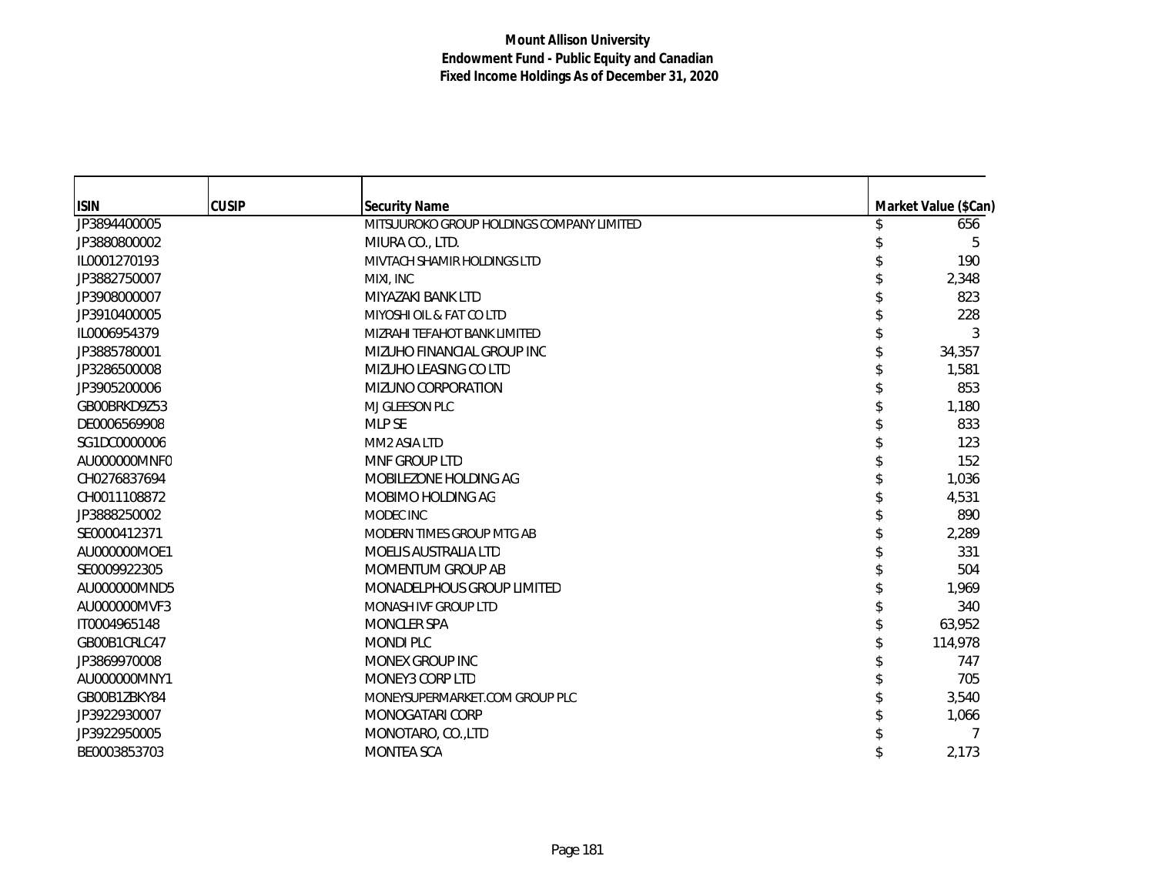| <b>ISIN</b>  | <b>CUSIP</b> | <b>Security Name</b>                      | Market Value (\$Can) |
|--------------|--------------|-------------------------------------------|----------------------|
| JP3894400005 |              | MITSUUROKO GROUP HOLDINGS COMPANY LIMITED | 656                  |
| JP3880800002 |              | MIURA CO., LTD.                           | 5                    |
| IL0001270193 |              | MIVTACH SHAMIR HOLDINGS LTD               | 190                  |
| JP3882750007 |              | MIXI. INC                                 | 2,348                |
| JP3908000007 |              | MIYAZAKI BANK LTD                         | 823                  |
| JP3910400005 |              | MIYOSHI OIL & FAT CO LTD                  | 228                  |
| IL0006954379 |              | MIZRAHI TEFAHOT BANK LIMITED              | 3                    |
| JP3885780001 |              | MIZUHO FINANCIAL GROUP INC                | 34,357               |
| JP3286500008 |              | MIZUHO LEASING CO LTD                     | 1,581                |
| JP3905200006 |              | MIZUNO CORPORATION                        | 853                  |
| GB00BRKD9Z53 |              | MJ GLEESON PLC                            | 1,180                |
| DE0006569908 |              | <b>MLP SE</b>                             | 833                  |
| SG1DC0000006 |              | MM2 ASIA LTD                              | 123                  |
| AU000000MNF0 |              | MNF GROUP LTD                             | 152                  |
| CH0276837694 |              | MOBILEZONE HOLDING AG                     | 1,036                |
| CH0011108872 |              | MOBIMO HOLDING AG                         | 4,531                |
| JP3888250002 |              | MODEC INC                                 | 890                  |
| SE0000412371 |              | MODERN TIMES GROUP MTG AB                 | 2,289                |
| AU000000MOE1 |              | MOELIS AUSTRALIA LTD                      | 331                  |
| SE0009922305 |              | MOMENTUM GROUP AB                         | 504                  |
| AU000000MND5 |              | MONADELPHOUS GROUP LIMITED                |                      |
| AU000000MVF3 |              | MONASH IVF GROUP LTD                      | 1,969                |
| IT0004965148 |              | MONCLER SPA                               | 340<br>63,952        |
|              |              |                                           |                      |
| GB00B1CRLC47 |              | <b>MONDI PLC</b>                          | 114,978              |
| JP3869970008 |              | MONEX GROUP INC                           | 747                  |
| AU000000MNY1 |              | MONEY3 CORP LTD                           | 705                  |
| GB00B1ZBKY84 |              | MONEYSUPERMARKET.COM GROUP PLC            | 3,540                |
| JP3922930007 |              | MONOGATARI CORP                           | 1,066                |
| JP3922950005 |              | MONOTARO, CO., LTD                        |                      |
| BE0003853703 |              | MONTEA SCA                                | 2,173                |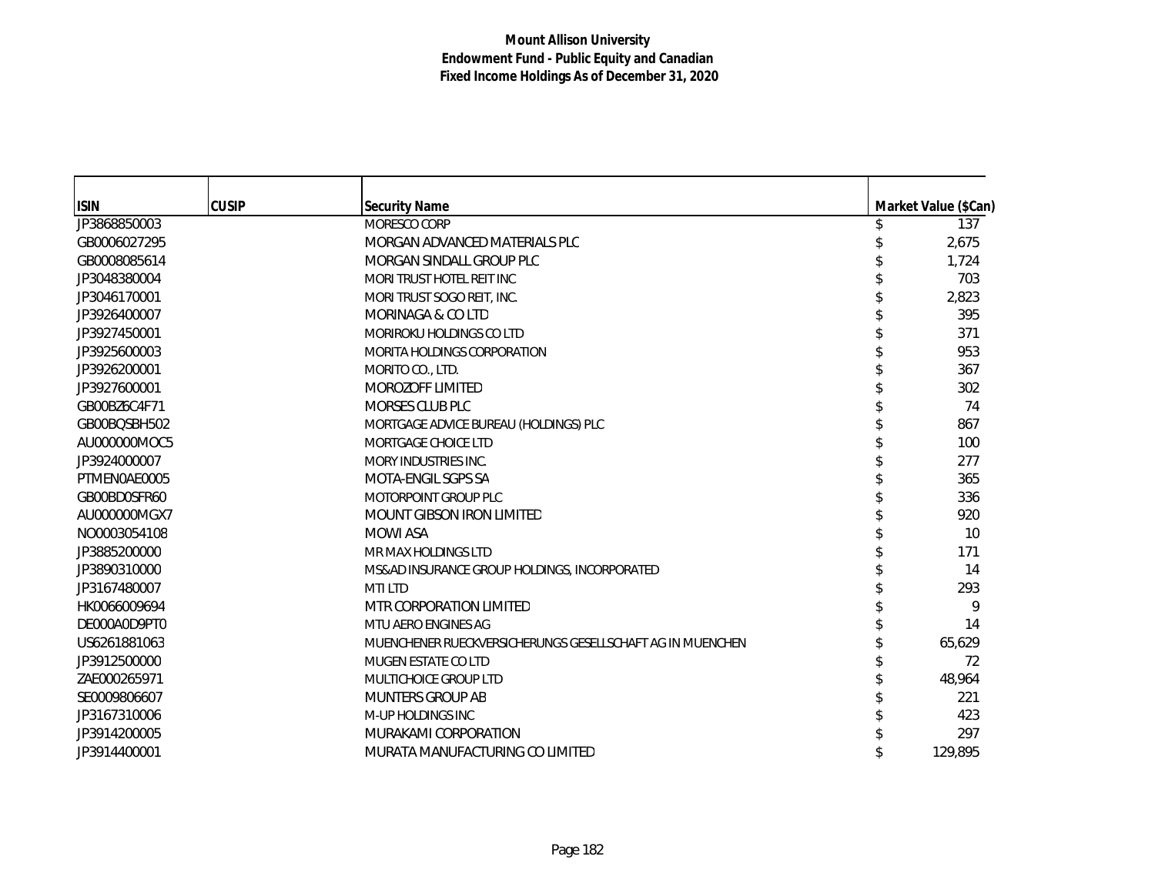| <b>ISIN</b>  | <b>CUSIP</b> | <b>Security Name</b>                                      | Market Value (\$Can) |
|--------------|--------------|-----------------------------------------------------------|----------------------|
| JP3868850003 |              | MORESCO CORP                                              | 137                  |
| GB0006027295 |              | MORGAN ADVANCED MATERIALS PLC                             | 2,675                |
| GB0008085614 |              | MORGAN SINDALL GROUP PLC                                  | 1,724                |
| JP3048380004 |              | MORI TRUST HOTEL REIT INC                                 | 703                  |
| JP3046170001 |              | MORI TRUST SOGO REIT, INC.                                | 2,823                |
| JP3926400007 |              | MORINAGA & CO LTD                                         | 395                  |
| JP3927450001 |              | MORIROKU HOLDINGS CO LTD                                  | 371                  |
| JP3925600003 |              | MORITA HOLDINGS CORPORATION                               | 953                  |
| JP3926200001 |              | MORITO CO., LTD.                                          | 367                  |
| JP3927600001 |              | MOROZOFF LIMITED                                          | 302                  |
| GB00BZ6C4F71 |              | MORSES CLUB PLC                                           | 74                   |
| GB00BQSBH502 |              | MORTGAGE ADVICE BUREAU (HOLDINGS) PLC                     | 867                  |
| AU000000MOC5 |              | MORTGAGE CHOICE LTD                                       | 100                  |
| JP3924000007 |              | MORY INDUSTRIES INC.                                      | 277                  |
| PTMEN0AE0005 |              | MOTA-ENGIL SGPS SA                                        | 365                  |
| GB00BD0SFR60 |              | MOTORPOINT GROUP PLC                                      | 336                  |
| AU000000MGX7 |              | <b>MOUNT GIBSON IRON LIMITED</b>                          | 920                  |
| NO0003054108 |              | <b>MOWI ASA</b>                                           | 10                   |
| JP3885200000 |              | MR MAX HOLDINGS LTD                                       | 171                  |
| JP3890310000 |              | MS&AD INSURANCE GROUP HOLDINGS, INCORPORATED              | 14                   |
| JP3167480007 |              | <b>MTILTD</b>                                             | 293                  |
| HK0066009694 |              | MTR CORPORATION LIMITED                                   | 9                    |
| DE000A0D9PT0 |              | MTU AERO ENGINES AG                                       | 14                   |
| US6261881063 |              | MUENCHENER RUECKVERSICHERUNGS GESELLSCHAFT AG IN MUENCHEN | 65,629               |
| JP3912500000 |              | <b>MUGEN ESTATE CO LTD</b>                                | 72                   |
| ZAE000265971 |              | MULTICHOICE GROUP LTD                                     | 48,964               |
| SE0009806607 |              | <b>MUNTERS GROUP AB</b>                                   | 221                  |
| JP3167310006 |              | M-UP HOLDINGS INC                                         | 423                  |
| JP3914200005 |              | MURAKAMI CORPORATION                                      | 297                  |
| JP3914400001 |              | MURATA MANUFACTURING CO LIMITED                           | 129.895              |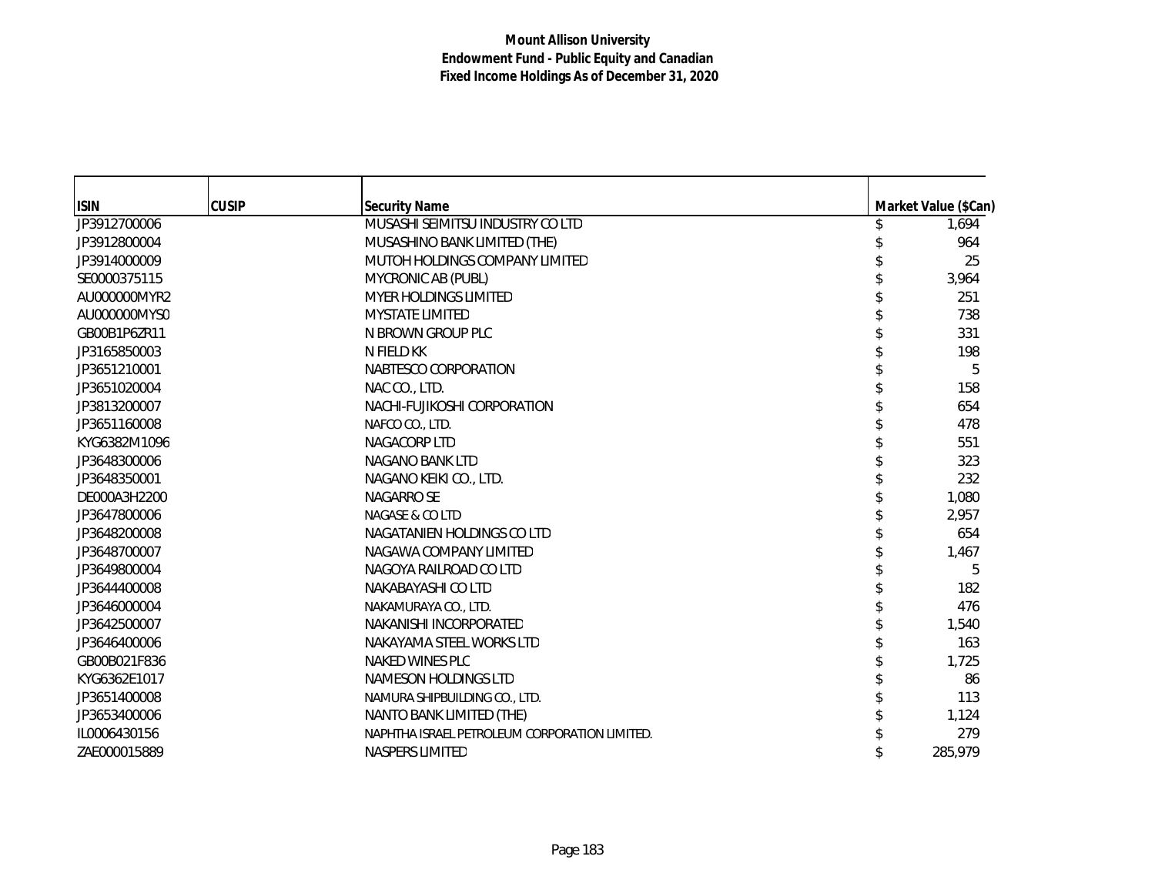| <b>ISIN</b>  | <b>CUSIP</b> | <b>Security Name</b>                          | Market Value (\$Can) |
|--------------|--------------|-----------------------------------------------|----------------------|
| JP3912700006 |              | MUSASHI SEIMITSU INDUSTRY CO LTD              | 1,694                |
| JP3912800004 |              | MUSASHINO BANK LIMITED (THE)                  | 964                  |
| JP3914000009 |              | MUTOH HOLDINGS COMPANY LIMITED                | 25                   |
| SE0000375115 |              | MYCRONIC AB (PUBL)                            | 3,964                |
| AU000000MYR2 |              | <b>MYER HOLDINGS LIMITED</b>                  | 251                  |
| AU000000MYS0 |              | <b>MYSTATE LIMITED</b>                        | 738                  |
| GB00B1P6ZR11 |              | N BROWN GROUP PLC                             | 331                  |
| JP3165850003 |              | N FIELD KK                                    | 198                  |
| JP3651210001 |              | NABTESCO CORPORATION                          | 5                    |
| JP3651020004 |              | NAC CO., LTD.                                 | 158                  |
| JP3813200007 |              | NACHI-FUJIKOSHI CORPORATION                   | 654                  |
| JP3651160008 |              | NAFCO CO., LTD.                               | 478                  |
| KYG6382M1096 |              | NAGACORP LTD                                  | 551                  |
| JP3648300006 |              | NAGANO BANK LTD                               | 323                  |
| JP3648350001 |              | NAGANO KEIKI CO., LTD.                        | 232                  |
| DE000A3H2200 |              | NAGARRO SE                                    | 1,080                |
| JP3647800006 |              | NAGASE & CO LTD                               | 2,957                |
| JP3648200008 |              | NAGATANIEN HOLDINGS CO LTD                    | 654                  |
| JP3648700007 |              | NAGAWA COMPANY LIMITED                        | 1,467                |
| JP3649800004 |              | NAGOYA RAILROAD CO LTD                        | 5                    |
| JP3644400008 |              | NAKABAYASHI CO LTD                            | 182                  |
| JP3646000004 |              | NAKAMURAYA CO., LTD.                          | 476                  |
| JP3642500007 |              | NAKANISHI INCORPORATED                        | 1,540                |
| JP3646400006 |              | NAKAYAMA STEEL WORKS LTD                      | 163                  |
| GB00B021F836 |              | NAKED WINES PLC                               | 1,725                |
| KYG6362E1017 |              | NAMESON HOLDINGS LTD                          | 86                   |
| JP3651400008 |              | NAMURA SHIPBUILDING CO., LTD.                 | 113                  |
| JP3653400006 |              | NANTO BANK LIMITED (THE)                      | 1,124                |
| IL0006430156 |              | NAPHTHA ISRAEL PETROLEUM CORPORATION LIMITED. | 279                  |
| ZAE000015889 |              | NASPERS LIMITED                               | 285,979              |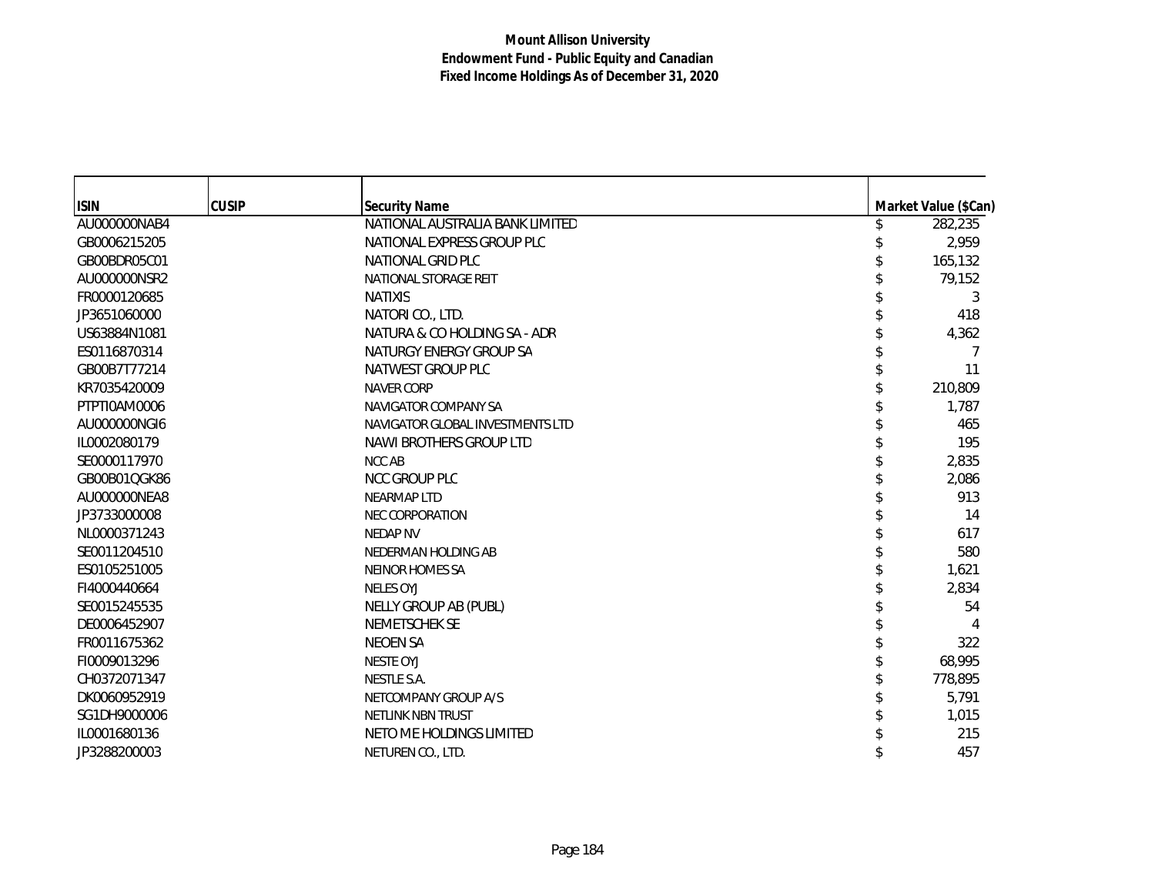| <b>ISIN</b>  | <b>CUSIP</b> | <b>Security Name</b>             | Market Value (\$Can) |
|--------------|--------------|----------------------------------|----------------------|
| AU000000NAB4 |              | NATIONAL AUSTRALIA BANK LIMITED  | 282,235              |
| GB0006215205 |              | NATIONAL EXPRESS GROUP PLC       | 2,959                |
| GB00BDR05C01 |              | NATIONAL GRID PLC                | 165,132              |
| AU000000NSR2 |              | NATIONAL STORAGE REIT            | 79,152               |
| FR0000120685 |              | <b>NATIXIS</b>                   | 3                    |
| JP3651060000 |              | NATORI CO., LTD.                 | 418                  |
| US63884N1081 |              | NATURA & CO HOLDING SA - ADR     | 4,362                |
| ES0116870314 |              | NATURGY ENERGY GROUP SA          | 7                    |
| GB00B7T77214 |              | NATWEST GROUP PLC                | 11                   |
| KR7035420009 |              | <b>NAVER CORP</b>                | 210,809              |
| PTPTI0AM0006 |              | NAVIGATOR COMPANY SA             | 1,787                |
| AU000000NGI6 |              | NAVIGATOR GLOBAL INVESTMENTS LTD | 465                  |
| IL0002080179 |              | NAWI BROTHERS GROUP LTD          | 195                  |
| SE0000117970 |              | NCC AB                           | 2,835                |
| GB00B01QGK86 |              | <b>NCC GROUP PLC</b>             | 2,086                |
| AU000000NEA8 |              | <b>NEARMAP LTD</b>               | 913                  |
| JP3733000008 |              | <b>NEC CORPORATION</b>           | 14                   |
| NL0000371243 |              | <b>NEDAP NV</b>                  | 617                  |
| SE0011204510 |              | NEDERMAN HOLDING AB              | 580                  |
| ES0105251005 |              | <b>NEINOR HOMES SA</b>           | 1,621                |
| FI4000440664 |              | <b>NELES OYJ</b>                 | 2,834                |
| SE0015245535 |              | NELLY GROUP AB (PUBL)            | 54                   |
| DE0006452907 |              | NEMETSCHEK SE                    |                      |
| FR0011675362 |              | <b>NEOEN SA</b>                  | 322                  |
| FI0009013296 |              | <b>NESTE OYJ</b>                 | 68,995               |
| CH0372071347 |              | NESTLE S.A.                      | 778,895              |
| DK0060952919 |              | NETCOMPANY GROUP A/S             | 5,791                |
| SG1DH9000006 |              | <b>NETLINK NBN TRUST</b>         | 1,015                |
| IL0001680136 |              | NETO ME HOLDINGS LIMITED         | 215                  |
| JP3288200003 |              | NETUREN CO., LTD.                | 457                  |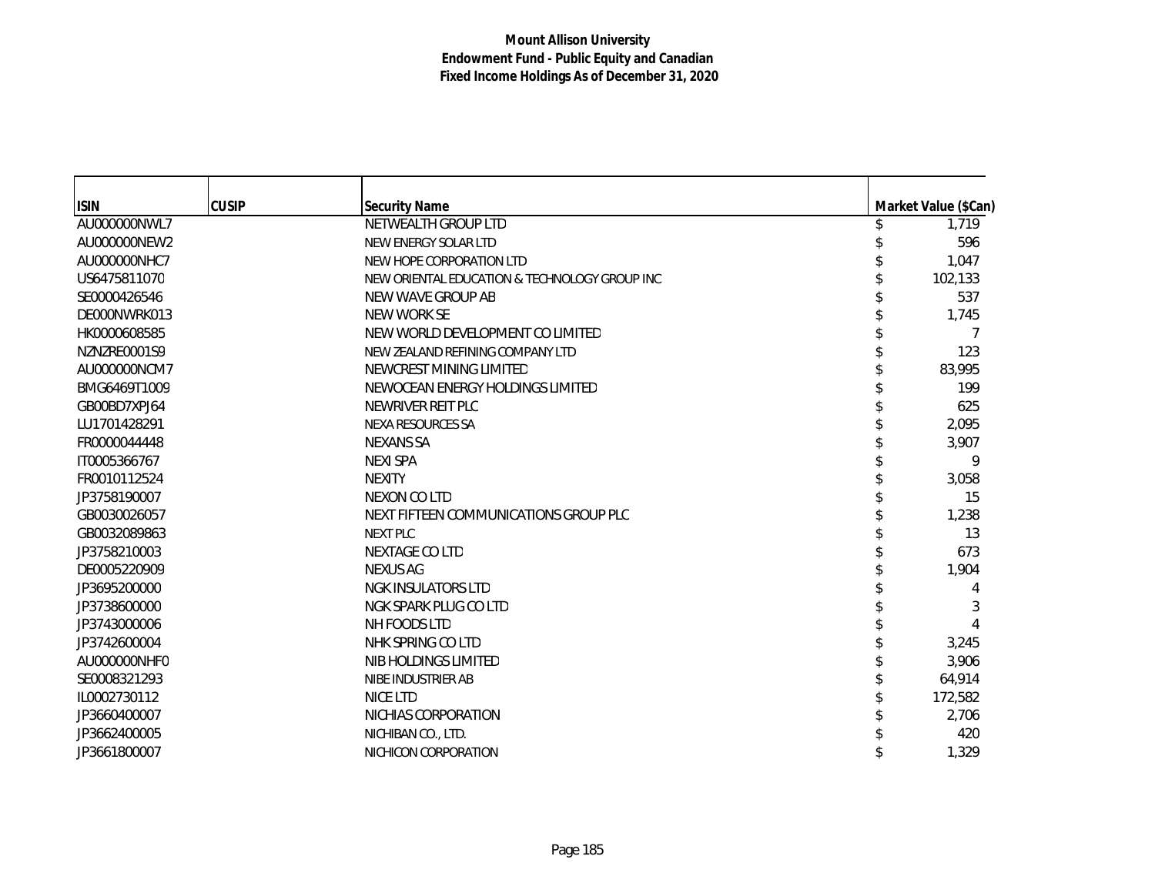| <b>ISIN</b>  | <b>CUSIP</b> | <b>Security Name</b>                          | Market Value (\$Can) |
|--------------|--------------|-----------------------------------------------|----------------------|
| AU000000NWL7 |              | NETWEALTH GROUP LTD                           | 1,719                |
| AU000000NEW2 |              | NEW ENERGY SOLAR LTD                          | 596                  |
| AU000000NHC7 |              | NEW HOPE CORPORATION LTD                      | 1,047                |
| US6475811070 |              | NEW ORIENTAL EDUCATION & TECHNOLOGY GROUP INC | 102,133              |
| SE0000426546 |              | NEW WAVE GROUP AB                             | 537                  |
| DE000NWRK013 |              | NEW WORK SE                                   | 1,745                |
| HK0000608585 |              | NEW WORLD DEVELOPMENT CO LIMITED              |                      |
| NZNZRE0001S9 |              | NEW ZEALAND REFINING COMPANY LTD              | 123                  |
| AU000000NCM7 |              | NEWCREST MINING LIMITED                       | 83,995               |
| BMG6469T1009 |              | NEWOCEAN ENERGY HOLDINGS LIMITED              | 199                  |
| GB00BD7XPJ64 |              | NEWRIVER REIT PLC                             | 625                  |
| LU1701428291 |              | NEXA RESOURCES SA                             | 2,095                |
| FR0000044448 |              | <b>NEXANS SA</b>                              | 3,907                |
| IT0005366767 |              | <b>NEXI SPA</b>                               | 9                    |
| FR0010112524 |              | <b>NEXITY</b>                                 | 3,058                |
| JP3758190007 |              | NEXON CO LTD                                  | 15                   |
| GB0030026057 |              | NEXT FIFTEEN COMMUNICATIONS GROUP PLC         | 1,238                |
| GB0032089863 |              | NEXT PLC                                      | 13                   |
| JP3758210003 |              | <b>NEXTAGE COLTD</b>                          | 673                  |
| DE0005220909 |              | <b>NEXUS AG</b>                               | 1,904                |
| JP3695200000 |              | NGK INSULATORS LTD                            |                      |
| JP3738600000 |              | NGK SPARK PLUG CO LTD                         | 3                    |
| JP3743000006 |              | NH FOODS LTD                                  |                      |
| JP3742600004 |              | NHK SPRING CO LTD                             | 3,245                |
| AU000000NHF0 |              | NIB HOLDINGS LIMITED                          | 3,906                |
| SE0008321293 |              | NIBE INDUSTRIER AB                            | 64,914               |
| IL0002730112 |              | NICE LTD                                      | 172,582              |
| JP3660400007 |              | NICHIAS CORPORATION                           | 2,706                |
| JP3662400005 |              | NICHIBAN CO., LTD.                            | 420                  |
| JP3661800007 |              | NICHICON CORPORATION                          | 1,329                |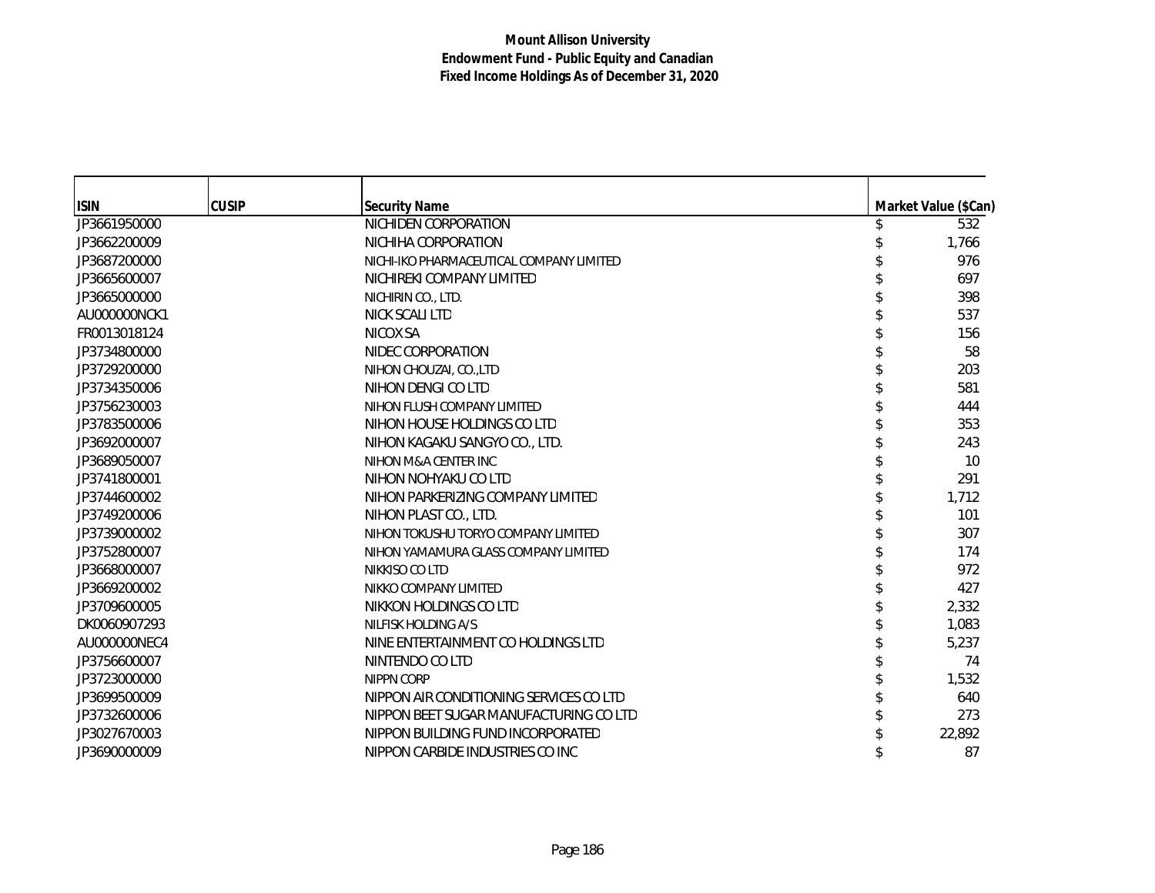| <b>ISIN</b>  | <b>CUSIP</b> | <b>Security Name</b>                     | Market Value (\$Can) |
|--------------|--------------|------------------------------------------|----------------------|
| JP3661950000 |              | NICHIDEN CORPORATION                     | 532                  |
| JP3662200009 |              | NICHIHA CORPORATION                      | 1,766                |
| JP3687200000 |              | NICHI-IKO PHARMACEUTICAL COMPANY LIMITED | 976                  |
| JP3665600007 |              | NICHIREKI COMPANY LIMITED                | 697                  |
| JP3665000000 |              | NICHIRIN CO., LTD.                       | 398                  |
| AU000000NCK1 |              | NICK SCALI LTD                           | 537                  |
| FR0013018124 |              | NICOX SA                                 | 156                  |
| JP3734800000 |              | NIDEC CORPORATION                        | 58                   |
| JP3729200000 |              | NIHON CHOUZAI, CO., LTD                  | 203                  |
| JP3734350006 |              | NIHON DENGI CO LTD                       | 581                  |
| JP3756230003 |              | NIHON FLUSH COMPANY LIMITED              | 444                  |
| JP3783500006 |              | NIHON HOUSE HOLDINGS CO LTD              | 353                  |
| JP3692000007 |              | NIHON KAGAKU SANGYO CO., LTD.            | 243                  |
| JP3689050007 |              | NIHON M&A CENTER INC                     | 10                   |
| JP3741800001 |              | NIHON NOHYAKU CO LTD                     | 291                  |
| JP3744600002 |              | NIHON PARKERIZING COMPANY LIMITED        | 1,712                |
| JP3749200006 |              | NIHON PLAST CO., LTD.                    | 101                  |
| JP3739000002 |              | NIHON TOKUSHU TORYO COMPANY LIMITED      | 307                  |
| JP3752800007 |              | NIHON YAMAMURA GLASS COMPANY LIMITED     | 174                  |
| JP3668000007 |              | NIKKISO CO LTD                           | 972                  |
| JP3669200002 |              | NIKKO COMPANY LIMITED                    | 427                  |
| JP3709600005 |              | NIKKON HOLDINGS CO LTD                   | 2,332                |
| DK0060907293 |              | NILFISK HOLDING A/S                      | 1,083                |
| AU000000NEC4 |              | NINE ENTERTAINMENT CO HOLDINGS LTD       | 5,237                |
| JP3756600007 |              | NINTENDO CO LTD                          | 74                   |
| JP3723000000 |              | <b>NIPPN CORP</b>                        | 1,532                |
| JP3699500009 |              | NIPPON AIR CONDITIONING SERVICES CO LTD  | 640                  |
| JP3732600006 |              | NIPPON BEET SUGAR MANUFACTURING CO LTD   | 273                  |
| JP3027670003 |              | NIPPON BUILDING FUND INCORPORATED        | 22,892               |
| JP3690000009 |              | NIPPON CARBIDE INDUSTRIES CO INC         | 87                   |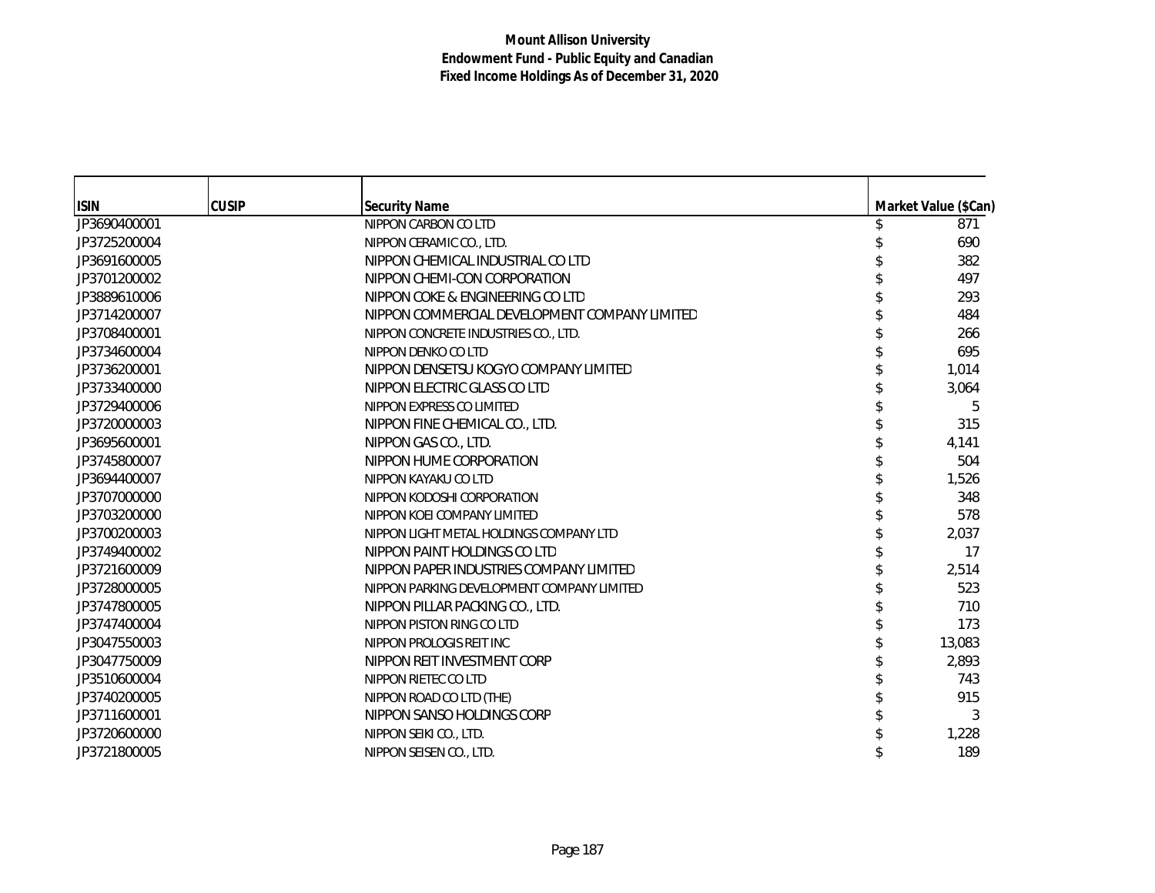| <b>ISIN</b>  | <b>CUSIP</b> | <b>Security Name</b>                          | Market Value (\$Can) |
|--------------|--------------|-----------------------------------------------|----------------------|
| JP3690400001 |              | NIPPON CARBON CO LTD                          | 871                  |
| JP3725200004 |              | NIPPON CERAMIC CO., LTD.                      | 690                  |
| JP3691600005 |              | NIPPON CHEMICAL INDUSTRIAL CO LTD             | 382                  |
| JP3701200002 |              | NIPPON CHEMI-CON CORPORATION                  | 497                  |
| JP3889610006 |              | NIPPON COKE & ENGINEERING CO LTD              | 293                  |
| JP3714200007 |              | NIPPON COMMERCIAL DEVELOPMENT COMPANY LIMITED | 484                  |
| JP3708400001 |              | NIPPON CONCRETE INDUSTRIES CO., LTD.          | 266                  |
| JP3734600004 |              | NIPPON DENKO CO LTD                           | 695                  |
| JP3736200001 |              | NIPPON DENSETSU KOGYO COMPANY LIMITED         | 1,014                |
| JP3733400000 |              | NIPPON ELECTRIC GLASS CO LTD                  | 3,064                |
| JP3729400006 |              | NIPPON EXPRESS CO LIMITED                     | 5                    |
| JP3720000003 |              | NIPPON FINE CHEMICAL CO., LTD.                | 315                  |
| JP3695600001 |              | NIPPON GAS CO., LTD.                          | 4,141                |
| JP3745800007 |              | NIPPON HUME CORPORATION                       | 504                  |
| JP3694400007 |              | NIPPON KAYAKU CO LTD                          | 1,526                |
| JP3707000000 |              | NIPPON KODOSHI CORPORATION                    | 348                  |
| JP3703200000 |              | NIPPON KOEI COMPANY LIMITED                   | 578                  |
| JP3700200003 |              | NIPPON LIGHT METAL HOLDINGS COMPANY LTD       | 2,037                |
| JP3749400002 |              | NIPPON PAINT HOLDINGS CO LTD                  | 17                   |
| JP3721600009 |              | NIPPON PAPER INDUSTRIES COMPANY LIMITED       | 2,514                |
| JP3728000005 |              | NIPPON PARKING DEVELOPMENT COMPANY LIMITED    | 523                  |
| JP3747800005 |              | NIPPON PILLAR PACKING CO., LTD.               | 710                  |
| JP3747400004 |              | NIPPON PISTON RING CO LTD                     | 173                  |
| JP3047550003 |              | NIPPON PROLOGIS REIT INC                      | 13,083               |
| JP3047750009 |              | NIPPON REIT INVESTMENT CORP                   | 2,893                |
| JP3510600004 |              | NIPPON RIETEC CO LTD                          | 743                  |
| JP3740200005 |              | NIPPON ROAD CO LTD (THE)                      | 915                  |
| JP3711600001 |              | NIPPON SANSO HOLDINGS CORP                    | 3                    |
| JP3720600000 |              | NIPPON SEIKI CO., LTD.                        | 1,228                |
| JP3721800005 |              | NIPPON SEISEN CO., LTD.                       | 189                  |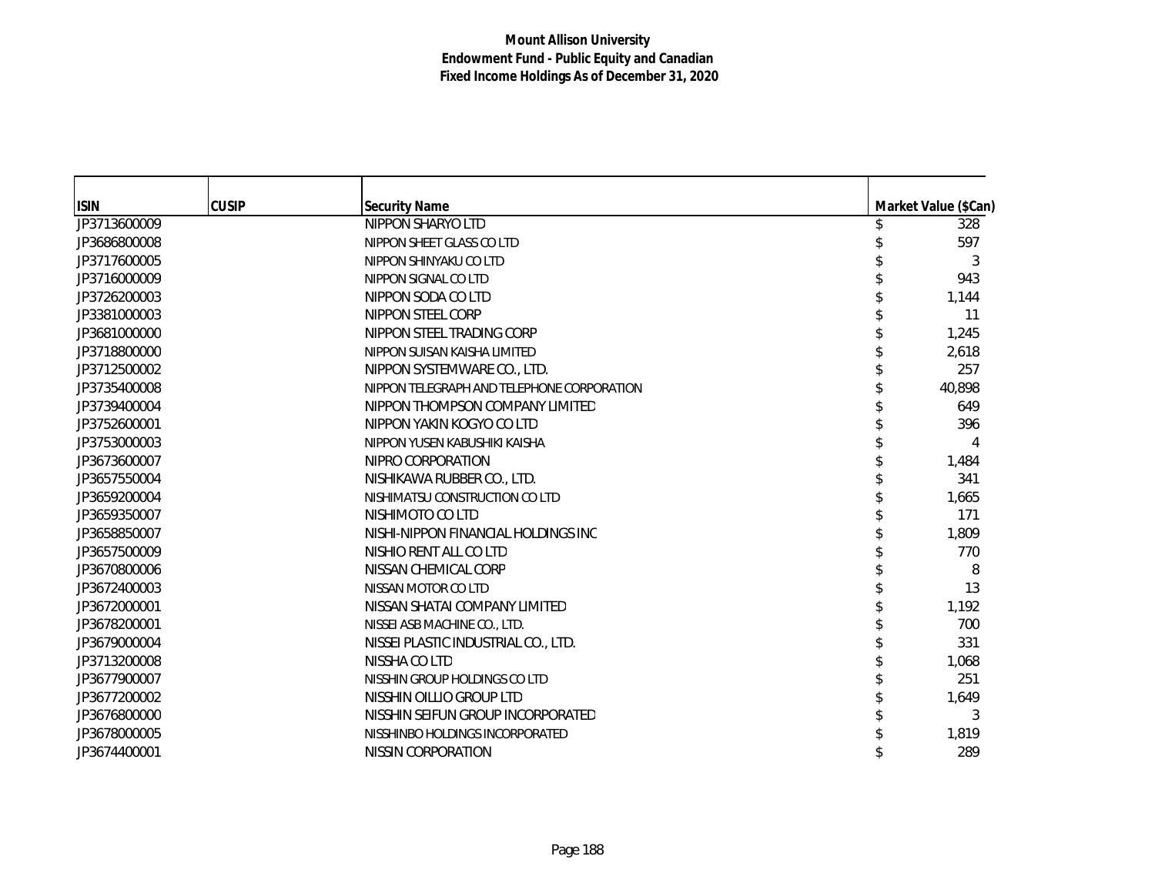|              | <b>CUSIP</b> |                                            |                      |
|--------------|--------------|--------------------------------------------|----------------------|
| <b>ISIN</b>  |              | <b>Security Name</b><br>NIPPON SHARYO LTD  | Market Value (\$Can) |
| JP3713600009 |              |                                            | 328<br>597           |
| JP3686800008 |              | NIPPON SHEET GLASS CO LTD                  |                      |
| JP3717600005 |              | NIPPON SHINYAKU CO LTD                     | 3                    |
| JP3716000009 |              | NIPPON SIGNAL CO LTD                       | 943                  |
| JP3726200003 |              | NIPPON SODA CO LTD                         | 1,144                |
| JP3381000003 |              | NIPPON STEEL CORP                          | 11                   |
| JP3681000000 |              | NIPPON STEEL TRADING CORP                  | 1,245                |
| JP3718800000 |              | NIPPON SUISAN KAISHA LIMITED               | 2,618                |
| JP3712500002 |              | NIPPON SYSTEMWARE CO., LTD.                | 257                  |
| JP3735400008 |              | NIPPON TELEGRAPH AND TELEPHONE CORPORATION | 40,898               |
| JP3739400004 |              | NIPPON THOMPSON COMPANY LIMITED            | 649                  |
| JP3752600001 |              | NIPPON YAKIN KOGYO CO LTD                  | 396                  |
| JP3753000003 |              | NIPPON YUSEN KABUSHIKI KAISHA              |                      |
| JP3673600007 |              | NIPRO CORPORATION                          | 1,484                |
| JP3657550004 |              | NISHIKAWA RUBBER CO., LTD.                 | 341                  |
| JP3659200004 |              | NISHIMATSU CONSTRUCTION CO LTD             | 1,665                |
| JP3659350007 |              | NISHIMOTO CO LTD                           | 171                  |
| JP3658850007 |              | NISHI-NIPPON FINANCIAL HOLDINGS INC        | 1,809                |
| JP3657500009 |              | NISHIO RENT ALL CO LTD                     | 770                  |
| JP3670800006 |              | NISSAN CHEMICAL CORP                       | 8                    |
| JP3672400003 |              | NISSAN MOTOR CO LTD                        | 13                   |
| JP3672000001 |              | NISSAN SHATAI COMPANY LIMITED              | 1,192                |
| JP3678200001 |              | NISSEI ASB MACHINE CO., LTD.               | 700                  |
| JP3679000004 |              | NISSEI PLASTIC INDUSTRIAL CO., LTD.        | 331                  |
| JP3713200008 |              | NISSHA CO LTD                              | 1,068                |
| JP3677900007 |              | NISSHIN GROUP HOLDINGS CO LTD              | 251                  |
| JP3677200002 |              | NISSHIN OILLIO GROUP LTD                   | 1,649                |
| JP3676800000 |              | NISSHIN SEIFUN GROUP INCORPORATED          | 3                    |
| JP3678000005 |              | NISSHINBO HOLDINGS INCORPORATED            | 1,819                |
| JP3674400001 |              | NISSIN CORPORATION                         | 289                  |
|              |              |                                            |                      |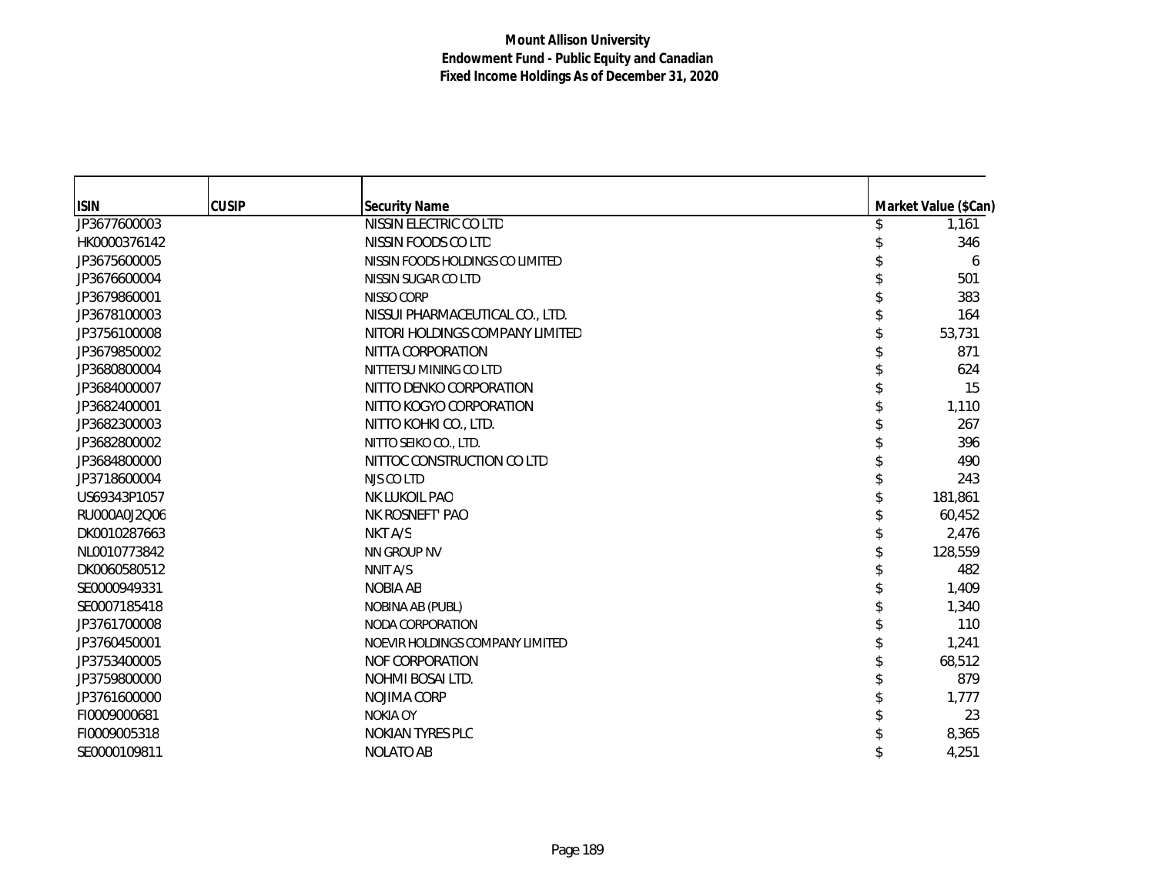| <b>ISIN</b>  | <b>CUSIP</b> | <b>Security Name</b>             | Market Value (\$Can) |
|--------------|--------------|----------------------------------|----------------------|
| JP3677600003 |              | NISSIN ELECTRIC CO LTD           | 1,161                |
| HK0000376142 |              | NISSIN FOODS CO LTD              | 346                  |
| JP3675600005 |              | NISSIN FOODS HOLDINGS CO LIMITED | 6                    |
| JP3676600004 |              | NISSIN SUGAR CO LTD              | 501                  |
| JP3679860001 |              | NISSO CORP                       | 383                  |
| JP3678100003 |              | NISSUI PHARMACEUTICAL CO., LTD.  | 164                  |
| JP3756100008 |              | NITORI HOLDINGS COMPANY LIMITED  | 53,731               |
| JP3679850002 |              | NITTA CORPORATION                | 871                  |
| JP3680800004 |              | NITTETSU MINING CO LTD           | 624                  |
| JP3684000007 |              | NITTO DENKO CORPORATION          | 15                   |
| JP3682400001 |              | NITTO KOGYO CORPORATION          | 1,110                |
| JP3682300003 |              | NITTO KOHKI CO., LTD.            | 267                  |
| JP3682800002 |              | NITTO SEIKO CO., LTD.            | 396                  |
| JP3684800000 |              | NITTOC CONSTRUCTION CO LTD       | 490                  |
| JP3718600004 |              | NJS CO LTD                       | 243                  |
| US69343P1057 |              | NK LUKOIL PAO                    | 181,861              |
| RU000A0J2Q06 |              | NK ROSNEFT' PAO                  | 60,452               |
| DK0010287663 |              | NKT A/S                          | 2,476                |
| NL0010773842 |              | NN GROUP NV                      | 128,559              |
| DK0060580512 |              | NNIT A/S                         | 482                  |
| SE0000949331 |              | <b>NOBIA AB</b>                  | 1,409                |
| SE0007185418 |              | NOBINA AB (PUBL)                 | 1,340                |
| JP3761700008 |              | NODA CORPORATION                 | 110                  |
| JP3760450001 |              | NOEVIR HOLDINGS COMPANY LIMITED  | 1,241                |
| JP3753400005 |              | NOF CORPORATION                  | 68,512               |
| JP3759800000 |              | NOHMI BOSAI LTD.                 | 879                  |
| JP3761600000 |              | NOJIMA CORP                      | 1,777                |
| FI0009000681 |              | <b>NOKIA OY</b>                  | 23                   |
| FI0009005318 |              | <b>NOKIAN TYRES PLC</b>          | 8,365                |
| SE0000109811 |              | <b>NOLATO AB</b>                 | 4,251                |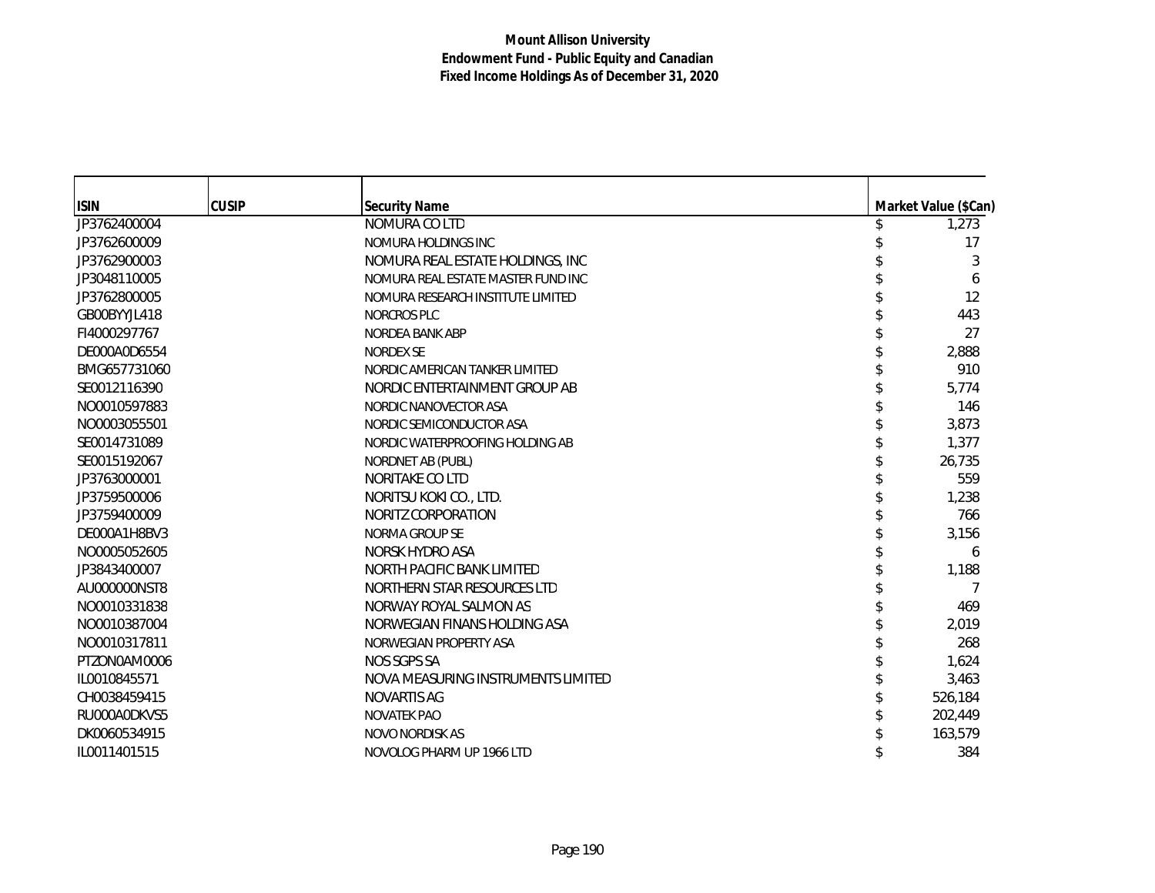| <b>ISIN</b>  | <b>CUSIP</b> | <b>Security Name</b>               | Market Value (\$Can) |
|--------------|--------------|------------------------------------|----------------------|
| JP3762400004 |              | NOMURA CO LTD                      | 1,273                |
| JP3762600009 |              | NOMURA HOLDINGS INC                | 17                   |
| JP3762900003 |              | NOMURA REAL ESTATE HOLDINGS, INC   | 3                    |
| JP3048110005 |              | NOMURA REAL ESTATE MASTER FUND INC | 6                    |
| JP3762800005 |              | NOMURA RESEARCH INSTITUTE LIMITED  | 12                   |
| GB00BYYJL418 |              | <b>NORCROS PLC</b>                 | 443                  |
| FI4000297767 |              | <b>NORDEA BANK ABP</b>             | 27                   |
| DE000A0D6554 |              | <b>NORDEX SE</b>                   | 2,888                |
| BMG657731060 |              | NORDIC AMERICAN TANKER LIMITED     | 910                  |
| SE0012116390 |              | NORDIC ENTERTAINMENT GROUP AB      | 5,774                |
| NO0010597883 |              | NORDIC NANOVECTOR ASA              | 146                  |
| NO0003055501 |              | NORDIC SEMICONDUCTOR ASA           | 3,873                |
| SE0014731089 |              | NORDIC WATERPROOFING HOLDING AB    | 1,377                |
| SE0015192067 |              | NORDNET AB (PUBL)                  | 26,735               |
| JP3763000001 |              | NORITAKE CO LTD                    | 559                  |
| JP3759500006 |              | NORITSU KOKI CO., LTD.             | 1,238                |
| JP3759400009 |              | NORITZ CORPORATION                 | 766                  |
| DE000A1H8BV3 |              | NORMA GROUP SE                     | 3,156                |
| NO0005052605 |              | NORSK HYDRO ASA                    | 6                    |
| JP3843400007 |              | NORTH PACIFIC BANK LIMITED         | 1,188                |
| AU000000NST8 |              | NORTHERN STAR RESOURCES LTD        | 7                    |
| NO0010331838 |              | NORWAY ROYAL SALMON AS             | 469                  |
| NO0010387004 |              | NORWEGIAN FINANS HOLDING ASA       | 2,019                |
| NO0010317811 |              | NORWEGIAN PROPERTY ASA             | 268                  |
| PTZON0AM0006 |              | NOS SGPS SA                        | 1,624                |
| IL0010845571 |              | NOVA MEASURING INSTRUMENTS LIMITED | 3,463                |
| CH0038459415 |              | NOVARTIS AG                        | 526,184              |
| RU000A0DKVS5 |              | NOVATEK PAO                        | 202,449              |
| DK0060534915 |              | <b>NOVO NORDISK AS</b>             | 163,579              |
| IL0011401515 |              | NOVOLOG PHARM UP 1966 LTD          | 384                  |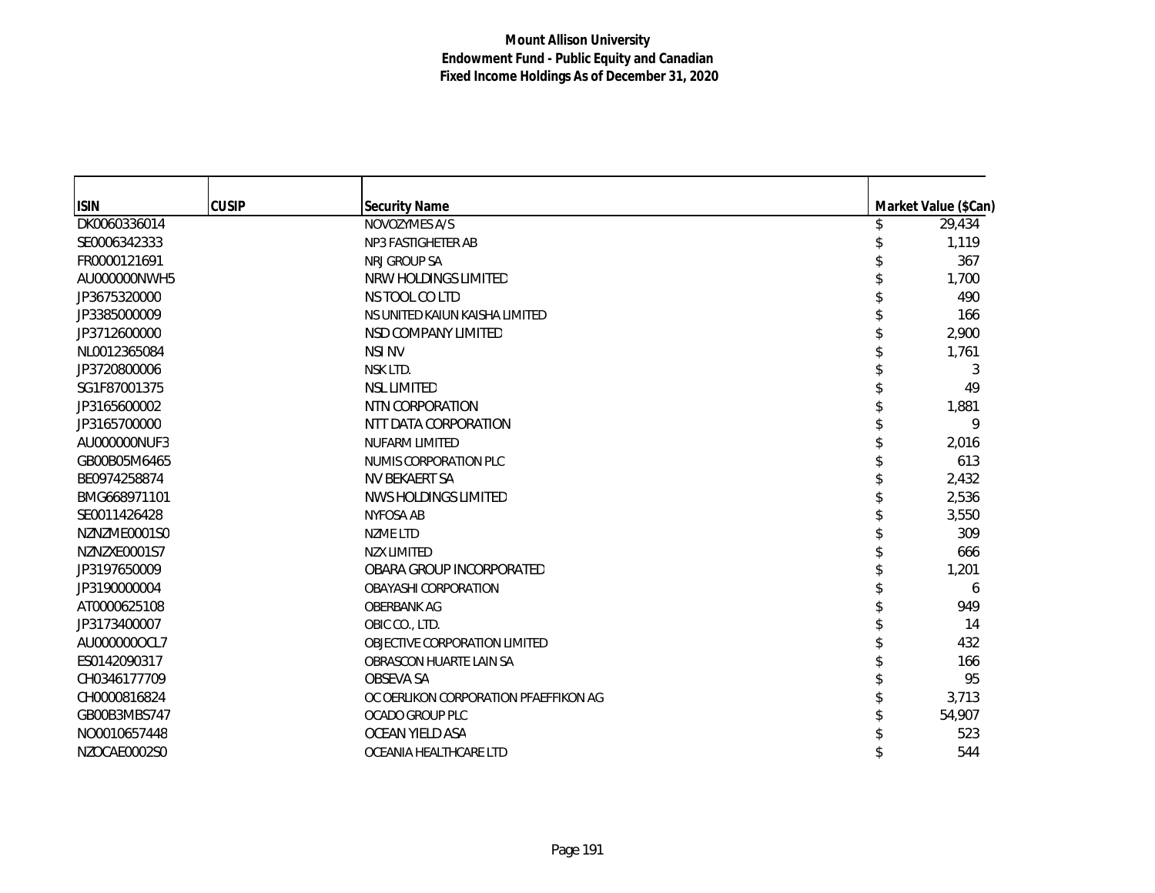| <b>ISIN</b>  | <b>CUSIP</b> | <b>Security Name</b>                  | Market Value (\$Can) |
|--------------|--------------|---------------------------------------|----------------------|
| DK0060336014 |              | NOVOZYMES A/S                         | 29,434               |
| SE0006342333 |              | NP3 FASTIGHETER AB                    | 1,119                |
| FR0000121691 |              | NRJ GROUP SA                          | 367                  |
| AU000000NWH5 |              | NRW HOLDINGS LIMITED                  | 1,700                |
| JP3675320000 |              | NS TOOL CO LTD                        | 490                  |
| JP3385000009 |              | NS UNITED KAIUN KAISHA LIMITED        | 166                  |
| JP3712600000 |              | NSD COMPANY LIMITED                   | 2,900                |
| NL0012365084 |              | <b>NSI NV</b>                         | 1,761                |
| JP3720800006 |              | NSK LTD.                              | 3                    |
| SG1F87001375 |              | <b>NSL LIMITED</b>                    | 49                   |
| JP3165600002 |              | NTN CORPORATION                       | 1,881                |
| JP3165700000 |              | NTT DATA CORPORATION                  | 9                    |
| AU000000NUF3 |              | <b>NUFARM LIMITED</b>                 | 2,016                |
| GB00B05M6465 |              | NUMIS CORPORATION PLC                 | 613                  |
| BE0974258874 |              | NV BEKAERT SA                         | 2,432                |
| BMG668971101 |              | NWS HOLDINGS LIMITED                  | 2,536                |
| SE0011426428 |              | NYFOSA AB                             | 3,550                |
| NZNZME0001S0 |              | <b>NZME LTD</b>                       | 309                  |
| NZNZXE0001S7 |              | <b>NZX LIMITED</b>                    | 666                  |
| JP3197650009 |              | OBARA GROUP INCORPORATED              | 1,201                |
| JP3190000004 |              | <b>OBAYASHI CORPORATION</b>           | 6                    |
| AT0000625108 |              | <b>OBERBANK AG</b>                    | 949                  |
| JP3173400007 |              | OBIC CO., LTD.                        | 14                   |
| AU0000000CL7 |              | OBJECTIVE CORPORATION LIMITED         | 432                  |
| ES0142090317 |              | OBRASCON HUARTE LAIN SA               | 166                  |
| CH0346177709 |              | OBSEVA SA                             | 95                   |
| CH0000816824 |              | OC OERLIKON CORPORATION PFAEFFIKON AG | 3,713                |
| GB00B3MBS747 |              | OCADO GROUP PLC                       | 54,907               |
| NO0010657448 |              | OCEAN YIELD ASA                       | 523                  |
| NZOCAE0002S0 |              | OCEANIA HEALTHCARE LTD                | 544                  |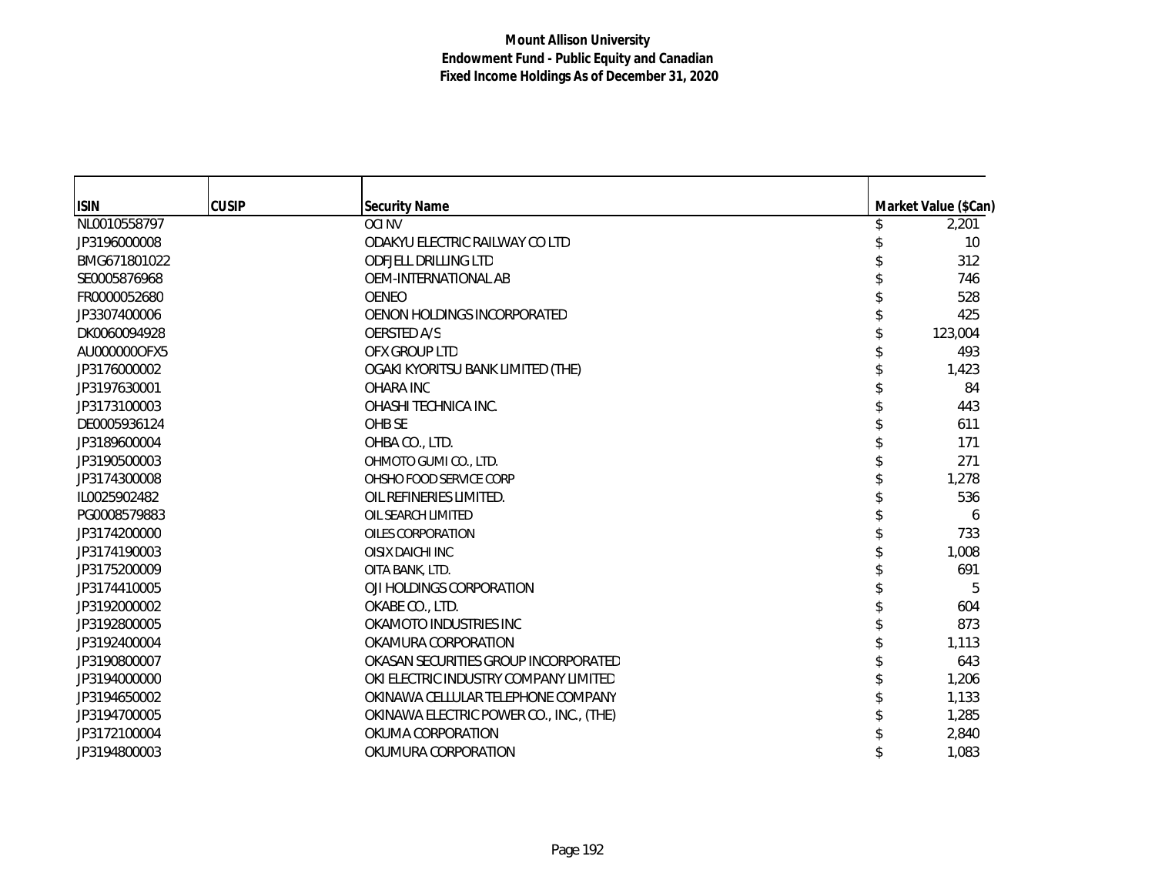| <b>ISIN</b>  | <b>CUSIP</b> | <b>Security Name</b>                    | Market Value (\$Can) |
|--------------|--------------|-----------------------------------------|----------------------|
| NL0010558797 |              | <b>OCI NV</b>                           | 2,201                |
| JP3196000008 |              | ODAKYU ELECTRIC RAILWAY CO LTD          | 10 <sup>1</sup>      |
| BMG671801022 |              | <b>ODEJELL DRILLING LTD</b>             | 312                  |
| SE0005876968 |              | OEM-INTERNATIONAL AB                    | 746                  |
| FR0000052680 |              | <b>OENEO</b>                            | 528                  |
| JP3307400006 |              | OENON HOLDINGS INCORPORATED             | 425                  |
| DK0060094928 |              | <b>OERSTED A/S</b>                      | 123,004              |
| AU000000OFX5 |              | OFX GROUP LTD                           | 493                  |
| JP3176000002 |              | OGAKI KYORITSU BANK LIMITED (THE)       | 1,423                |
| JP3197630001 |              | <b>OHARA INC</b>                        | 84                   |
| JP3173100003 |              | OHASHI TECHNICA INC.                    | 443                  |
| DE0005936124 |              | OHB SE                                  | 611                  |
| JP3189600004 |              | OHBA CO., LTD.                          | 171                  |
| JP3190500003 |              | OHMOTO GUMI CO., LTD.                   | 271                  |
| JP3174300008 |              | OHSHO FOOD SERVICE CORP                 | 1,278                |
| IL0025902482 |              | OIL REFINERIES LIMITED.                 | 536                  |
| PG0008579883 |              | OIL SEARCH LIMITED                      | 6                    |
| JP3174200000 |              | OILES CORPORATION                       | 733                  |
| JP3174190003 |              | OISIX DAICHI INC                        | 1,008                |
| JP3175200009 |              | OITA BANK, LTD.                         | 691                  |
| JP3174410005 |              | OJI HOLDINGS CORPORATION                | 5                    |
| JP3192000002 |              | OKABE CO., LTD.                         | 604                  |
| JP3192800005 |              | OKAMOTO INDUSTRIES INC                  | 873                  |
| JP3192400004 |              | OKAMURA CORPORATION                     | 1,113                |
| JP3190800007 |              | OKASAN SECURITIES GROUP INCORPORATED    | 643                  |
| JP3194000000 |              | OKI ELECTRIC INDUSTRY COMPANY LIMITED   | 1,206                |
| JP3194650002 |              | OKINAWA CELLULAR TELEPHONE COMPANY      | 1,133                |
| JP3194700005 |              | OKINAWA ELECTRIC POWER CO., INC., (THE) | 1,285                |
| JP3172100004 |              | OKUMA CORPORATION                       | 2,840                |
| JP3194800003 |              | OKUMURA CORPORATION                     | 1,083                |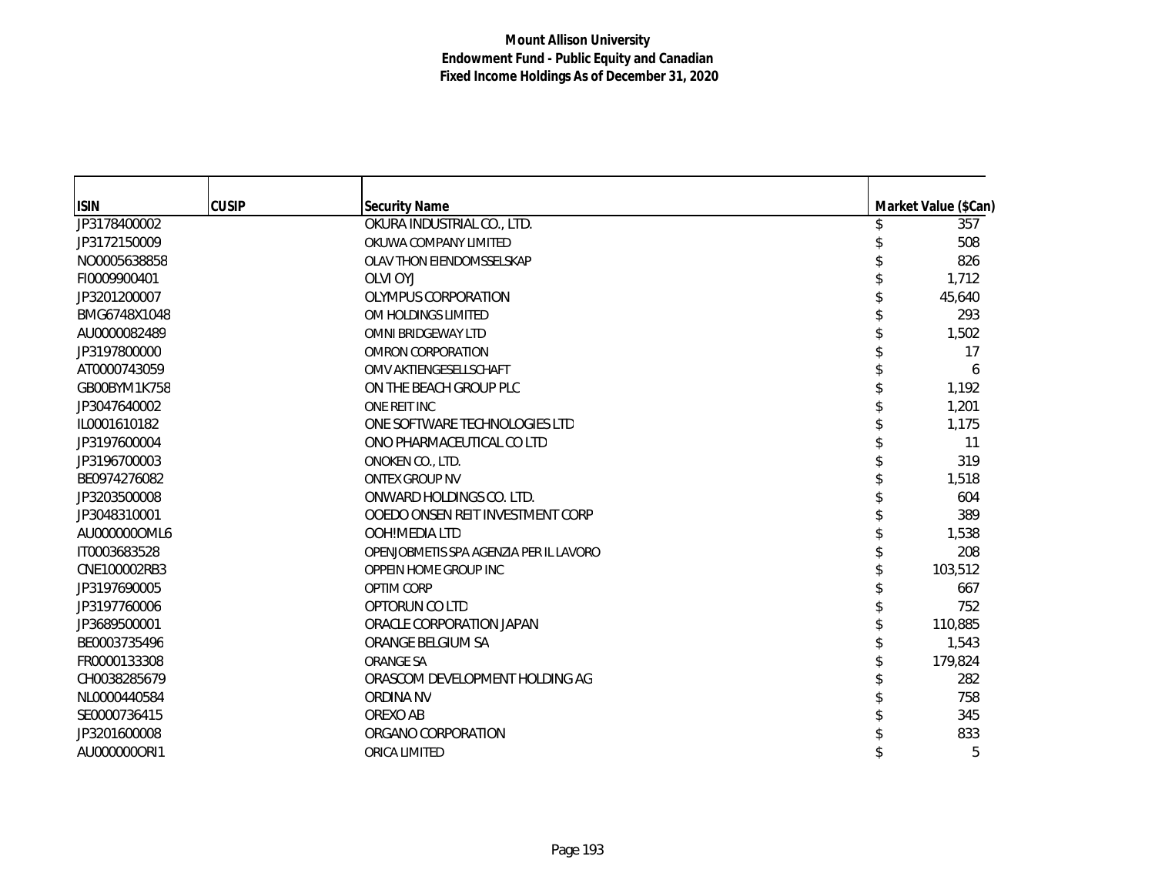| <b>ISIN</b>  | <b>CUSIP</b> | <b>Security Name</b>                   | Market Value (\$Can) |
|--------------|--------------|----------------------------------------|----------------------|
| JP3178400002 |              | OKURA INDUSTRIAL CO., LTD.             | 357                  |
| JP3172150009 |              | OKUWA COMPANY LIMITED                  | 508                  |
| NO0005638858 |              | OLAV THON EIENDOMSSELSKAP              | 826                  |
| FI0009900401 |              | OLVI OYJ                               | 1,712                |
| JP3201200007 |              | OLYMPUS CORPORATION                    | 45,640               |
| BMG6748X1048 |              | OM HOLDINGS LIMITED                    | 293                  |
| AU0000082489 |              | OMNI BRIDGEWAY LTD                     | 1,502                |
| JP3197800000 |              | OMRON CORPORATION                      | 17                   |
| AT0000743059 |              | OMV AKTIENGESELLSCHAFT                 | 6                    |
| GB00BYM1K758 |              | ON THE BEACH GROUP PLC                 | 1,192                |
| JP3047640002 |              | ONE REIT INC                           | 1,201                |
| IL0001610182 |              | ONE SOFTWARE TECHNOLOGIES LTD          | 1,175                |
| JP3197600004 |              | ONO PHARMACEUTICAL CO LTD              | 11                   |
| JP3196700003 |              | ONOKEN CO., LTD.                       | 319                  |
| BE0974276082 |              | <b>ONTEX GROUP NV</b>                  | 1,518                |
| JP3203500008 |              | ONWARD HOLDINGS CO. LTD.               | 604                  |
| JP3048310001 |              | OOEDO ONSEN REIT INVESTMENT CORP       | 389                  |
| AU0000000ML6 |              | OOH!MEDIA LTD                          | 1,538                |
| IT0003683528 |              | OPENJOBMETIS SPA AGENZIA PER IL LAVORO | 208                  |
| CNE100002RB3 |              | OPPEIN HOME GROUP INC                  | 103,512              |
| JP3197690005 |              | OPTIM CORP                             | 667                  |
| JP3197760006 |              | OPTORUN CO LTD                         | 752                  |
| JP3689500001 |              | ORACLE CORPORATION JAPAN               | 110,885              |
| BE0003735496 |              | ORANGE BELGIUM SA                      | 1,543                |
| FR0000133308 |              | <b>ORANGE SA</b>                       | 179,824              |
| CH0038285679 |              | ORASCOM DEVELOPMENT HOLDING AG         | 282                  |
| NL0000440584 |              | <b>ORDINA NV</b>                       | 758                  |
| SE0000736415 |              | OREXO AB                               | 345                  |
| JP3201600008 |              | ORGANO CORPORATION                     | 833                  |
| AU0000000RI1 |              | ORICA LIMITED                          | 5                    |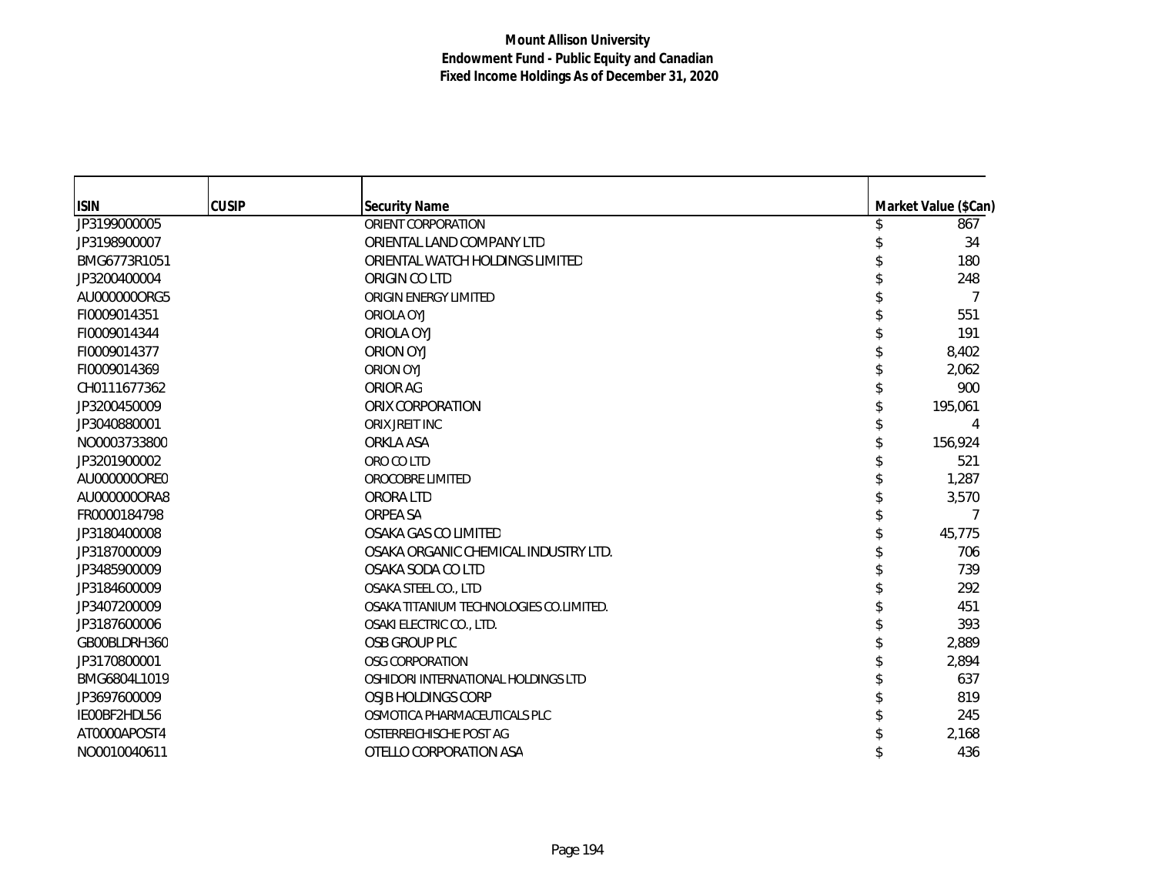| <b>ISIN</b>  | <b>CUSIP</b> | <b>Security Name</b>                    | Market Value (\$Can) |
|--------------|--------------|-----------------------------------------|----------------------|
| JP3199000005 |              | ORIENT CORPORATION                      | 867                  |
| JP3198900007 |              | ORIENTAL LAND COMPANY LTD               | 34                   |
| BMG6773R1051 |              | ORIENTAL WATCH HOLDINGS LIMITED         | 180                  |
| JP3200400004 |              | ORIGIN CO LTD                           | 248                  |
| AU0000000RG5 |              | ORIGIN ENERGY LIMITED                   | 7                    |
| FI0009014351 |              | ORIOLA OYJ                              | 551                  |
| FI0009014344 |              | <b>ORIOLA OYJ</b>                       | 191                  |
| FI0009014377 |              | <b>ORION OYJ</b>                        | 8,402                |
| FI0009014369 |              | <b>ORION OYJ</b>                        | 2,062                |
| CH0111677362 |              | ORIOR AG                                | 900                  |
| JP3200450009 |              | ORIX CORPORATION                        | 195,061              |
| JP3040880001 |              | ORIX JREIT INC                          | 4                    |
| NO0003733800 |              | ORKLA ASA                               | 156,924              |
| JP3201900002 |              | ORO CO LTD                              | 521                  |
| AU000000ORE0 |              | OROCOBRE LIMITED                        | 1,287                |
| AU0000000RA8 |              | ORORA LTD                               | 3,570                |
| FR0000184798 |              | ORPEA SA                                | 7                    |
| JP3180400008 |              | OSAKA GAS CO LIMITED                    | 45,775               |
| JP3187000009 |              | OSAKA ORGANIC CHEMICAL INDUSTRY LTD.    | 706                  |
| JP3485900009 |              | OSAKA SODA CO LTD                       | 739                  |
| JP3184600009 |              | OSAKA STEEL CO., LTD                    | 292                  |
| JP3407200009 |              | OSAKA TITANIUM TECHNOLOGIES CO.LIMITED. | 451                  |
| JP3187600006 |              | OSAKI ELECTRIC CO., LTD.                | 393                  |
| GB00BLDRH360 |              | OSB GROUP PLC                           | 2,889                |
| JP3170800001 |              | <b>OSG CORPORATION</b>                  | 2,894                |
| BMG6804L1019 |              | OSHIDORI INTERNATIONAL HOLDINGS LTD     | 637                  |
| JP3697600009 |              | OSJB HOLDINGS CORP                      | 819                  |
| IE00BF2HDL56 |              | OSMOTICA PHARMACEUTICALS PLC            | 245                  |
| AT0000APOST4 |              | OSTERREICHISCHE POST AG                 | 2,168                |
| NO0010040611 |              | OTELLO CORPORATION ASA                  | 436                  |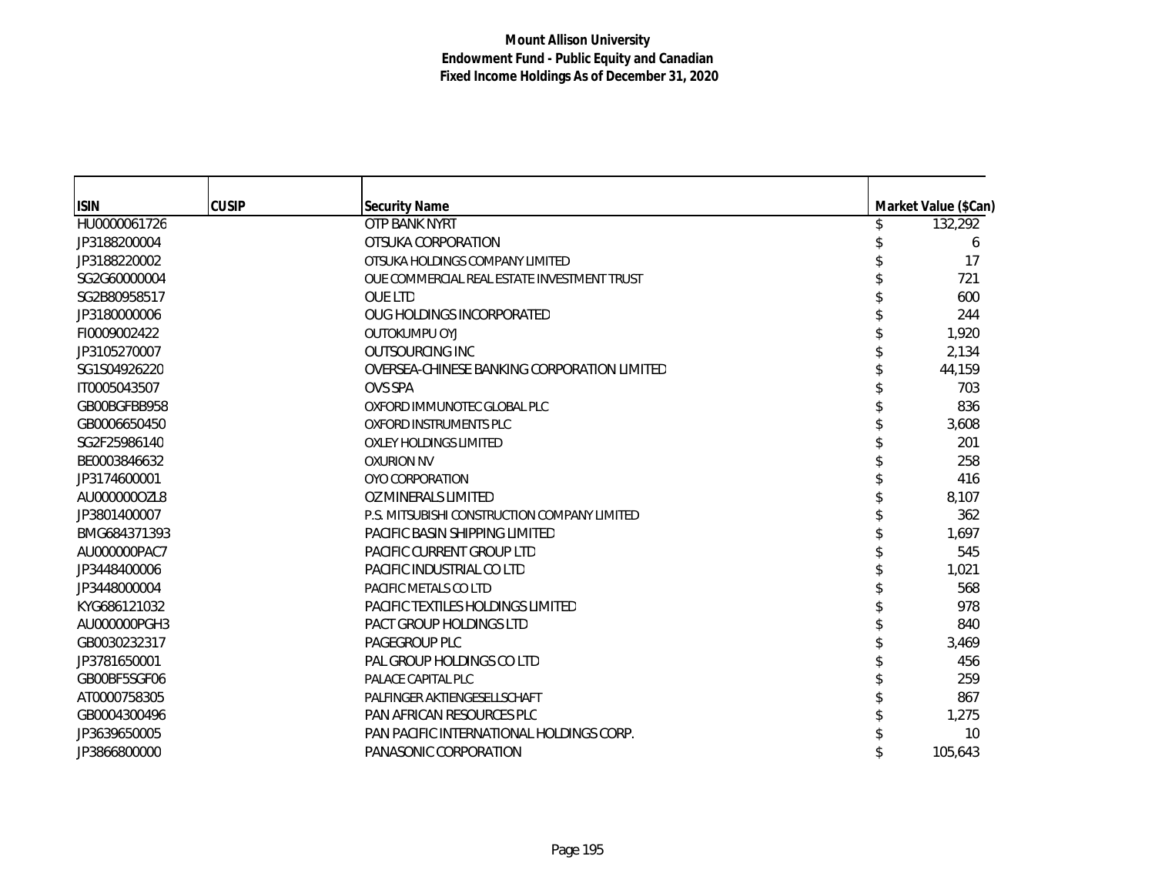| <b>ISIN</b>  | <b>CUSIP</b> | <b>Security Name</b>                         |  | Market Value (\$Can) |
|--------------|--------------|----------------------------------------------|--|----------------------|
| HU0000061726 |              | OTP BANK NYRT                                |  | 132,292              |
| JP3188200004 |              | OTSUKA CORPORATION                           |  | 6                    |
| JP3188220002 |              | OTSUKA HOLDINGS COMPANY LIMITED              |  | 17                   |
| SG2G60000004 |              | OUE COMMERCIAL REAL ESTATE INVESTMENT TRUST  |  | 721                  |
| SG2B80958517 |              | <b>OUE LTD</b>                               |  | 600                  |
| JP3180000006 |              | OUG HOLDINGS INCORPORATED                    |  | 244                  |
| FI0009002422 |              | <b>OUTOKUMPU OYJ</b>                         |  | 1,920                |
| JP3105270007 |              | <b>OUTSOURCING INC</b>                       |  | 2,134                |
| SG1S04926220 |              | OVERSEA-CHINESE BANKING CORPORATION LIMITED  |  | 44,159               |
| IT0005043507 |              | <b>OVS SPA</b>                               |  | 703                  |
| GB00BGFBB958 |              | OXFORD IMMUNOTEC GLOBAL PLC                  |  | 836                  |
| GB0006650450 |              | <b>OXFORD INSTRUMENTS PLC</b>                |  | 3,608                |
| SG2F25986140 |              | <b>OXLEY HOLDINGS LIMITED</b>                |  | 201                  |
| BE0003846632 |              | <b>OXURION NV</b>                            |  | 258                  |
| JP3174600001 |              | OYO CORPORATION                              |  | 416                  |
| AU0000000ZL8 |              | OZ MINERALS LIMITED                          |  | 8,107                |
| JP3801400007 |              | P.S. MITSUBISHI CONSTRUCTION COMPANY LIMITED |  | 362                  |
| BMG684371393 |              | PACIFIC BASIN SHIPPING LIMITED               |  | 1,697                |
| AU000000PAC7 |              | <b>PACIFIC CURRENT GROUP LTD</b>             |  | 545                  |
| JP3448400006 |              | PACIFIC INDUSTRIAL CO LTD                    |  | 1,021                |
| JP3448000004 |              | PACIFIC METALS CO LTD                        |  | 568                  |
| KYG686121032 |              | PACIFIC TEXTILES HOLDINGS LIMITED            |  | 978                  |
| AU000000PGH3 |              | PACT GROUP HOLDINGS LTD                      |  | 840                  |
| GB0030232317 |              | PAGEGROUP PLC                                |  | 3,469                |
| JP3781650001 |              | PAL GROUP HOLDINGS CO LTD                    |  | 456                  |
| GB00BF5SGF06 |              | PALACE CAPITAL PLC                           |  | 259                  |
| AT0000758305 |              | PALFINGER AKTIENGESELLSCHAFT                 |  | 867                  |
| GB0004300496 |              | <b>PAN AFRICAN RESOURCES PLC</b>             |  | 1,275                |
| JP3639650005 |              | PAN PACIFIC INTERNATIONAL HOLDINGS CORP.     |  | 10                   |
| JP3866800000 |              | PANASONIC CORPORATION                        |  | 105,643              |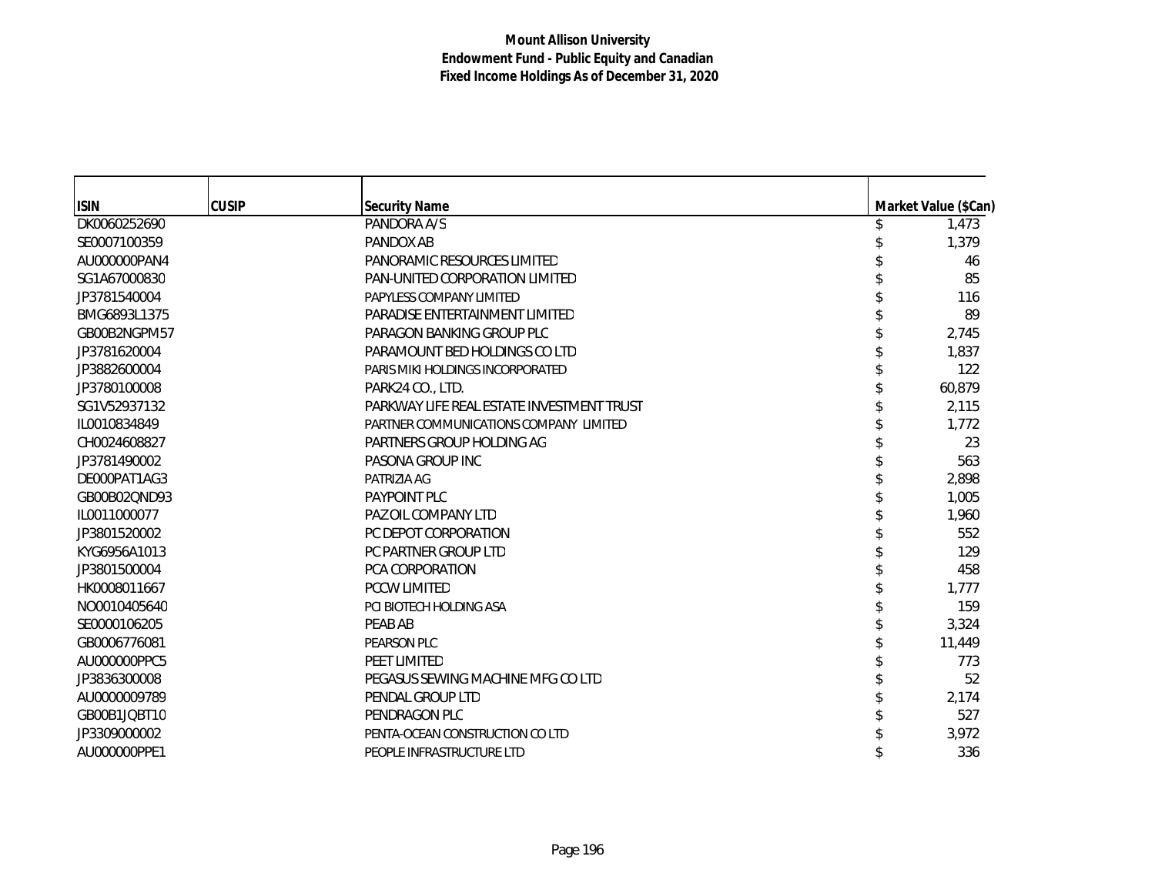| <b>ISIN</b>  | <b>CUSIP</b> | <b>Security Name</b>                      | Market Value (\$Can) |
|--------------|--------------|-------------------------------------------|----------------------|
| DK0060252690 |              | PANDORA A/S                               | 1,473                |
| SE0007100359 |              | PANDOX AB                                 | 1,379                |
| AU000000PAN4 |              | PANORAMIC RESOURCES LIMITED               | 46                   |
| SG1A67000830 |              | PAN-UNITED CORPORATION LIMITED            | 85                   |
| JP3781540004 |              | PAPYLESS COMPANY LIMITED                  | 116                  |
| BMG6893L1375 |              | PARADISE ENTERTAINMENT LIMITED            | 89                   |
| GB00B2NGPM57 |              | PARAGON BANKING GROUP PLC                 | 2,745                |
| JP3781620004 |              | PARAMOUNT BED HOLDINGS CO LTD             | 1,837                |
| JP3882600004 |              | PARIS MIKI HOLDINGS INCORPORATED          | 122                  |
| JP3780100008 |              | PARK24 CO., LTD.                          | 60,879               |
| SG1V52937132 |              | PARKWAY LIFE REAL ESTATE INVESTMENT TRUST | 2,115                |
| IL0010834849 |              | PARTNER COMMUNICATIONS COMPANY LIMITED    | 1,772                |
| CH0024608827 |              | PARTNERS GROUP HOLDING AG                 | 23                   |
| JP3781490002 |              | PASONA GROUP INC                          | 563                  |
| DE000PAT1AG3 |              | PATRIZIA AG                               | 2,898                |
| GB00B02QND93 |              | PAYPOINT PLC                              | 1,005                |
| IL0011000077 |              | PAZ OIL COMPANY LTD                       | 1,960                |
| JP3801520002 |              | PC DEPOT CORPORATION                      | 552                  |
| KYG6956A1013 |              | PC PARTNER GROUP LTD                      | 129                  |
| JP3801500004 |              | <b>PCA CORPORATION</b>                    | 458                  |
| HK0008011667 |              | PCCW LIMITED                              | 1,777                |
| NO0010405640 |              | PCI BIOTECH HOLDING ASA                   | 159                  |
| SE0000106205 |              | PEAB AB                                   | 3,324                |
| GB0006776081 |              | PEARSON PLC                               | 11,449               |
| AU000000PPC5 |              | PEET LIMITED                              | 773                  |
| JP3836300008 |              | PEGASUS SEWING MACHINE MFG CO LTD         | 52                   |
| AU0000009789 |              | PENDAL GROUP LTD                          | 2,174                |
| GB00B1JQBT10 |              | PENDRAGON PLC                             | 527                  |
| JP3309000002 |              | PENTA-OCEAN CONSTRUCTION CO LTD           | 3,972                |
| AU000000PPE1 |              | PEOPLE INFRASTRUCTURE LTD                 | 336                  |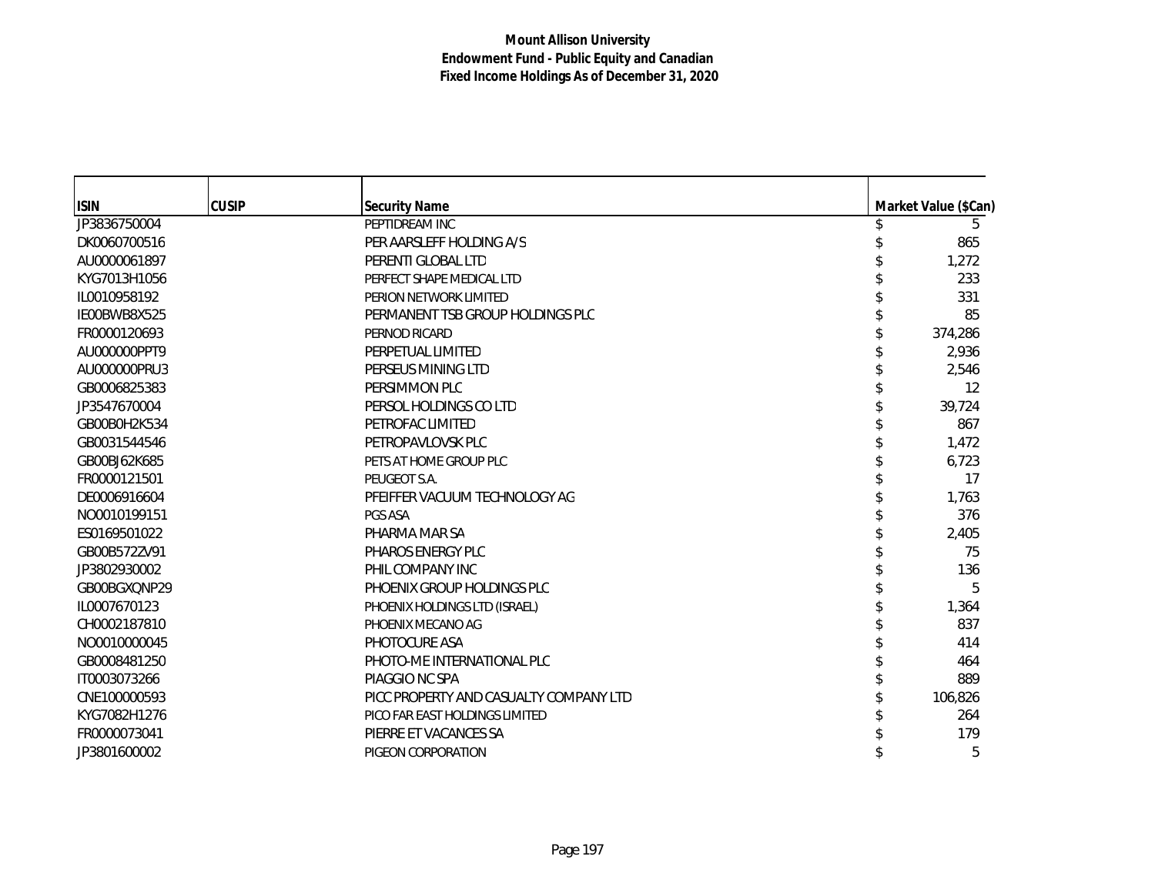| <b>ISIN</b>  | <b>CUSIP</b> | <b>Security Name</b>                   | Market Value (\$Can) |
|--------------|--------------|----------------------------------------|----------------------|
| JP3836750004 |              | PEPTIDREAM INC                         | 5                    |
| DK0060700516 |              | PER AARSLEFF HOLDING A/S               | 865                  |
| AU0000061897 |              | PERENTI GLOBAL LTD                     | 1,272                |
| KYG7013H1056 |              | PERFECT SHAPE MEDICAL LTD              | 233                  |
| IL0010958192 |              | PERION NETWORK LIMITED                 | 331                  |
| IE00BWB8X525 |              | PERMANENT TSB GROUP HOLDINGS PLC       | 85                   |
| FR0000120693 |              | PERNOD RICARD                          | 374,286              |
| AU000000PPT9 |              | PERPETUAL LIMITED                      | 2,936                |
| AU000000PRU3 |              | PERSEUS MINING LTD                     | 2,546                |
| GB0006825383 |              | PERSIMMON PLC                          | 12                   |
| JP3547670004 |              | PERSOL HOLDINGS CO LTD                 | 39,724               |
| GB00B0H2K534 |              | PETROFAC LIMITED                       | 867                  |
| GB0031544546 |              | PETROPAVLOVSK PLC                      | 1,472                |
| GB00BJ62K685 |              | PETS AT HOME GROUP PLC                 | 6,723                |
| FR0000121501 |              | PEUGEOT S.A.                           | 17                   |
| DE0006916604 |              | PFEIFFER VACUUM TECHNOLOGY AG          | 1,763                |
| NO0010199151 |              | PGS ASA                                | 376                  |
| ES0169501022 |              | PHARMA MAR SA                          | 2,405                |
| GB00B572ZV91 |              | PHAROS ENERGY PLC                      | 75                   |
| JP3802930002 |              | PHIL COMPANY INC                       | 136                  |
| GB00BGXQNP29 |              | PHOENIX GROUP HOLDINGS PLC             | 5                    |
| IL0007670123 |              | PHOENIX HOLDINGS LTD (ISRAEL)          | 1,364                |
| CH0002187810 |              | PHOENIX MECANO AG                      | 837                  |
| NO0010000045 |              | PHOTOCURE ASA                          | 414                  |
| GB0008481250 |              | PHOTO-ME INTERNATIONAL PLC             | 464                  |
| IT0003073266 |              | PIAGGIO NC SPA                         | 889                  |
| CNE100000593 |              | PICC PROPERTY AND CASUALTY COMPANY LTD | 106,826              |
| KYG7082H1276 |              | PICO FAR EAST HOLDINGS LIMITED         | 264                  |
| FR0000073041 |              | PIERRE ET VACANCES SA                  | 179                  |
| JP3801600002 |              | PIGEON CORPORATION                     | 5                    |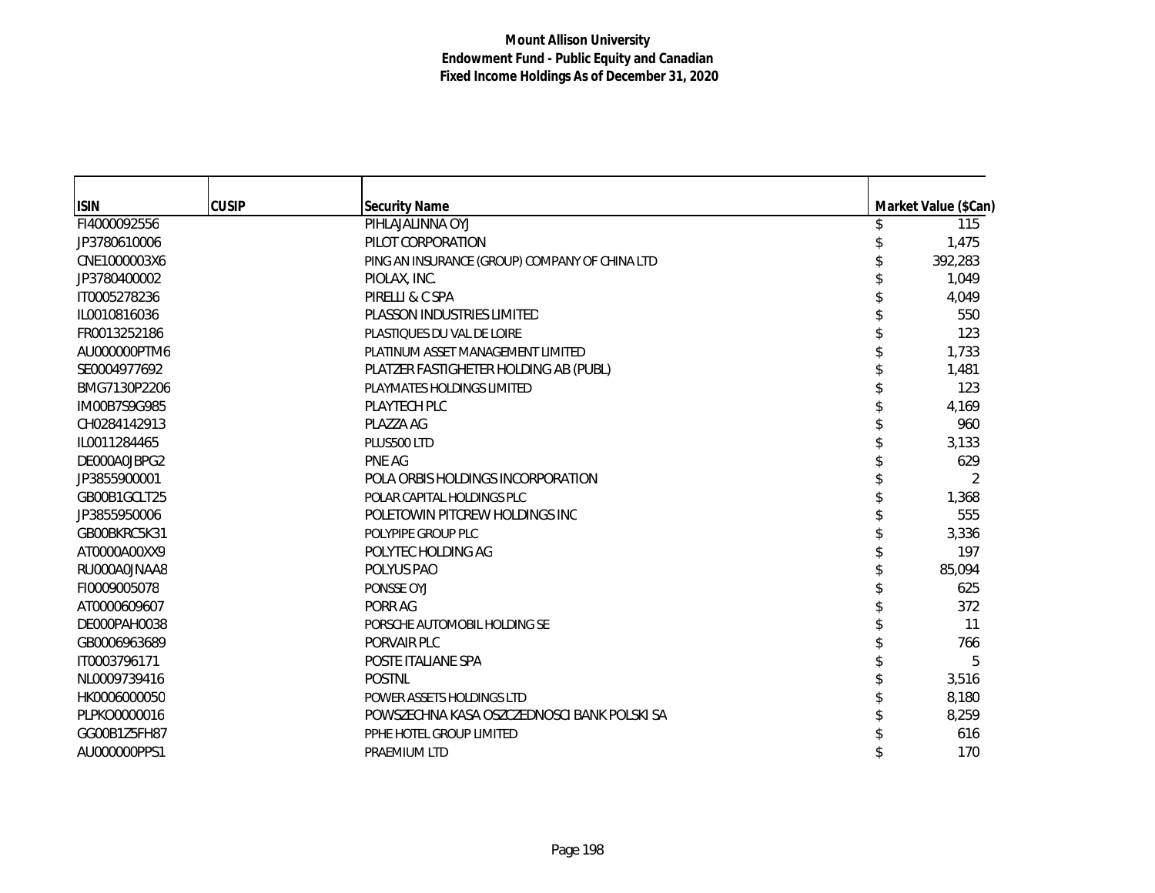| <b>ISIN</b>  | <b>CUSIP</b> | <b>Security Name</b>                           | Market Value (\$Can) |
|--------------|--------------|------------------------------------------------|----------------------|
| FI4000092556 |              | PIHLAJALINNA OYJ                               | 115                  |
| JP3780610006 |              | PILOT CORPORATION                              | 1,475                |
| CNE1000003X6 |              | PING AN INSURANCE (GROUP) COMPANY OF CHINA LTD | 392,283              |
| JP3780400002 |              | PIOLAX, INC.                                   | 1.049                |
| IT0005278236 |              | PIRELLI & C SPA                                | 4.049                |
| IL0010816036 |              | PLASSON INDUSTRIES LIMITED                     | 550                  |
| FR0013252186 |              | PLASTIQUES DU VAL DE LOIRE                     | 123                  |
| AU000000PTM6 |              | PLATINUM ASSET MANAGEMENT LIMITED              | 1,733                |
| SE0004977692 |              | PLATZER FASTIGHETER HOLDING AB (PUBL)          | 1,481                |
| BMG7130P2206 |              | PLAYMATES HOLDINGS LIMITED                     | 123                  |
| IM00B7S9G985 |              | PLAYTECH PLC                                   | 4,169                |
| CH0284142913 |              | PLAZZA AG                                      | 960                  |
| IL0011284465 |              | PLUS500 LTD                                    | 3,133                |
| DE000A0JBPG2 |              | PNE AG                                         | 629                  |
| JP3855900001 |              | POLA ORBIS HOLDINGS INCORPORATION              | $\mathfrak{D}$       |
| GB00B1GCLT25 |              | POLAR CAPITAL HOLDINGS PLC                     | 1,368                |
| JP3855950006 |              | POLETOWIN PITCREW HOLDINGS INC                 | 555                  |
| GB00BKRC5K31 |              | POLYPIPE GROUP PLC                             | 3,336                |
| AT0000A00XX9 |              | POLYTEC HOLDING AG                             | 197                  |
| RU000A0JNAA8 |              | POLYUS PAO                                     | 85,094               |
| FI0009005078 |              | PONSSE OYJ                                     | 625                  |
| AT0000609607 |              | PORR AG                                        | 372                  |
| DE000PAH0038 |              | PORSCHE AUTOMOBIL HOLDING SE                   | 11                   |
| GB0006963689 |              | PORVAIR PLC                                    | 766                  |
| IT0003796171 |              | POSTE ITALIANE SPA                             | 5                    |
| NL0009739416 |              | <b>POSTNL</b>                                  | 3,516                |
| HK0006000050 |              | POWER ASSETS HOLDINGS LTD                      | 8,180                |
| PLPKO0000016 |              | POWSZECHNA KASA OSZCZEDNOŚCI BANK POLSKI SA    | 8,259                |
| GG00B1Z5FH87 |              | PPHE HOTEL GROUP LIMITED                       | 616                  |
| AU000000PPS1 |              | PRAEMIUM LTD                                   | 170                  |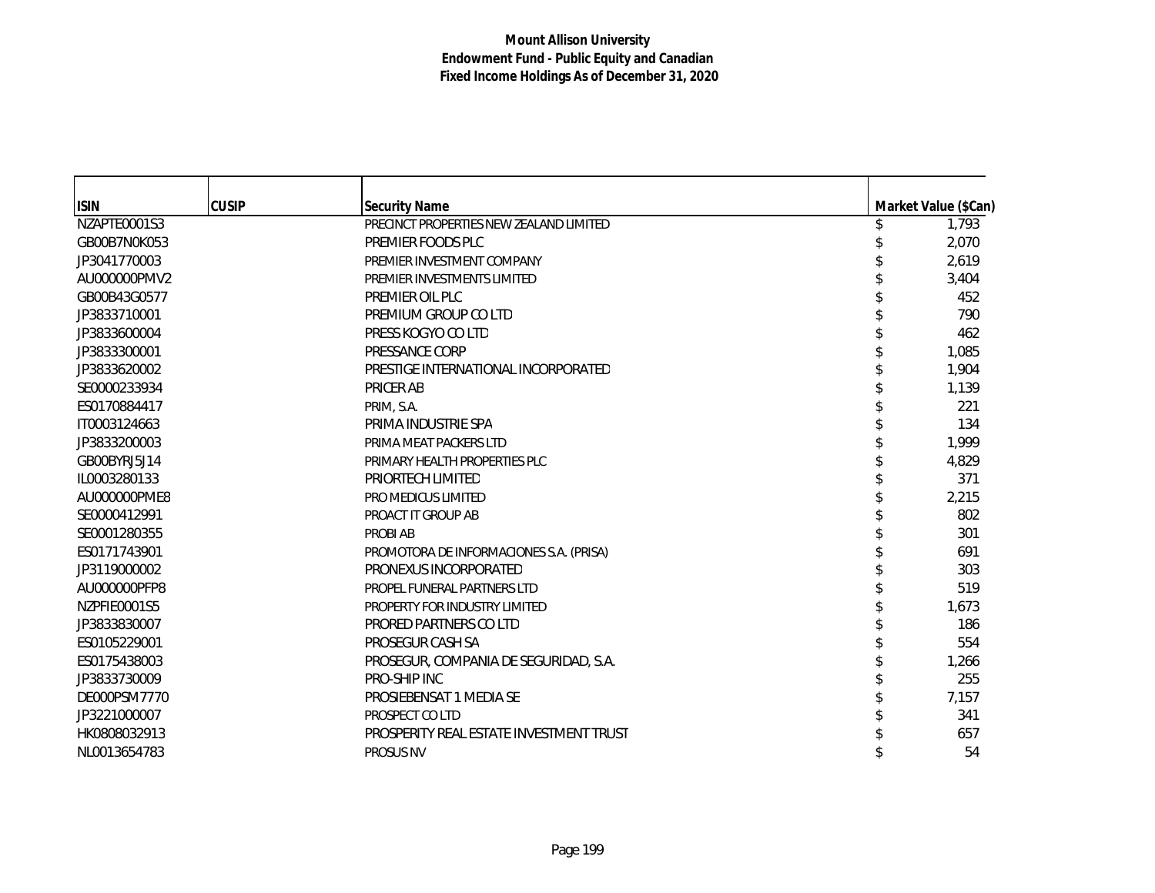| <b>ISIN</b>  | <b>CUSIP</b> | <b>Security Name</b>                    | Market Value (\$Can) |
|--------------|--------------|-----------------------------------------|----------------------|
| NZAPTE0001S3 |              | PRECINCT PROPERTIES NEW ZEALAND LIMITED | 1,793                |
| GB00B7N0K053 |              | PREMIER FOODS PLC                       | 2,070                |
| JP3041770003 |              | PREMIER INVESTMENT COMPANY              | 2,619                |
| AU000000PMV2 |              | PREMIER INVESTMENTS LIMITED             | 3,404                |
| GB00B43G0577 |              | PREMIER OIL PLC                         | 452                  |
| JP3833710001 |              | PREMIUM GROUP CO LTD                    | 790                  |
| JP3833600004 |              | PRESS KOGYO CO LTD                      | 462                  |
| JP3833300001 |              | PRESSANCE CORP                          | 1,085                |
| JP3833620002 |              | PRESTIGE INTERNATIONAL INCORPORATED     | 1,904                |
| SE0000233934 |              | <b>PRICER AB</b>                        | 1,139                |
| ES0170884417 |              | PRIM, S.A.                              | 221                  |
| IT0003124663 |              | PRIMA INDUSTRIE SPA                     | 134                  |
| JP3833200003 |              | PRIMA MEAT PACKERS LTD                  | 1,999                |
| GB00BYRJ5J14 |              | PRIMARY HEALTH PROPERTIES PLC           | 4,829                |
| IL0003280133 |              | PRIORTECH LIMITED                       | 371                  |
| AU000000PME8 |              | PRO MEDICUS LIMITED                     | 2,215                |
| SE0000412991 |              | PROACT IT GROUP AB                      | 802                  |
| SE0001280355 |              | <b>PROBI AB</b>                         | 301                  |
| ES0171743901 |              | PROMOTORA DE INFORMACIONES S.A. (PRISA) | 691                  |
| JP3119000002 |              | PRONEXUS INCORPORATED                   | 303                  |
| AU000000PFP8 |              | PROPEL FUNERAL PARTNERS LTD             | 519                  |
| NZPFIE0001S5 |              | PROPERTY FOR INDUSTRY LIMITED           | 1,673                |
| JP3833830007 |              | PRORED PARTNERS CO LTD                  | 186                  |
| ES0105229001 |              | PROSEGUR CASH SA                        | 554                  |
| ES0175438003 |              | PROSEGUR, COMPANIA DE SEGURIDAD, S.A.   | 1,266                |
| JP3833730009 |              | PRO-SHIP INC                            | 255                  |
| DE000PSM7770 |              | PROSIEBENSAT 1 MEDIA SE                 | 7,157                |
| JP3221000007 |              | PROSPECT CO LTD                         | 341                  |
| HK0808032913 |              | PROSPERITY REAL ESTATE INVESTMENT TRUST | 657                  |
| NL0013654783 |              | <b>PROSUS NV</b>                        | 54                   |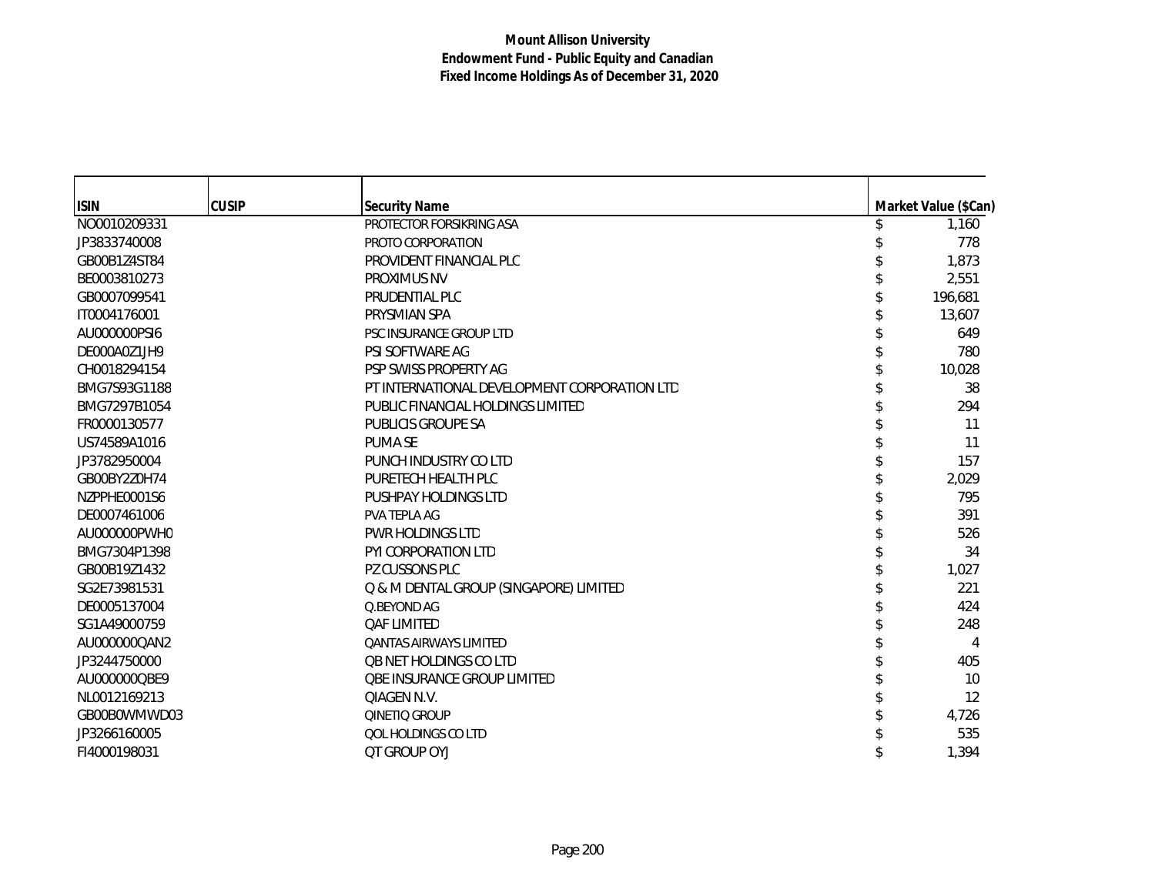| <b>ISIN</b>  | <b>CUSIP</b> | <b>Security Name</b>                         | Market Value (\$Can) |
|--------------|--------------|----------------------------------------------|----------------------|
| NO0010209331 |              | PROTECTOR FORSIKRING ASA                     | 1,160                |
| JP3833740008 |              | PROTO CORPORATION                            | 778                  |
| GB00B1Z4ST84 |              | PROVIDENT FINANCIAL PLC                      | 1,873                |
| BE0003810273 |              | PROXIMUS NV                                  | 2,551                |
| GB0007099541 |              | PRUDENTIAL PLC                               | 196,681              |
| IT0004176001 |              | PRYSMIAN SPA                                 | 13,607               |
| AU000000PSI6 |              | PSC INSURANCE GROUP LTD                      | 649                  |
| DE000A0Z1JH9 |              | PSI SOFTWARE AG                              | 780                  |
| CH0018294154 |              | PSP SWISS PROPERTY AG                        | 10,028               |
| BMG7S93G1188 |              | PT INTERNATIONAL DEVELOPMENT CORPORATION LTD | 38                   |
| BMG7297B1054 |              | PUBLIC FINANCIAL HOLDINGS LIMITED            | 294                  |
| FR0000130577 |              | PUBLICIS GROUPE SA                           | 11                   |
| US74589A1016 |              | <b>PUMA SE</b>                               | 11                   |
| JP3782950004 |              | PUNCH INDUSTRY CO LTD                        | 157                  |
| GB00BY2Z0H74 |              | PURETECH HEALTH PLC                          | 2,029                |
| NZPPHE0001S6 |              | PUSHPAY HOLDINGS LTD                         | 795                  |
| DE0007461006 |              | PVA TEPLA AG                                 | 391                  |
| AU000000PWH0 |              | <b>PWR HOLDINGS LTD</b>                      | 526                  |
| BMG7304P1398 |              | PYI CORPORATION LTD                          | 34                   |
| GB00B19Z1432 |              | PZ CUSSONS PLC                               | 1,027                |
| SG2E73981531 |              | Q & M DENTAL GROUP (SINGAPORE) LIMITED       | 221                  |
| DE0005137004 |              | O.BEYOND AG                                  | 424                  |
| SG1A49000759 |              | <b>QAF LIMITED</b>                           | 248                  |
| AU000000QAN2 |              | <b>QANTAS AIRWAYS LIMITED</b>                | 4                    |
| JP3244750000 |              | <b>QB NET HOLDINGS CO LTD</b>                | 405                  |
| AU000000QBE9 |              | <b>QBE INSURANCE GROUP LIMITED</b>           | 10                   |
| NL0012169213 |              | QIAGEN N.V.                                  | 12                   |
| GB00B0WMWD03 |              | QINETIQ GROUP                                | 4,726                |
| JP3266160005 |              | QOL HOLDINGS CO LTD                          | 535                  |
| FI4000198031 |              | <b>QT GROUP OYJ</b>                          | 1,394                |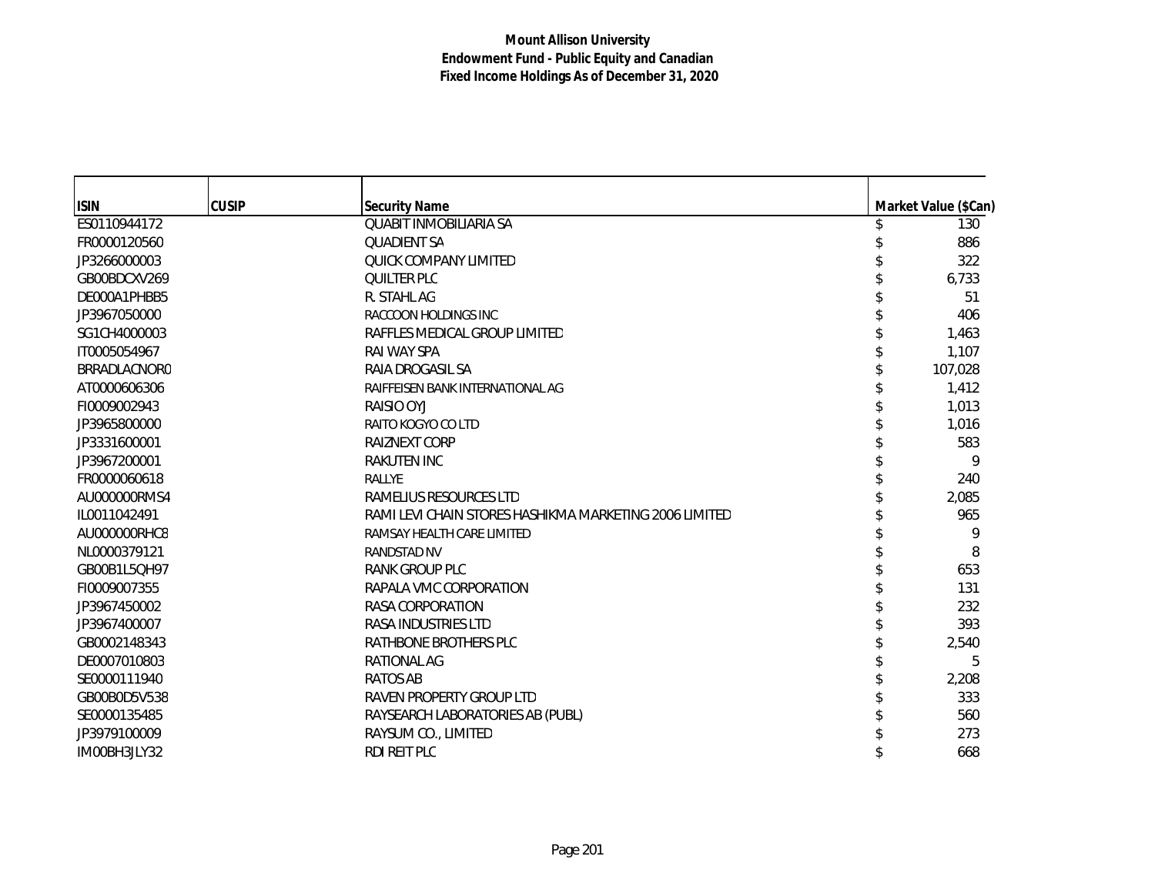| <b>ISIN</b>         | <b>CUSIP</b> | <b>Security Name</b>                                   | Market Value (\$Can) |
|---------------------|--------------|--------------------------------------------------------|----------------------|
| ES0110944172        |              | <b>QUABIT INMOBILIARIA SA</b>                          | 130                  |
| FR0000120560        |              | <b>QUADIENT SA</b>                                     | 886                  |
| JP3266000003        |              | QUICK COMPANY LIMITED                                  | 322                  |
| GB00BDCXV269        |              | <b>QUILTER PLC</b>                                     | 6,733                |
| DE000A1PHBB5        |              | R. STAHL AG                                            | 51                   |
| JP3967050000        |              | RACCOON HOLDINGS INC                                   | 406                  |
| SG1CH4000003        |              | RAFFLES MEDICAL GROUP LIMITED                          | 1,463                |
| IT0005054967        |              | RAI WAY SPA                                            | 1,107                |
| <b>BRRADLACNORO</b> |              | RAIA DROGASIL SA                                       | 107,028              |
| AT0000606306        |              | RAIFFEISEN BANK INTERNATIONAL AG                       | 1,412                |
| FI0009002943        |              | RAISIO OYJ                                             | 1,013                |
| JP3965800000        |              | RAITO KOGYO CO LTD                                     | 1,016                |
| JP3331600001        |              | <b>RAIZNEXT CORP</b>                                   | 583                  |
| JP3967200001        |              | <b>RAKUTEN INC</b>                                     | 9                    |
| FR0000060618        |              | <b>RALLYE</b>                                          | 240                  |
| AU000000RMS4        |              | RAMELIUS RESOURCES LTD                                 | 2,085                |
| IL0011042491        |              | RAMI LEVI CHAIN STORES HASHIKMA MARKETING 2006 LIMITED | 965                  |
| AU000000RHC8        |              | RAMSAY HEALTH CARE LIMITED                             | 9                    |
| NL0000379121        |              | <b>RANDSTAD NV</b>                                     | 8                    |
| GB00B1L5QH97        |              | RANK GROUP PLC                                         | 653                  |
| FI0009007355        |              | RAPALA VMC CORPORATION                                 | 131                  |
| JP3967450002        |              | RASA CORPORATION                                       | 232                  |
| JP3967400007        |              | RASA INDUSTRIES LTD                                    | 393                  |
| GB0002148343        |              | RATHBONE BROTHERS PLC                                  | 2,540                |
| DE0007010803        |              | <b>RATIONAL AG</b>                                     | 5                    |
| SE0000111940        |              | <b>RATOS AB</b>                                        | 2,208                |
| GB00B0D5V538        |              | RAVEN PROPERTY GROUP LTD                               | 333                  |
| SE0000135485        |              | RAYSEARCH LABORATORIES AB (PUBL)                       | 560                  |
| JP3979100009        |              | RAYSUM CO., LIMITED                                    | 273                  |
| IM00BH3JLY32        |              | RDI REIT PLC                                           | 668                  |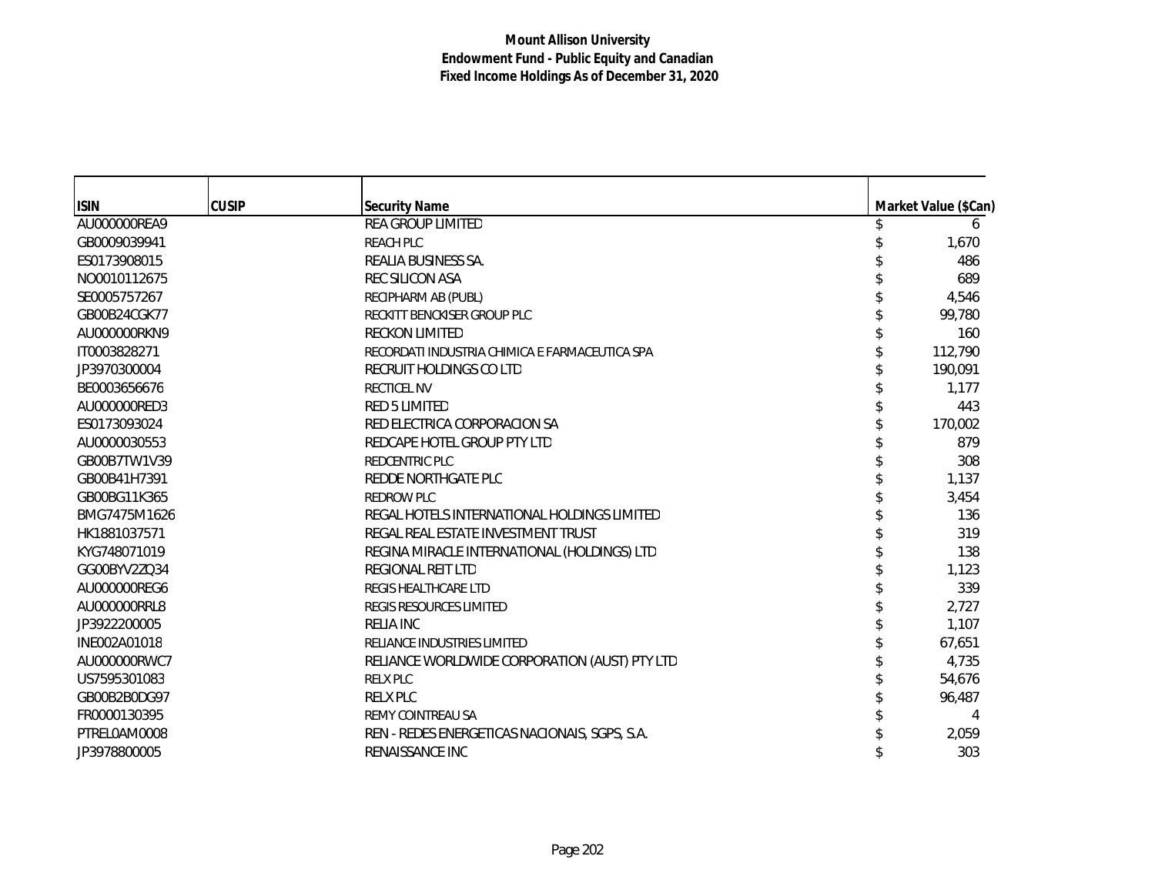| <b>ISIN</b>  | <b>CUSIP</b> | <b>Security Name</b>                           | Market Value (\$Can) |
|--------------|--------------|------------------------------------------------|----------------------|
| AU000000REA9 |              | <b>REA GROUP LIMITED</b>                       | 6                    |
| GB0009039941 |              | <b>REACH PLC</b>                               | 1,670                |
| ES0173908015 |              | REALIA BUSINESS SA.                            | 486                  |
| NO0010112675 |              | <b>REC SILICON ASA</b>                         | 689                  |
| SE0005757267 |              | RECIPHARM AB (PUBL)                            | 4,546                |
| GB00B24CGK77 |              | RECKITT BENCKISER GROUP PLC                    | 99,780               |
| AU000000RKN9 |              | <b>RECKON LIMITED</b>                          | 160                  |
| IT0003828271 |              | RECORDATI INDUSTRIA CHIMICA E FARMACEUTICA SPA | 112,790              |
| JP3970300004 |              | RECRUIT HOLDINGS CO LTD                        | 190,091              |
| BE0003656676 |              | <b>RECTICEL NV</b>                             | 1,177                |
| AU000000RED3 |              | <b>RED 5 LIMITED</b>                           | 443                  |
| ES0173093024 |              | RED ELECTRICA CORPORACION SA                   | 170,002              |
| AU0000030553 |              | REDCAPE HOTEL GROUP PTY LTD                    | 879                  |
| GB00B7TW1V39 |              | <b>REDCENTRIC PLC</b>                          | 308                  |
| GB00B41H7391 |              | REDDE NORTHGATE PLC                            | 1,137                |
| GB00BG11K365 |              | REDROW PLC                                     | 3,454                |
| BMG7475M1626 |              | REGAL HOTELS INTERNATIONAL HOLDINGS LIMITED    | 136                  |
| HK1881037571 |              | REGAL REAL ESTATE INVESTMENT TRUST             | 319                  |
| KYG748071019 |              | REGINA MIRACLE INTERNATIONAL (HOLDINGS) LTD    | 138                  |
| GG00BYV2ZQ34 |              | REGIONAL REIT LTD                              | 1,123                |
| AU000000REG6 |              | REGIS HEALTHCARE LTD                           | 339                  |
| AU000000RRL8 |              | <b>REGIS RESOURCES LIMITED</b>                 | 2,727                |
| JP3922200005 |              | <b>RELIA INC</b>                               | 1,107                |
| INE002A01018 |              | RELIANCE INDUSTRIES LIMITED                    | 67,651               |
| AU000000RWC7 |              | RELIANCE WORLDWIDE CORPORATION (AUST) PTY LTD  | 4,735                |
| US7595301083 |              | <b>RELX PLC</b>                                | 54,676               |
| GB00B2B0DG97 |              | <b>RELX PLC</b>                                | 96,487               |
| FR0000130395 |              | REMY COINTREAU SA                              |                      |
| PTRELOAM0008 |              | REN - REDES ENERGETICAS NACIONAIS, SGPS, S.A.  | 2,059                |
| JP3978800005 |              | RENAISSANCE INC                                | 303                  |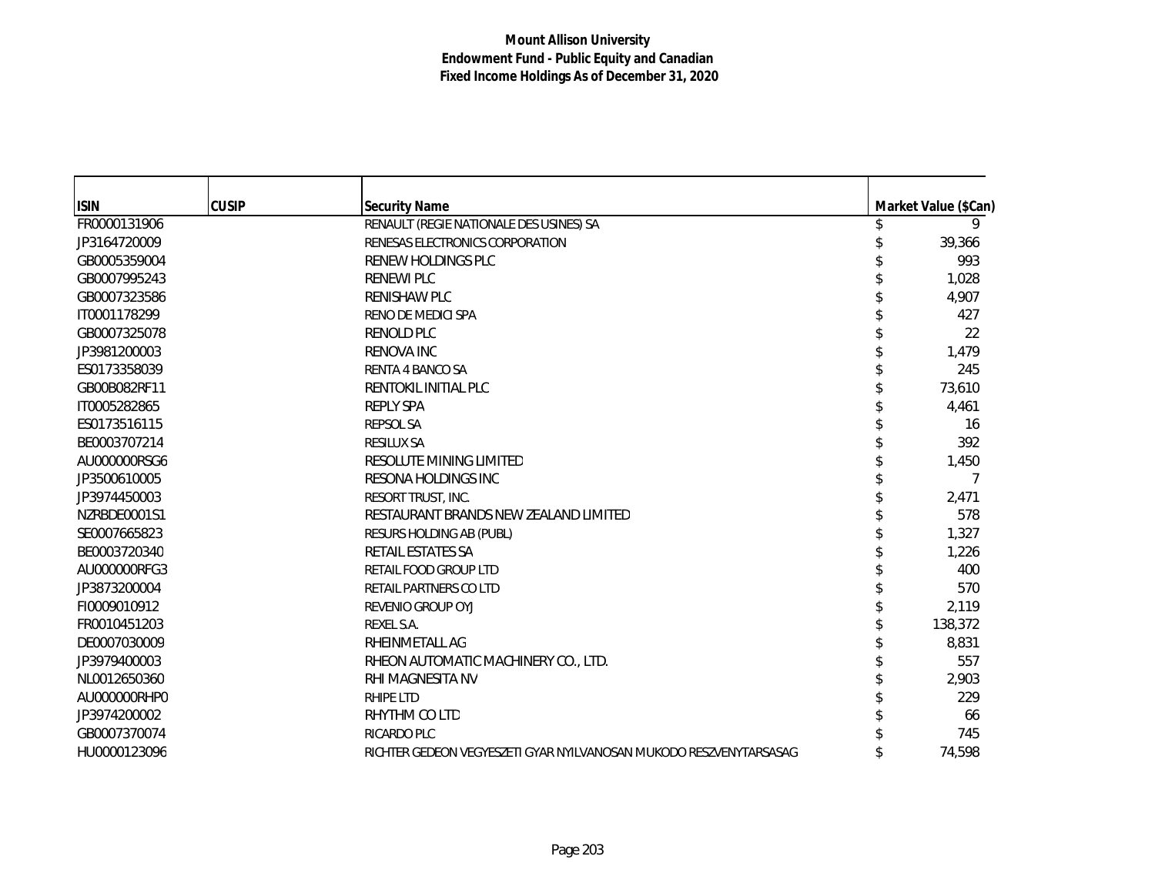## **Mount Allison University Endowment Fund - Public Equity and Canadian Fixed Income Holdings As of December 31, 2020**

| <b>ISIN</b>  | <b>CUSIP</b> | <b>Security Name</b>                                               |   | Market Value (\$Can) |
|--------------|--------------|--------------------------------------------------------------------|---|----------------------|
| FR0000131906 |              | RENAULT (REGIE NATIONALE DES USINES) SA                            | S | 9                    |
| JP3164720009 |              | RENESAS ELECTRONICS CORPORATION                                    |   | 39,366               |
| GB0005359004 |              | RENEW HOLDINGS PLC                                                 |   | 993                  |
| GB0007995243 |              | <b>RENEWI PLC</b>                                                  |   | 1,028                |
| GB0007323586 |              | <b>RENISHAW PLC</b>                                                |   | 4,907                |
| IT0001178299 |              | RENO DE MEDICI SPA                                                 |   | 427                  |
| GB0007325078 |              | <b>RENOLD PLC</b>                                                  |   | 22                   |
| JP3981200003 |              | <b>RENOVA INC</b>                                                  |   | 1,479                |
| ES0173358039 |              | <b>RENTA 4 BANCO SA</b>                                            |   | 245                  |
| GB00B082RF11 |              | RENTOKIL INITIAL PLC                                               |   | 73,610               |
| IT0005282865 |              | <b>REPLY SPA</b>                                                   |   | 4,461                |
| ES0173516115 |              | <b>REPSOL SA</b>                                                   |   | 16                   |
| BE0003707214 |              | <b>RESILUX SA</b>                                                  |   | 392                  |
| AU000000RSG6 |              | RESOLUTE MINING LIMITED                                            |   | 1,450                |
| JP3500610005 |              | RESONA HOLDINGS INC                                                |   | 7                    |
| JP3974450003 |              | <b>RESORT TRUST. INC.</b>                                          |   | 2,471                |
| NZRBDE0001S1 |              | RESTAURANT BRANDS NEW ZEALAND LIMITED                              |   | 578                  |
| SE0007665823 |              | RESURS HOLDING AB (PUBL)                                           |   | 1,327                |
| BE0003720340 |              | <b>RETAIL ESTATES SA</b>                                           |   | 1,226                |
| AU000000RFG3 |              | <b>RETAIL FOOD GROUP LTD</b>                                       |   | 400                  |
| JP3873200004 |              | RETAIL PARTNERS CO LTD                                             |   | 570                  |
| FI0009010912 |              | <b>REVENIO GROUP OYJ</b>                                           |   | 2,119                |
| FR0010451203 |              | REXEL S.A.                                                         |   | 138,372              |
| DE0007030009 |              | RHEINMETALL AG                                                     |   | 8,831                |
| JP3979400003 |              | RHEON AUTOMATIC MACHINERY CO., LTD.                                |   | 557                  |
| NL0012650360 |              | RHI MAGNESITA NV                                                   |   | 2,903                |
| AU000000RHP0 |              | <b>RHIPE LTD</b>                                                   |   | 229                  |
| JP3974200002 |              | RHYTHM CO LTD                                                      |   | 66                   |
| GB0007370074 |              | <b>RICARDO PLC</b>                                                 |   | 745                  |
| HU0000123096 |              | RICHTER GEDEON VEGYESZETI GYAR NYILVANOSAN MUKODO RESZVENYTARSASAG |   | 74,598               |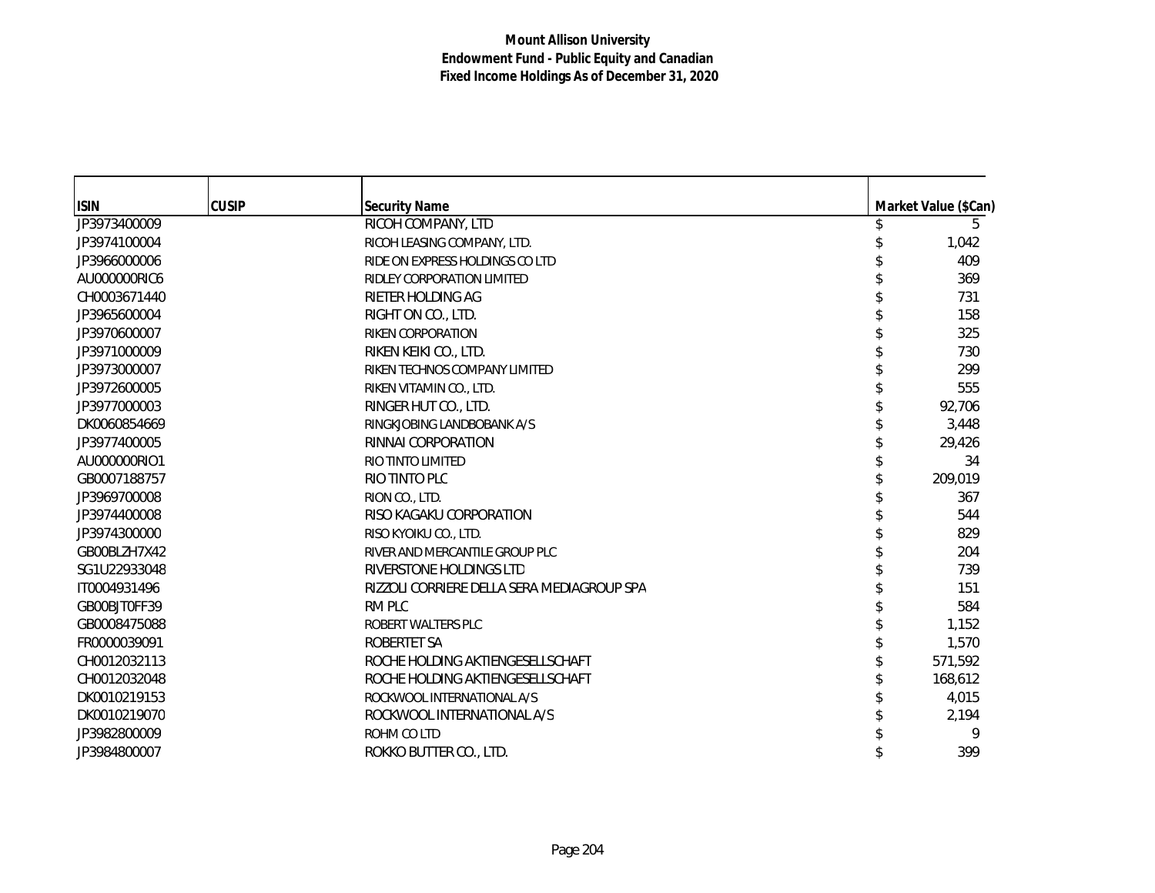| <b>ISIN</b>  | <b>CUSIP</b> | <b>Security Name</b>                       | Market Value (\$Can) |
|--------------|--------------|--------------------------------------------|----------------------|
| JP3973400009 |              | RICOH COMPANY, LTD                         | 5                    |
| JP3974100004 |              | RICOH LEASING COMPANY, LTD.                | 1,042                |
| JP3966000006 |              | RIDE ON EXPRESS HOLDINGS CO LTD            | 409                  |
| AU000000RIC6 |              | RIDLEY CORPORATION LIMITED                 | 369                  |
| CH0003671440 |              | RIETER HOLDING AG                          | 731                  |
| JP3965600004 |              | RIGHT ON CO., LTD.                         | 158                  |
| JP3970600007 |              | <b>RIKEN CORPORATION</b>                   | 325                  |
| JP3971000009 |              | RIKEN KEIKI CO., LTD.                      | 730                  |
| JP3973000007 |              | RIKEN TECHNOS COMPANY LIMITED              | 299                  |
| JP3972600005 |              | RIKEN VITAMIN CO., LTD.                    | 555                  |
| JP3977000003 |              | RINGER HUT CO., LTD.                       | 92,706               |
| DK0060854669 |              | RINGKJOBING LANDBOBANK A/S                 | 3,448                |
| JP3977400005 |              | RINNAI CORPORATION                         | 29,426               |
| AU000000RIO1 |              | RIO TINTO LIMITED                          | 34                   |
| GB0007188757 |              | RIO TINTO PLC                              | 209,019              |
| JP3969700008 |              | RION CO., LTD.                             | 367                  |
| JP3974400008 |              | RISO KAGAKU CORPORATION                    | 544                  |
| JP3974300000 |              | RISO KYOIKU CO., LTD.                      | 829                  |
| GB00BLZH7X42 |              | RIVER AND MERCANTILE GROUP PLC             | 204                  |
| SG1U22933048 |              | RIVERSTONE HOLDINGS LTD                    | 739                  |
| IT0004931496 |              | RIZZOLI CORRIERE DELLA SERA MEDIAGROUP SPA | 151                  |
| GB00BJT0FF39 |              | RM PLC                                     | 584                  |
| GB0008475088 |              | ROBERT WALTERS PLC                         | 1,152                |
| FR0000039091 |              | <b>ROBERTET SA</b>                         | 1,570                |
| CH0012032113 |              | ROCHE HOLDING AKTIENGESELLSCHAFT           | 571,592              |
| CH0012032048 |              | ROCHE HOLDING AKTIENGESELLSCHAFT           | 168,612              |
| DK0010219153 |              | ROCKWOOL INTERNATIONAL A/S                 | 4,015                |
| DK0010219070 |              | ROCKWOOL INTERNATIONAL A/S                 | 2,194                |
| JP3982800009 |              | ROHM CO LTD                                | 9                    |
| JP3984800007 |              | ROKKO BUTTER CO., LTD.                     | 399                  |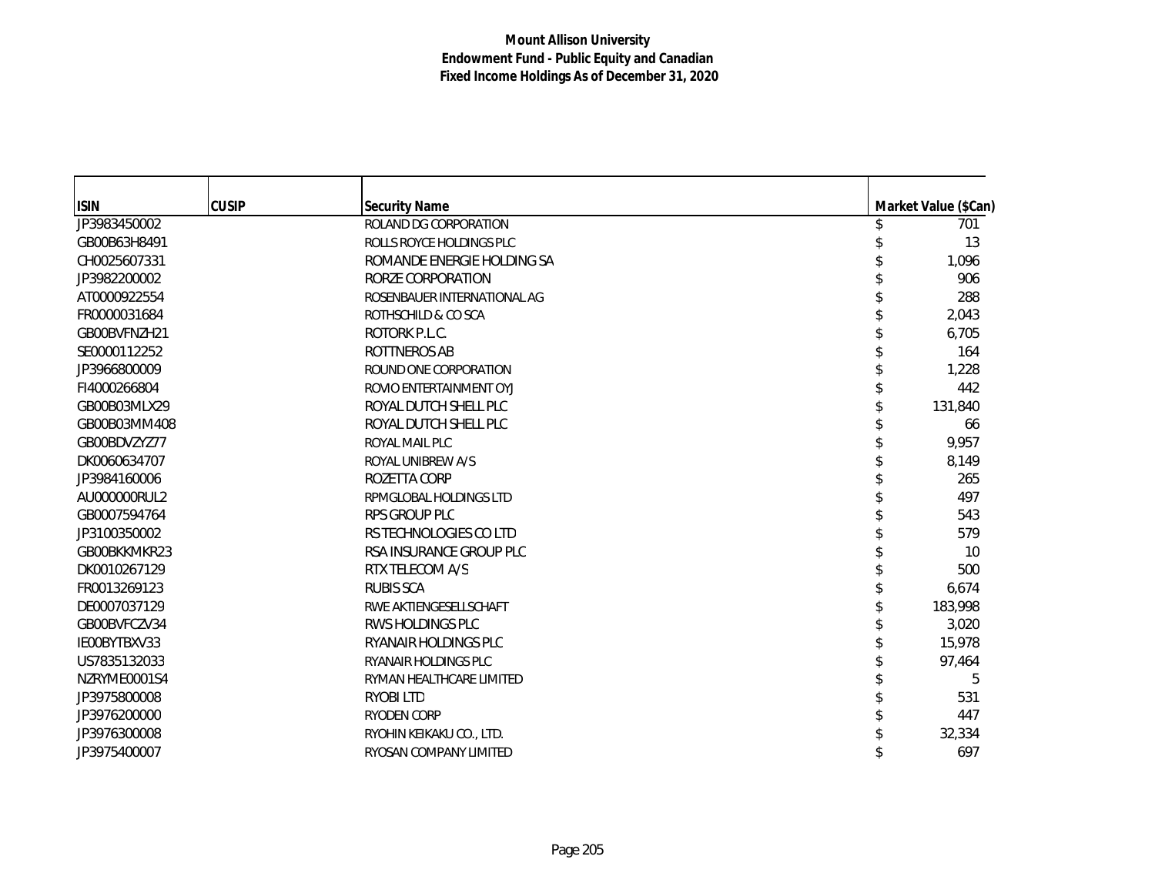| <b>ISIN</b>  | <b>CUSIP</b> | <b>Security Name</b>        | Market Value (\$Can) |
|--------------|--------------|-----------------------------|----------------------|
| JP3983450002 |              | ROLAND DG CORPORATION       | 701                  |
| GB00B63H8491 |              | ROLLS ROYCE HOLDINGS PLC    | 13                   |
| CH0025607331 |              | ROMANDE ENERGIE HOLDING SA  | 1,096                |
| JP3982200002 |              | RORZE CORPORATION           | 906                  |
| AT0000922554 |              | ROSENBAUER INTERNATIONAL AG | 288                  |
| FR0000031684 |              | ROTHSCHILD & CO SCA         | 2,043                |
| GB00BVFNZH21 |              | ROTORK P.L.C.               | 6,705                |
| SE0000112252 |              | <b>ROTTNEROS AB</b>         | 164                  |
| JP3966800009 |              | ROUND ONE CORPORATION       | 1,228                |
| FI4000266804 |              | ROVIO ENTERTAINMENT OYJ     | 442                  |
| GB00B03MLX29 |              | ROYAL DUTCH SHELL PLC       | 131,840              |
| GB00B03MM408 |              | ROYAL DUTCH SHELL PLC       | 66                   |
| GB00BDVZYZ77 |              | ROYAL MAIL PLC              | 9,957                |
| DK0060634707 |              | ROYAL UNIBREW A/S           | 8,149                |
| JP3984160006 |              | ROZETTA CORP                | 265                  |
| AU000000RUL2 |              | RPMGLOBAL HOLDINGS LTD      | 497                  |
| GB0007594764 |              | RPS GROUP PLC               | 543                  |
| JP3100350002 |              | RS TECHNOLOGIES CO LTD      | 579                  |
| GB00BKKMKR23 |              | RSA INSURANCE GROUP PLC     | 10                   |
| DK0010267129 |              | RTX TELECOM A/S             | 500                  |
| FR0013269123 |              | <b>RUBIS SCA</b>            | 6,674                |
| DE0007037129 |              | RWE AKTIENGESELLSCHAFT      | 183,998              |
| GB00BVFCZV34 |              | <b>RWS HOLDINGS PLC</b>     | 3,020                |
| IE00BYTBXV33 |              | RYANAIR HOLDINGS PLC        | 15,978               |
| US7835132033 |              | <b>RYANAIR HOLDINGS PLC</b> | 97,464               |
| NZRYME0001S4 |              | RYMAN HEALTHCARE LIMITED    | 5                    |
| JP3975800008 |              | <b>RYOBILTD</b>             | 531                  |
| JP3976200000 |              | <b>RYODEN CORP</b>          | 447                  |
| JP3976300008 |              | RYOHIN KEIKAKU CO., LTD.    | 32,334               |
| JP3975400007 |              | RYOSAN COMPANY LIMITED      | 697                  |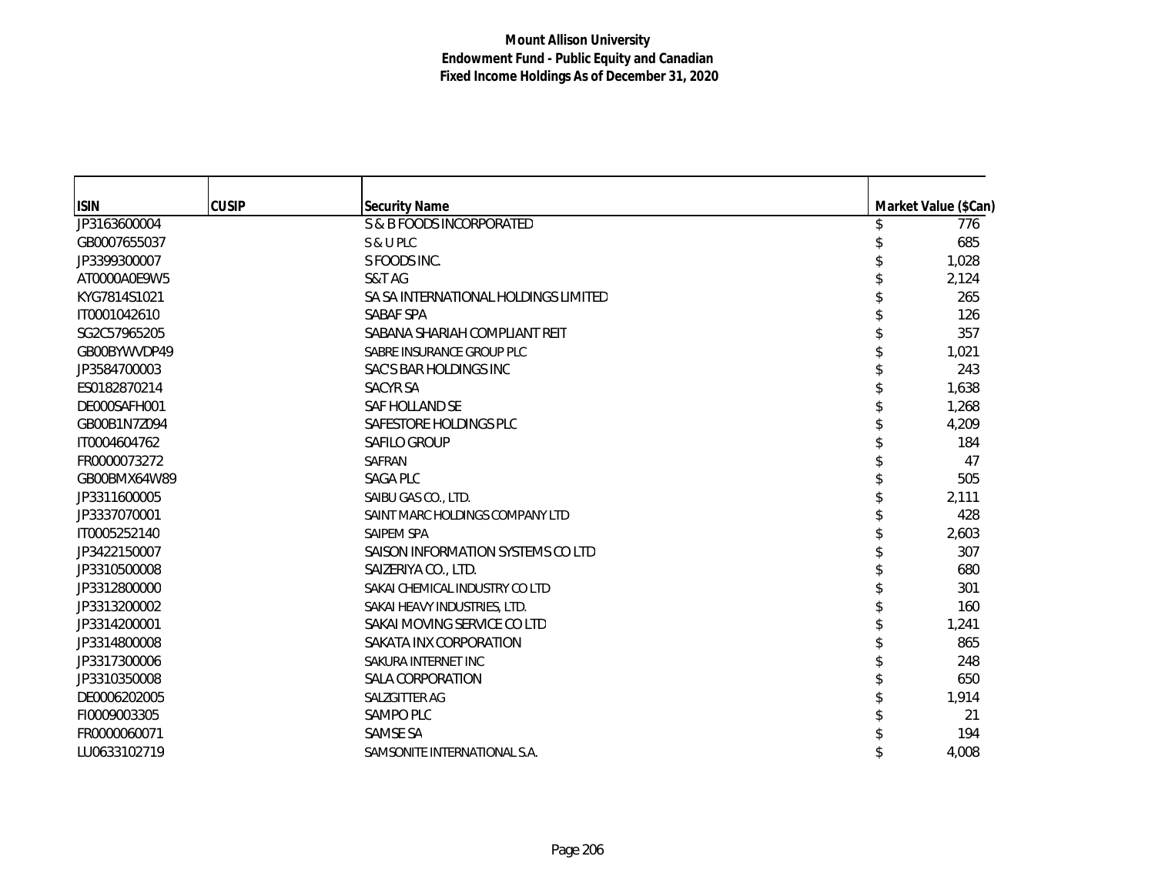| <b>ISIN</b>  | <b>CUSIP</b> | <b>Security Name</b>                 | Market Value (\$Can) |
|--------------|--------------|--------------------------------------|----------------------|
| JP3163600004 |              | S & B FOODS INCORPORATED             | 776                  |
| GB0007655037 |              | S & U PLC                            | 685                  |
| JP3399300007 |              | S FOODS INC.                         | 1,028                |
| AT0000A0E9W5 |              | S&T AG                               | 2,124                |
| KYG7814S1021 |              | SA SA INTERNATIONAL HOLDINGS LIMITED | 265                  |
| IT0001042610 |              | SABAF SPA                            | 126                  |
| SG2C57965205 |              | SABANA SHARIAH COMPLIANT REIT        | 357                  |
| GB00BYWVDP49 |              | SABRE INSURANCE GROUP PLC            | 1,021                |
| JP3584700003 |              | SAC'S BAR HOLDINGS INC               | 243                  |
| ES0182870214 |              | <b>SACYR SA</b>                      | 1,638                |
| DE000SAFH001 |              | SAF HOLLAND SE                       | 1,268                |
| GB00B1N7Z094 |              | SAFESTORE HOLDINGS PLC               | 4,209                |
| IT0004604762 |              | <b>SAFILO GROUP</b>                  | 184                  |
| FR0000073272 |              | <b>SAFRAN</b>                        | 47                   |
| GB00BMX64W89 |              | <b>SAGA PLC</b>                      | 505                  |
| JP3311600005 |              | SAIBU GAS CO., LTD.                  | 2,111                |
| JP3337070001 |              | SAINT MARC HOLDINGS COMPANY LTD      | 428                  |
| IT0005252140 |              | SAIPEM SPA                           | 2,603                |
| JP3422150007 |              | SAISON INFORMATION SYSTEMS CO LTD    | 307                  |
| JP3310500008 |              | SAIZERIYA CO., LTD.                  | 680                  |
| JP3312800000 |              | SAKAI CHEMICAL INDUSTRY CO LTD       | 301                  |
| JP3313200002 |              | SAKAI HEAVY INDUSTRIES, LTD.         | 160                  |
| JP3314200001 |              | SAKAI MOVING SERVICE CO LTD          | 1,241                |
| JP3314800008 |              | SAKATA INX CORPORATION               | 865                  |
| JP3317300006 |              | SAKURA INTERNET INC                  | 248                  |
| JP3310350008 |              | SALA CORPORATION                     | 650                  |
| DE0006202005 |              | SALZGITTER AG                        | 1,914                |
| FI0009003305 |              | <b>SAMPO PLC</b>                     | 21                   |
| FR0000060071 |              | SAMSE SA                             | 194                  |
| LU0633102719 |              | SAMSONITE INTERNATIONAL S.A.         | 4,008                |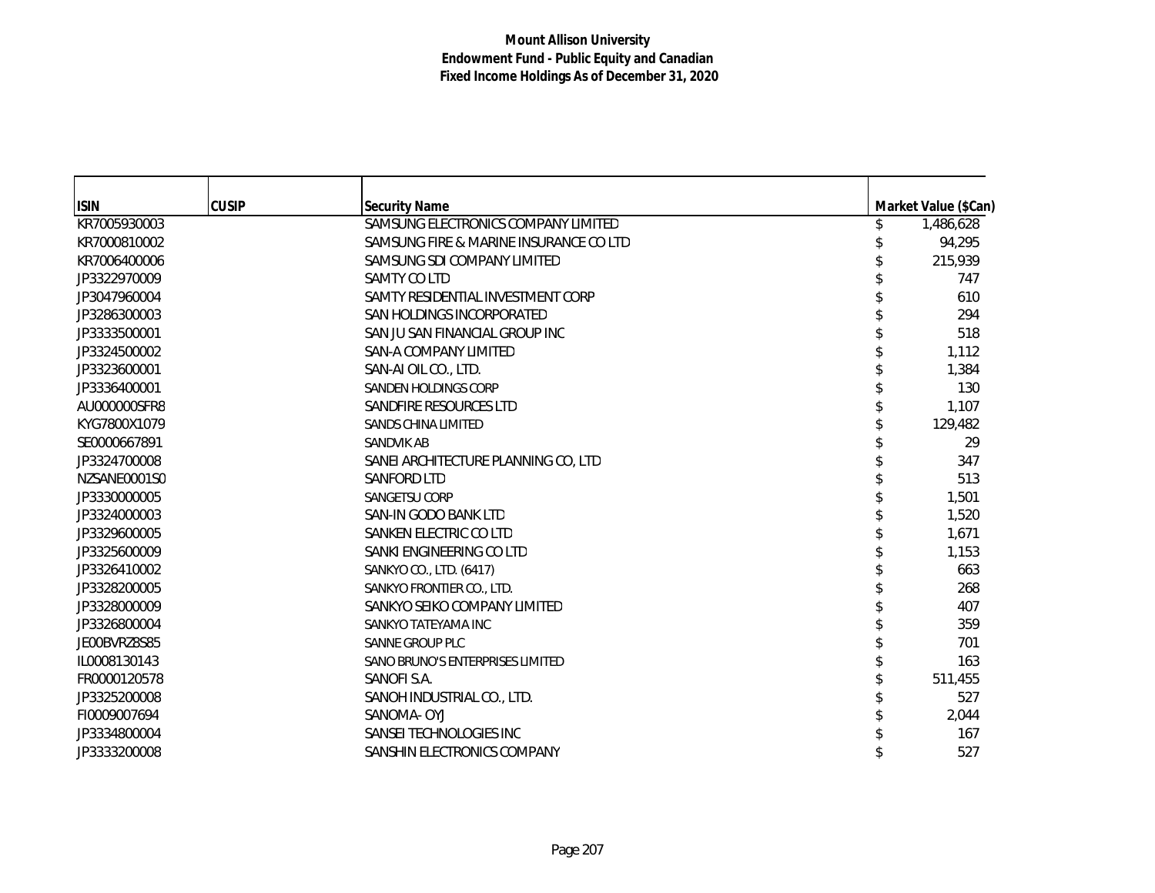| <b>ISIN</b>  | <b>CUSIP</b> | <b>Security Name</b>                   | Market Value (\$Can) |
|--------------|--------------|----------------------------------------|----------------------|
| KR7005930003 |              | SAMSUNG ELECTRONICS COMPANY LIMITED    | 1,486,628            |
| KR7000810002 |              | SAMSUNG FIRE & MARINE INSURANCE CO LTD | 94,295               |
| KR7006400006 |              | SAMSUNG SDI COMPANY LIMITED            | 215,939              |
| JP3322970009 |              | SAMTY CO LTD                           | 747                  |
| JP3047960004 |              | SAMTY RESIDENTIAL INVESTMENT CORP      | 610                  |
| JP3286300003 |              | SAN HOLDINGS INCORPORATED              | 294                  |
| JP3333500001 |              | SAN JU SAN FINANCIAL GROUP INC         | 518                  |
| JP3324500002 |              | SAN-A COMPANY LIMITED                  | 1,112                |
| JP3323600001 |              | SAN-AI OIL CO., LTD.                   | 1,384                |
| JP3336400001 |              | SANDEN HOLDINGS CORP                   | 130                  |
| AU000000SFR8 |              | SANDFIRE RESOURCES LTD                 | 1,107                |
| KYG7800X1079 |              | SANDS CHINA LIMITED                    | 129,482              |
| SE0000667891 |              | <b>SANDVIK AB</b>                      | 29                   |
| JP3324700008 |              | SANEI ARCHITECTURE PLANNING CO, LTD    | 347                  |
| NZSANE0001S0 |              | SANFORD LTD                            | 513                  |
| JP3330000005 |              | SANGETSU CORP                          | 1,501                |
| JP3324000003 |              | SAN-IN GODO BANK LTD                   | 1,520                |
| JP3329600005 |              | SANKEN ELECTRIC CO LTD                 | 1,671                |
| JP3325600009 |              | SANKI ENGINEERING CO LTD               | 1,153                |
| JP3326410002 |              | SANKYO CO., LTD. (6417)                | 663                  |
| JP3328200005 |              | SANKYO FRONTIER CO., LTD.              | 268                  |
| JP3328000009 |              | SANKYO SEIKO COMPANY LIMITED           | 407                  |
| JP3326800004 |              | SANKYO TATEYAMA INC                    | 359                  |
| JE00BVRZ8S85 |              | SANNE GROUP PLC                        | 701                  |
| IL0008130143 |              | SANO BRUNO'S ENTERPRISES LIMITED       | 163                  |
| FR0000120578 |              | SANOFI S.A.                            | 511,455              |
| JP3325200008 |              | SANOH INDUSTRIAL CO., LTD.             | 527                  |
| FI0009007694 |              | SANOMA- OYJ                            | 2,044                |
| JP3334800004 |              | SANSEI TECHNOLOGIES INC                | 167                  |
| JP3333200008 |              | SANSHIN ELECTRONICS COMPANY            | 527                  |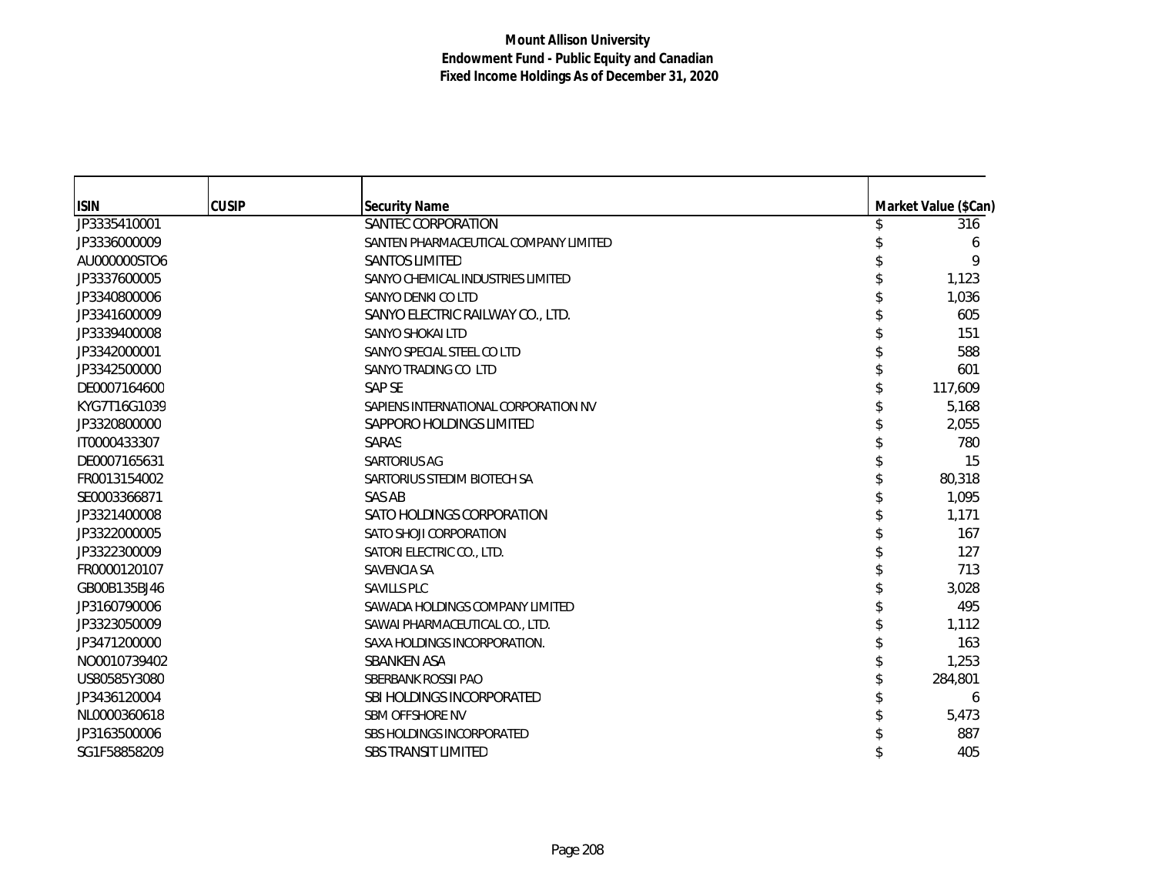| <b>ISIN</b>  | <b>CUSIP</b> | <b>Security Name</b>                  | Market Value (\$Can) |
|--------------|--------------|---------------------------------------|----------------------|
| JP3335410001 |              | SANTEC CORPORATION                    | 316                  |
| JP3336000009 |              | SANTEN PHARMACEUTICAL COMPANY LIMITED | 6                    |
| AU000000STO6 |              | <b>SANTOS LIMITED</b>                 | 9                    |
| JP3337600005 |              | SANYO CHEMICAL INDUSTRIES LIMITED     | 1,123                |
| JP3340800006 |              | SANYO DENKI CO LTD                    | 1,036                |
| JP3341600009 |              | SANYO ELECTRIC RAILWAY CO., LTD.      | 605                  |
| JP3339400008 |              | SANYO SHOKALLTD                       | 151                  |
| JP3342000001 |              | SANYO SPECIAL STEEL CO LTD            | 588                  |
| JP3342500000 |              | SANYO TRADING CO LTD                  | 601                  |
| DE0007164600 |              | SAP SE                                | 117,609              |
| KYG7T16G1039 |              | SAPIENS INTERNATIONAL CORPORATION NV  | 5,168                |
| JP3320800000 |              | SAPPORO HOLDINGS LIMITED              | 2,055                |
| IT0000433307 |              | SARAS                                 | 780                  |
| DE0007165631 |              | <b>SARTORIUS AG</b>                   | 15                   |
| FR0013154002 |              | SARTORIUS STEDIM BIOTECH SA           | 80,318               |
| SE0003366871 |              | SAS AB                                | 1,095                |
| JP3321400008 |              | SATO HOLDINGS CORPORATION             | 1,171                |
| JP3322000005 |              | SATO SHOJI CORPORATION                | 167                  |
| JP3322300009 |              | SATORI ELECTRIC CO., LTD.             | 127                  |
| FR0000120107 |              | <b>SAVENCIA SA</b>                    | 713                  |
| GB00B135BJ46 |              | <b>SAVILLS PLC</b>                    | 3,028                |
| JP3160790006 |              | SAWADA HOLDINGS COMPANY LIMITED       | 495                  |
| JP3323050009 |              | SAWAI PHARMACEUTICAL CO., LTD.        | 1,112                |
| JP3471200000 |              | SAXA HOLDINGS INCORPORATION.          | 163                  |
| NO0010739402 |              | <b>SBANKEN ASA</b>                    | 1,253                |
| US80585Y3080 |              | SBERBANK ROSSII PAO                   | 284,801              |
| JP3436120004 |              | SBI HOLDINGS INCORPORATED             | 6                    |
| NL0000360618 |              | <b>SBM OFFSHORE NV</b>                | 5,473                |
| JP3163500006 |              | <b>SBS HOLDINGS INCORPORATED</b>      | 887                  |
| SG1F58858209 |              | <b>SBS TRANSIT LIMITED</b>            | 405                  |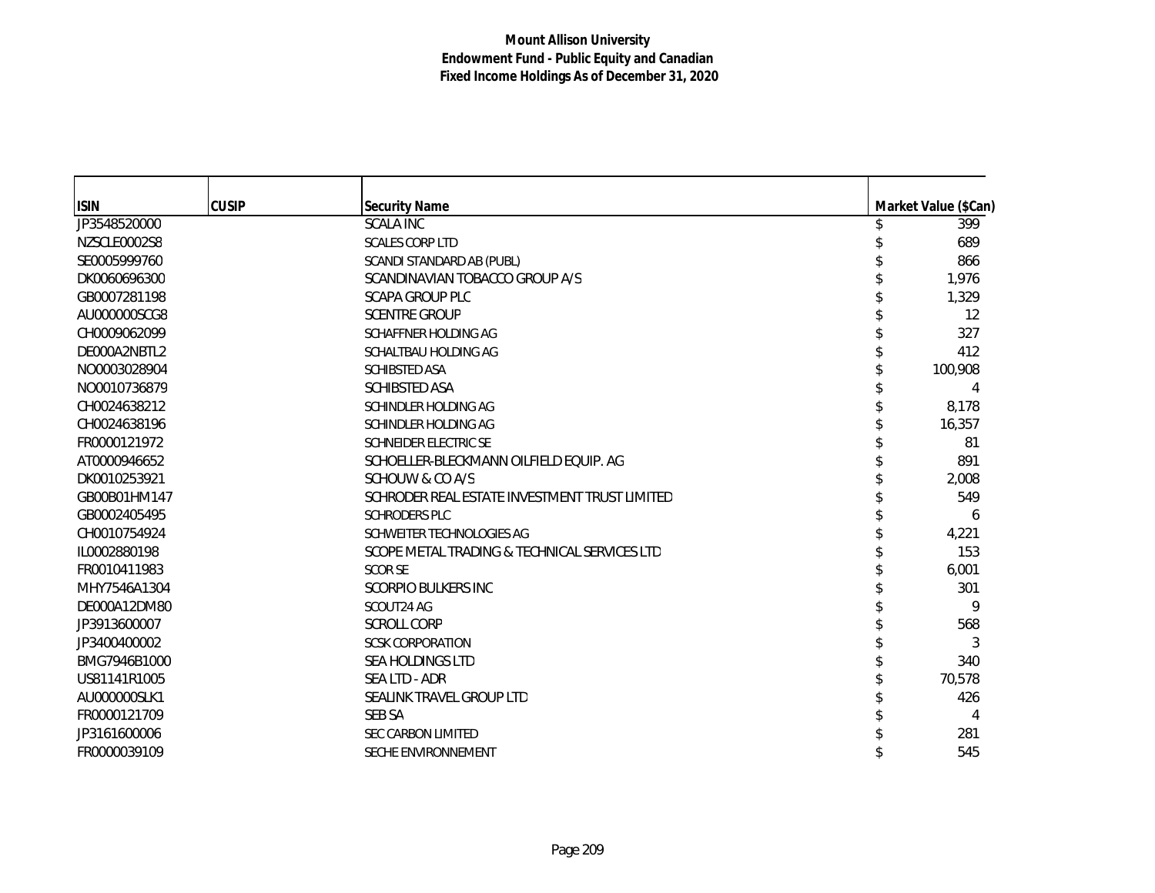| <b>ISIN</b>  | <b>CUSIP</b> | <b>Security Name</b>                          | Market Value (\$Can) |
|--------------|--------------|-----------------------------------------------|----------------------|
| JP3548520000 |              | <b>SCALA INC</b>                              | 399                  |
| NZSCLE0002S8 |              | <b>SCALES CORP LTD</b>                        | 689                  |
| SE0005999760 |              | SCANDI STANDARD AB (PUBL)                     | 866                  |
| DK0060696300 |              | SCANDINAVIAN TOBACCO GROUP A/S                | 1,976                |
| GB0007281198 |              | <b>SCAPA GROUP PLC</b>                        | 1,329                |
| AU000000SCG8 |              | <b>SCENTRE GROUP</b>                          | 12                   |
| CH0009062099 |              | SCHAFFNER HOLDING AG                          | 327                  |
| DE000A2NBTL2 |              | SCHALTBAU HOLDING AG                          | 412                  |
| NO0003028904 |              | SCHIBSTED ASA                                 | 100,908              |
| NO0010736879 |              | <b>SCHIBSTED ASA</b>                          |                      |
| CH0024638212 |              | SCHINDLER HOLDING AG                          | 8,178                |
| CH0024638196 |              | SCHINDLER HOLDING AG                          | 16,357               |
| FR0000121972 |              | <b>SCHNEIDER ELECTRIC SE</b>                  | 81                   |
| AT0000946652 |              | SCHOELLER-BLECKMANN OILFIELD EQUIP. AG        | 891                  |
| DK0010253921 |              | SCHOUW & CO A/S                               | 2,008                |
| GB00B01HM147 |              | SCHRODER REAL ESTATE INVESTMENT TRUST LIMITED | 549                  |
| GB0002405495 |              | <b>SCHRODERS PLC</b>                          | 6                    |
| CH0010754924 |              | SCHWEITER TECHNOLOGIES AG                     | 4,221                |
| IL0002880198 |              | SCOPE METAL TRADING & TECHNICAL SERVICES LTD  | 153                  |
| FR0010411983 |              | <b>SCOR SE</b>                                | 6,001                |
| MHY7546A1304 |              | <b>SCORPIO BULKERS INC</b>                    | 301                  |
| DE000A12DM80 |              | SCOUT24 AG                                    | 9                    |
| JP3913600007 |              | <b>SCROLL CORP</b>                            | 568                  |
| JP3400400002 |              | <b>SCSK CORPORATION</b>                       | 3                    |
| BMG7946B1000 |              | <b>SEA HOLDINGS LTD</b>                       | 340                  |
| US81141R1005 |              | SEA LTD - ADR                                 | 70,578               |
| AU000000SLK1 |              | SEALINK TRAVEL GROUP LTD                      | 426                  |
| FR0000121709 |              | SEB SA                                        | 4                    |
| JP3161600006 |              | <b>SEC CARBON LIMITED</b>                     | 281                  |
| FR0000039109 |              | SECHE ENVIRONNEMENT                           | 545                  |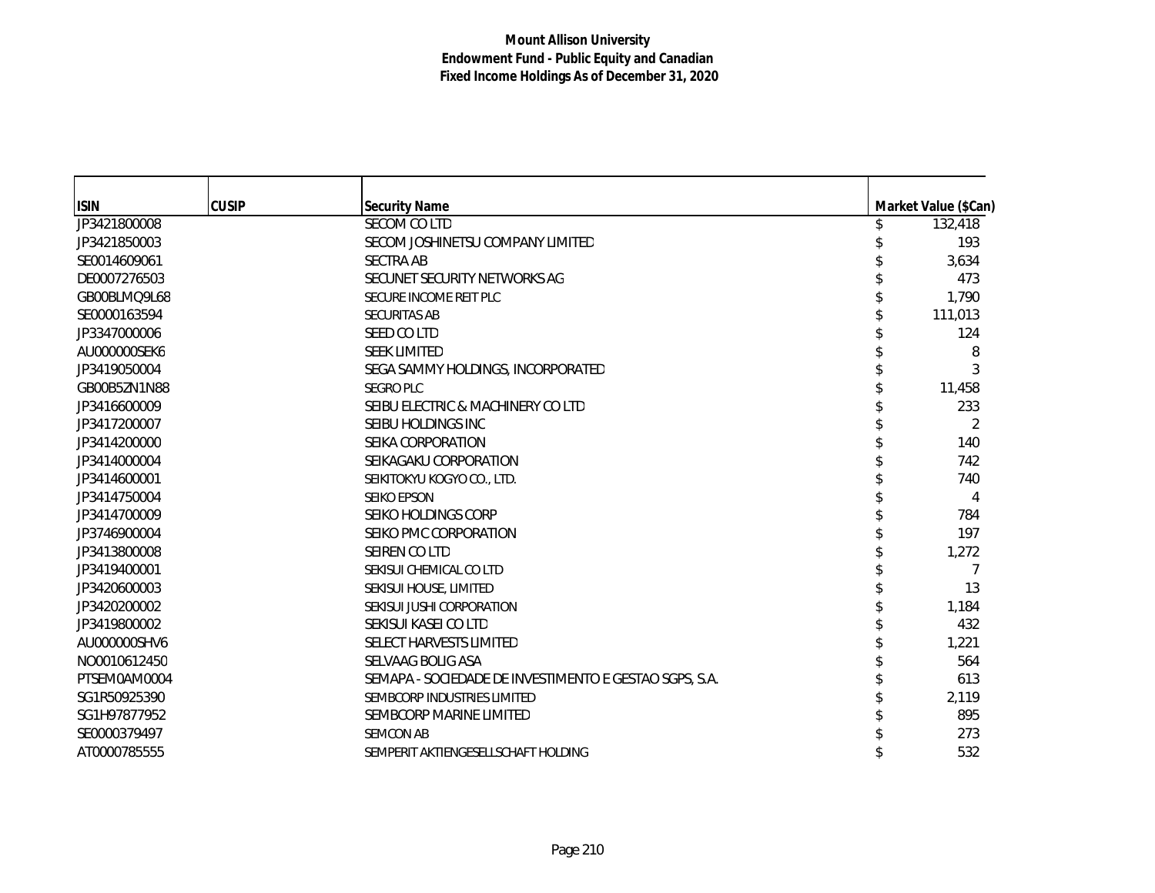| <b>ISIN</b>  | <b>CUSIP</b> | <b>Security Name</b>                                   | Market Value (\$Can) |
|--------------|--------------|--------------------------------------------------------|----------------------|
| JP3421800008 |              | SECOM CO LTD                                           | 132,418              |
| JP3421850003 |              | SECOM JOSHINETSU COMPANY LIMITED                       | 193                  |
| SE0014609061 |              | <b>SECTRA AB</b>                                       | 3,634                |
| DE0007276503 |              | SECUNET SECURITY NETWORKS AG                           | 473                  |
| GB00BLMQ9L68 |              | SECURE INCOME REIT PLC                                 | 1,790                |
| SE0000163594 |              | <b>SECURITAS AB</b>                                    | 111,013              |
| JP3347000006 |              | SEED CO LTD                                            | 124                  |
| AU000000SEK6 |              | <b>SEEK LIMITED</b>                                    | 8                    |
| JP3419050004 |              | SEGA SAMMY HOLDINGS, INCORPORATED                      | 3                    |
| GB00B5ZN1N88 |              | <b>SEGRO PLC</b>                                       | 11,458               |
| JP3416600009 |              | SEIBU ELECTRIC & MACHINERY CO LTD                      | 233                  |
| JP3417200007 |              | SEIBU HOLDINGS INC                                     | 2                    |
| JP3414200000 |              | SEIKA CORPORATION                                      | 140                  |
| JP3414000004 |              | SEIKAGAKU CORPORATION                                  | 742                  |
| JP3414600001 |              | SEIKITOKYU KOGYO CO., LTD.                             | 740                  |
| JP3414750004 |              | SEIKO EPSON                                            | 4                    |
| JP3414700009 |              | SEIKO HOLDINGS CORP                                    | 784                  |
| JP3746900004 |              | SEIKO PMC CORPORATION                                  | 197                  |
| JP3413800008 |              | SEIREN CO LTD                                          | 1,272                |
| JP3419400001 |              | SEKISUI CHEMICAL CO LTD                                | 7                    |
| JP3420600003 |              | SEKISUI HOUSE, LIMITED                                 | 13                   |
| JP3420200002 |              | SEKISUI JUSHI CORPORATION                              | 1,184                |
| JP3419800002 |              | SEKISUI KASEI CO LTD                                   | 432                  |
| AU000000SHV6 |              | SELECT HARVESTS LIMITED                                | 1,221                |
| NO0010612450 |              | SELVAAG BOLIG ASA                                      | 564                  |
| PTSEM0AM0004 |              | SEMAPA - SOCIEDADE DE INVESTIMENTO E GESTAO SGPS, S.A. | 613                  |
| SG1R50925390 |              | SEMBCORP INDUSTRIES LIMITED                            | 2,119                |
| SG1H97877952 |              | SEMBCORP MARINE LIMITED                                | 895                  |
| SE0000379497 |              | <b>SEMCON AB</b>                                       | 273                  |
| AT0000785555 |              | SEMPERIT AKTIENGESELLSCHAFT HOLDING                    | 532                  |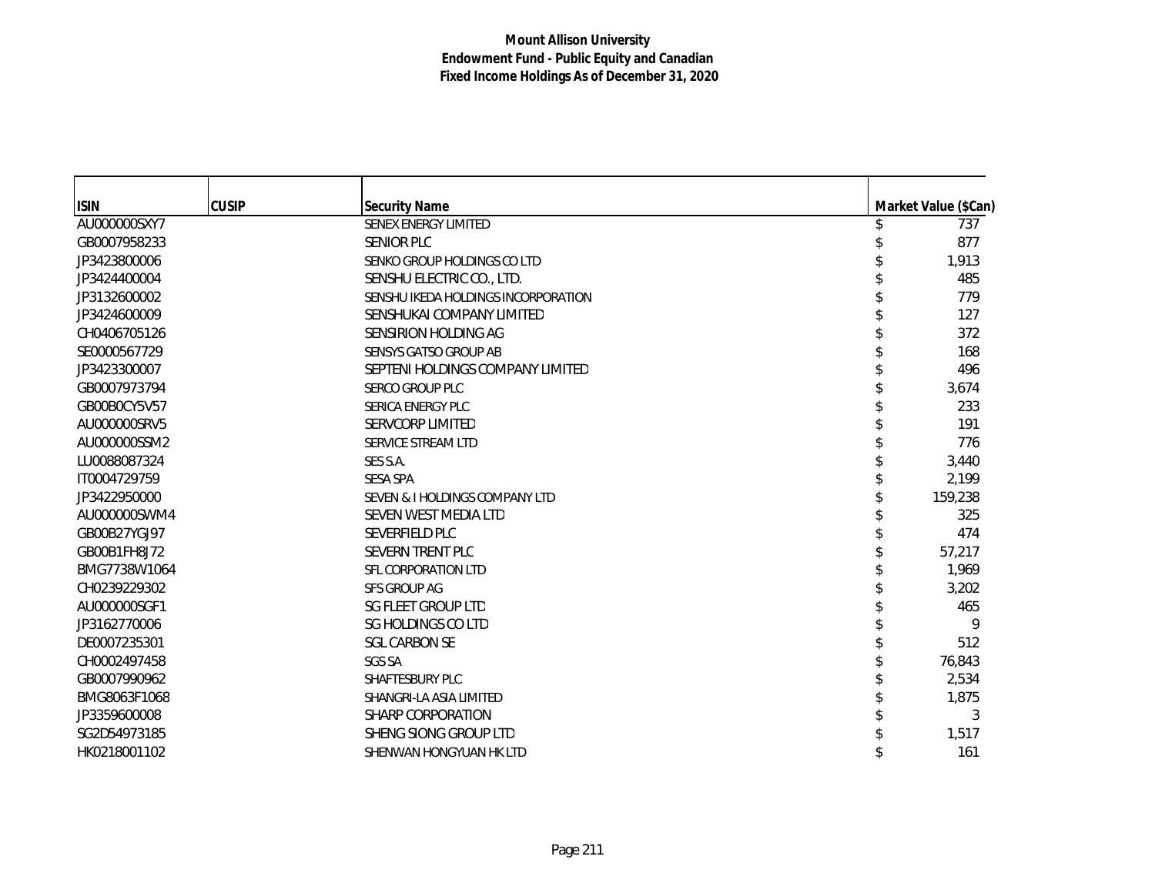| <b>ISIN</b>  | <b>CUSIP</b> | <b>Security Name</b>                | Market Value (\$Can) |
|--------------|--------------|-------------------------------------|----------------------|
| AU000000SXY7 |              | SENEX ENERGY LIMITED                | 737                  |
| GB0007958233 |              | <b>SENIOR PLC</b>                   | 877                  |
| JP3423800006 |              | SENKO GROUP HOLDINGS CO LTD         | 1,913                |
| JP3424400004 |              | SENSHU ELECTRIC CO., LTD.           | 485                  |
| JP3132600002 |              | SENSHU IKEDA HOLDINGS INCORPORATION | 779                  |
| JP3424600009 |              | SENSHUKAI COMPANY LIMITED           | 127                  |
| CH0406705126 |              | SENSIRION HOLDING AG                | 372                  |
| SE0000567729 |              | SENSYS GATSO GROUP AB               | 168                  |
| JP3423300007 |              | SEPTENI HOLDINGS COMPANY LIMITED    | 496                  |
| GB0007973794 |              | <b>SERCO GROUP PLC</b>              | 3,674                |
| GB00B0CY5V57 |              | SERICA ENERGY PLC                   | 233                  |
| AU000000SRV5 |              | <b>SERVCORP LIMITED</b>             | 191                  |
| AU000000SSM2 |              | SERVICE STREAM LTD                  | 776                  |
| LU0088087324 |              | SES S.A.                            | 3,440                |
| IT0004729759 |              | <b>SESA SPA</b>                     | 2,199                |
| JP3422950000 |              | SEVEN & I HOLDINGS COMPANY LTD      | 159,238              |
| AU000000SWM4 |              | SEVEN WEST MEDIA LTD                | 325                  |
| GB00B27YGJ97 |              | SEVERFIELD PLC                      | 474                  |
| GB00B1FH8J72 |              | SEVERN TRENT PLC                    | 57,217               |
| BMG7738W1064 |              | SFL CORPORATION LTD                 | 1,969                |
| CH0239229302 |              | <b>SFS GROUP AG</b>                 | 3,202                |
| AU000000SGF1 |              | SG FLEET GROUP LTD                  | 465                  |
| JP3162770006 |              | SG HOLDINGS CO LTD                  | 9                    |
| DE0007235301 |              | <b>SGL CARBON SE</b>                | 512                  |
| CH0002497458 |              | <b>SGS SA</b>                       | 76,843               |
| GB0007990962 |              | SHAFTESBURY PLC                     | 2,534                |
| BMG8063F1068 |              | SHANGRI-LA ASIA LIMITED             | 1,875                |
| JP3359600008 |              | SHARP CORPORATION                   | 3                    |
| SG2D54973185 |              | SHENG SIONG GROUP LTD               | 1,517                |
| HK0218001102 |              | SHENWAN HONGYUAN HK LTD             | 161                  |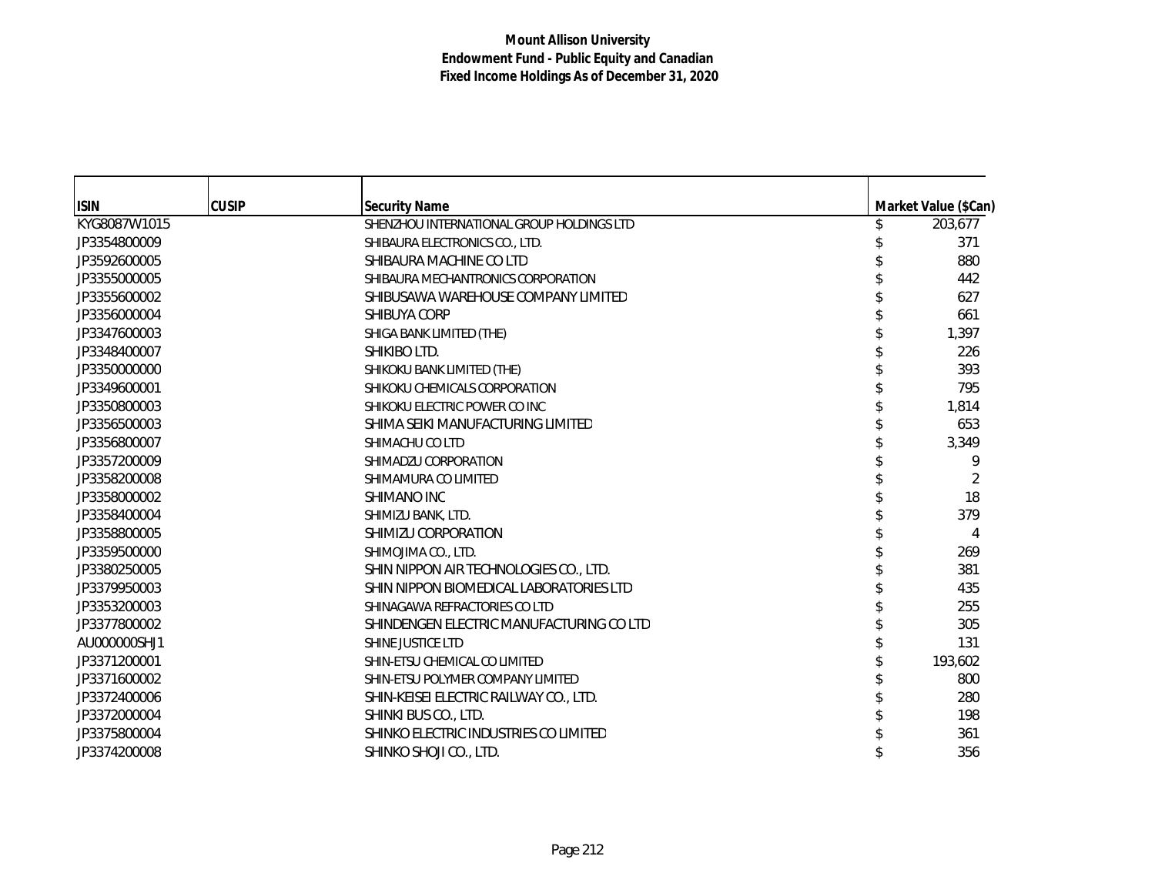| <b>ISIN</b>  | <b>CUSIP</b> | <b>Security Name</b>                      | Market Value (\$Can) |
|--------------|--------------|-------------------------------------------|----------------------|
| KYG8087W1015 |              | SHENZHOU INTERNATIONAL GROUP HOLDINGS LTD | 203,677              |
| JP3354800009 |              | SHIBAURA ELECTRONICS CO., LTD.            | 371                  |
| JP3592600005 |              | SHIBAURA MACHINE CO LTD                   | 880                  |
| JP3355000005 |              | SHIBAURA MECHANTRONICS CORPORATION        | 442                  |
| JP3355600002 |              | SHIBUSAWA WAREHOUSE COMPANY LIMITED       | 627                  |
| JP3356000004 |              | SHIBUYA CORP                              | 661                  |
| JP3347600003 |              | SHIGA BANK LIMITED (THE)                  | 1,397                |
| JP3348400007 |              | SHIKIBO LTD.                              | 226                  |
| JP3350000000 |              | SHIKOKU BANK LIMITED (THE)                | 393                  |
| JP3349600001 |              | SHIKOKU CHEMICALS CORPORATION             | 795                  |
| JP3350800003 |              | SHIKOKU ELECTRIC POWER CO INC             | 1,814                |
| JP3356500003 |              | SHIMA SEIKI MANUFACTURING LIMITED         | 653                  |
| JP3356800007 |              | SHIMACHU CO LTD                           | 3,349                |
| JP3357200009 |              | SHIMADZU CORPORATION                      | 9                    |
| JP3358200008 |              | SHIMAMURA CO LIMITED                      | 2                    |
| JP3358000002 |              | SHIMANO INC                               | 18                   |
| JP3358400004 |              | SHIMIZU BANK, LTD.                        | 379                  |
| JP3358800005 |              | SHIMIZU CORPORATION                       | 4                    |
| JP3359500000 |              | SHIMOJIMA CO., LTD.                       | 269                  |
| JP3380250005 |              | SHIN NIPPON AIR TECHNOLOGIES CO., LTD.    | 381                  |
| JP3379950003 |              | SHIN NIPPON BIOMEDICAL LABORATORIES LTD   | 435                  |
| JP3353200003 |              | SHINAGAWA REFRACTORIES CO LTD             | 255                  |
| JP3377800002 |              | SHINDENGEN ELECTRIC MANUFACTURING CO LTD  | 305                  |
| AU000000SHJ1 |              | SHINE JUSTICE LTD                         | 131                  |
| JP3371200001 |              | SHIN-ETSU CHEMICAL CO LIMITED             | 193,602              |
| JP3371600002 |              | SHIN-ETSU POLYMER COMPANY LIMITED         | 800                  |
| JP3372400006 |              | SHIN-KEISEI ELECTRIC RAILWAY CO., LTD.    | 280                  |
| JP3372000004 |              | SHINKI BUS CO., LTD.                      | 198                  |
| JP3375800004 |              | SHINKO ELECTRIC INDUSTRIES CO LIMITED     | 361                  |
| JP3374200008 |              | SHINKO SHOJI CO., LTD.                    | 356                  |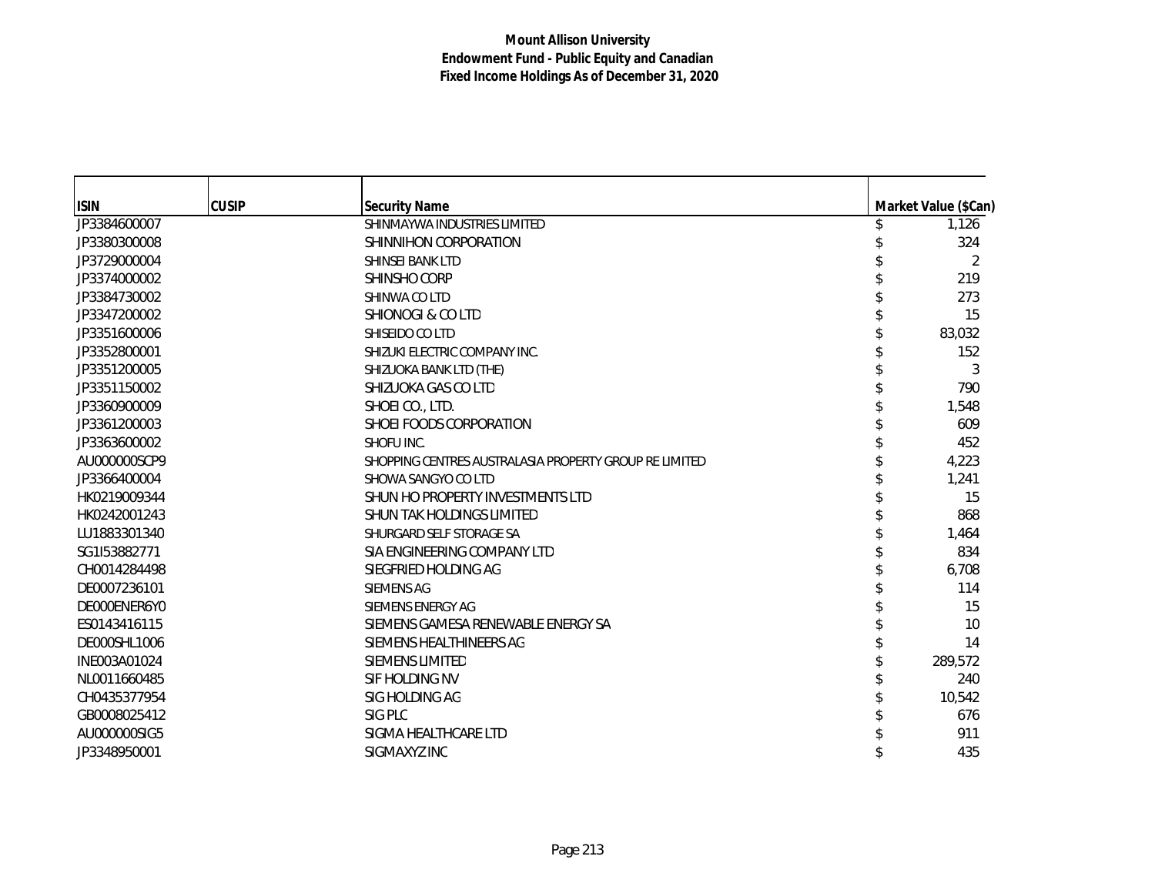| <b>ISIN</b>  | <b>CUSIP</b> | <b>Security Name</b>                                   | Market Value (\$Can) |
|--------------|--------------|--------------------------------------------------------|----------------------|
| JP3384600007 |              | SHINMAYWA INDUSTRIES LIMITED                           | 1,126                |
| JP3380300008 |              | SHINNIHON CORPORATION                                  | 324                  |
| JP3729000004 |              | <b>SHINSEI BANK LTD</b>                                | 2                    |
| JP3374000002 |              | SHINSHO CORP                                           | 219                  |
| JP3384730002 |              | SHINWA CO LTD                                          | 273                  |
| JP3347200002 |              | <b>SHIONOGI &amp; CO LTD</b>                           | 15                   |
| JP3351600006 |              | SHISEIDO CO LTD                                        | 83,032               |
| JP3352800001 |              | SHIZUKI ELECTRIC COMPANY INC.                          | 152                  |
| JP3351200005 |              | SHIZUOKA BANK LTD (THE)                                | 3                    |
| JP3351150002 |              | SHIZUOKA GAS CO LTD                                    | 790                  |
| JP3360900009 |              | SHOEI CO., LTD.                                        | 1,548                |
| JP3361200003 |              | SHOEI FOODS CORPORATION                                | 609                  |
| JP3363600002 |              | SHOFU INC.                                             | 452                  |
| AU000000SCP9 |              | SHOPPING CENTRES AUSTRALASIA PROPERTY GROUP RE LIMITED | 4,223                |
| JP3366400004 |              | SHOWA SANGYO CO LTD                                    | 1,241                |
| HK0219009344 |              | SHUN HO PROPERTY INVESTMENTS LTD                       | 15                   |
| HK0242001243 |              | SHUN TAK HOLDINGS LIMITED                              | 868                  |
| LU1883301340 |              | SHURGARD SELF STORAGE SA                               | 1,464                |
| SG1I53882771 |              | SIA ENGINEERING COMPANY LTD                            | 834                  |
| CH0014284498 |              | SIEGFRIED HOLDING AG                                   | 6,708                |
| DE0007236101 |              | <b>SIEMENS AG</b>                                      | 114                  |
| DE000ENER6Y0 |              | SIEMENS ENERGY AG                                      | 15                   |
| ES0143416115 |              | SIEMENS GAMESA RENEWABLE ENERGY SA                     | 10                   |
| DE000SHL1006 |              | SIEMENS HEALTHINEERS AG                                | 14                   |
| INE003A01024 |              | <b>SIEMENS LIMITED</b>                                 | 289,572              |
| NL0011660485 |              | SIF HOLDING NV                                         | 240                  |
| CH0435377954 |              | SIG HOLDING AG                                         | 10,542               |
| GB0008025412 |              | SIG PLC                                                | 676                  |
| AU000000SIG5 |              | SIGMA HEALTHCARE LTD                                   | 911                  |
| JP3348950001 |              | SIGMAXYZ INC                                           | 435                  |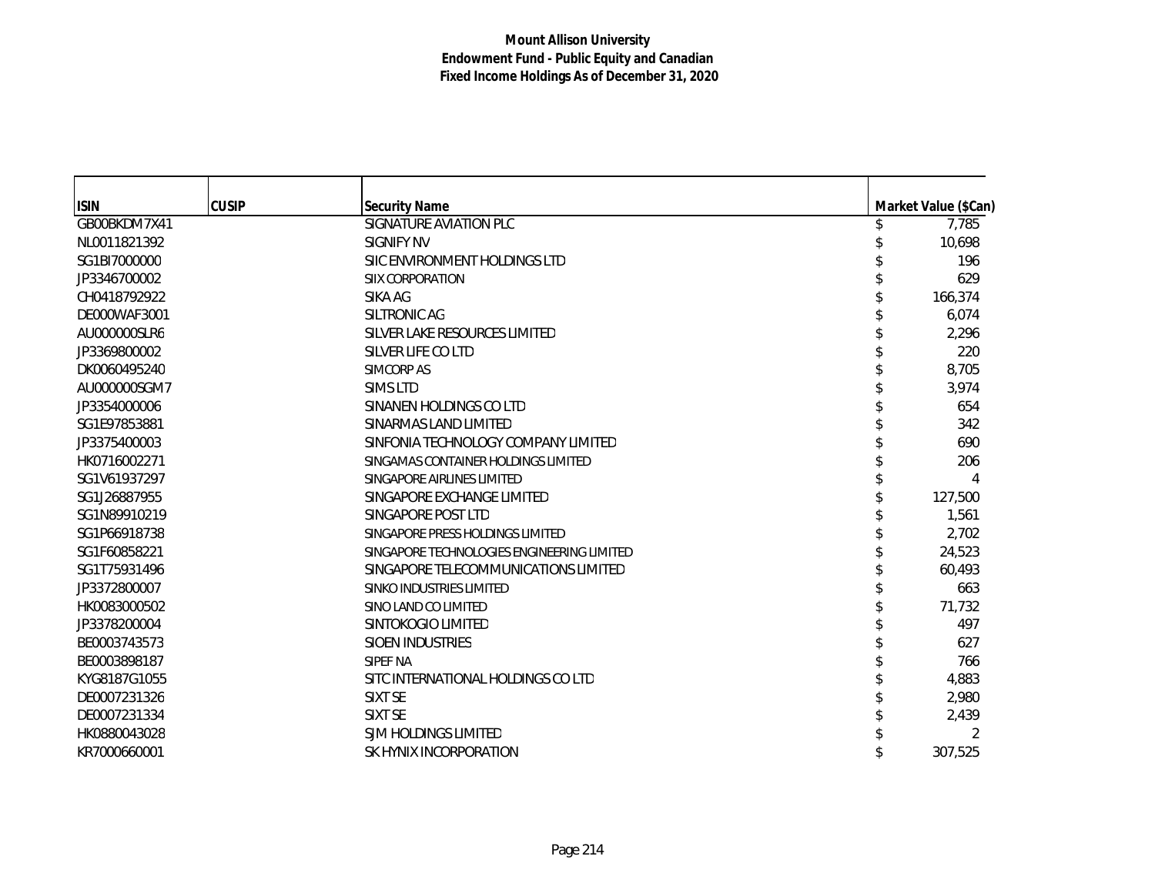| <b>ISIN</b>  | <b>CUSIP</b> | <b>Security Name</b>                       | Market Value (\$Can) |
|--------------|--------------|--------------------------------------------|----------------------|
| GB00BKDM7X41 |              | SIGNATURE AVIATION PLC                     | 7,785                |
| NL0011821392 |              | SIGNIFY NV                                 | 10,698               |
| SG1BI7000000 |              | SIIC ENVIRONMENT HOLDINGS LTD              | 196                  |
| JP3346700002 |              | SIIX CORPORATION                           | 629                  |
| CH0418792922 |              | SIKA AG                                    | 166,374              |
| DE000WAF3001 |              | SILTRONIC AG                               | 6,074                |
| AU000000SLR6 |              | SILVER LAKE RESOURCES LIMITED              | 2,296                |
| JP3369800002 |              | SILVER LIFE CO LTD                         | 220                  |
| DK0060495240 |              | <b>SIMCORP AS</b>                          | 8,705                |
| AU000000SGM7 |              | <b>SIMS LTD</b>                            | 3,974                |
| JP3354000006 |              | SINANEN HOLDINGS CO LTD                    | 654                  |
| SG1E97853881 |              | SINARMAS LAND LIMITED                      | 342                  |
| JP3375400003 |              | SINFONIA TECHNOLOGY COMPANY LIMITED        | 690                  |
| HK0716002271 |              | SINGAMAS CONTAINER HOLDINGS LIMITED        | 206                  |
| SG1V61937297 |              | SINGAPORE AIRLINES LIMITED                 |                      |
| SG1J26887955 |              | SINGAPORE EXCHANGE LIMITED                 | 127,500              |
| SG1N89910219 |              | SINGAPORE POST LTD                         | 1,561                |
| SG1P66918738 |              | SINGAPORE PRESS HOLDINGS LIMITED           | 2,702                |
| SG1F60858221 |              | SINGAPORE TECHNOLOGIES ENGINEERING LIMITED | 24,523               |
| SG1T75931496 |              | SINGAPORE TELECOMMUNICATIONS LIMITED       | 60.493               |
| JP3372800007 |              | SINKO INDUSTRIES LIMITED                   | 663                  |
| HK0083000502 |              | SINO LAND CO LIMITED                       | 71,732               |
| JP3378200004 |              | SINTOKOGIO LIMITED                         | 497                  |
| BE0003743573 |              | <b>SIOEN INDUSTRIES</b>                    | 627                  |
| BE0003898187 |              | SIPEF NA                                   | 766                  |
| KYG8187G1055 |              | SITC INTERNATIONAL HOLDINGS CO LTD         | 4,883                |
| DE0007231326 |              | SIXT SE                                    | 2,980                |
| DE0007231334 |              | SIXT SE                                    | 2,439                |
| HK0880043028 |              | SJM HOLDINGS LIMITED                       |                      |
| KR7000660001 |              | SK HYNIX INCORPORATION                     | 307,525              |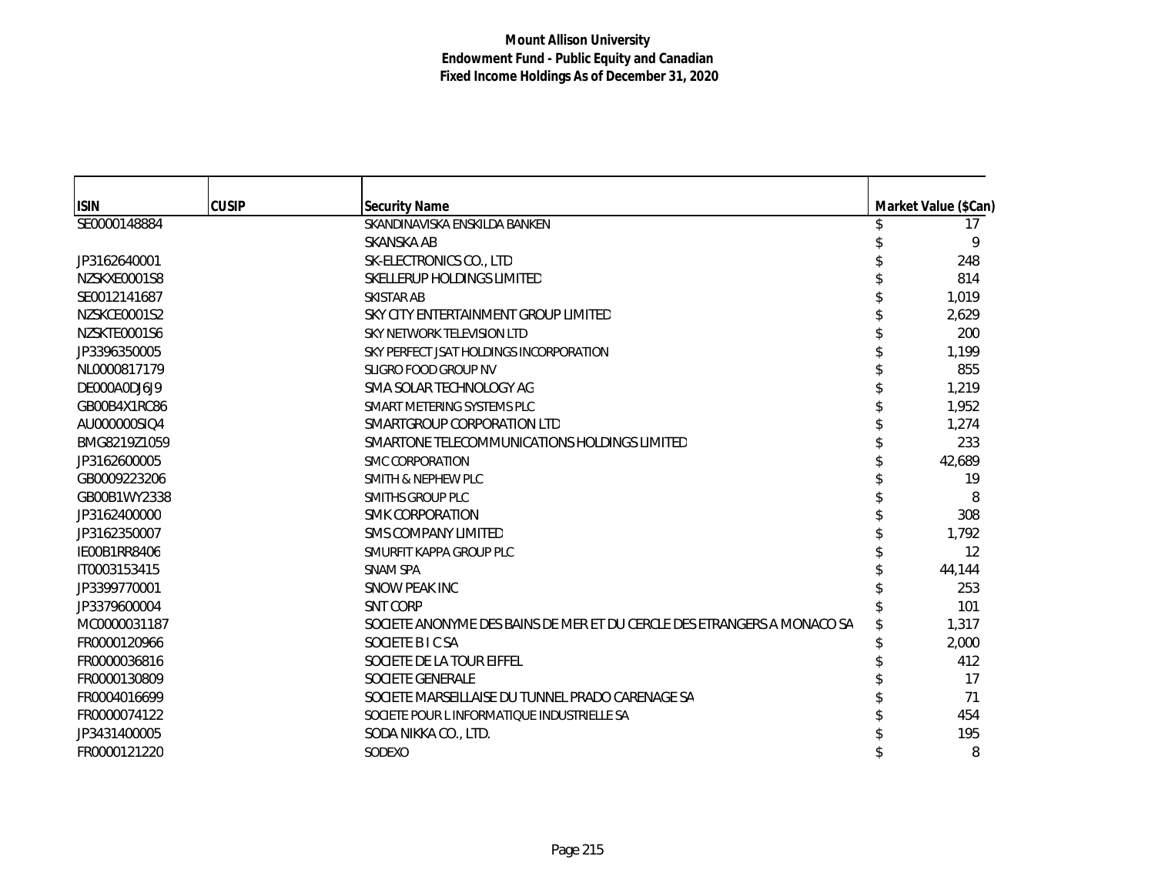| <b>ISIN</b>  | <b>CUSIP</b> | <b>Security Name</b>                                                    | Market Value (\$Can) |
|--------------|--------------|-------------------------------------------------------------------------|----------------------|
| SE0000148884 |              | SKANDINAVISKA ENSKILDA BANKEN                                           | 17                   |
|              |              | <b>SKANSKA AB</b>                                                       | 9                    |
| JP3162640001 |              | SK-ELECTRONICS CO., LTD                                                 | 248                  |
| NZSKXE0001S8 |              | SKELLERUP HOLDINGS LIMITED                                              | 814                  |
| SE0012141687 |              | SKISTAR AB                                                              | 1,019                |
| NZSKCE0001S2 |              | SKY CITY ENTERTAINMENT GROUP LIMITED                                    | 2,629                |
| NZSKTE0001S6 |              | SKY NETWORK TELEVISION LTD                                              | 200                  |
| JP3396350005 |              | SKY PERFECT JSAT HOLDINGS INCORPORATION                                 | 1,199                |
| NL0000817179 |              | SLIGRO FOOD GROUP NV                                                    | 855                  |
| DE000A0DJ6J9 |              | SMA SOLAR TECHNOLOGY AG                                                 | 1,219                |
| GB00B4X1RC86 |              | SMART METERING SYSTEMS PLC                                              | 1,952                |
| AU000000SIQ4 |              | SMARTGROUP CORPORATION LTD                                              | 1,274                |
| BMG8219Z1059 |              | SMARTONE TELECOMMUNICATIONS HOLDINGS LIMITED                            | 233                  |
| JP3162600005 |              | <b>SMC CORPORATION</b>                                                  | 42,689               |
| GB0009223206 |              | <b>SMITH &amp; NEPHEW PLC</b>                                           | 19                   |
| GB00B1WY2338 |              | <b>SMITHS GROUP PLC</b>                                                 | 8                    |
| JP3162400000 |              | <b>SMK CORPORATION</b>                                                  | 308                  |
| JP3162350007 |              | <b>SMS COMPANY LIMITED</b>                                              | 1,792                |
| IE00B1RR8406 |              | SMURFIT KAPPA GROUP PLC                                                 | 12                   |
| IT0003153415 |              | <b>SNAM SPA</b>                                                         | 44,144               |
| JP3399770001 |              | SNOW PEAK INC                                                           | 253                  |
| JP3379600004 |              | <b>SNT CORP</b>                                                         | 101                  |
| MC0000031187 |              | SOCIETE ANONYME DES BAINS DE MER ET DU CERCLE DES ETRANGERS A MONACO SA | 1,317                |
| FR0000120966 |              | SOCIETE B I C SA                                                        | 2,000                |
| FR0000036816 |              | SOCIETE DE LA TOUR EIFFEL                                               | 412                  |
| FR0000130809 |              | SOCIETE GENERALE                                                        | 17                   |
| FR0004016699 |              | SOCIETE MARSEILLAISE DU TUNNEL PRADO CARENAGE SA                        | 71                   |
| FR0000074122 |              | SOCIETE POUR L INFORMATIQUE INDUSTRIELLE SA                             | 454                  |
| JP3431400005 |              | SODA NIKKA CO., LTD.                                                    | 195                  |
| FR0000121220 |              | SODEXO                                                                  | 8                    |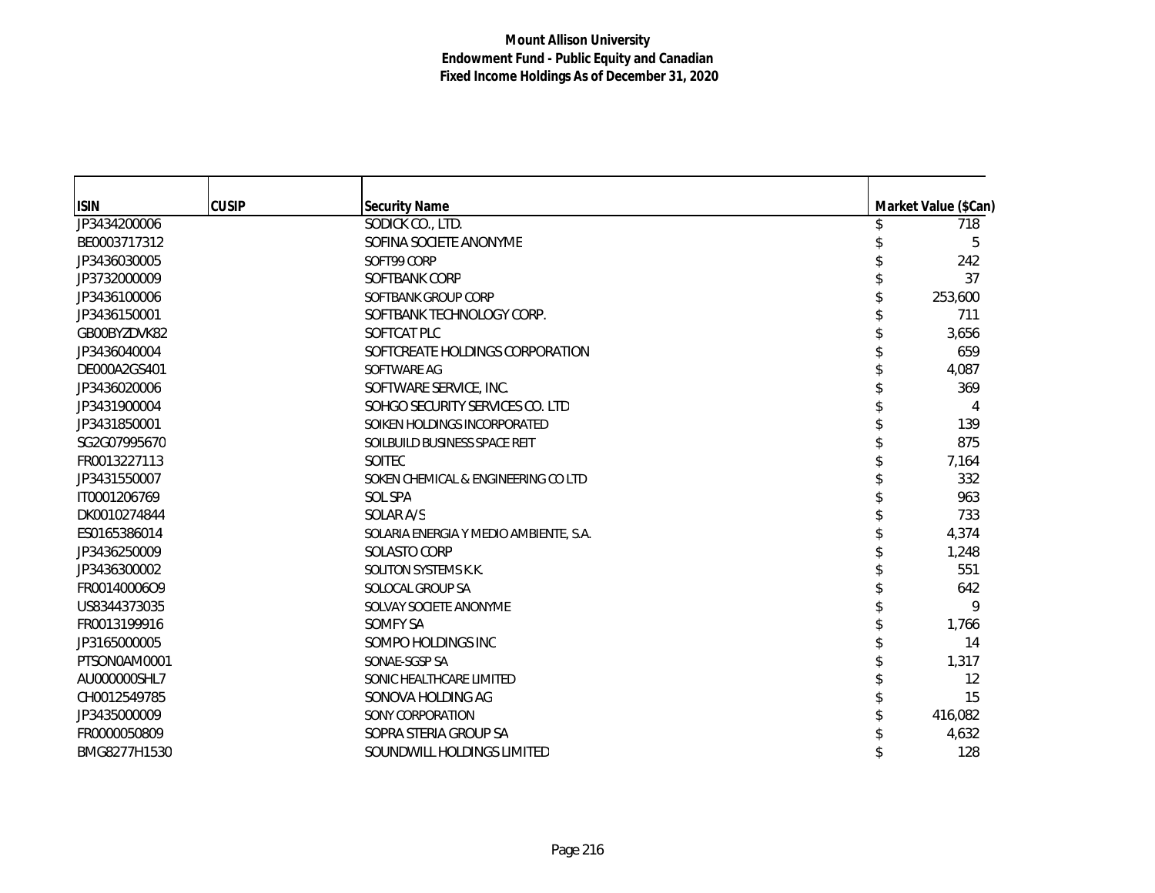| <b>ISIN</b>  | <b>CUSIP</b> | <b>Security Name</b>                   | Market Value (\$Can) |
|--------------|--------------|----------------------------------------|----------------------|
| JP3434200006 |              | SODICK CO., LTD.                       | 718                  |
| BE0003717312 |              | SOFINA SOCIETE ANONYME                 | 5                    |
| JP3436030005 |              | SOFT99 CORP                            | 242                  |
| JP3732000009 |              | SOFTBANK CORP                          | 37                   |
| JP3436100006 |              | SOFTBANK GROUP CORP                    | 253,600              |
| JP3436150001 |              | SOFTBANK TECHNOLOGY CORP.              | 711                  |
| GB00BYZDVK82 |              | SOFTCAT PLC                            | 3,656                |
| JP3436040004 |              | SOFTCREATE HOLDINGS CORPORATION        | 659                  |
| DE000A2GS401 |              | SOFTWARE AG                            | 4,087                |
| JP3436020006 |              | SOFTWARE SERVICE, INC.                 | 369                  |
| JP3431900004 |              | SOHGO SECURITY SERVICES CO. LTD        | 4                    |
| JP3431850001 |              | SOIKEN HOLDINGS INCORPORATED           | 139                  |
| SG2G07995670 |              | SOILBUILD BUSINESS SPACE REIT          | 875                  |
| FR0013227113 |              | SOITEC                                 | 7,164                |
| JP3431550007 |              | SOKEN CHEMICAL & ENGINEERING CO LTD    | 332                  |
| IT0001206769 |              | <b>SOL SPA</b>                         | 963                  |
| DK0010274844 |              | SOLAR A/S                              | 733                  |
| ES0165386014 |              | SOLARIA ENERGIA Y MEDIO AMBIENTE, S.A. | 4,374                |
| JP3436250009 |              | SOLASTO CORP                           | 1,248                |
| JP3436300002 |              | SOLITON SYSTEMS K.K.                   | 551                  |
| FR00140006O9 |              | SOLOCAL GROUP SA                       | 642                  |
| US8344373035 |              | SOLVAY SOCIETE ANONYME                 | 9                    |
| FR0013199916 |              | SOMFY SA                               | 1,766                |
| JP3165000005 |              | SOMPO HOLDINGS INC                     | 14                   |
| PTSON0AM0001 |              | SONAE-SGSP SA                          | 1,317                |
| AU000000SHL7 |              | SONIC HEALTHCARE LIMITED               | 12                   |
| CH0012549785 |              | SONOVA HOLDING AG                      | 15                   |
| JP3435000009 |              | SONY CORPORATION                       | 416,082              |
| FR0000050809 |              | SOPRA STERIA GROUP SA                  | 4,632                |
| BMG8277H1530 |              | SOUNDWILL HOLDINGS LIMITED             | 128                  |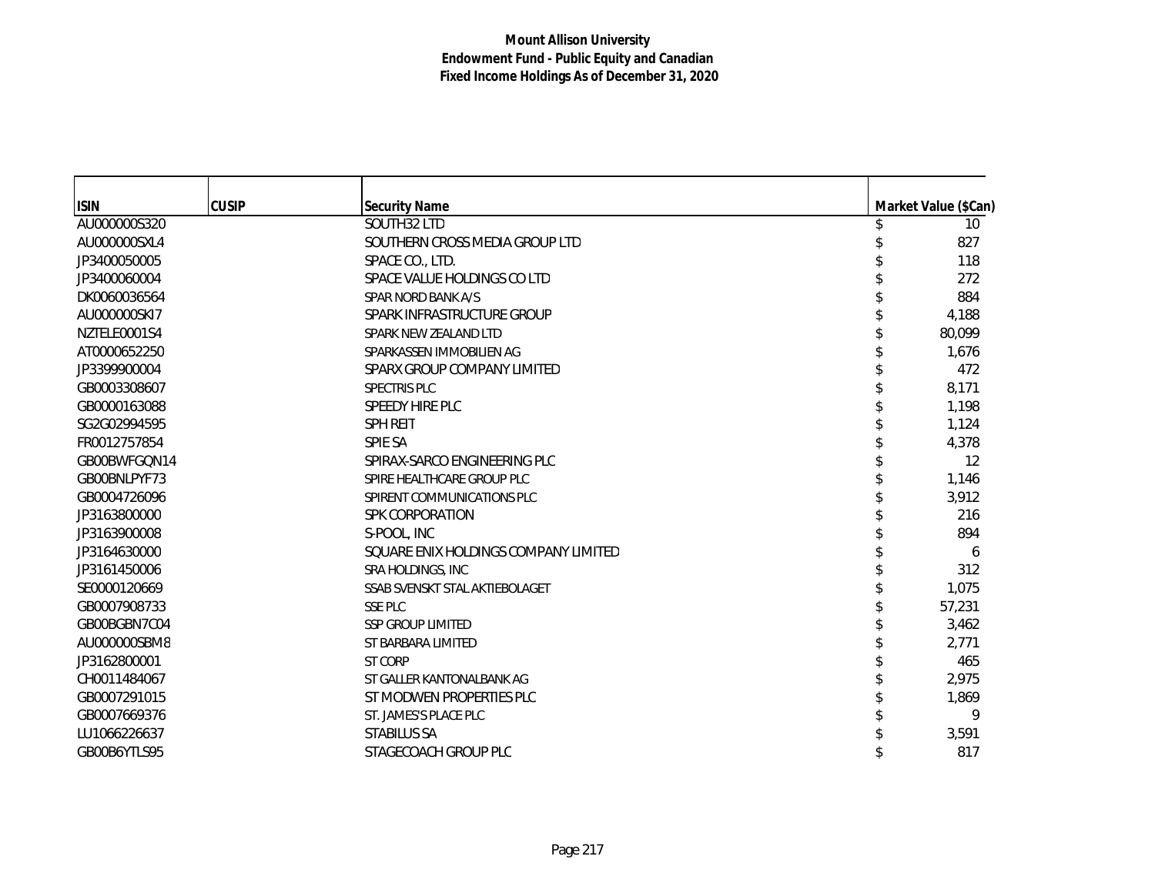| <b>ISIN</b>  | <b>CUSIP</b> | <b>Security Name</b>                 | Market Value (\$Can) |
|--------------|--------------|--------------------------------------|----------------------|
| AU000000S320 |              | SOUTH32 LTD                          | 10 <sup>°</sup>      |
| AU000000SXL4 |              | SOUTHERN CROSS MEDIA GROUP LTD       | 827                  |
| JP3400050005 |              | SPACE CO., LTD.                      | 118                  |
| JP3400060004 |              | SPACE VALUE HOLDINGS CO LTD          | 272                  |
| DK0060036564 |              | SPAR NORD BANK A/S                   | 884                  |
| AU000000SKI7 |              | SPARK INFRASTRUCTURE GROUP           | 4,188                |
| NZTELE0001S4 |              | SPARK NEW ZEALAND LTD                | 80,099               |
| AT0000652250 |              | SPARKASSEN IMMOBILIEN AG             | 1,676                |
| JP3399900004 |              | SPARX GROUP COMPANY LIMITED          | 472                  |
| GB0003308607 |              | <b>SPECTRIS PLC</b>                  | 8,171                |
| GB0000163088 |              | SPEEDY HIRE PLC                      | 1,198                |
| SG2G02994595 |              | <b>SPH REIT</b>                      | 1,124                |
| FR0012757854 |              | <b>SPIE SA</b>                       | 4,378                |
| GB00BWFGQN14 |              | SPIRAX-SARCO ENGINEERING PLC         | 12                   |
| GB00BNLPYF73 |              | SPIRE HEALTHCARE GROUP PLC           | 1,146                |
| GB0004726096 |              | SPIRENT COMMUNICATIONS PLC           | 3,912                |
| JP3163800000 |              | <b>SPK CORPORATION</b>               | 216                  |
| JP3163900008 |              | S-POOL, INC                          | 894                  |
| JP3164630000 |              | SOUARE ENIX HOLDINGS COMPANY LIMITED | 6                    |
| JP3161450006 |              | <b>SRA HOLDINGS, INC</b>             | 312                  |
| SE0000120669 |              | SSAB SVENSKT STAL AKTIEBOLAGET       | 1,075                |
| GB0007908733 |              | <b>SSE PLC</b>                       | 57,231               |
| GB00BGBN7C04 |              | <b>SSP GROUP LIMITED</b>             | 3,462                |
| AU000000SBM8 |              | ST BARBARA LIMITED                   | 2,771                |
| JP3162800001 |              | <b>ST CORP</b>                       | 465                  |
| CH0011484067 |              | ST GALLER KANTONALBANK AG            | 2,975                |
| GB0007291015 |              | ST MODWEN PROPERTIES PLC             | 1,869                |
| GB0007669376 |              | ST. JAMES'S PLACE PLC                | 9                    |
| LU1066226637 |              | <b>STABILUS SA</b>                   | 3,591                |
| GB00B6YTLS95 |              | STAGECOACH GROUP PLC                 | 817                  |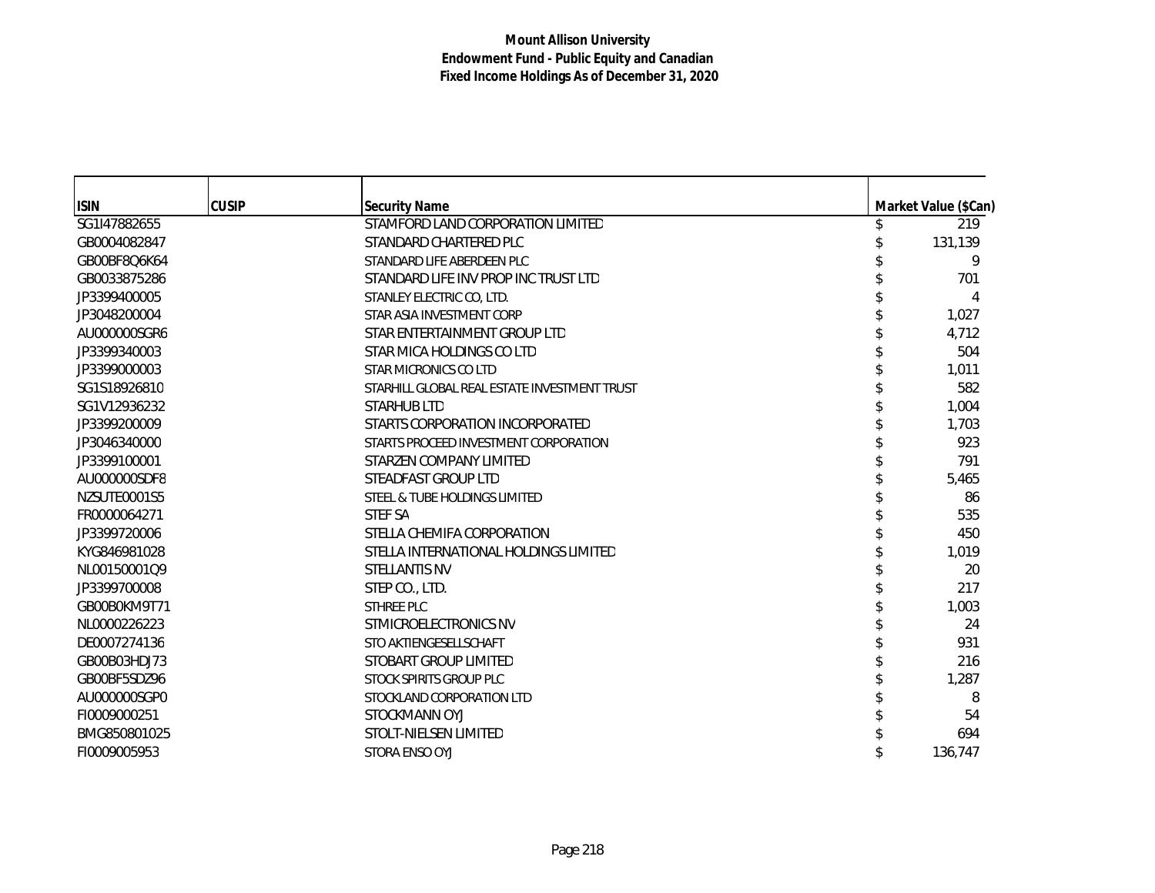| <b>ISIN</b>  | <b>CUSIP</b> | <b>Security Name</b>                         | Market Value (\$Can) |
|--------------|--------------|----------------------------------------------|----------------------|
| SG1I47882655 |              | STAMFORD LAND CORPORATION LIMITED            | 219                  |
| GB0004082847 |              | STANDARD CHARTERED PLC                       | 131,139              |
| GB00BF8Q6K64 |              | STANDARD LIFE ABERDEEN PLC                   | 9                    |
| GB0033875286 |              | STANDARD LIFE INV PROP INC TRUST LTD         | 701                  |
| JP3399400005 |              | STANLEY ELECTRIC CO, LTD.                    | 4                    |
| JP3048200004 |              | STAR ASIA INVESTMENT CORP                    | 1,027                |
| AU000000SGR6 |              | STAR ENTERTAINMENT GROUP LTD                 | 4,712                |
| JP3399340003 |              | STAR MICA HOLDINGS CO LTD                    | 504                  |
| JP3399000003 |              | STAR MICRONICS CO LTD                        | 1.011                |
| SG1S18926810 |              | STARHILL GLOBAL REAL ESTATE INVESTMENT TRUST | 582                  |
| SG1V12936232 |              | <b>STARHUB LTD</b>                           | 1,004                |
| JP3399200009 |              | STARTS CORPORATION INCORPORATED              | 1,703                |
| JP3046340000 |              | STARTS PROCEED INVESTMENT CORPORATION        | 923                  |
| JP3399100001 |              | STARZEN COMPANY LIMITED                      | 791                  |
| AU000000SDF8 |              | STEADFAST GROUP LTD                          | 5,465                |
| NZSUTE0001S5 |              | STEEL & TUBE HOLDINGS LIMITED                | 86                   |
| FR0000064271 |              | <b>STEF SA</b>                               | 535                  |
| JP3399720006 |              | STELLA CHEMIFA CORPORATION                   | 450                  |
| KYG846981028 |              | STELLA INTERNATIONAL HOLDINGS LIMITED        | 1,019                |
| NL00150001Q9 |              | STELLANTIS NV                                | 20                   |
| JP3399700008 |              | STEP CO., LTD.                               | 217                  |
| GB00B0KM9T71 |              | STHREE PLC                                   | 1,003                |
| NL0000226223 |              | STMICROELECTRONICS NV                        | 24                   |
| DE0007274136 |              | STO AKTIENGESELLSCHAFT                       | 931                  |
| GB00B03HDJ73 |              | STOBART GROUP LIMITED                        | 216                  |
| GB00BF5SDZ96 |              | STOCK SPIRITS GROUP PLC                      | 1,287                |
| AU000000SGP0 |              | STOCKLAND CORPORATION LTD                    | 8                    |
| FI0009000251 |              | STOCKMANN OYJ                                | 54                   |
| BMG850801025 |              | STOLT-NIELSEN LIMITED                        | 694                  |
| FI0009005953 |              | STORA ENSO OYJ                               | 136,747              |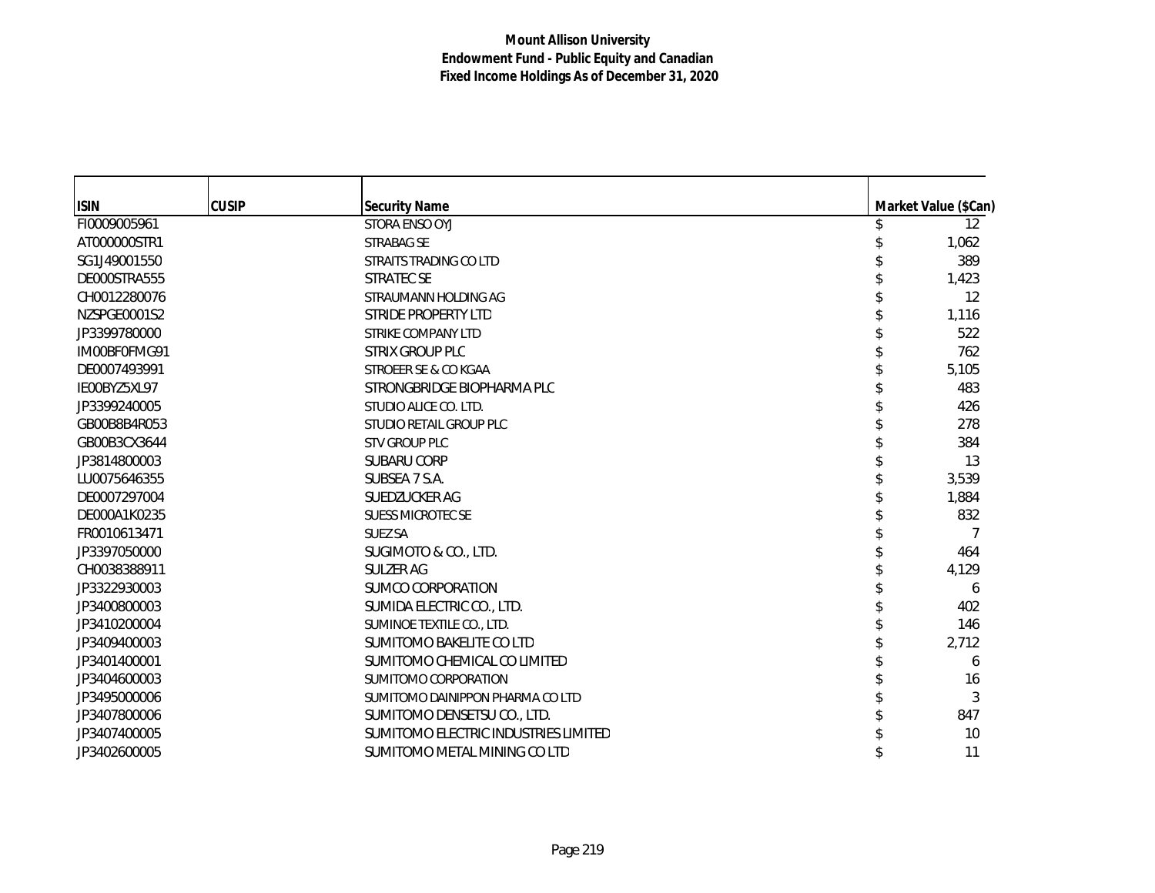| <b>ISIN</b>  | <b>CUSIP</b> | <b>Security Name</b>                 | Market Value (\$Can) |
|--------------|--------------|--------------------------------------|----------------------|
| FI0009005961 |              | STORA ENSO OYJ                       | $12 \overline{ }$    |
| AT000000STR1 |              | STRABAG SE                           | 1,062                |
| SG1J49001550 |              | STRAITS TRADING CO LTD               | 389                  |
| DE000STRA555 |              | <b>STRATEC SE</b>                    | 1,423                |
| CH0012280076 |              | STRAUMANN HOLDING AG                 | 12                   |
| NZSPGE0001S2 |              | STRIDE PROPERTY LTD                  | 1,116                |
| JP3399780000 |              | <b>STRIKE COMPANY LTD</b>            | 522                  |
| IM00BF0FMG91 |              | STRIX GROUP PLC                      | 762                  |
| DE0007493991 |              | STROEER SE & CO KGAA                 | 5,105                |
| IE00BYZ5XL97 |              | STRONGBRIDGE BIOPHARMA PLC           | 483                  |
| JP3399240005 |              | STUDIO ALICE CO. LTD.                | 426                  |
| GB00B8B4R053 |              | STUDIO RETAIL GROUP PLC              | 278                  |
| GB00B3CX3644 |              | <b>STV GROUP PLC</b>                 | 384                  |
| JP3814800003 |              | SUBARU CORP                          | 13                   |
| LU0075646355 |              | SUBSEA 7 S.A.                        | 3,539                |
| DE0007297004 |              | SUEDZUCKER AG                        | 1,884                |
| DE000A1K0235 |              | <b>SUESS MICROTEC SE</b>             | 832                  |
| FR0010613471 |              | <b>SUEZ SA</b>                       |                      |
| JP3397050000 |              | SUGIMOTO & CO., LTD.                 | 464                  |
| CH0038388911 |              | <b>SULZER AG</b>                     | 4,129                |
| JP3322930003 |              | SUMCO CORPORATION                    | 6                    |
| JP3400800003 |              | SUMIDA ELECTRIC CO., LTD.            | 402                  |
| JP3410200004 |              | SUMINOE TEXTILE CO., LTD.            | 146                  |
| JP3409400003 |              | SUMITOMO BAKELITE CO LTD             | 2,712                |
| JP3401400001 |              | SUMITOMO CHEMICAL CO LIMITED         | 6                    |
| JP3404600003 |              | SUMITOMO CORPORATION                 | 16                   |
| JP3495000006 |              | SUMITOMO DAINIPPON PHARMA CO LTD     | 3                    |
| JP3407800006 |              | SUMITOMO DENSETSU CO., LTD.          | 847                  |
| JP3407400005 |              | SUMITOMO ELECTRIC INDUSTRIES LIMITED | 10                   |
| JP3402600005 |              | SUMITOMO METAL MINING CO LTD         | 11                   |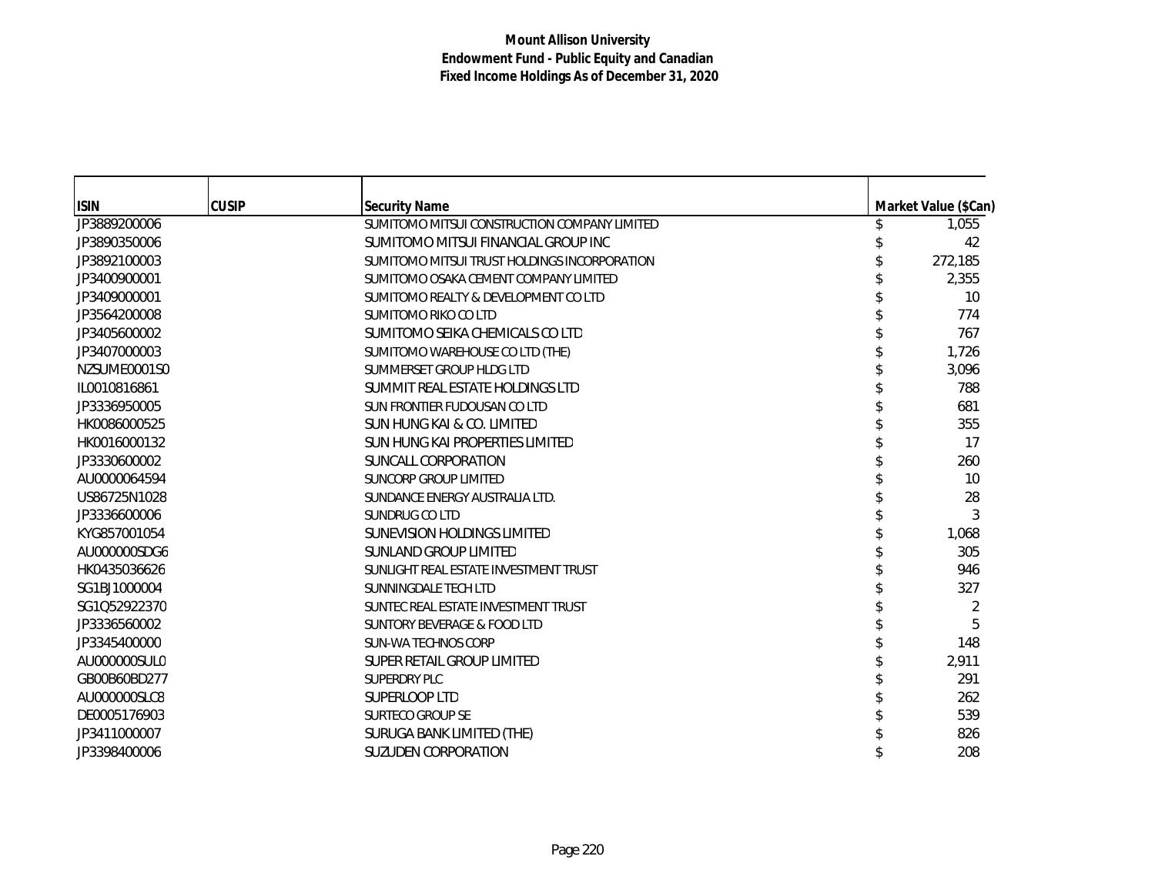| <b>ISIN</b>  | <b>CUSIP</b> | <b>Security Name</b>                         | Market Value (\$Can) |
|--------------|--------------|----------------------------------------------|----------------------|
| JP3889200006 |              | SUMITOMO MITSUI CONSTRUCTION COMPANY LIMITED | 1,055                |
| JP3890350006 |              | SUMITOMO MITSUI FINANCIAL GROUP INC          | 42                   |
| JP3892100003 |              | SUMITOMO MITSUI TRUST HOLDINGS INCORPORATION | 272,185              |
| JP3400900001 |              | SUMITOMO OSAKA CEMENT COMPANY LIMITED        | 2,355                |
| JP3409000001 |              | SUMITOMO REALTY & DEVELOPMENT CO LTD         | 10                   |
| JP3564200008 |              | SUMITOMO RIKO CO LTD                         | 774                  |
| JP3405600002 |              | SUMITOMO SEIKA CHEMICALS CO LTD              | 767                  |
| JP3407000003 |              | SUMITOMO WAREHOUSE CO LTD (THE)              | 1,726                |
| NZSUME0001S0 |              | SUMMERSET GROUP HLDG LTD                     | 3,096                |
| IL0010816861 |              | SUMMIT REAL ESTATE HOLDINGS LTD              | 788                  |
| JP3336950005 |              | SUN FRONTIER FUDOUSAN CO LTD                 | 681                  |
| HK0086000525 |              | <b>SUN HUNG KAI &amp; CO. LIMITED</b>        | 355                  |
| HK0016000132 |              | SUN HUNG KAI PROPERTIES LIMITED              | 17                   |
| JP3330600002 |              | SUNCALL CORPORATION                          | 260                  |
| AU0000064594 |              | <b>SUNCORP GROUP LIMITED</b>                 | 10                   |
| US86725N1028 |              | SUNDANCE ENERGY AUSTRALIA LTD.               | 28                   |
| JP3336600006 |              | SUNDRUG CO LTD                               | 3                    |
| KYG857001054 |              | SUNEVISION HOLDINGS LIMITED                  | 1,068                |
| AU000000SDG6 |              | <b>SUNLAND GROUP LIMITED</b>                 | 305                  |
| HK0435036626 |              | SUNLIGHT REAL ESTATE INVESTMENT TRUST        | 946                  |
| SG1BJ1000004 |              | SUNNINGDALE TECH LTD                         | 327                  |
| SG1Q52922370 |              | SUNTEC REAL ESTATE INVESTMENT TRUST          | 2                    |
| JP3336560002 |              | SUNTORY BEVERAGE & FOOD LTD                  | 5                    |
| JP3345400000 |              | <b>SUN-WA TECHNOS CORP</b>                   | 148                  |
| AU000000SUL0 |              | SUPER RETAIL GROUP LIMITED                   | 2,911                |
| GB00B60BD277 |              | SUPERDRY PLC                                 | 291                  |
| AU000000SLC8 |              | SUPERLOOP LTD                                | 262                  |
| DE0005176903 |              | <b>SURTECO GROUP SE</b>                      | 539                  |
| JP3411000007 |              | SURUGA BANK LIMITED (THE)                    | 826                  |
| JP3398400006 |              | <b>SUZUDEN CORPORATION</b>                   | 208                  |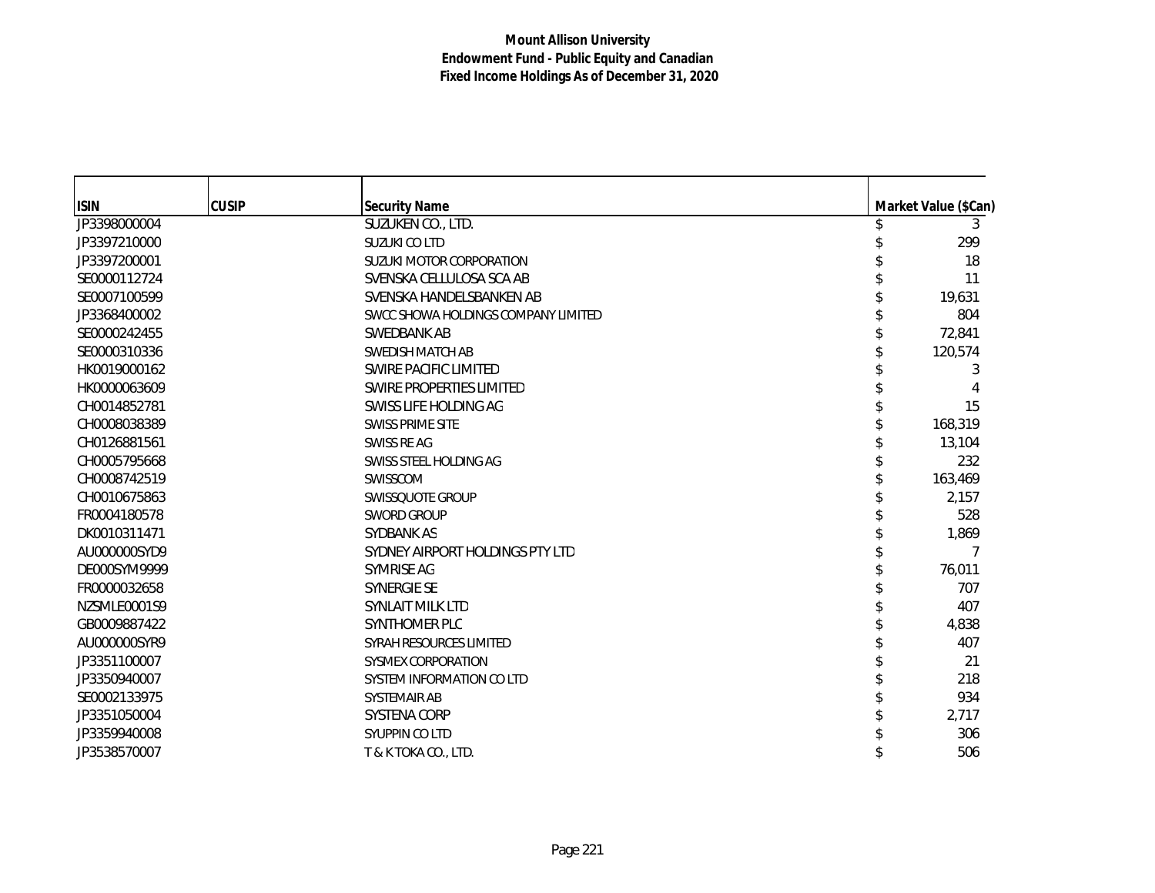| <b>ISIN</b>  | <b>CUSIP</b> | <b>Security Name</b>                | Market Value (\$Can) |
|--------------|--------------|-------------------------------------|----------------------|
| JP3398000004 |              | SUZUKEN CO., LTD.                   | 3                    |
| JP3397210000 |              | SUZUKI CO LTD                       | 299                  |
| JP3397200001 |              | SUZUKI MOTOR CORPORATION            | 18                   |
| SE0000112724 |              | SVENSKA CELLULOSA SCA AB            | 11                   |
| SE0007100599 |              | SVENSKA HANDELSBANKEN AB            | 19,631               |
| JP3368400002 |              | SWCC SHOWA HOLDINGS COMPANY LIMITED | 804                  |
| SE0000242455 |              | SWEDBANK AB                         | 72,841               |
| SE0000310336 |              | SWEDISH MATCH AB                    | 120,574              |
| HK0019000162 |              | SWIRE PACIFIC LIMITED               | 3                    |
| HK0000063609 |              | SWIRE PROPERTIES LIMITED            |                      |
| CH0014852781 |              | SWISS LIFE HOLDING AG               | 15                   |
| CH0008038389 |              | <b>SWISS PRIME SITE</b>             | 168,319              |
| CH0126881561 |              | SWISS RE AG                         | 13,104               |
| CH0005795668 |              | SWISS STEEL HOLDING AG              | 232                  |
| CH0008742519 |              | SWISSCOM                            | 163,469              |
| CH0010675863 |              | SWISSQUOTE GROUP                    | 2,157                |
| FR0004180578 |              | <b>SWORD GROUP</b>                  | 528                  |
| DK0010311471 |              | SYDBANK AS                          | 1,869                |
| AU000000SYD9 |              | SYDNEY AIRPORT HOLDINGS PTY LTD     |                      |
| DE000SYM9999 |              | SYMRISE AG                          | 76,011               |
| FR0000032658 |              | SYNERGIE SE                         | 707                  |
| NZSMLE0001S9 |              | <b>SYNLAIT MILK LTD</b>             | 407                  |
| GB0009887422 |              | SYNTHOMER PLC                       | 4,838                |
| AU000000SYR9 |              | SYRAH RESOURCES LIMITED             | 407                  |
| JP3351100007 |              | SYSMEX CORPORATION                  | 21                   |
| JP3350940007 |              | SYSTEM INFORMATION CO LTD           | 218                  |
| SE0002133975 |              | SYSTEMAIR AB                        | 934                  |
| JP3351050004 |              | <b>SYSTENA CORP</b>                 | 2,717                |
| JP3359940008 |              | SYUPPIN CO LTD                      | 306                  |
| JP3538570007 |              | T & K TOKA CO., LTD.                | 506                  |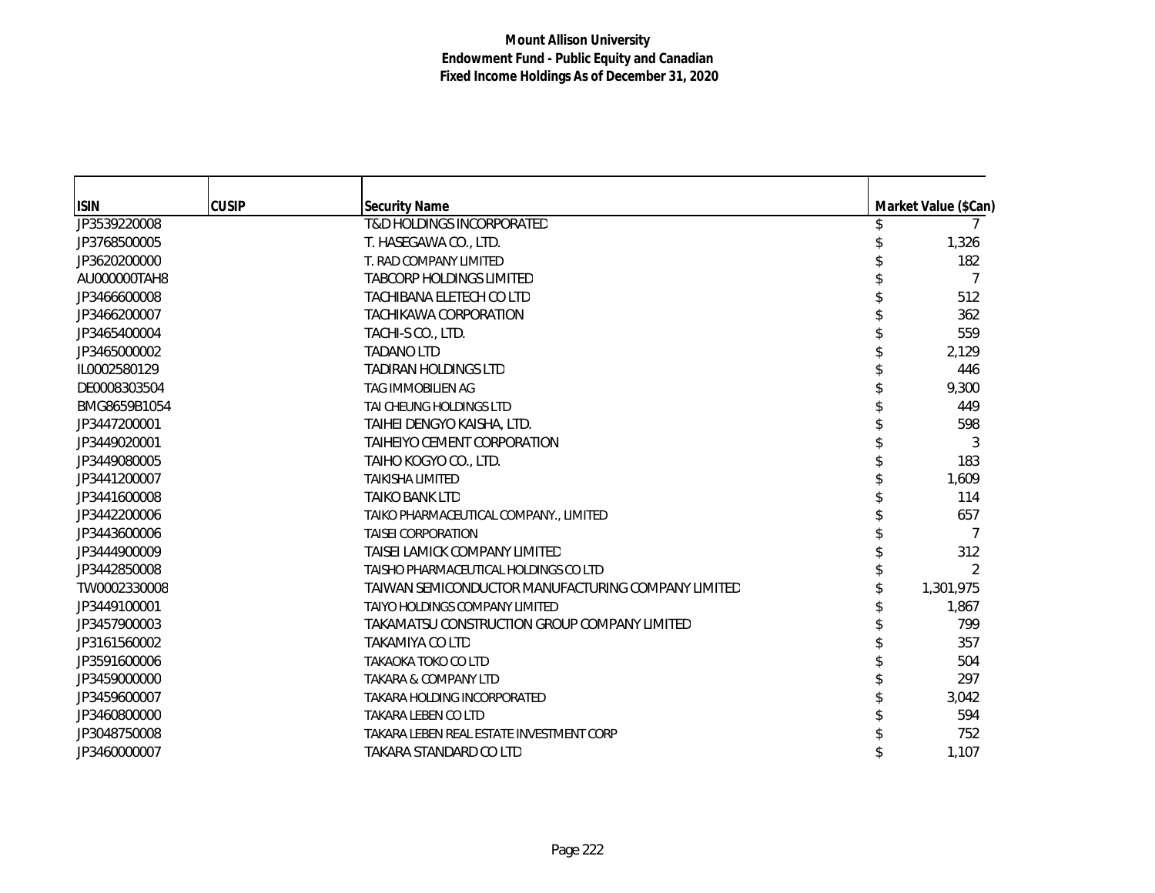| <b>ISIN</b>  | <b>CUSIP</b> | <b>Security Name</b>                               | Market Value (\$Can) |
|--------------|--------------|----------------------------------------------------|----------------------|
| JP3539220008 |              | <b>T&amp;D HOLDINGS INCORPORATED</b>               |                      |
| JP3768500005 |              | T. HASEGAWA CO., LTD.                              | 1,326                |
| JP3620200000 |              | T. RAD COMPANY LIMITED                             | 182                  |
| AU000000TAH8 |              | <b>TABCORP HOLDINGS LIMITED</b>                    | 7                    |
| JP3466600008 |              | <b>TACHIBANA ELETECH CO LTD</b>                    | 512                  |
| JP3466200007 |              | <b>TACHIKAWA CORPORATION</b>                       | 362                  |
| JP3465400004 |              | TACHI-S CO., LTD.                                  | 559                  |
| JP3465000002 |              | <b>TADANO LTD</b>                                  | 2,129                |
| IL0002580129 |              | <b>TADIRAN HOLDINGS LTD</b>                        | 446                  |
| DE0008303504 |              | TAG IMMOBILIEN AG                                  | 9,300                |
| BMG8659B1054 |              | TAI CHEUNG HOLDINGS LTD                            | 449                  |
| JP3447200001 |              | TAIHEI DENGYO KAISHA, LTD.                         | 598                  |
| JP3449020001 |              | TAIHEIYO CEMENT CORPORATION                        | 3                    |
| JP3449080005 |              | TAIHO KOGYO CO., LTD.                              | 183                  |
| JP3441200007 |              | <b>TAIKISHA LIMITED</b>                            | 1,609                |
| JP3441600008 |              | TAIKO BANK LTD                                     | 114                  |
| JP3442200006 |              | TAIKO PHARMACEUTICAL COMPANY., LIMITED             | 657                  |
| JP3443600006 |              | <b>TAISEI CORPORATION</b>                          | 7                    |
| JP3444900009 |              | TAISEI LAMICK COMPANY LIMITED                      | 312                  |
| JP3442850008 |              | TAISHO PHARMACEUTICAL HOLDINGS CO LTD              | 2                    |
| TW0002330008 |              | TAIWAN SEMICONDUCTOR MANUFACTURING COMPANY LIMITED | 1,301,975            |
| JP3449100001 |              | TAIYO HOLDINGS COMPANY LIMITED                     | 1,867                |
| JP3457900003 |              | TAKAMATSU CONSTRUCTION GROUP COMPANY LIMITED       | 799                  |
| JP3161560002 |              | TAKAMIYA CO LTD                                    | 357                  |
| JP3591600006 |              | TAKAOKA TOKO CO LTD                                | 504                  |
| JP3459000000 |              | <b>TAKARA &amp; COMPANY LTD</b>                    | 297                  |
| JP3459600007 |              | TAKARA HOLDING INCORPORATED                        | 3,042                |
| JP3460800000 |              | <b>TAKARA LEBEN CO LTD</b>                         | 594                  |
| JP3048750008 |              | TAKARA LEBEN REAL ESTATE INVESTMENT CORP           | 752                  |
| JP3460000007 |              | TAKARA STANDARD CO LTD                             | 1,107                |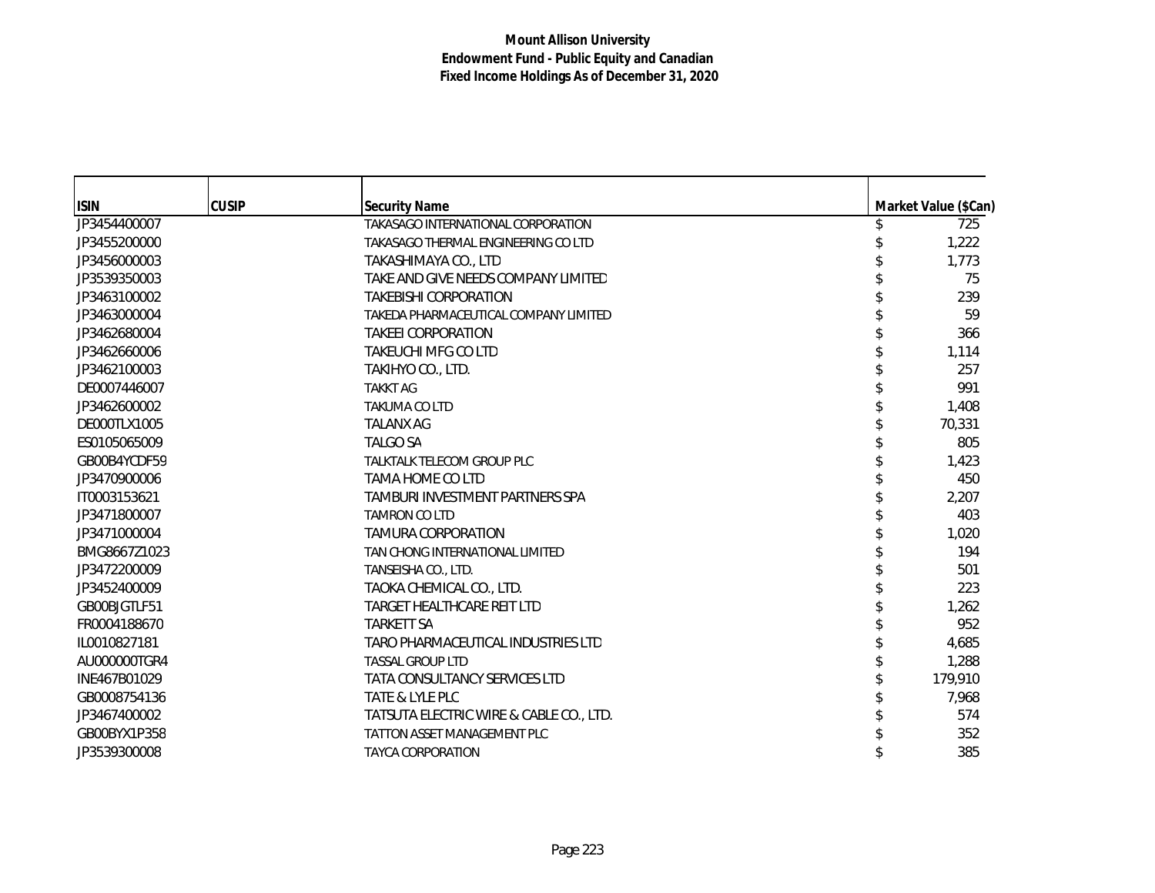| <b>ISIN</b>  | <b>CUSIP</b> | <b>Security Name</b>                    | Market Value (\$Can) |
|--------------|--------------|-----------------------------------------|----------------------|
| JP3454400007 |              | TAKASAGO INTERNATIONAL CORPORATION      | 725                  |
| JP3455200000 |              | TAKASAGO THERMAL ENGINEERING CO LTD     | 1,222                |
| JP3456000003 |              | TAKASHIMAYA CO., LTD                    | 1,773                |
| JP3539350003 |              | TAKE AND GIVE NEEDS COMPANY LIMITED     | 75                   |
| JP3463100002 |              | <b>TAKEBISHI CORPORATION</b>            | 239                  |
| JP3463000004 |              | TAKEDA PHARMACEUTICAL COMPANY LIMITED   | 59                   |
| JP3462680004 |              | <b>TAKEEI CORPORATION</b>               | 366                  |
| JP3462660006 |              | TAKEUCHI MFG CO LTD                     | 1,114                |
| JP3462100003 |              | TAKIHYO CO., LTD.                       | 257                  |
| DE0007446007 |              | <b>TAKKT AG</b>                         | 991                  |
| JP3462600002 |              | <b>TAKUMA CO LTD</b>                    | 1,408                |
| DE000TLX1005 |              | <b>TALANX AG</b>                        | 70,331               |
| ES0105065009 |              | <b>TALGO SA</b>                         | 805                  |
| GB00B4YCDF59 |              | TALKTALK TELECOM GROUP PLC              | 1,423                |
| JP3470900006 |              | TAMA HOME CO LTD                        | 450                  |
| IT0003153621 |              | TAMBURI INVESTMENT PARTNERS SPA         | 2,207                |
| JP3471800007 |              | <b>TAMRON CO LTD</b>                    | 403                  |
| JP3471000004 |              | <b>TAMURA CORPORATION</b>               | 1,020                |
| BMG8667Z1023 |              | TAN CHONG INTERNATIONAL LIMITED         | 194                  |
| JP3472200009 |              | TANSEISHA CO., LTD.                     | 501                  |
| JP3452400009 |              | TAOKA CHEMICAL CO., LTD.                | 223                  |
| GB00BJGTLF51 |              | <b>TARGET HEALTHCARE REIT LTD</b>       | 1,262                |
| FR0004188670 |              | <b>TARKETT SA</b>                       | 952                  |
| IL0010827181 |              | TARO PHARMACEUTICAL INDUSTRIES LTD      | 4,685                |
| AU000000TGR4 |              | <b>TASSAL GROUP LTD</b>                 | 1,288                |
| INE467B01029 |              | <b>TATA CONSULTANCY SERVICES LTD</b>    | 179,910              |
| GB0008754136 |              | TATE & LYLE PLC                         | 7,968                |
| JP3467400002 |              | TATSUTA ELECTRIC WIRE & CABLE CO., LTD. | 574                  |
| GB00BYX1P358 |              | <b>TATTON ASSET MANAGEMENT PLC</b>      | 352                  |
| JP3539300008 |              | <b>TAYCA CORPORATION</b>                | 385                  |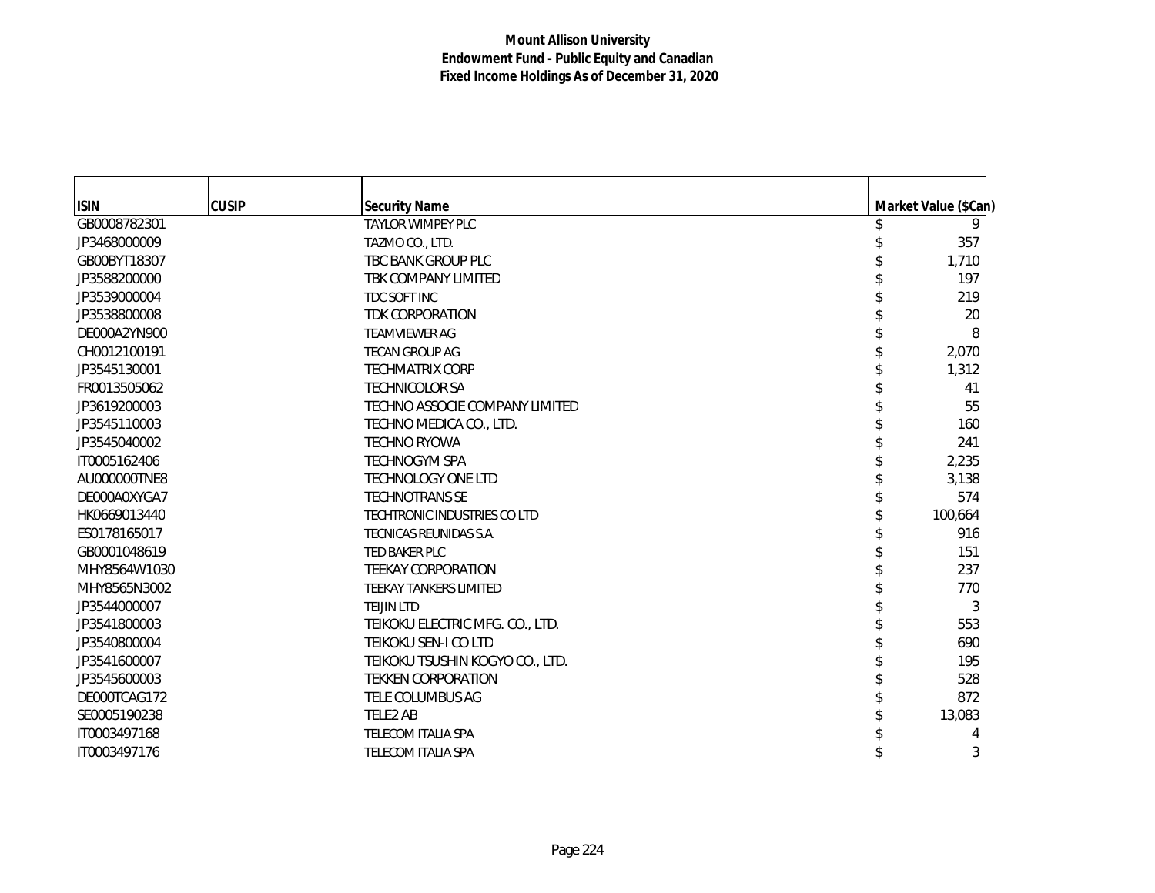| <b>ISIN</b><br>GB0008782301 | <b>CUSIP</b> | <b>Security Name</b><br>TAYLOR WIMPEY PLC | Market Value (\$Can)<br>9 |
|-----------------------------|--------------|-------------------------------------------|---------------------------|
|                             |              |                                           |                           |
| JP3468000009                |              | TAZMO CO., LTD.                           | 357                       |
| GB00BYT18307                |              | TBC BANK GROUP PLC                        | 1,710                     |
| JP3588200000                |              | TBK COMPANY LIMITED                       | 197                       |
| JP3539000004                |              | TDC SOFT INC                              | 219                       |
| JP3538800008                |              | TDK CORPORATION                           | 20                        |
| DE000A2YN900                |              | <b>TEAMVIEWER AG</b>                      | 8                         |
| CH0012100191                |              | <b>TECAN GROUP AG</b>                     | 2,070                     |
| JP3545130001                |              | <b>TECHMATRIX CORP</b>                    | 1,312                     |
| FR0013505062                |              | <b>TECHNICOLOR SA</b>                     | 41                        |
| JP3619200003                |              | TECHNO ASSOCIE COMPANY LIMITED            | 55                        |
| JP3545110003                |              | TECHNO MEDICA CO., LTD.                   | 160                       |
| JP3545040002                |              | <b>TECHNO RYOWA</b>                       | 241                       |
| IT0005162406                |              | <b>TECHNOGYM SPA</b>                      | 2,235                     |
| AU000000TNE8                |              | TECHNOLOGY ONE LTD                        | 3,138                     |
| DE000A0XYGA7                |              | <b>TECHNOTRANS SE</b>                     | 574                       |
| HK0669013440                |              | TECHTRONIC INDUSTRIES COLTD               | 100,664                   |
| ES0178165017                |              | TECNICAS REUNIDAS S.A.                    | 916                       |
| GB0001048619                |              | TED BAKER PLC                             | 151                       |
| MHY8564W1030                |              | <b>TEEKAY CORPORATION</b>                 | 237                       |
| MHY8565N3002                |              | TEEKAY TANKERS LIMITED                    | 770                       |
| JP3544000007                |              | <b>TEIJIN LTD</b>                         | 3                         |
| JP3541800003                |              | TEIKOKU ELECTRIC MFG. CO., LTD.           | 553                       |
| JP3540800004                |              | TEIKOKU SEN-I CO LTD                      | 690                       |
| JP3541600007                |              | TEIKOKU TSUSHIN KOGYO CO., LTD.           | 195                       |
| JP3545600003                |              | <b>TEKKEN CORPORATION</b>                 | 528                       |
| DE000TCAG172                |              | TELE COLUMBUS AG                          | 872                       |
| SE0005190238                |              | TELE2 AB                                  | 13,083                    |
| IT0003497168                |              | TELECOM ITALIA SPA                        | 4                         |
| IT0003497176                |              | <b>TELECOM ITALIA SPA</b>                 | 3                         |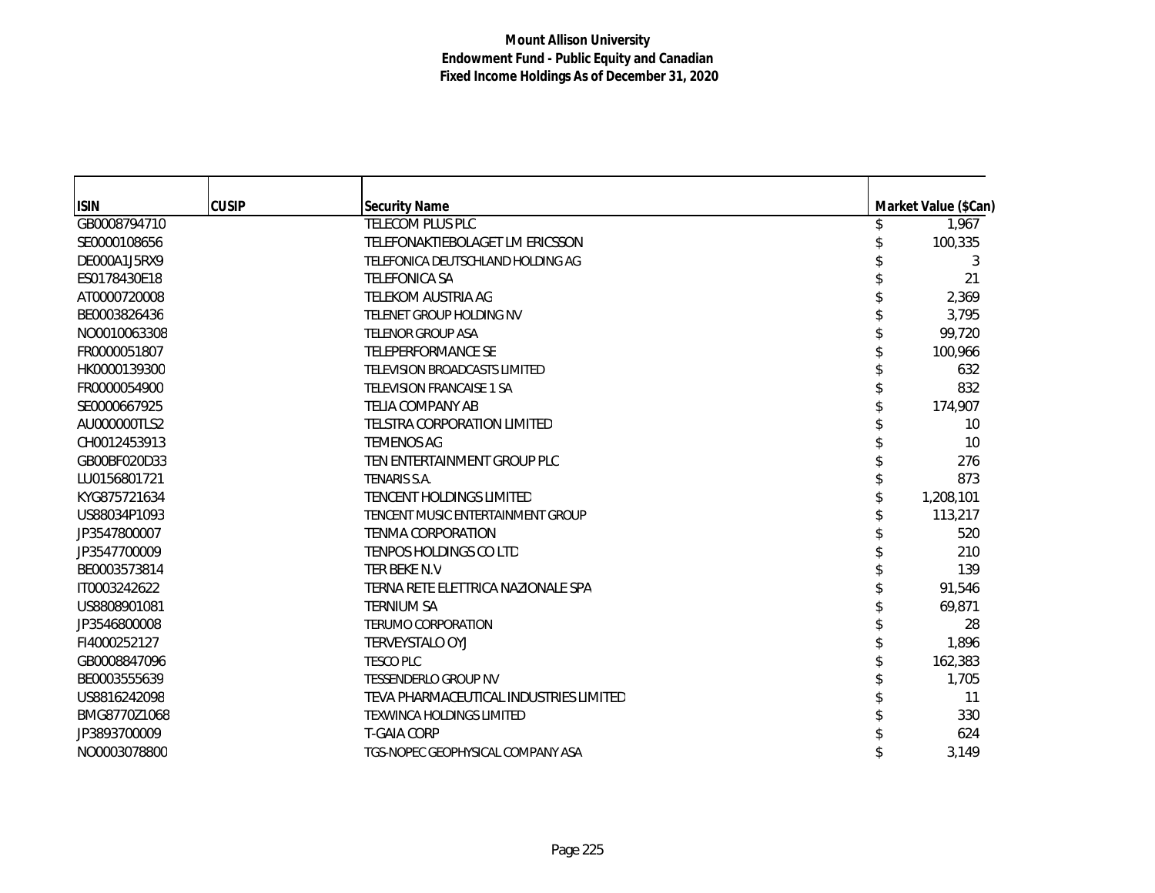| <b>ISIN</b>  | <b>CUSIP</b> | <b>Security Name</b><br>TELECOM PLUS PLC | Market Value (\$Can) |
|--------------|--------------|------------------------------------------|----------------------|
| GB0008794710 |              |                                          | 1,967                |
| SE0000108656 |              | TELEFONAKTIEBOLAGET LM ERICSSON          | 100,335              |
| DE000A1J5RX9 |              | TELEFONICA DEUTSCHLAND HOLDING AG        | 3                    |
| ES0178430E18 |              | <b>TELEFONICA SA</b>                     | 21                   |
| AT0000720008 |              | TELEKOM AUSTRIA AG                       | 2,369                |
| BE0003826436 |              | TELENET GROUP HOLDING NV                 | 3,795                |
| NO0010063308 |              | <b>TELENOR GROUP ASA</b>                 | 99,720               |
| FR0000051807 |              | TELEPERFORMANCE SE                       | 100,966              |
| HK0000139300 |              | TELEVISION BROADCASTS LIMITED            | 632                  |
| FR0000054900 |              | <b>TELEVISION FRANCAISE 1 SA</b>         | 832                  |
| SE0000667925 |              | TELIA COMPANY AB                         | 174,907              |
| AU000000TLS2 |              | TELSTRA CORPORATION LIMITED              | 10                   |
| CH0012453913 |              | <b>TEMENOS AG</b>                        | 10                   |
| GB00BF020D33 |              | TEN ENTERTAINMENT GROUP PLC              | 276                  |
| LU0156801721 |              | TENARIS S.A.                             | 873                  |
| KYG875721634 |              | <b>TENCENT HOLDINGS LIMITED</b>          | 1,208,101            |
| US88034P1093 |              | TENCENT MUSIC ENTERTAINMENT GROUP        | 113,217              |
| JP3547800007 |              | <b>TENMA CORPORATION</b>                 | 520                  |
| JP3547700009 |              | <b>TENPOS HOLDINGS CO LTD</b>            | 210                  |
| BE0003573814 |              | TER BEKE N.V                             | 139                  |
| IT0003242622 |              | TERNA RETE ELETTRICA NAZIONALE SPA       | 91,546               |
| US8808901081 |              | <b>TERNIUM SA</b>                        | 69,871               |
| JP3546800008 |              | <b>TERUMO CORPORATION</b>                | 28                   |
| FI4000252127 |              | TERVEYSTALO OYJ                          | 1,896                |
| GB0008847096 |              | <b>TESCO PLC</b>                         | 162,383              |
| BE0003555639 |              | <b>TESSENDERLO GROUP NV</b>              | 1,705                |
| US8816242098 |              | TEVA PHARMACEUTICAL INDUSTRIES LIMITED   | 11                   |
| BMG8770Z1068 |              | <b>TEXWINCA HOLDINGS LIMITED</b>         | 330                  |
| JP3893700009 |              | <b>T-GAIA CORP</b>                       | 624                  |
| NO0003078800 |              | TGS-NOPEC GEOPHYSICAL COMPANY ASA        | 3.149                |
|              |              |                                          |                      |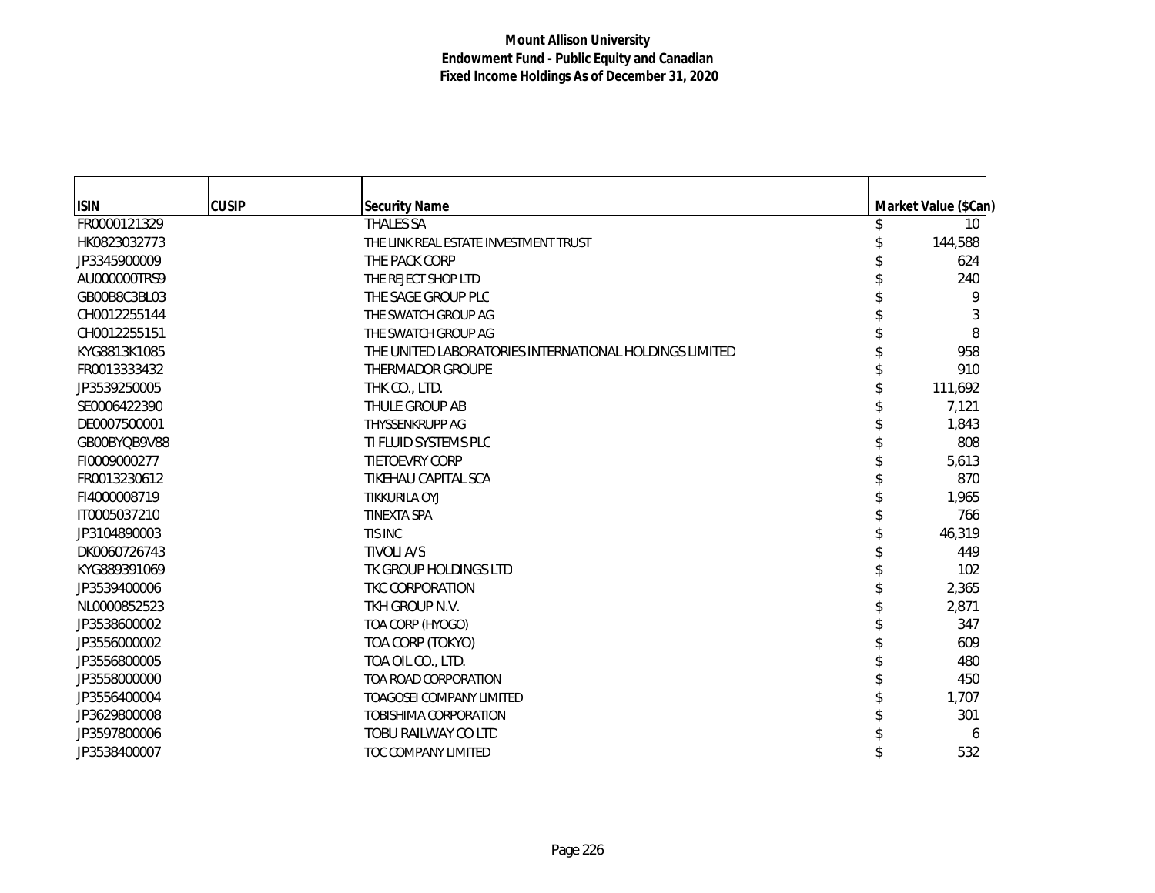| <b>ISIN</b>  | <b>CUSIP</b> | <b>Security Name</b>                                   | Market Value (\$Can) |
|--------------|--------------|--------------------------------------------------------|----------------------|
| FR0000121329 |              | <b>THALES SA</b>                                       | 10                   |
| HK0823032773 |              | THE LINK REAL ESTATE INVESTMENT TRUST                  | 144,588              |
| JP3345900009 |              | THE PACK CORP                                          | 624                  |
| AU000000TRS9 |              | THE REJECT SHOP LTD                                    | 240                  |
| GB00B8C3BL03 |              | THE SAGE GROUP PLC                                     | 9                    |
| CH0012255144 |              | THE SWATCH GROUP AG                                    | 3                    |
| CH0012255151 |              | THE SWATCH GROUP AG                                    | 8                    |
| KYG8813K1085 |              | THE UNITED LABORATORIES INTERNATIONAL HOLDINGS LIMITED | 958                  |
| FR0013333432 |              | <b>THERMADOR GROUPE</b>                                | 910                  |
| JP3539250005 |              | THK CO., LTD.                                          | 111,692              |
| SE0006422390 |              | THULE GROUP AB                                         | 7,121                |
| DE0007500001 |              | THYSSENKRUPP AG                                        | 1,843                |
| GB00BYQB9V88 |              | TI FLUID SYSTEMS PLC                                   | 808                  |
| FI0009000277 |              | <b>TIETOEVRY CORP</b>                                  | 5,613                |
| FR0013230612 |              | TIKEHAU CAPITAL SCA                                    | 870                  |
| FI4000008719 |              | TIKKURILA OYJ                                          | 1,965                |
| IT0005037210 |              | <b>TINEXTA SPA</b>                                     | 766                  |
| JP3104890003 |              | TIS INC                                                | 46,319               |
| DK0060726743 |              | <b>TIVOLI A/S</b>                                      | 449                  |
| KYG889391069 |              | TK GROUP HOLDINGS LTD                                  | 102                  |
| JP3539400006 |              | TKC CORPORATION                                        | 2,365                |
| NL0000852523 |              | TKH GROUP N.V.                                         | 2,871                |
| JP3538600002 |              | TOA CORP (HYOGO)                                       | 347                  |
| JP3556000002 |              | TOA CORP (TOKYO)                                       | 609                  |
| JP3556800005 |              | TOA OIL CO., LTD.                                      | 480                  |
| JP3558000000 |              | TOA ROAD CORPORATION                                   | 450                  |
| JP3556400004 |              | <b>TOAGOSEI COMPANY LIMITED</b>                        | 1,707                |
| JP3629800008 |              | TOBISHIMA CORPORATION                                  | 301                  |
| JP3597800006 |              | TOBU RAILWAY CO LTD                                    | 6                    |
| JP3538400007 |              | TOC COMPANY LIMITED                                    | 532                  |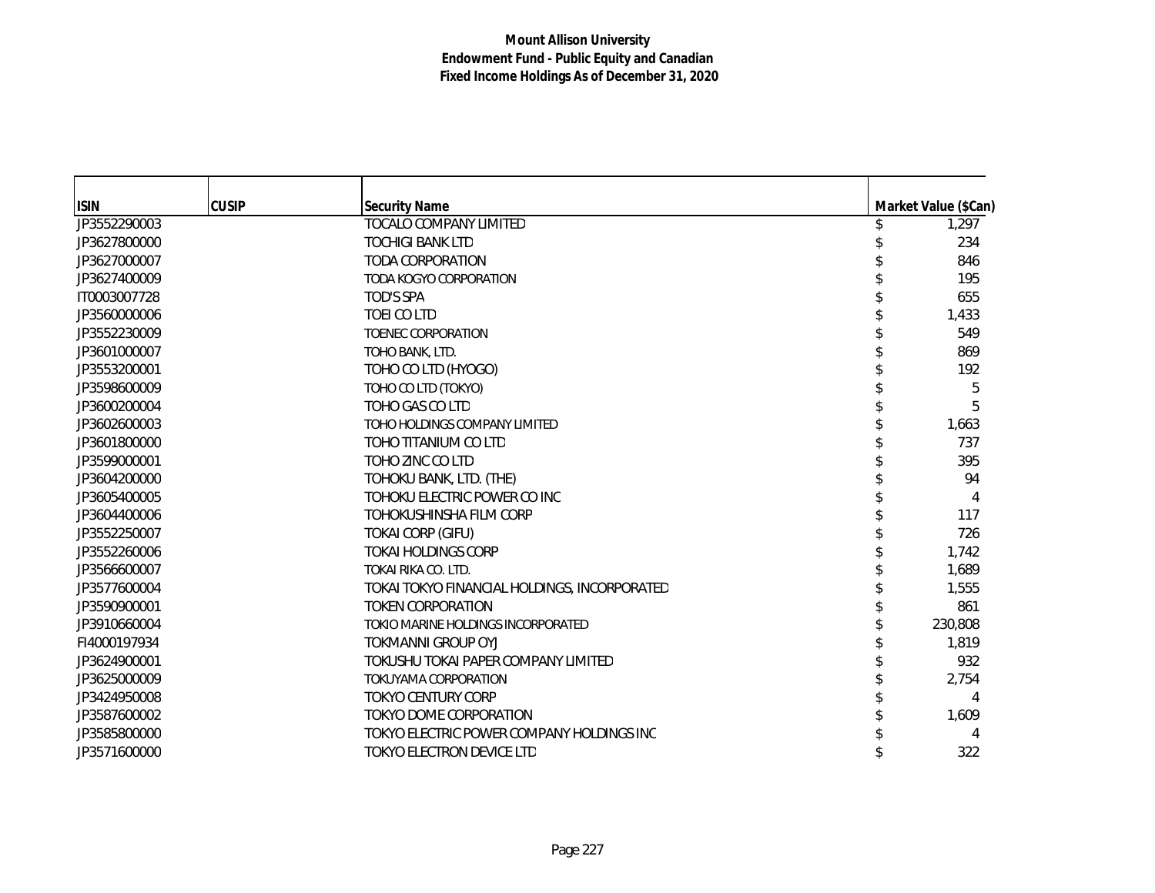| <b>ISIN</b>  | <b>CUSIP</b> | <b>Security Name</b>                         | Market Value (\$Can) |
|--------------|--------------|----------------------------------------------|----------------------|
| JP3552290003 |              | <b>TOCALO COMPANY LIMITED</b>                | 1,297                |
| JP3627800000 |              | <b>TOCHIGI BANK LTD</b>                      | 234                  |
| JP3627000007 |              | <b>TODA CORPORATION</b>                      | 846                  |
| JP3627400009 |              | TODA KOGYO CORPORATION                       | 195                  |
| IT0003007728 |              | TOD'S SPA                                    | 655                  |
| JP3560000006 |              | <b>TOEI CO LTD</b>                           | 1,433                |
| JP3552230009 |              | <b>TOENEC CORPORATION</b>                    | 549                  |
| JP3601000007 |              | TOHO BANK, LTD.                              | 869                  |
| JP3553200001 |              | TOHO CO LTD (HYOGO)                          | 192                  |
| JP3598600009 |              | TOHO CO LTD (TOKYO)                          | 5                    |
| JP3600200004 |              | TOHO GAS CO LTD                              | 5                    |
| JP3602600003 |              | TOHO HOLDINGS COMPANY LIMITED                | 1,663                |
| JP3601800000 |              | TOHO TITANIUM CO LTD                         | 737                  |
| JP3599000001 |              | TOHO ZINC CO LTD                             | 395                  |
| JP3604200000 |              | TOHOKU BANK, LTD. (THE)                      | 94                   |
| JP3605400005 |              | TOHOKU ELECTRIC POWER CO INC                 | 4                    |
| JP3604400006 |              | TOHOKUSHINSHA FILM CORP                      | 117                  |
| JP3552250007 |              | <b>TOKAI CORP (GIFU)</b>                     | 726                  |
| JP3552260006 |              | <b>TOKAI HOLDINGS CORP</b>                   | 1,742                |
| JP3566600007 |              | TOKAI RIKA CO. LTD.                          | 1,689                |
| JP3577600004 |              | TOKAI TOKYO FINANCIAL HOLDINGS, INCORPORATED | 1,555                |
| JP3590900001 |              | <b>TOKEN CORPORATION</b>                     | 861                  |
| JP3910660004 |              | TOKIO MARINE HOLDINGS INCORPORATED           | 230,808              |
| FI4000197934 |              | <b>TOKMANNI GROUP OYJ</b>                    | 1,819                |
| JP3624900001 |              | TOKUSHU TOKAI PAPER COMPANY LIMITED          | 932                  |
| JP3625000009 |              | TOKUYAMA CORPORATION                         | 2,754                |
| JP3424950008 |              | <b>TOKYO CENTURY CORP</b>                    | 4                    |
| JP3587600002 |              | TOKYO DOME CORPORATION                       | 1,609                |
| JP3585800000 |              | TOKYO ELECTRIC POWER COMPANY HOLDINGS INC    |                      |
| JP3571600000 |              | TOKYO ELECTRON DEVICE LTD                    | 322                  |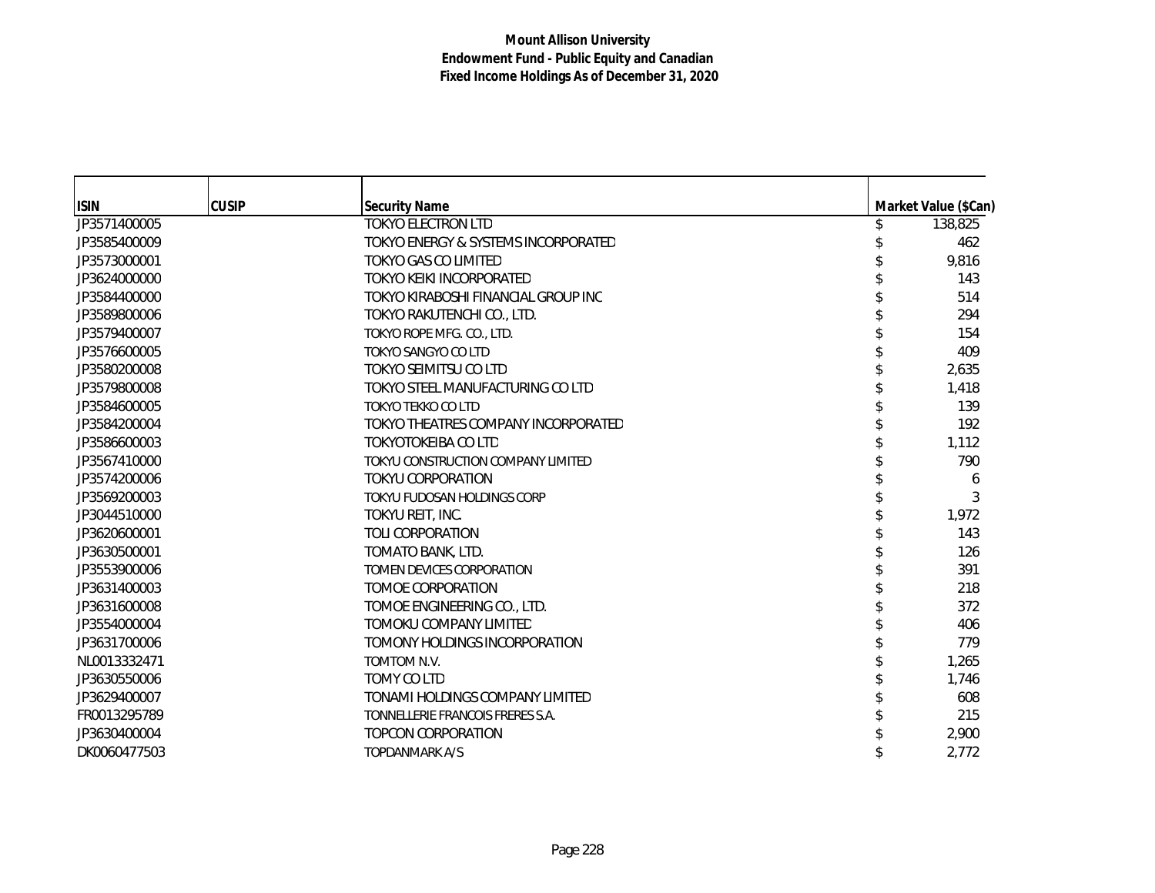| <b>ISIN</b>  | <b>CUSIP</b> | <b>Security Name</b>                           | Market Value (\$Can) |
|--------------|--------------|------------------------------------------------|----------------------|
| JP3571400005 |              | <b>TOKYO ELECTRON LTD</b>                      | 138,825              |
| JP3585400009 |              | <b>TOKYO ENERGY &amp; SYSTEMS INCORPORATED</b> | 462                  |
| JP3573000001 |              | TOKYO GAS CO LIMITED                           | 9,816                |
| JP3624000000 |              | TOKYO KEIKI INCORPORATED                       | 143                  |
| JP3584400000 |              | TOKYO KIRABOSHI FINANCIAL GROUP INC            | 514                  |
| JP3589800006 |              | TOKYO RAKUTENCHI CO., LTD.                     | 294                  |
| JP3579400007 |              | TOKYO ROPE MFG. CO., LTD.                      | 154                  |
| JP3576600005 |              | TOKYO SANGYO CO LTD                            | 409                  |
| JP3580200008 |              | TOKYO SEIMITSU CO LTD                          | 2,635                |
| JP3579800008 |              | TOKYO STEEL MANUFACTURING CO LTD               | 1,418                |
| JP3584600005 |              | <b>TOKYO TEKKO CO LTD</b>                      | 139                  |
| JP3584200004 |              | TOKYO THEATRES COMPANY INCORPORATED            | 192                  |
| JP3586600003 |              | <b>TOKYOTOKEIBA CO LTD</b>                     | 1,112                |
| JP3567410000 |              | TOKYU CONSTRUCTION COMPANY LIMITED             | 790                  |
| JP3574200006 |              | <b>TOKYU CORPORATION</b>                       | 6                    |
| JP3569200003 |              | TOKYU FUDOSAN HOLDINGS CORP                    | 3                    |
| JP3044510000 |              | TOKYU REIT, INC.                               | 1,972                |
| JP3620600001 |              | <b>TOLI CORPORATION</b>                        | 143                  |
| JP3630500001 |              | TOMATO BANK, LTD.                              | 126                  |
| JP3553900006 |              | TOMEN DEVICES CORPORATION                      | 391                  |
| JP3631400003 |              | TOMOE CORPORATION                              | 218                  |
| JP3631600008 |              | TOMOE ENGINEERING CO., LTD.                    | 372                  |
| JP3554000004 |              | TOMOKU COMPANY LIMITED                         | 406                  |
| JP3631700006 |              | TOMONY HOLDINGS INCORPORATION                  | 779                  |
| NL0013332471 |              | TOMTOM N.V.                                    | 1,265                |
| JP3630550006 |              | TOMY CO LTD                                    | 1,746                |
| JP3629400007 |              | TONAMI HOLDINGS COMPANY LIMITED                | 608                  |
| FR0013295789 |              | TONNELLERIE FRANCOIS FRERES S.A.               | 215                  |
| JP3630400004 |              | <b>TOPCON CORPORATION</b>                      | 2,900                |
| DK0060477503 |              | <b>TOPDANMARK A/S</b>                          | 2,772                |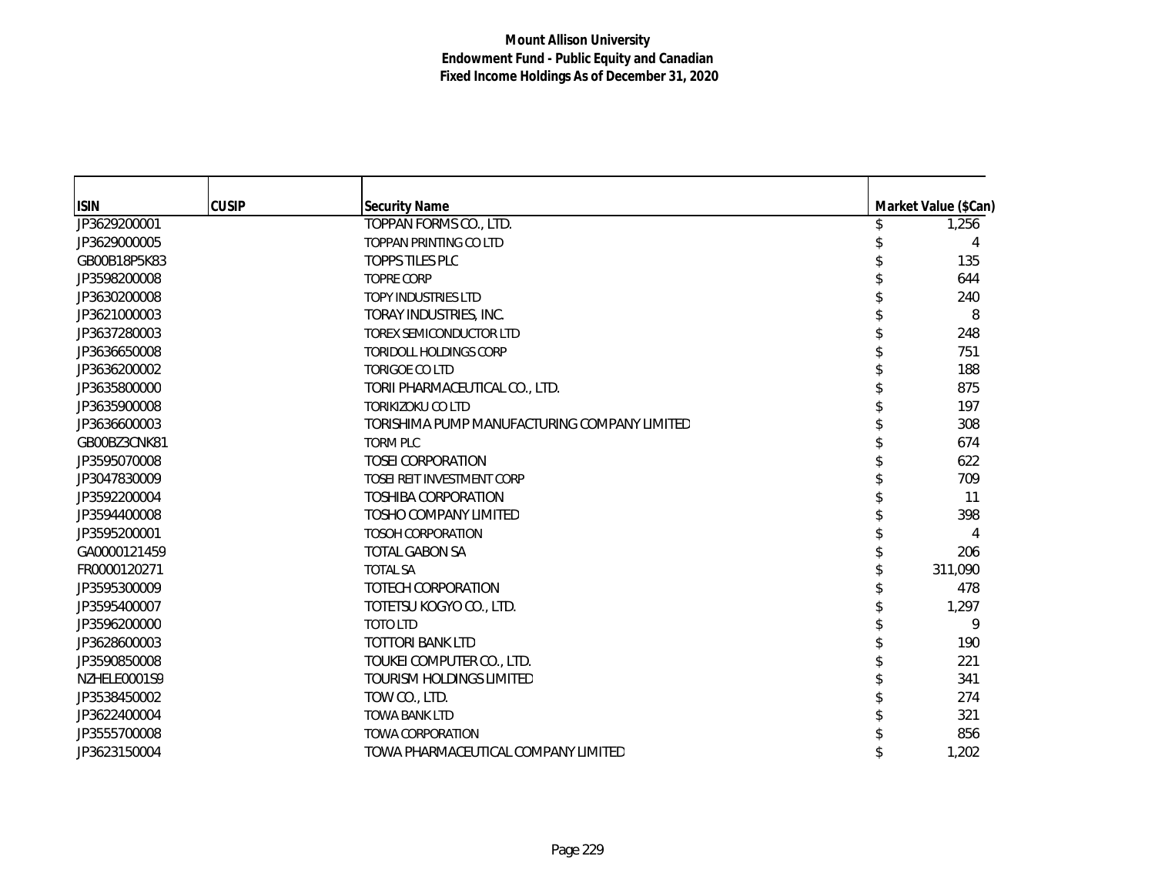| <b>ISIN</b>  | <b>CUSIP</b> | <b>Security Name</b>                         | Market Value (\$Can) |
|--------------|--------------|----------------------------------------------|----------------------|
| JP3629200001 |              | TOPPAN FORMS CO., LTD.                       | 1,256                |
| JP3629000005 |              | TOPPAN PRINTING CO LTD                       | 4                    |
| GB00B18P5K83 |              | <b>TOPPS TILES PLC</b>                       | 135                  |
| JP3598200008 |              | <b>TOPRE CORP</b>                            | 644                  |
| JP3630200008 |              | <b>TOPY INDUSTRIES LTD</b>                   | 240                  |
| JP3621000003 |              | TORAY INDUSTRIES, INC.                       | 8                    |
| JP3637280003 |              | <b>TOREX SEMICONDUCTOR LTD</b>               | 248                  |
| JP3636650008 |              | <b>TORIDOLL HOLDINGS CORP</b>                | 751                  |
| JP3636200002 |              | <b>TORIGOE CO LTD</b>                        | 188                  |
| JP3635800000 |              | TORII PHARMACEUTICAL CO., LTD.               | 875                  |
| JP3635900008 |              | <b>TORIKIZOKU CO LTD</b>                     | 197                  |
| JP3636600003 |              | TORISHIMA PUMP MANUFACTURING COMPANY LIMITED | 308                  |
| GB00BZ3CNK81 |              | <b>TORM PLC</b>                              | 674                  |
| JP3595070008 |              | <b>TOSEI CORPORATION</b>                     | 622                  |
| JP3047830009 |              | TOSEI REIT INVESTMENT CORP                   | 709                  |
| JP3592200004 |              | <b>TOSHIBA CORPORATION</b>                   | 11                   |
| JP3594400008 |              | <b>TOSHO COMPANY LIMITED</b>                 | 398                  |
| JP3595200001 |              | <b>TOSOH CORPORATION</b>                     | 4                    |
| GA0000121459 |              | <b>TOTAL GABON SA</b>                        | 206                  |
| FR0000120271 |              | <b>TOTAL SA</b>                              | 311,090              |
| JP3595300009 |              | TOTECH CORPORATION                           | 478                  |
| JP3595400007 |              | TOTETSU KOGYO CO., LTD.                      | 1,297                |
| JP3596200000 |              | <b>TOTO LTD</b>                              | 9                    |
| JP3628600003 |              | <b>TOTTORI BANK LTD</b>                      | 190                  |
| JP3590850008 |              | TOUKEI COMPUTER CO., LTD.                    | 221                  |
| NZHELE0001S9 |              | <b>TOURISM HOLDINGS LIMITED</b>              | 341                  |
| JP3538450002 |              | TOW CO., LTD.                                | 274                  |
| JP3622400004 |              | <b>TOWA BANK LTD</b>                         | 321                  |
| JP3555700008 |              | <b>TOWA CORPORATION</b>                      | 856                  |
| JP3623150004 |              | TOWA PHARMACEUTICAL COMPANY LIMITED          | 1,202                |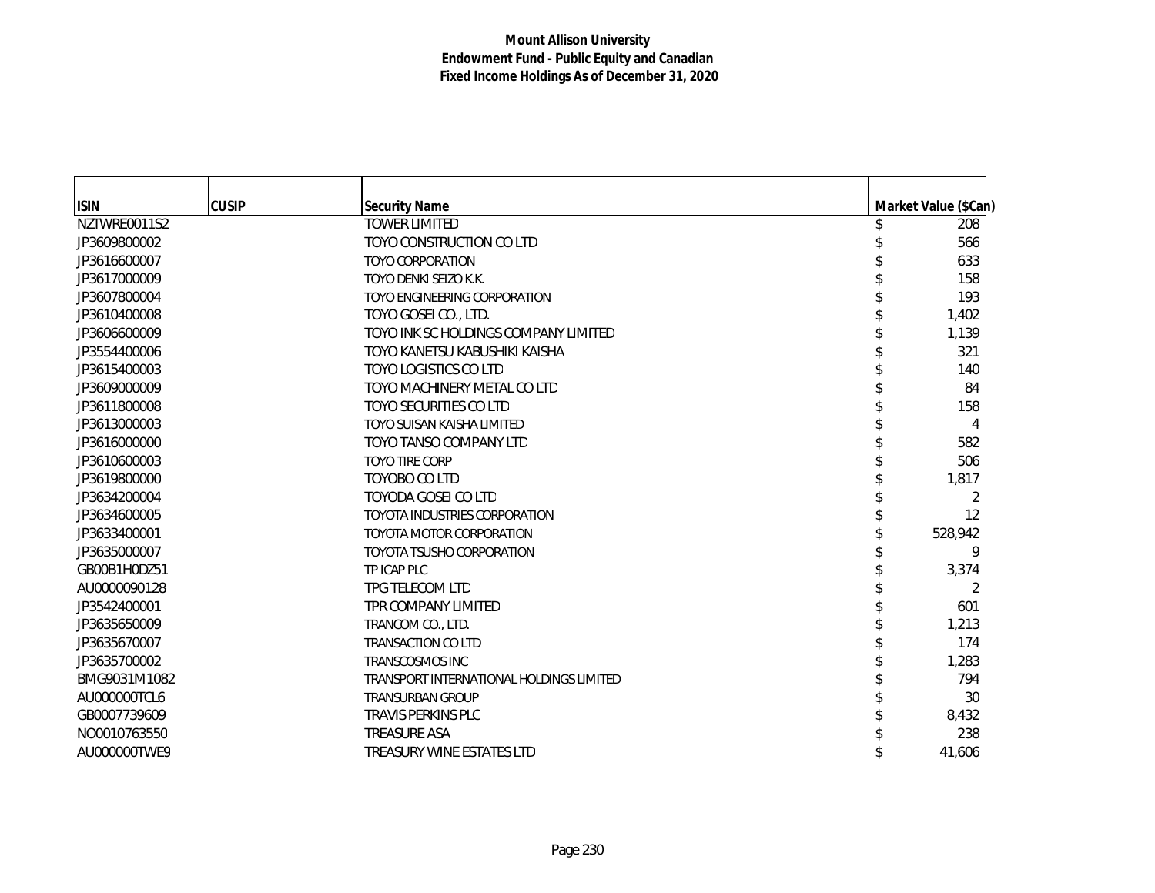| <b>ISIN</b>  | <b>CUSIP</b> | <b>Security Name</b>                     | Market Value (\$Can) |
|--------------|--------------|------------------------------------------|----------------------|
| NZTWRE0011S2 |              | <b>TOWER LIMITED</b>                     | 208                  |
| JP3609800002 |              | TOYO CONSTRUCTION CO LTD                 | 566                  |
| JP3616600007 |              | <b>TOYO CORPORATION</b>                  | 633                  |
| JP3617000009 |              | TOYO DENKI SEIZO K.K.                    | 158                  |
| JP3607800004 |              | TOYO ENGINEERING CORPORATION             | 193                  |
| JP3610400008 |              | TOYO GOSEI CO., LTD.                     | 1,402                |
| JP3606600009 |              | TOYO INK SC HOLDINGS COMPANY LIMITED     | 1,139                |
| JP3554400006 |              | TOYO KANETSU KABUSHIKI KAISHA            | 321                  |
| JP3615400003 |              | <b>TOYO LOGISTICS CO LTD</b>             | 140                  |
| JP3609000009 |              | TOYO MACHINERY METAL CO LTD              | 84                   |
| JP3611800008 |              | <b>TOYO SECURITIES CO LTD</b>            | 158                  |
| JP3613000003 |              | TOYO SUISAN KAISHA LIMITED               | 4                    |
| JP3616000000 |              | TOYO TANSO COMPANY LTD                   | 582                  |
| JP3610600003 |              | <b>TOYO TIRE CORP</b>                    | 506                  |
| JP3619800000 |              | TOYOBO CO LTD                            | 1,817                |
| JP3634200004 |              | TOYODA GOSEI CO LTD                      | 2                    |
| JP3634600005 |              | <b>TOYOTA INDUSTRIES CORPORATION</b>     | 12                   |
| JP3633400001 |              | <b>TOYOTA MOTOR CORPORATION</b>          | 528,942              |
| JP3635000007 |              | <b>TOYOTA TSUSHO CORPORATION</b>         | 9                    |
| GB00B1H0DZ51 |              | TP ICAP PLC                              | 3,374                |
| AU0000090128 |              | TPG TELECOM LTD                          | 2                    |
| JP3542400001 |              | TPR COMPANY LIMITED                      | 601                  |
| JP3635650009 |              | TRANCOM CO., LTD.                        | 1,213                |
| JP3635670007 |              | <b>TRANSACTION CO LTD</b>                | 174                  |
| JP3635700002 |              | <b>TRANSCOSMOS INC</b>                   | 1,283                |
| BMG9031M1082 |              | TRANSPORT INTERNATIONAL HOLDINGS LIMITED | 794                  |
| AU000000TCL6 |              | <b>TRANSURBAN GROUP</b>                  | 30                   |
| GB0007739609 |              | <b>TRAVIS PERKINS PLC</b>                | 8,432                |
| NO0010763550 |              | <b>TREASURE ASA</b>                      | 238                  |
| AU000000TWE9 |              | TREASURY WINE ESTATES LTD                | 41,606               |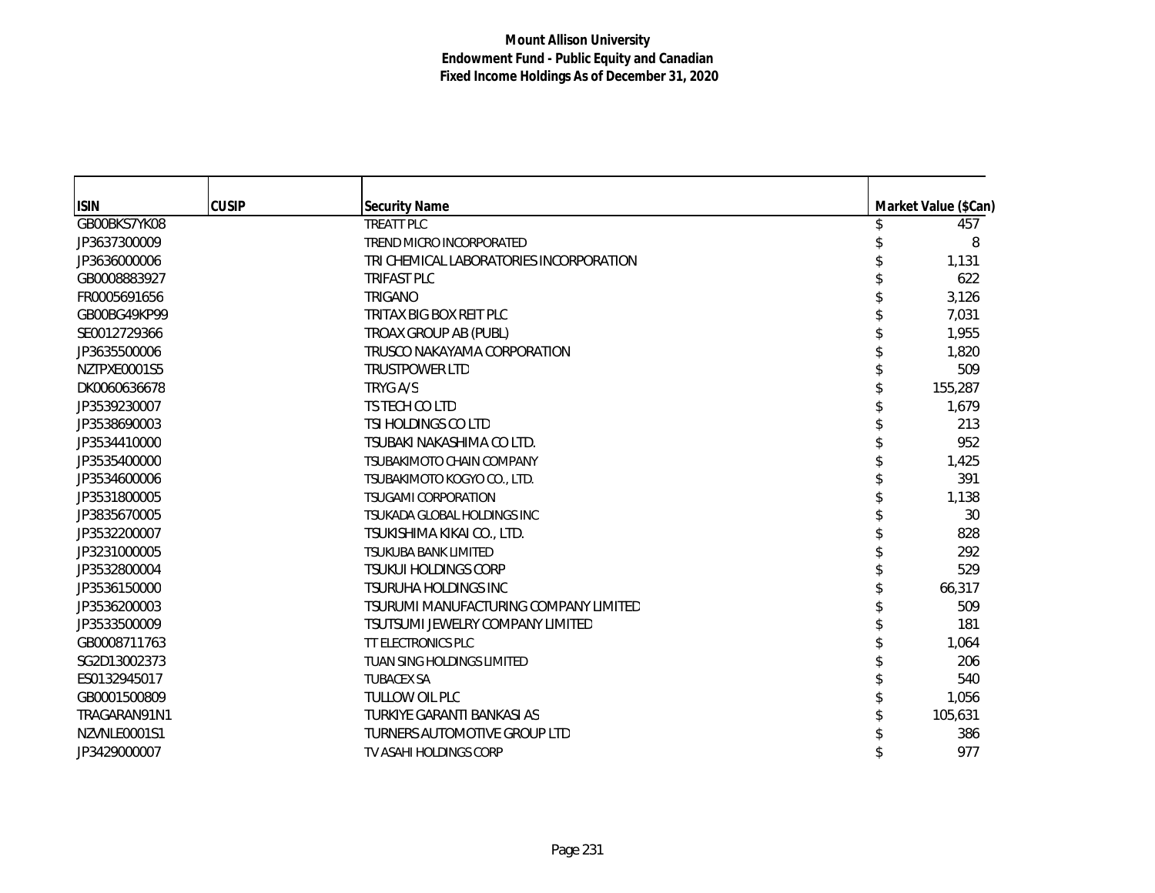| <b>ISIN</b>  | <b>CUSIP</b> | <b>Security Name</b>                    | Market Value (\$Can) |
|--------------|--------------|-----------------------------------------|----------------------|
| GB00BKS7YK08 |              | <b>TREATT PLC</b>                       | 457                  |
| JP3637300009 |              | TREND MICRO INCORPORATED                | 8                    |
| JP3636000006 |              | TRI CHEMICAL LABORATORIES INCORPORATION | 1,131                |
| GB0008883927 |              | <b>TRIFAST PLC</b>                      | 622                  |
| FR0005691656 |              | <b>TRIGANO</b>                          | 3,126                |
|              |              | TRITAX BIG BOX REIT PLC                 |                      |
| GB00BG49KP99 |              |                                         | 7,031                |
| SE0012729366 |              | TROAX GROUP AB (PUBL)                   | 1.955                |
| JP3635500006 |              | TRUSCO NAKAYAMA CORPORATION             | 1,820                |
| NZTPXE0001S5 |              | <b>TRUSTPOWER LTD</b>                   | 509                  |
| DK0060636678 |              | TRYG A/S                                | 155,287              |
| JP3539230007 |              | TS TECH CO LTD                          | 1,679                |
| JP3538690003 |              | TSI HOLDINGS CO LTD                     | 213                  |
| JP3534410000 |              | TSUBAKI NAKASHIMA CO LTD.               | 952                  |
| JP3535400000 |              | <b>TSUBAKIMOTO CHAIN COMPANY</b>        | 1,425                |
| JP3534600006 |              | TSUBAKIMOTO KOGYO CO., LTD.             | 391                  |
| JP3531800005 |              | <b>TSUGAMI CORPORATION</b>              | 1,138                |
| JP3835670005 |              | TSUKADA GLOBAL HOLDINGS INC             | 30                   |
| JP3532200007 |              | TSUKISHIMA KIKAI CO., LTD.              | 828                  |
| JP3231000005 |              | <b>TSUKUBA BANK LIMITED</b>             | 292                  |
| JP3532800004 |              | <b>TSUKUI HOLDINGS CORP</b>             | 529                  |
| JP3536150000 |              | <b>TSURUHA HOLDINGS INC</b>             | 66,317               |
| JP3536200003 |              | TSURUMI MANUFACTURING COMPANY LIMITED   | 509                  |
| JP3533500009 |              | TSUTSUMI JEWELRY COMPANY LIMITED        | 181                  |
| GB0008711763 |              | <b>TT ELECTRONICS PLC</b>               | 1,064                |
| SG2D13002373 |              | TUAN SING HOLDINGS LIMITED              | 206                  |
| ES0132945017 |              | <b>TUBACEX SA</b>                       | 540                  |
| GB0001500809 |              | TULLOW OIL PLC                          | 1,056                |
| TRAGARAN91N1 |              | TURKIYE GARANTI BANKASI AS              | 105,631              |
| NZVNLE0001S1 |              | TURNERS AUTOMOTIVE GROUP LTD            | 386                  |
| JP3429000007 |              | TV ASAHI HOLDINGS CORP                  | 977                  |
|              |              |                                         |                      |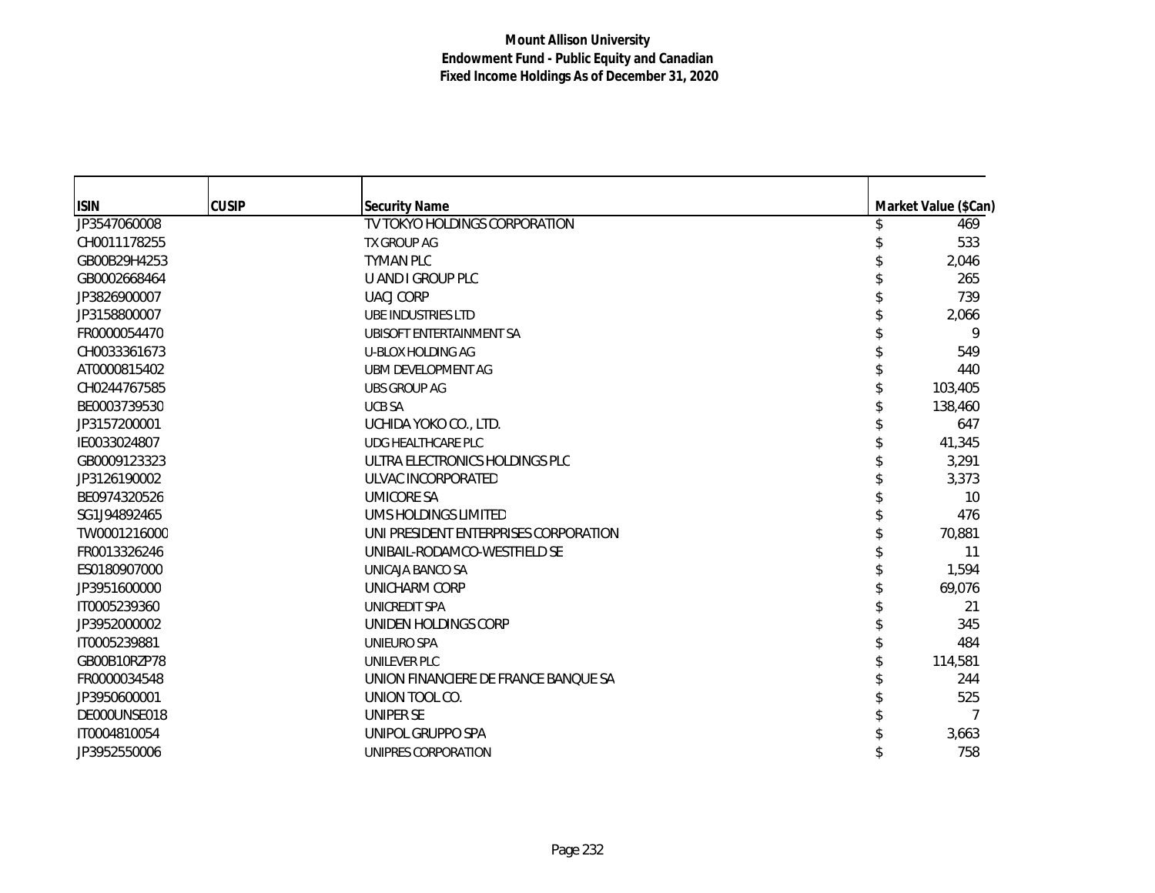| <b>ISIN</b>  | <b>CUSIP</b> | <b>Security Name</b>                  | Market Value (\$Can) |
|--------------|--------------|---------------------------------------|----------------------|
| JP3547060008 |              | TV TOKYO HOLDINGS CORPORATION         | 469                  |
| CH0011178255 |              | TX GROUP AG                           | 533                  |
| GB00B29H4253 |              | <b>TYMAN PLC</b>                      | 2,046                |
| GB0002668464 |              | U AND I GROUP PLC                     | 265                  |
| JP3826900007 |              | <b>UACJ CORP</b>                      | 739                  |
| JP3158800007 |              | UBE INDUSTRIES LTD                    | 2,066                |
| FR0000054470 |              | UBISOFT ENTERTAINMENT SA              | 9                    |
| CH0033361673 |              | U-BLOX HOLDING AG                     | 549                  |
| AT0000815402 |              | UBM DEVELOPMENT AG                    | 440                  |
| CH0244767585 |              | <b>UBS GROUP AG</b>                   | 103,405              |
| BE0003739530 |              | <b>UCB SA</b>                         | 138,460              |
| JP3157200001 |              | UCHIDA YOKO CO., LTD.                 | 647                  |
| IE0033024807 |              | <b>UDG HEALTHCARE PLC</b>             | 41,345               |
| GB0009123323 |              | ULTRA ELECTRONICS HOLDINGS PLC        | 3,291                |
| JP3126190002 |              | ULVAC INCORPORATED                    | 3,373                |
| BE0974320526 |              | <b>UMICORE SA</b>                     | 10                   |
| SG1J94892465 |              | UMS HOLDINGS LIMITED                  | 476                  |
| TW0001216000 |              | UNI PRESIDENT ENTERPRISES CORPORATION | 70,881               |
| FR0013326246 |              | UNIBAIL-RODAMCO-WESTFIELD SE          | 11                   |
| ES0180907000 |              | UNICAJA BANCO SA                      | 1,594                |
| JP3951600000 |              | UNICHARM CORP                         | 69,076               |
| IT0005239360 |              | UNICREDIT SPA                         | 21                   |
| JP3952000002 |              | UNIDEN HOLDINGS CORP                  | 345                  |
| IT0005239881 |              | UNIEURO SPA                           | 484                  |
| GB00B10RZP78 |              | <b>UNILEVER PLC</b>                   | 114,581              |
| FR0000034548 |              | UNION FINANCIERE DE FRANCE BANQUE SA  | 244                  |
| JP3950600001 |              | UNION TOOL CO.                        | 525                  |
| DE000UNSE018 |              | <b>UNIPER SE</b>                      |                      |
| IT0004810054 |              | UNIPOL GRUPPO SPA                     | 3,663                |
| JP3952550006 |              | UNIPRES CORPORATION                   | 758                  |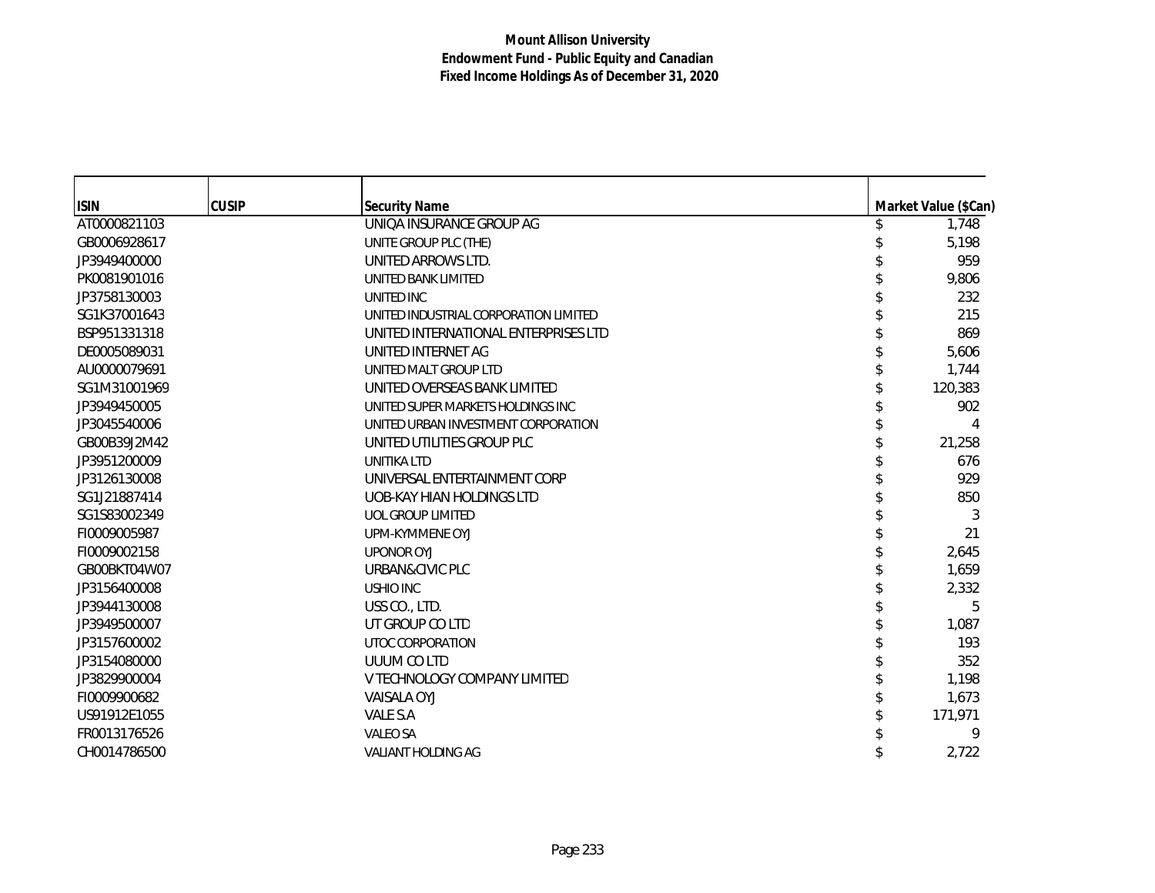| <b>ISIN</b>  | <b>CUSIP</b> | <b>Security Name</b>                  | Market Value (\$Can) |
|--------------|--------------|---------------------------------------|----------------------|
| AT0000821103 |              | <b>UNIOA INSURANCE GROUP AG</b>       | 1,748                |
| GB0006928617 |              | UNITE GROUP PLC (THE)                 | 5,198                |
| JP3949400000 |              | UNITED ARROWS LTD.                    | 959                  |
| PK0081901016 |              | UNITED BANK LIMITED                   | 9,806                |
| JP3758130003 |              | UNITED INC                            | 232                  |
| SG1K37001643 |              | UNITED INDUSTRIAL CORPORATION LIMITED | 215                  |
| BSP951331318 |              | UNITED INTERNATIONAL ENTERPRISES LTD  | 869                  |
| DE0005089031 |              | UNITED INTERNET AG                    | 5,606                |
| AU0000079691 |              | UNITED MALT GROUP LTD                 | 1,744                |
| SG1M31001969 |              | UNITED OVERSEAS BANK LIMITED          | 120,383              |
| JP3949450005 |              | UNITED SUPER MARKETS HOLDINGS INC     | 902                  |
| JP3045540006 |              | UNITED URBAN INVESTMENT CORPORATION   | 4                    |
| GB00B39J2M42 |              | UNITED UTILITIES GROUP PLC            | 21,258               |
| JP3951200009 |              | <b>UNITIKA LTD</b>                    | 676                  |
| JP3126130008 |              | UNIVERSAL ENTERTAINMENT CORP          | 929                  |
| SG1J21887414 |              | UOB-KAY HIAN HOLDINGS LTD             | 850                  |
| SG1S83002349 |              | <b>UOL GROUP LIMITED</b>              | 3                    |
| FI0009005987 |              | UPM-KYMMENE OYJ                       | 21                   |
| FI0009002158 |              | <b>UPONOR OYJ</b>                     | 2,645                |
| GB00BKT04W07 |              | URBAN&CIVIC PLC                       | 1,659                |
| JP3156400008 |              | <b>USHIO INC</b>                      | 2,332                |
| JP3944130008 |              | USS CO., LTD.                         | 5                    |
| JP3949500007 |              | UT GROUP CO LTD                       | 1,087                |
| JP3157600002 |              | UTOC CORPORATION                      | 193                  |
| JP3154080000 |              | UUUM CO LTD                           | 352                  |
| JP3829900004 |              | V TECHNOLOGY COMPANY LIMITED          | 1,198                |
| FI0009900682 |              | <b>VAISALA OYJ</b>                    | 1,673                |
| US91912E1055 |              | VALE S.A                              | 171,971              |
| FR0013176526 |              | VALEO SA                              | 9                    |
| CH0014786500 |              | <b>VALIANT HOLDING AG</b>             | 2,722                |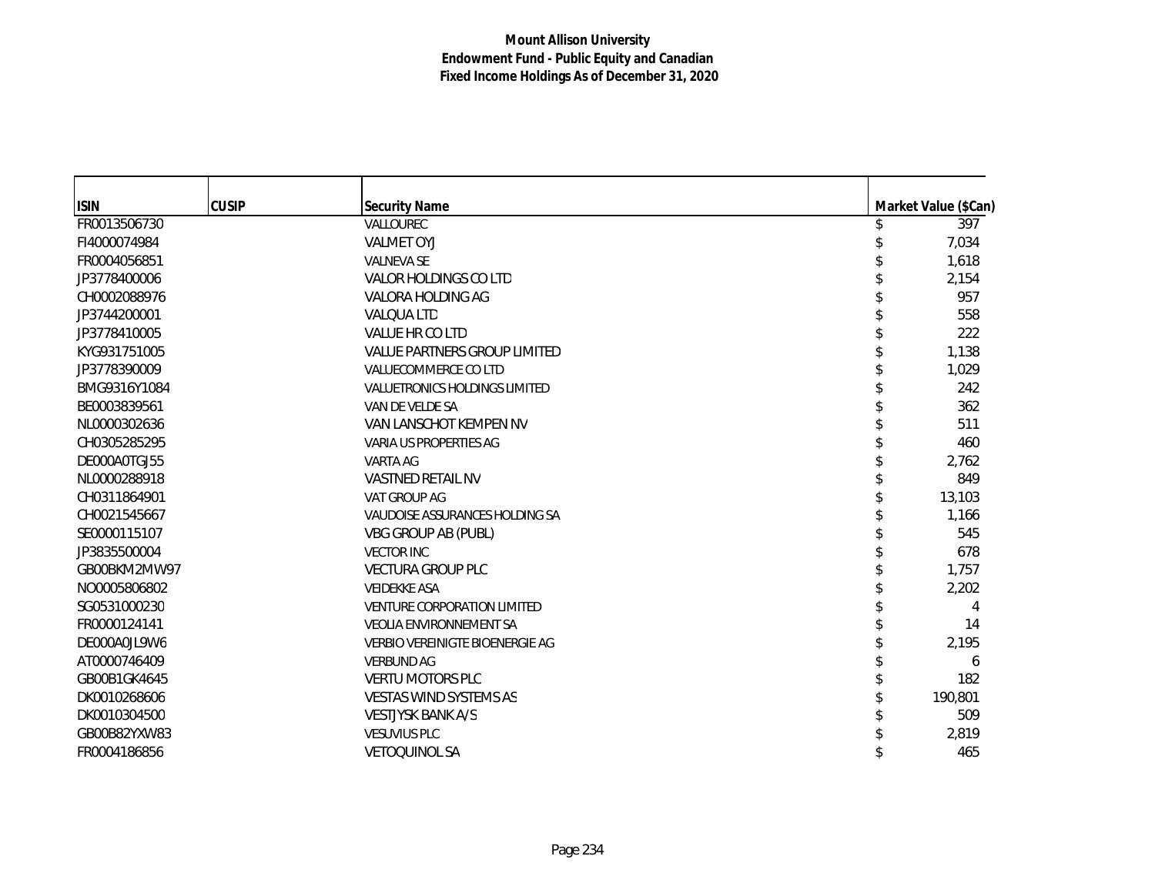| <b>ISIN</b>  | <b>CUSIP</b> | <b>Security Name</b>                   | Market Value (\$Can) |
|--------------|--------------|----------------------------------------|----------------------|
| FR0013506730 |              | VALLOUREC                              | 397                  |
| FI4000074984 |              | <b>VALMET OYJ</b>                      | 7,034                |
| FR0004056851 |              | <b>VALNEVA SE</b>                      | 1,618                |
| JP3778400006 |              | VALOR HOLDINGS CO LTD                  | 2,154                |
| CH0002088976 |              | VALORA HOLDING AG                      | 957                  |
| JP3744200001 |              | <b>VALQUA LTD</b>                      | 558                  |
| JP3778410005 |              | VALUE HR CO LTD                        | 222                  |
| KYG931751005 |              | <b>VALUE PARTNERS GROUP LIMITED</b>    | 1,138                |
| JP3778390009 |              | VALUECOMMERCE CO LTD                   | 1,029                |
| BMG9316Y1084 |              | VALUETRONICS HOLDINGS LIMITED          | 242                  |
| BE0003839561 |              | VAN DE VELDE SA                        | 362                  |
| NL0000302636 |              | VAN LANSCHOT KEMPEN NV                 | 511                  |
| CH0305285295 |              | VARIA US PROPERTIES AG                 | 460                  |
| DE000A0TGJ55 |              | VARTA AG                               | 2,762                |
| NL0000288918 |              | VASTNED RETAIL NV                      | 849                  |
| CH0311864901 |              | VAT GROUP AG                           | 13,103               |
| CH0021545667 |              | VAUDOISE ASSURANCES HOLDING SA         | 1,166                |
| SE0000115107 |              | <b>VBG GROUP AB (PUBL)</b>             | 545                  |
| JP3835500004 |              | <b>VECTOR INC</b>                      | 678                  |
| GB00BKM2MW97 |              | <b>VECTURA GROUP PLC</b>               | 1,757                |
| NO0005806802 |              | <b>VEIDEKKE ASA</b>                    | 2,202                |
| SG0531000230 |              | <b>VENTURE CORPORATION LIMITED</b>     | 4                    |
| FR0000124141 |              | <b>VEOLIA ENVIRONNEMENT SA</b>         | 14                   |
| DE000A0JL9W6 |              | <b>VERBIO VEREINIGTE BIOENERGIE AG</b> | 2,195                |
| AT0000746409 |              | <b>VERBUND AG</b>                      | 6                    |
| GB00B1GK4645 |              | <b>VERTU MOTORS PLC</b>                | 182                  |
| DK0010268606 |              | VESTAS WIND SYSTEMS AS                 | 190,801              |
| DK0010304500 |              | <b>VESTJYSK BANK A/S</b>               | 509                  |
| GB00B82YXW83 |              | <b>VESUVIUS PLC</b>                    | 2,819                |
| FR0004186856 |              | <b>VETOQUINOL SA</b>                   | 465                  |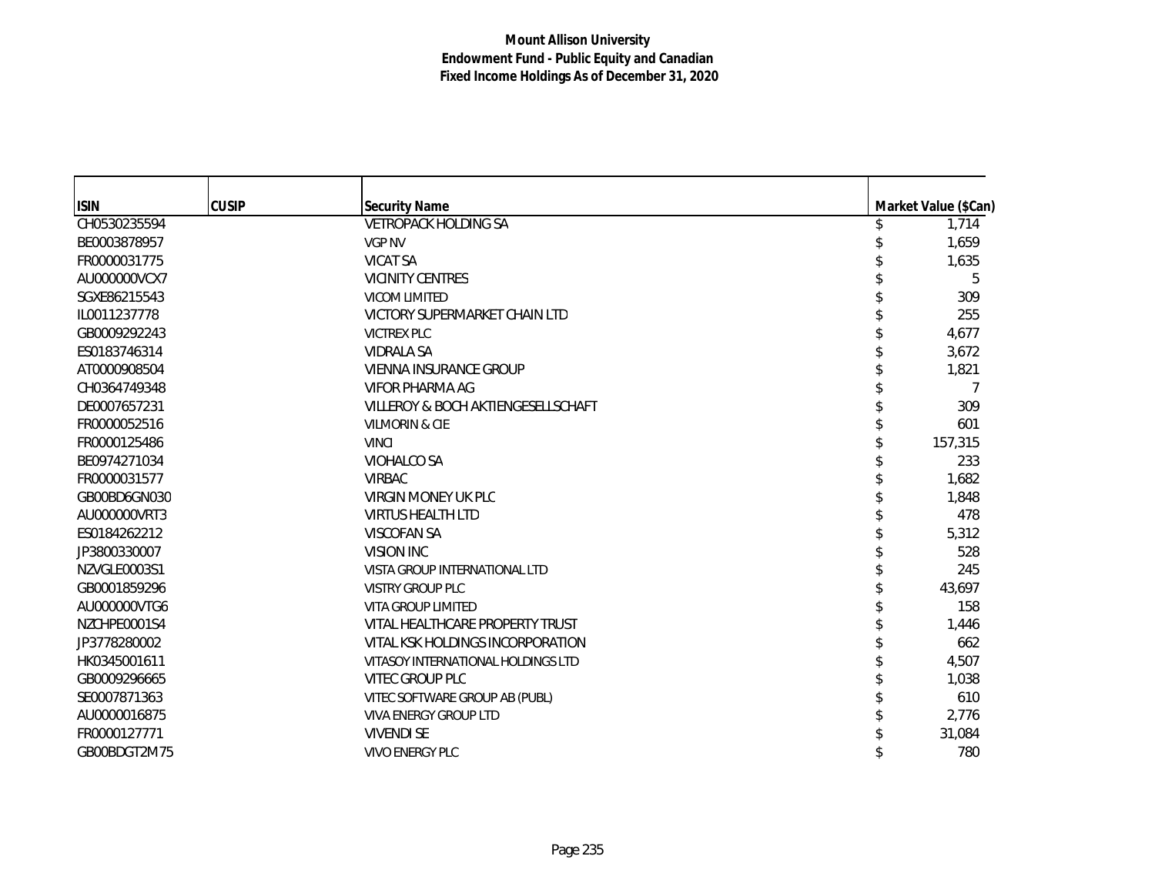| <b>ISIN</b>  | <b>CUSIP</b> | <b>Security Name</b>               | Market Value (\$Can) |
|--------------|--------------|------------------------------------|----------------------|
| CH0530235594 |              | <b>VETROPACK HOLDING SA</b>        | 1,714                |
| BE0003878957 |              | <b>VGP NV</b>                      | 1,659                |
| FR0000031775 |              | <b>VICAT SA</b>                    | 1,635                |
| AU000000VCX7 |              | <b>VICINITY CENTRES</b>            | 5                    |
| SGXE86215543 |              | <b>VICOM LIMITED</b>               | 309                  |
| IL0011237778 |              | VICTORY SUPERMARKET CHAIN LTD      | 255                  |
| GB0009292243 |              | <b>VICTREX PLC</b>                 | 4,677                |
| ES0183746314 |              | <b>VIDRALA SA</b>                  | 3,672                |
| AT0000908504 |              | VIENNA INSURANCE GROUP             | 1,821                |
| CH0364749348 |              | VIFOR PHARMA AG                    |                      |
| DE0007657231 |              | VILLEROY & BOCH AKTIENGESELLSCHAFT | 309                  |
| FR0000052516 |              | <b>VILMORIN &amp; CIE</b>          | 601                  |
| FR0000125486 |              | <b>VINCI</b>                       | 157,315              |
| BE0974271034 |              | VIOHALCO SA                        | 233                  |
| FR0000031577 |              | <b>VIRBAC</b>                      | 1,682                |
| GB00BD6GN030 |              | VIRGIN MONEY UK PLC                | 1,848                |
| AU000000VRT3 |              | <b>VIRTUS HEALTH LTD</b>           | 478                  |
| ES0184262212 |              | <b>VISCOFAN SA</b>                 | 5,312                |
| JP3800330007 |              | VISION INC                         | 528                  |
| NZVGLE0003S1 |              | VISTA GROUP INTERNATIONAL LTD      | 245                  |
| GB0001859296 |              | <b>VISTRY GROUP PLC</b>            | 43,697               |
| AU000000VTG6 |              | <b>VITA GROUP LIMITED</b>          | 158                  |
| NZCHPE0001S4 |              | VITAL HEALTHCARE PROPERTY TRUST    | 1,446                |
| JP3778280002 |              | VITAL KSK HOLDINGS INCORPORATION   | 662                  |
| HK0345001611 |              | VITASOY INTERNATIONAL HOLDINGS LTD | 4,507                |
| GB0009296665 |              | VITEC GROUP PLC                    | 1,038                |
| SE0007871363 |              | VITEC SOFTWARE GROUP AB (PUBL)     | 610                  |
| AU0000016875 |              | <b>VIVA ENERGY GROUP LTD</b>       | 2,776                |
| FR0000127771 |              | <b>VIVENDI SE</b>                  | 31,084               |
| GB00BDGT2M75 |              | <b>VIVO ENERGY PLC</b>             | 780                  |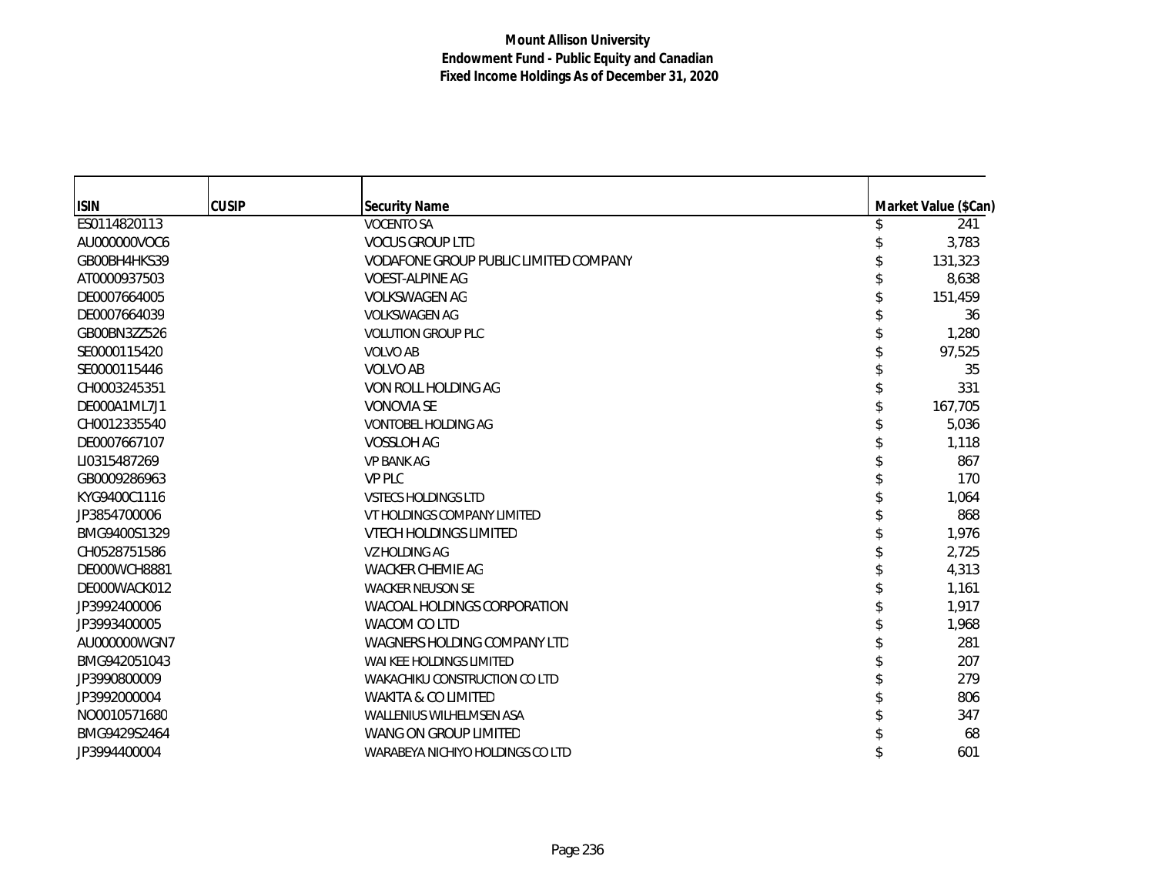| <b>ISIN</b>  | <b>CUSIP</b> | <b>Security Name</b>                  | Market Value (\$Can) |
|--------------|--------------|---------------------------------------|----------------------|
| ES0114820113 |              | <b>VOCENTO SA</b>                     | 241                  |
| AU000000VOC6 |              | <b>VOCUS GROUP LTD</b>                | 3,783                |
| GB00BH4HKS39 |              | VODAFONE GROUP PUBLIC LIMITED COMPANY | 131,323              |
| AT0000937503 |              | <b>VOEST-ALPINE AG</b>                | 8,638                |
| DE0007664005 |              | <b>VOLKSWAGEN AG</b>                  | 151,459              |
| DE0007664039 |              | <b>VOLKSWAGEN AG</b>                  | 36                   |
| GB00BN3ZZ526 |              | <b>VOLUTION GROUP PLC</b>             | 1,280                |
| SE0000115420 |              | <b>VOLVO AB</b>                       | 97,525               |
| SE0000115446 |              | <b>VOLVO AB</b>                       | 35                   |
| CH0003245351 |              | VON ROLL HOLDING AG                   | 331                  |
| DE000A1ML7J1 |              | <b>VONOVIA SE</b>                     | 167,705              |
| CH0012335540 |              | <b>VONTOBEL HOLDING AG</b>            | 5,036                |
| DE0007667107 |              | <b>VOSSLOH AG</b>                     | 1,118                |
| LI0315487269 |              | <b>VP BANK AG</b>                     | 867                  |
| GB0009286963 |              | <b>VP PLC</b>                         | 170                  |
| KYG9400C1116 |              | <b>VSTECS HOLDINGS LTD</b>            | 1,064                |
| JP3854700006 |              | VT HOLDINGS COMPANY LIMITED           | 868                  |
| BMG9400S1329 |              | <b>VTECH HOLDINGS LIMITED</b>         | 1,976                |
| CH0528751586 |              | <b>VZ HOLDING AG</b>                  | 2,725                |
| DE000WCH8881 |              | <b>WACKER CHEMIE AG</b>               | 4,313                |
| DE000WACK012 |              | <b>WACKER NEUSON SE</b>               | 1,161                |
| JP3992400006 |              | WACOAL HOLDINGS CORPORATION           | 1,917                |
| JP3993400005 |              | WACOM CO LTD                          | 1,968                |
| AU000000WGN7 |              | WAGNERS HOLDING COMPANY LTD           | 281                  |
| BMG942051043 |              | WAI KEE HOLDINGS LIMITED              | 207                  |
| JP3990800009 |              | WAKACHIKU CONSTRUCTION CO LTD         | 279                  |
| JP3992000004 |              | <b>WAKITA &amp; CO LIMITED</b>        | 806                  |
| NO0010571680 |              | <b>WALLENIUS WILHELMSEN ASA</b>       | 347                  |
| BMG9429S2464 |              | WANG ON GROUP LIMITED                 | 68                   |
| JP3994400004 |              | WARABEYA NICHIYO HOLDINGS CO LTD      | 601                  |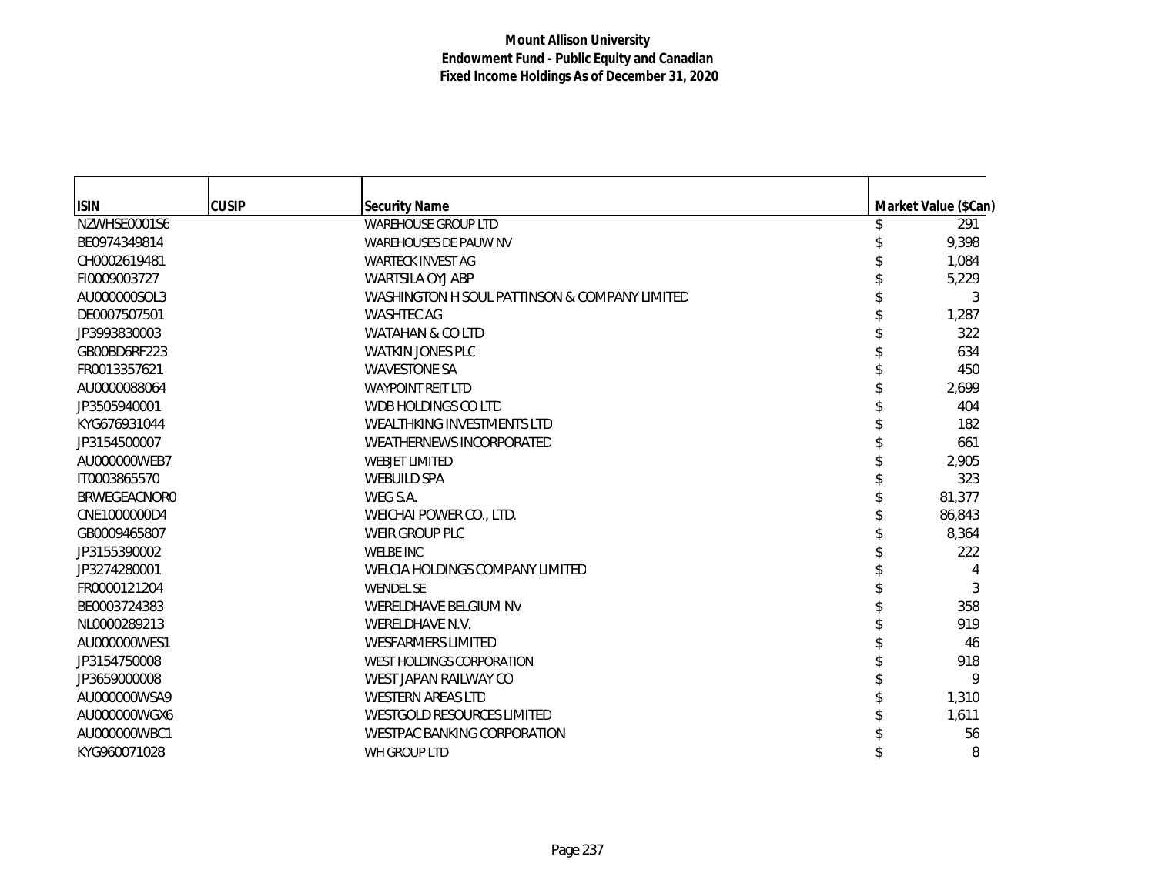| <b>ISIN</b>  | <b>CUSIP</b> | <b>Security Name</b>                          | Market Value (\$Can) |
|--------------|--------------|-----------------------------------------------|----------------------|
| NZWHSE0001S6 |              | <b>WAREHOUSE GROUP LTD</b>                    | 291                  |
| BE0974349814 |              | <b>WAREHOUSES DE PAUW NV</b>                  | 9,398                |
| CH0002619481 |              | <b>WARTECK INVEST AG</b>                      | 1,084                |
| FI0009003727 |              | <b>WARTSILA OYJ ABP</b>                       | 5,229                |
| AU000000SOL3 |              | WASHINGTON H SOUL PATTINSON & COMPANY LIMITED | 3                    |
| DE0007507501 |              | <b>WASHTEC AG</b>                             | 1,287                |
| JP3993830003 |              | <b>WATAHAN &amp; CO LTD</b>                   | 322                  |
| GB00BD6RF223 |              | <b>WATKIN JONES PLC</b>                       | 634                  |
| FR0013357621 |              | <b>WAVESTONE SA</b>                           | 450                  |
| AU0000088064 |              | <b>WAYPOINT REIT LTD</b>                      | 2,699                |
| JP3505940001 |              | WDB HOLDINGS CO LTD                           | 404                  |
| KYG676931044 |              | WEALTHKING INVESTMENTS LTD                    | 182                  |
| JP3154500007 |              | <b>WEATHERNEWS INCORPORATED</b>               | 661                  |
| AU000000WEB7 |              | <b>WEBJET LIMITED</b>                         | 2,905                |
| IT0003865570 |              | <b>WEBUILD SPA</b>                            | 323                  |
| BRWEGEACNOR0 |              | WEG S.A.                                      | 81,377               |
| CNE1000000D4 |              | WEICHAI POWER CO., LTD.                       | 86,843               |
| GB0009465807 |              | WEIR GROUP PLC                                | 8,364                |
| JP3155390002 |              | <b>WELBE INC</b>                              | 222                  |
| JP3274280001 |              | WELCIA HOLDINGS COMPANY LIMITED               |                      |
| FR0000121204 |              | <b>WENDEL SE</b>                              | 3                    |
| BE0003724383 |              | WERELDHAVE BELGIUM NV                         | 358                  |
| NL0000289213 |              | WERELDHAVE N.V.                               | 919                  |
| AU000000WES1 |              | <b>WESFARMERS LIMITED</b>                     | 46                   |
| JP3154750008 |              | <b>WEST HOLDINGS CORPORATION</b>              | 918                  |
| JP3659000008 |              | WEST JAPAN RAILWAY CO                         | 9                    |
| AU000000WSA9 |              | <b>WESTERN AREAS LTD</b>                      | 1,310                |
| AU000000WGX6 |              | <b>WESTGOLD RESOURCES LIMITED</b>             | 1,611                |
| AU000000WBC1 |              | <b>WESTPAC BANKING CORPORATION</b>            | 56                   |
| KYG960071028 |              | WH GROUP LTD                                  | 8                    |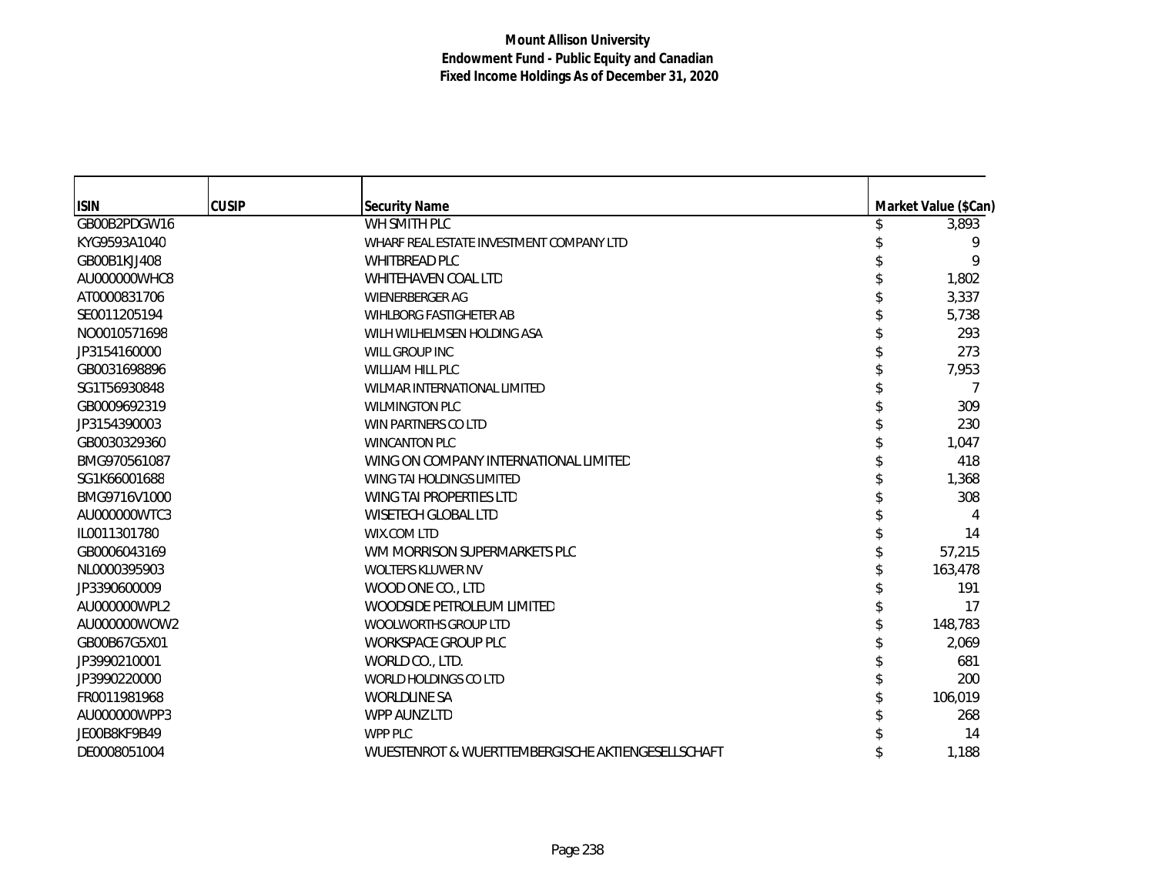| <b>ISIN</b>  | <b>CUSIP</b> | <b>Security Name</b>                              | Market Value (\$Can) |
|--------------|--------------|---------------------------------------------------|----------------------|
| GB00B2PDGW16 |              | WH SMITH PLC                                      | 3,893                |
| KYG9593A1040 |              | WHARF REAL ESTATE INVESTMENT COMPANY LTD          | 9                    |
| GB00B1KJJ408 |              | <b>WHITBREAD PLC</b>                              | 9                    |
| AU000000WHC8 |              | WHITEHAVEN COAL LTD                               | 1,802                |
| AT0000831706 |              | <b>WIENERBERGER AG</b>                            | 3,337                |
| SE0011205194 |              | WIHLBORG FASTIGHETER AB                           | 5,738                |
| NO0010571698 |              | WILH WILHELMSEN HOLDING ASA                       | 293                  |
| JP3154160000 |              | WILL GROUP INC                                    | 273                  |
| GB0031698896 |              | <b>WILLIAM HILL PLC</b>                           | 7,953                |
| SG1T56930848 |              | <b>WILMAR INTERNATIONAL LIMITED</b>               |                      |
| GB0009692319 |              | <b>WILMINGTON PLC</b>                             | 309                  |
| JP3154390003 |              | WIN PARTNERS CO LTD                               | 230                  |
| GB0030329360 |              | <b>WINCANTON PLC</b>                              | 1,047                |
| BMG970561087 |              | WING ON COMPANY INTERNATIONAL LIMITED             | 418                  |
| SG1K66001688 |              | <b>WING TAI HOLDINGS LIMITED</b>                  | 1,368                |
| BMG9716V1000 |              | WING TAI PROPERTIES LTD                           | 308                  |
| AU000000WTC3 |              | <b>WISETECH GLOBAL LTD</b>                        | 4                    |
| IL0011301780 |              | WIX.COM LTD                                       | 14                   |
| GB0006043169 |              | WM MORRISON SUPERMARKETS PLC                      | 57,215               |
| NL0000395903 |              | WOLTERS KLUWER NV                                 | 163,478              |
| JP3390600009 |              | WOOD ONE CO., LTD                                 | 191                  |
| AU000000WPL2 |              | WOODSIDE PETROLEUM LIMITED                        | 17                   |
| AU000000WOW2 |              | WOOLWORTHS GROUP LTD                              | 148,783              |
| GB00B67G5X01 |              | <b>WORKSPACE GROUP PLC</b>                        | 2,069                |
| JP3990210001 |              | WORLD CO., LTD.                                   | 681                  |
| JP3990220000 |              | <b>WORLD HOLDINGS CO LTD</b>                      | 200                  |
| FR0011981968 |              | <b>WORLDLINE SA</b>                               | 106,019              |
| AU000000WPP3 |              | WPP AUNZ LTD                                      | 268                  |
| JE00B8KF9B49 |              | WPP PLC                                           | 14                   |
| DE0008051004 |              | WUESTENROT & WUERTTEMBERGISCHE AKTIENGESELLSCHAFT | 1,188                |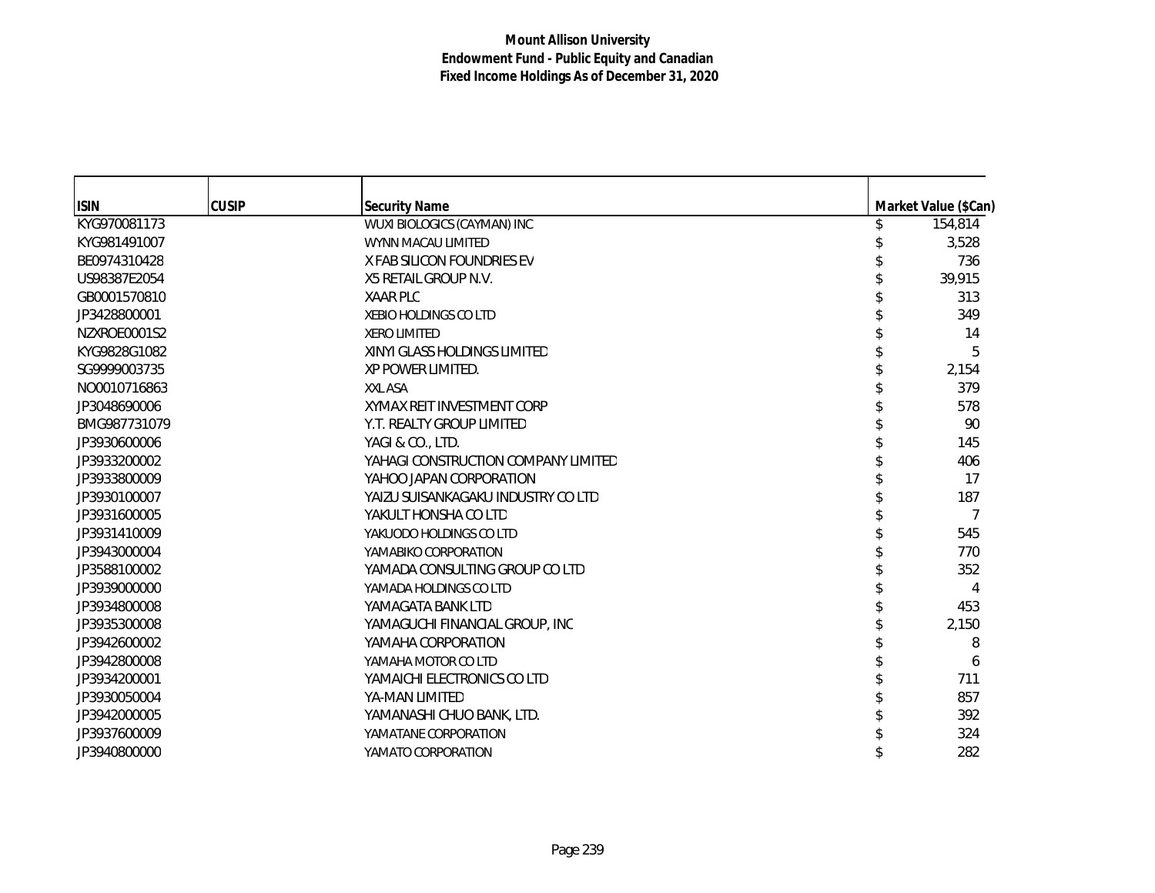| <b>ISIN</b>  | <b>CUSIP</b> | <b>Security Name</b>                | Market Value (\$Can) |
|--------------|--------------|-------------------------------------|----------------------|
| KYG970081173 |              | WUXI BIOLOGICS (CAYMAN) INC         | 154,814              |
| KYG981491007 |              | WYNN MACAU LIMITED                  | 3,528                |
| BE0974310428 |              | X FAB SILICON FOUNDRIES EV          | 736                  |
| US98387E2054 |              | X5 RETAIL GROUP N.V.                | 39,915               |
| GB0001570810 |              | <b>XAAR PLC</b>                     | 313                  |
| JP3428800001 |              | <b>XEBIO HOLDINGS CO LTD</b>        | 349                  |
| NZXROE0001S2 |              | <b>XERO LIMITED</b>                 | 14                   |
| KYG9828G1082 |              | XINYI GLASS HOLDINGS LIMITED        | 5                    |
| SG9999003735 |              | XP POWER LIMITED.                   | 2,154                |
| NO0010716863 |              | <b>XXL ASA</b>                      | 379                  |
| JP3048690006 |              | XYMAX REIT INVESTMENT CORP          | 578                  |
| BMG987731079 |              | Y.T. REALTY GROUP LIMITED           | 90                   |
| JP3930600006 |              | YAGI & CO., LTD.                    | 145                  |
| JP3933200002 |              | YAHAGI CONSTRUCTION COMPANY LIMITED | 406                  |
| JP3933800009 |              | YAHOO JAPAN CORPORATION             | 17                   |
| JP3930100007 |              | YAIZU SUISANKAGAKU INDUSTRY CO LTD  | 187                  |
| JP3931600005 |              | YAKULT HONSHA CO LTD                | 7                    |
| JP3931410009 |              | YAKUODO HOLDINGS CO LTD             | 545                  |
| JP3943000004 |              | YAMABIKO CORPORATION                | 770                  |
| JP3588100002 |              | YAMADA CONSULTING GROUP CO LTD      | 352                  |
| JP3939000000 |              | YAMADA HOLDINGS CO LTD              | 4                    |
| JP3934800008 |              | YAMAGATA BANK LTD                   | 453                  |
| JP3935300008 |              | YAMAGUCHI FINANCIAL GROUP, INC      | 2,150                |
| JP3942600002 |              | YAMAHA CORPORATION                  | 8                    |
| JP3942800008 |              | YAMAHA MOTOR CO LTD                 | 6                    |
| JP3934200001 |              | YAMAICHI ELECTRONICS CO LTD         | 711                  |
| JP3930050004 |              | YA-MAN LIMITED                      | 857                  |
| JP3942000005 |              | YAMANASHI CHUO BANK, LTD.           | 392                  |
| JP3937600009 |              | YAMATANE CORPORATION                | 324                  |
| JP3940800000 |              | YAMATO CORPORATION                  | 282                  |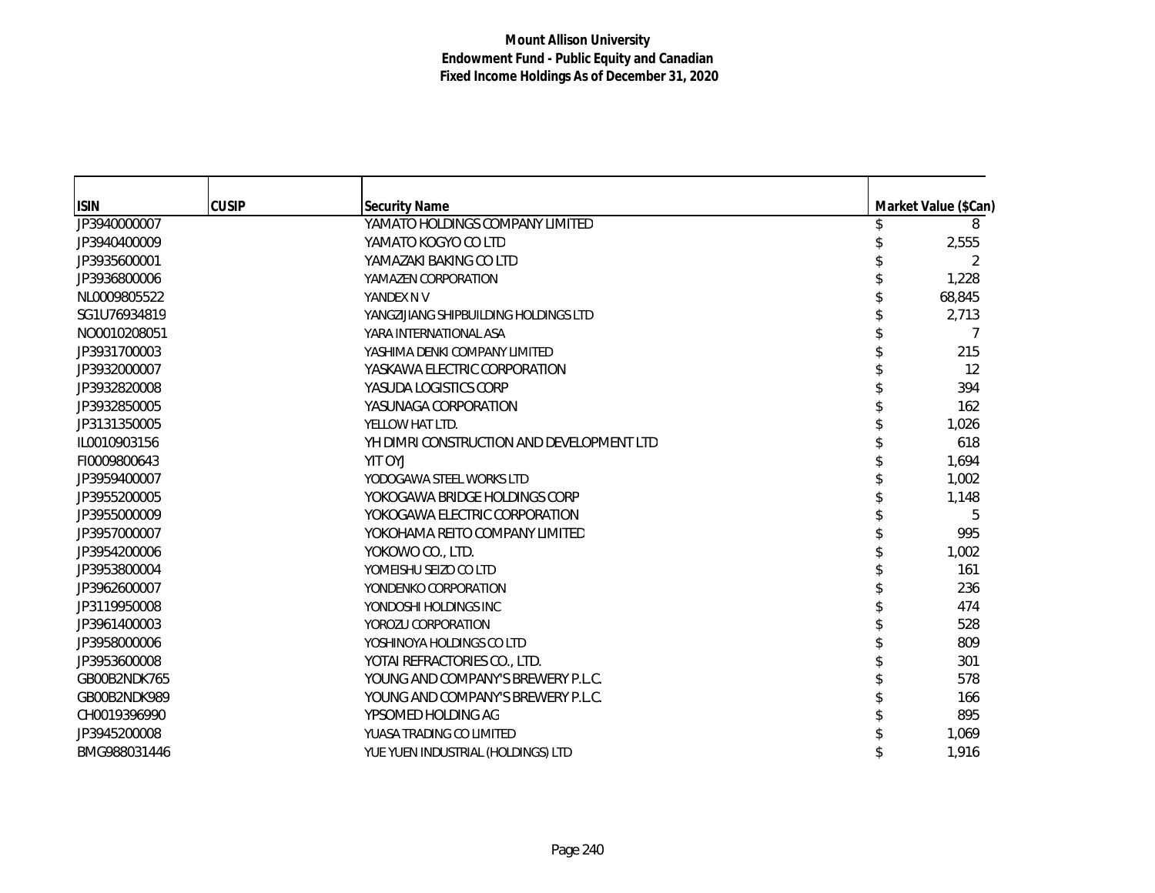| <b>ISIN</b>  | <b>CUSIP</b> | <b>Security Name</b>                      | Market Value (\$Can) |
|--------------|--------------|-------------------------------------------|----------------------|
| JP3940000007 |              | YAMATO HOLDINGS COMPANY LIMITED           | 8                    |
| JP3940400009 |              | YAMATO KOGYO CO LTD                       | 2,555                |
| JP3935600001 |              | YAMAZAKI BAKING CO LTD                    |                      |
| JP3936800006 |              | YAMAZEN CORPORATION                       | 1,228                |
| NL0009805522 |              | YANDEX N V                                | 68,845               |
| SG1U76934819 |              | YANGZIJIANG SHIPBUILDING HOLDINGS LTD     | 2,713                |
| NO0010208051 |              | YARA INTERNATIONAL ASA                    |                      |
| JP3931700003 |              | YASHIMA DENKI COMPANY LIMITED             | 215                  |
| JP3932000007 |              | YASKAWA ELECTRIC CORPORATION              | 12                   |
| JP3932820008 |              | YASUDA LOGISTICS CORP                     | 394                  |
| JP3932850005 |              | YASUNAGA CORPORATION                      | 162                  |
| JP3131350005 |              | YELLOW HAT LTD.                           | 1,026                |
| IL0010903156 |              | YH DIMRI CONSTRUCTION AND DEVELOPMENT LTD | 618                  |
| FI0009800643 |              | YIT OYJ                                   | 1,694                |
| JP3959400007 |              | YODOGAWA STEEL WORKS LTD                  | 1,002                |
| JP3955200005 |              | YOKOGAWA BRIDGE HOLDINGS CORP             | 1,148                |
| JP3955000009 |              | YOKOGAWA ELECTRIC CORPORATION             | 5                    |
| JP3957000007 |              | YOKOHAMA REITO COMPANY LIMITED            | 995                  |
| JP3954200006 |              | YOKOWO CO., LTD.                          | 1,002                |
| JP3953800004 |              | YOMEISHU SEIZO CO LTD                     | 161                  |
| JP3962600007 |              | YONDENKO CORPORATION                      | 236                  |
| JP3119950008 |              | YONDOSHI HOLDINGS INC                     | 474                  |
| JP3961400003 |              | YOROZU CORPORATION                        | 528                  |
| JP3958000006 |              | YOSHINOYA HOLDINGS CO LTD                 | 809                  |
| JP3953600008 |              | YOTAI REFRACTORIES CO., LTD.              | 301                  |
| GB00B2NDK765 |              | YOUNG AND COMPANY'S BREWERY P.L.C.        | 578                  |
| GB00B2NDK989 |              | YOUNG AND COMPANY'S BREWERY P.L.C.        | 166                  |
| CH0019396990 |              | YPSOMED HOLDING AG                        | 895                  |
| JP3945200008 |              | YUASA TRADING CO LIMITED                  | 1,069                |
| BMG988031446 |              | YUE YUEN INDUSTRIAL (HOLDINGS) LTD        | 1,916                |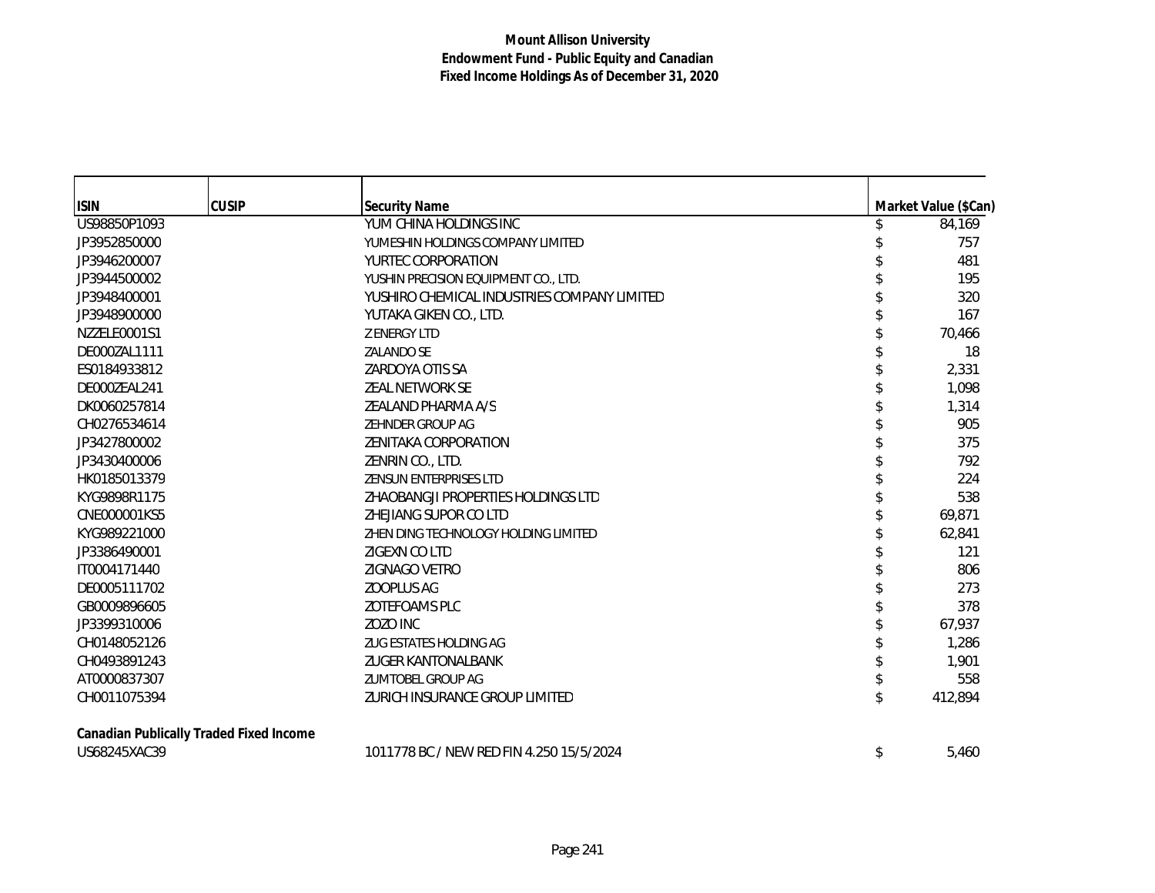| <b>ISIN</b>  | <b>CUSIP</b>                            | <b>Security Name</b>                        | Market Value (\$Can) |
|--------------|-----------------------------------------|---------------------------------------------|----------------------|
| US98850P1093 |                                         | YUM CHINA HOLDINGS INC                      | \$<br>84,169         |
| JP3952850000 |                                         | YUMESHIN HOLDINGS COMPANY LIMITED           | 757                  |
| JP3946200007 |                                         | YURTEC CORPORATION                          | 481                  |
| JP3944500002 |                                         | YUSHIN PRECISION EQUIPMENT CO., LTD.        | 195                  |
| JP3948400001 |                                         | YUSHIRO CHEMICAL INDUSTRIES COMPANY LIMITED | 320                  |
| JP3948900000 |                                         | YUTAKA GIKEN CO., LTD.                      | 167                  |
| NZZELE0001S1 |                                         | <b>Z ENERGY LTD</b>                         | 70,466               |
| DE000ZAL1111 |                                         | <b>ZALANDO SE</b>                           | 18                   |
| ES0184933812 |                                         | ZARDOYA OTIS SA                             | 2,331                |
| DE000ZEAL241 |                                         | ZEAL NETWORK SE                             | 1,098                |
| DK0060257814 |                                         | <b>ZEALAND PHARMA A/S</b>                   | 1,314                |
| CH0276534614 |                                         | ZEHNDER GROUP AG                            | 905                  |
| JP3427800002 |                                         | ZENITAKA CORPORATION                        | 375                  |
| JP3430400006 |                                         | ZENRIN CO., LTD.                            | 792                  |
| HK0185013379 |                                         | <b>ZENSUN ENTERPRISES LTD</b>               | 224                  |
| KYG9898R1175 |                                         | ZHAOBANGJI PROPERTIES HOLDINGS LTD          | 538                  |
| CNE000001KS5 |                                         | ZHEJIANG SUPOR CO LTD                       | 69,871               |
| KYG989221000 |                                         | ZHEN DING TECHNOLOGY HOLDING LIMITED        | 62,841               |
| JP3386490001 |                                         | ZIGEXN CO LTD                               | 121                  |
| IT0004171440 |                                         | ZIGNAGO VETRO                               | 806                  |
| DE0005111702 |                                         | <b>ZOOPLUS AG</b>                           | 273                  |
| GB0009896605 |                                         | ZOTEFOAMS PLC                               | 378                  |
| JP3399310006 |                                         | ZOZO INC                                    | 67,937               |
| CH0148052126 |                                         | ZUG ESTATES HOLDING AG                      | 1,286                |
| CH0493891243 |                                         | <b>ZUGER KANTONALBANK</b>                   | 1,901                |
| AT0000837307 |                                         | ZUMTOBEL GROUP AG                           | 558                  |
| CH0011075394 |                                         | ZURICH INSURANCE GROUP LIMITED              | \$<br>412,894        |
|              | Canadian Publically Traded Fixed Income |                                             |                      |
| US68245XAC39 |                                         | 1011778 BC / NEW RED FIN 4.250 15/5/2024    | \$<br>5,460          |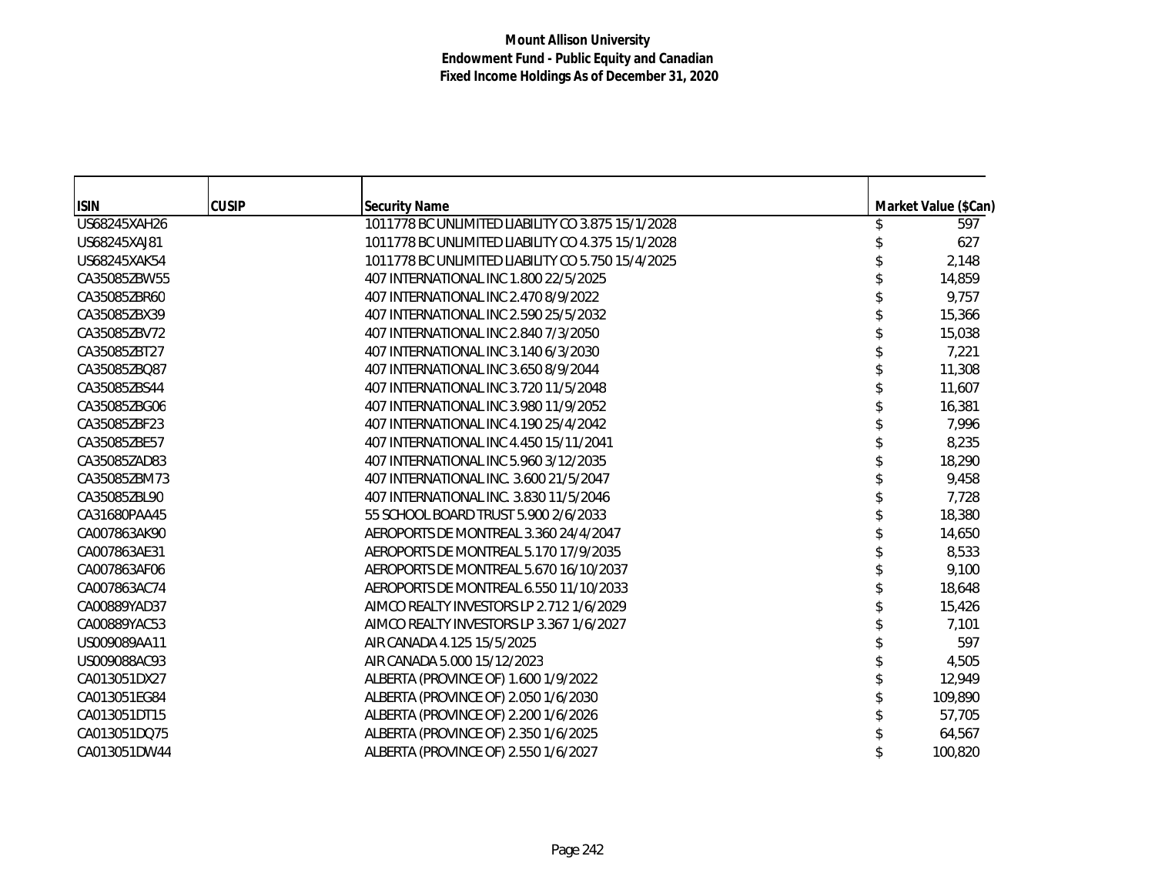| <b>ISIN</b>  | <b>CUSIP</b> | <b>Security Name</b>                              | Market Value (\$Can) |
|--------------|--------------|---------------------------------------------------|----------------------|
| US68245XAH26 |              | 1011778 BC UNLIMITED LIABILITY CO 3.875 15/1/2028 | 597                  |
| US68245XAJ81 |              | 1011778 BC UNLIMITED LIABILITY CO 4.375 15/1/2028 | 627                  |
| US68245XAK54 |              | 1011778 BC UNLIMITED LIABILITY CO 5.750 15/4/2025 | 2,148                |
| CA35085ZBW55 |              | 407 INTERNATIONAL INC 1.800 22/5/2025             | 14,859               |
| CA35085ZBR60 |              | 407 INTERNATIONAL INC 2.470 8/9/2022              | 9,757                |
| CA35085ZBX39 |              | 407 INTERNATIONAL INC 2.590 25/5/2032             | 15,366               |
| CA35085ZBV72 |              | 407 INTERNATIONAL INC 2.840 7/3/2050              | 15,038               |
| CA35085ZBT27 |              | 407 INTERNATIONAL INC 3.140 6/3/2030              | 7,221                |
| CA35085ZBQ87 |              | 407 INTERNATIONAL INC 3.650 8/9/2044              | 11,308               |
| CA35085ZBS44 |              | 407 INTERNATIONAL INC 3.720 11/5/2048             | 11,607               |
| CA35085ZBG06 |              | 407 INTERNATIONAL INC 3.980 11/9/2052             | 16,381               |
| CA35085ZBF23 |              | 407 INTERNATIONAL INC 4.190 25/4/2042             | 7,996                |
| CA35085ZBE57 |              | 407 INTERNATIONAL INC 4.450 15/11/2041            | 8,235                |
| CA35085ZAD83 |              | 407 INTERNATIONAL INC 5.960 3/12/2035             | 18,290               |
| CA35085ZBM73 |              | 407 INTERNATIONAL INC. 3.600 21/5/2047            | 9,458                |
| CA35085ZBL90 |              | 407 INTERNATIONAL INC. 3.830 11/5/2046            | 7,728                |
| CA31680PAA45 |              | 55 SCHOOL BOARD TRUST 5.900 2/6/2033              | 18,380               |
| CA007863AK90 |              | AEROPORTS DE MONTREAL 3.360 24/4/2047             | 14,650               |
| CA007863AE31 |              | AEROPORTS DE MONTREAL 5.170 17/9/2035             | 8,533                |
| CA007863AF06 |              | AEROPORTS DE MONTREAL 5.670 16/10/2037            | 9,100                |
| CA007863AC74 |              | AEROPORTS DE MONTREAL 6.550 11/10/2033            | 18,648               |
| CA00889YAD37 |              | AIMCO REALTY INVESTORS LP 2.712 1/6/2029          | 15,426               |
| CA00889YAC53 |              | AIMCO REALTY INVESTORS LP 3.367 1/6/2027          | 7,101                |
| US009089AA11 |              | AIR CANADA 4.125 15/5/2025                        | 597                  |
| US009088AC93 |              | AIR CANADA 5.000 15/12/2023                       | 4,505                |
| CA013051DX27 |              | ALBERTA (PROVINCE OF) 1.600 1/9/2022              | 12,949               |
| CA013051EG84 |              | ALBERTA (PROVINCE OF) 2.050 1/6/2030              | 109,890              |
| CA013051DT15 |              | ALBERTA (PROVINCE OF) 2.200 1/6/2026              | 57,705               |
| CA013051DQ75 |              | ALBERTA (PROVINCE OF) 2.350 1/6/2025              | 64,567               |
| CA013051DW44 |              | ALBERTA (PROVINCE OF) 2.550 1/6/2027              | 100,820              |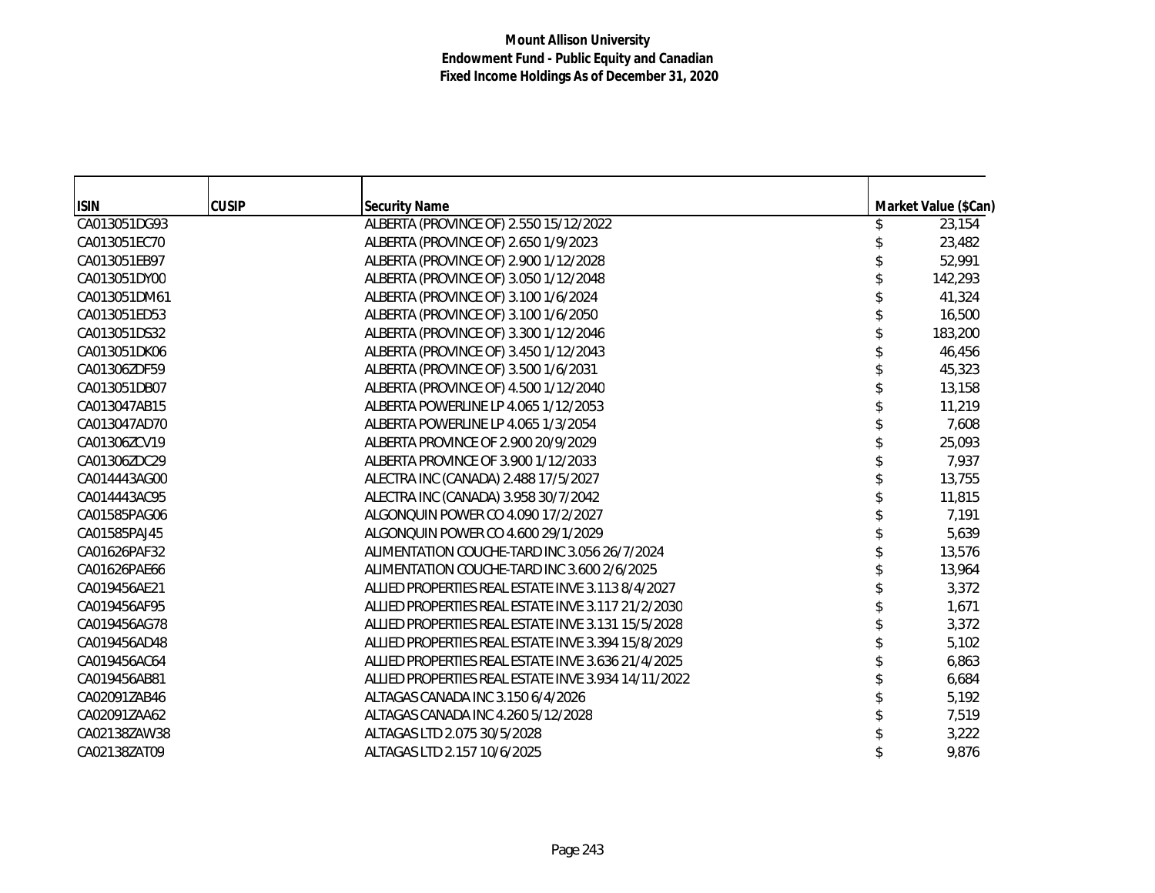| <b>ISIN</b>  | <b>CUSIP</b> | <b>Security Name</b>                                | Market Value (\$Can) |
|--------------|--------------|-----------------------------------------------------|----------------------|
| CA013051DG93 |              | ALBERTA (PROVINCE OF) 2.550 15/12/2022              | 23,154               |
| CA013051EC70 |              | ALBERTA (PROVINCE OF) 2.650 1/9/2023                | 23,482               |
| CA013051EB97 |              | ALBERTA (PROVINCE OF) 2.900 1/12/2028               | 52,991               |
| CA013051DY00 |              | ALBERTA (PROVINCE OF) 3.050 1/12/2048               | 142,293              |
| CA013051DM61 |              | ALBERTA (PROVINCE OF) 3.100 1/6/2024                | 41,324               |
| CA013051ED53 |              | ALBERTA (PROVINCE OF) 3.100 1/6/2050                | 16,500               |
| CA013051DS32 |              | ALBERTA (PROVINCE OF) 3.300 1/12/2046               | 183,200              |
| CA013051DK06 |              | ALBERTA (PROVINCE OF) 3.450 1/12/2043               | 46,456               |
| CA01306ZDF59 |              | ALBERTA (PROVINCE OF) 3.500 1/6/2031                | 45,323               |
| CA013051DB07 |              | ALBERTA (PROVINCE OF) 4.500 1/12/2040               | 13,158               |
| CA013047AB15 |              | ALBERTA POWERLINE LP 4.065 1/12/2053                | 11,219               |
| CA013047AD70 |              | ALBERTA POWERLINE LP 4.065 1/3/2054                 | 7,608                |
| CA01306ZCV19 |              | ALBERTA PROVINCE OF 2.900 20/9/2029                 | 25,093               |
| CA01306ZDC29 |              | ALBERTA PROVINCE OF 3.900 1/12/2033                 | 7,937                |
| CA014443AG00 |              | ALECTRA INC (CANADA) 2.488 17/5/2027                | 13,755               |
| CA014443AC95 |              | ALECTRA INC (CANADA) 3.958 30/7/2042                | 11,815               |
| CA01585PAG06 |              | ALGONQUIN POWER CO 4.090 17/2/2027                  | 7,191                |
| CA01585PAJ45 |              | ALGONQUIN POWER CO 4.600 29/1/2029                  | 5,639                |
| CA01626PAF32 |              | ALIMENTATION COUCHE-TARD INC 3.056 26/7/2024        | 13,576               |
| CA01626PAE66 |              | ALIMENTATION COUCHE-TARD INC 3.600 2/6/2025         | 13,964               |
| CA019456AE21 |              | ALLIED PROPERTIES REAL ESTATE INVE 3.113 8/4/2027   | 3,372                |
| CA019456AF95 |              | ALLIED PROPERTIES REAL ESTATE INVE 3.117 21/2/2030  | 1,671                |
| CA019456AG78 |              | ALLIED PROPERTIES REAL ESTATE INVE 3.131 15/5/2028  | 3,372                |
| CA019456AD48 |              | ALLIED PROPERTIES REAL ESTATE INVE 3.394 15/8/2029  | 5,102                |
| CA019456AC64 |              | ALLIED PROPERTIES REAL ESTATE INVE 3.636 21/4/2025  | 6,863                |
| CA019456AB81 |              | ALLIED PROPERTIES REAL ESTATE INVE 3.934 14/11/2022 | 6,684                |
| CA02091ZAB46 |              | ALTAGAS CANADA INC 3.150 6/4/2026                   | 5,192                |
| CA02091ZAA62 |              | ALTAGAS CANADA INC 4.260 5/12/2028                  | 7,519                |
| CA02138ZAW38 |              | ALTAGAS LTD 2.075 30/5/2028                         | 3,222                |
| CA02138ZAT09 |              | ALTAGAS LTD 2.157 10/6/2025                         | 9,876                |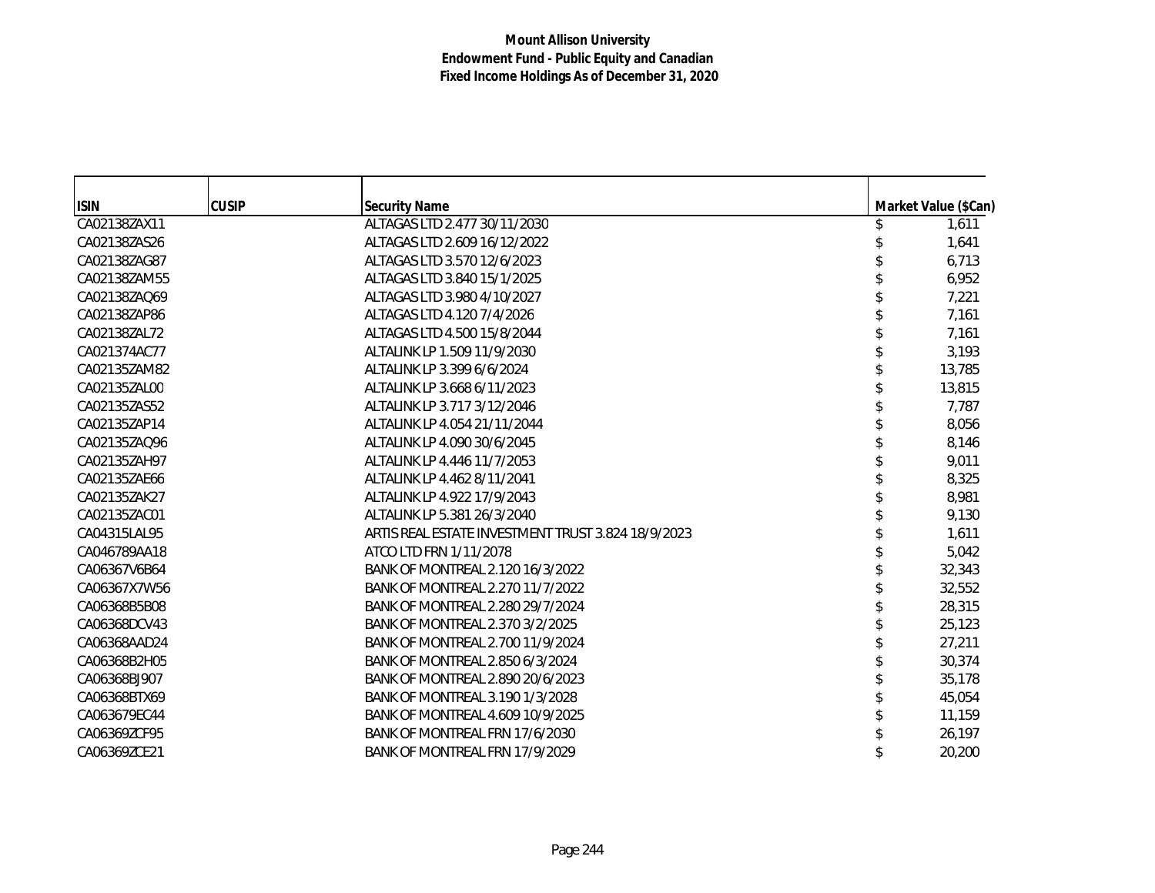| <b>ISIN</b>  | <b>CUSIP</b> | <b>Security Name</b>                               | Market Value (\$Can) |
|--------------|--------------|----------------------------------------------------|----------------------|
| CA02138ZAX11 |              | ALTAGAS LTD 2.477 30/11/2030                       | 1,611                |
| CA02138ZAS26 |              | ALTAGAS LTD 2.609 16/12/2022                       | 1,641                |
| CA02138ZAG87 |              | ALTAGAS LTD 3.570 12/6/2023                        | 6,713                |
| CA02138ZAM55 |              | ALTAGAS LTD 3.840 15/1/2025                        | 6,952                |
| CA02138ZAQ69 |              | ALTAGAS LTD 3.980 4/10/2027                        | 7,221                |
| CA02138ZAP86 |              | ALTAGAS LTD 4.120 7/4/2026                         | 7,161                |
| CA02138ZAL72 |              | ALTAGAS LTD 4.500 15/8/2044                        | 7,161                |
| CA021374AC77 |              | ALTALINK LP 1.509 11/9/2030                        | 3,193                |
| CA02135ZAM82 |              | ALTALINK LP 3.399 6/6/2024                         | 13,785               |
| CA02135ZAL00 |              | ALTALINK LP 3.668 6/11/2023                        | 13,815               |
| CA02135ZAS52 |              | ALTALINK LP 3.717 3/12/2046                        | 7,787                |
| CA02135ZAP14 |              | ALTALINK LP 4.054 21/11/2044                       | 8,056                |
| CA02135ZAQ96 |              | ALTALINK LP 4.090 30/6/2045                        | 8,146                |
| CA02135ZAH97 |              | ALTALINK LP 4.446 11/7/2053                        | 9,011                |
| CA02135ZAE66 |              | ALTALINK LP 4.462 8/11/2041                        | 8,325                |
| CA02135ZAK27 |              | ALTALINK LP 4.922 17/9/2043                        | 8,981                |
| CA02135ZAC01 |              | ALTALINK LP 5.381 26/3/2040                        | 9,130                |
| CA04315LAL95 |              | ARTIS REAL ESTATE INVESTMENT TRUST 3.824 18/9/2023 | 1,611                |
| CA046789AA18 |              | ATCO LTD FRN 1/11/2078                             | 5,042                |
| CA06367V6B64 |              | BANK OF MONTREAL 2.120 16/3/2022                   | 32,343               |
| CA06367X7W56 |              | BANK OF MONTREAL 2.270 11/7/2022                   | 32,552               |
| CA06368B5B08 |              | BANK OF MONTREAL 2.280 29/7/2024                   | 28,315               |
| CA06368DCV43 |              | BANK OF MONTREAL 2.370 3/2/2025                    | 25,123               |
| CA06368AAD24 |              | BANK OF MONTREAL 2.700 11/9/2024                   | 27,211               |
| CA06368B2H05 |              | BANK OF MONTREAL 2.850 6/3/2024                    | 30,374               |
| CA06368BJ907 |              | BANK OF MONTREAL 2.890 20/6/2023                   | 35,178               |
| CA06368BTX69 |              | BANK OF MONTREAL 3.190 1/3/2028                    | 45,054               |
| CA063679EC44 |              | BANK OF MONTREAL 4.609 10/9/2025                   | 11,159               |
| CA06369ZCF95 |              | BANK OF MONTREAL FRN 17/6/2030                     | 26,197               |
| CA06369ZCE21 |              | BANK OF MONTREAL FRN 17/9/2029                     | 20,200               |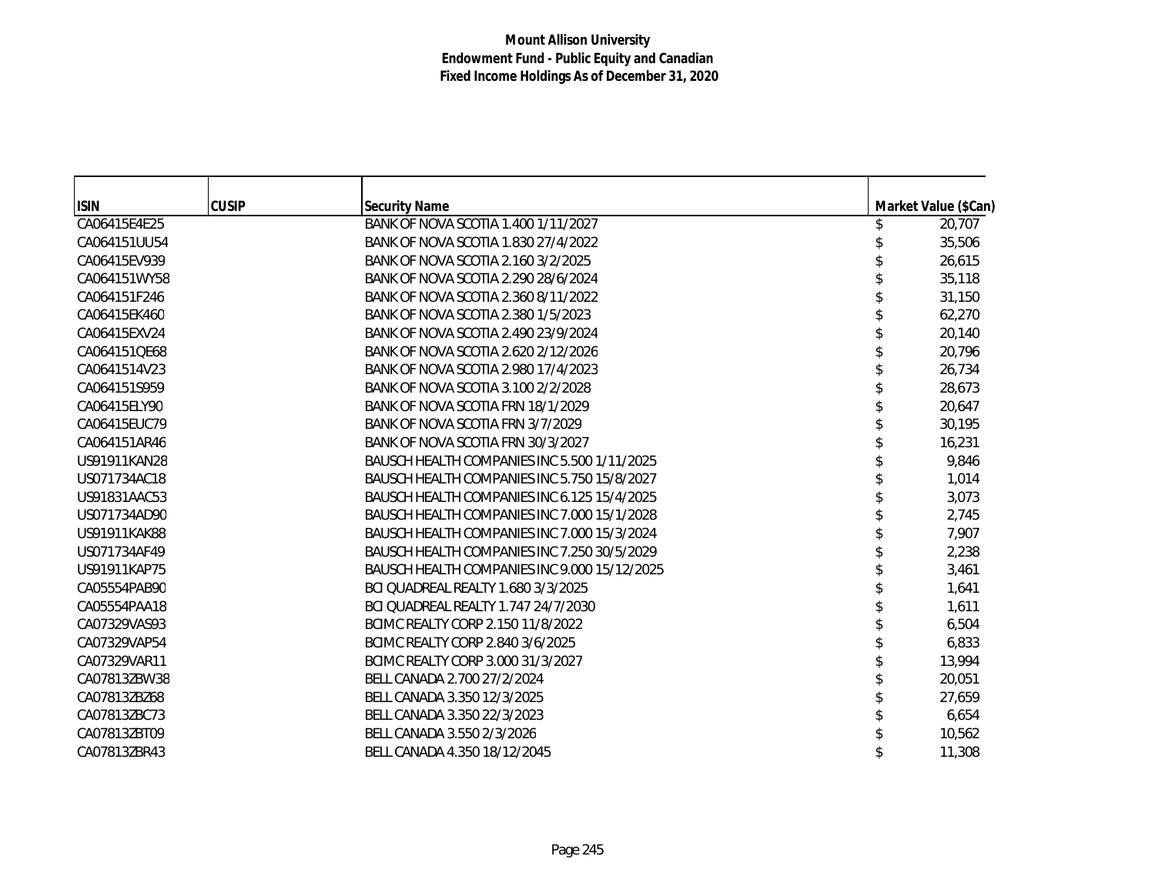| <b>ISIN</b>  | <b>CUSIP</b> | <b>Security Name</b>                         | Market Value (\$Can) |
|--------------|--------------|----------------------------------------------|----------------------|
| CA06415E4E25 |              | BANK OF NOVA SCOTIA 1.400 1/11/2027          | 20,707               |
| CA064151UU54 |              | BANK OF NOVA SCOTIA 1.830 27/4/2022          | 35,506               |
| CA06415EV939 |              | BANK OF NOVA SCOTIA 2.160 3/2/2025           | 26,615               |
| CA064151WY58 |              | BANK OF NOVA SCOTIA 2.290 28/6/2024          | 35,118               |
| CA064151F246 |              | BANK OF NOVA SCOTIA 2.360 8/11/2022          | 31,150               |
| CA06415EK460 |              | BANK OF NOVA SCOTIA 2.380 1/5/2023           | 62,270               |
| CA06415EXV24 |              | BANK OF NOVA SCOTIA 2.490 23/9/2024          | 20,140               |
| CA064151QE68 |              | BANK OF NOVA SCOTIA 2.620 2/12/2026          | 20,796               |
| CA0641514V23 |              | BANK OF NOVA SCOTIA 2.980 17/4/2023          | 26,734               |
| CA064151S959 |              | BANK OF NOVA SCOTIA 3.100 2/2/2028           | 28,673               |
| CA06415ELY90 |              | BANK OF NOVA SCOTIA FRN 18/1/2029            | 20,647               |
| CA06415EUC79 |              | BANK OF NOVA SCOTIA FRN 3/7/2029             | 30,195               |
| CA064151AR46 |              | BANK OF NOVA SCOTIA FRN 30/3/2027            | 16,231               |
| US91911KAN28 |              | BAUSCH HEALTH COMPANIES INC 5.500 1/11/2025  | 9,846                |
| US071734AC18 |              | BAUSCH HEALTH COMPANIES INC 5.750 15/8/2027  | 1,014                |
| US91831AAC53 |              | BAUSCH HEALTH COMPANIES INC 6.125 15/4/2025  | 3,073                |
| US071734AD90 |              | BAUSCH HEALTH COMPANIES INC 7.000 15/1/2028  | 2,745                |
| US91911KAK88 |              | BAUSCH HEALTH COMPANIES INC 7.000 15/3/2024  | 7,907                |
| US071734AF49 |              | BAUSCH HEALTH COMPANIES INC 7.250 30/5/2029  | 2,238                |
| US91911KAP75 |              | BAUSCH HEALTH COMPANIES INC 9.000 15/12/2025 | 3,461                |
| CA05554PAB90 |              | BCI QUADREAL REALTY 1.680 3/3/2025           | 1,641                |
| CA05554PAA18 |              | BCI QUADREAL REALTY 1.747 24/7/2030          | 1,611                |
| CA07329VAS93 |              | BCIMC REALTY CORP 2.150 11/8/2022            | 6,504                |
| CA07329VAP54 |              | BCIMC REALTY CORP 2.840 3/6/2025             | 6,833                |
| CA07329VAR11 |              | BCIMC REALTY CORP 3.000 31/3/2027            | 13,994               |
| CA07813ZBW38 |              | BELL CANADA 2.700 27/2/2024                  | 20,051               |
| CA07813ZBZ68 |              | BELL CANADA 3.350 12/3/2025                  | 27,659               |
| CA07813ZBC73 |              | BELL CANADA 3.350 22/3/2023                  | 6,654                |
| CA07813ZBT09 |              | BELL CANADA 3.550 2/3/2026                   | 10,562               |
| CA07813ZBR43 |              | BELL CANADA 4.350 18/12/2045                 | 11,308               |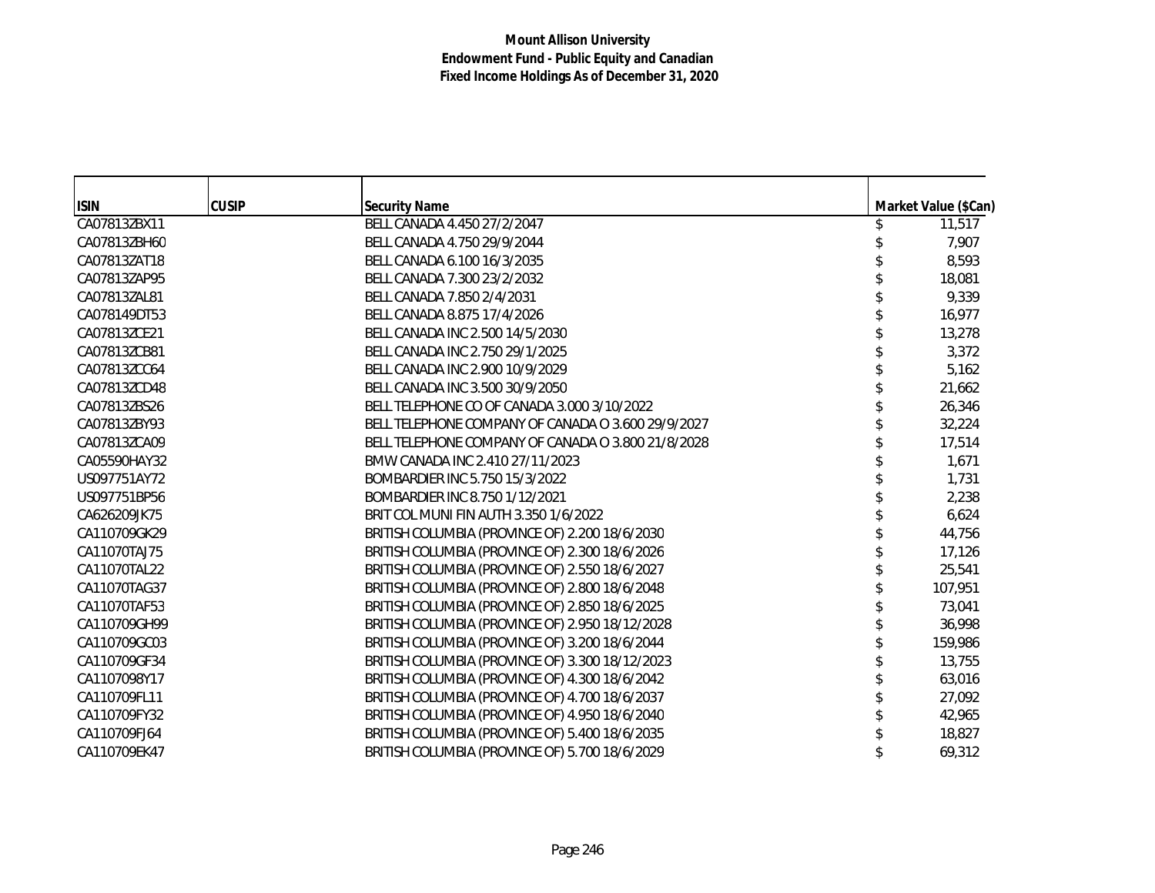| <b>ISIN</b>  | <b>CUSIP</b> | <b>Security Name</b>                               | Market Value (\$Can) |
|--------------|--------------|----------------------------------------------------|----------------------|
| CA07813ZBX11 |              | BELL CANADA 4.450 27/2/2047                        | 11,517               |
| CA07813ZBH60 |              | BELL CANADA 4.750 29/9/2044                        | 7,907                |
| CA07813ZAT18 |              | BELL CANADA 6.100 16/3/2035                        | 8,593                |
| CA07813ZAP95 |              | BELL CANADA 7.300 23/2/2032                        | 18,081               |
| CA07813ZAL81 |              | BELL CANADA 7.850 2/4/2031                         | 9,339                |
| CA078149DT53 |              | BELL CANADA 8.875 17/4/2026                        | 16,977               |
| CA07813ZCE21 |              | BELL CANADA INC 2.500 14/5/2030                    | 13,278               |
| CA07813ZCB81 |              | BELL CANADA INC 2.750 29/1/2025                    | 3,372                |
| CA07813ZCC64 |              | BELL CANADA INC 2.900 10/9/2029                    | 5,162                |
| CA07813ZCD48 |              | BELL CANADA INC 3.500 30/9/2050                    | 21,662               |
| CA07813ZBS26 |              | BELL TELEPHONE CO OF CANADA 3.000 3/10/2022        | 26,346               |
| CA07813ZBY93 |              | BELL TELEPHONE COMPANY OF CANADA O 3.600 29/9/2027 | 32,224               |
| CA07813ZCA09 |              | BELL TELEPHONE COMPANY OF CANADA O 3.800 21/8/2028 | 17,514               |
| CA05590HAY32 |              | BMW CANADA INC 2.410 27/11/2023                    | 1,671                |
| US097751AY72 |              | BOMBARDIER INC 5.750 15/3/2022                     | 1,731                |
| US097751BP56 |              | BOMBARDIER INC 8.750 1/12/2021                     | 2,238                |
| CA626209JK75 |              | BRIT COL MUNI FIN AUTH 3.350 1/6/2022              | 6,624                |
| CA110709GK29 |              | BRITISH COLUMBIA (PROVINCE OF) 2.200 18/6/2030     | 44,756               |
| CA11070TAJ75 |              | BRITISH COLUMBIA (PROVINCE OF) 2.300 18/6/2026     | 17,126               |
| CA11070TAL22 |              | BRITISH COLUMBIA (PROVINCE OF) 2.550 18/6/2027     | 25,541               |
| CA11070TAG37 |              | BRITISH COLUMBIA (PROVINCE OF) 2.800 18/6/2048     | 107,951              |
| CA11070TAF53 |              | BRITISH COLUMBIA (PROVINCE OF) 2.850 18/6/2025     | 73,041               |
| CA110709GH99 |              | BRITISH COLUMBIA (PROVINCE OF) 2.950 18/12/2028    | 36,998               |
| CA110709GC03 |              | BRITISH COLUMBIA (PROVINCE OF) 3.200 18/6/2044     | 159,986              |
| CA110709GF34 |              | BRITISH COLUMBIA (PROVINCE OF) 3.300 18/12/2023    | 13,755               |
| CA1107098Y17 |              | BRITISH COLUMBIA (PROVINCE OF) 4.300 18/6/2042     | 63,016               |
| CA110709FL11 |              | BRITISH COLUMBIA (PROVINCE OF) 4.700 18/6/2037     | 27,092               |
| CA110709FY32 |              | BRITISH COLUMBIA (PROVINCE OF) 4.950 18/6/2040     | 42,965               |
| CA110709FJ64 |              | BRITISH COLUMBIA (PROVINCE OF) 5.400 18/6/2035     | 18,827               |
| CA110709EK47 |              | BRITISH COLUMBIA (PROVINCE OF) 5.700 18/6/2029     | 69,312               |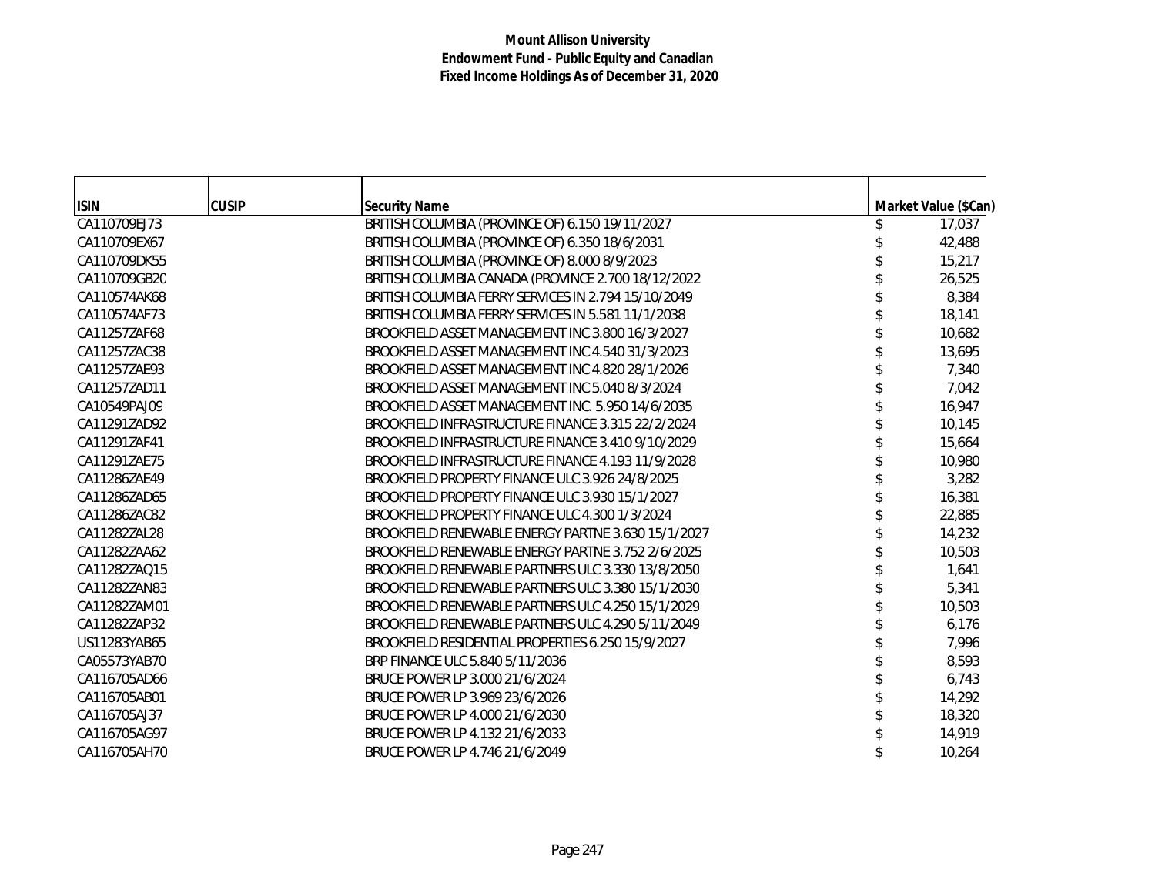| <b>ISIN</b>  | <b>CUSIP</b> | <b>Security Name</b>                                | Market Value (\$Can) |
|--------------|--------------|-----------------------------------------------------|----------------------|
| CA110709EJ73 |              | BRITISH COLUMBIA (PROVINCE OF) 6.150 19/11/2027     | 17,037               |
| CA110709EX67 |              | BRITISH COLUMBIA (PROVINCE OF) 6.350 18/6/2031      | 42,488               |
| CA110709DK55 |              | BRITISH COLUMBIA (PROVINCE OF) 8.000 8/9/2023       | 15,217               |
| CA110709GB20 |              | BRITISH COLUMBIA CANADA (PROVINCE 2.700 18/12/2022  | 26,525               |
| CA110574AK68 |              | BRITISH COLUMBIA FERRY SERVICES IN 2.794 15/10/2049 | 8,384                |
| CA110574AF73 |              | BRITISH COLUMBIA FERRY SERVICES IN 5.581 11/1/2038  | 18,141               |
| CA11257ZAF68 |              | BROOKFIELD ASSET MANAGEMENT INC 3.800 16/3/2027     | 10,682               |
| CA11257ZAC38 |              | BROOKFIELD ASSET MANAGEMENT INC 4.540 31/3/2023     | 13,695               |
| CA11257ZAE93 |              | BROOKFIELD ASSET MANAGEMENT INC 4.820 28/1/2026     | 7,340                |
| CA11257ZAD11 |              | BROOKFIELD ASSET MANAGEMENT INC 5.040 8/3/2024      | 7,042                |
| CA10549PAJ09 |              | BROOKFIELD ASSET MANAGEMENT INC. 5.950 14/6/2035    | 16,947               |
| CA11291ZAD92 |              | BROOKFIELD INFRASTRUCTURE FINANCE 3.315 22/2/2024   | 10,145               |
| CA11291ZAF41 |              | BROOKFIELD INFRASTRUCTURE FINANCE 3.410 9/10/2029   | 15,664               |
| CA11291ZAE75 |              | BROOKFIELD INFRASTRUCTURE FINANCE 4.193 11/9/2028   | 10,980               |
| CA11286ZAE49 |              | BROOKFIELD PROPERTY FINANCE ULC 3.926 24/8/2025     | 3,282                |
| CA11286ZAD65 |              | BROOKFIELD PROPERTY FINANCE ULC 3.930 15/1/2027     | 16,381               |
| CA11286ZAC82 |              | BROOKFIELD PROPERTY FINANCE ULC 4.300 1/3/2024      | 22,885               |
| CA11282ZAL28 |              | BROOKFIELD RENEWABLE ENERGY PARTNE 3.630 15/1/2027  | 14,232               |
| CA11282ZAA62 |              | BROOKFIELD RENEWABLE ENERGY PARTNE 3.752 2/6/2025   | 10,503               |
| CA11282ZAQ15 |              | BROOKFIELD RENEWABLE PARTNERS ULC 3.330 13/8/2050   | 1,641                |
| CA11282ZAN83 |              | BROOKFIELD RENEWABLE PARTNERS ULC 3.380 15/1/2030   | 5,341                |
| CA11282ZAM01 |              | BROOKFIELD RENEWABLE PARTNERS ULC 4.250 15/1/2029   | 10,503               |
| CA11282ZAP32 |              | BROOKFIELD RENEWABLE PARTNERS ULC 4.290 5/11/2049   | 6,176                |
| US11283YAB65 |              | BROOKFIELD RESIDENTIAL PROPERTIES 6.250 15/9/2027   | 7,996                |
| CA05573YAB70 |              | BRP FINANCE ULC 5.840 5/11/2036                     | 8,593                |
| CA116705AD66 |              | BRUCE POWER LP 3.000 21/6/2024                      | 6,743                |
| CA116705AB01 |              | BRUCE POWER LP 3.969 23/6/2026                      | 14,292               |
| CA116705AJ37 |              | BRUCE POWER LP 4.000 21/6/2030                      | 18,320               |
| CA116705AG97 |              | BRUCE POWER LP 4.132 21/6/2033                      | 14,919               |
| CA116705AH70 |              | BRUCE POWER LP 4.746 21/6/2049                      | 10,264               |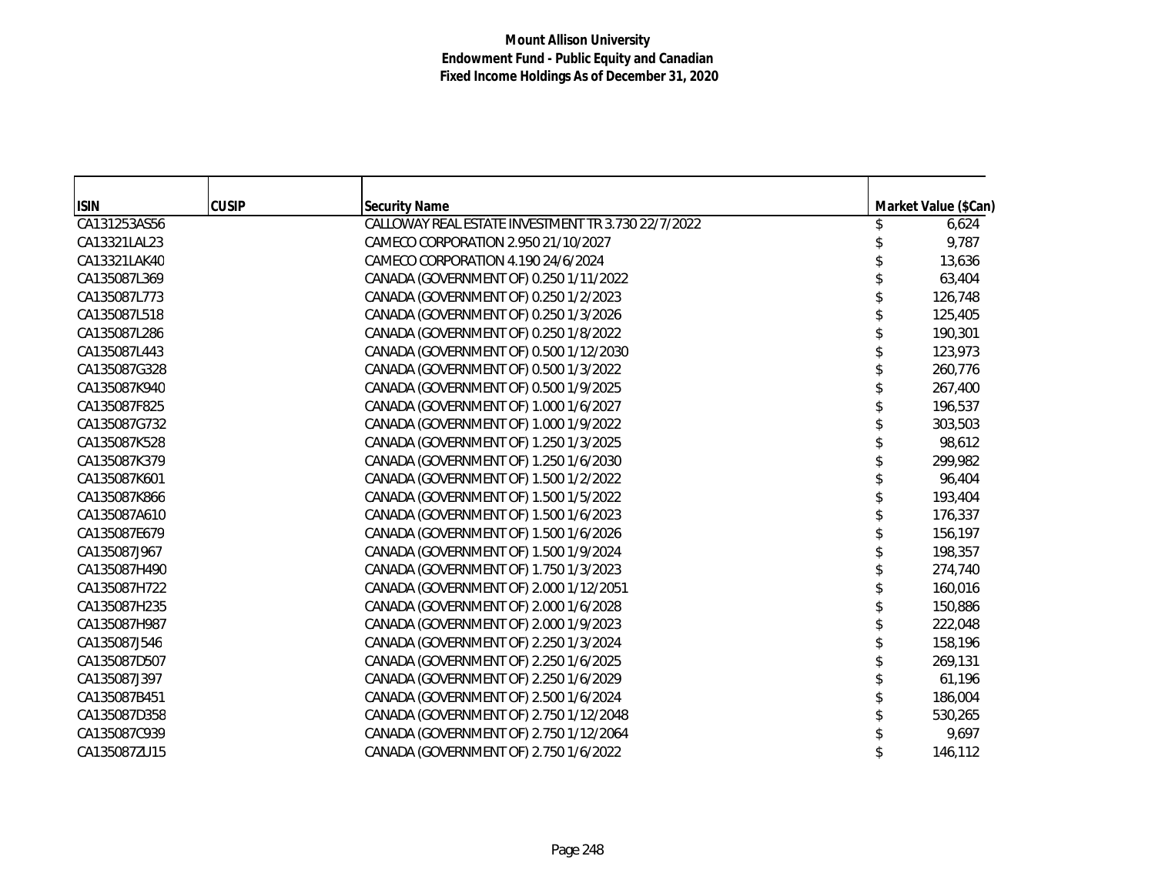| <b>ISIN</b>  | <b>CUSIP</b> | <b>Security Name</b>                               | Market Value (\$Can) |
|--------------|--------------|----------------------------------------------------|----------------------|
| CA131253AS56 |              | CALLOWAY REAL ESTATE INVESTMENT TR 3.730 22/7/2022 | 6,624                |
| CA13321LAL23 |              | CAMECO CORPORATION 2.950 21/10/2027                | 9,787                |
| CA13321LAK40 |              | CAMECO CORPORATION 4.190 24/6/2024                 | 13,636               |
| CA135087L369 |              | CANADA (GOVERNMENT OF) 0.250 1/11/2022             | 63,404               |
| CA135087L773 |              | CANADA (GOVERNMENT OF) 0.250 1/2/2023              | 126,748              |
| CA135087L518 |              | CANADA (GOVERNMENT OF) 0.250 1/3/2026              | 125,405              |
| CA135087L286 |              | CANADA (GOVERNMENT OF) 0.250 1/8/2022              | 190,301              |
| CA135087L443 |              | CANADA (GOVERNMENT OF) 0.500 1/12/2030             | 123,973              |
| CA135087G328 |              | CANADA (GOVERNMENT OF) 0.500 1/3/2022              | 260,776              |
| CA135087K940 |              | CANADA (GOVERNMENT OF) 0.500 1/9/2025              | 267,400              |
| CA135087F825 |              | CANADA (GOVERNMENT OF) 1.000 1/6/2027              | 196,537              |
| CA135087G732 |              | CANADA (GOVERNMENT OF) 1.000 1/9/2022              | 303,503              |
| CA135087K528 |              | CANADA (GOVERNMENT OF) 1.250 1/3/2025              | 98,612               |
| CA135087K379 |              | CANADA (GOVERNMENT OF) 1.250 1/6/2030              | 299,982              |
| CA135087K601 |              | CANADA (GOVERNMENT OF) 1.500 1/2/2022              | 96,404               |
| CA135087K866 |              | CANADA (GOVERNMENT OF) 1.500 1/5/2022              | 193,404              |
| CA135087A610 |              | CANADA (GOVERNMENT OF) 1.500 1/6/2023              | 176,337              |
| CA135087E679 |              | CANADA (GOVERNMENT OF) 1.500 1/6/2026              | 156,197              |
| CA135087J967 |              | CANADA (GOVERNMENT OF) 1.500 1/9/2024              | 198,357              |
| CA135087H490 |              | CANADA (GOVERNMENT OF) 1.750 1/3/2023              | 274,740              |
| CA135087H722 |              | CANADA (GOVERNMENT OF) 2.000 1/12/2051             | 160,016              |
| CA135087H235 |              | CANADA (GOVERNMENT OF) 2.000 1/6/2028              | 150,886              |
| CA135087H987 |              | CANADA (GOVERNMENT OF) 2.000 1/9/2023              | 222,048              |
| CA135087J546 |              | CANADA (GOVERNMENT OF) 2.250 1/3/2024              | 158,196              |
| CA135087D507 |              | CANADA (GOVERNMENT OF) 2.250 1/6/2025              | 269,131              |
| CA135087J397 |              | CANADA (GOVERNMENT OF) 2.250 1/6/2029              | 61,196               |
| CA135087B451 |              | CANADA (GOVERNMENT OF) 2.500 1/6/2024              | 186,004              |
| CA135087D358 |              | CANADA (GOVERNMENT OF) 2.750 1/12/2048             | 530,265              |
| CA135087C939 |              | CANADA (GOVERNMENT OF) 2.750 1/12/2064             | 9,697                |
| CA135087ZU15 |              | CANADA (GOVERNMENT OF) 2.750 1/6/2022              | 146,112              |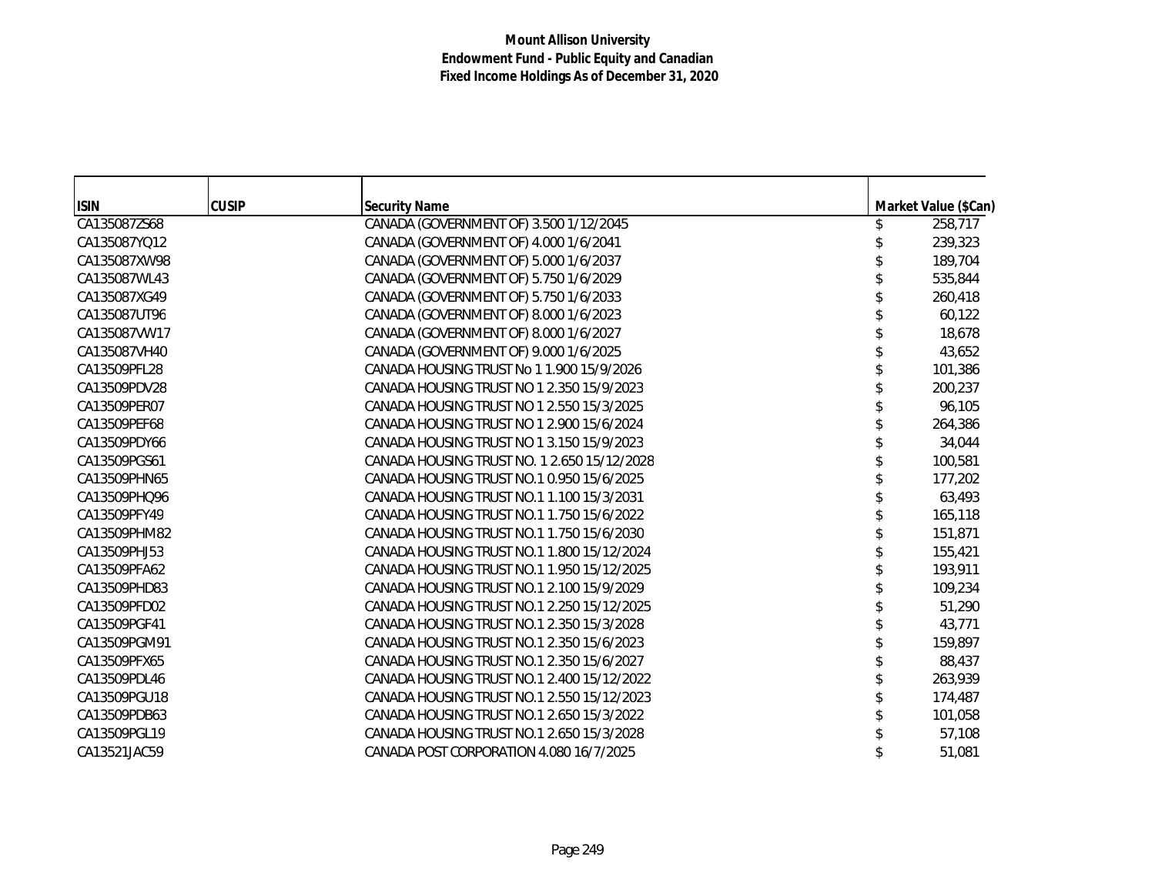|                             | <b>CUSIP</b> |                                                                |                                 |
|-----------------------------|--------------|----------------------------------------------------------------|---------------------------------|
| <b>ISIN</b><br>CA135087ZS68 |              | <b>Security Name</b><br>CANADA (GOVERNMENT OF) 3.500 1/12/2045 | Market Value (\$Can)<br>258,717 |
| CA135087YQ12                |              | CANADA (GOVERNMENT OF) 4.000 1/6/2041                          | 239,323                         |
| CA135087XW98                |              | CANADA (GOVERNMENT OF) 5.000 1/6/2037                          | 189,704                         |
| CA135087WL43                |              | CANADA (GOVERNMENT OF) 5.750 1/6/2029                          | 535,844                         |
| CA135087XG49                |              | CANADA (GOVERNMENT OF) 5.750 1/6/2033                          | 260,418                         |
| CA135087UT96                |              | CANADA (GOVERNMENT OF) 8.000 1/6/2023                          | 60,122                          |
| CA135087VW17                |              | CANADA (GOVERNMENT OF) 8.000 1/6/2027                          | 18,678                          |
| CA135087VH40                |              | CANADA (GOVERNMENT OF) 9.000 1/6/2025                          | 43,652                          |
| CA13509PFL28                |              | CANADA HOUSING TRUST No 1 1.900 15/9/2026                      | 101,386                         |
| CA13509PDV28                |              | CANADA HOUSING TRUST NO 1 2.350 15/9/2023                      | 200,237                         |
| CA13509PER07                |              | CANADA HOUSING TRUST NO 1 2.550 15/3/2025                      | 96,105                          |
| CA13509PEF68                |              | CANADA HOUSING TRUST NO 1 2.900 15/6/2024                      |                                 |
|                             |              |                                                                | 264,386                         |
| CA13509PDY66                |              | CANADA HOUSING TRUST NO 1 3.150 15/9/2023                      | 34,044                          |
| CA13509PGS61                |              | CANADA HOUSING TRUST NO. 1 2.650 15/12/2028                    | 100,581                         |
| CA13509PHN65                |              | CANADA HOUSING TRUST NO.1 0.950 15/6/2025                      | 177,202                         |
| CA13509PHQ96                |              | CANADA HOUSING TRUST NO.1 1.100 15/3/2031                      | 63,493                          |
| CA13509PFY49                |              | CANADA HOUSING TRUST NO.1 1.750 15/6/2022                      | 165,118                         |
| CA13509PHM82                |              | CANADA HOUSING TRUST NO.1 1.750 15/6/2030                      | 151,871                         |
| CA13509PHJ53                |              | CANADA HOUSING TRUST NO.1 1.800 15/12/2024                     | 155,421                         |
| CA13509PFA62                |              | CANADA HOUSING TRUST NO.1 1.950 15/12/2025                     | 193,911                         |
| CA13509PHD83                |              | CANADA HOUSING TRUST NO.1 2.100 15/9/2029                      | 109,234                         |
| CA13509PFD02                |              | CANADA HOUSING TRUST NO.1 2.250 15/12/2025                     | 51,290                          |
| CA13509PGF41                |              | CANADA HOUSING TRUST NO.1 2.350 15/3/2028                      | 43,771                          |
| CA13509PGM91                |              | CANADA HOUSING TRUST NO.1 2.350 15/6/2023                      | 159,897                         |
| CA13509PFX65                |              | CANADA HOUSING TRUST NO.1 2.350 15/6/2027                      | 88,437                          |
| CA13509PDL46                |              | CANADA HOUSING TRUST NO.1 2.400 15/12/2022                     | 263,939                         |
| CA13509PGU18                |              | CANADA HOUSING TRUST NO.1 2.550 15/12/2023                     | 174,487                         |
| CA13509PDB63                |              | CANADA HOUSING TRUST NO.1 2.650 15/3/2022                      | 101,058                         |
| CA13509PGL19                |              | CANADA HOUSING TRUST NO.1 2.650 15/3/2028                      | 57,108                          |
| CA13521JAC59                |              | CANADA POST CORPORATION 4.080 16/7/2025                        | 51,081                          |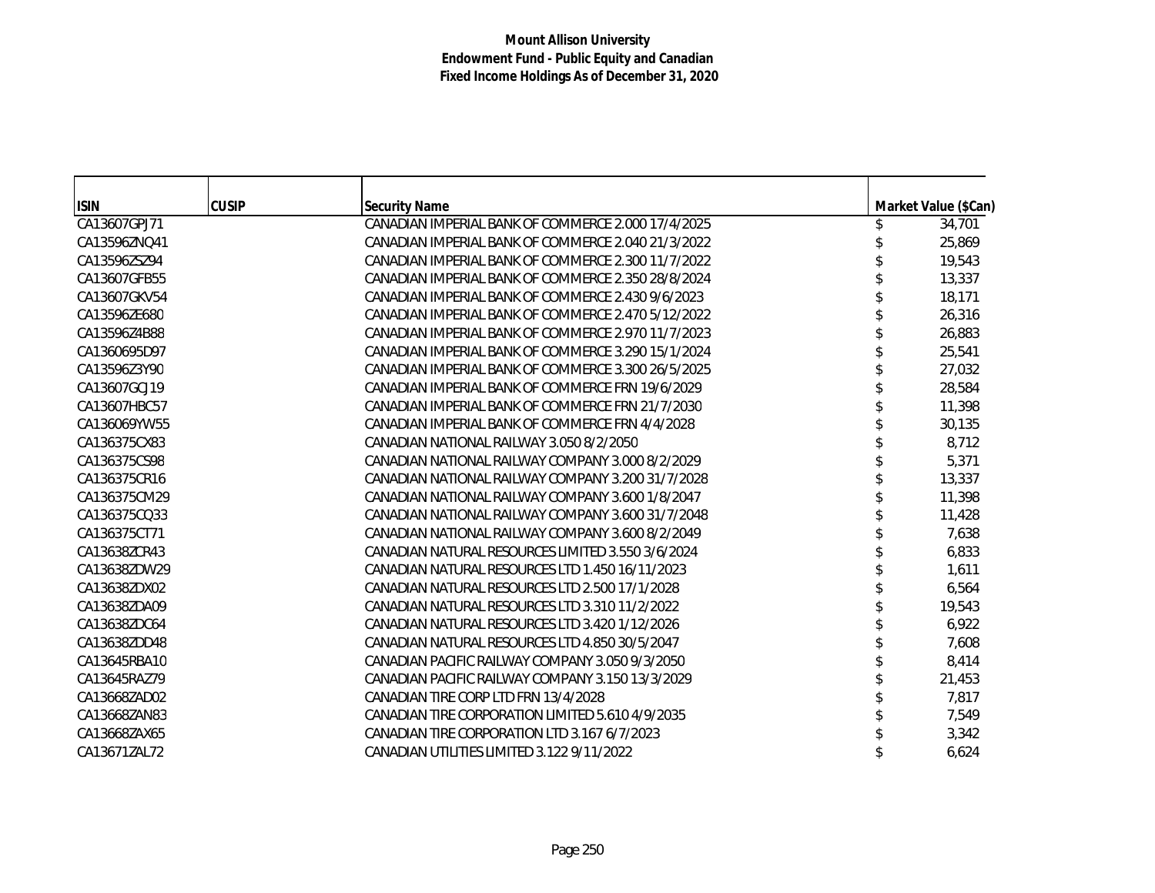| <b>ISIN</b>  | <b>CUSIP</b> | <b>Security Name</b>                               | Market Value (\$Can) |
|--------------|--------------|----------------------------------------------------|----------------------|
| CA13607GPJ71 |              | CANADIAN IMPERIAL BANK OF COMMERCE 2.000 17/4/2025 | 34,701               |
| CA13596ZNQ41 |              | CANADIAN IMPERIAL BANK OF COMMERCE 2.040 21/3/2022 | 25,869               |
| CA13596ZSZ94 |              | CANADIAN IMPERIAL BANK OF COMMERCE 2.300 11/7/2022 | 19,543               |
| CA13607GFB55 |              | CANADIAN IMPERIAL BANK OF COMMERCE 2.350 28/8/2024 | 13,337               |
| CA13607GKV54 |              | CANADIAN IMPERIAL BANK OF COMMERCE 2.430 9/6/2023  | 18,171               |
| CA13596ZE680 |              | CANADIAN IMPERIAL BANK OF COMMERCE 2.470 5/12/2022 | 26,316               |
| CA13596Z4B88 |              | CANADIAN IMPERIAL BANK OF COMMERCE 2.970 11/7/2023 | 26,883               |
| CA1360695D97 |              | CANADIAN IMPERIAL BANK OF COMMERCE 3.290 15/1/2024 | 25,541               |
| CA13596Z3Y90 |              | CANADIAN IMPERIAL BANK OF COMMERCE 3.300 26/5/2025 | 27,032               |
| CA13607GCJ19 |              | CANADIAN IMPERIAL BANK OF COMMERCE FRN 19/6/2029   | 28,584               |
| CA13607HBC57 |              | CANADIAN IMPERIAL BANK OF COMMERCE FRN 21/7/2030   | 11,398               |
| CA136069YW55 |              | CANADIAN IMPERIAL BANK OF COMMERCE FRN 4/4/2028    | 30,135               |
| CA136375CX83 |              | CANADIAN NATIONAL RAILWAY 3.050 8/2/2050           | 8,712                |
| CA136375CS98 |              | CANADIAN NATIONAL RAILWAY COMPANY 3,000 8/2/2029   | 5,371                |
| CA136375CR16 |              | CANADIAN NATIONAL RAILWAY COMPANY 3.200 31/7/2028  | 13,337               |
| CA136375CM29 |              | CANADIAN NATIONAL RAILWAY COMPANY 3,600 1/8/2047   | 11,398               |
| CA136375CQ33 |              | CANADIAN NATIONAL RAILWAY COMPANY 3.600 31/7/2048  | 11,428               |
| CA136375CT71 |              | CANADIAN NATIONAL RAILWAY COMPANY 3.600 8/2/2049   | 7,638                |
| CA13638ZCR43 |              | CANADIAN NATURAL RESOURCES LIMITED 3.550 3/6/2024  | 6,833                |
| CA13638ZDW29 |              | CANADIAN NATURAL RESOURCES LTD 1.450 16/11/2023    | 1,611                |
| CA13638ZDX02 |              | CANADIAN NATURAL RESOURCES LTD 2.500 17/1/2028     | 6,564                |
| CA13638ZDA09 |              | CANADIAN NATURAL RESOURCES LTD 3.310 11/2/2022     | 19,543               |
| CA13638ZDC64 |              | CANADIAN NATURAL RESOURCES LTD 3.420 1/12/2026     | 6,922                |
| CA13638ZDD48 |              | CANADIAN NATURAL RESOURCES LTD 4.850 30/5/2047     | 7,608                |
| CA13645RBA10 |              | CANADIAN PACIFIC RAILWAY COMPANY 3.050 9/3/2050    | 8,414                |
| CA13645RAZ79 |              | CANADIAN PACIFIC RAILWAY COMPANY 3.150 13/3/2029   | 21,453               |
| CA13668ZAD02 |              | CANADIAN TIRE CORP LTD FRN 13/4/2028               | 7,817                |
| CA13668ZAN83 |              | CANADIAN TIRE CORPORATION LIMITED 5.610 4/9/2035   | 7,549                |
| CA13668ZAX65 |              | CANADIAN TIRE CORPORATION LTD 3.167 6/7/2023       | 3,342                |
| CA13671ZAL72 |              | CANADIAN UTILITIES LIMITED 3.122 9/11/2022         | 6,624                |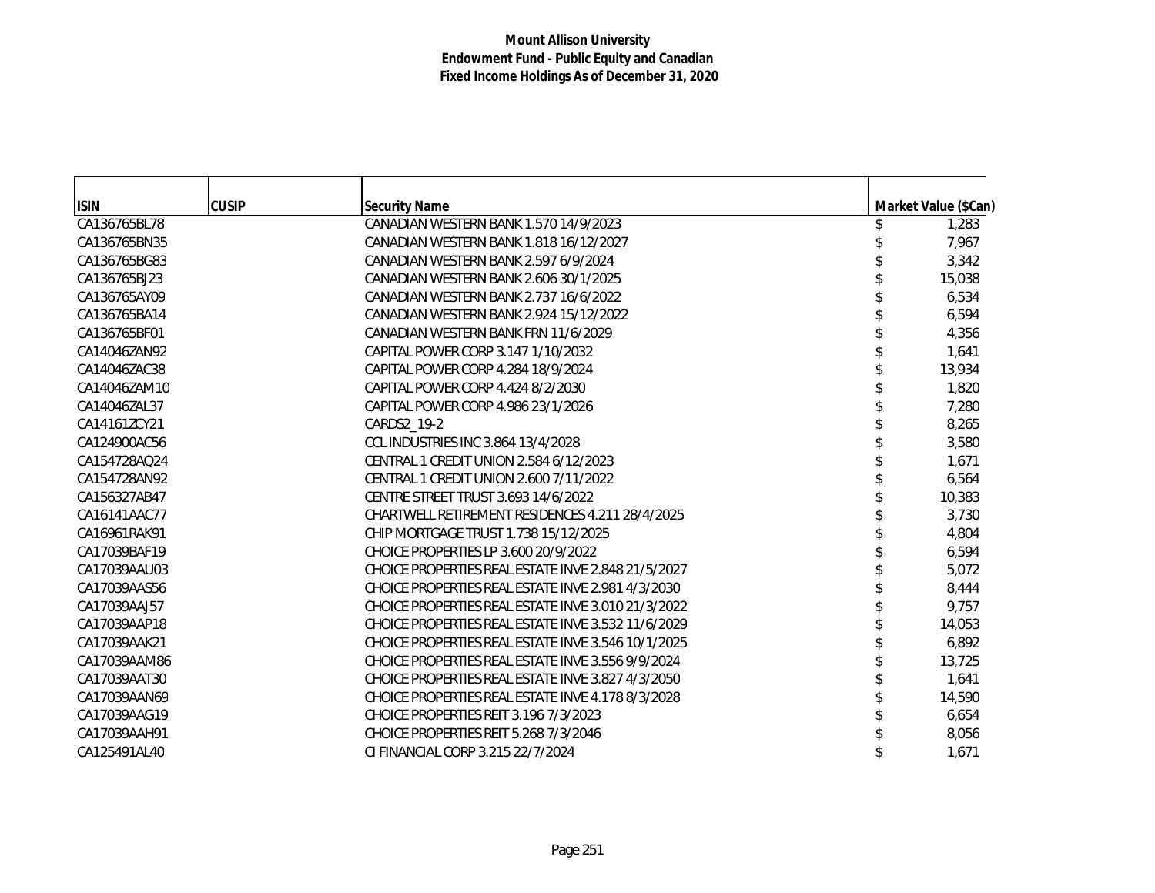| <b>ISIN</b>  | <b>CUSIP</b> | <b>Security Name</b>                               | Market Value (\$Can) |
|--------------|--------------|----------------------------------------------------|----------------------|
| CA136765BL78 |              | CANADIAN WESTERN BANK 1.570 14/9/2023              | 1,283                |
| CA136765BN35 |              | CANADIAN WESTERN BANK 1.818 16/12/2027             | 7,967                |
| CA136765BG83 |              | CANADIAN WESTERN BANK 2.597 6/9/2024               | 3,342                |
| CA136765BJ23 |              | CANADIAN WESTERN BANK 2.606 30/1/2025              | 15,038               |
| CA136765AY09 |              | CANADIAN WESTERN BANK 2.737 16/6/2022              | 6,534                |
| CA136765BA14 |              | CANADIAN WESTERN BANK 2.924 15/12/2022             | 6,594                |
| CA136765BF01 |              | CANADIAN WESTERN BANK FRN 11/6/2029                | 4,356                |
| CA14046ZAN92 |              | CAPITAL POWER CORP 3.147 1/10/2032                 | 1,641                |
| CA14046ZAC38 |              | CAPITAL POWER CORP 4.284 18/9/2024                 | 13,934               |
| CA14046ZAM10 |              | CAPITAL POWER CORP 4.424 8/2/2030                  | 1,820                |
| CA14046ZAL37 |              | CAPITAL POWER CORP 4.986 23/1/2026                 | 7,280                |
| CA14161ZCY21 |              | CARDS2_19-2                                        | 8,265                |
| CA124900AC56 |              | CCL INDUSTRIES INC 3.864 13/4/2028                 | 3,580                |
| CA154728AQ24 |              | CENTRAL 1 CREDIT UNION 2.584 6/12/2023             | 1,671                |
| CA154728AN92 |              | CENTRAL 1 CREDIT UNION 2.600 7/11/2022             | 6,564                |
| CA156327AB47 |              | CENTRE STREET TRUST 3.693 14/6/2022                | 10,383               |
| CA16141AAC77 |              | CHARTWELL RETIREMENT RESIDENCES 4.211 28/4/2025    | 3,730                |
| CA16961RAK91 |              | CHIP MORTGAGE TRUST 1.738 15/12/2025               | 4,804                |
| CA17039BAF19 |              | CHOICE PROPERTIES LP 3.600 20/9/2022               | 6,594                |
| CA17039AAU03 |              | CHOICE PROPERTIES REAL ESTATE INVE 2.848 21/5/2027 | 5,072                |
| CA17039AAS56 |              | CHOICE PROPERTIES REAL ESTATE INVE 2.981 4/3/2030  | 8,444                |
| CA17039AAJ57 |              | CHOICE PROPERTIES REAL ESTATE INVE 3.010 21/3/2022 | 9,757                |
| CA17039AAP18 |              | CHOICE PROPERTIES REAL ESTATE INVE 3.532 11/6/2029 | 14,053               |
| CA17039AAK21 |              | CHOICE PROPERTIES REAL ESTATE INVE 3.546 10/1/2025 | 6,892                |
| CA17039AAM86 |              | CHOICE PROPERTIES REAL ESTATE INVE 3.556 9/9/2024  | 13,725               |
| CA17039AAT30 |              | CHOICE PROPERTIES REAL ESTATE INVE 3.827 4/3/2050  | 1,641                |
| CA17039AAN69 |              | CHOICE PROPERTIES REAL ESTATE INVE 4.178 8/3/2028  | 14,590               |
| CA17039AAG19 |              | CHOICE PROPERTIES REIT 3.196 7/3/2023              | 6,654                |
| CA17039AAH91 |              | CHOICE PROPERTIES REIT 5.268 7/3/2046              | 8,056                |
| CA125491AL40 |              | CLEINANCIAL CORP 3.215 22/7/2024                   | 1,671                |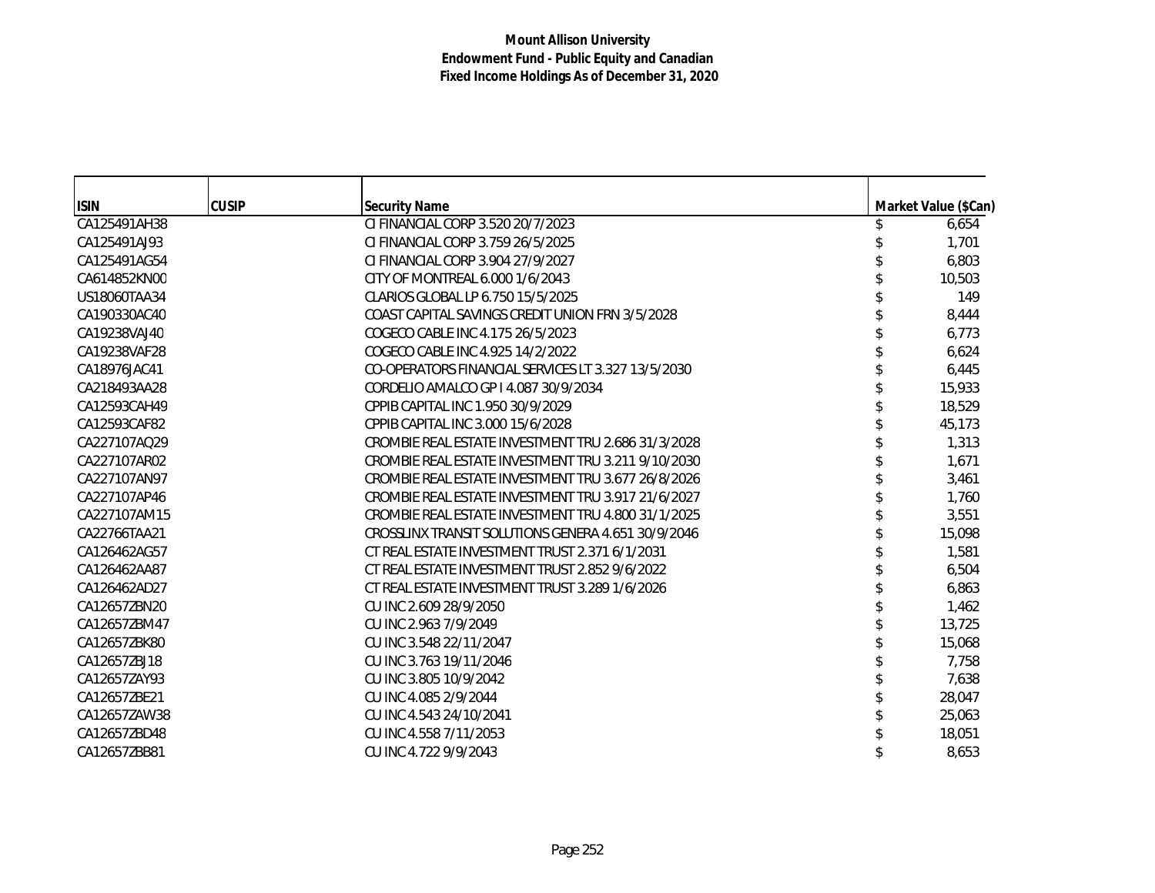| <b>ISIN</b>  | <b>CUSIP</b> | <b>Security Name</b>                               | Market Value (\$Can) |
|--------------|--------------|----------------------------------------------------|----------------------|
| CA125491AH38 |              | CI FINANCIAL CORP 3.520 20/7/2023                  | 6,654                |
| CA125491AJ93 |              | CI FINANCIAL CORP 3.759 26/5/2025                  | 1,701                |
| CA125491AG54 |              | CI FINANCIAL CORP 3.904 27/9/2027                  | 6,803                |
| CA614852KN00 |              | CITY OF MONTREAL 6.000 1/6/2043                    | 10,503               |
| US18060TAA34 |              | CLARIOS GLOBAL LP 6.750 15/5/2025                  | 149                  |
| CA190330AC40 |              | COAST CAPITAL SAVINGS CREDIT UNION FRN 3/5/2028    | 8,444                |
| CA19238VAJ40 |              | COGECO CABLE INC 4.175 26/5/2023                   | 6,773                |
| CA19238VAF28 |              | COGECO CABLE INC 4.925 14/2/2022                   | 6,624                |
| CA18976JAC41 |              | CO-OPERATORS FINANCIAL SERVICES LT 3.327 13/5/2030 | 6,445                |
| CA218493AA28 |              | CORDELIO AMALCO GP I 4.087 30/9/2034               | 15,933               |
| CA12593CAH49 |              | CPPIB CAPITAL INC 1.950 30/9/2029                  | 18,529               |
| CA12593CAF82 |              | CPPIB CAPITAL INC 3.000 15/6/2028                  | 45,173               |
| CA227107AQ29 |              | CROMBIE REAL ESTATE INVESTMENT TRU 2.686 31/3/2028 | 1,313                |
| CA227107AR02 |              | CROMBIE REAL ESTATE INVESTMENT TRU 3.211 9/10/2030 | 1,671                |
| CA227107AN97 |              | CROMBIE REAL ESTATE INVESTMENT TRU 3.677 26/8/2026 | 3,461                |
| CA227107AP46 |              | CROMBIE REAL ESTATE INVESTMENT TRU 3.917 21/6/2027 | 1,760                |
| CA227107AM15 |              | CROMBIE REAL ESTATE INVESTMENT TRU 4.800 31/1/2025 | 3,551                |
| CA22766TAA21 |              | CROSSLINX TRANSIT SOLUTIONS GENERA 4.651 30/9/2046 | 15,098               |
| CA126462AG57 |              | CT REAL ESTATE INVESTMENT TRUST 2.371 6/1/2031     | 1,581                |
| CA126462AA87 |              | CT REAL ESTATE INVESTMENT TRUST 2.852 9/6/2022     | 6,504                |
| CA126462AD27 |              | CT REAL ESTATE INVESTMENT TRUST 3.289 1/6/2026     | 6,863                |
| CA12657ZBN20 |              | CU INC 2.609 28/9/2050                             | 1,462                |
| CA12657ZBM47 |              | CU INC 2.963 7/9/2049                              | 13,725               |
| CA12657ZBK80 |              | CU INC 3.548 22/11/2047                            | 15,068               |
| CA12657ZBJ18 |              | CU INC 3.763 19/11/2046                            | 7,758                |
| CA12657ZAY93 |              | CU INC 3.805 10/9/2042                             | 7,638                |
| CA12657ZBE21 |              | CU INC 4.085 2/9/2044                              | 28,047               |
| CA12657ZAW38 |              | CU INC 4.543 24/10/2041                            | 25,063               |
| CA12657ZBD48 |              | CU INC 4.558 7/11/2053                             | 18,051               |
| CA12657ZBB81 |              | CU INC 4.722 9/9/2043                              | 8,653                |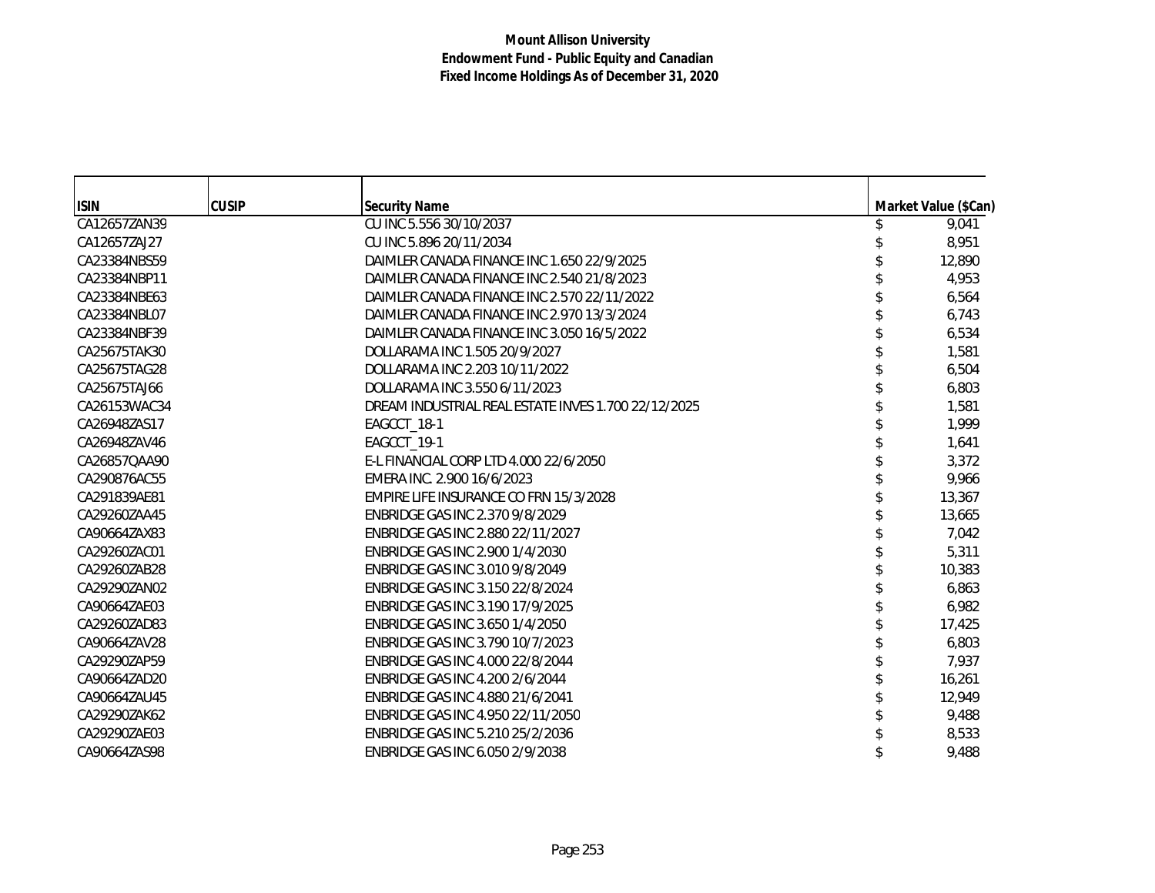| <b>ISIN</b>  | <b>CUSIP</b> | <b>Security Name</b>                                | Market Value (\$Can) |
|--------------|--------------|-----------------------------------------------------|----------------------|
| CA12657ZAN39 |              | CU INC 5.556 30/10/2037                             | 9,041                |
| CA12657ZAJ27 |              | CU INC 5.896 20/11/2034                             | 8,951                |
| CA23384NBS59 |              | DAIMLER CANADA FINANCE INC 1.650 22/9/2025          | 12,890               |
| CA23384NBP11 |              | DAIMLER CANADA FINANCE INC 2.540 21/8/2023          | 4,953                |
| CA23384NBE63 |              | DAIMLER CANADA FINANCE INC 2.570 22/11/2022         | 6,564                |
| CA23384NBL07 |              | DAIMLER CANADA FINANCE INC 2.970 13/3/2024          | 6,743                |
| CA23384NBF39 |              | DAIMLER CANADA FINANCE INC 3.050 16/5/2022          | 6,534                |
| CA25675TAK30 |              | DOLLARAMA INC 1.505 20/9/2027                       | 1,581                |
| CA25675TAG28 |              | DOLLARAMA INC 2.203 10/11/2022                      | 6,504                |
| CA25675TAJ66 |              | DOLLARAMA INC 3.550 6/11/2023                       | 6,803                |
| CA26153WAC34 |              | DREAM INDUSTRIAL REAL ESTATE INVES 1.700 22/12/2025 | 1,581                |
| CA26948ZAS17 |              | EAGCCT_18-1                                         | 1,999                |
| CA26948ZAV46 |              | EAGCCT_19-1                                         | 1,641                |
| CA26857QAA90 |              | E-L FINANCIAL CORP LTD 4.000 22/6/2050              | 3,372                |
| CA290876AC55 |              | EMERA INC. 2.900 16/6/2023                          | 9,966                |
| CA291839AE81 |              | EMPIRE LIFE INSURANCE CO FRN 15/3/2028              | 13,367               |
| CA29260ZAA45 |              | ENBRIDGE GAS INC 2.370 9/8/2029                     | 13,665               |
| CA90664ZAX83 |              | ENBRIDGE GAS INC 2.880 22/11/2027                   | 7,042                |
| CA29260ZAC01 |              | ENBRIDGE GAS INC 2.900 1/4/2030                     | 5,311                |
| CA29260ZAB28 |              | ENBRIDGE GAS INC 3.010 9/8/2049                     | 10,383               |
| CA29290ZAN02 |              | ENBRIDGE GAS INC 3.150 22/8/2024                    | 6,863                |
| CA90664ZAE03 |              | ENBRIDGE GAS INC 3.190 17/9/2025                    | 6,982                |
| CA29260ZAD83 |              | ENBRIDGE GAS INC 3.650 1/4/2050                     | 17,425               |
| CA90664ZAV28 |              | ENBRIDGE GAS INC 3.790 10/7/2023                    | 6,803                |
| CA29290ZAP59 |              | ENBRIDGE GAS INC 4.000 22/8/2044                    | 7,937                |
| CA90664ZAD20 |              | ENBRIDGE GAS INC 4.200 2/6/2044                     | 16,261               |
| CA90664ZAU45 |              | ENBRIDGE GAS INC 4.880 21/6/2041                    | 12,949               |
| CA29290ZAK62 |              | ENBRIDGE GAS INC 4.950 22/11/2050                   | 9,488                |
| CA29290ZAE03 |              | ENBRIDGE GAS INC 5.210 25/2/2036                    | 8,533                |
| CA90664ZAS98 |              | ENBRIDGE GAS INC 6.050 2/9/2038                     | 9,488                |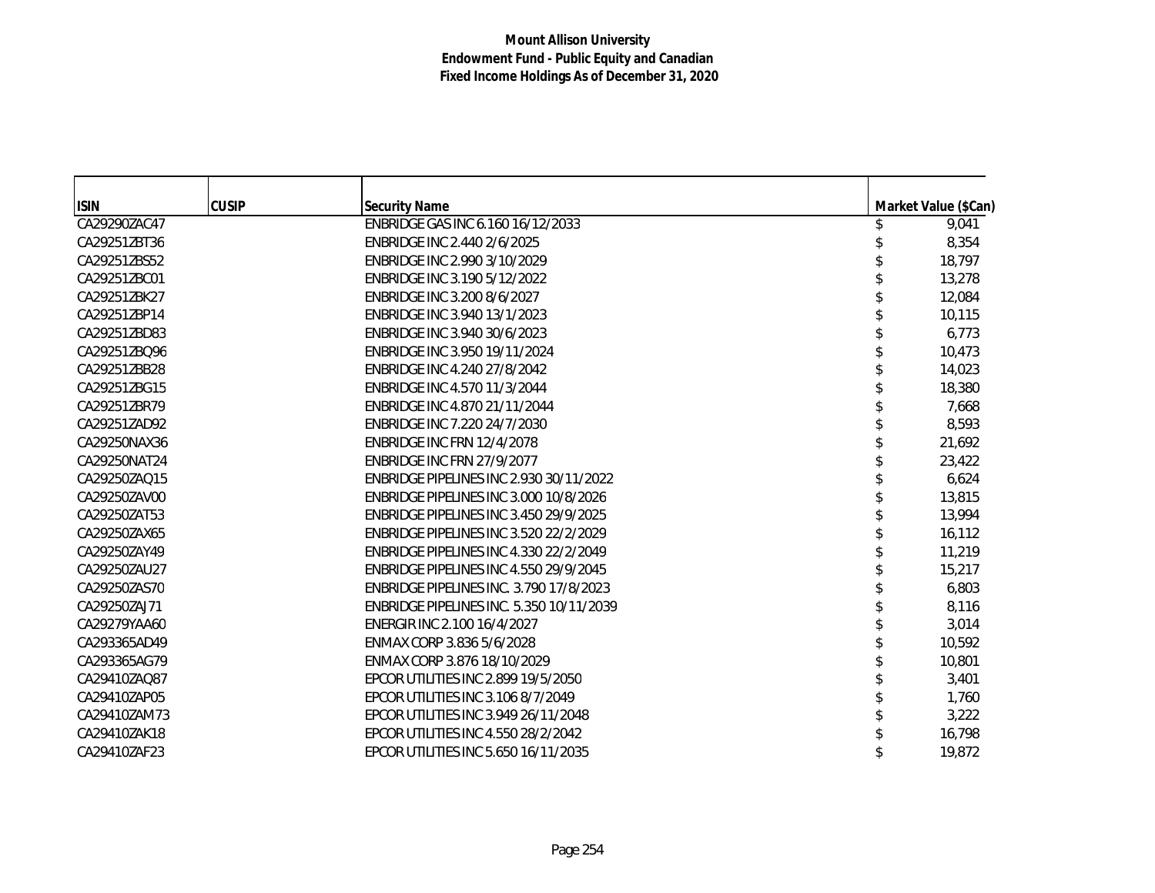| <b>ISIN</b>  | <b>CUSIP</b> | <b>Security Name</b>                            | Market Value (\$Can) |
|--------------|--------------|-------------------------------------------------|----------------------|
| CA29290ZAC47 |              | ENBRIDGE GAS INC 6.160 16/12/2033               | 9,041                |
| CA29251ZBT36 |              | ENBRIDGE INC 2.440 2/6/2025                     | 8,354                |
| CA29251ZBS52 |              | ENBRIDGE INC 2.990 3/10/2029                    | 18,797               |
| CA29251ZBC01 |              | ENBRIDGE INC 3.190 5/12/2022                    | 13,278               |
| CA29251ZBK27 |              | ENBRIDGE INC 3.200 8/6/2027                     | 12,084               |
| CA29251ZBP14 |              | ENBRIDGE INC 3.940 13/1/2023                    | 10,115               |
| CA29251ZBD83 |              | ENBRIDGE INC 3.940 30/6/2023                    | 6,773                |
| CA29251ZBQ96 |              | ENBRIDGE INC 3.950 19/11/2024                   | 10,473               |
| CA29251ZBB28 |              | ENBRIDGE INC 4.240 27/8/2042                    | 14,023               |
| CA29251ZBG15 |              | ENBRIDGE INC 4.570 11/3/2044                    | 18,380               |
| CA29251ZBR79 |              | ENBRIDGE INC 4.870 21/11/2044                   | 7,668                |
| CA29251ZAD92 |              | ENBRIDGE INC 7.220 24/7/2030                    | 8,593                |
| CA29250NAX36 |              | ENBRIDGE INC FRN 12/4/2078                      | 21,692               |
| CA29250NAT24 |              | ENBRIDGE INC FRN 27/9/2077                      | 23,422               |
| CA29250ZAO15 |              | ENBRIDGE PIPELINES INC 2.930 30/11/2022         | 6,624                |
| CA29250ZAV00 |              | ENBRIDGE PIPELINES INC 3.000 10/8/2026          | 13,815               |
| CA29250ZAT53 |              | ENBRIDGE PIPELINES INC 3.450 29/9/2025          | 13,994               |
| CA29250ZAX65 |              | <b>ENBRIDGE PIPELINES INC 3.520 22/2/2029</b>   | 16,112               |
| CA29250ZAY49 |              | <b>ENBRIDGE PIPELINES INC 4.330 22/2/2049</b>   | 11,219               |
| CA29250ZAU27 |              | ENBRIDGE PIPELINES INC 4.550 29/9/2045          | 15,217               |
| CA29250ZAS70 |              | <b>ENBRIDGE PIPELINES INC. 3.790 17/8/2023</b>  | 6,803                |
| CA29250ZAJ71 |              | <b>ENBRIDGE PIPELINES INC. 5.350 10/11/2039</b> | 8,116                |
| CA29279YAA60 |              | ENERGIR INC 2.100 16/4/2027                     | 3,014                |
| CA293365AD49 |              | ENMAX CORP 3.836 5/6/2028                       | 10,592               |
| CA293365AG79 |              | ENMAX CORP 3.876 18/10/2029                     | 10,801               |
| CA29410ZAQ87 |              | EPCOR UTILITIES INC 2.899 19/5/2050             | 3,401                |
| CA29410ZAP05 |              | EPCOR UTILITIES INC 3.106 8/7/2049              | 1,760                |
| CA29410ZAM73 |              | EPCOR UTILITIES INC 3.949 26/11/2048            | 3,222                |
| CA29410ZAK18 |              | EPCOR UTILITIES INC 4.550 28/2/2042             | 16,798               |
| CA29410ZAF23 |              | EPCOR UTILITIES INC 5.650 16/11/2035            | 19,872               |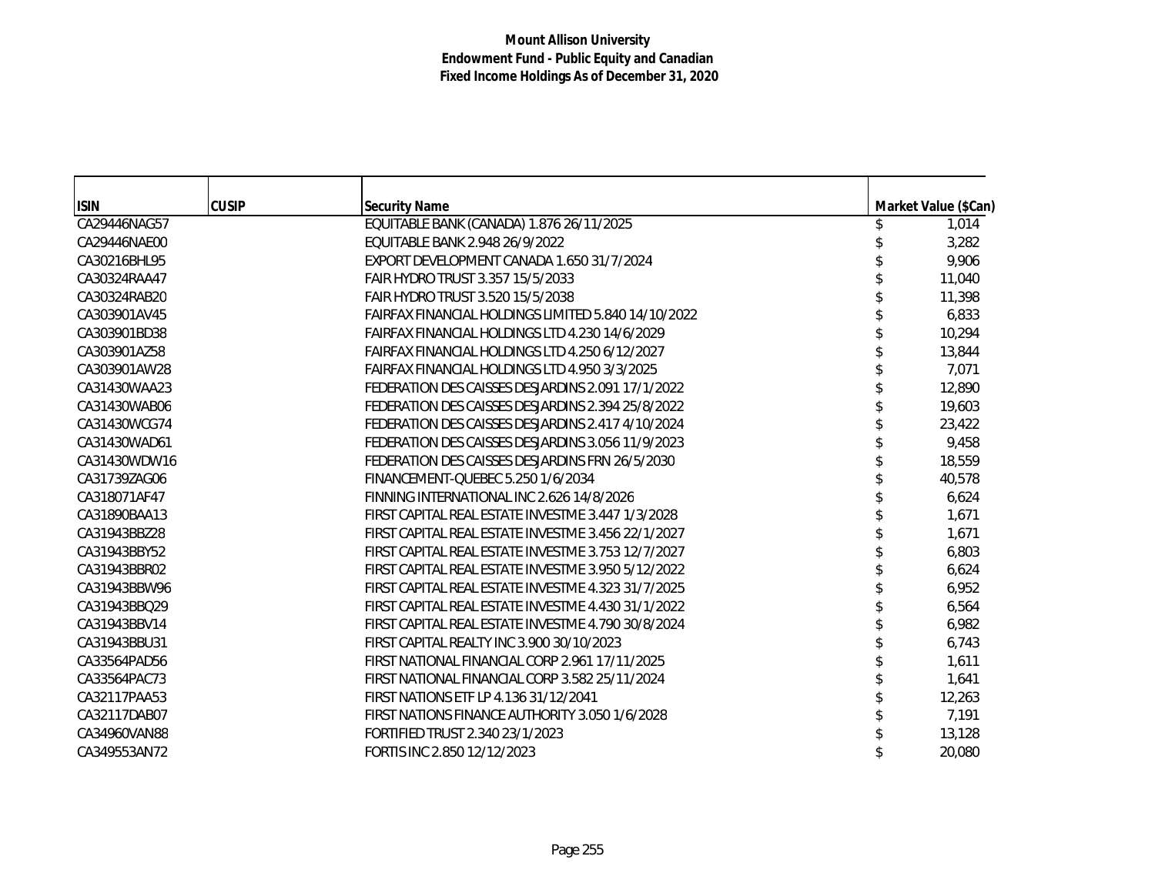| <b>ISIN</b>  | <b>CUSIP</b> | <b>Security Name</b>                                | Market Value (\$Can) |
|--------------|--------------|-----------------------------------------------------|----------------------|
| CA29446NAG57 |              | EQUITABLE BANK (CANADA) 1.876 26/11/2025            | 1,014                |
| CA29446NAE00 |              | EQUITABLE BANK 2.948 26/9/2022                      | 3,282                |
| CA30216BHL95 |              | EXPORT DEVELOPMENT CANADA 1.650 31/7/2024           | 9,906                |
| CA30324RAA47 |              | FAIR HYDRO TRUST 3.357 15/5/2033                    | 11,040               |
| CA30324RAB20 |              | FAIR HYDRO TRUST 3.520 15/5/2038                    | 11,398               |
| CA303901AV45 |              | FAIRFAX FINANCIAL HOLDINGS LIMITED 5.840 14/10/2022 | 6,833                |
| CA303901BD38 |              | FAIRFAX FINANCIAL HOLDINGS LTD 4.230 14/6/2029      | 10,294               |
| CA303901AZ58 |              | FAIRFAX FINANCIAL HOLDINGS LTD 4.250 6/12/2027      | 13,844               |
| CA303901AW28 |              | FAIRFAX FINANCIAL HOLDINGS LTD 4.950 3/3/2025       | 7,071                |
| CA31430WAA23 |              | FEDERATION DES CAISSES DESJARDINS 2.091 17/1/2022   | 12,890               |
| CA31430WAB06 |              | FEDERATION DES CAISSES DESJARDINS 2.394 25/8/2022   | 19,603               |
| CA31430WCG74 |              | FEDERATION DES CAISSES DESJARDINS 2.417 4/10/2024   | 23,422               |
| CA31430WAD61 |              | FEDERATION DES CAISSES DESJARDINS 3.056 11/9/2023   | 9,458                |
| CA31430WDW16 |              | FEDERATION DES CAISSES DESJARDINS FRN 26/5/2030     | 18,559               |
| CA31739ZAG06 |              | FINANCEMENT-QUEBEC 5.250 1/6/2034                   | 40,578               |
| CA318071AF47 |              | FINNING INTERNATIONAL INC 2.626 14/8/2026           | 6,624                |
| CA31890BAA13 |              | FIRST CAPITAL REAL ESTATE INVESTME 3.447 1/3/2028   | 1,671                |
| CA31943BBZ28 |              | FIRST CAPITAL REAL ESTATE INVESTME 3.456 22/1/2027  | 1,671                |
| CA31943BBY52 |              | FIRST CAPITAL REAL ESTATE INVESTME 3.753 12/7/2027  | 6,803                |
| CA31943BBR02 |              | FIRST CAPITAL REAL ESTATE INVESTME 3.950 5/12/2022  | 6,624                |
| CA31943BBW96 |              | FIRST CAPITAL REAL ESTATE INVESTME 4.323 31/7/2025  | 6,952                |
| CA31943BBO29 |              | FIRST CAPITAL REAL ESTATE INVESTME 4.430 31/1/2022  | 6,564                |
| CA31943BBV14 |              | FIRST CAPITAL REAL ESTATE INVESTME 4.790 30/8/2024  | 6,982                |
| CA31943BBU31 |              | FIRST CAPITAL REALTY INC 3.900 30/10/2023           | 6,743                |
| CA33564PAD56 |              | FIRST NATIONAL FINANCIAL CORP 2.961 17/11/2025      | 1,611                |
| CA33564PAC73 |              | FIRST NATIONAL FINANCIAL CORP 3.582 25/11/2024      | 1,641                |
| CA32117PAA53 |              | FIRST NATIONS ETF LP 4.136 31/12/2041               | 12,263               |
| CA32117DAB07 |              | FIRST NATIONS FINANCE AUTHORITY 3.050 1/6/2028      | 7,191                |
| CA34960VAN88 |              | FORTIFIED TRUST 2.340 23/1/2023                     | 13,128               |
| CA349553AN72 |              | FORTIS INC 2.850 12/12/2023                         | 20,080               |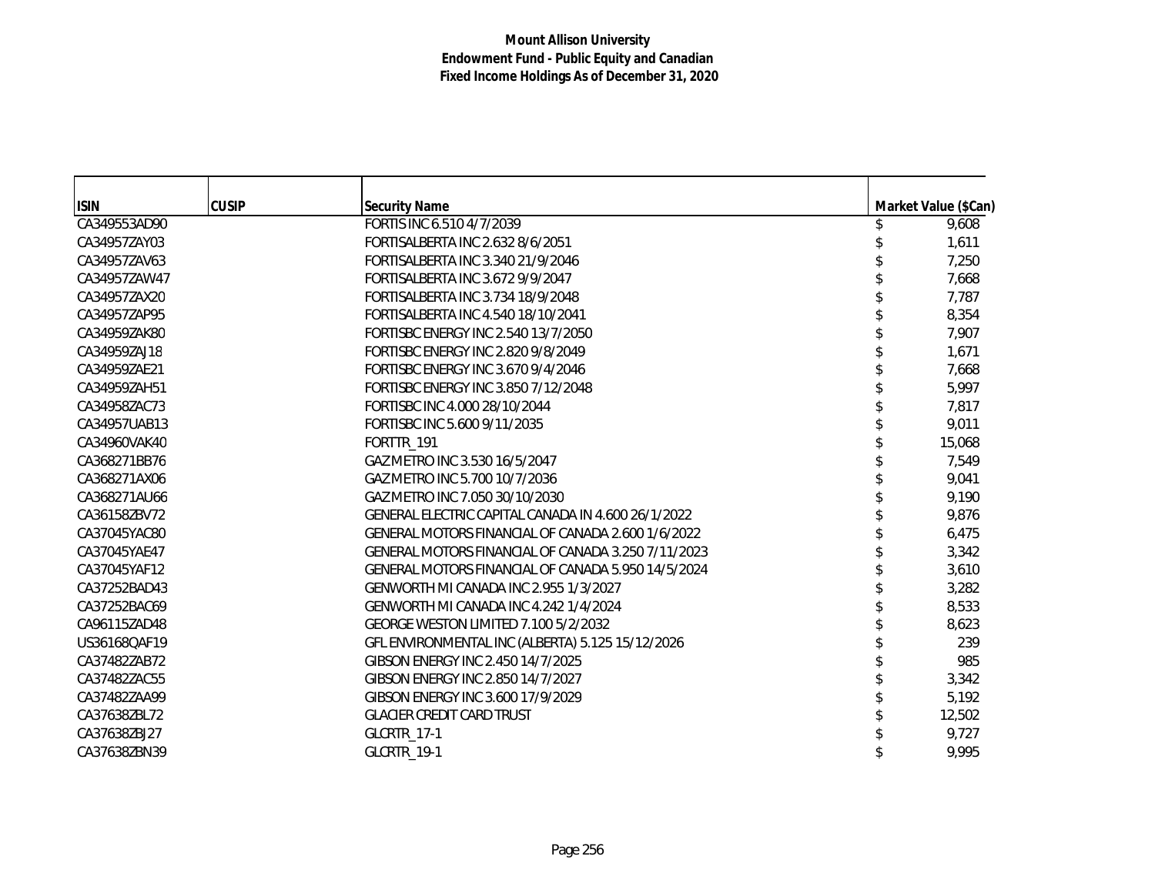| <b>ISIN</b><br><b>CUSIP</b><br><b>Security Name</b><br>Market Value (\$Can)<br>FORTIS INC 6.510 4/7/2039<br>CA349553AD90<br>9,608<br>CA34957ZAY03<br>FORTISALBERTA INC 2.632 8/6/2051<br>1,611<br>CA34957ZAV63<br>FORTISALBERTA INC 3.340 21/9/2046<br>7,250<br>CA34957ZAW47<br>FORTISALBERTA INC 3.672 9/9/2047<br>7,668<br>FORTISALBERTA INC 3.734 18/9/2048<br>7,787<br>CA34957ZAX20<br>CA34957ZAP95<br>FORTISALBERTA INC 4.540 18/10/2041<br>8,354<br>CA34959ZAK80<br>FORTISBC ENERGY INC 2.540 13/7/2050<br>7,907<br>1,671<br>CA34959ZAJ18<br>FORTISBC ENERGY INC 2.820 9/8/2049<br>FORTISBC ENERGY INC 3.670 9/4/2046<br>7,668<br>CA34959ZAE21<br>FORTISBC ENERGY INC 3.850 7/12/2048<br>5,997<br>CA34959ZAH51<br>FORTISBC INC 4.000 28/10/2044<br>7,817<br>CA34958ZAC73<br>FORTISBC INC 5.600 9/11/2035<br>9,011<br>CA34957UAB13<br>15,068<br>CA34960VAK40<br>FORTTR_191<br>CA368271BB76<br>GAZ METRO INC 3.530 16/5/2047<br>7,549<br>GAZ METRO INC 5.700 10/7/2036<br>CA368271AX06<br>9,041<br>GAZ METRO INC 7.050 30/10/2030<br>9,190<br>CA368271AU66<br>CA36158ZBV72<br>GENERAL ELECTRIC CAPITAL CANADA IN 4.600 26/1/2022<br>9,876<br>6,475<br>CA37045YAC80<br>GENERAL MOTORS FINANCIAL OF CANADA 2.600 1/6/2022<br>CA37045YAE47<br>GENERAL MOTORS FINANCIAL OF CANADA 3.250 7/11/2023<br>3,342<br>CA37045YAF12<br>GENERAL MOTORS FINANCIAL OF CANADA 5.950 14/5/2024<br>3,610<br>CA37252BAD43<br>GENWORTH MI CANADA INC 2.955 1/3/2027<br>3,282 |  |  |  |
|-------------------------------------------------------------------------------------------------------------------------------------------------------------------------------------------------------------------------------------------------------------------------------------------------------------------------------------------------------------------------------------------------------------------------------------------------------------------------------------------------------------------------------------------------------------------------------------------------------------------------------------------------------------------------------------------------------------------------------------------------------------------------------------------------------------------------------------------------------------------------------------------------------------------------------------------------------------------------------------------------------------------------------------------------------------------------------------------------------------------------------------------------------------------------------------------------------------------------------------------------------------------------------------------------------------------------------------------------------------------------------------------------------------------------------------------------------------|--|--|--|
|                                                                                                                                                                                                                                                                                                                                                                                                                                                                                                                                                                                                                                                                                                                                                                                                                                                                                                                                                                                                                                                                                                                                                                                                                                                                                                                                                                                                                                                             |  |  |  |
|                                                                                                                                                                                                                                                                                                                                                                                                                                                                                                                                                                                                                                                                                                                                                                                                                                                                                                                                                                                                                                                                                                                                                                                                                                                                                                                                                                                                                                                             |  |  |  |
|                                                                                                                                                                                                                                                                                                                                                                                                                                                                                                                                                                                                                                                                                                                                                                                                                                                                                                                                                                                                                                                                                                                                                                                                                                                                                                                                                                                                                                                             |  |  |  |
|                                                                                                                                                                                                                                                                                                                                                                                                                                                                                                                                                                                                                                                                                                                                                                                                                                                                                                                                                                                                                                                                                                                                                                                                                                                                                                                                                                                                                                                             |  |  |  |
|                                                                                                                                                                                                                                                                                                                                                                                                                                                                                                                                                                                                                                                                                                                                                                                                                                                                                                                                                                                                                                                                                                                                                                                                                                                                                                                                                                                                                                                             |  |  |  |
|                                                                                                                                                                                                                                                                                                                                                                                                                                                                                                                                                                                                                                                                                                                                                                                                                                                                                                                                                                                                                                                                                                                                                                                                                                                                                                                                                                                                                                                             |  |  |  |
|                                                                                                                                                                                                                                                                                                                                                                                                                                                                                                                                                                                                                                                                                                                                                                                                                                                                                                                                                                                                                                                                                                                                                                                                                                                                                                                                                                                                                                                             |  |  |  |
|                                                                                                                                                                                                                                                                                                                                                                                                                                                                                                                                                                                                                                                                                                                                                                                                                                                                                                                                                                                                                                                                                                                                                                                                                                                                                                                                                                                                                                                             |  |  |  |
|                                                                                                                                                                                                                                                                                                                                                                                                                                                                                                                                                                                                                                                                                                                                                                                                                                                                                                                                                                                                                                                                                                                                                                                                                                                                                                                                                                                                                                                             |  |  |  |
|                                                                                                                                                                                                                                                                                                                                                                                                                                                                                                                                                                                                                                                                                                                                                                                                                                                                                                                                                                                                                                                                                                                                                                                                                                                                                                                                                                                                                                                             |  |  |  |
|                                                                                                                                                                                                                                                                                                                                                                                                                                                                                                                                                                                                                                                                                                                                                                                                                                                                                                                                                                                                                                                                                                                                                                                                                                                                                                                                                                                                                                                             |  |  |  |
|                                                                                                                                                                                                                                                                                                                                                                                                                                                                                                                                                                                                                                                                                                                                                                                                                                                                                                                                                                                                                                                                                                                                                                                                                                                                                                                                                                                                                                                             |  |  |  |
|                                                                                                                                                                                                                                                                                                                                                                                                                                                                                                                                                                                                                                                                                                                                                                                                                                                                                                                                                                                                                                                                                                                                                                                                                                                                                                                                                                                                                                                             |  |  |  |
|                                                                                                                                                                                                                                                                                                                                                                                                                                                                                                                                                                                                                                                                                                                                                                                                                                                                                                                                                                                                                                                                                                                                                                                                                                                                                                                                                                                                                                                             |  |  |  |
|                                                                                                                                                                                                                                                                                                                                                                                                                                                                                                                                                                                                                                                                                                                                                                                                                                                                                                                                                                                                                                                                                                                                                                                                                                                                                                                                                                                                                                                             |  |  |  |
|                                                                                                                                                                                                                                                                                                                                                                                                                                                                                                                                                                                                                                                                                                                                                                                                                                                                                                                                                                                                                                                                                                                                                                                                                                                                                                                                                                                                                                                             |  |  |  |
|                                                                                                                                                                                                                                                                                                                                                                                                                                                                                                                                                                                                                                                                                                                                                                                                                                                                                                                                                                                                                                                                                                                                                                                                                                                                                                                                                                                                                                                             |  |  |  |
|                                                                                                                                                                                                                                                                                                                                                                                                                                                                                                                                                                                                                                                                                                                                                                                                                                                                                                                                                                                                                                                                                                                                                                                                                                                                                                                                                                                                                                                             |  |  |  |
|                                                                                                                                                                                                                                                                                                                                                                                                                                                                                                                                                                                                                                                                                                                                                                                                                                                                                                                                                                                                                                                                                                                                                                                                                                                                                                                                                                                                                                                             |  |  |  |
|                                                                                                                                                                                                                                                                                                                                                                                                                                                                                                                                                                                                                                                                                                                                                                                                                                                                                                                                                                                                                                                                                                                                                                                                                                                                                                                                                                                                                                                             |  |  |  |
|                                                                                                                                                                                                                                                                                                                                                                                                                                                                                                                                                                                                                                                                                                                                                                                                                                                                                                                                                                                                                                                                                                                                                                                                                                                                                                                                                                                                                                                             |  |  |  |
|                                                                                                                                                                                                                                                                                                                                                                                                                                                                                                                                                                                                                                                                                                                                                                                                                                                                                                                                                                                                                                                                                                                                                                                                                                                                                                                                                                                                                                                             |  |  |  |
| CA37252BAC69<br>GENWORTH MI CANADA INC 4.242 1/4/2024<br>8,533                                                                                                                                                                                                                                                                                                                                                                                                                                                                                                                                                                                                                                                                                                                                                                                                                                                                                                                                                                                                                                                                                                                                                                                                                                                                                                                                                                                              |  |  |  |
| CA96115ZAD48<br>GEORGE WESTON LIMITED 7.100 5/2/2032<br>8,623                                                                                                                                                                                                                                                                                                                                                                                                                                                                                                                                                                                                                                                                                                                                                                                                                                                                                                                                                                                                                                                                                                                                                                                                                                                                                                                                                                                               |  |  |  |
| GFL ENVIRONMENTAL INC (ALBERTA) 5.125 15/12/2026<br>239<br>US36168QAF19                                                                                                                                                                                                                                                                                                                                                                                                                                                                                                                                                                                                                                                                                                                                                                                                                                                                                                                                                                                                                                                                                                                                                                                                                                                                                                                                                                                     |  |  |  |
| GIBSON ENERGY INC 2.450 14/7/2025<br>985<br>CA37482ZAB72                                                                                                                                                                                                                                                                                                                                                                                                                                                                                                                                                                                                                                                                                                                                                                                                                                                                                                                                                                                                                                                                                                                                                                                                                                                                                                                                                                                                    |  |  |  |
| GIBSON ENERGY INC 2.850 14/7/2027<br>3,342<br>CA37482ZAC55                                                                                                                                                                                                                                                                                                                                                                                                                                                                                                                                                                                                                                                                                                                                                                                                                                                                                                                                                                                                                                                                                                                                                                                                                                                                                                                                                                                                  |  |  |  |
| CA37482ZAA99<br>GIBSON ENERGY INC 3.600 17/9/2029<br>5,192                                                                                                                                                                                                                                                                                                                                                                                                                                                                                                                                                                                                                                                                                                                                                                                                                                                                                                                                                                                                                                                                                                                                                                                                                                                                                                                                                                                                  |  |  |  |
| CA37638ZBL72<br><b>GLACIER CREDIT CARD TRUST</b><br>12,502                                                                                                                                                                                                                                                                                                                                                                                                                                                                                                                                                                                                                                                                                                                                                                                                                                                                                                                                                                                                                                                                                                                                                                                                                                                                                                                                                                                                  |  |  |  |
| CA37638ZBJ27<br>GLCRTR_17-1<br>9,727                                                                                                                                                                                                                                                                                                                                                                                                                                                                                                                                                                                                                                                                                                                                                                                                                                                                                                                                                                                                                                                                                                                                                                                                                                                                                                                                                                                                                        |  |  |  |
| GLCRTR_19-1<br>9,995<br>CA37638ZBN39                                                                                                                                                                                                                                                                                                                                                                                                                                                                                                                                                                                                                                                                                                                                                                                                                                                                                                                                                                                                                                                                                                                                                                                                                                                                                                                                                                                                                        |  |  |  |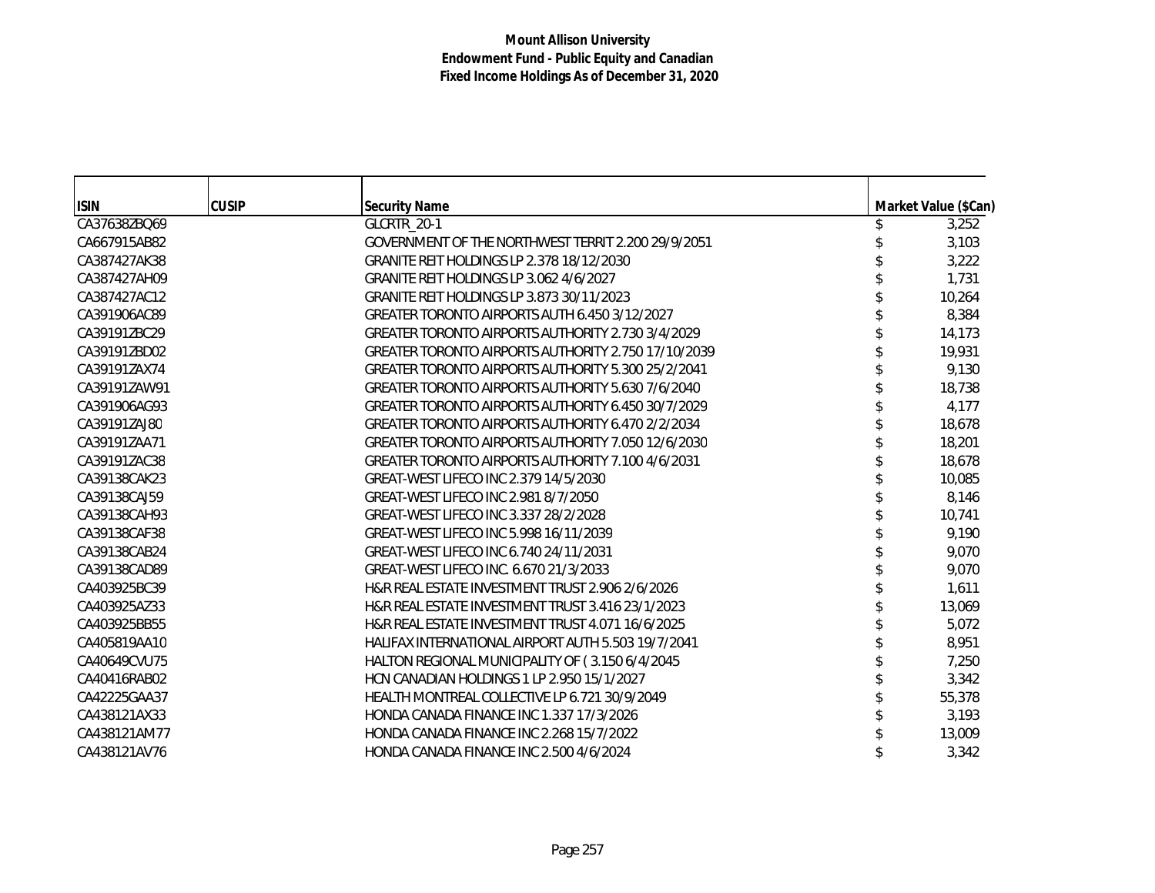| <b>ISIN</b>  | <b>CUSIP</b> | <b>Security Name</b>                                | Market Value (\$Can) |
|--------------|--------------|-----------------------------------------------------|----------------------|
| CA37638ZBQ69 |              | GLCRTR_20-1                                         | 3,252                |
| CA667915AB82 |              | GOVERNMENT OF THE NORTHWEST TERRIT 2.200 29/9/2051  | 3,103                |
| CA387427AK38 |              | GRANITE REIT HOLDINGS LP 2.378 18/12/2030           | 3,222                |
| CA387427AH09 |              | GRANITE REIT HOLDINGS LP 3.062 4/6/2027             | 1,731                |
| CA387427AC12 |              | GRANITE REIT HOLDINGS LP 3.873 30/11/2023           | 10,264               |
| CA391906AC89 |              | GREATER TORONTO AIRPORTS AUTH 6.450 3/12/2027       | 8,384                |
| CA39191ZBC29 |              | GREATER TORONTO AIRPORTS AUTHORITY 2.730 3/4/2029   | 14,173               |
| CA39191ZBD02 |              | GREATER TORONTO AIRPORTS AUTHORITY 2.750 17/10/2039 | 19,931               |
| CA39191ZAX74 |              | GREATER TORONTO AIRPORTS AUTHORITY 5.300 25/2/2041  | 9,130                |
| CA39191ZAW91 |              | GREATER TORONTO AIRPORTS AUTHORITY 5.630 7/6/2040   | 18,738               |
| CA391906AG93 |              | GREATER TORONTO AIRPORTS AUTHORITY 6.450 30/7/2029  | 4,177                |
| CA39191ZAJ80 |              | GREATER TORONTO AIRPORTS AUTHORITY 6.470 2/2/2034   | 18,678               |
| CA39191ZAA71 |              | GREATER TORONTO AIRPORTS AUTHORITY 7.050 12/6/2030  | 18,201               |
| CA39191ZAC38 |              | GREATER TORONTO AIRPORTS AUTHORITY 7.100 4/6/2031   | 18,678               |
| CA39138CAK23 |              | GREAT-WEST LIFECO INC 2.379 14/5/2030               | 10,085               |
| CA39138CAJ59 |              | GREAT-WEST LIFECO INC 2.981 8/7/2050                | 8,146                |
| CA39138CAH93 |              | GREAT-WEST LIFECO INC 3.337 28/2/2028               | 10,741               |
| CA39138CAF38 |              | GREAT-WEST LIFECO INC 5.998 16/11/2039              | 9,190                |
| CA39138CAB24 |              | GREAT-WEST LIFECO INC 6.740 24/11/2031              | 9,070                |
| CA39138CAD89 |              | GREAT-WEST LIFECO INC. 6.670 21/3/2033              | 9,070                |
| CA403925BC39 |              | H&R REAL ESTATE INVESTMENT TRUST 2.906 2/6/2026     | 1,611                |
| CA403925AZ33 |              | H&R REAL ESTATE INVESTMENT TRUST 3.416 23/1/2023    | 13,069               |
| CA403925BB55 |              | H&R REAL ESTATE INVESTMENT TRUST 4.071 16/6/2025    | 5,072                |
| CA405819AA10 |              | HALIFAX INTERNATIONAL AIRPORT AUTH 5.503 19/7/2041  | 8,951                |
| CA40649CVU75 |              | HALTON REGIONAL MUNICIPALITY OF (3.150 6/4/2045     | 7,250                |
| CA40416RAB02 |              | HCN CANADIAN HOLDINGS 1 LP 2.950 15/1/2027          | 3,342                |
| CA42225GAA37 |              | HEALTH MONTREAL COLLECTIVE LP 6.721 30/9/2049       | 55,378               |
| CA438121AX33 |              | HONDA CANADA FINANCE INC 1.337 17/3/2026            | 3,193                |
| CA438121AM77 |              | HONDA CANADA FINANCE INC 2.268 15/7/2022            | 13,009               |
| CA438121AV76 |              | HONDA CANADA FINANCE INC 2.500 4/6/2024             | 3,342                |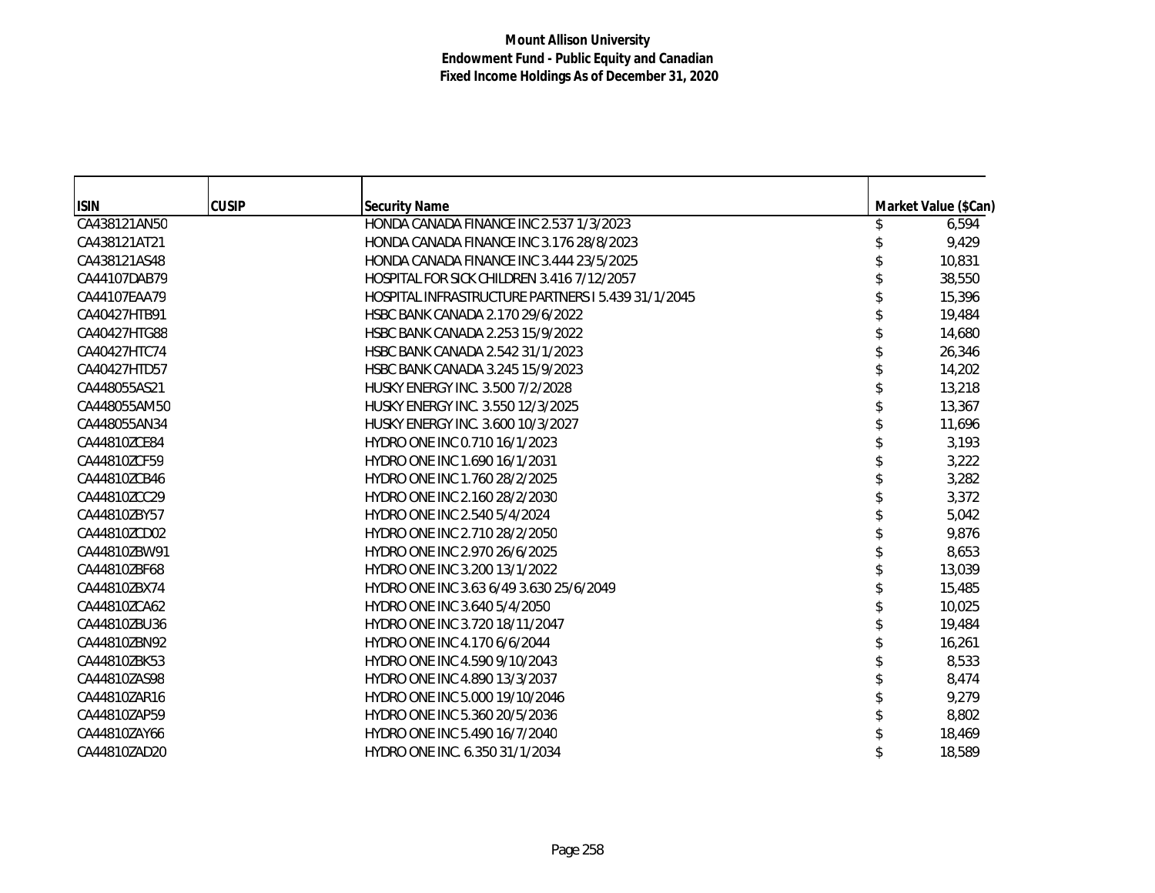| <b>ISIN</b>  | <b>CUSIP</b> | <b>Security Name</b>                               | Market Value (\$Can) |
|--------------|--------------|----------------------------------------------------|----------------------|
| CA438121AN50 |              | HONDA CANADA FINANCE INC 2.537 1/3/2023            | 6,594                |
| CA438121AT21 |              | <b>HONDA CANADA FINANCE INC 3.176 28/8/2023</b>    | 9,429                |
| CA438121AS48 |              | HONDA CANADA FINANCE INC 3.444 23/5/2025           | 10,831               |
| CA44107DAB79 |              | HOSPITAL FOR SICK CHILDREN 3.416 7/12/2057         | 38,550               |
| CA44107EAA79 |              | HOSPITAL INFRASTRUCTURE PARTNERS I 5.439 31/1/2045 | 15,396               |
| CA40427HTB91 |              | HSBC BANK CANADA 2.170 29/6/2022                   | 19,484               |
| CA40427HTG88 |              | HSBC BANK CANADA 2.253 15/9/2022                   | 14,680               |
| CA40427HTC74 |              | HSBC BANK CANADA 2.542 31/1/2023                   | 26,346               |
| CA40427HTD57 |              | HSBC BANK CANADA 3.245 15/9/2023                   | 14,202               |
| CA448055AS21 |              | HUSKY ENERGY INC. 3.500 7/2/2028                   | 13,218               |
| CA448055AM50 |              | HUSKY ENERGY INC. 3.550 12/3/2025                  | 13,367               |
| CA448055AN34 |              | HUSKY ENERGY INC. 3.600 10/3/2027                  | 11,696               |
| CA44810ZCE84 |              | HYDRO ONE INC 0.710 16/1/2023                      | 3,193                |
| CA44810ZCF59 |              | HYDRO ONE INC 1.690 16/1/2031                      | 3,222                |
| CA44810ZCB46 |              | HYDRO ONE INC 1.760 28/2/2025                      | 3,282                |
| CA44810ZCC29 |              | HYDRO ONE INC 2.160 28/2/2030                      | 3,372                |
| CA44810ZBY57 |              | HYDRO ONE INC 2.540 5/4/2024                       | 5,042                |
| CA44810ZCD02 |              | HYDRO ONE INC 2.710 28/2/2050                      | 9,876                |
| CA44810ZBW91 |              | HYDRO ONE INC 2.970 26/6/2025                      | 8,653                |
| CA44810ZBF68 |              | HYDRO ONE INC 3.200 13/1/2022                      | 13,039               |
| CA44810ZBX74 |              | HYDRO ONE INC 3.63 6/49 3.630 25/6/2049            | 15,485               |
| CA44810ZCA62 |              | HYDRO ONE INC 3.640 5/4/2050                       | 10,025               |
| CA44810ZBU36 |              | HYDRO ONE INC 3.720 18/11/2047                     | 19,484               |
| CA44810ZBN92 |              | HYDRO ONE INC 4.170 6/6/2044                       | 16,261               |
| CA44810ZBK53 |              | HYDRO ONE INC 4.590 9/10/2043                      | 8,533                |
| CA44810ZAS98 |              | HYDRO ONE INC 4.890 13/3/2037                      | 8,474                |
| CA44810ZAR16 |              | HYDRO ONE INC 5.000 19/10/2046                     | 9,279                |
| CA44810ZAP59 |              | HYDRO ONE INC 5.360 20/5/2036                      | 8,802                |
| CA44810ZAY66 |              | HYDRO ONE INC 5.490 16/7/2040                      | 18,469               |
| CA44810ZAD20 |              | HYDRO ONE INC. 6.350 31/1/2034                     | 18,589               |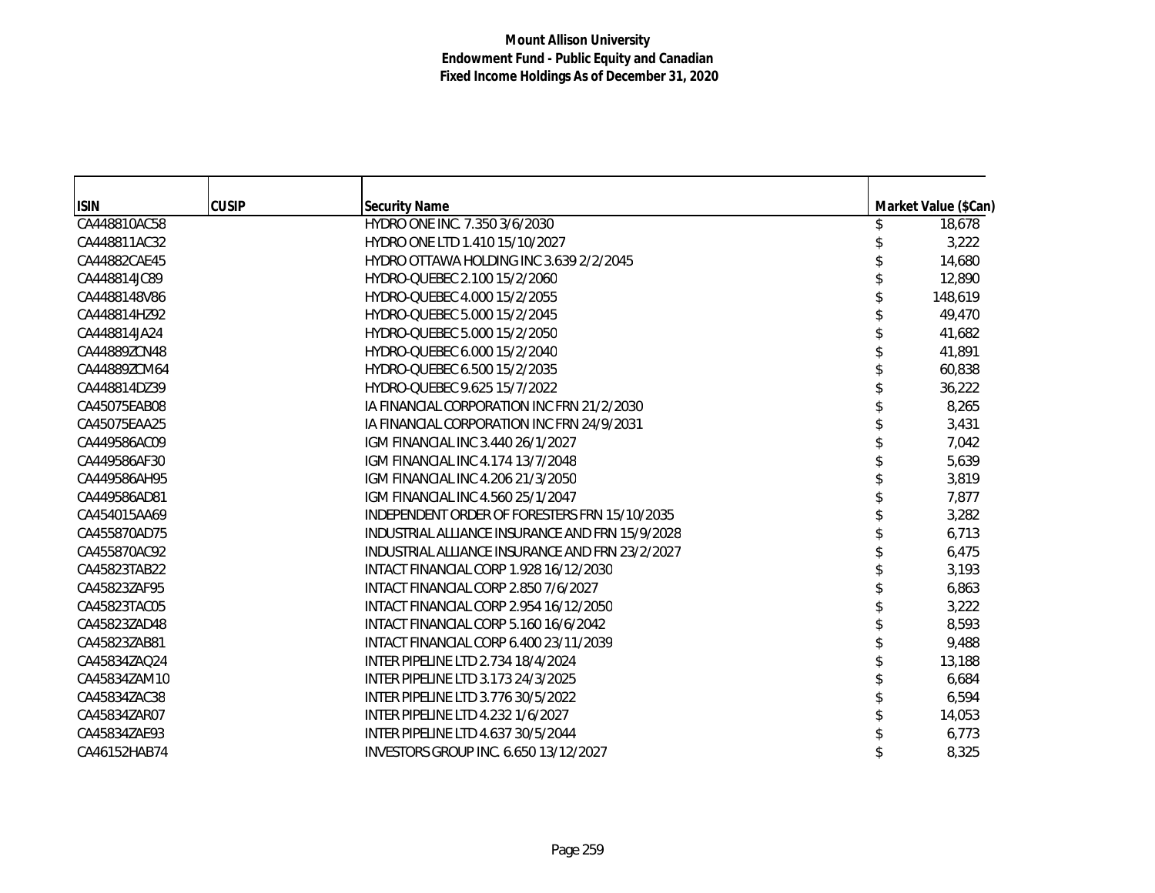| <b>ISIN</b>  | <b>CUSIP</b> | <b>Security Name</b>                            | Market Value (\$Can) |
|--------------|--------------|-------------------------------------------------|----------------------|
| CA448810AC58 |              | HYDRO ONE INC. 7.350 3/6/2030                   | 18,678               |
| CA448811AC32 |              | HYDRO ONE LTD 1.410 15/10/2027                  | 3,222                |
| CA44882CAE45 |              | HYDRO OTTAWA HOLDING INC 3.639 2/2/2045         | 14,680               |
| CA448814JC89 |              | HYDRO-OUEBEC 2.100 15/2/2060                    | 12,890               |
| CA4488148V86 |              | HYDRO-QUEBEC 4.000 15/2/2055                    | 148,619              |
| CA448814HZ92 |              | HYDRO-QUEBEC 5.000 15/2/2045                    | 49,470               |
| CA448814JA24 |              | HYDRO-QUEBEC 5.000 15/2/2050                    | 41,682               |
| CA44889ZCN48 |              | HYDRO-QUEBEC 6.000 15/2/2040                    | 41,891               |
| CA44889ZCM64 |              | HYDRO-QUEBEC 6.500 15/2/2035                    | 60,838               |
| CA448814DZ39 |              | HYDRO-QUEBEC 9.625 15/7/2022                    | 36,222               |
| CA45075EAB08 |              | IA FINANCIAL CORPORATION INC FRN 21/2/2030      | 8,265                |
| CA45075EAA25 |              | IA FINANCIAL CORPORATION INC FRN 24/9/2031      | 3,431                |
| CA449586AC09 |              | IGM FINANCIAL INC 3.440 26/1/2027               | 7,042                |
| CA449586AF30 |              | IGM FINANCIAL INC 4.174 13/7/2048               | 5,639                |
| CA449586AH95 |              | IGM FINANCIAL INC 4.206 21/3/2050               | 3,819                |
| CA449586AD81 |              | IGM FINANCIAL INC 4.560 25/1/2047               | 7,877                |
| CA454015AA69 |              | INDEPENDENT ORDER OF FORESTERS FRN 15/10/2035   | 3,282                |
| CA455870AD75 |              | INDUSTRIAL ALLIANCE INSURANCE AND FRN 15/9/2028 | 6,713                |
| CA455870AC92 |              | INDUSTRIAL ALLIANCE INSURANCE AND FRN 23/2/2027 | 6,475                |
| CA45823TAB22 |              | INTACT FINANCIAL CORP 1.928 16/12/2030          | 3,193                |
| CA45823ZAF95 |              | INTACT FINANCIAL CORP 2.850 7/6/2027            | 6,863                |
| CA45823TAC05 |              | INTACT FINANCIAL CORP 2.954 16/12/2050          | 3,222                |
| CA45823ZAD48 |              | INTACT FINANCIAL CORP 5.160 16/6/2042           | 8,593                |
| CA45823ZAB81 |              | INTACT FINANCIAL CORP 6.400 23/11/2039          | 9,488                |
| CA45834ZAQ24 |              | INTER PIPELINE LTD 2.734 18/4/2024              | 13,188               |
| CA45834ZAM10 |              | INTER PIPELINE LTD 3.173 24/3/2025              | 6,684                |
| CA45834ZAC38 |              | INTER PIPELINE LTD 3.776 30/5/2022              | 6,594                |
| CA45834ZAR07 |              | INTER PIPELINE LTD 4.232 1/6/2027               | 14,053               |
| CA45834ZAE93 |              | INTER PIPELINE LTD 4.637 30/5/2044              | 6,773                |
| CA46152HAB74 |              | INVESTORS GROUP INC. 6.650 13/12/2027           | 8,325                |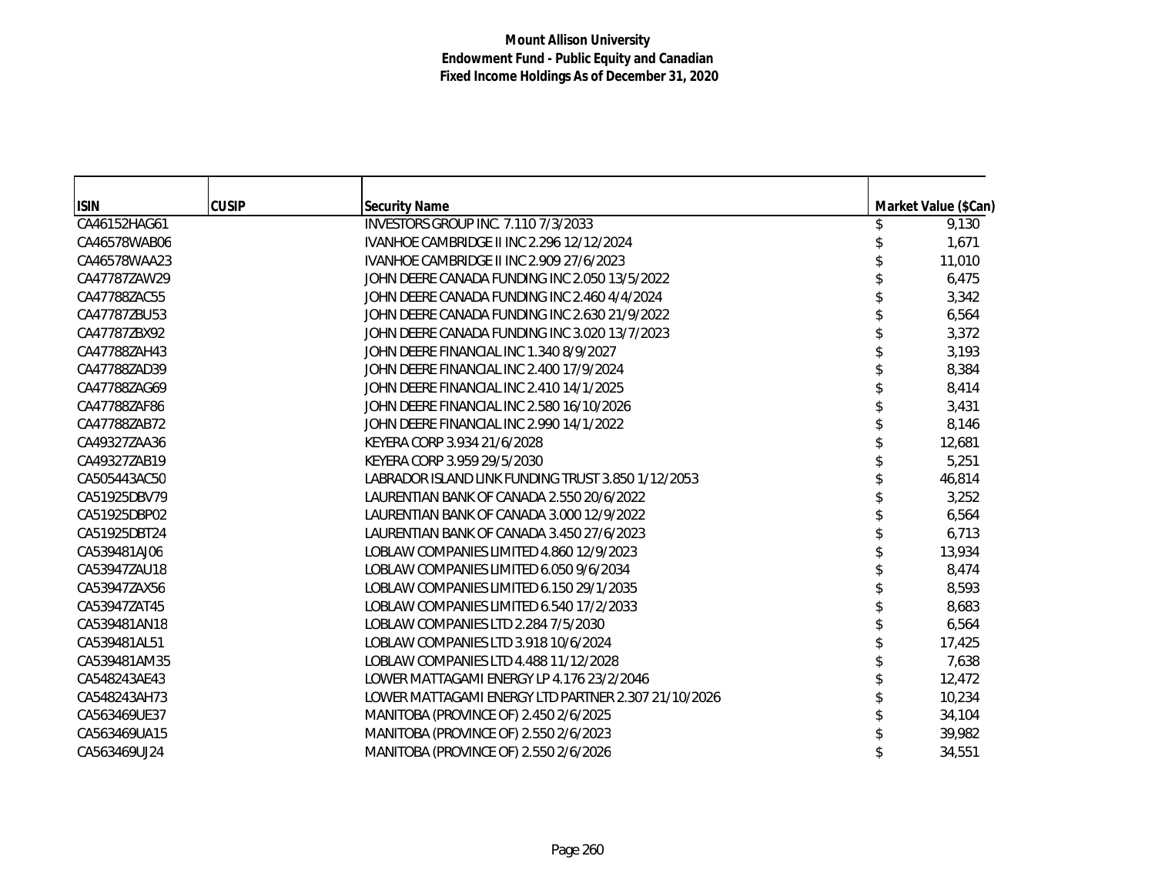| <b>ISIN</b>  | <b>CUSIP</b> | <b>Security Name</b>                                | Market Value (\$Can) |
|--------------|--------------|-----------------------------------------------------|----------------------|
| CA46152HAG61 |              | INVESTORS GROUP INC. 7.110 7/3/2033                 | 9,130                |
| CA46578WAB06 |              | <b>IVANHOE CAMBRIDGE II INC 2.296 12/12/2024</b>    | 1,671                |
| CA46578WAA23 |              | IVANHOE CAMBRIDGE II INC 2.909 27/6/2023            | 11,010               |
| CA47787ZAW29 |              | JOHN DEERE CANADA FUNDING INC 2.050 13/5/2022       | 6,475                |
| CA47788ZAC55 |              | JOHN DEERE CANADA FUNDING INC 2.460 4/4/2024        | 3,342                |
| CA47787ZBU53 |              | JOHN DEERE CANADA FUNDING INC 2.630 21/9/2022       | 6,564                |
| CA47787ZBX92 |              | JOHN DEERE CANADA FUNDING INC 3.020 13/7/2023       | 3,372                |
| CA47788ZAH43 |              | JOHN DEERE FINANCIAL INC 1.340 8/9/2027             | 3,193                |
| CA47788ZAD39 |              | JOHN DEERE FINANCIAL INC 2.400 17/9/2024            | 8,384                |
| CA47788ZAG69 |              | JOHN DEERE FINANCIAL INC 2.410 14/1/2025            | 8,414                |
| CA47788ZAF86 |              | JOHN DEERE FINANCIAL INC 2.580 16/10/2026           | 3,431                |
| CA47788ZAB72 |              | JOHN DEERE FINANCIAL INC 2.990 14/1/2022            | 8,146                |
| CA49327ZAA36 |              | KEYERA CORP 3.934 21/6/2028                         | 12,681               |
| CA49327ZAB19 |              | KEYERA CORP 3.959 29/5/2030                         | 5,251                |
| CA505443AC50 |              | LABRADOR ISLAND LINK FUNDING TRUST 3.850 1/12/2053  | 46,814               |
| CA51925DBV79 |              | LAURENTIAN BANK OF CANADA 2.550 20/6/2022           | 3,252                |
| CA51925DBP02 |              | LAURENTIAN BANK OF CANADA 3.000 12/9/2022           | 6,564                |
| CA51925DBT24 |              | LAURENTIAN BANK OF CANADA 3.450 27/6/2023           | 6,713                |
| CA539481AJ06 |              | LOBLAW COMPANIES LIMITED 4.860 12/9/2023            | 13,934               |
| CA53947ZAU18 |              | LOBLAW COMPANIES LIMITED 6.050 9/6/2034             | 8,474                |
| CA53947ZAX56 |              | LOBLAW COMPANIES LIMITED 6.150 29/1/2035            | 8,593                |
| CA53947ZAT45 |              | LOBLAW COMPANIES LIMITED 6.540 17/2/2033            | 8,683                |
| CA539481AN18 |              | LOBLAW COMPANIES LTD 2.284 7/5/2030                 | 6,564                |
| CA539481AL51 |              | LOBLAW COMPANIES LTD 3.918 10/6/2024                | 17,425               |
| CA539481AM35 |              | LOBLAW COMPANIES LTD 4.488 11/12/2028               | 7,638                |
| CA548243AE43 |              | LOWER MATTAGAMI ENERGY LP 4.176 23/2/2046           | 12,472               |
| CA548243AH73 |              | LOWER MATTAGAMI ENERGY LTD PARTNER 2.307 21/10/2026 | 10,234               |
| CA563469UE37 |              | MANITOBA (PROVINCE OF) 2.450 2/6/2025               | 34,104               |
| CA563469UA15 |              | MANITOBA (PROVINCE OF) 2.550 2/6/2023               | 39,982               |
| CA563469UJ24 |              | MANITOBA (PROVINCE OF) 2.550 2/6/2026               | 34,551               |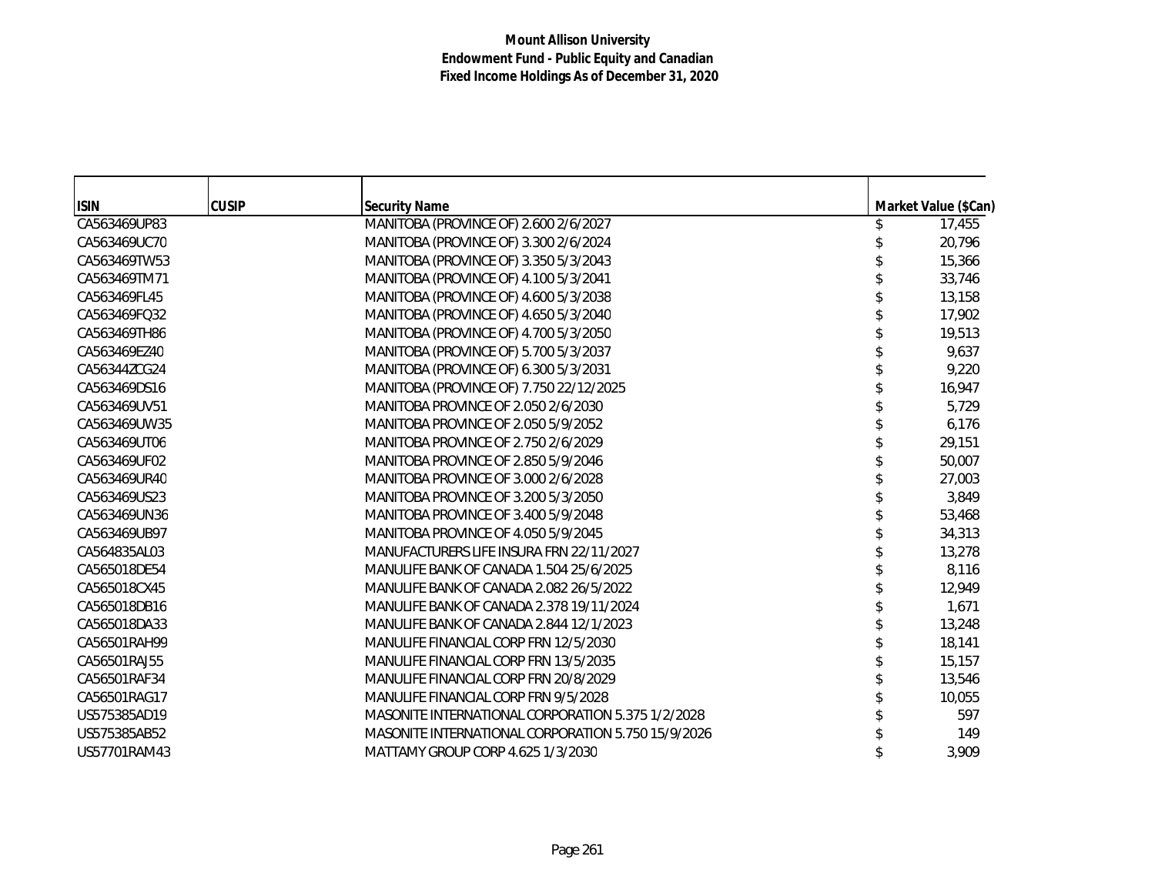| <b>ISIN</b>  | <b>CUSIP</b> | <b>Security Name</b>                               | Market Value (\$Can) |
|--------------|--------------|----------------------------------------------------|----------------------|
| CA563469UP83 |              | MANITOBA (PROVINCE OF) 2.600 2/6/2027              | 17,455               |
| CA563469UC70 |              | MANITOBA (PROVINCE OF) 3.300 2/6/2024              | 20,796               |
| CA563469TW53 |              | MANITOBA (PROVINCE OF) 3.350 5/3/2043              | 15,366               |
| CA563469TM71 |              | MANITOBA (PROVINCE OF) 4.100 5/3/2041              | 33,746               |
| CA563469FL45 |              | MANITOBA (PROVINCE OF) 4.600 5/3/2038              | 13,158               |
| CA563469FQ32 |              | MANITOBA (PROVINCE OF) 4.650 5/3/2040              | 17,902               |
| CA563469TH86 |              | MANITOBA (PROVINCE OF) 4.700 5/3/2050              | 19,513               |
| CA563469EZ40 |              | MANITOBA (PROVINCE OF) 5.700 5/3/2037              | 9,637                |
| CA56344ZCG24 |              | MANITOBA (PROVINCE OF) 6.300 5/3/2031              | 9,220                |
| CA563469DS16 |              | MANITOBA (PROVINCE OF) 7.750 22/12/2025            | 16,947               |
| CA563469UV51 |              | MANITOBA PROVINCE OF 2.050 2/6/2030                | 5,729                |
| CA563469UW35 |              | MANITOBA PROVINCE OF 2.050 5/9/2052                | 6,176                |
| CA563469UT06 |              | MANITOBA PROVINCE OF 2.750 2/6/2029                | 29,151               |
| CA563469UF02 |              | MANITOBA PROVINCE OF 2.850 5/9/2046                | 50,007               |
| CA563469UR40 |              | MANITOBA PROVINCE OF 3.000 2/6/2028                | 27,003               |
| CA563469US23 |              | MANITOBA PROVINCE OF 3.200 5/3/2050                | 3,849                |
| CA563469UN36 |              | MANITOBA PROVINCE OF 3.400 5/9/2048                | 53,468               |
| CA563469UB97 |              | MANITOBA PROVINCE OF 4.050 5/9/2045                | 34,313               |
| CA564835AL03 |              | MANUFACTURERS LIFE INSURA FRN 22/11/2027           | 13,278               |
| CA565018DE54 |              | MANULIFE BANK OF CANADA 1.504 25/6/2025            | 8,116                |
| CA565018CX45 |              | MANULIFE BANK OF CANADA 2.082 26/5/2022            | 12,949               |
| CA565018DB16 |              | MANULIFE BANK OF CANADA 2.378 19/11/2024           | 1,671                |
| CA565018DA33 |              | MANULIFE BANK OF CANADA 2.844 12/1/2023            | 13,248               |
| CA56501RAH99 |              | MANULIFE FINANCIAL CORP FRN 12/5/2030              | 18,141               |
| CA56501RAJ55 |              | MANULIFE FINANCIAL CORP FRN 13/5/2035              | 15,157               |
| CA56501RAF34 |              | MANULIFE FINANCIAL CORP FRN 20/8/2029              | 13,546               |
| CA56501RAG17 |              | MANULIFE FINANCIAL CORP FRN 9/5/2028               | 10,055               |
| US575385AD19 |              | MASONITE INTERNATIONAL CORPORATION 5.375 1/2/2028  | 597                  |
| US575385AB52 |              | MASONITE INTERNATIONAL CORPORATION 5.750 15/9/2026 | 149                  |
| US57701RAM43 |              | MATTAMY GROUP CORP 4.625 1/3/2030                  | 3,909                |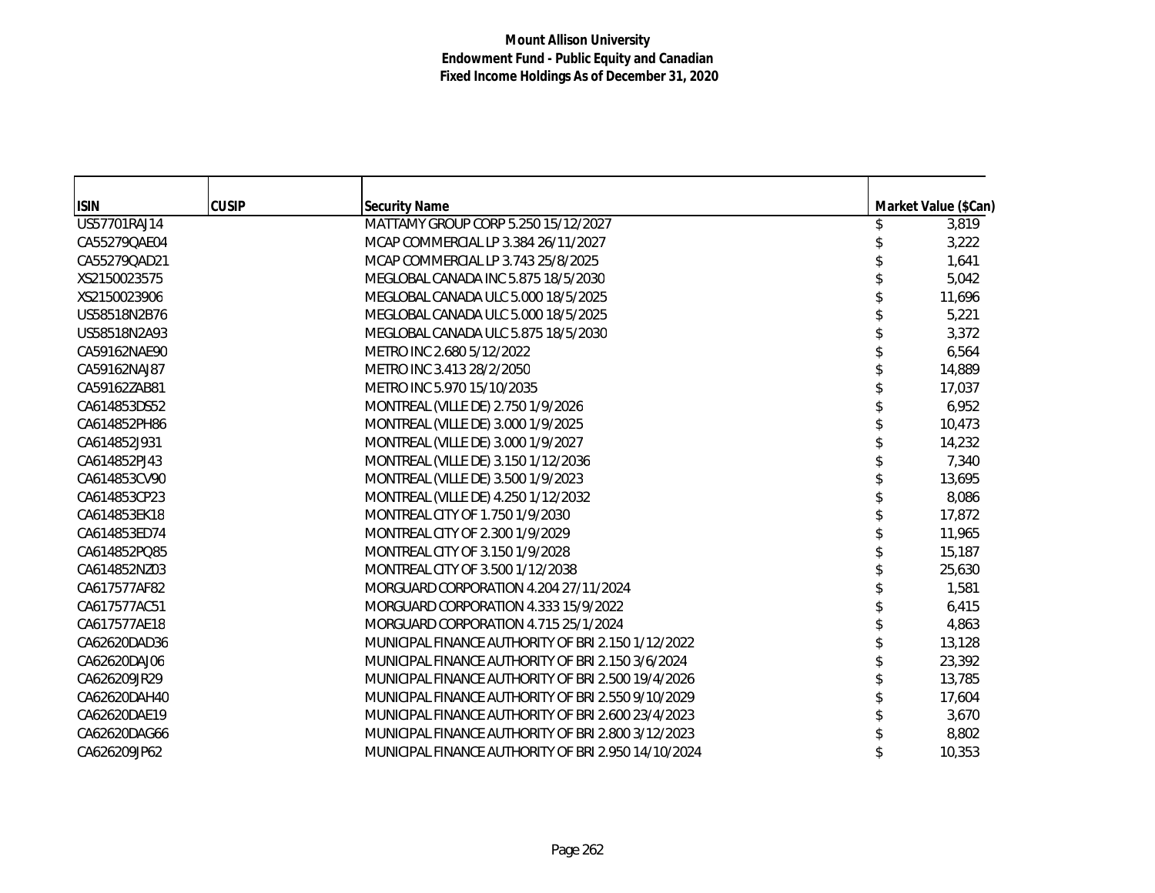| <b>ISIN</b>  | <b>CUSIP</b> | <b>Security Name</b>                                | Market Value (\$Can) |
|--------------|--------------|-----------------------------------------------------|----------------------|
| US57701RAJ14 |              | MATTAMY GROUP CORP 5.250 15/12/2027                 | 3,819                |
| CA55279QAE04 |              | MCAP COMMERCIAL LP 3.384 26/11/2027                 | 3,222                |
| CA55279QAD21 |              | MCAP COMMERCIAL LP 3.743 25/8/2025                  | 1,641                |
| XS2150023575 |              | MEGLOBAL CANADA INC 5.875 18/5/2030                 | 5,042                |
| XS2150023906 |              | MEGLOBAL CANADA ULC 5.000 18/5/2025                 | 11,696               |
| US58518N2B76 |              | MEGLOBAL CANADA ULC 5.000 18/5/2025                 | 5,221                |
| US58518N2A93 |              | MEGLOBAL CANADA ULC 5.875 18/5/2030                 | 3,372                |
| CA59162NAE90 |              | METRO INC 2.680 5/12/2022                           | 6,564                |
| CA59162NAJ87 |              | METRO INC 3.413 28/2/2050                           | 14,889               |
| CA59162ZAB81 |              | METRO INC 5.970 15/10/2035                          | 17,037               |
| CA614853DS52 |              | MONTREAL (VILLE DE) 2.750 1/9/2026                  | 6,952                |
| CA614852PH86 |              | MONTREAL (VILLE DE) 3.000 1/9/2025                  | 10,473               |
| CA614852J931 |              | MONTREAL (VILLE DE) 3.000 1/9/2027                  | 14,232               |
| CA614852PJ43 |              | MONTREAL (VILLE DE) 3.150 1/12/2036                 | 7,340                |
| CA614853CV90 |              | MONTREAL (VILLE DE) 3.500 1/9/2023                  | 13,695               |
| CA614853CP23 |              | MONTREAL (VILLE DE) 4.250 1/12/2032                 | 8,086                |
| CA614853EK18 |              | MONTREAL CITY OF 1.750 1/9/2030                     | 17,872               |
| CA614853ED74 |              | MONTREAL CITY OF 2.300 1/9/2029                     | 11,965               |
| CA614852PQ85 |              | MONTREAL CITY OF 3.150 1/9/2028                     | 15,187               |
| CA614852NZ03 |              | MONTREAL CITY OF 3.500 1/12/2038                    | 25,630               |
| CA617577AF82 |              | MORGUARD CORPORATION 4.204 27/11/2024               | 1,581                |
| CA617577AC51 |              | MORGUARD CORPORATION 4.333 15/9/2022                | 6,415                |
| CA617577AE18 |              | MORGUARD CORPORATION 4.715 25/1/2024                | 4,863                |
| CA62620DAD36 |              | MUNICIPAL FINANCE AUTHORITY OF BRI 2.150 1/12/2022  | 13,128               |
| CA62620DAJ06 |              | MUNICIPAL FINANCE AUTHORITY OF BRI 2.150 3/6/2024   | 23,392               |
| CA626209JR29 |              | MUNICIPAL FINANCE AUTHORITY OF BRI 2.500 19/4/2026  | 13,785               |
| CA62620DAH40 |              | MUNICIPAL FINANCE AUTHORITY OF BRI 2.550 9/10/2029  | 17,604               |
| CA62620DAE19 |              | MUNICIPAL FINANCE AUTHORITY OF BRI 2.600 23/4/2023  | 3,670                |
| CA62620DAG66 |              | MUNICIPAL FINANCE AUTHORITY OF BRI 2.800 3/12/2023  | 8,802                |
| CA626209JP62 |              | MUNICIPAL FINANCE AUTHORITY OF BRI 2.950 14/10/2024 | 10,353               |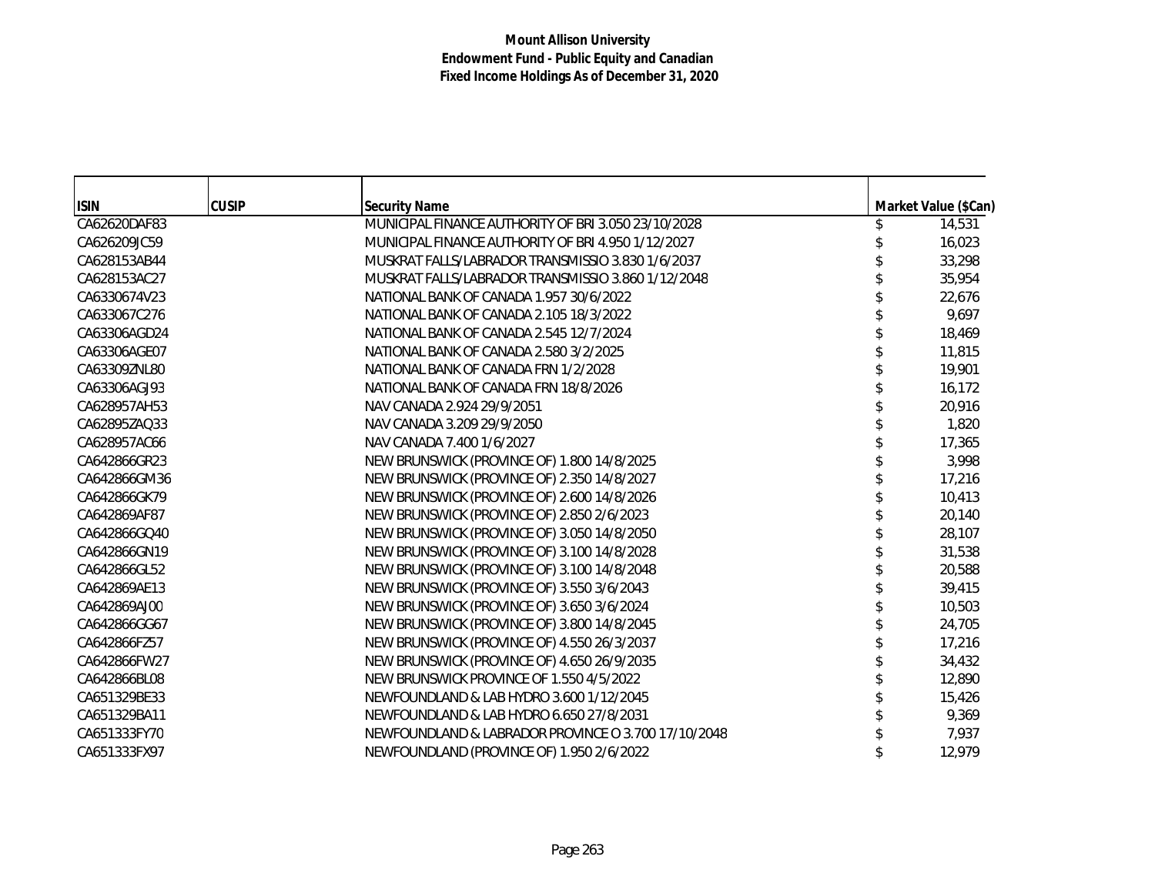| <b>ISIN</b>  | <b>CUSIP</b> | <b>Security Name</b>                                | Market Value (\$Can) |
|--------------|--------------|-----------------------------------------------------|----------------------|
| CA62620DAF83 |              | MUNICIPAL FINANCE AUTHORITY OF BRI 3.050 23/10/2028 | 14,531               |
| CA626209JC59 |              | MUNICIPAL FINANCE AUTHORITY OF BRI 4.950 1/12/2027  | 16,023               |
| CA628153AB44 |              | MUSKRAT FALLS/LABRADOR TRANSMISSIO 3.830 1/6/2037   | 33,298               |
| CA628153AC27 |              | MUSKRAT FALLS/LABRADOR TRANSMISSIO 3.860 1/12/2048  | 35,954               |
| CA6330674V23 |              | NATIONAL BANK OF CANADA 1.957 30/6/2022             | 22,676               |
| CA633067C276 |              | NATIONAL BANK OF CANADA 2.105 18/3/2022             | 9,697                |
| CA63306AGD24 |              | NATIONAL BANK OF CANADA 2.545 12/7/2024             | 18,469               |
| CA63306AGE07 |              | NATIONAL BANK OF CANADA 2.580 3/2/2025              | 11,815               |
| CA63309ZNL80 |              | NATIONAL BANK OF CANADA FRN 1/2/2028                | 19,901               |
| CA63306AGJ93 |              | NATIONAL BANK OF CANADA FRN 18/8/2026               | 16,172               |
| CA628957AH53 |              | NAV CANADA 2.924 29/9/2051                          | 20,916               |
| CA62895ZAQ33 |              | NAV CANADA 3.209 29/9/2050                          | 1,820                |
| CA628957AC66 |              | NAV CANADA 7.400 1/6/2027                           | 17,365               |
| CA642866GR23 |              | NEW BRUNSWICK (PROVINCE OF) 1.800 14/8/2025         | 3,998                |
| CA642866GM36 |              | NEW BRUNSWICK (PROVINCE OF) 2.350 14/8/2027         | 17,216               |
| CA642866GK79 |              | NEW BRUNSWICK (PROVINCE OF) 2.600 14/8/2026         | 10,413               |
| CA642869AF87 |              | NEW BRUNSWICK (PROVINCE OF) 2.850 2/6/2023          | 20,140               |
| CA642866GQ40 |              | NEW BRUNSWICK (PROVINCE OF) 3.050 14/8/2050         | 28,107               |
| CA642866GN19 |              | NEW BRUNSWICK (PROVINCE OF) 3.100 14/8/2028         | 31,538               |
| CA642866GL52 |              | NEW BRUNSWICK (PROVINCE OF) 3.100 14/8/2048         | 20,588               |
| CA642869AE13 |              | NEW BRUNSWICK (PROVINCE OF) 3.550 3/6/2043          | 39,415               |
| CA642869AJ00 |              | NEW BRUNSWICK (PROVINCE OF) 3.650 3/6/2024          | 10,503               |
| CA642866GG67 |              | NEW BRUNSWICK (PROVINCE OF) 3.800 14/8/2045         | 24,705               |
| CA642866FZ57 |              | NEW BRUNSWICK (PROVINCE OF) 4.550 26/3/2037         | 17,216               |
| CA642866FW27 |              | NEW BRUNSWICK (PROVINCE OF) 4.650 26/9/2035         | 34,432               |
| CA642866BL08 |              | NEW BRUNSWICK PROVINCE OF 1.550 4/5/2022            | 12,890               |
| CA651329BE33 |              | NEWFOUNDLAND & LAB HYDRO 3.600 1/12/2045            | 15,426               |
| CA651329BA11 |              | NEWFOUNDLAND & LAB HYDRO 6.650 27/8/2031            | 9,369                |
| CA651333FY70 |              | NEWFOUNDLAND & LABRADOR PROVINCE O 3.700 17/10/2048 | 7,937                |
| CA651333FX97 |              | NEWFOUNDLAND (PROVINCE OF) 1.950 2/6/2022           | 12,979               |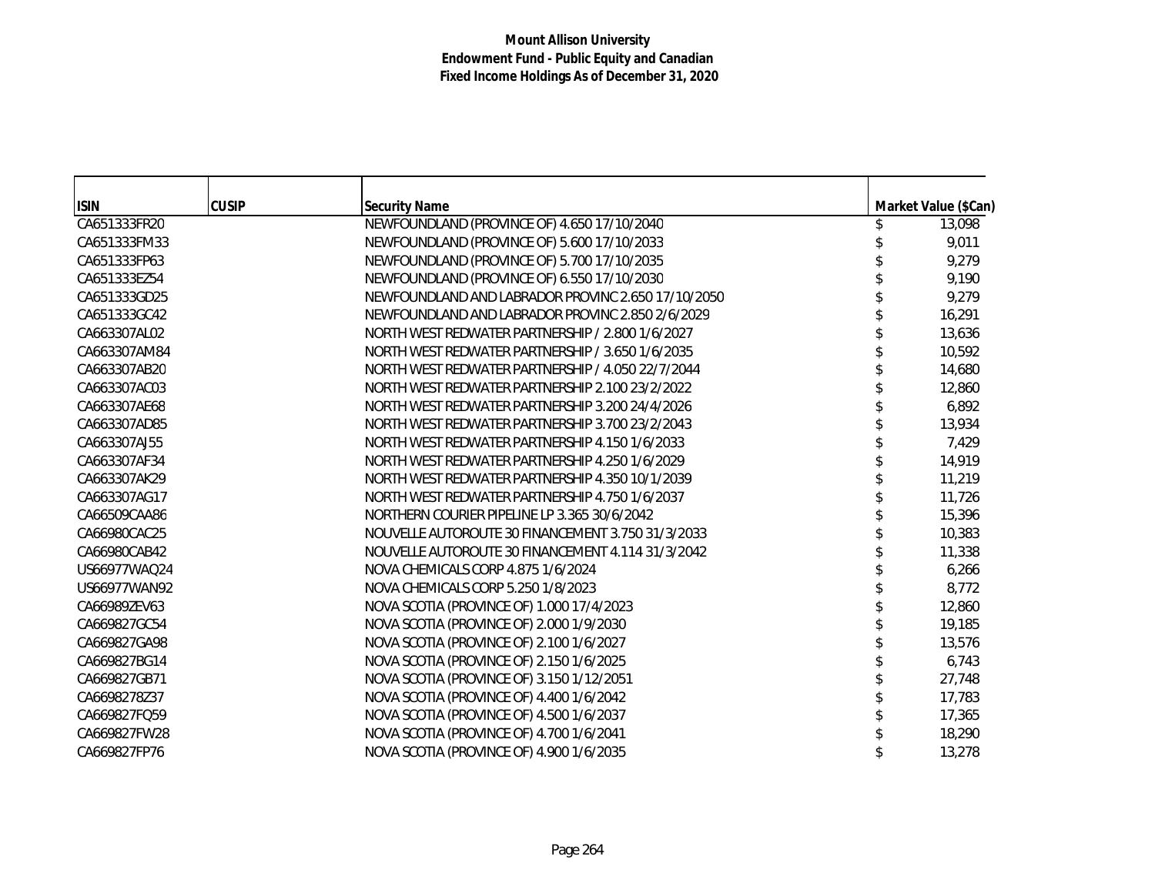| <b>ISIN</b>  | <b>CUSIP</b> | <b>Security Name</b>                               | Market Value (\$Can) |
|--------------|--------------|----------------------------------------------------|----------------------|
| CA651333FR20 |              | NEWFOUNDLAND (PROVINCE OF) 4.650 17/10/2040        | 13,098               |
| CA651333FM33 |              | NEWFOUNDLAND (PROVINCE OF) 5.600 17/10/2033        | 9,011                |
| CA651333FP63 |              | NEWFOUNDLAND (PROVINCE OF) 5.700 17/10/2035        | 9,279                |
| CA651333EZ54 |              | NEWFOUNDLAND (PROVINCE OF) 6.550 17/10/2030        | 9,190                |
| CA651333GD25 |              | NEWFOUNDLAND AND LABRADOR PROVINC 2.650 17/10/2050 | 9,279                |
| CA651333GC42 |              | NEWFOUNDLAND AND LABRADOR PROVINC 2.850 2/6/2029   | 16,291               |
| CA663307AL02 |              | NORTH WEST REDWATER PARTNERSHIP / 2.800 1/6/2027   | 13,636               |
| CA663307AM84 |              | NORTH WEST REDWATER PARTNERSHIP / 3.650 1/6/2035   | 10,592               |
| CA663307AB20 |              | NORTH WEST REDWATER PARTNERSHIP / 4.050 22/7/2044  | 14,680               |
| CA663307AC03 |              | NORTH WEST REDWATER PARTNERSHIP 2.100 23/2/2022    | 12,860               |
| CA663307AE68 |              | NORTH WEST REDWATER PARTNERSHIP 3.200 24/4/2026    | 6,892                |
| CA663307AD85 |              | NORTH WEST REDWATER PARTNERSHIP 3.700 23/2/2043    | 13,934               |
| CA663307AJ55 |              | NORTH WEST REDWATER PARTNERSHIP 4.150 1/6/2033     | 7,429                |
| CA663307AF34 |              | NORTH WEST REDWATER PARTNERSHIP 4.250 1/6/2029     | 14,919               |
| CA663307AK29 |              | NORTH WEST REDWATER PARTNERSHIP 4.350 10/1/2039    | 11,219               |
| CA663307AG17 |              | NORTH WEST REDWATER PARTNERSHIP 4.750 1/6/2037     | 11,726               |
| CA66509CAA86 |              | NORTHERN COURIER PIPELINE LP 3.365 30/6/2042       | 15,396               |
| CA66980CAC25 |              | NOUVELLE AUTOROUTE 30 FINANCEMENT 3.750 31/3/2033  | 10,383               |
| CA66980CAB42 |              | NOUVELLE AUTOROUTE 30 FINANCEMENT 4.114 31/3/2042  | 11,338               |
| US66977WAQ24 |              | NOVA CHEMICALS CORP 4.875 1/6/2024                 | 6,266                |
| US66977WAN92 |              | NOVA CHEMICALS CORP 5.250 1/8/2023                 | 8,772                |
| CA66989ZEV63 |              | NOVA SCOTIA (PROVINCE OF) 1.000 17/4/2023          | 12,860               |
| CA669827GC54 |              | NOVA SCOTIA (PROVINCE OF) 2.000 1/9/2030           | 19,185               |
| CA669827GA98 |              | NOVA SCOTIA (PROVINCE OF) 2.100 1/6/2027           | 13,576               |
| CA669827BG14 |              | NOVA SCOTIA (PROVINCE OF) 2.150 1/6/2025           | 6,743                |
| CA669827GB71 |              | NOVA SCOTIA (PROVINCE OF) 3.150 1/12/2051          | 27,748               |
| CA6698278Z37 |              | NOVA SCOTIA (PROVINCE OF) 4.400 1/6/2042           | 17,783               |
| CA669827FQ59 |              | NOVA SCOTIA (PROVINCE OF) 4.500 1/6/2037           | 17,365               |
| CA669827FW28 |              | NOVA SCOTIA (PROVINCE OF) 4.700 1/6/2041           | 18,290               |
| CA669827FP76 |              | NOVA SCOTIA (PROVINCE OF) 4.900 1/6/2035           | 13,278               |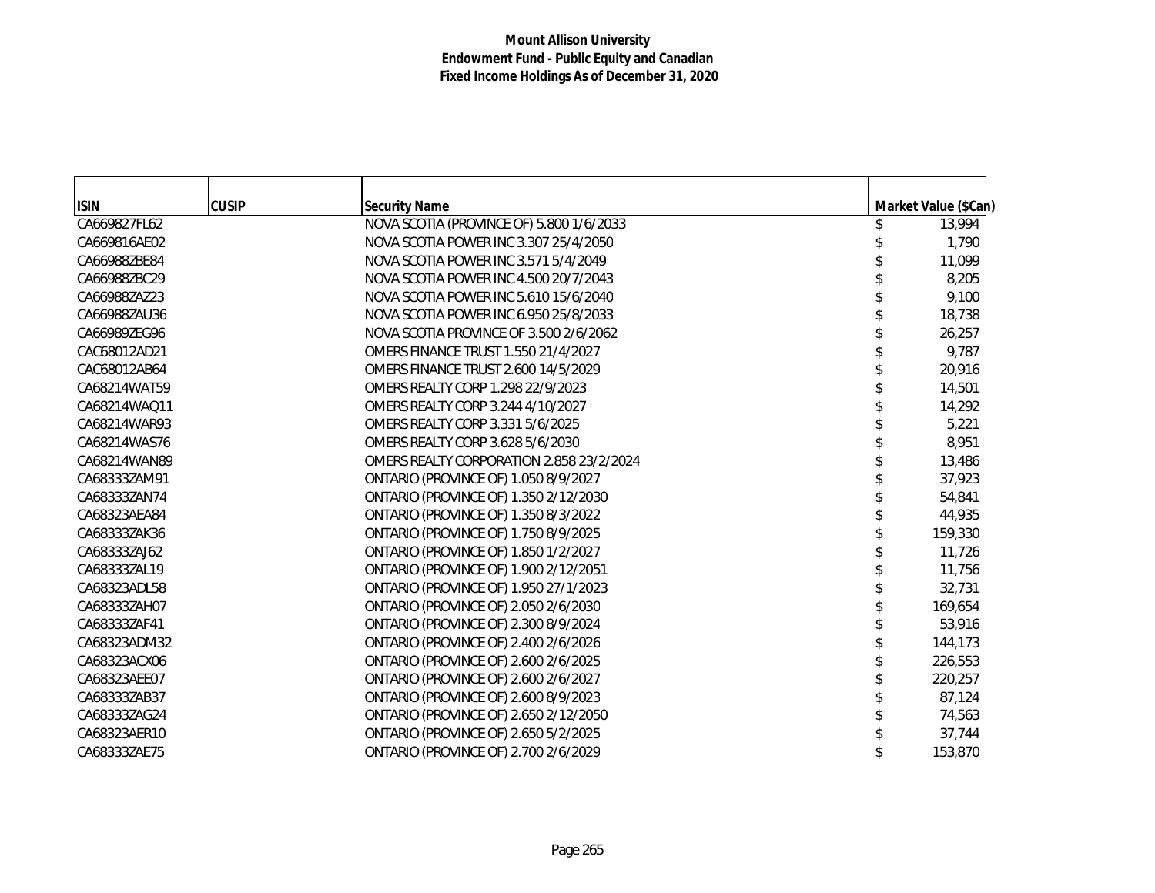| <b>ISIN</b>  | <b>CUSIP</b> | <b>Security Name</b>                       | Market Value (\$Can) |
|--------------|--------------|--------------------------------------------|----------------------|
| CA669827FL62 |              | NOVA SCOTIA (PROVINCE OF) 5.800 1/6/2033   | 13,994               |
| CA669816AE02 |              | NOVA SCOTIA POWER INC 3.307 25/4/2050      | 1,790                |
| CA66988ZBE84 |              | NOVA SCOTIA POWER INC 3.571 5/4/2049       | 11,099               |
| CA66988ZBC29 |              | NOVA SCOTIA POWER INC 4.500 20/7/2043      | 8,205                |
| CA66988ZAZ23 |              | NOVA SCOTIA POWER INC 5.610 15/6/2040      | 9,100                |
| CA66988ZAU36 |              | NOVA SCOTIA POWER INC 6.950 25/8/2033      | 18,738               |
| CA66989ZEG96 |              | NOVA SCOTIA PROVINCE OF 3.500 2/6/2062     | 26,257               |
| CAC68012AD21 |              | <b>OMERS FINANCE TRUST 1.550 21/4/2027</b> | 9,787                |
| CAC68012AB64 |              | <b>OMERS FINANCE TRUST 2.600 14/5/2029</b> | 20,916               |
| CA68214WAT59 |              | OMERS REALTY CORP 1.298 22/9/2023          | 14,501               |
| CA68214WAO11 |              | OMERS REALTY CORP 3.244 4/10/2027          | 14,292               |
| CA68214WAR93 |              | OMERS REALTY CORP 3.331 5/6/2025           | 5,221                |
| CA68214WAS76 |              | OMERS REALTY CORP 3.628 5/6/2030           | 8,951                |
| CA68214WAN89 |              | OMERS REALTY CORPORATION 2.858 23/2/2024   | 13,486               |
| CA68333ZAM91 |              | ONTARIO (PROVINCE OF) 1.050 8/9/2027       | 37,923               |
| CA68333ZAN74 |              | ONTARIO (PROVINCE OF) 1.350 2/12/2030      | 54,841               |
| CA68323AEA84 |              | ONTARIO (PROVINCE OF) 1.350 8/3/2022       | 44,935               |
| CA68333ZAK36 |              | ONTARIO (PROVINCE OF) 1.750 8/9/2025       | 159,330              |
| CA68333ZAJ62 |              | ONTARIO (PROVINCE OF) 1.850 1/2/2027       | 11,726               |
| CA68333ZAL19 |              | ONTARIO (PROVINCE OF) 1.900 2/12/2051      | 11,756               |
| CA68323ADL58 |              | ONTARIO (PROVINCE OF) 1.950 27/1/2023      | 32,731               |
| CA68333ZAH07 |              | ONTARIO (PROVINCE OF) 2.050 2/6/2030       | 169,654              |
| CA68333ZAF41 |              | ONTARIO (PROVINCE OF) 2.300 8/9/2024       | 53,916               |
| CA68323ADM32 |              | ONTARIO (PROVINCE OF) 2.400 2/6/2026       | 144,173              |
| CA68323ACX06 |              | ONTARIO (PROVINCE OF) 2.600 2/6/2025       | 226,553              |
| CA68323AEE07 |              | ONTARIO (PROVINCE OF) 2.600 2/6/2027       | 220,257              |
| CA68333ZAB37 |              | ONTARIO (PROVINCE OF) 2.600 8/9/2023       | 87,124               |
| CA68333ZAG24 |              | ONTARIO (PROVINCE OF) 2.650 2/12/2050      | 74,563               |
| CA68323AER10 |              | ONTARIO (PROVINCE OF) 2.650 5/2/2025       | 37,744               |
| CA68333ZAE75 |              | ONTARIO (PROVINCE OF) 2.700 2/6/2029       | 153,870              |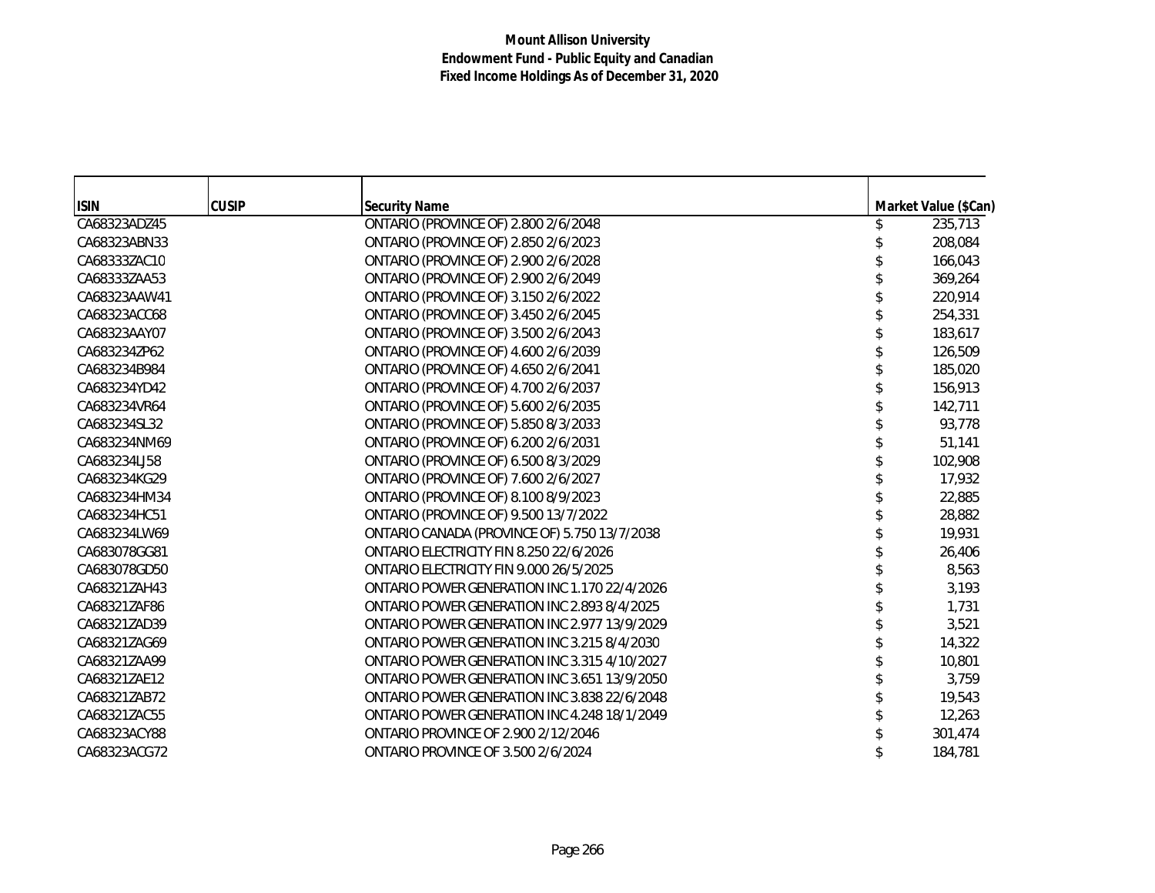| <b>ISIN</b>  | <b>CUSIP</b> | <b>Security Name</b>                         | Market Value (\$Can) |
|--------------|--------------|----------------------------------------------|----------------------|
| CA68323ADZ45 |              | ONTARIO (PROVINCE OF) 2.800 2/6/2048         | 235,713              |
| CA68323ABN33 |              | ONTARIO (PROVINCE OF) 2.850 2/6/2023         | 208,084              |
| CA68333ZAC10 |              | ONTARIO (PROVINCE OF) 2.900 2/6/2028         | 166,043              |
| CA68333ZAA53 |              | ONTARIO (PROVINCE OF) 2.900 2/6/2049         | 369,264              |
| CA68323AAW41 |              | ONTARIO (PROVINCE OF) 3.150 2/6/2022         | 220,914              |
| CA68323ACC68 |              | ONTARIO (PROVINCE OF) 3.450 2/6/2045         | 254,331              |
| CA68323AAY07 |              | ONTARIO (PROVINCE OF) 3.500 2/6/2043         | 183,617              |
| CA683234ZP62 |              | ONTARIO (PROVINCE OF) 4.600 2/6/2039         | 126,509              |
| CA683234B984 |              | ONTARIO (PROVINCE OF) 4.650 2/6/2041         | 185,020              |
| CA683234YD42 |              | ONTARIO (PROVINCE OF) 4.700 2/6/2037         | 156,913              |
| CA683234VR64 |              | ONTARIO (PROVINCE OF) 5.600 2/6/2035         | 142,711              |
| CA683234SL32 |              | ONTARIO (PROVINCE OF) 5.850 8/3/2033         | 93,778               |
| CA683234NM69 |              | ONTARIO (PROVINCE OF) 6.200 2/6/2031         | 51,141               |
| CA683234LJ58 |              | ONTARIO (PROVINCE OF) 6.500 8/3/2029         | 102,908              |
| CA683234KG29 |              | ONTARIO (PROVINCE OF) 7.600 2/6/2027         | 17,932               |
| CA683234HM34 |              | ONTARIO (PROVINCE OF) 8.100 8/9/2023         | 22,885               |
| CA683234HC51 |              | ONTARIO (PROVINCE OF) 9.500 13/7/2022        | 28,882               |
| CA683234LW69 |              | ONTARIO CANADA (PROVINCE OF) 5.750 13/7/2038 | 19,931               |
| CA683078GG81 |              | ONTARIO ELECTRICITY FIN 8.250 22/6/2026      | 26,406               |
| CA683078GD50 |              | ONTARIO ELECTRICITY FIN 9.000 26/5/2025      | 8,563                |
| CA68321ZAH43 |              | ONTARIO POWER GENERATION INC 1.170 22/4/2026 | 3,193                |
| CA68321ZAF86 |              | ONTARIO POWER GENERATION INC 2.893 8/4/2025  | 1,731                |
| CA68321ZAD39 |              | ONTARIO POWER GENERATION INC 2.977 13/9/2029 | 3,521                |
| CA68321ZAG69 |              | ONTARIO POWER GENERATION INC 3.215 8/4/2030  | 14,322               |
| CA68321ZAA99 |              | ONTARIO POWER GENERATION INC 3.315 4/10/2027 | 10,801               |
| CA68321ZAE12 |              | ONTARIO POWER GENERATION INC 3.651 13/9/2050 | 3,759                |
| CA68321ZAB72 |              | ONTARIO POWER GENERATION INC 3.838 22/6/2048 | 19,543               |
| CA68321ZAC55 |              | ONTARIO POWER GENERATION INC 4.248 18/1/2049 | 12,263               |
| CA68323ACY88 |              | <b>ONTARIO PROVINCE OF 2.900 2/12/2046</b>   | 301,474              |
| CA68323ACG72 |              | <b>ONTARIO PROVINCE OF 3.500 2/6/2024</b>    | 184,781              |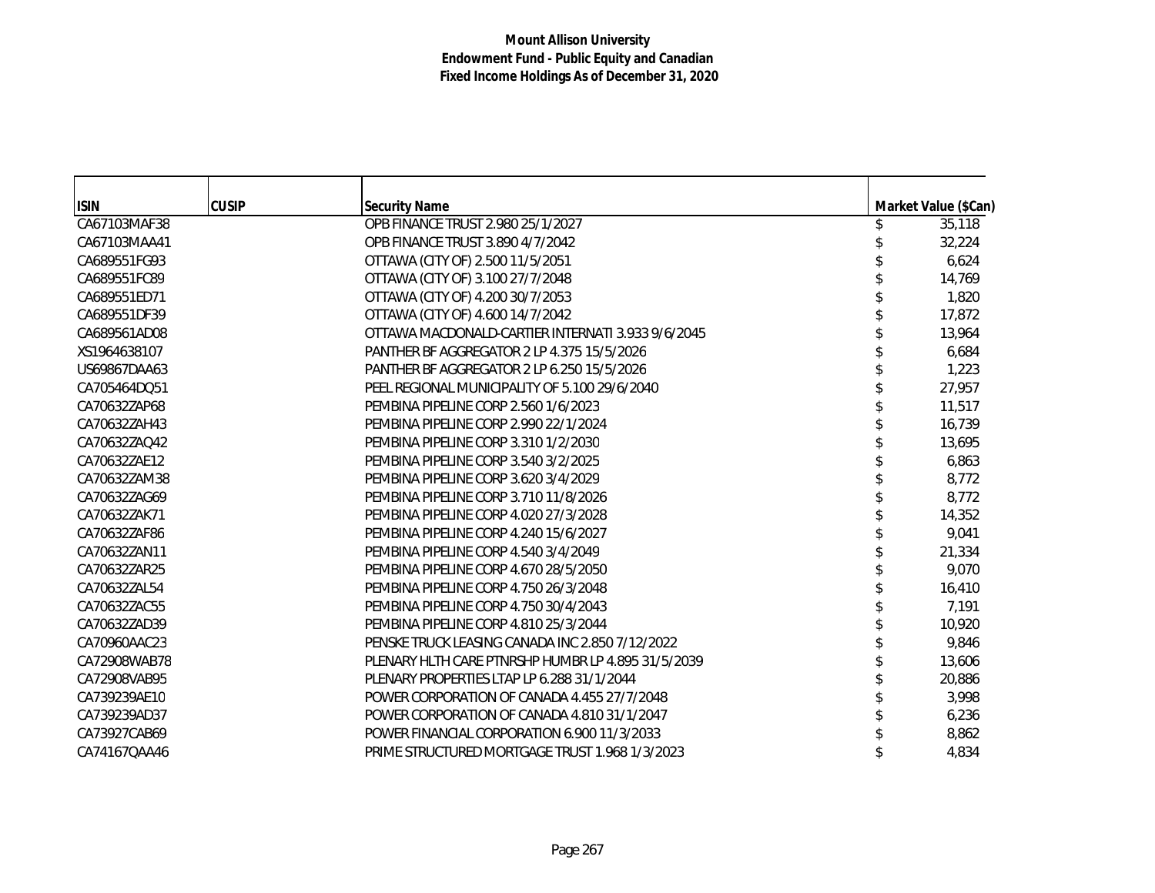| <b>ISIN</b>  | <b>CUSIP</b> | <b>Security Name</b>                               | Market Value (\$Can) |
|--------------|--------------|----------------------------------------------------|----------------------|
| CA67103MAF38 |              | OPB FINANCE TRUST 2.980 25/1/2027                  | 35,118               |
| CA67103MAA41 |              | OPB FINANCE TRUST 3.890 4/7/2042                   | 32,224               |
| CA689551FG93 |              | OTTAWA (CITY OF) 2.500 11/5/2051                   | 6,624                |
| CA689551FC89 |              | OTTAWA (CITY OF) 3.100 27/7/2048                   | 14,769               |
| CA689551ED71 |              | OTTAWA (CITY OF) 4.200 30/7/2053                   | 1,820                |
| CA689551DF39 |              | OTTAWA (CITY OF) 4.600 14/7/2042                   | 17,872               |
| CA689561AD08 |              | OTTAWA MACDONALD-CARTIER INTERNATI 3.933 9/6/2045  | 13,964               |
| XS1964638107 |              | PANTHER BF AGGREGATOR 2 LP 4.375 15/5/2026         | 6,684                |
| US69867DAA63 |              | PANTHER BF AGGREGATOR 2 LP 6.250 15/5/2026         | 1,223                |
| CA705464DQ51 |              | PEEL REGIONAL MUNICIPALITY OF 5.100 29/6/2040      | 27,957               |
| CA70632ZAP68 |              | PEMBINA PIPELINE CORP 2.560 1/6/2023               | 11,517               |
| CA70632ZAH43 |              | PEMBINA PIPELINE CORP 2.990 22/1/2024              | 16,739               |
| CA70632ZAQ42 |              | PEMBINA PIPELINE CORP 3.310 1/2/2030               | 13,695               |
| CA70632ZAE12 |              | PEMBINA PIPELINE CORP 3.540 3/2/2025               | 6,863                |
| CA70632ZAM38 |              | PEMBINA PIPELINE CORP 3.620 3/4/2029               | 8,772                |
| CA70632ZAG69 |              | PEMBINA PIPELINE CORP 3.710 11/8/2026              | 8,772                |
| CA70632ZAK71 |              | PEMBINA PIPELINE CORP 4.020 27/3/2028              | 14,352               |
| CA70632ZAF86 |              | PEMBINA PIPELINE CORP 4.240 15/6/2027              | 9,041                |
| CA70632ZAN11 |              | PEMBINA PIPELINE CORP 4.540 3/4/2049               | 21,334               |
| CA70632ZAR25 |              | PEMBINA PIPELINE CORP 4.670 28/5/2050              | 9,070                |
| CA70632ZAL54 |              | PEMBINA PIPELINE CORP 4.750 26/3/2048              | 16,410               |
| CA70632ZAC55 |              | PEMBINA PIPELINE CORP 4.750 30/4/2043              | 7,191                |
| CA70632ZAD39 |              | PEMBINA PIPELINE CORP 4.810 25/3/2044              | 10,920               |
| CA70960AAC23 |              | PENSKE TRUCK LEASING CANADA INC 2.850 7/12/2022    | 9,846                |
| CA72908WAB78 |              | PLENARY HLTH CARE PTNRSHP HUMBR LP 4.895 31/5/2039 | 13,606               |
| CA72908VAB95 |              | PLENARY PROPERTIES LTAP LP 6.288 31/1/2044         | 20,886               |
| CA739239AE10 |              | POWER CORPORATION OF CANADA 4.455 27/7/2048        | 3,998                |
| CA739239AD37 |              | POWER CORPORATION OF CANADA 4.810 31/1/2047        | 6,236                |
| CA73927CAB69 |              | POWER FINANCIAL CORPORATION 6.900 11/3/2033        | 8,862                |
| CA74167QAA46 |              | PRIME STRUCTURED MORTGAGE TRUST 1.968 1/3/2023     | 4,834                |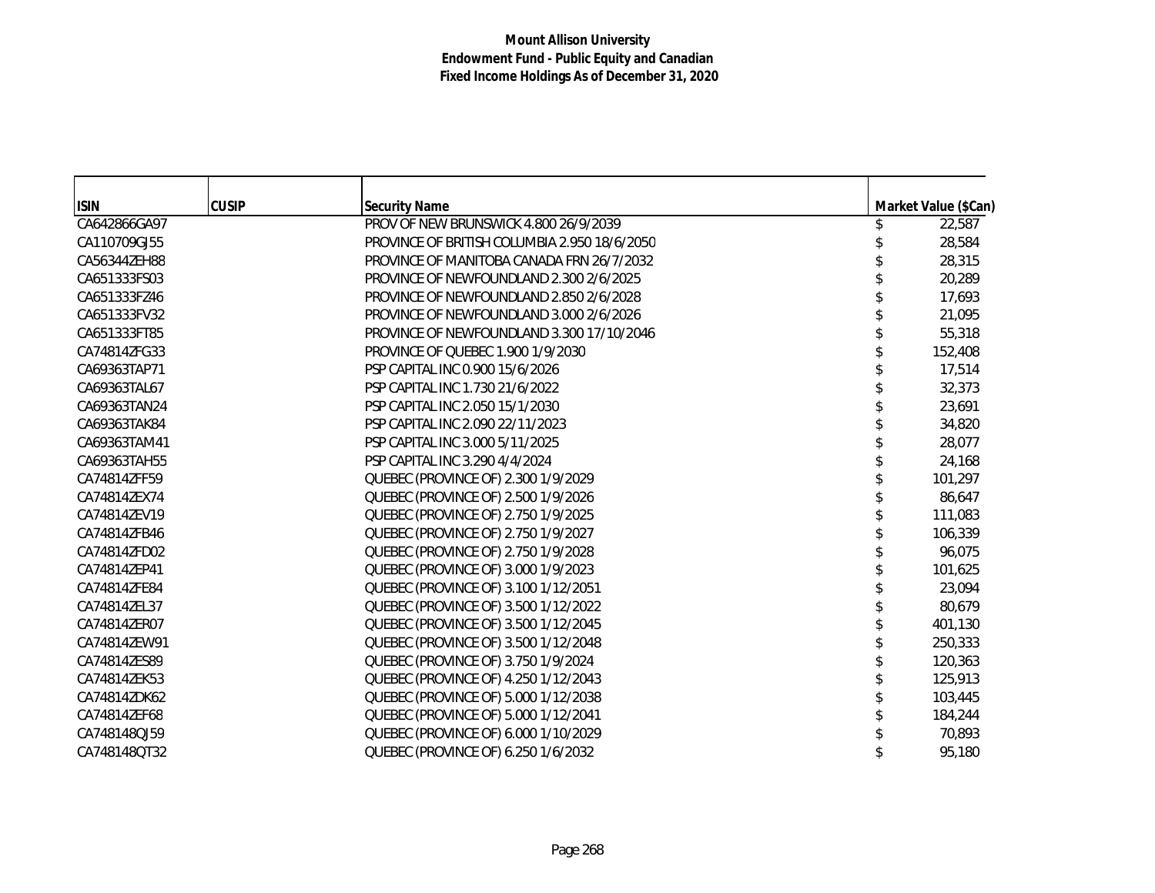| <b>ISIN</b>  | <b>CUSIP</b> | <b>Security Name</b>                         | Market Value (\$Can) |
|--------------|--------------|----------------------------------------------|----------------------|
| CA642866GA97 |              | PROV OF NEW BRUNSWICK 4.800 26/9/2039        | 22,587               |
| CA110709GJ55 |              | PROVINCE OF BRITISH COLUMBIA 2.950 18/6/2050 | 28,584               |
| CA56344ZEH88 |              | PROVINCE OF MANITOBA CANADA FRN 26/7/2032    | 28,315               |
| CA651333FS03 |              | PROVINCE OF NEWFOUNDLAND 2.300 2/6/2025      | 20,289               |
| CA651333FZ46 |              | PROVINCE OF NEWFOUNDLAND 2.850 2/6/2028      | 17,693               |
| CA651333FV32 |              | PROVINCE OF NEWFOUNDLAND 3.000 2/6/2026      | 21,095               |
| CA651333FT85 |              | PROVINCE OF NEWFOUNDLAND 3.300 17/10/2046    | 55,318               |
| CA74814ZFG33 |              | PROVINCE OF QUEBEC 1.900 1/9/2030            | 152,408              |
| CA69363TAP71 |              | PSP CAPITAL INC 0.900 15/6/2026              | 17,514               |
| CA69363TAL67 |              | PSP CAPITAL INC 1.730 21/6/2022              | 32,373               |
| CA69363TAN24 |              | PSP CAPITAL INC 2.050 15/1/2030              | 23,691               |
| CA69363TAK84 |              | PSP CAPITAL INC 2.090 22/11/2023             | 34,820               |
| CA69363TAM41 |              | PSP CAPITAL INC 3.000 5/11/2025              | 28,077               |
| CA69363TAH55 |              | PSP CAPITAL INC 3.290 4/4/2024               | 24,168               |
| CA74814ZFF59 |              | QUEBEC (PROVINCE OF) 2.300 1/9/2029          | 101,297              |
| CA74814ZEX74 |              | QUEBEC (PROVINCE OF) 2.500 1/9/2026          | 86,647               |
| CA74814ZEV19 |              | QUEBEC (PROVINCE OF) 2.750 1/9/2025          | 111,083              |
| CA74814ZFB46 |              | QUEBEC (PROVINCE OF) 2.750 1/9/2027          | 106,339              |
| CA74814ZFD02 |              | QUEBEC (PROVINCE OF) 2.750 1/9/2028          | 96,075               |
| CA74814ZEP41 |              | QUEBEC (PROVINCE OF) 3.000 1/9/2023          | 101,625              |
| CA74814ZFE84 |              | QUEBEC (PROVINCE OF) 3.100 1/12/2051         | 23,094               |
| CA74814ZEL37 |              | QUEBEC (PROVINCE OF) 3.500 1/12/2022         | 80,679               |
| CA74814ZER07 |              | QUEBEC (PROVINCE OF) 3.500 1/12/2045         | 401,130              |
| CA74814ZEW91 |              | QUEBEC (PROVINCE OF) 3.500 1/12/2048         | 250,333              |
| CA74814ZES89 |              | QUEBEC (PROVINCE OF) 3.750 1/9/2024          | 120,363              |
| CA74814ZEK53 |              | QUEBEC (PROVINCE OF) 4.250 1/12/2043         | 125,913              |
| CA74814ZDK62 |              | QUEBEC (PROVINCE OF) 5.000 1/12/2038         | 103,445              |
| CA74814ZEF68 |              | QUEBEC (PROVINCE OF) 5.000 1/12/2041         | 184,244              |
| CA748148QJ59 |              | QUEBEC (PROVINCE OF) 6.000 1/10/2029         | 70,893               |
| CA748148QT32 |              | QUEBEC (PROVINCE OF) 6.250 1/6/2032          | 95,180               |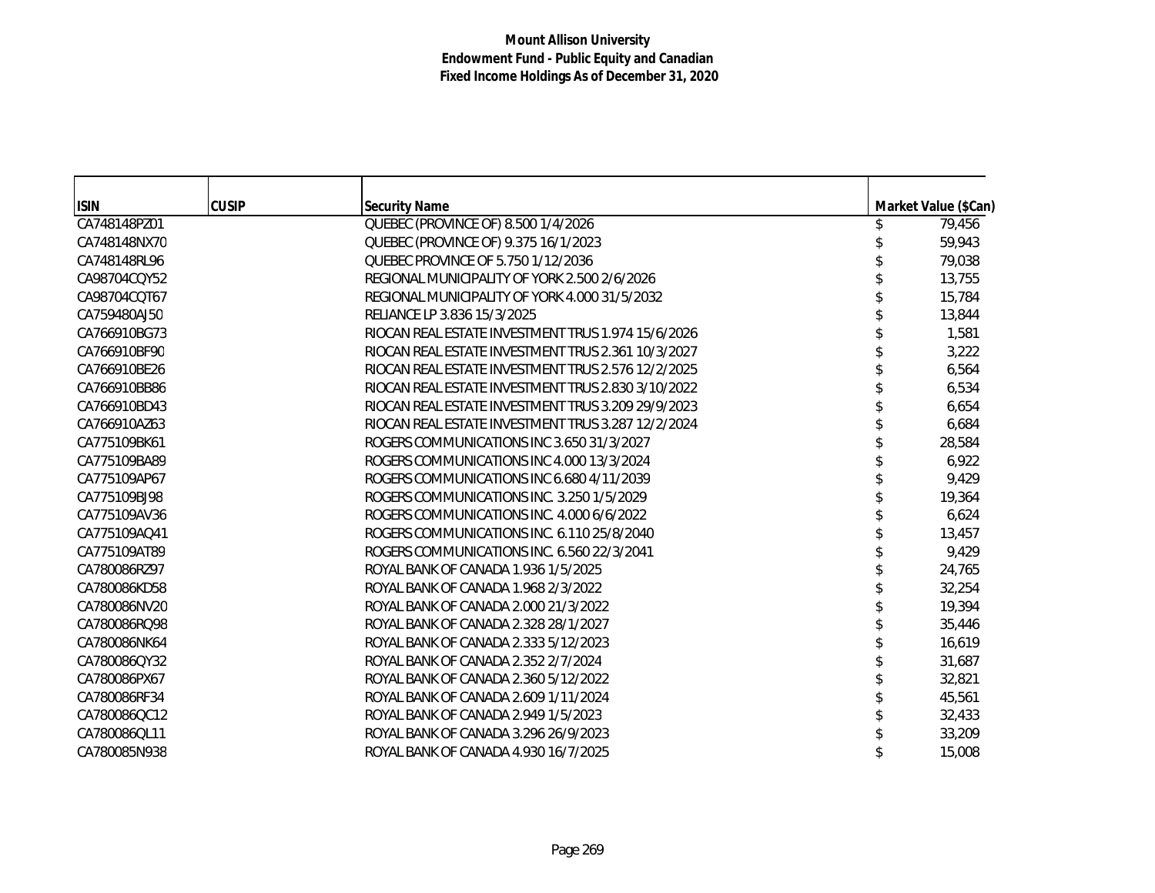| <b>ISIN</b>  | <b>CUSIP</b> | <b>Security Name</b>                               | Market Value (\$Can) |
|--------------|--------------|----------------------------------------------------|----------------------|
| CA748148PZ01 |              | QUEBEC (PROVINCE OF) 8.500 1/4/2026                | 79,456               |
| CA748148NX70 |              | QUEBEC (PROVINCE OF) 9.375 16/1/2023               | 59,943               |
| CA748148RL96 |              | QUEBEC PROVINCE OF 5.750 1/12/2036                 | 79,038               |
| CA98704CQY52 |              | REGIONAL MUNICIPALITY OF YORK 2.500 2/6/2026       | 13,755               |
| CA98704CQT67 |              | REGIONAL MUNICIPALITY OF YORK 4.000 31/5/2032      | 15,784               |
| CA759480AJ50 |              | RELIANCE LP 3.836 15/3/2025                        | 13,844               |
| CA766910BG73 |              | RIOCAN REAL ESTATE INVESTMENT TRUS 1.974 15/6/2026 | 1,581                |
| CA766910BF90 |              | RIOCAN REAL ESTATE INVESTMENT TRUS 2.361 10/3/2027 | 3,222                |
| CA766910BE26 |              | RIOCAN REAL ESTATE INVESTMENT TRUS 2.576 12/2/2025 | 6,564                |
| CA766910BB86 |              | RIOCAN REAL ESTATE INVESTMENT TRUS 2.830 3/10/2022 | 6,534                |
| CA766910BD43 |              | RIOCAN REAL ESTATE INVESTMENT TRUS 3.209 29/9/2023 | 6,654                |
| CA766910AZ63 |              | RIOCAN REAL ESTATE INVESTMENT TRUS 3.287 12/2/2024 | 6,684                |
| CA775109BK61 |              | ROGERS COMMUNICATIONS INC 3.650 31/3/2027          | 28,584               |
| CA775109BA89 |              | ROGERS COMMUNICATIONS INC 4.000 13/3/2024          | 6,922                |
| CA775109AP67 |              | ROGERS COMMUNICATIONS INC 6.680 4/11/2039          | 9,429                |
| CA775109BJ98 |              | ROGERS COMMUNICATIONS INC. 3.250 1/5/2029          | 19,364               |
| CA775109AV36 |              | ROGERS COMMUNICATIONS INC. 4.000 6/6/2022          | 6,624                |
| CA775109AQ41 |              | ROGERS COMMUNICATIONS INC. 6.110 25/8/2040         | 13,457               |
| CA775109AT89 |              | ROGERS COMMUNICATIONS INC. 6.560 22/3/2041         | 9,429                |
| CA780086RZ97 |              | ROYAL BANK OF CANADA 1.936 1/5/2025                | 24,765               |
| CA780086KD58 |              | ROYAL BANK OF CANADA 1.968 2/3/2022                | 32,254               |
| CA780086NV20 |              | ROYAL BANK OF CANADA 2.000 21/3/2022               | 19,394               |
| CA780086RQ98 |              | ROYAL BANK OF CANADA 2.328 28/1/2027               | 35,446               |
| CA780086NK64 |              | ROYAL BANK OF CANADA 2.333 5/12/2023               | 16,619               |
| CA780086QY32 |              | ROYAL BANK OF CANADA 2.352 2/7/2024                | 31,687               |
| CA780086PX67 |              | ROYAL BANK OF CANADA 2.360 5/12/2022               | 32,821               |
| CA780086RF34 |              | ROYAL BANK OF CANADA 2.609 1/11/2024               | 45,561               |
| CA780086QC12 |              | ROYAL BANK OF CANADA 2.949 1/5/2023                | 32,433               |
| CA780086QL11 |              | ROYAL BANK OF CANADA 3.296 26/9/2023               | 33,209               |
| CA780085N938 |              | ROYAL BANK OF CANADA 4.930 16/7/2025               | 15,008               |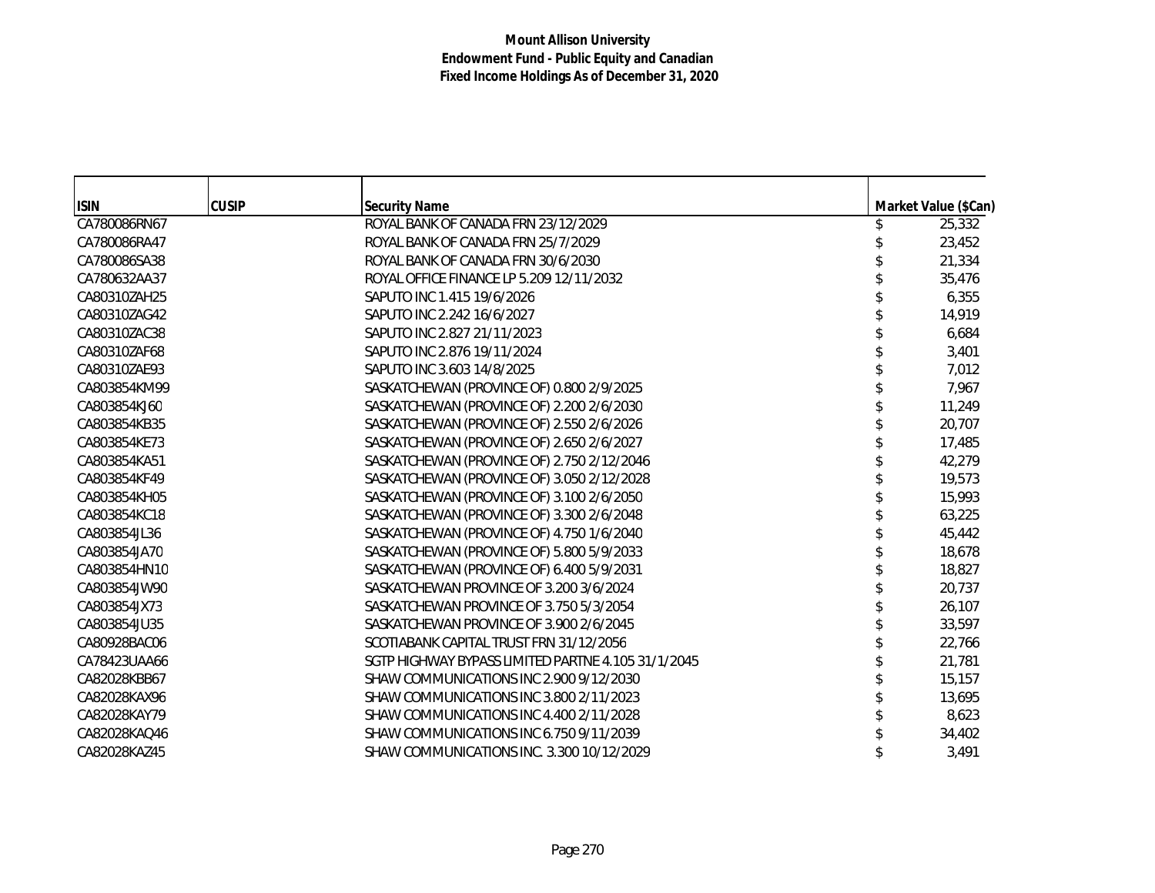| <b>ISIN</b>  | <b>CUSIP</b> | <b>Security Name</b>                               | Market Value (\$Can) |
|--------------|--------------|----------------------------------------------------|----------------------|
| CA780086RN67 |              | ROYAL BANK OF CANADA FRN 23/12/2029                | 25,332               |
| CA780086RA47 |              | ROYAL BANK OF CANADA FRN 25/7/2029                 | 23,452               |
| CA780086SA38 |              | ROYAL BANK OF CANADA FRN 30/6/2030                 | 21,334               |
| CA780632AA37 |              | ROYAL OFFICE FINANCE LP 5.209 12/11/2032           | 35,476               |
| CA80310ZAH25 |              | SAPUTO INC 1.415 19/6/2026                         | 6,355                |
| CA80310ZAG42 |              | SAPUTO INC 2.242 16/6/2027                         | 14,919               |
| CA80310ZAC38 |              | SAPUTO INC 2.827 21/11/2023                        | 6,684                |
| CA80310ZAF68 |              | SAPUTO INC 2.876 19/11/2024                        | 3,401                |
| CA80310ZAE93 |              | SAPUTO INC 3.603 14/8/2025                         | 7,012                |
| CA803854KM99 |              | SASKATCHEWAN (PROVINCE OF) 0.800 2/9/2025          | 7,967                |
| CA803854KJ60 |              | SASKATCHEWAN (PROVINCE OF) 2.200 2/6/2030          | 11,249               |
| CA803854KB35 |              | SASKATCHEWAN (PROVINCE OF) 2.550 2/6/2026          | 20,707               |
| CA803854KE73 |              | SASKATCHEWAN (PROVINCE OF) 2.650 2/6/2027          | 17,485               |
| CA803854KA51 |              | SASKATCHEWAN (PROVINCE OF) 2.750 2/12/2046         | 42,279               |
| CA803854KF49 |              | SASKATCHEWAN (PROVINCE OF) 3.050 2/12/2028         | 19,573               |
| CA803854KH05 |              | SASKATCHEWAN (PROVINCE OF) 3.100 2/6/2050          | 15,993               |
| CA803854KC18 |              | SASKATCHEWAN (PROVINCE OF) 3.300 2/6/2048          | 63,225               |
| CA803854JL36 |              | SASKATCHEWAN (PROVINCE OF) 4.750 1/6/2040          | 45,442               |
| CA803854JA70 |              | SASKATCHEWAN (PROVINCE OF) 5.800 5/9/2033          | 18,678               |
| CA803854HN10 |              | SASKATCHEWAN (PROVINCE OF) 6.400 5/9/2031          | 18,827               |
| CA803854JW90 |              | SASKATCHEWAN PROVINCE OF 3.200 3/6/2024            | 20,737               |
| CA803854JX73 |              | SASKATCHEWAN PROVINCE OF 3.750 5/3/2054            | 26,107               |
| CA803854JU35 |              | SASKATCHEWAN PROVINCE OF 3.900 2/6/2045            | 33,597               |
| CA80928BAC06 |              | SCOTIABANK CAPITAL TRUST FRN 31/12/2056            | 22,766               |
| CA78423UAA66 |              | SGTP HIGHWAY BYPASS LIMITED PARTNE 4.105 31/1/2045 | 21,781               |
| CA82028KBB67 |              | SHAW COMMUNICATIONS INC 2.900 9/12/2030            | 15,157               |
| CA82028KAX96 |              | SHAW COMMUNICATIONS INC 3.800 2/11/2023            | 13,695               |
| CA82028KAY79 |              | SHAW COMMUNICATIONS INC 4.400 2/11/2028            | 8,623                |
| CA82028KAQ46 |              | SHAW COMMUNICATIONS INC 6.750 9/11/2039            | 34,402               |
| CA82028KAZ45 |              | SHAW COMMUNICATIONS INC. 3.300 10/12/2029          | 3,491                |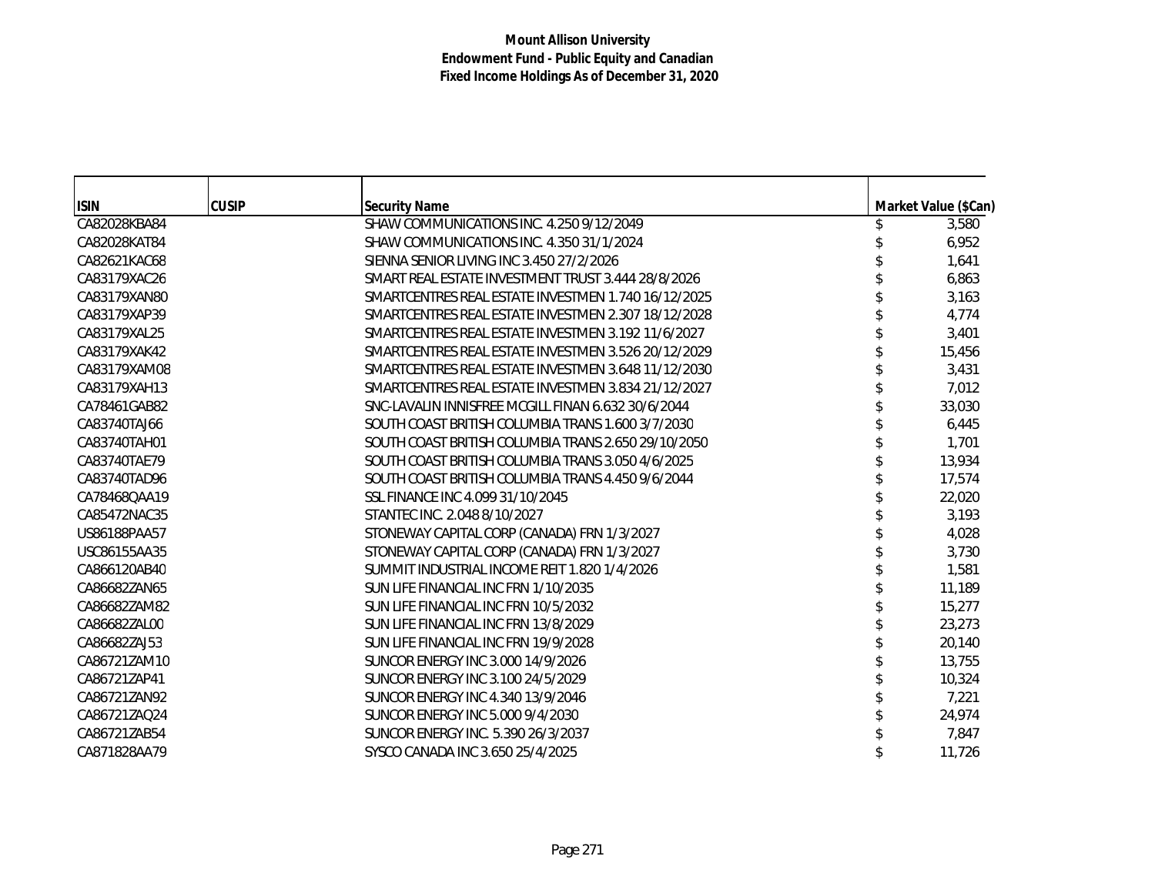| <b>ISIN</b>  | <b>CUSIP</b> | <b>Security Name</b>                                | Market Value (\$Can) |
|--------------|--------------|-----------------------------------------------------|----------------------|
| CA82028KBA84 |              | SHAW COMMUNICATIONS INC. 4.250 9/12/2049            | 3,580                |
| CA82028KAT84 |              | SHAW COMMUNICATIONS INC. 4.350 31/1/2024            | 6,952                |
| CA82621KAC68 |              | SIENNA SENIOR LIVING INC 3.450 27/2/2026            | 1,641                |
| CA83179XAC26 |              | SMART REAL ESTATE INVESTMENT TRUST 3.444 28/8/2026  | 6,863                |
| CA83179XAN80 |              | SMARTCENTRES REAL ESTATE INVESTMEN 1.740 16/12/2025 | 3,163                |
| CA83179XAP39 |              | SMARTCENTRES REAL ESTATE INVESTMEN 2.307 18/12/2028 | 4,774                |
| CA83179XAL25 |              | SMARTCENTRES REAL ESTATE INVESTMEN 3.192 11/6/2027  | 3,401                |
| CA83179XAK42 |              | SMARTCENTRES REAL ESTATE INVESTMEN 3.526 20/12/2029 | 15,456               |
| CA83179XAM08 |              | SMARTCENTRES REAL ESTATE INVESTMEN 3.648 11/12/2030 | 3,431                |
| CA83179XAH13 |              | SMARTCENTRES REAL ESTATE INVESTMEN 3.834 21/12/2027 | 7,012                |
| CA78461GAB82 |              | SNC-LAVALIN INNISFREE MCGILL FINAN 6.632 30/6/2044  | 33,030               |
| CA83740TAJ66 |              | SOUTH COAST BRITISH COLUMBIA TRANS 1.600 3/7/2030   | 6,445                |
| CA83740TAH01 |              | SOUTH COAST BRITISH COLUMBIA TRANS 2.650 29/10/2050 | 1,701                |
| CA83740TAE79 |              | SOUTH COAST BRITISH COLUMBIA TRANS 3.050 4/6/2025   | 13,934               |
| CA83740TAD96 |              | SOUTH COAST BRITISH COLUMBIA TRANS 4.450 9/6/2044   | 17,574               |
| CA78468OAA19 |              | SSL FINANCE INC 4.099 31/10/2045                    | 22,020               |
| CA85472NAC35 |              | STANTEC INC. 2.048 8/10/2027                        | 3,193                |
| US86188PAA57 |              | STONEWAY CAPITAL CORP (CANADA) FRN 1/3/2027         | 4,028                |
| USC86155AA35 |              | STONEWAY CAPITAL CORP (CANADA) FRN 1/3/2027         | 3,730                |
| CA866120AB40 |              | SUMMIT INDUSTRIAL INCOME REIT 1.820 1/4/2026        | 1,581                |
| CA86682ZAN65 |              | SUN LIFE FINANCIAL INC FRN 1/10/2035                | 11,189               |
| CA86682ZAM82 |              | SUN LIFE FINANCIAL INC FRN 10/5/2032                | 15,277               |
| CA86682ZAL00 |              | SUN LIFE FINANCIAL INC FRN 13/8/2029                | 23,273               |
| CA86682ZAJ53 |              | SUN LIFE FINANCIAL INC FRN 19/9/2028                | 20,140               |
| CA86721ZAM10 |              | SUNCOR ENERGY INC 3.000 14/9/2026                   | 13,755               |
| CA86721ZAP41 |              | SUNCOR ENERGY INC 3.100 24/5/2029                   | 10,324               |
| CA86721ZAN92 |              | SUNCOR ENERGY INC 4.340 13/9/2046                   | 7,221                |
| CA86721ZAQ24 |              | SUNCOR ENERGY INC 5.000 9/4/2030                    | 24,974               |
| CA86721ZAB54 |              | SUNCOR ENERGY INC. 5.390 26/3/2037                  | 7,847                |
| CA871828AA79 |              | SYSCO CANADA INC 3.650 25/4/2025                    | 11,726               |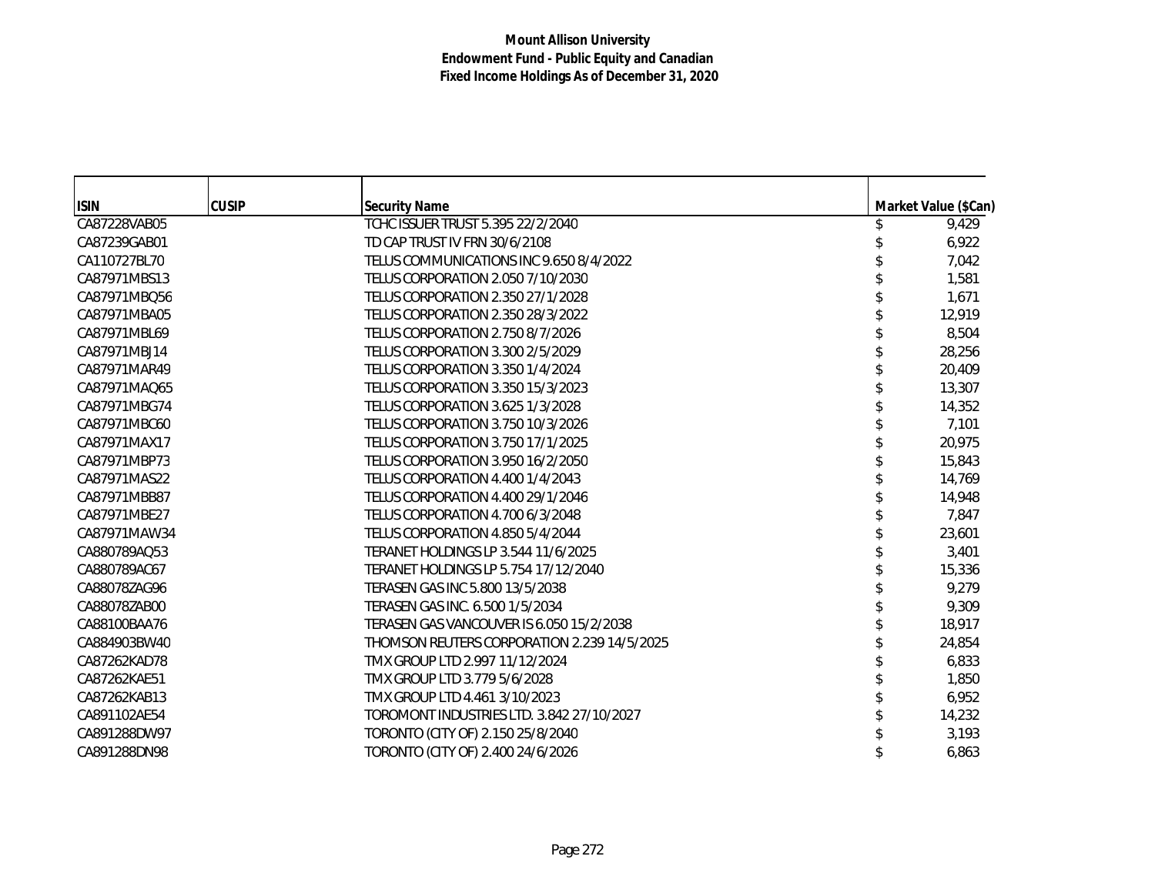| <b>ISIN</b>  | <b>CUSIP</b> | <b>Security Name</b>                        | Market Value (\$Can) |
|--------------|--------------|---------------------------------------------|----------------------|
| CA87228VAB05 |              | TCHC ISSUER TRUST 5.395 22/2/2040           | 9,429                |
| CA87239GAB01 |              | TD CAP TRUST IV FRN 30/6/2108               | 6,922                |
| CA110727BL70 |              | TELUS COMMUNICATIONS INC 9.650 8/4/2022     | 7,042                |
| CA87971MBS13 |              | TELUS CORPORATION 2.050 7/10/2030           | 1,581                |
| CA87971MBQ56 |              | TELUS CORPORATION 2.350 27/1/2028           | 1,671                |
| CA87971MBA05 |              | TELUS CORPORATION 2.350 28/3/2022           | 12,919               |
| CA87971MBL69 |              | TELUS CORPORATION 2.750 8/7/2026            | 8,504                |
| CA87971MBJ14 |              | TELUS CORPORATION 3.300 2/5/2029            | 28,256               |
| CA87971MAR49 |              | TELUS CORPORATION 3.350 1/4/2024            | 20,409               |
| CA87971MAO65 |              | TELUS CORPORATION 3.350 15/3/2023           | 13,307               |
| CA87971MBG74 |              | TELUS CORPORATION 3.625 1/3/2028            | 14,352               |
| CA87971MBC60 |              | TELUS CORPORATION 3.750 10/3/2026           | 7,101                |
| CA87971MAX17 |              | TELUS CORPORATION 3.750 17/1/2025           | 20,975               |
| CA87971MBP73 |              | TELUS CORPORATION 3.950 16/2/2050           | 15,843               |
| CA87971MAS22 |              | TELUS CORPORATION 4.400 1/4/2043            | 14,769               |
| CA87971MBB87 |              | TELUS CORPORATION 4.400 29/1/2046           | 14,948               |
| CA87971MBE27 |              | TELUS CORPORATION 4.700 6/3/2048            | 7,847                |
| CA87971MAW34 |              | TELUS CORPORATION 4.850 5/4/2044            | 23,601               |
| CA880789AQ53 |              | TERANET HOLDINGS LP 3.544 11/6/2025         | 3,401                |
| CA880789AC67 |              | TERANET HOLDINGS LP 5.754 17/12/2040        | 15,336               |
| CA88078ZAG96 |              | TERASEN GAS INC 5.800 13/5/2038             | 9,279                |
| CA88078ZAB00 |              | TERASEN GAS INC. 6.500 1/5/2034             | 9,309                |
| CA88100BAA76 |              | TERASEN GAS VANCOUVER IS 6.050 15/2/2038    | 18,917               |
| CA884903BW40 |              | THOMSON REUTERS CORPORATION 2.239 14/5/2025 | 24,854               |
| CA87262KAD78 |              | TMX GROUP LTD 2.997 11/12/2024              | 6,833                |
| CA87262KAE51 |              | TMX GROUP LTD 3.779 5/6/2028                | 1,850                |
| CA87262KAB13 |              | TMX GROUP LTD 4.461 3/10/2023               | 6,952                |
| CA891102AE54 |              | TOROMONT INDUSTRIES LTD. 3.842 27/10/2027   | 14,232               |
| CA891288DW97 |              | TORONTO (CITY OF) 2.150 25/8/2040           | 3,193                |
| CA891288DN98 |              | TORONTO (CITY OF) 2.400 24/6/2026           | 6,863                |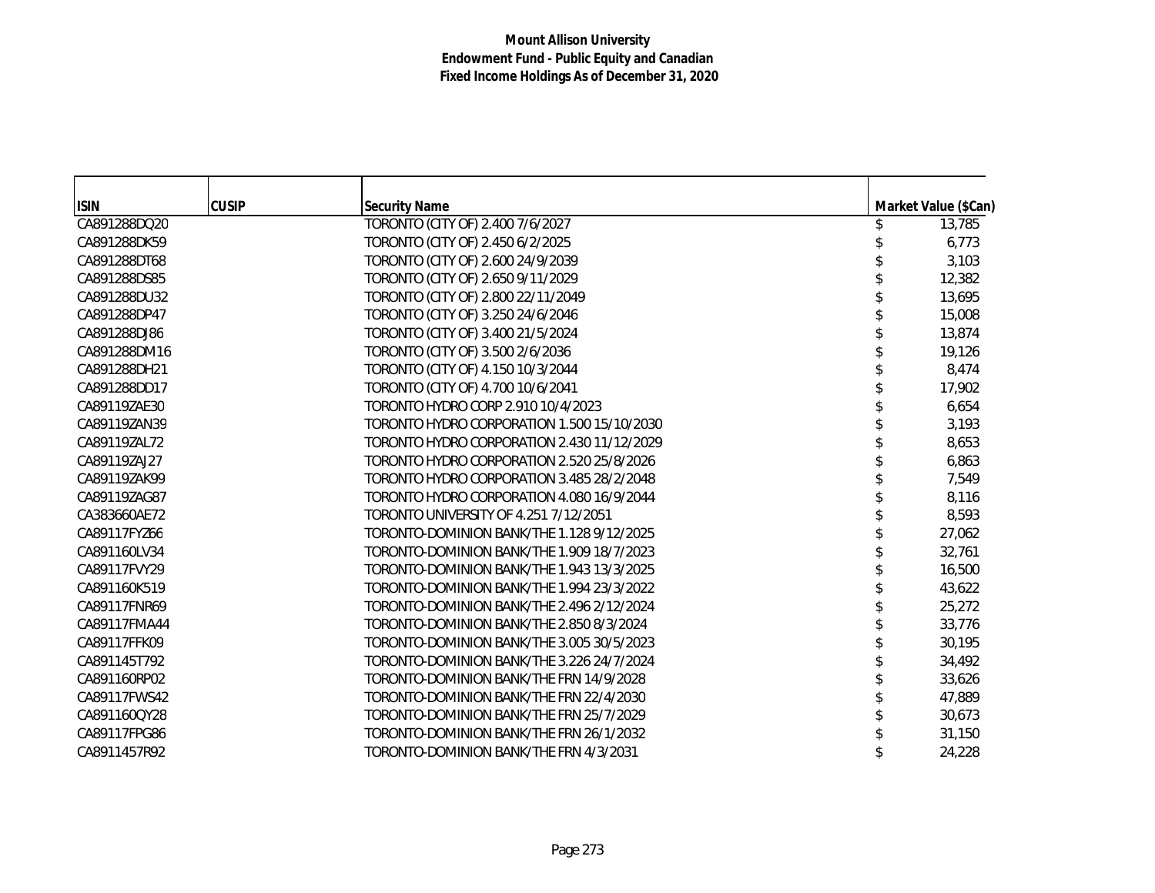| <b>ISIN</b>  | <b>CUSIP</b> | <b>Security Name</b>                       | Market Value (\$Can) |
|--------------|--------------|--------------------------------------------|----------------------|
| CA891288DQ20 |              | TORONTO (CITY OF) 2.400 7/6/2027           | 13,785               |
| CA891288DK59 |              | TORONTO (CITY OF) 2.450 6/2/2025           | 6,773                |
| CA891288DT68 |              | TORONTO (CITY OF) 2.600 24/9/2039          | 3,103                |
| CA891288DS85 |              | TORONTO (CITY OF) 2.650 9/11/2029          | 12,382               |
| CA891288DU32 |              | TORONTO (CITY OF) 2.800 22/11/2049         | 13,695               |
| CA891288DP47 |              | TORONTO (CITY OF) 3.250 24/6/2046          | 15,008               |
| CA891288DJ86 |              | TORONTO (CITY OF) 3.400 21/5/2024          | 13,874               |
| CA891288DM16 |              | TORONTO (CITY OF) 3.500 2/6/2036           | 19,126               |
| CA891288DH21 |              | TORONTO (CITY OF) 4.150 10/3/2044          | 8,474                |
| CA891288DD17 |              | TORONTO (CITY OF) 4.700 10/6/2041          | 17,902               |
| CA89119ZAE30 |              | TORONTO HYDRO CORP 2.910 10/4/2023         | 6,654                |
| CA89119ZAN39 |              | TORONTO HYDRO CORPORATION 1.500 15/10/2030 | 3,193                |
| CA89119ZAL72 |              | TORONTO HYDRO CORPORATION 2.430 11/12/2029 | 8,653                |
| CA89119ZAJ27 |              | TORONTO HYDRO CORPORATION 2.520 25/8/2026  | 6,863                |
| CA89119ZAK99 |              | TORONTO HYDRO CORPORATION 3.485 28/2/2048  | 7,549                |
| CA89119ZAG87 |              | TORONTO HYDRO CORPORATION 4.080 16/9/2044  | 8,116                |
| CA383660AE72 |              | TORONTO UNIVERSITY OF 4.251 7/12/2051      | 8,593                |
| CA89117FYZ66 |              | TORONTO-DOMINION BANK/THE 1.128 9/12/2025  | 27,062               |
| CA891160LV34 |              | TORONTO-DOMINION BANK/THE 1.909 18/7/2023  | 32,761               |
| CA89117FVY29 |              | TORONTO-DOMINION BANK/THE 1.943 13/3/2025  | 16,500               |
| CA891160K519 |              | TORONTO-DOMINION BANK/THE 1.994 23/3/2022  | 43,622               |
| CA89117FNR69 |              | TORONTO-DOMINION BANK/THE 2.496 2/12/2024  | 25,272               |
| CA89117FMA44 |              | TORONTO-DOMINION BANK/THE 2.850 8/3/2024   | 33,776               |
| CA89117FFK09 |              | TORONTO-DOMINION BANK/THE 3.005 30/5/2023  | 30,195               |
| CA891145T792 |              | TORONTO-DOMINION BANK/THE 3.226 24/7/2024  | 34,492               |
| CA891160RP02 |              | TORONTO-DOMINION BANK/THE FRN 14/9/2028    | 33,626               |
| CA89117FWS42 |              | TORONTO-DOMINION BANK/THE FRN 22/4/2030    | 47,889               |
| CA891160QY28 |              | TORONTO-DOMINION BANK/THE FRN 25/7/2029    | 30,673               |
| CA89117FPG86 |              | TORONTO-DOMINION BANK/THE FRN 26/1/2032    | 31,150               |
| CA8911457R92 |              | TORONTO-DOMINION BANK/THE FRN 4/3/2031     | 24,228               |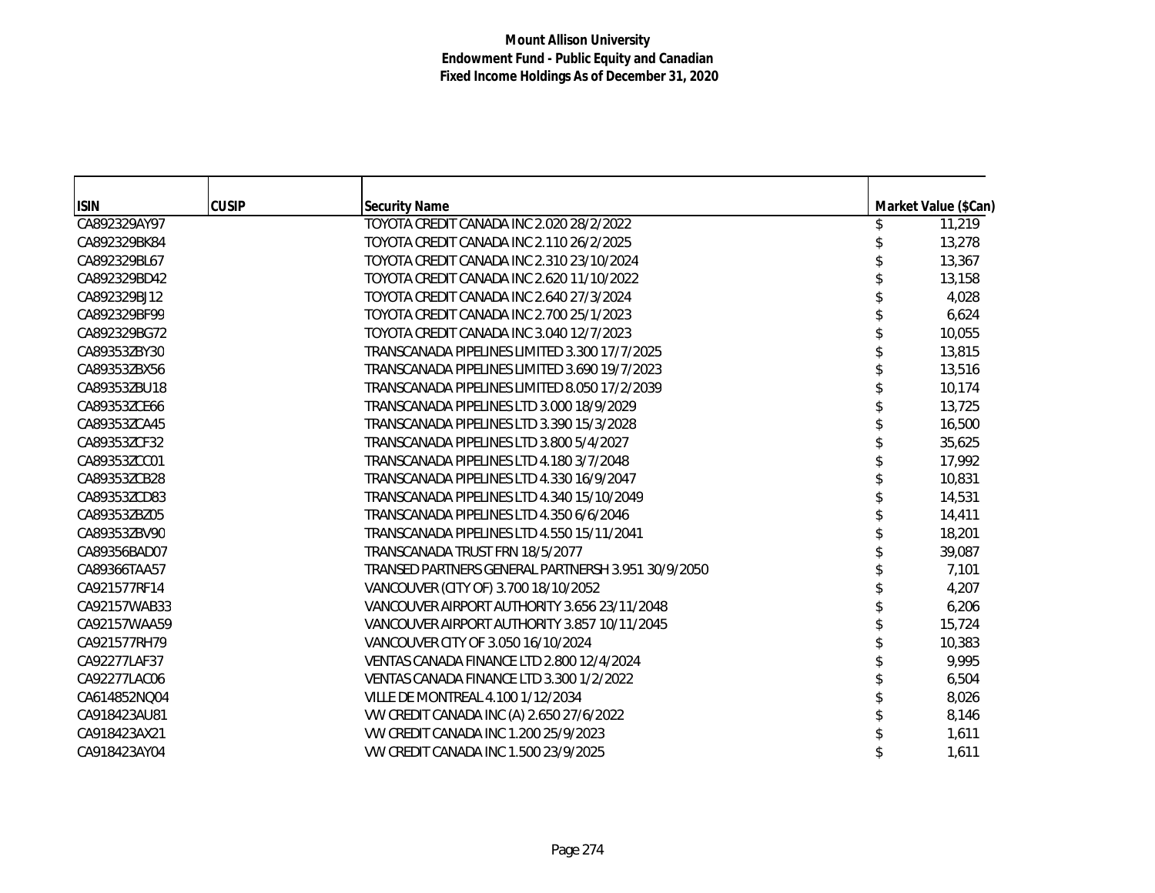| <b>ISIN</b>  | <b>CUSIP</b> | <b>Security Name</b>                               | Market Value (\$Can) |
|--------------|--------------|----------------------------------------------------|----------------------|
| CA892329AY97 |              | TOYOTA CREDIT CANADA INC 2.020 28/2/2022           | 11,219               |
| CA892329BK84 |              | TOYOTA CREDIT CANADA INC 2.110 26/2/2025           | 13,278               |
| CA892329BL67 |              | TOYOTA CREDIT CANADA INC 2.310 23/10/2024          | 13,367               |
| CA892329BD42 |              | TOYOTA CREDIT CANADA INC 2.620 11/10/2022          | 13,158               |
| CA892329BJ12 |              | TOYOTA CREDIT CANADA INC 2.640 27/3/2024           | 4,028                |
| CA892329BF99 |              | TOYOTA CREDIT CANADA INC 2.700 25/1/2023           | 6,624                |
| CA892329BG72 |              | TOYOTA CREDIT CANADA INC 3.040 12/7/2023           | 10,055               |
| CA89353ZBY30 |              | TRANSCANADA PIPELINES LIMITED 3.300 17/7/2025      | 13,815               |
| CA89353ZBX56 |              | TRANSCANADA PIPELINES LIMITED 3.690 19/7/2023      | 13,516               |
| CA89353ZBU18 |              | TRANSCANADA PIPELINES LIMITED 8.050 17/2/2039      | 10,174               |
| CA89353ZCE66 |              | TRANSCANADA PIPELINES LTD 3.000 18/9/2029          | 13,725               |
| CA89353ZCA45 |              | TRANSCANADA PIPELINES LTD 3.390 15/3/2028          | 16,500               |
| CA89353ZCF32 |              | TRANSCANADA PIPELINES LTD 3.800 5/4/2027           | 35,625               |
| CA89353ZCC01 |              | TRANSCANADA PIPELINES LTD 4.180 3/7/2048           | 17,992               |
| CA89353ZCB28 |              | TRANSCANADA PIPELINES LTD 4.330 16/9/2047          | 10,831               |
| CA89353ZCD83 |              | TRANSCANADA PIPELINES LTD 4.340 15/10/2049         | 14,531               |
| CA89353ZBZ05 |              | TRANSCANADA PIPELINES LTD 4.350 6/6/2046           | 14,411               |
| CA89353ZBV90 |              | TRANSCANADA PIPELINES LTD 4.550 15/11/2041         | 18,201               |
| CA89356BAD07 |              | TRANSCANADA TRUST FRN 18/5/2077                    | 39,087               |
| CA89366TAA57 |              | TRANSED PARTNERS GENERAL PARTNERSH 3.951 30/9/2050 | 7,101                |
| CA921577RF14 |              | VANCOUVER (CITY OF) 3.700 18/10/2052               | 4,207                |
| CA92157WAB33 |              | VANCOUVER AIRPORT AUTHORITY 3.656 23/11/2048       | 6,206                |
| CA92157WAA59 |              | VANCOUVER AIRPORT AUTHORITY 3.857 10/11/2045       | 15,724               |
| CA921577RH79 |              | VANCOUVER CITY OF 3.050 16/10/2024                 | 10,383               |
| CA92277LAF37 |              | VENTAS CANADA FINANCE LTD 2.800 12/4/2024          | 9,995                |
| CA92277LAC06 |              | VENTAS CANADA FINANCE LTD 3.300 1/2/2022           | 6,504                |
| CA614852NQ04 |              | <b>VILLE DE MONTREAL 4.100 1/12/2034</b>           | 8,026                |
| CA918423AU81 |              | VW CREDIT CANADA INC (A) 2.650 27/6/2022           | 8,146                |
| CA918423AX21 |              | VW CREDIT CANADA INC 1.200 25/9/2023               | 1,611                |
| CA918423AY04 |              | VW CREDIT CANADA INC 1.500 23/9/2025               | 1,611                |